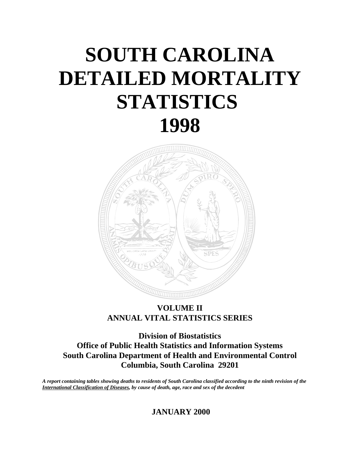# **SOUTH CAROLINA DETAILED MORTALITY STATISTICS 1998**



## **VOLUME II ANNUAL VITAL STATISTICS SERIES**

**Division of Biostatistics Office of Public Health Statistics and Information Systems South Carolina Department of Health and Environmental Control Columbia, South Carolina 29201**

*A report containing tables showing deaths to residents of South Carolina classified according to the ninth revision of the International Classification of Diseases, by cause of death, age, race and sex of the decedent*

 **JANUARY 2000**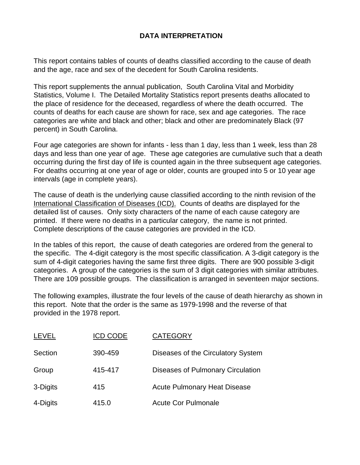#### **DATA INTERPRETATION**

This report contains tables of counts of deaths classified according to the cause of death and the age, race and sex of the decedent for South Carolina residents.

This report supplements the annual publication, South Carolina Vital and Morbidity Statistics, Volume I. The Detailed Mortality Statistics report presents deaths allocated to the place of residence for the deceased, regardless of where the death occurred. The counts of deaths for each cause are shown for race, sex and age categories. The race categories are white and black and other; black and other are predominately Black (97 percent) in South Carolina.

Four age categories are shown for infants - less than 1 day, less than 1 week, less than 28 days and less than one year of age. These age categories are cumulative such that a death occurring during the first day of life is counted again in the three subsequent age categories. For deaths occurring at one year of age or older, counts are grouped into 5 or 10 year age intervals (age in complete years).

The cause of death is the underlying cause classified according to the ninth revision of the International Classification of Diseases (ICD). Counts of deaths are displayed for the detailed list of causes. Only sixty characters of the name of each cause category are printed. If there were no deaths in a particular category, the name is not printed. Complete descriptions of the cause categories are provided in the ICD.

In the tables of this report, the cause of death categories are ordered from the general to the specific. The 4-digit category is the most specific classification. A 3-digit category is the sum of 4-digit categories having the same first three digits. There are 900 possible 3-digit categories. A group of the categories is the sum of 3 digit categories with similar attributes. There are 109 possible groups. The classification is arranged in seventeen major sections.

The following examples, illustrate the four levels of the cause of death hierarchy as shown in this report. Note that the order is the same as 1979-1998 and the reverse of that provided in the 1978 report.

| <b>LEVEL</b> | <b>ICD CODE</b> | <b>CATEGORY</b>                     |
|--------------|-----------------|-------------------------------------|
| Section      | 390-459         | Diseases of the Circulatory System  |
| Group        | 415-417         | Diseases of Pulmonary Circulation   |
| 3-Digits     | 415             | <b>Acute Pulmonary Heat Disease</b> |
| 4-Digits     | 415.0           | <b>Acute Cor Pulmonale</b>          |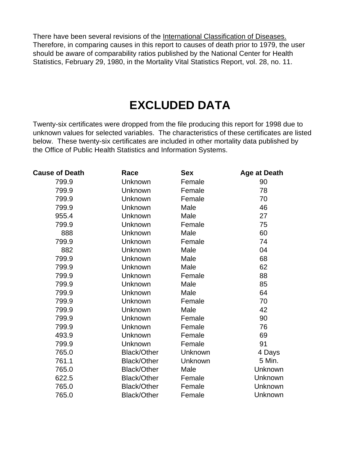There have been several revisions of the International Classification of Diseases. Therefore, in comparing causes in this report to causes of death prior to 1979, the user should be aware of comparability ratios published by the National Center for Health Statistics, February 29, 1980, in the Mortality Vital Statistics Report, vol. 28, no. 11.

# **EXCLUDED DATA**

Twenty-six certificates were dropped from the file producing this report for 1998 due to unknown values for selected variables. The characteristics of these certificates are listed below. These twenty-six certificates are included in other mortality data published by the Office of Public Health Statistics and Information Systems.

| <b>Cause of Death</b> | Race               | <b>Sex</b> | <b>Age at Death</b> |
|-----------------------|--------------------|------------|---------------------|
| 799.9                 | Unknown            | Female     | 90                  |
| 799.9                 | Unknown            | Female     | 78                  |
| 799.9                 | Unknown            | Female     | 70                  |
| 799.9                 | Unknown            | Male       | 46                  |
| 955.4                 | Unknown            | Male       | 27                  |
| 799.9                 | Unknown            | Female     | 75                  |
| 888                   | Unknown            | Male       | 60                  |
| 799.9                 | Unknown            | Female     | 74                  |
| 882                   | Unknown            | Male       | 04                  |
| 799.9                 | Unknown            | Male       | 68                  |
| 799.9                 | Unknown            | Male       | 62                  |
| 799.9                 | Unknown            | Female     | 88                  |
| 799.9                 | Unknown            | Male       | 85                  |
| 799.9                 | Unknown            | Male       | 64                  |
| 799.9                 | Unknown            | Female     | 70                  |
| 799.9                 | Unknown            | Male       | 42                  |
| 799.9                 | Unknown            | Female     | 90                  |
| 799.9                 | Unknown            | Female     | 76                  |
| 493.9                 | Unknown            | Female     | 69                  |
| 799.9                 | Unknown            | Female     | 91                  |
| 765.0                 | <b>Black/Other</b> | Unknown    | 4 Days              |
| 761.1                 | <b>Black/Other</b> | Unknown    | 5 Min.              |
| 765.0                 | <b>Black/Other</b> | Male       | Unknown             |
| 622.5                 | <b>Black/Other</b> | Female     | <b>Unknown</b>      |
| 765.0                 | <b>Black/Other</b> | Female     | Unknown             |
| 765.0                 | <b>Black/Other</b> | Female     | Unknown             |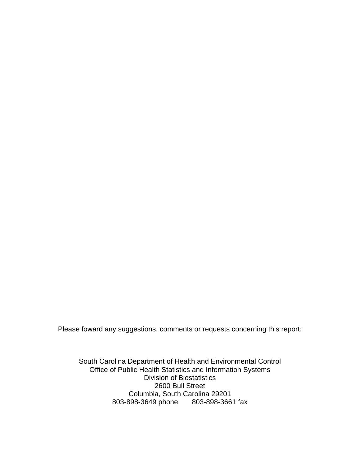Please foward any suggestions, comments or requests concerning this report:

South Carolina Department of Health and Environmental Control Office of Public Health Statistics and Information Systems Division of Biostatistics 2600 Bull Street Columbia, South Carolina 29201 803-898-3649 phone 803-898-3661 fax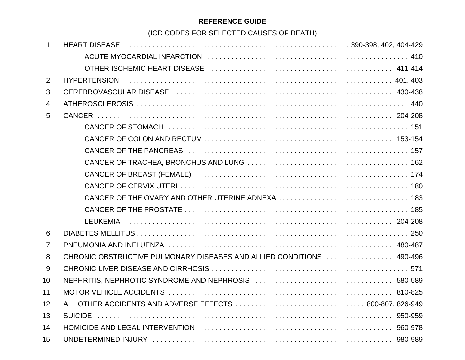### **REFERENCE GUIDE**

(ICD CODES FOR SELECTED CAUSES OF DEATH)

| 1.  |                                                                       |  |
|-----|-----------------------------------------------------------------------|--|
|     |                                                                       |  |
|     |                                                                       |  |
| 2.  |                                                                       |  |
| 3.  |                                                                       |  |
| 4.  |                                                                       |  |
| 5.  |                                                                       |  |
|     |                                                                       |  |
|     |                                                                       |  |
|     |                                                                       |  |
|     |                                                                       |  |
|     |                                                                       |  |
|     |                                                                       |  |
|     | CANCER OF THE OVARY AND OTHER UTERINE ADNEXA  183                     |  |
|     |                                                                       |  |
|     |                                                                       |  |
| 6.  |                                                                       |  |
| 7.  |                                                                       |  |
| 8.  | CHRONIC OBSTRUCTIVE PULMONARY DISEASES AND ALLIED CONDITIONS  490-496 |  |
| 9.  |                                                                       |  |
| 10. |                                                                       |  |
| 11. |                                                                       |  |
| 12. |                                                                       |  |
| 13. |                                                                       |  |
| 14. |                                                                       |  |
| 15. |                                                                       |  |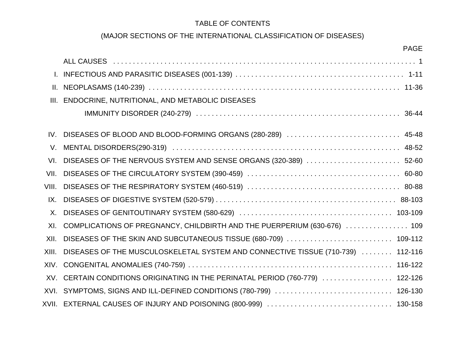### TABLE OF CONTENTS

## (MAJOR SECTIONS OF THE INTERNATIONAL CLASSIFICATION OF DISEASES)

|       | <b>PAGE</b>                                                                                                   |
|-------|---------------------------------------------------------------------------------------------------------------|
|       | ALL CAUSES (Allert Allert Allert Allert Allert Allert Allert Allert Allert Allert Allert Allert Allert Allert |
|       |                                                                                                               |
|       |                                                                                                               |
|       | III. ENDOCRINE, NUTRITIONAL, AND METABOLIC DISEASES                                                           |
|       |                                                                                                               |
|       | IV. DISEASES OF BLOOD AND BLOOD-FORMING ORGANS (280-289)  45-48                                               |
|       |                                                                                                               |
| VI.   | DISEASES OF THE NERVOUS SYSTEM AND SENSE ORGANS (320-389)  52-60                                              |
| VII.  |                                                                                                               |
| VIII. |                                                                                                               |
| IX.   |                                                                                                               |
| X.    |                                                                                                               |
| XI.   | COMPLICATIONS OF PREGNANCY, CHILDBIRTH AND THE PUERPERIUM (630-676)  109                                      |
| XII.  |                                                                                                               |
| XIII. | DISEASES OF THE MUSCULOSKELETAL SYSTEM AND CONNECTIVE TISSUE (710-739)  112-116                               |
|       |                                                                                                               |
|       | XV. CERTAIN CONDITIONS ORIGINATING IN THE PERINATAL PERIOD (760-779)  122-126                                 |
|       | XVI. SYMPTOMS, SIGNS AND ILL-DEFINED CONDITIONS (780-799)  126-130                                            |
|       |                                                                                                               |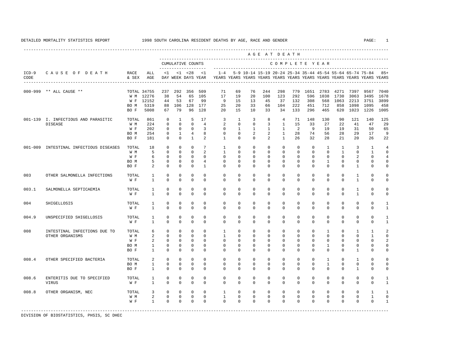<span id="page-6-0"></span>

|                 |                                                       |                                     |                                                       |                                                                           |                                                                        |                                                                          |                                                                                     |                                                                                    |                                                                         |                                                                   | AGE AT DEATH                                                            |                                                                                |                                                                |                                                                |                                                                        |                                                               |                                            |                                                                   |                                     |
|-----------------|-------------------------------------------------------|-------------------------------------|-------------------------------------------------------|---------------------------------------------------------------------------|------------------------------------------------------------------------|--------------------------------------------------------------------------|-------------------------------------------------------------------------------------|------------------------------------------------------------------------------------|-------------------------------------------------------------------------|-------------------------------------------------------------------|-------------------------------------------------------------------------|--------------------------------------------------------------------------------|----------------------------------------------------------------|----------------------------------------------------------------|------------------------------------------------------------------------|---------------------------------------------------------------|--------------------------------------------|-------------------------------------------------------------------|-------------------------------------|
|                 |                                                       |                                     |                                                       |                                                                           |                                                                        | CUMULATIVE COUNTS                                                        |                                                                                     |                                                                                    |                                                                         |                                                                   |                                                                         | COMPLETE YEAR                                                                  |                                                                |                                                                |                                                                        |                                                               |                                            |                                                                   |                                     |
| $ICD-9$<br>CODE | CAUSE OF DEATH                                        | RACE<br>& SEX                       | ALL<br>AGE                                            | <1                                                                        |                                                                        | $< 1$ $< 28$<br>DAY WEEK DAYS YEAR                                       | <1                                                                                  | $1 - 4$<br>YEARS YEARS YEARS YEARS YEARS YEARS YEARS YEARS YEARS YEARS YEARS YEARS |                                                                         |                                                                   | 5-9 10-14 15-19 20-24 25-34 35-44 45-54 55-64 65-74 75-84               |                                                                                |                                                                |                                                                |                                                                        |                                                               |                                            |                                                                   | $85+$                               |
|                 | 000-999 ** ALL CAUSE **                               | BO M<br>BO F                        | TOTAL 34755<br>W M 12276<br>W F 12152<br>5319<br>5008 | 237<br>38<br>44<br>88<br>67                                               | 292<br>54<br>53<br>106<br>79                                           | 356<br>65<br>67<br>96                                                    | 509<br>105<br>99<br>128 177<br>128                                                  | 71<br>17<br>9<br>25<br>20                                                          | 69<br>19<br>15<br>20<br>15                                              | 76<br>20<br>13<br>33<br>10                                        | 244<br>100<br>45<br>66<br>33                                            | 298<br>123<br>37<br>104<br>34                                                  | 779<br>292<br>132<br>222<br>133                                | 1651<br>596<br>308<br>451<br>296                               | 2783<br>1038<br>568<br>712<br>465                                      | 4271<br>1730<br>1063<br>858<br>620                            | 7397<br>3063<br>2213<br>1098<br>1023       | 9567<br>3495<br>3751<br>1095<br>1226                              | 7040<br>1678<br>3899<br>458<br>1005 |
|                 | 001-139 I. INFECTIOUS AND PARASITIC<br><b>DISEASE</b> | TOTAL<br>W M<br>W F<br>BO M<br>BO F | 861<br>224<br>202<br>254<br>181                       | $\mathbf{0}$<br>$\mathbf 0$<br>$\Omega$<br>$\mathbf 0$<br>$\mathbf 0$     | $\overline{1}$<br>$\Omega$<br>$\Omega$<br>$\mathbf{1}$<br>$\mathbf{0}$ | 5<br>$\Omega$<br>$\Omega$<br>$\overline{4}$<br>$\mathbf{1}$              | 17<br>$\overline{4}$<br>3<br>8<br>2                                                 | 3<br>2<br>$\Omega$<br>$\mathbf 0$<br>$\mathbf{1}$                                  | $\mathbf{1}$<br>$\Omega$<br>$\mathbf{1}$<br>$\mathbf{0}$<br>$\mathbf 0$ | 3<br>$\Omega$<br>$\mathbf{1}$<br>$\overline{a}$<br>$\Omega$       | 8<br>$\overline{3}$<br>$\mathbf{1}$<br>$\overline{a}$<br>$\overline{a}$ | $\overline{4}$<br>$\mathbf{1}$<br>$\mathbf{1}$<br>$\mathbf{1}$<br>$\mathbf{1}$ | 71<br>15<br>$\mathfrak{D}$<br>28<br>26                         | 148<br>33<br>9<br>74<br>32                                     | 130<br>27<br>19<br>56<br>28                                            | 90<br>22<br>19<br>28<br>21                                    | 121<br>41<br>31<br>29<br>20                | 140<br>47<br>50<br>17<br>26                                       | 125<br>29<br>65<br>9<br>22          |
|                 | 001-009 INTESTINAL INFECTIOUS DISEASES                | TOTAL<br>W M<br>W F<br>BO M<br>BO F | 18<br>5<br>6<br>5<br>2                                | $\Omega$<br>$\Omega$<br>$\mathbf 0$<br>$\mathbf{0}$<br>$\Omega$           | $\Omega$<br>$\Omega$<br>$\mathbf{0}$<br>$\mathbf{0}$<br>$\Omega$       | $\Omega$<br>$\Omega$<br>$\mathbf{0}$<br>$\mathbf 0$<br>$\Omega$          | $7\phantom{.0}$<br>$\overline{a}$<br>$\mathbf{0}$<br>$\overline{4}$<br>$\mathbf{1}$ | $\mathbf{1}$<br>$\mathbf{1}$<br>$\mathbf 0$<br>$\mathbf 0$<br>$\Omega$             | $\Omega$<br>$\Omega$<br>$\mathbf 0$<br>$\mathbf 0$<br>$\Omega$          | $\Omega$<br>$\Omega$<br>$\mathbf{0}$<br>$\mathbf{0}$<br>$\Omega$  | $\Omega$<br>$\Omega$<br>$\mathbf{0}$<br>$\mathbf 0$<br>$\Omega$         | $\Omega$<br>$\Omega$<br>$\mathbf 0$<br>$\mathbf 0$<br>$\Omega$                 | $\Omega$<br>$\Omega$<br>$\mathbf 0$<br>$\mathbf 0$<br>$\Omega$ | $\Omega$<br>$\Omega$<br>$\mathbf 0$<br>$\mathbf 0$<br>$\Omega$ | $\overline{1}$<br>$\Omega$<br>$\mathbf{0}$<br>$\mathbf{1}$<br>$\Omega$ | $\overline{1}$<br>$\overline{1}$<br>$\Omega$<br>0<br>$\Omega$ | 3<br>$\Omega$<br>2<br>$\mathbf 0$<br>1     | $\overline{1}$<br>$\mathbf{1}$<br>$\mathbf 0$<br>0<br>$\mathbf 0$ | 4<br>$\Omega$<br>4<br>U             |
| 003             | OTHER SALMONELLA INFECTIONS                           | TOTAL<br>W F                        | $\mathbf{1}$<br>$\mathbf{1}$                          | $\mathbf 0$<br>$\Omega$                                                   | $\mathbf{0}$<br>$\Omega$                                               | $\mathbf 0$<br>$\Omega$                                                  | $\Omega$<br>$\Omega$                                                                | $\mathbf 0$<br>$\Omega$                                                            | $\mathbf 0$<br>$\Omega$                                                 | $\mathbf{0}$<br>$\Omega$                                          | $\mathbf 0$<br>$\Omega$                                                 | $\mathbf 0$<br>$\Omega$                                                        | 0<br>$\Omega$                                                  | 0<br>$\Omega$                                                  | $\mathbf{0}$<br>$\Omega$                                               | $\mathbf{0}$<br>$\Omega$                                      | $\mathbf{1}$<br>$\mathbf{1}$               | 0<br>$\Omega$                                                     | U                                   |
| 003.1           | SALMONELLA SEPTICAEMIA                                | TOTAL<br>W F                        | $\mathbf{1}$<br>$\mathbf{1}$                          | $\mathbf 0$<br>$\Omega$                                                   | $\mathbf{0}$<br>$\Omega$                                               | $\mathbf 0$<br>$\Omega$                                                  | $\mathbf 0$<br>$\Omega$                                                             | $\mathbf 0$<br>$\Omega$                                                            | $\mathbf 0$<br>$\Omega$                                                 | $\mathbf{0}$<br>$\Omega$                                          | $\mathbf{0}$<br>$\Omega$                                                | $\mathbf 0$<br>$\Omega$                                                        | 0<br>$\Omega$                                                  | 0<br>$\Omega$                                                  | 0<br>$\Omega$                                                          | $\mathbf{0}$<br>$\Omega$                                      | $\mathbf{1}$<br>$\mathbf{1}$               | 0<br>$\Omega$                                                     | U<br>U                              |
| 004             | SHIGELLOSIS                                           | TOTAL<br>W F                        | 1<br>$\mathbf{1}$                                     | $\mathbf 0$<br>$\mathbf 0$                                                | $\mathbf{0}$<br>$\mathbf 0$                                            | $\mathbf 0$<br>$\mathbf 0$                                               | $\mathbf 0$<br>$\mathbf{0}$                                                         | $\mathbf 0$<br>$\mathbf 0$                                                         | $\mathbf 0$<br>$\mathbf 0$                                              | $\mathbf{0}$<br>$\mathbf{0}$                                      | $\mathbf{0}$<br>$\mathbf 0$                                             | $\mathbf 0$<br>$\mathbf 0$                                                     | $\mathbf 0$<br>$\mathbf 0$                                     | $\mathbf 0$<br>$\mathbf 0$                                     | $\mathbf 0$<br>$\mathbf 0$                                             | $\mathbf 0$<br>$\mathbf 0$                                    | $\mathbf 0$<br>$\mathbf 0$                 | $\mathbf 0$<br>$\mathbf 0$                                        | -1<br>1                             |
| 004.9           | UNSPECIFIED SHIGELLOSIS                               | TOTAL<br>W F                        | 1<br>$\mathbf{1}$                                     | $\mathbf 0$<br>$\mathbf{0}$                                               | $\Omega$<br>$\mathbf 0$                                                | $\mathbf 0$<br>$\mathbf 0$                                               | $\Omega$<br>$\mathbf{0}$                                                            | $\mathbf 0$<br>$\mathbf 0$                                                         | $\mathbf 0$<br>$\mathbf 0$                                              | $\mathbf{0}$<br>$\mathbf{0}$                                      | $\mathbf{0}$<br>$\mathbf{0}$                                            | $\mathbf 0$<br>$\mathbf 0$                                                     | $\mathbf 0$<br>$\mathbf 0$                                     | $\mathbf 0$<br>$\mathbf 0$                                     | $\mathbf 0$<br>$\mathbf 0$                                             | $\mathbf 0$<br>$\mathbf{0}$                                   | 0<br>$\mathbf 0$                           | 0<br>$\mathbf 0$                                                  | 1<br>1                              |
| 008             | INTESTINAL INFECTIONS DUE TO<br>OTHER ORGANISMS       | TOTAL<br>W M<br>W F<br>BO M<br>BO F | 6<br>2<br>2<br>1<br>$\mathbf{1}$                      | $\mathbf{0}$<br>$\mathbf 0$<br>$\mathbf 0$<br>$\mathbf 0$<br>$\mathbf{0}$ | $\mathbf 0$<br>$\mathbf{0}$<br>$\mathbf{0}$<br>$\Omega$<br>0           | $\mathbf 0$<br>$\mathbf{0}$<br>$\mathbf 0$<br>$\mathbf 0$<br>$\mathbf 0$ | $\Omega$<br>$\mathbf{0}$<br>$\mathbf 0$<br>$\mathbf{0}$<br>$\mathbf{0}$             | 1<br>$\mathbf{1}$<br>$\mathbf 0$<br>0<br>$\mathbf 0$                               | $\mathbf 0$<br>$\mathbf 0$<br>0<br>0<br>$\mathbf 0$                     | $\mathbf{0}$<br>$\mathbf{0}$<br>0<br>$\mathbf{0}$<br>$\mathbf{0}$ | $\mathbf{0}$<br>$\mathbf{0}$<br>0<br>$\mathbf{0}$<br>$\mathbf{0}$       | $\Omega$<br>$\mathbf 0$<br>0<br>$\circ$<br>$\mathbf 0$                         | $\mathbf 0$<br>$\mathbf 0$<br>0<br>0<br>$\mathbf 0$            | $\mathbf 0$<br>$\mathbf 0$<br>0<br>0<br>$\mathbf 0$            | 1<br>$\mathbf 0$<br>0<br>1<br>$\mathbf 0$                              | $\mathbf 0$<br>$\mathbf 0$<br>0<br>0<br>$\mathbf 0$           | 1<br>$\mathbf 0$<br>0<br>0<br>$\mathbf{1}$ | 1<br>$\mathbf{1}$<br>0<br>0<br>0                                  | 0                                   |
| 008.4           | OTHER SPECIFIED BACTERIA                              | TOTAL<br>BO M<br>BO F               | 2<br>$\mathbf{1}$<br>$\mathbf{1}$                     | $\Omega$<br>0<br>$\mathbf{0}$                                             | $\Omega$<br>$\mathbf{0}$<br>$\mathbf{0}$                               | $\mathbf 0$<br>0<br>$\mathbf 0$                                          | $\Omega$<br>$\mathbf{0}$<br>$\mathbf{0}$                                            | $\Omega$<br>$\mathbf 0$<br>$\mathbf 0$                                             | $\Omega$<br>$\mathbf 0$<br>$\mathbf 0$                                  | $\Omega$<br>$\mathbf 0$<br>$\mathbf{0}$                           | $\Omega$<br>$\mathbf 0$<br>0                                            | $\Omega$<br>0<br>0                                                             | $\Omega$<br>0<br>$\mathbf 0$                                   | $\Omega$<br>0<br>$\mathbf 0$                                   | $\mathbf{1}$<br>$\mathbf{1}$<br>$\mathbf 0$                            | $\Omega$<br>$\mathbf 0$<br>$\mathbf 0$                        | $\mathbf{1}$<br>0<br>1                     | $\Omega$<br>0<br>0                                                | U<br>0<br>0                         |
| 008.6           | ENTERITIS DUE TO SPECIFIED<br><b>VIRUS</b>            | TOTAL<br>W F                        | 1<br>$\mathbf{1}$                                     | 0<br>$\mathbf 0$                                                          | $\mathbf 0$<br>$\mathbf 0$                                             | 0<br>$\mathbf 0$                                                         | $\mathbf{0}$<br>$\mathbf{0}$                                                        | 0<br>$\Omega$                                                                      | 0<br>$\mathbf 0$                                                        | 0<br>$\mathbf{0}$                                                 | 0<br>0                                                                  | 0<br>$\Omega$                                                                  | 0<br>$\Omega$                                                  | 0<br>$\Omega$                                                  | 0<br>$\mathbf 0$                                                       | 0<br>$\Omega$                                                 | 0<br>0                                     | 0<br>$\mathbf 0$                                                  | 1                                   |
| 008.8           | OTHER ORGANISM, NEC                                   | TOTAL<br>W M<br>W F                 | 3<br>2<br>1                                           | 0<br>$\mathbf 0$<br>$\mathbf 0$                                           | $\mathbf{0}$<br>$\mathbf{0}$<br>$\mathbf{0}$                           | 0<br>$\mathbf 0$<br>$\mathbf 0$                                          | $\mathbf{0}$<br>$\mathbf 0$<br>$\mathbf{0}$                                         | 1<br>$\mathbf{1}$<br>0                                                             | 0<br>$\mathbf 0$<br>0                                                   | 0<br>$\mathbf{0}$<br>0                                            | 0<br>0<br>0                                                             | 0<br>0<br>0                                                                    | 0<br>$\mathbf 0$<br>0                                          | 0<br>$\mathbf 0$<br>0                                          | $\mathbf{0}$<br>$\mathbf 0$<br>0                                       | $\mathbf{0}$<br>$\mathbf 0$<br>$\mathbf 0$                    | 0<br>$\mathbf 0$<br>0                      | 1<br>$\mathbf{1}$<br>0                                            | 0<br>1                              |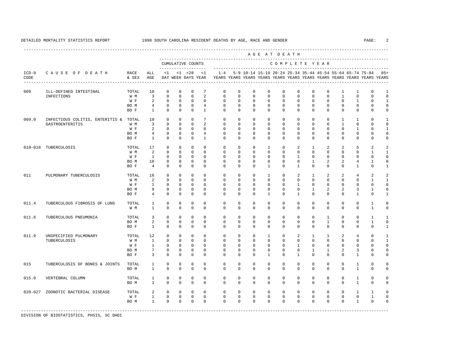---------------------------------------------------------------------------------------------------------------------------------------------------- A G E A T D E A T H --------------------------------------------------------------------------------------------- CUMULATIVE COUNTS C O M P L E T E Y E A R ------------------- ----------------------------------------------------------------------- ICD-9 C A U S E O F D E A T H RACE ALL <1 <1 <28 <1 1-4 5-9 10-14 15-19 20-24 25-34 35-44 45-54 55-64 65-74 75-84 85+ CODE & SEX AGE DAY WEEK DAYS YEAR YEARS YEARS YEARS YEARS YEARS YEARS YEARS YEARS YEARS YEARS YEARS YEARS ---------------------------------------------------------------------------------------------------------------------------------------------------- 009 ILL-DEFINED INTESTINAL TOTAL 10 0 0 0 7 0 0 0 0 0 0 0 0 1 1 0 1 INFECTIONS W M 3 0 0 0 2 0 0 0 0 0 0 0 0 1 0 0 0 W F 2 0 0 0 0 0 0 0 0 0 0 0 0 0 1 0 1 BOM 4 0 0 0 4 0 0 0 0 0 0 0 0 0 0 0 0 0 BOF 1 0 0 0 1 0 0 0 0 0 0 0 0 0 0 0 0 0 0 009.0 INFECTIOUS COLITIS, ENTERITIS & TOTAL 10 0 0 0 7 0 0 0 0 0 0 0 0 1 1 0 1 GASTROENTERITIS W M 3 0 0 0 2 0 0 0 0 0 0 0 0 1 0 0 0 W F 2 0 0 0 0 0 0 0 0 0 0 0 0 0 1 0 1 BOM 4 0 0 0 4 0 0 0 0 0 0 0 0 0 0 0 0 0 BOF 1 0 0 0 1 0 0 0 0 0 0 0 0 0 0 0 0 0 0 010-018 TUBERCULOSIS TOTAL 17 0 0 0 0 0 0 0 1 0 2 1 2 2 5 2 2 W M 2 0 0 0 0 0 0 0 0 0 0 0 0 0 0 1 1 W F 1 0 0 0 0 0 0 0 0 0 1 0 0 0 0 0 0 BO M 10 0 0 0 0 0 0 0 0 0 0 1 2 2 4 1 0 BO F 4 0 0 0 0 0 0 0 1 0 1 0 0 0 1 0 1 011 PULMONARY TUBERCULOSIS TOTAL 16 0 0 0 0 0 0 0 0 0 0 0 0 0 0 0 0 1 1 W M 2 0 0 0 0 0 0 0 0 0 0 0 0 0 0 1 1 W F 1 0 0 0 0 0 0 0 0 0 1 0 0 0 0 0 0 BO M 9 0 0 0 0 0 0 0 0 0 0 1 2 2 3 1 0 BOF 4 0 0 0 0 0 0 0 0 0 1 0 0 0 0 1 0 1 011.4 TUBERCULOUS FIBROSIS OF LUNG TOTAL 1 0 0 0 0 0 0 0 0 0 0 0 0 0 0 1 0 W M 1 0 0 0 0 0 0 0 0 0 0 0 0 0 0 1 0 011.6 TUBERCULOUS PNEUMONIA TOTAL 3 0 0 0 0 0 0 0 0 0 0 0 1 0 0 1 1 BOM 2 0 0 0 0 0 0 0 0 0 0 0 0 1 0 0 1 0 BOF 1 0 0 0 0 0 0 0 0 0 0 0 0 0 0 0 1 011.9 UNSPECIFIED PULMONARY TOTAL 12 0 0 0 0 0 0 0 0 1 0 2 1 1 2 4 0 1<br>TUBERCULOSIS TUBERCULOSIS W M 1 0 0 0 0 0 0 0 0 0 0 0 0 0 0 0 1 W F 1 0 0 0 0 0 0 0 0 0 1 0 0 0 0 0 0 BO M 7 0 0 0 0 0 0 0 0 0 0 1 1 2 3 0 0 BO F 3 0 0 0 0 0 0 0 0 1 0 1 0 0 0 0 1 0 0 015 TUBERCULOSIS OF BONES & JOINTS TOTAL 1 0 0 0 0 0 0 0 0 0 0 0 0 0 1 0 0 BOM 1 0 0 0 0 0 0 0 0 0 0 0 0 0 0 1 0 0 015.0 VERTEBRAL COLUMN TOTAL 1 0 0 0 0 0 0 0 0 0 0 0 0 0 1 0 0 BOM 1 0 0 0 0 0 0 0 0 0 0 0 0 0 0 1 0 0 020-027 ZOONOTIC BACTERIAL DISEASE TOTAL 2 0 0 0 0 0 0 0 0 0 0 0 0 0 1 1 0 W F 1 0 0 0 0 0 0 0 0 0 0 0 0 0 0 1 0 BOM 1 0 0 0 0 0 0 0 0 0 0 0 0 0 0 1 0 0 -----------------------------------------------------------------------------------------------------------------------------------------------------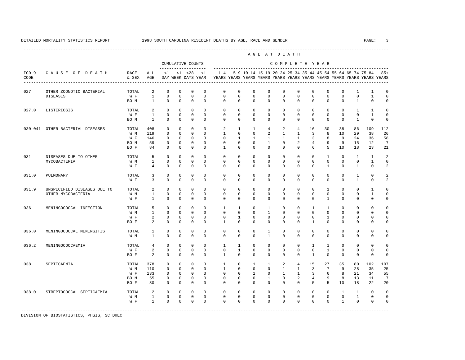|                 |                                                   |                                     |                                                  |                                                                    |                                                                    |                                                                |                                                 |                                                                                    |                                                                     |                                                                     |                                                                 | AGE AT DEATH                                                  |                                                                 |                                                            |                                                         |                                          |                                             |                                             |                                                 |
|-----------------|---------------------------------------------------|-------------------------------------|--------------------------------------------------|--------------------------------------------------------------------|--------------------------------------------------------------------|----------------------------------------------------------------|-------------------------------------------------|------------------------------------------------------------------------------------|---------------------------------------------------------------------|---------------------------------------------------------------------|-----------------------------------------------------------------|---------------------------------------------------------------|-----------------------------------------------------------------|------------------------------------------------------------|---------------------------------------------------------|------------------------------------------|---------------------------------------------|---------------------------------------------|-------------------------------------------------|
|                 |                                                   |                                     |                                                  |                                                                    |                                                                    | CUMULATIVE COUNTS<br>--------------------                      |                                                 |                                                                                    |                                                                     |                                                                     |                                                                 | COMPLETE YEAR                                                 |                                                                 |                                                            |                                                         |                                          |                                             |                                             |                                                 |
| $ICD-9$<br>CODE | CAUSE OF DEATH                                    | RACE<br>& SEX                       | ALL<br>AGE                                       | $\leq 1$                                                           |                                                                    | $<1$ $<28$<br>DAY WEEK DAYS YEAR<br>. <u>.</u>                 | $\leq$ 1                                        | $1 - 4$<br>YEARS YEARS YEARS YEARS YEARS YEARS YEARS YEARS YEARS YEARS YEARS YEARS |                                                                     |                                                                     |                                                                 | 5-9 10-14 15-19 20-24 25-34 35-44 45-54 55-64 65-74 75-84     |                                                                 |                                                            |                                                         |                                          |                                             |                                             | $85+$                                           |
| 027             | OTHER ZOONOTIC BACTERIAL<br><b>DISEASES</b>       | TOTAL<br>W F<br>BO M                | 2<br>$\mathbf{1}$<br>$\overline{1}$              | $\mathbf 0$<br>$\mathbb O$<br>$\Omega$                             | $\mathbf{0}$<br>$\mathbf{0}$<br>$\Omega$                           | $\mathbf 0$<br>$\mathbf 0$<br>$\Omega$                         | $\mathsf 0$<br>$\mathbf 0$<br>$\Omega$          | 0<br>$\mathbf 0$<br>$\Omega$                                                       | $\mathbf 0$<br>$\mathbf 0$<br>$\Omega$                              | $\mathbf 0$<br>$\mathbf 0$<br>$\Omega$                              | 0<br>$\mathbf 0$<br>$\Omega$                                    | $^{\circ}$<br>$\mathsf 0$<br>$\Omega$                         | 0<br>$\mathbf 0$<br>$\Omega$                                    | $^{\circ}$<br>$\mathbf 0$<br>$\Omega$                      | $\mathbf{0}$<br>$\mathbf 0$<br>$\Omega$                 | 0<br>$\mathbf 0$<br>$\Omega$             | 1<br>$\mathsf{O}$<br>$\mathbf{1}$           | 1<br>$\mathbf{1}$<br>$\Omega$               | 0<br>$\Omega$<br>$\Omega$                       |
| 027.0           | LISTERIOSIS                                       | TOTAL<br>W F<br>BO M                | $\overline{2}$<br>$\overline{1}$<br>$\mathbf{1}$ | $\mathbf{0}$<br>$\Omega$<br>$\mathbf 0$                            | $\Omega$<br>$\Omega$<br>$\mathbf 0$                                | $\Omega$<br>$\Omega$<br>$\mathbf 0$                            | $\Omega$<br>$\Omega$<br>$\mathbf 0$             | $\Omega$<br>$\Omega$<br>$\Omega$                                                   | $\Omega$<br>$\Omega$<br>$\mathbf 0$                                 | $\Omega$<br>$\Omega$<br>$\mathbf 0$                                 | $\mathbf 0$<br>$\Omega$<br>$\mathbf{0}$                         | $\Omega$<br>$\Omega$<br>$\mathbf 0$                           | $\mathbf 0$<br>$\Omega$<br>$\mathbf 0$                          | $\Omega$<br>$\Omega$<br>$\mathbf 0$                        | $\mathbf 0$<br>$\Omega$<br>$\mathbf 0$                  | $\Omega$<br>$\Omega$<br>$\mathbf 0$      | $\mathbf{1}$<br>$\Omega$<br>$\mathbf{1}$    | $\mathbf{1}$<br>$\mathbf{1}$<br>$\mathbf 0$ | $\Omega$<br>$\Omega$<br>$\mathbf 0$             |
|                 | 030-041 OTHER BACTERIAL DISEASES                  | TOTAL<br>W M<br>W F<br>BO M<br>BO F | 408<br>119<br>146<br>59<br>84                    | $\mathbf 0$<br>$\Omega$<br>$\mathbf{0}$<br>$\mathbf 0$<br>$\Omega$ | $\mathbf 0$<br>$\Omega$<br>$\mathbf 0$<br>$\mathbf 0$<br>$\Omega$  | $\mathbf 0$<br>$\Omega$<br>$\Omega$<br>$\mathbf 0$<br>$\Omega$ | 3<br>$\Omega$<br>3<br>$\mathbf 0$<br>$\Omega$   | 2<br>$\mathbf{1}$<br>$\Omega$<br>$\mathbf 0$<br>$\mathbf{1}$                       | $\mathbf{1}$<br>$\Omega$<br>$\mathbf{1}$<br>$\mathbf 0$<br>$\Omega$ | $\mathbf{1}$<br>$\Omega$<br>$\mathbf{1}$<br>$\mathbf 0$<br>$\Omega$ | $\overline{4}$<br>2<br>$\mathbf{1}$<br>$\mathbf{1}$<br>$\Omega$ | 2<br>$\mathbf{1}$<br>$\mathbf{1}$<br>$\mathbf{0}$<br>$\Omega$ | $\overline{4}$<br>$\mathbf{1}$<br>$\mathbf{1}$<br>2<br>$\Omega$ | 16<br>$\overline{3}$<br>3<br>4<br>6                        | 30<br>8<br>8<br>9<br>5                                  | 38<br>10<br>9<br>9<br>10                 | 86<br>29<br>24<br>15<br>18                  | 109<br>38<br>36<br>12<br>23                 | 112<br>26<br>58<br>$\overline{7}$<br>21         |
| 031             | DISEASES DUE TO OTHER<br>MYCOBACTERIA             | TOTAL<br>W M<br>W F                 | 5<br>$\mathbf{1}$<br>$\overline{4}$              | $\Omega$<br>$\mathbf{0}$<br>$\mathbf 0$                            | $\mathbf{0}$<br>$\Omega$<br>$\mathbf 0$                            | $\mathbf 0$<br>$\Omega$<br>$\mathbf 0$                         | $\Omega$<br>$\Omega$<br>$\mathbf 0$             | $\Omega$<br>$\Omega$<br>$\Omega$                                                   | $\Omega$<br>$\Omega$<br>$\mathbf 0$                                 | $\mathbf 0$<br>$\mathbf{0}$<br>$\mathbf 0$                          | $\mathbf{0}$<br>$\mathbf{0}$<br>$\mathbf 0$                     | $\Omega$<br>$\mathbf 0$<br>$\mathbf 0$                        | $\mathbf 0$<br>$\mathbf 0$<br>$\mathbf 0$                       | $\mathbf 0$<br>$\mathbf 0$<br>$\mathbf 0$                  | $\mathbf{1}$<br>$\mathbf 0$<br>$\mathbf{1}$             | $\Omega$<br>0<br>$\Omega$                | $\mathbf{1}$<br>$\mathbf 0$<br>$\mathbf{1}$ | $\mathbf{1}$<br>$\mathbf{1}$<br>$\mathbf 0$ | $\overline{c}$<br>$\mathbf 0$<br>$\overline{c}$ |
| 031.0           | PULMONARY                                         | TOTAL<br>W F                        | 3<br>3                                           | $\mathbf 0$<br>$\Omega$                                            | $\Omega$<br>$\mathbf 0$                                            | $\mathbf 0$<br>$\Omega$                                        | $\Omega$<br>$\Omega$                            | $\Omega$<br>$\Omega$                                                               | $^{\circ}$<br>$\Omega$                                              | $\mathbf{0}$<br>$\Omega$                                            | 0<br>$\mathbf 0$                                                | 0<br>$\Omega$                                                 | 0<br>$\mathbf 0$                                                | 0<br>$\Omega$                                              | $\mathbf{0}$<br>$\mathbf 0$                             | 0<br>$\Omega$                            | 1<br>$\mathbf{1}$                           | $\mathbf 0$<br>$\mathbf 0$                  | 2<br>$\overline{c}$                             |
| 031.9           | UNSPECIFIED DISEASES DUE TO<br>OTHER MYCOBACTERIA | TOTAL<br>W M<br>W F                 | 2<br>$\mathbf{1}$<br>$\mathbf{1}$                | $\mathbb O$<br>$\mathbf 0$<br>$\Omega$                             | $\mathbf{0}$<br>$\mathbf 0$<br>$\Omega$                            | $\mathbf 0$<br>$\mathbf 0$<br>$\Omega$                         | $\mathbf 0$<br>$\Omega$<br>$\Omega$             | $\mathbf 0$<br>$\mathbf 0$<br>$\Omega$                                             | $\mathbf 0$<br>$\mathbf 0$<br>$\Omega$                              | 0<br>$\mathbf 0$<br>$\Omega$                                        | $\mathbf 0$<br>$\mathbf 0$<br>$\Omega$                          | $\mathbf 0$<br>$\mathbf{0}$<br>$\Omega$                       | $\mathbf 0$<br>$\mathbf 0$<br>$\Omega$                          | $\mathbf 0$<br>$\mathbf 0$<br>$\Omega$                     | $\mathbf{1}$<br>$\mathbf 0$<br>$\overline{1}$           | $\mathbf 0$<br>$\Omega$<br>$\Omega$      | 0<br>$\mathbf 0$<br>0                       | $\mathbf{1}$<br>$\mathbf{1}$<br>$\Omega$    | $\Omega$<br>$\Omega$<br>$\Omega$                |
| 036             | MENINGOCOCCAL INFECTION                           | TOTAL<br>W M<br>W F<br>BO F         | 5<br>$\mathbf{1}$<br>2<br>2                      | $\Omega$<br>$\mathbf 0$<br>$\mathbf 0$<br>$\Omega$                 | $\Omega$<br>$\mathbf 0$<br>$\mathbf 0$<br>$\Omega$                 | $\mathbf 0$<br>$\Omega$<br>$\mathbf 0$<br>$\Omega$             | $\Omega$<br>$\Omega$<br>$\mathbf 0$<br>$\Omega$ | $\overline{1}$<br>$\Omega$<br>$\mathbf 0$<br>$\mathbf{1}$                          | $\mathbf{1}$<br>$\Omega$<br>$\mathbf{1}$<br>$\Omega$                | $\Omega$<br>$\Omega$<br>$\mathbf 0$<br>$\Omega$                     | $\mathbf{1}$<br>$\mathbf{1}$<br>$\mathbf{0}$<br>$\Omega$        | $\Omega$<br>$\mathbf 0$<br>$\mathbf 0$<br>$\Omega$            | $\mathbf 0$<br>$\mathbf 0$<br>$\mathbf 0$<br>$\Omega$           | $\mathbf{1}$<br>$\mathbf 0$<br>$\mathbf 0$<br>$\mathbf{1}$ | $\mathbf{1}$<br>$\mathbf 0$<br>$\mathbf{1}$<br>$\Omega$ | $\Omega$<br>0<br>$\mathbf 0$<br>$\Omega$ | $\mathbf 0$<br>0<br>0<br>0                  | $\Omega$<br>$\mathbf 0$<br>$\mathbf 0$<br>0 | $\Omega$<br>$\Omega$<br>$\Omega$                |
| 036.0           | MENINGOCOCCAL MENINGITIS                          | TOTAL<br>W M                        | <sup>1</sup><br>$\mathbf{1}$                     | $\mathbf 0$<br>$\Omega$                                            | $\mathbf 0$<br>$\Omega$                                            | $\mathbf 0$<br>$\Omega$                                        | $\Omega$<br>$\Omega$                            | $\Omega$<br>$\Omega$                                                               | $\Omega$<br>$\Omega$                                                | $\mathbf 0$<br>$\Omega$                                             | $\mathbf{1}$<br>$\mathbf{1}$                                    | $\Omega$<br>$\Omega$                                          | $\Omega$<br>$\Omega$                                            | $\mathbf 0$<br>$\Omega$                                    | $\mathbf 0$<br>$\Omega$                                 | $\mathbf 0$<br>$\Omega$                  | 0<br>$\Omega$                               | $\mathbf 0$<br>$\Omega$                     | $\Omega$<br>$\Omega$                            |
| 036.2           | MENINGOCOCCAEMIA                                  | TOTAL<br>W F<br>BO F                | $\overline{4}$<br>$\overline{a}$<br>2            | $\Omega$<br>$\mathbf 0$<br>$\mathbf{0}$                            | $\mathbf 0$<br>$\mathbf{0}$<br>$\mathbf{0}$                        | $\Omega$<br>$\mathbf 0$<br>$\mathbf 0$                         | $\Omega$<br>$\mathbf 0$<br>$\mathbf 0$          | $\mathbf{1}$<br>0<br>$\mathbf{1}$                                                  | $\mathbf{1}$<br>$\mathbf{1}$<br>$\mathbf 0$                         | $\mathbf{0}$<br>$\mathbf 0$<br>$\mathbf 0$                          | $\mathbf 0$<br>$\mathbf 0$<br>$\mathbf 0$                       | $\mathbf{0}$<br>$\mathbf 0$<br>$\mathbf 0$                    | $\circ$<br>$\mathbf 0$<br>$\mathbf 0$                           | $\mathbf{1}$<br>$\mathbf 0$<br>$\mathbf{1}$                | 1<br>$\mathbf{1}$<br>$\mathbf{0}$                       | $\Omega$<br>$\mathbf 0$<br>$\mathbf 0$   | 0<br>0<br>$\mathbf 0$                       | $\mathbf 0$<br>$\mathsf 0$<br>$\mathbf 0$   | $\Omega$<br>$\Omega$<br>$\mathbf 0$             |
| 038             | SEPTICAEMIA                                       | TOTAL<br>W M<br>W F<br>BO M<br>BO F | 378<br>110<br>133<br>55<br>80                    | $\mathbb O$<br>$\mathbf 0$<br>$\Omega$<br>0<br>$\Omega$            | $\mathbf 0$<br>$\mathbf 0$<br>$\Omega$<br>$\mathbf{0}$<br>$\Omega$ | $\mathbf 0$<br>$\Omega$<br>$\Omega$<br>$\mathbf 0$<br>$\Omega$ | 3<br>$\Omega$<br>3<br>$\mathbf 0$<br>$\Omega$   | $\mathbf{1}$<br>$\mathbf{1}$<br>$\Omega$<br>0<br>$\Omega$                          | $\mathbf 0$<br>$\mathbf 0$<br>$\Omega$<br>$\mathbf 0$<br>$\Omega$   | 1<br>$\mathbf 0$<br>$\mathbf{1}$<br>$\mathbf{0}$<br>$\Omega$        | 1<br>$\mathbf 0$<br>$\Omega$<br>1<br>$\Omega$                   | 2<br>$\mathbf{1}$<br>$\mathbf{1}$<br>$\mathbf 0$<br>$\Omega$  | $\overline{4}$<br>$\mathbf{1}$<br>$\mathbf{1}$<br>2<br>$\Omega$ | 15<br>$\overline{3}$<br>3<br>$\overline{4}$<br>5           | 27<br>$7\phantom{.0}$<br>6<br>9<br>5                    | 35<br>9<br>8<br>8<br>10                  | 80<br>28<br>21<br>13<br>18                  | 102<br>35<br>34<br>11<br>22                 | 107<br>25<br>55<br>7<br>20                      |
| 038.0           | STREPTOCOCCAL SEPTICAEMIA                         | TOTAL<br>W M<br>W F                 | 2<br>$\mathbf{1}$<br>$\mathbf{1}$                | $\mathbf{0}$<br>$\Omega$<br>$\mathbf{0}$                           | $\mathbf{0}$<br>$\Omega$<br>$\mathbf 0$                            | $\mathbf 0$<br>$\Omega$<br>$\mathbf 0$                         | $\Omega$<br>$\Omega$<br>$\mathbf 0$             | $\mathbf 0$<br>$\Omega$<br>$\mathbf 0$                                             | $\mathbf 0$<br>$\Omega$<br>$\mathbf 0$                              | $\mathbf 0$<br>$\Omega$<br>$\mathbf 0$                              | $\mathbf 0$<br>$\Omega$<br>$\mathbf 0$                          | $\mathbf 0$<br>$\Omega$<br>$\mathbf 0$                        | $\mathbf 0$<br>$\Omega$<br>$\mathbf 0$                          | $\mathbf 0$<br>$\Omega$<br>$\mathbf 0$                     | $\mathbf 0$<br>$\Omega$<br>$\mathbf 0$                  | $\mathbf{1}$<br>$\Omega$<br>$\mathbf{1}$ | $\mathbf{1}$<br>$\mathbf{1}$<br>0           | $\mathbf 0$<br>$\Omega$<br>$\mathbf 0$      | $\Omega$<br>$\Omega$<br>$\Omega$                |

-----------------------------------------------------------------------------------------------------------------------------------------------------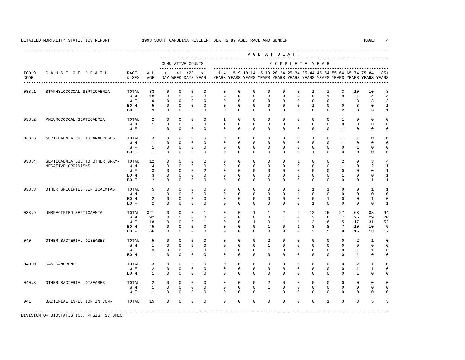|                 |                                |               |                |              |              |                                          |                |              |             |                |              | AGE AT DEATH  |              |                |              |                |                |                                                                                                                                      |                |
|-----------------|--------------------------------|---------------|----------------|--------------|--------------|------------------------------------------|----------------|--------------|-------------|----------------|--------------|---------------|--------------|----------------|--------------|----------------|----------------|--------------------------------------------------------------------------------------------------------------------------------------|----------------|
|                 |                                |               |                |              |              | CUMULATIVE COUNTS<br>------------------- |                |              |             |                |              | COMPLETE YEAR |              |                |              |                |                |                                                                                                                                      |                |
| $ICD-9$<br>CODE | CAUSE OF DEATH                 | RACE<br>& SEX | ALL<br>AGE     | <1           |              | $< 1$ $< 28$<br>DAY WEEK DAYS YEAR       | <1             | $1 - 4$      |             |                |              |               |              |                |              |                |                | 5-9 10-14 15-19 20-24 25-34 35-44 45-54 55-64 65-74 75-84<br>YEARS YEARS YEARS YEARS YEARS YEARS YEARS YEARS YEARS YEARS YEARS YEARS | $85+$          |
| 038.1           | STAPHYLOCOCCAL SEPTICAEMIA     | TOTAL         | 33             | $\Omega$     | $\Omega$     | $\Omega$                                 | $\Omega$       | $\mathbf 0$  | $\mathbf 0$ | $\mathbf{0}$   | $\mathbf{0}$ | $\mathbf 0$   | $\mathbf 0$  | $\mathbf{1}$   | $\mathbf{1}$ | 3              | 10             | 10                                                                                                                                   | 8              |
|                 |                                | W M           | 10             | $\Omega$     | $\Omega$     | $\Omega$                                 | $\Omega$       | $\Omega$     | $\Omega$    | $\Omega$       | $\Omega$     | $\Omega$      | $\Omega$     | $\Omega$       | $\mathbf{1}$ | $\Omega$       | $\mathbf{1}$   | $\overline{4}$                                                                                                                       | $\overline{4}$ |
|                 |                                | W F           | 9              | $\Omega$     | $\Omega$     | $\Omega$                                 | $\Omega$       | $\Omega$     | $\Omega$    | $\Omega$       | $\Omega$     | $\Omega$      | $\Omega$     | $\Omega$       | $\Omega$     | $\mathbf{1}$   | 3              | 3                                                                                                                                    | $\mathfrak{D}$ |
|                 |                                | BO M          | 5              | $\mathbf 0$  | $\mathbf{0}$ | $\mathbf 0$                              | $\mathbf 0$    | $\mathbf 0$  | $\mathbf 0$ | $\mathbf 0$    | $\mathbf{0}$ | $\mathbf 0$   | $\mathbf 0$  | $\mathbf{1}$   | $\mathbf 0$  | $\mathbf 0$    | $\overline{3}$ | $\mathbf 0$                                                                                                                          | $\mathbf{1}$   |
|                 |                                | BO F          | 9              | $\Omega$     | $\Omega$     | $\mathbf 0$                              | $\Omega$       | $\Omega$     | $\Omega$    | $\Omega$       | $\Omega$     | $\Omega$      | $\Omega$     | $\Omega$       | $\Omega$     | $\mathfrak{D}$ | $\overline{3}$ | 3                                                                                                                                    | $\mathbf{1}$   |
| 038.2           | PNEUMOCOCCAL SEPTICAEMIA       | TOTAL         | 2              | $\Omega$     | $\Omega$     | $\Omega$                                 | $\Omega$       | $\mathbf{1}$ | $\mathbf 0$ | $\Omega$       | $\Omega$     | $\Omega$      | $\Omega$     | $\Omega$       | $\Omega$     | $\mathbf{1}$   | $\Omega$       | $\Omega$                                                                                                                             | $\Omega$       |
|                 |                                | W M           | $\mathbf{1}$   | $\Omega$     | $\Omega$     | $\Omega$                                 | $\Omega$       | $\mathbf{1}$ | $\Omega$    | $\Omega$       | $\Omega$     | $\Omega$      | $\Omega$     | $\mathbf 0$    | $\Omega$     | $\Omega$       | $\Omega$       | $\Omega$                                                                                                                             | $\Omega$       |
|                 |                                | W F           | $\mathbf{1}$   | $\Omega$     | $\Omega$     | $\Omega$                                 | $\Omega$       | $\Omega$     | $\Omega$    | $\Omega$       | $\Omega$     | $\Omega$      | $\Omega$     | $\Omega$       | $\Omega$     | $\mathbf{1}$   | $\Omega$       | $\Omega$                                                                                                                             | $\Omega$       |
| 038.3           | SEPTICAEMIA DUE TO ANAEROBES   | TOTAL         | 3              | $\Omega$     | $\Omega$     | $\mathbf 0$                              | $\Omega$       | $\Omega$     | $\mathbf 0$ | $\mathbf 0$    | $\mathbf{0}$ | $\mathbf 0$   | $\mathbf 0$  | 1              | $\mathbf 0$  | 1              | $\mathbf{1}$   | $\Omega$                                                                                                                             | $\Omega$       |
|                 |                                | W M           | $\mathbf{1}$   | $\Omega$     | $\Omega$     | $\mathbf 0$                              | $\Omega$       | $\Omega$     | $\Omega$    | $\mathbf 0$    | $\mathbf 0$  | $\mathbf 0$   | $\mathbf 0$  | $\Omega$       | $\Omega$     | $\mathbf{1}$   | $\Omega$       | $\Omega$                                                                                                                             | $\Omega$       |
|                 |                                | W F           | $\mathbf{1}$   | $\mathbf 0$  | $\mathbf 0$  | $\mathbf 0$                              | $\mathbf 0$    | $\mathbf 0$  | $\mathbf 0$ | $\mathbf 0$    | $\mathbf{0}$ | $\mathbf 0$   | $\mathbf 0$  | $\mathbf 0$    | $\mathbf 0$  | $\mathbf 0$    | $\mathbf{1}$   | 0                                                                                                                                    | $\Omega$       |
|                 |                                | BO F          | $\mathbf{1}$   | $\Omega$     | $\Omega$     | $\Omega$                                 | $\Omega$       | $\Omega$     | $\Omega$    | $\Omega$       | $\Omega$     | $\Omega$      | $\Omega$     | $\mathbf{1}$   | $\Omega$     | $\Omega$       | $\Omega$       | $\Omega$                                                                                                                             | $\Omega$       |
|                 |                                |               |                |              |              |                                          |                |              |             |                |              |               |              |                |              |                |                |                                                                                                                                      |                |
| 038.4           | SEPTICAEMIA DUE TO OTHER GRAM- | TOTAL         | 12             | $\Omega$     | $\Omega$     | $\Omega$                                 | $\mathfrak{D}$ | $\Omega$     | $\mathbf 0$ | $\Omega$       | $\Omega$     | $\Omega$      | $\mathbf{1}$ | $\Omega$       | $\Omega$     | 2              | $\Omega$       | 3                                                                                                                                    | 4              |
|                 | NEGATIVE ORGANISMS             | W M           | $\overline{4}$ | $\Omega$     | $\Omega$     | $\Omega$                                 | $\Omega$       | $\Omega$     | $\Omega$    | $\Omega$       | $\Omega$     | $\Omega$      | $\Omega$     | $\Omega$       | $\Omega$     | $\mathbf{1}$   | $\Omega$       | $\mathfrak{D}$                                                                                                                       | $\mathbf{1}$   |
|                 |                                | W F           | 3              | $\mathbf 0$  | $\mathbf 0$  | $\mathbf 0$                              | 2              | $\mathbf 0$  | $\mathbf 0$ | $\mathbf{0}$   | $\mathbf 0$  | $\mathbf 0$   | $\mathbf 0$  | $\mathbf 0$    | $\mathbf 0$  | $\mathbf 0$    | $\mathbf 0$    | 0                                                                                                                                    | $\mathbf{1}$   |
|                 |                                | BO M          | 3              | $\mathbf{0}$ | $\mathbf{0}$ | $\mathbf 0$                              | $\mathbf{0}$   | $^{\circ}$   | $\mathbf 0$ | $\mathbf 0$    | $\mathbf 0$  | $\circ$       | $\mathbf{1}$ | 0              | $\mathbf 0$  | 1              | 0              | $\mathbf 0$                                                                                                                          | 1              |
|                 |                                | BO F          | $\overline{a}$ | $\Omega$     | $\Omega$     | $\Omega$                                 | $\Omega$       | $\Omega$     | $\Omega$    | $\Omega$       | $\Omega$     | $\Omega$      | $\Omega$     | $\Omega$       | $\Omega$     | $\Omega$       | $\Omega$       | $\mathbf{1}$                                                                                                                         | $\mathbf{1}$   |
| 038.8           | OTHER SPECIFIED SEPTICAEMIAS   | TOTAL         | 5              | $\Omega$     | $\Omega$     | $\Omega$                                 | $\Omega$       | $\mathbf 0$  | $\mathbf 0$ | $\mathbf{0}$   | $\mathbf{0}$ | $\Omega$      | $\mathbf{1}$ | $\overline{1}$ | 1            | $\Omega$       | $\Omega$       | $\mathbf{1}$                                                                                                                         | $\mathbf{1}$   |
|                 |                                | W M           | $\mathbf{1}$   | $\Omega$     | $\Omega$     | $\Omega$                                 | $\Omega$       | $\Omega$     | $\Omega$    | $\Omega$       | $\Omega$     | $\Omega$      | $\mathbf{1}$ | $\Omega$       | $\Omega$     | $\Omega$       | $\Omega$       | $\Omega$                                                                                                                             | $\Omega$       |
|                 |                                | BO M          | 2              | $\mathbf 0$  | $\Omega$     | $\mathbf 0$                              | $\Omega$       | $\mathbf 0$  | $\mathbf 0$ | $\mathbf{0}$   | $\mathbf{0}$ | $\mathbf 0$   | $\mathbf 0$  | $\mathbf 0$    | $\mathbf{1}$ | $\Omega$       | $\mathbf 0$    | $\mathbf{1}$                                                                                                                         | $\mathbf 0$    |
|                 |                                | BO F          | $\mathfrak{D}$ | $\Omega$     | $\mathbf 0$  | $\Omega$                                 | $\mathbf 0$    | $\Omega$     | $\mathbf 0$ | $\mathbf{0}$   | $\mathbf{0}$ | $\circ$       | $\mathbf 0$  | $\mathbf{1}$   | $\mathbf 0$  | $\Omega$       | $\mathbf 0$    | $\Omega$                                                                                                                             | 1              |
| 038.9           | UNSPECIFIED SEPTICAEMIA        | TOTAL         | 321            | $\mathbf 0$  | $\mathbf 0$  | $\mathbf 0$                              | $\overline{1}$ | $\mathbf 0$  | $\mathbf 0$ | $\overline{1}$ | $\mathbf{1}$ | 2             | 2            | 12.            | 25           | 27             | 68             | 88                                                                                                                                   | 94             |
|                 |                                | W M           | 92             | $\Omega$     | $\Omega$     | $\Omega$                                 | $\Omega$       | $\Omega$     | $\Omega$    | $\Omega$       | $\Omega$     | $\mathbf{1}$  | $\Omega$     | 3              | 6            | 7              | 26             | 29                                                                                                                                   | 20             |
|                 |                                | W F           | 118            | $\mathbf 0$  | $\mathbf 0$  | $\mathbf 0$                              | $\mathbf{1}$   | $\mathbf 0$  | $\mathbf 0$ | $\mathbf{1}$   | $\mathbf{0}$ | $\mathbf{1}$  | $\mathbf{1}$ | 3              | 6            | 5              | 17             | 31                                                                                                                                   | 52             |
|                 |                                | BO M          | 45             | $\mathbf 0$  | $\mathbf 0$  | $\mathbf 0$                              | $\Omega$       | $\mathbf 0$  | $\mathbf 0$ | $\mathbf{0}$   | 1            | $\Omega$      | $\mathbf{1}$ | 3              | 8            | 7              | 10             | 10                                                                                                                                   | 5              |
|                 |                                | BO F          | 66             | $\Omega$     | $\Omega$     | $\Omega$                                 | $\Omega$       | $\Omega$     | $\Omega$    | $\Omega$       | $\Omega$     | $\Omega$      | $\Omega$     | 3              | 5            | 8              | 15             | 18                                                                                                                                   | 17             |
| 040             | OTHER BACTERIAL DISEASES       | TOTAL         | 5              | $\mathbf 0$  | $\mathbf 0$  | $\mathbf 0$                              | $\mathbf 0$    | $\mathbf 0$  | $\mathbf 0$ | $\mathbf{0}$   | 2            | $\mathbf 0$   | $\mathbf 0$  | $\mathbf 0$    | $\mathbf 0$  | $\mathbf 0$    | 2              | 1                                                                                                                                    | $\mathbf 0$    |
|                 |                                | W M           | $\mathbf{1}$   | $\Omega$     | $\Omega$     | $\Omega$                                 | $\Omega$       | $\Omega$     | $\Omega$    | $\Omega$       | $\mathbf{1}$ | $\Omega$      | $\Omega$     | $\Omega$       | $\Omega$     | $\Omega$       | $\Omega$       | $\Omega$                                                                                                                             | $\Omega$       |
|                 |                                | W F           | 3              | $\mathbf 0$  | $\mathbf 0$  | $\mathsf 0$                              | 0              | $\mathbf 0$  | $\mathbf 0$ | 0              | $\mathbf{1}$ | 0             | $\mathbf 0$  | $\mathbf 0$    | 0            | $\mathbb O$    | $\mathbf{1}$   | 1                                                                                                                                    | $\mathbf 0$    |
|                 |                                | BO M          | $\mathbf{1}$   | 0            | $\mathbf 0$  | $\mathbf 0$                              | $\mathbf 0$    | $^{\circ}$   | $\mathbf 0$ | $\mathbf{0}$   | $\mathbf{0}$ | 0             | $\mathbf 0$  | $^{\circ}$     | $\mathbf{0}$ | $\mathbf 0$    | $\mathbf{1}$   | $\mathbf 0$                                                                                                                          | $\mathbf 0$    |
| 040.0           |                                | TOTAL         | 3              | $\mathbf 0$  | $\mathbf 0$  | $\mathbf 0$                              | $\mathbf 0$    | $\mathbf 0$  | $\mathbf 0$ | $\mathbb O$    | $\mathbf 0$  | $\mathbf 0$   | $\mathbf 0$  | $\mathbf 0$    | 0            | $\mathbf{0}$   | 2              | $\mathbf{1}$                                                                                                                         | $\Omega$       |
|                 | GAS GANGRENE                   | W F           | 2              | $\mathbf 0$  | $\mathbf 0$  | $\mathbf 0$                              | $\mathbf 0$    | $\mathbf 0$  | $\mathbf 0$ | $\mathbf 0$    | $\mathbf 0$  | $\mathbf 0$   | $\mathbf 0$  | $\mathbf 0$    | $\mathbf 0$  | $\mathbf 0$    | $\mathbf{1}$   | 1                                                                                                                                    | $\mathbf 0$    |
|                 |                                | BO M          | $\mathbf{1}$   | $\mathbf{0}$ | $\mathbf{0}$ | $\mathbf 0$                              | $\mathbf{0}$   | $\Omega$     | $^{\circ}$  | $\mathbf 0$    | $\circ$      | $\circ$       | $^{\circ}$   | $^{\circ}$     | $\mathbf{0}$ | $\mathbf{0}$   | 1              | $\Omega$                                                                                                                             | 0              |
|                 |                                |               |                |              |              |                                          |                |              |             |                |              |               |              |                |              |                |                |                                                                                                                                      |                |
| 040.8           | OTHER BACTERIAL DISEASES       | TOTAL         | 2              | $\mathbf 0$  | $\mathbf 0$  | $\mathbf 0$                              | $\mathbf 0$    | $\mathbf 0$  | $\mathbf 0$ | 0              | 2            | $\mathbf 0$   | $\mathbf 0$  | $\mathbf 0$    | $\mathbf 0$  | $\mathbf 0$    | $\mathbf 0$    | $\mathbf 0$                                                                                                                          | $\Omega$       |
|                 |                                | W M           | $\mathbf{1}$   | 0            | $\mathbf 0$  | $\mathbf 0$                              | $\mathbf 0$    | 0            | $\mathbf 0$ | 0              | $\mathbf{1}$ | 0             | $\mathbf 0$  | $\mathbf 0$    | $\mathbf{0}$ | $\mathbf 0$    | $\mathbf 0$    | 0                                                                                                                                    | $\mathbf 0$    |
|                 |                                | W F           | $\mathbf{1}$   | $\mathbf{0}$ | $\mathbf{0}$ | $\mathbf 0$                              | $\mathbf{0}$   | $^{\circ}$   | $^{\circ}$  | $\mathbf 0$    | 1            | 0             | 0            | $^{\circ}$     | $\mathbf{0}$ | $\mathbf 0$    | $^{\circ}$     | 0                                                                                                                                    | $\Omega$       |
| 041             | BACTERIAL INFECTION IN CON-    | TOTAL         | 15             | $\mathbf{0}$ | 0            | 0                                        | $\mathbf{0}$   | $\mathbf 0$  | $\mathbf 0$ | $\mathbf 0$    | $\mathbf 0$  | $\mathbf 0$   | $\mathbf 0$  | $\mathbf 0$    | 1            | 3              | 3              | 5                                                                                                                                    | 3              |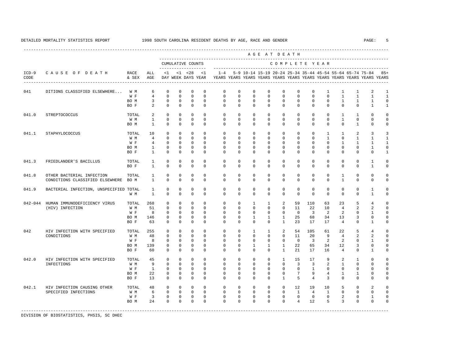|                 |                                                                   |                                     |                                                           |                                                                    |                                                                     |                                                                   |                                                                   |                                                          |                                                          |                                                                    | AGE AT DEATH                                                       |                                                                        |                                                         |                                                                   |                                                                               |                                                                           |                                                              |                                                                 |                                                                                  |
|-----------------|-------------------------------------------------------------------|-------------------------------------|-----------------------------------------------------------|--------------------------------------------------------------------|---------------------------------------------------------------------|-------------------------------------------------------------------|-------------------------------------------------------------------|----------------------------------------------------------|----------------------------------------------------------|--------------------------------------------------------------------|--------------------------------------------------------------------|------------------------------------------------------------------------|---------------------------------------------------------|-------------------------------------------------------------------|-------------------------------------------------------------------------------|---------------------------------------------------------------------------|--------------------------------------------------------------|-----------------------------------------------------------------|----------------------------------------------------------------------------------|
|                 |                                                                   |                                     |                                                           |                                                                    |                                                                     | CUMULATIVE COUNTS                                                 |                                                                   |                                                          |                                                          |                                                                    |                                                                    |                                                                        |                                                         |                                                                   | COMPLETE YEAR                                                                 |                                                                           |                                                              |                                                                 |                                                                                  |
| $ICD-9$<br>CODE | CAUSE OF DEATH                                                    | RACE<br>& SEX                       | ALL<br>AGE                                                | <1                                                                 |                                                                     | $< 1$ $< 28$<br>DAY WEEK DAYS YEAR                                | <1                                                                | $1 - 4$                                                  |                                                          |                                                                    | 5-9 10-14 15-19 20-24 25-34 35-44 45-54 55-64 65-74 75-84          |                                                                        |                                                         |                                                                   |                                                                               |                                                                           |                                                              |                                                                 | $85+$<br>YEARS YEARS YEARS YEARS YEARS YEARS YEARS YEARS YEARS YEARS YEARS YEARS |
| 041             | DITIONS CLASSIFIED ELSEWHERE                                      | W M<br>W F<br>BO M                  | 6<br>$\overline{4}$<br>$\overline{3}$                     | $\mathbf{0}$<br>$\Omega$<br>$\Omega$                               | $\mathbf{0}$<br>$\Omega$<br>$\Omega$                                | $\Omega$<br>$\Omega$<br>$\Omega$                                  | $\Omega$<br>$\Omega$<br>$\Omega$                                  | $\Omega$<br>$\Omega$<br>$\Omega$                         | $\Omega$<br>$\Omega$<br>$\Omega$                         | $\mathbf 0$<br>$\Omega$<br>$\Omega$                                | $\mathbf{0}$<br>$\Omega$<br>$\Omega$                               | $\mathbf 0$<br>$\Omega$<br>$\Omega$                                    | $\mathbf 0$<br>$\Omega$<br>$\Omega$                     | $\mathbf 0$<br>$\Omega$<br>$\Omega$                               | $\mathbf{1}$<br>$\Omega$<br>$\Omega$                                          | $\mathbf{1}$<br>$\mathbf{1}$<br>$\overline{1}$                            | 1<br>$\mathbf{1}$<br>$\mathbf{1}$                            | $\overline{a}$<br>$\mathbf{1}$<br>$\mathbf{1}$                  | $\mathbf{1}$<br>$\mathbf{1}$<br>$\Omega$                                         |
| 041.0           | STREPTOCOCCUS                                                     | BO F<br>TOTAL<br>W M<br>BO M        | 2<br>2<br>$\overline{1}$<br>$\overline{1}$                | $\Omega$<br>$\Omega$<br>$\Omega$<br>$\Omega$                       | $\mathbf 0$<br>$\Omega$<br>$\Omega$<br>$\Omega$                     | $\Omega$<br>$\Omega$<br>$\Omega$<br>$\Omega$                      | $\Omega$<br>$\Omega$<br>$\Omega$<br>$\Omega$                      | $\Omega$<br>$\Omega$<br>$\Omega$<br>$\Omega$             | $\Omega$<br>$\Omega$<br>$\Omega$<br>$\Omega$             | $\Omega$<br>$\Omega$<br>$\Omega$<br>$\Omega$                       | $\Omega$<br>$\Omega$<br>$\Omega$<br>$\Omega$                       | $\Omega$<br>$\Omega$<br>$\Omega$<br>$\Omega$                           | $\mathbf 0$<br>$\Omega$<br>$\Omega$<br>$\Omega$         | $\Omega$<br>$\Omega$<br>$\Omega$<br>$\Omega$                      | $\Omega$<br>$\Omega$<br>$\Omega$<br>$\Omega$                                  | $\Omega$<br>$\overline{1}$<br>$\overline{1}$<br>$\Omega$                  | $\mathbf 0$<br>$\mathbf{1}$<br>$\mathbf 0$<br>$\mathbf{1}$   | $\mathbf{1}$<br>$\Omega$<br>$\Omega$<br>$\Omega$                | $\mathbf{1}$<br>$\Omega$                                                         |
| 041.1           | STAPHYLOCOCCUS                                                    | TOTAL<br>W M<br>W F<br>BO M<br>BO F | 10<br>$\overline{4}$<br>4<br>$\mathbf{1}$<br>$\mathbf{1}$ | $\Omega$<br>$\Omega$<br>$\mathbf 0$<br>$\mathbf 0$<br>$\mathbf{0}$ | $\Omega$<br>$\Omega$<br>$\mathbf 0$<br>$\mathbf 0$<br>$\mathbf{0}$  | $\Omega$<br>$\Omega$<br>$\mathbf 0$<br>$\mathbf 0$<br>$\mathbf 0$ | $\Omega$<br>$\Omega$<br>$\mathbf 0$<br>$\mathbf 0$<br>$\mathbf 0$ | $\Omega$<br>$\Omega$<br>0<br>0<br>$\Omega$               | $\Omega$<br>$\Omega$<br>0<br>0<br>$\mathbf 0$            | $\Omega$<br>$\Omega$<br>$\mathbf 0$<br>$\mathbf{0}$<br>$\mathbf 0$ | $\Omega$<br>$\Omega$<br>$\mathbf 0$<br>$\circ$<br>$\mathbf 0$      | $\Omega$<br>$\Omega$<br>$\mathbf 0$<br>$\circ$<br>$\mathbf 0$          | $\Omega$<br>$\Omega$<br>$\mathbf 0$<br>0<br>$\mathbf 0$ | $\Omega$<br>$\Omega$<br>$\mathbf 0$<br>$\mathbf 0$<br>$\mathbf 0$ | $\overline{1}$<br>$\overline{1}$<br>$\mathbf 0$<br>$\mathbf 0$<br>$\mathbf 0$ | $\overline{1}$<br>$\Omega$<br>$\mathbf{1}$<br>$\mathbf{0}$<br>$\mathbf 0$ | $\overline{a}$<br>$\mathbf{1}$<br>$\mathbf{1}$<br>0<br>0     | 3<br>$\mathbf{1}$<br>1<br>1<br>$\mathbf 0$                      | $\mathbf{1}$<br>$\mathbf{1}$<br>$\Omega$<br>1                                    |
| 041.3           | FRIEDLANDER'S BACILLUS                                            | TOTAL<br>BO F                       | 1<br>$\mathbf{1}$                                         | 0<br>$\Omega$                                                      | $\mathbf 0$<br>$\mathbf 0$                                          | $\mathbf 0$<br>$\Omega$                                           | $\mathbf 0$<br>$\Omega$                                           | $\mathbf 0$<br>$\Omega$                                  | 0<br>$\mathbf 0$                                         | $\mathbf 0$<br>$\mathbf 0$                                         | $\mathbf 0$<br>$\mathbf{0}$                                        | $\mathbf 0$<br>$\Omega$                                                | $\mathbf 0$<br>$\mathbf 0$                              | $\mathbf 0$<br>$\mathbf 0$                                        | $\mathbf{0}$<br>$\mathbf 0$                                                   | $\mathbf{0}$<br>$\mathbf 0$                                               | 0<br>$\mathbf 0$                                             | $\mathbf{1}$<br>$\mathbf{1}$                                    | $\Omega$<br>$\Omega$                                                             |
| 041.8           | OTHER BACTERIAL INFECTION<br>CONDITIONS CLASSIFIED ELSEWHERE BO M | TOTAL                               | $\mathbf{1}$<br>$\mathbf{1}$                              | $\mathbf{0}$<br>$\Omega$                                           | $\mathbf{0}$<br>$\mathbf 0$                                         | $\Omega$<br>$\Omega$                                              | $\Omega$<br>$\mathbf 0$                                           | $\Omega$<br>$\Omega$                                     | $\Omega$<br>$\Omega$                                     | $\mathbf 0$<br>$\mathbf 0$                                         | $\mathbf 0$<br>$\mathbf{0}$                                        | $\Omega$<br>$\mathbf{0}$                                               | $\mathbf 0$<br>$\mathbf 0$                              | $\Omega$<br>$\mathbf 0$                                           | $\mathbf 0$<br>$\mathbf 0$                                                    | 1<br>$\mathbf{1}$                                                         | 0<br>$\mathbf 0$                                             | $\mathbf 0$<br>$\mathbf 0$                                      | $\Omega$<br>$\Omega$                                                             |
| 041.9           | BACTERIAL INFECTION, UNSPECIFIED TOTAL                            | W M                                 | <sup>1</sup><br>$\overline{1}$                            | $\Omega$<br>$\Omega$                                               | $\Omega$<br>$\Omega$                                                | $\Omega$<br>$\Omega$                                              | $\Omega$<br>$\Omega$                                              | $\Omega$<br>$\Omega$                                     | $\Omega$<br>$\Omega$                                     | $\Omega$<br>$\Omega$                                               | $\Omega$<br>$\mathbf 0$                                            | $\Omega$<br>$\mathbf{0}$                                               | $\Omega$<br>$\mathbf 0$                                 | $\Omega$<br>$\Omega$                                              | $\Omega$<br>$\mathbf{0}$                                                      | $\Omega$<br>$\Omega$                                                      | 0<br>$\mathbf 0$                                             | $\mathbf{1}$<br>$\mathbf{1}$                                    | $\Omega$<br>$\Omega$                                                             |
| $042 - 044$     | HUMAN IMMUNODEFICIENCY VIRUS<br>(HIV) INFECTION                   | TOTAL<br>W M<br>W F<br>BO M<br>BO F | 268<br>51<br>8<br>146<br>63                               | $\Omega$<br>$\Omega$<br>$\Omega$<br>$\Omega$<br>$\Omega$           | $\Omega$<br>$\Omega$<br>$\Omega$<br>$\Omega$<br>$\Omega$            | $\Omega$<br>$\Omega$<br>$\Omega$<br>$\mathbf 0$<br>$\Omega$       | $\Omega$<br>$\Omega$<br>$\Omega$<br>$\Omega$<br>$\Omega$          | $\Omega$<br>$\Omega$<br>$\Omega$<br>$\Omega$<br>$\Omega$ | $\Omega$<br>$\Omega$<br>$\Omega$<br>$\Omega$<br>$\Omega$ | $\overline{1}$<br>$\Omega$<br>$\Omega$<br>$\mathbf{1}$<br>$\Omega$ | $\overline{1}$<br>$\Omega$<br>$\Omega$<br>1<br>$\Omega$            | $\mathfrak{D}$<br>$\Omega$<br>$\Omega$<br>$\mathbf{1}$<br>$\mathbf{1}$ | 59<br>11<br>$\Omega$<br>25<br>23                        | 110<br>22<br>$\mathbf{3}$<br>68<br>17                             | 63<br>10<br>$\overline{2}$<br>34<br>17                                        | 2.3<br>$\overline{4}$<br>$\overline{a}$<br>13<br>$\overline{4}$           | 5<br>2<br>$\Omega$<br>3<br>$\Omega$                          | 4<br>$\overline{a}$<br>$\mathbf{1}$<br>$\Omega$<br>$\mathbf{1}$ |                                                                                  |
| 042             | HIV INFECTION WITH SPECIFIED<br>CONDITIONS                        | TOTAL<br>W M<br>W F<br>BO M<br>BO F | 255<br>48<br>8<br>139<br>60                               | $\mathbf 0$<br>0<br>$\Omega$<br>0<br>$\Omega$                      | $\mathbf{0}$<br>$\mathbf 0$<br>$\Omega$<br>$\mathbf{0}$<br>$\Omega$ | $\mathbf 0$<br>$\Omega$<br>$\Omega$<br>0<br>$\Omega$              | $\mathbf 0$<br>$\Omega$<br>$\Omega$<br>$\mathbf 0$<br>$\Omega$    | $\mathbf 0$<br>0<br>$\Omega$<br>$\mathbf 0$<br>$\Omega$  | $\mathbf 0$<br>0<br>$\Omega$<br>$\mathbf 0$<br>$\Omega$  | 1<br>$\mathbf 0$<br>$\Omega$<br>1<br>$\Omega$                      | 1<br>$\mathbf{0}$<br>$\Omega$<br>1<br>$\mathbf{0}$                 | 2<br>$\mathbf 0$<br>$\Omega$<br>$\mathbf{1}$<br>$\mathbf{1}$           | 54<br>11<br>$\Omega$<br>22<br>21                        | 105<br>20<br>$\overline{3}$<br>65<br>17                           | 61<br>9<br>2<br>34<br>16                                                      | 22<br>$\overline{4}$<br>2<br>12<br>$\overline{4}$                         | 5<br>2<br>0<br>3<br>0                                        | 4<br>$\mathfrak{D}$<br>1<br>$\mathsf 0$<br>$\mathbf{1}$         | $\Omega$                                                                         |
| 042.0           | HIV INFECTION WITH SPECIFIED<br>INFECTIONS                        | TOTAL<br>W M<br>W F<br>BO M<br>BO F | 45<br>9<br>$\mathbf{1}$<br>22<br>13                       | $\mathbf{0}$<br>$\Omega$<br>$\Omega$<br>$\Omega$<br>$\Omega$       | $\mathbf{0}$<br>$\Omega$<br>$\Omega$<br>$\Omega$<br>$\Omega$        | $\mathbf 0$<br>$\Omega$<br>$\Omega$<br>$\Omega$<br>$\Omega$       | $\Omega$<br>$\Omega$<br>$\Omega$<br>$\Omega$<br>$\Omega$          | $\Omega$<br>$\Omega$<br>$\Omega$<br>$\Omega$<br>$\Omega$ | $\Omega$<br>$\Omega$<br>$\Omega$<br>$\Omega$<br>$\Omega$ | $\Omega$<br>$\Omega$<br>$\Omega$<br>$\Omega$<br>$\Omega$           | $\mathbf 0$<br>$\mathbf{0}$<br>$\mathbf 0$<br>$\Omega$<br>$\Omega$ | $\mathbf{1}$<br>$\Omega$<br>$\Omega$<br>$\Omega$<br>$\mathbf{1}$       | 15<br>$\overline{3}$<br>$\mathbf 0$<br>7<br>5           | 17<br>$\overline{3}$<br>$\mathbf{1}$<br>9<br>$\overline{4}$       | 9<br>2<br>$\Omega$<br>$\overline{4}$<br>3                                     | 2<br>$\overline{1}$<br>$\Omega$<br>$\mathbf{1}$<br>$\Omega$               | $\mathbf{1}$<br>0<br>$\mathbf 0$<br>$\mathbf{1}$<br>$\Omega$ | $\Omega$<br>$\Omega$<br>$\Omega$<br>$\Omega$<br>$\Omega$        | $\cap$                                                                           |
| 042.1           | HIV INFECTION CAUSING OTHER<br>SPECIFIED INFECTIONS               | TOTAL<br>W M<br>W F<br>BO M         | 48<br>6<br>$\overline{3}$<br>2.4                          | $\Omega$<br>$\Omega$<br>$\mathbf 0$<br>$\Omega$                    | $\Omega$<br>$\Omega$<br>$\mathbf 0$<br>$\Omega$                     | $\Omega$<br>$\Omega$<br>$\mathbf 0$<br>$\Omega$                   | $\Omega$<br>$\Omega$<br>$\mathbf 0$<br>$\Omega$                   | $\Omega$<br>$\Omega$<br>$\mathbf 0$<br>$\Omega$          | $\Omega$<br>$\Omega$<br>$\mathbf 0$<br>$\Omega$          | $\mathbf 0$<br>$\Omega$<br>$\mathbf 0$<br>$\Omega$                 | $\mathbf 0$<br>$\Omega$<br>$\mathbf 0$<br>$\Omega$                 | $\Omega$<br>$\Omega$<br>$\mathbf 0$<br>$\Omega$                        | 12<br>$\mathbf{1}$<br>$\mathbf{0}$<br>$\overline{4}$    | 19<br>$\overline{4}$<br>$\mathbf 0$<br>12                         | 10<br>$\overline{1}$<br>$\mathbf{0}$<br>5                                     | 5<br>$\Omega$<br>$\overline{a}$<br>3                                      | $\Omega$<br>$\Omega$<br>$\mathbf 0$<br>$\Omega$              | $\mathfrak{D}$<br>$\Omega$<br>$\mathbf{1}$<br>$\Omega$          | $\Omega$<br>$\Omega$                                                             |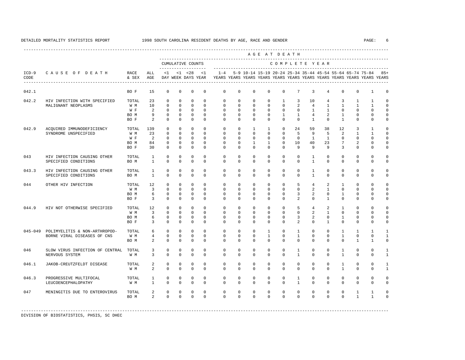|                 |                                 |               |                |              |              |                                          |              |             |             |                                                           |              | AGE AT DEATH  |                 |                |                |                |              |                                                                         |              |
|-----------------|---------------------------------|---------------|----------------|--------------|--------------|------------------------------------------|--------------|-------------|-------------|-----------------------------------------------------------|--------------|---------------|-----------------|----------------|----------------|----------------|--------------|-------------------------------------------------------------------------|--------------|
|                 |                                 |               |                |              |              | CUMULATIVE COUNTS<br>------------------- |              |             |             |                                                           |              | COMPLETE YEAR |                 |                |                |                |              |                                                                         |              |
| $ICD-9$<br>CODE | CAUSE OF DEATH                  | RACE<br>& SEX | ALL<br>AGE     | <1           |              | $< 1$ $< 28$<br>DAY WEEK DAYS YEAR       | <1           | $1 - 4$     |             | 5-9 10-14 15-19 20-24 25-34 35-44 45-54 55-64 65-74 75-84 |              |               |                 |                |                |                |              | YEARS YEARS YEARS YEARS YEARS YEARS YEARS YEARS YEARS YEARS YEARS YEARS | $85+$        |
| 042.1           |                                 | BO F          | 15             | $\mathbf{0}$ | $\mathbf{0}$ | $\mathbf{0}$                             | $\mathbf{0}$ | $\mathbf 0$ | $\Omega$    | $\Omega$                                                  | $\Omega$     | $\Omega$      | $7\phantom{.0}$ | $\overline{3}$ | $\overline{4}$ | $\mathbf{0}$   | $\mathbf 0$  | $\mathbf{1}$                                                            | $\Omega$     |
| 042.2           | HIV INFECTION WITH SPECIFIED    | TOTAL         | 23             | $\Omega$     | $\Omega$     | $\Omega$                                 | $\Omega$     | $\Omega$    | $\Omega$    | $\Omega$                                                  | $\Omega$     | $\mathbf{1}$  | $\overline{3}$  | 10             | $\overline{4}$ | 3              | $\mathbf{1}$ | $\mathbf{1}$                                                            | $\Omega$     |
|                 | MALIGNANT NEOPLASMS             | W M           | 10             | $\mathbf{0}$ | $\mathbf 0$  | $\mathbf 0$                              | $\Omega$     | $\mathbf 0$ | $\Omega$    | $\Omega$                                                  | $\Omega$     | $\Omega$      | $\overline{a}$  | $\overline{4}$ | $\mathbf{1}$   | $\mathbf{1}$   | $\mathbf{1}$ | $\mathbf{1}$                                                            | $\Omega$     |
|                 |                                 | W F           | $\mathfrak{D}$ | $\mathbf{0}$ | $\Omega$     | $\mathbf{0}$                             | $\Omega$     | $\Omega$    | $\Omega$    | $\Omega$                                                  | $\Omega$     | $\Omega$      | $\Omega$        | $\overline{1}$ | $\overline{1}$ | $\Omega$       | $\Omega$     | $\Omega$                                                                | $\Omega$     |
|                 |                                 | BO M          | 9              | $\mathbf{0}$ | $\Omega$     | $\mathbf{0}$                             | $\Omega$     | $\Omega$    | $\Omega$    | $\Omega$                                                  | $\Omega$     | $\mathbf{1}$  | $\mathbf{1}$    | $\overline{4}$ | 2              | $\mathbf{1}$   | $\Omega$     | $\Omega$                                                                | $\Omega$     |
|                 |                                 | BO F          | $\overline{2}$ | $\Omega$     | $\mathbf{0}$ | $\Omega$                                 | $\Omega$     | $\Omega$    | $\Omega$    | $\Omega$                                                  | $\Omega$     | $\Omega$      | $\Omega$        | $\mathbf{1}$   | $\Omega$       | $\mathbf{1}$   | $\Omega$     | $\Omega$                                                                | $\mathbf 0$  |
| 042.9           | ACOUIRED IMMUNODEFICIENCY       | TOTAL         | 139            | $\Omega$     | $\Omega$     | $\Omega$                                 | $\Omega$     | $\Omega$    | $\Omega$    | $\overline{1}$                                            | $\mathbf{1}$ | $\Omega$      | 24              | 59             | 38             | 12             | 3            | $\mathbf{1}$                                                            | $\Omega$     |
|                 | SYNDROME UNSPECIFIED            | W M           | 23             | $\Omega$     | $\Omega$     | $\Omega$                                 | $\Omega$     | $\Omega$    | $\Omega$    | $\Omega$                                                  | $\Omega$     | $\Omega$      | 5               | 9              | 5              | 2              | $\mathbf{1}$ | $\mathbf{1}$                                                            | $\Omega$     |
|                 |                                 | W F           | 2              | $\Omega$     | $\Omega$     | $\Omega$                                 | $\Omega$     | $\Omega$    | $\Omega$    | $\Omega$                                                  | $\Omega$     | $\Omega$      | $\Omega$        | $\mathbf{1}$   | $\mathbf{1}$   | $\Omega$       | $\Omega$     | $\Omega$                                                                | $\Omega$     |
|                 |                                 | BO M          | 84             | $\mathbf{0}$ | $\mathbf{0}$ | $\mathbf 0$                              | $\Omega$     | $\Omega$    | $\Omega$    | $\mathbf{1}$                                              | $\mathbf{1}$ | $\Omega$      | 10              | 40             | 23             | 7              | 2            | 0                                                                       | $\Omega$     |
|                 |                                 | BO F          | 30             | $\mathbf{0}$ | $\mathbf{0}$ | $\mathbf{0}$                             | $\Omega$     | $\Omega$    | $\Omega$    | $\Omega$                                                  | $\Omega$     | $\Omega$      | 9               | 9              | 9              | 3              | 0            | $\Omega$                                                                | $\Omega$     |
| 043             | HIV INFECTION CAUSING OTHER     | TOTAL         | $\mathbf{1}$   | $\mathbf{0}$ | $\mathbf{0}$ | $\mathbf{0}$                             | $\Omega$     | $\mathbf 0$ | $\mathbf 0$ | $\Omega$                                                  | $\mathbf 0$  | $\Omega$      | $\Omega$        | $\mathbf{1}$   | $\mathbf 0$    | $\Omega$       | $\circ$      | $\Omega$                                                                | $\mathbf 0$  |
|                 | SPECIFIED CONDITIONS            | BO M          | $\mathbf{1}$   | $\mathbf{0}$ | $\mathbf{0}$ | $\Omega$                                 | $\Omega$     | $\mathbf 0$ | $\Omega$    | $\Omega$                                                  | $\Omega$     | $\Omega$      | $\Omega$        | $\mathbf{1}$   | $\Omega$       | $\Omega$       | 0            | $\Omega$                                                                | $\Omega$     |
| 043.3           | HIV INFECTION CAUSING OTHER     | TOTAL         | $\mathbf{1}$   | $\mathbf{0}$ | $\mathbf{0}$ | $\mathbf{0}$                             | $\mathbf{0}$ | $\mathbf 0$ | $\mathbf 0$ | $\Omega$                                                  | $\Omega$     | $\Omega$      | $\mathbf 0$     | $\mathbf{1}$   | $\mathbf 0$    | $\Omega$       | $\circ$      | $\Omega$                                                                | $\mathbf 0$  |
|                 | SPECIFIED CONDITIONS            | BO M          | $\mathbf{1}$   | $\mathbf{0}$ | $\circ$      | $\Omega$                                 | $\mathbf{0}$ | $\mathbf 0$ | $\Omega$    | $\Omega$                                                  | $\mathbf 0$  | $\Omega$      | $\Omega$        | $\mathbf{1}$   | $\Omega$       | $\Omega$       | 0            | $\Omega$                                                                | $\Omega$     |
| 044             | OTHER HIV INFECTION             | TOTAL         | 12             | $\mathbf 0$  | $\mathbf 0$  | $\mathbf 0$                              | $\Omega$     | $\mathbf 0$ | $\Omega$    | $\Omega$                                                  | $\Omega$     | $\Omega$      | 5               | $\overline{4}$ | 2              | $\overline{1}$ | $\Omega$     | $\Omega$                                                                | $\Omega$     |
|                 |                                 | W M           | 3              | $\Omega$     | $\Omega$     | $\Omega$                                 | $\Omega$     | $\Omega$    | $\Omega$    | $\Omega$                                                  | $\Omega$     | $\Omega$      | $\Omega$        | $\overline{2}$ | $\mathbf{1}$   | $\Omega$       | $\Omega$     | $\Omega$                                                                | $\Omega$     |
|                 |                                 | BO M          | 6              | $\mathbf{0}$ | $\Omega$     | $\Omega$                                 | $\Omega$     | $\Omega$    | $\Omega$    | $\Omega$                                                  | $\Omega$     | $\Omega$      | 3               | 2              | $\Omega$       | $\mathbf{1}$   | $\Omega$     | $\Omega$                                                                | $\Omega$     |
|                 |                                 | BO F          | $\overline{3}$ | $\mathbf{0}$ | $\mathbf{0}$ | $\mathbf{0}$                             | $\Omega$     | $\Omega$    | $\Omega$    | $\Omega$                                                  | $\Omega$     | $\Omega$      | $\overline{a}$  | $\Omega$       | $\mathbf{1}$   | $\Omega$       | $\Omega$     | $\Omega$                                                                | $\Omega$     |
| 044.9           | HIV NOT OTHERWISE SPECIFIED     | TOTAL         | 12             | $\mathbf{0}$ | $\mathbf{0}$ | $\mathbf{0}$                             | $\Omega$     | $\mathbf 0$ | $\mathbf 0$ | $\Omega$                                                  | $\mathbf 0$  | $\Omega$      | 5               | $\overline{4}$ | 2              | $\mathbf{1}$   | $\mathbf 0$  | $\Omega$                                                                | $\Omega$     |
|                 |                                 | W M           | $\overline{3}$ | $\mathbf{0}$ | $\mathbf{0}$ | $\mathbf{0}$                             | $\Omega$     | $\Omega$    | $\Omega$    | $\Omega$                                                  | $\Omega$     | $\Omega$      | $\Omega$        | 2              | $\mathbf{1}$   | $\Omega$       | $\Omega$     | $\Omega$                                                                | $\Omega$     |
|                 |                                 | BO M          | 6              | $\circ$      | $\circ$      | $\mathbf 0$                              | $\mathbf{0}$ | $\mathbf 0$ | $\Omega$    | $\mathbf 0$                                               | $\Omega$     | $\Omega$      | 3               | $\overline{a}$ | $\Omega$       | $\mathbf{1}$   | 0            | 0                                                                       | $\mathbf 0$  |
|                 |                                 | BO F          | $\overline{3}$ | $\mathbf{0}$ | $\mathbf{0}$ | $\mathbf{0}$                             | $\mathbf 0$  | $\mathbf 0$ | $\mathbf 0$ | $\mathbf 0$                                               | $\mathbf 0$  | $\mathbf 0$   | $\overline{a}$  | $\mathbf 0$    | $\mathbf{1}$   | $\mathbf 0$    | 0            | $\mathbf 0$                                                             | $\mathbf 0$  |
| $045 - 049$     | POLIMYELITIS & NON-ARTHROPOD-   | TOTAL         | 6              | $\Omega$     | $\Omega$     | $\Omega$                                 | $\Omega$     | $\Omega$    | $\Omega$    | $\Omega$                                                  | $\mathbf{1}$ | $\Omega$      | $\mathbf{1}$    | $\Omega$       | $\Omega$       | $\mathbf{1}$   | $\mathbf{1}$ | $\mathbf{1}$                                                            | $\mathbf{1}$ |
|                 | BORNE VIRAL DISEASES OF CNS     | W M           | $\overline{4}$ | $\mathbf{0}$ | $\mathbf{0}$ | $\mathbf{0}$                             | $\mathbf{0}$ | $\mathbf 0$ | $\mathbf 0$ | $\mathbf 0$                                               | $\mathbf{1}$ | $\mathbf 0$   | $\mathbf{1}$    | $\mathbf 0$    | $\mathbf 0$    | $\mathbf{1}$   | $\mathbf 0$  | $\mathbf 0$                                                             | $\mathbf{1}$ |
|                 |                                 | BO M          | 2              | $\mathbf{0}$ | $\mathbf{0}$ | $\mathbf{0}$                             | $\mathbf{0}$ | $\Omega$    | $^{\circ}$  | $\Omega$                                                  | $\Omega$     | $\Omega$      | $\Omega$        | $\Omega$       | $\Omega$       | $\Omega$       | 1            | 1                                                                       | $\Omega$     |
| 046             | SLOW VIRUS INFECTION OF CENTRAL | TOTAL         | 3              | 0            | 0            | $\mathbb O$                              | $\mathbf{0}$ | $^{\circ}$  | $\mathbf 0$ | $\mathbf 0$                                               | $\mathbf 0$  | $\mathbf 0$   | $\mathbf{1}$    | $\circ$        | $\mathbf 0$    | 1              | 0            | 0                                                                       | $\mathbf{1}$ |
|                 | NERVOUS SYSTEM                  | W M           | 3              | $\mathbf{0}$ | $\mathbf{0}$ | $\mathbf{0}$                             | $\mathbf{0}$ | $\Omega$    | $\Omega$    | $\Omega$                                                  | $\Omega$     | $\Omega$      | $\mathbf{1}$    | $\Omega$       | $\Omega$       | $\mathbf{1}$   | $\Omega$     | $\Omega$                                                                | $\mathbf{1}$ |
| 046.1           | JAKOB-CREUTZFELDT DISEASE       | TOTAL         | 2              | 0            | 0            | $\mathbb O$                              | $\mathbf{0}$ | $^{\circ}$  | $\mathbf 0$ | $\mathbf 0$                                               | $\mathbf 0$  | $\mathbf 0$   | $\mathbf 0$     | $\mathbf 0$    | $\mathbf 0$    | 1              | 0            | 0                                                                       | $\mathbf{1}$ |
|                 |                                 | W M           | 2              | $\mathbf{0}$ | $\mathbf{0}$ | $\mathbf{0}$                             | $\mathbf{0}$ | $\Omega$    | $\Omega$    | $\Omega$                                                  | $\Omega$     | $\Omega$      | $\Omega$        | $\Omega$       | $\Omega$       | $\mathbf{1}$   | $\Omega$     | $\Omega$                                                                | $\mathbf{1}$ |
| 046.3           | PROGRESSIVE MULTIFOCAL          | TOTAL         | $\mathbf{1}$   | 0            | 0            | 0                                        | $\mathbf{0}$ | 0           | $^{\circ}$  | $\mathbf{0}$                                              | $\mathbf{0}$ | 0             | $\mathbf{1}$    | $\circ$        | $\mathbf 0$    | $\mathbf 0$    | 0            | 0                                                                       | $\Omega$     |
|                 | LEUCOENCEPHALOPATHY             | W M           | $\mathbf{1}$   | $\Omega$     | $\Omega$     | $\mathbf{0}$                             | $\Omega$     | $\Omega$    | $\Omega$    | $\Omega$                                                  | $\Omega$     | $\Omega$      | $\mathbf{1}$    | $\Omega$       | $\Omega$       | $\Omega$       | $\Omega$     | $\mathbf 0$                                                             | $\Omega$     |
| 047             | MENINGITIS DUE TO ENTEROVIRUS   | TOTAL         | 2              | 0            | 0            | 0                                        | $\mathbf 0$  | 0           | $\mathbf 0$ | 0                                                         | $\mathbf{0}$ | 0             | 0               | 0              | $\mathbf 0$    | 0              | 1            | 1                                                                       | $\Omega$     |
|                 |                                 | BO M          | $\overline{2}$ | $\Omega$     | $\Omega$     | $\Omega$                                 | $\Omega$     | $\Omega$    | $\Omega$    | $\Omega$                                                  | $\Omega$     | $\Omega$      | $\Omega$        | $\Omega$       | $\Omega$       | $\Omega$       | $\mathbf{1}$ | $\mathbf{1}$                                                            | $\Omega$     |
|                 |                                 |               |                |              |              |                                          |              |             |             |                                                           |              |               |                 |                |                |                |              |                                                                         |              |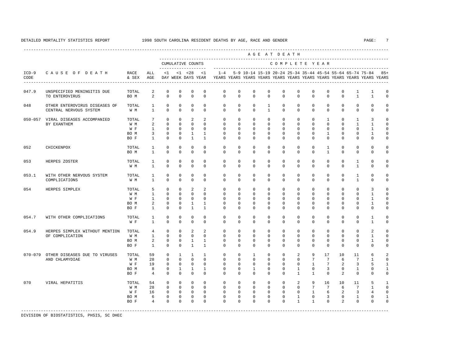---------------------------------------------------------------------------------------------------------------------------------------------------- A G E A T D E A T H --------------------------------------------------------------------------------------------- CUMULATIVE COUNTS C O M P L E T E Y E A R ------------------- ----------------------------------------------------------------------- ICD-9 C A U S E O F D E A T H RACE ALL <1 <1 <28 <1 1-4 5-9 10-14 15-19 20-24 25-34 35-44 45-54 55-64 65-74 75-84 85+ CODE & SEX AGE DAY WEEK DAYS YEAR YEARS YEARS YEARS YEARS YEARS YEARS YEARS YEARS YEARS YEARS YEARS YEARS ---------------------------------------------------------------------------------------------------------------------------------------------------- 047.9 UNSPECIFIED MENINGITIS DUE TOTAL 2 0 0 0 0 0 0 0 0 0 0 0 0 0 1 1 0 TO ENTEROVIRUS BO M 2 0 0 0 0 0 0 0 0 0 0 0 0 0 1 1 0 048 OTHER ENTEROVIRUS DISEASES OF TOTAL 1 0 0 0 0 0 0 0 0 1 0 0 0 0 0 0 0 0 0 CENTRAL NERVOUS SYSTEM W M 1 0 0 0 0 0 0 0 1 0 0 0 0 0 0 0 0 050-057 VIRAL DISEASES ACCOMPANIED TOTAL 7 0 0 2 2 0 0 0 0 0 0 0 1 0 1 3 0 BY EXANTHEM W M 2 0 0 0 0 0 0 0 0 0 0 0 0 0 1 1 0 W F 1 0 0 0 0 0 0 0 0 0 0 0 0 0 0 1 0 BOM 3 0 0 1 1 0 0 0 0 0 0 0 0 0 1 0 0 1 0 BOF 1 0 0 1 1 0 0 0 0 0 0 0 0 0 0 0 0 0 0 052 CHICKENPOX TOTAL 1 0 0 0 0 0 0 0 0 0 0 0 1 0 0 0 0 BO M 1 0 0 0 0 0 0 0 0 0 0 0 1 0 0 0 0 053 HERPES ZOSTER TOTAL 1 0 0 0 0 0 0 0 0 0 0 0 0 0 1 0 0 W M 1 0 0 0 0 0 0 0 0 0 0 0 0 0 1 0 0 053.1 WITH OTHER NERVOUS SYSTEM TOTAL 1 0 0 0 0 0 0 0 0 0 0 0 0 0 1 0 0 COMPLICATIONS W M 1 0 0 0 0 0 0 0 0 0 0 0 0 0 1 0 0 054 HERPES SIMPLEX TOTAL 5 0 0 2 2 0 0 0 0 0 0 0 0 0 0 3 0 W M 1 0 0 0 0 0 0 0 0 0 0 0 0 0 0 1 0 W F 1 0 0 0 0 0 0 0 0 0 0 0 0 0 0 1 0 BO M 2 0 0 1 1 0 0 0 0 0 0 0 0 0 0 1 0 BOF 1 0 0 1 1 0 0 0 0 0 0 0 0 0 0 0 0 0 0 054.7 WITH OTHER COMPLICATIONS TOTAL 1 0 0 0 0 0 0 0 0 0 0 0 0 0 0 1 0 W F 1 0 0 0 0 0 0 0 0 0 0 0 0 0 0 1 0 054.9 HERPES SIMPLEX WITHOUT MENTION TOTAL 4 0 0 2 2 0 0 0 0 0 0 0 0 0 0 0 0 2 0<br>OF COMPLICATION WH 1 0 0 0 0 0 0 0 0 0 0 0 0 0 0 0 0 0 1 0  $1 \quad 0 \quad 0 \quad 0 \quad 0$  BO M 2 0 0 1 1 0 0 0 0 0 0 0 0 0 0 1 0 BO F 1 0 0 1 1 0 0 0 0 0 0 0 0 0 0 0 0 070-079 OTHER DISEASES DUE TO VIRUSES TOTAL 59 0 1 1 1 0 0 1 0 0 2 9 17 10 11 6 2<br>AND CHLAMYDIAE W M 28 0 0 0 0 0 0 0 0 0 0 1 7 7 6 7 1 0 AND CHLAMYDIAE W M 28 0 0 0 0 0 0 0 0 0 0 7 7 6 7 1 0 W F 19 0 0 0 0 0 0 0 0 0 0 0 1 7 2 3 5 1 BOM 8 0 1 1 1 0 0 1 0 0 1 0 0 3 0 1 0 1 BOF 4 0 0 0 0 0 0 0 0 0 0 1 1 0 2 0 0 0 070 VIRAL HEPATITIS TOTAL 54 0 0 0 0 0 0 0 0 0 2 9 16 10 11 5 1 W M 28 0 0 0 0 0 0 0 0 0 0 7 7 6 7 1 0 W F 16 0 0 0 0 0 0 0 0 0 0 0 1 6 2 3 4 0 BOM 6 0 0 0 0 0 0 0 0 0 0 0 3 0 1 0 1 BOF 4 0 0 0 0 0 0 0 0 0 0 1 1 0 2 0 0 0 -----------------------------------------------------------------------------------------------------------------------------------------------------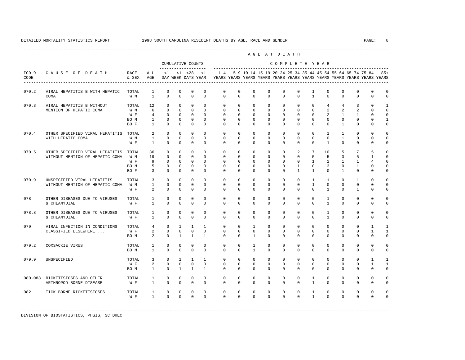|                 |                                                                    |                                     |                                                            |                                                                    |                                                                      |                                                                    |                                                                     |                                                                         |                                                             |                                                                     |                                                                 | AGE AT DEATH                                                 |                                                              |                                                             |                                                  |                                                                              |                                     |                                                          |                                                                  |
|-----------------|--------------------------------------------------------------------|-------------------------------------|------------------------------------------------------------|--------------------------------------------------------------------|----------------------------------------------------------------------|--------------------------------------------------------------------|---------------------------------------------------------------------|-------------------------------------------------------------------------|-------------------------------------------------------------|---------------------------------------------------------------------|-----------------------------------------------------------------|--------------------------------------------------------------|--------------------------------------------------------------|-------------------------------------------------------------|--------------------------------------------------|------------------------------------------------------------------------------|-------------------------------------|----------------------------------------------------------|------------------------------------------------------------------|
|                 |                                                                    |                                     |                                                            |                                                                    |                                                                      | CUMULATIVE COUNTS<br>-------------------                           |                                                                     |                                                                         |                                                             |                                                                     |                                                                 | COMPLETE YEAR                                                |                                                              |                                                             |                                                  |                                                                              |                                     |                                                          |                                                                  |
| $ICD-9$<br>CODE | CAUSE OF DEATH                                                     | RACE<br>& SEX                       | ALL<br>AGE                                                 |                                                                    |                                                                      | $<1$ $<1$ $<28$ $<1$<br>DAY WEEK DAYS YEAR                         |                                                                     | YEARS YEARS YEARS YEARS YEARS YEARS YEARS YEARS YEARS YEARS YEARS YEARS |                                                             |                                                                     |                                                                 |                                                              |                                                              |                                                             |                                                  | 1-4 5-9 10-14 15-19 20-24 25-34 35-44 45-54 55-64 65-74 75-84 85+            |                                     |                                                          |                                                                  |
| 070.2           | VIRAL HEPATITIS B WITH HEPATIC<br>COMA                             | TOTAL<br>W M                        | $\mathbf{1}$<br>$\mathbf{1}$                               | $\mathbf 0$<br>$\Omega$                                            | $\mathbf 0$<br>$\Omega$                                              | $\mathbf 0$<br>$\Omega$                                            | $\mathbf 0$<br>$\Omega$                                             | $\mathbf 0$<br>$\Omega$                                                 | $\mathbf 0$<br>$\Omega$                                     | $\mathbf 0$<br>$\mathbf{0}$                                         | $\mathbf 0$<br>$\Omega$                                         | $\mathbf 0$<br>$\mathbf 0$                                   | $^{\circ}$<br>$\Omega$                                       | $\mathbf{1}$<br>$\mathbf{1}$                                | $\mathbf 0$<br>$\Omega$                          | $\mathbf 0$<br>$\Omega$                                                      | $\mathbf 0$<br>$\mathbf 0$          | $\mathbf 0$<br>$\Omega$                                  | $\mathbf 0$<br>$\Omega$                                          |
| 070.3           | VIRAL HEPATITIS B WITHOUT<br>MENTION OF HEPATIC COMA               | TOTAL<br>W M<br>W F<br>BO M<br>BO F | 12<br>6<br>$4\overline{ }$<br>$\mathbf{1}$<br>$\mathbf{1}$ | $\Omega$<br>$\circ$<br>$\Omega$<br>$\Omega$<br>$\Omega$            | $\Omega$<br>$\Omega$<br>$\Omega$<br>$\Omega$<br>$\Omega$             | $\Omega$<br>$\circ$<br>$\Omega$<br>$\Omega$<br>$\Omega$            | $\Omega$<br>$\Omega$<br>$\Omega$<br>$\Omega$<br>$\Omega$            | $\Omega$<br>$\mathbf 0$<br>$\mathbf 0$<br>$\Omega$<br>$\Omega$          | $\Omega$<br>$\mathbf 0$<br>$\Omega$<br>$\Omega$<br>$\Omega$ | $\Omega$<br>$\mathbf 0$<br>$\circ$<br>$\Omega$<br>$\Omega$          | $\Omega$<br>$\mathbf 0$<br>$\Omega$<br>$\Omega$<br>$\Omega$     | $\Omega$<br>$\mathbf{0}$<br>$\Omega$<br>$\Omega$<br>$\Omega$ | $\Omega$<br>$\mathbf 0$<br>$\Omega$<br>$\Omega$<br>$\Omega$  | $\Omega$<br>$\mathbf 0$<br>$\Omega$<br>$\Omega$<br>$\Omega$ | $\overline{4}$<br>2<br>2<br>$\Omega$<br>$\Omega$ | $\overline{4}$<br>$\overline{a}$<br>$\mathbf{1}$<br>$\Omega$<br>$\mathbf{1}$ | 3<br>2<br>1<br>$\Omega$<br>$\Omega$ | $\Omega$<br>$\Omega$<br>$\Omega$<br>$\Omega$<br>$\Omega$ | $\mathbf{1}$<br>$\Omega$<br>$\Omega$<br>$\mathbf{1}$<br>$\Omega$ |
| 070.4           | OTHER SPECIFIED VIRAL HEPATITIS TOTAL<br>WITH HEPATIC COMA         | W M<br>W F                          | $\mathfrak{D}$<br>$\mathbf{1}$<br>$\mathbf{1}$             | $\Omega$<br>$\mathbf 0$<br>$\Omega$                                | $\Omega$<br>$\mathbf{0}$<br>$\Omega$                                 | $\Omega$<br>$\mathbf 0$<br>$\Omega$                                | $\Omega$<br>$\mathbf 0$<br>$\Omega$                                 | $\Omega$<br>0<br>$\Omega$                                               | $\Omega$<br>$\circ$<br>$\Omega$                             | $\Omega$<br>$\mathbf{0}$<br>$\Omega$                                | $\Omega$<br>$\circ$<br>$\Omega$                                 | $\Omega$<br>$\mathbf 0$<br>$\Omega$                          | $\Omega$<br>$\mathbf 0$<br>$\Omega$                          | $\Omega$<br>$\mathbf 0$<br>$\Omega$                         | $\overline{1}$<br>$\mathbf{0}$<br>$\mathbf{1}$   | $\mathbf{1}$<br>$\mathbf{1}$<br>$\Omega$                                     | $\Omega$<br>$\circ$<br>$\Omega$     | $\Omega$<br>0<br>$^{\circ}$                              | $\Omega$<br>$\Omega$<br>$\Omega$                                 |
| 070.5           | OTHER SPECIFIED VIRAL HEPATITIS<br>WITHOUT MENTION OF HEPATIC COMA | TOTAL<br>W M<br>W F<br>BO M<br>BO F | 36<br>19<br>9<br>5<br>$\overline{3}$                       | $\mathbf{0}$<br>$\Omega$<br>$\mathbf 0$<br>$\mathbf 0$<br>$\Omega$ | $\mathbf{0}$<br>$\Omega$<br>$\mathbf{0}$<br>$\mathbf{0}$<br>$\Omega$ | $\mathbf{0}$<br>$\Omega$<br>$\mathbf 0$<br>$\mathbf 0$<br>$\Omega$ | $\mathbf{0}$<br>$\Omega$<br>$\mathbf{0}$<br>$\mathbf 0$<br>$\Omega$ | 0<br>$\Omega$<br>$\mathbf 0$<br>$\mathbf 0$<br>$\Omega$                 | 0<br>$\Omega$<br>$\mathbf 0$<br>0<br>$\Omega$               | $\mathbf{0}$<br>$\Omega$<br>$\mathbf 0$<br>$\mathbf{0}$<br>$\Omega$ | $\mathbf{0}$<br>$\Omega$<br>$\mathbf{0}$<br>$\circ$<br>$\Omega$ | $\circ$<br>$\Omega$<br>$\mathbf 0$<br>$\circ$<br>$\Omega$    | 2<br>$\Omega$<br>$\mathbf 0$<br>$\mathbf{1}$<br>$\mathbf{1}$ | 7<br>5<br>$\mathbf{1}$<br>$\mathbf 0$<br>$\mathbf{1}$       | 10<br>-5<br>2<br>3<br>$\Omega$                   | 5<br>3<br>$\mathbf{1}$<br>$\mathbf{0}$<br>$\mathbf{1}$                       | 7<br>5<br>1<br>1<br>$\Omega$        | 5<br>$\mathbf{1}$<br>4<br>$\Omega$<br>$\Omega$           | $\Omega$<br>$\Omega$<br>$\Omega$<br>$\Omega$<br>$\Omega$         |
| 070.9           | UNSPECIFIED VIRAL HEPATITIS<br>WITHOUT MENTION OF HEPATIC COMA     | TOTAL<br>W M<br>W F                 | 3<br>$\mathbf{1}$<br>$\overline{2}$                        | $\mathbf{0}$<br>$\mathbf 0$<br>$\mathbf 0$                         | $\Omega$<br>$\Omega$<br>$\mathbf{0}$                                 | $\mathbf 0$<br>$\mathbf{0}$<br>$\mathbf 0$                         | $\Omega$<br>$\Omega$<br>$\mathbf 0$                                 | $\Omega$<br>$\mathbf 0$<br>$\Omega$                                     | $\mathbf 0$<br>$\mathbf 0$<br>$\mathbf 0$                   | $\circ$<br>$\mathbf{0}$<br>$\mathbf 0$                              | $\mathbf{0}$<br>$\mathbf{0}$<br>$\mathbf{0}$                    | $\circ$<br>$\mathbf{0}$<br>$\mathbf 0$                       | $\mathbf{0}$<br>$\mathbf 0$<br>$\mathbf 0$                   | $\mathbf{1}$<br>$\mathbf{1}$<br>$\Omega$                    | $\mathbf{1}$<br>$\mathbf{0}$<br>$\overline{1}$   | $\Omega$<br>$\Omega$<br>$\mathbf{0}$                                         | 1<br>$\mathbf{0}$<br>$\mathbf{1}$   | $\Omega$<br>$\Omega$<br>$\Omega$                         | $\Omega$<br>$\Omega$<br>$\Omega$                                 |
| 078             | OTHER DISEASES DUE TO VIRUSES<br>& CHLAMYDIAE                      | TOTAL<br>W F                        | $\mathbf{1}$<br>$\mathbf{1}$                               | $\mathbf 0$<br>$\Omega$                                            | $\Omega$<br>$\Omega$                                                 | $\mathbf 0$<br>$\Omega$                                            | $\Omega$<br>$\Omega$                                                | $\Omega$<br>$\Omega$                                                    | $\Omega$<br>$\Omega$                                        | $\Omega$<br>$\Omega$                                                | $\Omega$<br>$\Omega$                                            | $\Omega$<br>$\Omega$                                         | $\Omega$<br>$\Omega$                                         | $\Omega$<br>$\Omega$                                        | $\mathbf{1}$<br>$\overline{1}$                   | $\Omega$<br>$\Omega$                                                         | $\Omega$<br>$\Omega$                | $\Omega$<br>$\Omega$                                     | $\Omega$<br>$\Omega$                                             |
| 078.8           | OTHER DISEASES DUE TO VIRUSES<br>& CHLAMYDIAE                      | TOTAL<br>W F                        | $\mathbf{1}$<br>$\mathbf{1}$                               | $\mathbf 0$<br>$\Omega$                                            | $\Omega$<br>$\Omega$                                                 | $\mathbf{0}$<br>$\Omega$                                           | $\Omega$<br>$\Omega$                                                | $\mathbf 0$<br>$\Omega$                                                 | $\Omega$<br>$\Omega$                                        | $\mathbf 0$<br>$\Omega$                                             | $\mathbf 0$<br>$\Omega$                                         | $\mathbf 0$<br>$\Omega$                                      | $\mathbf 0$<br>$\Omega$                                      | $\Omega$<br>$\Omega$                                        | $\mathbf{1}$<br>$\overline{1}$                   | $\mathbf 0$<br>$\Omega$                                                      | $\mathbf 0$<br>$\Omega$             | $\Omega$<br>$\Omega$                                     | $\Omega$<br>$\Omega$                                             |
| 079             | VIRAL INFECTION IN CONDITIONS<br>CLASSIFIED ELSEWHERE              | TOTAL<br>W F<br>BO M                | 4<br>$\overline{a}$<br>$\overline{a}$                      | $\circ$<br>$\mathbf{0}$<br>$\mathbf{0}$                            | $\mathbf{1}$<br>$\mathbf{0}$<br>$\mathbf{1}$                         | $\mathbf{1}$<br>$\circ$<br>$\mathbf{1}$                            | $\mathbf{1}$<br>$\mathbf{0}$<br>$\mathbf{1}$                        | $\mathbf 0$<br>0<br>$\mathbf 0$                                         | $\mathbf 0$<br>$\circ$<br>$\mathbf 0$                       | $\mathbf{1}$<br>$\circ$<br>$\mathbf{1}$                             | $\mathbf 0$<br>$\circ$<br>$\mathbf{0}$                          | $\mathbf 0$<br>0<br>$\circ$                                  | $\mathbf 0$<br>$\mathbf{0}$<br>$\mathbf{0}$                  | $\mathbf 0$<br>$\mathbf{0}$<br>$\mathbf{0}$                 | $\mathbf 0$<br>$\mathbf{0}$<br>$\mathbf{0}$      | $\mathbf{0}$<br>$\circ$<br>$\mathbf{0}$                                      | $\mathbf 0$<br>$\circ$<br>$\circ$   | $\mathbf{1}$<br>1<br>0                                   | 1<br>1<br>$\Omega$                                               |
| 079.2           | COXSACKIE VIRUS                                                    | TOTAL<br>BO M                       | $\mathbf{1}$<br>$\mathbf{1}$                               | $\mathbf{0}$<br>$\mathbf 0$                                        | $\Omega$<br>$\mathbf{0}$                                             | $\mathbf 0$<br>$\mathbf 0$                                         | $\Omega$<br>$\mathbf{0}$                                            | $\mathbf 0$<br>$\mathbf 0$                                              | $\mathbf 0$<br>$\mathbf 0$                                  | 1<br>$\mathbf{1}$                                                   | $\mathbf 0$<br>$\mathbf{0}$                                     | $\mathbf 0$<br>$\mathbf 0$                                   | $\mathbf 0$<br>$\mathbf 0$                                   | $\mathbf 0$<br>$\mathbf 0$                                  | $\mathbf{0}$<br>$\mathbf{0}$                     | $\mathbf 0$<br>$\mathbf{0}$                                                  | $\mathbf 0$<br>$\mathbf 0$          | $\mathbf 0$<br>$\mathbf 0$                               | $^{\circ}$<br>$\mathbf 0$                                        |
| 079.9           | UNSPECIFIED                                                        | TOTAL<br>W F<br>BO M                | 3<br>$\overline{a}$<br>$\mathbf{1}$                        | $\Omega$<br>$\mathbf 0$<br>$\mathbf{0}$                            | $\mathbf{1}$<br>$\mathbf{0}$<br>1                                    | $\mathbf{1}$<br>$\circ$<br>$\mathbf{1}$                            | $\mathbf{1}$<br>$\mathbf{0}$<br>1                                   | $\mathbf 0$<br>$\mathbf 0$<br>$\Omega$                                  | $\Omega$<br>$\mathbf 0$<br>$\Omega$                         | $\Omega$<br>$\mathbf{0}$<br>$\Omega$                                | $\Omega$<br>$\mathbf{0}$<br>$\circ$                             | $\Omega$<br>$\mathbf 0$<br>$\Omega$                          | $\Omega$<br>$\mathbf 0$<br>$\mathbf{0}$                      | $\Omega$<br>$\mathbf 0$<br>$\Omega$                         | $\Omega$<br>$\mathbf{0}$<br>$\circ$              | $\Omega$<br>$\mathbf 0$<br>$\Omega$                                          | $\Omega$<br>$\mathbf 0$<br>$\circ$  | $\mathbf{1}$<br>$\mathbf{1}$<br>$\Omega$                 | $\overline{1}$<br>1<br>$\mathbf 0$                               |
|                 | 080-088 RICKETTSIOSES AND OTHER<br>ARTHROPOD-BORNE DISEASE         | TOTAL<br>W F                        | $\mathbf{1}$<br>$\mathbf{1}$                               | $\mathbf{0}$<br>$\Omega$                                           | $\mathbf{0}$<br>$\Omega$                                             | $\mathsf 0$<br>$\Omega$                                            | $\mathbf 0$<br>$\Omega$                                             | $^{\circ}$<br>$\Omega$                                                  | $\mathbf 0$<br>$\Omega$                                     | 0<br>$\Omega$                                                       | $\mathbf 0$<br>$\Omega$                                         | 0<br>$\Omega$                                                | $\mathbf 0$<br>$\Omega$                                      | 1<br>$\mathbf{1}$                                           | $\mathbf 0$<br>$\Omega$                          | $\mathbf 0$<br>$\Omega$                                                      | $\mathbf 0$<br>$\mathbf{0}$         | $\mathbf 0$<br>$\Omega$                                  | $\Omega$<br>$\Omega$                                             |
| 082             | TICK-BORNE RICKETTSIOSES                                           | TOTAL<br>W F                        | $\mathbf{1}$<br>$\mathbf{1}$                               | $\mathbf{0}$<br>$\Omega$                                           | $\mathbf{0}$<br>$\cap$                                               | $\mathbf 0$<br>$\Omega$                                            | $\mathbf 0$<br>$\Omega$                                             | $^{\circ}$<br>$\Omega$                                                  | $\mathbf 0$<br>$\cap$                                       | $\mathbf 0$<br>$\Omega$                                             | $\mathbf{0}$<br>$\Omega$                                        | $\mathbf 0$<br>$\Omega$                                      | $\mathbf 0$<br>$\Omega$                                      | $\mathbf{1}$<br>$\mathbf{1}$                                | $\mathbf 0$<br>$\Omega$                          | $\mathbf 0$<br>$\Omega$                                                      | $\mathbf 0$<br>$\Omega$             | $\mathbf 0$<br>$\Omega$                                  | $\cap$<br>$\Omega$                                               |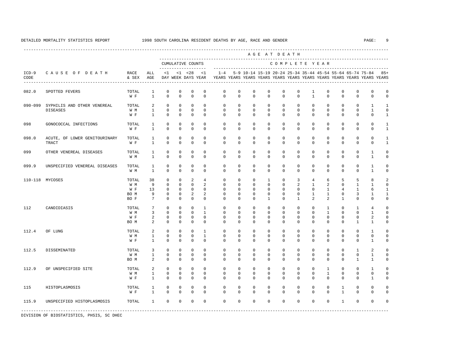---------------------------------------------------------------------------------------------------------------------------------------------------- A G E A T D E A T H --------------------------------------------------------------------------------------------- CUMULATIVE COUNTS C O M P L E T E Y E A R ------------------- ----------------------------------------------------------------------- ICD-9 C A U S E O F D E A T H RACE ALL <1 <1 <28 <1 1-4 5-9 10-14 15-19 20-24 25-34 35-44 45-54 55-64 65-74 75-84 85+ CODE & SEX AGE DAY WEEK DAYS YEAR YEARS YEARS YEARS YEARS YEARS YEARS YEARS YEARS YEARS YEARS YEARS YEARS ---------------------------------------------------------------------------------------------------------------------------------------------------- 082.0 SPOTTED FEVERS TOTAL 1 0 0 0 0 0 0 0 0 0 0 1 0 0 0 0 0 W F 1 0 0 0 0 0 0 0 0 0 0 1 0 0 0 0 0 090-099 SYPHILIS AND OTHER VENEREAL TOTAL 2 0 0 0 0 0 0 0 0 0 0 0 0 0 0 1 1 DISEASES W M 1 0 0 0 0 0 0 0 0 0 0 0 0 0 0 1 0 W F 1 0 0 0 0 0 0 0 0 0 0 0 0 0 0 0 1 098 GONOCOCCAL INFECTIONS TOTAL 1 0 0 0 0 0 0 0 0 0 0 0 0 0 0 0 0 0 1 W F 1 0 0 0 0 0 0 0 0 0 0 0 0 0 0 0 1 098.0 ACUTE, OF LOWER GENITOURINARY TOTAL 1 0 0 0 0 0 0 0 0 0 0 0 0 0 0 0 1 TRACT WF 1 0 0 0 0 0 0 0 0 0 0 0 0 0 0 1 099 OTHER VENEREAL DISEASES TOTAL 1 0 0 0 0 0 0 0 0 0 0 0 0 0 0 1 0 W M 1 0 0 0 0 0 0 0 0 0 0 0 0 0 0 1 0 099.9 UNSPECIFIED VENEREAL DISEASES TOTAL 1 0 0 0 0 0 0 0 0 0 0 0 0 0 0 1 0 W M 1 0 0 0 0 0 0 0 0 0 0 0 0 0 0 1 0 110-118 MYCOSES TOTAL 38 0 0 2 4 0 0 0 1 0 3 4 6 5 5 8 2 W M 9 0 0 0 2 0 0 0 0 0 2 1 2 0 1 1 0 W F 13 0 0 0 0 0 0 0 0 0 0 0 0 1 4 1 6 1 BOM 9 0 0 2 2 0 0 0 0 0 0 0 1 1 0 3 1 1 BOF 7 0 0 0 0 0 0 0 0 1 0 1 2 2 1 0 0 0 112 CANDIDIASIS TOTAL 7 0 0 0 1 0 0 0 0 0 0 0 1 0 1 4 0 W M 3 0 0 0 1 0 0 0 0 0 0 0 0 0 0 1 0 0 1 0 W F 2 0 0 0 0 0 0 0 0 0 0 0 0 0 2 0 BO M 2 0 0 0 0 0 0 0 0 0 0 0 0 0 1 1 0 112.4 OF LUNG TOTAL 2 0 0 0 1 0 0 0 0 0 0 0 0 0 0 1 0 W M 1 0 0 0 1 0 0 0 0 0 0 0 0 0 0 0 0 W F 1 0 0 0 0 0 0 0 0 0 0 0 0 0 0 1 0 112.5 DISSEMINATED TOTAL 3 0 0 0 0 0 0 0 0 0 0 0 0 0 1 2 0 W M 1 0 0 0 0 0 0 0 0 0 0 0 0 0 0 1 0 BO M 2 0 0 0 0 0 0 0 0 0 0 0 0 0 1 1 0 112.9 OF UNSPECIFIED SITE TOTAL 2 0 0 0 0 0 0 0 0 0 0 0 1 0 0 1 0 W M 1 0 0 0 0 0 0 0 0 0 0 0 1 0 0 0 0 W F 1 0 0 0 0 0 0 0 0 0 0 0 0 0 0 1 0 115 HISTOPLASMOSIS TOTAL 1 0 0 0 0 0 0 0 0 0 0 0 0 1 0 0 0 W F 1 0 0 0 0 0 0 0 0 0 0 0 0 1 0 0 0 115.9 UNSPECIFIED HISTOPLASMOSIS TOTAL 1 0 0 0 0 0 0 0 0 0 0 0 0 1 0 0 0 -----------------------------------------------------------------------------------------------------------------------------------------------------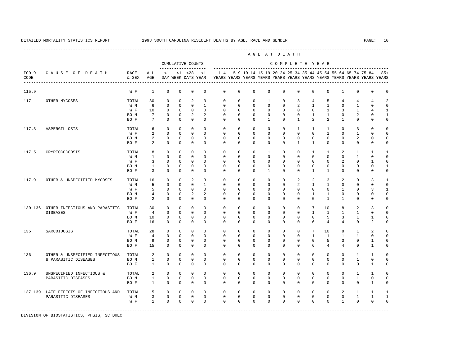|                 |                                                    |               |                   |              |                         |                                                         |                |                                                                                    |             |              |              | AGE AT DEATH                                              |                |                 |                 |                |                |                   |              |
|-----------------|----------------------------------------------------|---------------|-------------------|--------------|-------------------------|---------------------------------------------------------|----------------|------------------------------------------------------------------------------------|-------------|--------------|--------------|-----------------------------------------------------------|----------------|-----------------|-----------------|----------------|----------------|-------------------|--------------|
|                 |                                                    |               |                   |              |                         | CUMULATIVE COUNTS                                       |                |                                                                                    |             |              |              | COMPLETE YEAR                                             |                |                 |                 |                |                |                   |              |
| $ICD-9$<br>CODE | CAUSE OF DEATH<br>-------------------------------- | RACE<br>& SEX | ALL<br>AGE        | <1           |                         | -------------------<br>$<1$ $<28$<br>DAY WEEK DAYS YEAR | <1             | $1 - 4$<br>YEARS YEARS YEARS YEARS YEARS YEARS YEARS YEARS YEARS YEARS YEARS YEARS |             |              |              | 5-9 10-14 15-19 20-24 25-34 35-44 45-54 55-64 65-74 75-84 |                |                 |                 |                |                |                   | 85+          |
| 115.9           |                                                    | W F           | $\mathbf{1}$      | $\mathbf 0$  | $\mathbf 0$             | $\mathbf 0$                                             | $\mathbf 0$    | $\mathbf 0$                                                                        | $\mathbf 0$ | $\mathbf 0$  | $\mathbf 0$  | $\mathbf 0$                                               | $\mathbf 0$    | $\mathbf 0$     | $\mathbf 0$     | $\mathbf{1}$   | $\mathbf 0$    | 0                 | 0            |
| 117             | OTHER MYCOSES                                      | TOTAL         | 30                | $\mathbf 0$  | $\mathbf 0$             | 2                                                       | 3              | $\mathbf 0$                                                                        | $\mathbf 0$ | $\mathbf 0$  | $\mathbf{1}$ | $\mathbf 0$                                               | 3              | $\overline{4}$  | 5               | $\overline{4}$ | $\overline{4}$ | 4                 |              |
|                 |                                                    | W M           | 6                 | $\mathbf 0$  | $\mathbf{0}$            | $\mathbf 0$                                             | $\mathbf{1}$   | 0                                                                                  | $\circ$     | $\mathbf{0}$ | $\mathbf 0$  | $\mathbf 0$                                               | $\overline{2}$ | $\mathbf{1}$    | $\mathbf{1}$    | $\mathbf{0}$   | 1              | 0                 | U            |
|                 |                                                    | W F           | 10                | $\mathbf{0}$ | $\mathbf 0$             | $\mathbf 0$                                             | $\Omega$       | $^{\circ}$                                                                         | $^{\circ}$  | $\mathbf 0$  | $\mathbf{0}$ | $\mathbf{0}$                                              | $\mathbf 0$    | $\mathbf{0}$    | $\mathbf{1}$    | 3              | 1              |                   |              |
|                 |                                                    | BO M          | $7\overline{ }$   | $^{\circ}$   | $^{\circ}$              | 2                                                       | 2              | 0                                                                                  | 0           | $\mathbf{0}$ | $\Omega$     | $\circ$                                                   | $\mathbf{0}$   | $\mathbf{1}$    | $\mathbf{1}$    | $\mathbf{0}$   | 2              | 0                 | 1            |
|                 |                                                    | BO F          | $7\overline{ }$   | $\circ$      | $\mathbf{0}$            | $\mathbf 0$                                             | $\mathbf 0$    | 0                                                                                  | 0           | $\mathbf{0}$ | $\mathbf{1}$ | $\mathbf 0$                                               | $\mathbf{1}$   | 2               | $\overline{a}$  | $\mathbf{1}$   | $\mathbf 0$    | 0                 | 0            |
| 117.3           | ASPERGILLOSIS                                      | TOTAL         | 6                 | $\circ$      | $\mathbf{0}$            | $\mathbf 0$                                             | $\Omega$       | $\Omega$                                                                           | $\Omega$    | $\Omega$     | $\Omega$     | $\Omega$                                                  | $\mathbf{1}$   | $\mathbf{1}$    | $\mathbf{1}$    | $\Omega$       | 3              | $\Omega$          |              |
|                 |                                                    | W F           | 2                 | $\mathbf 0$  | $\mathbf{0}$            | $\Omega$                                                | $\Omega$       | $\mathbf 0$                                                                        | $\mathbf 0$ | $\Omega$     | $\Omega$     | $\mathbf 0$                                               | $\Omega$       | $\Omega$        | $\mathbf{1}$    | $\circ$        | $\mathbf{1}$   | $\Omega$          | U            |
|                 |                                                    | BO M          | 2                 | $\mathbf 0$  | $\mathbf{0}$            | $\mathbf{0}$                                            | $\Omega$       | $\Omega$                                                                           | $\Omega$    | $\Omega$     | $\Omega$     | $\Omega$                                                  | $\Omega$       | $\Omega$        | $\circ$         | $\Omega$       | $\overline{a}$ | 0                 | 0            |
|                 |                                                    | BO F          | 2                 | $\Omega$     | $\Omega$                | $\Omega$                                                | $\Omega$       | $\Omega$                                                                           | $\Omega$    | $\Omega$     | $\Omega$     | $\Omega$                                                  | $\mathbf{1}$   | $\mathbf{1}$    | $\mathbf{0}$    | $\Omega$       | $\Omega$       | $\Omega$          | U            |
| 117.5           | CRYPTOCOCCOSIS                                     | TOTAL         | 8                 | $\Omega$     | $\Omega$                | $\Omega$                                                | $\Omega$       | $\Omega$                                                                           | $\Omega$    | $\Omega$     | $\mathbf{1}$ | $\Omega$                                                  | $\Omega$       | $\mathbf{1}$    | $\mathbf{1}$    | 2              | $\mathbf{1}$   | $\mathbf{1}$      |              |
|                 |                                                    | W M           | $\mathbf{1}$      | $\mathbf 0$  | 0                       | 0                                                       | $\mathbf 0$    | $^{\circ}$                                                                         | 0           | $\mathbf{0}$ | $\mathbf{0}$ | $\mathbf 0$                                               | $\mathbf 0$    | $\mathbf 0$     | $\circ$         | $\mathbf{0}$   | $\mathbf{1}$   | 0                 | 0            |
|                 |                                                    | W F           | 3                 | $\mathbf{0}$ | 0                       | $\mathbf 0$                                             | $\Omega$       | 0                                                                                  | $^{\circ}$  | $\mathbf 0$  | $\mathbf{0}$ | $\mathbf{0}$                                              | 0              | $\mathbf{0}$    | $\mathbf{0}$    | 2              | 0              | 1                 |              |
|                 |                                                    | BO M          | $\mathbf{1}$      | $^{\circ}$   | $\circ$                 | $\mathbf 0$                                             | $\Omega$       | $\Omega$                                                                           | $\Omega$    | $\Omega$     | $\Omega$     | $\mathbf{0}$                                              | $\Omega$       | $\Omega$        | $\Omega$        | $\circ$        | 0              | 0                 |              |
|                 |                                                    | BO F          | $\overline{3}$    | $\mathbf{0}$ | $\circ$                 | $\mathbf{0}$                                            | $\Omega$       | $\Omega$                                                                           | $^{\circ}$  | $\Omega$     | $\mathbf{1}$ | $\mathbf{0}$                                              | $\mathbf 0$    | $\mathbf{1}$    | $\mathbf{1}$    | $\mathbf{0}$   | 0              | 0                 | 0            |
| 117.9           | OTHER & UNSPECIFIED MYCOSES                        | TOTAL         | 16                | $\mathbf{0}$ | $\circ$                 | 2                                                       | 3              | $^{\circ}$                                                                         | $^{\circ}$  | $\mathbf{0}$ | $\mathbf{0}$ | $\mathbf 0$                                               | 2              | 2               | $\overline{3}$  | 2              | 0              | 3                 |              |
|                 |                                                    | W M           | 5                 | $\Omega$     | $\Omega$                | $\Omega$                                                | $\overline{1}$ | $\Omega$                                                                           | $\Omega$    | $\Omega$     | $\Omega$     | $\Omega$                                                  | 2              | $\mathbf{1}$    | $\overline{1}$  | $\Omega$       | $\Omega$       | $\Omega$          | $\Omega$     |
|                 |                                                    | W F           | 5                 | $\Omega$     | $\mathbf{0}$            | $\Omega$                                                | $\Omega$       | $\Omega$                                                                           | $\Omega$    | $\Omega$     | $\Omega$     | $\mathbf 0$                                               | $\mathbf 0$    | $\Omega$        | $\circ$         | $\mathbf{1}$   | $\Omega$       | 3                 | $\mathbf{1}$ |
|                 |                                                    | BO M          | $\overline{4}$    | $^{\circ}$   | $\circ$                 | 2                                                       | 2              | $\Omega$                                                                           | $^{\circ}$  | $\Omega$     | $\Omega$     | $\mathbf 0$                                               | $\mathbf 0$    | $\mathbf{1}$    | $\mathbf{1}$    | $\mathbf{0}$   | $\mathbf 0$    | 0                 |              |
|                 |                                                    | BO F          | $\mathfrak{D}$    | $\Omega$     | $\Omega$                | $\Omega$                                                | $\Omega$       | $\Omega$                                                                           | $\Omega$    | $\Omega$     | $\Omega$     | $\Omega$                                                  | $\Omega$       | $\Omega$        | $\overline{1}$  | $\overline{1}$ | $\Omega$       | $\Omega$          | U            |
|                 | 130-136 OTHER INFECTIOUS AND PARASITIC             | TOTAL         | 30                | 0            | 0                       | 0                                                       | $\mathbf{0}$   | 0                                                                                  | 0           | $\mathbf{0}$ | $\mathbf{0}$ | 0                                                         | 0              | $7\phantom{.0}$ | 10              | 8              | $\overline{a}$ | 3                 |              |
|                 | <b>DISEASES</b>                                    | W F           | $\overline{4}$    | $\mathbf 0$  | $\mathbf 0$             | $\mathbf 0$                                             | $\Omega$       | 0                                                                                  | $^{\circ}$  | $\mathbf 0$  | $\Omega$     | $\mathbf 0$                                               | $\mathbf 0$    | $\mathbf{1}$    | $\mathbf{1}$    | 1              | $\mathbf{1}$   | 0                 | 0            |
|                 |                                                    | BO M          | 10                | $^{\circ}$   | $^{\circ}$              | $\mathbf{0}$                                            | $\mathbf{0}$   | 0                                                                                  | 0           | $\circ$      | $\mathbf{0}$ | $\mathbf{0}$                                              | $\mathbf{0}$   | $^{\circ}$      | 5               | 3              | $\mathbf{1}$   | 1                 |              |
|                 |                                                    | BO F          | 16                | $^{\circ}$   | $\mathbf{0}$            | $\mathbf{0}$                                            | $\Omega$       | $\Omega$                                                                           | 0           | $\Omega$     | $\mathbf{0}$ | $\mathbf{0}$                                              | $\mathbf 0$    | 6               | $\overline{4}$  | $\overline{4}$ | $\mathbf{0}$   | 2                 | U            |
| 135             | SARCOIDOSIS                                        | TOTAL         | 28                | $\mathbf{0}$ | $\mathbf{0}$            | $\mathbf{0}$                                            | $\Omega$       | $\mathbf 0$                                                                        | $\mathbf 0$ | $\Omega$     | $\Omega$     | $\Omega$                                                  | $\mathbf 0$    | 7               | 10 <sup>°</sup> | 8              | $\mathbf{1}$   | 2                 |              |
|                 |                                                    | W F           | $\overline{4}$    | $\mathbf 0$  | $\Omega$                | $\Omega$                                                | $\Omega$       | $\Omega$                                                                           | $\Omega$    | $\Omega$     | $\Omega$     | $\Omega$                                                  | $\Omega$       | $\mathbf{1}$    | $\mathbf{1}$    | $\mathbf{1}$   | $\mathbf{1}$   | $\Omega$          |              |
|                 |                                                    | BO M          | 9                 | $\mathbf 0$  | $\mathbf{0}$            | $\mathbf 0$                                             | $\Omega$       | $\Omega$                                                                           | $\Omega$    | $\Omega$     | $\Omega$     | $\Omega$                                                  | $\Omega$       | $\Omega$        | 5               | 3              | $\Omega$       | $\mathbf{1}$      | U            |
|                 |                                                    | BO F          | 15                | $\mathbf 0$  | $\mathbf{0}$            | $\mathbf{0}$                                            | $\Omega$       | $\Omega$                                                                           | $^{\circ}$  | $\Omega$     | $\Omega$     | $\Omega$                                                  | $\mathbf 0$    | 6               | $\overline{4}$  | $\overline{4}$ | $\mathbf 0$    | $\mathbf{1}$      | U            |
| 136             | OTHER & UNSPECIFIED INFECTIOUS                     | TOTAL         | 2                 | $\Omega$     | $\Omega$                | $\Omega$                                                | $\Omega$       | $\Omega$                                                                           | $\Omega$    | $\Omega$     | $\Omega$     | $\Omega$                                                  | $\Omega$       | $\Omega$        | $\Omega$        | $\Omega$       | $\mathbf{1}$   | $\mathbf{1}$      | U            |
|                 | & PARASITIC DISEASES                               | BO M          | $\mathbf{1}$      | $\mathbf 0$  | $\mathbf 0$             | $\mathsf 0$                                             | $\mathbf 0$    | $\mathbf 0$                                                                        | $\mathbf 0$ | $\mathbf{0}$ | $\mathbf 0$  | $\mathsf{O}$                                              | $\mathbf 0$    | $\mathbb O$     | $\mathbb O$     | $\mathsf 0$    | $\mathbf{1}$   | 0                 | 0            |
|                 |                                                    | BO F          | 1                 | $\mathbf{0}$ | $\circ$                 | $\mathbf{0}$                                            | $\Omega$       | 0                                                                                  | 0           | $\Omega$     | $\Omega$     | $\circ$                                                   | $\mathbf{0}$   | $^{\circ}$      | $\circ$         | $\circ$        | $\circ$        | $\mathbf{1}$      | 0            |
|                 |                                                    |               |                   | $\Omega$     | $\Omega$                | $\Omega$                                                | $\Omega$       | $\mathbf 0$                                                                        | 0           | $\Omega$     | $\Omega$     | $\Omega$                                                  | $\mathbf{0}$   | $\Omega$        | $\mathbf{0}$    | $\Omega$       | $\overline{1}$ | $\overline{1}$    | $\Omega$     |
| 136.9           | UNSPECIFIED INFECTIOUS &                           | TOTAL         | 2<br>$\mathbf{1}$ | $\mathbf 0$  |                         | $\mathbf 0$                                             | $\Omega$       | $\mathbf 0$                                                                        |             | $\Omega$     | $\Omega$     |                                                           | $\mathbf 0$    | $\mathbf 0$     | $\circ$         | $\circ$        | $\mathbf{1}$   |                   |              |
|                 | PARASITIC DISEASES                                 | BO M<br>BO F  | $\mathbf{1}$      | $\circ$      | $\mathbf{0}$<br>$\circ$ | $\mathbf 0$                                             | $\mathbf 0$    | 0                                                                                  | 0<br>0      | $\circ$      | $\mathbf 0$  | $\circ$<br>$\circ$                                        | $\mathbf{0}$   | $^{\circ}$      | $\mathbf{0}$    | $\mathbf{0}$   | $\mathbf{0}$   | 0<br>$\mathbf{1}$ | 0<br>0       |
|                 |                                                    |               |                   |              |                         |                                                         |                |                                                                                    |             |              |              |                                                           |                |                 |                 |                |                |                   |              |
|                 | 137-139 LATE EFFECTS OF INFECTIOUS AND             | TOTAL         | 5                 | $\circ$      | $\mathbf 0$             | $\overline{0}$                                          | $\Omega$       | $\Omega$                                                                           | $\Omega$    | $\Omega$     | $\Omega$     | $\Omega$                                                  | $\Omega$       | $\Omega$        | $\Omega$        | 2              | $\overline{1}$ | 1                 |              |
|                 | PARASITIC DISEASES                                 | W M           | $\overline{3}$    | $\mathbf{0}$ | $\mathbf 0$             | $\mathbf 0$                                             | $\mathbf 0$    | $\mathbf 0$                                                                        | $\mathbf 0$ | $\mathbf{0}$ | $\mathbf 0$  | $\mathbf 0$                                               | $\mathbf 0$    | $\mathbf 0$     | $\mathbf{0}$    | $\mathbf 0$    | $\mathbf{1}$   | $\mathbf{1}$      | 1            |
|                 |                                                    | W F           | $\mathbf{1}$      | $\Omega$     | $\Omega$                | $\Omega$                                                | $\Omega$       | $\Omega$                                                                           | $\Omega$    | $\Omega$     | $\Omega$     | $\Omega$                                                  | $\Omega$       | $\Omega$        | $\Omega$        | $\mathbf{1}$   | $\Omega$       | $\Omega$          | $\Omega$     |
|                 |                                                    |               |                   |              |                         |                                                         |                |                                                                                    |             |              |              |                                                           |                |                 |                 |                |                |                   |              |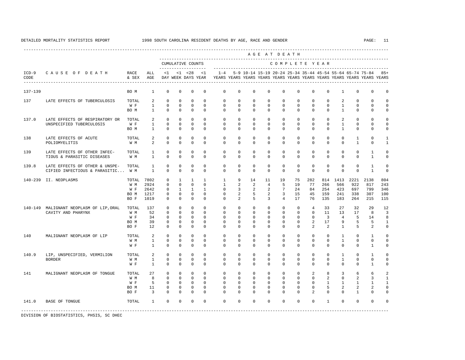<span id="page-16-0"></span>---------------------------------------------------------------------------------------------------------------------------------------------------- A G E A T D E A T H --------------------------------------------------------------------------------------------- CUMULATIVE COUNTS C O M P L E T E Y E A R ------------------- ----------------------------------------------------------------------- ICD-9 C A U S E O F D E A T H RACE ALL <1 <1 <28 <1 1-4 5-9 10-14 15-19 20-24 25-34 35-44 45-54 55-64 65-74 75-84 85+ CODE & SEX AGE DAY WEEK DAYS YEAR YEARS YEARS YEARS YEARS YEARS YEARS YEARS YEARS YEARS YEARS YEARS YEARS ---------------------------------------------------------------------------------------------------------------------------------------------------- 137-139 BO M 1 0 0 0 0 0 0 0 0 0 0 0 0 1 0 0 0 137 LATE EFFECTS OF TUBERCULOSIS TOTAL 2 0 0 0 0 0 0 0 0 0 0 0 0 2 0 0 0 W F 1 0 0 0 0 0 0 0 0 0 0 0 0 1 0 0 0 BO M 1 0 0 0 0 0 0 0 0 0 0 0 0 1 0 0 0 137.0 LATE EFFECTS OF RESPIRATORY OR TOTAL 2 0 0 0 0 0 0 0 0 0 0 0 0 2 0 0 0 UNSPECIFIED TUBERCULOSIS W F 1 0 0 0 0 0 0 0 0 0 0 0 0 1 0 0 0 BO M 1 0 0 0 0 0 0 0 0 0 0 0 0 1 0 0 0 138 LATE EFFECTS OF ACUTE TOTAL 2 0 0 0 0 0 0 0 0 0 0 0 0 0 1 0 1 POLIOMYELITIS W M 2 0 0 0 0 0 0 0 0 0 0 0 0 0 1 0 1 139 LATE EFFECTS OF OTHER INFEC- TOTAL 1 0 0 0 0 0 0 0 0 0 0 0 0 0 0 1 0 TIOUS & PARASITIC DISEASES W M 1 0 0 0 0 0 0 0 0 0 0 0 0 0 0 1 0 139.8 LATE EFFECTS OF OTHER & UNSPE- TOTAL 1 0 0 0 0 0 0 0 0 0 0 0 0 0 0 1 0 CIFIED INFECTIOUS & PARASITIC... W M 140-239 II. NEOPLASMS TOTAL 7802 0 1 1 1 1 9 14 11 19 75 282 814 1413 2221 2138 804 W M 2924 0 0 0 0 1 2 2 4 5 19 77 266 566 922 817 243 W F 2642 0 1 1 1 0 3 2 2 7 24 84 254 423 697 799 346 BO M 1217 0 0 0 0 0 2 5 2 3 15 45 159 241 338 307 100 BO F 1019 0 0 0 0 0 2 5 3 4 17 76 135 183 264 215 115 140-149 MALIGNANT NEOPLASM OF LIP,ORAL TOTAL 137 0 0 0 0 0 0 0 0 0 0 4 33 27 32 29 12 CAVITY AND PHARYNX W M M 52 0 0 0 0 0 0 0 0 0 0 0 0 0 11 13 17 8 3<br>W F 34 0 0 0 0 0 0 0 0 0 0 0 0 3 4 5 14 8 W F 34 0 0 0 0 0 0 0 0 0 0 0 3 4 5 14 8 BO M 39 0 0 0 0 0 0 0 0 0 0 2 17 9 5 5 1 BO F 12 0 0 0 0 0 0 0 0 0 0 2 2 1 5 2 0 140 MALIGNANT NEOPLASM OF LIP TOTAL 2 0 0 0 0 0 0 0 0 0 0 0 0 1 0 1 0 W M 1 0 0 0 0 0 0 0 0 0 0 0 0 1 0 0 0 W F 1 0 0 0 0 0 0 0 0 0 0 0 0 0 0 1 0 140.9 LIP, UNSPECIFIED, VERMILION TOTAL 2 0 0 0 0 0 0 0 0 0 0 0 0 1 0 1 0 BORDER W M 1 0 0 0 0 0 0 0 0 0 0 0 0 1 0 0 0 W F 1 0 0 0 0 0 0 0 0 0 0 0 0 0 0 1 0 141 MALIGNANT NEOPLASM OF TONGUE TOTAL 27 0 0 0 0 0 0 0 0 0 0 2 8 3 6 6 2 W M 8 0 0 0 0 0 0 0 0 0 0 0 2 0 2 3 1 W F 5 0 0 0 0 0 0 0 0 0 0 0 0 1 1 1 1 1 BO M 11 0 0 0 0 0 0 0 0 0 0 0 5 2 2 2 0 BO F 3 0 0 0 0 0 0 0 0 0 0 2 0 0 1 0 0 141.0 BASE OF TONGUE TOTAL 1 0 0 0 0 0 0 0 0 0 0 0 1 0 0 0 0 -----------------------------------------------------------------------------------------------------------------------------------------------------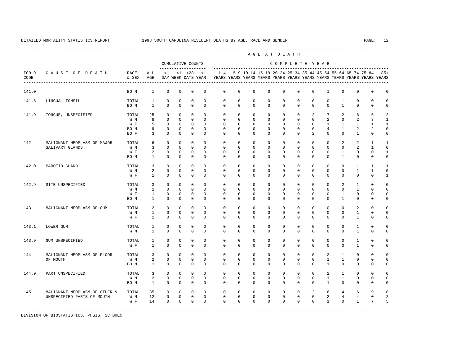----------------------------------------------------------------------------------------------------------------------------------------------------

 A G E A T D E A T H --------------------------------------------------------------------------------------------- CUMULATIVE COUNTS C O M P L E T E Y E A R ------------------- ----------------------------------------------------------------------- ICD-9 C A U S E O F D E A T H RACE ALL <1 <1 <28 <1 1-4 5-9 10-14 15-19 20-24 25-34 35-44 45-54 55-64 65-74 75-84 85+ CODE & SEX AGE DAY WEEK DAYS YEAR YEARS YEARS YEARS YEARS YEARS YEARS YEARS YEARS YEARS YEARS YEARS YEARS ---------------------------------------------------------------------------------------------------------------------------------------------------- 141.0 BO M 1 0 0 0 0 0 0 0 0 0 0 0 1 0 0 0 0 141.6 LINGUAL TONSIL TOTAL 1 0 0 0 0 0 0 0 0 0 0 0 0 1 0 0 0 BO M 1 0 0 0 0 0 0 0 0 0 0 0 0 1 0 0 0 141.9 TONGUE, UNSPECIFIED TOTAL 25 0 0 0 0 0 0 0 0 0 0 2 7 2 6 6 2 W M 8 0 0 0 0 0 0 0 0 0 0 0 2 0 2 3 1 W F 5 0 0 0 0 0 0 0 0 0 0 0 0 1 1 1 1 1 BO M 9 0 0 0 0 0 0 0 0 0 0 0 4 1 2 2 0 BO F 3 0 0 0 0 0 0 0 0 0 0 2 0 0 1 0 0 142 MALIGNANT NEOPLASM OF MAJOR TOTAL 6 0 0 0 0 0 0 0 0 0 0 0 0 2 2 1 1 SALIVARY GLANDS W M 3 0 0 0 0 0 0 0 0 0 0 0 0 0 0 2 1 0<br>W F 2 0 0 0 0 0 0 0 0 0 0 0 0 0 1 0 0 1 2 0 0 0 0 0 0 0 0 0 0 0 0 0 0 0 1 0 0 0 1 0 0 0 1 0 0 0 1 0 0 0 1 0 0 0 1 0 0 0 1 0 0 0 1 0 0 0 1 0 0 0 1 0 0 1 BO M 1 0 0 0 0 0 0 0 0 0 0 0 0 1 0 0 0 142.0 PAROTID GLAND TOTAL 3 0 0 0 0 0 0 0 0 0 0 0 0 0 0 1 1 1 0 0 0 0 0 0 0 1 1 0 0 0 0 0 0 0 0 1 1 0 0 0 0 0 1 W M 2 0 0 0 0 0 0 0 0 0 0 0 0 0 1 1 0 W F 1 0 0 0 0 0 0 0 0 0 0 0 0 0 0 0 1 142.9 SITE UNSPECIFIED TOTAL 3 0 0 0 0 0 0 0 0 0 0 0 0 0 0 2 1 0 0<br>
WM 1 0 0 0 0 0 0 0 0 0 0 0 0 0 0 0 1 0 0 W M 1 0 0 0 0 0 0 0 0 0 0 0 0 0 1 0 0 W F 1 0 0 0 0 0 0 0 0 0 0 0 0 1 0 0 0 BO M 1 0 0 0 0 0 0 0 0 0 0 0 0 1 0 0 0 143 MALIGNANT NEOPLASM OF GUM TOTAL 2 0 0 0 0 0 0 0 0 0 0 0 0 0 2 0 0 W M 1 0 0 0 0 0 0 0 0 0 0 0 0 0 1 0 0 W F 1 0 0 0 0 0 0 0 0 0 0 0 0 0 0 1 0 0 143.1 LOWER GUM TOTAL 1 0 0 0 0 0 0 0 0 0 0 0 0 0 1 0 0 W M 1 0 0 0 0 0 0 0 0 0 0 0 0 0 1 0 0 143.9 GUM UNSPECIFIED TOTAL 1 0 0 0 0 0 0 0 0 0 0 0 0 0 1 0 0 W F 1 0 0 0 0 0 0 0 0 0 0 0 0 0 0 1 0 0 144 MALIGNANT NEOPLASM OF FLOOR TOTAL 3 0 0 0 0 0 0 0 0 0 0 0 0 0 2 1 0 0 0 0<br>OF MOUTH OF NOT WELLY WELLY A COMPOUND ON DOCK OF DOUGLASH OF DOUGLASH OF DOUGLASH OF DOCK OF DOCK OF DOCK OF OF MOUTH W M 2 0 0 0 0 0 0 0 0 0 0 0 1 1 0 0 0 BO M 1 0 0 0 0 0 0 0 0 0 0 0 1 0 0 0 0 144.9 PART UNSPECIFIED TOTAL 3 0 0 0 0 0 0 0 0 0 0 0 0 2 1 0 0 0 W M 2 0 0 0 0 0 0 0 0 0 0 0 0 1 1 0 0 0 BO M 1 0 0 0 0 0 0 0 0 0 0 0 1 0 0 0 0 145 MALIGNANT NEOPLASM OF OTHER & TOTAL 35 0 0 0 0 0 0 0 0 0 0 2 6 4 6 9 8 UNSPECIFIED PARTS OF MOUTH W M 12 0 0 0 0 0 0 0 0 0 0 0 0 0 0 2 4 4 0 2<br>W F 14 0 0 0 0 0 0 0 0 0 0 0 0 1 0 1 7 5 W F 14 0 0 0 0 0 0 0 0 0 0 0 0 1 0 1 7 5 -----------------------------------------------------------------------------------------------------------------------------------------------------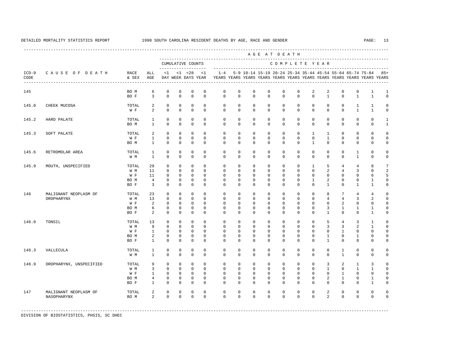---------------------------------------------------------------------------------------------------------------------------------------------------- A G E A T D E A T H --------------------------------------------------------------------------------------------- CUMULATIVE COUNTS C O M P L E T E Y E A R ------------------- ----------------------------------------------------------------------- ICD-9 C A U S E O F D E A T H RACE ALL <1 <1 <28 <1 1-4 5-9 10-14 15-19 20-24 25-34 35-44 45-54 55-64 65-74 75-84 85+ CODE & SEX AGE DAY WEEK DAYS YEAR YEARS YEARS YEARS YEARS YEARS YEARS YEARS YEARS YEARS YEARS YEARS YEARS ---------------------------------------------------------------------------------------------------------------------------------------------------- 145 BOM 6 0 0 0 0 0 0 0 0 0 0 2 2 0 0 1 1<br>BOF 3 0 0 0 0 0 0 0 0 0 0 0 1 0 1 1 0 BO F 3 0 0 0 0 0 0 0 0 0 0 0 1 0 1 1 0 145.0 CHEEK MUCOSA TOTAL 2 0 0 0 0 0 0 0 0 0 0 0 0 0 1 1 0 W F 2 0 0 0 0 0 0 0 0 0 0 0 0 0 1 1 0 145.2 HARD PALATE TOTAL 1 0 0 0 0 0 0 0 0 0 0 0 0 0 0 0 1 BOM 1 0 0 0 0 0 0 0 0 0 0 0 0 0 0 0 1 145.3 SOFT PALATE TOTAL 2 0 0 0 0 0 0 0 0 0 0 1 1 0 0 0 0 W F 1 0 0 0 0 0 0 0 0 0 0 0 1 0 0 0 0 BO M 1 0 0 0 0 0 0 0 0 0 0 1 0 0 0 0 0 145.6 RETROMOLAR AREA TOTAL 1 0 0 0 0 0 0 0 0 0 0 0 0 0 1 0 0 W M 1 0 0 0 0 0 0 0 0 0 0 0 0 0 1 0 0 145.9 MOUTH, UNSPECIFIED TOTAL 29 0 0 0 0 0 0 0 0 0 0 1 5 4 4 8 7 W M 11 0 0 0 0 0 0 0 0 0 0 0 2 4 3 0 2 W F 11 0 0 0 0 0 0 0 0 0 0 0 0 0 0 6 5 BO M 4 0 0 0 0 0 0 0 0 0 0 1 2 0 0 1 0 BO F 3 0 0 0 0 0 0 0 0 0 0 0 1 0 1 1 0 146 MALIGNANT NEOPLASM OF TOTAL 23 0 0 0 0 0 0 0 0 0 0 0 8 7 4 4 0 OROPHARYNX W M 13 0 0 0 0 0 0 0 0 0 0 0 0 4 4 3 2 0<br>W H 2 0 0 0 0 0 0 0 0 0 0 0 0 0 0 2 0 0 0 W F 2 0 0 0 0 0 0 0 0 0 0 0 0 2 0 0 0 BO M 6 0 0 0 0 0 0 0 0 0 0 0 3 1 1 1 0 BOF 2 0 0 0 0 0 0 0 0 0 0 0 0 1 0 0 1 0 146.0 TONSIL TOTAL 13 0 0 0 0 0 0 0 0 0 0 0 5 4 3 1 0 W M 9 0 0 0 0 0 0 0 0 0 0 0 3 3 2 1 0 W F 1 0 0 0 0 0 0 0 0 0 0 0 0 1 0 0 0 BOM 2 0 0 0 0 0 0 0 0 0 0 0 1 0 1 0 0 BO F 1 0 0 0 0 0 0 0 0 0 0 0 1 0 0 0 0 146.3 VALLECULA TOTAL 1 0 0 0 0 0 0 0 0 0 0 0 0 1 0 0 0 W M 1 0 0 0 0 0 0 0 0 0 0 0 0 1 0 0 0 146.9 OROPHARYNX, UNSPECIFIED TOTAL 9 0 0 0 0 0 0 0 0 0 0 0 0 0 0 3 2 1 3 0<br>W M 3 0 0 0 0 0 0 0 0 0 0 0 0 1 0 1 1 0 W M 3 0 0 0 0 0 0 0 0 0 0 0 1 0 1 1 0 W F 1 0 0 0 0 0 0 0 0 0 0 0 0 1 0 0 0 BO M 4 0 0 0 0 0 0 0 0 0 0 0 2 1 0 1 0 BO F 1 0 0 0 0 0 0 0 0 0 0 0 0 0 0 1 0 147 MALIGNANT NEOPLASM OF TOTAL 2 0 0 0 0 0 0 0 0 0 0 0 2 0 0 0 0 NASOPHARYNX BO M 2 0 0 0 0 0 0 0 0 0 0 0 2 0 0 0 0

-----------------------------------------------------------------------------------------------------------------------------------------------------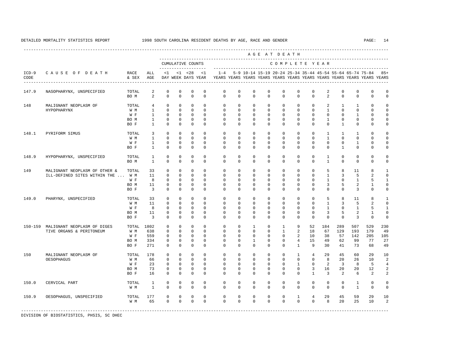---------------------------------------------------------------------------------------------------------------------------------------------------- A G E A T D E A T H --------------------------------------------------------------------------------------------- CUMULATIVE COUNTS C O M P L E T E Y E A R ------------------- ----------------------------------------------------------------------- ICD-9 C A U S E O F D E A T H RACE ALL <1 <1 <28 <1 1-4 5-9 10-14 15-19 20-24 25-34 35-44 45-54 55-64 65-74 75-84 85+ CODE & SEX AGE DAY WEEK DAYS YEAR YEARS YEARS YEARS YEARS YEARS YEARS YEARS YEARS YEARS YEARS YEARS YEARS ---------------------------------------------------------------------------------------------------------------------------------------------------- 147.9 NASOPHARYNX, UNSPECIFIED TOTAL 2 0 0 0 0 0 0 0 0 0 0 0 2 0 0 0 0 BOM 2 0 0 0 0 0 0 0 0 0 0 0 2 0 0 0 0 148 MALIGNANT NEOPLASM OF TOTAL 4 0 0 0 0 0 0 0 0 0 0 0 2 1 1 0 0 HYPOPHARYNX W M 1 0 0 0 0 0 0 0 0 0 0 0 1 0 0 0 0 W F 1 0 0 0 0 0 0 0 0 0 0 0 0 0 0 1 0 0 BO M 1 0 0 0 0 0 0 0 0 0 0 0 1 0 0 0 0 BO F 1 0 0 0 0 0 0 0 0 0 0 0 0 1 0 0 0 148.1 PYRIFORM SIMUS TOTAL 3 0 0 0 0 0 0 0 0 0 0 0 1 1 1 0 0 W M 1 0 0 0 0 0 0 0 0 0 0 0 1 0 0 0 0 W F 1 0 0 0 0 0 0 0 0 0 0 0 0 0 1 0 0 BO F 1 0 0 0 0 0 0 0 0 0 0 0 0 1 0 0 0 148.9 HYPOPHARYNX, UNSPECIFIED TOTAL 1 0 0 0 0 0 0 0 0 0 0 0 1 0 0 0 0 BO M 1 0 0 0 0 0 0 0 0 0 0 0 1 0 0 0 0 149 MALIGNANT NEOPLASM OF OTHER & TOTAL 33 0 0 0 0 0 0 0 0 0 0 0 0 0 0 5 8 11 8 1<br>ILL-DEFINED SITES WITHIN THE ... W M 11 0 0 0 0 0 0 0 0 0 0 0 0 0 0 1 3 5 2 0 ILL-DEFINED SITES WITHIN THE ... W M 11 0 0 0 0 0 0 0 0 0 0 0 0 0 0 0 1 3 5 2 0 0 0 0 0 0 1 5 1 W F 8 0 0 0 0 0 0 0 0 0 0 0 0 0 0 1 0 1 5 1<br>BOM 11 0 0 0 0 0 0 0 0 0 0 0 0 0 3 5 2 2 1 0 BO M 11 0 0 0 0 0 0 0 0 0 0 0 3 5 2 1 0 BOF 3 0 0 0 0 0 0 0 0 0 0 0 0 0 3 0 0 149.0 PHARYNX, UNSPECIFIED TOTAL 33 0 0 0 0 0 0 0 0 0 0 0 0 0 5 8 11 8 1<br>
W M 11 0 0 0 0 0 0 0 0 0 0 0 0 1 3 5 2 0 W M 11 0 0 0 0 0 0 0 0 0 0 0 1 3 5 2 0 W F 8 0 0 0 0 0 0 0 0 0 0 0 0 1 0 1 5 1 BO M 11 0 0 0 0 0 0 0 0 0 0 0 3 5 2 1 0 BOF 3 0 0 0 0 0 0 0 0 0 0 0 0 0 3 0 0 150-159 MALIGNANT NEOPLASM OF DIGES TOTAL 1802 0 0 0 0 0 0 1 0 1 9 52 184 289 507 529 230 TIVE ORGANS & PERITONEUM W M 638 0 0 0 0 0 0 0 0 1 2 18 67 129 193 179 49  $0 \quad 0 \quad 0 \quad 0$  BO M 334 0 0 0 0 0 0 1 0 0 4 15 49 62 99 77 27 BO F 271 0 0 0 0 0 0 0 0 0 1 9 30 41 73 68 49 150 MALIGNANT NEOPLASM OF TOTAL 178 0 0 0 0 0 0 0 0 0 1 4 29 45 60 29 10 OESOPHAGUS W M 66 0 0 0 0 0 0 0 0 0 0 0 8 20 26 10 2 W F 23 0 0 0 0 0 0 0 0 0 0 1 0 2 3 8 5 4 BO M 73 0 0 0 0 0 0 0 0 0 0 3 16 20 20 12 2 BO F 16 0 0 0 0 0 0 0 0 0 0 1 3 2 6 2 2 150.0 CERVICAL PART TOTAL 1 0 0 0 0 0 0 0 0 0 0 0 0 0 1 0 0 W M 1 0 0 0 0 0 0 0 0 0 0 0 0 0 1 0 0 150.9 OESOPHAGUS, UNSPECIFIED TOTAL 177 0 0 0 0 0 0 0 0 0 1 4 29 45 59 29 10 W M 65 0 0 0 0 0 0 0 0 0 0 0 8 20 25 10 2 -----------------------------------------------------------------------------------------------------------------------------------------------------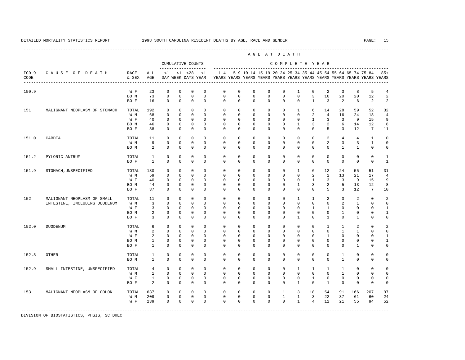|                 |                               |                                           |                   |                              |                              |                                    |                            |                         |                         |                             |                              | AGE AT DEATH            |                              |                               |                               |                                                           |                   |                                                                         |                              |
|-----------------|-------------------------------|-------------------------------------------|-------------------|------------------------------|------------------------------|------------------------------------|----------------------------|-------------------------|-------------------------|-----------------------------|------------------------------|-------------------------|------------------------------|-------------------------------|-------------------------------|-----------------------------------------------------------|-------------------|-------------------------------------------------------------------------|------------------------------|
|                 |                               |                                           |                   |                              |                              | CUMULATIVE COUNTS                  |                            |                         |                         | --------------------------- |                              |                         |                              |                               | COMPLETE YEAR                 |                                                           |                   |                                                                         |                              |
| $ICD-9$<br>CODE | CAUSE OF DEATH                | RACE<br>& SEX                             | ALL<br>AGE        | <1                           |                              | $< 1$ $< 28$<br>DAY WEEK DAYS YEAR | <1                         | $1 - 4$                 |                         |                             |                              |                         |                              |                               |                               | 5-9 10-14 15-19 20-24 25-34 35-44 45-54 55-64 65-74 75-84 |                   | YEARS YEARS YEARS YEARS YEARS YEARS YEARS YEARS YEARS YEARS YEARS YEARS | $85+$                        |
| 150.9           |                               | $\mathbbmss{W}$ . $\mathbbmss{F}$<br>BO M | 23<br>73          | $\mathbf{0}$<br>$\mathbf 0$  | $\mathbf 0$<br>$\mathbf 0$   | $\mathbf 0$<br>$\mathbf 0$         | $\mathbf 0$<br>$\Omega$    | $\mathbf 0$<br>$\Omega$ | $\mathbf 0$<br>$\Omega$ | $\mathbf{0}$<br>$\mathbf 0$ | $\mathbf 0$<br>$\Omega$      | $\mathbf 0$<br>$\Omega$ | $\mathbf{1}$<br>$\Omega$     | $\mathbf 0$<br>$\overline{3}$ | 2<br>16                       | 3<br>20                                                   | 8<br>20           | 5<br>12                                                                 | $\overline{4}$<br>$\sqrt{2}$ |
|                 |                               | BO F                                      | 16                | $\Omega$                     | $\Omega$                     | $\Omega$                           | $\Omega$                   | $\Omega$                | $\Omega$                | $\Omega$                    | $\Omega$                     | $\Omega$                | $\Omega$                     | $\mathbf{1}$                  | 3                             | $\overline{2}$                                            | 6                 | 2                                                                       | $\overline{2}$               |
| 151             | MALIGNANT NEOPLASM OF STOMACH | TOTAL                                     | 192               | $\mathbf 0$<br>$\Omega$      | $\mathbf 0$<br>$\Omega$      | $\mathbf 0$<br>$\Omega$            | $\Omega$<br>$\Omega$       | $\Omega$<br>$\Omega$    | $^{\circ}$              | $\mathbf 0$                 | $\mathbf{0}$                 | 0                       | $\mathbf{1}$<br>$\Omega$     | 6                             | 14                            | 28                                                        | 59                | 52                                                                      | 32                           |
|                 |                               | W M<br>W F                                | 68<br>40          | $\mathbf{0}$                 | $\mathbf 0$                  | $\mathbf 0$                        | $\Omega$                   | $\mathbf 0$             | $\Omega$<br>$\mathbf 0$ | $\Omega$<br>$\mathbf 0$     | $\Omega$<br>$\mathbf 0$      | $\Omega$<br>$\mathbf 0$ | $\mathbf 0$                  | 2<br>$\mathbf{1}$             | $\overline{4}$<br>3           | 16<br>3                                                   | 24<br>9           | 18<br>15                                                                | $\overline{4}$<br>9          |
|                 |                               | BO M                                      | 46                | $\mathbf{0}$                 | $\mathbf 0$                  | $\mathbf 0$                        | $\Omega$                   | $\Omega$                | $\mathbf 0$             | $\mathbf 0$                 | $\mathbf 0$                  | $\mathbf 0$             | $\mathbf{1}$                 | 3                             | $\overline{a}$                | 6                                                         | 14                | 12                                                                      | 8                            |
|                 |                               | BO F                                      | 38                | $\Omega$                     | $\Omega$                     | $\Omega$                           | $\Omega$                   | $\Omega$                | $\Omega$                | $\Omega$                    | $\Omega$                     | $\Omega$                | $\Omega$                     | $\Omega$                      | 5                             | 3                                                         | 12                | $7\overline{ }$                                                         | 11                           |
| 151.0           | CARDIA                        | TOTAL                                     | 11                | $\mathbf{0}$                 | $\mathbf 0$                  | $\mathbf 0$                        | $\Omega$                   | $\mathbf 0$             | $\mathbf 0$             | $\mathbf{0}$                | $\mathbf 0$                  | $\mathbf 0$             | $\mathbf 0$                  | $^{\circ}$                    | 2                             | $\overline{4}$                                            | $\overline{4}$    | 1                                                                       | $\mathbf 0$                  |
|                 |                               | W M<br>BO M                               | 9<br>2            | $\mathbf{0}$<br>$\mathbf{0}$ | $\mathbf 0$<br>$\mathbf 0$   | $\mathbf 0$<br>$\mathbf 0$         | $\Omega$<br>$\Omega$       | $\mathbf 0$<br>$\Omega$ | 0<br>$\Omega$           | 0<br>$\Omega$               | $\mathbf{0}$<br>0            | 0<br>$\Omega$           | 0<br>$\circ$                 | $\mathbf 0$<br>$\mathbf 0$    | 2<br>$\mathbf 0$              | $\overline{3}$<br>$\mathbf{1}$                            | 3<br>$\mathbf{1}$ | 1<br>$\mathbf 0$                                                        | $\mathbf 0$<br>$\mathbf 0$   |
| 151.2           | PYLORIC ANTRUM                | TOTAL                                     | $\mathbf{1}$      | $\mathbf{0}$                 | $\mathbf 0$                  | $\mathbf 0$                        | $\mathbf 0$                | $\mathbf 0$             | $\mathbf 0$             | $\mathbf 0$                 | $\mathbf 0$                  | $\mathbf 0$             | $\mathbf 0$                  | $\mathbf{0}$                  | $\mathbf{0}$                  | $\mathbf 0$                                               | $\mathbf 0$       | $\mathbf 0$                                                             | $\mathbf{1}$                 |
|                 |                               | BO F                                      | $\mathbf{1}$      | $\mathbf{0}$                 | $\Omega$                     | $\Omega$                           | $\Omega$                   | $\Omega$                | $\Omega$                | $\Omega$                    | $\Omega$                     | $\Omega$                | $\Omega$                     | $\mathbf 0$                   | $\mathbf{0}$                  | $\mathbf{0}$                                              | $\mathbf 0$       | $\mathbf 0$                                                             | $\mathbf{1}$                 |
| 151.9           | STOMACH, UNSPECIFIED          | TOTAL                                     | 180               | $\mathbf{0}$                 | $\mathbf 0$                  | $\mathbf 0$                        | $\mathbf 0$                | $\mathbf 0$             | $\mathbf 0$             | $\mathbf 0$                 | $\mathbf 0$                  | $\mathbf 0$             | $\mathbf{1}$                 | 6                             | 12                            | 24                                                        | 55                | 51                                                                      | 31                           |
|                 |                               | W M                                       | 59                | $\Omega$                     | $\mathbf{0}$                 | $\Omega$                           | $\Omega$                   | 0                       | 0                       | $\Omega$                    | $\Omega$                     | $\Omega$                | 0                            | 2                             | 2                             | 13                                                        | 21                | 17                                                                      | $\overline{4}$               |
|                 |                               | W F<br>BO M                               | 40<br>44          | $\mathbf 0$<br>0             | $\mathbf{0}$<br>$\mathbf{0}$ | $\Omega$<br>$\mathbf 0$            | $\Omega$<br>$\mathbf 0$    | $\Omega$<br>$\mathbf 0$ | $\Omega$<br>0           | $\Omega$<br>0               | $\Omega$<br>$\mathbf{0}$     | $\Omega$<br>0           | $\circ$<br>1                 | $\mathbf{1}$<br>3             | 3<br>2                        | $\overline{3}$<br>5                                       | 9<br>13           | 15<br>12                                                                | 9<br>8                       |
|                 |                               | BO F                                      | 37                | $\mathbf 0$                  | $\mathbf 0$                  | $\mathbf 0$                        | $\Omega$                   | $\Omega$                | 0                       | $\Omega$                    | 0                            | $\Omega$                | 0                            | $\mathbf 0$                   | 5                             | 3                                                         | 12                | $7\phantom{.0}$                                                         | 10                           |
| 152             | MALIGNANT NEOPLASM OF SMALL   | TOTAL                                     | 11                | $\mathbb O$                  | $\mathbf 0$                  | $\mathbf 0$                        | $\mathbf 0$                | $\mathbf 0$             | 0                       | $\mathbf 0$                 | $\mathbf 0$                  | $\mathbf 0$             | $\mathbf{1}$                 | $\mathbf{1}$                  | 2                             | 3                                                         | 2                 | $\mathbf 0$                                                             | $\overline{2}$               |
|                 | INTESTINE, INCLUDING DUODENUM | W M                                       | 3                 | $\mathbf{0}$                 | $\mathbf{0}$                 | $\mathbf 0$                        | $\Omega$                   | 0                       | 0                       | 0                           | 0                            | 0                       | 0                            | $\mathbf 0$                   | $\mathbf{0}$                  | 2                                                         | 1                 | $\mathbf 0$                                                             | $\mathbf 0$                  |
|                 |                               | W F                                       | 3                 | $\mathbf 0$<br>$\mathbb O$   | $\mathbf{0}$<br>$\mathbf{0}$ | $\mathbf{0}$<br>$\mathsf 0$        | $\mathbf{0}$<br>$\Omega$   | 0<br>$\Omega$           | 0<br>0                  | 0<br>0                      | $\mathbf{0}$<br>$\mathbf{0}$ | 0<br>0                  | $\circ$<br>$^{\circ}$        | 1<br>$\mathbf 0$              | 1<br>$\mathbb O$              | 0                                                         | 0<br>$\circ$      | $^{\circ}$<br>$\mathbf 0$                                               | $\mathbf{1}$                 |
|                 |                               | BO M<br>BO F                              | 2<br>3            | $\mathbf{0}$                 | $\mathbf 0$                  | $\mathbf 0$                        | $\Omega$                   | $\Omega$                | $\Omega$                | $\Omega$                    | $\mathbf 0$                  | $\Omega$                | 1                            | $\Omega$                      | $\mathbf{1}$                  | 1<br>$\Omega$                                             | $\mathbf{1}$      | $\Omega$                                                                | $\mathbf{1}$<br>$\mathbf 0$  |
| 152.0           | DUODENUM                      | TOTAL                                     | 6                 | $\mathbf{0}$                 | $\mathbf 0$                  | $\mathbf 0$                        | $\Omega$                   | $\mathbf 0$             | $^{\circ}$              | $\Omega$                    | $\Omega$                     | $\Omega$                | $\circ$                      | $\mathbf 0$                   | 1                             | $\mathbf{1}$                                              | 2                 | $\mathbf 0$                                                             | $\overline{2}$               |
|                 |                               | W M                                       | 2                 | $\mathbf{0}$                 | $\mathbf 0$                  | $\mathbf 0$                        | $\Omega$                   | $\mathbf 0$             | 0                       | 0                           | $\Omega$                     | $\Omega$                | $\Omega$                     | $\Omega$                      | $\Omega$                      | $\mathbf{1}$                                              | 1                 | $\Omega$                                                                | $\mathbf 0$                  |
|                 |                               | W F                                       | 2                 | $\mathbf 0$                  | $\mathbf{0}$                 | $\mathbf 0$                        | $\mathbf 0$                | 0                       | 0                       | 0                           | $\mathbf{0}$                 | 0                       | 0                            | $^{\circ}$                    | $\mathbf{1}$                  | $\mathbf 0$                                               | $\mathbf 0$       | $^{\circ}$                                                              | $\mathbf{1}$                 |
|                 |                               | BO M<br>BO F                              | 1<br>$\mathbf{1}$ | $\mathbf 0$<br>$\mathbf 0$   | $\mathbf{0}$<br>$\mathbf{0}$ | $\mathbf 0$<br>$\mathbf 0$         | $\mathbf 0$<br>$\Omega$    | 0<br>$\Omega$           | 0<br>$\Omega$           | 0<br>$\Omega$               | 0<br>$\Omega$                | 0<br>$\Omega$           | $\mathbf 0$<br>$\Omega$      | $\mathbf 0$<br>$\Omega$       | $\mathbf{0}$<br>$\Omega$      | 0<br>$\Omega$                                             | $\circ$<br>1      | $^{\circ}$<br>$\Omega$                                                  | $\mathbf{1}$<br>$\mathbf 0$  |
| 152.8           | <b>OTHER</b>                  | TOTAL                                     | 1                 | $\mathbf 0$                  | $\mathbf{0}$                 | $\mathbf 0$                        | $\mathbf 0$                | 0                       | 0                       | 0                           | $\mathbf{0}$                 | 0                       | $\circ$                      | $^{\circ}$                    | $\mathbf{0}$                  | $\mathbf{1}$                                              | $\mathbf 0$       | $\mathbf 0$                                                             | $\mathbf 0$                  |
|                 |                               | BO M                                      | $\mathbf{1}$      | $\mathbf{0}$                 | $\Omega$                     | $\Omega$                           | $\Omega$                   | $\Omega$                | $\Omega$                | $\Omega$                    | $\Omega$                     | $\Omega$                | $\Omega$                     | $\Omega$                      | $\Omega$                      | $\mathbf{1}$                                              | $\Omega$          | $\Omega$                                                                | $\mathbf 0$                  |
| 152.9           | SMALL INTESTINE, UNSPECIFIED  | TOTAL                                     | 4                 | $\mathbf{0}$                 | $\mathbf 0$                  | $\mathbf 0$                        | $\mathbf 0$                | 0                       | $^{\circ}$              | $\mathbf 0$                 | $\mathbf{0}$                 | 0                       | 1                            | 1                             | 1                             | 1                                                         | 0                 | $\mathbf 0$                                                             | $\mathbf 0$                  |
|                 |                               | W M<br>W F                                | 1<br>1            | $\mathbf 0$<br>0             | $\mathbf{0}$<br>0            | $\mathbf 0$<br>0                   | $\mathbf 0$<br>$\mathbf 0$ | 0<br>0                  | 0<br>$^{\circ}$         | 0<br>0                      | $\mathbf{0}$<br>$\mathbf{0}$ | 0<br>0                  | $\circ$<br>0                 | $^{\circ}$<br>1               | $\mathbf 0$<br>$\overline{0}$ | $\mathbf{1}$<br>0                                         | 0<br>0            | $^{\circ}$<br>0                                                         | $\mathbf 0$<br>$\mathbf 0$   |
|                 |                               | BO F                                      | 2                 | $\mathbf{0}$                 | $\mathbf 0$                  | $\mathbf 0$                        | $\Omega$                   | $\Omega$                | 0                       | $\mathbf{0}$                | $\mathbf{0}$                 | $\Omega$                | $\mathbf{1}$                 | $\mathbf 0$                   | $\mathbf{1}$                  | $\mathbf 0$                                               | $\mathbf 0$       | $\mathbf 0$                                                             | $\mathbf 0$                  |
| 153             | MALIGNANT NEOPLASM OF COLON   | TOTAL                                     | 637               | 0                            | 0                            | 0                                  | $\mathbf 0$                | 0                       | 0                       | 0                           | 0                            | 1                       | 3                            | 18                            | 54                            | 91                                                        | 166               | 207                                                                     | 97                           |
|                 |                               | W M<br>W F                                | 209<br>239        | $\mathbb O$<br>$\mathbf 0$   | $\mathbf 0$<br>$\mathbf{0}$  | $\mathbf 0$<br>0                   | $\mathbf 0$<br>$\mathbf 0$ | $\mathbf 0$<br>0        | 0<br>0                  | 0<br>0                      | $\mathbf 0$<br>0             | $\mathbf{1}$<br>0       | $\mathbf{1}$<br>$\mathbf{1}$ | 3<br>$\overline{4}$           | 22<br>12                      | 37<br>21                                                  | 61<br>55          | 60<br>94                                                                | 24<br>52                     |
|                 |                               |                                           |                   |                              |                              |                                    |                            |                         |                         |                             |                              |                         |                              |                               |                               |                                                           |                   |                                                                         |                              |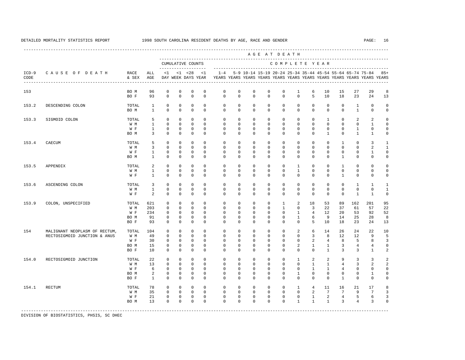---------------------------------------------------------------------------------------------------------------------------------------------------- A G E A T D E A T H --------------------------------------------------------------------------------------------- CUMULATIVE COUNTS C O M P L E T E Y E A R ------------------- ----------------------------------------------------------------------- ICD-9 C A U S E O F D E A T H RACE ALL <1 <1 <28 <1 1-4 5-9 10-14 15-19 20-24 25-34 35-44 45-54 55-64 65-74 75-84 85+ CODE & SEX AGE DAY WEEK DAYS YEAR YEARS YEARS YEARS YEARS YEARS YEARS YEARS YEARS YEARS YEARS YEARS YEARS ---------------------------------------------------------------------------------------------------------------------------------------------------- 153 BO M 96 0 0 0 0 0 0 0 0 0 1 6 10 15 27 29 8 BO F 93 0 0 0 0 0 0 0 0 0 0 5 10 18 23 24 13 153.2 DESCENDING COLON TOTAL 1 0 0 0 0 0 0 0 0 0 0 0 0 0 1 0 0 BOM 1 0 0 0 0 0 0 0 0 0 0 0 0 0 1 0 0 153.3 SIGMOID COLON TOTAL 5 0 0 0 0 0 0 0 0 0 0 0 1 0 2 2 0 W M 1 0 0 0 0 0 0 0 0 0 0 0 0 0 0 1 0 W F 1 0 0 0 0 0 0 0 0 0 0 0 0 0 0 1 0 0 BOM 3 0 0 0 0 0 0 0 0 0 0 0 0 1 0 1 1 0 153.4 CAECUM TOTAL 5 0 0 0 0 0 0 0 0 0 0 0 0 1 0 3 1 W M 3 0 0 0 0 0 0 0 0 0 0 0 0 0 0 2 1 W F 1 0 0 0 0 0 0 0 0 0 0 0 0 0 0 1 0 BO M 1 0 0 0 0 0 0 0 0 0 0 0 0 1 0 0 0 153.5 APPENDIX TOTAL 2 0 0 0 0 0 0 0 0 0 1 0 0 1 0 0 0 W M 1 0 0 0 0 0 0 0 0 0 1 0 0 0 0 0 0 W F 1 0 0 0 0 0 0 0 0 0 0 0 0 1 0 0 0 153.6 ASCENDING COLON TOTAL 3 0 0 0 0 0 0 0 0 0 0 0 0 0 1 1 1 W M 1 0 0 0 0 0 0 0 0 0 0 0 0 0 0 0 0 1 W F 2 0 0 0 0 0 0 0 0 0 0 0 0 0 1 1 0 153.9 COLON, UNSPECIFIED TOTAL 621 0 0 0 0 0 0 0 0 1 2 18 53 89 162 201 95 W M 203 0 0 0 0 0 0 0 0 1 0 3 22 37 61 57 22 W F 234 0 0 0 0 0 0 0 0 0 1 4 12 20 53 92 52 BO M 91 0 0 0 0 0 0 0 0 0 1 6 9 14 25 28 8 BO F 93 0 0 0 0 0 0 0 0 0 0 5 10 18 23 24 13 154 MALIGNANT NEOPLASM OF RECTUM, TOTAL 104 0 0 0 0 0 0 0 0 0 2 6 14 26 24 22 10 RECTOSIGMOID JUNCTION & ANUS W M 49 0 0 0 0 0 0 0 0 0 0 3 8 12 12 9 5 W F 30 0 0 0 0 0 0 0 0 0 0 2 4 8 5 8 3 BO M 15 0 0 0 0 0 0 0 0 0 2 1 1 3 4 4 0 BO F 10 0 0 0 0 0 0 0 0 0 0 0 1 3 3 1 2 154.0 RECTOSIGMOID JUNCTION TOTAL 22 0 0 0 0 0 0 0 0 0 1 2 2 9 3 3 2 W M 13 0 0 0 0 0 0 0 0 0 0 0 1 1 4 3 2 2 W F G O O O O O O O O O O 1 1 4 0 0 0 BOM 2 0 0 0 0 0 0 0 0 0 0 0 0 0 0 1 0 BO F 1 0 0 0 0 0 0 0 0 0 0 0 0 1 0 0 0 154.1 RECTUM TOTAL 78 0 0 0 0 0 0 0 0 0 1 4 11 16 21 17 8 W M 35 0 0 0 0 0 0 0 0 0 0 0 0 2 7 7 9 7 3 W F 21 0 0 0 0 0 0 0 0 0 0 0 1 2 4 5 6 3 BO M 13 0 0 0 0 0 0 0 0 0 1 1 1 3 4 3 0 -----------------------------------------------------------------------------------------------------------------------------------------------------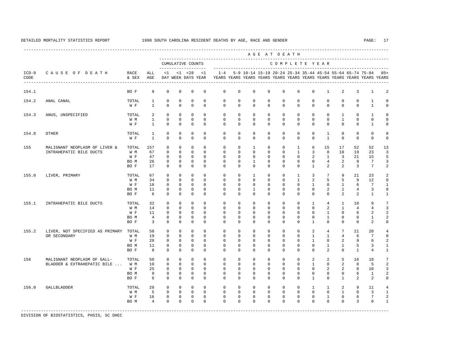---------------------------------------------------------------------------------------------------------------------------------------------------- A G E A T D E A T H --------------------------------------------------------------------------------------------- CUMULATIVE COUNTS C O M P L E T E Y E A R ------------------- ----------------------------------------------------------------------- ICD-9 C A U S E O F D E A T H RACE ALL <1 <1 <28 <1 1-4 5-9 10-14 15-19 20-24 25-34 35-44 45-54 55-64 65-74 75-84 85+ CODE & SEX AGE DAY WEEK DAYS YEAR YEARS YEARS YEARS YEARS YEARS YEARS YEARS YEARS YEARS YEARS YEARS YEARS ---------------------------------------------------------------------------------------------------------------------------------------------------- 154.1 BO F 9 0 0 0 0 0 0 0 0 0 0 0 1 2 3 1 2 154.2 ANAL CANAL TOTAL 1 0 0 0 0 0 0 0 0 0 0 0 0 0 0 1 0 W F 1 0 0 0 0 0 0 0 0 0 0 0 0 0 0 1 0 154.3 ANUS, UNSPECIFIED TOTAL 2 0 0 0 0 0 0 0 0 0 0 0 0 1 0 1 0 W M 1 0 0 0 0 0 0 0 0 0 0 0 0 1 0 0 0 W F 1 0 0 0 0 0 0 0 0 0 0 0 0 0 0 1 0 154.8 OTHER TOTAL 1 0 0 0 0 0 0 0 0 0 0 0 1 0 0 0 0 W F 1 0 0 0 0 0 0 0 0 0 0 0 1 0 0 0 0 155 MALIGNANT NEOPLASM OF LIVER & TOTAL 157 0 0 0 0 0 0 1 0 0 1 6 15 17 52 52 13 INTRAHEPATIC BILE DUCTS W M 67 0 0 0 0 0 0 0 0 0 0 1 3 W F 47 0 0 0 0 0 0 0 0 0 0 2 1 3 21 15 5 BO M 26 0 0 0 0 0 0 1 0 0 0 0 4 2 9 7 3 BO F 17 0 0 0 0 0 0 0 0 0 0 1 2 2 3 7 2 155.0 LIVER, PRIMARY TOTAL 67 0 0 0 0 0 0 1 0 0 1 3 7 9 21 23 2 W M 34 0 0 0 0 0 0 0 0 0 1 2 5 5 9 12 0 W F 16 0 0 0 0 0 0 0 0 0 0 0 0 1 0 1 6 7 1 BO M 11 0 0 0 0 0 0 1 0 0 0 0 2 1 4 3 0 BO F 6 0 0 0 0 0 0 0 0 0 0 0 0 2 2 1 1 155.1 INTRAHEPATIC BILE DUCTS TOTAL 32 0 0 0 0 0 0 0 0 0 0 0 0 0 1 4 1 10 9 7<br>
WM 14 0 0 0 0 0 0 0 0 0 0 0 0 2 1 4 4 3 W M 14 0 0 0 0 0 0 0 0 0 0 0 2 1 4 4 3 W F 11 0 0 0 0 0 0 0 0 0 0 0 0 1 0 6 2 2 BOM 4 0 0 0 0 0 0 0 0 0 0 0 0 0 0 1 2 BO F 3 0 0 0 0 0 0 0 0 0 0 1 0 0 0 2 0 155.2 LIVER, NOT SPECIFIED AS PRIMARY TOTAL 58 0 0 0 0 0 0 0 0 0 0 2 4 7 21 20 4 OR SECONDARY W M 19 0 0 0 0 0 0 0 0 0 0 1 1 4 6 7 0 W F 20 0 0 0 0 0 0 0 0 0 0 1 0 2 9 6 2 BO M 11 0 0 0 0 0 0 0 0 0 0 0 1 1 5 3 1 BO F 8 0 0 0 0 0 0 0 0 0 0 0 2 0 1 4 1 156 MALIGNANT NEOPLASM OF GALL- TOTAL 50 0 0 0 0 0 0 0 0 0 0 2 2 5 16 18 7 BLADDER & EXTRAHEPATIC BILE ... W M 10 0 0 0 0 0 0 0 0 0 0 0 0 0 0 0 0 2 0 5 2<br>W F 25 0 0 0 0 0 0 0 0 0 0 0 0 2 2 8 10 3 W F 25 0 0 0 0 0 0 0 0 0 0 0 2 2 8 10 3 BOM 9 0 0 0 0 0 0 0 0 0 0 0 0 0 6 1 2 BO F 6 0 0 0 0 0 0 0 0 0 0 1 0 1 2 2 0 156.0 GALLBLADDER TOTAL 28 0 0 0 0 0 0 0 0 0 0 1 1 2 9 11 4 W M M 5 0 0 0 0 0 0 0 0 0 0 0 0 0 0 0 0 1 0 3 1 W F 16 0 0 0 0 0 0 0 0 0 0 0 0 1 0 6 7 2 BOM 4 0 0 0 0 0 0 0 0 0 0 0 0 0 0 3 0 1 -----------------------------------------------------------------------------------------------------------------------------------------------------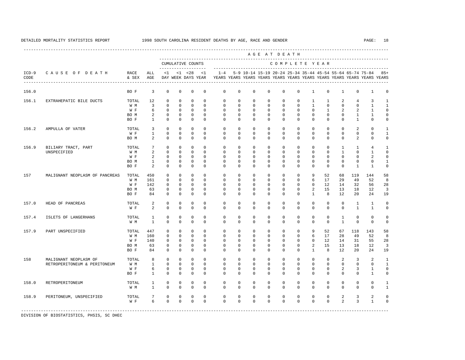---------------------------------------------------------------------------------------------------------------------------------------------------- --------------------------------------------------------------------------------------------- ------------------- ----------------------------------------------------------------------- ICD-9 C A U S E O F D E A T H RACE ALL <1 <1 <28 <1 1-4 5-9 10-14 15-19 20-24 25-34 35-44 45-54 55-64 65-74 75-84 85+

| EXTRAHEPATIC BILE DUCTS<br>AMPULLA OF VATER | BO F<br>TOTAL<br>W M<br>W F<br>BO M<br>BO F<br>TOTAL<br>W F | 3<br>12<br>3<br>6<br>$\overline{c}$<br>$\mathbf{1}$<br>3 | $\mathbf 0$<br>0<br>$\mathbf 0$<br>$\mathsf 0$<br>$\mathsf 0$<br>$\mathbf 0$ | $\mathbf 0$<br>$\mathbf 0$<br>$\mathbf 0$<br>$\mathbf 0$<br>$\mathbb O$ | $\mathbf 0$<br>$\mathsf 0$<br>$\mathbf 0$<br>$\mathbf 0$ | $\mathbf 0$<br>$\mathbf 0$<br>$\Omega$ | $\mathbf 0$<br>$\mathsf 0$                         | $\mathbf 0$<br>$\mathbf 0$ | $\mathbf 0$                                                                                                                                                                                                                                                                                                                                                                                                                                                                                                                                                                                                                                                                                                                                       | $\mathbf 0$                               | 0           | $\mathbf 0$ | $\mathbf{1}$   | $\mathbf 0$  | $\mathbf{1}$   | 0            | 1              | $\mathbf 0$          |
|---------------------------------------------|-------------------------------------------------------------|----------------------------------------------------------|------------------------------------------------------------------------------|-------------------------------------------------------------------------|----------------------------------------------------------|----------------------------------------|----------------------------------------------------|----------------------------|---------------------------------------------------------------------------------------------------------------------------------------------------------------------------------------------------------------------------------------------------------------------------------------------------------------------------------------------------------------------------------------------------------------------------------------------------------------------------------------------------------------------------------------------------------------------------------------------------------------------------------------------------------------------------------------------------------------------------------------------------|-------------------------------------------|-------------|-------------|----------------|--------------|----------------|--------------|----------------|----------------------|
|                                             |                                                             |                                                          |                                                                              |                                                                         |                                                          |                                        |                                                    |                            |                                                                                                                                                                                                                                                                                                                                                                                                                                                                                                                                                                                                                                                                                                                                                   |                                           |             |             |                |              |                |              |                |                      |
|                                             |                                                             |                                                          |                                                                              |                                                                         |                                                          |                                        |                                                    |                            | $\mathsf 0$                                                                                                                                                                                                                                                                                                                                                                                                                                                                                                                                                                                                                                                                                                                                       | 0                                         | 0           | 0           | 1              | 1            | 2              | 4            | 3              | $\mathbf{1}$         |
|                                             |                                                             |                                                          |                                                                              |                                                                         |                                                          |                                        | $\Omega$                                           | $\mathbf 0$                | $\mathbf 0$                                                                                                                                                                                                                                                                                                                                                                                                                                                                                                                                                                                                                                                                                                                                       | $\mathbf 0$                               | 0           | $\mathbf 0$ | $\mathbf{1}$   | $\mathbf 0$  | $\mathbf 0$    | 0            | $\mathbf{1}$   | $\mathbf{1}$         |
|                                             |                                                             |                                                          |                                                                              |                                                                         |                                                          | $\Omega$                               | $\mathbf 0$                                        | $\mathbf 0$                | $\mathbf 0$                                                                                                                                                                                                                                                                                                                                                                                                                                                                                                                                                                                                                                                                                                                                       | $\mathbf 0$                               | $\mathbf 0$ | $\mathbf 0$ | 0              | $\mathbf{1}$ | $\overline{a}$ | 2            | $\mathbf{1}$   | $\mathbf 0$          |
|                                             |                                                             |                                                          |                                                                              |                                                                         | $\mathbf 0$                                              | $\mathbf 0$                            | $\mathbf 0$                                        | $\mathsf 0$                | $\mathsf 0$                                                                                                                                                                                                                                                                                                                                                                                                                                                                                                                                                                                                                                                                                                                                       | 0                                         | 0           | 0           | 0              | 0            | 0              | $\mathbf{1}$ | $\mathbf{1}$   | $\mathbf 0$          |
|                                             |                                                             |                                                          |                                                                              | $\mathbf 0$                                                             | $\mathbf 0$                                              | $\Omega$                               | $\Omega$                                           | $\mathbf 0$                | $\mathbf 0$                                                                                                                                                                                                                                                                                                                                                                                                                                                                                                                                                                                                                                                                                                                                       | $\mathbf 0$                               | $\mathbf 0$ | $\mathbf 0$ | $\Omega$       | $\mathbf 0$  | $\Omega$       | $\mathbf{1}$ | $\Omega$       | $\mathbf 0$          |
|                                             |                                                             |                                                          | $\mathbf 0$                                                                  | $\Omega$                                                                | $\Omega$                                                 | $\Omega$                               | $\Omega$                                           | $\Omega$                   | $\Omega$                                                                                                                                                                                                                                                                                                                                                                                                                                                                                                                                                                                                                                                                                                                                          | $\Omega$                                  | $\Omega$    | $\Omega$    | $\Omega$       | $\Omega$     | $\Omega$       | 2            | $\Omega$       | $\mathbf{1}$         |
|                                             |                                                             | $\mathbf{1}$                                             | $\mathbf 0$                                                                  | $\mathbf 0$                                                             | $\mathbf 0$                                              | $\mathbf 0$                            | $\mathbf 0$                                        | $\mathbf 0$                | $\mathbf 0$                                                                                                                                                                                                                                                                                                                                                                                                                                                                                                                                                                                                                                                                                                                                       | $\mathbf 0$                               | 0           | $\mathbf 0$ | 0              | $\mathbf 0$  | $\mathbf{0}$   | 0            | 0              | $\mathbf{1}$         |
|                                             | BO M                                                        | $\overline{a}$                                           | $\mathbb O$                                                                  | $\mathbb O$                                                             | $\mathbb O$                                              | $\mathbf 0$                            | $\mathbf 0$                                        | $\mathbf 0$                | $\mathbf 0$                                                                                                                                                                                                                                                                                                                                                                                                                                                                                                                                                                                                                                                                                                                                       | $\mathsf 0$                               | $\mathbf 0$ | $\mathsf 0$ | $\mathbf 0$    | $\mathsf 0$  | $\mathbf{0}$   | 2            | $\mathbf 0$    | $\mathbf 0$          |
| BILIARY TRACT, PART                         | TOTAL                                                       | 7                                                        | $\mathbf 0$                                                                  | $\mathbf 0$                                                             | $\mathbf 0$                                              | $\mathbf 0$                            | $\mathbf 0$                                        | $\mathbf 0$                | $\mathbf 0$                                                                                                                                                                                                                                                                                                                                                                                                                                                                                                                                                                                                                                                                                                                                       | 0                                         | 0           | 0           | 0              | $\mathbf 0$  | $\mathbf{1}$   | $\mathbf{1}$ | $\overline{4}$ | $\mathbf{1}$         |
| UNSPECIFIED                                 | W M                                                         |                                                          | $\mathsf 0$                                                                  |                                                                         | $\mathbf 0$                                              |                                        |                                                    |                            | $\mathbf 0$                                                                                                                                                                                                                                                                                                                                                                                                                                                                                                                                                                                                                                                                                                                                       | $\mathbf 0$                               | 0           | $\mathbf 0$ | 0              | 0            | $\mathbf{1}$   | 0            | $\mathbf{1}$   | $\mathbf 0$          |
|                                             | W F                                                         |                                                          | $\Omega$                                                                     | $\mathbf 0$                                                             | $\mathbf 0$                                              |                                        |                                                    |                            | $\mathbf 0$                                                                                                                                                                                                                                                                                                                                                                                                                                                                                                                                                                                                                                                                                                                                       | 0                                         | 0           | 0           | 0              | 0            | $\mathbf{0}$   | 0            |                | 0                    |
|                                             | BO M                                                        | $\mathbf{1}$                                             | $\mathsf 0$                                                                  | $\mathbb O$                                                             | $\mathsf 0$                                              | $\mathbf 0$                            |                                                    |                            | $\mathsf 0$                                                                                                                                                                                                                                                                                                                                                                                                                                                                                                                                                                                                                                                                                                                                       | 0                                         | 0           | 0           | 0              | $\mathbf 0$  | $\Omega$       | 0            | 0              | $\mathbf{1}$         |
|                                             | BO F                                                        | $\overline{a}$                                           | $\mathbf 0$                                                                  | $\mathbf 0$                                                             | $\mathbf 0$                                              | $\mathbf 0$                            |                                                    |                            | $\mathbf 0$                                                                                                                                                                                                                                                                                                                                                                                                                                                                                                                                                                                                                                                                                                                                       | $\mathbf 0$                               | 0           | $\mathbf 0$ | 0              | $\mathbf 0$  | $\mathbf{0}$   | $\mathbf{1}$ | $\mathbf{1}$   | $\mathbf 0$          |
| MALIGNANT NEOPLASM OF PANCREAS              | TOTAL                                                       | 450                                                      | $\mathbf 0$                                                                  | $\mathbf 0$                                                             | $\mathbf 0$                                              | $\mathbf 0$                            |                                                    |                            | $\mathsf 0$                                                                                                                                                                                                                                                                                                                                                                                                                                                                                                                                                                                                                                                                                                                                       | 0                                         | 0           | 0           | 9              | 52           | 68             | 119          | 144            | 58                   |
|                                             | W M                                                         | 161                                                      | $\mathbf 0$                                                                  | $\mathbf 0$                                                             | $\mathbf 0$                                              | $\Omega$                               |                                                    |                            | $\mathbf 0$                                                                                                                                                                                                                                                                                                                                                                                                                                                                                                                                                                                                                                                                                                                                       | $\mathbf 0$                               | 0           | $\mathbf 0$ | 6              | 17           | 29             | 49           | 52             | 8                    |
|                                             | W F                                                         | 142                                                      | $\Omega$                                                                     | $\Omega$                                                                | $\mathbf 0$                                              | $\Omega$                               | $\Omega$                                           |                            | $\mathbf 0$                                                                                                                                                                                                                                                                                                                                                                                                                                                                                                                                                                                                                                                                                                                                       | 0                                         | 0           | $\mathbf 0$ | 0              | 12           | 14             | 32           | 56             | 28                   |
|                                             | BO M                                                        | 63                                                       | $\mathsf 0$                                                                  | $\mathbb O$                                                             | $\mathbf 0$                                              | $\mathbb O$                            |                                                    |                            | $\mathsf 0$                                                                                                                                                                                                                                                                                                                                                                                                                                                                                                                                                                                                                                                                                                                                       | 0                                         | 0           | 0           | $\overline{a}$ | 15           | 13             | 18           | 12             | $\overline{3}$       |
|                                             | BO F                                                        | 84                                                       | $\mathbf 0$                                                                  | $\mathbf 0$                                                             | $\mathbf 0$                                              | $\Omega$                               |                                                    |                            | $\Omega$                                                                                                                                                                                                                                                                                                                                                                                                                                                                                                                                                                                                                                                                                                                                          | 0                                         | 0           | $\mathbf 0$ | $\mathbf{1}$   | 8            | 12             | 20           | 24             | 19                   |
| HEAD OF PANCREAS                            | TOTAL                                                       | 2                                                        | $\mathbf 0$                                                                  | $\mathbf 0$                                                             | $\mathbf 0$                                              | $\mathbf 0$                            |                                                    |                            | $\mathbf 0$                                                                                                                                                                                                                                                                                                                                                                                                                                                                                                                                                                                                                                                                                                                                       | $\mathbf 0$                               | 0           | $\mathbf 0$ | 0              | $\mathbf 0$  | $\mathbf{0}$   | 1            | $\mathbf{1}$   | $\mathbf 0$          |
|                                             | W F                                                         | $\overline{a}$                                           | $\mathbf 0$                                                                  | $\mathbf 0$                                                             | $\mathbf 0$                                              | $\mathbf 0$                            |                                                    |                            | $\mathbf 0$                                                                                                                                                                                                                                                                                                                                                                                                                                                                                                                                                                                                                                                                                                                                       | $\mathbf 0$                               | 0           | $\mathbf 0$ | 0              | $\mathbf 0$  | $\mathbf{0}$   | $\mathbf{1}$ | $\mathbf{1}$   | $\mathbf 0$          |
| ISLETS OF LANGERHANS                        | TOTAL                                                       | $\mathbf{1}$                                             | $\mathbf 0$                                                                  | $\mathbf 0$                                                             | $\mathbf 0$                                              | $\mathbf 0$                            |                                                    |                            | $\mathbf 0$                                                                                                                                                                                                                                                                                                                                                                                                                                                                                                                                                                                                                                                                                                                                       | 0                                         | 0           | $\mathbf 0$ | 0              | 0            | $\mathbf{1}$   | 0            | 0              | $\mathbf 0$          |
|                                             | W M                                                         | $\mathbf{1}$                                             | $\mathbf 0$                                                                  | $\mathbf 0$                                                             | $\mathbf 0$                                              | $\Omega$                               |                                                    |                            | $\mathbf 0$                                                                                                                                                                                                                                                                                                                                                                                                                                                                                                                                                                                                                                                                                                                                       | $\mathbf 0$                               | 0           | $\mathbf 0$ | 0              | $\mathbf 0$  | $\mathbf{1}$   | 0            | 0              | 0                    |
| PART UNSPECIFIED                            | TOTAL                                                       | 447                                                      | 0                                                                            | $\mathbf{0}$                                                            | 0                                                        | $\mathbf 0$                            |                                                    |                            | $\mathbf 0$                                                                                                                                                                                                                                                                                                                                                                                                                                                                                                                                                                                                                                                                                                                                       | 0                                         | 0           | 0           | 9              | 52           | 67             | 118          | 143            | 58                   |
|                                             | W M                                                         | 160                                                      |                                                                              |                                                                         |                                                          |                                        |                                                    |                            |                                                                                                                                                                                                                                                                                                                                                                                                                                                                                                                                                                                                                                                                                                                                                   | $\mathbf 0$                               | 0           | 0           |                | 17           |                | 49           |                | 8                    |
|                                             | W F                                                         | 140                                                      | $\mathbf 0$                                                                  | $\mathbf 0$                                                             | $\mathbf 0$                                              | $\mathbf 0$                            |                                                    |                            | $\mathbf 0$                                                                                                                                                                                                                                                                                                                                                                                                                                                                                                                                                                                                                                                                                                                                       | $\mathbf 0$                               | 0           | $\mathbf 0$ | 0              | 12           | 14             | 31           | 55             | 28                   |
|                                             | BO M                                                        | 63                                                       | $\mathbf 0$                                                                  | $\mathbf 0$                                                             | $\mathsf 0$                                              | $\mathbf 0$                            |                                                    |                            | $\mathbf 0$                                                                                                                                                                                                                                                                                                                                                                                                                                                                                                                                                                                                                                                                                                                                       | $\mathbf 0$                               | 0           | $\mathbf 0$ | 2              | 15           | 13             | 18           | 12             | $\overline{3}$       |
|                                             | BO F                                                        | 84                                                       | $\mathbf 0$                                                                  |                                                                         |                                                          |                                        |                                                    |                            |                                                                                                                                                                                                                                                                                                                                                                                                                                                                                                                                                                                                                                                                                                                                                   | $\mathbf 0$                               |             | $\mathbf 0$ | $\mathbf{1}$   | 8            | 12             | 20           | 24             | 19                   |
| MALIGNANT NEOPLASM OF                       | TOTAL                                                       | 8                                                        | $\mathbf 0$                                                                  | $\mathbf 0$                                                             | $\mathbf 0$                                              | $\Omega$                               |                                                    |                            | $\mathbf 0$                                                                                                                                                                                                                                                                                                                                                                                                                                                                                                                                                                                                                                                                                                                                       | 0                                         | 0           | $\mathbf 0$ | 0              | $\mathbf 0$  | 2              | 3            | 2              | $\mathbf{1}$         |
| RETROPERITONEUM & PERITONEUM                | W M                                                         | $\mathbf{1}$                                             | $\mathbf 0$                                                                  | $\mathbf 0$                                                             | $\mathbf 0$                                              | $\Omega$                               |                                                    |                            | $\mathbf 0$                                                                                                                                                                                                                                                                                                                                                                                                                                                                                                                                                                                                                                                                                                                                       | $\mathbf 0$                               | 0           | $\mathbf 0$ | 0              | $\mathbf 0$  | $\mathbf{0}$   | 0            | 0              | $\mathbf{1}$         |
|                                             | W F                                                         | 6                                                        | $\mathsf 0$                                                                  | $\mathbf 0$                                                             | $\mathbf 0$                                              | $\mathbf 0$                            |                                                    |                            | $\mathbf 0$                                                                                                                                                                                                                                                                                                                                                                                                                                                                                                                                                                                                                                                                                                                                       | $\mathbf 0$                               | 0           | $\mathbf 0$ | 0              | $\mathbf 0$  | 2              | 3            | $\mathbf{1}$   | $\mathbb O$          |
|                                             | BO F                                                        | $\mathbf{1}$                                             | $\mathbf 0$                                                                  | $\mathbf 0$                                                             | $\mathbf 0$                                              | $\Omega$                               |                                                    |                            | $\mathbf 0$                                                                                                                                                                                                                                                                                                                                                                                                                                                                                                                                                                                                                                                                                                                                       | $\mathbf 0$                               | $\mathbf 0$ | $\mathbf 0$ | $\mathbf 0$    | $\mathbf 0$  | $\mathbf 0$    | 0            | $\mathbf{1}$   | $\mathbf 0$          |
| RETROPERITONEUM                             | TOTAL                                                       | 1                                                        | $\mathbf 0$                                                                  | $\mathbf 0$                                                             | 0                                                        | $\mathbf 0$                            |                                                    |                            | $\mathbf{0}$                                                                                                                                                                                                                                                                                                                                                                                                                                                                                                                                                                                                                                                                                                                                      | 0                                         | 0           | $\mathbf 0$ | 0              | 0            | 0              | 0            | 0              | 1                    |
|                                             | W M                                                         | $\mathbf{1}$                                             | $\mathbf 0$                                                                  | $\mathbf 0$                                                             | $\mathbf 0$                                              | $\mathbf 0$                            |                                                    |                            | $\mathbf 0$                                                                                                                                                                                                                                                                                                                                                                                                                                                                                                                                                                                                                                                                                                                                       | $\mathbf 0$                               | $\mathbf 0$ | $\mathbf 0$ | $\mathbf 0$    | $\mathbf 0$  | $\mathbf 0$    | 0            | $\mathbf 0$    | $\mathbf{1}$         |
| PERITONEUM, UNSPECIFIED                     | TOTAL                                                       | 7                                                        | $\mathbf 0$                                                                  | $\mathbf 0$                                                             | $\mathsf 0$                                              | $\mathsf 0$                            |                                                    |                            | $\mathsf 0$                                                                                                                                                                                                                                                                                                                                                                                                                                                                                                                                                                                                                                                                                                                                       | 0                                         | 0           | 0           | 0              | 0            | 2              | 3            | 2              | 0                    |
|                                             | W F                                                         | 6                                                        | $\mathbf{0}$                                                                 | $\Omega$                                                                | $\mathbf 0$                                              | $\mathbf 0$                            |                                                    |                            | $\mathbf 0$                                                                                                                                                                                                                                                                                                                                                                                                                                                                                                                                                                                                                                                                                                                                       | 0                                         | 0           | 0           | 0              | $\mathbf 0$  | $\overline{a}$ | 3            | $\mathbf{1}$   | $\mathbf 0$          |
|                                             |                                                             |                                                          | 2<br>$\overline{c}$                                                          | $\mathbb O$                                                             | $\mathbb O$<br>$\mathbb O$<br>$\mathbf 0$                | $\mathbf 0$<br>$\mathbb O$             | $\Omega$<br>$\Omega$<br>$\mathbf 0$<br>$\mathbf 0$ |                            | $\mathbf 0$<br>$\mathbf 0$<br>$\mathbf 0$<br>$\mathbf 0$<br>$\mathsf 0$<br>$\mathsf 0$<br>$\mathbf 0$<br>$\mathbf 0$<br>$\mathbf 0$<br>$\mathsf 0$<br>$\mathbf 0$<br>$\Omega$<br>$\mathbf 0$<br>$\mathsf 0$<br>$\mathsf 0$<br>$\Omega$<br>$\Omega$<br>$\mathbf 0$<br>$\mathbf 0$<br>$\mathbf 0$<br>$\mathbf 0$<br>$\mathbf 0$<br>$\mathbf 0$<br>$\Omega$<br>$\mathbf 0$<br>0<br>$\mathbf 0$<br>$\mathbf 0$<br>$\mathbf 0$<br>$\mathbf 0$<br>$\mathbf 0$<br>$\mathbf 0$<br>$\mathbf 0$<br>$\mathbf 0$<br>$\mathbf 0$<br>$\mathbf 0$<br>$\mathbf 0$<br>$\mathbf 0$<br>$\mathbf 0$<br>$\mathbf 0$<br>$\Omega$<br>$\mathbf 0$<br>$\mathbf 0$<br>$\mathbf 0$<br>$\mathbf 0$<br>$\mathbf 0$<br>$\mathbf 0$<br>$\mathsf 0$<br>$\mathbf 0$<br>$\mathbf 0$ | $\mathbf 0$<br>$\mathsf 0$<br>$\mathbf 0$ |             | $\mathbf 0$ |                |              | 6              | 28           |                | $\overline{c}$<br>52 |

DIVISION OF BIOSTATISTICS, PHSIS, SC DHEC

A G E A T D E A T H

CUMULATIVE COUNTS C O M P L E T E Y E A R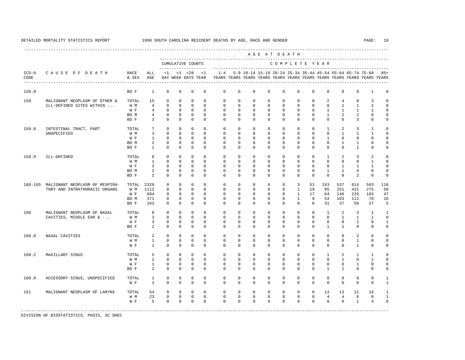|                 |                                        |               |                 |             |              |                                    |              |             |              |                                                                                                                                      | ------------------------<br>AGE AT DEATH |               |                |              |                |                |                |                |              |
|-----------------|----------------------------------------|---------------|-----------------|-------------|--------------|------------------------------------|--------------|-------------|--------------|--------------------------------------------------------------------------------------------------------------------------------------|------------------------------------------|---------------|----------------|--------------|----------------|----------------|----------------|----------------|--------------|
|                 |                                        |               |                 |             |              | CUMULATIVE COUNTS                  |              |             |              |                                                                                                                                      |                                          | COMPLETE YEAR |                |              |                |                |                |                |              |
| $ICD-9$<br>CODE | CAUSE OF DEATH                         | RACE<br>& SEX | ALL<br>AGE      | <1          |              | $< 1$ $< 28$<br>DAY WEEK DAYS YEAR | <1           | $1 - 4$     |              | 5-9 10-14 15-19 20-24 25-34 35-44 45-54 55-64 65-74 75-84<br>YEARS YEARS YEARS YEARS YEARS YEARS YEARS YEARS YEARS YEARS YEARS YEARS |                                          |               |                |              |                |                |                |                | $85+$        |
| 158.9           |                                        | BO F          | $\mathbf{1}$    | $\mathbf 0$ | $\mathbf 0$  | $\mathbf 0$                        | 0            | $\mathbf 0$ | $\mathbf 0$  | $\mathbb O$                                                                                                                          | 0                                        | $\mathbf 0$   | $\mathbf 0$    | $\mathbf 0$  | $\mathbf 0$    | $\mathbf 0$    | 0              | $\mathbf{1}$   | $\Omega$     |
| 159             | MALIGNANT NEOPLASM OF OTHER &          | TOTAL         | 15              | $\Omega$    | $\Omega$     | $\mathbf{0}$                       | $\Omega$     | $\Omega$    | $\Omega$     | $\Omega$                                                                                                                             | $\Omega$                                 | $\Omega$      | $\Omega$       | $\Omega$     | 2              | 4              | 6              | 3              |              |
|                 | ILL-DEFINED SITES WITHIN               | W M           | $\overline{4}$  | $\Omega$    | $\mathbf 0$  | $\mathbf{0}$                       | $\Omega$     | $\Omega$    | $\mathbf 0$  | $\mathbf 0$                                                                                                                          | $\mathbf 0$                              | $\mathbf 0$   | $\mathbf 0$    | $\mathbf 0$  | $\mathbf 0$    | $\mathbf{1}$   | $\mathbf{1}$   | $\overline{a}$ |              |
|                 |                                        | W F           | $\overline{4}$  | $\Omega$    | $\mathbf 0$  | $\mathbf 0$                        | $\Omega$     | $\Omega$    | $\Omega$     | $\mathbf 0$                                                                                                                          | $\mathbf 0$                              | $\mathbf 0$   | $\Omega$       | $\Omega$     | $\mathbf{1}$   | $\mathbf{1}$   | $\mathbf{1}$   | $\mathbf{1}$   |              |
|                 |                                        | BO M          | $\overline{4}$  | $\mathbf 0$ | $\mathbf{0}$ | $\mathbf 0$                        | $\Omega$     | $\Omega$    | $\Omega$     | $\mathbf{0}$                                                                                                                         | $\mathbf 0$                              | $\mathbf 0$   | $\mathbf 0$    | $\Omega$     | $\mathbf{1}$   | 2              | 1              | $\Omega$       |              |
|                 |                                        | BO F          | 3               | $\Omega$    | $\Omega$     | $\Omega$                           | $\Omega$     | $\Omega$    | $\Omega$     | $\Omega$                                                                                                                             | $\Omega$                                 | $\Omega$      | $\Omega$       | $\Omega$     | $\Omega$       | $\Omega$       | 3              | $\mathbf 0$    | $\Omega$     |
| 159.0           | INTESTINAL TRACT, PART                 | TOTAL         | $7\phantom{.0}$ | $\Omega$    | $\Omega$     | $\mathbf{0}$                       | $\Omega$     | $\Omega$    | $\Omega$     | $\Omega$                                                                                                                             | $\Omega$                                 | $\Omega$      | $\Omega$       | $\Omega$     | $\mathbf{1}$   | $\mathfrak{D}$ | $\overline{3}$ | $\mathbf{1}$   | $\Omega$     |
|                 | UNSPECIFIED                            | W M           | 3               | $\Omega$    | $\Omega$     | $\Omega$                           | $\Omega$     | $\Omega$    | $\Omega$     | $\Omega$                                                                                                                             | $\Omega$                                 | $\Omega$      | $\Omega$       | $\Omega$     | $\Omega$       | $\overline{1}$ | $\mathbf{1}$   | $\mathbf{1}$   |              |
|                 |                                        | W F           | 1               | $\Omega$    | $\mathbf{0}$ | $\mathbf 0$                        | $\Omega$     | $\Omega$    | $\Omega$     | $\mathbf 0$                                                                                                                          | $\Omega$                                 | $\Omega$      | $\Omega$       | 0            | $\mathbf{1}$   | $\Omega$       | $\mathbf{0}$   | $\Omega$       |              |
|                 |                                        | BO M          | 2               | 0           | 0            | $\mathbb O$                        | $\mathbf 0$  | 0           | $\mathbf 0$  | 0                                                                                                                                    | 0                                        | 0             | $\mathbf 0$    | 0            | $\mathbf 0$    | 1              | 1              | 0              | $\Omega$     |
|                 |                                        | BO F          | $\mathbf{1}$    | $\mathbf 0$ | $\mathbf{0}$ | $\mathbf{0}$                       | 0            | $\Omega$    | $^{\circ}$   | $\mathbf{0}$                                                                                                                         | $\mathbf{0}$                             | $\mathbf{0}$  | 0              | 0            | 0              | 0              | 1              | 0              |              |
| 159.9           | ILL-DEFINED                            | TOTAL         | 8               | $\mathbf 0$ | $\mathbf 0$  | 0                                  | $\Omega$     | 0           | $\mathbf{0}$ | $\mathbf 0$                                                                                                                          | 0                                        | $\circ$       | $\circ$        | $^{\circ}$   | $\mathbf{1}$   | 2              | 3              | 2              | $\Omega$     |
|                 |                                        | W M           | $\mathbf{1}$    | $\Omega$    | $\mathbf{0}$ | $\mathbf{0}$                       | $\Omega$     | $\Omega$    | $\mathbf 0$  | $\mathbf 0$                                                                                                                          | $\mathbf{0}$                             | $\mathbf 0$   | $\mathbf 0$    | $\mathbf 0$  | 0              | 0              | 0              | 1              |              |
|                 |                                        | W F           | 3               | 0           | $\mathbf{0}$ | $\mathbf 0$                        | $\mathbf 0$  | 0           | $\mathbf 0$  | $\mathbf 0$                                                                                                                          | $\mathbf{0}$                             | $\mathbf{0}$  | $^{\circ}$     | $^{\circ}$   | $\mathbf{0}$   | $\mathbf{1}$   | $\mathbf{1}$   | 1              |              |
|                 |                                        | BO M          | 2               | 0           | $\mathbf{0}$ | $\mathbf{0}$                       | $\Omega$     | $\Omega$    | $\Omega$     | $\mathbf 0$                                                                                                                          | $\mathbf 0$                              | $\mathbf 0$   | $\mathbf 0$    | $^{\circ}$   | 1              | $\overline{1}$ | $\mathbf 0$    | $\Omega$       | $\Omega$     |
|                 |                                        | BO F          | 2               | $\Omega$    | $\Omega$     | $\Omega$                           | $\Omega$     | $\Omega$    | $\Omega$     | $\Omega$                                                                                                                             | $\Omega$                                 | $\Omega$      | $\Omega$       | $\Omega$     | $\Omega$       | $\Omega$       | 2              | $\Omega$       | $\Omega$     |
|                 | 160-165 MALIGNANT NEOPLASM OF RESPIRA- | TOTAL         | 2329            | 0           | $\mathbf 0$  | $\mathbf{0}$                       | $\Omega$     | 0           | $^{\circ}$   | $\mathbf 0$                                                                                                                          | 0                                        | $\mathbf 0$   | $\overline{3}$ | 51           | 243            | 537            | 814            | 563            | 118          |
|                 | TORY AND INTRATHORACIC ORGANS          | W M           | 1112            | $\Omega$    | $\Omega$     | $\Omega$                           | $\Omega$     | $\cap$      | $\Omega$     | $\Omega$                                                                                                                             | $\Omega$                                 | $\Omega$      | $\mathbf{1}$   | 19           | 95             | 251            | 421            | 275            | 50           |
|                 |                                        | W F           | 684             | 0           | $\mathbf 0$  | $\mathbf{0}$                       | $\mathbf{0}$ | $\mathbf 0$ | $\mathbf 0$  | $\mathbf 0$                                                                                                                          | $\mathbf 0$                              | $\mathbf 0$   | $\mathbf{1}$   | 17           | 64             | 146            | 226            | 183            | 47           |
|                 |                                        | BO M          | 371             | $\Omega$    | $\Omega$     | $\mathbf{0}$                       | $\Omega$     | $\Omega$    | $\Omega$     | $\mathbf 0$                                                                                                                          | $\mathbf{0}$                             | $\Omega$      | $\mathbf{1}$   | 9            | 53             | 103            | 111            | 78             | 16           |
|                 |                                        | BO F          | 162             | $\Omega$    | $\Omega$     | $\Omega$                           | $\Omega$     | $\Omega$    | $\Omega$     | $\Omega$                                                                                                                             | $\Omega$                                 | $\Omega$      | $\Omega$       | 6            | 31             | 37             | 56             | 27             | 5            |
| 160             | MALIGNANT NEOPLASM OF NASAL            | TOTAL         | 8               | $\Omega$    | $\mathbf 0$  | $\mathbf{0}$                       | $\Omega$     | $\Omega$    | $\Omega$     | $\mathbf 0$                                                                                                                          | $\mathbf 0$                              | $\mathbf 0$   | $\mathbf 0$    | $\mathbf 0$  | $\mathbf{1}$   | 2              | $\overline{3}$ | $\mathbf{1}$   | 1            |
|                 | CAVITIES, MIDDLE EAR &                 | W M           | 3               | $\Omega$    | $\Omega$     | $\mathbf{0}$                       | $\Omega$     | $\Omega$    | $\Omega$     | $\mathbf 0$                                                                                                                          | $\Omega$                                 | $\Omega$      | $\Omega$       | $\Omega$     | $\Omega$       | $\overline{1}$ | $\mathbf{1}$   | $\mathbf{1}$   | $\Omega$     |
|                 |                                        | W F           | 3               | $\Omega$    | $\Omega$     | $\Omega$                           | $\Omega$     | $\Omega$    | $\Omega$     | $\mathbf{0}$                                                                                                                         | $\Omega$                                 | $\mathbf 0$   | $\mathbf 0$    | $\mathbf 0$  | $\Omega$       | $\mathbf 0$    | 2              | $\mathbf 0$    | $\mathbf{1}$ |
|                 |                                        | BO F          | 2               | 0           | $\mathbf 0$  | $\mathbf 0$                        | $\mathbf 0$  | $\Omega$    | $^{\circ}$   | $\mathbf{0}$                                                                                                                         | 0                                        | $\circ$       | $\mathbf 0$    | $\mathbf{0}$ | $\mathbf{1}$   | $\mathbf{1}$   | 0              | $\mathsf 0$    | 0            |
| 160.0           | NASAL CAVITIES                         | TOTAL         | 2               | 0           | $\mathbf{0}$ | $\mathbf 0$                        | 0            | 0           | $^{\circ}$   | $\mathbf{0}$                                                                                                                         | $\mathbf{0}$                             | $\circ$       | $^{\circ}$     | $^{\circ}$   | $\mathbf{0}$   | $\mathbf{0}$   | 2              | 0              |              |
|                 |                                        | W M           | $\mathbf{1}$    | $\Omega$    | $\mathbf{0}$ | $\mathbf 0$                        | $\Omega$     | $\Omega$    | $\Omega$     | $\mathbf{0}$                                                                                                                         | $\Omega$                                 | $\Omega$      | $\mathbf 0$    | $\mathbf 0$  | $\Omega$       | 0              | $\mathbf{1}$   | $\mathbf 0$    | $\Omega$     |
|                 |                                        | W F           | $\mathbf{1}$    | 0           | $\mathbf{0}$ | $\mathbb O$                        | 0            | $\Omega$    | $\mathbf{0}$ | $\mathbf{0}$                                                                                                                         | $\mathbf{0}$                             | $\mathbf 0$   | $\mathbf 0$    | 0            | $\mathbf 0$    | $\mathbf 0$    | $\mathbf{1}$   | $\mathsf 0$    | $\Omega$     |
| 160.2           | MAXILLARY SINUS                        | TOTAL         | 5               | $\Omega$    | $\mathbf 0$  | $\mathbf{0}$                       | $\Omega$     | $\Omega$    | $\Omega$     | $\mathbf 0$                                                                                                                          | $\Omega$                                 | $\Omega$      | $\mathbf 0$    | $\Omega$     | $\mathbf{1}$   | 2              | $\mathbf{1}$   | 1              | $\Omega$     |
|                 |                                        |               | 2               | $\mathbf 0$ | $\mathbf 0$  | $\mathbf{0}$                       | $\Omega$     | $\Omega$    | $\mathbf 0$  | $\mathbf 0$                                                                                                                          | $\mathbf 0$                              | $\mathbf 0$   | $\mathbf 0$    | $\mathbf 0$  | $\mathbf 0$    | $\mathbf{1}$   | 0              | $\mathbf{1}$   | $\Omega$     |
|                 |                                        | W M           | 1               | 0           | $\mathbf{0}$ | $\mathbf{0}$                       | $\mathbf 0$  | 0           | $^{\circ}$   | $\mathbf{0}$                                                                                                                         | $^{\circ}$                               | $^{\circ}$    | $\mathbf 0$    | $\mathbf{0}$ | $\mathbf 0$    | 0              |                | 0              | $\Omega$     |
|                 |                                        | W F           |                 |             |              |                                    |              |             |              |                                                                                                                                      |                                          |               |                |              |                |                | 1              |                | $\Omega$     |
|                 |                                        | BO F          | 2               | $\Omega$    | $\mathbf{0}$ | $\mathbf 0$                        | $\mathbf 0$  | $\Omega$    | $\mathbf{0}$ | $\mathbf{0}$                                                                                                                         | $\mathbf{0}$                             | $\mathbf{0}$  | 0              | $\mathbf{0}$ | 1              | 1              | $\mathbf 0$    | 0              |              |
| 160.9           | ACCESSORY SINUS, UNSPECIFIED           | TOTAL         | $\mathbf{1}$    | $\mathbf 0$ | $\Omega$     | $\mathbf{0}$                       | $\Omega$     | $\Omega$    | $\Omega$     | $\mathbf{0}$                                                                                                                         | $\Omega$                                 | $\Omega$      | $\mathbf 0$    | $\mathbf 0$  | $\Omega$       | $\mathbf 0$    | $\mathbf 0$    | $\mathbf 0$    |              |
|                 |                                        | W F           | $\mathbf{1}$    | $\mathbf 0$ | $\mathbf 0$  | $\mathbf{0}$                       | $\mathbf{0}$ | 0           | $\mathbf 0$  | $\mathbf 0$                                                                                                                          | $\mathbf 0$                              | $\mathbf 0$   | $\mathbf 0$    | $\mathbf 0$  | $\mathbf 0$    | $\mathbf 0$    | $\mathbf 0$    | $\mathbf 0$    | $\mathbf{1}$ |
| 161             | MALIGNANT NEOPLASM OF LARYNX           | TOTAL         | 54              | $\Omega$    | $\Omega$     | $\mathbf 0$                        | $\Omega$     | $\Omega$    | $\Omega$     | $\mathbf 0$                                                                                                                          | $\Omega$                                 | $\Omega$      | $\mathbf 0$    | $\Omega$     | 13             | 13             | 11             | 16             |              |
|                 |                                        | W M           | 23              | $\mathbf 0$ | $\mathbf 0$  | $\mathbf{0}$                       | $\mathbf 0$  | 0           | $\mathbf 0$  | $\mathbf 0$                                                                                                                          | $\mathbf 0$                              | $\mathbf 0$   | $\mathbf 0$    | $\mathbf 0$  | $\overline{4}$ | $\overline{4}$ | 6              | 8              | 1            |
|                 |                                        | W F           | 5               | $\Omega$    | $\Omega$     | $\Omega$                           | $\Omega$     | $\Omega$    | $\Omega$     | $\Omega$                                                                                                                             | $\Omega$                                 | $\Omega$      | $\Omega$       | $\Omega$     | $\Omega$       | $\Omega$       | $\mathbf{1}$   | $\overline{4}$ | $\Omega$     |
|                 |                                        |               |                 |             |              |                                    |              |             |              |                                                                                                                                      |                                          |               |                |              |                |                |                |                |              |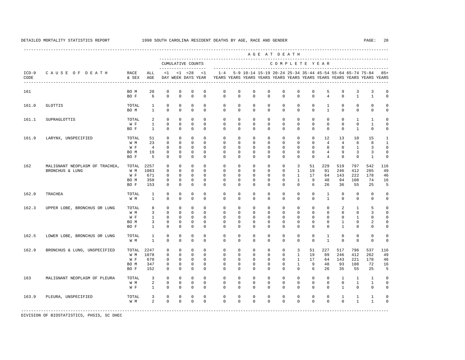---------------------------------------------------------------------------------------------------------------------------------------------------- A G E A T D E A T H --------------------------------------------------------------------------------------------- CUMULATIVE COUNTS C O M P L E T E Y E A R ------------------- ----------------------------------------------------------------------- ICD-9 C A U S E O F D E A T H RACE ALL <1 <1 <28 <1 1-4 5-9 10-14 15-19 20-24 25-34 35-44 45-54 55-64 65-74 75-84 85+ CODE & SEX AGE DAY WEEK DAYS YEAR YEARS YEARS YEARS YEARS YEARS YEARS YEARS YEARS YEARS YEARS YEARS YEARS ---------------------------------------------------------------------------------------------------------------------------------------------------- 161 BOM 20 0 0 0 0 0 0 0 0 0 0 5 9 3 3 0<br>BOF 6 0 0 0 0 0 0 0 0 0 0 0 4 0 1 1 0 BO F 6 0 0 0 0 0 0 0 0 0 0 0 4 0 1 1 0 161.0 GLOTTIS TOTAL 1 0 0 0 0 0 0 0 0 0 0 0 1 0 0 0 0 BO M 1 0 0 0 0 0 0 0 0 0 0 0 1 0 0 0 0 161.1 SUPRAGLOTTIS TOTAL 2 0 0 0 0 0 0 0 0 0 0 0 0 0 1 1 0 W F 1 0 0 0 0 0 0 0 0 0 0 0 0 0 0 1 0 BOF 1 0 0 0 0 0 0 0 0 0 0 0 0 0 1 0 0 161.9 LARYNX, UNSPECIFIED TOTAL 51 0 0 0 0 0 0 0 0 0 0 0 12 13 10 15 1 W M 23 0 0 0 0 0 0 0 0 0 0 0 4 4 6 8 1 W F 4 0 0 0 0 0 0 0 0 0 0 0 0 0 0 1 3 0 BO M 19 0 0 0 0 0 0 0 0 0 0 0 4 9 3 3 0 BO F 5 0 0 0 0 0 0 0 0 0 0 0 4 0 0 1 0 162 MALIGNANT NEOPLASM OF TRACHEA, TOTAL 2257 0 0 0 0 0 0 0 0 0 3 51 229 519 797 542 116 BRONCHUS & LUNG W M 1083 0 0 0 0 0 0 0 0 0 1 19 91 246 412 265 49 W F 671 0 0 0 0 0 0 0 0 0 1 17 64 143 222 178 46 BO M 350 0 0 0 0 0 0 0 0 0 1 9 48 94 108 74 16 BO F 153 0 0 0 0 0 0 0 0 0 0 6 26 36 55 25 5 162.0 TRACHEA TOTAL 1 0 0 0 0 0 0 0 0 0 0 0 1 0 0 0 0 W M 1 0 0 0 0 0 0 0 0 0 0 0 1 0 0 0 0 162.3 UPPER LOBE, BRONCHUS OR LUNG TOTAL 8 0 0 0 0 0 0 0 0 0 0 0 0 2 1 5 0 W M 3 0 0 0 0 0 0 0 0 0 0 0 0 0 0 3 0 W F 1 0 0 0 0 0 0 0 0 0 0 0 0 0 0 1 0 0 BO M 3 0 0 0 0 0 0 0 0 0 0 0 0 1 0 2 0 BO F 1 0 0 0 0 0 0 0 0 0 0 0 0 1 0 0 0 162.5 LOWER LOBE, BRONCHUS OR LUNG TOTAL 1 0 0 0 0 0 0 0 0 0 0 0 1 0 0 0 0 W M 1 0 0 0 0 0 0 0 0 0 0 0 1 0 0 0 0 162.9 BRONCHUS & LUNG, UNSPECIFIED TOTAL 2247 0 0 0 0 0 0 0 0 0 3 51 227 517 796 537 116 W M 1078 0 0 0 0 0 0 0 0 0 1 19 89 246 412 262 49 W F 670 0 0 0 0 0 0 0 0 0 1 17 64 143 221 178 46 BO M 347 0 0 0 0 0 0 0 0 0 1 9 48 93 108 72 16 BO F 152 0 0 0 0 0 0 0 0 0 0 6 26 35 55 25 5 163 MALIGNANT NEOPLASM OF PLEURA TOTAL 3 0 0 0 0 0 0 0 0 0 0 0 0 0 0 0 0 1 1 0 0<br>W M 2 0 0 0 0 0 0 0 0 0 0 0 0 0 0 0 1 1 0 W M 2 0 0 0 0 0 0 0 0 0 0 0 0 0 1 1 0 W F 1 0 0 0 0 0 0 0 0 0 0 0 0 1 0 0 0 163.9 PLEURA, UNSPECIFIED TOTAL 3 0 0 0 0 0 0 0 0 0 0 0 0 0 0 1 1 1 0<br>
WM 2 0 0 0 0 0 0 0 0 0 0 0 0 0 0 1 1 0 W M 2 0 0 0 0 0 0 0 0 0 0 0 0 0 1 1 0 -----------------------------------------------------------------------------------------------------------------------------------------------------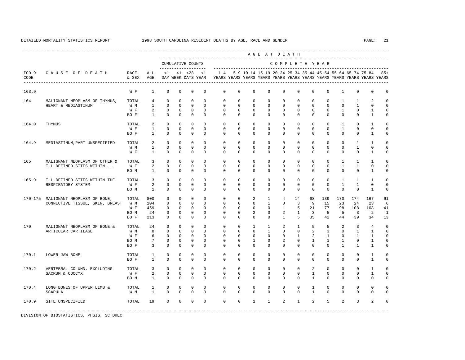|                 |                                 |               |                 |              |              |                                    |              |             |             |                                                           | AGE AT DEATH |                |                |                |              |              |                |                                                                         |              |
|-----------------|---------------------------------|---------------|-----------------|--------------|--------------|------------------------------------|--------------|-------------|-------------|-----------------------------------------------------------|--------------|----------------|----------------|----------------|--------------|--------------|----------------|-------------------------------------------------------------------------|--------------|
|                 |                                 |               |                 |              |              | CUMULATIVE COUNTS                  |              |             |             |                                                           |              | COMPLETE YEAR  |                |                |              |              |                |                                                                         |              |
| $ICD-9$<br>CODE | CAUSE OF DEATH                  | RACE<br>& SEX | ALL<br>AGE      | <1           |              | $< 1$ $< 28$<br>DAY WEEK DAYS YEAR | <1           | $1 - 4$     |             | 5-9 10-14 15-19 20-24 25-34 35-44 45-54 55-64 65-74 75-84 |              |                |                |                |              |              |                | YEARS YEARS YEARS YEARS YEARS YEARS YEARS YEARS YEARS YEARS YEARS YEARS | $85+$        |
| 163.9           |                                 | W F           | $\mathbf{1}$    | $\mathbf{0}$ | $\mathbf{0}$ | $\mathbf{0}$                       | $\mathbf 0$  | $\mathbf 0$ | $\mathbf 0$ | $\mathbf 0$                                               | 0            | 0              | $\mathbf 0$    | $\mathbf 0$    | $\mathbf 0$  | $\mathbf{1}$ | $\circ$        | $\mathbf 0$                                                             | $\Omega$     |
| 164             | MALIGNANT NEOPLASM OF THYMUS,   | TOTAL         | $4\overline{ }$ | $\mathbf{0}$ | $\Omega$     | $\Omega$                           | $\Omega$     | $\Omega$    | $\Omega$    | $\Omega$                                                  | $\Omega$     | $\Omega$       | $\Omega$       | $\Omega$       | $\Omega$     | $\mathbf{1}$ | 1              | $\overline{a}$                                                          | $\Omega$     |
|                 | HEART & MEDIASTINUM             | W M           | $\mathbf{1}$    | $\mathbf 0$  | $\mathbf 0$  | $\Omega$                           | $\Omega$     | $\Omega$    | $\mathbf 0$ | $\mathbf{0}$                                              | $\mathbf{0}$ | $\Omega$       | $\Omega$       | $\Omega$       | $\mathbf 0$  | $\mathbf{0}$ | $\mathbf{1}$   | $\Omega$                                                                | $\Omega$     |
|                 |                                 | W F           | $\overline{a}$  | $\mathbf 0$  | $\mathbf{0}$ | $\mathbf{0}$                       | $\Omega$     | $\Omega$    | $\Omega$    | $\Omega$                                                  | $\Omega$     | $\Omega$       | $\Omega$       | $\Omega$       | $\Omega$     | $\mathbf{1}$ | $\mathbf 0$    | $\mathbf{1}$                                                            | $\mathbf 0$  |
|                 |                                 | BO F          | $\mathbf{1}$    | $\mathbf 0$  | $\mathbf{0}$ | $\mathbf 0$                        | $\Omega$     | $\Omega$    | $^{\circ}$  | $\Omega$                                                  | 0            | $\Omega$       | $\Omega$       | $\Omega$       | $\mathbf 0$  | $\Omega$     | $\mathbf 0$    | $\mathbf{1}$                                                            | $\mathbf 0$  |
| 164.0           | THYMUS                          | TOTAL         | 2               | $\Omega$     | $\Omega$     | $\Omega$                           | $\Omega$     | $\Omega$    | $\Omega$    | $\Omega$                                                  | $\Omega$     | $\Omega$       | $\Omega$       | $\Omega$       | $\Omega$     | $\mathbf{1}$ | $\Omega$       | $\mathbf{1}$                                                            | $\Omega$     |
|                 |                                 | W F           | $\mathbf{1}$    | $\Omega$     | $\Omega$     | $\Omega$                           | $\Omega$     | $\Omega$    | $\Omega$    | $\Omega$                                                  | $\Omega$     | $\Omega$       | $\Omega$       | $\Omega$       | $\Omega$     | $\mathbf{1}$ | $\mathbf 0$    | $\Omega$                                                                | $\Omega$     |
|                 |                                 | BO F          | $\mathbf{1}$    | $\Omega$     | $\Omega$     | $\Omega$                           | $\Omega$     | $\Omega$    | $\Omega$    | $\Omega$                                                  | $\Omega$     | $\Omega$       | $\Omega$       | $\Omega$       | $\mathbf 0$  | $\Omega$     | $\mathbf 0$    | $\mathbf{1}$                                                            | $\Omega$     |
| 164.9           | MEDIASTINUM, PART UNSPECIFIED   | TOTAL         | 2               | $\mathbb O$  | $\mathbb O$  | $\mathbb O$                        | $\mathbf 0$  | $\mathbf 0$ | $\mathbf 0$ | $\mathbf{0}$                                              | $\mathbf{0}$ | $\mathbf 0$    | $\mathbf 0$    | $\mathbf 0$    | 0            | $\mathbf{0}$ | $\mathbf{1}$   | $\mathbf{1}$                                                            | $^{\circ}$   |
|                 |                                 | W M           | $\mathbf{1}$    | 0            | $\mathbf 0$  | $\mathbf{0}$                       | 0            | $^{\circ}$  | $^{\circ}$  | $\mathbf 0$                                               | $\mathbf 0$  | 0              | 0              | 0              | $\mathbf{0}$ | 0            | $\mathbf{1}$   | 0                                                                       | $^{\circ}$   |
|                 |                                 | W F           | $\mathbf{1}$    | $\mathbf 0$  | 0            | $\mathbf 0$                        | $\mathbf{0}$ | $^{\circ}$  | $^{\circ}$  | $\mathbf 0$                                               | $\mathbf 0$  | 0              | 0              | 0              | $\mathbf{0}$ | $\mathbf 0$  | $\mathbf 0$    | 1                                                                       | $\mathbf 0$  |
| 165             | MALIGNANT NEOPLASM OF OTHER &   | TOTAL         | 3               | $\mathbf 0$  | 0            | $\mathbf 0$                        | $\Omega$     | $\mathbf 0$ | $\mathbf 0$ | $\mathbf{0}$                                              | $\mathbf{0}$ | 0              | 0              | 0              | $\mathbf 0$  | $\mathbf{1}$ | 1              | 1                                                                       | $\Omega$     |
|                 | ILL-DEFINED SITES WITHIN        | W F           | 2               | $\mathbf{0}$ | 0            | $\mathbf{0}$                       | 0            | $^{\circ}$  | $^{\circ}$  | $\mathbf 0$                                               | 0            | 0              | $\mathbf 0$    | 0              | $\mathbf 0$  | $\mathbf{1}$ | $\mathbf{1}$   | $\mathbf 0$                                                             | $\Omega$     |
|                 |                                 | BO M          | $\mathbf{1}$    | $\mathbf 0$  | 0            | $\mathbf 0$                        | $\Omega$     | $\Omega$    | $^{\circ}$  | $\Omega$                                                  | 0            | $\Omega$       | 0              | $\Omega$       | $\mathbf{0}$ | $\Omega$     | $\mathbf 0$    | $\mathbf{1}$                                                            | $\mathbf 0$  |
| 165.9           | ILL-DEFINED SITES WITHIN THE    | TOTAL         | 3               | $\mathbf{0}$ | $\mathbf{0}$ | $\mathbf{0}$                       | $\mathbf 0$  | $\mathbf 0$ | $\mathbf 0$ | $\mathbf{0}$                                              | $\mathbf{0}$ | $\mathbf 0$    | $\mathbf 0$    | $\mathbf 0$    | $\mathbf 0$  | $\mathbf{1}$ | $\mathbf{1}$   | $\mathbf{1}$                                                            | $\Omega$     |
|                 | RESPIRATORY SYSTEM              | W F           | $\overline{a}$  | $\mathbf 0$  | $\mathbf{0}$ | $\mathbf 0$                        | $\Omega$     | $\Omega$    | $\Omega$    | $\Omega$                                                  | 0            | $\Omega$       | $\mathbf 0$    | $\Omega$       | $\mathbf 0$  | $\mathbf{1}$ | $\mathbf{1}$   | $\Omega$                                                                | $\mathbf 0$  |
|                 |                                 | BO M          | $\overline{1}$  | $\mathbf{0}$ | $\Omega$     | $\Omega$                           | $\Omega$     | $\Omega$    | $\Omega$    | $\Omega$                                                  | $\Omega$     | $\Omega$       | $\Omega$       | $\Omega$       | $\Omega$     | $\Omega$     | $\Omega$       | $\mathbf{1}$                                                            | $\Omega$     |
| 170-175         | MALIGNANT NEOPLASM OF BONE,     | TOTAL         | 800             | $\mathbf 0$  | $\mathbf{0}$ | $\mathbf{0}$                       | $\Omega$     | $\mathbf 0$ | $\mathbf 0$ | 2                                                         | 1            | $\overline{4}$ | 14             | 68             | 139          | 170          | 174            | 167                                                                     | 61           |
|                 | CONNECTIVE TISSUE, SKIN, BREAST | W M           | 104             | $\Omega$     | $\Omega$     | $\Omega$                           | $\Omega$     | $\Omega$    | $\Omega$    | $\Omega$                                                  | $\mathbf{1}$ | $\Omega$       | $\overline{3}$ | 9              | 15           | 23           | 24             | 23                                                                      | 6            |
|                 |                                 | W F           | 459             | $\mathbf{0}$ | $\mathbf{0}$ | $\Omega$                           | $\Omega$     | $\Omega$    | $\Omega$    | $\mathbf{0}$                                              | $\mathbf{0}$ | $\mathbf{1}$   | 5              | 21             | 77           | 98           | 108            | 108                                                                     | 41           |
|                 |                                 | BO M          | 24              | $\mathbf{0}$ | $\mathbf{0}$ | $\mathbf 0$                        | $\Omega$     | $\Omega$    | $\Omega$    | 2                                                         | $\Omega$     | 2              | $\mathbf{1}$   | $\overline{3}$ | 5            | 5            | $\overline{3}$ | 2                                                                       | $\mathbf{1}$ |
|                 |                                 | BO F          | 213             | $\mathbf{0}$ | $\Omega$     | $\mathbf 0$                        | $\Omega$     | $\Omega$    | $\Omega$    | $\Omega$                                                  | $\Omega$     | $\mathbf{1}$   | 5              | 35             | 42           | 44           | 39             | 34                                                                      | 13           |
| 170             | MALIGNANT NEOPLASM OF BONE &    | TOTAL         | 24              | $\mathbf 0$  | $\mathbf 0$  | $\mathbb O$                        | $\mathbf 0$  | $\mathbf 0$ | $\mathbf 0$ | 1                                                         | 1            | 2              | $\mathbf{1}$   | 5              | 5            | 2            | 3              | $\overline{4}$                                                          | $\mathbf 0$  |
|                 | ARTICULAR CARTILAGE             | W M           | 8               | $\mathbf 0$  | $\mathbf 0$  | $\mathbf{0}$                       | 0            | $^{\circ}$  | $^{\circ}$  | $\mathbf 0$                                               | 1            | 0              | 0              | 2              | 3            | $\mathbf{0}$ | $\mathbf{1}$   | 1                                                                       | $\mathbf 0$  |
|                 |                                 | W F           | 6               | $\mathbf 0$  | $\mathbf 0$  | $\mathbf 0$                        | 0            | $\Omega$    | 0           | 0                                                         | 0            | 0              | 1              | 2              | 1            | $\mathbf 0$  | 1              | 1                                                                       | $^{\circ}$   |
|                 |                                 | BO M          | $7\phantom{.0}$ | $\mathbf 0$  | $\mathbf{0}$ | $\mathbf{0}$                       | $\Omega$     | $\Omega$    | $^{\circ}$  | 1                                                         | $\mathbf 0$  | 2              | $\Omega$       | 1              | 1            | 1            | $\mathbf 0$    | 1                                                                       | $\Omega$     |
|                 |                                 | BO F          | 3               | $\mathbf{0}$ | $\mathbf 0$  | $\mathbf{0}$                       | $\mathbf 0$  | $\Omega$    | 0           | 0                                                         | 0            | 0              | 0              | $\Omega$       | 0            | 1            | 1              | 1                                                                       | $\mathbf 0$  |
| 170.1           | LOWER JAW BONE                  | TOTAL         | $\mathbf{1}$    | $\mathbf 0$  | $\mathbf 0$  | $\mathbf 0$                        | $\Omega$     | $\mathbf 0$ | $\mathbf 0$ | $\mathbf{0}$                                              | $\mathbf{0}$ | $\mathbf 0$    | $\mathbf 0$    | $\mathbf 0$    | $\mathbf 0$  | $\mathbf 0$  | $\mathbf 0$    | $\mathbf{1}$                                                            | $\mathbf 0$  |
|                 |                                 | BO F          | $\mathbf{1}$    | $\mathbf 0$  | $\mathbf{0}$ | $\mathbf{0}$                       | $\mathbf 0$  | $\mathbf 0$ | $\mathbf 0$ | $\mathbf{0}$                                              | $\mathbf{0}$ | 0              | $\mathbf 0$    | $\Omega$       | $\mathbf 0$  | $\mathbf{0}$ | $\mathbf 0$    | $\mathbf{1}$                                                            | $\mathbf 0$  |
| 170.2           | VERTEBRAL COLUMN, EXCLUDING     | TOTAL         | 3               | $\mathbf{0}$ | $\mathbf{0}$ | $\mathbf{0}$                       | $\mathbf 0$  | $\mathbf 0$ | $\mathbf 0$ | $\mathbf{0}$                                              | $\mathbf 0$  | $\mathbf 0$    | $\mathbf 0$    | 2              | $\mathbf 0$  | $\mathbf{0}$ | $\mathbf 0$    | $\mathbf{1}$                                                            | $\mathbf 0$  |
|                 | SACRUM & COCCYX                 | W F           | 2               | $\mathbf 0$  | $\mathbf{0}$ | $\mathbf{0}$                       | $\Omega$     | $\Omega$    | $\Omega$    | $\mathbf{0}$                                              | $\mathbf{0}$ | $\mathbf 0$    | $\Omega$       | $\mathbf{1}$   | $\mathbf 0$  | $\mathbf{0}$ | $\mathbf 0$    | $\mathbf{1}$                                                            | $\mathbf 0$  |
|                 |                                 | BO M          | $\mathbf{1}$    | $\Omega$     | $\Omega$     | $\Omega$                           | $\Omega$     | $\Omega$    | $\Omega$    | $\Omega$                                                  | $\Omega$     | $\Omega$       | $\Omega$       | $\mathbf{1}$   | $\Omega$     | $\Omega$     | $\Omega$       | $\Omega$                                                                | $\Omega$     |
| 170.4           | LONG BONES OF UPPER LIMB &      | TOTAL         | 1               | 0            | 0            | $\mathbf 0$                        | $\Omega$     | $\Omega$    | $\Omega$    | $\Omega$                                                  | $\mathbf 0$  | 0              | 0              | $\mathbf{1}$   | $\mathbf 0$  | 0            | 0              | $\mathbf 0$                                                             | $\Omega$     |
|                 | <b>SCAPULA</b>                  | W M           | $\mathbf{1}$    | $\Omega$     | $\Omega$     | $\Omega$                           | $\Omega$     | $\Omega$    | $\Omega$    | $\Omega$                                                  | $\Omega$     | $\Omega$       | $\Omega$       | $\mathbf{1}$   | $\Omega$     | $\Omega$     | $\Omega$       | $\Omega$                                                                | $\Omega$     |
| 170.9           | SITE UNSPECIFIED                | TOTAL         | 19              | $\mathbf 0$  | $\mathbf 0$  | $\mathbf 0$                        | $\mathbf 0$  | $\mathbf 0$ | $\mathbf 0$ | $\mathbf{1}$                                              | $\mathbf{1}$ | 2              | $\mathbf{1}$   | $\overline{a}$ | 5            | 2            | 3              | 2                                                                       | $\Omega$     |
|                 |                                 |               |                 |              |              |                                    |              |             |             |                                                           |              |                |                |                |              |              |                |                                                                         |              |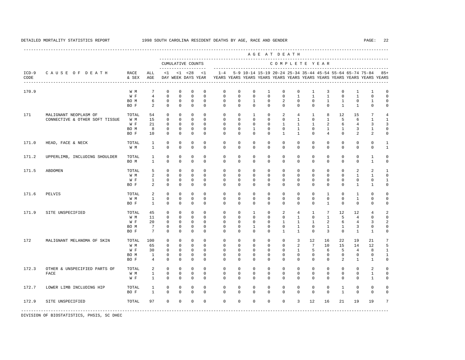----------------------------------------------------------------------------------------------------------------------------------------------------

 A G E A T D E A T H --------------------------------------------------------------------------------------------- CUMULATIVE COUNTS C O M P L E T E Y E A R ------------------- ----------------------------------------------------------------------- ICD-9 C A U S E O F D E A T H RACE ALL <1 <1 <28 <1 1-4 5-9 10-14 15-19 20-24 25-34 35-44 45-54 55-64 65-74 75-84 85+ CODE & SEX AGE DAY WEEK DAYS YEAR YEARS YEARS YEARS YEARS YEARS YEARS YEARS YEARS YEARS YEARS YEARS YEARS ---------------------------------------------------------------------------------------------------------------------------------------------------- 170.9 W M 7 0 0 0 0 0 0 0 0 0 0 1 3 0 1 1 0<br>W F 4 0 0 0 0 0 0 0 0 0 1 1 1 0 1 0 0 W F 4 0 0 0 0 0 0 0 0 0 1 1 1 0 1 0 0 BOM 6 0 0 0 0 0 0 0 1 0 2 0 0 0 1 1 0 1 0 BO F 2 0 0 0 0 0 0 0 0 0 0 0 0 1 1 0 0 171 MALIGNANT NEOPLASM OF TOTAL 54 0 0 0 0 0 0 0 1 0 2 4 1 8 12 15 7 4<br>CONNECTIVE & OTHER SOFT TISSUE W M 15 0 0 0 0 0 0 0 0 0 0 0 1 0 1 5 6 1 1 CONNECTIVE & OTHER SOFT TISSUE W M 15 0 0 0 0 0 0 0 0 0 0 0 0 1 0 1 5 6 1 1 W F 21 0 0 0 0 0 0 0 0 0 1 1 1 2 6 4 3 3 BO M 8 0 0 0 0 0 0 1 0 0 1 0 1 1 3 1 0 BO F 10 0 0 0 0 0 0 0 0 1 1 0 4 0 2 2 0 171.0 HEAD, FACE & NECK TOTAL 1 0 0 0 0 0 0 0 0 0 0 0 0 0 0 0 1 W M 1 0 0 0 0 0 0 0 0 0 0 0 0 0 0 0 0 1 171.2 UPPERLIMB, INCLUDING SHOULDER TOTAL 1 0 0 0 0 0 0 0 0 0 0 0 0 0 0 1 0 BOM 1 0 0 0 0 0 0 0 0 0 0 0 0 0 0 1 0 171.5 ABDOMEN TOTAL 5 0 0 0 0 0 0 0 0 0 0 0 0 0 2 2 1 W M 2 0 0 0 0 0 0 0 0 0 0 0 0 0 1 1 0 W F 1 0 0 0 0 0 0 0 0 0 0 0 0 0 0 0 1 BO F 2 0 0 0 0 0 0 0 0 0 0 0 0 0 1 1 0 171.6 PELVIS TOTAL 2 0 0 0 0 0 0 0 0 0 0 0 1 0 1 0 0 W M 1 0 0 0 0 0 0 0 0 0 0 0 0 0 1 0 0 BO F 1 0 0 0 0 0 0 0 0 0 0 0 1 0 0 0 0 171.9 SITE UNSPECIFIED TOTAL 45 0 0 0 0 0 0 0 1 0 2 4 1 7 12 12 4 2<br>
WM 11 0 0 0 0 0 0 0 0 0 0 1 0 1 5 4 0 0 W M 11 0 0 0 0 0 0 0 0 0 0 0 0 1 0 1 5 4 0 0 W F 20 0 0 0 0 0 0 0 0 1 1 1 2 6 4 3 2 BOM 7 0 0 0 0 0 0 0 1 0 0 1 1 1 3 0 0 BO F 7 0 0 0 0 0 0 0 0 1 1 0 3 0 1 1 0 172 MALIGNANT MELANOMA OF SKIN TOTAL 100 0 0 0 0 0 0 0 0 0 3 12 16 22 19 21 7 W M 65 0 0 0 0 0 0 0 0 0 2 7 10 15 14 12 5 W F 30 0 0 0 0 0 0 0 0 0 0 1 5 6 5 4 8 1 BOM 1 0 0 0 0 0 0 0 0 0 0 0 0 0 0 0 1 BO F 4 0 0 0 0 0 0 0 0 0 0 0 0 2 1 1 0 172.3 OTHER & UNSPECIFIED PARTS OF TOTAL 2 0 0 0 0 0 0 0 0 0 0 0 0 0 0 2 0 FACE W M 1 0 0 0 0 0 0 0 0 0 0 0 0 0 0 1 0 W F 1 0 0 0 0 0 0 0 0 0 0 0 0 0 0 1 0 172.7 LOWER LIMB INCLUDING HIP TOTAL 1 0 0 0 0 0 0 0 0 0 0 0 0 1 0 0 0 BO F 1 0 0 0 0 0 0 0 0 0 0 0 0 1 0 0 0 172.9 SITE UNSPECIFIED TOTAL 97 0 0 0 0 0 0 0 0 0 3 12 16 21 19 19 7 -----------------------------------------------------------------------------------------------------------------------------------------------------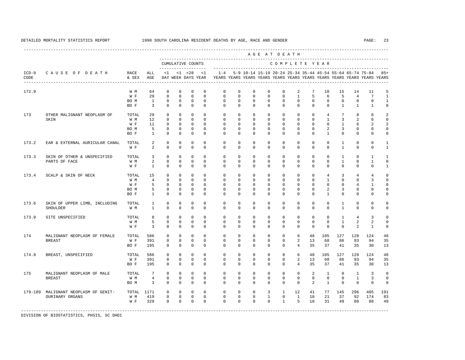A G E A T D E A T H --------------------------------------------------------------------------------------------- CUMULATIVE COUNTS C O M P L E T E Y E A R ------------------- ----------------------------------------------------------------------- ICD-9 C A U S E O F D E A T H RACE ALL <1 <1 <28 <1 1-4 5-9 10-14 15-19 20-24 25-34 35-44 45-54 55-64 65-74 75-84 85+ CODE & SEX AGE DAY WEEK DAYS YEAR YEARS YEARS YEARS YEARS YEARS YEARS YEARS YEARS YEARS YEARS YEARS YEARS ---------------------------------------------------------------------------------------------------------------------------------------------------- 172.9 W M 64 0 0 0 0 0 0 0 0 0 2 7 10 15 14 11 5 W F 29 0 0 0 0 0 0 0 0 0 0 1 5 6 5 4 7 1 BOM 1 0 0 0 0 0 0 0 0 0 0 0 0 0 0 0 1 BO F 3 0 0 0 0 0 0 0 0 0 0 0 0 1 1 1 0 173 OTHER MALIGNANT NEOPLASM OF TOTAL 29 0 0 0 0 0 0 0 0 0 0 0 4 7 8 8 2 SKIN W M 12 0 0 0 0 0 0 0 0 0 0 0 1 3 2 6 0 W F 11 0 0 0 0 0 0 0 0 0 0 0 0 0 1 6 2 2 BOM 5 0 0 0 0 0 0 0 0 0 0 0 2 3 0 0 0 BO F 1 0 0 0 0 0 0 0 0 0 0 0 1 0 0 0 0 173.2 EAR & EXTERNAL AURICULAR CANAL TOTAL 2 0 0 0 0 0 0 0 0 0 0 0 0 1 0 0 1 W F 2 0 0 0 0 0 0 0 0 0 0 0 0 0 1 0 0 1 173.3 SKIN OF OTHER & UNSPECIFIED TOTAL 3 0 0 0 0 0 0 0 0 0 0 0 0 1 0 1 1 PARTS OF FACE W M 2 0 0 0 0 0 0 0 0 0 0 0 0 1 0 1 0 W F 1 0 0 0 0 0 0 0 0 0 0 0 0 0 0 0 1 173.4 SCALP & SKIN OF NECK TOTAL 15 0 0 0 0 0 0 0 0 0 0 0 4 3 4 4 0 W M 4 0 0 0 0 0 0 0 0 0 0 0 1 0 0 3 0 W F 5 0 0 0 0 0 0 0 0 0 0 0 0 0 0 4 1 0 BOM 5 0 0 0 0 0 0 0 0 0 0 0 0 2 3 0 0 0 BO F 1 0 0 0 0 0 0 0 0 0 0 0 1 0 0 0 0 173.6 SKIN OF UPPER LIMB, INCLUDING TOTAL 1 0 0 0 0 0 0 0 0 0 0 0 0 1 0 0 0 SHOULDER W M 1 0 0 0 0 0 0 0 0 0 0 0 0 1 0 0 0 173.9 SITE UNSPECIFIED TOTAL 8 0 0 0 0 0 0 0 0 0 0 0 0 0 0 1 4 3 0<br>
WM 5 0 0 0 0 0 0 0 0 0 0 0 0 0 1 2 2 0 W M M 5 0 0 0 0 0 0 0 0 0 0 0 0 0 0 0 1 2 2 0 W F 3 0 0 0 0 0 0 0 0 0 0 0 0 0 2 1 0 174 MALIGNANT NEOPLASM OF FEMALE TOTAL 586 0 0 0 0 0 0 0 0 0 6 48 105 127 128 124 48 BREAST W F 391 0 0 0 0 0 0 0 0 0 2 13 68 86 93 94 35 BO F 195 0 0 0 0 0 0 0 0 0 4 35 37 41 35 30 13 174.9 BREAST, UNSPECIFIED TOTAL 586 0 0 0 0 0 0 0 0 0 6 48 105 127 128 124 48 W F 391 0 0 0 0 0 0 0 0 0 2 13 68 86 93 94 35 BO F 195 0 0 0 0 0 0 0 0 0 4 35 37 41 35 30 13 175 MALIGNANT NEOPLASM OF MALE TOTAL 7 0 0 0 0 0 0 0 0 0 0 2 1 0 1 3 0 BREAST W M 4 0 0 0 0 0 0 0 0 0 0 0 0 0 1 3 0 BOM 3 0 0 0 0 0 0 0 0 0 0 0 2 1 0 0 0 0 179-189 MALIGNANT NEOPLASM OF GENIT- TOTAL 1171 0 0 0 0 0 0 0 3 1 12 41 77 145 296 405 191 OURINARY ORGANS W M 419 0 0 0 0 0 0 0 1 0 1 10 21 37 92 174 83 W F 329 0 0 0 0 0 0 0 0 1 5 18 31 49 88 88 49

-----------------------------------------------------------------------------------------------------------------------------------------------------

DIVISION OF BIOSTATISTICS, PHSIS, SC DHEC

----------------------------------------------------------------------------------------------------------------------------------------------------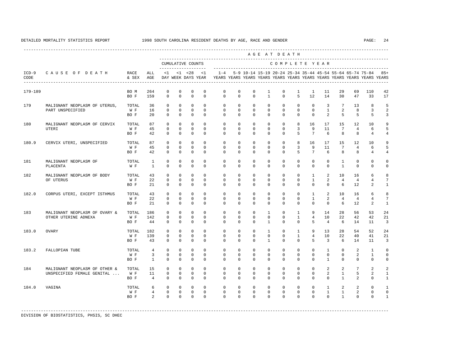|                 |                                                   |               |                 |                              |                              |                                                           |                              | --------------------------------- |                           |                                                           | AGE AT DEATH                 |                   |                              |                            |                             |                        |                |                                                                         |                           |
|-----------------|---------------------------------------------------|---------------|-----------------|------------------------------|------------------------------|-----------------------------------------------------------|------------------------------|-----------------------------------|---------------------------|-----------------------------------------------------------|------------------------------|-------------------|------------------------------|----------------------------|-----------------------------|------------------------|----------------|-------------------------------------------------------------------------|---------------------------|
|                 |                                                   |               |                 |                              |                              | CUMULATIVE COUNTS                                         |                              |                                   |                           |                                                           |                              | COMPLETE YEAR     |                              |                            |                             |                        |                |                                                                         |                           |
| $ICD-9$<br>CODE | CAUSE OF DEATH<br>------------------------------- | RACE<br>& SEX | ALL<br>AGE      | $\leq 1$                     |                              | -------------------<br>$< 1$ $< 28$<br>DAY WEEK DAYS YEAR | $\leq 1$                     | $1 - 4$                           |                           | 5-9 10-14 15-19 20-24 25-34 35-44 45-54 55-64 65-74 75-84 |                              |                   |                              |                            |                             |                        |                | YEARS YEARS YEARS YEARS YEARS YEARS YEARS YEARS YEARS YEARS YEARS YEARS | $85+$                     |
| 179-189         |                                                   | BO M<br>BO F  | 264<br>159      | 0<br>$\mathbf 0$             | 0<br>$\mathbf 0$             | 0<br>$\mathbf 0$                                          | 0<br>$\mathbf 0$             | 0<br>$\mathbf 0$                  | 0<br>$\mathbf 0$          | 0<br>$\mathbf 0$                                          | 1<br>$\mathbf{1}$            | 0<br>$\mathbf 0$  | 1<br>5                       | 1<br>12                    | 11<br>14                    | 29<br>30               | 69<br>47       | 110<br>33                                                               | 42<br>17                  |
|                 |                                                   |               |                 |                              |                              |                                                           |                              |                                   |                           |                                                           |                              |                   |                              |                            |                             |                        |                |                                                                         |                           |
| 179             | MALIGNANT NEOPLASM OF UTERUS,                     | TOTAL         | 36<br>16        | $\mathbf{0}$<br>$\mathbf{0}$ | $\mathbf{0}$<br>$\mathbf{0}$ | 0<br>0                                                    | $\mathbf{0}$<br>$\mathbf{0}$ | $\mathbf 0$<br>$\mathbf 0$        | $^{\circ}$<br>$\mathbf 0$ | $\circ$<br>$\mathbf 0$                                    | $\mathbf{0}$<br>$\mathbf 0$  | 0<br>$\mathbf 0$  | $\mathbf 0$<br>$\mathbf 0$   | $\mathbf 0$<br>$\mathbf 0$ | 3<br>$\mathbf{1}$           | $7\overline{ }$<br>2   | 13<br>8        | 8<br>3                                                                  | 5<br>2                    |
|                 | PART UNSPECIFIED                                  | W F<br>BO F   | 20              | $\Omega$                     | $\Omega$                     | $\Omega$                                                  | $\Omega$                     | $\Omega$                          | $\Omega$                  | $\Omega$                                                  | $\Omega$                     | $\Omega$          | $\Omega$                     | $\Omega$                   | 2                           | 5                      | 5              | 5                                                                       | 3                         |
| 180             | MALIGNANT NEOPLASM OF CERVIX                      | TOTAL         | 87              | $\mathbf{0}$                 | $\mathbf{0}$                 | $\mathbf{0}$                                              | $\mathbf{0}$                 | $\mathbf{0}$                      | $^{\circ}$                | $\mathbf{0}$                                              | $\circ$                      | $^{\circ}$        | 8                            | 16                         | 17                          | 15                     | 12             | 10                                                                      | 9                         |
|                 | UTERI                                             | W F           | 45              | $\mathbf 0$                  | $\Omega$                     | $\circ$                                                   | $\Omega$                     | $\mathbf 0$                       | $\mathbf 0$               | $\mathbf{0}$                                              | $\mathbf{0}$                 | $\mathbf 0$       | 3                            | 9                          | 11                          | 7                      | $\overline{4}$ | 6                                                                       | 5                         |
|                 |                                                   | BO F          | 42              | 0                            | $\mathsf{O}$                 | 0                                                         | $\mathsf{O}$                 | $\mathbf 0$                       | 0                         | $\mathsf{O}$                                              | $\mathsf{O}$                 | 0                 | 5                            | $7\overline{ }$            | 6                           | 8                      | 8              | $\overline{4}$                                                          | 4                         |
| 180.9           | CERVIX UTERI, UNSPECIFIED                         | TOTAL         | 87              | $\mathbf 0$                  | $\mathbf 0$                  | $\mathbf 0$                                               | $\mathbf 0$                  | $\mathbf 0$                       | $\mathbf 0$               | $\mathbf 0$                                               | $\mathbf 0$                  | $\mathbf 0$       | 8                            | 16                         | 17                          | 15                     | 12             | 10                                                                      | 9                         |
|                 |                                                   | W F           | 45              | $\mathbf 0$                  | $\mathbf{0}$                 | 0                                                         | $\mathbf{0}$                 | 0                                 | 0                         | 0                                                         | $\mathbf 0$                  | 0                 | 3                            | 9                          | 11                          | $7\phantom{.0}$        | $\overline{4}$ | 6                                                                       | 5                         |
|                 |                                                   | BO F          | 42              | $\mathbf 0$                  | $\mathbf{0}$                 | $\mathbf 0$                                               | $\mathbf 0$                  | $\mathbf 0$                       | $\mathbf 0$               | $\mathbf 0$                                               | $\mathbf 0$                  | $\mathbf 0$       | 5                            | $7\overline{ }$            | 6                           | 8                      | 8              | $\overline{4}$                                                          | 4                         |
| 181             | MALIGNANT NEOPLASM OF                             | TOTAL         | $\mathbf{1}$    | 0                            | $\mathbf{0}$                 | 0                                                         | $\mathbf{0}$                 | 0                                 | 0                         | 0                                                         | 0                            | 0                 | 0                            | 0                          | 0                           | $\mathbf{1}$           | 0              | 0                                                                       | 0                         |
|                 | PLACENTA                                          | W F           | $\mathbf{1}$    | $\mathbf 0$                  | $\mathbf{0}$                 | $\mathbf 0$                                               | $\mathbf 0$                  | $\mathbf 0$                       | $\mathbf 0$               | $\mathbf 0$                                               | $\mathbf{0}$                 | $\mathbf 0$       | $\mathbf 0$                  | $\mathbf 0$                | $\mathbf{0}$                | $\mathbf{1}$           | $\mathbf 0$    | $\mathbf 0$                                                             | $\mathbf 0$               |
| 182             | MALIGNANT NEOPLASM OF BODY                        | TOTAL         | 43              | $\mathbf 0$                  | $\mathbf{0}$                 | $\mathbf{0}$                                              | $\mathbf{0}$                 | $^{\circ}$                        | $^{\circ}$                | $\mathbf{0}$                                              | $\mathbf{0}$                 | $\mathbf 0$       | $^{\circ}$                   | $\mathbf{1}$               | 2                           | 10                     | 16             | 6                                                                       | 8                         |
|                 | OF UTERUS                                         | W F           | 22              | $\mathbf 0$                  | $\mathbf{0}$                 | $\mathbf 0$                                               | $\Omega$                     | $\mathbf 0$                       | $^{\circ}$                | $\mathbf 0$                                               | $\mathbf{0}$                 | $\mathbf 0$       | $\mathbf 0$                  | $\mathbf{1}$               | 2                           | $\overline{4}$         | $\overline{4}$ | 4                                                                       | 7                         |
|                 |                                                   | BO F          | 21              | 0                            | $\mathbf 0$                  | 0                                                         | $\mathbf 0$                  | $^{\circ}$                        | 0                         | $\mathbf 0$                                               | 0                            | $\mathbf 0$       | $\mathbf 0$                  | $\mathbf 0$                | $\mathbf{0}$                | 6                      | 12             | 2                                                                       | 1                         |
| 182.0           | CORPUS UTERI, EXCEPT ISTHMUS                      | TOTAL         | 43              | $\mathbf{0}$                 | $\circ$                      | $\mathbf 0$                                               | $\Omega$                     | $\Omega$                          | $\circ$                   | $\circ$                                                   | $\circ$                      | $^{\circ}$        | $^{\circ}$                   | $\mathbf{1}$               | 2                           | 10                     | 16             | 6                                                                       | 8                         |
|                 |                                                   | W F           | 22              | 0                            | $\mathbf 0$                  | $\mathbf 0$                                               | 0                            | $\mathbf 0$                       | 0                         | 0                                                         | $\mathbf 0$                  | 0                 | $\mathbf 0$                  | $\mathbf{1}$               | 2                           | $\overline{4}$         | $\overline{4}$ | 4                                                                       | $7\phantom{.0}$           |
|                 |                                                   | BO F          | 21              | $\mathbf{0}$                 | $\mathbf 0$                  | $\mathbf 0$                                               | $\circ$                      | $\mathbf{0}$                      | $\circ$                   | $\mathbf{0}$                                              | $\mathbf 0$                  | $\mathbf{0}$      | 0                            | $\mathbf 0$                | $\circ$                     | 6                      | 12             | 2                                                                       | 1                         |
| 183             | MALIGNANT NEOPLASM OF OVARY &                     | TOTAL         | 186             | 0                            | $\mathbf{0}$                 | $\mathbf 0$                                               | $\mathbf 0$                  | $\mathbf 0$                       | $\circ$                   | $\mathbf 0$                                               | $\mathbf{1}$                 | $\mathbf{0}$      | 1                            | 9                          | 14                          | 28                     | 56             | 53                                                                      | 24                        |
|                 | OTHER UTERINE ADNEXA                              | W F           | 142             | $\mathbf 0$                  | $\mathbf{0}$                 | $\mathbf 0$                                               | $\mathbf{0}$                 | 0                                 | 0                         | $\mathsf{O}$                                              | $\mathbf 0$                  | 0                 | $\mathbf{1}$                 | $\overline{4}$             | 10                          | 22                     | 42             | 42                                                                      | 21                        |
|                 |                                                   | BO F          | 44              | 0                            | $\mathsf{O}$                 | 0                                                         | $\mathsf{O}$                 | $\mathbf 0$                       | 0                         | $\mathbf{0}$                                              | $\mathbf{1}$                 | $\mathbf 0$       | $\mathbf 0$                  | 5                          | $\overline{4}$              | 6                      | 14             | 11                                                                      | 3                         |
| 183.0           | <b>OVARY</b>                                      | TOTAL         | 182             | $\mathbf{0}$                 | $\mathbf 0$                  | $\mathbf 0$                                               | $\Omega$                     | $\mathbf 0$                       | $\mathbf 0$               | $\mathbf 0$                                               | $\mathbf{1}$                 | $\mathbf 0$       | 1                            | 9                          | 13                          | 28                     | 54             | 52                                                                      | 24                        |
|                 |                                                   | W F<br>BO F   | 139<br>43       | 0<br>$\mathbf{0}$            | $\mathbf 0$<br>$\mathbf{0}$  | 0<br>$\mathbf{0}$                                         | $\mathbf 0$<br>$\mathbf{0}$  | $\mathbf 0$<br>0                  | $\mathbf 0$<br>0          | 0<br>$\mathbf{0}$                                         | $\mathsf{O}$<br>$\mathbf{1}$ | 0<br>$\mathbf{0}$ | $\mathbf{1}$<br>$\mathbf{0}$ | $\overline{4}$<br>5        | 10<br>3                     | 22<br>6                | 40<br>14       | 41<br>11                                                                | 21<br>3                   |
|                 |                                                   |               |                 |                              |                              |                                                           |                              |                                   |                           |                                                           |                              |                   |                              |                            |                             |                        |                |                                                                         |                           |
| 183.2           | FALLOPIAN TUBE                                    | TOTAL<br>W F  | 4<br>3          | 0<br>0                       | 0<br>$\mathbf{0}$            | 0<br>0                                                    | $\mathbf 0$<br>$\mathbf 0$   | $\mathbf 0$<br>$\mathbf 0$        | 0<br>$\mathbf 0$          | 0<br>$\mathbf 0$                                          | $\mathbf 0$<br>$\mathbf{0}$  | 0<br>$\mathbf 0$  | $\mathbf 0$<br>$\mathbf 0$   | 0<br>$\mathbf 0$           | $\mathbf{1}$<br>$\mathbf 0$ | $\circ$<br>$\mathbf 0$ | 2<br>2         | $\mathbf{1}$<br>1                                                       | $^{\circ}$<br>$\mathbf 0$ |
|                 |                                                   | BO F          | $\mathbf{1}$    | $\mathbf{0}$                 | $\mathbf{0}$                 | $\mathbf 0$                                               | $\Omega$                     | $\Omega$                          | $\circ$                   | $\Omega$                                                  | $\circ$                      | $\Omega$          | 0                            | $\Omega$                   | $\mathbf{1}$                | $\Omega$               | $\circ$        | 0                                                                       | 0                         |
| 184             | MALIGNANT NEOPLASM OF OTHER &                     | TOTAL         | 15              | $\mathbf{0}$                 | $\mathbf{0}$                 | 0                                                         | $\mathbf{0}$                 | $\mathbf 0$                       | $\circ$                   | $\circ$                                                   | $\circ$                      | $\circ$           | $\circ$                      | $\mathbf{0}$               | 2                           | 2                      | 7              | 2                                                                       | 2                         |
|                 | UNSPECIFIED FEMALE GENITAL                        | W F           | 11              | $\mathbf{0}$                 | $\mathbf{0}$                 | $\mathbf 0$                                               | $\mathbf{0}$                 | $\mathbf{0}$                      | $\circ$                   | $\mathbf{0}$                                              | $\mathbf{0}$                 | $\circ$           | $\mathbf{0}$                 | $\circ$                    | 2                           | $\mathbf{1}$           | 5              | 2                                                                       | 1                         |
|                 |                                                   | BO F          | $4\overline{ }$ | $\mathbf{0}$                 | $\mathbf 0$                  | $\mathbf 0$                                               | $\mathbf{0}$                 | $\mathbf 0$                       | $\circ$                   | $\mathbf{0}$                                              | $\mathbf{0}$                 | $\circ$           | $\mathbf{0}$                 | $\circ$                    | $\mathbf{0}$                | $\mathbf{1}$           | 2              | 0                                                                       | 1                         |
| 184.0           | VAGINA                                            | TOTAL         | 6               | 0                            | $\mathbf{0}$                 | $\mathbf 0$                                               | $\mathbf 0$                  | $\mathbf 0$                       | $\mathbf 0$               | $\mathbf 0$                                               | $\circ$                      | $\mathbf 0$       | 0                            | $\mathbf 0$                | $\mathbf{1}$                | $\overline{a}$         | 2              | $\mathbf 0$                                                             | -1                        |
|                 |                                                   | W F           | 4               | $\mathsf{O}$                 | $\mathbf 0$                  | 0                                                         | $\mathbf{0}$                 | $\mathbf 0$                       | 0                         | 0                                                         | 0                            | 0                 | 0                            | $\mathbf 0$                | $\mathbf{1}$                | 1                      | 2              | 0                                                                       | 0                         |
|                 |                                                   | BO F          | $\overline{2}$  | $\Omega$                     | $\Omega$                     | $\Omega$                                                  | $\Omega$                     | $\Omega$                          | $\Omega$                  | $\Omega$                                                  | $\Omega$                     | $\Omega$          | $\Omega$                     | $\Omega$                   | $\Omega$                    | $\mathbf{1}$           | $\Omega$       | $\mathbf 0$                                                             | 1                         |
|                 |                                                   |               |                 |                              |                              |                                                           |                              |                                   |                           |                                                           |                              |                   |                              |                            |                             |                        |                |                                                                         |                           |

DIVISION OF BIOSTATISTICS, PHSIS, SC DHEC

DETAILED MORTALITY STATISTICS REPORT 1998 SOUTH CAROLINA RESIDENT DEATHS BY AGE, RACE AND GENDER PAGE: 24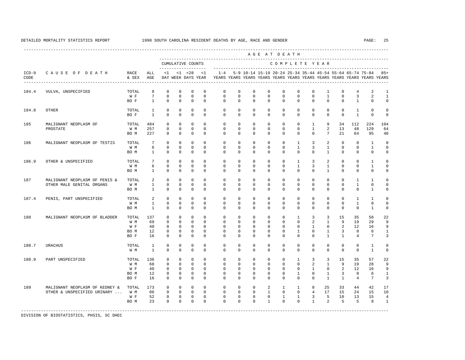---------------------------------------------------------------------------------------------------------------------------------------------------- A G E A T D E A T H --------------------------------------------------------------------------------------------- CUMULATIVE COUNTS C O M P L E T E Y E A R ------------------- ----------------------------------------------------------------------- ICD-9 C A U S E O F D E A T H RACE ALL <1 <1 <28 <1 1-4 5-9 10-14 15-19 20-24 25-34 35-44 45-54 55-64 65-74 75-84 85+ CODE & SEX AGE DAY WEEK DAYS YEAR YEARS YEARS YEARS YEARS YEARS YEARS YEARS YEARS YEARS YEARS YEARS YEARS ---------------------------------------------------------------------------------------------------------------------------------------------------- 184.4 VULVA, UNSPECIFIED TOTAL 8 0 0 0 0 0 0 0 0 0 0 0 0 0 1 0 4 2 1  $0 \quad 0 \quad 0 \quad 0$ BOF 1 0 0 0 0 0 0 0 0 0 0 0 0 0 1 0 0 184.8 OTHER TOTAL 1 0 0 0 0 0 0 0 0 0 0 0 0 0 1 0 0 BOF 1 0 0 0 0 0 0 0 0 0 0 0 0 0 1 0 0 185 MALIGNANT NEOPLASM OF TOTAL 484 0 0 0 0 0 0 0 0 0 0 1 9 34 112 224 104 PROSTATE W M 257 0 0 0 0 0 0 0 0 0 0 1 2 13 48 129 64 BO M 227 0 0 0 0 0 0 0 0 0 0 0 7 21 64 95 40 186 MALIGNANT NEOPLASM OF TESTIS TOTAL 7 0 0 0 0 0 0 0 0 0 1 3 2 0 0 1 0 W M 6 0 0 0 0 0 0 0 0 0 1 3 1 0 0 1 0 BO M 1 0 0 0 0 0 0 0 0 0 0 0 1 0 0 0 0 186.9 OTHER & UNSPECIFIED TOTAL 7 0 0 0 0 0 0 0 0 0 1 3 2 0 0 1 0 W M 6 0 0 0 0 0 0 0 0 0 1 3 1 0 0 1 0 BO M 1 0 0 0 0 0 0 0 0 0 0 0 1 0 0 0 0 187 MALIGNANT NEOPLASM OF PENIS & TOTAL 2 0 0 0 0 0 0 0 0 0 0 0 0 0 0 0 1 1 0<br>OTHER MALE GENITAL ORGANS W M 1 0 0 0 0 0 0 0 0 0 0 0 0 0 0 0 1 0 0 OTHER MALE GENITAL ORGANS W M 1 0 0 0 0 0 0 0 0 0 0 0 0 0 1 0 0 BOM 1 0 0 0 0 0 0 0 0 0 0 0 0 0 0 1 0 187.4 PENIS, PART UNSPECIFIED TOTAL 2 0 0 0 0 0 0 0 0 0 0 0 0 0 0 0 1 1 0<br>
W M 1 0 0 0 0 0 0 0 0 0 0 0 0 0 0 0 0 0 1 0 0 W M 1 0 0 0 0 0 0 0 0 0 0 0 0 0 1 0 0 BO M 1 0 0 0 0 0 0 0 0 0 0 0 0 0 0 1 0 188 MALIGNANT NEOPLASM OF BLADDER TOTAL 137 0 0 0 0 0 0 0 0 0 1 3 3 15 35 58 22 W M 69 0 0 0 0 0 0 0 0 0 0 2 1 9 19 29 9 W F 40 0 0 0 0 0 0 0 0 0 0 1 0 2 12 16 9 BO M 12 0 0 0 0 0 0 0 0 0 1 0 1 3 0 6 1 BO F 16 0 0 0 0 0 0 0 0 0 0 0 1 1 4 7 3 188.7 URACHUS TOTAL 1 0 0 0 0 0 0 0 0 0 0 0 0 0 0 1 0 W M 1 0 0 0 0 0 0 0 0 0 0 0 0 0 0 1 0 188.9 PART UNSPECIFIED TOTAL 136 0 0 0 0 0 0 0 0 0 1 3 3 15 35 57 22 W M 68 0 0 0 0 0 0 0 0 0 0 2 1 9 19 28 9 W F 40 0 0 0 0 0 0 0 0 0 0 1 0 2 12 16 9 BO M 12 0 0 0 0 0 0 0 0 0 1 0 1 3 0 6 1 BO F 16 0 0 0 0 0 0 0 0 0 0 0 1 1 4 7 3 189 MALIGNANT NEOPLASM OF KEDNEY & TOTAL 173 0 0 0 0 0 0 0 2 1 1 8 25 33 44 42 17 OTHER & UNSPECIFIED URINARY ... W M 86 W F 52 0 0 0 0 0 0 0 0 1 1 3 5 10 13 15 4 BOM 23 0 0 0 0 0 0 0 0 0 0 1 2 5 5 8 1 -----------------------------------------------------------------------------------------------------------------------------------------------------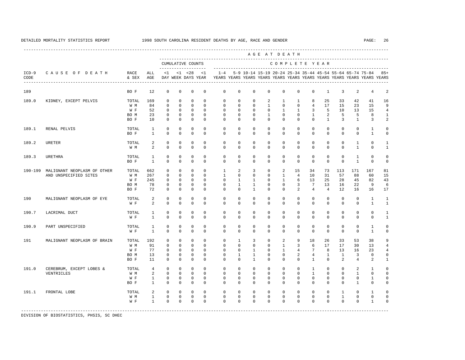|                 |                             |               |                |              |              |                                    |              |              |              |              | AGE AT DEATH |               |                |                 |                |                |                                                           |                                                                         |                |
|-----------------|-----------------------------|---------------|----------------|--------------|--------------|------------------------------------|--------------|--------------|--------------|--------------|--------------|---------------|----------------|-----------------|----------------|----------------|-----------------------------------------------------------|-------------------------------------------------------------------------|----------------|
|                 |                             |               |                |              |              | CUMULATIVE COUNTS                  |              |              |              |              |              | COMPLETE YEAR |                |                 |                |                |                                                           |                                                                         |                |
| $ICD-9$<br>CODE | CAUSE OF DEATH              | RACE<br>& SEX | ALL<br>AGE     | <1           |              | $< 1$ $< 28$<br>DAY WEEK DAYS YEAR | <1           | $1 - 4$      |              |              |              |               |                |                 |                |                | 5-9 10-14 15-19 20-24 25-34 35-44 45-54 55-64 65-74 75-84 | YEARS YEARS YEARS YEARS YEARS YEARS YEARS YEARS YEARS YEARS YEARS YEARS | $85+$          |
| 189             |                             | BO F          | 12             | $\mathbf{0}$ | $\mathbf{0}$ | $\mathbf 0$                        | $\mathbf 0$  | $\mathbf 0$  | $\mathbf 0$  | $\mathbf 0$  | $\mathbf 0$  | $\mathbf 0$   | $\mathbf 0$    | $\mathbf 0$     | $\mathbf{1}$   | $\overline{3}$ | 2                                                         | $\overline{4}$                                                          | $\overline{a}$ |
| 189.0           | KIDNEY, EXCEPT PELVIS       | TOTAL         | 169            | $\Omega$     | $\Omega$     | $\Omega$                           | $\Omega$     | $\Omega$     | $\Omega$     | $\Omega$     | 2            | $\mathbf{1}$  | $\mathbf{1}$   | 8               | 25             | 33             | 42                                                        | 41                                                                      | 16             |
|                 |                             | W M           | 84             | $\mathbf{0}$ | $\mathbf{0}$ | $\mathbf{0}$                       | $\Omega$     | $\mathbf 0$  | $\mathbf 0$  | $\mathbf{0}$ | $\mathbf{1}$ | $\mathbf{0}$  | $\mathbf 0$    | $\overline{4}$  | 17             | 15             | 23                                                        | 15                                                                      | 9              |
|                 |                             | W F           | 52             | $\mathbf 0$  | $\mathbf{0}$ | $\mathbf 0$                        | $\Omega$     | $\Omega$     | $\Omega$     | $\Omega$     | $\mathbf{0}$ | 1             | $\mathbf{1}$   | 3               | 5              | 10             | 13                                                        | 15                                                                      | $\overline{4}$ |
|                 |                             | BO M          | 23             | $\mathbf 0$  | $\Omega$     | $\mathbf 0$                        | $\Omega$     | $\Omega$     | $\Omega$     | $\Omega$     | $\mathbf{1}$ | $\Omega$      | $\Omega$       | $\mathbf{1}$    | 2              | 5              | 5                                                         | 8                                                                       | 1              |
|                 |                             | BO F          | 10             | $\Omega$     | $\mathbf{0}$ | $\Omega$                           | $\Omega$     | $\Omega$     | $\Omega$     | $\Omega$     | $\Omega$     | $\Omega$      | $\Omega$       | $\Omega$        | $\mathbf{1}$   | 3              | $\mathbf{1}$                                              | 3                                                                       | $\overline{a}$ |
| 189.1           | RENAL PELVIS                | TOTAL         | $\mathbf{1}$   | $\Omega$     | $\Omega$     | $\Omega$                           | $\Omega$     | $\Omega$     | $\Omega$     | $\Omega$     | $\Omega$     | $\Omega$      | $\Omega$       | $\Omega$        | $\Omega$       | $\Omega$       | $\Omega$                                                  | $\mathbf{1}$                                                            | $\Omega$       |
|                 |                             | BO F          | $\mathbf{1}$   | $\Omega$     | $\Omega$     | $\Omega$                           | $\Omega$     | $\Omega$     | $\Omega$     | $\Omega$     | $\mathbf 0$  | $\Omega$      | $\mathbf 0$    | $\Omega$        | $\Omega$       | $\Omega$       | $\mathbf 0$                                               | $\mathbf{1}$                                                            | $\Omega$       |
| 189.2           | URETER                      | TOTAL         | 2              | $\mathbf 0$  | $\Omega$     | $\mathbf 0$                        | $\Omega$     | $\Omega$     | $\Omega$     | $\Omega$     | $\Omega$     | $\Omega$      | $\Omega$       | $\Omega$        | $\Omega$       | $\Omega$       | $\mathbf{1}$                                              | $\Omega$                                                                | $\mathbf{1}$   |
|                 |                             | W M           | 2              | $\Omega$     | $\Omega$     | $\Omega$                           | $\Omega$     | $\Omega$     | $\Omega$     | $\mathbf{0}$ | $\mathbf 0$  | $\Omega$      | $\mathbf 0$    | $\Omega$        | $\Omega$       | $\Omega$       | $\mathbf{1}$                                              | $\Omega$                                                                | $\mathbf{1}$   |
| 189.3           | <b>URETHRA</b>              | TOTAL         | $\mathbf{1}$   | $\mathbf 0$  | $\mathbf 0$  | $\mathbf 0$                        | $\mathbf 0$  | $\mathbf 0$  | $\mathbf 0$  | $\mathbf 0$  | $\mathbf 0$  | $\mathbf 0$   | $\mathbf 0$    | $\mathbf 0$     | $\mathbf 0$    | $\mathbf 0$    | $\mathbf{1}$                                              | $\mathbf 0$                                                             | $\mathbf 0$    |
|                 |                             | BO F          | $\mathbf{1}$   | $\Omega$     | $\Omega$     | $\Omega$                           | $\Omega$     | $\mathbf 0$  | $\mathbf 0$  | $\mathbf 0$  | $\mathbf 0$  | $\mathbf 0$   | $\mathbf 0$    | $\Omega$        | $\Omega$       | $\Omega$       | $\mathbf{1}$                                              | $\mathbf 0$                                                             | $\mathbf 0$    |
| 190-199         | MALIGNANT NEOPLASM OF OTHER | TOTAL         | 662            | $\mathbf 0$  | $\mathbf{0}$ | $\mathbf 0$                        | $\mathbf 0$  | $\mathbf{1}$ | 2            | 3            | $\mathbf 0$  | 2             | 15             | 34              | 73             | 113            | 171                                                       | 167                                                                     | 81             |
|                 | AND UNSPECIFIED SITES       | W M           | 267            | $\mathbf 0$  | $\Omega$     | $\Omega$                           | $\Omega$     | 1            | $\mathbf 0$  | $\mathbf{0}$ | $\mathbf 0$  | $\mathbf{1}$  | $\overline{4}$ | 10              | 31             | 57             | 88                                                        | 60                                                                      | 15             |
|                 |                             | W F           | 245            | $\mathbf 0$  | $\Omega$     | $\Omega$                           | $\Omega$     | $\Omega$     | $\mathbf{1}$ | $\mathbf{1}$ | $\Omega$     | $\mathbf{1}$  | 6              | 13              | 25             | 28             | 45                                                        | 82                                                                      | 43             |
|                 |                             | BO M          | 78             | 0            | $\mathbf{0}$ | 0                                  | $\mathbf 0$  | $\mathbf 0$  | $\mathbf{1}$ | $\mathbf{1}$ | $\mathbf 0$  | $\mathbf 0$   | 3              | $7\overline{ }$ | 13             | 16             | 22                                                        | 9                                                                       | 6              |
|                 |                             | BO F          | 72             | $\Omega$     | $\mathbf{0}$ | $\mathbf 0$                        | $\Omega$     | $\Omega$     | $\mathbf 0$  | 1            | $\mathbf{0}$ | $\mathbf 0$   | 2              | $\overline{4}$  | $\overline{4}$ | 12             | 16                                                        | 16                                                                      | 17             |
| 190             | MALIGNANT NEOPLASM OF EYE   | TOTAL         | 2              | 0            | $\mathbf 0$  | 0                                  | $\mathbf 0$  | $\mathbf 0$  | $\mathbf 0$  | $\mathbf 0$  | $\mathbf 0$  | $\mathbf 0$   | $\mathbf 0$    | $\mathbf 0$     | $\mathbf{0}$   | $\mathbf 0$    | $\mathbf{0}$                                              | $\mathbf{1}$                                                            | $\mathbf{1}$   |
|                 |                             | W F           | 2              | $\mathbf{0}$ | $\mathbf{0}$ | $\mathbf{0}$                       | $\mathbf{0}$ | $\mathbf 0$  | $\mathbf 0$  | $\mathbf{0}$ | $\mathbf{0}$ | $\mathbf 0$   | $\mathbf 0$    | $\mathbf 0$     | $\mathbf{0}$   | $\mathbf{0}$   | $\mathbf 0$                                               | 1                                                                       | 1              |
| 190.7           | LACRIMAL DUCT               | TOTAL         | $\mathbf{1}$   | 0            | $\mathbf 0$  | 0                                  | $\mathbf 0$  | $\mathbf 0$  | $\mathbf 0$  | $\mathbf 0$  | $\mathbf 0$  | $\mathbf 0$   | $\mathbf 0$    | $\mathbf 0$     | $\mathbf{0}$   | $\mathbf 0$    | $\mathbf 0$                                               | $\mathbf 0$                                                             | 1              |
|                 |                             | W F           | $\mathbf{1}$   | $\Omega$     | $\Omega$     | $\Omega$                           | $\Omega$     | $\Omega$     | $\Omega$     | $\Omega$     | $\Omega$     | $\Omega$      | $\Omega$       | $\Omega$        | $\Omega$       | $\Omega$       | $\mathbf{0}$                                              | $\mathbf 0$                                                             | $\mathbf{1}$   |
| 190.9           | PART UNSPECIFIED            | TOTAL         | $\mathbf{1}$   | 0            | $\mathbf 0$  | 0                                  | $\mathbf 0$  | $\mathbf 0$  | $\mathbf 0$  | $\mathbf 0$  | $\mathbf 0$  | $\mathbf 0$   | $\mathbf 0$    | $\mathbf 0$     | $\mathbf 0$    | $\mathbf 0$    | $\mathbf 0$                                               | 1                                                                       | $\Omega$       |
|                 |                             | W F           | $\mathbf{1}$   | $\Omega$     | $\Omega$     | $\Omega$                           | $\Omega$     | $\Omega$     | $\Omega$     | $\Omega$     | $\Omega$     | $\Omega$      | $\Omega$       | $\Omega$        | $\Omega$       | $\Omega$       | $\Omega$                                                  | $\mathbf{1}$                                                            | $\Omega$       |
| 191             | MALIGNANT NEOPLASM OF BRAIN | TOTAL         | 192            | $\mathbf{0}$ | $\mathbf{0}$ | $\mathbf 0$                        | $\mathbf{0}$ | $\mathbf 0$  | 1            | 3            | $\mathbf{0}$ | 2             | 9              | 18              | 26             | 33             | 53                                                        | 38                                                                      | 9              |
|                 |                             | W M           | 91             | $\Omega$     | $\Omega$     | $\Omega$                           | $\Omega$     | $\Omega$     | $\Omega$     | $\Omega$     | $\Omega$     | $\mathbf{1}$  | 3              | 6               | 17             | 17             | 30                                                        | 13                                                                      | $\overline{4}$ |
|                 |                             | W F           | 77             | $\mathbf 0$  | $\mathbf{0}$ | $\mathbf 0$                        | $\mathbf{0}$ | $\mathbf 0$  | $\mathbf 0$  | $\mathbf{1}$ | $\mathbf 0$  | $\mathbf{1}$  | $\overline{4}$ | $7\phantom{.0}$ | 8              | 13             | 16                                                        | 23                                                                      | 4              |
|                 |                             | BO M          | 13             | $\mathbf 0$  | $\mathbf 0$  | 0                                  | $\mathbf 0$  | 0            | 1            | 1            | $\mathbf 0$  | $\mathbf 0$   | $\overline{a}$ | $\overline{4}$  | $\mathbf{1}$   | $\mathbf{1}$   | 3                                                         | $\mathbf 0$                                                             | 0              |
|                 |                             | BO F          | 11             | $\Omega$     | $\Omega$     | $\Omega$                           | $\Omega$     | $\Omega$     | $\Omega$     | 1            | $\Omega$     | $\Omega$      | $\Omega$       | $\mathbf{1}$    | $\Omega$       | 2              | $\overline{4}$                                            | 2                                                                       | $\mathbf{1}$   |
| 191.0           | CEREBRUM, EXCEPT LOBES &    | TOTAL         | $\overline{4}$ | $\mathbf{0}$ | $\mathbf{0}$ | $\mathbf{0}$                       | $\mathbf{0}$ | $\mathbf 0$  | $\mathbf 0$  | $\mathbf{0}$ | $\mathbf{0}$ | $\mathbf{0}$  | $\mathbf 0$    | 1               | $\mathbf{0}$   | $\mathbf 0$    | 2                                                         | 1                                                                       | $\mathbf 0$    |
|                 | VENTRICLES                  | W M           | 2              | $\mathbf{0}$ | $\mathbf{0}$ | $\mathbf{0}$                       | $\mathbf{0}$ | $^{\circ}$   | $\mathbf 0$  | $\mathbf{0}$ | $\mathbf 0$  | $\circ$       | 0              | $\mathbf{1}$    | $\mathbf{0}$   | $\mathbf{0}$   | 1                                                         | 0                                                                       | $\Omega$       |
|                 |                             | W F           | $\mathbf{1}$   | 0            | $\mathbf{0}$ | 0                                  | $\mathbf{0}$ | $^{\circ}$   | $^{\circ}$   | $\mathbf{0}$ | $\mathbf{0}$ | 0             | 0              | $\mathbf{0}$    | $\mathbf{0}$   | $\mathbf{0}$   | 0                                                         | 1                                                                       | 0              |
|                 |                             | BO F          | $\mathbf{1}$   | $\mathbf 0$  | $\mathbf{0}$ | $\mathbf 0$                        | $\mathbf 0$  | $\mathbf 0$  | $\mathbf 0$  | $\mathbf{0}$ | $\mathbf 0$  | $\mathbf 0$   | $\mathbf 0$    | $\mathbf 0$     | $\mathbf{0}$   | $\mathbf 0$    | $\mathbf{1}$                                              | $\mathbf 0$                                                             | 0              |
| 191.1           | FRONTAL LOBE                | TOTAL         | 2              | 0            | $\mathbf{0}$ | 0                                  | $\mathbf{0}$ | $^{\circ}$   | $^{\circ}$   | $\mathbf{0}$ | $\mathbf{0}$ | 0             | 0              | $\circ$         | $\mathbf{0}$   | 1              | 0                                                         | 1                                                                       | $\Omega$       |
|                 |                             | W M           | $\mathbf{1}$   | $\mathbf{0}$ | $\mathbf{0}$ | $\mathbf 0$                        | $\mathbf 0$  | $\mathbf 0$  | $\mathbf 0$  | $\mathbf 0$  | $\mathbf 0$  | $\mathbf 0$   | 0              | $\mathbf 0$     | $\mathbf 0$    | $\mathbf{1}$   | $\mathbf 0$                                               | $\mathbf 0$                                                             | $\Omega$       |
|                 |                             | W F           | $\mathbf{1}$   | $\mathbf{0}$ | $\mathbf{0}$ | $\mathbf 0$                        | $\mathbf{0}$ | $\mathbf{0}$ | $\mathbf{0}$ | $\mathbf{0}$ | $\mathbf{0}$ | $\mathbf 0$   | 0              | $\mathbf 0$     | $\mathbf{0}$   | $\mathbf 0$    | 0                                                         | 1                                                                       | $\Omega$       |
|                 |                             |               |                |              |              |                                    |              |              |              |              |              |               |                |                 |                |                |                                                           |                                                                         |                |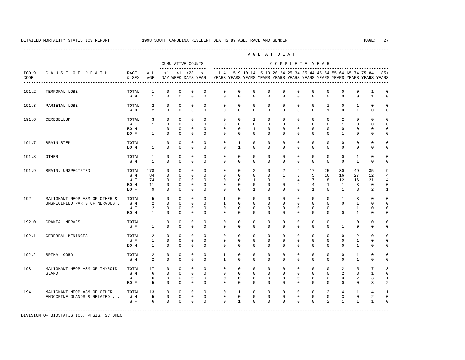|                 |                                                               |                                     |                                                     |                                                                   |                                                                     |                                                                          |                                                                |                                                  |                                                       |                                                                | AGE AT DEATH                                                    |                                                    |                                                    |                                                         |                                                             |                                                           |                                                    |                                                                         |                                                                      |
|-----------------|---------------------------------------------------------------|-------------------------------------|-----------------------------------------------------|-------------------------------------------------------------------|---------------------------------------------------------------------|--------------------------------------------------------------------------|----------------------------------------------------------------|--------------------------------------------------|-------------------------------------------------------|----------------------------------------------------------------|-----------------------------------------------------------------|----------------------------------------------------|----------------------------------------------------|---------------------------------------------------------|-------------------------------------------------------------|-----------------------------------------------------------|----------------------------------------------------|-------------------------------------------------------------------------|----------------------------------------------------------------------|
|                 |                                                               |                                     |                                                     |                                                                   |                                                                     | CUMULATIVE COUNTS<br>-------------------                                 |                                                                |                                                  |                                                       |                                                                | --------------------------                                      |                                                    |                                                    |                                                         | COMPLETE YEAR                                               |                                                           |                                                    |                                                                         |                                                                      |
| $ICD-9$<br>CODE | CAUSE OF DEATH                                                | RACE<br>& SEX                       | ALL<br>AGE                                          | <1                                                                |                                                                     | $< 1$ $< 28$<br>DAY WEEK DAYS YEAR                                       | < 1                                                            | $1 - 4$                                          |                                                       |                                                                |                                                                 |                                                    |                                                    |                                                         |                                                             | 5-9 10-14 15-19 20-24 25-34 35-44 45-54 55-64 65-74 75-84 |                                                    | YEARS YEARS YEARS YEARS YEARS YEARS YEARS YEARS YEARS YEARS YEARS YEARS | $85+$                                                                |
| 191.2           | TEMPORAL LOBE                                                 | TOTAL<br>W M                        | $\mathbf{1}$<br>$\mathbf{1}$                        | $\mathsf 0$<br>$\Omega$                                           | $\mathbb O$<br>$\mathbf 0$                                          | $\mathbb O$<br>$\mathbf 0$                                               | $\mathbb O$<br>$\mathbf 0$                                     | 0<br>$\mathbf 0$                                 | $\mathbf 0$<br>$\Omega$                               | $\mathbf 0$<br>$\Omega$                                        | 0<br>$\Omega$                                                   | $\mathbf 0$<br>$\Omega$                            | $\mathbf 0$<br>$\Omega$                            | $\mathbf 0$<br>$\mathbf 0$                              | $\mathbb O$<br>$\mathbf{0}$                                 | $\mathbf 0$<br>$\mathbf 0$                                | $\circ$<br>$\mathbf 0$                             | 1<br>$\mathbf{1}$                                                       | $\mathbf 0$<br>$\mathbf 0$                                           |
| 191.3           | PARIETAL LOBE                                                 | TOTAL<br>W M                        | 2<br>2                                              | $\mathbf 0$<br>$\Omega$                                           | $\mathbf{0}$<br>$\Omega$                                            | $\mathbf{0}$<br>$\mathbf 0$                                              | $\mathbf{0}$<br>$\Omega$                                       | $\mathbf 0$<br>$\Omega$                          | $\mathbf 0$<br>$\Omega$                               | $\mathbf 0$<br>$\Omega$                                        | $\mathbf 0$<br>$\Omega$                                         | $\mathbf 0$<br>$\Omega$                            | $\mathbf 0$<br>$\Omega$                            | $\mathbf 0$<br>$\Omega$                                 | $\mathbf{1}$<br>$\mathbf{1}$                                | $\mathbf 0$<br>$\Omega$                                   | 1<br>$\mathbf{1}$                                  | $\mathbf 0$<br>$\mathbf 0$                                              | $\mathbf 0$<br>$\mathbf 0$                                           |
| 191.6           | CEREBELLUM                                                    | TOTAL<br>W F<br>BO M<br>BO F        | 3<br>$\mathbf{1}$<br>$\mathbf{1}$<br>$\overline{1}$ | $\Omega$<br>$\Omega$<br>$\Omega$<br>$\Omega$                      | $\Omega$<br>$\Omega$<br>$\Omega$<br>$\Omega$                        | $\Omega$<br>$\Omega$<br>$\mathbf 0$<br>$\Omega$                          | $\Omega$<br>$\Omega$<br>$\Omega$<br>$\Omega$                   | $\Omega$<br>$\Omega$<br>$\Omega$<br>$\Omega$     | $\Omega$<br>$\Omega$<br>$\Omega$<br>$\Omega$          | $\overline{1}$<br>$\Omega$<br>1<br>$\Omega$                    | $\Omega$<br>$\Omega$<br>$\Omega$<br>$\Omega$                    | $\Omega$<br>$\Omega$<br>$\mathbf 0$<br>$\Omega$    | $\Omega$<br>$\Omega$<br>$\mathbf 0$<br>$\Omega$    | $\Omega$<br>$\Omega$<br>$\mathbf 0$<br>$\Omega$         | $\Omega$<br>$\Omega$<br>$\mathbf{0}$<br>$\Omega$            | 2<br>$\mathbf{1}$<br>$\mathbf 0$<br>$\mathbf{1}$          | $\Omega$<br>$\Omega$<br>$\mathbf 0$<br>$\mathbf 0$ | $\Omega$<br>$\Omega$<br>$\mathbf 0$<br>$\Omega$                         | $\mathbf 0$<br>$\mathbf 0$<br>$\mathbf 0$<br>$\mathbf 0$             |
| 191.7           | BRAIN STEM                                                    | TOTAL<br>BO M                       | $\mathbf{1}$<br>$\mathbf{1}$                        | $\mathsf 0$<br>$\mathbf 0$                                        | $\mathbb O$<br>$\mathbf{0}$                                         | $\mathbb O$<br>$\mathbf{0}$                                              | $\mathbf{0}$<br>$\mathbf 0$                                    | 0<br>0                                           | $\mathbf{1}$<br>1                                     | $\mathbf 0$<br>0                                               | $\mathbf 0$<br>$\mathbf{0}$                                     | $\mathbf 0$<br>$\mathbf 0$                         | $\mathbf 0$<br>0                                   | $\mathbf 0$<br>$\mathbf 0$                              | $\mathbf 0$<br>$\mathbf{0}$                                 | $\circ$<br>$\mathbf 0$                                    | $\mathbf 0$<br>$\mathbf 0$                         | $\mathbf 0$<br>$^{\circ}$                                               | $\mathbf 0$<br>$\mathbf 0$                                           |
| 191.8           | <b>OTHER</b>                                                  | TOTAL<br>W M                        | $\mathbf{1}$<br><sup>1</sup>                        | $\mathbf 0$<br>$\mathbf 0$                                        | $\mathbf{0}$<br>$\mathbf 0$                                         | $\mathbf{0}$<br>$\mathbf 0$                                              | $\mathbf 0$<br>$\mathbf 0$                                     | $\mathbf 0$<br>$\mathbf 0$                       | $\mathbf 0$<br>0                                      | $\mathbf 0$<br>$\mathbf 0$                                     | $\mathbf 0$<br>$\mathbf 0$                                      | $\mathbf 0$<br>$\mathbf 0$                         | $\mathbf 0$<br>$\mathbf 0$                         | $\mathbf 0$<br>$\mathbf 0$                              | $\mathbb O$<br>$\mathbf{0}$                                 | $\mathbf{0}$<br>$\mathbf 0$                               | $\mathbf{1}$<br>$\mathbf{1}$                       | $\mathbf 0$<br>$\mathbf 0$                                              | $\mathbf 0$<br>$\mathbf 0$                                           |
| 191.9           | BRAIN, UNSPECIFIED                                            | TOTAL<br>W M<br>W F<br>BO M<br>BO F | 178<br>84<br>74<br>11<br>9                          | $\mathbf 0$<br>$\Omega$<br>$\mathbf 0$<br>$\mathbf 0$<br>$\Omega$ | $\mathbf{0}$<br>$\Omega$<br>$\mathbf 0$<br>$\mathbf{0}$<br>$\Omega$ | $\mathbf{0}$<br>$\mathbf{0}$<br>$\mathbf{0}$<br>$\mathbf{0}$<br>$\Omega$ | $\Omega$<br>$\Omega$<br>$\mathbf 0$<br>$\mathbf 0$<br>$\Omega$ | $\mathbf 0$<br>$\mathbf 0$<br>0<br>0<br>$\Omega$ | $\Omega$<br>$\Omega$<br>$\mathbf 0$<br>0<br>$\Omega$  | 2<br>$\Omega$<br>$\mathbf{1}$<br>$\mathbf 0$<br>$\overline{1}$ | $\mathbf 0$<br>$\Omega$<br>$\mathbf{0}$<br>$\Omega$<br>$\Omega$ | 2<br>$\mathbf{1}$<br>$\mathbf{1}$<br>0<br>$\Omega$ | 9<br>3<br>4<br>$\overline{a}$<br>$\Omega$          | 17<br>5<br>7<br>$\overline{4}$<br>$\mathbf{1}$          | 25<br>16<br>8<br>$\mathbf{1}$<br>$\Omega$                   | 30<br>16<br>12<br>1<br>$\overline{1}$                     | 49<br>27<br>16<br>3<br>3                           | 35<br>12<br>21<br>$\mathbf 0$<br>2                                      | 9<br>$\overline{4}$<br>$\overline{4}$<br>$\mathbf 0$<br>$\mathbf{1}$ |
| 192             | MALIGNANT NEOPLASM OF OTHER &<br>UNSPECIFIED PARTS OF NERVOUS | TOTAL<br>W M<br>W F<br>BO M         | 5<br>$\overline{2}$<br>2<br>$\mathbf{1}$            | $\mathbf 0$<br>$\Omega$<br>$\mathbf 0$<br>$\Omega$                | $\mathbf{0}$<br>$\Omega$<br>$\mathbf{0}$<br>$\Omega$                | $\mathbf 0$<br>$\Omega$<br>$\mathbf{0}$<br>$\mathbf 0$                   | $\Omega$<br>$\Omega$<br>$\mathbf{0}$<br>$\Omega$               | 1<br>$\mathbf{1}$<br>$\mathbf 0$<br>$\Omega$     | $\Omega$<br>$\Omega$<br>$\mathbf 0$<br>$\Omega$       | $\Omega$<br>$\Omega$<br>$\mathbf 0$<br>$\Omega$                | $\mathbf 0$<br>$\Omega$<br>$\mathbf{0}$<br>$\Omega$             | $\mathbf 0$<br>$\Omega$<br>0<br>$\Omega$           | $\mathbf 0$<br>$\Omega$<br>$\mathbf 0$<br>$\Omega$ | $\mathbf 0$<br>$\Omega$<br>$\mathbf 0$<br>$\Omega$      | $\mathbf 0$<br>$\Omega$<br>$\mathbf{0}$<br>$\Omega$         | $\mathbf{1}$<br>$\Omega$<br>$\mathbf{1}$<br>$\Omega$      | 3<br>$\mathbf{1}$<br>$\mathbf{1}$<br>$\mathbf{1}$  | $\mathbf 0$<br>$\Omega$<br>$\mathbf 0$<br>$\Omega$                      | $\mathbf 0$<br>$\mathbf 0$<br>$\mathbf 0$<br>$\mathbf 0$             |
| 192.0           | CRANIAL NERVES                                                | TOTAL<br>W F                        | $\mathbf{1}$<br>$\mathbf{1}$                        | $\Omega$<br>$\mathbf 0$                                           | $\Omega$<br>$\mathbf 0$                                             | $\Omega$<br>$\mathbf{0}$                                                 | $\Omega$<br>$\mathbf 0$                                        | $\Omega$<br>$\mathbf 0$                          | $\Omega$<br>$\mathbf 0$                               | $\Omega$<br>$\mathbf 0$                                        | $\Omega$<br>$\mathbf 0$                                         | $\Omega$<br>$\mathbf 0$                            | $\Omega$<br>$\mathbf 0$                            | $\mathbf 0$<br>$\mathbf 0$                              | $\mathbf{0}$<br>$\mathbf{0}$                                | $\overline{1}$<br>$\mathbf{1}$                            | $\mathbf 0$<br>$\mathbf 0$                         | $\Omega$<br>$\mathbf 0$                                                 | $\mathbf 0$<br>$\mathbf 0$                                           |
| 192.1           | CEREBRAL MENINGES                                             | TOTAL<br>W F<br>BO M                | 2<br>$\mathbf{1}$<br>$\mathbf{1}$                   | $\mathbf{0}$<br>$\mathbf 0$<br>$\mathbf 0$                        | $\mathbf{0}$<br>$\mathbf 0$<br>$\mathbf 0$                          | $\mathbf{0}$<br>$\mathbf{0}$<br>$\mathsf 0$                              | $\mathbf 0$<br>$\mathbf{0}$<br>$\mathbf 0$                     | 0<br>0<br>$\mathbf 0$                            | $^{\circ}$<br>$\mathbf 0$<br>0                        | $\mathbf{0}$<br>0<br>$\mathbf{0}$                              | $\mathbf 0$<br>$\mathbf 0$<br>$\mathbf 0$                       | 0<br>0<br>0                                        | 0<br>$^{\circ}$<br>$\mathbf 0$                     | $\mathbf 0$<br>$\mathbf 0$<br>$\mathbf 0$               | $\mathbf{0}$<br>$\mathbf{0}$<br>$\mathbb O$                 | 0<br>$\mathbf{0}$<br>$\mathbf 0$                          | 2<br>$\mathbf{1}$<br>$\mathbf{1}$                  | $\mathbf 0$<br>$\mathbf 0$<br>$\mathbf 0$                               | $\mathbf 0$<br>$\mathbf 0$<br>$\mathbf 0$                            |
| 192.2           | SPINAL CORD                                                   | TOTAL<br>W M                        | 2<br>2                                              | $\mathbf 0$<br>$\mathbf 0$                                        | $\mathbf 0$<br>$\mathbf 0$                                          | $\mathbf 0$<br>$\mathbf{0}$                                              | $\mathbf 0$<br>$\mathbf 0$                                     | $\mathbf{1}$<br>$\mathbf{1}$                     | $\mathbf 0$<br>0                                      | $\mathbf 0$<br>$\mathbf 0$                                     | $\mathbf 0$<br>$\mathbf 0$                                      | $\mathbf 0$<br>$\mathbf 0$                         | $\mathbf 0$<br>$\mathbf 0$                         | $\mathbf 0$<br>$\mathbf 0$                              | $\mathbf{0}$<br>$\mathbf{0}$                                | $\mathbf 0$<br>$\Omega$                                   | $\mathbf{1}$<br>$\mathbf{1}$                       | $\mathbf 0$<br>$\mathbf 0$                                              | $\mathbf 0$<br>$\mathbf 0$                                           |
| 193             | MALIGNANT NEOPLASM OF THYROID<br>GLAND                        | TOTAL<br>W M<br>W F<br>BO F         | 17<br>6<br>6<br>5                                   | $\mathbf 0$<br>$\Omega$<br>$\mathbf{0}$<br>$\mathbf 0$            | $\mathbf 0$<br>$\Omega$<br>$\mathbf{0}$<br>$\mathbf 0$              | $\mathbf{0}$<br>$\mathbf{0}$<br>$\mathbf{0}$<br>$\mathbf{0}$             | $\mathbf{0}$<br>$\Omega$<br>$\mathbf{0}$<br>$\mathbf 0$        | $\mathbf 0$<br>$\Omega$<br>0<br>0                | $\mathbf 0$<br>$\Omega$<br>$\mathbf 0$<br>$\mathbf 0$ | $\mathbf 0$<br>$\Omega$<br>$\mathbf{0}$<br>$\mathbf 0$         | $\mathbf 0$<br>$\Omega$<br>0<br>$\mathbf 0$                     | $\mathbf 0$<br>$\Omega$<br>0<br>$^{\circ}$         | $\mathbf 0$<br>$\mathbf 0$<br>0<br>0               | $\mathbf 0$<br>$\mathbf 0$<br>$^{\circ}$<br>$\mathbf 0$ | $\mathbf 0$<br>$\mathbf{0}$<br>$\mathbf{0}$<br>$\mathbf{0}$ | 2<br>2<br>$\mathbf 0$<br>$\mathbf{0}$                     | 5<br>3<br>2<br>$\mathbf 0$                         | $7\phantom{.0}$<br>$\mathbf{1}$<br>3<br>$\overline{3}$                  | 3<br>$\mathbf 0$<br>$\mathbf{1}$<br>$\overline{a}$                   |
| 194             | MALIGNANT NEOPLASM OF OTHER<br>ENDOCRINE GLANDS & RELATED     | TOTAL<br>W M<br>W F                 | 13<br>5<br>6                                        | $\mathbf 0$<br>$\mathbf 0$<br>$\Omega$                            | $\Omega$<br>$\mathbf 0$<br>$\Omega$                                 | $\mathbf{0}$<br>$\mathbf{0}$<br>$\Omega$                                 | $\Omega$<br>$\mathbf 0$<br>$\Omega$                            | $\Omega$<br>$\mathbf 0$<br>$\Omega$              | $\mathbf{1}$<br>$\mathbf 0$<br>$\mathbf{1}$           | $\Omega$<br>$\mathbf{0}$<br>$\Omega$                           | $\Omega$<br>$\mathbf 0$<br>$\Omega$                             | $\Omega$<br>0<br>$\Omega$                          | $\Omega$<br>$\mathbf 0$<br>$\Omega$                | $\Omega$<br>$\mathbf 0$<br>$\Omega$                     | 2<br>$\mathbf{0}$<br>$\overline{a}$                         | $\overline{4}$<br>3<br>$\mathbf{1}$                       | $\mathbf{1}$<br>$\mathsf{O}$<br>$\mathbf{1}$       | $\overline{4}$<br>$\overline{a}$<br>$\mathbf{1}$                        | 1<br>$\mathbf 0$<br>$\mathbb O$                                      |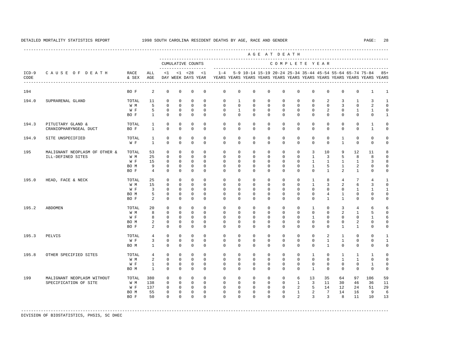|                 |                                                     |               |                |             |              |                                           |              |                                                                                    |              |                                                               |              | AGE AT DEATH  |                |                          |                                 |                |                 |                |              |
|-----------------|-----------------------------------------------------|---------------|----------------|-------------|--------------|-------------------------------------------|--------------|------------------------------------------------------------------------------------|--------------|---------------------------------------------------------------|--------------|---------------|----------------|--------------------------|---------------------------------|----------------|-----------------|----------------|--------------|
|                 |                                                     |               |                |             |              | CUMULATIVE COUNTS<br>-------------------- |              |                                                                                    |              |                                                               |              | COMPLETE YEAR |                |                          | _______________________________ |                |                 |                |              |
| $ICD-9$<br>CODE | CAUSE OF DEATH<br>--------------------------------- | RACE<br>& SEX | ALL<br>AGE     |             |              | $<1$ $<1$ $<28$<br>DAY WEEK DAYS YEAR     | <1           | $1 - 4$<br>YEARS YEARS YEARS YEARS YEARS YEARS YEARS YEARS YEARS YEARS YEARS YEARS |              | 5-9 10-14 15-19 20-24 25-34 35-44 45-54 55-64 65-74 75-84 85+ |              |               |                |                          |                                 |                |                 |                |              |
| 194             |                                                     | BO F          | 2              | $\Omega$    | $\mathbf 0$  | $\Omega$                                  | $\Omega$     | $\mathbf 0$                                                                        | $\Omega$     | $\Omega$                                                      | $\Omega$     | $\Omega$      | $\Omega$       | $\Omega$                 | $\Omega$                        | $\mathbf 0$    | $\mathbf 0$     | $\mathbf{1}$   | $\mathbf{1}$ |
| 194.0           | SUPRARENAL GLAND                                    | TOTAL         | 11             | 0           | $\mathbf{0}$ | $\mathbf{0}$                              | $\Omega$     | 0                                                                                  | $\mathbf{1}$ | $\mathbf{0}$                                                  | $\mathbf{0}$ | $\mathbf 0$   | $\circ$        | $\circ$                  | 2                               | 3              | $\mathbf{1}$    | 3              | -1           |
|                 |                                                     | W M           | 5              | $\Omega$    | $\Omega$     | $\Omega$                                  | $\Omega$     | $\Omega$                                                                           | $\Omega$     | $\Omega$                                                      | $\Omega$     | $\Omega$      | $\Omega$       | $\Omega$                 | $\Omega$                        | $\overline{3}$ | $\Omega$        | 2              | $\mathbf 0$  |
|                 |                                                     | W F           | 5              | $\mathbf 0$ | $\mathbf 0$  | $\mathbf 0$                               | $\mathbf 0$  | $\mathbf 0$                                                                        | $\mathbf{1}$ | $\mathbf{0}$                                                  | $\mathbf{0}$ | $\mathbf 0$   | $\mathbf 0$    | $\mathbf 0$              | 2                               | $\mathbf 0$    | $\mathbf{1}$    | $\mathbf{1}$   | $\mathbf 0$  |
|                 |                                                     | BO F          | $\mathbf{1}$   | $\mathbf 0$ | $\mathbf 0$  | $\mathbf 0$                               | $\mathbf{0}$ | $\mathbf 0$                                                                        | $\mathbf{0}$ | $\mathbf{0}$                                                  | $\circ$      | $\mathbf 0$   | $\circ$        | $\mathbf 0$              | $\mathbf 0$                     | $\mathbf 0$    | $\mathbf 0$     | $\mathbf 0$    | 1            |
| 194.3           | PITUITARY GLAND &                                   | TOTAL         | $\mathbf{1}$   | $\mathbf 0$ | $\mathbf{0}$ | $\mathbf{0}$                              | $\Omega$     | $\mathbf 0$                                                                        | $\mathbf 0$  | $\mathbf{0}$                                                  | $\mathbf{0}$ | $\mathbf 0$   | $\mathbf 0$    | $\mathbf 0$              | $\mathbf 0$                     | $\mathbf 0$    | $\mathbf 0$     | $\mathbf{1}$   | $\Omega$     |
|                 | CRANIOPHARYNGEAL DUCT                               | BO F          | $\overline{1}$ | $\Omega$    | $\Omega$     | $\Omega$                                  | $\Omega$     | $\Omega$                                                                           | $\Omega$     | $\Omega$                                                      | $\circ$      | $\Omega$      | $\Omega$       | $\Omega$                 | $\Omega$                        | $\Omega$       | $\mathbf 0$     | $\mathbf{1}$   | $\mathbf 0$  |
| 194.9           | SITE UNSPECIFIED                                    | TOTAL         | 1              | $\mathbf 0$ | $\Omega$     | $\mathbf{0}$                              | $\Omega$     | $\Omega$                                                                           | $\Omega$     | $\Omega$                                                      | $\Omega$     | $\Omega$      | $\Omega$       | $\Omega$                 | $\Omega$                        | $\mathbf{1}$   | $\Omega$        | $\mathbf 0$    | $\Omega$     |
|                 |                                                     | W F           | $\overline{1}$ | $\Omega$    | $\Omega$     | $\Omega$                                  | $\Omega$     | $\Omega$                                                                           | $\Omega$     | $\Omega$                                                      | $\Omega$     | $\Omega$      | $\Omega$       | $\Omega$                 | $\Omega$                        | $\overline{1}$ | $\mathbf 0$     | $\Omega$       | $\Omega$     |
| 195             | MALIGNANT NEOPLASM OF OTHER &                       | TOTAL         | 53             | $\Omega$    | $\Omega$     | $\Omega$                                  | $\Omega$     | $\Omega$                                                                           | $\Omega$     | $\Omega$                                                      | $\Omega$     | $\Omega$      | $\Omega$       | 3                        | 10                              | 9              | 12              | 11             |              |
|                 | ILL-DEFINED SITES                                   | W M           | 25             | $\Omega$    | $\Omega$     | $\Omega$                                  | $\cap$       | $\Omega$                                                                           | $\mathbf{0}$ | $\Omega$                                                      | $\Omega$     | $\mathbf{0}$  | $\circ$        | $\mathbf{1}$             | $\overline{3}$                  | 5              | 8               | 8              | $\Omega$     |
|                 |                                                     | W F           | 15             | $\mathbf 0$ | $\Omega$     | $\Omega$                                  | $\Omega$     | $\Omega$                                                                           | $\Omega$     | $\Omega$                                                      | $\Omega$     | $\Omega$      | $\Omega$       | $\mathbf{1}$             | $\overline{1}$                  | $\overline{1}$ | $\mathbf{1}$    | 3              | 8            |
|                 |                                                     | BO M          | 9              | $\circ$     | $\circ$      | $\mathbf 0$                               | $\Omega$     | $\mathbf 0$                                                                        | $\mathbf 0$  | $\circ$                                                       | $\circ$      | $\mathbf{0}$  | $\circ$        | $\mathbf{1}$             | 5                               | $\mathbf{1}$   | 2               | $\mathbf 0$    | $\Omega$     |
|                 |                                                     | BO F          | $\overline{4}$ | $\Omega$    | $\Omega$     | $\Omega$                                  | $\Omega$     | $\Omega$                                                                           | $\Omega$     | $\Omega$                                                      | $\Omega$     | $\Omega$      | $\Omega$       | $\Omega$                 | $\mathbf{1}$                    | $\mathfrak{L}$ | $\mathbf{1}$    | $\Omega$       | $\Omega$     |
| 195.0           | HEAD, FACE & NECK                                   | TOTAL         | 25             | $\Omega$    | $\Omega$     | $\Omega$                                  | $\Omega$     | $\Omega$                                                                           | $\mathbf 0$  | $\Omega$                                                      | $\Omega$     | $\Omega$      | $\Omega$       | $\mathbf{1}$             | 8                               | $\overline{4}$ | $7\phantom{.0}$ | $\overline{4}$ | 1            |
|                 |                                                     | W M           | 15             | $\Omega$    | $\Omega$     | $\Omega$                                  | $\Omega$     | $\Omega$                                                                           | $\Omega$     | $\Omega$                                                      | $\Omega$     | $\Omega$      | $\Omega$       | $\mathbf{1}$             | $\overline{3}$                  | 2              | 6               | 3              | $\Omega$     |
|                 |                                                     | W F           | $\overline{3}$ | $\mathbf 0$ | $\mathbf 0$  | $\Omega$                                  | $\Omega$     | $\Omega$                                                                           | $\mathbf 0$  | $\Omega$                                                      | $\mathbf 0$  | $\mathbf 0$   | $\Omega$       | $\Omega$                 | $\Omega$                        | $\mathbf 0$    | $\mathbf{1}$    | $\mathbf{1}$   | $\mathbf{1}$ |
|                 |                                                     | BO M          | 5              | $\mathbf 0$ | $\mathbf{0}$ | $\mathbf 0$                               | $\mathbf{0}$ | $\mathbf 0$                                                                        | $\mathbf 0$  | $\mathbf{0}$                                                  | $\circ$      | $\mathbf 0$   | $\circ$        | $\circ$                  | $4\overline{ }$                 | $\mathbf{1}$   | 0               | 0              | $\Omega$     |
|                 |                                                     | BO F          | $\overline{2}$ | $\Omega$    | $\Omega$     | $\Omega$                                  | $\Omega$     | $\Omega$                                                                           | $\Omega$     | $\Omega$                                                      | $\Omega$     | $\Omega$      | $\Omega$       | $\Omega$                 | $\overline{1}$                  | $\overline{1}$ | $\Omega$        | $\Omega$       | $\Omega$     |
| 195.2           | ABDOMEN                                             | TOTAL         | 20             | $\mathbf 0$ | $\mathbf 0$  | $\mathbf 0$                               | $\Omega$     | $\mathbf 0$                                                                        | $\mathbf 0$  | $\mathbf{0}$                                                  | $\circ$      | $\mathbf{0}$  | $\circ$        | $\mathbf{1}$             | $\circ$                         | $\overline{3}$ | $\overline{4}$  | 6              |              |
|                 |                                                     | W M           | 8              | $\Omega$    | $\Omega$     | $\Omega$                                  | $\Omega$     | $\Omega$                                                                           | $\Omega$     | $\Omega$                                                      | $\Omega$     | $\Omega$      | $\Omega$       | $\Omega$                 | $\Omega$                        | 2              | $\mathbf{1}$    | 5              |              |
|                 |                                                     | W F           | 8              | $\mathbf 0$ | $\mathbf{0}$ | $\mathbf 0$                               | $\Omega$     | $\mathbf 0$                                                                        | $\mathbf 0$  | $\mathbf{0}$                                                  | $\mathbf 0$  | $\mathbf 0$   | $\mathbf 0$    | $\mathbf{1}$             | $\mathbf{0}$                    | $\mathbf 0$    | $\mathbf 0$     | $\mathbf{1}$   | 6            |
|                 |                                                     | BO M          | $\overline{a}$ | 0           | $\mathbf{0}$ | $\mathbf 0$                               | $\mathbf{0}$ | 0                                                                                  | $\mathbf 0$  | $\mathbf 0$                                                   | $\mathsf{O}$ | $\mathbf 0$   | $\circ$        | $\mathbf 0$              | 0                               | 0              | $\overline{a}$  | 0              | $\Omega$     |
|                 |                                                     | BO F          | $\overline{a}$ | $\Omega$    | $\Omega$     | $\Omega$                                  | $\Omega$     | $\Omega$                                                                           | $\Omega$     | $\Omega$                                                      | $\Omega$     | $\Omega$      | $\Omega$       | $\Omega$                 | $\Omega$                        | $\mathbf{1}$   | $\mathbf{1}$    | $\Omega$       | $\Omega$     |
| 195.3           | PELVIS                                              | TOTAL         | $\overline{4}$ | $\mathbf 0$ | $\mathbf{0}$ | $\mathbf{0}$                              | $\Omega$     | $\mathbf 0$                                                                        | $\mathbf 0$  | $\mathbf{0}$                                                  | $\mathbf{0}$ | $\mathbf 0$   | $\mathbf 0$    | $\circ$                  | 2                               | $\mathbf{1}$   | $\mathbf 0$     | $\mathbf 0$    |              |
|                 |                                                     | W F           | 3              | $\Omega$    | $\Omega$     | $\Omega$                                  | $\Omega$     | $\Omega$                                                                           | $\Omega$     | $\Omega$                                                      | $\Omega$     | $\Omega$      | $\Omega$       | $\Omega$                 | $\overline{1}$                  | $\overline{1}$ | $\Omega$        | $\Omega$       | $\mathbf{1}$ |
|                 |                                                     | BO M          | $\mathbf{1}$   | $\mathbf 0$ | $\mathbf 0$  | $\Omega$                                  | $\Omega$     | $\Omega$                                                                           | $\mathbf 0$  | $\Omega$                                                      | $\mathbf{0}$ | $\mathbf 0$   | $\Omega$       | $\Omega$                 | $\mathbf{1}$                    | $\Omega$       | $\mathbf 0$     | $\mathbf 0$    | $\Omega$     |
| 195.8           | OTHER SPECIFIED SITES                               | TOTAL         | $\overline{4}$ | $\Omega$    | $\Omega$     | $\Omega$                                  | $\cap$       | $\Omega$                                                                           | $\mathbf 0$  | $\Omega$                                                      | $\Omega$     | $\Omega$      | $\Omega$       | $\mathbf{1}$             | $\Omega$                        | $\mathbf{1}$   | $\mathbf{1}$    | $\mathbf{1}$   | $\Omega$     |
|                 |                                                     | W M           | $\overline{a}$ | $\mathbf 0$ | $\Omega$     | $\mathbf 0$                               | $\Omega$     | $\Omega$                                                                           | $\mathbf 0$  | $\mathbf{0}$                                                  | $\mathbf{0}$ | $\mathbf{0}$  | $\mathbf 0$    | $\mathbf 0$              | $\mathbf 0$                     | $\mathbf{1}$   | $\mathbf{1}$    | $\mathbf 0$    | $\Omega$     |
|                 |                                                     | W F           | $\mathbf{1}$   | 0           | 0            | $\mathbf{0}$                              | $\mathbf{0}$ | 0                                                                                  | $\mathbf 0$  | $\mathbf 0$                                                   | $\mathbf{0}$ | $\mathbf 0$   | $\mathbf 0$    | $\mathbf 0$              | $\mathbf 0$                     | $\mathbf 0$    | 0               | $\mathbf{1}$   | 0            |
|                 |                                                     | BO M          | $\mathbf{1}$   | $\Omega$    | $\Omega$     | $\Omega$                                  | $\Omega$     | $\Omega$                                                                           | $\Omega$     | $\Omega$                                                      | $\Omega$     | $\Omega$      | $\Omega$       | $\overline{1}$           | $\Omega$                        | $\mathbf{0}$   | $\mathbf 0$     | $\mathbf 0$    | $\mathbf 0$  |
| 199             | MALIGNANT NEOPLASM WITHOUT                          | TOTAL         | 380            | $\mathbf 0$ | $\mathbf 0$  | $\mathbf 0$                               | $\Omega$     | $\mathbf 0$                                                                        | $\mathbf 0$  | $\mathbf{0}$                                                  | $\mathsf{O}$ | $\mathbf 0$   | 6              | 13                       | 35                              | 64             | 97              | 106            | 59           |
|                 | SPECIFICATION OF SITE                               | W M           | 138            | $\Omega$    | $\Omega$     | $\Omega$                                  | $\Omega$     | $\Omega$                                                                           | $\circ$      | $\Omega$                                                      | $\Omega$     | $\circ$       | $\sim$ 1       | $\overline{\phantom{a}}$ | 11                              | 30             | 46              | 36             | 11           |
|                 |                                                     | W F           | 137            | $\mathbf 0$ | $\circ$      | $\overline{0}$                            | $\circ$      | $\mathbf 0$                                                                        | $\mathbf 0$  | $\mathbf{0}$                                                  | $\mathbf{0}$ | $\circ$       | 2              | 5                        | 14                              | 12             | 24              | 51             | 29           |
|                 |                                                     | BO M          | 55             | 0           | $\mathsf{O}$ | $\mathbb O$                               | $\mathbf{0}$ | $\mathbf 0$                                                                        | $\mathbf 0$  | $\mathbb O$                                                   | $\mathbf 0$  | $\mathsf 0$   | $\mathbf{1}$   | $\overline{a}$           | $7\phantom{.0}$                 | 14             | 16              | 9              | 6            |
|                 |                                                     | BO F          | 50             | $\Omega$    | $\Omega$     | $\Omega$                                  | $\Omega$     | $\Omega$                                                                           | $\Omega$     | $\Omega$                                                      | $\Omega$     | $\Omega$      | $\overline{a}$ | $\overline{3}$           | $\overline{3}$                  | 8              | 11              | 10             | 13           |
|                 |                                                     |               |                |             |              |                                           |              |                                                                                    |              |                                                               |              |               |                |                          |                                 |                |                 |                |              |

-----------------------------------------------------------------------------------------------------------------------------------------------------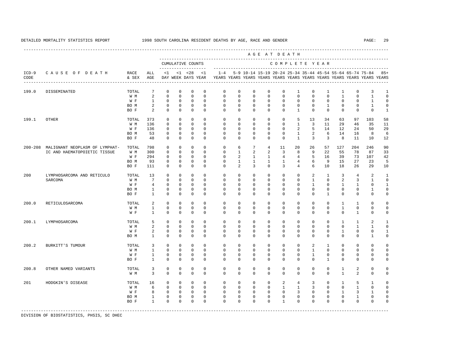---------------------------------------------------------------------------------------------------------------------------------------------------- A G E A T D E A T H --------------------------------------------------------------------------------------------- CUMULATIVE COUNTS C O M P L E T E Y E A R ------------------- ----------------------------------------------------------------------- ICD-9 C A U S E O F D E A T H RACE ALL <1 <1 <28 <1 1-4 5-9 10-14 15-19 20-24 25-34 35-44 45-54 55-64 65-74 75-84 85+ CODE & SEX AGE DAY WEEK DAYS YEAR YEARS YEARS YEARS YEARS YEARS YEARS YEARS YEARS YEARS YEARS YEARS YEARS ---------------------------------------------------------------------------------------------------------------------------------------------------- 199.0 DISSEMINATED TOTAL 7 0 0 0 0 0 0 0 0 0 1 0 1 1 0 3 1 W M 2 0 0 0 0 0 0 0 0 0 0 0 0 0 1 0 1 0 W F 1 0 0 0 0 0 0 0 0 0 0 0 0 0 0 1 0 BOM 2 0 0 0 0 0 0 0 0 0 0 0 0 1 0 0 1 0 BOF 2 0 0 0 0 0 0 0 0 0 0 0 0 0 0 1 199.1 OTHER TOTAL 373 0 0 0 0 0 0 0 0 0 5 13 34 63 97 103 58 W M 136 0 0 0 0 0 0 0 0 0 1 3 11 29 46 35 11 W F 136 0 0 0 0 0 0 0 0 0 2 5 14 12 24 50 29 BO M 53 0 0 0 0 0 0 0 0 0 1 2 6 14 16 8 6 BO F 48 0 0 0 0 0 0 0 0 0 1 3 3 8 11 10 12 200-208 MALIGNANT NEOPLASM OF LYMPHAT- TOTAL 798 0 0 0 0 0 6 7 4 11 20 26 57 127 204 246 90 IC AND HAEMATOPOIETIC TISSUE W M 300 0 0 0 0 0 1 2 2 3 8 9 22 55 78 87 33 W F 294 0 0 0 0 0 2 1 1 4 4 5 16 39 73 107 42 BO M 93 0 0 0 0 0 1 1 1 1 4 6 9 15 27 23 5 BO F 111 0 0 0 0 0 2 3 0 3 4 6 10 18 26 29 10 200 LYMPHOSARCOMA AND RETICULO TOTAL 13 0 0 0 0 0 0 0 0 0 0 2 1 3 4 2 1 SARCOMA W M 7 0 0 0 0 0 0 0 0 0 0 1 0 2 3 1 0 W F 4 0 0 0 0 0 0 0 0 0 0 0 0 1 0 1 1 0 1 BOM 1 0 0 0 0 0 0 0 0 0 0 0 0 0 0 1 0 BO F 1 0 0 0 0 0 0 0 0 0 0 0 1 0 0 0 0 200.0 RETICULOSARCOMA TOTAL 2 0 0 0 0 0 0 0 0 0 0 0 0 1 1 0 0 W M 1 0 0 0 0 0 0 0 0 0 0 0 0 1 0 0 0 W F 1 0 0 0 0 0 0 0 0 0 0 0 0 0 0 1 0 0 200.1 LYMPHOSARCOMA TOTAL 5 0 0 0 0 0 0 0 0 0 0 0 0 1 1 2 1 W M 2 0 0 0 0 0 0 0 0 0 0 0 0 0 1 1 0 W F 2 0 0 0 0 0 0 0 0 0 0 0 0 0 1 0 0 1 BO M 1 0 0 0 0 0 0 0 0 0 0 0 0 0 0 1 0 200.2 BURKITT'S TUMOUR TOTAL 3 0 0 0 0 0 0 0 0 0 0 2 1 0 0 0 0 W M 1 0 0 0 0 0 0 0 0 0 0 1 0 0 0 0 0 W F 1 0 0 0 0 0 0 0 0 0 0 1 0 0 0 0 0 BO F 1 0 0 0 0 0 0 0 0 0 0 0 1 0 0 0 0 200.8 OTHER NAMED VARIANTS TOTAL 3 0 0 0 0 0 0 0 0 0 0 0 0 1 2 0 0 W M 3 0 0 0 0 0 0 0 0 0 0 0 0 0 1 2 0 0 201 HODGKIN'S DISEASE TOTAL 16 0 0 0 0 0 0 0 0 2 4 3 0 1 5 1 0 W M 6 0 0 0 0 0 0 0 0 1 1 3 0 0 1 0 0 W F 8 0 0 0 0 0 0 0 0 0 0 3 0 0 1 3 1 0 BOM 1 0 0 0 0 0 0 0 0 0 0 0 0 0 1 0 0 BO F 1 0 0 0 0 0 0 0 0 1 0 0 0 0 0 0 0 -----------------------------------------------------------------------------------------------------------------------------------------------------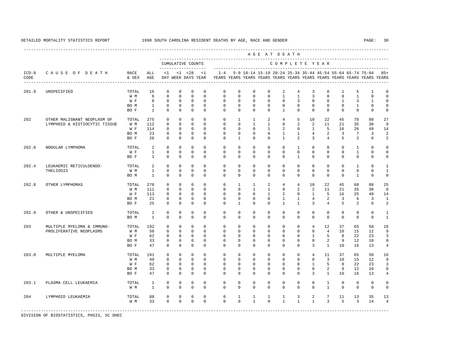|                 |                               |                 |                |              |              |                                    |              |             |              |              |              | AGE AT DEATH                                              |                |                |                |              |                   |                                                                         |                |
|-----------------|-------------------------------|-----------------|----------------|--------------|--------------|------------------------------------|--------------|-------------|--------------|--------------|--------------|-----------------------------------------------------------|----------------|----------------|----------------|--------------|-------------------|-------------------------------------------------------------------------|----------------|
|                 |                               |                 |                |              |              | CUMULATIVE COUNTS                  |              |             |              |              |              | COMPLETE YEAR                                             |                |                |                |              |                   |                                                                         |                |
| $ICD-9$<br>CODE | CAUSE OF DEATH                | RACE<br>& SEX   | ALL<br>AGE     | <1           |              | $< 1$ $< 28$<br>DAY WEEK DAYS YEAR | <1           | $1 - 4$     |              |              |              | 5-9 10-14 15-19 20-24 25-34 35-44 45-54 55-64 65-74 75-84 |                |                |                |              |                   | YEARS YEARS YEARS YEARS YEARS YEARS YEARS YEARS YEARS YEARS YEARS YEARS | $85+$          |
| 201.9           | UNSPECIFIED                   | TOTAL           | 16             | $\mathbf 0$  | $\mathbf{0}$ | $\mathbf 0$                        | $\mathbf 0$  | $\mathbf 0$ | $\mathbf 0$  | $\mathbf 0$  | $\mathbf 0$  | 2                                                         | $\overline{4}$ | 3              | $\mathbf 0$    | $\mathbf{1}$ | 5                 | $\mathbf{1}$                                                            | $\mathbf 0$    |
|                 |                               | W M             | 6              | $\Omega$     | $\mathbf{0}$ | $\mathbf{0}$                       | $\Omega$     | $\Omega$    | $\Omega$     | $\Omega$     | $\Omega$     | $\mathbf{1}$                                              | $\mathbf{1}$   | 3              | $\Omega$       | $\Omega$     | $\mathbf{1}$      | $\Omega$                                                                | $\Omega$       |
|                 |                               | W F             | 8              | $\Omega$     | $\Omega$     | $\Omega$                           | $\Omega$     | $\Omega$    | $\Omega$     | $\Omega$     | $\Omega$     | $\Omega$                                                  | 3              | $\Omega$       | $\Omega$       | $\mathbf{1}$ | 3                 | $\mathbf{1}$                                                            | $\Omega$       |
|                 |                               | BO M            | $\mathbf{1}$   | $\mathbf{0}$ | $\mathbf{0}$ | $\mathbb O$                        | $\mathbf{0}$ | $\mathbf 0$ | $\mathbf 0$  | $\mathbf{0}$ | $\mathbf{0}$ | $\mathbf{0}$                                              | $\mathbf 0$    | $\mathbf 0$    | $\mathbf{0}$   | $\mathbf{0}$ | $\mathbf{1}$      | $\mathbf 0$                                                             | $\mathbf 0$    |
|                 |                               | BO F            | $\mathbf{1}$   | $\Omega$     | $\mathbf{0}$ | $\mathbf{0}$                       | $\Omega$     | $\Omega$    | $\Omega$     | $\Omega$     | $\Omega$     | $\mathbf{1}$                                              | $\Omega$       | $\Omega$       | $\Omega$       | $\Omega$     | $\Omega$          | $\Omega$                                                                | $\mathbf 0$    |
| 202             | OTHER MALIGNANT NEOPLASM OF   | TOTAL           | 275            | $\mathbf 0$  | $\Omega$     | $\mathbf 0$                        | $\Omega$     | $\Omega$    | $\mathbf{1}$ | $\mathbf{1}$ | 2            | $\overline{4}$                                            | 5              | 10             | 22             | 45           | 70                | 88                                                                      | 27             |
|                 | LYMPHOID & HISTIOCYTIC TISSUE | W M             | 112            | $\mathbf 0$  | $\mathbf{0}$ | $\Omega$                           | $\Omega$     | $\Omega$    | $\Omega$     | $\mathbf{1}$ | $\mathbf{1}$ | $\Omega$                                                  | 2              | 2              | 11             | 21           | 35                | 30                                                                      | 9              |
|                 |                               | W F             | 114            | $\Omega$     | $\Omega$     | $\Omega$                           | $\Omega$     | $\Omega$    | $\Omega$     | $\Omega$     | $\mathbf{1}$ | 2                                                         | $\Omega$       | $\mathbf{1}$   | 5              | 16           | 2.6               | 49                                                                      | 14             |
|                 |                               | BO M            | 23             | $\mathbf{0}$ | $\mathbf{0}$ | $\mathbf 0$                        | $\mathbf{0}$ | $\mathbf 0$ | $\mathbf 0$  | $\mathbf{0}$ | $\mathbf{0}$ | $\mathbf{1}$                                              | $\mathbf{1}$   | $\overline{4}$ | 2              | 3            | 7                 | 3                                                                       | $\overline{a}$ |
|                 |                               | BO F            | 26             | $\Omega$     | $\mathbf{0}$ | $\mathbf{0}$                       | $\Omega$     | $\Omega$    | $\mathbf{1}$ | $\mathbf{0}$ | $\mathbf 0$  | $\mathbf{1}$                                              | $\overline{a}$ | 3              | $\overline{4}$ | 5            | 2                 | 6                                                                       | $\overline{2}$ |
| 202.0           | NODULAR LYMPHOMA              | TOTAL           | $\overline{2}$ | $\Omega$     | $\Omega$     | $\Omega$                           | $\Omega$     | $\Omega$    | $\Omega$     | $\Omega$     | $\Omega$     | $\Omega$                                                  | $\mathbf{1}$   | $\Omega$       | $\Omega$       | $\Omega$     | $\mathbf{1}$      | $\Omega$                                                                | $\Omega$       |
|                 |                               | W F             | $\mathbf{1}$   | $\Omega$     | $\Omega$     | $\Omega$                           | $\Omega$     | $\Omega$    | $\Omega$     | $\Omega$     | $\Omega$     | $\Omega$                                                  | $\Omega$       | $\Omega$       | $\Omega$       | $\Omega$     | $\mathbf{1}$      | $\Omega$                                                                | $\Omega$       |
|                 |                               | BO F            | $\mathbf{1}$   | $\mathbf{0}$ | $\mathbf{0}$ | $\mathbf{0}$                       | $\mathbf{0}$ | $\Omega$    | $\mathbf 0$  | $\mathbf{0}$ | $\mathbf{0}$ | $\Omega$                                                  | $\mathbf{1}$   | $\mathbf 0$    | $\mathbf{0}$   | $\Omega$     | $\mathbf 0$       | $\mathbf 0$                                                             | $\mathbf 0$    |
| 202.4           | LEUKAEMIC RETICULOENDO-       | TOTAL           | $\overline{2}$ | $\Omega$     | $\Omega$     | $\Omega$                           | $\Omega$     | $\Omega$    | $\Omega$     | $\Omega$     | $\Omega$     | $\Omega$                                                  | $\Omega$       | $\Omega$       | $\Omega$       | $\Omega$     | $\mathbf{1}$      | $\Omega$                                                                | $\mathbf{1}$   |
|                 | THELIOSIS                     | W M             | $\mathbf{1}$   | $\mathbf{0}$ | $\mathbf{0}$ | $\mathbf{0}$                       | $\mathbf{0}$ | $\mathbf 0$ | $\mathbf 0$  | $\mathbf{0}$ | $\mathbf{0}$ | $\mathbf 0$                                               | $\mathbf 0$    | $\mathbf 0$    | $\mathbf{0}$   | $\mathbf 0$  | $\mathbf 0$       | $\mathbf 0$                                                             | $\mathbf{1}$   |
|                 |                               | BO M            | $\mathbf{1}$   | $\Omega$     | $\mathbf{0}$ | $\Omega$                           | $\mathbf{0}$ | $\Omega$    | $\mathbf 0$  | $\mathbf{0}$ | $\mathbf{0}$ | $\mathbf 0$                                               | $\mathbf 0$    | $\Omega$       | $\mathbf{0}$   | $\Omega$     | $\mathbf{1}$      | $\mathbf 0$                                                             | $\mathbf 0$    |
| 202.8           | OTHER LYMPHOMAS               | TOTAL           | 270            | 0            | $\mathbf{0}$ | 0                                  | $\Omega$     | $\mathbf 0$ | $\mathbf{1}$ | $\mathbf{1}$ | 2            | $\overline{4}$                                            | $\overline{4}$ | 10             | 22             | 45           | 68                | 88                                                                      | 25             |
|                 |                               | W M             | 111            | $\mathbf 0$  | $\Omega$     | $\mathbf{0}$                       | $\Omega$     | $\mathbf 0$ | $\Omega$     | $\mathbf{1}$ | $\mathbf{1}$ | $\mathbf 0$                                               | 2              | 2              | 11             | 21           | 35                | 30                                                                      | 8              |
|                 |                               | W F             | 113            | $\Omega$     | $\Omega$     | $\Omega$                           | $\Omega$     | $\Omega$    | $\Omega$     | $\Omega$     | $\mathbf{1}$ | 2                                                         | $\mathbf 0$    | $\mathbf{1}$   | 5              | 16           | 25                | 49                                                                      | 14             |
|                 |                               | BO M            | 21             | 0            | $\mathbf{0}$ | $\mathbb O$                        | $\mathbf 0$  | $\mathbf 0$ | $\mathbf 0$  | $\mathbf 0$  | $\mathbf{0}$ | $\mathbf{1}$                                              | $\mathbf{1}$   | $\overline{4}$ | 2              | 3            | 6                 | 3                                                                       | $\mathbf{1}$   |
|                 |                               | BO F            | 25             | $\mathbf 0$  | $\mathbf{0}$ | $\mathbf{0}$                       | $\mathbf 0$  | $\mathbf 0$ | $\mathbf{1}$ | $\mathbf{0}$ | $\mathbf{0}$ | $\mathbf{1}$                                              | $\mathbf{1}$   | 3              | $\overline{4}$ | 5            | 2                 | 6                                                                       | $\overline{a}$ |
| 202.9           | OTHER & UNSPECIFIED           | TOTAL           | $\mathbf{1}$   | $\mathbf 0$  | $\mathbf 0$  | 0                                  | $\mathbf 0$  | $\mathbf 0$ | $\mathbf 0$  | $\mathbf 0$  | $\mathbf 0$  | $\mathbf 0$                                               | $\mathbf 0$    | $\mathbf 0$    | $\mathbf 0$    | $\mathbf 0$  | $\mathbf 0$       | $\mathbf 0$                                                             | $\mathbf{1}$   |
|                 |                               | BO M            | $\mathbf{1}$   | $\Omega$     | $\Omega$     | $\Omega$                           | $\Omega$     | $\Omega$    | $\Omega$     | $\Omega$     | $\Omega$     | $\Omega$                                                  | $\Omega$       | $\Omega$       | $\Omega$       | $\Omega$     | $\Omega$          | $\Omega$                                                                | $\mathbf{1}$   |
| 203             | MULTIPLE MYELOMA & IMMUNO-    | TOTAL           | 192            | $\mathbf 0$  | $\mathbf{0}$ | $\mathbf 0$                        | $\Omega$     | $\mathbf 0$ | $\mathbf 0$  | $\mathbf 0$  | $\mathbf 0$  | $\mathbf 0$                                               | $\mathbf 0$    | $\overline{4}$ | 12             | 37           | 65                | 58                                                                      | 16             |
|                 | PROLIFERATIVE NEOPLASMS       | W M             | 50             | $\Omega$     | $\Omega$     | $\Omega$                           | $\Omega$     | $\Omega$    | $\Omega$     | $\Omega$     | $\Omega$     | $\Omega$                                                  | $\Omega$       | $\Omega$       | $\overline{4}$ | 10           | 15                | 12                                                                      | 9              |
|                 |                               | W F             | 62             | $\mathbf 0$  | $\mathbf{0}$ | $\mathbf 0$                        | $\mathbf{0}$ | $\mathbf 0$ | $\mathbf 0$  | $\mathbf 0$  | $\mathbf 0$  | $\mathbf 0$                                               | $\mathbf 0$    | $\mathbf{1}$   | 5              | 8            | 22                | 23                                                                      | 3              |
|                 |                               | BO M            | 33             | $\mathbf 0$  | $\mathbf 0$  | $\mathbf 0$                        | $\mathbf 0$  | $\mathbf 0$ | $\mathbf 0$  | $\mathbf 0$  | $\mathbf 0$  | $\mathbf 0$                                               | $\mathbf 0$    | $\mathbf 0$    | 2              | 9            | $12 \overline{ }$ | 10                                                                      | $\mathbf 0$    |
|                 |                               | BO F            | 47             | $\Omega$     | $\Omega$     | $\Omega$                           | $\Omega$     | $\Omega$    | $\Omega$     | $\Omega$     | $\Omega$     | $\Omega$                                                  | $\Omega$       | 3              | $\mathbf{1}$   | 10           | 16                | 13                                                                      | 4              |
| 203.0           | MULTIPLE MYELOMA              | TOTAL           | 191            | $\mathbf 0$  | $\mathbf{0}$ | $\mathbf 0$                        | $\mathbf{0}$ | $\mathbf 0$ | $\mathbf 0$  | $\mathbf 0$  | $\mathbf 0$  | $\mathbf 0$                                               | $\mathbf 0$    | $\overline{4}$ | 11             | 37           | 65                | 58                                                                      | 16             |
|                 |                               | W M             | 49             | $\Omega$     | $\Omega$     | $\Omega$                           | $\Omega$     | $\Omega$    | $\Omega$     | $\Omega$     | $\Omega$     | $\Omega$                                                  | $\Omega$       | $\Omega$       | 3              | 10           | 15                | 12                                                                      | 9              |
|                 |                               | W F             | 62             | $\mathbf 0$  | $\mathbf 0$  | 0                                  | $\mathbf{0}$ | $\mathbf 0$ | $\mathbf 0$  | 0            | 0            | $\mathbf 0$                                               | $\mathbf 0$    | $\mathbf{1}$   | 5              | 8            | 22                | 23                                                                      | 3              |
|                 |                               | BO M            | 33             | $\mathbf 0$  | $\mathbf{0}$ | $\mathbf 0$                        | $\mathbf{0}$ | $\mathbf 0$ | $\mathbf 0$  | $\mathbf 0$  | $\mathbf 0$  | $\mathbf 0$                                               | $\mathbf 0$    | $\mathbf 0$    | 2              | 9            | 12                | 10                                                                      | $\mathbf 0$    |
|                 |                               | BO F            | 47             | $\mathbf{0}$ | $\mathbf{0}$ | $\mathbf 0$                        | $\mathbf{0}$ | $^{\circ}$  | $^{\circ}$   | $\mathbf{0}$ | $\mathbf{0}$ | 0                                                         | 0              | 3              | $\mathbf{1}$   | 10           | 16                | 13                                                                      | 4              |
| 203.1           | PLASMA CELL LEUKAEMIA         | TOTAL           | $\mathbf{1}$   | 0            | $\mathbf 0$  | 0                                  | $\mathbf 0$  | $\mathbf 0$ | $\mathbf 0$  | 0            | 0            | $\mathbf 0$                                               | $\mathbf 0$    | $\mathbf 0$    | $\mathbf{1}$   | 0            | $\circ$           | $\mathbf 0$                                                             | $\mathbf 0$    |
|                 |                               | W M             | $\mathbf{1}$   | $\mathbf{0}$ | $\mathbf{0}$ | $\mathbf{0}$                       | $\mathbf 0$  | $\mathbf 0$ | $\mathbf 0$  | $\mathbf{0}$ | $\mathbf 0$  | $\mathbf 0$                                               | 0              | $\mathbf 0$    | $\mathbf{1}$   | $\mathbf 0$  | $\mathbf 0$       | $\mathbf 0$                                                             | $\mathbf 0$    |
| 204             | LYMPHOID LEUKAEMIA            | TOTAL           | 88             | $\mathbf 0$  | $\mathbf 0$  | 0                                  | $\mathbf 0$  | $\mathbf 0$ | 1            | 1            | 1            | 1                                                         | 3              | 2              | 7              | 11           | 13                | 35                                                                      | 13             |
|                 |                               | W M             | 33             | $\mathbf{0}$ | $\mathbf{0}$ | $\mathbf{0}$                       | $\mathbf{0}$ | $\mathbf 0$ | $\mathbf 0$  | $\mathbf{1}$ | $\mathbf{0}$ | $\mathbf{1}$                                              | $\mathbf{1}$   | $\mathbf{1}$   | 3              | 5            | 3                 | 14                                                                      | $\overline{4}$ |
|                 |                               | --------------- |                |              |              |                                    |              |             |              |              |              |                                                           |                |                |                |              |                   |                                                                         |                |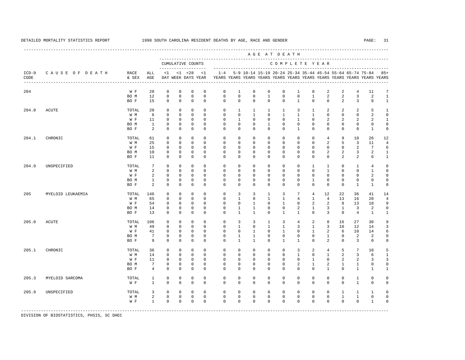---------------------------------------------------------------------------------------------------------------------------------------------------- A G E A T D E A T H --------------------------------------------------------------------------------------------- CUMULATIVE COUNTS C O M P L E T E Y E A R ------------------- ----------------------------------------------------------------------- ICD-9 C A U S E O F D E A T H RACE ALL <1 <1 <28 <1 1-4 5-9 10-14 15-19 20-24 25-34 35-44 45-54 55-64 65-74 75-84 85+ CODE & SEX AGE DAY WEEK DAYS YEAR YEARS YEARS YEARS YEARS YEARS YEARS YEARS YEARS YEARS YEARS YEARS YEARS ---------------------------------------------------------------------------------------------------------------------------------------------------- 204 W F 28 0 0 0 0 0 1 0 0 0 1 0 2 2 4 11 7<br>ROM 12 0 0 0 0 0 0 0 1 0 0 1 2 2 3 2 1  $\begin{array}{ccccccc} 0 & 0 & 0 & 0 \end{array}$  BO F 15 0 0 0 0 0 0 0 0 0 1 0 0 2 3 8 1 204.0 ACUTE TOTAL 20 0 0 0 0 0 1 1 1 1 3 1 2 2 2 5 1 W M 6 0 0 0 0 0 0 1 0 1 1 1 0 0 0 2 0 W F 11 0 0 0 0 0 1 0 0 0 1 0 2 2 2 2 1 BO M 1 0 0 0 0 0 0 0 1 0 0 0 0 0 0 0 0 BO F 2 0 0 0 0 0 0 0 0 0 1 0 0 0 0 1 0 204.1 CHRONIC TOTAL 61 0 0 0 0 0 0 0 0 0 0 0 4 9 10 26 12 W M 25 0 0 0 0 0 0 0 0 0 0 0 2 5 3 11 4 W F 15 0 0 0 0 0 0 0 0 0 0 0 0 0 2 7 6 BOM 10 0 0 0 0 0 0 0 0 0 0 0 0 2 2 3 2 1 BO F 11 0 0 0 0 0 0 0 0 0 0 0 0 2 2 6 1 204.9 UNSPECIFIED TOTAL 7 0 0 0 0 0 0 0 0 0 0 1 1 0 1 4 0 W M 2 0 0 0 0 0 0 0 0 0 0 0 1 0 0 1 0 W F 2 0 0 0 0 0 0 0 0 0 0 0 0 0 2 0 BO M 1 0 0 0 0 0 0 0 0 0 0 1 0 0 0 0 0 BO F 2 0 0 0 0 0 0 0 0 0 0 0 0 0 1 1 0 205 MYELOID LEUKAEMIA TOTAL 146 0 0 0 0 0 3 3 1 3 7 4 12 22 36 41 14 W M 65 0 0 0 0 0 1 0 1 1 4 1 4 13 16 20 4 W F 54 0 0 0 0 0 0 1 0 1 0 2 2 8 13 18 9 BO M 14 0 0 0 0 0 1 1 0 0 2 1 3 1 3 2 0 BO F 13 0 0 0 0 0 1 1 0 1 1 0 3 0 4 1 1 205.0 ACUTE TOTAL 106 0 0 0 0 0 3 3 1 3 4 2 8 16 27 30 9 W M 49 0 0 0 0 0 1 0 1 1 3 1 3 10 12 14 3 W F 41 0 0 0 0 0 0 1 0 1 0 1 2 6 10 14 6 BO M 7 0 0 0 0 0 1 1 0 0 0 0 1 0 2 2 0 BO F 9 0 0 0 0 0 1 1 0 1 1 0 2 0 3 0 0 205.1 CHRONIC TOTAL 36 0 0 0 0 0 0 0 0 0 3 2 4 5 7 10 5 W M 14 0 0 0 0 0 0 0 0 0 0 0 0 1 0 1 2 3 6 1<br>WF 11 0 0 0 0 0 0 0 0 0 0 0 1 0 2 2 3 3 W F 11 0 0 0 0 0 0 0 0 0 0 0 0 1 0 2 2 3 3 BO M 7 0 0 0 0 0 0 0 0 0 2 1 2 1 1 0 0 BO F 4 0 0 0 0 0 0 0 0 0 0 0 1 0 1 1 1 205.3 MYELOID SARCOMA TOTAL 1 0 0 0 0 0 0 0 0 0 0 0 0 0 1 0 0 W F 1 0 0 0 0 0 0 0 0 0 0 0 0 0 0 1 0 0 205.9 UNSPECIFIED TOTAL 3 0 0 0 0 0 0 0 0 0 0 0 0 1 1 1 0 W M 2 0 0 0 0 0 0 0 0 0 0 0 0 1 1 0 0 W F 1 0 0 0 0 0 0 0 0 0 0 0 0 0 0 1 0 -----------------------------------------------------------------------------------------------------------------------------------------------------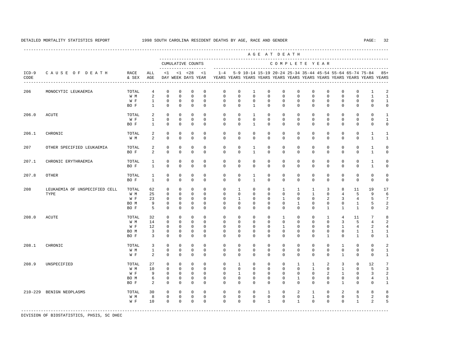----------------------------------------------------------------------------------------------------------------------------------------------------

 A G E A T D E A T H --------------------------------------------------------------------------------------------- CUMULATIVE COUNTS C O M P L E T E Y E A R ------------------- ----------------------------------------------------------------------- ICD-9 C A U S E O F D E A T H RACE ALL <1 <1 <28 <1 1-4 5-9 10-14 15-19 20-24 25-34 35-44 45-54 55-64 65-74 75-84 85+ CODE & SEX AGE DAY WEEK DAYS YEAR YEARS YEARS YEARS YEARS YEARS YEARS YEARS YEARS YEARS YEARS YEARS YEARS ---------------------------------------------------------------------------------------------------------------------------------------------------- 206 MONOCYTIC LEUKAEMIA TOTAL 4 0 0 0 0 0 0 1 0 0 0 0 0 0 0 1 2 W M 2 0 0 0 0 0 0 0 0 0 0 0 0 0 0 1 1 W F 1 0 0 0 0 0 0 0 0 0 0 0 0 0 0 0 1 BOF 1 0 0 0 0 0 0 1 0 0 0 0 0 0 0 0 0 0 206.0 ACUTE TOTAL 2 0 0 0 0 0 0 1 0 0 0 0 0 0 0 0 1 W F 1 0 0 0 0 0 0 0 0 0 0 0 0 0 0 0 1 BO F 1 0 0 0 0 0 0 1 0 0 0 0 0 0 0 0 0 206.1 CHRONIC TOTAL 2 0 0 0 0 0 0 0 0 0 0 0 0 0 0 1 1 W M 2 0 0 0 0 0 0 0 0 0 0 0 0 0 0 1 1 207 OTHER SPECIFIED LEUKAEMIA TOTAL 2 0 0 0 0 0 0 1 0 0 0 0 0 0 0 1 0 BO F 2 0 0 0 0 0 0 1 0 0 0 0 0 0 0 1 0 207.1 CHRONIC ERYTHRAEMIA TOTAL 1 0 0 0 0 0 0 0 0 0 0 0 0 0 0 1 0 BO F 1 0 0 0 0 0 0 0 0 0 0 0 0 0 0 1 0 207.8 OTHER TOTAL 1 0 0 0 0 0 0 1 0 0 0 0 0 0 0 0 0 BOF 1 0 0 0 0 0 0 1 0 0 0 0 0 0 0 0 0 0 208 LEUKAEMIA OF UNSPECIFIED CELL TOTAL 62 0 0 0 0 0 1 0 0 1 1 1 3 8 11 19 17 TYPE W M 25 0 0 0 0 0 0 0 0 0 0 1 0 4 5 9 6 W F 23 0 0 0 0 0 1 0 0 1 0 0 0 2 3 4 5 7 BOM 9 0 0 0 0 0 0 0 0 0 0 0 0 0 1 5 2 BO F 5 0 0 0 0 0 0 0 0 0 0 0 1 1 1 0 2 208.0 ACUTE TOTAL 32 0 0 0 0 0 0 0 0 1 0 0 1 4 11 7 8 W M 14 0 0 0 0 0 0 0 0 0 0 0 0 0 0 3 5 4 2 W F 12 0 0 0 0 0 0 0 0 0 1 0 0 0 0 1 4 2 4 BOM 3 0 0 0 0 0 0 0 0 0 0 0 0 0 1 1 1 BOF 3 0 0 0 0 0 0 0 0 0 0 0 0 1 0 1 0 1 208.1 CHRONIC TOTAL 3 0 0 0 0 0 0 0 0 0 0 0 0 1 0 0 2 W M 1 0 0 0 0 0 0 0 0 0 0 0 0 0 0 0 1 W F 2 0 0 0 0 0 0 0 0 0 0 0 0 0 1 0 0 1 208.9 UNSPECIFIED TOTAL 27 0 0 0 0 0 1 0 0 0 1 1 2 3 0 12 7 W M 10 0 0 0 0 0 0 0 0 0 0 0 0 1 0 1 0 5 3 W F 9 0 0 0 0 0 1 0 0 0 0 0 0 2 1 0 3 2 BO M 6 0 0 0 0 0 0 0 0 0 1 0 0 0 0 4 1 BOF 2 0 0 0 0 0 0 0 0 0 0 0 0 0 1 0 0 1 210-229 BENIGN NEOPLASMS TOTAL 30 0 0 0 0 0 0 0 1 0 2 1 0 2 8 8 8 W M 8 0 0 0 0 0 0 0 0 0 0 1 0 0 5 2 0 W F 10 0 0 0 0 0 0 0 0 1 0 0 0 0 0 1 2 5 -----------------------------------------------------------------------------------------------------------------------------------------------------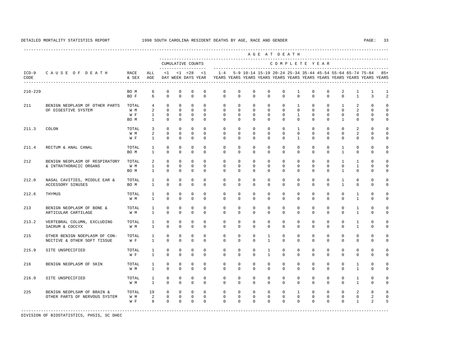---------------------------------------------------------------------------------------------------------------------------------------------------- A G E A T D E A T H --------------------------------------------------------------------------------------------- CUMULATIVE COUNTS C O M P L E T E Y E A R ------------------- ----------------------------------------------------------------------- ICD-9 C A U S E O F D E A T H RACE ALL <1 <1 <28 <1 1-4 5-9 10-14 15-19 20-24 25-34 35-44 45-54 55-64 65-74 75-84 85+ CODE & SEX AGE DAY WEEK DAYS YEAR YEARS YEARS YEARS YEARS YEARS YEARS YEARS YEARS YEARS YEARS YEARS YEARS ---------------------------------------------------------------------------------------------------------------------------------------------------- 210-229 BO M 6 0 0 0 0 0 0 0 0 0 1 0 0 2 1 1 1 BOF 6 0 0 0 0 0 0 0 0 0 0 0 0 0 1 3 2 211 BENIGN NEOPLASM OF OTHER PARTS TOTAL 4 0 0 0 0 0 0 0 0 0 1 0 0 1 2 0 0 OF DIGESTIVE SYSTEM WM 2 0 0 0 0 0 0 0 0 0 0 0 0 0 2 0 0 W F 1 0 0 0 0 0 0 0 0 0 1 0 0 0 0 0 0 BO M 1 0 0 0 0 0 0 0 0 0 0 0 0 1 0 0 0 211.3 COLON TOTAL 3 0 0 0 0 0 0 0 0 0 1 0 0 0 2 0 0 W M 2 0 0 0 0 0 0 0 0 0 0 0 0 0 2 0 0 W F 1 0 0 0 0 0 0 0 0 0 1 0 0 0 0 0 0 211.4 RECTUM & ANAL CANAL TOTAL 1 0 0 0 0 0 0 0 0 0 0 0 0 1 0 0 0 BO M 1 0 0 0 0 0 0 0 0 0 0 0 0 1 0 0 0 212 BENIGN NEOPLASM OF RESPIRATORY TOTAL 2 0 0 0 0 0 0 0 0 0 0 0 0 0 0 1 1 0 0<br>& INTRATHORACIC ORGANS W M 1 0 0 0 0 0 0 0 0 0 0 0 0 0 0 1 0 0 & INTRATHORACIC ORGANS W M 1 0 0 0 0 0 0 0 0 0 0 0 0 0 1 0 0 BO M 1 0 0 0 0 0 0 0 0 0 0 0 0 1 0 0 0 212.0 NASAL CAVITIES, MIDDLE EAR & TOTAL 1 0 0 0 0 0 0 0 0 0 0 0 0 1 0 0 0 ACCESSORY SINUSES BO M 1 0 0 0 0 0 0 0 0 0 0 0 0 1 0 0 0 212.6 THYMUS TOTAL 1 0 0 0 0 0 0 0 0 0 0 0 0 0 1 0 0 W M 1 0 0 0 0 0 0 0 0 0 0 0 0 0 1 0 0 213 BENIGN NEOPLASM OF BONE & TOTAL 1 0 0 0 0 0 0 0 0 0 0 0 0 0 1 0 0 ARTICULAR CARTILAGE W M 1 0 0 0 0 0 0 0 0 0 0 0 0 0 0 1 0 0 213.2 VERTEBRAL COLUMN, EXCLUDING TOTAL 1 0 0 0 0 0 0 0 0 0 0 0 0 0 0 0 0 1 0 0<br>SACRUM & COCCYX WM 1 0 0 0 0 0 0 0 0 0 0 0 0 0 0 1 0 0 SACRUM & COCCYX W M 1 0 0 0 0 0 0 0 0 0 0 0 0 0 1 0 0 215 OTHER BENIGN NOEPLASM OF CON- TOTAL 1 0 0 0 0 0 0 0 1 0 0 0 0 0 0 0 0 NECTIVE & OTHER SOFT TISSUE W F 1 0 0 0 0 0 0 0 1 0 0 0 0 0 0 0 0 215.9 SITE UNSPECIFIED TOTAL 1 0 0 0 0 0 0 0 1 0 0 0 0 0 0 0 0 W F 1 0 0 0 0 0 0 0 1 0 0 0 0 0 0 0 0 216 BENIGN NEOPLASM OF SKIN TOTAL 1 0 0 0 0 0 0 0 0 0 0 0 0 0 1 0 0 W M 1 0 0 0 0 0 0 0 0 0 0 0 0 0 1 0 0 216.9 SITE UNSPECIFIED TOTAL 1 0 0 0 0 0 0 0 0 0 0 0 0 0 1 0 0 W M 1 0 0 0 0 0 0 0 0 0 0 0 0 0 1 0 0 225 BENIGN NEOPLSAM OF BRAIN & TOTAL 19 0 0 0 0 0 0 0 0 0 1 0 0 0 2 8 8 OTHER PARTS OF NERVOUS SYSTEM W M 2 0 0 0 0 0 0 0 0 0 0 0 0 0 0 2 0 W F 8 0 0 0 0 0 0 0 0 0 0 0 0 0 1 2 5 -----------------------------------------------------------------------------------------------------------------------------------------------------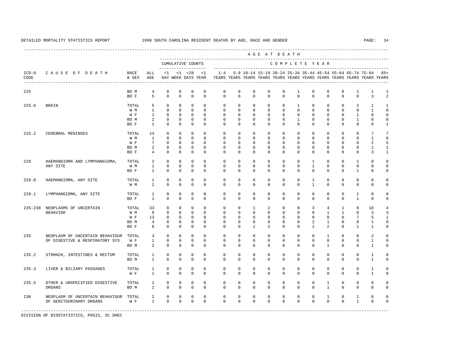|                 |                                 |               |                              |                            |                            |                                    |              |             |             |              |              | AGE AT DEATH |              |                   |                |               |                                                           |                                                                         |                |
|-----------------|---------------------------------|---------------|------------------------------|----------------------------|----------------------------|------------------------------------|--------------|-------------|-------------|--------------|--------------|--------------|--------------|-------------------|----------------|---------------|-----------------------------------------------------------|-------------------------------------------------------------------------|----------------|
|                 |                                 |               |                              |                            |                            | CUMULATIVE COUNTS                  |              |             |             |              |              |              |              |                   | COMPLETE YEAR  |               |                                                           |                                                                         |                |
| $ICD-9$<br>CODE | CAUSE OF DEATH                  | RACE<br>& SEX | ALL<br>AGE                   | $<$ 1                      |                            | $< 1$ $< 28$<br>DAY WEEK DAYS YEAR | <1           | $1 - 4$     |             |              |              |              |              |                   |                |               | 5-9 10-14 15-19 20-24 25-34 35-44 45-54 55-64 65-74 75-84 | YEARS YEARS YEARS YEARS YEARS YEARS YEARS YEARS YEARS YEARS YEARS YEARS | $85+$          |
| 225             |                                 | BO M          | 4                            | $\mathbb O$                | $\mathbf 0$                | $\mathbb O$                        | $\mathbf 0$  | $\mathbf 0$ | $\mathbf 0$ | 0            | $\mathbf 0$  | $\mathsf{O}$ | 1            | $\mathbf 0$       | $\mathbb O$    | $\mathbf 0$   | 1                                                         | 1                                                                       | 1              |
|                 |                                 | BO F          | 5                            | $\mathbf{0}$               | $\mathbf{0}$               | $\mathbf{0}$                       | $\mathbf 0$  | $\mathbf 0$ | $\mathbf 0$ | $\mathbf 0$  | $\circ$      | $\mathbf 0$  | $\mathbf 0$  | $\mathbf 0$       | $\mathbf 0$    | $\circ$       | $\mathbf 0$                                               | 3                                                                       | $\overline{a}$ |
| 225.0           | <b>BRAIN</b>                    | TOTAL         | 5                            | $\mathbf 0$                | $\mathbf 0$                | $\mathbf 0$                        | $\mathbf 0$  | $^{\circ}$  | $^{\circ}$  | $\mathbf 0$  | $\mathbf 0$  | $\mathbf 0$  | $\mathbf{1}$ | $\mathbf 0$       | $\mathbf{0}$   | $\mathbf{0}$  | 2                                                         | $\mathbf{1}$                                                            | $\mathbf{1}$   |
|                 |                                 | W M           | $\mathbf{1}$                 | $\mathbf{0}$               | $\mathbf{0}$               | $\mathbf{0}$                       | $\Omega$     | $\Omega$    | $\Omega$    | $\mathbf 0$  | $\Omega$     | $\Omega$     | $\Omega$     | $\Omega$          | $\mathbf 0$    | $\mathbf 0$   | $\mathbf 0$                                               | $\mathbf{1}$                                                            | $\mathbf 0$    |
|                 |                                 | W F           | $\mathbf{1}$                 | $\mathbf 0$                | $^{\circ}$                 | $\mathbf 0$                        | $\mathbf 0$  | $^{\circ}$  | $^{\circ}$  | $\mathbf{0}$ | $\Omega$     | 0            | 0            | $\Omega$          | $\Omega$       | 0             | 1                                                         | $\Omega$                                                                | $\Omega$       |
|                 |                                 | BO M          | 2                            | $\mathbb O$                | $\mathbf 0$                | $\mathbf 0$                        | $\mathbf 0$  | $^{\circ}$  | $^{\circ}$  | $\mathbf{0}$ | $\mathbf{0}$ | $\Omega$     | $\mathbf{1}$ | $\Omega$          | $\Omega$       | $\Omega$      | $\mathbf{1}$                                              | $\Omega$                                                                | $\mathbf 0$    |
|                 |                                 | BO F          | $\mathbf{1}$                 | $\Omega$                   | $\Omega$                   | $\mathbf 0$                        | $\Omega$     | $\Omega$    | $\Omega$    | $\Omega$     | $\Omega$     | $\Omega$     | $\Omega$     | $\Omega$          | $\Omega$       | $\Omega$      | $\Omega$                                                  | $\Omega$                                                                | $\mathbf{1}$   |
| 225.2           | CEREBRAL MENINGES               | TOTAL         | 14                           | $\mathbf{0}$               | $\mathbf 0$                | $\mathbf 0$                        | $\Omega$     | $\Omega$    | $\Omega$    | $\Omega$     | $\Omega$     | $\Omega$     | $\Omega$     | $\Omega$          | $\Omega$       | $\Omega$      | $\Omega$                                                  | 7                                                                       | $\overline{7}$ |
|                 |                                 | W M           | $\mathbf{1}$                 | $\mathbf 0$                | $^{\circ}$                 | $\mathbf 0$                        | $\mathbf 0$  | 0           | 0           | $\mathbf{0}$ | 0            | 0            | 0            | 0                 | 0              | 0             | 0                                                         | 1                                                                       | $\mathbf 0$    |
|                 |                                 | W F           | $7\phantom{.0}$              | 0                          | 0                          | 0                                  | 0            | 0           | 0           | 0            | 0            | 0            | 0            | 0                 | 0              | 0             | 0                                                         | 2                                                                       | 5              |
|                 |                                 | BO M          | 2                            | $\mathbb O$                | 0                          | $\mathbf 0$                        | $\mathbf 0$  | 0           | 0           | 0            | $\mathbf{0}$ | 0            | 0            | 0                 | 0              | 0             | 0                                                         | 1                                                                       | 1              |
|                 |                                 | BO F          | $\overline{4}$               | $\mathbf{0}$               | $^{\circ}$                 | $\mathbf{0}$                       | $\mathbf{0}$ | 0           | 0           | $\mathbf{0}$ | $\mathbf{0}$ | 0            | 0            | 0                 | 0              | 0             | 0                                                         | 3                                                                       | 1              |
| 228             | HAEMANGIOMA AND LYMPHANGIOMA,   | TOTAL         | 2                            | $\mathbb O$                | $\mathbf 0$                | 0                                  | $\mathbf 0$  | $\mathbf 0$ | $\mathbf 0$ | $\mathbf 0$  | $\mathbf 0$  | 0            | 0            | 1                 | 0              | 0             | 1                                                         | $\mathbf 0$                                                             | $\mathbf 0$    |
|                 | ANY SITE                        | W M           | $\mathbf{1}$                 | $\mathbf 0$                | $^{\circ}$                 | $^{\circ}$                         | $\circ$      | 0           | $^{\circ}$  | $\mathbf{0}$ | 0            | 0            | 0            | $\mathbf{1}$      | 0              | 0             | 0                                                         | 0                                                                       | $\mathbf 0$    |
|                 |                                 | BO F          | 1                            | $\mathbf 0$                | $\mathbf 0$                | $\mathbb O$                        | $\mathbf{0}$ | $\Omega$    | $^{\circ}$  | $\Omega$     | $\Omega$     | $\Omega$     | $\Omega$     | $\Omega$          | $\Omega$       | $\Omega$      | 1                                                         | $\Omega$                                                                | $\mathbf 0$    |
|                 |                                 |               |                              |                            |                            |                                    | $\mathbf 0$  | $\mathbf 0$ | $\mathbf 0$ | $\mathbf 0$  | $\mathbf 0$  | $\mathbf 0$  | 0            |                   | $\mathbf 0$    |               | 0                                                         | $\mathbf 0$                                                             | $\Omega$       |
| 228.0           | HAEMANGIOMA, ANY SITE           | TOTAL<br>W M  | $\mathbf{1}$<br>$\mathbf{1}$ | $\mathbb O$<br>$\mathbf 0$ | $\mathbf 0$<br>$\mathbf 0$ | $\mathbb O$<br>$\mathbf 0$         | $\mathbf 0$  | $\Omega$    | $\mathbf 0$ | $\Omega$     | $\mathbf 0$  | $\Omega$     | 0            | 1<br>$\mathbf{1}$ | $\Omega$       | 0<br>$\Omega$ | 0                                                         | $\Omega$                                                                | $\mathbf 0$    |
|                 |                                 |               |                              |                            |                            |                                    |              |             |             |              |              |              |              |                   |                |               |                                                           |                                                                         |                |
| 228.1           | LYMPHANGIOMA, ANY SITE          | TOTAL         | 1                            | $\mathbf 0$                | $\mathbb O$                | $\mathbb O$                        | $\mathbf 0$  | $\mathbf 0$ | $\mathbf 0$ | $\mathbf 0$  | $\mathbf 0$  | $\mathbf 0$  | $\mathbf 0$  | $\mathbf 0$       | $\mathbf 0$    | $\mathbf 0$   | $\mathbf{1}$                                              | $\mathbf 0$                                                             | $\mathbf 0$    |
|                 |                                 | BO F          | $\mathbf{1}$                 | $\mathbf 0$                | $\mathbf 0$                | $\mathbf 0$                        | $\Omega$     | $\Omega$    | $\Omega$    | $\Omega$     | $\Omega$     | $\Omega$     | $\Omega$     | $\Omega$          | $\Omega$       | $\Omega$      | $\mathbf{1}$                                              | $\Omega$                                                                | $\mathbf 0$    |
| $235 - 238$     | NEOPLASMS OF UNCERTAIN          | TOTAL         | 33                           | $\mathbf 0$                | $\mathbf 0$                | $\mathbf 0$                        | $\mathbf{0}$ | $\mathbf 0$ | $\mathbf 0$ | 1            | 2            | $\Omega$     | $\mathbf 0$  | 3                 | $\overline{4}$ | 1             | 8                                                         | 10                                                                      | 4              |
|                 | <b>BEHAVIOR</b>                 | W M           | 8                            | $\mathbf 0$                | $\mathbf{0}$               | $\mathbf{0}$                       | $\Omega$     | $\Omega$    | $\Omega$    | $\Omega$     | $\Omega$     | $\Omega$     | $\Omega$     | $\Omega$          | $\mathbf{1}$   | $\mathbf{1}$  | $\Omega$                                                  | 3                                                                       | 3              |
|                 |                                 | W F           | 13                           | $\mathbf 0$                | $\mathbf 0$                | $\mathbf 0$                        | $\mathbf 0$  | $\mathbf 0$ | $\Omega$    | $\Omega$     | $\Omega$     | $\Omega$     | $\Omega$     | $\Omega$          | $\mathbf{0}$   | $\Omega$      | 7                                                         | 5                                                                       | $\mathbf{1}$   |
|                 |                                 | BO M          | $\overline{4}$               | $\mathbf 0$                | $\mathbf 0$                | $\mathbb O$                        | $\mathbf{0}$ | 0           | $^{\circ}$  | $\mathbf 0$  | $\mathbf 0$  | $\Omega$     | $\Omega$     | 2                 | $\mathbf{1}$   | $\Omega$      | 0                                                         | $\mathbf{1}$                                                            | $\Omega$       |
|                 |                                 | BO F          | 8                            | $\mathbb O$                | $\mathbf 0$                | $\mathbb O$                        | $\mathbf{0}$ | 0           | 0           | 1            | 2            | 0            | 0            | 1                 | 2              | 0             | 1                                                         | 1                                                                       | 0              |
| 235             | NEOPLASM OF UNCERTAIN BEHAVIOUR | TOTAL         | 3                            | $\mathbf 0$                | 0                          | 0                                  | $\mathbf{0}$ | 0           | $^{\circ}$  | $\mathbf 0$  | $\mathbf{0}$ | 0            | 0            | $^{\circ}$        | 1              | 0             | 0                                                         | 2                                                                       | $\mathbf 0$    |
|                 | OF DIGESTIVE & RESPIRATORY SYS  | W F           | $\mathbf{1}$                 | $\mathbf 0$                | $\mathbf{0}$               | $\mathbf 0$                        | $\mathbf 0$  | 0           | 0           | $\mathbf{0}$ | 0            | 0            | 0            | $\mathbf{0}$      | $\mathbf{0}$   | 0             | 0                                                         | 1                                                                       | $\mathbf 0$    |
|                 |                                 | BO M          | 2                            | $\mathbb O$                | $\mathbf 0$                | $\mathbb O$                        | $\mathbf{0}$ | $^{\circ}$  | $^{\circ}$  | $\mathbf{0}$ | $\mathbf{0}$ | 0            | 0            | 0                 | 1              | 0             | 0                                                         | $\mathbf{1}$                                                            | $\mathsf 0$    |
| 235.2           | STOMACH, INTESTINES & RECTUM    | TOTAL         | 1                            | $\mathbb O$                | $\mathbf 0$                | $\mathbb O$                        | $\mathbf 0$  | $\mathbf 0$ | $\mathbf 0$ | $\mathbf 0$  | $\mathbf 0$  | $\mathbf 0$  | $\mathbf 0$  | $\mathbf 0$       | 0              | $\mathbf{0}$  | 0                                                         | $\mathbf{1}$                                                            | $\mathbf 0$    |
|                 |                                 | BO M          | $\mathbf{1}$                 | $\mathbf{0}$               | $\mathbf 0$                | $\mathbb O$                        | $\mathbf 0$  | $\mathbf 0$ | $\mathbf 0$ | $\mathbf 0$  | $\mathbf 0$  | $\mathbf 0$  | 0            | 0                 | $\mathbf 0$    | 0             | 0                                                         | $\mathbf{1}$                                                            | $\mathsf 0$    |
|                 |                                 |               |                              |                            |                            |                                    |              |             |             |              |              |              |              |                   |                |               |                                                           |                                                                         |                |
| 235.3           | LIVER & BILIARY PASSAGES        | TOTAL         | $\mathbf{1}$                 | $\mathbb O$                | $\mathbf 0$                | $\mathbf{0}$                       | $\mathbf 0$  | $\mathbf 0$ | $\mathbf 0$ | $\mathbf 0$  | $\mathbf 0$  | 0            | 0            | $\mathbf 0$       | $\mathbf 0$    | $\mathbf{0}$  | 0                                                         | $\mathbf{1}$                                                            | $\mathbf 0$    |
|                 |                                 | W F           | $\mathbf{1}$                 | $\mathbf 0$                | $\mathbf 0$                | $\mathbb O$                        | $\mathbf{0}$ | $\mathbf 0$ | $\mathbf 0$ | $\mathbf 0$  | $\mathbf 0$  | $\Omega$     | 0            | $\Omega$          | $\mathbf 0$    | $\Omega$      | 0                                                         | $\mathbf{1}$                                                            | $\mathbf 0$    |
| 235.5           | OTHER & UNSPECIFIED DIGESTIVE   | TOTAL         | $\mathbf{1}$                 | $\mathbb O$                | $\mathbf 0$                | $\mathbf 0$                        | $\mathbf 0$  | $\mathbf 0$ | $\mathbf 0$ | $\mathbf 0$  | $\mathbf 0$  | $\mathbf 0$  | 0            | $\mathbf 0$       | $\mathbf{1}$   | $\mathbf 0$   | 0                                                         | $\mathbf 0$                                                             | $\mathbf 0$    |
|                 | ORGANS                          | BO M          | $\mathbf{1}$                 | $\mathbf 0$                | $\mathbf 0$                | $\mathbf{0}$                       | $\mathbf 0$  | $\mathbf 0$ | $\mathbf 0$ | $\mathbf 0$  | $\mathbf 0$  | $\Omega$     | 0            | $\Omega$          | $\mathbf{1}$   | $\Omega$      | 0                                                         | $\Omega$                                                                | $\mathbf 0$    |
| 236             | NEOPLASM OF UNCERTAIN BEHAVIOUR | TOTAL         | 2                            | $\mathbf 0$                | $\mathbf 0$                | $\mathbf 0$                        | $\mathbf 0$  | $\mathbf 0$ | $\mathbf 0$ | $\mathbf 0$  | $\mathbf 0$  | $\mathbf 0$  | 0            | $\mathbf 0$       | $\mathbf{1}$   | $\mathbf 0$   | $\mathbf{1}$                                              | $\mathbf 0$                                                             | $\mathbf 0$    |
|                 | OF GENITOURINARY ORGANS         | W F           | $\mathbf{1}$                 | $\mathbf{0}$               | $\mathbf 0$                | $\mathbf{0}$                       | $\Omega$     | $\Omega$    | $\Omega$    | $\Omega$     | $\Omega$     | $\Omega$     | $\Omega$     | $\Omega$          | $\Omega$       | $\Omega$      | $\mathbf{1}$                                              | $\Omega$                                                                | $\mathbf 0$    |
|                 |                                 |               |                              |                            |                            |                                    |              |             |             |              |              |              |              |                   |                |               |                                                           |                                                                         |                |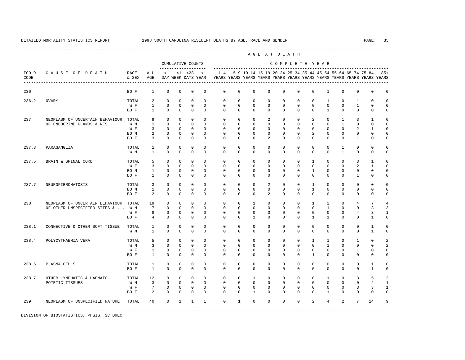|                 |                                                              |               |                              |                         |                          | ------------------                 |                         |                         |                            |                             |                   |                      | AGE AT DEATH            |                            |                                                           |                                  |                             |                            |                                                                                  |
|-----------------|--------------------------------------------------------------|---------------|------------------------------|-------------------------|--------------------------|------------------------------------|-------------------------|-------------------------|----------------------------|-----------------------------|-------------------|----------------------|-------------------------|----------------------------|-----------------------------------------------------------|----------------------------------|-----------------------------|----------------------------|----------------------------------------------------------------------------------|
|                 |                                                              |               |                              |                         |                          | CUMULATIVE COUNTS                  |                         |                         |                            |                             |                   |                      |                         |                            | COMPLETE YEAR                                             |                                  |                             |                            |                                                                                  |
| $ICD-9$<br>CODE | CAUSE OF DEATH                                               | RACE<br>& SEX | ALL<br>AGE                   | <1                      |                          | $< 1$ $< 28$<br>DAY WEEK DAYS YEAR | <1                      | $1 - 4$                 |                            |                             |                   |                      |                         |                            | 5-9 10-14 15-19 20-24 25-34 35-44 45-54 55-64 65-74 75-84 |                                  |                             |                            | $85+$<br>YEARS YEARS YEARS YEARS YEARS YEARS YEARS YEARS YEARS YEARS YEARS YEARS |
| 236             |                                                              | BO F          | $\mathbf{1}$                 | $\mathbf 0$             | 0                        | $\mathbf 0$                        | $\mathbf 0$             | $\mathbf 0$             | $\mathbf 0$                | 0                           | $\mathbf 0$       | 0                    | $\mathbf 0$             | $\mathbf 0$                | $\mathbf{1}$                                              | 0                                | 0                           | $\mathsf 0$                | $\Omega$                                                                         |
| 236.2           | <b>OVARY</b>                                                 | TOTAL         | 2                            | $\mathbf 0$             | $\Omega$                 | $\mathbf{0}$                       | $\Omega$                | $\Omega$                | $\mathbf 0$                | $\Omega$                    | $\Omega$          | $\mathbf 0$          | $\mathbf 0$             | $\mathbf 0$                | $\mathbf{1}$                                              | $\Omega$                         | $\mathbf{1}$                | $\Omega$                   |                                                                                  |
|                 |                                                              | W F<br>BO F   | $\mathbf{1}$<br>$\mathbf{1}$ | $\mathsf 0$<br>$\Omega$ | $\mathbf{0}$<br>$\Omega$ | $\mathbf{0}$<br>$\Omega$           | $\mathbf 0$<br>$\Omega$ | $\mathbf 0$<br>$\Omega$ | $\mathbf 0$<br>$\mathbf 0$ | $\mathbf 0$<br>$\mathbf{0}$ | 0<br>$\mathbf{0}$ | 0<br>$\Omega$        | $\mathbf 0$<br>$\Omega$ | $\mathbf 0$<br>$\Omega$    | $\mathbb O$<br>$\mathbf{1}$                               | 0<br>$\mathbf 0$                 | $\mathbf{1}$<br>$\mathbf 0$ | $\mathsf 0$<br>$\mathbf 0$ | $\Omega$                                                                         |
|                 |                                                              |               |                              |                         |                          |                                    |                         |                         |                            |                             |                   |                      |                         |                            |                                                           |                                  |                             |                            |                                                                                  |
| 237             | NEOPLASM OF UNCERTAIN BEHAVIOUR<br>OF ENDOCRINE GLANDS & NES | TOTAL<br>W M  | 9<br>$\mathbf{1}$            | $\Omega$<br>$\Omega$    | $\Omega$<br>$\Omega$     | $\Omega$<br>$\Omega$               | $\Omega$<br>$\Omega$    | $\Omega$<br>$\Omega$    | $\mathbf 0$<br>$\Omega$    | $\Omega$<br>$\Omega$        | 2<br>$\Omega$     | $\Omega$<br>$\Omega$ | $\Omega$<br>$\Omega$    | $\overline{2}$<br>$\Omega$ | $\Omega$<br>$\Omega$                                      | $\overline{1}$<br>$\overline{1}$ | 3<br>$\Omega$               | $\mathbf{1}$<br>$\Omega$   |                                                                                  |
|                 |                                                              | W F           | $\overline{3}$               | $\mathbf 0$             | $\Omega$                 | $\mathbf 0$                        | $\Omega$                | $\Omega$                | $\mathbf 0$                | $\mathbf 0$                 | $\mathbf{0}$      | $\mathbf 0$          | $\mathbf 0$             | $\mathbf 0$                | $\Omega$                                                  | $\Omega$                         | $\overline{a}$              | 1                          |                                                                                  |
|                 |                                                              | BO M          | 2                            | $\mathbf 0$             | $\Omega$                 | $\mathbf{0}$                       | $\Omega$                | $\mathbf 0$             | $\mathbf 0$                | $\mathbf 0$                 | $\mathbf 0$       | $\mathbf 0$          | $\mathbf 0$             | 2                          | $\Omega$                                                  | 0                                | 0                           | $\mathbf 0$                |                                                                                  |
|                 |                                                              | BO F          | 3                            | $\mathbf 0$             | $\mathbf 0$              | $\mathbf{0}$                       | $\Omega$                | $^{\circ}$              | 0                          | $\mathbf 0$                 | 2                 | $\mathbf 0$          | $\mathbf 0$             | $\mathbf 0$                | $\mathbf 0$                                               | 0                                | $\mathbf{1}$                | 0                          |                                                                                  |
| 237.3           | PARAGANGLIA                                                  | TOTAL         | 1                            | $\mathbf 0$             | $\mathbf 0$              | $\mathbf 0$                        | 0                       | $^{\circ}$              | $^{\circ}$                 | $\mathbf{0}$                | $^{\circ}$        | $\mathbf 0$          | 0                       | 0                          | 0                                                         | $\mathbf{1}$                     | 0                           | $\mathbf 0$                |                                                                                  |
|                 |                                                              | W M           | $\mathbf{1}$                 | $\mathbf 0$             | $\mathbf 0$              | $\mathbf{0}$                       | $\mathbf 0$             | $\mathbf 0$             | $\mathbf 0$                | $\mathbf 0$                 | $\mathbf{0}$      | $\mathbf 0$          | $\mathbf 0$             | $\mathbf 0$                | $\mathbf 0$                                               | 1                                | 0                           | $\mathbf 0$                | $\Omega$                                                                         |
| 237.5           | BRAIN & SPINAL CORD                                          | TOTAL         | 5                            | $\mathbf 0$             | $\mathbf{0}$             | $\mathbf 0$                        | $\Omega$                | $\mathbf 0$             | $\mathbf 0$                | $\mathbf 0$                 | $\mathbf 0$       | $\mathbf 0$          | $\mathbf 0$             | $\mathbf{1}$               | $\mathbf 0$                                               | $\mathbf 0$                      | 3                           | 1                          |                                                                                  |
|                 |                                                              | W F           | 3                            | $\mathbf 0$             | $\mathbf 0$              | $\mathbf{0}$                       | $\mathbf 0$             | $\mathbf 0$             | $\mathbf 0$                | $\mathbf 0$                 | $\mathbf{0}$      | $\mathbf 0$          | $\mathbf 0$             | $\mathbf 0$                | $\mathbf 0$                                               | 0                                | 2                           | 1                          |                                                                                  |
|                 |                                                              | BO M          | 1                            | $\mathbf 0$             | $\mathbf 0$              | $\mathbf{0}$                       | $\Omega$                | $^{\circ}$              | 0                          | $\mathbf 0$                 | $\mathbf 0$       | $\mathbf 0$          | $\mathbf 0$             | $\mathbf{1}$               | $\Omega$                                                  | $\Omega$                         | 0                           | $\Omega$                   |                                                                                  |
|                 |                                                              | BO F          | $\mathbf{1}$                 | $\mathbf 0$             | $\mathbf{0}$             | $\Omega$                           | $\Omega$                | $\Omega$                | $\mathbf 0$                | $\Omega$                    | $\mathbf 0$       | $\Omega$             | $\mathbf 0$             | $\Omega$                   | $\mathbf 0$                                               | 0                                | $\mathbf{1}$                | $\mathbf 0$                |                                                                                  |
| 237.7           | NEUROFIBROMATOSIS                                            | TOTAL         | 3                            | $\mathbf 0$             | $\mathbf{0}$             | $\mathbf 0$                        | $\mathbf 0$             | $\mathbf 0$             | $\mathbf 0$                | $\mathbf 0$                 | 2                 | $\mathbf 0$          | $\mathbf 0$             | 1                          | $\mathbf 0$                                               | 0                                | $\mathbf 0$                 | $\mathbf 0$                |                                                                                  |
|                 |                                                              | BO M          | $\mathbf{1}$                 | $\mathbf 0$             | $\Omega$                 | $\mathbf{0}$                       | $\Omega$                | $\mathbf 0$             | $\mathbf 0$                | $\Omega$                    | $\Omega$          | $\mathbf 0$          | $\mathbf 0$             | $\mathbf{1}$               | 0                                                         | 0                                | 0                           | $\mathbf 0$                |                                                                                  |
|                 |                                                              | BO F          | 2                            | $\mathbf 0$             | $\mathbf{0}$             | $\mathbf{0}$                       | $\mathbf 0$             | $\mathbf 0$             | $\mathbf 0$                | $\mathbf 0$                 | 2                 | $\mathbf 0$          | $\mathbf 0$             | $\mathbf 0$                | $\mathbf 0$                                               | $\mathbf 0$                      | $\mathbf 0$                 | $\mathbf 0$                | $\Omega$                                                                         |
| 238             | NEOPLASM OF UNCERTAIN BEHAVIOUR                              | TOTAL         | 19                           | $\Omega$                | $\Omega$                 | $\Omega$                           | $\Omega$                | $\Omega$                | $\Omega$                   | $\mathbf{1}$                | $\Omega$          | $\Omega$             | $\Omega$                | $\mathbf{1}$               | 2                                                         | $\Omega$                         | $\overline{4}$              | 7                          |                                                                                  |
|                 | OF OTHER UNSPECIFIED SITES &  W M                            |               | $7\overline{ }$              | $\mathbf 0$             | $\Omega$                 | $\Omega$                           | $\Omega$                | $\mathbf 0$             | $\mathbf 0$                | $\Omega$                    | $\mathbf 0$       | $\mathbf 0$          | $\mathbf 0$             | $\Omega$                   | $\mathbf{1}$                                              | 0                                | 0                           | 3                          |                                                                                  |
|                 |                                                              | W F           | 8                            | $\mathbf 0$             | $\mathbf 0$              | $\Omega$                           | $\Omega$                | $\Omega$                | $\mathbf 0$                | $\mathbf 0$                 | $\Omega$          | $\mathbf 0$          | $\Omega$                | $\mathbf 0$                | $\mathbf 0$                                               | $\mathbf 0$                      | $\overline{4}$              | 3                          |                                                                                  |
|                 |                                                              | BO F          | 4                            | $\mathbf 0$             | 0                        | $\mathbf 0$                        | $\Omega$                | $\Omega$                | $\mathbf 0$                | 1                           | $\mathbf 0$       | $\Omega$             | $\Omega$                | $\mathbf{1}$               | $\mathbf{1}$                                              | $\Omega$                         | 0                           | $\mathbf{1}$               |                                                                                  |
| 238.1           | CONNECTIVE & OTHER SOFT TISSUE                               | TOTAL         | 1                            | $\mathsf 0$             | $\mathbb O$              | $\mathbb O$                        | $\mathbf 0$             | $\mathbf 0$             | $\mathbf 0$                | 0                           | $\mathbf 0$       | 0                    | $\mathbf 0$             | $\mathbf 0$                | 0                                                         | 0                                | 0                           | $\mathbf{1}$               | 0                                                                                |
|                 |                                                              | W M           | 1                            | $\mathbf{0}$            | $\mathbf 0$              | $\mathbf 0$                        | $\mathbf 0$             | $^{\circ}$              | $\mathbf 0$                | $\mathbf 0$                 | $\mathbf 0$       | $\mathbf 0$          | $\mathbf 0$             | $\mathbf 0$                | $\mathbf{0}$                                              | $\mathbf 0$                      | 0                           | $\mathbf{1}$               | $\Omega$                                                                         |
| 238.4           | POLYCYTHAEMIA VERA                                           | TOTAL         | 5                            | $\mathbf 0$             | $\mathbf{0}$             | $\mathbf{0}$                       | $\Omega$                | $\mathbf 0$             | $\mathbf 0$                | $\mathbf 0$                 | $\mathbf 0$       | $\mathbf 0$          | $^{\circ}$              | 1                          | $\mathbf{1}$                                              | 0                                | $\mathbf{1}$                | $\mathbf 0$                |                                                                                  |
|                 |                                                              | W M           | 3                            | $\mathsf 0$             | $\mathbf{0}$             | $\mathbf{0}$                       | $\Omega$                | $\mathbf 0$             | $\mathbf 0$                | $\mathbf 0$                 | $\mathbf{0}$      | 0                    | $\mathbf 0$             | $\mathbf 0$                | $\mathbf{1}$                                              | $\mathbf 0$                      | 0                           | $\mathbf 0$                | $\mathfrak{D}$                                                                   |
|                 |                                                              | W F           | 1                            | $\mathbf{0}$            | $\mathbf 0$              | $\mathbf 0$                        | 0                       | 0                       | $^{\circ}$                 | $\mathbf{0}$                | $\mathbf{0}$      | 0                    | 0                       | 0                          | 0                                                         | 0                                | 1                           | 0                          |                                                                                  |
|                 |                                                              | BO F          | 1                            | $\mathbf{0}$            | $\mathbf 0$              | $\mathbf 0$                        | $\Omega$                | $\Omega$                | $^{\circ}$                 | $\mathbf 0$                 | $\mathbf 0$       | $\mathbf 0$          | $\mathbf 0$             | $\mathbf{1}$               | $\mathbf{0}$                                              | 0                                | 0                           | $\mathbf 0$                | n                                                                                |
| 238.6           | PLASMA CELLS                                                 | TOTAL         | 1                            | $\mathbf{0}$            | $\mathbf 0$              | $\mathbf 0$                        | $\Omega$                | $\mathbf 0$             | $\mathbf 0$                | $\mathbf 0$                 | $\mathbf 0$       | $\mathbf 0$          | $\mathbf 0$             | $\mathbf 0$                | $\mathbf{0}$                                              | 0                                | 0                           | 1                          |                                                                                  |
|                 |                                                              | BO F          | $\mathbf{1}$                 | $\mathbf{0}$            | $\mathbf 0$              | $\mathbf 0$                        | $\mathbf 0$             | $\mathbf 0$             | $\mathbf 0$                | $\mathbf 0$                 | $\mathbf{0}$      | $\mathbf 0$          | $\mathbf 0$             | $\mathbf 0$                | $\mathbf{0}$                                              | $\mathbf 0$                      | 0                           | $\mathbf{1}$               | $\Omega$                                                                         |
| 238.7           | OTHER LYMPHATIC & HAEMATO-                                   | TOTAL         | 12                           | $\mathbf 0$             | $\mathbf{0}$             | $\mathbf{0}$                       | $\Omega$                | $\mathbf 0$             | $\mathbf 0$                | $\mathbf{1}$                | $\mathbf 0$       | $\mathbf 0$          | $\mathbf 0$             | $\mathbf 0$                | 1                                                         | $\mathbf 0$                      | 3                           | 5                          |                                                                                  |
|                 | POIETIC TISSUES                                              | W M           | 3                            | $\mathbf 0$             | $\mathbf 0$              | $\mathbf 0$                        | $\Omega$                | $\mathbf 0$             | $\mathbf 0$                | $\mathbf{0}$                | $\mathbf 0$       | $\mathbf 0$          | $\mathbf 0$             | $\mathbf 0$                | $\mathbf 0$                                               | $\mathbf 0$                      | $\mathbf 0$                 | $\mathfrak{D}$             |                                                                                  |
|                 |                                                              | W F           | $7\phantom{.0}$              | $\mathbf{0}$            | $\mathbf 0$              | $\mathbf{0}$                       | $\Omega$                | $\Omega$                | $^{\circ}$                 | $\mathbf 0$                 | $\mathbf 0$       | 0                    | 0                       | 0                          | $\mathbf{0}$                                              | 0                                | 3                           | 3                          |                                                                                  |
|                 |                                                              | BO F          | 2                            | $\Omega$                | $\Omega$                 | $\Omega$                           | $\Omega$                | $\Omega$                | $\Omega$                   | $\mathbf{1}$                | $\Omega$          | $\Omega$             | $\Omega$                | $\Omega$                   | $\overline{1}$                                            | $\Omega$                         | 0                           | $\Omega$                   |                                                                                  |
| 239             | NEOPLASM OF UNSPECIFIED NATURE                               | TOTAL         | 40                           | $\mathbf 0$             | $\mathbf{1}$             | $\mathbf{1}$                       | $\mathbf{1}$            | $\Omega$                | $\mathbf{1}$               | $\mathbf{0}$                | $\mathbf{0}$      | $\mathbf 0$          | $\mathbf 0$             | 2                          | $\overline{4}$                                            | $\overline{a}$                   | 7                           | 14                         | q                                                                                |
|                 |                                                              |               |                              |                         |                          |                                    |                         |                         |                            |                             |                   |                      |                         |                            |                                                           |                                  |                             |                            |                                                                                  |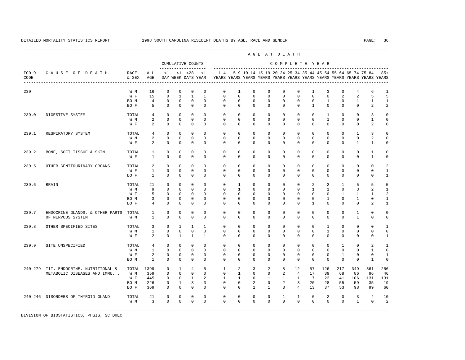A G E A T D E A T H

----------------------------------------------------------------------------------------------------------------------------------------------------

 --------------------------------------------------------------------------------------------- CUMULATIVE COUNTS C O M P L E T E Y E A R ------------------- ----------------------------------------------------------------------- ICD-9 C A U S E O F D E A T H RACE ALL <1 <1 <28 <1 1-4 5-9 10-14 15-19 20-24 25-34 35-44 45-54 55-64 65-74 75-84 85+ CODE & SEX AGE DAY WEEK DAYS YEAR YEARS YEARS YEARS YEARS YEARS YEARS YEARS YEARS YEARS YEARS YEARS YEARS ---------------------------------------------------------------------------------------------------------------------------------------------------- 239 W M 16 0 0 0 0 0 1 0 0 0 0 0 1 3 0 4 6 1<br>W F 15 0 1 1 1 0 0 0 0 0 0 0 0 2 2 5 5 W F 15 0 1 1 1 0 0 0 0 0 0 0 0 2 2 5 5 BOM 4 0 0 0 0 0 0 0 0 0 0 0 0 1 0 1 1 1 BOF 5 0 0 0 0 0 0 0 0 0 0 0 0 0 0 2 2 239.0 DIGESTIVE SYSTEM TOTAL 4 0 0 0 0 0 0 0 0 0 0 0 1 0 0 3 0 W M 2 0 0 0 0 0 0 0 0 0 0 0 1 0 0 1 0 W F 2 0 0 0 0 0 0 0 0 0 0 0 0 0 2 0 239.1 RESPIRATORY SYSTEM TOTAL 4 0 0 0 0 0 0 0 0 0 0 0 0 0 1 3 0  $2 \t 0 \t 0 \t 0 \t 0$  W F 2 0 0 0 0 0 0 0 0 0 0 0 0 0 1 1 0 239.2 BONE, SOFT TISSUE & SKIN TOTAL 1 0 0 0 0 0 0 0 0 0 0 0 0 0 0 1 0 W F 1 0 0 0 0 0 0 0 0 0 0 0 0 0 0 1 0 239.5 OTHER GENITOURINARY ORGANS TOTAL 2 0 0 0 0 0 0 0 0 0 0 0 0 0 0 0 2 W F 1 0 0 0 0 0 0 0 0 0 0 0 0 0 0 0 1 BO F 1 0 0 0 0 0 0 0 0 0 0 0 0 0 0 0 1 239.6 BRAIN TOTAL 21 0 0 0 0 0 1 0 0 0 0 2 2 1 5 5 5 W M 9 0 0 0 0 0 0 1 0 0 0 0 0 0 1 1 0 3 2 1 W F 5 0 0 0 0 0 0 0 0 0 0 0 0 0 1 1 1 2 BOM 3 0 0 0 0 0 0 0 0 0 0 0 0 1 0 1 0 1 BO F 4 0 0 0 0 0 0 0 0 0 0 1 0 0 0 2 1 239.7 ENDOCRINE GLANDS, & OTHER PARTS TOTAL 1 0 0 0 0 0 0 0 0 0 0 0 0 0 1 0 0 OF NERVOUS SYSTEM W M 1 0 0 0 0 0 0 0 0 0 0 0 0 0 1 0 0 239.8 OTHER SPECIFIED SITES TOTAL 3 0 1 1 1 0 0 0 0 0 0 0 0 1 0 0 0 1<br>
WM 1 0 0 0 0 0 0 0 0 0 0 0 0 1 0 0 0 0 W M 1 0 0 0 0 0 0 0 0 0 0 0 1 0 0 0 0 W F 2 0 1 1 1 0 0 0 0 0 0 0 0 0 0 0 1 239.9 SITE UNSPECIFIED TOTAL 4 0 0 0 0 0 0 0 0 0 0 0 0 1 0 2 1 W M 1 0 0 0 0 0 0 0 0 0 0 0 0 0 0 1 0 W F 2 0 0 0 0 0 0 0 0 0 0 0 0 0 0 1 0 0 1 0 0 1 0 0 1 0 0 1 0 0 1 0 0 1 0 0 1 0 0 1 0 0 1 0 0 1 0 0 1 0 0 1 0 0 BO M 1 0 0 0 0 0 0 0 0 0 0 0 0 0 0 1 0 240-279 III. ENDOCRINE, NUTRITIONAL & TOTAL 1399 0 1 4 5 1 2 3 2 8 12 57 126 217 349 361 256 METABOLIC DISEASES AND IMMU... W M 359 0 0 0 0 0 0 1 0 0 2 4 17 39 68 86 96 46<br>W F 445 0 0 1 2 1 1 0 1 1 1 7 22 41 106 131 131 W F 445 0 0 1 2 1 1 0 1 1 1 7 22 41 106 131 131 BO M 226 0 1 3 3 0 0 2 0 2 3 20 28 55 59 35 19 BO F 369 0 0 0 0 0 0 1 1 3 4 13 37 53 98 99 60 240-246 DISORDERS OF THYROID GLAND TOTAL 21 0 0 0 0 0 0 0 0 1 1 0 2 0 3 4 10 W M 3 0 0 0 0 0 0 0 0 0 0 0 0 0 1 0 2

-----------------------------------------------------------------------------------------------------------------------------------------------------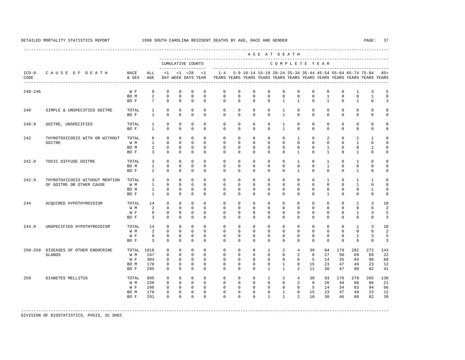| CAUSE OF DEATH<br>--------------------------------- | RACE<br>& SEX<br>W F | ALL<br>AGE                   |                          |                                                    | CUMULATIVE COUNTS<br>____________________ |                                                    |                                                                                    |                                                    |                         |                                                                                                                   |                                                                                  |                                                                       |                         |                                                            |                                            |                                                    |                                                                                          |                             |
|-----------------------------------------------------|----------------------|------------------------------|--------------------------|----------------------------------------------------|-------------------------------------------|----------------------------------------------------|------------------------------------------------------------------------------------|----------------------------------------------------|-------------------------|-------------------------------------------------------------------------------------------------------------------|----------------------------------------------------------------------------------|-----------------------------------------------------------------------|-------------------------|------------------------------------------------------------|--------------------------------------------|----------------------------------------------------|------------------------------------------------------------------------------------------|-----------------------------|
|                                                     |                      |                              |                          |                                                    |                                           |                                                    |                                                                                    |                                                    |                         |                                                                                                                   |                                                                                  |                                                                       |                         | COMPLETE YEAR                                              |                                            |                                                    |                                                                                          |                             |
|                                                     |                      |                              |                          |                                                    | $<1$ $<1$ $<28$<br>DAY WEEK DAYS YEAR     | <1                                                 | $1 - 4$<br>YEARS YEARS YEARS YEARS YEARS YEARS YEARS YEARS YEARS YEARS YEARS YEARS |                                                    |                         |                                                                                                                   |                                                                                  |                                                                       |                         |                                                            |                                            |                                                    | 5-9 10-14 15-19 20-24 25-34 35-44 45-54 55-64 65-74 75-84                                | 85+                         |
|                                                     |                      | 9                            | $\Omega$                 | $\Omega$                                           | $\Omega$                                  | $\Omega$                                           | $\Omega$                                                                           | $\Omega$                                           | $\Omega$                | $\Omega$                                                                                                          | $\Omega$                                                                         | $^{\circ}$                                                            | $\mathbf 0$             | $\Omega$                                                   | $\Omega$                                   | $\mathbf{1}$                                       | 3                                                                                        | 5                           |
|                                                     | BO M                 | 2                            | $\mathbf 0$              | $\mathbf 0$                                        | $\mathbf 0$                               | $\mathbf 0$                                        | $\mathbf 0$                                                                        | $\mathbf 0$                                        | $\mathbf 0$             | $\mathbf 0$                                                                                                       | $\mathbf 0$                                                                      | $\mathbf 0$                                                           | $\mathbf 0$             | $\mathbf{1}$                                               | $\mathbf{0}$                               | $\mathbf 0$                                        | $\mathbf{1}$                                                                             | $\mathbf 0$                 |
|                                                     | BO F                 | $7\overline{ }$              | $\Omega$                 | $\Omega$                                           | $\Omega$                                  | $\Omega$                                           | $\Omega$                                                                           | $\Omega$                                           | $\Omega$                | $\Omega$                                                                                                          | $\mathbf{1}$                                                                     | $\mathbf{1}$                                                          | $\Omega$                | $\mathbf{1}$                                               | $\Omega$                                   | $\mathbf{1}$                                       | $\Omega$                                                                                 | 3                           |
| SIMPLE & UNSPECIFIED GOITRE                         | TOTAL<br>BO F        | $\mathbf{1}$<br>$\mathbf{1}$ | $\mathbf{0}$<br>$\Omega$ | $\mathbf 0$<br>$\Omega$                            | $\mathbf 0$<br>$\Omega$                   | $\mathbf 0$<br>$\Omega$                            | $\mathbf 0$<br>$\Omega$                                                            | $\mathbf 0$<br>$\Omega$                            | $\mathbf 0$<br>$\Omega$ | $\mathbf{0}$<br>$\Omega$                                                                                          | $\mathbf{1}$<br>$\mathbf{1}$                                                     | $\mathbf 0$<br>$\Omega$                                               | $\mathbf 0$<br>$\Omega$ | $\mathbf{0}$<br>$\Omega$                                   | $\mathbf 0$<br>$\Omega$                    | $\mathbf 0$<br>$\mathbf 0$                         | $\mathbf 0$<br>$\Omega$                                                                  | 0<br>$\Omega$               |
| GOITRE, UNSPECIFIED                                 | TOTAL                | $\mathbf{1}$                 | $\mathbf 0$              | $\mathbf 0$                                        | $\mathbf 0$                               | $\mathbf 0$                                        | $\mathbf 0$                                                                        | $^{\circ}$                                         | $\mathbf 0$             | $\mathbf{0}$                                                                                                      | $\mathbf{1}$                                                                     | $\mathbf 0$                                                           | $\mathbf 0$             | $\mathbf{0}$                                               | $\circ$                                    | $\mathbf{0}$                                       | $^{\circ}$                                                                               | 0                           |
|                                                     | BO F                 | $\mathbf{1}$                 | $\Omega$                 | $\Omega$                                           | $\Omega$                                  | $\Omega$                                           | $\Omega$                                                                           | $\Omega$                                           | $\Omega$                | $\Omega$                                                                                                          | $\mathbf{1}$                                                                     | $\mathbf 0$                                                           | $\mathbf 0$             | $\mathbf{0}$                                               | $\Omega$                                   | $\mathbf 0$                                        | $\mathbf 0$                                                                              | $\mathbf 0$                 |
| THYROTOXICOSIS WITH OR WITHOUT                      | TOTAL                | 6                            | $\Omega$                 | $\Omega$                                           | $\Omega$                                  | $\Omega$                                           | $\Omega$                                                                           | $\Omega$                                           | $\Omega$                | $\Omega$                                                                                                          | $\Omega$                                                                         | $\overline{1}$                                                        | $\Omega$                | 2                                                          | $\Omega$                                   | 2                                                  | $\mathbf{1}$                                                                             | $\Omega$                    |
|                                                     | W M                  | $\mathbf{1}$                 | $\Omega$                 | $\mathbf 0$                                        | $\Omega$                                  | $\Omega$                                           | $\mathbf 0$                                                                        | $\mathbf 0$                                        | $\Omega$                | $\Omega$                                                                                                          | $\mathbf 0$                                                                      | $\mathbf 0$                                                           | $\mathbf 0$             | $\mathbf{0}$                                               | $\mathbf{0}$                               | $\mathbf{1}$                                       | $\mathbf 0$                                                                              | $\Omega$                    |
|                                                     | BO M                 | $\overline{a}$               | $\mathbf 0$              | $\mathbf 0$                                        | $\mathbf 0$                               | $\Omega$                                           | $\mathbf 0$                                                                        | $\mathbf 0$                                        | $\mathbf 0$             | $\mathbf 0$                                                                                                       | $\mathbf 0$                                                                      | $\mathbf 0$                                                           | $\mathbf 0$             | $\mathbf{1}$                                               | $\mathbf{0}$                               | $\mathbf 0$                                        | 1                                                                                        | 0                           |
|                                                     | BO F                 | 3                            | $\Omega$                 | $\Omega$                                           | $\Omega$                                  | $\Omega$                                           | $\Omega$                                                                           | $\Omega$                                           | $\Omega$                | $\Omega$                                                                                                          | $\Omega$                                                                         | $\mathbf{1}$                                                          | $\Omega$                | $\mathbf{1}$                                               | $\Omega$                                   | $\mathbf{1}$                                       | $\Omega$                                                                                 | $\Omega$                    |
| TOXIC DIFFUSE GOITRE                                | TOTAL                | 3                            | $\Omega$                 | $\mathbf 0$                                        | $\mathbf 0$                               | $\Omega$                                           | $\mathbf 0$                                                                        | $\mathbf 0$                                        | $\Omega$                | $\Omega$                                                                                                          | $\Omega$                                                                         | $\mathbf{1}$                                                          | $\mathbf 0$             | $\mathbf{1}$                                               | $\Omega$                                   | $\mathbf{1}$                                       | $\mathbf 0$                                                                              | 0                           |
|                                                     | BO M                 | $\mathbf{1}$                 | $\Omega$                 | $\Omega$                                           | $\Omega$                                  | $\Omega$                                           | $\Omega$                                                                           | $\Omega$                                           | $\Omega$                | $\Omega$                                                                                                          | $\mathbf 0$                                                                      | $\mathbf 0$                                                           | $\mathbf 0$             | $\mathbf{1}$                                               | $\mathbf{0}$                               | $\mathbf 0$                                        | $\mathbf 0$                                                                              | $\Omega$                    |
|                                                     | BO F                 | 2                            | $\Omega$                 | $\Omega$                                           | $\Omega$                                  | $\Omega$                                           | $\Omega$                                                                           | $\mathbf 0$                                        | $\Omega$                | $\Omega$                                                                                                          | $\Omega$                                                                         | $\mathbf{1}$                                                          | $\mathbf 0$             | $\mathbf{0}$                                               | $\Omega$                                   | $\mathbf{1}$                                       | $\mathbf 0$                                                                              | $\mathbf 0$                 |
| THYROTOXICOSIS WITHOUT MENTION                      | TOTAL                | $\overline{3}$               | $\Omega$                 | $\Omega$                                           | $\Omega$                                  | $\Omega$                                           | $\Omega$                                                                           | $\Omega$                                           | $\Omega$                | $\Omega$                                                                                                          | $\Omega$                                                                         | $\mathbf 0$                                                           | $\mathbf 0$             | $\mathbf{1}$                                               | $\Omega$                                   | $\mathbf{1}$                                       | $\mathbf{1}$                                                                             | $\Omega$                    |
| OF GOITRE OR OTHER CAUSE                            | W M                  | $\mathbf{1}$                 | $\Omega$                 | $\mathbf 0$                                        | $\Omega$                                  | $\Omega$                                           | $\mathbf 0$                                                                        | $\mathbf 0$                                        | $\Omega$                | $\mathbf 0$                                                                                                       | $\mathbf 0$                                                                      | $\mathbf 0$                                                           | $\mathbf 0$             | $\mathbf{0}$                                               | $\mathbf{0}$                               | $\mathbf{1}$                                       | $\mathbf 0$                                                                              | $\mathbf 0$                 |
|                                                     | BO M                 | $\mathbf{1}$                 | $\mathbf 0$<br>$\Omega$  | $\mathbf 0$                                        | $\mathbf 0$<br>$\Omega$                   | $\mathbf 0$<br>$\Omega$                            | $\mathbf 0$                                                                        | $\mathbf 0$                                        | $\mathbf 0$             | $\mathbf 0$<br>$\Omega$                                                                                           | $\mathbf 0$                                                                      | $\mathbf 0$                                                           | $\mathbf 0$             | $\mathbf{0}$                                               | $\mathbf{0}$                               | $\mathbf 0$                                        | $\mathbf{1}$                                                                             | $\mathbf 0$                 |
|                                                     | BO F                 | $\mathbf{1}$                 |                          | $\Omega$                                           |                                           |                                                    | $\Omega$                                                                           | $\Omega$                                           | $\Omega$                |                                                                                                                   | $\Omega$                                                                         | $\mathbf 0$                                                           | $\Omega$                | $\mathbf{1}$                                               | $\Omega$                                   | $\mathbf 0$                                        | $\Omega$                                                                                 | $\mathbf 0$                 |
| ACOUIRED HYPOTHYROIDISM                             | TOTAL                | 14                           | $\mathbf 0$              | $\mathbf 0$                                        | $\mathbf 0$                               | $\Omega$                                           | $\Omega$                                                                           | $\Omega$                                           | $\Omega$                | $\Omega$                                                                                                          | $\Omega$                                                                         | $\mathbf 0$                                                           | $\mathbf 0$             | $\mathbf{0}$                                               | $\Omega$                                   | $\mathbf{1}$                                       | 3                                                                                        | 10                          |
|                                                     | W M                  | 2                            | $\Omega$                 | $\Omega$                                           | $\Omega$                                  | $\Omega$                                           | $\Omega$                                                                           | $\Omega$                                           | $\Omega$                | $\Omega$                                                                                                          | $\Omega$                                                                         | $\mathbf 0$                                                           | $\mathbf 0$             | $\Omega$                                                   | $\Omega$                                   | $\mathbf 0$                                        | $\Omega$                                                                                 | $\overline{a}$              |
|                                                     | W F                  | 9                            | $\Omega$                 | $\Omega$                                           | $\Omega$                                  | $\Omega$                                           | $\Omega$                                                                           | $\Omega$                                           | $\Omega$                | $\Omega$                                                                                                          | $\Omega$                                                                         | $\Omega$                                                              | $\Omega$                | $\Omega$                                                   | $\Omega$                                   | $\mathbf{1}$                                       | 3                                                                                        | 5                           |
|                                                     | BO F                 | $\overline{3}$               | $\Omega$                 | $\Omega$                                           | $\Omega$                                  | $\Omega$                                           | $\Omega$                                                                           | $\Omega$                                           | $\Omega$                | $\Omega$                                                                                                          | $\Omega$                                                                         | $\Omega$                                                              | $\Omega$                | $\Omega$                                                   | $\Omega$                                   | $\Omega$                                           | $\Omega$                                                                                 | 3                           |
| UNSPECIFIED HYPOTHYROIDISM                          | TOTAL                | 14                           | $\mathbf 0$              | $\mathbf 0$                                        | $\mathbf 0$                               | $\Omega$                                           | $\Omega$                                                                           | $\mathbf 0$                                        | $\Omega$                | $\Omega$                                                                                                          | $\Omega$                                                                         | $\mathbf 0$                                                           | $\circ$                 | $\mathbf{0}$                                               | $\circ$                                    | $\mathbf{1}$                                       | 3                                                                                        | 10                          |
|                                                     | W M                  | 2                            | $\Omega$                 | $\Omega$                                           | $\Omega$                                  | $\Omega$                                           | $\Omega$                                                                           | $\Omega$                                           | $\Omega$                | $\Omega$                                                                                                          | $\Omega$                                                                         | $\mathbf 0$                                                           | $\Omega$                | $\Omega$                                                   | $\Omega$                                   | $\mathbf 0$                                        | $\Omega$                                                                                 | $\overline{a}$              |
|                                                     | W F                  | 9                            | $\mathbf 0$              | $\mathbf 0$                                        | $\mathbf 0$                               | $\mathbf 0$                                        | $\mathbf 0$                                                                        | $\mathbf 0$                                        | $\mathbf 0$             | $\mathbf 0$                                                                                                       | $\mathbf 0$                                                                      | $\mathbf 0$                                                           | $\mathbf 0$             | $\mathbf{0}$                                               | $\mathbf{0}$                               | $\mathbf{1}$                                       | 3                                                                                        | 5                           |
|                                                     | BO F                 | $\overline{3}$               | $\mathbf{0}$             | $\mathbf 0$                                        | $\mathbf 0$                               | $\Omega$                                           | $\Omega$                                                                           | $\mathbf 0$                                        | $\Omega$                | $\Omega$                                                                                                          | $\Omega$                                                                         | $\mathbf 0$                                                           | $\mathbf 0$             | $\Omega$                                                   | $\Omega$                                   | $\mathbf 0$                                        | $\mathbf 0$                                                                              | 3                           |
| DISEASES OF OTHER ENDOCRINE                         | TOTAL                | 1016                         | $\mathbf{0}$             | $\Omega$                                           | $\Omega$                                  | $\Omega$                                           | $\mathbf 0$                                                                        | $\mathbf 0$                                        | $\Omega$                | $\mathbf{1}$                                                                                                      | 2                                                                                | $\overline{4}$                                                        | 39                      | 94                                                         | 179                                        | 282                                                | 272                                                                                      | 143                         |
|                                                     |                      |                              |                          |                                                    |                                           |                                                    |                                                                                    |                                                    |                         |                                                                                                                   |                                                                                  |                                                                       |                         |                                                            |                                            |                                                    |                                                                                          | 2.2<br>68                   |
|                                                     |                      |                              |                          |                                                    |                                           |                                                    |                                                                                    |                                                    |                         |                                                                                                                   |                                                                                  |                                                                       |                         |                                                            |                                            |                                                    |                                                                                          | 12                          |
|                                                     | BO F                 | 295                          | $\Omega$                 | $\Omega$                                           | $\Omega$                                  | $\Omega$                                           | $\Omega$                                                                           | $\Omega$                                           | $\Omega$                | $\mathbf{1}$                                                                                                      | $\mathbf{1}$                                                                     | $\mathfrak{D}$                                                        | 11                      |                                                            |                                            |                                                    | 82                                                                                       | 41                          |
| DIABETES MELLITUS                                   |                      |                              |                          |                                                    |                                           |                                                    |                                                                                    |                                                    |                         |                                                                                                                   |                                                                                  |                                                                       |                         |                                                            |                                            |                                                    |                                                                                          | 138                         |
|                                                     | W M                  | 238                          | $\Omega$                 | $\Omega$                                           | $\Omega$                                  | $\Omega$                                           | $\Omega$                                                                           |                                                    |                         |                                                                                                                   | $\Omega$                                                                         |                                                                       |                         |                                                            | 49                                         |                                                    | 66                                                                                       | 2.1                         |
|                                                     | W F                  | 296                          | $\Omega$                 | $\Omega$                                           | $\Omega$                                  | $\Omega$                                           | $\Omega$                                                                           |                                                    | $\Omega$                |                                                                                                                   | $\Omega$                                                                         |                                                                       |                         |                                                            |                                            |                                                    | 94                                                                                       | 66                          |
|                                                     | BO M                 | 170                          | $\mathbf 0$              | $\mathbf 0$                                        | $\mathbf 0$                               | $\mathbf 0$                                        | $\mathbf 0$                                                                        | $\mathbf 0$                                        | $\mathbf 0$             |                                                                                                                   | $\mathbf{1}$                                                                     | $\mathsf 0$                                                           |                         |                                                            |                                            |                                                    | 23                                                                                       | 12                          |
|                                                     | BO F                 | 291                          | $\Omega$                 | $\Omega$                                           | $\Omega$                                  | $\Omega$                                           | $\Omega$                                                                           | $\Omega$                                           | $\Omega$                | $\mathbf{1}$                                                                                                      | $\mathbf{1}$                                                                     | $\overline{a}$                                                        |                         |                                                            |                                            |                                                    | 82                                                                                       | 39                          |
|                                                     |                      | W M<br>W F<br>BO M<br>TOTAL  | 247<br>304<br>170<br>995 | $\Omega$<br>$\Omega$<br>$\mathsf 0$<br>$\mathbf 0$ | $\Omega$<br>$\Omega$<br>0<br>$\mathbf 0$  | $\Omega$<br>$\Omega$<br>$\mathbf 0$<br>$\mathbf 0$ | $\Omega$<br>$\Omega$<br>$\mathbf 0$<br>$\mathbf 0$                                 | $\Omega$<br>$\Omega$<br>$\mathbf 0$<br>$\mathbf 0$ |                         | $\Omega$<br>$\Omega$<br>$\Omega$<br>$\Omega$<br>$\mathbf 0$<br>$\mathbf 0$<br>$\mathbf 0$<br>$\Omega$<br>$\Omega$ | $\Omega$<br>$\Omega$<br>0<br>$\mathbf{0}$<br>$\Omega$<br>$\Omega$<br>$\mathbf 0$ | $\Omega$<br>$\Omega$<br>$\mathbf{1}$<br>$\mathbf{1}$<br>2<br>$\Omega$ | $\Omega$                | 2<br>$\mathbf 0$<br>15<br>$4\overline{ }$<br>2<br>$\Omega$ | 8<br>27<br>-5<br>38<br>8<br>-5<br>15<br>10 | 14<br>35<br>23<br>30<br>93<br>26<br>14<br>23<br>30 | 50<br>69<br>84<br>47<br>49<br>47<br>80<br>176<br>278<br>66<br>34<br>83<br>47<br>49<br>46 | 69<br>98<br>23<br>265<br>80 |

-----------------------------------------------------------------------------------------------------------------------------------------------------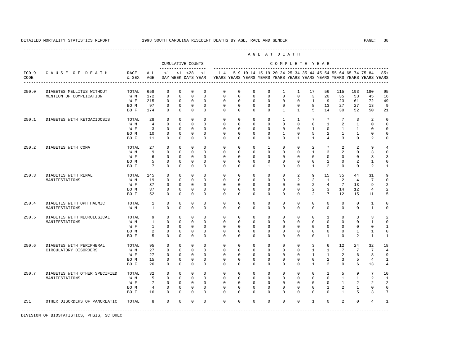|                 |                               |               |                 |              |              |                                          |              |             |              |              | AGE AT DEATH |              |                |                 |                 |                 |                 |                                                                                                                                      |                          |
|-----------------|-------------------------------|---------------|-----------------|--------------|--------------|------------------------------------------|--------------|-------------|--------------|--------------|--------------|--------------|----------------|-----------------|-----------------|-----------------|-----------------|--------------------------------------------------------------------------------------------------------------------------------------|--------------------------|
|                 |                               |               |                 |              |              | CUMULATIVE COUNTS<br>------------------- |              |             |              |              |              |              |                |                 | COMPLETE YEAR   |                 |                 |                                                                                                                                      |                          |
| $ICD-9$<br>CODE | CAUSE OF DEATH                | RACE<br>& SEX | ALL<br>AGE      | $\leq 1$     |              | $< 1$ $< 28$<br>DAY WEEK DAYS YEAR       | <1           | $1 - 4$     |              |              |              |              |                |                 |                 |                 |                 | 5-9 10-14 15-19 20-24 25-34 35-44 45-54 55-64 65-74 75-84<br>YEARS YEARS YEARS YEARS YEARS YEARS YEARS YEARS YEARS YEARS YEARS YEARS | $85+$                    |
| 250.0           | DIABETES MELLITUS WITHOUT     | TOTAL         | 658             | $\Omega$     | $\Omega$     | $\Omega$                                 | $\Omega$     | $\mathbf 0$ | $\mathbf 0$  | $\mathbf 0$  | $\mathbf 0$  | $\mathbf{1}$ | 1              | 17              | 56              | 115             | 193             | 180                                                                                                                                  | 95                       |
|                 | MENTION OF COMPLICATION       | W M           | 172             | $\Omega$     | $\Omega$     | $\Omega$                                 | $\Omega$     | $\Omega$    | $\Omega$     | $\Omega$     | $\Omega$     | $\Omega$     | $\Omega$       | $\overline{3}$  | 20              | 35              | 53              | 45                                                                                                                                   | 16                       |
|                 |                               | W F           | 215             | $\Omega$     | $\Omega$     | $\Omega$                                 | $\Omega$     | $\Omega$    | $\Omega$     | $\Omega$     | $\Omega$     | $\Omega$     | $\Omega$       | $\overline{1}$  | 9               | 23              | 61              | 72                                                                                                                                   | 49                       |
|                 |                               | BO M          | 97              | $\circ$      | $\mathbf{0}$ | $\mathbf 0$                              | $\mathbf{0}$ | $\mathbf 0$ | $\mathbf{0}$ | $\mathbf{0}$ | $\mathbf 0$  | $\mathbf 0$  | $\mathbf{0}$   | 8               | 13              | 27              | 27              | 13                                                                                                                                   | 9                        |
|                 |                               | BO F          | 174             | $\cap$       | $\Omega$     | $\Omega$                                 | $\Omega$     | $\Omega$    | $\Omega$     | $\Omega$     | $\Omega$     | $\mathbf{1}$ | $\mathbf{1}$   | 5               | 14              | 30              | 52              | 50                                                                                                                                   | 21                       |
| 250.1           | DIABETES WITH KETOACIDOSIS    | TOTAL         | 28              | $\Omega$     | $\Omega$     | $\Omega$                                 | $\Omega$     | $\Omega$    | $\Omega$     | $\Omega$     | $\Omega$     | $\mathbf{1}$ | $\overline{1}$ | $7\phantom{.0}$ | $7\phantom{.0}$ | $7\overline{ }$ | 3               | $\overline{2}$                                                                                                                       | $\Omega$                 |
|                 |                               | W M           | $\overline{4}$  | $\Omega$     | $\Omega$     | $\Omega$                                 | $\Omega$     | $\Omega$    | $\Omega$     | $\Omega$     | $\Omega$     | $\Omega$     | $\Omega$       | $\Omega$        | $\mathbf{1}$    | 2               | $\mathbf{1}$    | $\Omega$                                                                                                                             | $\Omega$                 |
|                 |                               | W F           | $\overline{3}$  | $\Omega$     | $\Omega$     | $\Omega$                                 | $\Omega$     | $\Omega$    | $\Omega$     | $\Omega$     | $\Omega$     | $\Omega$     | $\Omega$       | $\overline{1}$  | $\Omega$        | $\overline{1}$  | $\mathbf{1}$    | $\Omega$                                                                                                                             | $\mathbf 0$              |
|                 |                               | BO M          | 10              | $\Omega$     | $\Omega$     | $\Omega$                                 | $\Omega$     | $\Omega$    | $\Omega$     | $\Omega$     | $\Omega$     | $\mathbf{1}$ | $\Omega$       | 5               | $\overline{a}$  | $\overline{1}$  | $\mathbf{1}$    | $\Omega$                                                                                                                             | $\Omega$                 |
|                 |                               | BO F          | 11              | $\Omega$     | $\Omega$     | $\Omega$                                 | $\Omega$     | $\Omega$    | $\Omega$     | $\Omega$     | $\Omega$     | $\Omega$     | $\mathbf{1}$   | $\mathbf{1}$    | $\overline{4}$  | 3               | $\Omega$        | $\overline{2}$                                                                                                                       | $\mathbf 0$              |
| 250.2           | DIABETES WITH COMA            | TOTAL         | 27              | $\mathbf{0}$ | $\circ$      | $\mathbf 0$                              | $\Omega$     | $\mathbf 0$ | $\mathbf 0$  | $\mathbf 0$  | $\mathbf{1}$ | $\mathbf 0$  | $\mathbf 0$    | 2               | $\overline{7}$  | 2               | 2               | 9                                                                                                                                    | $\overline{4}$           |
|                 |                               | W M           | 9               | $\mathbf 0$  | $\mathbf{0}$ | $\mathbf 0$                              | $\mathbf 0$  | $\mathbf 0$ | $\mathbf 0$  | $\mathbf 0$  | $\mathbf 0$  | $\mathbf 0$  | 0              | $\mathbf{1}$    | 3               | 2               | $^{\circ}$      | 3                                                                                                                                    | $\mathbf 0$              |
|                 |                               | W F           | 6               | $\mathbf 0$  | $\mathbf{0}$ | $\mathbf 0$                              | $\Omega$     | $\mathbf 0$ | $\mathbf 0$  | $\Omega$     | $\Omega$     | $\Omega$     | $\Omega$       | $\Omega$        | $\Omega$        | $\Omega$        | $^{\circ}$      | 3                                                                                                                                    | $\overline{3}$           |
|                 |                               | BO M          | 5               | $\mathbf 0$  | $\circ$      | $\mathbf 0$                              | $\mathbf 0$  | $\mathbf 0$ | $\mathbf 0$  | $\mathbf 0$  | $\mathbf 0$  | $\mathbf 0$  | $\mathbf 0$    | $\mathbf 0$     | $\overline{a}$  | $\mathbf{0}$    | 2               | $\mathbf{1}$                                                                                                                         | $\mathbb O$              |
|                 |                               | BO F          | $7\overline{ }$ | $\mathbf 0$  | $\mathbf{0}$ | $\mathbf 0$                              | $\mathbf 0$  | $\Omega$    | $\mathbf 0$  | $\Omega$     | $\mathbf{1}$ | $\Omega$     | 0              | $\mathbf{1}$    | 2               | $\Omega$        | $\mathbf 0$     | 2                                                                                                                                    | $\mathbf{1}$             |
| 250.3           | DIABETES WITH RENAL           | TOTAL         | 145             | $\Omega$     | $\Omega$     | $\Omega$                                 | $\Omega$     | $\Omega$    | $\Omega$     | $\Omega$     | $\Omega$     | $\mathbf 0$  | 2              | 9               | 15              | 35              | 44              | 31                                                                                                                                   | 9                        |
|                 | MANIFESTATIONS                | W M           | 19              | $\mathbf 0$  | $\mathbf{0}$ | $\mathbf 0$                              | $\Omega$     | $\mathbf 0$ | $\mathbf 0$  | $\mathbf 0$  | $\mathbf 0$  | $\mathbf 0$  | 2              | $\overline{3}$  | $\mathbf{1}$    | 2               | $\overline{4}$  | $7\phantom{.0}$                                                                                                                      | $\mathbf 0$              |
|                 |                               | W F           | 37              | $\mathbf 0$  | $\mathbf{0}$ | $\mathbf 0$                              | $\Omega$     | $\mathbf 0$ | $\Omega$     | $\Omega$     | $\Omega$     | $\Omega$     | $\mathbf 0$    | 2               | $\overline{4}$  | 7               | 13              | 9                                                                                                                                    | $\overline{a}$           |
|                 |                               | BO M          | 37              | $\Omega$     | $\Omega$     | $\Omega$                                 | $\Omega$     | $\Omega$    | $\Omega$     | $\Omega$     | $\Omega$     | $\Omega$     | $\mathbf 0$    | 2               | $\overline{3}$  | 14              | 12              | $\overline{4}$                                                                                                                       | $\overline{a}$           |
|                 |                               | BO F          | 52              | $\Omega$     | $\Omega$     | $\Omega$                                 | $\Omega$     | $\Omega$    | $\mathbf 0$  | $\Omega$     | $\circ$      | $\Omega$     | $\mathbf 0$    | $\mathcal{L}$   | $7\overline{ }$ | 12              | 15              | 11                                                                                                                                   | 5                        |
| 250.4           | DIABETES WITH OPHTHALMIC      | TOTAL         | $\mathbf{1}$    | $\Omega$     | $\Omega$     | $\Omega$                                 | $\Omega$     | $\Omega$    | $\Omega$     | $\Omega$     | $\Omega$     | $\Omega$     | $\Omega$       | $\Omega$        | $\Omega$        | $\Omega$        | $\Omega$        | $\overline{1}$                                                                                                                       | $\Omega$                 |
|                 | MANIFESTATIONS                | W M           | $\overline{1}$  | $\Omega$     | $\Omega$     | $\Omega$                                 | $\Omega$     | $\Omega$    | $\Omega$     | $\Omega$     | $\Omega$     | $\Omega$     | $\Omega$       | $\Omega$        | $\Omega$        | $\Omega$        | $\Omega$        | $\overline{1}$                                                                                                                       | $\Omega$                 |
| 250.5           | DIABETES WITH NEUROLOGICAL    | TOTAL         | 9               | $\Omega$     | $\Omega$     | $\Omega$                                 | $\Omega$     | $\Omega$    | $\Omega$     | $\Omega$     | $\Omega$     | $\Omega$     | $\Omega$       | $\Omega$        | $\overline{1}$  | $\Omega$        | 3               | 3                                                                                                                                    | $\overline{\phantom{a}}$ |
|                 | MANIFESTATIONS                | W M           | $\mathbf{1}$    | $\Omega$     | $\Omega$     | $\Omega$                                 | $\Omega$     | $\Omega$    | $\Omega$     | $\Omega$     | $\Omega$     | $\Omega$     | $\Omega$       | $\Omega$        | $\Omega$        | $\Omega$        | $\Omega$        | $\mathbf{1}$                                                                                                                         | $\Omega$                 |
|                 |                               | W F           | $\mathbf{1}$    | $\Omega$     | $\Omega$     | $\Omega$                                 | $\Omega$     | $\mathbf 0$ | $\Omega$     | $\Omega$     | $\Omega$     | $\mathbf 0$  | $\mathbf 0$    | $\mathbf 0$     | $\mathbf 0$     | $\Omega$        | $\mathbf 0$     | $\mathbf 0$                                                                                                                          | $\mathbf{1}$             |
|                 |                               | BO M          | $\overline{a}$  | $\mathbf 0$  | $\circ$      | 0                                        | $\mathbf 0$  | 0           | $\mathbf{0}$ | $\mathbf 0$  | $\mathbf 0$  | 0            | 0              | $^{\circ}$      | $\mathbf{0}$    | $\mathbf{0}$    | $\mathbf{1}$    | 1                                                                                                                                    | $\mathbf 0$              |
|                 |                               | BO F          | 5               | $\mathbf 0$  | $\mathbf{0}$ | $\mathbf 0$                              | $\Omega$     | $\Omega$    | $\Omega$     | $\Omega$     | $\Omega$     | $\Omega$     | $\Omega$       | $\Omega$        | 1               | $\Omega$        | 2               | 1                                                                                                                                    | $\mathbf{1}$             |
| 250.6           | DIABETES WITH PERIPHERAL      | TOTAL         | 95              | $\mathbf 0$  | $\mathbf 0$  | $\mathbf 0$                              | $\Omega$     | $\mathbf 0$ | $\mathbf 0$  | $\mathbf 0$  | $\mathbf{0}$ | $\mathbf 0$  | $\mathbf 0$    | 3               | 6               | 12              | 24              | 32                                                                                                                                   | 18                       |
|                 | CIRCULATORY DISORDERS         | W M           | 27              | $\Omega$     | $\Omega$     | $\Omega$                                 | $\Omega$     | $\mathbf 0$ | $\mathbf 0$  | $\Omega$     | $\Omega$     | $\Omega$     | $\mathbf 0$    | $\mathbf{1}$    | $\mathbf{1}$    | $7\phantom{.0}$ | $7\phantom{.0}$ | $7\phantom{.0}$                                                                                                                      | $\overline{4}$           |
|                 |                               | W F           | 27              | $\Omega$     | $\Omega$     | $\Omega$                                 | $\Omega$     | $\Omega$    | $\Omega$     | $\Omega$     | $\Omega$     | $\Omega$     | $\Omega$       | $\mathbf{1}$    | $\mathbf{1}$    | 2               | 6               | 8                                                                                                                                    | 9                        |
|                 |                               | BO M          | 15              | $\mathbf 0$  | $\mathbf{0}$ | $\mathbf 0$                              | $\mathbf{0}$ | $\mathbf 0$ | $\mathbf 0$  | $\mathbf 0$  | $\mathbf 0$  | $\mathbf 0$  | $\mathbf 0$    | $\mathbf 0$     | 2               | 3               | 5               | $\overline{4}$                                                                                                                       | $\mathbf{1}$             |
|                 |                               | BO F          | 26              | $\Omega$     | $\Omega$     | $\Omega$                                 | $\Omega$     | $\Omega$    | $\Omega$     | $\Omega$     | $\Omega$     | $\Omega$     | $\Omega$       | $\overline{1}$  | $\mathfrak{D}$  | $\cap$          | 6               | 13                                                                                                                                   | $\overline{4}$           |
| 250.7           | DIABETES WITH OTHER SPECIFIED | TOTAL.        | 32              | $\mathbf 0$  | $\Omega$     | $\Omega$                                 | $\Omega$     | $\Omega$    | $\Omega$     | $\Omega$     | $\Omega$     | $\Omega$     | $\Omega$       | $\Omega$        | $\overline{1}$  | 5               | 9               | $7\phantom{.0}$                                                                                                                      | 10                       |
|                 | MANIFESTATIONS                | W M           | 5               | $\Omega$     | $\Omega$     | $\Omega$                                 | $\Omega$     | $\Omega$    | $\Omega$     | $\Omega$     | $\Omega$     | $\Omega$     | $\Omega$       | $\Omega$        | $\Omega$        | $\overline{1}$  | $\mathbf{1}$    | $\overline{2}$                                                                                                                       | $\mathbf{1}$             |
|                 |                               | W F           | $7\overline{ }$ | $\mathbf{0}$ | $\mathbf{0}$ | $\mathbf 0$                              | $\mathbf 0$  | $\mathbf 0$ | $\mathbf 0$  | $\Omega$     | $\circ$      | $\mathbf 0$  | $\mathbf 0$    | $\mathbf 0$     | $\mathbf 0$     | $\mathbf{1}$    | 2               | 2                                                                                                                                    | 2                        |
|                 |                               | BO M          | $4\overline{ }$ | $\mathbf 0$  | $\Omega$     | $\mathbf 0$                              | $\Omega$     | $\Omega$    | $\Omega$     | $\Omega$     | $\Omega$     | $\Omega$     | $\Omega$       | $\Omega$        | $\overline{1}$  | 2               | $\mathbf{1}$    | 0                                                                                                                                    | $\Omega$                 |
|                 |                               | BO F          | 16              | $\Omega$     | $\Omega$     | $\Omega$                                 | $\Omega$     | $\Omega$    | $\Omega$     | $\Omega$     | $\Omega$     | $\Omega$     | $\Omega$       | $\Omega$        | $\Omega$        | $\overline{1}$  | 5               | 3                                                                                                                                    | $\overline{7}$           |
| 251             | OTHER DISORDERS OF PANCREATIC | TOTAL         | 8               | $\Omega$     | $\Omega$     | $\Omega$                                 | $\Omega$     | $\Omega$    | $\Omega$     | $\Omega$     | $\Omega$     | $\Omega$     | $\Omega$       | $\overline{1}$  | $\Omega$        | $\overline{2}$  | $\Omega$        | $\overline{4}$                                                                                                                       | 1                        |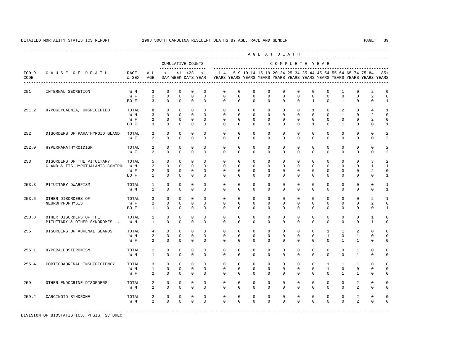|                 |                                      |               |                     |                              |                             |                                     |                         |                      |                      |                         |                         | AGE AT DEATH            |                         |                             |                         |                              |                            |                                                                                                                                      |                             |
|-----------------|--------------------------------------|---------------|---------------------|------------------------------|-----------------------------|-------------------------------------|-------------------------|----------------------|----------------------|-------------------------|-------------------------|-------------------------|-------------------------|-----------------------------|-------------------------|------------------------------|----------------------------|--------------------------------------------------------------------------------------------------------------------------------------|-----------------------------|
|                 |                                      |               |                     |                              |                             | CUMULATIVE COUNTS<br>-------------- |                         |                      |                      |                         |                         | COMPLETE YEAR           |                         |                             |                         |                              |                            |                                                                                                                                      |                             |
| $ICD-9$<br>CODE | CAUSE OF DEATH                       | RACE<br>& SEX | ALL<br>AGE          | <1                           |                             | $< 1$ $< 28$<br>DAY WEEK DAYS YEAR  | <1                      | $1 - 4$              |                      |                         |                         |                         |                         |                             |                         |                              |                            | 5-9 10-14 15-19 20-24 25-34 35-44 45-54 55-64 65-74 75-84<br>YEARS YEARS YEARS YEARS YEARS YEARS YEARS YEARS YEARS YEARS YEARS YEARS | $85+$                       |
| 251             | INTERNAL SECRETION                   | W M           | 3                   | $\mathbf 0$                  | $\mathbf 0$                 | $\mathbf{0}$                        | $\mathbf{0}$            | $\mathbf 0$          | $\mathbf 0$          | $\mathbf 0$             | $\mathbf 0$             | $\mathbf 0$             | $\mathbf 0$             | $\mathbf 0$                 | $\mathbf 0$             | 1                            | 0                          | 2                                                                                                                                    | $\Omega$                    |
|                 |                                      | W F<br>BO F   | 2<br>3              | $\mathbf 0$<br>$\Omega$      | $\mathbf 0$<br>$\Omega$     | $\mathbf 0$<br>$\Omega$             | $\mathbf 0$<br>$\Omega$ | $\Omega$<br>$\Omega$ | $\Omega$<br>$\Omega$ | $\mathbf 0$<br>$\Omega$ | $\mathbf 0$<br>$\Omega$ | $\mathbf 0$<br>$\Omega$ | $\mathbf 0$<br>$\Omega$ | $\mathbf 0$<br>$\mathbf{1}$ | $\mathbf 0$<br>$\Omega$ | $\mathbf 0$<br>$\mathbf{1}$  | $\mathbf 0$<br>$\Omega$    | 2<br>$\Omega$                                                                                                                        | $\mathbf 0$<br>$\mathbf{1}$ |
| 251.2           | HYPOGLYCAEMIA, UNSPECIFIED           | TOTAL         | 8                   | $\mathbf{0}$                 | $\mathbf 0$                 | $\mathbf{0}$                        | $\Omega$                | $\Omega$             | $\mathbf 0$          | $\mathbf 0$             | $\mathbf 0$             | $\Omega$                | $\Omega$                | $\mathbf{1}$                | $\Omega$                | 2                            | $\mathbf 0$                | 4                                                                                                                                    | $\mathbf{1}$                |
|                 |                                      | W M           | 3                   | $\Omega$                     | $\Omega$                    | $\Omega$                            | $\Omega$                | $\Omega$             | $\Omega$             | $\Omega$                | $\Omega$                | $\Omega$                | $\Omega$                | $\Omega$                    | $\Omega$                | $\mathbf{1}$                 | $\mathbf 0$                | $\mathfrak{D}$                                                                                                                       | $\Omega$                    |
|                 |                                      | W F<br>BO F   | 2<br>3              | $\mathbf{0}$<br>$\Omega$     | $\Omega$<br>$\Omega$        | $\mathbf{0}$<br>$\Omega$            | $\Omega$<br>$\Omega$    | $\Omega$<br>$\Omega$ | $\Omega$<br>$\Omega$ | $\Omega$<br>$\Omega$    | $\mathbf 0$<br>$\Omega$ | $\mathbf 0$<br>$\Omega$ | $\Omega$<br>$\Omega$    | $\mathbf 0$<br>$\mathbf{1}$ | $\mathbf 0$<br>$\Omega$ | $\mathbf 0$<br>$\mathbf{1}$  | $\mathbf 0$<br>$\Omega$    | 2<br>$\Omega$                                                                                                                        | $\Omega$<br>$\mathbf{1}$    |
| 252             | DISORDERS OF PARATHYROID GLAND       | TOTAL<br>W F  | 2<br>2              | $\Omega$<br>$\Omega$         | $\Omega$<br>0               | $\Omega$<br>$\mathbf{0}$            | $\Omega$<br>$\Omega$    | $\Omega$<br>$\Omega$ | $\Omega$<br>$\Omega$ | $\Omega$<br>$\Omega$    | $\Omega$<br>$\mathbf 0$ | $\Omega$<br>$\Omega$    | $\Omega$<br>$\Omega$    | $\Omega$<br>$\Omega$        | $\Omega$<br>$\Omega$    | $\Omega$<br>$\Omega$         | $\mathbf 0$<br>$\mathbf 0$ | $\Omega$<br>$\Omega$                                                                                                                 | $\overline{a}$<br>2         |
| 252.0           | HYPERPARATHYROIDISM                  | TOTAL         | 2                   | $\mathbf{0}$                 | 0                           | 0                                   | 0                       | 0                    | 0                    | $\mathbf 0$             | $\mathbf 0$             | 0                       | 0                       | 0                           | $\mathbf 0$             | $\mathbf 0$                  | 0                          | $\circ$                                                                                                                              | $\mathcal{L}$               |
|                 |                                      | W F           | 2                   | $\mathbf{0}$                 | 0                           | $\mathbf 0$                         | 0                       | 0                    | 0                    | $\mathbf 0$             | 0                       | 0                       | $\mathbf 0$             | $\mathbf 0$                 | $\mathbf 0$             | $\mathbf 0$                  | $\mathbf 0$                | $\circ$                                                                                                                              | $\overline{a}$              |
| 253             | DISORDERS OF THE PITUITARY           | TOTAL         | 5                   | $\mathbf{0}$                 | $\mathbf 0$                 | $\mathbf 0$                         | $\Omega$                | $\mathbf 0$          | $\mathbf 0$          | $\mathbf 0$             | $\mathbf 0$             | $\mathbf 0$             | 0                       | $\Omega$                    | $\mathbf 0$             | $\mathbf 0$                  | $\mathbf 0$                | 3                                                                                                                                    | $\mathfrak{D}$              |
|                 | GLAND & ITS HYPOTHALAMIC CONTROL W M |               | 2                   | $\mathbf{0}$                 | $\mathbf{0}$                | $\mathbf 0$                         | $\mathbf{0}$            | 0                    | 0                    | $\mathbf 0$             | $\mathbf 0$             | $\mathbf 0$             | $\mathbf 0$             | 0                           | $\mathbf 0$             | $\mathbf 0$                  | $\mathbf 0$                | $\mathbf{1}$                                                                                                                         | $\mathbf{1}$                |
|                 |                                      | W F           | 2                   | $\mathbf{0}$                 | $\mathbf{0}$                | $\circ$                             | $\Omega$                | $\Omega$             | $\Omega$             | $\mathbf 0$             | $\mathbf 0$             | 0                       | $\Omega$                | $\Omega$                    | $\Omega$                | $\Omega$                     | $\mathbf 0$                | $\mathfrak{D}$                                                                                                                       | $\Omega$                    |
|                 |                                      | BO F          | $\mathbf{1}$        | $\mathbf 0$                  | $\mathbf 0$                 | $\mathbf{0}$                        | $\Omega$                | $\Omega$             | $\Omega$             | $\Omega$                | $\mathbf 0$             | $\Omega$                | $\Omega$                | $\Omega$                    | $\Omega$                | $\Omega$                     | $\mathbf 0$                | $\Omega$                                                                                                                             | $\mathbf{1}$                |
| 253.3           | PITUITARY DWARFISM                   | TOTAL         | $\mathbf{1}$        | $\mathbf 0$                  | $\mathbf 0$                 | $\mathbf{0}$                        | $\Omega$                | $\mathbf 0$          | $\mathbf 0$          | $\mathbf 0$             | $\mathbf 0$             | $\mathbf 0$             | $\mathbf 0$             | $\mathbf 0$                 | $\mathbf 0$             | $\mathbf 0$                  | $\mathbf 0$                | $\Omega$                                                                                                                             | 1                           |
|                 |                                      | W M           | $\mathbf{1}$        | $\Omega$                     | $\mathbf 0$                 | $\Omega$                            | $\Omega$                | $\Omega$             | $\Omega$             | $\Omega$                | $\Omega$                | $\Omega$                | $\Omega$                | $\Omega$                    | $\Omega$                | $\Omega$                     | $\Omega$                   | $\Omega$                                                                                                                             | $\mathbf{1}$                |
| 253.6           | OTHER DISORDERS OF                   | TOTAL         | $\overline{3}$      | $\mathbf 0$                  | $\mathbf 0$                 | $\mathbf{0}$                        | $\Omega$                | $\Omega$             | $\Omega$             | $\Omega$                | $\mathbf 0$             | $\Omega$                | $\mathbf 0$             | $\Omega$                    | $\mathbf 0$             | $\mathbf 0$                  | $\mathbf 0$                | 2                                                                                                                                    | $\mathbf{1}$                |
|                 | NEUROHYPOPHYSIS                      | W F<br>BO F   | 2<br>$\overline{1}$ | $\Omega$<br>$\Omega$         | $\Omega$<br>$\Omega$        | $\mathbf 0$<br>$\Omega$             | $\Omega$<br>$\Omega$    | $\Omega$<br>$\Omega$ | $\Omega$<br>$\Omega$ | $\Omega$<br>$\Omega$    | $\Omega$<br>$\Omega$    | $\Omega$<br>$\Omega$    | $\Omega$<br>$\Omega$    | $\Omega$<br>$\Omega$        | $\Omega$<br>$\Omega$    | $\Omega$<br>$\Omega$         | $\Omega$<br>$\Omega$       | 2<br>$\Omega$                                                                                                                        | $\Omega$<br>$\mathbf{1}$    |
|                 |                                      |               |                     |                              |                             |                                     |                         |                      |                      |                         |                         |                         |                         |                             |                         |                              |                            |                                                                                                                                      |                             |
| 253.8           | OTHER DISORDERS OF THE               | TOTAL         | 1                   | $\Omega$                     | $\Omega$                    | $\mathbf 0$                         | $\Omega$                | $\Omega$             | $\Omega$             | $\Omega$                | $\Omega$                | $\Omega$                | $\Omega$                | $\Omega$                    | $\Omega$                | $\Omega$                     | $\Omega$                   | $\mathbf{1}$                                                                                                                         | $\Omega$                    |
|                 | PITUITARY & OTHER SYNDROMES          | W M           | $\overline{1}$      | $\Omega$                     | $\Omega$                    | $\Omega$                            | $\Omega$                | $\Omega$             | $\Omega$             | $\Omega$                | $\Omega$                | $\Omega$                | $\Omega$                | $\Omega$                    | $\Omega$                | $\Omega$                     | $\Omega$                   | $\mathbf{1}$                                                                                                                         | $\Omega$                    |
| 255             | DISORDERS OF ADRENAL GLANDS          | TOTAL         | 4                   | $\mathbf{0}$                 | $\mathbf 0$                 | 0                                   | $\mathbf{0}$            | $\mathbf 0$          | $\mathbf 0$          | $\mathbf 0$             | $\mathbf 0$             | $\mathbf 0$             | $\mathbf 0$             | $\mathbf 0$                 | 1                       | 1                            | 2                          | $\mathbf 0$                                                                                                                          | $\Omega$                    |
|                 |                                      | W M<br>W F    | 2<br>2              | $\mathbf{0}$<br>$\mathbf{0}$ | $\mathbf 0$<br>$\mathbf{0}$ | $\mathbf 0$<br>$\mathbf 0$          | 0<br>$\Omega$           | 0<br>$\Omega$        | 0<br>$\Omega$        | 0<br>$\Omega$           | 0<br>$\mathbf 0$        | 0<br>$\mathbf 0$        | 0<br>$\Omega$           | 0<br>$\Omega$               | 1<br>$\Omega$           | $\mathbf{0}$<br>$\mathbf{1}$ | 1<br>1                     | 0<br>$\mathbf 0$                                                                                                                     | $\Omega$<br>$\Omega$        |
|                 |                                      |               |                     |                              |                             |                                     |                         |                      |                      |                         |                         |                         |                         |                             |                         |                              |                            |                                                                                                                                      |                             |
| 255.1           | HYPERALDOSTERONISM                   | TOTAL<br>W M  | 1<br>$\mathbf{1}$   | 0<br>$\Omega$                | $\mathbf 0$<br>$\Omega$     | 0<br>$\mathbf 0$                    | 0<br>$\Omega$           | 0<br>$\Omega$        | 0<br>$\Omega$        | $\mathbf 0$<br>$\Omega$ | $\mathbf 0$<br>$\Omega$ | $\mathbf 0$<br>$\Omega$ | 0<br>$\Omega$           | 0<br>$\Omega$               | $\mathbf 0$<br>$\Omega$ | $\mathbf{0}$<br>$\Omega$     | 1<br>$\mathbf{1}$          | $\mathbf 0$<br>$\Omega$                                                                                                              | $\Omega$<br>$\Omega$        |
| 255.4           | CORTICOADRENAL INSUFFICIENCY         | TOTAL         | 3                   | $\mathbf{0}$                 | $\mathbf{0}$                | $\mathbf{0}$                        | $\mathbf{0}$            | $\mathbf 0$          | $\mathbf 0$          | $\mathbf 0$             | $\mathbf 0$             | $\mathbf 0$             | 0                       | 0                           | $\mathbf{1}$            | 1                            | 1                          | $\circ$                                                                                                                              | $\Omega$                    |
|                 |                                      | W M           | 1                   | $\mathbf{0}$                 | $\mathbf{0}$                | $\mathbf 0$                         | $\mathbf{0}$            | $\mathbf 0$          | $\mathbf 0$          | $\mathbf 0$             | $\mathbf 0$             | $\mathbf 0$             | $\mathbf 0$             | $\mathbf 0$                 | $\mathbf{1}$            | $\mathbf 0$                  | $\mathbf 0$                | $\Omega$                                                                                                                             | $\Omega$                    |
|                 |                                      | W F           | 2                   | $\Omega$                     | 0                           | $\mathbf{0}$                        | $\Omega$                | $\Omega$             | $\Omega$             | $\Omega$                | 0                       | $\Omega$                | $\mathbf 0$             | $\Omega$                    | $\mathbf 0$             | $\mathbf{1}$                 | 1                          | $\Omega$                                                                                                                             | $\Omega$                    |
| 259             | OTHER ENDOCRINE DISORDERS            | TOTAL         | 2                   | $\mathbf 0$                  | $\mathbf 0$                 | $\mathbf{0}$                        | $\mathbf{0}$            | $\mathbf 0$          | $\mathbf 0$          | $\mathbf 0$             | $\mathbf 0$             | $\mathbf 0$             | $\mathbf 0$             | $\mathbf 0$                 | $\mathbf 0$             | $\mathbf 0$                  | 2                          | $\mathbf 0$                                                                                                                          | $\Omega$                    |
|                 |                                      | W M           | 2                   | $\mathbf 0$                  | $\mathbf 0$                 | $\mathbf 0$                         | $\Omega$                | $\Omega$             | $\Omega$             | $\Omega$                | $\Omega$                | $\Omega$                | $\Omega$                | $\Omega$                    | $\Omega$                | $\Omega$                     | 2                          | $\Omega$                                                                                                                             | $\mathbf 0$                 |
| 259.2           | CARCINOID SYNDROME                   | TOTAL         | 2                   | $\mathbf 0$                  | $\mathbf 0$                 | $\mathbf{0}$                        | $\mathbf{0}$            | $\mathbf 0$          | $\mathbf 0$          | $\mathbf 0$             | $\mathbf 0$             | $\mathbf 0$             | $\mathbf 0$             | $\mathbf 0$                 | $\mathbf 0$             | $\mathbf 0$                  | 2                          | $\mathbf 0$                                                                                                                          | $\Omega$                    |
|                 |                                      | W M           | $\overline{a}$      | $\Omega$                     | $\Omega$                    | $\Omega$                            | $\Omega$                | $\Omega$             | $\Omega$             | $\Omega$                | $\Omega$                | $\Omega$                | $\Omega$                | $\Omega$                    | $\Omega$                | $\Omega$                     | 2                          | $\Omega$                                                                                                                             | $\Omega$                    |
|                 |                                      |               |                     |                              |                             |                                     |                         |                      |                      |                         |                         |                         |                         |                             |                         |                              |                            |                                                                                                                                      |                             |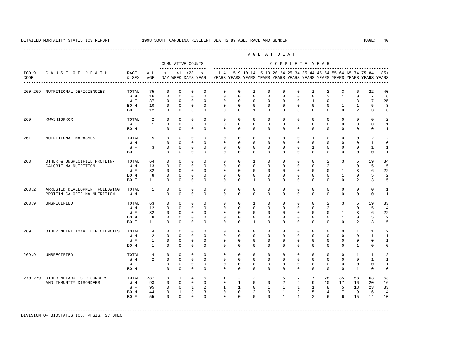---------------------------------------------------------------------------------------------------------------------------------------------------- A G E A T D E A T H --------------------------------------------------------------------------------------------- CUMULATIVE COUNTS C O M P L E T E Y E A R ------------------- ----------------------------------------------------------------------- ICD-9 C A U S E O F D E A T H RACE ALL <1 <1 <28 <1 1-4 5-9 10-14 15-19 20-24 25-34 35-44 45-54 55-64 65-74 75-84 85+ CODE & SEX AGE DAY WEEK DAYS YEAR YEARS YEARS YEARS YEARS YEARS YEARS YEARS YEARS YEARS YEARS YEARS YEARS ---------------------------------------------------------------------------------------------------------------------------------------------------- 260-269 NUTRITIONAL DEFICIENCIES TOTAL 75 0 0 0 0 0 0 1 0 0 0 1 2 3 6 22 40 W M 16 0 0 0 0 0 0 0 0 0 0 0 2 1 0 7 6 W F 37 0 0 0 0 0 0 0 0 0 0 0 1 0 1 3 7 25 BOM 10 0 0 0 0 0 0 0 0 0 0 0 0 1 1 5 3 BO F 12 0 0 0 0 0 0 1 0 0 0 0 0 0 2 3 6 260 KWASHIORKOR TOTAL 2 0 0 0 0 0 0 0 0 0 0 0 0 0 0 0 2 W F 1 0 0 0 0 0 0 0 0 0 0 0 0 0 0 0 1 BOM 1 0 0 0 0 0 0 0 0 0 0 0 0 0 0 0 1 261 NUTRITIONAL MARASMUS TOTAL 5 0 0 0 0 0 0 0 0 0 0 1 0 0 0 2 2 W M 1 0 0 0 0 0 0 0 0 0 0 0 0 0 0 1 0 W F 3 0 0 0 0 0 0 0 0 0 0 0 0 0 0 1 1 BO F 1 0 0 0 0 0 0 0 0 0 0 0 0 0 0 0 1 263 OTHER & UNSPECIFIED PROTEIN- TOTAL 64 0 0 0 0 0 0 1 0 0 0 0 2 3 5 19 34 CALORIE MALNUTRITION W M 13 0 0 0 0 0 0 0 0 0 0 0 0 0 0 5 5 5 c 22 d  $\sqrt{3}$  w m 32 0 0 0 0 0 0 0 0 0 0 0 0 0 1 3 6 22 W F 32 0 0 0 0 0 0 0 0 0 0 0 0 0 1 3<br>BOM 8 0 0 0 0 0 0 0 0 0 0 0 0 0 1 0 BOM 8 0 0 0 0 0 0 0 0 0 0 0 0 1 0 5 2 BO F 11 0 0 0 0 0 0 1 0 0 0 0 0 0 2 3 5 263.2 ARRESTED DEVELOPMENT FOLLOWING TOTAL 1 0 0 0 0 0 0 0 0 0 0 0 0 0 0 0 1 PROTEIN-CALORIE MALNUTRITION 263.9 UNSPECIFIED TOTAL 63 0 0 0 0 0 0 1 0 0 0 0 2 3 5 19 33 W M 12 0 0 0 0 0 0 0 0 0 0 0 2 1 0 5 4 W F 32 0 0 0 0 0 0 0 0 0 0 0 0 1 3 6 22 BOM 8 0 0 0 0 0 0 0 0 0 0 0 0 0 1 0 5 2 BO F 11 0 0 0 0 0 0 1 0 0 0 0 0 0 2 3 5 269 OTHER NUTRITIONAL DEFICIENCIES TOTAL 4 0 0 0 0 0 0 0 0 0 0 0 0 0 1 1 2 2 0 0 0 0 W F 1 0 0 0 0 0 0 0 0 0 0 0 0 0 0 0 1 BOM 1 0 0 0 0 0 0 0 0 0 0 0 0 0 0 1 0 0 269.9 UNSPECIFIED TOTAL 4 0 0 0 0 0 0 0 0 0 0 0 0 0 1 1 2 W M 2 0 0 0 0 0 0 0 0 0 0 0 0 0 0 1 1 W F 1 0 0 0 0 0 0 0 0 0 0 0 0 0 0 0 1 BOM 1 0 0 0 0 0 0 0 0 0 0 0 0 0 1 0 0 270-279 OTHER METABOLIC DISORDERS TOTAL 287 0 1 4 5 1 2 2 1 5 7 17 28 35 58 63 63 AND IMMUNITY DISORDERS W M 93 0 0 0 0  $\hbox{W F}$  95 0 0 1 W F 95 0 0 1 2 1 1 0 1 1 1 1 1 8 5 18 23 33 BO M 44 0 1 3 3 0 0 2 0 1 3 5 4 7 9 6 4 BO F 55 0 0 0 0 0 0 0 0 1 1 2 6 6 15 14 10

-----------------------------------------------------------------------------------------------------------------------------------------------------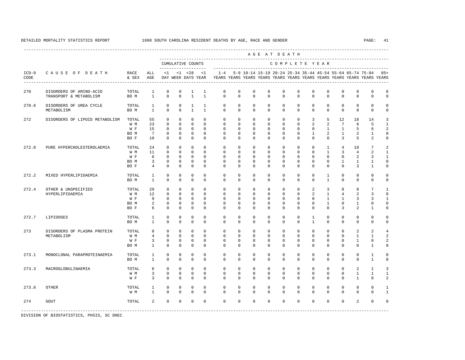---------------------------------------------------------------------------------------------------------------------------------------------------- A G E A T D E A T H --------------------------------------------------------------------------------------------- CUMULATIVE COUNTS C O M P L E T E Y E A R ------------------- ----------------------------------------------------------------------- ICD-9 C A U S E O F D E A T H RACE ALL <1 <1 <28 <1 1-4 5-9 10-14 15-19 20-24 25-34 35-44 45-54 55-64 65-74 75-84 85+ CODE & SEX AGE DAY WEEK DAYS YEAR YEARS YEARS YEARS YEARS YEARS YEARS YEARS YEARS YEARS YEARS YEARS YEARS ---------------------------------------------------------------------------------------------------------------------------------------------------- 270 DISORDERS OF AMINO-ACID TOTAL 1 0 0 1 1 0 0 0 0 0 0 0 0 0 0 0 0 TRANSPORT & METABOLISM 270.6 DISORDERS OF UREA CYCLE TOTAL 1 0 0 1 1 0 0 0 0 0 0 0 0 0 0 0 0 METABOLISM BO M 1 0 0 1 1 0 0 0 0 0 0 0 0 0 0 0 0 272 DISORDERS OF LIPOID METABOLISM TOTAL 55 0 0 0 0 0 0 0 0 0 0 3 5 12 18 14 3 W M 23 0 0 0 0 0 0 0 0 0 0 2 2 7 6 5 1 W F 15 0 0 0 0 0 0 0 0 0 0 0 0 1 1 5 6 2 BO M 7 0 0 0 0 0 0 0 0 0 0 1 2 1 2 1 0 BO F 10 0 0 0 0 0 0 0 0 0 0 0 0 3 5 2 0 272.0 PURE HYPERCHOLESTEROLAEMIA TOTAL 24 0 0 0 0 0 0 0 0 0 0 0 1 4 10 7 2 W M 11 0 0 0 0 0 0 0 0 0 0 0 1 3 4 2 1 W F G O O O O O O O O O O O O O 2 3 1 BO M 3 0 0 0 0 0 0 0 0 0 0 0 0 1 1 1 0 BO F 4 0 0 0 0 0 0 0 0 0 0 0 0 0 3 1 0 272.2 MIXED HYPERLIPIDAEMIA TOTAL 1 0 0 0 0 0 0 0 0 0 0 0 1 0 0 0 0 BO M 1 0 0 0 0 0 0 0 0 0 0 0 1 0 0 0 0 272.4 OTHER & UNSPECIFIED TOTAL 29 0 0 0 0 0 0 0 0 0 0 2 3 8 8 7 1 HYPERLIPIDAEMIA W M 12 0 0 0 0 0 0 0 0 0 0 2 1 4 2 3 0 W F 9 0 0 0 0 0 0 0 0 0 0 0 0 1 1 3 3 1 BOM 2 0 0 0 0 0 0 0 0 0 0 0 1 0 1 0 0 BO F 6 0 0 0 0 0 0 0 0 0 0 0 0 3 2 1 0 272.7 LIPIDOSES TOTAL 1 0 0 0 0 0 0 0 0 0 0 1 0 0 0 0 0 BO M 1 0 0 0 0 0 0 0 0 0 0 1 0 0 0 0 0 273 DISORDERS OF PLASMA PROTEIN TOTAL 8 0 0 0 0 0 0 0 0 0 0 0 0 0 2 2 4 METABOLISM W M 4 0 0 0 0 0 0 0 0 0 0 0 0 0 1 1 2 W F 3 0 0 0 0 0 0 0 0 0 0 0 0 0 1 0 2 BO M 1 0 0 0 0 0 0 0 0 0 0 0 0 0 0 1 0 273.1 MONOCLONAL PARAPROTEINAEMIA TOTAL 1 0 0 0 0 0 0 0 0 0 0 0 0 0 0 1 0 BO M 1 0 0 0 0 0 0 0 0 0 0 0 0 0 0 1 0 273.3 MACROGLOBULINAEMIA TOTAL 6 0 0 0 0 0 0 0 0 0 0 0 0 0 2 1 3 W M 3 0 0 0 0 0 0 0 0 0 0 0 0 0 0 1 1 1 W F 3 0 0 0 0 0 0 0 0 0 0 0 0 0 1 0 2 273.8 OTHER TOTAL 1 0 0 0 0 0 0 0 0 0 0 0 0 0 0 0 1 W M 1 0 0 0 0 0 0 0 0 0 0 0 0 0 0 0 0 1 274 GOUT TOTAL 2 0 0 0 0 0 0 0 0 0 0 0 0 0 2 0 0 -----------------------------------------------------------------------------------------------------------------------------------------------------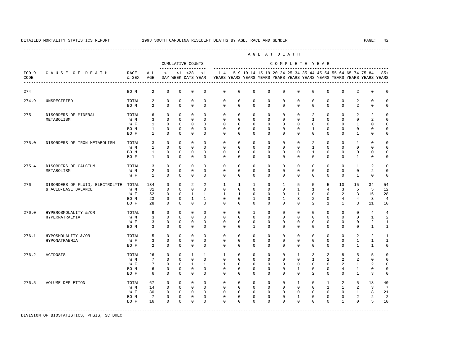----------------------------------------------------------------------------------------------------------------------------------------------------

 A G E A T D E A T H --------------------------------------------------------------------------------------------- CUMULATIVE COUNTS C O M P L E T E Y E A R ------------------- ----------------------------------------------------------------------- ICD-9 C A U S E O F D E A T H RACE ALL <1 <1 <28 <1 1-4 5-9 10-14 15-19 20-24 25-34 35-44 45-54 55-64 65-74 75-84 85+ CODE & SEX AGE DAY WEEK DAYS YEAR YEARS YEARS YEARS YEARS YEARS YEARS YEARS YEARS YEARS YEARS YEARS YEARS ---------------------------------------------------------------------------------------------------------------------------------------------------- 274 BO M 2 0 0 0 0 0 0 0 0 0 0 0 0 0 2 0 0 274.9 UNSPECIFIED TOTAL 2 0 0 0 0 0 0 0 0 0 0 0 0 0 2 0 0 BOM 2 0 0 0 0 0 0 0 0 0 0 0 0 0 2 0 0 275 DISORDERS OF MINERAL TOTAL 6 0 0 0 0 0 0 0 0 0 0 2 0 0 2 2 0 METABOLISM W M 3 0 0 0 0 0 0 0 0 0 0 1 0 0 0 2 0 W F 1 0 0 0 0 0 0 0 0 0 0 0 0 0 0 1 0 0 BO M 1 0 0 0 0 0 0 0 0 0 0 1 0 0 0 0 0 BOF 1 0 0 0 0 0 0 0 0 0 0 0 0 0 1 0 0 275.0 DISORDERS OF IRON METABOLISM TOTAL 3 0 0 0 0 0 0 0 0 0 0 2 0 0 1 0 0 W M 1 0 0 0 0 0 0 0 0 0 0 1 0 0 0 0 0 BO M 1 0 0 0 0 0 0 0 0 0 0 1 0 0 0 0 0 BOF 1 0 0 0 0 0 0 0 0 0 0 0 0 0 0 1 0 0 275.4 DISORDERS OF CALCIUM TOTAL 3 0 0 0 0 0 0 0 0 0 0 0 0 0 1 2 0 METABOLISM W M 2 0 0 0 0 0 0 0 0 0 0 0 0 0 0 2 0 W F 1 0 0 0 0 0 0 0 0 0 0 0 0 0 0 1 0 0 276 DISORDERS OF FLUID, ELECTROLYTE TOTAL 134 0 0 2 2 1 1 1 0 1 5 5 5 10 15 34 54 & ACID-BASE BALANCE W M 31 0 0 0 0 0 0 0 0 0 1 1 4 3 5 5 12 W F 52 0 0 1 1 1 1 0 0 0 1 0 0 0 2 3 15 28 BO M 23 0 0 1 1 0 0 1 0 1 3 2 0 4 4 3 4 BO F 28 0 0 0 0 0 0 0 0 0 0 2 1 1 3 11 10 276.0 HYPEROSMOLALITY &/OR TOTAL 9 0 0 0 0 0 0 1 0 0 0 0 0 0 0 4 4 HYPERNATRAEMIA W M 3 0 0 0 0 0 0 0 0 0 0 0 0 0 0 1 2 W F 3 0 0 0 0 0 0 0 0 0 0 0 0 0 0 2 1 BOM 3 0 0 0 0 0 0 0 0 0 0 0 0 0 0 1 1 276.1 HYPOSMOLALITY &/OR TOTAL 5 0 0 0 0 0 0 0 0 0 0 0 0 0 2 2 1 HYPONATRAEMIA W F 3 0 0 0 0 0 0 0 0 0 0 0 0 0 1 1 1 BO F 2 0 0 0 0 0 0 0 0 0 0 0 0 0 1 1 0 276.2 ACIDOSIS TOTAL 26 0 0 1 1 1 0 0 0 0 1 3 2 8 5 5 0 W M 7 0 0 0 0 0 0 0 0 0 0 1 2 2 2 0 0 W F 7 0 0 1 1 1 0 0 0 0 0 0 0 0 2 1 2 0 BOM 6 0 0 0 0 0 0 0 0 0 0 0 0 4 1 0 0 BO F 6 0 0 0 0 0 0 0 0 0 0 2 0 0 1 3 0 276.5 VOLUME DEPLETION TOTAL 67 0 0 0 0 0 0 0 0 0 1 0 1 2 5 18 40 W M 14 0 0 0 0 0 0 0 0 0 0 0 0 1 1 2 3 7 W F 30 0 0 0 0 0 0 0 0 0 0 0 0 0 1 8 21 BOM 7 0 0 0 0 0 0 0 0 0 0 0 0 0 2 2 2 BO F 16 0 0 0 0 0 0 0 0 0 0 0 0 1 0 5 10

-----------------------------------------------------------------------------------------------------------------------------------------------------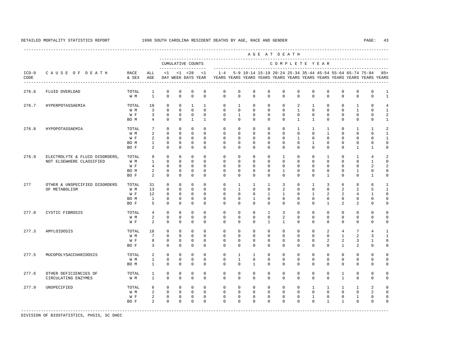---------------------------------------------------------------------------------------------------------------------------------------------------- A G E A T D E A T H --------------------------------------------------------------------------------------------- CUMULATIVE COUNTS C O M P L E T E Y E A R ------------------- ----------------------------------------------------------------------- ICD-9 C A U S E O F D E A T H RACE ALL <1 <1 <28 <1 1-4 5-9 10-14 15-19 20-24 25-34 35-44 45-54 55-64 65-74 75-84 85+ CODE & SEX AGE DAY WEEK DAYS YEAR YEARS YEARS YEARS YEARS YEARS YEARS YEARS YEARS YEARS YEARS YEARS YEARS ---------------------------------------------------------------------------------------------------------------------------------------------------- 276.6 FLUID OVERLOAD TOTAL 1 0 0 0 0 0 0 0 0 0 0 0 0 0 0 0 1 W M 1 0 0 0 0 0 0 0 0 0 0 0 0 0 0 0 0 1 276.7 HYPERPOTASSAEMIA TOTAL 10 0 0 1 1 0 1 0 0 0 2 1 0 0 1 0 4 W M 3 0 0 0 0 0 0 0 0 0 0 0 0 0 0 1 0 1 W F 3 0 0 0 0 0 1 0 0 0 0 0 0 0 0 0 2 BOM 4 0 0 1 1 0 0 0 0 0 0 1 1 0 0 0 0 0 1 276.8 HYPOPOTASSAEMIA TOTAL 7 0 0 0 0 0 0 0 0 0 1 1 1 0 1 1 2 W M 2 0 0 0 0 0 0 0 0 0 0 0 0 0 0 0 1 W F 2 0 0 0 0 0 0 0 0 0 0 0 0 0 0 1 BO M 1 0 0 0 0 0 0 0 0 0 0 1 0 0 0 0 0 BO F 2 0 0 0 0 0 0 0 0 0 0 0 0 0 1 1 0 276.9 ELECTROLYTE & FLUID DISORDERS, TOTAL 9 0 0 0 0 0 0 0 0 1 0 0 1 0 1 4 2 NOT ELSEWHERE CLASSIFIED W M 1 0 0 0 0 0 0 0 0 0 0 0 0 0 0 1 0 W F 4 0 0 0 0 0 0 0 0 0 0 0 0 0 0 0 0 2 2<br>ROM 2 0 0 0 0 0 0 0 0 1 0 0 0 0 1 0 0 BOM 2 0 0 0 0 0 0 0 0 1 0 0 0 0 1 0 0 BO F 2 0 0 0 0 0 0 0 0 0 0 0 1 0 0 1 0 277 OTHER & UNSPECIFIED DISORDERS TOTAL 31 0 0 0 0 0 1 1 1 3 0 1 3 6 8 6 1 OF METABOLISM W M 13 0 0 0 0 0 1 0 0 2 0 0 0 2 2 5 1 W F 12 0 0 0 0 0 0 0 0 1 1 0 1 2 2 4 1 0 BO M 1 0 0 0 0 0 0 1 0 0 0 0 0 0 0 0 0 BO F 5 0 0 0 0 0 0 0 0 0 0 0 1 2 2 0 0 277.0 CYSTIC FIBROSIS TOTAL 4 0 0 0 0 0 0 0 1 3 0 0 0 0 0 0 0 W M 2 0 0 0 0 0 0 0 0 2 0 0 0 0 0 0 0 W F 2 0 0 0 0 0 0 0 0 1 1 0 0 0 0 0 0 0 0 277.3 AMYLOIDOSIS TOTAL 18 0 0 0 0 0 0 0 0 0 0 0 2 4 7 4 1 W M 7 0 0 0 0 0 0 0 0 0 0 0 0 1 2 3 1 W F 8 0 0 0 0 0 0 0 0 0 0 0 0 2 2 3 1 0 BO F 3 0 0 0 0 0 0 0 0 0 0 0 0 1 2 0 0 277.5 MUCOPOLYSACCHARIDOSIS TOTAL 2 0 0 0 0 0 1 1 0 0 0 0 0 0 0 0 0 W M 1 0 0 0 0 0 1 0 0 0 0 0 0 0 0 0 0 BO M 1 0 0 0 0 0 0 1 0 0 0 0 0 0 0 0 0 277.6 OTHER DEFICIENCIES OF TOTAL 1 0 0 0 0 0 0 0 0 0 0 0 0 1 0 0 0 CIRCULATING ENZYMES W M 1 0 0 0 0 0 0 0 0 0 0 0 0 1 0 0 0 277.9 UNSPECIFIED TOTAL 6 0 0 0 0 0 0 0 0 0 0 1 1 1 1 2 0 W M 2 0 0 0 0 0 0 0 0 0 0 0 0 0 0 2 0 W F 2 0 0 0 0 0 0 0 0 0 0 0 1 0 0 1 0 0 BOF 2 0 0 0 0 0 0 0 0 0 0 0 1 1 0 0 0 -----------------------------------------------------------------------------------------------------------------------------------------------------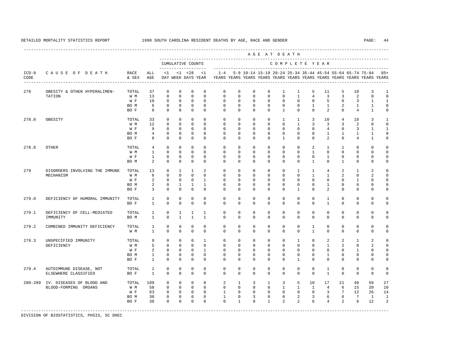|                 |                                                    |                                   |                |              |                |                                          |                |              |              |                |              | AGE AT DEATH   |                |                |                |                 |                                                           |                                                                         |                |
|-----------------|----------------------------------------------------|-----------------------------------|----------------|--------------|----------------|------------------------------------------|----------------|--------------|--------------|----------------|--------------|----------------|----------------|----------------|----------------|-----------------|-----------------------------------------------------------|-------------------------------------------------------------------------|----------------|
|                 |                                                    |                                   |                |              |                | CUMULATIVE COUNTS<br>------------------- |                |              |              |                |              | COMPLETE YEAR  |                |                |                |                 |                                                           |                                                                         |                |
| $ICD-9$<br>CODE | CAUSE OF DEATH<br>-------------------------------- | RACE<br>& SEX                     | ALL<br>AGE     |              |                | $<1$ $<1$ $<28$<br>DAY WEEK DAYS YEAR    | < 1            | $1 - 4$      |              |                |              |                |                |                |                |                 | 5-9 10-14 15-19 20-24 25-34 35-44 45-54 55-64 65-74 75-84 | YEARS YEARS YEARS YEARS YEARS YEARS YEARS YEARS YEARS YEARS YEARS YEARS | $85+$          |
| 278             | OBESITY & OTHER HYPERALIMEN-                       | TOTAL                             | 37             | 0            | 0              | 0                                        | $\mathbf 0$    | $\mathbf 0$  | $\mathbf 0$  | 0              | 0            | 1              | $\mathbf{1}$   | 5              | 11             | 5               | 10                                                        | 3                                                                       | $\mathbf{1}$   |
|                 | TATION                                             | W M                               | 13             | $\Omega$     | $\Omega$       | $\Omega$                                 | $\Omega$       | $\Omega$     | $\Omega$     | $\Omega$       | $\Omega$     | $\Omega$       | $\mathbf{1}$   | $\overline{4}$ | $\overline{3}$ | 3               | 2                                                         | $\Omega$                                                                | $\Omega$       |
|                 |                                                    | $\mathbbmss{W}$ . $\mathbbmss{F}$ | 10             | $\mathbf 0$  | $\mathbf 0$    | $\mathbf 0$                              | $\mathbf 0$    | $\mathbf 0$  | $\mathbf 0$  | $\mathbf 0$    | $\mathbf 0$  | $\mathbf 0$    | $\mathbf 0$    | $\mathbf 0$    | 5              | $\mathbf 0$     | 3                                                         | $\mathbf{1}$                                                            | $\mathbf{1}$   |
|                 |                                                    | BO M                              | 6              | $\mathbf 0$  | $\circ$        | $\mathbf 0$                              | $\mathbf{0}$   | $\mathbf 0$  | $\mathbf 0$  | $\mathbf{0}$   | $\mathbf 0$  | $\mathbf 0$    | $\mathbf 0$    | $\mathbf{1}$   | $\mathbf{1}$   | $\overline{a}$  | $\mathbf{1}$                                              | $\mathbf{1}$                                                            | $\mathbf 0$    |
|                 |                                                    | BO F                              | 8              | $\Omega$     | $\Omega$       | $\Omega$                                 | $\Omega$       | $\cap$       | $\Omega$     | $\Omega$       | $\Omega$     | $\mathbf{1}$   | $\Omega$       | $\Omega$       | $\overline{2}$ | $\cap$          | $\overline{4}$                                            | $\mathbf{1}$                                                            | $\Omega$       |
| 278.0           | OBESITY                                            | TOTAL                             | 33             | $\circ$      | $\mathbf 0$    | $\mathbf 0$                              | $\mathbf{0}$   | $\mathbf 0$  | $\circ$      | $\mathbf{0}$   | $\mathbf{0}$ | $\mathbf{1}$   | $\mathbf{1}$   | 3              | 10             | $\overline{4}$  | 10                                                        | 3                                                                       | 1              |
|                 |                                                    | W M                               | 12             | $\Omega$     | $\Omega$       | $\cap$                                   | $\cap$         | $\Omega$     | $\Omega$     | $\Omega$       | $\Omega$     | $\Omega$       | $\mathbf{1}$   | 3              | 3              | 3               | 2                                                         | $\Omega$                                                                | $\Omega$       |
|                 |                                                    | W F                               | 9              | $\mathbf 0$  | $\mathbf 0$    | $\mathbf 0$                              | $\mathbf{0}$   | $\mathbf 0$  | $\mathbf 0$  | $\mathbf 0$    | $\mathbf 0$  | $\mathbf 0$    | $\mathbf 0$    | $\Omega$       | $\overline{4}$ | $\mathbf 0$     | 3                                                         | $\mathbf{1}$                                                            | $\mathbf{1}$   |
|                 |                                                    | BO M                              | $\overline{4}$ | $\mathbf 0$  | $\mathbf{0}$   | $\mathsf 0$                              | $\mathbf{0}$   | $\mathbf 0$  | $\mathbf 0$  | $\mathbf 0$    | $\mathbf{0}$ | $\mathbf 0$    | $\mathbf 0$    | $\mathbf 0$    | $\mathbf{1}$   | $\mathbf{1}$    | $\mathbf{1}$                                              | $\mathbf{1}$                                                            | $\mathbf 0$    |
|                 |                                                    | BO F                              | 8              | $\Omega$     | $\Omega$       | $\Omega$                                 | $\Omega$       | $\Omega$     | $\Omega$     | $\Omega$       | $\Omega$     | $\mathbf{1}$   | $\Omega$       | $\Omega$       | $\overline{a}$ | $\Omega$        | $\overline{4}$                                            | $\mathbf{1}$                                                            | $\Omega$       |
| 278.8           | OTHER                                              | TOTAL                             | $\overline{4}$ | $\mathbf{0}$ | $\circ$        | $\mathbf 0$                              | $\mathbf{0}$   | $\mathbf 0$  | $\mathbf 0$  | $\mathbf 0$    | $\mathbf{0}$ | $\mathbf 0$    | $\mathbf 0$    | 2              | $\mathbf{1}$   | $\mathbf{1}$    | $\mathbf 0$                                               | $\Omega$                                                                | $\Omega$       |
|                 |                                                    | W M                               | $\mathbf{1}$   | $\Omega$     | $\Omega$       | $\Omega$                                 | $\Omega$       | $\mathbf 0$  | $\Omega$     | $\mathbf{0}$   | $\mathbf{0}$ | $\Omega$       | $\Omega$       | $\mathbf{1}$   | $\Omega$       | $\Omega$        | $\mathbf 0$                                               | $\mathbf 0$                                                             | $\Omega$       |
|                 |                                                    | W F                               | $\mathbf{1}$   | $\mathbf 0$  | $\mathbf 0$    | $\mathbf 0$                              | $\mathbf{0}$   | $\mathbf 0$  | $\mathbf 0$  | $\mathbf 0$    | $\mathbf{0}$ | $\mathbf 0$    | $\Omega$       | $\circ$        | $\mathbf{1}$   | $\mathbf{0}$    | $\mathbf 0$                                               | $\Omega$                                                                | $\mathbf 0$    |
|                 |                                                    | BO M                              | 2              | $\mathbf 0$  | $\mathbf 0$    | $\mathbf 0$                              | $\mathbf{0}$   | $\Omega$     | $\Omega$     | $\Omega$       | $\mathbf{0}$ | $\Omega$       | $\Omega$       | $\mathbf{1}$   | $\Omega$       | $\mathbf{1}$    | $\mathbf 0$                                               | $\mathbf 0$                                                             | $\mathbf 0$    |
| 279             | DISORDERS INVOLVING THE IMMUNE                     | TOTAL                             | 13             | $\Omega$     | $\mathbf{1}$   | $\mathbf{1}$                             | $\overline{a}$ | $\Omega$     | $\Omega$     | $\Omega$       | $\Omega$     | $\Omega$       | $\mathbf{1}$   | $\mathbf{1}$   | $\overline{4}$ | 2               | $\mathbf{1}$                                              | 2                                                                       | $\Omega$       |
|                 | MECHANISM                                          | W M                               | 6              | $\mathbf 0$  | $\mathbf 0$    | $\mathbf 0$                              | $\mathbf{0}$   | $\mathbf 0$  | $\mathbf 0$  | $\mathbf 0$    | $\mathbf{0}$ | $\Omega$       | $\Omega$       | $\mathbf{1}$   | $\mathbf{1}$   | 2               | $\mathbf 0$                                               | 2                                                                       | $\mathbf 0$    |
|                 |                                                    | $\mathbbmss{W}$ . $\mathbbmss{F}$ | 2              | $\mathbf 0$  | $\circ$        | $\circ$                                  | $\mathbf{1}$   | $\mathbf 0$  | $\mathbf 0$  | $\mathbf{0}$   | $\mathbf 0$  | $\mathbf 0$    | $\mathbf 0$    | 0              | $\mathbf{0}$   | $\mathbf{0}$    | $\mathbf{1}$                                              | 0                                                                       | $\Omega$       |
|                 |                                                    | BO M                              | 2              | $\Omega$     | $\mathbf{1}$   | $\mathbf{1}$                             | $\mathbf{1}$   | $\Omega$     | $\Omega$     | $\Omega$       | $\Omega$     | $\Omega$       | $\Omega$       | $\Omega$       | $\mathbf{1}$   | $\Omega$        | $\Omega$                                                  | $\Omega$                                                                | $\Omega$       |
|                 |                                                    | BO F                              | $\overline{3}$ | $\mathbf 0$  | $\Omega$       | $\Omega$                                 | $\mathbf{0}$   | $\Omega$     | $\mathbf 0$  | $\mathbf 0$    | $\mathbf{0}$ | $\Omega$       | $\mathbf{1}$   | $\Omega$       | $\mathfrak{L}$ | $\Omega$        | $\mathbf 0$                                               | $\Omega$                                                                | $\mathbf 0$    |
| 279.0           | DEFICIENCY OF HUMORAL IMMUNITY                     | TOTAL                             | $\mathbf{1}$   | 0            | $\mathbf{0}$   | $\mathbf 0$                              | $\mathbf{0}$   | $^{\circ}$   | $\mathbf 0$  | $\mathbf{0}$   | $\circ$      | $\mathbf{0}$   | $\mathbf{0}$   | $\circ$        | 1              | $^{\circ}$      | 0                                                         | $^{\circ}$                                                              | $\mathbf 0$    |
|                 |                                                    | BO F                              | $\mathbf{1}$   | $\Omega$     | $\Omega$       | $\Omega$                                 | $\mathbf{0}$   | $\Omega$     | $\Omega$     | $\Omega$       | $\Omega$     | $\Omega$       | $\Omega$       | $\Omega$       | $\mathbf{1}$   | $\Omega$        | $\Omega$                                                  | $\Omega$                                                                | $\mathbf 0$    |
| 279.1           | DEFICIENCY OF CELL-MEDIATED                        | TOTAL                             | $\mathbf{1}$   | 0            | 1              | 1                                        | 1              | $^{\circ}$   | $\mathbf 0$  | $\mathbf 0$    | $\mathbf 0$  | $\mathbf{0}$   | $\mathbf 0$    | $\mathbf 0$    | $\mathbf 0$    | $\mathbf 0$     | 0                                                         | $^{\circ}$                                                              | $\mathbf 0$    |
|                 | IMMUNITY                                           | BO M                              | $\mathbf{1}$   | $\Omega$     | $\overline{1}$ | $\mathbf{1}$                             | $\overline{1}$ | $\Omega$     | $\Omega$     | $\Omega$       | $\Omega$     | $\Omega$       | $\Omega$       | $\Omega$       | $\Omega$       | $\Omega$        | $\Omega$                                                  | $\Omega$                                                                | $\mathbf 0$    |
| 279.2           | COMBINED IMMUNITY DEFICIENCY                       | TOTAL                             | $\mathbf{1}$   | $\mathbf 0$  | $\mathbf 0$    | $\mathbf 0$                              | $\Omega$       | $\mathbf 0$  | $\mathbf 0$  | $\mathbf 0$    | $\mathbf{0}$ | $\mathbf 0$    | $\mathbf 0$    | 1              | $\mathbf 0$    | $\mathbf{0}$    | $\mathbf 0$                                               | $\mathbf 0$                                                             | $\mathbf 0$    |
|                 |                                                    | W M                               | $\mathbf{1}$   | $\Omega$     | $\Omega$       | $\Omega$                                 | $\Omega$       | $\Omega$     | $\Omega$     | $\Omega$       | $\Omega$     | $\Omega$       | $\Omega$       | $\mathbf{1}$   | $\Omega$       | $\Omega$        | $\Omega$                                                  | $\Omega$                                                                | $\Omega$       |
| 279.3           | UNSPECIFIED IMMUNITY                               | TOTAL                             | 9              | $\mathbf 0$  | $\mathbf{0}$   | $\mathbf 0$                              | $\mathbf{1}$   | $\mathbf 0$  | $\mathbf 0$  | $\circ$        | $\mathbf{0}$ | $\mathbf 0$    | $\mathbf{1}$   | $\Omega$       | 2              | 2               | 1                                                         | 2                                                                       | $\mathbf 0$    |
|                 | DEFICIENCY                                         | W M                               | 5              | $\mathbf 0$  | $\mathbf{0}$   | $\circ$                                  | $\mathbf 0$    | $\mathbf 0$  | $\mathbf 0$  | $\mathbf{0}$   | $\mathbf 0$  | $\mathbf 0$    | $\mathbf 0$    | 0              | $\mathbf{1}$   | 2               | $\mathbf 0$                                               | 2                                                                       | $\mathbf 0$    |
|                 |                                                    | W F                               | 2              | $\mathbf 0$  | $\circ$        | $\mathbf 0$                              | $\mathbf{1}$   | $\mathbf 0$  | $\mathbf 0$  | $\mathbf 0$    | $\mathbf{0}$ | $\mathbf 0$    | $\Omega$       | $\Omega$       | $\mathbf 0$    | $\mathbf{0}$    | $\mathbf{1}$                                              | $\Omega$                                                                | $\Omega$       |
|                 |                                                    | BO M                              | $\mathbf{1}$   | $\mathbf 0$  | $\mathbf{0}$   | $\mathbf 0$                              | $\mathbf 0$    | $\mathbf 0$  | $\mathbf 0$  | $\mathbf 0$    | $\mathbf 0$  | $\mathbf 0$    | $\mathbf 0$    | $\mathbf 0$    | $\mathbf{1}$   | $\mathbf 0$     | $\mathbf 0$                                               | $\Omega$                                                                | $\mathbf 0$    |
|                 |                                                    | BO F                              | 1              | $\mathbf 0$  | $\mathbf{0}$   | $\mathbf 0$                              | $\mathbf{0}$   | $\Omega$     | $\mathbf 0$  | $\mathbf{0}$   | $\mathbf{0}$ | $\mathbf{0}$   | $\mathbf{1}$   | $\Omega$       | $\mathbf{0}$   | $\mathbf 0$     | 0                                                         | 0                                                                       | 0              |
| 279.4           | AUTOIMMUNE DISEASE, NOT                            | TOTAL                             | 1              | $\mathbf 0$  | $\mathbf 0$    | $\mathbf 0$                              | $\mathbf{0}$   | $\mathbf 0$  | $\mathbf 0$  | $\mathbf 0$    | $\mathbf{0}$ | $\mathbf 0$    | $\mathbf 0$    | $\mathbf{0}$   | 1              | $\mathbf{0}$    | $\mathbf 0$                                               | $\mathbf 0$                                                             | $\mathbf 0$    |
|                 | ELSEWHERE CLASSIFIED                               | BO F                              | 1              | $\mathbf 0$  | $\mathbf 0$    | $\mathbf 0$                              | $\mathbf{0}$   | $\Omega$     | $\mathbf 0$  | $\mathbf{0}$   | $\mathbf 0$  | $\Omega$       | $\Omega$       | $\Omega$       | $\mathbf{1}$   | $\Omega$        | 0                                                         | $\Omega$                                                                | $\mathbf 0$    |
|                 | 280-289 IV. DISEASES OF BLOOD AND                  | TOTAL                             | 189            | $\mathbf 0$  | $\mathbf{0}$   | $\circ$                                  | $\circ$        | 2            | $\mathbf{1}$ | $\overline{3}$ | $\mathbf{1}$ | 3              | 5              | 10             | 17             | 21              | 40                                                        | 59                                                                      | 27             |
|                 | BLOOD-FORMING ORGANS                               | W M                               | 58             | $\mathbf 0$  | $\circ$        | $\circ$                                  | $\mathbf{0}$   | $\mathbf 0$  | $\circ$      | $\mathbf 0$    | $\mathbf{0}$ | $\mathbf{1}$   | $\mathbf{1}$   | $\mathbf{1}$   | $\overline{4}$ | 6               | 15                                                        | 20                                                                      | 10             |
|                 |                                                    | W F                               | 63             | $\mathbf 0$  | $\mathbf{0}$   | $\mathbf 0$                              | $\mathbf{0}$   | $\mathbf{1}$ | $\mathbf 0$  | $\mathbf 0$    | $\mathbf{0}$ | $\mathbf{0}$   | $\mathbf{0}$   | $\circ$        | 3              | $7\overline{ }$ | 12                                                        | 26                                                                      | 14             |
|                 |                                                    | BO M                              | 30             | $\mathbf 0$  | $\mathbf 0$    | $\mathbf 0$                              | $\mathbf{0}$   | $\mathbf{1}$ | $\mathbf 0$  | 3              | $\mathbf{0}$ | $\circ$        | 2              | 3              | 6              | 6               | $7\overline{ }$                                           | $\mathbf{1}$                                                            | $\mathbf{1}$   |
|                 |                                                    | BO F                              | 38             | $\Omega$     | $\Omega$       | $\Omega$                                 | $\Omega$       | $\Omega$     | $\mathbf{1}$ | $\Omega$       | $\mathbf{1}$ | $\mathfrak{D}$ | $\mathfrak{D}$ | 6              | $\overline{4}$ | $\mathfrak{D}$  | 6                                                         | 12                                                                      | $\overline{a}$ |
|                 |                                                    |                                   |                |              |                |                                          |                |              |              |                |              |                |                |                |                |                 |                                                           |                                                                         |                |

-----------------------------------------------------------------------------------------------------------------------------------------------------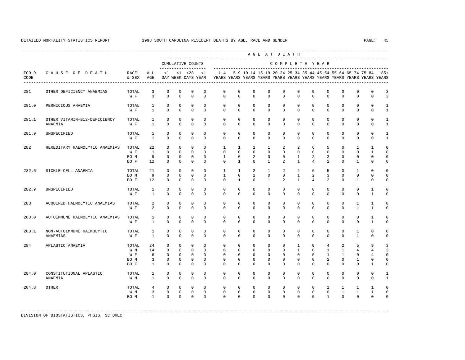|                 |                                                |                                     |                                       |                                                                    |                                                                    |                                                                     |                                                   |                                                                                                       |                                                      |                                                      | AGE AT DEATH                                            |                                                      |                                                           |                                                   |                                                                   |                                                                            |                                                         |                                                      |                                                 |
|-----------------|------------------------------------------------|-------------------------------------|---------------------------------------|--------------------------------------------------------------------|--------------------------------------------------------------------|---------------------------------------------------------------------|---------------------------------------------------|-------------------------------------------------------------------------------------------------------|------------------------------------------------------|------------------------------------------------------|---------------------------------------------------------|------------------------------------------------------|-----------------------------------------------------------|---------------------------------------------------|-------------------------------------------------------------------|----------------------------------------------------------------------------|---------------------------------------------------------|------------------------------------------------------|-------------------------------------------------|
|                 |                                                |                                     |                                       |                                                                    |                                                                    | CUMULATIVE COUNTS<br>-------------------                            |                                                   |                                                                                                       |                                                      |                                                      |                                                         | COMPLETE YEAR                                        |                                                           |                                                   |                                                                   |                                                                            |                                                         |                                                      |                                                 |
| $ICD-9$<br>CODE | CAUSE OF DEATH<br>---------------------------- | RACE<br>& SEX                       | ALL<br>AGE                            |                                                                    |                                                                    | $<1$ $<1$ $<28$                                                     | <1                                                | $1 - 4$<br>DAY WEEK DAYS YEAR YEARS YEARS YEARS YEARS YEARS YEARS YEARS YEARS YEARS YEARS YEARS YEARS |                                                      |                                                      |                                                         |                                                      |                                                           |                                                   |                                                                   | 5-9 10-14 15-19 20-24 25-34 35-44 45-54 55-64 65-74 75-84                  |                                                         |                                                      | $85+$                                           |
| 281             | OTHER DEFICIENCY ANAEMIAS                      | TOTAL<br>W F                        | 3<br>$\overline{3}$                   | $\Omega$<br>$\Omega$                                               | $\Omega$<br>$\Omega$                                               | $\mathbf{0}$<br>$\Omega$                                            | $\Omega$<br>$\Omega$                              | $\Omega$<br>$\Omega$                                                                                  | $\Omega$<br>$\Omega$                                 | $\Omega$<br>$\Omega$                                 | $\Omega$<br>$\Omega$                                    | $\Omega$<br>$\Omega$                                 | $\Omega$<br>$\Omega$                                      | $\Omega$<br>$\Omega$                              | $\Omega$<br>$\Omega$                                              | $\Omega$<br>$\Omega$                                                       | $\mathbf 0$<br>$\Omega$                                 | $\mathbf 0$<br>$\Omega$                              | 3<br>3                                          |
| 281.0           | PERNICIOUS ANAEMIA                             | TOTAL<br>W F                        | $\mathbf{1}$<br>$\overline{1}$        | $\Omega$<br>$\Omega$                                               | $\Omega$<br>$\Omega$                                               | $\Omega$<br>$\Omega$                                                | $\Omega$<br>$\Omega$                              | $\Omega$<br>$\Omega$                                                                                  | $\Omega$<br>$\Omega$                                 | $\Omega$<br>$\Omega$                                 | $\Omega$<br>$\Omega$                                    | $\Omega$<br>$\Omega$                                 | $\Omega$<br>$\cap$                                        | $\Omega$<br>$\cap$                                | $\Omega$<br>$\Omega$                                              | $\Omega$<br>$\Omega$                                                       | $\Omega$<br>$\Omega$                                    | $\Omega$<br>$\Omega$                                 | $\mathbf{1}$<br>$\mathbf{1}$                    |
| 281.1           | OTHER VITAMIN-B12-DEFICIENCY<br>ANAEMIA        | TOTAL<br>W F                        | $\overline{1}$<br>$\mathbf{1}$        | $\Omega$<br>$\Omega$                                               | $\Omega$<br>$\Omega$                                               | $\Omega$<br>$\Omega$                                                | $\Omega$<br>$\Omega$                              | $\Omega$<br>$\Omega$                                                                                  | $\Omega$<br>$\Omega$                                 | $\Omega$<br>$\Omega$                                 | $\Omega$<br>$\Omega$                                    | $\Omega$<br>$\Omega$                                 | $\Omega$<br>$\Omega$                                      | $\Omega$<br>$\Omega$                              | $\Omega$<br>$\Omega$                                              | $\Omega$<br>$\Omega$                                                       | $\mathbf 0$<br>$\mathbf 0$                              | $\Omega$<br>$\Omega$                                 | $\mathbf{1}$<br>$\mathbf{1}$                    |
| 281.9           | UNSPECIFIED                                    | TOTAL<br>W F                        | $\mathbf{1}$<br>$\mathbf{1}$          | $\mathbf{0}$<br>$\Omega$                                           | $\mathbf 0$<br>$\Omega$                                            | $\mathbf{0}$<br>$\Omega$                                            | $\mathbf 0$<br>$\Omega$                           | $\mathbf 0$<br>$\Omega$                                                                               | $\mathbf 0$<br>$\Omega$                              | $\mathbf 0$<br>$\Omega$                              | $\mathbf 0$<br>$\Omega$                                 | $\Omega$<br>$\Omega$                                 | $\Omega$<br>$\Omega$                                      | $\Omega$<br>$\Omega$                              | $\mathbf{0}$<br>$\Omega$                                          | $\Omega$<br>$\Omega$                                                       | $\mathbf 0$<br>$\Omega$                                 | $\Omega$<br>$\Omega$                                 | $\mathbf{1}$<br>$\mathbf{1}$                    |
| 282             | HEREDITARY HAEMOLYTIC ANAEMIAS                 | TOTAL<br>W F<br>BO M<br>BO F        | 22<br><sup>1</sup><br>9<br>12         | $\circ$<br>$\Omega$<br>$\mathbf{0}$<br>$\Omega$                    | $\mathbf 0$<br>$\Omega$<br>$\mathbf{0}$<br>$\Omega$                | $\mathbf 0$<br>$\Omega$<br>$\mathbf{0}$<br>$\Omega$                 | $\mathbf 0$<br>$\Omega$<br>$\Omega$<br>$\Omega$   | $\mathbf{1}$<br>$\Omega$<br>$\mathbf{1}$<br>$\Omega$                                                  | $\mathbf{1}$<br>$\Omega$<br>$\Omega$<br>$\mathbf{1}$ | $\overline{a}$<br>$\Omega$<br>2<br>$\Omega$          | $\mathbf{1}$<br>$\Omega$<br>$\Omega$<br>$\mathbf{1}$    | 2<br>$\Omega$<br>$\Omega$<br>$\mathfrak{D}$          | 2<br>$\Omega$<br>$\mathbf{1}$<br>$\mathbf{1}$             | 6<br>$\Omega$<br>$\overline{a}$<br>$\overline{4}$ | 5<br>$\Omega$<br>3<br>$\overline{a}$                              | $\mathbf 0$<br>$\Omega$<br>$\Omega$<br>$\Omega$                            | $\mathbf{1}$<br>$\Omega$<br>$\mathbf 0$<br>$\mathbf{1}$ | $\mathbf{1}$<br>$\mathbf{1}$<br>$\Omega$<br>$\Omega$ | $\mathbf 0$<br>$\Omega$<br>$\Omega$<br>$\Omega$ |
| 282.6           | SICKLE-CELL ANAEMIA                            | TOTAL<br>BO M<br>BO F               | 21<br>9<br>12                         | $\Omega$<br>$\Omega$<br>$\mathbf{0}$                               | $\Omega$<br>$\mathbf 0$<br>$\mathbf{0}$                            | $\Omega$<br>$\mathbf{0}$<br>$\mathbf{0}$                            | $\Omega$<br>$\Omega$<br>$\Omega$                  | $\overline{1}$<br>$\mathbf{1}$<br>$\Omega$                                                            | $\overline{1}$<br>$\Omega$<br>$\mathbf{1}$           | $\overline{a}$<br>$\overline{a}$<br>$\mathbf 0$      | $\mathbf{1}$<br>$\mathbf{0}$<br>$\mathbf{1}$            | 2<br>$\Omega$<br>2                                   | 2<br>$\mathbf{1}$<br>$\mathbf{1}$                         | 6<br>$\overline{a}$<br>$\overline{4}$             | 5<br>$\overline{3}$<br>2                                          | $\Omega$<br>$\mathbf 0$<br>$\mathbf 0$                                     | 1<br>$\mathbf 0$<br>$\mathbf{1}$                        | $\Omega$<br>$\Omega$<br>$\mathbf 0$                  | $\Omega$<br>$\Omega$<br>$\mathbf 0$             |
| 282.9           | UNSPECIFIED                                    | TOTAL<br>W F                        | $\mathbf{1}$<br>$\mathbf{1}$          | $\mathbf{0}$<br>$\Omega$                                           | $\mathbf 0$<br>$\mathbf 0$                                         | $\mathbf{0}$<br>$\Omega$                                            | $\Omega$<br>$\Omega$                              | $\Omega$<br>$\Omega$                                                                                  | $\Omega$<br>$\Omega$                                 | $\mathbf 0$<br>$\Omega$                              | $\Omega$<br>$\Omega$                                    | $\Omega$<br>$\Omega$                                 | $\Omega$<br>$\Omega$                                      | $\Omega$<br>$\Omega$                              | $\Omega$<br>$\mathbf{0}$                                          | $\Omega$<br>$\Omega$                                                       | $\mathbf 0$<br>$\mathbf 0$                              | $\mathbf{1}$<br>$\mathbf{1}$                         | $\Omega$<br>$\Omega$                            |
| 283             | ACQUIRED HAEMOLYTIC ANAEMIAS                   | TOTAL<br>W F                        | 2<br>2                                | $\mathbf{0}$<br>$\mathbf{0}$                                       | $\mathbf 0$<br>$\mathbf 0$                                         | $\mathbf{0}$<br>$\mathbf 0$                                         | $\mathbf 0$<br>$\Omega$                           | $\mathbf 0$<br>$\Omega$                                                                               | $\mathbf 0$<br>$\Omega$                              | $\mathbf 0$<br>$\mathbf 0$                           | $\mathbf 0$<br>$\mathbf 0$                              | $\mathbf 0$<br>$\Omega$                              | $\mathbf 0$<br>$\mathbf 0$                                | $\mathbf 0$<br>$\Omega$                           | $\mathbf 0$<br>$\mathbf{0}$                                       | $\mathbf 0$<br>$\mathbf 0$                                                 | $\mathbf{1}$<br>$\mathbf{1}$                            | $\mathbf{1}$<br>$\mathbf{1}$                         | $\Omega$<br>$\mathbf 0$                         |
| 283.0           | AUTOIMMUNE HAEMOLYTIC ANAEMIAS                 | TOTAL<br>W F                        | $\mathbf{1}$<br>$\mathbf{1}$          | $\mathbf{0}$<br>$\mathbf 0$                                        | $\Omega$<br>$\mathbf 0$                                            | $\mathbf{0}$<br>$\mathbf{0}$                                        | $\Omega$<br>$\Omega$                              | $\Omega$<br>$\Omega$                                                                                  | $\Omega$<br>$\mathbf 0$                              | $\Omega$<br>$\mathbf 0$                              | $\Omega$<br>$\mathbf 0$                                 | $\Omega$<br>$\mathbf 0$                              | $\Omega$<br>$\mathbf 0$                                   | $\Omega$<br>$\mathbf 0$                           | $\Omega$<br>$\mathbf{0}$                                          | $\Omega$<br>$\mathbf 0$                                                    | $\Omega$<br>$\mathbf 0$                                 | $\mathbf{1}$<br>$\mathbf{1}$                         | $\Omega$<br>$\mathbf 0$                         |
| 283.1           | NON-AUTOIMMUNE HAEMOLYTIC<br>ANAEMIAS          | TOTAL<br>W F                        | 1<br>$\mathbf{1}$                     | $\mathbf 0$<br>$\mathbf 0$                                         | $\mathbf 0$<br>$\mathbf{0}$                                        | $\mathbf{0}$<br>$\mathbf 0$                                         | $\mathbf 0$<br>$\Omega$                           | $\mathbf 0$<br>$\Omega$                                                                               | $\mathbf 0$<br>$\Omega$                              | $\mathbf 0$<br>$\Omega$                              | $\mathbf 0$<br>0                                        | $\mathbf 0$<br>$\mathbf 0$                           | $\mathbf 0$<br>$\mathbf 0$                                | $\mathbf 0$<br>$\mathbf 0$                        | $\mathbf 0$<br>$\mathbf 0$                                        | $\mathbf 0$<br>$\mathbf 0$                                                 | $\mathbf{1}$<br>$\mathbf{1}$                            | $\mathbf 0$<br>$\mathbf 0$                           | $\Omega$<br>0                                   |
| 284             | APLASTIC ANAEMIA                               | TOTAL<br>W M<br>W F<br>BO M<br>BO F | 24<br>14<br>6<br>3<br>$\mathbf{1}$    | $\mathbf 0$<br>$\Omega$<br>$\mathbf 0$<br>$\mathbf{0}$<br>$\Omega$ | $\mathbf 0$<br>$\Omega$<br>$\mathbf 0$<br>$\mathbf{0}$<br>$\Omega$ | $\mathbf{0}$<br>$\Omega$<br>$\mathbf{0}$<br>$\mathbf 0$<br>$\Omega$ | $\Omega$<br>$\Omega$<br>$\Omega$<br>0<br>$\Omega$ | $\mathbf 0$<br>$\Omega$<br>$\Omega$<br>0<br>$\Omega$                                                  | $\mathbf 0$<br>$\Omega$<br>$\Omega$<br>0<br>$\Omega$ | $\mathbf 0$<br>$\Omega$<br>$\Omega$<br>0<br>$\Omega$ | $\mathbf 0$<br>$\Omega$<br>$\mathbf 0$<br>0<br>$\Omega$ | $\mathbf 0$<br>$\Omega$<br>$\Omega$<br>0<br>$\Omega$ | $\mathbf{1}$<br>$\mathbf{1}$<br>$\Omega$<br>0<br>$\Omega$ | $\Omega$<br>$\Omega$<br>$\Omega$<br>0<br>$\Omega$ | $\overline{4}$<br>$\overline{1}$<br>$\mathbf{1}$<br>2<br>$\Omega$ | $\overline{a}$<br>$\mathbf{1}$<br>$\mathbf{1}$<br>$\mathbf{0}$<br>$\Omega$ | 5<br>$\overline{4}$<br>$\mathbf 0$<br>1<br>$\Omega$     | 9<br>4<br>$\overline{4}$<br>0<br>$\mathbf{1}$        | 3<br>3<br>$\Omega$<br>0<br>$\Omega$             |
| 284.0           | CONSTITUTIONAL APLASTIC<br>ANAEMIA             | TOTAL<br>W M                        | $\mathbf{1}$<br>$\mathbf{1}$          | $\mathbf{0}$<br>$\Omega$                                           | $\Omega$<br>$\Omega$                                               | $\Omega$<br>$\Omega$                                                | $\Omega$<br>$\Omega$                              | $\Omega$<br>$\Omega$                                                                                  | $\Omega$<br>$\Omega$                                 | $\Omega$<br>$\Omega$                                 | $\Omega$<br>$\Omega$                                    | $\Omega$<br>$\Omega$                                 | $\Omega$<br>$\Omega$                                      | $\Omega$<br>$\Omega$                              | $\Omega$<br>$\Omega$                                              | $\mathbf{0}$<br>$\Omega$                                                   | 0<br>$\Omega$                                           | $\Omega$<br>$\Omega$                                 | $\mathbf{1}$<br>$\mathbf{1}$                    |
| 284.8           | <b>OTHER</b>                                   | TOTAL<br>W M<br>BO M                | $\overline{4}$<br>3<br>$\overline{1}$ | $\mathbf 0$<br>0<br>$\Omega$                                       | $\mathbf 0$<br>$\mathbf 0$<br>$\Omega$                             | $\mathbf{0}$<br>$\mathbf{0}$<br>$\Omega$                            | $\Omega$<br>$\mathbf 0$<br>$\Omega$               | $\Omega$<br>$\Omega$<br>$\Omega$                                                                      | $\Omega$<br>$\mathbf 0$<br>$\Omega$                  | $\Omega$<br>$\mathbf 0$<br>$\Omega$                  | $\Omega$<br>$\mathbf 0$<br>$\Omega$                     | $\Omega$<br>$\mathbf 0$<br>$\Omega$                  | $\mathbf 0$<br>$\mathbf 0$<br>$\Omega$                    | $\Omega$<br>$\Omega$<br>$\Omega$                  | $\mathbf{1}$<br>$\mathbf 0$<br>$\mathbf{1}$                       | $\mathbf{1}$<br>$\mathbf{1}$<br>$\Omega$                                   | $\mathbf{1}$<br>$\mathbf{1}$<br>$\Omega$                | $\mathbf{1}$<br>$\mathbf{1}$<br>$\Omega$             | $\Omega$<br>$\Omega$<br>$\cap$                  |

-----------------------------------------------------------------------------------------------------------------------------------------------------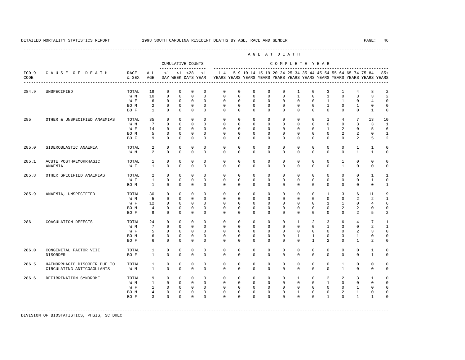|                 |                                                            |                                     |                                               |                                                                      |                                                                   |                                                                    |                                                                |                                                                                    |                                                                |                                                                   | AGE AT DEATH                                                   |                                                               |                                                                     |                                                                          |                                                                      |                                                           |                                                                               |                                                                        |                                                                           |
|-----------------|------------------------------------------------------------|-------------------------------------|-----------------------------------------------|----------------------------------------------------------------------|-------------------------------------------------------------------|--------------------------------------------------------------------|----------------------------------------------------------------|------------------------------------------------------------------------------------|----------------------------------------------------------------|-------------------------------------------------------------------|----------------------------------------------------------------|---------------------------------------------------------------|---------------------------------------------------------------------|--------------------------------------------------------------------------|----------------------------------------------------------------------|-----------------------------------------------------------|-------------------------------------------------------------------------------|------------------------------------------------------------------------|---------------------------------------------------------------------------|
|                 |                                                            |                                     |                                               |                                                                      |                                                                   | CUMULATIVE COUNTS<br>-------------------                           |                                                                |                                                                                    |                                                                |                                                                   |                                                                |                                                               |                                                                     |                                                                          | COMPLETE YEAR                                                        |                                                           |                                                                               |                                                                        |                                                                           |
| $ICD-9$<br>CODE | CAUSE OF DEATH                                             | RACE<br>& SEX                       | ALL<br>AGE                                    | <1                                                                   |                                                                   | $< 1$ $< 28$                                                       | <1<br>DAY WEEK DAYS YEAR                                       | $1 - 4$<br>YEARS YEARS YEARS YEARS YEARS YEARS YEARS YEARS YEARS YEARS YEARS YEARS |                                                                |                                                                   |                                                                |                                                               |                                                                     |                                                                          |                                                                      | 5-9 10-14 15-19 20-24 25-34 35-44 45-54 55-64 65-74 75-84 |                                                                               |                                                                        | $85+$                                                                     |
| 284.9           | UNSPECIFIED                                                | TOTAL<br>W M<br>W F                 | 19<br>10<br>6                                 | $\mathbf 0$<br>$\Omega$<br>$\mathbf 0$                               | $\mathbf 0$<br>$\Omega$<br>$\mathbf 0$                            | $\mathbf 0$<br>$\Omega$<br>$\mathbf 0$                             | $\Omega$<br>$\Omega$<br>$\Omega$                               | $\mathbf 0$<br>$\Omega$<br>$\mathbf 0$                                             | $\Omega$<br>$\Omega$<br>$\Omega$                               | $\mathbf 0$<br>$\Omega$<br>$\mathbf 0$                            | $\mathbf 0$<br>$\Omega$<br>$\Omega$                            | $\mathbf 0$<br>$\Omega$<br>$\circ$                            | $\mathbf{1}$<br>$\mathbf{1}$<br>$\mathbf 0$                         | $\mathbf 0$<br>$\Omega$<br>$\mathbf 0$                                   | 3<br>$\mathbf{1}$<br>$\mathbf{1}$                                    | 1<br>$\Omega$<br>$\mathbf{1}$                             | $\overline{4}$<br>3<br>$\mathbf 0$                                            | 8<br>3<br>$\overline{4}$                                               | $\overline{2}$<br>$\overline{a}$<br>$\mathbf 0$                           |
|                 |                                                            | BO M<br>BO F                        | 2<br>$\mathbf{1}$                             | $\mathbf 0$<br>$\Omega$                                              | $\mathbf 0$<br>$\Omega$                                           | $\mathbf 0$<br>$\Omega$                                            | $\mathbf 0$<br>$\Omega$                                        | $\mathbf 0$<br>$\Omega$                                                            | $\mathbf 0$<br>$\Omega$                                        | $\mathbf 0$<br>$\Omega$                                           | $\mathbf 0$<br>$\Omega$                                        | $\circ$<br>$\Omega$                                           | $\mathbf 0$<br>$\Omega$                                             | $\mathbf 0$<br>$\Omega$                                                  | $\mathbf{1}$<br>$\Omega$                                             | $\mathbf{0}$<br>$\Omega$                                  | $\mathbf{1}$<br>$\Omega$                                                      | $\mathbb O$<br>$\overline{1}$                                          | $\mathbf 0$<br>$\mathbf 0$                                                |
| 285             | OTHER & UNSPECIFIED ANAEMIAS                               | TOTAL<br>W M<br>W F<br>BO M<br>BO F | 35<br>$7\overline{ }$<br>14<br>5<br>9         | $\mathbf{0}$<br>$\Omega$<br>$\mathbf 0$<br>$\mathbf 0$<br>$\Omega$   | $\mathbf{0}$<br>$\Omega$<br>$\mathbf 0$<br>$\Omega$<br>$\Omega$   | $\mathbf{0}$<br>$\Omega$<br>$\mathbf 0$<br>$\mathbf 0$<br>$\Omega$ | $\mathbf 0$<br>$\Omega$<br>$\Omega$<br>$\Omega$<br>$\Omega$    | $\mathbf 0$<br>$\Omega$<br>$\mathbf 0$<br>$\Omega$<br>$\Omega$                     | $\mathbf 0$<br>$\Omega$<br>$\mathbf 0$<br>$\Omega$<br>$\Omega$ | $\mathbf 0$<br>$\Omega$<br>$\mathbf 0$<br>$\Omega$<br>$\Omega$    | $\mathbf 0$<br>$\Omega$<br>$\mathbf 0$<br>$\Omega$<br>$\Omega$ | $\mathbf 0$<br>$\Omega$<br>$\circ$<br>$\Omega$<br>$\Omega$    | $\mathbf 0$<br>$\Omega$<br>$\mathbf 0$<br>$\Omega$<br>$\Omega$      | $\mathbf 0$<br>$\Omega$<br>$\mathbf 0$<br>$\Omega$<br>$\Omega$           | $\mathbf{1}$<br>$\Omega$<br>$\mathbf{1}$<br>$\mathbf{0}$<br>$\Omega$ | $\overline{4}$<br>$\Omega$<br>2<br>2<br>$\Omega$          | $7\phantom{.0}$<br>3<br>$\mathbf 0$<br>2<br>2                                 | 13<br>3<br>5<br>0<br>5                                                 | 10<br>$\mathbf{1}$<br>6<br>$\mathbf{1}$<br>$\overline{2}$                 |
| 285.0           | SIDEROBLASTIC ANAEMIA                                      | TOTAL<br>W M                        | 2<br>2                                        | $\mathbf{0}$<br>$\Omega$                                             | $\Omega$<br>$\Omega$                                              | $\Omega$<br>$\Omega$                                               | $\Omega$<br>$\Omega$                                           | $\Omega$<br>$\Omega$                                                               | $\Omega$<br>$\Omega$                                           | $\Omega$<br>$\Omega$                                              | $\Omega$<br>$\Omega$                                           | $\Omega$<br>$\Omega$                                          | $\Omega$<br>$\Omega$                                                | $\Omega$<br>$\Omega$                                                     | $\Omega$<br>$\Omega$                                                 | $\Omega$<br>$\Omega$                                      | $\mathbf{1}$<br>$\mathbf{1}$                                                  | $\mathbf{1}$<br>$\mathbf{1}$                                           | $\mathbf 0$<br>$\mathbf 0$                                                |
| 285.1           | ACUTE POSTHAEMORRHAGIC<br>ANAEMIA                          | TOTAL<br>W F                        | $\mathbf{1}$<br>$\mathbf{1}$                  | $\mathbf 0$<br>$\mathbf 0$                                           | $\mathbf 0$<br>$\mathbf 0$                                        | $\Omega$<br>$\mathbf 0$                                            | $\Omega$<br>$\Omega$                                           | $\Omega$<br>$\mathbf 0$                                                            | $\Omega$<br>$\Omega$                                           | $\Omega$<br>$\Omega$                                              | $\Omega$<br>$\mathbf 0$                                        | $\circ$<br>$\mathbf 0$                                        | $\mathbf 0$<br>$\mathbf 0$                                          | $\mathbf 0$<br>$\mathbf 0$                                               | $\mathbf 0$<br>$\mathbf{0}$                                          | $\overline{1}$<br>$\mathbf{1}$                            | $\circ$<br>$\mathbf 0$                                                        | $\mathbf 0$<br>$\mathbf 0$                                             | $\mathbf 0$<br>$\mathbb O$                                                |
| 285.8           | OTHER SPECIFIED ANAEMIAS                                   | TOTAL<br>W F<br>BO M                | 2<br>$\mathbf{1}$<br>$\mathbf{1}$             | $\Omega$<br>$\mathbf 0$<br>$\Omega$                                  | $\Omega$<br>$\mathbf 0$<br>$\Omega$                               | $\Omega$<br>$\mathbf 0$<br>$\Omega$                                | $\Omega$<br>$\mathbf 0$<br>$\Omega$                            | $\Omega$<br>$\mathbf 0$<br>$\Omega$                                                | $\Omega$<br>$\mathbf 0$<br>$\Omega$                            | $\Omega$<br>$\mathbf 0$<br>$\Omega$                               | $\Omega$<br>$\mathbf 0$<br>$\Omega$                            | $\Omega$<br>$\mathbf 0$<br>$\Omega$                           | $\mathbf 0$<br>$\mathbf 0$<br>$\Omega$                              | $\mathbf 0$<br>$\mathbf 0$<br>$\Omega$                                   | $\mathbf 0$<br>$\mathbf{0}$<br>$\Omega$                              | $\mathbf{0}$<br>$\mathbf{0}$<br>$\Omega$                  | $\circ$<br>$\mathbf 0$<br>$\Omega$                                            | $\mathbf{1}$<br>1<br>$\Omega$                                          | $\mathbf{1}$<br>$\mathbb O$<br>1                                          |
| 285.9           | ANAEMIA, UNSPECIFIED                                       | TOTAL<br>W M<br>W F<br>BO M<br>BO F | 30<br>5<br>12<br>$\overline{4}$<br>9          | $\mathbf{0}$<br>$\Omega$<br>$\mathbf 0$<br>$\mathbf{0}$<br>$\Omega$  | 0<br>$\Omega$<br>$\mathbf 0$<br>$\mathbf{0}$<br>$\Omega$          | 0<br>$\Omega$<br>$\mathbf 0$<br>$\Omega$<br>$\Omega$               | $\Omega$<br>$\Omega$<br>$\Omega$<br>$\Omega$<br>$\Omega$       | $\mathbf 0$<br>$\Omega$<br>$\mathbf 0$<br>$\mathbf 0$<br>$\Omega$                  | 0<br>$\Omega$<br>$\mathbf 0$<br>$\Omega$<br>$\Omega$           | $\mathbf 0$<br>$\Omega$<br>$\mathbf 0$<br>0<br>$\Omega$           | 0<br>$\Omega$<br>$\mathbf 0$<br>0<br>$\Omega$                  | $\mathbf 0$<br>$\Omega$<br>$\circ$<br>0<br>$\Omega$           | $\mathbf 0$<br>$\Omega$<br>$\mathbf 0$<br>$^{\circ}$<br>$\Omega$    | $\mathbf 0$<br>$\Omega$<br>$\mathbf 0$<br>0<br>$\Omega$                  | 1<br>$\Omega$<br>1<br>$\mathbf 0$<br>$\Omega$                        | 3<br>$\Omega$<br>$\mathbf{1}$<br>2<br>$\Omega$            | 6<br>2<br>$\mathbf 0$<br>2<br>2                                               | 11<br>2<br>$\overline{4}$<br>0<br>5                                    | 9<br>$\mathbf{1}$<br>6<br>$\mathbf 0$<br>$\overline{2}$                   |
| 286             | COAGULATION DEFECTS                                        | TOTAL<br>W M<br>W F<br>BO M<br>BO F | 24<br>$7\phantom{.0}$<br>5<br>6<br>6          | $\Omega$<br>$\mathbf 0$<br>$\mathbf 0$<br>$\mathbf 0$<br>$\mathbf 0$ | $\Omega$<br>$\Omega$<br>$\mathbf 0$<br>$\mathbf 0$<br>$\mathbf 0$ | $\Omega$<br>$\Omega$<br>$\mathbf{0}$<br>$\Omega$<br>$\mathbf 0$    | $\Omega$<br>$\Omega$<br>$\mathbf 0$<br>$\Omega$<br>$\Omega$    | $\Omega$<br>$\Omega$<br>$\mathbf 0$<br>$\mathbf 0$<br>$\Omega$                     | $\Omega$<br>$\Omega$<br>0<br>$\Omega$<br>$\Omega$              | $\Omega$<br>$\Omega$<br>0<br>$\mathbf 0$<br>$\Omega$              | $\Omega$<br>$\mathbf 0$<br>0<br>$\circ$<br>$\mathbf 0$         | $\Omega$<br>$\Omega$<br>0<br>$\mathbf 0$<br>$\Omega$          | $\mathbf{1}$<br>$\mathbf 0$<br>0<br>$\mathbf{1}$<br>$\mathbf 0$     | $\mathfrak{D}$<br>$\Omega$<br>$^{\circ}$<br>$\mathbf{1}$<br>$\mathbf{1}$ | 3<br>$\mathbf{1}$<br>$\mathbf 0$<br>$\mathbf{0}$<br>2                | 6<br>$\overline{3}$<br>$\mathbf 0$<br>3<br>$\Omega$       | $\overline{4}$<br>$\circ$<br>2<br>$\mathbf{1}$<br>$\mathbf{1}$                | 7<br>2<br>3<br>$\mathbf 0$<br>$\overline{a}$                           | $\mathbf{1}$<br>$\mathbf{1}$<br>$\mathbf 0$<br>$\mathbf 0$<br>$\mathbb O$ |
| 286.0           | CONGENITAL FACTOR VIII<br><b>DISORDER</b>                  | TOTAL<br>BO F                       | $\mathbf{1}$<br>$\mathbf{1}$                  | $\mathbf 0$<br>$\mathbf 0$                                           | $\mathbf 0$<br>$\mathbf 0$                                        | $\Omega$<br>$\mathbf 0$                                            | $\Omega$<br>$\mathbf 0$                                        | $\mathbf 0$<br>$\mathbf 0$                                                         | $\mathbf 0$<br>$\mathbf 0$                                     | $\mathbf 0$<br>$\mathbf 0$                                        | $\mathbf 0$<br>$\mathbf 0$                                     | $\mathbf 0$<br>$\mathbf 0$                                    | $\mathbf 0$<br>$\mathbf 0$                                          | $\mathbf 0$<br>$\mathbf 0$                                               | $\mathbf 0$<br>$\mathbf 0$                                           | $\mathbf{0}$<br>$\circ$                                   | $\mathbf 0$<br>$\mathbf 0$                                                    | $\mathbf{1}$<br>$\mathbf{1}$                                           | $\mathbf 0$<br>$\mathbb O$                                                |
| 286.5           | HAEMORRHAGIC DISORDER DUE TO<br>CIRCULATING ANTICOAGULANTS | TOTAL<br>W M                        | $\mathbf{1}$<br>1                             | $\mathbf 0$<br>$\mathbf 0$                                           | $\mathbf 0$<br>$\mathbf 0$                                        | $\mathbf 0$<br>$\mathbf 0$                                         | $\mathbf 0$<br>$\mathbf 0$                                     | $\mathbf 0$<br>$\mathbf 0$                                                         | $\mathbf 0$<br>$\mathbf 0$                                     | $\mathbf 0$<br>$\mathbf 0$                                        | $\mathbf 0$<br>$\circ$                                         | $\circ$<br>$\mathbf 0$                                        | $\mathbf 0$<br>$\mathbf 0$                                          | $\mathbf 0$<br>$\mathbf 0$                                               | $\mathbf 0$<br>$\mathbf{0}$                                          | $\mathbf{1}$<br>$\mathbf{1}$                              | $\circ$<br>$\mathbf 0$                                                        | $\mathbf 0$<br>$\mathbf 0$                                             | $\mathbf 0$<br>$\mathbf 0$                                                |
| 286.6           | DEFIBRINATION SYNDROME                                     | TOTAL<br>W M<br>W F<br>BO M<br>BO F | 9<br>1<br>$\mathbf{1}$<br>$\overline{4}$<br>3 | $\mathbf 0$<br>$\mathbf 0$<br>$\mathbf 0$<br>$\mathbf 0$<br>$\Omega$ | $\mathbf 0$<br>$\Omega$<br>$\Omega$<br>$\mathbf 0$<br>$\Omega$    | $\mathbf 0$<br>$\Omega$<br>$\Omega$<br>$\mathbf 0$<br>$\Omega$     | $\mathbf 0$<br>$\Omega$<br>$\Omega$<br>$\mathbf 0$<br>$\Omega$ | $\mathbf 0$<br>$\Omega$<br>$\Omega$<br>$\mathbf 0$<br>$\Omega$                     | $\mathbf 0$<br>$\Omega$<br>$\Omega$<br>$\mathbf 0$<br>$\Omega$ | $\mathbf 0$<br>$\mathbf 0$<br>$\Omega$<br>$\mathbf 0$<br>$\Omega$ | $\mathbf 0$<br>$\circ$<br>$\Omega$<br>$\mathbf 0$<br>$\Omega$  | $\mathbf 0$<br>$\mathbf 0$<br>$\Omega$<br>$\circ$<br>$\Omega$ | $\mathbf{1}$<br>$\mathbf 0$<br>$\Omega$<br>$\mathbf{1}$<br>$\Omega$ | $\mathbf 0$<br>$\Omega$<br>$\Omega$<br>$\mathbf 0$<br>$\Omega$           | 2<br>$\mathbf{1}$<br>$\mathbf{0}$<br>$\mathbf{0}$<br>$\mathbf{1}$    | 2<br>$\Omega$<br>$\Omega$<br>2<br>$\Omega$                | $\overline{3}$<br>$\mathbf 0$<br>$\mathbf{1}$<br>$\mathbf{1}$<br>$\mathbf{1}$ | $\mathbf{1}$<br>$\Omega$<br>$\mathbf 0$<br>$\mathbf 0$<br>$\mathbf{1}$ | $\mathbf 0$<br>$\mathbf 0$<br>$\mathbf 0$<br>$\mathbf 0$<br>$\mathbf 0$   |

-----------------------------------------------------------------------------------------------------------------------------------------------------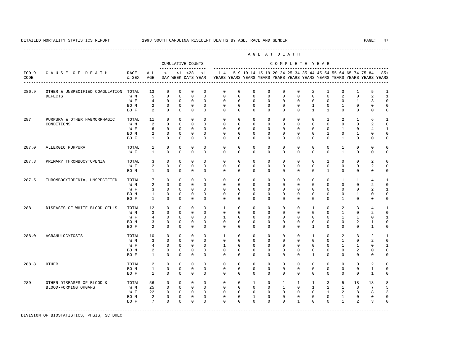----------------------------------------------------------------------------------------------------------------------------------------------------

 A G E A T D E A T H --------------------------------------------------------------------------------------------- CUMULATIVE COUNTS C O M P L E T E Y E A R ------------------- ----------------------------------------------------------------------- ICD-9 C A U S E O F D E A T H RACE ALL <1 <1 <28 <1 1-4 5-9 10-14 15-19 20-24 25-34 35-44 45-54 55-64 65-74 75-84 85+ CODE & SEX AGE DAY WEEK DAYS YEAR YEARS YEARS YEARS YEARS YEARS YEARS YEARS YEARS YEARS YEARS YEARS YEARS ---------------------------------------------------------------------------------------------------------------------------------------------------- 286.9 OTHER & UNSPECIFIED COAGULATION TOTAL 13 0 0 0 0 0 0 0 0 0 0 2 1 3 1 5 1 DEFECTS W M 5 0 0 0 0 0 0 0 0 0 0 0 0 2 0 2 1 W F 4 0 0 0 0 0 0 0 0 0 0 0 0 0 0 1 3 0 BOM 2 0 0 0 0 0 0 0 0 0 0 0 1 0 1 0 0 0 BOF 2 0 0 0 0 0 0 0 0 0 0 1 1 0 0 0 0 287 PURPURA & OTHER HAEMORRHAGIC TOTAL 11 0 0 0 0 0 0 0 0 0 0 0 1 2 1 6 1 CONDITIONS W M 2 0 0 0 0 0 0 0 0 0 0 0 0 0 0 2 0 W F G O O O O O O O O O O O O O 1 O 4 1 BOM 2 0 0 0 0 0 0 0 0 0 0 0 1 0 1 0 0 BO F 1 0 0 0 0 0 0 0 0 0 0 0 0 1 0 0 0 287.0 ALLERGIC PURPURA TOTAL 1 0 0 0 0 0 0 0 0 0 0 0 0 1 0 0 0 W F 1 0 0 0 0 0 0 0 0 0 0 0 0 1 0 0 0 287.3 PRIMARY THROMBOCYTOPENIA TOTAL 3 0 0 0 0 0 0 0 0 0 0 0 1 0 0 2 0 W F 2 0 0 0 0 0 0 0 0 0 0 0 0 0 0 0 2 0<br>ROM 1 0 0 0 0 0 0 0 0 0 0 0 0 1 0 0 0 0 0 BO M 1 0 0 0 0 0 0 0 0 0 0 0 1 0 0 0 0 287.5 THROMBOCYTOPENIA, UNSPECIFIED TOTAL 7 0 0 0 0 0 0 0 0 0 0 0 0 1 1 4 1 W M 2 0 0 0 0 0 0 0 0 0 0 0 0 0 0 2 0 W F 3 0 0 0 0 0 0 0 0 0 0 0 0 0 0 2 1 BOM 1 0 0 0 0 0 0 0 0 0 0 0 0 0 1 0 0 BO F 1 0 0 0 0 0 0 0 0 0 0 0 0 1 0 0 0 288 DISEASES OF WHITE BLOOD CELLS TOTAL 12 0 0 0 0 1 0 0 0 0 0 1 0 2 3 4 1 W M 3 0 0 0 0 0 0 0 0 0 0 0 0 1 0 2 0 W F 4 0 0 0 0 1 0 0 0 0 0 0 0 0 1 1 0 1 BO M 3 0 0 0 0 0 0 0 0 0 0 0 0 0 2 1 0 BOF 2 0 0 0 0 0 0 0 0 0 0 0 0 0 0 1 0 288.0 AGRANULOCYTOSIS TOTAL 10 0 0 0 0 1 0 0 0 0 0 1 0 2 3 2 1 W M 3 0 0 0 0 0 0 0 0 0 0 0 0 1 0 2 0 W F 4 0 0 0 0 1 0 0 0 0 0 0 0 0 1 1 0 1 BOM 2 0 0 0 0 0 0 0 0 0 0 0 0 0 2 0 0 BO F 1 0 0 0 0 0 0 0 0 0 0 1 0 0 0 0 0 288.8 OTHER TOTAL 2 0 0 0 0 0 0 0 0 0 0 0 0 0 0 2 0 BO M 1 0 0 0 0 0 0 0 0 0 0 0 0 0 0 1 0 BO F 1 0 0 0 0 0 0 0 0 0 0 0 0 0 0 1 0 289 OTHER DISEASES OF BLOOD & TOTAL 56 0 0 0 0 0 0 1 0 1 1 1 3 5 18 18 8 BLOOD-FORMING ORGANS W M 25 0 0 0 0 0 0 0 0 0 0 1 0 1 2 1 8 7 5<br>W F 22 0 0 0 0 0 0 0 0 0 0 0 0 1 2 8 8 3 W F 22 0 0 0 0 0 0 0 0 0 0 0 1 2 8 8 3 BO M 2 0 0 0 0 0 0 1 0 0 0 0 0 1 0 0 0 BO F 7 0 0 0 0 0 0 0 0 0 1 0 0 1 2 3 0 -----------------------------------------------------------------------------------------------------------------------------------------------------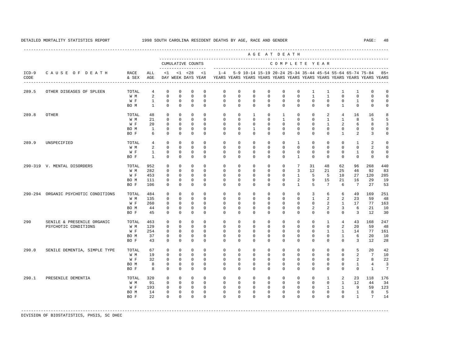|                 |                                                    |                                     |                                                     |                                                                           |                                                                       |                                                                        |                                                                    |                                                                   |                                                                   |                                                                         |                                                                         | AGE AT DEATH                                                  |                                                                        |                                                                         |                                                                    |                                                                       |                                                           |                                                                         |                                                          |
|-----------------|----------------------------------------------------|-------------------------------------|-----------------------------------------------------|---------------------------------------------------------------------------|-----------------------------------------------------------------------|------------------------------------------------------------------------|--------------------------------------------------------------------|-------------------------------------------------------------------|-------------------------------------------------------------------|-------------------------------------------------------------------------|-------------------------------------------------------------------------|---------------------------------------------------------------|------------------------------------------------------------------------|-------------------------------------------------------------------------|--------------------------------------------------------------------|-----------------------------------------------------------------------|-----------------------------------------------------------|-------------------------------------------------------------------------|----------------------------------------------------------|
|                 |                                                    |                                     |                                                     |                                                                           |                                                                       | CUMULATIVE COUNTS<br>--------------------                              |                                                                    |                                                                   |                                                                   |                                                                         |                                                                         | COMPLETE YEAR                                                 |                                                                        |                                                                         |                                                                    |                                                                       |                                                           |                                                                         |                                                          |
| $ICD-9$<br>CODE | CAUSE OF DEATH                                     | RACE<br>& SEX                       | ALL<br>AGE                                          | $\leq 1$                                                                  |                                                                       | $< 1$ $< 28$<br>DAY WEEK DAYS YEAR                                     | $\leq$ 1                                                           | $1 - 4$                                                           |                                                                   |                                                                         |                                                                         |                                                               |                                                                        |                                                                         |                                                                    |                                                                       | 5-9 10-14 15-19 20-24 25-34 35-44 45-54 55-64 65-74 75-84 | YEARS YEARS YEARS YEARS YEARS YEARS YEARS YEARS YEARS YEARS YEARS YEARS | $85+$                                                    |
| 289.5           | OTHER DISEASES OF SPLEEN                           | TOTAL<br>W M<br>W F<br>BO M         | 4<br>2<br>$\mathbf{1}$<br>$\mathbf{1}$              | $\mathbf 0$<br>$\Omega$<br>$\mathbf 0$<br>$\mathbf 0$                     | $\mathbf 0$<br>$\Omega$<br>$\mathbf 0$<br>$\mathbf 0$                 | $\mathbf 0$<br>$\Omega$<br>$\mathbf 0$<br>$\mathbf 0$                  | $\mathbf 0$<br>$\Omega$<br>$\mathbf 0$<br>$\mathbf 0$              | $\mathbf 0$<br>$\Omega$<br>$\mathbf 0$<br>$\mathbf 0$             | $\mathbf 0$<br>$\Omega$<br>$\mathbf 0$<br>$\mathbf 0$             | $\mathbf{0}$<br>$\Omega$<br>$\mathbf{0}$<br>$\mathbf{0}$                | $\mathbf 0$<br>$\Omega$<br>$\mathbf 0$<br>$\mathbf 0$                   | $\mathbf 0$<br>$\Omega$<br>$\mathbf 0$<br>$\mathbf 0$         | $\mathbf 0$<br>$\Omega$<br>$\mathbf 0$<br>$^{\circ}$                   | $\mathbf{1}$<br>$\mathbf{1}$<br>$\mathbf 0$<br>$\mathbf 0$              | 1<br>$\overline{1}$<br>$\mathbf 0$<br>$\mathbf 0$                  | 1<br>$\Omega$<br>$\mathbf 0$<br>$\mathbf{1}$                          | 1<br>$\Omega$<br>$\mathbf{1}$<br>$\mathbf 0$              | $\mathbf 0$<br>$\Omega$<br>$\mathbf 0$<br>$^{\circ}$                    | $\mathbb O$<br>$\Omega$<br>$\mathbf 0$<br>$\mathbf 0$    |
| 289.8           | <b>OTHER</b>                                       | TOTAL<br>W M<br>W F<br>BO M<br>BO F | 48<br>21<br>20<br>$\mathbf{1}$<br>6                 | $\mathbf 0$<br>$\mathbf 0$<br>$\mathbf 0$<br>$\mathbf 0$<br>$\mathbf 0$   | $\mathbf 0$<br>$\Omega$<br>$\mathbf 0$<br>$\mathbf 0$<br>$\mathbf 0$  | $\mathbf 0$<br>$\Omega$<br>$\mathbf 0$<br>$\mathbf 0$<br>$\mathbf 0$   | $\mathbf 0$<br>$\Omega$<br>$\Omega$<br>$\Omega$<br>$\mathbf 0$     | $\mathbf 0$<br>$\Omega$<br>$\mathbf 0$<br>$\Omega$<br>$\Omega$    | $\mathbf 0$<br>$\Omega$<br>$\mathbf 0$<br>$\Omega$<br>$\mathbf 0$ | 1<br>$\Omega$<br>$\mathbf 0$<br>$\mathbf{1}$<br>$\mathbf 0$             | $\mathbf{0}$<br>$\Omega$<br>$\mathbf 0$<br>$\Omega$<br>0                | $\mathbf{1}$<br>1<br>$\mathbf 0$<br>$\Omega$<br>$\mathbf 0$   | $\mathbf{0}$<br>$\Omega$<br>$\mathbf 0$<br>$\Omega$<br>$\mathbf 0$     | $\mathbf 0$<br>$\Omega$<br>$\mathbf 0$<br>$\Omega$<br>$\Omega$          | 2<br>$\overline{1}$<br>$\mathbf{1}$<br>$\Omega$<br>$\mathbf 0$     | 4<br>$\mathbf{1}$<br>2<br>$\mathbf{0}$<br>$\mathbf{1}$                | 16<br>8<br>6<br>$\mathbf 0$<br>2                          | 16<br>5<br>8<br>$^{\circ}$<br>3                                         | 8<br>5<br>3<br>$\mathbf 0$<br>$\mathbf 0$                |
| 289.9           | UNSPECIFIED                                        | TOTAL<br>W M<br>W F<br>BO F         | $\overline{4}$<br>2<br>$\mathbf{1}$<br>$\mathbf{1}$ | $\mathbf 0$<br>$\mathbf 0$<br>$\mathbf 0$<br>$\Omega$                     | $\mathbf 0$<br>$\mathbf 0$<br>$\mathbf 0$<br>$\Omega$                 | $\mathbf 0$<br>$\mathbf 0$<br>$\mathbf 0$<br>$\Omega$                  | $\Omega$<br>$\Omega$<br>$\mathbf 0$<br>$\Omega$                    | $\Omega$<br>$\mathbf 0$<br>$\mathbf 0$<br>$\Omega$                | $\mathbf 0$<br>$\mathbf 0$<br>0<br>$\Omega$                       | $\mathbf 0$<br>$\mathbf{0}$<br>0<br>$\Omega$                            | $\mathbf 0$<br>$\mathbf 0$<br>0<br>$\Omega$                             | $\mathbf 0$<br>$\mathbf 0$<br>0<br>$\Omega$                   | $\mathbf{1}$<br>$\mathbf 0$<br>$^{\circ}$<br>$\mathbf{1}$              | $\mathbf 0$<br>$\Omega$<br>$^{\circ}$<br>$\Omega$                       | $\mathbf{0}$<br>$\Omega$<br>$\mathbf{0}$<br>$\Omega$               | $\mathbf 0$<br>$\Omega$<br>0<br>$\Omega$                              | $\mathbf{1}$<br>$\mathbf 0$<br>$\mathbf{1}$<br>$\Omega$   | $\overline{a}$<br>2<br>0<br>$\Omega$                                    | $\mathbf 0$<br>$\mathbf 0$<br>$\mathbf 0$<br>$\mathbf 0$ |
|                 | 290-319 V. MENTAL DISORDERS                        | TOTAL<br>W M<br>W F<br>BO M<br>BO F | 952<br>282<br>453<br>111<br>106                     | $\mathbf{0}$<br>$\mathbf 0$<br>$\mathbf{0}$<br>$\mathbf 0$<br>$\mathbf 0$ | $\Omega$<br>$\mathbf 0$<br>$\mathbf{0}$<br>$\mathbf 0$<br>$\mathbf 0$ | $\Omega$<br>$\mathbf 0$<br>$\mathbf 0$<br>0<br>$\mathbf 0$             | $\Omega$<br>$\Omega$<br>$\mathbf{0}$<br>$\mathbf 0$<br>$\mathbf 0$ | $\Omega$<br>$\mathbf 0$<br>0<br>$\mathbf 0$<br>$\mathbf 0$        | 0<br>$\mathbf 0$<br>0<br>$\mathbf 0$<br>$\mathbf 0$               | $\Omega$<br>$\mathbf 0$<br>$\mathbf 0$<br>$\mathbf 0$<br>$\mathbf{0}$   | $\Omega$<br>$\mathbf 0$<br>$\mathbf{0}$<br>$\mathbf 0$<br>$\mathbf 0$   | $\Omega$<br>$\mathbf 0$<br>0<br>$\mathbf 0$<br>$\mathbf 0$    | $7\phantom{.0}$<br>3<br>$\mathbf{1}$<br>2<br>$\mathbf{1}$              | 31<br>12<br>5<br>9<br>5                                                 | 48<br>21<br>-5<br>15<br>$7\phantom{.0}$                            | 62<br>25<br>10<br>21<br>6                                             | 96<br>46<br>27<br>16<br>$7\overline{ }$                   | 268<br>92<br>120<br>29<br>27                                            | 440<br>83<br>285<br>19<br>53                             |
|                 | 290-294 ORGANIC PSYCHOTIC CONDITIONS               | TOTAL<br>W M<br>W F<br>BO M<br>BO F | 484<br>135<br>260<br>44<br>45                       | $\mathbf 0$<br>$\mathbf 0$<br>$\mathbf 0$<br>$\mathbf{0}$<br>$\mathbf 0$  | $\mathbf 0$<br>$\Omega$<br>$\mathbf 0$<br>$\mathbf 0$<br>$\mathbf 0$  | $\mathbf 0$<br>$\Omega$<br>$\mathbf 0$<br>$\mathbf 0$<br>$\mathbf 0$   | $\mathbf 0$<br>$\Omega$<br>$\mathbf 0$<br>$\mathbf 0$<br>$\Omega$  | $\mathbf 0$<br>$\Omega$<br>$\mathbf 0$<br>$\mathbf 0$<br>$\Omega$ | $\mathbf 0$<br>$\Omega$<br>$\mathbf 0$<br>0<br>$\mathbf 0$        | $\mathbf{0}$<br>$\Omega$<br>$\mathbf{0}$<br>$\mathbf 0$<br>$\mathbf 0$  | 0<br>$\Omega$<br>0<br>$\mathbf{0}$<br>$\mathbf 0$                       | $\mathbf 0$<br>$\Omega$<br>0<br>$\mathbf{0}$<br>$\mathbf 0$   | $\mathbf 0$<br>$\Omega$<br>0<br>$\mathbf{0}$<br>$\mathbf 0$            | 3<br>$\mathbf{1}$<br>$\mathbf 0$<br>2<br>$\mathbf 0$                    | 6<br>2<br>2<br>2<br>$\mathbf{0}$                                   | 6<br>2<br>$\mathbf{1}$<br>3<br>$\mathbf 0$                            | 49<br>23<br>17<br>6<br>3                                  | 169<br>59<br>77<br>21<br>12                                             | 251<br>48<br>163<br>10<br>30                             |
| 290             | SENILE & PRESENILE ORGANIC<br>PSYCHOTIC CONDITIONS | TOTAL<br>W M<br>W F<br>BO M<br>BO F | 463<br>129<br>254<br>37<br>43                       | $\mathbf 0$<br>$\mathbf 0$<br>0<br>$\Omega$<br>$\mathbf 0$                | $\mathbf 0$<br>$\mathbf 0$<br>$\mathbf 0$<br>$\Omega$<br>$\mathbf 0$  | $\mathbf 0$<br>$\mathbf 0$<br>$\mathbf 0$<br>$\Omega$<br>$\mathbf 0$   | $\mathbf 0$<br>$\Omega$<br>$\mathbf 0$<br>$\Omega$<br>$\mathbf 0$  | $\mathbf 0$<br>$\mathbf 0$<br>$\mathbf 0$<br>$\Omega$<br>$\Omega$ | $\mathbf 0$<br>$\mathbf 0$<br>0<br>$\Omega$<br>$\mathbf 0$        | $\mathbf 0$<br>$\mathbf{0}$<br>$\mathbf 0$<br>$\Omega$<br>$\mathbf{0}$  | 0<br>0<br>0<br>$\Omega$<br>$\mathbf 0$                                  | $\mathbf 0$<br>$\mathbf 0$<br>0<br>$\Omega$<br>$\mathbf 0$    | $\mathbf 0$<br>0<br>0<br>$\Omega$<br>0                                 | $\mathbf 0$<br>$\mathbf 0$<br>0<br>$\Omega$<br>$\mathbf 0$              | $\mathbf{1}$<br>$\mathbf 0$<br>1<br>$\Omega$<br>$\mathbf 0$        | $\overline{4}$<br>2<br>$\mathbf{1}$<br>$\mathbf{1}$<br>$\Omega$       | 43<br>20<br>14<br>6<br>3                                  | 168<br>59<br>77<br>20<br>12                                             | 247<br>48<br>161<br>10<br>28                             |
| 290.0           | SENILE DEMENTIA, SIMPLE TYPE                       | TOTAL<br>W M<br>W F<br>BO M<br>BO F | 67<br>19<br>32<br>8<br>8                            | $\mathbf 0$<br>$\mathbf 0$<br>$\mathbf 0$<br>$\mathbf 0$<br>$\Omega$      | $\mathbf 0$<br>$\mathbf 0$<br>$\mathbf 0$<br>$\mathbf 0$<br>$\Omega$  | $\mathbf 0$<br>$\mathbf 0$<br>$\mathbf 0$<br>$\mathbb O$<br>$\Omega$   | $\Omega$<br>$\mathbf 0$<br>$\mathbf 0$<br>$\mathbf 0$<br>$\Omega$  | $\Omega$<br>$\mathbf 0$<br>$\mathbf 0$<br>$\mathbf 0$<br>$\Omega$ | $\mathbf 0$<br>0<br>$\mathbf 0$<br>$\mathbf 0$<br>$\Omega$        | $\mathbf 0$<br>$\mathbf{0}$<br>$\mathbf{0}$<br>$\mathbf{0}$<br>$\Omega$ | $\mathbf 0$<br>0<br>0<br>$\mathbf 0$<br>$\Omega$                        | $\mathbf 0$<br>0<br>$\mathbf 0$<br>$\mathbf 0$<br>$\Omega$    | $\mathbf 0$<br>0<br>$\mathbf 0$<br>0<br>$\Omega$                       | $\mathbf 0$<br>$^{\circ}$<br>$\mathbf 0$<br>$\mathbf 0$<br>$\Omega$     | $\Omega$<br>$\mathbf{0}$<br>$\mathbf 0$<br>$\mathbf 0$<br>$\Omega$ | $\mathbf 0$<br>$\mathbf 0$<br>$\mathbf 0$<br>$\mathbf{0}$<br>$\Omega$ | 5<br>2<br>$\overline{a}$<br>$\mathbf{1}$<br>$\Omega$      | 20<br>$7^{\circ}$<br>8<br>$\overline{4}$<br>$\mathbf{1}$                | 42<br>10<br>22<br>3<br>$\overline{7}$                    |
| 290.1           | PRESENILE DEMENTIA                                 | TOTAL<br>W M<br>W F<br>BO M<br>BO F | 320<br>91<br>193<br>14<br>22                        | $\mathbf 0$<br>$\mathbf 0$<br>$\mathbf{0}$<br>$\mathbf 0$<br>$\Omega$     | $\mathbf 0$<br>$\mathbf 0$<br>$\circ$<br>$\mathbf 0$<br>$\Omega$      | $\mathbf 0$<br>$^{\circ}$<br>$\overline{0}$<br>$\mathbb O$<br>$\Omega$ | $\Omega$<br>$\Omega$<br>$\mathbf{0}$<br>$\mathbf 0$<br>$\Omega$    | $\mathbf 0$<br>$\mathbf 0$<br>$\circ$<br>$\mathbf 0$<br>$\Omega$  | 0<br>$\mathbf 0$<br>$\mathbf 0$<br>$\mathbf 0$<br>$\Omega$        | $\circ$<br>$\mathbf 0$<br>$\mathbf{0}$<br>$\mathbf 0$<br>$\Omega$       | $\mathbf{0}$<br>$\mathbf{0}$<br>$\mathbf{0}$<br>$\mathbf 0$<br>$\Omega$ | $\mathbf{0}$<br>$\mathbf{0}$<br>$\mathbf{0}$<br>0<br>$\Omega$ | $\mathbf{0}$<br>$\mathbf{0}$<br>$\mathbf{0}$<br>$^{\circ}$<br>$\Omega$ | $\mathbf{0}$<br>$\mathbf{0}$<br>$\mathbf{0}$<br>$\mathbf 0$<br>$\Omega$ | 1<br>$\mathbf{0}$<br>$\mathbf{1}$<br>$\mathbf 0$<br>$\Omega$       | 2<br>1<br>$\mathbf{1}$<br>$\mathbf 0$<br>$\Omega$                     | 23<br>12<br>9<br>$\mathbf{1}$<br>$\mathbf{1}$             | 118<br>44<br>59<br>8<br>$7\phantom{.0}$                                 | 176<br>34<br>123<br>5<br>14                              |

-----------------------------------------------------------------------------------------------------------------------------------------------------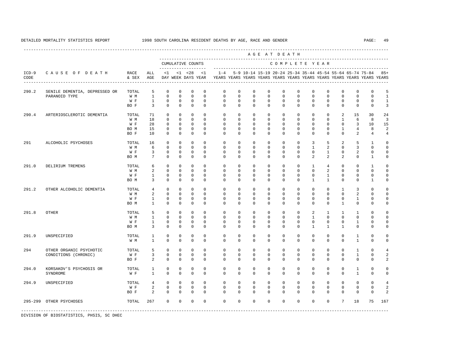---------------------------------------------------------------------------------------------------------------------------------------------------- A G E A T D E A T H --------------------------------------------------------------------------------------------- CUMULATIVE COUNTS C O M P L E T E Y E A R ------------------- ----------------------------------------------------------------------- ICD-9 C A U S E O F D E A T H RACE ALL <1 <1 <28 <1 1-4 5-9 10-14 15-19 20-24 25-34 35-44 45-54 55-64 65-74 75-84 85+ CODE & SEX AGE DAY WEEK DAYS YEAR YEARS YEARS YEARS YEARS YEARS YEARS YEARS YEARS YEARS YEARS YEARS YEARS ---------------------------------------------------------------------------------------------------------------------------------------------------- 290.2 SENILE DEMENTIA, DEPRESSED OR TOTAL 5 0 0 0 0 0 0 0 0 0 0 0 0 0 0 0 5 PARANOID TYPE W M 1 0 0 0 0 0 0 0 0 0 0 0 0 0 0 0 1 W F 1 0 0 0 0 0 0 0 0 0 0 0 0 0 0 0 1 BOF 3 0 0 0 0 0 0 0 0 0 0 0 0 0 0 0 3 290.4 ARTERIOSCLEROTIC DEMENTIA TOTAL 71 0 0 0 0 0 0 0 0 0 0 0 0 2 15 30 24 W M 18 0 0 0 0 0 0 0 0 0 0 0 0 0 0 1 6 8 3 W F 28 0 0 0 0 0 0 0 0 0 0 0 0 0 3 10 15 BO M 15 0 0 0 0 0 0 0 0 0 0 0 0 1 4 8 2 BO F 10 0 0 0 0 0 0 0 0 0 0 0 0 0 2 4 4 291 ALCOHOLIC PSYCHOSES TOTAL 16 0 0 0 0 0 0 0 0 0 0 3 5 2 5 1 0 W M 6 0 0 0 0 0 0 0 0 0 0 1 2 0 3 0 0 W F 3 0 0 0 0 0 0 0 0 0 0 0 0 1 0 2 0 0 BO M 7 0 0 0 0 0 0 0 0 0 0 2 2 2 0 1 0 291.0 DELIRIUM TREMENS TOTAL 6 0 0 0 0 0 0 0 0 0 0 1 4 0 0 1 0 W M 2 0 0 0 0 0 0 0 0 0 0 0 2 0 0 0 0 W F 1 0 0 0 0 0 0 0 0 0 0 0 1 0 0 0 0 BO M 3 0 0 0 0 0 0 0 0 0 0 1 1 0 0 1 0 291.2 OTHER ALCOHOLIC DEMENTIA TOTAL 4 0 0 0 0 0 0 0 0 0 0 0 0 0 0 0 0 2 0 0 0 0 0 0 0 0 0 0 0 0 0 0 0 0 0 0 0 W M 2 0 0 0 0 0 0 0 0 0 0 0 0 0 2 0 0 W F 1 0 0 0 0 0 0 0 0 0 0 0 0 0 0 1 0 0 BO M 1 0 0 0 0 0 0 0 0 0 0 0 0 1 0 0 0 291.8 OTHER TOTAL 5 0 0 0 0 0 0 0 0 0 0 2 1 1 1 0 0 W M 1 0 0 0 0 0 0 0 0 0 0 1 0 0 0 0 0 W F 1 0 0 0 0 0 0 0 0 0 0 0 0 0 0 1 0 0 BOM 3 0 0 0 0 0 0 0 0 0 0 0 1 1 1 0 0 0 291.9 UNSPECIFIED TOTAL 1 0 0 0 0 0 0 0 0 0 0 0 0 0 1 0 0 W M 1 0 0 0 0 0 0 0 0 0 0 0 0 0 1 0 0 294 OTHER ORGANIC PSYCHOTIC TOTAL 5 0 0 0 0 0 0 0 0 0 0 0 0 0 1 0 4 CONDITIONS (CHRONIC) W F 3 0 0 0 0 0 0 0 0 0 0 0 0 0 0 0 1 0 2<br>RO F 2 0 0 0 0 0 0 0 0 0 0 0 0 0 0 0 0 0 2 BOF 2 0 0 0 0 0 0 0 0 0 0 0 0 0 0 2 294.0 KORSAKOV'S PSYCHOSIS OR TOTAL 1 0 0 0 0 0 0 0 0 0 0 0 0 0 1 0 0 SYNDROME W F 1 0 0 0 0 0 0 0 0 0 0 0 0 0 1 0 0 294.9 UNSPECIFIED TOTAL 4 0 0 0 0 0 0 0 0 0 0 0 0 0 0 0 4 W F 2 0 0 0 0 0 0 0 0 0 0 0 0 0 0 2 BOF 2 0 0 0 0 0 0 0 0 0 0 0 0 0 0 2 295-299 OTHER PSYCHOSES TOTAL 267 0 0 0 0 0 0 0 0 0 0 0 0 7 18 75 167 -----------------------------------------------------------------------------------------------------------------------------------------------------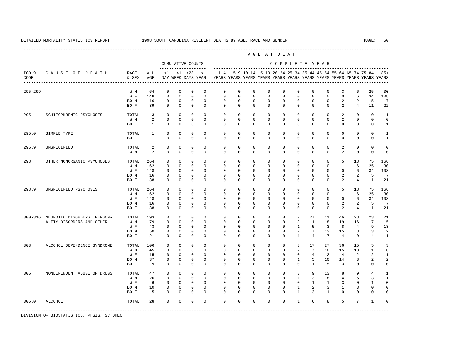|                 |                                     |               |                |              |              |                                    |              |              |             |              |              | AGE AT DEATH  |                 |                 |                 |                |                                                           |                                                                         |                |
|-----------------|-------------------------------------|---------------|----------------|--------------|--------------|------------------------------------|--------------|--------------|-------------|--------------|--------------|---------------|-----------------|-----------------|-----------------|----------------|-----------------------------------------------------------|-------------------------------------------------------------------------|----------------|
|                 |                                     |               |                |              |              | CUMULATIVE COUNTS                  |              |              |             |              |              | COMPLETE YEAR |                 |                 |                 |                |                                                           |                                                                         |                |
| $ICD-9$<br>CODE | CAUSE OF DEATH                      | RACE<br>& SEX | ALL<br>AGE     | <1           |              | $< 1$ $< 28$<br>DAY WEEK DAYS YEAR | <1           | $1 - 4$      |             |              |              |               |                 |                 |                 |                | 5-9 10-14 15-19 20-24 25-34 35-44 45-54 55-64 65-74 75-84 | YEARS YEARS YEARS YEARS YEARS YEARS YEARS YEARS YEARS YEARS YEARS YEARS | $85+$          |
| $295 - 299$     |                                     | W M           | 64             | $\mathbf 0$  | $\mathbf{0}$ | $\mathbf 0$                        | $\mathbf 0$  | $\mathbf 0$  | $\mathbf 0$ | $\mathbf 0$  | $\mathbf 0$  | $\mathbf 0$   | $\mathbf 0$     | $\mathbf 0$     | $\mathbf 0$     | 3              | 6                                                         | 25                                                                      | 30             |
|                 |                                     | W F           | 148            | $\mathbf{0}$ | $\Omega$     | $\Omega$                           | $\Omega$     | $\Omega$     | $\Omega$    | $\Omega$     | $\Omega$     | $\Omega$      | $\Omega$        | $\Omega$        | $\Omega$        | $\Omega$       | 6                                                         | 34                                                                      | 108            |
|                 |                                     | BO M          | 16             | $\Omega$     | $\Omega$     | $\Omega$                           | $\Omega$     | $\Omega$     | $\Omega$    | $\Omega$     | $\Omega$     | $\Omega$      | $\Omega$        | $\Omega$        | $\Omega$        | 2              | 2                                                         | 5                                                                       | 7              |
|                 |                                     | BO F          | 39             | $\Omega$     | $\mathbf{0}$ | $\mathbf 0$                        | $\mathbf{0}$ | $\mathbf 0$  | $\mathbf 0$ | $\mathbf{0}$ | $\mathbf{0}$ | $\mathbf{0}$  | $\mathbf 0$     | $\mathbf 0$     | $\mathbf{0}$    | 2              | $\overline{4}$                                            | 11                                                                      | 22             |
| 295             | SCHIZOPHRENIC PSYCHOSES             | TOTAL         | $\overline{3}$ | $\Omega$     | $\Omega$     | $\Omega$                           | $\Omega$     | $\Omega$     | $\Omega$    | $\Omega$     | $\Omega$     | $\Omega$      | $\Omega$        | $\Omega$        | $\Omega$        | 2              | $\Omega$                                                  | $\Omega$                                                                | $\mathbf{1}$   |
|                 |                                     | W M           | $\overline{a}$ | $\mathbf{0}$ | $\circ$      | $\mathbf{0}$                       | $\mathbf{0}$ | $\mathbf 0$  | $\mathbf 0$ | $\mathbf{0}$ | $\mathbf{0}$ | $\mathbf{0}$  | $\mathbf 0$     | $\mathbf 0$     | $\mathbf{0}$    | 2              | $\mathbf{0}$                                              | $\mathbf 0$                                                             | $\Omega$       |
|                 |                                     | BO F          | $\mathbf{1}$   | $\Omega$     | $\Omega$     | $\Omega$                           | $\Omega$     | $\Omega$     | $\Omega$    | $\Omega$     | $\Omega$     | $\Omega$      | $\Omega$        | $\Omega$        | $\Omega$        | $\Omega$       | $\Omega$                                                  | $\mathbf 0$                                                             | $\mathbf{1}$   |
| 295.0           | SIMPLE TYPE                         | TOTAL         | $\mathbf{1}$   | $\mathbf 0$  | $\Omega$     | $\mathbf 0$                        | $\Omega$     | $\mathbf 0$  | $\mathbf 0$ | $\mathbf 0$  | $\mathbf 0$  | $\mathbf 0$   | $\mathbf 0$     | $\mathbf 0$     | $\mathbf{0}$    | $\mathbf 0$    | $\mathbf 0$                                               | $\mathbf 0$                                                             | $\mathbf{1}$   |
|                 |                                     | BO F          | $\mathbf{1}$   | $\Omega$     | $\Omega$     | $\Omega$                           | $\Omega$     | $\Omega$     | $\Omega$    | $\Omega$     | $\Omega$     | $\Omega$      | $\Omega$        | $\Omega$        | $\Omega$        | $\Omega$       | $\Omega$                                                  | $\mathbf 0$                                                             | $\mathbf{1}$   |
| 295.9           | UNSPECIFIED                         | TOTAL         | 2              | $\mathbf 0$  | $\Omega$     | $\mathbf 0$                        | $\Omega$     | $\Omega$     | $\mathbf 0$ | $\mathbf 0$  | $\mathbf 0$  | $\mathbf 0$   | $\mathbf 0$     | $\mathbf 0$     | $\mathbf 0$     | 2              | $\mathbf 0$                                               | $\mathbf 0$                                                             | $\Omega$       |
|                 |                                     | W M           | $\mathcal{L}$  | $\Omega$     | $\Omega$     | $\Omega$                           | $\Omega$     | $\Omega$     | $\Omega$    | $\Omega$     | $\Omega$     | $\Omega$      | $\Omega$        | $\Omega$        | $\Omega$        | 2              | $\Omega$                                                  | $\Omega$                                                                | $\Omega$       |
| 298             | OTHER NONORGANIC PSYCHOSES          | TOTAL         | 264            | $\mathbf 0$  | $\Omega$     | $\Omega$                           | $\Omega$     | $\Omega$     | $\Omega$    | $\Omega$     | $\mathbf 0$  | $\Omega$      | $\mathbf 0$     | $\Omega$        | $\mathbf 0$     | 5              | 18                                                        | 75                                                                      | 166            |
|                 |                                     | W M           | 62             | $\Omega$     | $\Omega$     | $\Omega$                           | $\Omega$     | $\Omega$     | $\Omega$    | $\Omega$     | $\Omega$     | $\Omega$      | $\Omega$        | $\Omega$        | $\Omega$        | $\mathbf{1}$   | 6                                                         | 25                                                                      | 30             |
|                 |                                     | W F           | 148            | $\mathbf{0}$ | $\mathbf{0}$ | $\mathbf{0}$                       | $\mathbf{0}$ | $\mathbf 0$  | $\mathbf 0$ | $\mathbf 0$  | $\mathbf 0$  | $\mathbf 0$   | $\mathbf 0$     | $\mathbf 0$     | $\mathbf{0}$    | $\mathbf{0}$   | 6                                                         | 34                                                                      | 108            |
|                 |                                     | BO M          | 16             | $\mathbf{0}$ | $\mathbf{0}$ | $\mathbf{0}$                       | $\mathbf{0}$ | $\mathbf 0$  | $\mathbf 0$ | $\mathbf{0}$ | $\mathbf{0}$ | $\mathbf 0$   | $\mathbf 0$     | $\mathbf 0$     | $\mathbf{0}$    | 2              | 2                                                         | 5                                                                       | 7              |
|                 |                                     | BO F          | 38             | $\Omega$     | $\Omega$     | $\Omega$                           | $\Omega$     | $\Omega$     | $\Omega$    | $\Omega$     | $\Omega$     | $\Omega$      | $\Omega$        | $\Omega$        | $\Omega$        | 2              | $\overline{4}$                                            | 11                                                                      | 21             |
| 298.9           | UNSPECIFIED PSYCHOSIS               | TOTAL         | 264            | $\mathbf{0}$ | $\Omega$     | $\mathbf{0}$                       | $\Omega$     | $\Omega$     | $\mathbf 0$ | $\mathbf 0$  | $\mathbf 0$  | $\mathbf 0$   | $\mathbf 0$     | $\mathbf 0$     | $\mathbf{0}$    | 5              | 18                                                        | 75                                                                      | 166            |
|                 |                                     | W M           | 62             | $\Omega$     | $\Omega$     | $\Omega$                           | $\Omega$     | $\Omega$     | $\Omega$    | $\Omega$     | $\Omega$     | $\Omega$      | $\Omega$        | $\Omega$        | $\Omega$        | $\mathbf{1}$   | 6                                                         | 25                                                                      | 30             |
|                 |                                     | W F           | 148            | 0            | $\mathbf{0}$ | 0                                  | $\mathbf{0}$ | $\mathbf 0$  | $\mathbf 0$ | $\mathbf 0$  | $\mathbf 0$  | $\mathbf 0$   | $\mathbf 0$     | $\mathbf 0$     | $\mathbf{0}$    | $\mathbf{0}$   | 6                                                         | 34                                                                      | 108            |
|                 |                                     | BO M          | 16             | $\mathbf{0}$ | $\mathbf{0}$ | $\mathbb O$                        | $\mathbf{0}$ | $\mathbf 0$  | $\mathbf 0$ | $\mathbf{0}$ | $\mathbf{0}$ | $\mathbf 0$   | $\mathbf 0$     | $\mathbf 0$     | $\mathbf{0}$    | 2              | 2                                                         | 5                                                                       | 7              |
|                 |                                     | BO F          | 38             | $\mathbf 0$  | $\mathbf{0}$ | $\mathbf 0$                        | $\mathbf{0}$ | $\Omega$     | $\mathbf 0$ | $\mathbf 0$  | $\mathbf 0$  | $\mathbf 0$   | $\mathbf 0$     | $\mathbf 0$     | $\mathbf{0}$    | 2              | $\overline{4}$                                            | 11                                                                      | 21             |
|                 | 300-316 NEUROTIC DISORDERS, PERSON- | TOTAL         | 193            | $\Omega$     | $\Omega$     | $\Omega$                           | $\Omega$     | $\Omega$     | $\Omega$    | $\Omega$     | $\mathbf 0$  | $\Omega$      | $7\phantom{.0}$ | 27              | 41              | 46             | 28                                                        | 23                                                                      | 21             |
|                 | ALITY DISORDERS AND OTHER           | W M           | 79             | $\mathbf 0$  | $\mathbf{0}$ | $\mathbf{0}$                       | $\mathbf{0}$ | $\mathbf 0$  | $\mathbf 0$ | $\mathbf{0}$ | $\mathbf{0}$ | $\mathbf 0$   | 3               | 11              | 18              | 19             | 16                                                        | $7\phantom{.0}$                                                         | 5              |
|                 |                                     | W F           | 43             | $\mathbf 0$  | $\mathbf{0}$ | $\mathbf 0$                        | $\Omega$     | $\mathbf 0$  | $\Omega$    | $\mathbf 0$  | $\mathbf 0$  | $\Omega$      | $\mathbf{1}$    | 5               | 3               | 8              | $\overline{4}$                                            | 9                                                                       | 13             |
|                 |                                     | BO M          | 50             | $\mathbf{0}$ | $\Omega$     | $\mathbf 0$                        | $\mathbf{0}$ | $\mathbf 0$  | $\mathbf 0$ | $\mathbf{0}$ | $\mathbf 0$  | $\mathbf 0$   | 2               | $7\phantom{.0}$ | 13              | 15             | 8                                                         | 3                                                                       | $\overline{2}$ |
|                 |                                     | BO F          | 21             | $\mathbf 0$  | $\mathbf{0}$ | $\mathbf 0$                        | $\mathbf{0}$ | $\mathbf 0$  | $\mathbf 0$ | $\mathbf{0}$ | $\mathbf 0$  | $\mathbf{0}$  | $\mathbf{1}$    | $\overline{4}$  | $7\phantom{.0}$ | $\overline{4}$ | $\mathbf{0}$                                              | $\overline{4}$                                                          | $\mathbf{1}$   |
| 303             | ALCOHOL DEPENDENCE SYNDROME         | TOTAL         | 106            | $\Omega$     | $\Omega$     | $\Omega$                           | $\Omega$     | $\Omega$     | $\Omega$    | $\Omega$     | $\Omega$     | $\Omega$      | $\overline{3}$  | 17              | 27              | 36             | 15                                                        | 5                                                                       | 3              |
|                 |                                     | W M           | 45             | $\mathbf 0$  | $\mathbf{0}$ | $\mathbf{0}$                       | $\Omega$     | $\mathbf 0$  | $\mathbf 0$ | $\mathbf 0$  | $\mathbf 0$  | $\mathbf{0}$  | $\overline{a}$  | $7\overline{ }$ | 10              | 15             | 10                                                        | 1                                                                       | $\Omega$       |
|                 |                                     | W F           | 15             | $\mathbf 0$  | $\mathbf{0}$ | $\mathbf 0$                        | $\mathbf 0$  | $\mathbf 0$  | $\mathbf 0$ | $\mathbf 0$  | $\mathbf 0$  | $\mathbf 0$   | $\mathbf 0$     | $\overline{4}$  | 2               | $\overline{4}$ | 2                                                         | 2                                                                       | 1              |
|                 |                                     | BO M          | 37             | $\mathbf 0$  | $\Omega$     | $\mathbf 0$                        | $\Omega$     | $\mathbf 0$  | $\mathbf 0$ | $\mathbf{0}$ | $\Omega$     | $\mathbf 0$   | $\mathbf{1}$    | 5               | 10              | 14             | 3                                                         | 2                                                                       | 2              |
|                 |                                     | BO F          | 9              | $\mathbf 0$  | $\mathbf 0$  | $\mathbf 0$                        | $\mathbf 0$  | $\mathbf 0$  | $\mathbf 0$ | $\mathbf 0$  | $\mathbf 0$  | $\mathbf 0$   | $\mathbf 0$     | $\mathbf{1}$    | 5               | 3              | $\mathbf{0}$                                              | $\mathbf 0$                                                             | $\mathbf 0$    |
| 305             | NONDEPENDENT ABUSE OF DRUGS         | TOTAL         | 47             | $\mathbf 0$  | $\mathbf 0$  | $\mathbf 0$                        | $\Omega$     | $\mathbf 0$  | $\mathbf 0$ | $\mathbf 0$  | $\mathbf 0$  | $\mathbf 0$   | 3               | 9               | 13              | 8              | 9                                                         | 4                                                                       | $\mathbf{1}$   |
|                 |                                     | W M           | 26             | $\mathbf 0$  | $\mathbf{0}$ | $\mathbf{0}$                       | $\Omega$     | $\mathbf 0$  | $\mathbf 0$ | $\mathbf 0$  | $\mathbf 0$  | $\mathbf 0$   | $\mathbf{1}$    | 3               | 8               | 4              | 6                                                         | 3                                                                       | $\mathbf{1}$   |
|                 |                                     | W F           | 6              | $\mathbf 0$  | $\circ$      | $\mathbf 0$                        | $\mathbf{0}$ | $\mathbf 0$  | $\mathbf 0$ | $\mathbf 0$  | $\mathbf 0$  | $\mathbf{0}$  | $\mathbf{0}$    | $\mathbf{1}$    | $\mathbf{1}$    | 3              | 0                                                         | 1                                                                       | $^{\circ}$     |
|                 |                                     | BO M          | 10             | $\mathbf 0$  | 0            | $\mathbf 0$                        | $\mathbf{0}$ | $\mathbf{0}$ | $^{\circ}$  | $\mathbf{0}$ | $\mathbf{0}$ | $\circ$       | $\mathbf{1}$    | 2               | 3               | $\mathbf{1}$   | 3                                                         | 0                                                                       | $\Omega$       |
|                 |                                     | BO F          | 5              | $\mathbf{0}$ | $\circ$      | $\mathbf 0$                        | $\mathbf{0}$ | $\Omega$     | $\mathbf 0$ | $\mathbf{0}$ | 0            | $\Omega$      | $\mathbf{1}$    | 3               | $\mathbf{1}$    | $\mathbf{0}$   | $\mathbf 0$                                               | 0                                                                       | $\Omega$       |
| 305.0           | ALCOHOL                             | TOTAL         | 28             | $\circ$      | $\mathbf{0}$ | $\mathbf 0$                        | $\mathbf 0$  | $\mathbf 0$  | $\mathbf 0$ | $\mathbf{0}$ | $\mathbf{0}$ | $\mathbf{0}$  | $\mathbf{1}$    | 6               | 8               | 5              | $7\phantom{.0}$                                           | $\mathbf{1}$                                                            | $\Omega$       |
|                 |                                     |               |                |              |              |                                    |              |              |             |              |              |               |                 |                 |                 |                |                                                           |                                                                         |                |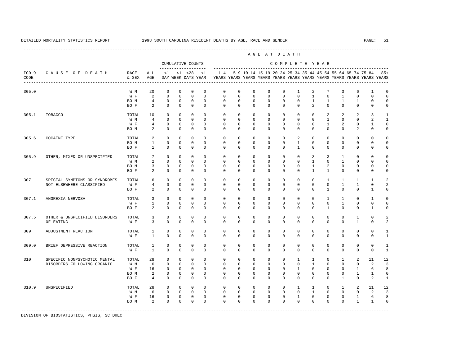|                 |                               |               |                |                     |              |                   |                           |                                                                         |             |              |              | AGE AT DEATH                                                        |              |              |                |                |                |              |                |
|-----------------|-------------------------------|---------------|----------------|---------------------|--------------|-------------------|---------------------------|-------------------------------------------------------------------------|-------------|--------------|--------------|---------------------------------------------------------------------|--------------|--------------|----------------|----------------|----------------|--------------|----------------|
|                 |                               |               |                |                     |              | CUMULATIVE COUNTS |                           |                                                                         |             |              |              | COMPLETE YEAR                                                       |              |              |                |                |                |              |                |
| $ICD-9$<br>CODE | CAUSE OF DEATH                | RACE<br>& SEX | ALL<br>AGE     | ------------------- |              | $<1$ $<1$ $<28$   | < 1<br>DAY WEEK DAYS YEAR | YEARS YEARS YEARS YEARS YEARS YEARS YEARS YEARS YEARS YEARS YEARS YEARS |             |              |              | $1-4$ 5-9 10-14 15-19 20-24 25-34 35-44 45-54 55-64 65-74 75-84 85+ |              |              |                |                |                |              |                |
| 305.0           |                               | W M           | 20             | $\mathbf 0$         | $\mathbf{0}$ | $\mathbf{0}$      | $\mathbf 0$               | 0                                                                       | $\circ$     | $\mathbf{0}$ | 0            | 0                                                                   | 1            | 2            | 7              | 3              | 6              | $\mathbf{1}$ | 0              |
|                 |                               | W F           | 2              | $\mathbf{0}$        | $\Omega$     | $\mathbf 0$       | $\Omega$                  | $\mathbf 0$                                                             | $\Omega$    | $\mathbf 0$  | $\mathbf 0$  | $\mathbf 0$                                                         | $\mathbf 0$  | $\mathbf{1}$ | $\Omega$       | $\mathbf{1}$   | $\mathbf 0$    | $\Omega$     | $\Omega$       |
|                 |                               | BO M          | $\overline{4}$ | 0                   | $\mathbf 0$  | $\mathbf 0$       | $\mathbf 0$               | $\mathbf 0$                                                             | $\mathbf 0$ | 0            | 0            | $\mathbf 0$                                                         | $\mathbf 0$  | $\mathbf{1}$ | $\mathbf{1}$   | $\mathbf{1}$   | $\mathbf{1}$   | $\mathsf 0$  | $\Omega$       |
|                 |                               | BO F          | 2              | $\mathbf 0$         | $\mathbf 0$  | $\mathbf{0}$      | $\mathbf 0$               | $\Omega$                                                                | $\Omega$    | $\mathbf{0}$ | $\mathbf{0}$ | $\mathbf 0$                                                         | $\mathbf 0$  | 2            | $\Omega$       | $\mathbf 0$    | $\mathbf 0$    | $\mathbf 0$  | $\mathbf 0$    |
| 305.1           | TOBACCO                       | TOTAL         | 10             | $\mathbf 0$         | $\mathbf 0$  | 0                 | $\mathbf{0}$              | 0                                                                       | $\circ$     | $\mathbf{0}$ | $\mathbf{0}$ | 0                                                                   | $\circ$      | $^{\circ}$   | 2              | 2              | 2              | 3            | 1              |
|                 |                               | W M           | $\overline{4}$ | $\Omega$            | $\Omega$     | $\Omega$          | $\Omega$                  | $\Omega$                                                                | $\Omega$    | $\Omega$     | $\Omega$     | $\Omega$                                                            | $\Omega$     | $\Omega$     | $\overline{1}$ | $\Omega$       | $\Omega$       | 2            | $\mathbf{1}$   |
|                 |                               | W F           | 4              | $\mathbf 0$         | $\mathbf 0$  | $\mathbb O$       | $\mathbf 0$               | $\mathbf 0$                                                             | 0           | $\mathbf 0$  | $\mathbf{0}$ | $\mathbf 0$                                                         | 0            | $\mathbf 0$  | $\mathbf{1}$   | $\overline{a}$ | 0              | $\mathbf{1}$ | $\mathbf 0$    |
|                 |                               | BO M          | 2              | $\mathbf 0$         | $\mathbf 0$  | $\mathbf 0$       | $\mathsf 0$               | $\mathbf 0$                                                             | $\mathbf 0$ | $\mathbf 0$  | $\mathbf 0$  | $\mathbf{0}$                                                        | 0            | $\mathbf 0$  | $\mathbf{0}$   | $\mathbf 0$    | $\overline{a}$ | $\mathsf 0$  | 0              |
| 305.6           | COCAINE TYPE                  | TOTAL         | 2              | $\mathbf{0}$        | $\Omega$     | $\mathbf 0$       | $\Omega$                  | $\Omega$                                                                | $\Omega$    | $\Omega$     | $\mathbf 0$  | $\Omega$                                                            | 2            | $\mathbf 0$  | $\mathbf 0$    | $\Omega$       | 0              | $\Omega$     | $\Omega$       |
|                 |                               | BO M          | $\mathbf{1}$   | $\mathbf{0}$        | $\mathbf 0$  | $\mathbf 0$       | $\mathbf 0$               | $\mathbf 0$                                                             | $\mathbf 0$ | $\mathbf 0$  | 0            | $\mathbf{0}$                                                        | $\mathbf{1}$ | $\mathbf 0$  | $\mathbf{0}$   | $\mathbf 0$    | 0              | $\mathsf 0$  | $\Omega$       |
|                 |                               | BO F          | $\mathbf{1}$   | $\mathbf 0$         | $\mathbf 0$  | $\mathbf 0$       | $\mathbf 0$               | $\Omega$                                                                | $\Omega$    | $\Omega$     | $\mathbf 0$  | $\Omega$                                                            | $\mathbf{1}$ | $\mathbf 0$  | $\mathbf 0$    | $\mathbf 0$    | 0              | 0            | $\mathbf 0$    |
| 305.9           | OTHER, MIXED OR UNSPECIFIED   | TOTAL         | 7              | $\mathbf 0$         | $\mathbf 0$  | 0                 | $\mathbf 0$               | 0                                                                       | $^{\circ}$  | $\mathbf{0}$ | 0            | 0                                                                   | 0            | 3            | 3              | 1              | 0              | 0            | $\Omega$       |
|                 |                               | W M           | $\overline{2}$ | $\mathbf 0$         | $\Omega$     | $\Omega$          | $\Omega$                  | $\Omega$                                                                | $\Omega$    | $\Omega$     | $\mathbf{0}$ | $\Omega$                                                            | $\mathbf{0}$ | $\mathbf{1}$ | $\mathbf{0}$   | $\mathbf{1}$   | $\mathbf 0$    | $\mathbf 0$  | $\Omega$       |
|                 |                               | BO M          | 3              | $\mathbf 0$         | $\mathbf 0$  | $\mathbf{0}$      | $\mathbf 0$               | $^{\circ}$                                                              | $\mathbf 0$ | $\mathbf{0}$ | $\mathbf 0$  | $\mathbf{0}$                                                        | $\mathbf 0$  | $\mathbf{1}$ | $\overline{a}$ | $\mathbf{0}$   | 0              | $\mathbf 0$  | $\Omega$       |
|                 |                               | BO F          | 2              | $\mathbf 0$         | $\mathbf 0$  | $\mathbf 0$       | $\mathsf 0$               | $\mathbf 0$                                                             | $\mathbf 0$ | $\mathbf 0$  | $\mathbf 0$  | $\mathbf{0}$                                                        | 0            | $\mathbf{1}$ | $\mathbf{1}$   | $\mathbf 0$    | 0              | $\mathsf 0$  | $\Omega$       |
| 307             | SPECIAL SYMPTOMS OR SYNDROMES | TOTAL         | 6              | $\mathbb O$         | $\mathbf 0$  | 0                 | $\mathbf 0$               | $\mathbf 0$                                                             | $\mathbf 0$ | $\mathbf 0$  | 0            | $\mathbf 0$                                                         | $\mathbf 0$  | $\mathbf 0$  | $\mathbf{1}$   | $\mathbf{1}$   | $\mathbf{1}$   | $\mathbf{1}$ | $\mathfrak{D}$ |
|                 | NOT ELSEWHERE CLASSIFIED      | W F           | $\overline{4}$ | $\mathbf 0$         | $\Omega$     | $\mathbf 0$       | $\mathbf 0$               | $\mathbf 0$                                                             | $\mathbf 0$ | $\mathbf 0$  | 0            | $\mathbf{0}$                                                        | $\mathbf 0$  | $\mathbf 0$  | $\mathbf{0}$   | $\mathbf{1}$   | $\mathbf{1}$   | $\mathbf 0$  | $\overline{2}$ |
|                 |                               | BO F          | $\overline{a}$ | $\mathbf 0$         | $\mathbf 0$  | $\mathbf 0$       | $\mathbf 0$               | $\mathbf 0$                                                             | $\mathbf 0$ | $\mathbf 0$  | $\mathbf 0$  | $\mathbf 0$                                                         | $\mathbf 0$  | $\mathbf 0$  | $\mathbf{1}$   | $\mathbf 0$    | $\mathbf 0$    | $\mathbf{1}$ | $\mathbf 0$    |
| 307.1           | ANOREXIA NERVOSA              | TOTAL         | 3              | $\mathbf 0$         | $\mathbf{0}$ | $\mathbf 0$       | $\mathbf 0$               | 0                                                                       | $\circ$     | $\mathbf{0}$ | 0            | $\mathbf 0$                                                         | $\mathbf 0$  | $\mathbf 0$  | $\mathbf{1}$   | 1              | 0              | $\mathbf{1}$ | $\Omega$       |
|                 |                               | W F           | $\mathbf{1}$   | $\mathbf 0$         | $\Omega$     | $\Omega$          | $\Omega$                  | $\Omega$                                                                | $\Omega$    | $\Omega$     | $\mathbf 0$  | $\Omega$                                                            | $\mathbf 0$  | $\mathbf 0$  | $\Omega$       | $\mathbf{1}$   | 0              | $\mathbf 0$  | $\mathbf 0$    |
|                 |                               | BO F          | $\overline{a}$ | $\mathbf 0$         | $\mathbf 0$  | $\mathbf 0$       | $\mathbf 0$               | $\Omega$                                                                | $\mathbf 0$ | $\mathbf 0$  | $\mathbf 0$  | $\mathbf{0}$                                                        | $\mathbf 0$  | $\mathbf 0$  | $\mathbf{1}$   | $\Omega$       | $\mathbf 0$    | $\mathbf{1}$ | $\Omega$       |
| 307.5           | OTHER & UNSPECIFIED DISORDERS | TOTAL         | 3              | 0                   | 0            | $\mathbf 0$       | $\mathbf 0$               | 0                                                                       | 0           | $\mathbf{0}$ | 0            | $\mathbf{0}$                                                        | $\mathbf 0$  | $\mathbf 0$  | $\mathbf 0$    | $\mathbf{0}$   | 1              | 0            | 2              |
|                 | OF EATING                     | W F           | 3              | $\mathbf{0}$        | $\mathbf{0}$ | $\mathbf 0$       | $\mathbf 0$               | 0                                                                       | $\mathbf 0$ | $\mathbf 0$  | $\mathbf 0$  | $\mathbf{0}$                                                        | $\mathbf 0$  | $\mathbf 0$  | $\mathbf 0$    | 0              | $\mathbf{1}$   | $\mathbf 0$  | $\mathfrak{D}$ |
| 309             | ADJUSTMENT REACTION           | TOTAL         | 1              | 0                   | $\mathbf 0$  | $\mathbf 0$       | $\mathbf 0$               | 0                                                                       | $\mathbf 0$ | $\mathbf 0$  | $\mathbf 0$  | $\mathbf 0$                                                         | $\mathbf 0$  | $\mathbf 0$  | $\mathbf 0$    | $\mathbf{0}$   | 0              | $\mathbf 0$  | 1              |
|                 |                               | W F           | $\mathbf{1}$   | $\mathbf{0}$        | $\mathbf 0$  | $\mathbf 0$       | $\mathbf 0$               | 0                                                                       | $\mathbf 0$ | $\mathbf 0$  | $\mathbf 0$  | $\mathbf{0}$                                                        | $\mathbf 0$  | $\mathbf 0$  | 0              | $\mathbf{0}$   | 0              | $\mathbf 0$  | $\mathbf{1}$   |
| 309.0           | BRIEF DEPRESSIVE REACTION     | TOTAL         | 1              | 0                   | 0            | $\mathsf 0$       | $\mathbf 0$               | 0                                                                       | 0           | 0            | 0            | 0                                                                   | $\mathbf 0$  | $\mathbf 0$  | 0              | 0              | 0              | 0            | 1              |
|                 |                               | W F           | $\mathbf{1}$   | $\Omega$            | $\Omega$     | $\Omega$          | $\Omega$                  | $\Omega$                                                                | $\Omega$    | $\Omega$     | $\mathbf 0$  | $\Omega$                                                            | $\mathbf 0$  | $\Omega$     | $\Omega$       | $\Omega$       | $\mathbf 0$    | $\Omega$     | $\mathbf{1}$   |
| 310             | SPECIFIC NONPSYCHOTIC MENTAL  | TOTAL         | 28             | $\mathbf 0$         | $\mathbf 0$  | $\mathbf 0$       | $\mathbf 0$               | 0                                                                       | 0           | $\mathbf{0}$ | $\mathbf 0$  | $\mathbf{0}$                                                        | 1            | 1            | $\mathbf 0$    | 1              | 2              | 11           | 12             |
|                 | DISORDERS FOLLOWING ORGANIC   | W M           | 6              | $\mathbf 0$         | $\mathbf{0}$ | $\mathbf 0$       | $\mathbf{0}$              | 0                                                                       | $\circ$     | $\mathbf{0}$ | $\mathbf{0}$ | $\mathbf{0}$                                                        | $\mathbf 0$  | 1            | $\mathbf{0}$   | 0              | 0              | 2            | 3              |
|                 |                               | W F           | 16             | $\mathbf{0}$        | $\circ$      | $\Omega$          | $\mathbf{0}$              | $\Omega$                                                                | $\Omega$    | $\mathbf{0}$ | $^{\circ}$   | $\circ$                                                             | $\mathbf{1}$ | 0            | $\mathbf{0}$   | $\mathbf 0$    | $\mathbf{1}$   | 6            | 8              |
|                 |                               | BO M          | 2              | $\mathbf{0}$        | $\mathbf 0$  | $\mathbf 0$       | $\mathbf 0$               | $\Omega$                                                                | $\Omega$    | $\mathbf 0$  | $\mathbf 0$  | $\mathbf 0$                                                         | $\mathbf{0}$ | $\mathbf 0$  | $\mathbf 0$    | $\mathbf 0$    | $\mathbf{1}$   | $\mathbf{1}$ | $\mathbf 0$    |
|                 |                               | BO F          | $\overline{4}$ | $\mathbf{0}$        | $\mathbf 0$  | $\mathbf 0$       | $\mathbf 0$               | $\Omega$                                                                | 0           | $\mathbf{0}$ | $^{\circ}$   | $\mathbf{0}$                                                        | $\mathbf 0$  | $\mathbf 0$  | $\mathbf 0$    | $\mathbf{1}$   | 0              | 2            | $\mathbf{1}$   |
| 310.9           | UNSPECIFIED                   | TOTAL         | 28             | 0                   | 0            | $\mathbf 0$       | $\mathbf{0}$              | 0                                                                       | $^{\circ}$  | $\mathbf{0}$ | 0            | $\circ$                                                             | 1            | 1            | $\circ$        | 1              | 2              | 11           | 12             |
|                 |                               | W M           | 6              | $\mathbf{0}$        | $\Omega$     | $^{\circ}$        | $\Omega$                  | $\Omega$                                                                | $\Omega$    | $\Omega$     | $\mathbf{0}$ | $\Omega$                                                            | $\Omega$     | $\mathbf{1}$ | $\Omega$       | $\Omega$       | 0              | 2            | 3              |
|                 |                               | W F           | 16             | 0                   | 0            | $\mathbb O$       | $\mathsf 0$               | $\mathbf 0$                                                             | $\mathbf 0$ | 0            | $\mathbf 0$  | $\mathbf 0$                                                         | $\mathbf{1}$ | $\mathbb O$  | 0              | 0              | $\mathbf{1}$   | 6            | 8              |
|                 |                               | BO M          | $\overline{a}$ | $\mathbf 0$         | $\mathbf 0$  | $\mathbf 0$       | $\mathbf 0$               | $\Omega$                                                                | $\Omega$    | $\mathbf 0$  | $\mathbf 0$  | $\mathbf 0$                                                         | $\mathbf 0$  | $\mathbf 0$  | 0              | $\mathbf{0}$   | $\mathbf{1}$   | $\mathbf{1}$ | $\circ$        |
|                 |                               |               |                |                     |              |                   |                           |                                                                         |             |              |              |                                                                     |              |              |                |                |                |              |                |

DIVISION OF BIOSTATISTICS, PHSIS, SC DHEC

----------------------------------------------------------------------------------------------------------------------------------------------------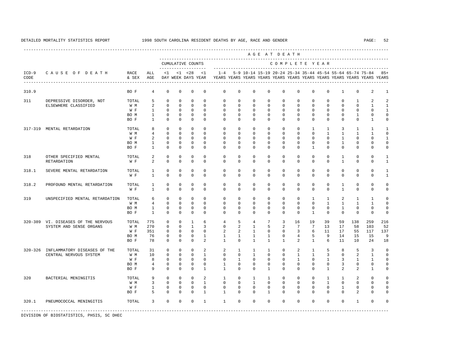----------------------------------------------------------------------------------------------------------------------------------------------------

 A G E A T D E A T H --------------------------------------------------------------------------------------------- CUMULATIVE COUNTS C O M P L E T E Y E A R ------------------- ----------------------------------------------------------------------- ICD-9 C A U S E O F D E A T H RACE ALL <1 <1 <28 <1 1-4 5-9 10-14 15-19 20-24 25-34 35-44 45-54 55-64 65-74 75-84 85+ CODE & SEX AGE DAY WEEK DAYS YEAR YEARS YEARS YEARS YEARS YEARS YEARS YEARS YEARS YEARS YEARS YEARS YEARS ---------------------------------------------------------------------------------------------------------------------------------------------------- 310.9 BO F 4 0 0 0 0 0 0 0 0 0 0 0 0 1 0 2 1 311 DEPRESSIVE DISORDER, NOT TOTAL 5 0 0 0 0 0 0 0 0 0 0 0 0 0 0 1 2 2<br>ELSEWHERE CLASSIFIED WM 2 0 0 0 0 0 0 0 0 0 0 0 0 0 0 1 1 ELSEWHERE CLASSIFIED W F 1 0 0 0 0 0 0 0 0 0 0 0 0 0 0 0 1 BOM 1 0 0 0 0 0 0 0 0 0 0 0 0 0 0 1 0 0 BO F 1 0 0 0 0 0 0 0 0 0 0 0 0 0 0 1 0 317-319 MENTAL RETARDATION TOTAL 8 0 0 0 0 0 0 0 0 0 0 1 1 3 1 1 1 W M 4 0 0 0 0 0 0 0 0 0 0 0 1 1 1 1 0 W F 2 0 0 0 0 0 0 0 0 0 0 0 0 0 1 0 0 1 BO M 1 0 0 0 0 0 0 0 0 0 0 0 0 1 0 0 0 BO F 1 0 0 0 0 0 0 0 0 0 0 1 0 0 0 0 0 318 OTHER SPECIFIED MENTAL TOTAL 2 0 0 0 0 0 0 0 0 0 0 0 0 0 1 0 0 1<br>PETAPDATION WE 2 0 0 0 0 0 0 0 0 0 0 0 0 1 0 0 1 RETARDATION W F 2 0 0 0 0 0 0 0 0 0 0 0 0 1 0 0 1 318.1 SEVERE MENTAL RETARDATION TOTAL 1 0 0 0 0 0 0 0 0 0 0 0 0 0 0 0 1 1 0 0 0 0 0 0 0 0 0 0 0 0 0 0 0 1 318.2 PROFOUND MENTAL RETARDATION TOTAL 1 0 0 0 0 0 0 0 0 0 0 0 0 1 0 0 0 W F 1 0 0 0 0 0 0 0 0 0 0 0 0 1 0 0 0 319 UNSPECIFIED MENTAL RETARDATION TOTAL 6 0 0 0 0 0 0 0 0 0 0 0 0 0 1 1 2 1 1 0<br>W M 4 0 0 0 0 0 0 0 0 0 0 0 0 1 1 1 1 0 W M 4 0 0 0 0 0 0 0 0 0 0 0 1 1 1 1 0 BO M 1 0 0 0 0 0 0 0 0 0 0 0 0 1 0 0 0 BO F 1 0 0 0 0 0 0 0 0 0 0 1 0 0 0 0 0 320-389 VI. DISEASES OF THE NERVOUS TOTAL 775 0 0 1 6 4 5 4 7 3 16 19 39 59 138 259 216 SYSTEM AND SENSE ORGANS W M 270 0 0 1 3 0 2 1 5 2 7 7 13 17 58 103<br>W F 351 0 0 0 0 2 2 1 0 0 3 6 11 17 55 117 W F 351 0 0 0 0 2 2 1 0 0 3 6 11 17 55 117 137 BO M 76 0 0 0 1 1 1 1 1 0 4 5 9 14 15 15 9 BO F 78 0 0 0 2 1 0 1 1 1 2 1 6 11 10 24 18 320-326 INFLAMMATORY DISEASES OF THE TOTAL 31 0 0 0 2 2 1 1 1 0 2 1 5 8 5 3 0<br>CENTRAL NERVOUS SYSTEM WM 10 0 0 0 1 0 0 0 1 0 0 1 1 3 0 2 1 0 CENTRAL NERVOUS SYSTEM W M 10 0 0 0 1 0 0 1 0 0 1 1 3 0 2 1 0 W F 8 0 0 0 0 0 0 1 0 0 0 0 0 1 0 1 3 1 1 0 BOM 4 0 0 0 0 1 0 0 0 0 0 0 0 0 3 0 0 0 BO F 9 0 0 0 1 1 0 0 1 0 0 0 1 2 2 1 0 320 BACTERIAL MENINGITIS TOTAL 9 0 0 0 2 1 0 1 1 0 0 0 0 1 1 2 0 0<br>
WM 3 0 0 0 1 0 0 0 0 0 0 1 0 0 0 0 0 0 0 W M 3 0 0 0 1 0 0 1 0 0 0 0 1 0 0 0 0 W F 1 0 0 0 0 0 0 0 0 0 0 0 0 1 0 0 0 BOF 5 0 0 0 1 1 0 0 0 1 0 0 0 0 0 0 2 0 0 320.1 PNEUMOCOCCAL MENINGITIS TOTAL 3 0 0 0 1 1 0 0 0 0 0 0 0 0 1 0 0 -----------------------------------------------------------------------------------------------------------------------------------------------------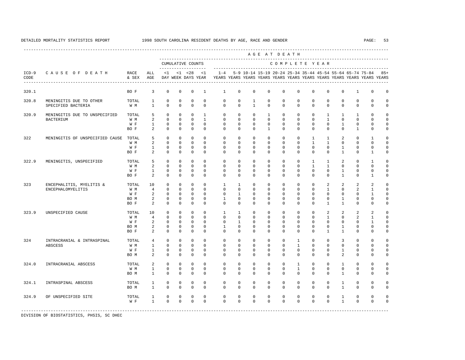----------------------------------------------------------------------------------------------------------------------------------------------------

 A G E A T D E A T H --------------------------------------------------------------------------------------------- CUMULATIVE COUNTS C O M P L E T E Y E A R ------------------- ----------------------------------------------------------------------- ICD-9 C A U S E O F D E A T H RACE ALL <1 <1 <28 <1 1-4 5-9 10-14 15-19 20-24 25-34 35-44 45-54 55-64 65-74 75-84 85+ CODE & SEX AGE DAY WEEK DAYS YEAR YEARS YEARS YEARS YEARS YEARS YEARS YEARS YEARS YEARS YEARS YEARS YEARS ---------------------------------------------------------------------------------------------------------------------------------------------------- 320.1 BO F 3 0 0 0 1 1 0 0 0 0 0 0 0 0 1 0 0 320.8 MENINGITIS DUE TO OTHER TOTAL 1 0 0 0 0 0 0 1 0 0 0 0 0 0 0 0 0 SPECIFIED BACTERIA 320.9 MENINGITIS DUE TO UNSPECIFIED TOTAL 5 0 0 0 1 0 0 0 1 0 0 0 1 1 1 0 0 BACTERIUM W M 2 0 0 0 1 0 0 0 0 0 0 0 1 0 0 0 0 W F 1 0 0 0 0 0 0 0 0 0 0 0 0 1 0 0 0 BOF 2 0 0 0 0 0 0 0 0 0 0 0 0 0 1 0 0 322 MENINGITIS OF UNSPECIFIED CAUSE TOTAL 5 0 0 0 0 0 0 0 0 0 0 1 1 2 0 1 0 W M 2 0 0 0 0 0 0 0 0 0 0 0 1 1 0 0 0 0 W F 1 0 0 0 0 0 0 0 0 0 0 0 0 1 0 0 0 BOF 2 0 0 0 0 0 0 0 0 0 0 0 0 1 0 1 0 322.9 MENINGITIS, UNSPECIFIED TOTAL 5 0 0 0 0 0 0 0 0 0 0 0 0 0 1 1 2 0 1 0<br>W M 2 0 0 0 0 0 0 0 0 0 0 0 1 1 0 0 0 0 W M 2 0 0 0 0 0 0 0 0 0 0 0 1 1 0 0 0 0 W F 1 0 0 0 0 0 0 0 0 0 0 0 0 1 0 0 0 BO F 2 0 0 0 0 0 0 0 0 0 0 0 0 1 0 1 0 323 ENCEPHALITIS, MYELITIS & TOTAL 10 0 0 0 0 1 1 0 0 0 0 0 2 2 2 2 0 ENCEPHALOMYELITIS W M 4 0 0 0 0 0 0 0 0 0 0 0 1 0 2 1 0 W F 2 0 0 0 0 0 1 0 0 0 0 0 0 0 0 0 1 0 BOM 2 0 0 0 0 1 0 0 0 0 0 0 0 0 1 0 0 0 BOF 2 0 0 0 0 0 0 0 0 0 0 0 1 1 0 0 0 323.9 UNSPECIFIED CAUSE TOTAL 10 0 0 0 0 0 1 1 0 0 0 0 0 0 2 2 2 2 0<br>
WM 4 0 0 0 0 0 0 0 0 0 0 0 0 1 0 2 1 0 W M 4 0 0 0 0 0 0 0 0 0 0 0 1 0 2 1 0 W F 2 0 0 0 0 0 1 0 0 0 0 0 0 0 0 0 1 0 BOM 2 0 0 0 0 1 0 0 0 0 0 0 0 0 1 0 0 0 BOF 2 0 0 0 0 0 0 0 0 0 0 0 1 1 0 0 0 324 INTRACRANIAL & INTRASPINAL TOTAL 4 0 0 0 0 0 0 0 0 0 1 0 0 3 0 0 0 ABSCESS W M 1 0 0 0 0 0 0 0 0 0 1 0 0 0 0 0 0 W F 1 0 0 0 0 0 0 0 0 0 0 0 0 1 0 0 0 BOM 2 0 0 0 0 0 0 0 0 0 0 0 0 2 0 0 0 324.0 INTRACRANIAL ABSCESS TOTAL 2 0 0 0 0 0 0 0 0 0 1 0 0 1 0 0 0 W M 1 0 0 0 0 0 0 0 0 0 1 0 0 0 0 0 0 BO M 1 0 0 0 0 0 0 0 0 0 0 0 0 1 0 0 0 324.1 INTRASPINAL ABSCESS TOTAL 1 0 0 0 0 0 0 0 0 0 0 0 0 1 0 0 0 BO M 1 0 0 0 0 0 0 0 0 0 0 0 0 1 0 0 0 324.9 OF UNSPECIFIED SITE TOTAL 1 0 0 0 0 0 0 0 0 0 0 0 0 1 0 0 0 W F 1 0 0 0 0 0 0 0 0 0 0 0 0 1 0 0 0 -----------------------------------------------------------------------------------------------------------------------------------------------------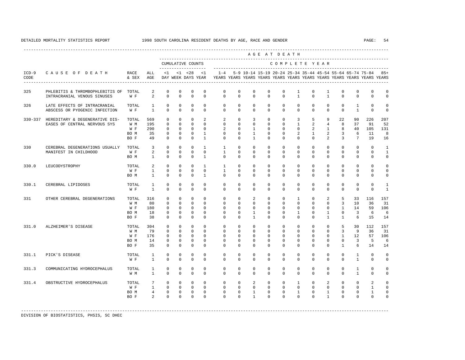|                 |                                                                      |                                      |                                                              |                                                              |                                                              |                                                            |                                                                          |                                                                                                       |                                                                 |                                                                             |                                                              | AGE AT DEATH                                                |                                                                          |                                                                  |                                                            |                                                                    |                                            |                                                               |                                             |
|-----------------|----------------------------------------------------------------------|--------------------------------------|--------------------------------------------------------------|--------------------------------------------------------------|--------------------------------------------------------------|------------------------------------------------------------|--------------------------------------------------------------------------|-------------------------------------------------------------------------------------------------------|-----------------------------------------------------------------|-----------------------------------------------------------------------------|--------------------------------------------------------------|-------------------------------------------------------------|--------------------------------------------------------------------------|------------------------------------------------------------------|------------------------------------------------------------|--------------------------------------------------------------------|--------------------------------------------|---------------------------------------------------------------|---------------------------------------------|
|                 |                                                                      |                                      |                                                              |                                                              |                                                              | CUMULATIVE COUNTS<br>--------------------                  |                                                                          |                                                                                                       |                                                                 |                                                                             |                                                              | COMPLETE YEAR                                               |                                                                          |                                                                  |                                                            |                                                                    |                                            |                                                               |                                             |
| $ICD-9$<br>CODE | CAUSE OF DEATH                                                       | RACE<br>& SEX AGE                    | ALL                                                          |                                                              |                                                              | $<1$ $<1$ $<28$                                            | < 1                                                                      | $1 - 4$<br>DAY WEEK DAYS YEAR YEARS YEARS YEARS YEARS YEARS YEARS YEARS YEARS YEARS YEARS YEARS YEARS |                                                                 |                                                                             |                                                              |                                                             |                                                                          |                                                                  |                                                            |                                                                    |                                            | 5-9 10-14 15-19 20-24 25-34 35-44 45-54 55-64 65-74 75-84 85+ |                                             |
| 325             | PHLEBITIS & THROMBOPHLEBITIS OF TOTAL<br>INTRACRANIAL VENOUS SINUSES | W F                                  | 2<br>$\overline{2}$                                          | $\Omega$<br>$\Omega$                                         | $\Omega$<br>$\Omega$                                         | $\Omega$<br>$\Omega$                                       | $\Omega$<br>$\Omega$                                                     | $\mathbf 0$<br>$\Omega$                                                                               | $\mathbf 0$<br>$\Omega$                                         | $\Omega$<br>$\mathbf 0$                                                     | $\Omega$<br>$\Omega$                                         | $\Omega$<br>$\Omega$                                        | 1<br>$\mathbf{1}$                                                        | $\Omega$<br>$\Omega$                                             | $\mathbf{1}$<br>$\mathbf{1}$                               | $\Omega$<br>$\Omega$                                               | $\mathbf 0$<br>$\Omega$                    | $\Omega$<br>$\Omega$                                          | $\mathbf 0$<br>$\mathbf 0$                  |
| 326             | LATE EFFECTS OF INTRACRANIAL<br>ABSCESS OR PYOGENIC INFECTION        | TOTAL<br>W F                         | $\mathbf{1}$<br>$\mathbf{1}$                                 | $\Omega$<br>$\Omega$                                         | $\Omega$<br>$\Omega$                                         | $\Omega$<br>$\Omega$                                       | $\Omega$<br>$\Omega$                                                     | $\Omega$<br>$\Omega$                                                                                  | $\circ$<br>$\Omega$                                             | $\circ$<br>$\Omega$                                                         | $\Omega$<br>$\circ$                                          | $\Omega$<br>$\Omega$                                        | $\Omega$<br>$\Omega$                                                     | $\Omega$<br>$\Omega$                                             | $\Omega$<br>$\Omega$                                       | $\Omega$<br>$\Omega$                                               | $\mathbf{1}$<br>$\mathbf{1}$               | $\Omega$<br>$\Omega$                                          | $\Omega$<br>$\mathbf 0$                     |
| $330 - 337$     | HEREDITARY & DEGENERATIVE DIS-<br>EASES OF CENTRAL NERVOUS SYS       | TOTAL<br>W M<br>W F<br>BO M<br>BO F  | 569<br>195<br>290<br>35<br>49                                | $\Omega$<br>$\Omega$<br>$\Omega$<br>$\Omega$<br>$\Omega$     | $\Omega$<br>$\Omega$<br>$\Omega$<br>$\Omega$<br>$\Omega$     | $\Omega$<br>$\Omega$<br>$\cap$<br>$\Omega$<br>$\Omega$     | $\overline{2}$<br>$\Omega$<br>$\Omega$<br>$\overline{1}$<br>$\mathbf{1}$ | 2<br>$\circ$<br>2<br>$\Omega$<br>$\Omega$                                                             | $\Omega$<br>$\circ$<br>$\Omega$<br>$\Omega$<br>$\Omega$         | $\overline{3}$<br>$\circ$<br>$\mathbf{1}$<br>$\overline{1}$<br>$\mathbf{1}$ | $\Omega$<br>$\circ$<br>$\Omega$<br>$\Omega$<br>$\Omega$      | $\Omega$<br>$\Omega$<br>$\Omega$<br>$\Omega$<br>$\Omega$    | $\overline{3}$<br>$\mathbf{1}$<br>$\Omega$<br>$\overline{a}$<br>$\Omega$ | 5<br>2<br>$\overline{a}$<br>$\mathbf{1}$<br>$\Omega$             | 9<br>4<br>2<br>$\overline{2}$                              | 22<br>8<br>$1 \qquad \qquad$<br>8<br>$\overline{3}$<br>3           | 90<br>37<br>40<br>6<br>$7\phantom{.0}$     | 226<br>91<br>105<br>11<br>19                                  | 207<br>52<br>131<br>8<br>16                 |
| 330             | CEREBRAL DEGENERATIONS USUALLY<br>MANIFEST IN CHILDHOOD              | TOTAL<br>W F<br>BO M                 | $\overline{\phantom{a}}$<br>$\overline{2}$<br>$\overline{1}$ | $\Omega$<br>$\Omega$<br>$\Omega$                             | $\Omega$<br>$\Omega$<br>$\Omega$                             | $\Omega$<br>$\Omega$<br>$\Omega$                           | $\overline{1}$<br>$\Omega$<br>$\mathbf{1}$                               | $\mathbf{1}$<br>$\mathbf{1}$<br>$\Omega$                                                              | $\Omega$<br>$\Omega$<br>$\Omega$                                | $\Omega$<br>$\Omega$<br>$\Omega$                                            | $\Omega$<br>$\Omega$<br>$\Omega$                             | $\Omega$<br>$\Omega$<br>$\Omega$                            | $\Omega$<br>$\Omega$<br>$\Omega$                                         | $\Omega$<br>$\Omega$<br>$\Omega$                                 | $\Omega$<br>$\circ$<br>$\Omega$                            | $\Omega$<br>$\mathbf{0}$<br>$\Omega$                               | $\Omega$<br>$\circ$<br>$\Omega$            | $\Omega$<br>$\circ$<br>$\Omega$                               | $\mathbf{1}$<br>$\mathbf{1}$<br>$\mathbf 0$ |
| 330.0           | LEUCODYSTROPHY                                                       | TOTAL<br>W F<br>BO M                 | 2<br>$\mathbf{1}$<br>$\mathbf{1}$                            | $\Omega$<br>$\Omega$<br>$\Omega$                             | $\Omega$<br>$\Omega$<br>$\Omega$                             | $\Omega$<br>$\Omega$<br>$\Omega$                           | $\mathbf{1}$<br>$\Omega$<br>$\mathbf{1}$                                 | $\mathbf{1}$<br>$\mathbf{1}$<br>$\Omega$                                                              | $\Omega$<br>$\Omega$<br>$\Omega$                                | $\Omega$<br>$\Omega$<br>$\Omega$                                            | $\Omega$<br>$\Omega$<br>$\Omega$                             | $\Omega$<br>$\Omega$<br>$\Omega$                            | $\Omega$<br>$\Omega$<br>$\Omega$                                         | $\Omega$<br>$\Omega$<br>$\Omega$                                 | $\Omega$<br>$\Omega$<br>$\Omega$                           | $\Omega$<br>$\Omega$<br>$\Omega$                                   | $\Omega$<br>$\Omega$<br>$\Omega$           | $\Omega$<br>$\Omega$<br>$\Omega$                              | $\Omega$<br>$\Omega$<br>$\mathbf 0$         |
| 330.1           | CEREBRAL LIPIDOSES                                                   | TOTAL<br>W F                         | $\mathbf{1}$<br>$\overline{1}$                               | $\Omega$<br>$\Omega$                                         | $\Omega$<br>$\Omega$                                         | $\Omega$<br>$\Omega$                                       | $\Omega$<br>$\Omega$                                                     | $\Omega$<br>$\Omega$                                                                                  | $\Omega$<br>$\Omega$                                            | $\circ$<br>$\Omega$                                                         | $\mathbf{0}$<br>$\Omega$                                     | $\Omega$<br>$\Omega$                                        | $\mathbf{0}$<br>$\Omega$                                                 | $\Omega$<br>$\Omega$                                             | $\circ$<br>$\Omega$                                        | $\circ$<br>$\Omega$                                                | $\mathbf 0$<br>$\Omega$                    | $\mathbf 0$<br>$\Omega$                                       | $\overline{1}$<br>$\overline{1}$            |
| 331             | OTHER CEREBRAL DEGENERATIONS                                         | TOTAL.<br>W M<br>W F<br>BO M<br>BO F | 316<br>80<br>180<br>18<br>38                                 | $\Omega$<br>$\Omega$<br>$\Omega$<br>$\Omega$<br>$\Omega$     | $\Omega$<br>$\Omega$<br>$\Omega$<br>$\Omega$<br>$\Omega$     | $\Omega$<br>$\Omega$<br>$\Omega$<br>$\Omega$<br>$\Omega$   | $\Omega$<br>$\Omega$<br>$\Omega$<br>$\Omega$<br>$\Omega$                 | $\Omega$<br>$\Omega$<br>$\mathbf 0$<br>$\Omega$<br>$\Omega$                                           | $\Omega$<br>$\Omega$<br>$\circ$<br>$\Omega$<br>$\Omega$         | $\overline{a}$<br>$\Omega$<br>$\circ$<br>$\mathbf{1}$<br>$\mathbf{1}$       | $\Omega$<br>$\Omega$<br>$\mathbf{0}$<br>$\Omega$<br>$\Omega$ | $\Omega$<br>$\Omega$<br>$\circ$<br>$\Omega$<br>$\Omega$     | $\mathbf{1}$<br>$\Omega$<br>$\circ$<br>$\mathbf{1}$<br>$\Omega$          | $\Omega$<br>$\Omega$<br>$\mathbf{0}$<br>$\Omega$<br>$\Omega$     | 2<br>$\Omega$<br>$\circ$<br>$\mathbf{1}$<br>$\mathbf{1}$   | -5<br>$\overline{3}$<br>$\mathbf{1}$<br>$\Omega$<br>$\overline{1}$ | 33<br>1 O<br>14<br>$\mathcal{E}$<br>6      | 116<br>36<br>59<br>- 6<br>15                                  | 157<br>31<br>106<br>-6<br>14                |
| 331.0           | ALZHEIMER'S DISEASE                                                  | TOTAL<br>W M<br>W F<br>BO M<br>BO F  | 304<br>79<br>176<br>14<br>35                                 | $\Omega$<br>$\Omega$<br>$\mathbf{0}$<br>$\Omega$<br>$\Omega$ | $\Omega$<br>$\Omega$<br>$\mathbf{0}$<br>$\Omega$<br>$\Omega$ | $\cap$<br>$\circ$<br>$\circ$<br>$\Omega$<br>$\Omega$       | $\Omega$<br>$\Omega$<br>$\Omega$<br>$\Omega$<br>$\Omega$                 | $\Omega$<br>$\mathbf 0$<br>$\mathbf 0$<br>$\Omega$<br>$\Omega$                                        | $\Omega$<br>$\mathbf{0}$<br>$\circ$<br>$\Omega$<br>$\mathbf{0}$ | $\Omega$<br>$\circ$<br>$\circ$<br>$\cap$<br>$\Omega$                        | $\Omega$<br>$\circ$<br>$\circ$<br>$\Omega$<br>$\mathbf{0}$   | $\Omega$<br>$\circ$<br>$\mathbf{0}$<br>$\Omega$<br>$\Omega$ | $\Omega$<br>$\mathbf{0}$<br>$\mathbf{0}$<br>$\cap$<br>$\mathbf{0}$       | $\Omega$<br>$\mathbf{0}$<br>$\mathbf{0}$<br>$\Omega$<br>$\Omega$ | $\Omega$<br>$\circ$<br>$\circ$<br>$\Omega$<br>$\mathbf{0}$ | 5<br>$\overline{3}$<br>$\mathbf{1}$<br>$\Omega$<br>$\mathbf{1}$    | 30<br>9<br>12<br>$\overline{3}$<br>6       | 112<br>36<br>57<br>-5<br>14                                   | 157<br>31<br>106<br>-6<br>14                |
| 331.1           | PICK'S DISEASE                                                       | TOTAL<br>W F                         | $\mathbf{1}$<br>$\mathbf{1}$                                 | $\Omega$<br>$\Omega$                                         | $\Omega$<br>$\Omega$                                         | $\Omega$<br>$\Omega$                                       | $\Omega$<br>$\Omega$                                                     | $\Omega$<br>$\Omega$                                                                                  | $\Omega$<br>$\Omega$                                            | $\Omega$<br>$\Omega$                                                        | $\Omega$<br>$\Omega$                                         | $\Omega$<br>$\Omega$                                        | $\Omega$<br>$\Omega$                                                     | $\Omega$<br>$\Omega$                                             | $\Omega$<br>$\Omega$                                       | $\Omega$<br>$\Omega$                                               | $\mathbf{1}$<br>$\mathbf{1}$               | $\Omega$<br>$\Omega$                                          | $\mathbf 0$<br>$\Omega$                     |
| 331.3           | COMMUNICATING HYDROCEPHALUS                                          | TOTAL<br>W M                         | $\mathbf{1}$<br>$\mathbf{1}$                                 | $\Omega$<br>$\Omega$                                         | $\Omega$<br>$\Omega$                                         | $\Omega$<br>$\Omega$                                       | $\Omega$<br>$\Omega$                                                     | $\Omega$<br>$\Omega$                                                                                  | $\Omega$<br>$\Omega$                                            | $\Omega$<br>$\Omega$                                                        | $\mathbf 0$<br>$\Omega$                                      | $\Omega$<br>$\Omega$                                        | $\Omega$<br>$\Omega$                                                     | $\Omega$<br>$\Omega$                                             | $\Omega$<br>$\Omega$                                       | $\Omega$<br>$\Omega$                                               | $\mathbf{1}$<br>$\mathbf{1}$               | $\Omega$<br>$\Omega$                                          | $\mathbf 0$<br>$\Omega$                     |
| 331.4           | OBSTRUCTIVE HYDROCEPHALUS                                            | TOTAL<br>W F<br>BO M<br>BO F         | $7\overline{ }$<br>$\mathbf{1}$                              | $\Omega$<br>$\circ$<br>$4\degree$<br>$\Omega$<br>$2^{\circ}$ | $\Omega$<br>$\circ$<br>0<br>$\Omega$                         | $\circ$<br>$\overline{0}$<br>$0\qquad 0$<br>$\overline{0}$ | $\Omega$<br>$\circ$<br>$\mathbf 0$<br>$\Omega$                           | $\circ$<br>$\circ$<br>$\mathbf 0$<br>$\Omega$                                                         | $\circ$<br>$\circ$<br>$\mathbf 0$<br>$\Omega$                   | 2<br>$\circ$<br>$\mathbf{1}$<br>$\mathbf{1}$                                | $\circ$<br>$\circ$<br>$\mathbf 0$<br>$\Omega$                | $\Omega$<br>$\circ$<br>$\mathsf{O}$<br>$\Omega$             | $\mathbf{1}$<br>$\circ$<br>$\mathbf{1}$<br>$\Omega$                      | $\Omega$<br>$\mathbf 0$<br>$\mathbf 0$<br>$\Omega$               | 2<br>$\overline{0}$<br>$\mathbf{1}$<br>$\mathbf{1}$        | $\Omega$<br>$\circ$<br>$\circ$<br>$\Omega$                         | $\Omega$<br>$\circ$<br>$\circ$<br>$\Omega$ | 2<br>$\mathbf{1}$<br>$\mathbf{1}$<br>$\Omega$                 | $\Omega$<br>$\Omega$<br>0<br>$\Omega$       |

-----------------------------------------------------------------------------------------------------------------------------------------------------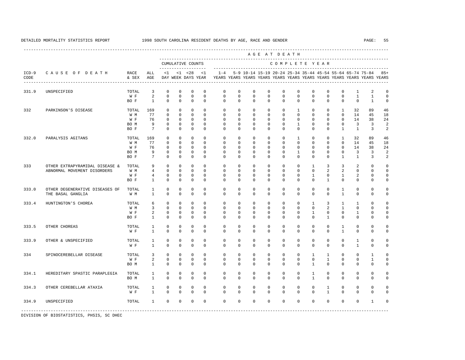---------------------------------------------------------------------------------------------------------------------------------------------------- A G E A T D E A T H --------------------------------------------------------------------------------------------- CUMULATIVE COUNTS C O M P L E T E Y E A R ------------------- ----------------------------------------------------------------------- ICD-9 C A U S E O F D E A T H RACE ALL <1 <1 <28 <1 1-4 5-9 10-14 15-19 20-24 25-34 35-44 45-54 55-64 65-74 75-84 85+ CODE & SEX AGE DAY WEEK DAYS YEAR YEARS YEARS YEARS YEARS YEARS YEARS YEARS YEARS YEARS YEARS YEARS YEARS ---------------------------------------------------------------------------------------------------------------------------------------------------- 331.9 UNSPECIFIED TOTAL 3 0 0 0 0 0 0 0 0 0 0 0 0 0 1 2 0  $0 \qquad 0 \qquad 0 \qquad 0$  BO F 1 0 0 0 0 0 0 0 0 0 0 0 0 0 0 1 0 332 PARKINSON'S DISEASE TOTAL 169 0 0 0 0 0 0 0 0 0 1 0 0 1 32 89 46 W M 77 0 0 0 0 0 0 0 0 0 0 0 0 0 14 45 18 W F 76 0 0 0 0 0 0 0 0 0 0 0 0 0 14 38 24 BOM 9 0 0 0 0 0 0 0 0 0 0 0 0 0 3 3 2 BO F 7 0 0 0 0 0 0 0 0 0 0 0 0 1 1 3 2 332.0 PARALYSIS AGITANS TOTAL 169 0 0 0 0 0 0 0 0 0 1 0 0 1 32 89 46 W M 77 0 0 0 0 0 0 0 0 0 0 0 0 0 14 45 18 W F 76 0 0 0 0 0 0 0 0 0 0 0 0 0 14 38 24 BOM 9 0 0 0 0 0 0 0 0 0 0 0 0 0 3 3 2 BO F 7 0 0 0 0 0 0 0 0 0 0 0 0 1 1 3 2 333 OTHER EXTRAPYRAMIDAL DISEASE & TOTAL 9 0 0 0 0 0 0 0 0 0 0 1 3 3 2 0 0 ABNORMAL MOVEMENT DISORDERS W M 4 0 0 0 0 0 0 0 0 0 0 0 2 2 0 0 0 W F 4 0 0 0 0 0 0 0 0 0 0 0 0 1 0 1 2 0 0 BO F 1 0 0 0 0 0 0 0 0 0 0 0 1 0 0 0 0 333.0 OTHER DEGENERATIVE DISEASES OF TOTAL 1 0 0 0 0 0 0 0 0 0 0 0 0 1 0 0 0 THE BASAL GANGLIA 333.4 HUNTINGTON'S CHOREA TOTAL 6 0 0 0 0 0 0 0 0 0 0 1 3 1 1 0 0 W M 3 0 0 0 0 0 0 0 0 0 0 0 0 2 1 0 0 0 W F 2 0 0 0 0 0 0 0 0 0 0 0 1 0 0 1 0 0 BO F 1 0 0 0 0 0 0 0 0 0 0 0 1 0 0 0 0 333.5 OTHER CHOREAS TOTAL 1 0 0 0 0 0 0 0 0 0 0 0 0 1 0 0 0 W F 1 0 0 0 0 0 0 0 0 0 0 0 0 1 0 0 0 333.9 OTHER & UNSPECIFIED TOTAL 1 0 0 0 0 0 0 0 0 0 0 0 0 0 1 0 0 W F 1 0 0 0 0 0 0 0 0 0 0 0 0 0 0 1 0 0 334 SPINOCEREBELLAR DISEASE TOTAL 3 0 0 0 0 0 0 0 0 0 0 0 0 1 1 0 0 1 0<br>
WF 2 0 0 0 0 0 0 0 0 0 0 0 0 0 1 0 0 1 0 W F 2 0 0 0 0 0 0 0 0 0 0 0 0 1 0 0 1 0 BO M 1 0 0 0 0 0 0 0 0 0 0 1 0 0 0 0 0 334.1 HEREDITARY SPASTIC PARAPLEGIA TOTAL 1 0 0 0 0 0 0 0 0 0 0 1 0 0 0 0 0 BO M 1 0 0 0 0 0 0 0 0 0 0 1 0 0 0 0 0 334.3 OTHER CEREBELLAR ATAXIA TOTAL 1 0 0 0 0 0 0 0 0 0 0 0 1 0 0 0 0 W F 1 0 0 0 0 0 0 0 0 0 0 0 1 0 0 0 0 334.9 UNSPECIFIED TOTAL 1 0 0 0 0 0 0 0 0 0 0 0 0 0 0 1 0 -----------------------------------------------------------------------------------------------------------------------------------------------------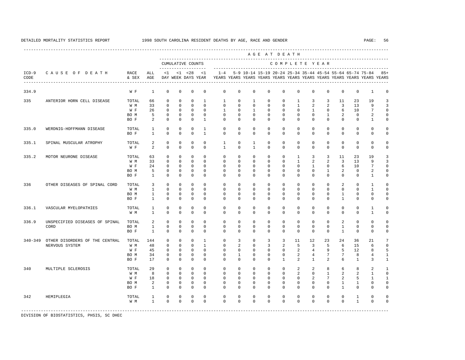|                 |                                |               |              |              |              |                                    |                |                |             |                           |              | AGE AT DEATH  |                |                |                 |                 |                                                           |                                                                         |                 |
|-----------------|--------------------------------|---------------|--------------|--------------|--------------|------------------------------------|----------------|----------------|-------------|---------------------------|--------------|---------------|----------------|----------------|-----------------|-----------------|-----------------------------------------------------------|-------------------------------------------------------------------------|-----------------|
|                 |                                |               |              |              |              | CUMULATIVE COUNTS                  |                |                |             | ------------------------- |              | COMPLETE YEAR |                |                |                 |                 |                                                           |                                                                         |                 |
| $ICD-9$<br>CODE | CAUSE OF DEATH                 | RACE<br>& SEX | ALL<br>AGE   | <1           |              | $< 1$ $< 28$<br>DAY WEEK DAYS YEAR | <1             | $1 - 4$        |             |                           |              |               |                |                |                 |                 | 5-9 10-14 15-19 20-24 25-34 35-44 45-54 55-64 65-74 75-84 | YEARS YEARS YEARS YEARS YEARS YEARS YEARS YEARS YEARS YEARS YEARS YEARS | $85+$           |
| 334.9           |                                | W F           | <sup>1</sup> | $\mathbf{0}$ | $\mathbf 0$  | $\Omega$                           | $\mathbf 0$    | $\mathbf 0$    | $\mathbf 0$ | $\mathbf 0$               | $\mathbf 0$  | $\Omega$      | $\mathbf 0$    | $\Omega$       | $\mathbf{0}$    | $\mathbf 0$     | $\mathbf 0$                                               | $\mathbf{1}$                                                            | $\mathbf 0$     |
| 335             | ANTERIOR HORN CELL DISEASE     | TOTAL         | 66           | $\Omega$     | $\Omega$     | $\Omega$                           | $\overline{1}$ | $\overline{1}$ | $\Omega$    | 1                         | $\Omega$     | $\Omega$      | $\mathbf{1}$   | 3              | 3               | 11              | 23                                                        | 19                                                                      | 3               |
|                 |                                | W M           | 33           | $\mathbf{0}$ | $\mathbf 0$  | $\Omega$                           | $\Omega$       | $\mathbf 0$    | $\mathbf 0$ | $\mathbf{0}$              | $\mathbf 0$  | $\Omega$      | $\mathbf{1}$   | 2              | $\overline{a}$  | $\overline{3}$  | 13                                                        | 9                                                                       | 3               |
|                 |                                | W F           | 26           | $\mathbf{0}$ | $\mathbf 0$  | $\Omega$                           | $\Omega$       | $\mathbf{1}$   | $\Omega$    | $\mathbf{1}$              | $\Omega$     | $\Omega$      | $\Omega$       | $\mathbf{1}$   | $\mathbf{0}$    | 6               | 10                                                        | $7\phantom{.0}$                                                         | $\mathbf 0$     |
|                 |                                | BO M          | 5            | $\mathbf{0}$ | $\Omega$     | $\Omega$                           | $\Omega$       | $\Omega$       | $\Omega$    | $\Omega$                  | $\Omega$     | $\Omega$      | $\Omega$       | $\Omega$       | $\mathbf{1}$    | 2               | $\Omega$                                                  | 2                                                                       | $\mathbf 0$     |
|                 |                                | BO F          | 2            | $\Omega$     | $\mathbf 0$  | $\Omega$                           | $\overline{1}$ | $\Omega$       | $\Omega$    | $\Omega$                  | $\Omega$     | $\Omega$      | $\Omega$       | $\Omega$       | $\Omega$        | $\Omega$        | $\Omega$                                                  | $\mathbf{1}$                                                            | $\mathbf 0$     |
| 335.0           | WERDNIG-HOFFMANN DISEASE       | TOTAL         | $\mathbf{1}$ | $\Omega$     | $\Omega$     | $\Omega$                           | $\overline{1}$ | $\Omega$       | $\Omega$    | $\Omega$                  | $\Omega$     | $\Omega$      | $\Omega$       | $\Omega$       | $\Omega$        | $\Omega$        | $\Omega$                                                  | $\Omega$                                                                | $\mathbf 0$     |
|                 |                                | BO F          | $\mathbf{1}$ | $\mathbf{0}$ | $\mathbf 0$  | $\Omega$                           | $\overline{1}$ | $\Omega$       | $\Omega$    | $\Omega$                  | $\Omega$     | $\Omega$      | $\Omega$       | $\Omega$       | $\Omega$        | $\Omega$        | $\Omega$                                                  | $\Omega$                                                                | $\mathbf 0$     |
| 335.1           | SPINAL MUSCULAR ATROPHY        | TOTAL         | 2            | $\mathbf{0}$ | $\mathbf 0$  | $\mathbf 0$                        | $\Omega$       | $\mathbf{1}$   | $\mathbf 0$ | $\overline{1}$            | $\Omega$     | $\Omega$      | $\Omega$       | $\Omega$       | $\mathbf{0}$    | $\mathbf 0$     | $\mathbf 0$                                               | $\Omega$                                                                | $\mathbf 0$     |
|                 |                                | W F           | 2            | $\Omega$     | $\Omega$     | $\Omega$                           | $\Omega$       | $\overline{1}$ | $\Omega$    | $\overline{1}$            | $\Omega$     | $\Omega$      | $\Omega$       | $\Omega$       | $\Omega$        | $\Omega$        | $\mathbf 0$                                               | $\mathbf 0$                                                             | $\mathbf 0$     |
| 335.2           | MOTOR NEURONE DISEASE          | TOTAL         | 63           | $\mathbf{0}$ | $\mathbf 0$  | $\mathbf 0$                        | $\Omega$       | $\mathbf 0$    | $\mathbf 0$ | $\mathbf{0}$              | $\mathbf 0$  | $\mathbf 0$   | $\mathbf{1}$   | $\overline{3}$ | $\overline{3}$  | 11              | 23                                                        | 19                                                                      | 3               |
|                 |                                | W M           | 33           | $\Omega$     | $\Omega$     | $\Omega$                           | $\Omega$       | $\Omega$       | $\Omega$    | $\Omega$                  | $\Omega$     | $\Omega$      | $\overline{1}$ | 2              | 2               | $\overline{3}$  | 13                                                        | 9                                                                       | 3               |
|                 |                                | W F           | 24           | $\Omega$     | $\Omega$     | $\Omega$                           | $\Omega$       | $\Omega$       | $\Omega$    | $\Omega$                  | $\Omega$     | $\Omega$      | $\Omega$       | $\mathbf{1}$   | $\Omega$        | 6               | 10                                                        | $7\phantom{.0}$                                                         | $\mathbb O$     |
|                 |                                | BO M          | 5            | $\mathbf{0}$ | $\mathbf 0$  | $\mathbf 0$                        | $\mathbf 0$    | $\mathbf 0$    | $\mathbf 0$ | 0                         | $\mathbf 0$  | 0             | $\mathbf 0$    | $\mathbf 0$    | $\mathbf{1}$    | 2               | $\mathbf 0$                                               | $\overline{2}$                                                          | $\mathbb O$     |
|                 |                                | BO F          | $\mathbf{1}$ | $\Omega$     | $\Omega$     | $\Omega$                           | $\Omega$       | $\Omega$       | $\Omega$    | $\Omega$                  | $\Omega$     | $\Omega$      | $\Omega$       | $\Omega$       | $\Omega$        | $\Omega$        | $\mathbf 0$                                               | 1                                                                       | $\mathbf 0$     |
| 336             | OTHER DISEASES OF SPINAL CORD  | TOTAL         | 3            | $\mathbf{0}$ | $\mathbf 0$  | $\mathbf 0$                        | $\Omega$       | $\mathbf 0$    | $\mathbf 0$ | $\mathbf{0}$              | $\mathbf 0$  | $\Omega$      | $\mathbf 0$    | $\Omega$       | $\mathbf 0$     | $\mathcal{L}$   | $\mathbf 0$                                               | $\mathbf{1}$                                                            | $\mathbf 0$     |
|                 |                                | W M           | $\mathbf{1}$ | $\Omega$     | $\Omega$     | $\Omega$                           | $\Omega$       | $\Omega$       | $\Omega$    | $\Omega$                  | $\Omega$     | $\Omega$      | $\Omega$       | $\Omega$       | $\Omega$        | $\mathbf 0$     | $\Omega$                                                  | 1                                                                       | $\mathbf 0$     |
|                 |                                | BO M          | $\mathbf{1}$ | $\mathbf{0}$ | $\mathbf{0}$ | $\Omega$                           | $\Omega$       | $\Omega$       | $\Omega$    | $\Omega$                  | $\Omega$     | $\Omega$      | $\Omega$       | $\Omega$       | $\Omega$        | $\mathbf{1}$    | $\Omega$                                                  | $\mathbf 0$                                                             | $\mathbf 0$     |
|                 |                                | BO F          | $\mathbf{1}$ | $\mathbf{0}$ | $\mathbf 0$  | $\mathbf 0$                        | $\Omega$       | $\Omega$       | $\Omega$    | $\Omega$                  | $\Omega$     | $\Omega$      | $\Omega$       | $\Omega$       | $\Omega$        | $\mathbf{1}$    | $\mathbf 0$                                               | $\mathbf 0$                                                             | $\mathbf 0$     |
| 336.1           | VASCULAR MYELOPATHIES          | TOTAL         | $\mathbf{1}$ | $\mathbf 0$  | $\mathbf{0}$ | $\mathbf 0$                        | $\mathbf 0$    | 0              | 0           | 0                         | $\mathbf{0}$ | 0             | 0              | $^{\circ}$     | $\mathbf 0$     | $\circ$         | $\mathbf 0$                                               | 1                                                                       | $\mathbf 0$     |
|                 |                                | W M           | $\mathbf{1}$ | $\Omega$     | $\Omega$     | $\Omega$                           | $\Omega$       | $\Omega$       | $\Omega$    | $\Omega$                  | $\Omega$     | $\Omega$      | $\Omega$       | $\Omega$       | $\Omega$        | $\Omega$        | $\Omega$                                                  | $\mathbf{1}$                                                            | $\mathbf 0$     |
| 336.9           | UNSPECIFIED DISEASES OF SPINAL | TOTAL         | 2            | $\mathbf{0}$ | $\mathbf 0$  | $\mathbf 0$                        | $\mathbf 0$    | $\mathbf 0$    | $\mathbf 0$ | $\mathbf{0}$              | $\mathbf 0$  | $\mathbf 0$   | $\mathbf 0$    | $^{\circ}$     | $\mathbf 0$     | 2               | $\mathbf 0$                                               | $\mathbf 0$                                                             | $\mathbf 0$     |
|                 | CORD                           | BO M          | $\mathbf{1}$ | $\mathbf{0}$ | $\Omega$     | $\mathbf 0$                        | $\Omega$       | $\Omega$       | $\Omega$    | $\Omega$                  | $\Omega$     | $\Omega$      | $\Omega$       | $\mathbf 0$    | $\mathbf{0}$    | $\mathbf{1}$    | $\mathbf 0$                                               | $\mathbf 0$                                                             | $\mathbb O$     |
|                 |                                | BO F          | $\mathbf{1}$ | $\Omega$     | $\Omega$     | $\Omega$                           | $\Omega$       | $\Omega$       | $\Omega$    | $\Omega$                  | $\Omega$     | $\Omega$      | $\Omega$       | $\Omega$       | $\Omega$        | $\mathbf{1}$    | $\Omega$                                                  | $\Omega$                                                                | $\mathbf 0$     |
| $340 - 349$     | OTHER DISORDERS OF THE CENTRAL | TOTAL         | 144          | $\mathbf 0$  | $\mathbf 0$  | $\mathbf 0$                        | $\mathbf{1}$   | $\mathbf 0$    | 3           | $\mathbf{0}$              | 3            | 3             | 11             | 12             | 23              | 24              | 36                                                        | 21                                                                      | $7\phantom{.0}$ |
|                 | NERVOUS SYSTEM                 | W M           | 48           | $\mathbf{0}$ | $\Omega$     | $\Omega$                           | $\overline{1}$ | $\Omega$       | 2           | $\Omega$                  | 3            | 2             | 5              | 3              | 5               | 6               | 15                                                        | 6                                                                       | $\mathbf 0$     |
|                 |                                | W F           | 45           | 0            | $\mathbf 0$  | $\mathbf 0$                        | $\mathbf 0$    | $\mathbf 0$    | 0           | 0                         | $\mathbf 0$  | $\mathbf 0$   | 2              | $\overline{4}$ | 9               | 5               | 12                                                        | 8                                                                       | 5               |
|                 |                                | BO M          | 34           | $\mathbf 0$  | $\mathbf{0}$ | $\mathbf 0$                        | $\Omega$       | 0              | 1           | 0                         | $\Omega$     | 0             | 2              | $\overline{4}$ | $7\phantom{.0}$ | $7\phantom{.0}$ | 8                                                         | 4                                                                       | $1\,$           |
|                 |                                | BO F          | 17           | $\Omega$     | $\Omega$     | $\Omega$                           | $\Omega$       | $\Omega$       | $\Omega$    | $\Omega$                  | $\Omega$     | $\mathbf{1}$  | 2              | $\overline{1}$ | $\overline{a}$  | 6               | 1                                                         | 3                                                                       | $\mathbf{1}$    |
| 340             | MULTIPLE SCLEROSIS             | TOTAL         | 29           | $\mathbf{0}$ | $\mathbf 0$  | $\mathbf 0$                        | $\mathbf 0$    | $\mathbf 0$    | $\mathbf 0$ | $\mathbf{0}$              | $\mathbf 0$  | $\mathbf 0$   | $\overline{2}$ | 2              | 8               | 6               | 8                                                         | 2                                                                       | 1               |
|                 |                                | W M           | 8            | $\mathbf{0}$ | $\mathbf{0}$ | $\mathbf 0$                        | $\Omega$       | 0              | 0           | 0                         | 0            | 0             | 2              | $^{\circ}$     | 1               | 2               | 2                                                         | 1                                                                       | $\mathbf 0$     |
|                 |                                | W F           | 18           | $\mathbf 0$  | $\mathbf{0}$ | $\mathbf 0$                        | $\Omega$       | $\Omega$       | 0           | 0                         | $\Omega$     | $\Omega$      | 0              | 2              | $7\phantom{.0}$ | 2               | 5                                                         | 1                                                                       | 1               |
|                 |                                | BO M          | 2            | $\mathbf{0}$ | $\mathbf 0$  | $\mathbf 0$                        | $\Omega$       | $\mathbf 0$    | $\mathbf 0$ | 0                         | $\mathbf 0$  | $\Omega$      | $\mathbf 0$    | $\mathbf 0$    | $\mathbf 0$     | $\mathbf{1}$    | $\mathbf{1}$                                              | $\mathbf 0$                                                             | $\mathbf 0$     |
|                 |                                | BO F          | $\mathbf{1}$ | $\mathbf 0$  | $\mathbf{0}$ | $\mathbf 0$                        | $\mathbf 0$    | $\Omega$       | 0           | 0                         | 0            | $\Omega$      | 0              | $\Omega$       | $\mathbf{0}$    | $\mathbf{1}$    | 0                                                         | $\mathbf 0$                                                             | $\mathbf 0$     |
| 342             | HEMIPLEGIA                     | TOTAL         | 1            | $\mathbf 0$  | $\mathbf 0$  | $\mathbf 0$                        | $\mathbf 0$    | $\mathbf 0$    | 0           | $\mathbf 0$               | $\mathbf 0$  | $\mathbf 0$   | $\mathbf 0$    | $\mathbf 0$    | $\mathbf{0}$    | $\mathbf 0$     | 1                                                         | $\mathbf 0$                                                             | $\mathbf 0$     |
|                 |                                | W M           | $\mathbf{1}$ | $\mathbf{0}$ | $\mathbf{0}$ | $\mathbf 0$                        | $\mathbf 0$    | $\mathbf 0$    | 0           | 0                         | 0            | $\mathbf 0$   | $\mathbf 0$    | $\mathbf 0$    | $\mathbf{0}$    | $\mathbf 0$     | $\mathbf{1}$                                              | $\mathbf 0$                                                             | $\mathbf 0$     |
|                 |                                |               |              |              |              |                                    |                |                |             |                           |              |               |                |                |                 |                 |                                                           |                                                                         |                 |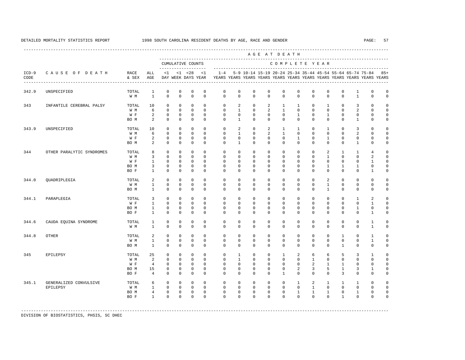---------------------------------------------------------------------------------------------------------------------------------------------------- A G E A T D E A T H --------------------------------------------------------------------------------------------- CUMULATIVE COUNTS C O M P L E T E Y E A R ------------------- ----------------------------------------------------------------------- ICD-9 C A U S E O F D E A T H RACE ALL <1 <1 <28 <1 1-4 5-9 10-14 15-19 20-24 25-34 35-44 45-54 55-64 65-74 75-84 85+ CODE & SEX AGE DAY WEEK DAYS YEAR YEARS YEARS YEARS YEARS YEARS YEARS YEARS YEARS YEARS YEARS YEARS YEARS ---------------------------------------------------------------------------------------------------------------------------------------------------- 342.9 UNSPECIFIED TOTAL 1 0 0 0 0 0 0 0 0 0 0 0 0 0 1 0 0 W M 1 0 0 0 0 0 0 0 0 0 0 0 0 0 1 0 0 343 INFANTILE CEREBRAL PALSY TOTAL 10 0 0 0 0 0 2 0 2 1 1 0 1 0 3 0 0 W M 6 0 0 0 0 0 1 0 2 1 0 0 0 0 2 0 0 W F 2 0 0 0 0 0 0 0 0 0 0 1 0 0 0 0 0 BOM 2 0 0 0 0 0 1 0 0 0 0 0 0 0 0 1 0 0 343.9 UNSPECIFIED TOTAL 10 0 0 0 0 0 2 0 2 1 1 0 1 0 3 0 0 W M 6 0 0 0 0 0 1 0 2 1 0 0 0 0 2 0 0 W F 2 0 0 0 0 0 0 0 0 0 0 1 0 0 0 0 0 BOM 2 0 0 0 0 0 1 0 0 0 0 0 0 0 0 1 0 0 344 OTHER PARALYTIC SYNDROMES TOTAL 8 0 0 0 0 0 0 0 0 0 0 0 2 1 1 4 0 W M 3 0 0 0 0 0 0 0 0 0 0 0 1 0 0 2 0 W F 1 0 0 0 0 0 0 0 0 0 0 0 0 0 0 1 0 BOM 3 0 0 0 0 0 0 0 0 0 0 0 0 0 1 1 1 0 0<br>BOF 1 0 0 0 0 0 0 0 0 0 0 0 0 0 0 0 1 0 BO F 1 0 0 0 0 0 0 0 0 0 0 0 0 0 0 1 0 344.0 QUADRIPLEGIA TOTAL 2 0 0 0 0 0 0 0 0 0 0 0 2 0 0 0 0 W M 1 0 0 0 0 0 0 0 0 0 0 0 1 0 0 0 0 BO M 1 0 0 0 0 0 0 0 0 0 0 0 1 0 0 0 0 344.1 PARAPLEGIA TOTAL 3 0 0 0 0 0 0 0 0 0 0 0 0 0 1 2 0 W F 1 0 0 0 0 0 0 0 0 0 0 0 0 0 0 1 0 BOM 1 0 0 0 0 0 0 0 0 0 0 0 0 0 1 0 0 BO F 1 0 0 0 0 0 0 0 0 0 0 0 0 0 0 1 0 344.6 CAUDA EQUINA SYNDROME TOTAL 1 0 0 0 0 0 0 0 0 0 0 0 0 0 0 1 0 W M 1 0 0 0 0 0 0 0 0 0 0 0 0 0 0 1 0 344.8 OTHER TOTAL 2 0 0 0 0 0 0 0 0 0 0 0 0 1 0 1 0 W M 1 0 0 0 0 0 0 0 0 0 0 0 0 0 0 1 0 BO M 1 0 0 0 0 0 0 0 0 0 0 0 0 1 0 0 0 345 EPILEPSY TOTAL 25 0 0 0 0 0 1 0 0 1 2 6 6 5 3 1 0 W M 2 0 0 0 0 0 1 0 0 0 0 1 0 0 0 0 0 W F 4 0 0 0 0 0 0 0 0 0 0 0 2 1 1 0 0 0 BO M 15 0 0 0 0 0 0 0 0 0 2 3 5 1 3 1 0 BOF 4 0 0 0 0 0 0 0 0 0 0 0 0 0 3 0 0 0 345.1 GENERALIZED CONVULSIVE TOTAL 6 0 0 0 0 0 0 0 0 0 1 2 1 1 1 0 0 EPILEPSY W M 1 0 0 0 0 0 0 0 0 0 0 1 0 0 0 0 0 BOM 4 0 0 0 0 0 0 0 0 0 0 1 1 1 0 1 0 0 BO F 1 0 0 0 0 0 0 0 0 0 0 0 0 1 0 0 0

-----------------------------------------------------------------------------------------------------------------------------------------------------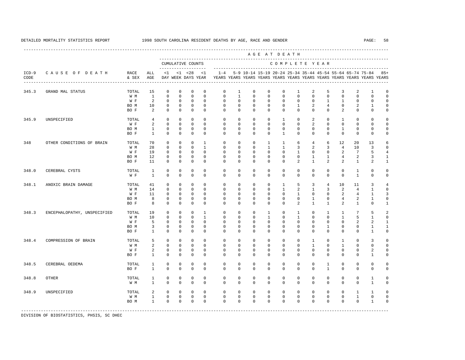|                 |                             |               |                   |                         |                             |                                          |                              |                            |                            |                            |                            | AGE AT DEATH                                              |                              |                              |                          |                                  |                   |                                                                         |                            |
|-----------------|-----------------------------|---------------|-------------------|-------------------------|-----------------------------|------------------------------------------|------------------------------|----------------------------|----------------------------|----------------------------|----------------------------|-----------------------------------------------------------|------------------------------|------------------------------|--------------------------|----------------------------------|-------------------|-------------------------------------------------------------------------|----------------------------|
|                 |                             |               |                   |                         |                             | CUMULATIVE COUNTS<br>------------------- |                              |                            |                            |                            |                            | COMPLETE YEAR                                             |                              |                              |                          |                                  |                   |                                                                         |                            |
| $ICD-9$<br>CODE | CAUSE OF DEATH              | RACE<br>& SEX | ALL<br>AGE        | <1                      |                             | $< 1$ $< 28$<br>DAY WEEK DAYS YEAR       | <1                           | $1 - 4$                    |                            |                            |                            | 5-9 10-14 15-19 20-24 25-34 35-44 45-54 55-64 65-74 75-84 |                              |                              |                          |                                  |                   | YEARS YEARS YEARS YEARS YEARS YEARS YEARS YEARS YEARS YEARS YEARS YEARS | $85+$                      |
| 345.3           | GRAND MAL STATUS            | TOTAL         | 15                | $\mathbf 0$             | $\mathbf{0}$                | $\mathbf 0$                              | $\mathbf 0$                  | $\mathbf 0$                | $\mathbf{1}$               | $\mathbf 0$                | $\mathbf 0$                | $\mathbf 0$                                               | $\mathbf{1}$                 | $\overline{2}$               | 5                        | 3                                | 2                 | $\mathbf{1}$                                                            | $\mathbf 0$                |
|                 |                             | W M           | $\mathbf{1}$      | $\mathbf{0}$            | $\mathbf{0}$                | $\mathbf{0}$                             | $\Omega$                     | $\Omega$                   | $\mathbf{1}$               | $\Omega$                   | $\Omega$                   | $\Omega$                                                  | $\Omega$                     | $\Omega$                     | $\Omega$                 | $\Omega$                         | $\Omega$          | $\Omega$                                                                | $\Omega$                   |
|                 |                             | W F           | 2                 | $\Omega$                | $\Omega$                    | $\Omega$                                 | $\Omega$                     | $\Omega$                   | $\Omega$                   | $\Omega$                   | $\Omega$                   | $\Omega$                                                  | $\Omega$                     | $\Omega$                     | $\mathbf{1}$             | $\mathbf{1}$                     | $\Omega$          | $\Omega$                                                                | $\Omega$                   |
|                 |                             | BO M          | 10                | $\mathbf 0$             | $\mathsf{O}$                | $\mathbb O$                              | $\mathbf{0}$                 | $\mathbf 0$                | $\mathbf 0$                | $\mathbf{0}$               | $\mathbf 0$                | $\mathbf{0}$                                              | $\mathbf{1}$                 | $\overline{a}$               | $\overline{4}$           | $\mathbf{0}$                     | 2                 | $\mathbf{1}$                                                            | $\mathbf 0$                |
|                 |                             | BO F          | 2                 | $\mathbf{0}$            | $\mathbf{0}$                | $\mathbf{0}$                             | $\Omega$                     | $\Omega$                   | $\mathbf 0$                | $\mathbf{0}$               | $\mathbf{0}$               | $\Omega$                                                  | $\mathbf 0$                  | $\Omega$                     | $\mathbf{0}$             | 2                                | $\mathbf 0$       | $\mathbf 0$                                                             | $\mathbf 0$                |
| 345.9           | UNSPECIFIED                 | TOTAL         | $\overline{4}$    | $\mathbf 0$             | $\Omega$                    | $\mathbf 0$                              | $\Omega$                     | $\Omega$                   | $\mathbf 0$                | $\mathbf 0$                | $\mathbf 0$                | $\mathbf{1}$                                              | $\mathbf 0$                  | 2                            | $\mathbf{0}$             | $\mathbf{1}$                     | $\mathbf 0$       | $\Omega$                                                                | $\Omega$                   |
|                 |                             | W F           | 2                 | $\mathbf{0}$            | $\mathbf{0}$                | $\mathbf{0}$                             | $\Omega$                     | $\Omega$                   | $\Omega$                   | $\Omega$                   | $\Omega$                   | $\Omega$                                                  | $\Omega$                     | 2                            | $\Omega$                 | $\Omega$                         | $\Omega$          | $\Omega$                                                                | $\Omega$                   |
|                 |                             | BO M          | $\mathbf{1}$      | $\mathbf 0$             | $\Omega$                    | $\mathbf 0$                              | $\Omega$                     | $\Omega$                   | $\Omega$                   | $\Omega$                   | $\Omega$                   | $\Omega$                                                  | $\Omega$                     | $\Omega$                     | $\Omega$                 | $\mathbf{1}$                     | $\Omega$          | $\Omega$                                                                | $\Omega$                   |
|                 |                             | BO F          | $\mathbf{1}$      | $\Omega$                | $\mathbf{0}$                | $\mathbf 0$                              | $\mathbf 0$                  | $\Omega$                   | $\Omega$                   | $\Omega$                   | $\mathbf 0$                | $\mathbf{1}$                                              | $\mathbf 0$                  | $\Omega$                     | $\mathbf 0$              | $\mathbf 0$                      | $\mathbf 0$       | $\mathbf 0$                                                             | $\Omega$                   |
|                 |                             |               |                   |                         |                             |                                          |                              |                            |                            |                            |                            |                                                           |                              |                              |                          |                                  |                   |                                                                         |                            |
| 348             | OTHER CONDITIONS OF BRAIN   | TOTAL         | 70                | $\mathbf 0$             | $\mathbf 0$                 | $\mathbf 0$                              | $\mathbf{1}$                 | $\Omega$                   | $\Omega$                   | $\Omega$                   | $\mathbf{1}$               | $\mathbf{1}$                                              | 6                            | $\overline{4}$               | 6                        | 12                               | 20                | 13                                                                      | $\epsilon$                 |
|                 |                             | W M           | 28                | $\mathbf 0$             | $\Omega$                    | $\Omega$                                 | $\mathbf{1}$                 | $\Omega$                   | $\Omega$                   | $\Omega$                   | $\mathbf{1}$               | $\mathbf{1}$                                              | 3                            | 2                            | 3                        | $\overline{4}$                   | 10                | 3                                                                       | $\Omega$                   |
|                 |                             | W F           | 19                | $\Omega$                | $\Omega$                    | $\Omega$                                 | $\Omega$                     | $\Omega$                   | $\Omega$                   | $\Omega$                   | $\Omega$                   | $\Omega$                                                  | $\mathbf{1}$                 | $\Omega$                     | $\Omega$                 | 2                                | 7                 | 5                                                                       | 4                          |
|                 |                             | BO M<br>BO F  | 12<br>11          | 0<br>$\Omega$           | $\mathbf{0}$<br>$\mathbf 0$ | $\mathbb O$<br>$\mathbf 0$               | $\mathbf 0$<br>$\mathbf 0$   | $\mathbf 0$<br>$\Omega$    | $\mathbf 0$<br>$\mathbf 0$ | $\mathbf 0$<br>$\mathbf 0$ | $\mathbf 0$<br>$\mathbf 0$ | $\mathbf 0$<br>$\mathbf 0$                                | $\mathbf 0$<br>2             | $\mathbf{1}$<br>$\mathbf{1}$ | $\mathbf{1}$<br>2        | $\overline{4}$<br>$\overline{a}$ | 2<br>$\mathbf{1}$ | 3<br>2                                                                  | $\mathbf{1}$<br>1          |
|                 |                             |               |                   |                         |                             |                                          |                              |                            |                            |                            |                            |                                                           |                              |                              |                          |                                  |                   |                                                                         |                            |
| 348.0           | CEREBRAL CYSTS              | TOTAL         | $\mathbf{1}$      | $\mathbf 0$             | $\mathbf 0$                 | $\mathbb O$                              | $\mathbf 0$                  | $\mathbf 0$                | $\mathbf 0$                | $\mathbf 0$                | $\mathbf 0$                | $\mathbf 0$                                               | $\mathbf 0$                  | $\mathbf 0$                  | $\mathbf{0}$             | $\mathbf 0$                      | $\mathbf{1}$      | $\mathbf 0$                                                             | $\mathbf 0$                |
|                 |                             | W F           | $\mathbf{1}$      | $\mathbf{0}$            | $\mathbf{0}$                | $\mathbf{0}$                             | $\mathbf{0}$                 | $\mathbf 0$                | $\mathbf 0$                | $\mathbf{0}$               | $\mathbf 0$                | $\mathbf 0$                                               | $\mathbf 0$                  | $\mathbf 0$                  | $\mathbf{0}$             | $\mathbf{0}$                     | $\mathbf{1}$      | $\mathbf 0$                                                             | $\Omega$                   |
| 348.1           | ANOXIC BRAIN DAMAGE         | TOTAL         | 41                | 0                       | $\mathbf 0$                 | 0                                        | $\mathbf 0$                  | $\mathbf 0$                | $\mathbf 0$                | $\mathbf 0$                | $\mathbf 0$                | $\mathbf{1}$                                              | 5                            | 3                            | $\overline{4}$           | 10                               | 11                | 3                                                                       | $\overline{4}$             |
|                 |                             | W M           | 14                | $\mathbf 0$             | $\Omega$                    | $\mathbf{0}$                             | $\Omega$                     | $\mathbf 0$                | $\mathbf 0$                | $\mathbf 0$                | $\mathbf 0$                | $\mathbf{1}$                                              | $\overline{a}$               | $\mathbf{1}$                 | 3                        | 2                                | $\overline{4}$    | $\mathbf{1}$                                                            | $\Omega$                   |
|                 |                             | W F           | 11                | $\mathbf 0$             | $\mathbf{0}$                | $\mathbf 0$                              | $\Omega$                     | $\Omega$                   | $\Omega$                   | $\Omega$                   | $\Omega$                   | $\Omega$                                                  | $\mathbf{1}$                 | $\Omega$                     | $\Omega$                 | 2                                | $\overline{4}$    | 1                                                                       | 3                          |
|                 |                             | BO M          | 8                 | 0                       | $\mathbf 0$                 | 0                                        | $\mathbf 0$                  | $\mathbf 0$                | $\mathbf 0$                | $\mathbf 0$                | $\mathbf 0$                | $\mathbf 0$                                               | $\mathbf 0$                  | $\mathbf{1}$                 | $\mathbf 0$              | $\overline{4}$                   | 2                 | 1                                                                       | $\mathbf 0$                |
|                 |                             | BO F          | 8                 | $\mathbf{0}$            | $\mathbf{0}$                | $\mathbf 0$                              | $\mathbf 0$                  | $\mathbf 0$                | $\mathbf 0$                | $\mathbf 0$                | $\mathbf 0$                | $\mathbf{0}$                                              | $\overline{a}$               | $\mathbf{1}$                 | $\mathbf{1}$             | 2                                | $\mathbf{1}$      | 0                                                                       | 1                          |
|                 |                             |               |                   |                         |                             |                                          |                              |                            |                            |                            |                            |                                                           |                              |                              |                          |                                  |                   |                                                                         |                            |
| 348.3           | ENCEPHALOPATHY, UNSPECIFIED | TOTAL         | 19                | 0<br>$\mathbf 0$        | $\mathbf{0}$<br>$\Omega$    | $\mathbf 0$<br>$\Omega$                  | $\mathbf{1}$<br>$\mathbf{1}$ | $\mathbf 0$<br>$\mathbf 0$ | $\mathbf 0$<br>$\Omega$    | $\mathbf 0$<br>$\Omega$    | 1<br>$\mathbf{1}$          | $\Omega$<br>$\Omega$                                      | $\mathbf{1}$<br>$\mathbf{1}$ | $\mathbf 0$<br>$\Omega$      | $\mathbf{1}$<br>$\Omega$ | 1<br>$\mathbf{1}$                | 7<br>5            | 5<br>$\mathbf{1}$                                                       | $\overline{a}$<br>$\Omega$ |
|                 |                             | W M<br>W F    | 10<br>5           | $\mathbf 0$             | $\mathbf{0}$                | 0                                        | $\mathbf{0}$                 | $\mathbf 0$                | $\mathbf 0$                | $\mathbf 0$                | $\mathbf{0}$               | $\mathbf{0}$                                              | $\mathbf 0$                  | $\mathbf 0$                  | $\mathbf{0}$             | $\mathbf 0$                      | 2                 | 2                                                                       | 1                          |
|                 |                             |               |                   |                         | $\mathbf 0$                 |                                          | $\mathbf 0$                  | $\mathbf 0$                | $\mathbf 0$                | $\mathbf 0$                | $\mathbf{0}$               | $\mathbf 0$                                               | $\mathbf 0$                  | $\mathbf 0$                  |                          |                                  | $\mathbf 0$       |                                                                         |                            |
|                 |                             | BO M<br>BO F  | 3<br>$\mathbf{1}$ | $\mathsf 0$<br>$\Omega$ | $\Omega$                    | 0<br>$\Omega$                            | $\Omega$                     | $\Omega$                   | $\Omega$                   | $\Omega$                   | $\Omega$                   | $\Omega$                                                  | $\Omega$                     | $\Omega$                     | 1<br>$\Omega$            | $\mathbf{0}$<br>$\Omega$         | $\Omega$          | 1<br>$\mathbf{1}$                                                       | 1<br>$\Omega$              |
|                 |                             |               |                   |                         |                             |                                          |                              |                            |                            |                            |                            |                                                           |                              |                              |                          |                                  |                   |                                                                         |                            |
| 348.4           | COMPRESSION OF BRAIN        | TOTAL         | 5                 | $\mathbf{0}$            | $\mathbf{0}$                | $\mathbf{0}$                             | $\mathbf{0}$                 | $\mathbf 0$                | $\mathbf 0$                | $\mathbf{0}$               | $\mathbf{0}$               | $\mathbf 0$                                               | $\mathbf 0$                  | $\mathbf{1}$                 | $\mathbf{0}$             | 1                                | $\mathbf{0}$      | 3                                                                       | $\mathbf 0$                |
|                 |                             | W M           | 2                 | $\Omega$                | $\Omega$                    | $\mathbf{0}$                             | $\Omega$                     | $\Omega$                   | $\Omega$                   | $\Omega$                   | $\Omega$                   | $\Omega$                                                  | $\Omega$                     | $\mathbf{1}$                 | $\Omega$                 | $\mathbf{1}$                     | $\Omega$          | $\Omega$                                                                | $\Omega$                   |
|                 |                             | W F           | 2                 | 0                       | $\mathbf 0$                 | 0                                        | $\mathbf 0$                  | $\mathbf 0$                | $\mathbf 0$                | 0                          | $\mathbf 0$                | $\mathbf 0$                                               | $\mathbf 0$                  | $\mathbf 0$                  | $\mathbf 0$              | 0                                | $\mathbf 0$       | 2                                                                       | $\mathbf 0$                |
|                 |                             | BO F          | $\mathbf{1}$      | $\mathbf{0}$            | $\mathbf{0}$                | $\mathbf 0$                              | $\mathbf 0$                  | $\mathbf 0$                | $\mathbf 0$                | $\mathbf 0$                | $\mathbf 0$                | $\mathbf 0$                                               | $\mathbf 0$                  | $\mathbf 0$                  | $\mathbf 0$              | $\mathbf{0}$                     | $\mathbf 0$       | 1                                                                       | $\mathbf 0$                |
| 348.5           | CEREBRAL OEDEMA             | TOTAL         | $\mathbf{1}$      | 0                       | 0                           | $\mathbf 0$                              | 0                            | $\mathbf 0$                | $\mathbf 0$                | 0                          | $\mathbf 0$                | $\mathbf 0$                                               | $\mathbf 0$                  | $\mathbf 0$                  | $\mathbf{1}$             | 0                                | $\mathbf 0$       | $\mathbf 0$                                                             | 0                          |
|                 |                             | BO F          | $\mathbf{1}$      | $\mathbf{0}$            | $\mathbf{0}$                | $\mathbf{0}$                             | $\mathbf{0}$                 | $\mathbf 0$                | $\mathbf 0$                | $\mathbf{0}$               | $\mathbf{0}$               | $\mathbf 0$                                               | $\mathbf 0$                  | $\mathbf 0$                  | $\mathbf{1}$             | $\mathbf{0}$                     | $\mathbf{0}$      | $\mathbf 0$                                                             | $\mathbf 0$                |
|                 |                             |               |                   |                         |                             |                                          |                              |                            |                            |                            |                            |                                                           |                              |                              |                          |                                  |                   |                                                                         |                            |
| 348.8           | OTHER                       | TOTAL         | $\mathbf{1}$      | 0                       | $\mathbf{0}$                | $\mathbf 0$                              | $\mathbf{0}$                 | $^{\circ}$                 | 0                          | 0                          | 0                          | 0                                                         | 0                            | 0                            | 0                        | 0                                | 0                 | 1                                                                       | $\Omega$                   |
|                 |                             | W M           | $\mathbf{1}$      | $\mathbf{0}$            | $\mathbf{0}$                | $\mathbf{0}$                             | $\mathbf{0}$                 | $\mathbf 0$                | $\mathbf 0$                | $\mathbf{0}$               | $\mathbf{0}$               | $\mathbf 0$                                               | $\mathbf 0$                  | $\mathbf 0$                  | $\mathbf{0}$             | $\mathbf 0$                      | $\mathbf 0$       | $\mathbf{1}$                                                            | $\mathbf 0$                |
| 348.9           | UNSPECIFIED                 | TOTAL         | 2                 | 0                       | $\mathbf{0}$                | 0                                        | $\mathbf{0}$                 | 0                          | 0                          | 0                          | 0                          | 0                                                         | 0                            | $\circ$                      | 0                        | 0                                | 1                 | 1                                                                       | $\Omega$                   |
|                 |                             | W M           | $\mathbf{1}$      | $\mathbf 0$             | $\mathbf 0$                 | $\mathbf 0$                              | $\mathbf{0}$                 | $\mathbf 0$                | $\mathbf 0$                | $\mathbf{0}$               | $\mathbf 0$                | $\mathbf 0$                                               | 0                            | $\mathbf 0$                  | $\mathbf 0$              | 0                                | $\mathbf{1}$      | 0                                                                       | $\Omega$                   |
|                 |                             | BO M          | $\mathbf{1}$      | $\mathbf{0}$            | 0                           | $\mathbf{0}$                             | $\mathbf{0}$                 | $\mathbf 0$                | $\mathbf 0$                | $\mathbf{0}$               | $\mathbf{0}$               | $\mathbf 0$                                               | $\mathbf 0$                  | $\mathbf 0$                  | $\mathbf{0}$             | $\mathbf 0$                      | $\circ$           | 1                                                                       | $\Omega$                   |
|                 |                             |               |                   |                         |                             |                                          |                              |                            |                            |                            |                            |                                                           |                              |                              |                          |                                  |                   |                                                                         |                            |
|                 |                             |               |                   |                         |                             |                                          |                              |                            |                            |                            |                            |                                                           |                              |                              |                          |                                  |                   |                                                                         |                            |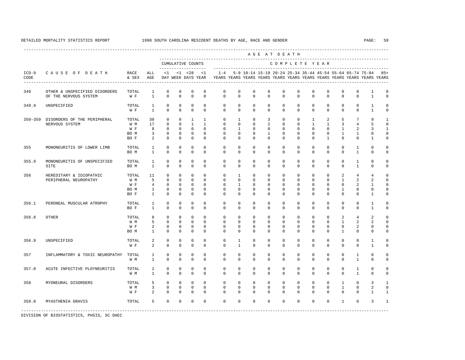---------------------------------------------------------------------------------------------------------------------------------------------------- A G E A T D E A T H --------------------------------------------------------------------------------------------- CUMULATIVE COUNTS C O M P L E T E Y E A R ------------------- ----------------------------------------------------------------------- ICD-9 C A U S E O F D E A T H RACE ALL <1 <1 <28 <1 1-4 5-9 10-14 15-19 20-24 25-34 35-44 45-54 55-64 65-74 75-84 85+ CODE & SEX AGE DAY WEEK DAYS YEAR YEARS YEARS YEARS YEARS YEARS YEARS YEARS YEARS YEARS YEARS YEARS YEARS ---------------------------------------------------------------------------------------------------------------------------------------------------- 349 OTHER & UNSPECIFIED DISORDERS TOTAL 1 0 0 0 0 0 0 0 0 0 0 0 0 0 0 0 0 0 1 0<br>OF THE NERVOUS SYSTEM WE 1 0 0 0 0 0 0 0 0 0 0 0 0 0 0 0 0 0 1 0 OF THE NERVOUS SYSTEM 349.9 UNSPECIFIED TOTAL 1 0 0 0 0 0 0 0 0 0 0 0 0 0 0 1 0 W F 1 0 0 0 0 0 0 0 0 0 0 0 0 0 0 1 0 350-359 DISORDERS OF THE PERIPHERAL TOTAL 30 0 0 1 1 0 1 0 3 0 0 1 2 5 7 9 1 NERVOUS SYSTEM W M 17 0 0 1 1 0 0 0 2 0 0 1 1 3 4 5 0 W F 8 0 0 0 0 0 1 0 0 0 0 0 0 0 1 2 3 1 BOM 3 0 0 0 0 0 0 0 0 0 0 0 0 1 1 0 0 BO F 2 0 0 0 0 0 0 0 0 0 0 0 1 0 0 1 0 355 MONONEURITIS OF LOWER LIMB TOTAL 1 0 0 0 0 0 0 0 0 0 0 0 0 0 1 0 0 BOM 1 0 0 0 0 0 0 0 0 0 0 0 0 0 0 1 0 0 355.9 MONONEURITIS OF UNSPECIFIED TOTAL 1 0 0 0 0 0 0 0 0 0 0 0 0 0 1 0 0 SITE BO M 1 0 0 0 0 0 0 0 0 0 0 0 0 0 1 0 0 356 HEREDITARY & IDIOPATHIC TOTAL 11 0 0 0 0 0 1 0 0 0 0 0 0 0 2 4 4 0<br>PERIPHERAL NEUROPATHY WM 5 0 0 0 0 0 0 0 0 0 0 0 0 1 2 2 0 PERIPHERAL NEUROPATHY W M 5 0 0 0 0 0 0 0 0 0 0 0 0 0 1 2 2 0<br>W F 4 0 0 0 0 1 0 0 0 0 0 0 0 0 2 1 0 W F 4 0 0 0 0 0 1 0 0 0 0 0 0 0 0 2 1 0 BO M 1 0 0 0 0 0 0 0 0 0 0 0 0 1 0 0 0 BO F 1 0 0 0 0 0 0 0 0 0 0 0 0 0 0 1 0 356.1 PERONEAL MUSCULAR ATROPHY TOTAL 1 0 0 0 0 0 0 0 0 0 0 0 0 0 0 1 0 BO F 1 0 0 0 0 0 0 0 0 0 0 0 0 0 0 1 0 356.8 OTHER TOTAL 8 0 0 0 0 0 0 0 0 0 0 0 0 2 4 2 0 W M M 5 0 0 0 0 0 0 0 0 0 0 0 0 0 0 0 1 2 2 0 W F 2 0 0 0 0 0 0 0 0 0 0 0 0 0 2 0 0 BO M 1 0 0 0 0 0 0 0 0 0 0 0 0 1 0 0 0 356.9 UNSPECIFIED TOTAL 2 0 0 0 0 0 1 0 0 0 0 0 0 0 0 1 0 W F 2 0 0 0 0 0 1 0 0 0 0 0 0 0 0 0 1 0 357 INFLAMMATORY & TOXIC NEUROPATHY TOTAL 1 0 0 0 0 0 0 0 0 0 0 0 0 0 0 0 0 0 1 0 0 0 0 0 0 0 0 0 0 0 0 0 0 0 0 W M 1 0 0 0 0 0 0 0 0 0 0 0 0 0 1 0 0 357.0 ACUTE INFECTIVE PLOYNEURITIS TOTAL 1 0 0 0 0 0 0 0 0 0 0 0 0 0 1 0 0 W M 1 0 0 0 0 0 0 0 0 0 0 0 0 0 1 0 0 358 MYONEURAL DISORDERS TOTAL 5 0 0 0 0 0 0 0 0 0 0 0 0 1 0 3 1 W M 3 0 0 0 0 0 0 0 0 0 0 0 0 1 0 2 0 W F 2 0 0 0 0 0 0 0 0 0 0 0 0 0 0 1 1 358.0 MYASTHENIA GRAVIS TOTAL 5 0 0 0 0 0 0 0 0 0 0 0 0 1 0 3 1 -----------------------------------------------------------------------------------------------------------------------------------------------------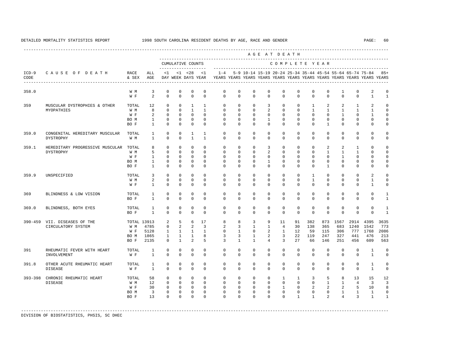|                 |                                                    |               |                                  |                          |                          |                                          |                                |                         |                         |                          |                          | AGE AT DEATH             |                         |                         |                              |                          |                          |                                                                                                                                      |                             |
|-----------------|----------------------------------------------------|---------------|----------------------------------|--------------------------|--------------------------|------------------------------------------|--------------------------------|-------------------------|-------------------------|--------------------------|--------------------------|--------------------------|-------------------------|-------------------------|------------------------------|--------------------------|--------------------------|--------------------------------------------------------------------------------------------------------------------------------------|-----------------------------|
|                 |                                                    |               |                                  |                          |                          | CUMULATIVE COUNTS<br>------------------- |                                |                         |                         |                          |                          | COMPLETE YEAR            |                         |                         |                              |                          |                          |                                                                                                                                      |                             |
| $ICD-9$<br>CODE | CAUSE OF DEATH                                     | RACE<br>& SEX | ALL<br>AGE                       | <1                       |                          | $< 1$ $< 28$<br>DAY WEEK DAYS YEAR       | <1                             | $1 - 4$                 |                         |                          |                          |                          |                         |                         |                              |                          |                          | 5-9 10-14 15-19 20-24 25-34 35-44 45-54 55-64 65-74 75-84<br>YEARS YEARS YEARS YEARS YEARS YEARS YEARS YEARS YEARS YEARS YEARS YEARS | $85+$                       |
| 358.0           |                                                    | W M<br>W F    | $\overline{3}$<br>$\overline{2}$ | $\mathbf{0}$<br>$\Omega$ | $\mathbf{0}$<br>$\Omega$ | $\mathbf 0$<br>$\Omega$                  | $\mathbf{0}$<br>$\Omega$       | $\mathbf 0$<br>$\Omega$ | $\mathbf 0$<br>$\Omega$ | $\mathbf{0}$<br>$\Omega$ | $\mathbf{0}$<br>$\Omega$ | $\mathbf{0}$<br>$\Omega$ | $\mathbf 0$<br>$\Omega$ | $\mathbf 0$<br>$\Omega$ | $\mathbf{0}$<br>$\Omega$     | $\mathbf{1}$<br>$\Omega$ | $\mathbf{0}$<br>$\Omega$ | $\overline{a}$<br>$\mathbf{1}$                                                                                                       | $\mathbf 0$<br>$\mathbf{1}$ |
|                 |                                                    |               |                                  |                          |                          |                                          |                                |                         |                         |                          |                          |                          |                         |                         |                              |                          |                          |                                                                                                                                      |                             |
| 359             | MUSCULAR DYSTROPHIES & OTHER                       | TOTAL         | 12                               | $\mathbf{0}$             | $\mathbf{0}$             | $\mathbf{1}$                             | $\mathbf{1}$                   | $\mathbf 0$             | $\mathbf 0$             | $\mathbf{0}$             | $\overline{3}$           | $\mathbf{0}$             | $\mathbf 0$             | $\mathbf{1}$            | 2                            | $\overline{a}$           | $\mathbf{1}$             | 2                                                                                                                                    | $\Omega$                    |
|                 | MYOPATHIES                                         | W M           | 8                                | $\Omega$                 | $\Omega$                 | $\overline{1}$                           | $\mathbf{1}$                   | $\Omega$                | $\Omega$                | $\Omega$                 | $\overline{a}$           | $\Omega$                 | $\Omega$                | $\mathbf{1}$            | $\mathbf{1}$                 | $\mathbf{1}$             | $\mathbf{1}$             | $\mathbf{1}$                                                                                                                         | $\Omega$                    |
|                 |                                                    | W F           | 2                                | $\Omega$                 | $\Omega$                 | $\Omega$                                 | $\Omega$                       | $\Omega$                | $\Omega$                | $\Omega$                 | $\Omega$                 | $\Omega$                 | $\Omega$                | $\Omega$                | $\Omega$                     | $\mathbf{1}$             | $\Omega$                 | $\mathbf{1}$                                                                                                                         | $\Omega$<br>$\Omega$        |
|                 |                                                    | BO M<br>BO F  | $\mathbf{1}$<br>$\mathbf{1}$     | $\mathbf{0}$<br>$\Omega$ | $\mathbf{0}$<br>$\Omega$ | $\mathbf{0}$<br>$\Omega$                 | $\mathbf{0}$<br>$\Omega$       | $\mathbf 0$<br>$\Omega$ | $\mathbf 0$<br>$\Omega$ | $\mathbf{0}$<br>$\Omega$ | $\mathbf{1}$<br>$\Omega$ | $\mathbf{0}$<br>$\Omega$ | $\mathbf 0$<br>$\Omega$ | $\mathbf 0$<br>$\Omega$ | $\mathbf{0}$<br>$\mathbf{1}$ | $\mathbf{0}$<br>$\Omega$ | $\mathbf{0}$<br>$\Omega$ | $\mathbf 0$<br>$\Omega$                                                                                                              | $\Omega$                    |
|                 |                                                    |               |                                  |                          |                          |                                          |                                |                         |                         |                          |                          |                          |                         |                         |                              |                          |                          |                                                                                                                                      |                             |
| 359.0           | CONGENITAL HEREDITARY MUSCULAR<br><b>DYSTROPHY</b> | TOTAL<br>W M  | $\mathbf{1}$<br>$\mathbf{1}$     | $\mathbf{0}$<br>$\Omega$ | $\Omega$<br>$\Omega$     | $\overline{1}$<br>$\overline{1}$         | $\overline{1}$<br>$\mathbf{1}$ | $\Omega$<br>$\Omega$    | $\Omega$<br>$\Omega$    | $\Omega$<br>$\Omega$     | $\Omega$<br>$\Omega$     | $\Omega$<br>$\Omega$     | $\mathbf 0$<br>$\Omega$ | $\Omega$<br>$\Omega$    | $\mathbf{0}$<br>$\Omega$     | $\Omega$<br>$\Omega$     | $\mathbf{0}$<br>$\Omega$ | $\Omega$<br>$\Omega$                                                                                                                 | $\Omega$<br>$\mathbf 0$     |
| 359.1           | HEREDITARY PROGRESSIVE MUSCULAR TOTAL              |               | 8                                | $\Omega$                 | $\Omega$                 | $\Omega$                                 | $\Omega$                       | $\Omega$                | $\Omega$                | $\Omega$                 | 3                        | $\Omega$                 | $\Omega$                | $\Omega$                | $\overline{2}$               | $\mathfrak{D}$           | $\mathbf{1}$             | $\Omega$                                                                                                                             | $\Omega$                    |
|                 | <b>DYSTROPHY</b>                                   | W M           | $5^{\circ}$                      | $\Omega$                 | $\Omega$                 | $\Omega$                                 | $\Omega$                       | $\Omega$                | $\Omega$                | $\Omega$                 | $\overline{a}$           | $\Omega$                 | $\Omega$                | $\Omega$                | $\mathbf{1}$                 | $\overline{1}$           | $\mathbf{1}$             | $\Omega$                                                                                                                             | $\Omega$                    |
|                 |                                                    | W F           | $\mathbf{1}$                     | $\mathbf{0}$             | $\mathbf{0}$             | $\mathbf{0}$                             | $\Omega$                       | $\mathbf 0$             | $\mathbf 0$             | $\Omega$                 | $\mathbf 0$              | $\Omega$                 | $\mathbf 0$             | $\Omega$                | $\Omega$                     | $\mathbf{1}$             | $\Omega$                 | $\Omega$                                                                                                                             | $\Omega$                    |
|                 |                                                    | BO M          | $\mathbf{1}$                     | $\mathbf{0}$             | $\Omega$                 | $\mathbf{0}$                             | $\Omega$                       | $\mathbf 0$             | $\Omega$                | $\mathbf{0}$             | $\mathbf{1}$             | $\mathbf 0$              | $\mathbf 0$             | $\Omega$                | $\mathbf{0}$                 | $\Omega$                 | $\mathbf 0$              | $\Omega$                                                                                                                             | $\Omega$                    |
|                 |                                                    | BO F          | $\mathbf{1}$                     | $\Omega$                 | $\Omega$                 | $\Omega$                                 | $\Omega$                       | $\Omega$                | $\Omega$                | $\Omega$                 | $\Omega$                 | $\Omega$                 | $\Omega$                | $\Omega$                | $\mathbf{1}$                 | $\Omega$                 | $\Omega$                 | $\Omega$                                                                                                                             | $\Omega$                    |
| 359.9           | UNSPECIFIED                                        | TOTAL         | 3                                | $\Omega$                 | $\Omega$                 | $\Omega$                                 | $\Omega$                       | $\Omega$                | $\Omega$                | $\Omega$                 | $\Omega$                 | $\Omega$                 | $\Omega$                | $\mathbf{1}$            | $\Omega$                     | $\Omega$                 | $\Omega$                 | $\mathfrak{D}$                                                                                                                       | $\Omega$                    |
|                 |                                                    | W M           | 2                                | $\Omega$                 | $\Omega$                 | $\Omega$                                 | $\Omega$                       | $\Omega$                | $\Omega$                | $\Omega$                 | $\Omega$                 | $\Omega$                 | $\Omega$                | $\mathbf{1}$            | $\Omega$                     | $\Omega$                 | $\Omega$                 | $\mathbf{1}$                                                                                                                         | $\Omega$                    |
|                 |                                                    | W F           | $\mathbf{1}$                     | $\Omega$                 | $\Omega$                 | $\Omega$                                 | $\Omega$                       | $\Omega$                | $\Omega$                | $\Omega$                 | $\Omega$                 | $\Omega$                 | $\Omega$                | $\Omega$                | $\Omega$                     | $\Omega$                 | $\Omega$                 | $\mathbf{1}$                                                                                                                         | $\Omega$                    |
| 369             | BLINDNESS & LOW VISION                             | TOTAL         | $\mathbf{1}$                     | $\Omega$                 | $\Omega$                 | $\Omega$                                 | $\Omega$                       | $\Omega$                | $\Omega$                | $\Omega$                 | $\Omega$                 | $\Omega$                 | $\Omega$                | $\Omega$                | $\Omega$                     | $\Omega$                 | $\Omega$                 | $\Omega$                                                                                                                             | $\mathbf{1}$                |
|                 |                                                    | BO F          | $\mathbf{1}$                     | $\Omega$                 | $\Omega$                 | $\Omega$                                 | $\Omega$                       | $\Omega$                | $\Omega$                | $\Omega$                 | $\Omega$                 | $\Omega$                 | $\Omega$                | $\Omega$                | $\Omega$                     | $\Omega$                 | $\Omega$                 | $\Omega$                                                                                                                             | $\mathbf{1}$                |
| 369.0           | BLINDNESS, BOTH EYES                               | TOTAL         | $\mathbf{1}$                     | $\mathbf{0}$             | $\mathbf{0}$             | $\mathbf{0}$                             | $\Omega$                       | $\mathbf 0$             | $\mathbf 0$             | $\mathbf{0}$             | $\mathbf 0$              | $\mathbf 0$              | $\mathbf 0$             | $\mathbf 0$             | $\mathbf{0}$                 | $\mathbf 0$              | $\mathbf 0$              | $\mathbf 0$                                                                                                                          | $\mathbf{1}$                |
|                 |                                                    | BO F          | $\mathbf{1}$                     | $\Omega$                 | $\Omega$                 | $\Omega$                                 | $\Omega$                       | $\Omega$                | $\Omega$                | $\Omega$                 | $\Omega$                 | $\Omega$                 | $\Omega$                | $\Omega$                | $\Omega$                     | $\Omega$                 | $\Omega$                 | $\Omega$                                                                                                                             | $\mathbf{1}$                |
|                 | 390-459 VII. DISEASES OF THE                       | TOTAL 13913   |                                  | 2                        | 5                        | 6                                        | 17                             | 8                       | 8                       | $\overline{3}$           | 9                        | 11                       | 91                      | 382                     | 873                          | 1567                     | 2914                     | 4395                                                                                                                                 | 3635                        |
|                 | CIRCULATORY SYSTEM                                 | W M           | 4785                             | $\mathbf 0$              | $\overline{a}$           | $\overline{2}$                           | $\overline{3}$                 | $\overline{a}$          | $\overline{3}$          | $\mathbf{1}$             | $\overline{1}$           | $\overline{4}$           | 30                      | 138                     | 365                          | 683                      | 1240                     | 1542                                                                                                                                 | 773                         |
|                 |                                                    | W F           | 5128                             | $\mathbf{1}$             | $\overline{1}$           | $\mathbf{1}$                             | $\overline{1}$                 | $\Omega$                | $\mathbf{1}$            | $\Omega$                 | $\overline{2}$           | $\mathbf{1}$             | 12                      | 59                      | 115                          | 306                      | 777                      | 1768                                                                                                                                 | 2086                        |
|                 |                                                    | BO M          | 1865                             | $\mathbf{1}$             | $\mathbf{1}$             | $\mathbf{1}$                             | 8                              | 3                       | $\overline{3}$          | $\mathbf{1}$             | 2                        | $\overline{3}$           | 22                      | 119                     | 247                          | 327                      | 441                      | 476                                                                                                                                  | 213                         |
|                 |                                                    | BO F          | 2135                             | $\Omega$                 | $\mathbf{1}$             | $\overline{2}$                           | 5                              | 3                       | $\mathbf{1}$            | $\mathbf{1}$             | $\overline{4}$           | 3                        | 27                      | 66                      | 146                          | 251                      | 456                      | 609                                                                                                                                  | 563                         |
| 391             | RHEUMATIC FEVER WITH HEART                         | TOTAL         | $\mathbf{1}$                     | $\mathbf{0}$             | $\mathbf{0}$             | $\mathbf{0}$                             | $\mathbf{0}$                   | $\mathbf 0$             | $\mathbf 0$             | $\mathbf{0}$             | 0                        | $\mathbf{0}$             | $\mathbf 0$             | $\circ$                 | $\mathbf{0}$                 | $\mathbf 0$              | $\mathbf{0}$             | $\mathbf{1}$                                                                                                                         | $\mathbf 0$                 |
|                 | INVOLVEMENT                                        | W F           | $\mathbf{1}$                     | $\Omega$                 | $\Omega$                 | $\Omega$                                 | $\Omega$                       | $\Omega$                | $\Omega$                | $\Omega$                 | $\Omega$                 | $\Omega$                 | $\Omega$                | $\Omega$                | $\Omega$                     | $\Omega$                 | $\Omega$                 | $\mathbf{1}$                                                                                                                         | $\mathbf 0$                 |
| 391.8           | OTHER ACUTE RHEUMATIC HEART                        | TOTAL         | $\mathbf{1}$                     | $\mathbf 0$              | $\mathbf{0}$             | 0                                        | $\mathbf 0$                    | $\mathbf 0$             | $\mathbf 0$             | $\mathbf 0$              | 0                        | $\mathbf 0$              | $\mathbf 0$             | $\mathbf 0$             | $\mathbf 0$                  | 0                        | $\mathbf 0$              | $\mathbf{1}$                                                                                                                         | $\mathbf 0$                 |
|                 | DISEASE                                            | W F           | $\mathbf{1}$                     | $\Omega$                 | $\Omega$                 | $\Omega$                                 | $\Omega$                       | $\Omega$                | $\Omega$                | $\Omega$                 | $\Omega$                 | $\Omega$                 | $\Omega$                | $\Omega$                | $\Omega$                     | $\Omega$                 | $\Omega$                 | $\mathbf{1}$                                                                                                                         | $\mathbf 0$                 |
| 393-398         | CHRONIC RHEUMATIC HEART                            | TOTAL         | 58                               | $\mathbf{0}$             | $\mathbf{0}$             | $\mathbf{0}$                             | $\Omega$                       | $\mathbf 0$             | $\mathbf 0$             | $\mathbf{0}$             | $\mathbf{0}$             | $\mathbf{1}$             | $\mathbf{1}$            | 3                       | 5                            | 8                        | 13                       | 15                                                                                                                                   | 12                          |
|                 | <b>DISEASE</b>                                     | W M           | 12                               | $\mathbf{0}$             | $\circ$                  | $\circ$                                  | $\Omega$                       | $\Omega$                | $\Omega$                | $\Omega$                 | $\Omega$                 | $\Omega$                 | $\Omega$                | $\Omega$                | $\mathbf{1}$                 | $\mathbf{1}$             | $\overline{4}$           | $\overline{3}$                                                                                                                       | $\overline{3}$              |
|                 |                                                    | W F           | 30                               | $\mathbf{0}$             | $\circ$                  | $\mathbb O$                              | $\mathbf{0}$                   | $\mathbf 0$             | $\mathbf 0$             | $\mathbf{0}$             | $\mathbf{0}$             | $\mathbf{1}$             | $\mathbf 0$             | 2                       | $\overline{a}$               | 2                        | 5                        | 10                                                                                                                                   | 8                           |
|                 |                                                    | BO M          | $\overline{\mathbf{3}}$          | $\mathbf 0$              | $\circ$                  | $\mathbf{0}$                             | $\mathbf{0}$                   | $\mathbf 0$             | $\mathbf 0$             | $\mathbf{0}$             | $\mathbf 0$              | $\mathbf{0}$             | $\mathbf{0}$            | $\mathbf 0$             | $\circ$                      | $\mathbf{1}$             | $\mathbf{1}$             | $\mathbf{1}$                                                                                                                         | $\mathbf 0$                 |
|                 |                                                    | BO F          | 13                               | $\Omega$                 | $\Omega$                 | $\Omega$                                 | $\Omega$                       | $\Omega$                | $\Omega$                | $\Omega$                 | $\Omega$                 | $\Omega$                 | $\mathbf{1}$            | $\mathbf{1}$            | $\overline{2}$               | $\overline{4}$           | $\overline{3}$           | $\mathbf{1}$                                                                                                                         | 1                           |
|                 |                                                    |               |                                  |                          |                          |                                          |                                |                         |                         |                          |                          |                          |                         |                         |                              |                          |                          |                                                                                                                                      |                             |
|                 |                                                    |               |                                  |                          |                          |                                          |                                |                         |                         |                          |                          |                          |                         |                         |                              |                          |                          |                                                                                                                                      |                             |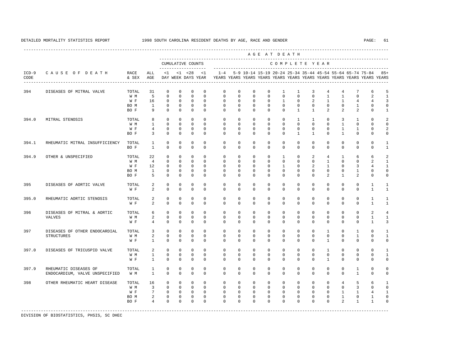|                 |                                |               |                 |              |              |                                          |              |                                                                                    |             |              | AGE AT DEATH |              |                |                |                                                           |                  |                |                |                |
|-----------------|--------------------------------|---------------|-----------------|--------------|--------------|------------------------------------------|--------------|------------------------------------------------------------------------------------|-------------|--------------|--------------|--------------|----------------|----------------|-----------------------------------------------------------|------------------|----------------|----------------|----------------|
|                 |                                |               |                 |              |              | CUMULATIVE COUNTS<br>------------------- |              |                                                                                    |             |              |              |              |                |                | COMPLETE YEAR<br>--------------------------------         |                  |                |                |                |
| $ICD-9$<br>CODE | CAUSE OF DEATH                 | RACE<br>& SEX | ALL<br>AGE      | <1           |              | $< 1$ $< 28$<br>DAY WEEK DAYS YEAR       | <1           | $1 - 4$<br>YEARS YEARS YEARS YEARS YEARS YEARS YEARS YEARS YEARS YEARS YEARS YEARS |             |              |              |              |                |                | 5-9 10-14 15-19 20-24 25-34 35-44 45-54 55-64 65-74 75-84 |                  |                |                | $85+$          |
| 394             | DISEASES OF MITRAL VALVE       | TOTAL         | 31              | $\mathbf 0$  | $\mathbf 0$  | $\mathbf{0}$                             | $\mathbf{0}$ | $\Omega$                                                                           | $\mathbf 0$ | $\mathbf{0}$ | $\circ$      | $\mathbf{1}$ | $\mathbf{1}$   | $\overline{3}$ | $\overline{4}$                                            | $\overline{4}$   | 7              | 6              | 5              |
|                 |                                | W M           | 5               | $\mathbf{0}$ | $\mathbf 0$  | $\mathbf 0$                              | $\Omega$     | $\Omega$                                                                           | $\Omega$    | $\Omega$     | $\Omega$     | $\Omega$     | $\Omega$       | $\Omega$       | $\overline{1}$                                            | $\mathbf{1}$     | $\Omega$       | 2              | $\mathbf{1}$   |
|                 |                                | W F           | 16              | $\Omega$     | $\Omega$     | $\Omega$                                 | $\Omega$     | $\Omega$                                                                           | $\Omega$    | $\Omega$     | $\Omega$     | $\mathbf{1}$ | $\Omega$       | $\overline{a}$ | $\overline{1}$                                            | $\mathbf{1}$     | $\overline{4}$ | $\overline{4}$ | $\overline{3}$ |
|                 |                                | BO M          | $\mathbf{1}$    | $\mathbf 0$  | $\mathsf{O}$ | $\mathsf 0$                              | $\mathbf 0$  | $\mathbf 0$                                                                        | $\mathbf 0$ | $\mathbf{0}$ | $\mathbf 0$  | $\mathbf 0$  | $\mathbf 0$    | $\mathbf 0$    | $\mathbf 0$                                               | $\mathbf 0$      | $\mathbf{1}$   | $\mathbf 0$    | $\mathbb O$    |
|                 |                                | BO F          | 9               | $\Omega$     | $\mathbf 0$  | $\mathbf 0$                              | $\Omega$     | $\Omega$                                                                           | $\Omega$    | $\Omega$     | $\Omega$     | $\Omega$     | $\mathbf{1}$   | $\overline{1}$ | $\mathfrak{D}$                                            | $\mathfrak{D}$   | 2              | $\Omega$       | $\mathbf{1}$   |
| 394.0           | MITRAL STENOSIS                | TOTAL         | 8               | $\Omega$     | $\Omega$     | $\mathbf 0$                              | $\cap$       | $\Omega$                                                                           | $\Omega$    | $\Omega$     | $\Omega$     | $\Omega$     | $\overline{1}$ | $\mathbf{1}$   | $\Omega$                                                  | 3                | $\mathbf{1}$   | $\Omega$       | $\overline{2}$ |
|                 |                                | W M           | $\mathbf{1}$    | $\Omega$     | $\Omega$     | $\mathbf 0$                              | $\Omega$     | $\Omega$                                                                           | $\Omega$    | $\Omega$     | $\Omega$     | $\Omega$     | $\Omega$       | $\Omega$       | $\Omega$                                                  | $\mathbf{1}$     | $\Omega$       | $\Omega$       | $\mathbf 0$    |
|                 |                                | W F           | $\overline{4}$  | $\mathbf 0$  | $\Omega$     | $\mathbf 0$                              | $\Omega$     | $\Omega$                                                                           | $\Omega$    | $\Omega$     | $\Omega$     | $\Omega$     | $\Omega$       | $\Omega$       | $\Omega$                                                  | $\mathbf{1}$     | $\mathbf{1}$   | $\mathbf 0$    | $\overline{2}$ |
|                 |                                | BO F          | 3               | $\Omega$     | $\mathbf{0}$ | $\mathbf{0}$                             | $\Omega$     | $\Omega$                                                                           | $\mathbf 0$ | $\mathbf 0$  | $\Omega$     | $\Omega$     | $\mathbf{1}$   | $\mathbf{1}$   | $\Omega$                                                  | $\overline{1}$   | $\mathbf 0$    | $\Omega$       | $\mathbf 0$    |
| 394.1           | RHEUMATIC MITRAL INSUFFICIENCY | TOTAL         | $\mathbf{1}$    | $\mathbf 0$  | $\Omega$     | $\mathbf 0$                              | $\Omega$     | $\Omega$                                                                           | $\Omega$    | $\Omega$     | $\Omega$     | $\Omega$     | $\Omega$       | $\Omega$       | $\Omega$                                                  | $\Omega$         | $\mathbf 0$    | $\Omega$       | $\mathbf{1}$   |
|                 |                                | BO F          | $\mathbf{1}$    | $\Omega$     | $\Omega$     | $\Omega$                                 | $\Omega$     | $\Omega$                                                                           | $\Omega$    | $\Omega$     | $\Omega$     | $\Omega$     | $\Omega$       | $\Omega$       | $\Omega$                                                  | $\Omega$         | $\Omega$       | $\Omega$       | $\mathbf{1}$   |
| 394.9           | OTHER & UNSPECIFIED            | TOTAL         | 22              | $\mathbf{0}$ | $\mathbf 0$  | $\mathbf 0$                              | $\Omega$     | $\Omega$                                                                           | $\mathbf 0$ | $\mathbf 0$  | $\mathbf 0$  | $\mathbf{1}$ | $\mathbf 0$    | 2              | $\overline{4}$                                            | $\mathbf{1}$     | 6              | 6              | $\overline{2}$ |
|                 |                                | W M           | $\overline{4}$  | $\mathbf 0$  | $\Omega$     | $\Omega$                                 | $\Omega$     | $\Omega$                                                                           | $\Omega$    | $\Omega$     | $\Omega$     | $\Omega$     | $\Omega$       | $\Omega$       | $\overline{1}$                                            | $\Omega$         | $\Omega$       | 2              | $\mathbf{1}$   |
|                 |                                | W F           | 12              | $\Omega$     | $\Omega$     | $\mathbf 0$                              | $\Omega$     | $\Omega$                                                                           | $\Omega$    | $\Omega$     | $\Omega$     | $\mathbf{1}$ | $\Omega$       | 2              | $\overline{1}$                                            | $\Omega$         | 3              | $\overline{4}$ | $\mathbf{1}$   |
|                 |                                | BO M          | $\mathbf{1}$    | $\mathbf 0$  | $\mathbf{0}$ | $\mathbb O$                              | $\mathbf{0}$ | $\Omega$                                                                           | $\mathbf 0$ | $\mathbf 0$  | $\mathbf 0$  | 0            | $\mathbf 0$    | 0              | $\mathbf 0$                                               | $\mathbf{0}$     | $\mathbf{1}$   | $\mathbf 0$    | $\mathbb O$    |
|                 |                                | BO F          | 5               | $\Omega$     | $\mathbf{0}$ | $\mathbf 0$                              | $\mathbf{0}$ | $\Omega$                                                                           | $\Omega$    | $\Omega$     | $\Omega$     | $\Omega$     | $\Omega$       | $\Omega$       | $\mathfrak{D}$                                            | $\mathbf{1}$     | 2              | $\Omega$       | $\mathbf 0$    |
| 395             | DISEASES OF AORTIC VALVE       | TOTAL         | $\overline{2}$  | $\mathbf 0$  | $\mathbf 0$  | 0                                        | $\Omega$     | $\Omega$                                                                           | $\mathbf 0$ | $\mathbf{0}$ | $\Omega$     | $\Omega$     | $\mathbf 0$    | $\Omega$       | $\Omega$                                                  | $\Omega$         | $\mathbf 0$    | $\mathbf{1}$   | $\mathbf{1}$   |
|                 |                                | W F           | $\overline{a}$  | $\Omega$     | $\mathbf{0}$ | $\mathbf 0$                              | $\mathbf 0$  | $\Omega$                                                                           | $\Omega$    | $\Omega$     | $\Omega$     | $\Omega$     | $\Omega$       | $\Omega$       | $\Omega$                                                  | $\Omega$         | $\mathbf 0$    | 1              | $\mathbf{1}$   |
| 395.0           | RHEUMATIC AORTIC STENOSIS      | TOTAL         | $\overline{2}$  | $\mathbf 0$  | $\mathbf 0$  | $\mathbb O$                              | $\mathbf 0$  | $\Omega$                                                                           | $\mathbf 0$ | $\mathbf 0$  | $\mathbf 0$  | $\mathbf 0$  | $\mathbf 0$    | $\mathbf 0$    | $\mathbf 0$                                               | $\mathbf 0$      | $\mathbf 0$    | $\mathbf{1}$   | $\mathbf{1}$   |
|                 |                                | W F           | $\overline{a}$  | $\mathbf 0$  | $\mathbf{0}$ | $\mathbf 0$                              | $\mathbf{0}$ | $\Omega$                                                                           | $\Omega$    | $\Omega$     | $\Omega$     | $\Omega$     | $\Omega$       | $\Omega$       | $\Omega$                                                  | $\Omega$         | $\mathbf 0$    | $\mathbf{1}$   | $\mathbf{1}$   |
| 396             | DISEASES OF MITRAL & AORTIC    | TOTAL         | 6               | $\mathbf 0$  | $\mathbf{0}$ | $\mathbf 0$                              | $\Omega$     | $\Omega$                                                                           | $\Omega$    | $\Omega$     | $\Omega$     | $\Omega$     | $\Omega$       | $\Omega$       | $\Omega$                                                  | $\mathbf 0$      | $\mathbf 0$    | 2              | $\overline{4}$ |
|                 | <b>VALVES</b>                  | W M           | 2               | $\mathbf 0$  | $\Omega$     | $\circ$                                  | $\Omega$     | $\Omega$                                                                           | $\mathbf 0$ | $\mathbf{0}$ | $\mathbf 0$  | $\mathbf 0$  | $\mathbf 0$    | $\mathbf 0$    | $\Omega$                                                  | $\mathbf 0$      | $\mathbf 0$    | $\mathbf{1}$   | $\mathbf{1}$   |
|                 |                                | W F           | $\overline{4}$  | $\mathbf 0$  | $\mathbf{0}$ | $\mathbf 0$                              | $\mathbf{0}$ | $\Omega$                                                                           | $\mathbf 0$ | $\mathbf 0$  | $\mathbf 0$  | $\Omega$     | $\mathbf 0$    | $\Omega$       | $\mathbf 0$                                               | $\Omega$         | $\mathbf 0$    | $\mathbf{1}$   | 3              |
| 397             | DISEASES OF OTHER ENDOCARDIAL  | TOTAL         | 3               | $\mathbf 0$  | $\Omega$     | $\mathbf 0$                              | $\Omega$     | $\Omega$                                                                           | $\Omega$    | $\Omega$     | $\Omega$     | $\Omega$     | $\Omega$       | $\Omega$       | $\mathbf{1}$                                              | $\Omega$         | $\mathbf{1}$   | $\Omega$       | $\mathbf{1}$   |
|                 | <b>STRUCTURES</b>              | W M           | $\overline{a}$  | $\mathbf 0$  | $\mathbf{0}$ | $\mathbb O$                              | $\mathbf{0}$ | $\mathbf 0$                                                                        | $\mathbf 0$ | $\mathbf{0}$ | $\mathbf 0$  | 0            | $\mathbf 0$    | $\mathbf 0$    | $\mathbf 0$                                               | $\mathbf 0$      | $\mathbf{1}$   | $\mathbf 0$    | $\mathbf{1}$   |
|                 |                                | W F           | $\mathbf{1}$    | $\mathbf{0}$ | $\mathbf{0}$ | $\mathbf 0$                              | $\mathbf{0}$ | $\Omega$                                                                           | 0           | $\Omega$     | $\Omega$     | $\Omega$     | $\Omega$       | $\Omega$       | 1                                                         | $\Omega$         | $\mathbf 0$    | $\Omega$       | $\mathbf 0$    |
| 397.0           | DISEASES OF TRICUSPID VALVE    | TOTAL         | $\overline{2}$  | $\mathbf 0$  | $\mathbf 0$  | 0                                        | $\mathbf{0}$ | $\mathbf 0$                                                                        | $\mathbf 0$ | $\mathbf{0}$ | $\mathbf 0$  | $\mathbf 0$  | $\mathbf 0$    | $\mathbf 0$    | $\mathbf{1}$                                              | $\mathbf 0$      | $\mathbf 0$    | $\mathbf 0$    | $\mathbf{1}$   |
|                 |                                | W M           | $\mathbf{1}$    | $\mathbf 0$  | $\mathbf 0$  | $\mathbf 0$                              | $\mathbf{0}$ | $\mathbf 0$                                                                        | $\mathbf 0$ | 0            | $\mathbf 0$  | 0            | $\mathbf 0$    | $\mathbf 0$    | $\mathbf 0$                                               | $\mathbf 0$      | $\circ$        | $\mathbf 0$    | $\mathbf{1}$   |
|                 |                                | W F           | $\mathbf{1}$    | $\Omega$     | $\Omega$     | $\mathbf 0$                              | $\Omega$     | $\Omega$                                                                           | $\Omega$    | $\Omega$     | $\Omega$     | $\Omega$     | $\Omega$       | $\Omega$       | $\overline{1}$                                            | $\Omega$         | $\Omega$       | $\Omega$       | $\mathbf 0$    |
| 397.9           | RHEUMATIC DISEASES OF          | TOTAL         | $\mathbf{1}$    | $\mathbf 0$  | $\mathbf{0}$ | 0                                        | $\mathbf{0}$ | $\mathbf 0$                                                                        | $\mathbf 0$ | $\mathbf{0}$ | $\mathbf 0$  | $\mathbf 0$  | $\mathbf 0$    | $\mathbf 0$    | $\mathbf 0$                                               | $\mathbf 0$      | 1              | $\mathbf 0$    | $\mathbb O$    |
|                 | ENDOCARDIUM, VALVE UNSPECIFIED | W M           | $\mathbf{1}$    | $\mathbf 0$  | $\mathbf{0}$ | $\mathbf 0$                              | $\mathbf{0}$ | $\Omega$                                                                           | 0           | $\mathbf 0$  | $\Omega$     | $\Omega$     | 0              | $\Omega$       | $\mathbf{0}$                                              | $\mathbf{0}$     | 1              | 0              | $\mathbf 0$    |
| 398             | OTHER RHEUMATIC HEART DISEASE  | TOTAL         | 16              | $\mathbf 0$  | $\circ$      | $\mathbf 0$                              | $\mathbf{0}$ | $\Omega$                                                                           | $\mathbf 0$ | $\mathbf{0}$ | $\mathbf 0$  | $\mathbf 0$  | $\mathbf 0$    | $\mathbf 0$    | $\mathbf{0}$                                              | $\overline{4}$   | 5              | 6              | 1              |
|                 |                                | W M           | 3               | $\mathbf 0$  | $\mathbf 0$  | $\mathbb O$                              | $\mathbf{0}$ | 0                                                                                  | $^{\circ}$  | $\mathbf 0$  | $\mathbf 0$  | $\mathbf 0$  | 0              | $^{\circ}$     | $\mathbf{0}$                                              | $\mathbf 0$      | 3              | $\mathbf 0$    | $\mathbb O$    |
|                 |                                | W F           | $7\phantom{.0}$ | $\mathbf 0$  | $\mathbf{0}$ | $\mathbf 0$                              | $\circ$      | 0                                                                                  | $^{\circ}$  | 0            | 0            | 0            | 0              | 0              | $\mathbf{0}$                                              | 1                | 1              | 4              | $\mathbf{1}$   |
|                 |                                | BO M          | 2               | $\mathbf 0$  | $\mathbf{0}$ | $\mathbf 0$                              | $\mathbf{0}$ | $\Omega$                                                                           | $\mathbf 0$ | $\mathbf 0$  | 0            | 0            | $\mathbf 0$    | 0              | $\mathbf 0$                                               | $\mathbf{1}$     | $\mathbf 0$    | 1              | $\mathbf 0$    |
|                 |                                | BO F          | $\overline{4}$  | $\mathbf 0$  | $\mathbf{0}$ | $\mathbf{0}$                             | $\mathbf 0$  | $\Omega$                                                                           | 0           | $\Omega$     | $\Omega$     | $\Omega$     | $\Omega$       | $\Omega$       | 0                                                         | 2                | 1              | 1              | $\mathbf 0$    |
|                 |                                |               |                 |              |              |                                          |              |                                                                                    |             |              |              |              |                |                |                                                           | ---------------- |                |                |                |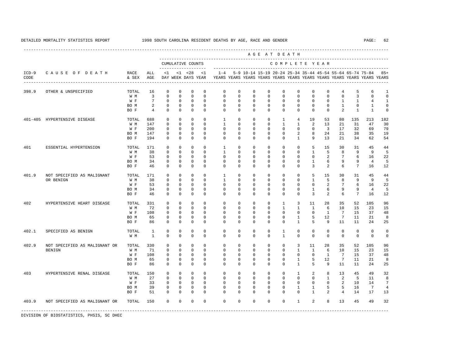---------------------------------------------------------------------------------------------------------------------------------------------------- A G E A T D E A T H --------------------------------------------------------------------------------------------- CUMULATIVE COUNTS C O M P L E T E Y E A R ------------------- ----------------------------------------------------------------------- ICD-9 C A U S E O F D E A T H RACE ALL <1 <1 <28 <1 1-4 5-9 10-14 15-19 20-24 25-34 35-44 45-54 55-64 65-74 75-84 85+ CODE & SEX AGE DAY WEEK DAYS YEAR YEARS YEARS YEARS YEARS YEARS YEARS YEARS YEARS YEARS YEARS YEARS YEARS ---------------------------------------------------------------------------------------------------------------------------------------------------- 398.9 OTHER & UNSPECIFIED TOTAL 16 0 0 0 0 0 0 0 0 0 0 0 0 4 5 6 1 W M 3 0 0 0 0 0 0 0 0 0 0 0 0 0 0 3 0 0 W F 7 0 0 0 0 0 0 0 0 0 0 0 0 0 1 1 4 1 BOM 2 0 0 0 0 0 0 0 0 0 0 0 0 1 0 1 0 BO F 4 0 0 0 0 0 0 0 0 0 0 0 0 2 1 1 0 401-405 HYPERTENSIVE DISEASE TOTAL 688 0 0 0 0 1 0 0 0 1 4 19 53 80 135 213 182 W M 147 0 0 0 0 1 0 0 0 1 1 2 13 21 31 47 30 W F 200 0 0 0 0 0 0 0 0 0 0 0 3 17 32 69 79 BO M 147 0 0 0 0 0 0 0 0 0 2 8 24 21 38 35 19 BO F 194 0 0 0 0 0 0 0 0 0 1 9 13 21 34 62 54 401 ESSENTIAL HYPERTENSION TOTAL 171 0 0 0 0 1 0 0 0 0 0 5 15 30 31 45 44 W M 38 0 0 0 0 1 0 0 0 0 0 1 5 8 9 9 5 W F 53 0 0 0 0 0 0 0 0 0 0 0 0 2 7 6 16 22 BO M 34 0 0 0 0 0 0 0 0 0 0 1 6 9 9 4 5 BO F 46 0 0 0 0 0 0 0 0 0 0 3 2 6 7 16 12 401.9 NOT SPECIFIED AS MALIGNANT TOTAL 171 0 0 0 0 1 0 0 0 0 0 5 15 30 31 45 44 OR BENIGN W M 38 0 0 0 0 1 0 0 0 0 0 1 5 8 9 9 5 W F 53 0 0 0 0 0 0 0 0 0 0 0 0 2 7 6 16 22 BO M 34 0 0 0 0 0 0 0 0 0 0 1 6 9 9 4 5 BO F 46 0 0 0 0 0 0 0 0 0 0 3 2 6 7 16 12 402 HYPERTENSIVE HEART DISEASE TOTAL 331 0 0 0 0 0 0 0 0 1 3 11 28 35 52 105 96 W M 72 0 0 0 0 0 0 0 0 1 1 1 6 10 15 23 15 W F 108 0 0 0 0 0 0 0 0 0 0 0 1 7 15 37 48 BO M 65 0 0 0 0 0 0 0 0 0 1 5 12 7 11 21 8 BO F 86 0 0 0 0 0 0 0 0 0 1 5 9 11 11 24 25 402.1 SPECIFIED AS BENIGN TOTAL 1 0 0 0 0 0 0 0 0 1 0 0 0 0 0 0 0 W M 1 0 0 0 0 0 0 0 0 1 0 0 0 0 0 0 0 402.9 NOT SPECIFIED AS MALIGNANT OR TOTAL 330 0 0 0 0 0 0 0 0 0 3 11 28 35 52 105 96 BENIGN W M 71 0 0 0 0 0 0 0 0 0 0 1 1 6 10 15 23<br>
W M 71 0 0 0 0 0 0 0 0 0 0 0 0 1 7 15 37 W F 108 0 0 0 0 0 0 0 0 0 0 0 1 7 15 37 48 BO M 65 0 0 0 0 0 0 0 0 0 1 5 12 7 11 21 8 BO F 86 0 0 0 0 0 0 0 0 0 1 5 9 11 11 24 25 403 HYPERTENSIVE RENAL DISEASE TOTAL 150 0 0 0 0 0 0 0 0 0 1 2 8 13 45 49 32 W M 27 0 0 0 0 0 0 0 0 0 0 0 1 2 5 11 8 W F 33 0 0 0 0 0 0 0 0 0 0 0 0 2 10 14 7 BO M 39 0 0 0 0 0 0 0 0 0 1 1 5 5 16 7 4 BO F 51 0 0 0 0 0 0 0 0 0 0 1 2 4 14 17 13 403.9 NOT SPECIFIED AS MALIGNANT OR TOTAL 150 0 0 0 0 0 0 0 0 0 1 2 8 13 45 49 32 -----------------------------------------------------------------------------------------------------------------------------------------------------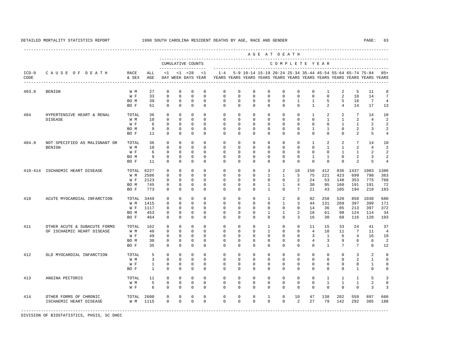----------------------------------------------------------------------------------------------------------------------------------------------------

|                 |                |               |             |    |    | CUMULATIVE COUNTS           |     |    |        |                                         |          |                |                          |                | COMPLETE YEAR |                                                                                                                                              |     |
|-----------------|----------------|---------------|-------------|----|----|-----------------------------|-----|----|--------|-----------------------------------------|----------|----------------|--------------------------|----------------|---------------|----------------------------------------------------------------------------------------------------------------------------------------------|-----|
| $ICD-9$<br>CODE | CAUSE OF DEATH | RACE<br>& SEX | ALL.<br>AGE | <1 | <1 | < 2.8<br>DAY WEEK DAYS YEAR | < 1 |    |        |                                         |          |                |                          |                |               | 1-4 5-9 10-14 15-19 20-24 25-34 35-44 45-54 55-64 65-74 75-84 85+<br>YEARS YEARS YEARS YEARS YEARS YEARS YEARS YEARS YEARS YEARS YEARS YEARS |     |
| 403.9           | BENIGN         | W M<br>W F    | २२          |    |    |                             |     | n. | $\cap$ | $\begin{matrix} 0 & 0 & 0 \end{matrix}$ | $\sim$ 0 | $\overline{0}$ | $\overline{\phantom{a}}$ | $\overline{0}$ | $\sim$ 1      | $5^{\circ}$                                                                                                                                  | - 8 |

A G E A T D E A T H

| CODE        |                               | & SEX | AGE          |              |              | DAY WEEK DAYS YEAR |              |             |             |             |                     | YEARS YEARS YEARS YEARS YEARS YEARS YEARS YEARS YEARS YEARS YEARS YEARS |                 |                |                |                |                |                 |                         |
|-------------|-------------------------------|-------|--------------|--------------|--------------|--------------------|--------------|-------------|-------------|-------------|---------------------|-------------------------------------------------------------------------|-----------------|----------------|----------------|----------------|----------------|-----------------|-------------------------|
| 403.9       | <b>BENIGN</b>                 | W M   | 27           | $\Omega$     | $\mathbb O$  | $\circ$            | $\circ$      | $\mathbf 0$ | $\mathbb O$ | $\mathsf 0$ | $\mathbf 0$         | 0                                                                       | $\mathbb O$     | $\mathbf 0$    | 1              | 2              | 5              | 11              | 8                       |
|             |                               | W F   | 33           | $\mathbb O$  | $\mathbf 0$  | $\mathbb O$        | $\mathbb O$  | $\mathbf 0$ | $\mathbb O$ | $\mathsf 0$ | $\mathbf 0$         | $\mathbf 0$                                                             | $\mathbf 0$     | $\mathbf 0$    | $\mathbf 0$    | $\overline{a}$ | 10             | 14              | $\overline{7}$          |
|             |                               | BO M  | 39           | $\mathbf 0$  | $\mathbf 0$  | $\mathbb O$        | $\mathbb O$  | 0           | $\mathbb O$ | $\mathsf 0$ | $\mathsf 0$         | $\mathbf 0$                                                             | $\mathbf{1}$    | $\mathbf{1}$   | 5              | 5              | 16             | $7\phantom{.0}$ | $\overline{4}$          |
|             |                               | BO F  | 51           | $\mathbf 0$  | $\mathbf 0$  | $\mathbb O$        | $\mathbf{0}$ | $\mathbf 0$ | $\mathbf 0$ | $\mathbf 0$ | $\mathbf 0$         | $\circ$                                                                 | $\mathbf 0$     | $\mathbf{1}$   | $\overline{a}$ | $\overline{4}$ | 14             | 17              | 13                      |
| 404         | HYPERTENSIVE HEART & RENAL    | TOTAL | 36           | $\mathbf 0$  | $\mathbf 0$  | $\mathbb O$        | $\mathbf{0}$ | $\mathbf 0$ | $\mathbf 0$ | $\mathbf 0$ | $\mathbf 0$         | $\mathbf 0$                                                             | $\mathbf 0$     | $\mathbf{1}$   | 2              | 2              | 7              | 14              | 10                      |
|             | DISEASE                       | W M   | 10           | $\mathbf 0$  | $\mathbb O$  | $\mathbb O$        | $\mathbb O$  | $\mathbf 0$ | 0           | $\mathbf 0$ | $\mathbf 0$         | $\mathbf 0$                                                             | 0               | $\mathbf 0$    | $\mathbf{1}$   | $\mathbf{1}$   | $\overline{a}$ | $\overline{4}$  | $\overline{a}$          |
|             |                               | W F   | 6            | $\mathbf 0$  | $\mathbb O$  | $\mathbb O$        | $\mathbf 0$  | 0           | 0           | 0           | 0                   | $\mathbf 0$                                                             | $^{\circ}$      | $\mathbf 0$    | $\mathbf 0$    | $\mathbf{1}$   | $\mathbf{1}$   | 2               | $\overline{\mathbf{c}}$ |
|             |                               | BO M  | 9            | 0            | $\mathbb O$  | 0                  | $\mathbb O$  | $\mathbf 0$ | 0           | 0           | 0                   | $\mathbf 0$                                                             | 0               | 1              | 1              | 0              | 2              | 3               | $\overline{a}$          |
|             |                               | BO F  | 11           | $\mathbf 0$  | $\mathbf 0$  | $\mathbf 0$        | $\mathbf 0$  | $\Omega$    | $\mathbf 0$ | $\mathbf 0$ | $\mathbf 0$         | $\mathbf 0$                                                             | $\mathbf 0$     | $\mathbf 0$    | $\mathbf 0$    | $\mathbf 0$    | $\overline{a}$ | 5               | $\sqrt{4}$              |
| 404.9       | NOT SPECIFIED AS MALIGNANT OR | TOTAL | 36           | $\mathbf 0$  | $\mathbf 0$  | $\mathbb O$        | $\mathbf{0}$ | $\mathbf 0$ | $\mathbf 0$ | $\mathbf 0$ | $\mathbf 0$         | $\mathbf 0$                                                             | $\mathbf 0$     | 1              | 2              | 2              | 7              | 14              | 10                      |
|             | <b>BENIGN</b>                 | W M   | 10           | $\mathsf 0$  | $\mathbb O$  | 0                  | $\mathbf 0$  | 0           | $\Omega$    | $\mathbf 0$ | $\Omega$            | $\mathbf 0$                                                             | $\mathbf 0$     | $\mathbf 0$    | $\mathbf{1}$   | $\mathbf{1}$   | $\overline{a}$ | $\overline{4}$  | $\overline{2}$          |
|             |                               | W F   | 6            | $\mathbf 0$  | $\mathbf{0}$ | $\mathbb O$        | $\mathbf{0}$ | $\mathbf 0$ | 0           | 0           | 0                   | $\mathbf 0$                                                             | 0               | $\mathbf 0$    | $\mathbf 0$    | $\mathbf{1}$   | 1              | $\overline{a}$  | $\overline{2}$          |
|             |                               | BO M  | 9            | 0            | $\mathbb O$  | 0                  | 0            | $\mathbf 0$ | 0           | 0           | 0                   | $\mathbf 0$                                                             | 0               | 1              | 1              | $\mathbf 0$    | $\overline{c}$ | 3               | $\overline{a}$          |
|             |                               | BO F  | 11           | $\Omega$     | $\mathbf 0$  | $\mathbf 0$        | $\mathbf{0}$ | $\mathbf 0$ | $\mathbf 0$ | $\mathbf 0$ | $\mathbf 0$         | $\mathbf 0$                                                             | $\mathbb O$     | $\mathbf 0$    | $\mathbf 0$    | $\mathbf 0$    | $\overline{a}$ | 5               | $\overline{4}$          |
| $410 - 414$ | ISCHAEMIC HEART DISEASE       | TOTAL | 6227         | $\mathbf 0$  | $\mathbb O$  | $\mathbf 0$        | $\mathbf{0}$ | $\mathbf 0$ | $\mathbf 0$ | $\mathsf 0$ | 3                   | $\overline{a}$                                                          | 18              | 150            | 412            | 836            | 1437           | 1983            | 1386                    |
|             |                               | W M   | 2586         | $\mathbf 0$  | $\mathbb O$  | $\mathbb O$        | $\mathbb O$  | $\mathbf 0$ | $\mathbb O$ | $\mathsf 0$ | $\mathbf{1}$        | $\mathbf{1}$                                                            | 5               | 75             | 221            | 423            | 699            | 798             | 363                     |
|             |                               | W F   | 2123         | $\mathbf 0$  | $\mathbf 0$  | $\mathbf 0$        | $\mathbf{0}$ | $\Omega$    | 0           | 0           | $\mathbf 0$         | $\circ$                                                                 | 2               | 24             | 53             | 148            | 353            | 775             | 768                     |
|             |                               | BO M  | 745          | $\mathbf 0$  | $\mathbb O$  | $\mathbb O$        | $\mathbb O$  | $\mathbf 0$ | $\mathbb O$ | $\mathsf 0$ | $\mathbf{1}$        | $\mathbf{1}$                                                            | $\overline{4}$  | 30             | 95             | 160            | 191            | 191             | 72                      |
|             |                               | BO F  | 773          | $\mathbf 0$  | $\mathbb O$  | $\mathbf 0$        | $\mathbf{0}$ | $\mathbf 0$ | $\mathbf 0$ | $\mathsf 0$ | $\mathbf{1}$        | $\mathbf 0$                                                             | $7\overline{ }$ | 21             | 43             | 105            | 194            | 219             | 183                     |
| 410         | ACUTE MYOCARDIAL INFARCTION   | TOTAL | 3449         | $\mathbf 0$  | $\mathbb O$  | $\mathbb O$        | $\mathbb O$  | $\mathbf 0$ | $\mathbb O$ | $\mathsf 0$ | $\mathbf{1}$        | $\overline{a}$                                                          | 8               | 92             | 258            | 520            | 850            | 1038            | 680                     |
|             |                               | W M   | 1415         | $\mathbf 0$  | $\mathbb O$  | $\mathbb O$        | 0            | 0           | 0           | $\mathbf 0$ | $\mathbf 0$         | $\mathbf{1}$                                                            | 3               | 44             | 131            | 269            | 397            | 399             | 171                     |
|             |                               | W F   | 1117         | 0            | $\mathbb O$  | $\mathbb O$        | $\mathbb O$  | $\mathbf 0$ | 0           | 0           | 0                   | 0                                                                       | $\mathbf 0$     | 14             | 36             | 85             | 213            | 397             | 372                     |
|             |                               | BO M  | 453          | $\mathbf 0$  | $\mathbb O$  | $\mathbb O$        | $\mathbb O$  | $\mathbf 0$ | $\mathbb O$ | $\mathbf 0$ | $\mathbf 1$         | $\mathbf{1}$                                                            | $\sqrt{2}$      | 18             | 61             | 98             | 124            | 114             | 34                      |
|             |                               | BO F  | 464          | $\mathbf{0}$ | $\mathbf 0$  | $\mathbb O$        | $\mathbf{0}$ | $\mathbf 0$ | $\mathbf 0$ | $\mathbf 0$ | $\mathbf 0$         | $\mathbf 0$                                                             | 3               | 16             | 30             | 68             | 116            | 128             | 103                     |
| 411         | OTHER ACUTE & SUBACUTE FORMS  | TOTAL | 162          | $\mathbf 0$  | $\mathbb O$  | $\mathbb O$        | $\mathbf 0$  | $\mathbf 0$ | $\mathbf 0$ | $\mathsf 0$ | $\mathbf{1}$        | 0                                                                       | $\mathbf 0$     | 11             | 15             | 33             | 24             | 41              | 37                      |
|             | OF ISCHAEMIC HEART DISEASE    | W M   | 48           | $\mathbf 0$  | $\mathbf 0$  | $\mathbf 0$        | $\mathbf{0}$ | $\mathbf 0$ | $^{\circ}$  | $\mathbf 0$ | $\mathbf{1}$        | $\mathbf 0$                                                             | $\mathbf 0$     | $\overline{4}$ | 10             | 11             | 7              | 11              | $\overline{4}$          |
|             |                               | W F   | 49           | 0            | $\mathbf 0$  | 0                  | $\mathbf 0$  | $\mathbf 0$ | 0           | 0           | 0                   | $\Omega$                                                                | 0               | 3              | 1              | 6              | $\overline{4}$ | 16              | 19                      |
|             |                               | BO M  | 30           | $\mathbf 0$  | $\mathbf 0$  | $\mathbb O$        | $\mathbb O$  | $\mathbf 0$ | $\mathbb O$ | $\mathbf 0$ | $\mathsf 0$         | $\mathbf 0$                                                             | $\mathbb O$     | $\overline{4}$ | 3              | 9              | 6              | 6               | $\overline{\mathbf{c}}$ |
|             |                               | BO F  | 35           | $\mathbf 0$  | $\mathbf 0$  | $\mathbf 0$        | $\mathbf 0$  | $\mathbf 0$ | $\mathbf 0$ | $\mathbf 0$ | $\mathbf 0$         | $\circ$                                                                 | $\mathbf 0$     | $\mathbf 0$    | $\mathbf{1}$   | 7              | 7              | 8               | 12                      |
| 412         | OLD MYOCARDIAL INFARCTION     | TOTAL | 5            | $\mathbb O$  | $\mathbb O$  | $\mathbb O$        | $\mathbb O$  | $\mathbb O$ | $\mathbb O$ | $\mathsf 0$ | $\mathsf{O}\xspace$ | $\mathsf{O}$                                                            | $\mathbb O$     | $\mathbb O$    | $\mathbb O$    | $\mathbb O$    | 3              | 2               | $\mathbb O$             |
|             |                               | W M   | 3            | $\mathbf 0$  | $\mathbf 0$  | $\mathbf{0}$       | $\mathbf{0}$ | $\mathbf 0$ | 0           | $\mathbf 0$ | $\mathbf 0$         | $\mathbf 0$                                                             | $\mathbf 0$     | $\mathbf 0$    | $\mathbf 0$    | $\mathbf 0$    | $\overline{a}$ | $\mathbf{1}$    | $\mathbf 0$             |
|             |                               | W F   | $\mathbf{1}$ | $\mathbf 0$  | $\mathbb O$  | $\mathbb O$        | $\mathbb O$  | $\mathbf 0$ | $\mathbb O$ | $\mathsf 0$ | $\mathbf 0$         | $\circ$                                                                 | $\mathbb O$     | $\mathbf 0$    | $\mathbf 0$    | $\mathbf 0$    | $\circ$        | $\mathbf{1}$    | $\mathbf 0$             |
|             |                               | BO F  | $\mathbf{1}$ | $\mathbf 0$  | $\mathbf{0}$ | $\mathbf 0$        | $\mathbf{0}$ | $\mathbf 0$ | $\mathbf 0$ | $\mathbf 0$ | $\mathbf 0$         | $\mathbf 0$                                                             | $\mathbf 0$     | $\mathbf 0$    | $\mathbf 0$    | $\circ$        | $\mathbf{1}$   | $\mathbf 0$     | $\mathbb O$             |
| 413         | ANGINA PECTORIS               | TOTAL | 11           | $\mathbf 0$  | $\mathbb O$  | $\mathbf 0$        | $\mathbb O$  | $\mathbf 0$ | $\mathbf 0$ | $\mathsf 0$ | $\mathsf 0$         | 0                                                                       | $\mathbb O$     | $\mathbf 0$    | $\mathbf{1}$   | $\mathbf{1}$   | $\mathbf{1}$   | 5               | 3                       |
|             |                               | W M   | 5            | $\mathbb O$  | $\mathbb O$  | $\mathsf 0$        | $\mathbb O$  | $\mathbb O$ | $\mathbb O$ | $\mathsf 0$ | $\mathsf 0$         | $\mathsf 0$                                                             | $\mathbb O$     | $\mathbf 0$    | $\mathbf 1$    | $1\,$          | $\,1\,$        | $\sqrt{2}$      | $\mathbb O$             |
|             |                               | W F   | 6            | $\mathbf{0}$ | $\Omega$     | $\mathbf 0$        | $\Omega$     | $\Omega$    | $\mathbf 0$ | $\Omega$    | $\Omega$            | $\Omega$                                                                | $\mathbf 0$     | $\Omega$       | $\mathbf 0$    | $\Omega$       | $\mathbf 0$    | $\overline{3}$  | 3                       |
| 414         | OTHER FORMS OF CHRONIC        | TOTAL | 2600         | 0            | $\mathbf 0$  | 0                  | 0            | $\mathbf 0$ | $\mathbb O$ | $\mathsf 0$ | 1                   | 0                                                                       | 10              | 47             | 138            | 282            | 559            | 897             | 666                     |
|             | ISCHAEMIC HEART DISEASE       | W M   | 1115         | $\mathbf 0$  | $\mathbf{0}$ | $\mathbf{0}$       | $\mathbf{0}$ | $\mathbf 0$ | $\mathbf 0$ | $\mathbf 0$ | $\mathbf 0$         | $\mathbf 0$                                                             | 2               | 27             | 79             | 142            | 292            | 385             | 188                     |
|             |                               |       |              |              |              |                    |              |             |             |             |                     |                                                                         |                 |                |                |                |                |                 |                         |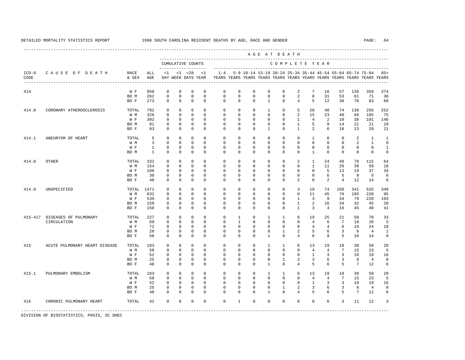|                 |                               |               |                              |                             |                              |                                          |                            |                                                                                    |                             |                             | AGE AT DEATH                                              |                              |                             |                             |                        |                     |                      |                      |                  |
|-----------------|-------------------------------|---------------|------------------------------|-----------------------------|------------------------------|------------------------------------------|----------------------------|------------------------------------------------------------------------------------|-----------------------------|-----------------------------|-----------------------------------------------------------|------------------------------|-----------------------------|-----------------------------|------------------------|---------------------|----------------------|----------------------|------------------|
|                 |                               |               |                              |                             |                              | CUMULATIVE COUNTS<br>------------------- |                            |                                                                                    |                             |                             |                                                           | COMPLETE YEAR                |                             |                             |                        |                     |                      |                      |                  |
| $ICD-9$<br>CODE | CAUSE OF DEATH                | RACE<br>& SEX | ALL<br>AGE                   | $\leq 1$                    |                              | $< 1$ $< 28$<br>DAY WEEK DAYS YEAR       | $\leq$ 1                   | $1 - 4$<br>YEARS YEARS YEARS YEARS YEARS YEARS YEARS YEARS YEARS YEARS YEARS YEARS |                             |                             | 5-9 10-14 15-19 20-24 25-34 35-44 45-54 55-64 65-74 75-84 |                              |                             |                             |                        |                     |                      |                      | $85+$            |
| 414             |                               | W F           | 950                          | $\mathbf{0}$                | $\mathbf{0}$                 | $\mathbf 0$                              | $\mathbf 0$                | 0                                                                                  | $\mathbf 0$<br>$\Omega$     | $\mathbf 0$                 | $\mathbf 0$                                               | $\mathbf 0$                  | 2<br>$\overline{2}$         | 7<br>8                      | 16                     | 57                  | 136                  | 358                  | 374              |
|                 |                               | BO M<br>BO F  | 262<br>273                   | $\mathbf 0$<br>$\Omega$     | $\mathbf 0$<br>$\Omega$      | $\mathbf 0$<br>$\Omega$                  | $\mathbf 0$<br>$\Omega$    | $\mathbf 0$<br>$\Omega$                                                            | $\Omega$                    | $\mathbf 0$<br>$\Omega$     | $\mathbf 0$<br>$\overline{1}$                             | $\mathbf{0}$<br>$\Omega$     | $\overline{4}$              | 5                           | 31<br>12               | 53<br>30            | 61<br>70             | 71<br>83             | 36<br>68         |
| 414.0           | CORONARY ATHEROSCLEROSIS      | TOTAL         | 792                          | $\mathbf{0}$                | $\mathbf 0$                  | $\mathbf 0$                              | $\Omega$                   | $\Omega$                                                                           | $\Omega$                    | $\circ$                     | 1                                                         | $\mathbf 0$                  | 5                           | 26                          | 40                     | 74                  | 138                  | 256                  | 252              |
|                 |                               | W M<br>W F    | 326<br>302                   | $\Omega$<br>$\Omega$        | $\Omega$<br>$\Omega$         | $\Omega$<br>$\Omega$                     | $\Omega$<br>$\Omega$       | $\Omega$<br>$\Omega$                                                               | $\Omega$<br>$\Omega$        | $\Omega$<br>$\Omega$        | $\Omega$<br>$\Omega$                                      | $\Omega$<br>$\Omega$         | 2<br>$\mathbf{1}$           | 15<br>$\overline{4}$        | 23<br>2                | 40<br>1 O           | 66<br>38             | 105<br>101           | 75<br>146        |
|                 |                               | BO M          | 81                           | $\Omega$                    | $\Omega$                     | $\Omega$                                 | $\Omega$                   | $\Omega$                                                                           | $\Omega$                    | $\Omega$                    | $\Omega$                                                  | $\Omega$                     | $\mathbf{1}$                | 5                           | 9                      | 14                  | 21                   | 21                   | 10               |
|                 |                               | BO F          | 83                           | $\Omega$                    | $\Omega$                     | $\Omega$                                 | $\Omega$                   | $\Omega$                                                                           | $\Omega$                    | $\Omega$                    | $\mathbf{1}$                                              | $\Omega$                     | $\mathbf{1}$                | $\mathfrak{D}$              | 6                      | 10                  | 13                   | 29                   | 21               |
| 414.1           | ANEURYSM OF HEART             | TOTAL         | 5                            | $\circ$                     | $\mathbf{0}$                 | $\mathbf{0}$                             | $\Omega$                   | 0                                                                                  | $\Omega$                    | $^{\circ}$                  | $\mathbf{0}$                                              | $\Omega$                     | $^{\circ}$                  | $\mathbf{1}$                | $\circ$                | $\circ$             | 2                    | $\mathbf{1}$         | 1                |
|                 |                               | W M           | 3                            | $\mathbf 0$                 | $\mathbf{0}$                 | $\mathbf 0$                              | $\mathbf{0}$               | $\mathbf 0$                                                                        | 0                           | $\mathbf 0$                 | $\mathsf{O}$                                              | $\mathbf 0$                  | $\mathbf 0$                 | $\mathbf 0$                 | $\mathbf{0}$           | $\mathbf 0$         | 2                    | $\mathbf{1}$         | 0                |
|                 |                               | W F<br>BO M   | $\mathbf{1}$<br>$\mathbf{1}$ | 0<br>$\mathbf 0$            | $\mathbf{0}$<br>$\mathbf{0}$ | $\mathbf 0$<br>$\mathbf 0$               | 0<br>$\mathbf 0$           | $^{\circ}$<br>$\mathbf 0$                                                          | $\mathbf{0}$<br>$\mathbf 0$ | 0<br>$\mathbf{0}$           | 0<br>$\mathbf{0}$                                         | $\mathbf 0$<br>$\mathbf 0$   | $\mathbf 0$<br>$\mathbf{0}$ | $\mathbf 0$<br>$\mathbf{1}$ | $\mathbf 0$<br>$\circ$ | 0<br>$\mathbf 0$    | 0<br>$\mathbf 0$     | 0<br>$\mathbf 0$     | 1<br>0           |
| 414.8           | OTHER                         | TOTAL         | 332                          | 0                           | $\mathbf 0$                  | $\mathbf 0$                              | $\Omega$                   | $\mathbf 0$                                                                        | 0                           | $\mathbf 0$                 | $\mathbf{0}$                                              | $\mathbf 0$                  | 2                           | 1                           | 24                     | 48                  | 78                   | 115                  | 64               |
|                 |                               | W M           | 154                          | $\mathbf 0$                 | $\mathbf 0$                  | $\mathbf 0$                              | $\mathbf{0}$               | $\mathbf 0$                                                                        | $\mathbf 0$                 | $\mathbf 0$                 | $\mathbf{0}$                                              | $\mathbf 0$                  | $\mathbf{0}$                | $\mathbf{1}$                | 11                     | 26                  | 39                   | 59                   | 18               |
|                 |                               | W F           | 108                          | $\mathbf 0$                 | $\mathbf 0$                  | $\mathbf 0$                              | $\Omega$                   | 0                                                                                  | 0                           | $\mathbf{0}$                | $\mathbf{0}$                                              | $\mathbf 0$                  | $\mathbf 0$                 | $\mathbf 0$                 | 5                      | 13                  | 19                   | 37                   | 34               |
|                 |                               | BO M<br>BO F  | 30<br>40                     | $\mathbf 0$<br>$\mathbf{0}$ | $\mathbf 0$<br>$\mathbf 0$   | $\mathbf 0$<br>$\mathbf 0$               | $\mathbf 0$<br>$\mathbf 0$ | $\mathbf 0$<br>$\mathbf 0$                                                         | $\Omega$<br>$\mathbf 0$     | $\mathbf{0}$<br>$\mathbf 0$ | $\mathbf 0$<br>$\mathbf{0}$                               | $\mathbf{0}$<br>$\mathbf 0$  | $\mathbf{0}$<br>2           | $\mathbf 0$<br>$\mathbf 0$  | 6<br>2                 | 5<br>$\overline{4}$ | 8<br>12              | 5<br>14              | 6<br>6           |
| 414.9           | UNSPECIFIED                   | TOTAL         | 1471                         | $\mathbf{0}$                | $\Omega$                     | $\Omega$                                 | $\Omega$                   | $\Omega$                                                                           | $\Omega$                    | $\Omega$                    | $\Omega$                                                  | $\Omega$                     | 3                           | 19                          | 74                     | 160                 | 341                  | 525                  | 349              |
|                 |                               | W M           | 632                          | $\mathbf{0}$                | $\mathbf 0$                  | $\mathbf 0$                              | $\mathbf 0$                | $\mathbf 0$                                                                        | $\mathbf 0$                 | $\mathbf 0$                 | $\mathbf 0$                                               | $\mathbf{0}$                 | $\mathbf{0}$                | 11                          | 45                     | 76                  | 185                  | 220                  | 95               |
|                 |                               | W F<br>BO M   | 539<br>150                   | $\mathbf 0$                 | $\mathbf{0}$<br>$\Omega$     | $\mathbf 0$<br>$\mathbf 0$               | $\Omega$<br>$\Omega$       | $\Omega$<br>$\Omega$                                                               | $\Omega$<br>$\Omega$        | $\mathbf 0$<br>$\mathbf 0$  | $\mathbf 0$<br>$\Omega$                                   | $\Omega$<br>$\mathbf{0}$     | 1<br>$\mathbf{1}$           | $\overline{3}$<br>2         | 9<br>16                | 34<br>34            | 79<br>32             | 220<br>45            | 193<br>20        |
|                 |                               | BO F          | 150                          | $\mathbf{0}$<br>$\Omega$    | $\Omega$                     | $\Omega$                                 | $\Omega$                   | $\Omega$                                                                           | $\Omega$                    | $\Omega$                    | $\Omega$                                                  | $\Omega$                     | $\mathbf{1}$                | $\overline{3}$              | $\overline{4}$         | 16                  | 45                   | 40                   | 41               |
|                 | 415-417 DISEASES OF PULMONARY | TOTAL         | 227                          | $\Omega$                    | $\Omega$                     | $\Omega$                                 | $\Omega$                   | $\Omega$                                                                           | $\mathbf{1}$                | $\Omega$                    | $\mathbf{1}$                                              | $\mathbf{1}$                 | 6                           | 19                          | 25                     | 21                  | 50                   | 70                   | 33               |
|                 | CIRCULATION                   | W M           | 69                           | $\Omega$                    | $\Omega$                     | $\Omega$                                 | $\Omega$                   | $\Omega$                                                                           | $\mathbf{1}$                | $\Omega$                    | $\Omega$                                                  | $\Omega$                     | $\mathbf 0$                 | $\overline{4}$              | 6                      | $7\phantom{.0}$     | 18                   | 28                   | 5                |
|                 |                               | W F           | 72                           | $\mathbf{0}$                | $\mathbf 0$                  | $\mathbf 0$                              | $\Omega$                   | $\Omega$                                                                           | $\Omega$                    | $\mathbf 0$                 | $\mathbf 0$                                               | $\mathbf{0}$                 | $\mathbf 0$                 | $\overline{4}$              | $\overline{4}$         | 6                   | 16                   | 24                   | 18               |
|                 |                               | BO M<br>BO F  | 28<br>58                     | 0<br>0                      | $\mathbf 0$<br>$\mathbf 0$   | $\mathbf 0$<br>$\mathbf 0$               | $\mathbf{0}$<br>$\Omega$   | 0<br>$\Omega$                                                                      | 0<br>0                      | 0<br>$\mathbf{0}$           | 0<br>$\mathbf{1}$                                         | $\mathbf{1}$<br>$\mathbf{0}$ | 2<br>$\overline{4}$         | 5<br>6                      | 6<br>9                 | 3<br>5              | 6<br>10              | $\overline{4}$<br>14 | 1<br>9           |
| 415             | ACUTE PULMONARY HEART DISEASE | TOTAL         | 183                          | 0                           | $\mathbb O$                  | $\mathbf 0$                              | $\mathbf 0$                | 0                                                                                  | 0                           | $\mathbf 0$                 | 1                                                         | $\mathbf{1}$                 | 6                           | 13                          | 19                     | 18                  | 38                   | 58                   | 29               |
|                 |                               | W M           | 58                           | $\mathbf 0$                 | $\mathbf 0$                  | $\mathbf 0$                              | $\Omega$                   | 0                                                                                  | $\mathbf 0$                 | $\mathbf 0$                 | $\mathbf{0}$                                              | $\mathbf{0}$                 | $\mathbf{0}$                | $\overline{4}$              | $\overline{4}$         | 7                   | 15                   | 23                   | 5                |
|                 |                               | W F           | 52                           | $\mathbf{0}$                | $\Omega$                     | $\Omega$                                 | $\Omega$                   | $\Omega$                                                                           | $\Omega$                    | $\Omega$                    | $\Omega$                                                  | $\Omega$                     | $\mathbf 0$                 | $\mathbf{1}$                | 3                      | 3                   | 10                   | 19                   | 16               |
|                 |                               | BO M<br>BO F  | 25<br>48                     | $\mathbb O$<br>$\Omega$     | 0<br>$\Omega$                | 0<br>$\Omega$                            | $\mathbf{0}$<br>$\Omega$   | $\mathbf 0$<br>$\Omega$                                                            | $\mathbf 0$<br>$\Omega$     | $\mathbf 0$<br>$\Omega$     | $\mathbf 0$<br>$\mathbf{1}$                               | $\mathbf{1}$<br>$\Omega$     | 2<br>$\overline{4}$         | 3<br>5                      | 6<br>6                 | 3<br>5              | 6<br>$7\phantom{.0}$ | $\overline{4}$<br>12 | $\mathbf 0$<br>8 |
| 415.1           | PULMONARY EMBOLISM            | TOTAL         | 183                          | $\Omega$                    | $\Omega$                     | $\Omega$                                 | $\Omega$                   | $\Omega$                                                                           | $\Omega$                    | $\mathbf 0$                 | $\mathbf{1}$                                              | 1                            | 6                           | 13                          | 19                     | 18                  | 38                   | 58                   | 29               |
|                 |                               | W M           | 58                           | $\Omega$                    | $\Omega$                     | $\Omega$                                 | $\Omega$                   | $\Omega$                                                                           | $\Omega$                    | $\Omega$                    | $\Omega$                                                  | $\Omega$                     | $\Omega$                    | $\overline{4}$              | $\overline{4}$         | $7\overline{ }$     | 15                   | 23                   | 5                |
|                 |                               | W F           | 52                           | $\mathbf{0}$                | $\mathbf 0$                  | $\mathbf 0$                              | $\mathbf 0$                | $\mathbf 0$                                                                        | $\mathbf 0$                 | $\mathbf 0$                 | $\mathbf 0$                                               | $\mathbf 0$                  | $\mathbf{0}$                | $\mathbf{1}$                | 3                      | 3                   | 10                   | 19                   | 16               |
|                 |                               | BO M          | 25                           | 0<br>$\Omega$               | $\mathbf{0}$<br>$\Omega$     | $\mathbf 0$<br>$\Omega$                  | $\Omega$<br>$\Omega$       | $\Omega$<br>$\Omega$                                                               | $\Omega$<br>$\Omega$        | $\mathbf 0$<br>$\Omega$     | $\mathbf 0$<br>$\overline{1}$                             | 1<br>$\Omega$                | 2<br>$\overline{4}$         | 3                           | 6                      | 3<br>5              | 6                    | $\overline{4}$       | 0                |
|                 |                               | BO F          | 48                           |                             |                              |                                          |                            |                                                                                    |                             |                             |                                                           |                              |                             | 5                           | 6                      |                     | 7                    | 12                   | 8                |
| 416             | CHRONIC PULMONARY HEART       | TOTAL         | 42                           | $\Omega$                    | $\Omega$                     | $\Omega$                                 | $\Omega$                   | $\Omega$                                                                           | $\mathbf{1}$                | $\Omega$                    | $\Omega$                                                  | $\Omega$                     | $\Omega$                    | 6                           | 6                      | 3                   | 11                   | 12                   | 3                |
|                 |                               |               |                              |                             |                              |                                          |                            |                                                                                    |                             |                             |                                                           |                              |                             |                             |                        |                     |                      |                      |                  |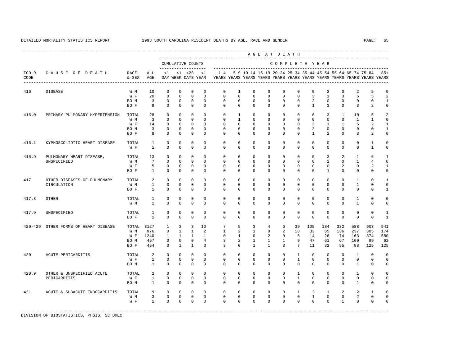A G E A T D E A T H

---------------------------------------------------------------------------------------------------------------------------------------------------- --------------------------------------------------------------------------------------------- CUMULATIVE COUNTS C O M P L E T E Y E A R ------------------- -----------------------------------------------------------------------

| $ICD-9$<br>CODE | CAUSE OF DEATH                 | RACE<br>& SEX | ALL<br>$\mathbb{AGE}$ | < 1                     | $\leq$ 1                   | < 28<br>DAY WEEK DAYS YEAR | < 1                     | $1 - 4$                 |                            |                         |                            |                     |                            |                            |                               |                         | 5-9 10-14 15-19 20-24 25-34 35-44 45-54 55-64 65-74 75-84<br>YEARS YEARS YEARS YEARS YEARS YEARS YEARS YEARS YEARS YEARS YEARS YEARS |                               | $85+$                      |
|-----------------|--------------------------------|---------------|-----------------------|-------------------------|----------------------------|----------------------------|-------------------------|-------------------------|----------------------------|-------------------------|----------------------------|---------------------|----------------------------|----------------------------|-------------------------------|-------------------------|--------------------------------------------------------------------------------------------------------------------------------------|-------------------------------|----------------------------|
| 416             | <b>DISEASE</b>                 | W M           | 10                    | $\mathbf 0$             | $\mathbf 0$                | $\mathbf 0$                | $\mathbf 0$             | $\mathbf 0$             | 1                          | $\mathbf 0$             | $\mathbf 0$                | $\Omega$            | $\mathbf 0$                | $\mathbf 0$                | 2                             | $\Omega$                | 2                                                                                                                                    | 5                             | $\mathbf 0$                |
|                 |                                | W F           | 20                    | $\mathbf 0$             | $\mathbf 0$                | $\mathbf 0$                | $\Omega$                | $\Omega$                | $\Omega$                   | $\Omega$                | $\Omega$                   | $\Omega$            | $\Omega$                   | 3                          | $\mathbf{1}$                  | 3                       | 6                                                                                                                                    | 5                             | $\overline{2}$             |
|                 |                                | BO M          | $\overline{3}$        | 0                       | $\mathbf 0$                | $\mathbf 0$                | $\mathbf 0$             | $\Omega$                | $\mathbf 0$                | $\Omega$                | $\Omega$                   | $\Omega$            | $\Omega$                   | 2                          | $\mathbf 0$                   | $\Omega$                | $\Omega$                                                                                                                             | 0                             | $\mathbf{1}$               |
|                 |                                | BO F          | 9                     | $\mathbf 0$             | $\mathbf 0$                | $\mathbf 0$                | $\mathbf 0$             | $\mathbf 0$             | $\mathbf 0$                | $\mathbf 0$             | $\mathbf 0$                | 0                   | $\mathbf 0$                | $\mathbf{1}$               | 3                             | $\circ$                 | 3                                                                                                                                    | 2                             | $\mathbb O$                |
| 416.0           | PRIMARY PULMONARY HYPERTENSION | TOTAL         | 28                    | $\mathbf 0$             | $\mathsf 0$                | 0                          | $\mathbf 0$             | $\mathbf 0$             | 1                          | $\mathbf{0}$            | $\mathbf{0}$               | 0                   | 0                          | 6                          | 3                             | $\mathbf{1}$            | 10                                                                                                                                   | 5                             | $\sqrt{2}$                 |
|                 |                                | W M           | 3                     | $\mathbf 0$             | $\mathbf 0$                | $\mathbf 0$                | $\Omega$                | $\mathbf 0$             | $\mathbf{1}$               | $\mathbf 0$             | $\mathbf 0$                | 0                   | $\mathbf 0$                | $\mathbf 0$                | $\mathbf 0$                   | $\mathbf{0}$            | $\mathbf{1}$                                                                                                                         | $\mathbf{1}$                  | $\mathbb O$                |
|                 |                                | W F           | 14                    | $\mathbf 0$             | $\mathbf 0$                | $\mathbf 0$                | $\Omega$                | $\Omega$                | $\mathbf 0$                | $\mathbf 0$             | $\mathbf 0$                | 0                   | $\mathbf 0$                | 3                          | $\mathbf{1}$                  | $\mathbf{1}$            | 6                                                                                                                                    | $\sqrt{2}$                    | $\mathbf{1}$               |
|                 |                                | BO M<br>BO F  | 3<br>8                | $\mathsf 0$<br>$\Omega$ | $\mathsf 0$<br>$\mathbf 0$ | $\mathsf 0$<br>$\mathbf 0$ | $\mathbf 0$<br>$\Omega$ | $\mathbf 0$<br>$\Omega$ | $\mathbf 0$<br>$\mathbf 0$ | $\mathsf 0$<br>$\Omega$ | $\mathbb O$<br>$\mathbf 0$ | $\circ$<br>$\Omega$ | $\mathbb O$<br>$\mathbf 0$ | $\sqrt{2}$<br>$\mathbf{1}$ | $\mathbb O$<br>$\overline{a}$ | $\mathbb O$<br>$\Omega$ | $\mathbf 0$<br>3                                                                                                                     | $\mathsf 0$<br>$\overline{2}$ | $\mathbf 1$<br>$\mathsf 0$ |
| 416.1           | KYPHOSCOLIOTIC HEART DISEASE   | TOTAL         | $\mathbf{1}$          | $\mathsf 0$             | $\mathsf 0$                | $\mathbf 0$                | $\mathbf 0$             | $\mathbf 0$             | $\mathbf 0$                | $\mathbf 0$             | $\mathbf 0$                | 0                   | $\mathbf 0$                | $\mathbf 0$                | $\mathbf{0}$                  | $\mathbb O$             | $\mathbf 0$                                                                                                                          | $\mathbf{1}$                  | $\mathbb O$                |
|                 |                                | W F           | $\mathbf{1}$          | $\Omega$                | $\Omega$                   | $\mathbf 0$                | $\Omega$                | $\Omega$                | $\Omega$                   | $\Omega$                | $\Omega$                   | $\Omega$            | $\Omega$                   | $\Omega$                   | $\mathbf 0$                   | $\mathbf 0$             | $\mathbf 0$                                                                                                                          | $\mathbf{1}$                  | $\mathbb O$                |
| 416.9           | PULMONARY HEART DISEASE,       | TOTAL         | 13                    | 0                       | $\mathbf 0$                | 0                          | $\Omega$                | $\mathbf 0$             | 0                          | $\mathbf 0$             | $\mathbf 0$                | $\mathbf 0$         | 0                          | $\mathbf 0$                | 3                             | 2                       | $\mathbf{1}$                                                                                                                         | 6                             | $\mathbf{1}$               |
|                 | UNSPECIFIED                    | W M           | $7\phantom{.0}$       | $\mathbf 0$             | $\mathbf 0$                | $\Omega$                   | $\Omega$                | $\Omega$                | $\Omega$                   | $\Omega$                | $\mathbf 0$                | $\Omega$            | $\mathbf 0$                | $\mathbf 0$                | 2                             | $\mathbf 0$             | $\mathbf{1}$                                                                                                                         | $\overline{4}$                | $\mathbf 0$                |
|                 |                                | W F           | 5                     | 0                       | 0                          | 0                          | 0                       | 0                       | 0                          | $\mathbf 0$             | $\mathbf 0$                | 0                   | 0                          | 0                          | 0                             | 2                       | 0                                                                                                                                    | 2                             | $\mathbf{1}$               |
|                 |                                | BO F          | $\mathbf{1}$          | $\mathbf 0$             | $\mathbf 0$                | $\mathbf 0$                | $\mathbf 0$             | $\mathbf 0$             | 0                          | $\mathbf 0$             | $\mathbf 0$                | $\Omega$            | $\mathbf 0$                | $\Omega$                   | $\mathbf{1}$                  | $\Omega$                | $\mathbf 0$                                                                                                                          | $\mathbf 0$                   | $\mathbb O$                |
| 417             | OTHER DISEASES OF PULMONARY    | TOTAL         | 2                     | $\mathbf 0$             | $\mathbf 0$                | $\mathbf 0$                | $\mathbf 0$             | $\mathbf 0$             | $\mathbf 0$                | $\mathbf 0$             | $\mathbf 0$                | 0                   | $\mathbf 0$                | $\mathbf 0$                | $\mathbf 0$                   | $\mathbf 0$             | $\mathbf{1}$                                                                                                                         | $\mathbf 0$                   | $\mathbf{1}$               |
|                 | CIRCULATION                    | W M           | $\mathbf{1}$          | $\mathsf 0$             | $\mathbf 0$                | $\mathbf 0$                | $\mathbf 0$             | $\mathbf 0$             | $\mathbf 0$                | $\mathbf 0$             | $\mathbf 0$                | 0                   | $\mathbf 0$                | $\mathbf 0$                | $\mathbf 0$                   | $\mathbf 0$             | $\mathbf{1}$                                                                                                                         | $\mathbf 0$                   | $\mathbb O$                |
|                 |                                | BO F          | $\mathbf{1}$          | $\mathbf 0$             | $\mathbf 0$                | $\mathbf 0$                | $\Omega$                | $\Omega$                | $\mathbf 0$                | $\Omega$                | $\mathbf 0$                | $\mathbf 0$         | $\mathbf 0$                | $\mathbf 0$                | $\mathbf 0$                   | $\mathbf 0$             | $\circ$                                                                                                                              | $\mathbf 0$                   | $\mathbf 1$                |
| 417.8           | <b>OTHER</b>                   | TOTAL         | 1                     | $\mathsf 0$             | $\mathsf 0$                | $\mathsf 0$                | $\mathbf 0$             | $\mathbf 0$             | $\mathbf 0$                | $\mathbf 0$             | $\mathbf 0$                | 0                   | 0                          | $\mathbf 0$                | $\mathbf 0$                   | $\mathbf 0$             | 1                                                                                                                                    | $\mathbf 0$                   | $\mathbb O$                |
|                 |                                | W M           | $\mathbf{1}$          | $\mathbf 0$             | $\Omega$                   | $\mathbf 0$                | $\Omega$                | $\Omega$                | $\Omega$                   | $\Omega$                | $\Omega$                   | $\Omega$            | $\Omega$                   | $\Omega$                   | $\Omega$                      | $\Omega$                | $\mathbf{1}$                                                                                                                         | $\Omega$                      | $\mathbf 0$                |
| 417.9           | UNSPECIFIED                    | TOTAL         | $\mathbf{1}$          | $\mathbf 0$             | $\mathbf 0$                | $\mathbf 0$                | $\mathbf 0$             | $\mathbf 0$             | $\mathbf 0$                | $\mathbf 0$             | $\mathbf 0$                | 0                   | $\mathbf 0$                | $\mathbf 0$                | $\Omega$                      | $\mathbf 0$             | $\circ$                                                                                                                              | $\mathbf 0$                   | $\mathbf{1}$               |
|                 |                                | BO F          | $\mathbf{1}$          | $\mathbf 0$             | $\Omega$                   | $\Omega$                   | $\Omega$                | $\Omega$                | $\Omega$                   | $\Omega$                | $\Omega$                   | $\Omega$            | $\Omega$                   | $\Omega$                   | $\Omega$                      | $\Omega$                | $\Omega$                                                                                                                             | $\Omega$                      | $\mathbf{1}$               |
| $420 - 429$     | OTHER FORMS OF HEART DISEASE   | TOTAL         | 3127                  | 1                       | 3                          | 3                          | 10                      | 7                       | 5                          | 3                       | 4                          | 6                   | 39                         | 105                        | 184                           | 332                     | 588                                                                                                                                  | 903                           | 941                        |
|                 |                                | W M           | 976                   | $\mathsf 0$             | $\mathbf{1}$               | $\mathbf{1}$               | $\overline{a}$          | $\mathbf{1}$            | $\overline{a}$             | $\mathbf{1}$            | $\mathbb O$                | $\overline{a}$      | 18                         | 33                         | 65                            | 136                     | 237                                                                                                                                  | 305                           | 174                        |
|                 |                                | W F           | 1240                  | 1                       | $\mathbf{1}$               | 1                          | $\mathbf{1}$            | $\mathbf 0$             | $\mathbf{1}$               | $\mathbf 0$             | 2                          | $\circ$             | 5                          | 14                         | 26                            | 74                      | 163                                                                                                                                  | 374                           | 580                        |
|                 |                                | BO M          | 457                   | $\mathsf 0$             | $\mathsf 0$                | $\mathsf 0$                | $\overline{4}$          | 3                       | $\overline{\mathbf{c}}$    | $\mathbf{1}$            | $\mathbf{1}$               | $\mathbf{1}$        | 9                          | 47                         | 61                            | 67                      | 100                                                                                                                                  | 99                            | 62                         |
|                 |                                | BO F          | 454                   | $\mathbf 0$             | $\mathbf{1}$               | $\mathbf{1}$               | $\overline{3}$          | 3                       | $\mathbf 0$                | $\mathbf{1}$            | $\mathbf{1}$               | 3                   | 7                          | 11                         | 32                            | 55                      | 88                                                                                                                                   | 125                           | 125                        |
| 420             | ACUTE PERICARDITIS             | TOTAL         | 2                     | $\mathbf 0$             | $\mathbf 0$                | $\mathbf 0$                | $\Omega$                | $\mathbf 0$             | $\mathbf 0$                | $\mathbf 0$             | $\Omega$                   | $\mathbf 0$         | $\mathbf{1}$               | $\mathbf 0$                | $\mathbf 0$                   | $\mathbf 0$             | $\mathbf{1}$                                                                                                                         | $\Omega$                      | $\mathbf 0$                |
|                 |                                | W F           | $\mathbf{1}$          | $\mathbf 0$             | $\mathbf 0$                | $\mathbf 0$                | $\mathbf 0$             | $\mathbf 0$             | $\mathbf 0$                | $\mathbf 0$             | $\mathbf 0$                | $\circ$             | $\mathbf{1}$               | $\mathbf 0$                | $\mathbf 0$                   | $\mathbf 0$             | $\circ$                                                                                                                              | $\mathbf 0$                   | $\mathbf 0$                |
|                 |                                | BO M          | $\mathbf{1}$          | $\mathbf 0$             | $\mathbf 0$                | $\mathbf 0$                | $\mathbf 0$             | $\Omega$                | $\mathbf 0$                | $\mathbf 0$             | $\mathbf 0$                | $\Omega$            | $\mathbf 0$                | $\mathbf 0$                | $\mathbf 0$                   | $\mathbf 0$             | $\mathbf{1}$                                                                                                                         | $\mathbf 0$                   | $\mathbb O$                |
| 420.9           | OTHER & UNSPECIFIED ACUTE      | TOTAL         | 2                     | $\mathbf 0$             | $\mathbf 0$                | $\mathbf 0$                | $\Omega$                | $\mathbf 0$             | $\mathbf 0$                | $\mathbf 0$             | $\mathbf 0$                | 0                   | $\mathbf{1}$               | $\mathbf 0$                | $\mathbf 0$                   | $\mathbf 0$             | $\mathbf{1}$                                                                                                                         | $\mathbf 0$                   | $\mathbb O$                |
|                 | PERICARDITIS                   | W F           | $\mathbf{1}$          | $\mathbf 0$             | $\mathbf 0$                | 0                          | $\mathbf 0$             | $\mathbf 0$             | $\mathbf 0$                | $\mathbf 0$             | $\mathbf{0}$               | $\mathbf 0$         | $\mathbf{1}$               | $\mathbf 0$                | $\mathbf{0}$                  | $\mathbf{0}$            | $\mathbf 0$                                                                                                                          | $\mathbf 0$                   | $\mathbf 0$                |
|                 |                                | BO M          | 1                     | $\mathbf 0$             | $\mathbf 0$                | $\mathbf 0$                | $\mathbf 0$             | $\Omega$                | $\mathbf 0$                | $\mathbf 0$             | $\mathbf 0$                | 0                   | $\mathbf 0$                | $\mathbf 0$                | $\mathbf{0}$                  | $\mathbf 0$             | $\mathbf{1}$                                                                                                                         | $\mathbf 0$                   | $\mathbf 0$                |
| 421             | ACUTE & SUBACUTE ENDOCARDITIS  | TOTAL         | 9                     | 0                       | $\mathsf 0$                | 0                          | $\mathbf 0$             | 0                       | 0                          | 0                       | $\mathsf 0$                | 0                   | 1                          | 2                          | 1                             | 2                       | 2                                                                                                                                    | $\mathbf{1}$                  | $\mathbf 0$                |
|                 |                                | W M           | $\overline{3}$        | $\mathbb O$             | $\mathbb O$                | $\mathsf 0$                | $\mathbf 0$             | $\mathbf 0$             | $\mathsf 0$                | $\mathbf 0$             | 0                          | $\mathsf{O}$        | $\mathsf 0$                | $\mathbf 1$                | $\mathbb O$                   | $\mathbb O$             | $\sqrt{2}$                                                                                                                           | $\mathbb O$                   | $\mathsf{O}\xspace$        |
|                 |                                | W F           | $\mathbf{1}$          | $\mathbf 0$             | $\mathbf 0$                | $\mathbf 0$                | $\Omega$                | $\Omega$                | $\mathbf 0$                | $\Omega$                | $\mathbf 0$                | $\Omega$            | $\mathbf 0$                | $\mathbf 0$                | $\mathbf 0$                   | $\mathbf{1}$            | $\mathbf 0$                                                                                                                          | $\mathbf 0$                   | $\mathbb O$                |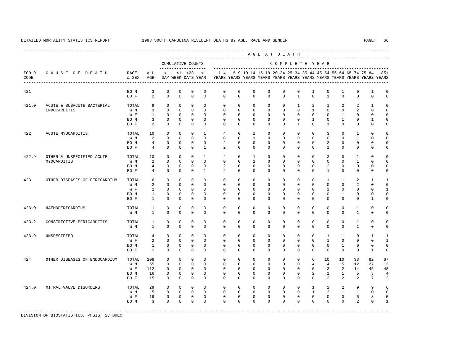---------------------------------------------------------------------------------------------------------------------------------------------------- A G E A T D E A T H --------------------------------------------------------------------------------------------- CUMULATIVE COUNTS C O M P L E T E Y E A R ------------------- ----------------------------------------------------------------------- ICD-9 C A U S E O F D E A T H RACE ALL <1 <1 <28 <1 1-4 5-9 10-14 15-19 20-24 25-34 35-44 45-54 55-64 65-74 75-84 85+ CODE & SEX AGE DAY WEEK DAYS YEAR YEARS YEARS YEARS YEARS YEARS YEARS YEARS YEARS YEARS YEARS YEARS YEARS ---------------------------------------------------------------------------------------------------------------------------------------------------- 421 BO M 3 0 0 0 0 0 0 0 0 0 0 1 0 1 0 1 0 BOF 2 0 0 0 0 0 0 0 0 0 0 1 0 0 0 0 0 421.0 ACUTE & SUBACUTE BACTERIAL TOTAL 9 0 0 0 0 0 0 0 0 0 1 2 1 2 2 1 0 ENDOCARDITIS W M 3 0 0 0 0 0 0 0 0 0 0 1 0 0 2 0 0 W F 1 0 0 0 0 0 0 0 0 0 0 0 0 1 0 0 0 BOM 3 0 0 0 0 0 0 0 0 0 0 0 1 0 1 0 1 0 BOF 2 0 0 0 0 0 0 0 0 0 0 1 0 0 0 0 0 422 ACUTE MYOCARDITIS TOTAL 10 0 0 0 1 4 0 1 0 0 0 0 3 0 1 0 0 W M 2 0 0 0 0 0 0 1 0 0 0 0 0 0 1 0 0 BO M 4 0 0 0 0 2 0 0 0 0 0 0 2 0 0 0 0 BO F 4 0 0 0 1 2 0 0 0 0 0 0 1 0 0 0 0 422.9 OTHER & UNSPECIFIED ACUTE TOTAL 10 0 0 0 1 4 0 1 0 0 0 0 3 0 1 0 0 MYOCARDITIS W M 2 0 0 0 0 0 0 1 0 0 0 0 0 0 1 0 0 BOM 4 0 0 0 0 2 0 0 0 0 0 0 0 2 0 0 0 0<br>BOF 4 0 0 0 1 2 0 0 0 0 0 0 1 0 0 0 0 BO F 4 0 0 0 1 2 0 0 0 0 0 0 1 0 0 0 0 423 OTHER DISEASES OF PERICARDIUM TOTAL 6 0 0 0 0 0 0 0 0 0 0 0 0 0 0 0 1 1 2 1 1<br>W M 2 0 0 0 0 0 0 0 0 0 0 0 0 0 0 0 2 0 0 W M 2 0 0 0 0 0 0 0 0 0 0 0 0 0 2 0 0 W F 2 0 0 0 0 0 0 0 0 0 0 0 0 0 0 0 1 BO M 1 0 0 0 0 0 0 0 0 0 0 0 0 1 0 0 0 BO F 1 0 0 0 0 0 0 0 0 0 0 0 0 0 0 1 0 423.0 HAEMOPERICARDIUM TOTAL 1 0 0 0 0 0 0 0 0 0 0 0 0 0 1 0 0 W M 1 0 0 0 0 0 0 0 0 0 0 0 0 0 1 0 0 423.2 CONSTRICTIVE PERICARDITIS TOTAL 1 0 0 0 0 0 0 0 0 0 0 0 0 0 1 0 0 W M 1 0 0 0 0 0 0 0 0 0 0 0 0 0 1 0 0 423.9 UNSPECIFIED TOTAL 4 0 0 0 0 0 0 0 0 0 0 0 1 1 0 1 1 W F 2 0 0 0 0 0 0 0 0 0 0 0 0 0 0 1 0 0 0 1 BO M 1 0 0 0 0 0 0 0 0 0 0 0 0 1 0 0 0 BO F 1 0 0 0 0 0 0 0 0 0 0 0 0 0 0 1 0 424 OTHER DISEASES OF ENDOCARDIUM TOTAL 208 0 0 0 0 0 0 0 0 0 0 0 0 0 0 10 10 33 82 67<br>W M 65 0 0 0 0 0 0 0 0 0 0 0 0 4 4 5 12 27 13 W M 65 0 0 0 0 0 0 0 0 0 0 4 4 5 12 27 13 W F 112 0 0 0 0 0 0 0 0 0 0 0 3 2 14 45 48 BO M 16 0 0 0 0 0 0 0 0 0 0 2 1 1 5 3 4 BO F 15 0 0 0 0 0 0 0 0 0 0 0 2 2 2 7 2 424.0 MITRAL VALVE DISORDERS TOTAL 29 0 0 0 0 0 0 0 0 0 0 0 0 0 1 2 2 9 9 6<br>W M 5 0 0 0 0 0 0 0 0 0 0 0 1 2 1 1 0 0 W M M 5 0 0 0 0 0 0 0 0 0 0 0 0 0 1 2 1 1 0 0 W F 19 0 0 0 0 0 0 0 0 0 0 0 0 0 6 8 5 BOM 3 0 0 0 0 0 0 0 0 0 0 0 0 0 2 0 1 -----------------------------------------------------------------------------------------------------------------------------------------------------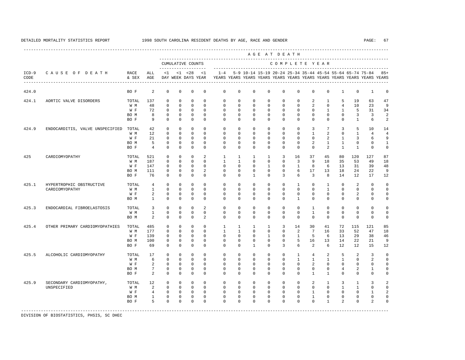|                 |                                       |               |                 |              |              |                                    |              |              |                |                                                           |                | AGE AT DEATH   |              |                 |                          |                |              |                                                                         |                         |
|-----------------|---------------------------------------|---------------|-----------------|--------------|--------------|------------------------------------|--------------|--------------|----------------|-----------------------------------------------------------|----------------|----------------|--------------|-----------------|--------------------------|----------------|--------------|-------------------------------------------------------------------------|-------------------------|
|                 |                                       |               |                 |              |              | CUMULATIVE COUNTS                  |              |              |                |                                                           |                | COMPLETE YEAR  |              |                 |                          |                |              |                                                                         |                         |
| $ICD-9$<br>CODE | CAUSE OF DEATH                        | RACE<br>& SEX | ALL<br>AGE      | <1           |              | $< 1$ $< 28$<br>DAY WEEK DAYS YEAR | <1           | $1 - 4$      |                | 5-9 10-14 15-19 20-24 25-34 35-44 45-54 55-64 65-74 75-84 |                |                |              |                 |                          |                |              | YEARS YEARS YEARS YEARS YEARS YEARS YEARS YEARS YEARS YEARS YEARS YEARS | $85+$                   |
| 424.0           |                                       | BO F          | 2               | $\mathbf{0}$ | $\mathbf{0}$ | $\mathbf{0}$                       | $\mathbf 0$  | $\mathbf 0$  | $\mathbf 0$    | $\mathbf 0$                                               | $\mathbf 0$    | 0              | $\mathbf 0$  | $\mathbf 0$     | $\mathbf 0$              | $\mathbf{1}$   | $\mathbf 0$  | $\mathbf{1}$                                                            | $\Omega$                |
| 424.1           | AORTIC VALVE DISORDERS                | TOTAL         | 137             | $\Omega$     | $\Omega$     | $\Omega$                           | $\Omega$     | $\Omega$     | $\Omega$       | $\Omega$                                                  | $\Omega$       | $\Omega$       | $\Omega$     | 2               | $\overline{1}$           | 5              | 19           | 63                                                                      | 47                      |
|                 |                                       | W M           | 48              | $\mathbf{0}$ | $\mathbf{0}$ | $\mathbf 0$                        | $\Omega$     | $\mathbf 0$  | $\mathbf 0$    | $\mathbf 0$                                               | $\mathbf{0}$   | 0              | $\mathbf 0$  | $\overline{a}$  | $\mathbf{0}$             | $\overline{4}$ | 10           | 23                                                                      | 9                       |
|                 |                                       | W F           | 72              | $\Omega$     | $\Omega$     | $\Omega$                           | $\Omega$     | $\Omega$     | $\Omega$       | $\Omega$                                                  | $\Omega$       | $\Omega$       | $\Omega$     | $\Omega$        | $\overline{1}$           | $\mathbf{1}$   | 5            | 31                                                                      | 34                      |
|                 |                                       | BO M          | $\mathbf{g}$    | $\Omega$     | $\Omega$     | $\Omega$                           | $\Omega$     | $\Omega$     | $\Omega$       | $\Omega$                                                  | $\Omega$       | $\Omega$       | $\Omega$     | $\Omega$        | $\Omega$                 | $\Omega$       | 3            | $\overline{3}$                                                          | $\overline{2}$          |
|                 |                                       | BO F          | 9               | $\Omega$     | $\mathbf 0$  | $\Omega$                           | $\Omega$     | $\Omega$     | $\Omega$       | $\Omega$                                                  | $\Omega$       | $\Omega$       | $\Omega$     | $\Omega$        | $\Omega$                 | $\Omega$       | $\mathbf{1}$ | 6                                                                       | 2                       |
| 424.9           | ENDOCARDITIS, VALVE UNSPECIFIED TOTAL |               | 42              | $\Omega$     | $\Omega$     | $\mathbf{0}$                       | $\Omega$     | $\Omega$     | $\Omega$       | $\Omega$                                                  | $\Omega$       | $\Omega$       | $\Omega$     | 3               | 7                        | 3              | 5            | 10                                                                      | 14                      |
|                 |                                       | W M           | 12              | $\mathbf{0}$ | $\mathbf 0$  | $\mathbf{0}$                       | $\Omega$     | $\Omega$     | $\Omega$       | $\Omega$                                                  | $\Omega$       | $\Omega$       | $\Omega$     | $\mathbf{1}$    | 2                        | $\Omega$       | $\mathbf{1}$ | $\overline{4}$                                                          | $\overline{4}$          |
|                 |                                       | W F           | 21              | $\Omega$     | $\Omega$     | $\mathbf 0$                        | $\Omega$     | $\Omega$     | $\Omega$       | $\Omega$                                                  | $\Omega$       | $\Omega$       | $\Omega$     | $\Omega$        | 2                        | 1              | 3            | 6                                                                       | 9                       |
|                 |                                       | BO M          | 5               | $\mathbf{0}$ | $\mathbf{0}$ | $\mathbf{0}$                       | $\mathbf 0$  | $\Omega$     | $\Omega$       | $\Omega$                                                  | 0              | 0              | 0            | 2               | 1                        | 1              | $\mathbf 0$  | $^{\circ}$                                                              | $\mathbf{1}$            |
|                 |                                       | BO F          | $\overline{4}$  | $\Omega$     | $\Omega$     | $\Omega$                           | $\Omega$     | $\Omega$     | $\Omega$       | $\Omega$                                                  | $\Omega$       | $\Omega$       | $\Omega$     | $\Omega$        | 2                        | $\overline{1}$ | $\mathbf{1}$ | $\Omega$                                                                | $\mathbb O$             |
| 425             | CARDIOMYOPATHY                        | TOTAL         | 521             | $\mathbf{0}$ | $\mathbf 0$  | $\mathbf{0}$                       | 2            | $\mathbf{1}$ | $\mathbf{1}$   | 1                                                         | $\mathbf{1}$   | $\overline{3}$ | 16           | 37              | 45                       | 80             | 120          | 127                                                                     | 87                      |
|                 |                                       | W M           | 187             | $\Omega$     | $\Omega$     | $\Omega$                           | $\Omega$     | $\mathbf{1}$ | $\overline{1}$ | $\Omega$                                                  | $\Omega$       | $\Omega$       | 3            | 9               | 18                       | 35             | 53           | 49                                                                      | 18                      |
|                 |                                       | W F           | 147             | $\Omega$     | $\Omega$     | $\Omega$                           | $\Omega$     | $\Omega$     | $\Omega$       | $\Omega$                                                  | $\overline{1}$ | $\Omega$       | $\mathbf{1}$ | 8               | 6                        | 13             | 31           | 39                                                                      | 48                      |
|                 |                                       | BO M          | 111             | $\mathbf{0}$ | $\mathbf{0}$ | $\mathbf{0}$                       | 2            | $\mathbf 0$  | $\mathbf 0$    | $\mathbf 0$                                               | 0              | 0              | 6            | 17              | 13                       | 18             | 24           | 22                                                                      | 9                       |
|                 |                                       | BO F          | 76              | $\Omega$     | $\mathbf{0}$ | $\Omega$                           | $\Omega$     | $\Omega$     | $\Omega$       | $\overline{1}$                                            | $\Omega$       | 3              | 6            | 3               | 8                        | 14             | 12           | 17                                                                      | 12                      |
| 425.1           | HYPERTROPHIC OBSTRUCTIVE              | TOTAL         | $\overline{4}$  | $\mathbf{0}$ | $\mathbf{0}$ | $\mathbf{0}$                       | $\Omega$     | $\mathbf 0$  | $\mathbf 0$    | $\mathbf{0}$                                              | 0              | $\mathbf 0$    | $\mathbf{1}$ | $\mathbf 0$     | $\mathbf{1}$             | $\Omega$       | 2            | $\Omega$                                                                | $\mathbf 0$             |
|                 | CARDIOMYOPATHY                        | W M           | $\mathbf{1}$    | $\Omega$     | $\Omega$     | $\Omega$                           | $\Omega$     | $\Omega$     | $\Omega$       | $\Omega$                                                  | $\Omega$       | $\Omega$       | $\Omega$     | $\Omega$        | $\mathbf{1}$             | $\Omega$       | 0            | 0                                                                       | $\mathbf 0$             |
|                 |                                       | W F           | 2               | $\Omega$     | $\mathbf 0$  | $\mathbf{0}$                       | $\Omega$     | $\Omega$     | $\Omega$       | $\Omega$                                                  | $\Omega$       | $\Omega$       | $\Omega$     | $\Omega$        | $\Omega$                 | $\Omega$       | 2            | 0                                                                       | $\mathbf 0$             |
|                 |                                       | BO M          | $\mathbf{1}$    | $\mathbf{0}$ | $\mathbf{0}$ | $\mathbf{0}$                       | $\Omega$     | $\Omega$     | $\Omega$       | $\Omega$                                                  | $\Omega$       | $\Omega$       | 1            | $\Omega$        | $\Omega$                 | $\Omega$       | $\Omega$     | $\Omega$                                                                | $\mathbf 0$             |
| 425.3           | ENDOCARDIAL FIBROELASTOSIS            | TOTAL         | 3               | $\mathbf 0$  | $\mathbf 0$  | $\mathbf{0}$                       | 2            | $\mathbf 0$  | $\mathbf 0$    | $\mathbf 0$                                               | 0              | $\mathbf 0$    | $\mathbf 0$  | 1               | $\mathbf{0}$             | $\mathbf{0}$   | 0            | 0                                                                       | $\Omega$                |
|                 |                                       | W M           | $\mathbf{1}$    | $\mathbf 0$  | $\Omega$     | $\mathbf{0}$                       | $\Omega$     | $\Omega$     | $\Omega$       | $\Omega$                                                  | $\Omega$       | $\Omega$       | $\Omega$     | $\mathbf{1}$    | $\Omega$                 | $\Omega$       | $\mathbf 0$  | $\mathbf 0$                                                             | $\mathbf 0$             |
|                 |                                       | BO M          | $\mathfrak{D}$  | $\Omega$     | $\Omega$     | $\Omega$                           | 2            | $\Omega$     | $\Omega$       | $\Omega$                                                  | $\Omega$       | $\Omega$       | $\Omega$     | $\Omega$        | $\Omega$                 | $\Omega$       | $\Omega$     | $\Omega$                                                                | $\mathbf 0$             |
| 425.4           | OTHER PRIMARY CARDIOMYOPATHIES        | TOTAL         | 485             | $\mathbf{0}$ | $\mathbf{0}$ | $\mathbf{0}$                       | $\Omega$     | $\mathbf{1}$ | $\mathbf{1}$   | $\mathbf{1}$                                              | $\mathbf{1}$   | 3              | 14           | 30              | 41                       | 72             | 115          | 121                                                                     | 85                      |
|                 |                                       | W M           | 177             | $\Omega$     | $\Omega$     | $\Omega$                           | $\Omega$     | $\mathbf{1}$ | $\overline{1}$ | $\Omega$                                                  | $\mathbf 0$    | 0              | 2            | $7\phantom{.0}$ | 16                       | 33             | 52           | 47                                                                      | 18                      |
|                 |                                       | W F           | 139             | $\mathbf 0$  | $\mathbf 0$  | $\mathbf{0}$                       | $\mathbf 0$  | $\mathbf 0$  | $\mathbf 0$    | $\mathbf 0$                                               | $\mathbf{1}$   | 0              | $\mathbf{1}$ | 5               | 6                        | 13             | 29           | 38                                                                      | 46                      |
|                 |                                       | BO M          | 100             | $\mathbf 0$  | $\mathbf{0}$ | $\mathbf 0$                        | $\mathbf 0$  | $\Omega$     | $\Omega$       | $\mathbf 0$                                               | 0              | 0              | 5            | 16              | 13                       | 14             | 22           | 21                                                                      | 9                       |
|                 |                                       | BO F          | 69              | $\Omega$     | $\Omega$     | $\Omega$                           | $\Omega$     | $\Omega$     | $\Omega$       | $\mathbf{1}$                                              | $\Omega$       | 3              | 6            | $\mathfrak{D}$  | 6                        | 12             | 12           | 15                                                                      | 12                      |
| 425.5           | ALCOHOLIC CARDIOMYOPATHY              | TOTAL         | 17              | $\mathbf 0$  | $\mathbf{0}$ | $\mathbf{0}$                       | $\Omega$     | $\mathbf 0$  | $\mathbf 0$    | $\mathbf{0}$                                              | 0              | $\mathbf 0$    | 1            | $\overline{4}$  | 2                        | 5              | 2            | 3                                                                       | $\mathbf 0$             |
|                 |                                       | W M           | 6               | $\Omega$     | $\Omega$     | $\mathbf{0}$                       | $\Omega$     | $\Omega$     | $\Omega$       | $\Omega$                                                  | $\Omega$       | $\Omega$       | $\mathbf{1}$ | $\mathbf{1}$    | $\mathbf{1}$             | $\overline{1}$ | $\Omega$     | 2                                                                       | $\mathbf 0$             |
|                 |                                       | W F           | 2               | $\mathbf{0}$ | $\mathbf{0}$ | $\mathbf{0}$                       | $\mathbf 0$  | $\mathbf 0$  | $\mathbf 0$    | $\mathbf 0$                                               | $\mathbf 0$    | 0              | $\mathbf 0$  | $\overline{a}$  | $\mathbf 0$              | $\mathbf 0$    | $\mathbf 0$  | 0                                                                       | $\mathbf 0$             |
|                 |                                       | BO M          | $7\phantom{.0}$ | $\mathbf{0}$ | $\mathbf{0}$ | $\mathbf{0}$                       | $\mathbf 0$  | $\mathbf 0$  | $\mathbf 0$    | $\mathbf 0$                                               | $\mathbf 0$    | 0              | $\mathbf 0$  | $\mathbf 0$     | $\mathbf{0}$             | 4              | 2            | 1                                                                       | $\mathbf 0$             |
|                 |                                       | BO F          | 2               | $\mathbf{0}$ | $\mathbf 0$  | $\mathbf 0$                        | $\Omega$     | $\Omega$     | $\Omega$       | $\Omega$                                                  | 0              | $\Omega$       | 0            | $\mathbf{1}$    | $\mathbf{1}$             | $\Omega$       | 0            | $\Omega$                                                                | $\Omega$                |
| 425.9           | SECONDARY CARDIOMYOPATHY,             | TOTAL         | 12              | $\mathbf{0}$ | $\mathbf{0}$ | $\mathbf{0}$                       | $\mathbf 0$  | $\mathbf 0$  | $\mathbf 0$    | $\mathbf 0$                                               | $\mathbf 0$    | $\mathbf 0$    | $\mathbf 0$  | 2               | 1                        | 3              | $\mathbf{1}$ | 3                                                                       | $\overline{2}$          |
|                 | UNSPECIFIED                           | W M           | 2               | $\mathbf{0}$ | $\mathbf{0}$ | $\mathbf 0$                        | $\mathbf{0}$ | $\mathbf 0$  | $\mathbf 0$    | $\mathbf{0}$                                              | 0              | 0              | 0            | $^{\circ}$      | $\mathbf{0}$             | 1              | $\mathbf{1}$ | $^{\circ}$                                                              | $\mathbf 0$             |
|                 |                                       | W F           | $\overline{4}$  | $\mathbf 0$  | 0            | $\mathbb O$                        | $\mathbf{0}$ | $^{\circ}$   | 0              | $\mathbf{0}$                                              | 0              | 0              | 0            | 1               | $\mathbf{0}$             | $\mathbf{0}$   | 0            | 1                                                                       | $\overline{\mathbf{c}}$ |
|                 |                                       | BO M          | $\mathbf{1}$    | $\mathbf{0}$ | $\mathbf{0}$ | $\mathbf{0}$                       | $\mathbf 0$  | $\Omega$     | $\mathbf 0$    | $\mathbf 0$                                               | $\mathbf 0$    | 0              | $\mathbf 0$  | $\mathbf{1}$    | $\mathbf{0}$             | $\mathbf 0$    | $\mathbf 0$  | $^{\circ}$                                                              | $\mathbf 0$             |
|                 |                                       | BO F          | 5               | $\mathbf{0}$ | $\mathbf 0$  | $\mathbf{0}$                       | $\mathbf 0$  | $\Omega$     | $\Omega$       | $\Omega$                                                  | 0              | $\Omega$       | 0            | $\Omega$        | $\mathbf{1}$             | 2              | 0            | $\mathfrak{D}$                                                          | $\mathbf 0$             |
|                 |                                       |               |                 |              |              |                                    |              |              |                |                                                           |                |                |              |                 | ------------------------ |                |              |                                                                         |                         |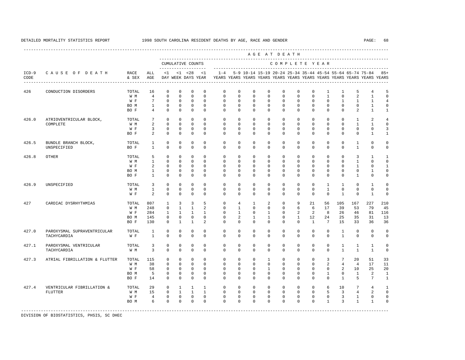|                 |                               |               |                 |                |                |                                    |                |             |                |                |                | AGE AT DEATH  |              |                |                 |                 |                 |                                                                                                                                      |                |
|-----------------|-------------------------------|---------------|-----------------|----------------|----------------|------------------------------------|----------------|-------------|----------------|----------------|----------------|---------------|--------------|----------------|-----------------|-----------------|-----------------|--------------------------------------------------------------------------------------------------------------------------------------|----------------|
|                 |                               |               |                 |                |                | CUMULATIVE COUNTS                  |                |             |                |                |                | COMPLETE YEAR |              |                |                 |                 |                 |                                                                                                                                      |                |
| $ICD-9$<br>CODE | CAUSE OF DEATH                | RACE<br>& SEX | ALL<br>AGE      | $\leq 1$       |                | $< 1$ $< 28$<br>DAY WEEK DAYS YEAR | <1             | $1 - 4$     |                |                |                |               |              |                |                 |                 |                 | 5-9 10-14 15-19 20-24 25-34 35-44 45-54 55-64 65-74 75-84<br>YEARS YEARS YEARS YEARS YEARS YEARS YEARS YEARS YEARS YEARS YEARS YEARS | $85+$          |
| 426             | CONDUCTION DISORDERS          | TOTAL         | 16              | $\Omega$       | $\Omega$       | $\Omega$                           | $\Omega$       | $\mathbf 0$ | $\mathbf 0$    | $\mathbf 0$    | $\mathbf{0}$   | $\mathbf 0$   | $\mathbf 0$  | $\mathbf 0$    | $\mathbf{1}$    | $\mathbf{1}$    | 5               | $\overline{4}$                                                                                                                       | 5              |
|                 |                               | W M           | $\overline{4}$  | $\Omega$       | $\mathbf{0}$   | $\Omega$                           | $\Omega$       | $\Omega$    | $\Omega$       | $\Omega$       | $\Omega$       | $\Omega$      | $\Omega$     | $\Omega$       | $\mathbf{1}$    | $\Omega$        | $\overline{a}$  | $\mathbf{1}$                                                                                                                         | $\Omega$       |
|                 |                               | W F           | $7\phantom{.0}$ | $\Omega$       | $\Omega$       | $\Omega$                           | $\Omega$       | $\Omega$    | $\Omega$       | $\Omega$       | $\Omega$       | $\Omega$      | $\Omega$     | $\Omega$       | $\Omega$        | $\mathbf{1}$    | $\mathbf{1}$    | $\mathbf{1}$                                                                                                                         | 4              |
|                 |                               | BO M          | $\mathbf{1}$    | $\mathbf 0$    | $\mathbf 0$    | $\mathbf{0}$                       | $\mathbf{0}$   | $\mathbf 0$ | $\mathbf 0$    | $\mathbf 0$    | $\mathbf{0}$   | $\mathbf 0$   | $\mathbf 0$  | $\mathbf 0$    | $\mathbf 0$     | $\mathbf 0$     | $\mathbf 0$     | $\mathbf{1}$                                                                                                                         | $\mathbf 0$    |
|                 |                               | BO F          | $\overline{4}$  | $\Omega$       | $\Omega$       | $\Omega$                           | $\Omega$       | $\Omega$    | $\Omega$       | $\Omega$       | $\Omega$       | $\Omega$      | $\Omega$     | $\Omega$       | $\Omega$        | $\Omega$        | 2               | $\mathbf{1}$                                                                                                                         | $\mathbf{1}$   |
| 426.0           | ATRIOVENTRICULAR BLOCK,       | TOTAL         | $7\phantom{.0}$ | $\Omega$       | $\Omega$       | $\Omega$                           | $\Omega$       | $\Omega$    | $\Omega$       | $\Omega$       | $\Omega$       | $\Omega$      | $\Omega$     | $\Omega$       | $\Omega$        | $\Omega$        | $\mathbf{1}$    | $\overline{a}$                                                                                                                       | 4              |
|                 | COMPLETE                      | W M           | 2               | $\Omega$       | $\Omega$       | $\Omega$                           | $\Omega$       | $\Omega$    | $\Omega$       | $\Omega$       | $\Omega$       | $\Omega$      | $\Omega$     | $\Omega$       | $\Omega$        | $\Omega$        | $\mathbf{1}$    | $\overline{1}$                                                                                                                       | $\Omega$       |
|                 |                               | W F           | $\overline{3}$  | $\mathbf 0$    | $\Omega$       | $\mathbf{0}$                       | $\Omega$       | $\Omega$    | $\Omega$       | $\Omega$       | $\Omega$       | $\Omega$      | $\Omega$     | $\Omega$       | $\Omega$        | $\Omega$        | $\Omega$        | $\Omega$                                                                                                                             | 3              |
|                 |                               | BO F          | $\mathcal{L}$   | $\Omega$       | $\Omega$       | $\Omega$                           | $\Omega$       | $\Omega$    | $\Omega$       | $\Omega$       | $\Omega$       | $\Omega$      | $\Omega$     | $\Omega$       | $\Omega$        | $\Omega$        | $\Omega$        | $\mathbf{1}$                                                                                                                         | $\mathbf{1}$   |
| 426.5           | BUNDLE BRANCH BLOCK,          | TOTAL         | $\mathbf{1}$    | 0              | $\mathbf{0}$   | $\mathbf 0$                        | $\mathbf{0}$   | $\mathbf 0$ | $\mathbf 0$    | $\mathbf 0$    | $\mathbf 0$    | $\mathbf 0$   | $\mathbf 0$  | $\mathbf 0$    | $\mathbf 0$     | $\mathbf 0$     | $\mathbf{1}$    | $\mathbf 0$                                                                                                                          | $\mathbf 0$    |
|                 | UNSPECIFIED                   | BO F          | $\mathbf{1}$    | $\mathbf 0$    | $\mathbf{0}$   | $\mathbf 0$                        | $\mathbf{0}$   | $\mathbf 0$ | $\mathbf 0$    | $\mathbf 0$    | $\mathbf{0}$   | $\mathbf 0$   | $\mathbf 0$  | $\mathbf 0$    | $\mathbf{0}$    | $\mathbf 0$     | $\mathbf{1}$    | $\mathbf 0$                                                                                                                          | 0              |
| 426.8           | <b>OTHER</b>                  | TOTAL         | 5               | $\mathbf 0$    | $\mathbf{0}$   | $\mathbf 0$                        | $\mathbf{0}$   | $\mathbf 0$ | $\mathbf 0$    | $\mathbf 0$    | $\mathbf{0}$   | $\mathbf 0$   | $\mathbf 0$  | $\mathbf 0$    | $\mathbf 0$     | $\Omega$        | 3               | $\mathbf{1}$                                                                                                                         | $\overline{1}$ |
|                 |                               | W M           | $\mathbf{1}$    | $\mathbf 0$    | $\mathbf 0$    | $\mathbf 0$                        | $\Omega$       | $\mathbf 0$ | $\mathbf 0$    | $\mathbf 0$    | $\mathbf 0$    | $\mathbf 0$   | $\mathbf 0$  | $\mathbf 0$    | $\mathbf{0}$    | $\Omega$        | $\mathbf{1}$    | $\Omega$                                                                                                                             | $\Omega$       |
|                 |                               | W F           | 2               | $\mathbf 0$    | $\mathbf{0}$   | $\mathbf{0}$                       | $\mathbf{0}$   | $\mathbf 0$ | $\mathbf 0$    | $\mathbf 0$    | $\mathbf{0}$   | $\mathbf 0$   | $\mathbf 0$  | $\mathbf 0$    | $\mathbf 0$     | $\mathbf 0$     | $\mathbf{1}$    | $\mathbf 0$                                                                                                                          | $\mathbf{1}$   |
|                 |                               | BO M          | $\mathbf{1}$    | 0              | $\mathbf{0}$   | $\mathbf{0}$                       | $\mathbf 0$    | $\Omega$    | $\mathbf 0$    | $\mathbf{0}$   | $\mathbf 0$    | $\Omega$      | $\Omega$     | $\Omega$       | $\Omega$        | $\Omega$        | $\Omega$        | $\mathbf{1}$                                                                                                                         | $\Omega$       |
|                 |                               | BO F          | $\mathbf{1}$    | $\Omega$       | $\Omega$       | $\Omega$                           | $\Omega$       | $\Omega$    | $\Omega$       | $\Omega$       | $\Omega$       | $\Omega$      | $\Omega$     | $\Omega$       | $\Omega$        | $\Omega$        | $\mathbf{1}$    | $\Omega$                                                                                                                             | $\Omega$       |
| 426.9           | UNSPECIFIED                   | TOTAL         | 3               | $\mathbf 0$    | $\mathbf{0}$   | $\mathbf{0}$                       | $\Omega$       | $\Omega$    | $\Omega$       | $\Omega$       | $\Omega$       | $\Omega$      | $\Omega$     | $\Omega$       | $\mathbf{1}$    | $\mathbf{1}$    | $\mathbf 0$     | $\overline{1}$                                                                                                                       | $\Omega$       |
|                 |                               | W M           | $\mathbf{1}$    | $\Omega$       | $\Omega$       | $\Omega$                           | $\Omega$       | $\Omega$    | $\Omega$       | $\Omega$       | $\Omega$       | $\Omega$      | $\Omega$     | $\Omega$       | $\mathbf{1}$    | $\Omega$        | $\Omega$        | $\Omega$                                                                                                                             | $\Omega$       |
|                 |                               | W F           | $\overline{a}$  | $\Omega$       | $\mathbf{0}$   | $\Omega$                           | $\mathbf{0}$   | $\Omega$    | $\mathbf 0$    | $\Omega$       | $\mathbf{0}$   | $\Omega$      | $\Omega$     | $\Omega$       | $\Omega$        | $\mathbf{1}$    | $\mathbf 0$     | $\mathbf{1}$                                                                                                                         | $\mathbf 0$    |
| 427             | CARDIAC DYSRHYTHMIAS          | TOTAL         | 807             | $\overline{1}$ | $\overline{3}$ | $\overline{3}$                     | 5              | $\Omega$    | $\overline{4}$ | $\mathbf{1}$   | $\overline{a}$ | $\Omega$      | 9            | 2.1            | 56              | 105             | 167             | 227                                                                                                                                  | 210            |
|                 |                               | W M           | 248             | $\mathbf 0$    | $\mathbf{1}$   | $\mathbf{1}$                       | $\overline{a}$ | $\Omega$    | $\mathbf{1}$   | $\Omega$       | $\mathbf{0}$   | $\Omega$      | 6            | 6              | 17              | 39              | 53              | 79                                                                                                                                   | 45             |
|                 |                               | W F           | 284             | $\mathbf{1}$   | $\mathbf{1}$   | $\mathbf{1}$                       | $\mathbf{1}$   | $\Omega$    | $\mathbf{1}$   | $\Omega$       | $\mathbf{1}$   | $\Omega$      | 2            | $\mathcal{L}$  | 8               | 26              | 46              | 81                                                                                                                                   | 116            |
|                 |                               | BO M          | 145             | $\mathbf 0$    | $\mathbf{0}$   | $\mathbf{0}$                       | $\Omega$       | $\Omega$    | $\overline{a}$ | $\overline{1}$ | $\mathbf{1}$   | $\Omega$      | $\mathbf{1}$ | 12.            | 24              | 25              | 35              | 31                                                                                                                                   | 13             |
|                 |                               | BO F          | 130             | $\Omega$       | $\mathbf{1}$   | $\mathbf{1}$                       | $\mathfrak{D}$ | $\Omega$    | $\Omega$       | $\Omega$       | $\Omega$       | $\Omega$      | $\Omega$     | $\overline{1}$ | $7\overline{ }$ | 15              | 33              | 36                                                                                                                                   | 36             |
| 427.0           | PAROXYSMAL SUPRAVENTRICULAR   | TOTAL         | $\mathbf{1}$    | $\mathbf 0$    | $\mathbf{0}$   | $\mathbf{0}$                       | 0              | $\mathbf 0$ | $\mathbf 0$    | $\mathbf 0$    | $\mathbf{0}$   | $\mathbf 0$   | $\mathbf 0$  | $\mathbf 0$    | $\mathbf 0$     | $\mathbf{1}$    | $\mathbf 0$     | $\mathbf 0$                                                                                                                          | $\mathbf 0$    |
|                 | TACHYCARDIA                   | W F           | $\mathbf{1}$    | $\Omega$       | $\mathbf{0}$   | $\Omega$                           | $\mathbf{0}$   | $\mathbf 0$ | $\mathbf 0$    | $\mathbf 0$    | $\mathbf{0}$   | $\mathbf 0$   | $\mathbf 0$  | $\mathbf 0$    | $\mathbf 0$     | $\mathbf{1}$    | $\mathbf 0$     | $\mathbf 0$                                                                                                                          | 0              |
| 427.1           | PAROXYSMAL VENTRICULAR        | TOTAL         | 3               | 0              | $\mathbf{0}$   | $\mathbf 0$                        | 0              | $\mathbf 0$ | $\mathbf 0$    | $\mathbf 0$    | $\mathbf 0$    | $\mathbf 0$   | $\mathbf 0$  | $\mathbf 0$    | $\mathbf 0$     | $\mathbf{1}$    | $\mathbf{1}$    | $\mathbf{1}$                                                                                                                         | $\mathbf 0$    |
|                 | TACHYCARDIA                   | W M           | $\overline{3}$  | $\Omega$       | $\Omega$       | $\Omega$                           | $\Omega$       | $\Omega$    | $\Omega$       | $\Omega$       | $\Omega$       | $\Omega$      | $\Omega$     | $\Omega$       | $\Omega$        | $\mathbf{1}$    | $\mathbf{1}$    | $\overline{1}$                                                                                                                       | $\Omega$       |
| 427.3           | ATRIAL FIBRILLATION & FLUTTER | TOTAL         | 115             | $\mathbf 0$    | $\mathbf 0$    | $\mathbf{0}$                       | $\mathbf{0}$   | $\mathbf 0$ | $\mathbf 0$    | $\mathbf 0$    | $\mathbf{1}$   | $\mathbf 0$   | $\mathbf 0$  | $\Omega$       | 3               | $7\phantom{.0}$ | 20              | 51                                                                                                                                   | 33             |
|                 |                               | W M           | 38              | $\mathbf 0$    | $\circ$        | $\Omega$                           | $\Omega$       | $\mathbf 0$ | $\mathbf 0$    | $\Omega$       | $\mathbf 0$    | $\Omega$      | $\Omega$     | $\Omega$       | $\overline{a}$  | $\overline{4}$  | $\overline{4}$  | 17                                                                                                                                   | 11             |
|                 |                               | W F           | 58              | $\mathbf 0$    | $\circ$        | $\mathbf{0}$                       | $\Omega$       | $\mathbf 0$ | $\mathbf 0$    | $\mathbf 0$    | $\mathbf{1}$   | $\Omega$      | $\mathbf 0$  | $\Omega$       | $\mathbf 0$     | $\overline{a}$  | 10              | 25                                                                                                                                   | 20             |
|                 |                               | BO M          | 5               | $\mathbf 0$    | $\mathbf{0}$   | $\mathbf{0}$                       | $\mathbf 0$    | $\Omega$    | $\mathbf 0$    | $\mathbf{0}$   | $\mathbf 0$    | $\Omega$      | $\Omega$     | $\Omega$       | $\mathbf{1}$    | $\Omega$        | $\mathbf{1}$    | 2                                                                                                                                    | $\mathbf{1}$   |
|                 |                               | BO F          | 14              | $\Omega$       | $\Omega$       | $\Omega$                           | $\Omega$       | $\Omega$    | $\Omega$       | $\Omega$       | $\Omega$       | $\Omega$      | $\Omega$     | $\Omega$       | $\Omega$        | $\mathbf{1}$    | 5               | $7\phantom{.0}$                                                                                                                      | $\overline{1}$ |
| 427.4           | VENTRICULAR FIBRILLATION &    | TOTAL         | 29              | $\mathbf 0$    | $\mathbf{1}$   | $\mathbf{1}$                       | $\mathbf{1}$   | $\Omega$    | $\Omega$       | $\Omega$       | $\Omega$       | $\Omega$      | $\Omega$     | $\Omega$       | 6               | 10              | $7\phantom{.0}$ | $\overline{4}$                                                                                                                       | $\mathbf{1}$   |
|                 | <b>FLUTTER</b>                | W M           | 15              | $\Omega$       | $\mathbf{1}$   | $\mathbf{1}$                       | $\mathbf{1}$   | $\Omega$    | $\Omega$       | $\Omega$       | $\Omega$       | $\Omega$      | $\Omega$     | $\Omega$       | 5               | $\overline{3}$  | $\overline{4}$  | 2                                                                                                                                    | $\Omega$       |
|                 |                               | W F           | $\overline{4}$  | $\mathbf{0}$   | $\circ$        | $\mathbf{0}$                       | $\mathbf 0$    | $\mathbf 0$ | $\mathbf 0$    | $\mathbf 0$    | $\mathbf 0$    | $\mathbf 0$   | $\mathbf 0$  | $\mathbf 0$    | $\mathbf 0$     | 3               | $\mathbf{1}$    | $\mathbf 0$                                                                                                                          | $\mathbf 0$    |
|                 |                               | BO M          | 6               | $\Omega$       | $\Omega$       | $\Omega$                           | $\Omega$       | $\Omega$    | $\Omega$       | $\Omega$       | $\Omega$       | $\Omega$      | $\Omega$     | $\Omega$       | $\mathbf{1}$    | 3               | $\mathbf{1}$    | $\mathbf{1}$                                                                                                                         | $\Omega$       |
|                 |                               |               |                 |                |                |                                    |                |             |                |                |                |               |              |                |                 |                 |                 |                                                                                                                                      |                |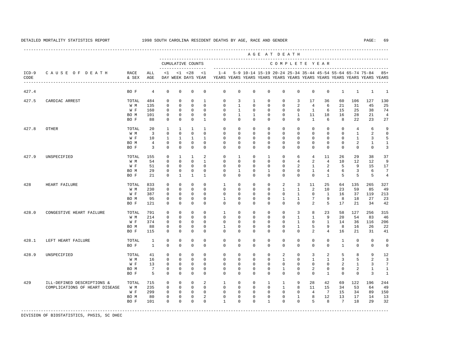|                 |                                |               |                 |              |              |                                    |              |              |              |              | AGE AT DEATH                                              |              |                |                |                |                 |                |                                                                         |                |
|-----------------|--------------------------------|---------------|-----------------|--------------|--------------|------------------------------------|--------------|--------------|--------------|--------------|-----------------------------------------------------------|--------------|----------------|----------------|----------------|-----------------|----------------|-------------------------------------------------------------------------|----------------|
|                 |                                |               |                 |              |              | CUMULATIVE COUNTS                  |              |              |              |              |                                                           |              | COMPLETE YEAR  |                |                |                 |                |                                                                         |                |
| $ICD-9$<br>CODE | CAUSE OF DEATH                 | RACE<br>& SEX | ALL<br>AGE      | <1           |              | $< 1$ $< 28$<br>DAY WEEK DAYS YEAR | <1           | $1 - 4$      |              |              | 5-9 10-14 15-19 20-24 25-34 35-44 45-54 55-64 65-74 75-84 |              |                |                |                |                 |                | YEARS YEARS YEARS YEARS YEARS YEARS YEARS YEARS YEARS YEARS YEARS YEARS | $85+$          |
| 427.4           |                                | BO F          | 4               | $\mathbf 0$  | $\mathbb O$  | $\mathbf 0$                        | $\mathbf 0$  | $\mathbf 0$  | $\mathbf 0$  | 0            | 0                                                         | 0            | $\mathbf 0$    | $^{\circ}$     | $\mathbf 0$    | $\mathbf{1}$    | $\mathbf{1}$   | $\mathbf{1}$                                                            | $\mathbf{1}$   |
| 427.5           | CARDIAC ARREST                 | TOTAL         | 484             | $\mathbf 0$  | $\mathbf{0}$ | $\mathbf{0}$                       | $\mathbf{1}$ | $\Omega$     | 3            | $\mathbf{1}$ | $\mathbf 0$                                               | $\mathbf 0$  | 3              | 17             | 36             | 60              | 106            | 127                                                                     | 130            |
|                 |                                | W M           | 135             | $\mathbf 0$  | $\mathbf{0}$ | $\mathbf{0}$                       | $\Omega$     | $\mathbf 0$  | $\mathbf{1}$ | $\mathbf 0$  | $\mathbf{0}$                                              | 0            | 2              | $\overline{4}$ | 6              | 21              | 31             | 45                                                                      | 25             |
|                 |                                | W F           | 160             | $\mathbf 0$  | $\mathbf 0$  | $\mathbf{0}$                       | $\Omega$     | $\mathbf 0$  | $\mathbf{1}$ | $\mathbf 0$  | $\mathbf 0$                                               | $\mathbf 0$  | $\mathbf 0$    | $\mathbf{1}$   | 6              | 15              | 25             | 38                                                                      | 74             |
|                 |                                | BO M          | 101             | $\mathbf{0}$ | $\mathbf 0$  | $\mathbf{0}$                       | $\mathbf 0$  | $\mathbf 0$  | $\mathbf{1}$ | $\mathbf{1}$ | $\mathbf{0}$                                              | $\mathbf 0$  | $\mathbf{1}$   | 11             | 18             | 16              | 28             | 21                                                                      | $\overline{4}$ |
|                 |                                | BO F          | 88              | $\Omega$     | $\Omega$     | $\mathbf{0}$                       | $\mathbf{1}$ | $\Omega$     | $\Omega$     | $\Omega$     | $\mathbf{0}$                                              | $\mathbf 0$  | $\Omega$       | $\mathbf{1}$   | 6              | 8               | 22             | 23                                                                      | 27             |
| 427.8           | <b>OTHER</b>                   | TOTAL         | 20              | $\mathbf{1}$ | $\mathbf{1}$ | $\mathbf{1}$                       | $\mathbf{1}$ | $\Omega$     | $\mathbf 0$  | $\Omega$     | $\Omega$                                                  | $\mathbf 0$  | $\mathbf 0$    | $\Omega$       | $\Omega$       | $\Omega$        | $\overline{4}$ | 6                                                                       | 9              |
|                 |                                | W M           | $\overline{3}$  | $\Omega$     | $\Omega$     | $\Omega$                           | $\Omega$     | $\Omega$     | $\Omega$     | $\Omega$     | $\Omega$                                                  | $\Omega$     | $\Omega$       | $\Omega$       | $\Omega$       | $\Omega$        | $\mathbf{1}$   | 2                                                                       | $\Omega$       |
|                 |                                | W F           | 10              | 1            | 1            | 1                                  | $\mathbf{1}$ | $^{\circ}$   | 0            | $\mathbf 0$  | $\Omega$                                                  | $\mathbf{0}$ | 0              | 0              | $\mathbf 0$    | $\mathbf{0}$    | $\mathbf{1}$   | 3                                                                       | 5              |
|                 |                                | BO M          | $\overline{4}$  | 0            | 0            | $\mathbb O$                        | $\mathbf 0$  | $\mathbf 0$  | $\mathbf 0$  | 0            | 0                                                         | 0            | $\mathbf 0$    | 0              | $\mathbf 0$    | 0               | 2              | 1                                                                       | $\mathbf{1}$   |
|                 |                                | BO F          | 3               | $\mathbf 0$  | $\mathbf{0}$ | $\mathbf{0}$                       | $\mathbf 0$  | $^{\circ}$   | 0            | $\mathbf{0}$ | $\mathbf{0}$                                              | $\mathbf{0}$ | $\mathbf 0$    | 0              | $\mathbf 0$    | 0               | $\mathbf 0$    | $\mathbf 0$                                                             | 3              |
| 427.9           | UNSPECIFIED                    | TOTAL         | 155             | 0            | $\mathbf{1}$ | 1                                  | 2            | $^{\circ}$   | $\mathbf{1}$ | $\mathbf{0}$ | $\mathbf{1}$                                              | $\circ$      | 6              | 4              | 11             | 26              | 29             | 38                                                                      | 37             |
|                 |                                | W M           | 54              | $\mathbf 0$  | $\mathbf{0}$ | $\mathbf{0}$                       | $\mathbf{1}$ | $^{\circ}$   | $\mathbf 0$  | $\mathbf{0}$ | $\mathbf{0}$                                              | $\mathbf 0$  | $\overline{4}$ | 2              | $\overline{4}$ | 10              | 12             | 12                                                                      | 9              |
|                 |                                | W F           | 51              | $\mathbf 0$  | $\mathbf 0$  | $\mathbf{0}$                       | $\mathbf 0$  | $^{\circ}$   | $^{\circ}$   | $\mathbf{0}$ | $\mathbf 0$                                               | $\mathbf 0$  | 2              | 1              | 2              | 5               | 9              | 15                                                                      | 17             |
|                 |                                | BO M          | 29              | 0            | $\mathbf{0}$ | $\mathbb O$                        | $\mathbf 0$  | $\mathbf 0$  | 1            | $\mathbf 0$  | 1                                                         | $\mathbf 0$  | $\mathbf 0$    | $\mathbf{1}$   | $\overline{4}$ | 6               | 3              | 6                                                                       | 7              |
|                 |                                | BO F          | 21              | $\mathbf 0$  | $\mathbf{1}$ | $\mathbf{1}$                       | $\mathbf{1}$ | $\Omega$     | $\Omega$     | $\Omega$     | $\Omega$                                                  | $\mathbf 0$  | $\mathbf 0$    | $\Omega$       | $\mathbf{1}$   | 5               | 5              | 5                                                                       | $\overline{4}$ |
| 428             | HEART FAILURE                  | TOTAL         | 833             | $\mathbf 0$  | $\mathbf{0}$ | $\mathbf 0$                        | $\mathbf 0$  | 1            | $\mathbf 0$  | $\mathbf 0$  | $\mathbf{0}$                                              | 2            | 3              | 11             | 25             | 64              | 135            | 265                                                                     | 327            |
|                 |                                | W M           | 230             | $\mathbf 0$  | $\Omega$     | $\Omega$                           | $\Omega$     | $\Omega$     | $\Omega$     | $\Omega$     | $\Omega$                                                  | $\mathbf{1}$ | $\mathbf{1}$   | $\overline{2}$ | 10             | 23              | 59             | 85                                                                      | 49             |
|                 |                                | W F           | 387             | $\mathbf 0$  | $\mathbf{0}$ | $\mathbf{0}$                       | $\Omega$     | $\mathbf 0$  | $\mathbf 0$  | $\mathbf 0$  | $\mathbf 0$                                               | 0            | $\mathbf{1}$   | $\mathbf 0$    | 1              | 16              | 37             | 119                                                                     | 213            |
|                 |                                | BO M          | 95              | $\Omega$     | $\mathbf{0}$ | $\mathbf{0}$                       | $\Omega$     | $\mathbf{1}$ | $\mathbf 0$  | $\mathbf 0$  | $\mathbf 0$                                               | 1            | $\mathbf{1}$   | 7              | 9              | 8               | 18             | 27                                                                      | 23             |
|                 |                                | BO F          | 121             | $\Omega$     | $\Omega$     | $\Omega$                           | $\Omega$     | $\Omega$     | $\Omega$     | $\Omega$     | $\Omega$                                                  | $\Omega$     | $\Omega$       | $\overline{2}$ | 5              | 17              | 21             | 34                                                                      | 42             |
| 428.0           | CONGESTIVE HEART FAILURE       | TOTAL         | 791             | $\mathbf 0$  | $\mathbf 0$  | $\mathbf{0}$                       | $\Omega$     | $\mathbf{1}$ | $\mathbf 0$  | $\mathbf 0$  | $\mathbf{0}$                                              | $\mathbf 0$  | $\overline{3}$ | 8              | 23             | 58              | 127            | 256                                                                     | 315            |
|                 |                                | W M           | 214             | $\mathbf 0$  | $\Omega$     | $\mathbf 0$                        | $\Omega$     | $\mathbf 0$  | $\mathbf 0$  | $\mathbf 0$  | $\mathbf 0$                                               | $\mathbf 0$  | $\mathbf{1}$   | $\mathbf{1}$   | 9              | 20              | 54             | 83                                                                      | 46             |
|                 |                                | W F           | 374             | $\mathbf 0$  | $\Omega$     | $\mathbf{0}$                       | $\Omega$     | $\mathbf 0$  | $\mathbf 0$  | $\mathbf{0}$ | $\mathbf 0$                                               | $\mathbf 0$  | $\mathbf{1}$   | $\mathbf 0$    | $\mathbf{1}$   | 14              | 36             | 116                                                                     | 206            |
|                 |                                | BO M          | 88              | 0            | $\mathbf 0$  | 0                                  | $\mathbf 0$  | 1            | $\mathbf 0$  | 0            | $\mathbf 0$                                               | 0            | $\mathbf{1}$   | 5              | 9              | 8               | 16             | 26                                                                      | 22             |
|                 |                                | BO F          | 115             | 0            | 0            | $\mathbf 0$                        | $\mathbf 0$  | 0            | $^{\circ}$   | $\mathbf{0}$ | 0                                                         | 0            | 0              | 2              | 4              | 16              | 21             | 31                                                                      | 41             |
| 428.1           |                                | TOTAL         | $\mathbf{1}$    | $\mathbf 0$  | $\mathbf{0}$ | $\mathbf{0}$                       | $\Omega$     | $\mathbf 0$  | $\mathbf 0$  | $\mathbf 0$  | $\mathbf 0$                                               | $\mathbf 0$  | $^{\circ}$     | $\mathbf 0$    | $\mathbf 0$    | $\mathbf{1}$    | $\mathbf 0$    | $\mathbf 0$                                                             | 0              |
|                 | LEFT HEART FAILURE             | BO F          | $\mathbf{1}$    | $\mathbf 0$  | $\mathbf{0}$ | $\mathbf 0$                        | $\Omega$     | $\mathbf 0$  | $\mathbf 0$  | $\mathbf 0$  | 0                                                         | $\mathbf 0$  | $\mathbf 0$    | $\mathbf 0$    | 0              | $\mathbf{1}$    | 0              | $\mathsf 0$                                                             | 0              |
| 428.9           | UNSPECIFIED                    | TOTAL         | 41              | $\mathbf 0$  | $\mathbf{0}$ | $\mathbf{0}$                       | $\Omega$     | $\mathbf 0$  | $\mathbf 0$  | $\mathbf 0$  | $\mathbf 0$                                               | 2            | $^{\circ}$     | 3              | 2              | 5               | 8              | 9                                                                       | 12             |
|                 |                                |               |                 |              | $\mathbf{0}$ | $\mathbf{0}$                       | $\Omega$     | $\mathbf 0$  | $\mathbf 0$  | $\mathbf 0$  | $\mathbf{0}$                                              |              | $\mathbf 0$    | $\mathbf{1}$   | $\mathbf{1}$   |                 |                | 2                                                                       |                |
|                 |                                | W M           | 16              | $\mathsf 0$  |              |                                    |              |              |              |              |                                                           | $\mathbf{1}$ |                |                |                | 3               | 5              |                                                                         | 3              |
|                 |                                | W F           | 13              | $\mathbf 0$  | $\mathbf 0$  | $\mathbf{0}$                       | $\Omega$     | $^{\circ}$   | $^{\circ}$   | $\mathbf{0}$ | $\mathbf 0$                                               | $\mathbf 0$  | $\mathbf 0$    | $\mathbf 0$    | $\mathbf 0$    | 2               | $\mathbf{1}$   | 3                                                                       | 7              |
|                 |                                | BO M          | $7\phantom{.0}$ | $\mathbf 0$  | $\mathbf 0$  | $\mathbf{0}$                       | $\mathbf 0$  | $\mathbf 0$  | $\mathbf 0$  | $\mathbf 0$  | $\mathbf 0$                                               | $\mathbf{1}$ | $\mathbf 0$    | 2              | $\mathbf 0$    | $\mathbf 0$     | 2              | 1                                                                       | 1              |
|                 |                                | BO F          | 5               | $\Omega$     | $\mathbf{0}$ | $\mathbf{0}$                       | $\Omega$     | $\Omega$     | $\mathbf 0$  | $\mathbf 0$  | $\mathbf 0$                                               | $\mathbf 0$  | $\mathbf 0$    | $\mathbf 0$    | $\mathbf{1}$   | $\mathbf 0$     | $\mathbf 0$    | 3                                                                       | $\mathbf{1}$   |
| 429             | ILL-DEFINED DESCRIPTIONS &     | TOTAL         | 715             | $\mathbf 0$  | $\mathbf 0$  | $\mathbf{0}$                       | 2            | $\mathbf{1}$ | $\mathbf 0$  | $\mathbf 0$  | $\mathbf{1}$                                              | $\mathbf{1}$ | 9              | 28             | 42             | 69              | 122            | 196                                                                     | 244            |
|                 | COMPLICATIONS OF HEART DISEASE | W M           | 235             | $\mathbf 0$  | $\mathbf{0}$ | $\mathbf{0}$                       | $\mathbf 0$  | $\mathbf 0$  | $\mathbf 0$  | $\mathbf 0$  | $\mathbf{0}$                                              | $\mathbf{1}$ | 8              | 11             | 15             | 34              | 53             | 64                                                                      | 49             |
|                 |                                | W F           | 299             | $\mathbf 0$  | $\mathbf 0$  | $\mathbf{0}$                       | $\Omega$     | $\mathbf 0$  | $\mathbf 0$  | $\mathbf 0$  | $\Omega$                                                  | $\mathbf 0$  | $\mathbf 0$    | $\overline{4}$ | 7              | 15              | 34             | 89                                                                      | 150            |
|                 |                                | BO M          | 80              | $\mathbf 0$  | $\mathbf 0$  | $\mathbf{0}$                       | 2            | $\mathbf 0$  | $\mathbf 0$  | $\mathbf 0$  | $\mathbf{0}$                                              | $\mathbf 0$  | $\mathbf{1}$   | 8              | 12             | 13              | 17             | 14                                                                      | 13             |
|                 |                                | BO F          | 101             | $\Omega$     | $\Omega$     | $\Omega$                           | $\Omega$     | $\mathbf{1}$ | $\Omega$     | $\Omega$     | $\mathbf{1}$                                              | $\Omega$     | $\Omega$       | 5              | 8              | $7\overline{ }$ | 18             | 29                                                                      | 32             |
|                 |                                |               |                 |              |              |                                    |              |              |              |              |                                                           |              |                |                |                |                 |                |                                                                         |                |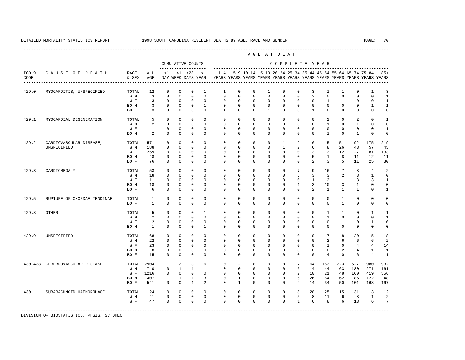----------------------------------------------------------------------------------------------------------------------------------------------------

 A G E A T D E A T H --------------------------------------------------------------------------------------------- CUMULATIVE COUNTS C O M P L E T E Y E A R ------------------- ----------------------------------------------------------------------- ICD-9 C A U S E O F D E A T H RACE ALL <1 <1 <28 <1 1-4 5-9 10-14 15-19 20-24 25-34 35-44 45-54 55-64 65-74 75-84 85+ CODE & SEX AGE DAY WEEK DAYS YEAR YEARS YEARS YEARS YEARS YEARS YEARS YEARS YEARS YEARS YEARS YEARS YEARS ---------------------------------------------------------------------------------------------------------------------------------------------------- 429.0 MYOCARDITIS, UNSPECIFIED TOTAL 12 0 0 0 1 1 0 0 1 0 0 3 1 1 0 1 3<br>W M 3 0 0 0 0 0 0 0 0 0 0 0 2 0 0 0 0 1 W M 3 0 0 0 0 0 0 0 0 0 0 2 0 0 0 0 1 W F 3 0 0 0 0 0 0 0 0 0 0 0 0 1 1 0 0 1 BOM 3 0 0 0 1 0 0 0 0 0 0 0 0 0 0 0 1 1 BOF 3 0 0 0 0 1 0 0 1 1 0 0 1 0 0 0 0 0 429.1 MYOCARDIAL DEGENERATION TOTAL 5 0 0 0 0 0 0 0 0 0 0 0 2 0 2 0 1 W M 2 0 0 0 0 0 0 0 0 0 0 0 0 1 0 1 0 0 W F 1 0 0 0 0 0 0 0 0 0 0 0 0 0 0 0 1 BOM 2 0 0 0 0 0 0 0 0 0 0 0 1 0 1 0 0 429.2 CARDIOVASCULAR DISEASE, TOTAL 571 0 0 0 0 0 0 0 0 1 2 16 15 51 92 175 219 UNSPECIFIED W M 188 0 0 0 0 0 0 0 0 1 2 6 8 26 43 57 45 W F 259 0 0 0 0 0 0 0 0 0 0 0 3 3 12 27 81 133 BO M 48 0 0 0 0 0 0 0 0 0 0 5 1 8 11 12 11 BO F 76 0 0 0 0 0 0 0 0 0 0 2 3 5 11 25 30 429.3 CARDIOMEGALY TOTAL 53 0 0 0 0 0 0 0 0 0 7 9 16 7 8 4 2 W M 18 0 0 0 0 0 0 0 0 0 6 3 3 2 3 1 0 W F 11 0 0 0 0 0 0 0 0 0 0 0 1 2 1 3 3 1 BO M 18 0 0 0 0 0 0 0 0 0 1 3 10 3 1 0 0 BO F 6 0 0 0 0 0 0 0 0 0 0 2 1 1 1 0 1 429.5 RUPTURE OF CHORDAE TENDINAE TOTAL 1 0 0 0 0 0 0 0 0 0 0 0 0 1 0 0 0 BO F 1 0 0 0 0 0 0 0 0 0 0 0 0 1 0 0 0 429.8 OTHER TOTAL 5 0 0 0 1 0 0 0 0 0 0 0 1 1 0 1 1 W M 2 0 0 0 0 0 0 0 0 0 0 0 0 0 0 0 1 W F 2 0 0 0 0 0 0 0 0 0 0 0 0 0 1 0 1 0 BO M 1 0 0 0 1 0 0 0 0 0 0 0 0 0 0 0 0 429.9 UNSPECIFIED TOTAL 68 0 0 0 0 0 0 0 0 0 0 0 7 8 20 15 18 W M 22 0 0 0 0 0 0 0 0 0 0 0 2 6 6 6 2 W F 23 0 0 0 0 0 0 0 0 0 0 0 1 0 4 4 14 BOM 8 0 0 0 0 0 0 0 0 0 0 0 0 0 0 2 4 1 1<br>BOF 15 0 0 0 0 0 0 0 0 0 0 0 0 0 4 0 6 4 1 BO F 15 0 0 0 0 0 0 0 0 0 0 0 4 0 6 4 1 430-438 CEREBROVASCULAR DISEASE TOTAL 2904 1 2 3 6 0 2 0 0 0 17 64 153 223 527 980 932 W M 740 0 1 1 1 0 0 0 0 0 6 14 44 63 180 271 161 W F 1216 0 0 0 0 0 0 0 0 0 2 10 21 48 160 419 556 BO M 407 1 1 1 3 0 1 0 0 0 5 26 54 62 86 122 48 BO F 541 0 0 1 2 0 1 0 0 0 4 14 34 50 101 168 167 430 SUBARACHNOID HAEMORRHAGE TOTAL 124 0 0 0 0 0 0 0 0 0 8 20 25 15 31 13 12 W M 41 0 0 0 0 0 0 0 0 0 5 8 11 6 8 1 2 W F 47 0 0 0 0 0 0 0 0 0 0 1 6 8 6 13 6 7 -----------------------------------------------------------------------------------------------------------------------------------------------------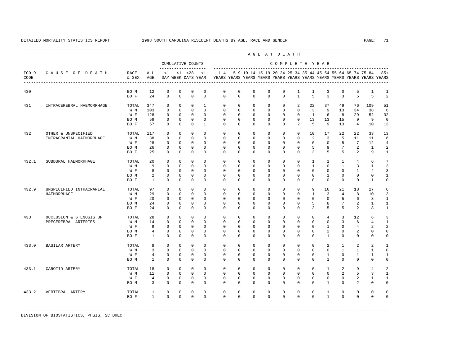|                 |                                                    |                                     |                                                   |                                                                |                                                                 |                                                                  |                                                                       |                                                                |                                                                |                                                                | AGE AT DEATH                                                   |                                                                |                                                                |                                                                     |                                                                     |                                                                       |                                                      |                                                                                                                                          |                                                          |
|-----------------|----------------------------------------------------|-------------------------------------|---------------------------------------------------|----------------------------------------------------------------|-----------------------------------------------------------------|------------------------------------------------------------------|-----------------------------------------------------------------------|----------------------------------------------------------------|----------------------------------------------------------------|----------------------------------------------------------------|----------------------------------------------------------------|----------------------------------------------------------------|----------------------------------------------------------------|---------------------------------------------------------------------|---------------------------------------------------------------------|-----------------------------------------------------------------------|------------------------------------------------------|------------------------------------------------------------------------------------------------------------------------------------------|----------------------------------------------------------|
|                 |                                                    |                                     |                                                   |                                                                |                                                                 | CUMULATIVE COUNTS<br>--------------------                        |                                                                       |                                                                |                                                                |                                                                |                                                                | COMPLETE YEAR                                                  |                                                                |                                                                     |                                                                     |                                                                       |                                                      |                                                                                                                                          |                                                          |
| $ICD-9$<br>CODE | CAUSE OF DEATH<br>-------------------------------- | RACE<br>& SEX                       | ALL<br>AGE                                        | <1                                                             |                                                                 | $< 1$ $< 2.8$<br>DAY WEEK DAYS YEAR                              | <1                                                                    | $1 - 4$                                                        |                                                                |                                                                |                                                                |                                                                |                                                                |                                                                     |                                                                     |                                                                       |                                                      | 5-9 10-14 15-19 20-24 25-34 35-44 45-54 55-64 65-74 75-84 85+<br>YEARS YEARS YEARS YEARS YEARS YEARS YEARS YEARS YEARS YEARS YEARS YEARS |                                                          |
| 430             |                                                    | BO M<br>BO F                        | 12<br>2.4                                         | $\mathbf 0$<br>$\Omega$                                        | 0<br>$\Omega$                                                   | $\mathbf 0$<br>$\Omega$                                          | 0<br>$\Omega$                                                         | $\mathbf 0$<br>$\Omega$                                        | $\mathbf 0$<br>$\Omega$                                        | $\mathsf 0$<br>$\Omega$                                        | $\mathbf 0$<br>$\Omega$                                        | $\mathbf 0$<br>$\Omega$                                        | 1<br>$\mathbf{1}$                                              | 1<br>5                                                              | 3<br>3                                                              | $\mathsf 0$<br>3                                                      | 5<br>5                                               | $\mathbf{1}$<br>5                                                                                                                        | 1<br>$\overline{a}$                                      |
| 431             | INTRACEREBRAL HAEMORRHAGE                          | TOTAL<br>W M<br>W F<br>BO M<br>BO F | 347<br>103<br>128<br>59<br>57                     | $\Omega$<br>$\Omega$<br>$\mathbf 0$<br>$\Omega$<br>$\Omega$    | $\Omega$<br>$\Omega$<br>$\mathbf 0$<br>$\Omega$<br>$\Omega$     | $\Omega$<br>$\Omega$<br>$\mathbf{0}$<br>$\Omega$<br>$\Omega$     | $\mathbf{1}$<br>$\Omega$<br>$\mathbf 0$<br>$\Omega$<br>$\overline{1}$ | $\Omega$<br>$\Omega$<br>$\mathbf 0$<br>$\Omega$<br>$\Omega$    | $\Omega$<br>$\Omega$<br>$\mathbf 0$<br>$\Omega$<br>$\Omega$    | $\Omega$<br>$\Omega$<br>$\mathbf 0$<br>$\Omega$<br>$\Omega$    | $\Omega$<br>$\Omega$<br>$\mathbf 0$<br>$\Omega$<br>$\Omega$    | $\Omega$<br>$\Omega$<br>$\mathbf 0$<br>$\Omega$<br>$\Omega$    | 2<br>$\Omega$<br>$\mathbf 0$<br>$\Omega$<br>2                  | 22<br>$\overline{3}$<br>$\mathbf{1}$<br>13<br>-5                    | 37<br>9<br>6<br>13<br>9                                             | 49<br>13<br>8<br>15<br>13                                             | 76<br>34<br>29<br>9<br>$\overline{4}$                | 109<br>38<br>52<br>9<br>10                                                                                                               | 51<br>6<br>32<br>$\Omega$<br>13                          |
| 432             | OTHER & UNSPECIFIED<br>INTRACRANIAL HAEMORRHAGE    | TOTAL<br>W M<br>W F<br>BO M<br>BO F | 117<br>38<br>28<br>26<br>25                       | $\Omega$<br>$\Omega$<br>$\Omega$<br>$\mathbf 0$<br>$\Omega$    | $\Omega$<br>$\mathbf 0$<br>$\Omega$<br>$\Omega$<br>$\mathbf 0$  | $\Omega$<br>$\Omega$<br>$\Omega$<br>$\mathbf{0}$<br>$\mathbf{0}$ | $\Omega$<br>$\Omega$<br>$\Omega$<br>$\Omega$<br>$\Omega$              | $\Omega$<br>$\Omega$<br>$\Omega$<br>$\Omega$<br>$\Omega$       | $\Omega$<br>$\Omega$<br>$\Omega$<br>$\Omega$<br>$\Omega$       | $\Omega$<br>$\Omega$<br>$\Omega$<br>$\Omega$<br>$\Omega$       | $\Omega$<br>$\Omega$<br>$\Omega$<br>$\Omega$<br>$\Omega$       | $\Omega$<br>$\Omega$<br>$\Omega$<br>$\Omega$<br>$\Omega$       | $\Omega$<br>$\Omega$<br>$\Omega$<br>$\Omega$<br>$\Omega$       | 10<br>2<br>$\Omega$<br>5<br>3                                       | 17<br>$\overline{3}$<br>$\Omega$<br>9<br>5                          | 22<br>5<br>5<br>$7\overline{ }$<br>5                                  | 22<br>11<br>7<br>2<br>2                              | 33<br>11<br>12<br>$\mathbf{1}$<br>9                                                                                                      | 13<br>6<br>$\overline{4}$<br>2<br>1                      |
| 432.1           | SUBDURAL HAEMORRHAGE                               | TOTAL<br>W M<br>W F<br>BO M<br>BO F | 20<br>9<br>8<br>2<br>$\overline{1}$               | $\mathbf 0$<br>$\Omega$<br>$\Omega$<br>$\mathbf 0$<br>$\Omega$ | 0<br>$\Omega$<br>$\Omega$<br>$\mathsf 0$<br>$\Omega$            | $\mathbb O$<br>$\Omega$<br>$\Omega$<br>$\mathbb O$<br>$\Omega$   | $\mathbf 0$<br>$\Omega$<br>$\Omega$<br>$\mathbf 0$<br>$\Omega$        | $\mathbf 0$<br>$\Omega$<br>$\Omega$<br>$\mathbf 0$<br>$\Omega$ | $\mathbf 0$<br>$\Omega$<br>$\Omega$<br>$\mathbf 0$<br>$\Omega$ | $\mathbf 0$<br>$\Omega$<br>$\Omega$<br>$\mathbf 0$<br>$\Omega$ | $\mathbf 0$<br>$\Omega$<br>$\Omega$<br>$\mathbf 0$<br>$\Omega$ | $\mathbf 0$<br>$\Omega$<br>$\Omega$<br>$\mathbf 0$<br>$\Omega$ | $\mathbf 0$<br>$\Omega$<br>$\Omega$<br>$\mathbf 0$<br>$\Omega$ | $\mathbf{1}$<br>$\mathbf{1}$<br>$\Omega$<br>$\mathbf 0$<br>$\Omega$ | $\mathbf{1}$<br>$\Omega$<br>$\Omega$<br>$\mathbf{1}$<br>$\Omega$    | $\mathbf{1}$<br>$\overline{1}$<br>$\Omega$<br>$\mathbf 0$<br>$\Omega$ | $\overline{4}$<br>3<br>$\mathbf{1}$<br>0<br>$\Omega$ | 6<br>$\mathbf{1}$<br>$\overline{4}$<br>$\mathbf 0$<br>$\mathbf{1}$                                                                       | $7\phantom{.0}$<br>3<br>3<br>$\mathbf{1}$<br>$\mathbf 0$ |
| 432.9           | UNSPECIFIED INTRACRANIAL<br>HAEMORRHAGE            | TOTAL<br>W M<br>W F<br>BO M<br>BO F | 97<br>29<br>20<br>24<br>2.4                       | $\Omega$<br>$\Omega$<br>$\mathbf 0$<br>$\mathbf 0$<br>$\Omega$ | $\Omega$<br>$\Omega$<br>$\mathbf 0$<br>$\mathbf 0$<br>$\Omega$  | $\Omega$<br>$\Omega$<br>$\mathbf{0}$<br>$\mathbf{0}$<br>$\Omega$ | $\Omega$<br>$\Omega$<br>$\Omega$<br>$\Omega$<br>$\Omega$              | $\Omega$<br>$\Omega$<br>$\Omega$<br>$\Omega$<br>$\Omega$       | $\Omega$<br>$\Omega$<br>$\Omega$<br>$\Omega$<br>$\Omega$       | $\Omega$<br>$\Omega$<br>$\Omega$<br>$\Omega$<br>$\Omega$       | $\Omega$<br>$\Omega$<br>$\Omega$<br>$\Omega$<br>$\Omega$       | $\Omega$<br>$\Omega$<br>$\Omega$<br>$\Omega$<br>$\Omega$       | $\Omega$<br>$\Omega$<br>$\Omega$<br>$\Omega$<br>$\Omega$       | 9<br>$\mathbf{1}$<br>$\Omega$<br>5<br>3                             | 16<br>3<br>$\Omega$<br>8<br>5                                       | 21<br>$\overline{4}$<br>5<br>7<br>5                                   | 18<br>8<br>6<br>2<br>2                               | 2.7<br>10<br>8<br>$\mathbf{1}$<br>8                                                                                                      | 6<br>3<br>1<br>$\mathbf{1}$<br>$\mathbf{1}$              |
| 433             | OCCLUSION & STENOSIS OF<br>PRECEREBRAL ARTERIES    | TOTAL<br>W M<br>W F<br>BO M<br>BO F | 28<br>14<br>9<br>$\overline{4}$<br>$\overline{1}$ | $\mathbf 0$<br>$\mathbf 0$<br>$\Omega$<br>$\Omega$<br>$\Omega$ | $\mathbf 0$<br>$\mathbf{0}$<br>$\Omega$<br>$\Omega$<br>$\Omega$ | $\mathbf{0}$<br>$\Omega$<br>$\Omega$<br>$\mathbf{0}$<br>$\Omega$ | $\Omega$<br>$\Omega$<br>$\Omega$<br>$\Omega$<br>$\Omega$              | $\Omega$<br>$\Omega$<br>$\Omega$<br>$\Omega$<br>$\Omega$       | $\Omega$<br>$\Omega$<br>$\Omega$<br>$\Omega$<br>$\Omega$       | $\Omega$<br>$\mathbf{0}$<br>$\Omega$<br>$\Omega$<br>$\Omega$   | $\Omega$<br>0<br>$\Omega$<br>$\Omega$<br>$\Omega$              | $\Omega$<br>$\Omega$<br>$\Omega$<br>$\Omega$<br>$\Omega$       | $\Omega$<br>$\Omega$<br>$\Omega$<br>$\Omega$<br>$\Omega$       | $\Omega$<br>$\Omega$<br>$\Omega$<br>$\Omega$<br>$\Omega$            | $\overline{4}$<br>$\mathbf{0}$<br>$\mathbf{1}$<br>2<br>$\mathbf{1}$ | 3<br>3<br>$\Omega$<br>$\Omega$<br>$\Omega$                            | 12<br>6<br>$\overline{4}$<br>2<br>$\mathbf 0$        | 6<br>$\overline{4}$<br>$\overline{a}$<br>$\Omega$<br>$\mathbf 0$                                                                         | 3<br>1<br>$\overline{a}$<br>$\Omega$<br>$\mathbf 0$      |
| 433.0           | BASILAR ARTERY                                     | TOTAL<br>W M<br>W F<br>BO M         | 8<br>3<br>$\overline{4}$<br>$\overline{1}$        | $\mathbf 0$<br>$\mathbf{0}$<br>$\mathbf 0$<br>$\Omega$         | $\mathbf 0$<br>$\mathbf 0$<br>$\Omega$<br>$\Omega$              | $\mathbf{0}$<br>$\Omega$<br>$\mathbf{0}$<br>$\Omega$             | $\Omega$<br>$\Omega$<br>$\Omega$<br>$\Omega$                          | $\Omega$<br>$\Omega$<br>$\Omega$<br>$\Omega$                   | $\Omega$<br>$\Omega$<br>$\Omega$<br>$\Omega$                   | $\Omega$<br>$\mathbf 0$<br>$\Omega$<br>$\Omega$                | $\Omega$<br>$\mathbf 0$<br>$\Omega$<br>$\Omega$                | $\Omega$<br>$\mathbf 0$<br>$\Omega$<br>$\Omega$                | $\Omega$<br>$\Omega$<br>$\Omega$<br>$\Omega$                   | $\Omega$<br>$\Omega$<br>$\Omega$<br>$\Omega$                        | 2<br>$\mathbf{0}$<br>$\overline{1}$<br>$\overline{1}$               | $\mathbf{1}$<br>$\mathbf{1}$<br>$\Omega$<br>$\Omega$                  | 2<br>$\mathbf{1}$<br>$\mathbf{1}$<br>$\Omega$        | 2<br>$\mathbf{1}$<br>$\mathbf{1}$<br>$\Omega$                                                                                            | $\mathbf{1}$<br>$\mathbf 0$<br>1<br>$\Omega$             |
| 433.1           | CAROTID ARTERY                                     | TOTAL<br>W M<br>W F<br>BO M         | 18<br>11<br>$\overline{4}$<br>3                   | $\Omega$<br>$\Omega$<br>$\mathbf{0}$<br>$\Omega$               | $\mathbf 0$<br>$\Omega$<br>$\mathbf{0}$<br>$\Omega$             | $\mathbf{0}$<br>$\Omega$<br>$\mathbf{0}$<br>$\mathbf{0}$         | $\Omega$<br>$\Omega$<br>$\mathbf 0$<br>$\Omega$                       | $\Omega$<br>$\Omega$<br>$\mathbf 0$<br>$\Omega$                | $\Omega$<br>$\Omega$<br>$\mathbf 0$<br>$\Omega$                | $\Omega$<br>$\Omega$<br>$\mathbf 0$<br>$\Omega$                | $\mathbf 0$<br>$\Omega$<br>$\mathbf 0$<br>$\Omega$             | $\Omega$<br>$\Omega$<br>$\mathbf 0$<br>$\Omega$                | $\Omega$<br>$\Omega$<br>$\mathbf 0$<br>$\Omega$                | $\Omega$<br>$\Omega$<br>$\mathbf 0$<br>$\Omega$                     | $\mathbf{1}$<br>$\Omega$<br>$\mathbf 0$<br>1                        | $\overline{a}$<br>$\overline{a}$<br>$\mathbf 0$<br>$\Omega$           | 9<br>5<br>2<br>$\overline{a}$                        | $\overline{4}$<br>3<br>$\mathbf{1}$<br>$\Omega$                                                                                          | $\overline{a}$<br>$\mathbf{1}$<br>1<br>$\Omega$          |
| 433.2           | VERTEBRAL ARTERY                                   | TOTAL<br>BO F                       | $\mathbf{1}$<br>$\overline{1}$                    | $\mathbf{0}$<br>$\Omega$                                       | $\mathbf 0$<br>$\Omega$                                         | $\mathbf 0$<br>$\mathbf{0}$                                      | $\mathbf 0$<br>$\Omega$                                               | $\mathbf 0$<br>$\Omega$                                        | $\mathbf 0$<br>$\Omega$                                        | $\mathbf 0$<br>$\Omega$                                        | 0<br>$\Omega$                                                  | $\mathbf 0$<br>$\Omega$                                        | $\mathbf 0$<br>$\Omega$                                        | $\mathbf 0$<br>$\Omega$                                             | $\mathbf{1}$<br>$\overline{1}$                                      | $\mathbf 0$<br>$\Omega$                                               | $\mathbf 0$<br>$\mathbf 0$                           | $\mathbf 0$<br>$\Omega$                                                                                                                  | $\Omega$<br>$\Omega$                                     |

-----------------------------------------------------------------------------------------------------------------------------------------------------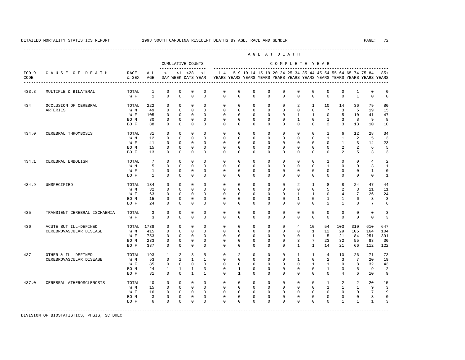|                 |                                                  |                                     |                                        |                                                                         |                                                                        |                                                                                         |                                                                           |                                                                      |                                                                       |                                                                             |                                                                   |                                                                     | AGE AT DEATH                                                           |                                                                        |                                                                               |                                                                 |                                                   |                                                                         |                                                               |
|-----------------|--------------------------------------------------|-------------------------------------|----------------------------------------|-------------------------------------------------------------------------|------------------------------------------------------------------------|-----------------------------------------------------------------------------------------|---------------------------------------------------------------------------|----------------------------------------------------------------------|-----------------------------------------------------------------------|-----------------------------------------------------------------------------|-------------------------------------------------------------------|---------------------------------------------------------------------|------------------------------------------------------------------------|------------------------------------------------------------------------|-------------------------------------------------------------------------------|-----------------------------------------------------------------|---------------------------------------------------|-------------------------------------------------------------------------|---------------------------------------------------------------|
|                 |                                                  |                                     |                                        |                                                                         |                                                                        | CUMULATIVE COUNTS<br>--------                                                           |                                                                           |                                                                      |                                                                       |                                                                             |                                                                   |                                                                     |                                                                        |                                                                        | COMPLETE YEAR                                                                 |                                                                 |                                                   |                                                                         |                                                               |
| $ICD-9$<br>CODE | CAUSE OF DEATH                                   | RACE<br>& SEX                       | ALL<br>AGE                             | $<$ 1                                                                   |                                                                        | $< 1$ $< 28$<br>DAY WEEK DAYS YEAR                                                      | <1                                                                        | $1 - 4$                                                              |                                                                       | 5-9 10-14 15-19 20-24 25-34 35-44 45-54 55-64 65-74 75-84                   |                                                                   |                                                                     |                                                                        |                                                                        |                                                                               |                                                                 |                                                   | YEARS YEARS YEARS YEARS YEARS YEARS YEARS YEARS YEARS YEARS YEARS YEARS | $85+$                                                         |
| 433.3           | MULTIPLE & BILATERAL                             | TOTAL<br>W F                        | $\mathbf{1}$<br>$\mathbf{1}$           | $\mathbf 0$<br>$\mathbf 0$                                              | $\mathbb O$<br>$\mathbf 0$                                             | $\mathbf 0$<br>$\mathbf 0$                                                              | $\mathbb O$<br>$\mathbf 0$                                                | $\mathbf 0$<br>$\Omega$                                              | $\mathbf 0$<br>$\Omega$                                               | $\mathbf 0$<br>$\mathbf{0}$                                                 | $\mathbf 0$<br>$\Omega$                                           | $\mathbf 0$<br>$\mathbf 0$                                          | $\mathbf 0$<br>$\Omega$                                                | $\mathbf 0$<br>$\Omega$                                                | $\mathbf{0}$<br>$\Omega$                                                      | $\mathbf 0$<br>$\mathbf 0$                                      | $\mathbf{1}$<br>$\mathbf{1}$                      | $\mathbf 0$<br>$\Omega$                                                 | $\mathbf 0$<br>$\mathbf 0$                                    |
| 434             | OCCLUSION OF CEREBRAL<br>ARTERIES                | TOTAL<br>W M<br>W F<br>BO M<br>BO F | 222<br>49<br>105<br>30<br>38           | $\mathbf 0$<br>$\mathbf 0$<br>$\mathbf{0}$<br>$\mathbf 0$<br>$\Omega$   | $\mathbf{0}$<br>$\mathbf 0$<br>$\mathbf 0$<br>$\mathbf{0}$<br>$\Omega$ | $\mathbf 0$<br>$\mathbf 0$<br>$\mathbf{0}$<br>$\mathbf 0$<br>$\Omega$                   | $\Omega$<br>$\Omega$<br>$\Omega$<br>$\mathbf{0}$<br>$\Omega$              | $\mathbf 0$<br>$\Omega$<br>$\mathbf 0$<br>$\mathbf 0$<br>$\Omega$    | $\mathbf 0$<br>$\Omega$<br>$\Omega$<br>$\mathbf 0$<br>$\Omega$        | $\mathbf 0$<br>$\mathbf 0$<br>$\mathbf 0$<br>$\mathbf{0}$<br>$\Omega$       | $\mathbf 0$<br>$\Omega$<br>$\mathbf 0$<br>$\mathbf 0$<br>$\Omega$ | $\mathbf 0$<br>$\mathbf 0$<br>$^{\circ}$<br>$\mathbf 0$<br>$\Omega$ | 2<br>$\Omega$<br>$\mathbf{1}$<br>$\mathbf{1}$<br>$\Omega$              | $\mathbf{1}$<br>$\mathbf 0$<br>1<br>$\mathbf 0$<br>$\Omega$            | 10<br>$7\phantom{.0}$<br>$\mathbf 0$<br>$\mathbf{1}$<br>2                     | 14<br>$\overline{3}$<br>5<br>3<br>3                             | 36<br>5<br>10<br>8<br>13                          | 79<br>19<br>41<br>9<br>10                                               | 80<br>15<br>47<br>8<br>10                                     |
| 434.0           | CEREBRAL THROMBOSIS                              | TOTAL<br>W M<br>W F<br>BO M<br>BO F | 81<br>12<br>41<br>15<br>13             | $\mathbf 0$<br>$\mathbf 0$<br>0<br>0<br>$\mathbf{0}$                    | $\mathbf 0$<br>$\mathbf{0}$<br>0<br>$\mathbf 0$<br>$\mathbf 0$         | $\Omega$<br>$\mathbf{0}$<br>$\mathbb O$<br>0<br>$\mathbf 0$                             | $\Omega$<br>$\Omega$<br>$\mathbf 0$<br>$\mathbb O$<br>$\mathbf{0}$        | $\Omega$<br>$\Omega$<br>0<br>$\mathbf 0$<br>$\mathbf 0$              | $\Omega$<br>$\Omega$<br>0<br>$\mathbf 0$<br>$^{\circ}$                | $\Omega$<br>$\mathbf{0}$<br>$\overline{0}$<br>$\overline{0}$<br>$\mathbf 0$ | $\Omega$<br>$\Omega$<br>$\overline{0}$<br>$\mathbf{0}$<br>$\circ$ | $\Omega$<br>$\mathbf 0$<br>0<br>0<br>0                              | $\Omega$<br>0<br>$^{\circ}$<br>$^{\circ}$<br>$^{\circ}$                | $\Omega$<br>$\mathbf 0$<br>$^{\circ}$<br>$^{\circ}$<br>$^{\circ}$      | $\overline{1}$<br>$\mathbf{1}$<br>$\mathbf{0}$<br>$\mathbf{0}$<br>$\mathbf 0$ | 6<br>$\mathbf{1}$<br>1<br>2<br>2                                | 12<br>2<br>3<br>2<br>5                            | 2.8<br>5<br>14<br>6<br>3                                                | 34<br>3<br>23<br>5<br>3                                       |
| 434.1           | CEREBRAL EMBOLISM                                | TOTAL<br>W M<br>W F<br>BO F         | 7<br>5<br>$\mathbf{1}$<br>$\mathbf{1}$ | $\mathbf 0$<br>$\mathbf{0}$<br>$\mathbf 0$<br>$\mathbf 0$               | $\mathbf 0$<br>$\mathbf{0}$<br>$\mathbf 0$<br>$\mathbf{0}$             | $\mathbf 0$<br>$\mathbf{0}$<br>$\mathbf 0$<br>$\mathbf 0$                               | $\mathbf{0}$<br>$\mathbf{0}$<br>$\mathbf 0$<br>$\Omega$                   | $\mathbf 0$<br>$\mathbf 0$<br>$\mathbf 0$<br>$\Omega$                | $\mathbf 0$<br>$\mathbf 0$<br>$\mathbf 0$<br>$\Omega$                 | $\mathbf{0}$<br>$\mathbf{0}$<br>$\mathbf 0$<br>$\Omega$                     | $\mathbf 0$<br>$\mathbf 0$<br>$\mathbf 0$<br>$\Omega$             | $\mathbf 0$<br>$\mathbf 0$<br>0<br>$\Omega$                         | $\mathbf 0$<br>$^{\circ}$<br>0<br>$\Omega$                             | $\mathbf 0$<br>$\mathbf 0$<br>0<br>$\Omega$                            | 1<br>$\mathbf{1}$<br>$\mathbf 0$<br>$\Omega$                                  | $\mathbf{0}$<br>$\mathbf 0$<br>$\mathbf 0$<br>$\Omega$          | $\mathbf 0$<br>0<br>0<br>$\Omega$                 | 4<br>3<br>1<br>$\Omega$                                                 | $\mathfrak{D}$<br>$\mathbf{1}$<br>$\mathbf 0$<br>$\mathbf{1}$ |
| 434.9           | UNSPECIFIED                                      | TOTAL<br>W M<br>W F<br>BO M<br>BO F | 134<br>32<br>63<br>15<br>2.4           | $\mathbf 0$<br>$\mathbf 0$<br>$\mathbf 0$<br>$\mathbf 0$<br>$\Omega$    | $\mathbf 0$<br>$\Omega$<br>$\mathbf{0}$<br>$\mathbf 0$<br>$\Omega$     | $\mathbf 0$<br>$\mathbf{0}$<br>$\mathbf{0}$<br>$\mathbf 0$<br>$\Omega$                  | $\Omega$<br>$\Omega$<br>$\mathbf 0$<br>$\mathbf 0$<br>$\Omega$            | $\mathbf 0$<br>$\Omega$<br>$\mathbf 0$<br>$\mathbf 0$<br>$\Omega$    | $\mathbf 0$<br>$\Omega$<br>$\mathbf 0$<br>$\mathbf 0$<br>$\Omega$     | $\mathbf{0}$<br>$\Omega$<br>$\mathbf{0}$<br>$\Omega$<br>$\Omega$            | $\mathbf 0$<br>$\Omega$<br>$\mathbf{0}$<br>$\circ$<br>$\Omega$    | $\mathbf 0$<br>$\Omega$<br>$\mathbf 0$<br>$\circ$<br>$\Omega$       | $\overline{2}$<br>$\Omega$<br>$\mathbf{1}$<br>$\mathbf{1}$<br>$\Omega$ | 1<br>$\Omega$<br>$\mathbf{1}$<br>$\mathbf 0$<br>$\Omega$               | 8<br>5<br>$\mathbf 0$<br>$\mathbf{1}$<br>$\overline{a}$                       | 8<br>2<br>$\overline{4}$<br>1<br>$\mathbf{1}$                   | 24<br>3<br>7<br>6<br>8                            | 47<br>11<br>26<br>$\overline{3}$<br>7                                   | 44<br>11<br>24<br>3<br>6                                      |
| 435             | TRANSIENT CEREBRAL ISCHAEMIA                     | TOTAL<br>W F                        | $\overline{3}$<br>$\overline{3}$       | $\mathbf 0$<br>$\Omega$                                                 | $\mathbf 0$<br>$\mathbf 0$                                             | $\mathbf 0$<br>$\mathbf 0$                                                              | $\Omega$<br>$\Omega$                                                      | $\Omega$<br>$\Omega$                                                 | $\mathbf 0$<br>$\Omega$                                               | $\mathbf 0$<br>$\Omega$                                                     | $\mathbf{0}$<br>$\Omega$                                          | $\mathbf 0$<br>$\Omega$                                             | $\mathbf 0$<br>$\Omega$                                                | $\mathbf 0$<br>$\Omega$                                                | $\mathbf 0$<br>$\Omega$                                                       | $\mathbf 0$<br>$\Omega$                                         | $\circ$<br>$\Omega$                               | $\mathbf 0$<br>$\Omega$                                                 | 3<br>$\overline{3}$                                           |
| 436             | ACUTE BUT ILL-DEFINED<br>CEREBROVASCULAR DISEASE | TOTAL<br>W M<br>W F<br>BO M<br>BO F | 1738<br>415<br>753<br>233<br>337       | 0<br>0<br>0<br>$\mathbf{0}$<br>$\mathbf 0$                              | $\mathbb O$<br>$\mathbb O$<br>0<br>$\mathbf 0$<br>$\mathbf 0$          | $\mathbb O$<br>$\mathbb O$<br>0<br>$\mathbb O$<br>$\mathbf 0$                           | $\mathbf 0$<br>$\mathbf{0}$<br>$\mathbf 0$<br>$\mathbf{0}$<br>$\mathbf 0$ | $\mathbf 0$<br>$\mathbf 0$<br>$^{\circ}$<br>$\mathbf 0$<br>$\Omega$  | $\mathbf 0$<br>$^{\circ}$<br>$^{\circ}$<br>$\mathbf 0$<br>$\mathbf 0$ | $\mathbf 0$<br>$\mathbf 0$<br>$\Omega$<br>$\mathbf{0}$<br>$\mathbf{0}$      | $\mathbf 0$<br>0<br>$\Omega$<br>$\mathbf{0}$<br>$\mathbf{0}$      | $\mathbf 0$<br>$\mathbf 0$<br>0<br>$\circ$<br>$\circ$               | $\overline{4}$<br>0<br>0<br>3<br>$\mathbf{1}$                          | 10<br>1<br>1<br>$7\phantom{.0}$<br>$\mathbf{1}$                        | 54<br>12<br>5<br>23<br>14                                                     | 103<br>29<br>21<br>32<br>21                                     | 310<br>105<br>84<br>55<br>66                      | 610<br>164<br>251<br>83<br>112                                          | 647<br>104<br>391<br>30<br>122                                |
| 437             | OTHER & ILL-DEFINED<br>CEREBROVASCULAR DISEASE   | TOTAL<br>W M<br>W F<br>BO M<br>BO F | 193<br>53<br>85<br>24<br>31            | 1<br>$\mathbf 0$<br>$\mathbf 0$<br>1<br>$\mathbf 0$                     | 2<br>$\mathbf{1}$<br>$\mathbf 0$<br>$\mathbf{1}$<br>$\mathbf 0$        | $\overline{\mathbf{3}}$<br>$\mathbf{1}$<br>$\mathbf{0}$<br>$\mathbf{1}$<br>$\mathbf{1}$ | 5<br>$\mathbf{1}$<br>$\mathbf{0}$<br>3<br>$\mathbf{1}$                    | $\mathbf 0$<br>$\mathbf 0$<br>$\mathbf 0$<br>$\mathbf 0$<br>$\Omega$ | 2<br>$\mathbf 0$<br>$\mathbf 0$<br>$\mathbf{1}$<br>$\mathbf{1}$       | $\mathbf 0$<br>$\mathbf{0}$<br>$\mathbf{0}$<br>$\mathbf{0}$<br>$\Omega$     | $\mathbf 0$<br>0<br>$\mathbf{0}$<br>$\mathbf{0}$<br>$\mathbf 0$   | $\mathbf 0$<br>$\mathbf 0$<br>$\circ$<br>0<br>$\Omega$              | 1<br>$\mathbf{1}$<br>$\mathbf 0$<br>$\mathbf 0$<br>$\mathbf 0$         | $\mathbf{1}$<br>$\mathbf 0$<br>$\mathbf{1}$<br>$\mathbf 0$<br>$\Omega$ | $\overline{4}$<br>2<br>$\mathbf{1}$<br>$\mathbf{1}$<br>$\mathbf{0}$           | 10<br>3<br>$\mathbf 0$<br>3<br>4                                | 26<br>7<br>8<br>5<br>6                            | 71<br>20<br>32<br>9<br>10                                               | 73<br>19<br>43<br>$\overline{a}$<br>9                         |
| 437.0           | CEREBRAL ATHEROSCLEROSIS                         | TOTAL<br>W M<br>W F<br>BO M<br>BO F | 40<br>15<br>16<br>3<br>6               | $\mathbf 0$<br>$\mathbf{0}$<br>$\mathbf{0}$<br>$\mathbf{0}$<br>$\Omega$ | $\mathbf 0$<br>$\mathbf{0}$<br>$\mathbf{0}$<br>$\mathbb O$<br>$\Omega$ | $\mathbf 0$<br>$\mathbf 0$<br>$\mathbf 0$<br>$\mathbb O$<br>$\mathbf 0$                 | $\mathbf 0$<br>$\mathbf 0$<br>$\Omega$<br>$\mathbf 0$<br>$\Omega$         | $\mathbf 0$<br>$\Omega$<br>$\Omega$<br>$\mathbf 0$<br>$\Omega$       | $\mathbf 0$<br>$\mathbf 0$<br>$\Omega$<br>$\mathbf 0$<br>$\Omega$     | $\mathbf 0$<br>$\mathbf{0}$<br>$\Omega$<br>$\mathbf{0}$<br>$\Omega$         | $\mathbf 0$<br>$\mathbf 0$<br>$\Omega$<br>$\mathbf 0$<br>$\Omega$ | $\mathbf 0$<br>$\mathbf 0$<br>$\Omega$<br>$\mathbf 0$<br>$\Omega$   | $\mathbf 0$<br>$\mathbf 0$<br>$\Omega$<br>$\mathbf 0$<br>$\Omega$      | $\mathbf 0$<br>$\mathbf 0$<br>$\Omega$<br>$\mathbf 0$<br>$\Omega$      | $\mathbf{1}$<br>1<br>$\Omega$<br>$\mathbf 0$<br>$\Omega$                      | 2<br>$\mathbf{1}$<br>$\Omega$<br>$\mathbf{0}$<br>$\overline{1}$ | 2<br>1<br>$\Omega$<br>$\mathbf 0$<br>$\mathbf{1}$ | 20<br>9<br>7<br>3<br>$\overline{1}$                                     | 15<br>3<br>9<br>$\mathbf 0$<br>3                              |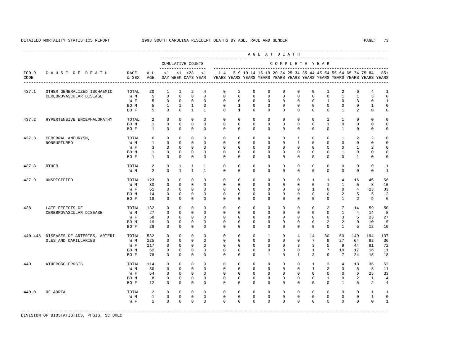|                 |                                                               |                                     |                                                |                                                                           |                                                                            |                                                                      |                                                                    |                                                                |                                                                |                                                                        |                                                       | AGE AT DEATH                                      |                                                         |                                                                |                                                          |                                                                 |                                                                                                                                      |                                    |                                                              |
|-----------------|---------------------------------------------------------------|-------------------------------------|------------------------------------------------|---------------------------------------------------------------------------|----------------------------------------------------------------------------|----------------------------------------------------------------------|--------------------------------------------------------------------|----------------------------------------------------------------|----------------------------------------------------------------|------------------------------------------------------------------------|-------------------------------------------------------|---------------------------------------------------|---------------------------------------------------------|----------------------------------------------------------------|----------------------------------------------------------|-----------------------------------------------------------------|--------------------------------------------------------------------------------------------------------------------------------------|------------------------------------|--------------------------------------------------------------|
|                 |                                                               |                                     |                                                |                                                                           |                                                                            | CUMULATIVE COUNTS<br>-------------------                             |                                                                    |                                                                |                                                                | ----------------------------                                           |                                                       | COMPLETE YEAR                                     |                                                         |                                                                |                                                          |                                                                 |                                                                                                                                      |                                    |                                                              |
| $ICD-9$<br>CODE | CAUSE OF DEATH                                                | RACE<br>& SEX                       | ALL<br>AGE                                     | $\leq 1$                                                                  |                                                                            | $< 1$ $< 28$<br>DAY WEEK DAYS YEAR                                   | <1                                                                 | $1 - 4$                                                        |                                                                |                                                                        |                                                       |                                                   |                                                         |                                                                |                                                          |                                                                 | 5-9 10-14 15-19 20-24 25-34 35-44 45-54 55-64 65-74 75-84<br>YEARS YEARS YEARS YEARS YEARS YEARS YEARS YEARS YEARS YEARS YEARS YEARS |                                    | $85+$                                                        |
| 437.1           | OTHER GENERALIZED ISCHAEMIC<br>CEREBROVASCULAR DISEASE        | TOTAL<br>W M                        | 20<br>5                                        | 1<br>$\mathbf 0$<br>$\Omega$                                              | $\mathbf{1}$<br>$\mathbf 0$<br>$\Omega$                                    | 2<br>$\mathbf 0$<br>$\Omega$                                         | 4<br>$\Omega$<br>$\Omega$                                          | $\mathbf 0$<br>$\Omega$<br>$\Omega$                            | 2<br>$\Omega$<br>$\Omega$                                      | $\mathbf{0}$<br>$\mathbf 0$<br>$\Omega$                                | $\mathbf 0$<br>$\mathbf 0$                            | 0<br>$\mathbf 0$                                  | $\mathbf 0$<br>$\Omega$                                 | 0<br>$\Omega$                                                  | 1<br>$\mathbf 0$                                         | 2<br>$\mathbf{1}$                                               | 6<br>$\mathbf{1}$                                                                                                                    | 4<br>3                             | $\mathbf{1}$<br>$\mathbf 0$                                  |
|                 |                                                               | W F<br>BO M<br>BO F                 | 5<br>5<br>5                                    | $\mathbf{1}$<br>$\Omega$                                                  | $\mathbf{1}$<br>$\Omega$                                                   | $\mathbf{1}$<br>$\mathbf{1}$                                         | 3<br>$\overline{1}$                                                | $\mathbf 0$<br>$\Omega$                                        | $\mathbf{1}$<br>$\mathbf{1}$                                   | $\mathbf 0$<br>$\Omega$                                                | $\Omega$<br>$\mathbf 0$<br>$\mathbf 0$                | $\Omega$<br>$\mathbf 0$<br>$\Omega$               | $\Omega$<br>$\mathbf 0$<br>$\mathbf 0$                  | $\Omega$<br>$\mathbf 0$<br>$\Omega$                            | $\mathbf{1}$<br>$\mathbf{0}$<br>$\mathbf{0}$             | $\Omega$<br>$\mathbf 0$<br>$\mathbf{1}$                         | 3<br>0<br>2                                                                                                                          | $\Omega$<br>1<br>0                 | $\mathbf{1}$<br>$\mathbf 0$<br>$\mathbf 0$                   |
| 437.2           | HYPERTENSIVE ENCEPHALOPATHY                                   | TOTAL<br>BO M<br>BO F               | 2<br>$\mathbf{1}$<br>$\mathbf{1}$              | $\Omega$<br>$\Omega$<br>$\Omega$                                          | $\Omega$<br>$\Omega$<br>$\Omega$                                           | $\Omega$<br>$\Omega$<br>$\Omega$                                     | $\Omega$<br>$\Omega$<br>$\Omega$                                   | $\Omega$<br>$\Omega$<br>$\Omega$                               | $\Omega$<br>$\Omega$<br>$\Omega$                               | $\Omega$<br>$\Omega$<br>$\Omega$                                       | $\Omega$<br>$\Omega$<br>$\Omega$                      | $\Omega$<br>$\Omega$<br>$\Omega$                  | $\Omega$<br>$\Omega$<br>$\Omega$                        | $\Omega$<br>$\Omega$<br>$\Omega$                               | $\overline{1}$<br>$\overline{1}$<br>$\Omega$             | $\mathbf{1}$<br>$\Omega$<br>$\mathbf{1}$                        | $\Omega$<br>$\Omega$<br>$\Omega$                                                                                                     | $\Omega$<br>$\Omega$<br>$\Omega$   | $\Omega$<br>$\Omega$<br>$\mathbf 0$                          |
| 437.3           | CEREBRAL ANEURYSM,<br>NONRUPTURED                             | TOTAL<br>W M<br>W F<br>BO M<br>BO F | 6<br>$\mathbf{1}$<br>3<br>1<br>$\mathbf{1}$    | $\mathbf 0$<br>$\mathbf 0$<br>$\mathbf 0$<br>$\mathbf{0}$<br>$\mathbf{0}$ | $\mathbf{0}$<br>$\mathbf 0$<br>$\mathbf{0}$<br>$\mathbf{0}$<br>$\mathbf 0$ | $\mathbf 0$<br>0<br>$\mathbf 0$<br>$\mathbf{0}$<br>$\mathbf 0$       | $\Omega$<br>$\mathbf 0$<br>$\mathbf 0$<br>$\mathbf{0}$<br>$\Omega$ | $\Omega$<br>$\mathbf 0$<br>0<br>0<br>$\Omega$                  | 0<br>$\mathbb O$<br>0<br>0<br>$\Omega$                         | $\mathbf{0}$<br>$\mathbf{0}$<br>$\mathbf 0$<br>$\mathbf 0$<br>$\Omega$ | $\mathbf{0}$<br>0<br>0<br>0<br>$\Omega$               | $\mathbf{0}$<br>$\mathbf 0$<br>0<br>0<br>$\Omega$ | $\mathbf{1}$<br>1<br>0<br>0<br>0                        | 0<br>0<br>0<br>0<br>$\Omega$                                   | $\mathbf{0}$<br>0<br>0<br>0<br>0                         | $\mathbf{1}$<br>$\mathbf 0$<br>0<br>1<br>$\Omega$               | 2<br>0<br>1<br>0<br>1                                                                                                                | 2<br>0<br>2<br>0<br>$\Omega$       | $\mathbf 0$<br>$\mathbf 0$<br>$\mathbf 0$<br>$^{\circ}$<br>0 |
| 437.8           | <b>OTHER</b>                                                  | TOTAL<br>W M                        | 2<br>2                                         | $\mathbf{0}$<br>$\Omega$                                                  | $\mathbf{1}$<br>$\overline{1}$                                             | 1<br>$\mathbf{1}$                                                    | 1<br>$\overline{1}$                                                | 0<br>$\Omega$                                                  | 0<br>$\Omega$                                                  | $\mathbf{0}$<br>$\Omega$                                               | 0<br>$\Omega$                                         | 0<br>$\Omega$                                     | 0<br>$\Omega$                                           | $^{\circ}$<br>$\Omega$                                         | 0<br>$\Omega$                                            | $\mathbf{0}$<br>$\Omega$                                        | 0<br>$\Omega$                                                                                                                        | 0<br>$\Omega$                      | 1<br>$\mathbf{1}$                                            |
| 437.9           | UNSPECIFIED                                                   | TOTAL<br>W M<br>W F<br>BO M<br>BO F | 123<br>30<br>61<br>14<br>18                    | $\mathbf 0$<br>$\Omega$<br>$\Omega$<br>$\mathbf 0$<br>$\Omega$            | $\mathbf 0$<br>$\Omega$<br>$\Omega$<br>$\mathbf 0$<br>$\Omega$             | $\mathbf 0$<br>$\mathbf 0$<br>$\Omega$<br>$\mathbf 0$<br>$\Omega$    | $\mathbf 0$<br>$\Omega$<br>$\Omega$<br>$\mathbf 0$<br>$\Omega$     | $\mathbf 0$<br>$\Omega$<br>$\Omega$<br>$\mathbf 0$<br>$\Omega$ | $\mathbf 0$<br>$\Omega$<br>$\Omega$<br>$\mathbf 0$<br>$\Omega$ | $\mathbf{0}$<br>$\Omega$<br>$\Omega$<br>$\mathbf 0$<br>$\Omega$        | 0<br>0<br>$\Omega$<br>$\mathbf 0$<br>0                | $\mathbf 0$<br>0<br>$\Omega$<br>0<br>$\Omega$     | $\mathbf 0$<br>0<br>$\Omega$<br>$\mathbf 0$<br>$\Omega$ | $\mathbf{1}$<br>$\mathbf 0$<br>1<br>$\mathbf 0$<br>$\Omega$    | $\mathbf{1}$<br>1<br>$\Omega$<br>$\mathbf 0$<br>$\Omega$ | 4<br>1<br>$\Omega$<br>2<br>$\overline{1}$                       | 16<br>5<br>$\overline{4}$<br>5<br>2                                                                                                  | 45<br>8<br>23<br>5<br>9            | 56<br>15<br>33<br>2<br>6                                     |
| 438             | LATE EFFECTS OF<br>CEREBROVASCULAR DISEASE                    | TOTAL<br>W M<br>W F<br>BO M<br>BO F | 132<br>27<br>58<br>19<br>28                    | $\mathbf 0$<br>$\Omega$<br>$\Omega$<br>$\Omega$<br>$\mathbf 0$            | $\Omega$<br>$\Omega$<br>$\Omega$<br>$\Omega$<br>$\mathbf 0$                | $\Omega$<br>$\Omega$<br>$\Omega$<br>$\Omega$<br>$\mathbf 0$          | $\Omega$<br>$\Omega$<br>$\Omega$<br>$\Omega$<br>$\mathbf 0$        | $\Omega$<br>$\Omega$<br>$\Omega$<br>$\Omega$<br>$\Omega$       | $\mathbf 0$<br>$\Omega$<br>$\Omega$<br>$\Omega$<br>0           | $\Omega$<br>$\Omega$<br>$\Omega$<br>$\Omega$<br>$\mathbf{0}$           | $\mathbf{0}$<br>$\Omega$<br>$\Omega$<br>$\Omega$<br>0 | $\mathbf 0$<br>$\Omega$<br>$\Omega$<br>0<br>0     | $\mathbf 0$<br>$\Omega$<br>$\Omega$<br>$\Omega$<br>0    | $\mathbf 0$<br>$\Omega$<br>$\Omega$<br>$\Omega$<br>$\mathbf 0$ | 2<br>$\Omega$<br>$\mathbf{0}$<br>2<br>$\mathbf{0}$       | $7\phantom{.0}$<br>$\mathbf{1}$<br>3<br>2<br>1                  | 14<br>$\overline{4}$<br>5<br>$\Omega$<br>5                                                                                           | 59<br>14<br>23<br>10<br>12         | 50<br>8<br>27<br>5<br>10                                     |
|                 | 440-448 DISEASES OF ARTERIES, ARTERI-<br>OLES AND CAPILLARIES | TOTAL<br>W M<br>W F<br>BO M<br>BO F | 582<br>225<br>217<br>62<br>78                  | 0<br>$\Omega$<br>$\mathbf 0$<br>0<br>$\Omega$                             | 0<br>$\Omega$<br>$\mathbf 0$<br>0<br>$\Omega$                              | 0<br>$\Omega$<br>0<br>$\mathbf 0$<br>$\Omega$                        | $\Omega$<br>$\Omega$<br>$\mathbf 0$<br>$\mathbf{0}$<br>$\Omega$    | 0<br>$\Omega$<br>$\mathbf 0$<br>0<br>$\Omega$                  | 0<br>$\Omega$<br>0<br>0<br>$\Omega$                            | $\mathbf{0}$<br>$\Omega$<br>$\mathbf 0$<br>$\mathbf{0}$<br>$\Omega$    | 1<br>$\Omega$<br>0<br>0<br>$\mathbf{1}$               | 0<br>$\Omega$<br>0<br>0<br>$\Omega$               | 4<br>$\Omega$<br>3<br>0<br>$\mathbf{1}$                 | 14<br>$7\phantom{.0}$<br>3<br>1<br>3                           | 30<br>9<br>5<br>7<br>9                                   | 53<br>27<br>9<br>10<br>$7\phantom{.0}$                          | 149<br>64<br>44<br>17<br>24                                                                                                          | 194<br>82<br>81<br>16<br>15        | 137<br>36<br>72<br>11<br>18                                  |
| 440             | ATHEROSCLEROSIS                                               | TOTAL<br>W M<br>W F<br>BO M<br>BO F | 114<br>30<br>64<br>8<br>$12 \overline{ }$      | $\mathbf 0$<br>$\mathbf 0$<br>$\Omega$<br>$\Omega$<br>$\mathbf 0$         | $\mathbf 0$<br>$\mathbf 0$<br>$\Omega$<br>$\Omega$<br>$\mathbf 0$          | $\mathbf 0$<br>$\Omega$<br>$\mathbf 0$<br>$\mathbf 0$<br>$\mathbf 0$ | $\Omega$<br>$\Omega$<br>$\Omega$<br>$\Omega$<br>$\mathbf 0$        | $\mathbf 0$<br>$\Omega$<br>$\Omega$<br>$\Omega$<br>$\Omega$    | $\mathbf 0$<br>0<br>$\Omega$<br>$\mathbf 0$<br>0               | $\mathbf{0}$<br>$\mathbf{0}$<br>$\Omega$<br>$\mathbf 0$<br>$\Omega$    | $\mathbf 0$<br>0<br>$\Omega$<br>$\mathbf{0}$<br>0     | $\mathbf 0$<br>0<br>$\Omega$<br>0<br>$\Omega$     | $\mathbf 0$<br>0<br>$\Omega$<br>$\mathbf 0$<br>0        | 1<br>$\mathbf{1}$<br>$\Omega$<br>$^{\circ}$<br>$\Omega$        | 3<br>$\overline{a}$<br>$\Omega$<br>1<br>0                | $\overline{4}$<br>3<br>$\Omega$<br>$\mathbf{0}$<br>$\mathbf{1}$ | 18<br>-5<br>6<br>2<br>5                                                                                                              | 36<br>8<br>25<br><sup>1</sup><br>2 | 52<br>11<br>33<br>$\overline{4}$<br>$\overline{4}$           |
| 440.0           | OF AORTA                                                      | TOTAL<br>W M<br>W F                 | $\overline{a}$<br>$\mathbf{1}$<br>$\mathbf{1}$ | $\Omega$<br>$\mathbf 0$<br>$\Omega$                                       | $\Omega$<br>$\mathbf 0$<br>$\Omega$                                        | $\mathbf{0}$<br>$\mathbf 0$<br>$\Omega$                              | $\Omega$<br>$\mathbf 0$<br>$\Omega$                                | $\Omega$<br>$\mathbf 0$<br>$\Omega$                            | $\Omega$<br>$\mathbf 0$<br>$\Omega$                            | $\Omega$<br>$\mathbf 0$<br>$\Omega$                                    | $\Omega$<br>$\mathbf{0}$<br>$\Omega$                  | $\Omega$<br>0<br>$\Omega$                         | $\Omega$<br>$\mathbf 0$<br>$\Omega$                     | $\Omega$<br>$\mathbf 0$<br>$\Omega$                            | $\Omega$<br>0<br>$\Omega$                                | $\Omega$<br>$\mathbf 0$<br>$\Omega$                             | $\mathbf 0$<br>0<br>$\Omega$                                                                                                         | 1<br>$\mathbf{1}$<br>$\Omega$      | 1<br>$\mathbf 0$<br>$\mathbf{1}$                             |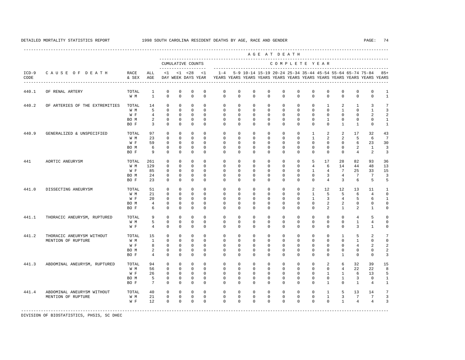----------------------------------------------------------------------------------------------------------------------------------------------------

 A G E A T D E A T H --------------------------------------------------------------------------------------------- CUMULATIVE COUNTS C O M P L E T E Y E A R ------------------- ----------------------------------------------------------------------- ICD-9 C A U S E O F D E A T H RACE ALL <1 <1 <28 <1 1-4 5-9 10-14 15-19 20-24 25-34 35-44 45-54 55-64 65-74 75-84 85+ CODE & SEX AGE DAY WEEK DAYS YEAR YEARS YEARS YEARS YEARS YEARS YEARS YEARS YEARS YEARS YEARS YEARS YEARS ---------------------------------------------------------------------------------------------------------------------------------------------------- 440.1 OF RENAL ARTERY TOTAL 1 0 0 0 0 0 0 0 0 0 0 0 0 0 0 0 1 W M 1 0 0 0 0 0 0 0 0 0 0 0 0 0 0 0 1

| 440.2 | OF ARTERIES OF THE EXTREMITIES                   | TOTAL<br>W M<br>W F<br>BO M<br>BO F | 14<br>5<br>4<br>$\overline{a}$<br>3     | $\Omega$<br>$\mathbf 0$<br>$\Omega$<br>$\Omega$<br>$\Omega$ | $\mathbf 0$<br>$\mathbf{0}$<br>$\mathbf 0$<br>$\mathbf{0}$<br>$\Omega$ | $\Omega$<br>$\mathbf 0$<br>$\mathbf 0$<br>$\mathbf 0$<br>$\Omega$     | $\Omega$<br>$\Omega$<br>$\Omega$<br>0<br>$\Omega$              | $\Omega$<br>$\Omega$<br>$\Omega$<br>0<br>$\Omega$           | 0<br>$\mathbf 0$<br>$\Omega$<br>0<br>$\mathbf 0$           | $\mathbf 0$<br>$\mathbf 0$<br>$\Omega$<br>$\mathbf 0$<br>$\Omega$  | $\mathbf 0$<br>$\circ$<br>$\mathbf 0$<br>$\mathbf 0$<br>$\mathbf{0}$      | $\Omega$<br>$\mathbf 0$<br>$\Omega$<br>0<br>$\Omega$           | 0<br>0<br>0<br>0<br>$\mathbf 0$                     | 0<br>0<br>0<br>0<br>0                         | 1<br>$\mathbf 0$<br>$\mathsf 0$<br>$\mathbf{1}$<br>$\mathbf 0$              | 2<br>$\mathbf{1}$<br>$\Omega$<br>0<br>$\mathbf{1}$       | 1<br>$\mathbf 0$<br>0<br>0<br>$\mathbf{1}$ | 3<br>$\mathbf{1}$<br>2<br>0<br>0                | 7<br>3<br>$\overline{a}$<br>1<br>$\mathbf{1}$         |
|-------|--------------------------------------------------|-------------------------------------|-----------------------------------------|-------------------------------------------------------------|------------------------------------------------------------------------|-----------------------------------------------------------------------|----------------------------------------------------------------|-------------------------------------------------------------|------------------------------------------------------------|--------------------------------------------------------------------|---------------------------------------------------------------------------|----------------------------------------------------------------|-----------------------------------------------------|-----------------------------------------------|-----------------------------------------------------------------------------|----------------------------------------------------------|--------------------------------------------|-------------------------------------------------|-------------------------------------------------------|
| 440.9 | GENERALIZED & UNSPECIFIED                        | TOTAL<br>W M<br>W F<br>BO M<br>BO F | 97<br>23<br>59<br>6<br>9                | $\Omega$<br>$\mathbf 0$<br>$\Omega$<br>$\Omega$<br>$\Omega$ | $\mathbf 0$<br>$\mathbf 0$<br>$\mathbf 0$<br>$\mathbf 0$<br>$\Omega$   | $\mathbf{0}$<br>$\mathbf 0$<br>$\mathbf 0$<br>$\mathbf 0$<br>$\Omega$ | 0<br>$\Omega$<br>$\Omega$<br>$\Omega$<br>$\Omega$              | 0<br>$\Omega$<br>$\Omega$<br>$\Omega$<br>$\Omega$           | $\mathbf 0$<br>$\mathbf 0$<br>$\Omega$<br>0<br>$\mathbf 0$ | $\mathbf 0$<br>$\Omega$<br>$\Omega$<br>$\mathbf 0$<br>$\Omega$     | $\mathbf{0}$<br>$\mathbf 0$<br>$\Omega$<br>$\mathbf 0$<br>$\mathbf{0}$    | 0<br>$\Omega$<br>$\Omega$<br>$\Omega$<br>$\Omega$              | $\mathbf 0$<br>0<br>$\Omega$<br>0<br>0              | 1<br>$\mathbf{1}$<br>0<br>0<br>$\Omega$       | 2<br>$\overline{a}$<br>$\Omega$<br>0<br>$\mathbf 0$                         | 2<br>2<br>$\Omega$<br>$\Omega$<br>$\Omega$               | 17<br>5<br>6<br>2<br>$\overline{4}$        | 32<br>6<br>23<br>$\mathbf{1}$<br>2              | 43<br>7<br>30<br>3<br>3                               |
| 441   | AORTIC ANEURYSM                                  | TOTAL<br>W M<br>W F<br>BO M<br>BO F | 261<br>129<br>85<br>24<br>23            | $\Omega$<br>$\mathbf 0$<br>$\Omega$<br>0<br>$\Omega$        | $\mathbf{0}$<br>$\mathbf 0$<br>$\mathbf 0$<br>$\mathbf 0$<br>$\Omega$  | $\Omega$<br>$\Omega$<br>$\mathbf 0$<br>$\mathbf 0$<br>$\Omega$        | $\mathbf 0$<br>$\Omega$<br>$\Omega$<br>$\mathbf 0$<br>$\Omega$ | $\mathbf 0$<br>$\Omega$<br>$\Omega$<br>$\Omega$<br>$\Omega$ | $\mathbf 0$<br>$\mathbf 0$<br>$\Omega$<br>0<br>$\mathbf 0$ | $\mathbf 0$<br>$\mathbf 0$<br>$\Omega$<br>$\Omega$<br>$\mathbf{0}$ | $\mathbf{0}$<br>$\mathbf 0$<br>$\mathbf 0$<br>$\mathbf 0$<br>$\mathbf{0}$ | $\mathbf 0$<br>$\mathbf 0$<br>$\Omega$<br>$\Omega$<br>$\Omega$ | $\mathbf 0$<br>0<br>0<br>0<br>0                     | 5<br>$\overline{4}$<br>$\mathbf{1}$<br>0<br>0 | 17<br>6<br>$\overline{4}$<br>3<br>$\overline{4}$                            | 28<br>14<br>$\overline{7}$<br>4<br>3                     | 82<br>44<br>25<br>7<br>6                   | 93<br>48<br>33<br>$\overline{7}$<br>5           | 36<br>13<br>15<br>3<br>5                              |
| 441.0 | DISSECTING ANEURYSM                              | TOTAL<br>W M<br>W F<br>BO M<br>BO F | 51<br>21<br>20<br>4<br>6                | $\Omega$<br>$\mathbf 0$<br>$\Omega$<br>$\Omega$<br>$\Omega$ | $\mathbf{0}$<br>$\mathbf 0$<br>$\mathbf 0$<br>$\mathbf{0}$<br>$\Omega$ | $\Omega$<br>$\Omega$<br>$\mathbf 0$<br>$\Omega$<br>$\Omega$           | $\Omega$<br>$\Omega$<br>$\Omega$<br>$\mathbf 0$<br>$\Omega$    | $\Omega$<br>$\Omega$<br>$\Omega$<br>$\Omega$<br>$\Omega$    | $\mathbf 0$<br>$\mathbf 0$<br>$\Omega$<br>0<br>$\mathbf 0$ | $\Omega$<br>$\mathbf 0$<br>$\Omega$<br>$\mathbf 0$<br>$\mathbf 0$  | $\mathbf{0}$<br>$\mathbf 0$<br>$\mathbf 0$<br>$\mathbf 0$<br>$\mathbf{0}$ | $\Omega$<br>$\Omega$<br>$\Omega$<br>$\Omega$<br>$\mathbf 0$    | $\mathbf 0$<br>$\mathbf 0$<br>0<br>0<br>0           | 2<br>$\mathbf 1$<br>$\mathbf{1}$<br>0<br>0    | 12<br>5<br>3<br>$\overline{a}$<br>$\overline{a}$                            | 12<br>5<br>$\overline{4}$<br>2<br>$\mathbf{1}$           | 13<br>6<br>5<br>0<br>2                     | 11<br>$\overline{4}$<br>6<br>0<br>$\mathbf{1}$  | $\mathbf{1}$<br>$\mathbf 0$<br>$\mathbf{1}$<br>0<br>0 |
| 441.1 | THORACIC ANEURYSM, RUPTURED                      | TOTAL<br>W M<br>W F                 | 9<br>5<br>4                             | 0<br>0<br>$\mathbf{0}$                                      | $\mathbf 0$<br>$\mathbf 0$<br>$\mathbf{0}$                             | $\mathbf{0}$<br>$\mathbf 0$<br>$\mathbf{0}$                           | $\mathbf 0$<br>$\mathbf 0$<br>$\mathbf 0$                      | $\mathbf 0$<br>$\mathbf 0$<br>$\Omega$                      | $\mathbf 0$<br>$\mathbf 0$<br>$\mathbf 0$                  | $\mathbf{0}$<br>$\mathbf{0}$<br>$\mathbf 0$                        | $\mathbf 0$<br>$\mathbf 0$<br>$\mathbf 0$                                 | $\mathbf 0$<br>$\mathbf 0$<br>$\circ$                          | $\mathbf 0$<br>0<br>$\mathbf 0$                     | 0<br>$\mathbf 0$<br>$\mathbf 0$               | $\mathbf 0$<br>$\mathbb O$<br>$\mathbf 0$                                   | $\mathbf 0$<br>$\mathbf 0$<br>$\mathbf 0$                | 4<br>$\mathbf{1}$<br>3                     | 5<br>$\overline{4}$<br>$\mathbf{1}$             | 0<br>$\mathbf 0$<br>0                                 |
| 441.2 | THORACIC ANEURYSM WITHOUT<br>MENTION OF RUPTURE  | TOTAL<br>W M<br>W F<br>BO M<br>BO F | 15<br>$1\,$<br>8<br>2<br>$\overline{4}$ | $\Omega$<br>$\Omega$<br>$\Omega$<br>$\Omega$<br>$\Omega$    | $\Omega$<br>$\mathbf 0$<br>$\mathbf{0}$<br>$\mathbf 0$<br>$\Omega$     | $\Omega$<br>$\Omega$<br>$\mathbf 0$<br>$\mathbf 0$<br>$\Omega$        | $\Omega$<br>$\Omega$<br>0<br>$\mathbf 0$<br>$\Omega$           | $\mathbf 0$<br>$\Omega$<br>$\Omega$<br>$\Omega$<br>$\Omega$ | $\mathbf 0$<br>0<br>0<br>0<br>0                            | $\mathbf 0$<br>$\Omega$<br>$\mathbf 0$<br>$\mathbf 0$<br>$\Omega$  | $\mathbf 0$<br>$\mathbf 0$<br>$\mathbf 0$<br>$\mathbf 0$<br>$\mathbf{0}$  | $\Omega$<br>$\Omega$<br>$\mathbf 0$<br>$\Omega$<br>$\Omega$    | $\mathbf 0$<br>$\mathbf 0$<br>0<br>0<br>0           | $\mathbf 0$<br>0<br>0<br>0<br>0               | $\mathbf 0$<br>0<br>$\mathbf 0$<br>$\mathbf 0$<br>0                         | $\mathbf{1}$<br>$\Omega$<br>0<br>0<br>$\mathbf{1}$       | 5<br>$\mathbf{1}$<br>4<br>0<br>0           | $\overline{c}$<br>0<br>2<br>0<br>0              | 7<br>0<br>$\overline{a}$<br>$\overline{a}$<br>3       |
| 441.3 | ABDOMINAL ANEURYSM, RUPTURED                     | TOTAL<br>W M<br>W F<br>BO M<br>BO F | 94<br>56<br>26<br>5<br>7                | $\Omega$<br>$\Omega$<br>$\Omega$<br>$\mathbf 0$<br>$\Omega$ | $\mathbf 0$<br>$\mathbf 0$<br>$\mathbf 0$<br>$\mathbf{0}$<br>$\Omega$  | $\Omega$<br>$\mathbf 0$<br>$\mathbf{0}$<br>$\mathbf{0}$<br>$\Omega$   | $\Omega$<br>$\Omega$<br>$\Omega$<br>$\mathbf 0$<br>$\Omega$    | $\Omega$<br>$\Omega$<br>$\Omega$<br>$\Omega$<br>$\Omega$    | $\mathbf 0$<br>$\Omega$<br>0<br>0<br>$\mathbf 0$           | $\mathbf 0$<br>$\Omega$<br>$\Omega$<br>$\Omega$<br>$\Omega$        | $\mathbf 0$<br>$\mathbf 0$<br>$\mathbf 0$<br>$\mathbf 0$<br>$\mathbf 0$   | $\Omega$<br>$\Omega$<br>$\Omega$<br>$\Omega$<br>$\Omega$       | $\mathbf 0$<br>$\mathbf 0$<br>0<br>0<br>$\mathbf 0$ | $\mathbf 0$<br>0<br>0<br>0<br>$\Omega$        | $\overline{\mathbf{c}}$<br>0<br>$\mathbf{1}$<br>$\mathbb O$<br>$\mathbf{1}$ | 6<br>$\overline{4}$<br>$\mathbf{1}$<br>$\mathbf{1}$<br>0 | 32<br>22<br>6<br>3<br>$\mathbf{1}$         | 39<br>22<br>13<br>$\mathbb O$<br>$\overline{4}$ | 15<br>8<br>5<br>$\mathbf{1}$<br>$\mathbf{1}$          |
| 441.4 | ABDOMINAL ANEURYSM WITHOUT<br>MENTION OF RUPTURE | TOTAL<br>W M<br>W F                 | 40<br>21<br>12                          | $\Omega$<br>$\mathbf 0$<br>$\Omega$                         | $\mathbf{0}$<br>$\mathbf 0$<br>$\Omega$                                | $\mathbf 0$<br>$\mathbf 0$<br>$\Omega$                                | $\mathbf 0$<br>$\mathbf 0$<br>$\Omega$                         | $\Omega$<br>$\mathbf 0$<br>$\Omega$                         | $\mathbf 0$<br>$\mathbf 0$<br>$\Omega$                     | $\mathbf{0}$<br>$\mathbf 0$<br>$\Omega$                            | $\mathbb O$<br>$\mathbf 0$<br>$\Omega$                                    | $\mathbf 0$<br>$\mathbf 0$<br>$\Omega$                         | 0<br>0<br>$\Omega$                                  | 0<br>0<br>$\Omega$                            | $\mathbf{1}$<br>$\mathbf{1}$<br>$\Omega$                                    | 5<br>3<br>$\mathbf{1}$                                   | 13<br>7<br>$\overline{4}$                  | 14<br>7<br>$\overline{4}$                       | 7<br>3<br>3                                           |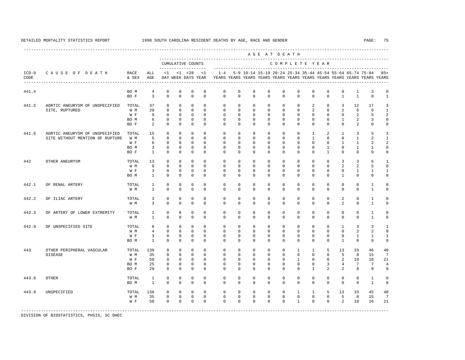---------------------------------------------------------------------------------------------------------------------------------------------------- A G E A T D E A T H --------------------------------------------------------------------------------------------- CUMULATIVE COUNTS C O M P L E T E Y E A R ------------------- ----------------------------------------------------------------------- ICD-9 C A U S E O F D E A T H RACE ALL <1 <1 <28 <1 1-4 5-9 10-14 15-19 20-24 25-34 35-44 45-54 55-64 65-74 75-84 85+ CODE & SEX AGE DAY WEEK DAYS YEAR YEARS YEARS YEARS YEARS YEARS YEARS YEARS YEARS YEARS YEARS YEARS YEARS ---------------------------------------------------------------------------------------------------------------------------------------------------- 441.4<br>BOM 4 0 0 0 0 0 0 0 0 0 0 0 0 0 0 1 3 0<br>BOF 3 0 0 0 0 0 0 0 0 0 0 0 0 0 1 1 0 1 BO F 3 0 0 0 0 0 0 0 0 0 0 0 0 1 1 0 1 441.5 AORTIC ANEURYSM OF UNSPECIFIED TOTAL 37 0 0 0 0 0 0 0 0 0 0 2 0 3 12 17 3 SITE, RUPTURED W M 20 0 0 0 0 0 0 0 0 0 0 2 0 2 6 9 1 W F 9 0 0 0 0 0 0 0 0 0 0 0 0 0 2 5 2 BO M 6 0 0 0 0 0 0 0 0 0 0 0 0 1 2 3 0 BOF 2 0 0 0 0 0 0 0 0 0 0 0 0 0 2 0 0 441.6 AORTIC ANEURYSM OF UNSPECIFIED TOTAL 15 0 0 0 0 0 0 0 0 0 0 0 0 1 2 1 3 5 3<br>SITE WITHOUT MENTION OF RIIPTURE W.M. 5 0 0 0 0 0 0 0 0 0 0 0 0 1 0 0 1 2 1 SITE WITHOUT MENTION OF RUPTURE W M W F 6 0 0 0 0 0 0 0 0 0 0 0 0 1 1 2 2 BOM 3 0 0 0 0 0 0 0 0 0 0 0 0 1 0 1 1 0 BO F 1 0 0 0 0 0 0 0 0 0 0 0 1 0 0 0 0 442 OTHER ANEURYSM TOTAL 13 0 0 0 0 0 0 0 0 0 0 0 0 3 3 6 1 W M 9 0 0 0 0 0 0 0 0 0 0 0 0 2 2 5 0 W F 3 0 0 0 0 0 0 0 0 0 0 0 0 0 1 1 1 BO M 1 0 0 0 0 0 0 0 0 0 0 0 0 1 0 0 0 442.1 OF RENAL ARTERY TOTAL 1 0 0 0 0 0 0 0 0 0 0 0 0 0 0 1 0 W M 1 0 0 0 0 0 0 0 0 0 0 0 0 0 0 1 0 442.2 OF ILIAC ARTERY TOTAL 3 0 0 0 0 0 0 0 0 0 0 0 0 2 0 1 0 W M 3 0 0 0 0 0 0 0 0 0 0 0 0 2 0 1 0 442.3 OF ARTERY OF LOWER EXTREMITY TOTAL 1 0 0 0 0 0 0 0 0 0 0 0 0 0 0 1 0 W M 1 0 0 0 0 0 0 0 0 0 0 0 0 0 0 1 0 442.9 OF UNSPECIFIED SITE TOTAL 8 0 0 0 0 0 0 0 0 0 0 0 0 0 0 0 0 2 2 0 0 0 0 0 0 0 2 2 0 W M 4 0 0 0 0 0 0 0 0 0 0 0 0 0 2 2 0 W F 3 0 0 0 0 0 0 0 0 0 0 0 0 0 1 1 1 BO M 1 0 0 0 0 0 0 0 0 0 0 0 0 1 0 0 0 443 OTHER PERIPHERAL VASCULAR TOTAL 139 0 0 0 0 0 0 0 0 0 1 1 5 13 33 46 40 DISEASE W M 35 0 0 0 0 0 0 0 0 0 0 0 0 5 8 15 7 W F 50 0 0 0 0 0 0 0 0 0 1 0 0 2 10 16 21 BOM 25 0 0 0 0 0 0 0 0 0 0 0 0 3 4 7 7 4 BO F 29 0 0 0 0 0 0 0 0 0 0 1 2 2 8 8 8 443.8 OTHER TOTAL 1 0 0 0 0 0 0 0 0 0 0 0 0 0 0 1 0 BO M 1 0 0 0 0 0 0 0 0 0 0 0 0 0 0 1 0 443.9 UNSPECIFIED TOTAL 138 0 0 0 0 0 0 0 0 0 1 1 5 13 33 45 40 W M 35 0 0 0 0 0 0 0 0 0 0 0 0 5 8 15 7 W F 50 0 0 0 0 0 0 0 0 0 1 0 0 2 10 16 21 -----------------------------------------------------------------------------------------------------------------------------------------------------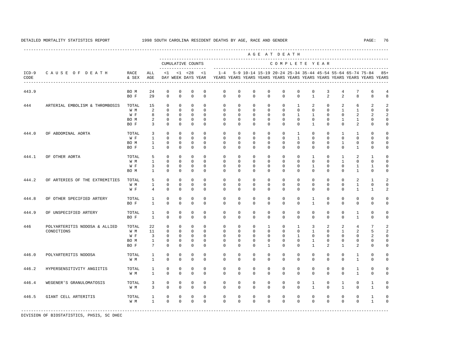|                 |                                |               |                 |              |              |                                    |              |             |             |              | AGE AT DEATH |              |              |              |                                                           |                |                |                |                                                                                  |
|-----------------|--------------------------------|---------------|-----------------|--------------|--------------|------------------------------------|--------------|-------------|-------------|--------------|--------------|--------------|--------------|--------------|-----------------------------------------------------------|----------------|----------------|----------------|----------------------------------------------------------------------------------|
|                 |                                |               |                 |              |              | CUMULATIVE COUNTS                  |              |             |             |              |              |              |              |              | COMPLETE YEAR                                             |                |                |                |                                                                                  |
| $ICD-9$<br>CODE | CAUSE OF DEATH                 | RACE<br>& SEX | ALL<br>AGE      | <1           |              | $< 1$ $< 28$<br>DAY WEEK DAYS YEAR | <1           | $1 - 4$     |             |              |              |              |              |              | 5-9 10-14 15-19 20-24 25-34 35-44 45-54 55-64 65-74 75-84 |                |                |                | $85+$<br>YEARS YEARS YEARS YEARS YEARS YEARS YEARS YEARS YEARS YEARS YEARS YEARS |
| 443.9           |                                | BO M          | 24              | $\mathbf 0$  | $\mathsf 0$  | 0                                  | 0            | 0           | $\mathbf 0$ | $\mathbf 0$  | 0            | $\mathbf 0$  | $\mathbf 0$  | $\mathbf 0$  | 3                                                         | 4              | 7              | 6              | 4                                                                                |
|                 |                                | BO F          | 29              | $\Omega$     | $\Omega$     | $\Omega$                           | $\Omega$     | $\Omega$    | $\Omega$    | $\mathbf{0}$ | $\mathbf 0$  | $\Omega$     | $\Omega$     | $\mathbf{1}$ | $\mathfrak{D}$                                            | $\mathfrak{D}$ | 8              | 8              | 8                                                                                |
| 444             | ARTERIAL EMBOLISM & THROMBOSIS | TOTAL         | 15              | $\mathbf 0$  | $\mathbf 0$  | $\mathbf{0}$                       | $\Omega$     | $\Omega$    | $\mathbf 0$ | $\mathbf{0}$ | 0            | $\mathbf 0$  | $\mathbf{1}$ | 2            | $\mathbf 0$                                               | 2              | 6              | 2              |                                                                                  |
|                 |                                | W M           | 2               | $\Omega$     | $\mathbf 0$  | $\mathbf 0$                        | $\Omega$     | $\Omega$    | $\Omega$    | $\mathbf{0}$ | $\mathbf{0}$ | $\mathbf{0}$ | $\Omega$     | $\mathbf{0}$ | $\mathbf 0$                                               | $\mathbf{1}$   | $\mathbf{1}$   | $\Omega$       | U                                                                                |
|                 |                                | W F           | 8               | $\mathbf 0$  | $\mathbf 0$  | $\mathbf{0}$                       | $\Omega$     | $\Omega$    | $\Omega$    | $\mathbf{0}$ | $\mathbf 0$  | $\mathbf 0$  | $\mathbf{1}$ | $\mathbf{1}$ | $\mathbf 0$                                               | $\Omega$       | 2              | $\mathfrak{D}$ |                                                                                  |
|                 |                                | BO M          | 2               | $\mathbf 0$  | $\mathbf 0$  | $\mathbf{0}$                       | $\mathbf{0}$ | $\mathbf 0$ | $\mathbf 0$ | $\mathbf{0}$ | $\mathbf 0$  | $\mathbf 0$  | $\mathbf 0$  | $\mathbf 0$  | $\mathbf 0$                                               | $\mathbf{1}$   | $\mathbf{1}$   | 0              |                                                                                  |
|                 |                                | BO F          | 3               | $\Omega$     | $\Omega$     | $\Omega$                           | $\Omega$     | $\Omega$    | $\Omega$    | $\Omega$     | $\Omega$     | $\Omega$     | $\Omega$     | $\mathbf{1}$ | $\Omega$                                                  | $\Omega$       | $\overline{a}$ | 0              | U                                                                                |
| 444.0           | OF ABDOMINAL AORTA             | TOTAL         | 3               | $\Omega$     | $\Omega$     | $\Omega$                           | $\Omega$     | $\Omega$    | $\Omega$    | $\Omega$     | $\Omega$     | $\Omega$     | $\mathbf{1}$ | $\Omega$     | $\Omega$                                                  | $\overline{1}$ | $\mathbf{1}$   | $\Omega$       |                                                                                  |
|                 |                                | W F           | $\mathbf{1}$    | $\Omega$     | $\mathbf{0}$ | $\mathbf{0}$                       | $\Omega$     | $\Omega$    | $\Omega$    | $\Omega$     | $\Omega$     | $\Omega$     | $\mathbf{1}$ | $\Omega$     | $\mathbf 0$                                               | $\Omega$       | $\mathbf 0$    | $\Omega$       | U                                                                                |
|                 |                                | BO M          | $\mathbf{1}$    | $\mathbf 0$  | 0            | 0                                  | $\mathbf 0$  | $\mathbf 0$ | 0           | $\mathbf{0}$ | 0            | $\mathbf 0$  | 0            | $\mathbf 0$  | 0                                                         | $\mathbf{1}$   | $\circ$        | 0              | 0                                                                                |
|                 |                                | BO F          | $\mathbf{1}$    | $\mathbf 0$  | $\mathbf{0}$ | $\mathbf{0}$                       | 0            | 0           | 0           | $\mathbf{0}$ | 0            | 0            | 0            | $\mathbf 0$  | $\mathbf 0$                                               | $\mathbf{0}$   | 1              | 0              | 0                                                                                |
| 444.1           | OF OTHER AORTA                 | TOTAL         | 5               | $\mathbf 0$  | $\mathbf 0$  | $\mathbb O$                        | $\mathbf{0}$ | $\mathbf 0$ | $\mathbf 0$ | $\mathbf{0}$ | $\mathbf{0}$ | $\mathbf 0$  | $\mathbf 0$  | 1            | $\mathbf 0$                                               | $\mathbf{1}$   | 2              | 1              | U                                                                                |
|                 |                                | W M           | $\mathbf{1}$    | $\mathbf 0$  | $\mathbf 0$  | $\mathbf{0}$                       | $\Omega$     | $\Omega$    | $\Omega$    | $\mathbf{0}$ | $\mathbf 0$  | $\mathbf 0$  | 0            | $\mathbf 0$  | $\mathbf 0$                                               | $\mathbf{1}$   | 0              | 0              |                                                                                  |
|                 |                                | W F           | 3               | 0            | $\mathbf{0}$ | $\mathbf 0$                        | $\mathbf 0$  | 0           | 0           | $\mathbf 0$  | $\mathbf 0$  | 0            | 0            | $\mathbf{1}$ | $\mathbf{0}$                                              | 0              | 1              | 1              |                                                                                  |
|                 |                                | BO M          | 1               | 0            | $\mathbf{0}$ | $\mathbf{0}$                       | $\Omega$     | $\Omega$    | $\Omega$    | $\mathbf 0$  | $\mathbf 0$  | $\Omega$     | $\mathbf 0$  | $\mathbf 0$  | $\mathbf{0}$                                              | $\Omega$       | $\mathbf{1}$   | 0              | 0                                                                                |
| 444.2           | OF ARTERIES OF THE EXTREMITIES | TOTAL         | 5               | $\mathbf 0$  | $\mathbf 0$  | $\mathbf{0}$                       | $\mathbf{0}$ | $\mathbf 0$ | $\mathbf 0$ | $\mathbf{0}$ | $\mathbf 0$  | $\mathbf 0$  | $\mathbf 0$  | $\mathbf 0$  | $\mathbf 0$                                               | $\mathbf 0$    | 2              | $\mathbf{1}$   |                                                                                  |
|                 |                                | W M           | 1               | $\mathbf 0$  | $\mathbf 0$  | $\mathbf{0}$                       | $\Omega$     | $\Omega$    | $\mathbf 0$ | $\mathbf{0}$ | $\mathbf 0$  | $\mathbf 0$  | $\mathbf 0$  | $\mathbf 0$  | $\mathbf{0}$                                              | $\mathbf{0}$   | $\mathbf{1}$   | $\Omega$       | U                                                                                |
|                 |                                | W F           | $\overline{4}$  | $\Omega$     | $\Omega$     | $\Omega$                           | $\Omega$     | $\Omega$    | $\Omega$    | $\Omega$     | $\Omega$     | $\Omega$     | $\Omega$     | $\Omega$     | $\Omega$                                                  | $\Omega$       | $\mathbf{1}$   | $\mathbf{1}$   | $\mathfrak{D}$                                                                   |
|                 |                                |               |                 |              |              |                                    |              |             |             |              |              |              |              |              |                                                           |                |                |                |                                                                                  |
| 444.8           | OF OTHER SPECIFIED ARTERY      | TOTAL         | $\mathbf{1}$    | $\Omega$     | $\mathbf 0$  | $\mathbf{0}$                       | $\Omega$     | $\Omega$    | $\mathbf 0$ | $\mathbf{0}$ | $\mathbf 0$  | $\mathbf 0$  | $\mathbf 0$  | $\mathbf{1}$ | $\mathbf 0$                                               | $\Omega$       | $\mathbf 0$    | 0              | U                                                                                |
|                 |                                | BO F          | $\overline{1}$  | $\Omega$     | $\Omega$     | $\Omega$                           | $\Omega$     | $\Omega$    | $\Omega$    | $\Omega$     | $\Omega$     | $\Omega$     | $\Omega$     | $\mathbf{1}$ | $\Omega$                                                  | $\Omega$       | $\Omega$       | $\Omega$       | U                                                                                |
| 444.9           | OF UNSPECIFIED ARTERY          | TOTAL         | $\mathbf{1}$    | $\Omega$     | $\mathbf 0$  | $\mathbf 0$                        | $\Omega$     | $\Omega$    | $\Omega$    | $\mathbf{0}$ | $\mathbf 0$  | $\mathbf 0$  | $\mathbf 0$  | $\mathbf 0$  | $\mathbf 0$                                               | $\Omega$       | $\mathbf{1}$   | $\mathbf 0$    | U                                                                                |
|                 |                                | BO F          | $\overline{1}$  | $\Omega$     | $\Omega$     | $\Omega$                           | $\Omega$     | $\Omega$    | $\Omega$    | $\Omega$     | $\mathbf 0$  | $\Omega$     | $\Omega$     | $\Omega$     | $\Omega$                                                  | $\Omega$       | $\mathbf{1}$   | 0              | $\Omega$                                                                         |
| 446             | POLYARTERITIS NODOSA & ALLIED  | TOTAL         | 22              | $\mathbf 0$  | $\mathbf 0$  | $\mathbf{0}$                       | $\mathbf{0}$ | $\mathbf 0$ | $\mathbf 0$ | $\mathbf{0}$ | 1            | $\mathbf 0$  | $\mathbf{1}$ | 3            | 2                                                         | 2              | $\overline{4}$ | 7              | 2                                                                                |
|                 | CONDITIONS                     | W M           | 11              | $\mathbf 0$  | $\mathbf 0$  | $\mathbf{0}$                       | $\mathbf 0$  | $\mathbf 0$ | $\mathbf 0$ | $\mathbf{0}$ | $\mathbf 0$  | $\mathbf 0$  | $\mathbf 0$  | $\mathbf{1}$ | $\mathbf 0$                                               | $\mathbf{1}$   | 2              | 5              | $\mathfrak{D}$                                                                   |
|                 |                                | W F           | 3               | 0            | $\mathbf{0}$ | $\mathbf 0$                        | 0            | 0           | 0           | $\mathbf 0$  | $\mathbf{0}$ | 0            | $\mathbf{1}$ | 0            | $\mathbf{0}$                                              | 0              | 0              | 2              |                                                                                  |
|                 |                                | BO M          | $\mathbf{1}$    | $\mathbf{0}$ | $\mathbf{0}$ | $\mathbf{0}$                       | $\mathbf 0$  | $\Omega$    | $\Omega$    | $\mathbf 0$  | $\mathbf 0$  | $\mathbf 0$  | $\mathbf 0$  | 1            | $\mathbf 0$                                               | 0              | $\mathbf 0$    | 0              |                                                                                  |
|                 |                                | BO F          | $7\overline{ }$ | $\mathbf 0$  | $\mathbf{0}$ | $\mathbf{0}$                       | 0            | $\Omega$    | $\mathbf 0$ | $\mathbf{0}$ | 1            | $\mathbf 0$  | 0            | $\mathbf{1}$ | $\overline{a}$                                            | 1              | 2              | 0              | 0                                                                                |
| 446.0           | POLYARTERITIS NODOSA           | TOTAL         | 1               | $\mathbf 0$  | $\mathbf 0$  | $\mathbf{0}$                       | $\Omega$     | $\Omega$    | $\mathbf 0$ | $\mathbf{0}$ | $\mathbf 0$  | $\mathbf 0$  | $\mathbf 0$  | $\mathbf 0$  | $\mathbf 0$                                               | $\mathbf 0$    | $\mathbf{1}$   | 0              | 0                                                                                |
|                 |                                | W M           | $\mathbf{1}$    | $\mathbf 0$  | $\mathbf 0$  | $\mathbf{0}$                       | $\Omega$     | $\Omega$    | $\Omega$    | $\mathbf{0}$ | $\mathbf 0$  | $\mathbf 0$  | 0            | $\mathbf 0$  | $\mathbf 0$                                               | $\mathbf 0$    | $\mathbf{1}$   | 0              | 0                                                                                |
| 446.2           | HYPERSENSITIVITY ANGIITIS      | TOTAL         | $\mathbf{1}$    | $\mathbf 0$  | $\mathbf 0$  | $\mathbf{0}$                       | $\mathbf{0}$ | $\mathbf 0$ | $\mathbf 0$ | $\mathbf{0}$ | $\mathbf{0}$ | $\mathbf 0$  | $\mathbf 0$  | $\mathbf 0$  | $\mathbf 0$                                               | $\mathbf 0$    | $\mathbf{1}$   | 0              | 0                                                                                |
|                 |                                | W M           | $\mathbf{1}$    | $\Omega$     | $\Omega$     | $\Omega$                           | $\Omega$     | $\Omega$    | $\mathbf 0$ | $\mathbf{0}$ | $\mathbf 0$  | $\mathbf 0$  | 0            | $\mathbf 0$  | $\mathbf 0$                                               | $\Omega$       | $\mathbf{1}$   | 0              | 0                                                                                |
|                 |                                |               |                 |              |              |                                    |              |             |             |              |              |              |              |              |                                                           |                |                |                |                                                                                  |
| 446.4           | WEGENER'S GRANULOMATOSIS       | TOTAL         | 3               | $\mathbf 0$  | $\mathbf 0$  | $\mathbf{0}$                       | $\mathbf{0}$ | $\mathbf 0$ | $\mathbf 0$ | $\mathbb O$  | $\mathbb O$  | $\mathsf 0$  | $\mathbf 0$  | $\mathbf{1}$ | $\mathbf 0$                                               | $\mathbf{1}$   | $\circ$        | $\mathbf{1}$   | 0                                                                                |
|                 |                                | W M           | 3               | $\Omega$     | $\Omega$     | $\mathbf 0$                        | $\Omega$     | $\Omega$    | $\Omega$    | $\mathbf{0}$ | $\mathbf 0$  | $\mathbf{0}$ | $\mathbf 0$  | $\mathbf{1}$ | $\mathbf{0}$                                              | $\mathbf{1}$   | 0              | $\mathbf{1}$   | $\Omega$                                                                         |
| 446.5           | GIANT CELL ARTERITIS           | TOTAL         | $\mathbf{1}$    | $\mathbf 0$  | $\mathbf 0$  | $\mathbf{0}$                       | $\mathbf{0}$ | $\mathbf 0$ | $\mathbf 0$ | $\mathbf{0}$ | 0            | $\mathsf 0$  | $\mathbf 0$  | $\mathbb O$  | $\mathbf 0$                                               | $\mathbf 0$    | $\mathbf 0$    | $\mathbf{1}$   | U                                                                                |
|                 |                                | W M           | $\mathbf{1}$    | $\Omega$     | $\Omega$     | $\Omega$                           | $\Omega$     | $\Omega$    | $\Omega$    | $\Omega$     | $\Omega$     | $\Omega$     | $\Omega$     | $\Omega$     | $\Omega$                                                  | $\Omega$       | $\Omega$       | $\mathbf{1}$   | $\Omega$                                                                         |
|                 |                                |               |                 |              |              |                                    |              |             |             |              |              |              |              |              |                                                           |                |                |                |                                                                                  |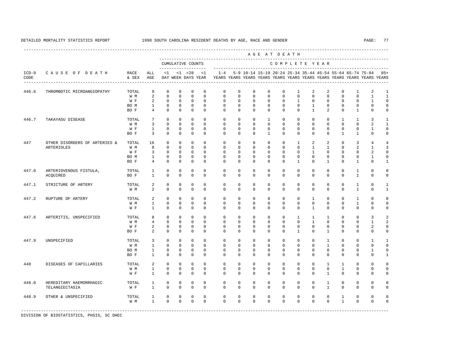---------------------------------------------------------------------------------------------------------------------------------------------------- A G E A T D E A T H --------------------------------------------------------------------------------------------- CUMULATIVE COUNTS C O M P L E T E Y E A R ------------------- ----------------------------------------------------------------------- ICD-9 C A U S E O F D E A T H RACE ALL <1 <1 <28 <1 1-4 5-9 10-14 15-19 20-24 25-34 35-44 45-54 55-64 65-74 75-84 85+ CODE & SEX AGE DAY WEEK DAYS YEAR YEARS YEARS YEARS YEARS YEARS YEARS YEARS YEARS YEARS YEARS YEARS YEARS ---------------------------------------------------------------------------------------------------------------------------------------------------- 446.6 THROMBOTIC MICROANGIOPATHY TOTAL 9 0 0 0 0 0 0 0 0 0 0 0 1 2 2 0 1 2 1<br>W M 2 0 0 0 0 0 0 0 0 0 0 0 0 0 0 0 0 0 1 1 W M 2 0 0 0 0 0 0 0 0 0 0 0 0 0 0 1 1 W F 2 0 0 0 0 0 0 0 0 0 0 0 0 0 0 1 0 BO M 1 0 0 0 0 0 0 0 0 0 0 1 0 0 0 0 0 BO F 4 0 0 0 0 0 0 0 0 0 0 1 2 0 1 0 0 446.7 TAKAYASU DISEASE TOTAL 7 0 0 0 0 0 0 0 0 0 0 0 0 0 1 1 3 1 2  $\frac{1}{100}$ W M 3 0 0 0 0 0 0 0 0 0 0 0 0 0 0 2 1 W F 1 0 0 0 0 0 0 0 0 0 0 0 0 0 0 1 0 BOF 3 0 0 0 0 0 0 0 0 0 0 0 0 1 1 0 0 447 OTHER DISORDERS OF ARTERIES & TOTAL 16 0 0 0 0 0 0 0 0 0 1 2 2 0 3 4 4 ARTERIOLES WM 8 0 0 0 0 0 0 0 0 0 0 1 1 0 2 1 3<br>WF 3 0 0 0 0 0 0 0 0 0 0 0 1 0 0 0 2 0 W F 3 0 0 0 0 0 0 0 0 0 0 0 0 0 0 2 0 BO M 1 0 0 0 0 0 0 0 0 0 0 0 0 0 0 1 0 BOF 4 0 0 0 0 0 0 0 0 0 0 0 1 0 1 0 1 447.0 ARTERIOVENOUS FISTULA, TOTAL 1 0 0 0 0 0 0 0 0 0 0 0 0 0 0 0 1 0 0<br>ACOUIRED BOF 1 0 0 0 0 0 0 0 0 0 0 0 0 0 0 0 1 0 0 ACQUIRED BO F 1 0 0 0 0 0 0 0 0 0 0 0 0 0 1 0 0 447.1 STRICTURE OF ARTERY TOTAL 2 0 0 0 0 0 0 0 0 0 0 0 0 0 1 0 1 W M 2 0 0 0 0 0 0 0 0 0 0 0 0 0 0 1 0 1 447.2 RUPTURE OF ARTERY TOTAL 2 0 0 0 0 0 0 0 0 0 0 1 0 0 1 0 0 W M 1 0 0 0 0 0 0 0 0 0 0 0 0 0 1 0 0 W F 1 0 0 0 0 0 0 0 0 0 0 1 0 0 0 0 0 447.6 ARTERITIS, UNSPECIFIED TOTAL 8 0 0 0 0 0 0 0 0 0 0 0 1 1 1 0 0 3 2<br>W M 4 0 0 0 0 0 0 0 0 0 0 0 1 0 0 0 1 2 W M M 4 0 0 0 0 0 0 0 0 0 0 0 0 0 0 0 1 2 W F 2 0 0 0 0 0 0 0 0 0 0 0 0 0 0 0 2 0<br>BOF 2 0 0 0 0 0 0 0 0 0 0 1 0 1 0 0 0 0 BOF 2 0 0 0 0 0 0 0 0 0 0 1 0 0 0 0 0 447.9 UNSPECIFIED TOTAL 3 0 0 0 0 0 0 0 0 0 0 0 1 0 0 1 1 W M 1 0 0 0 0 0 0 0 0 0 0 0 1 0 0 0 0 BO M 1 0 0 0 0 0 0 0 0 0 0 0 0 0 0 1 0 BOF 1 0 0 0 0 0 0 0 0 0 0 0 0 0 0 0 1 448 DISEASES OF CAPILLARIES TOTAL 2 0 0 0 0 0 0 0 0 0 0 0 1 1 0 0 0 W M 1 0 0 0 0 0 0 0 0 0 0 0 0 1 0 0 0 W F 1 0 0 0 0 0 0 0 0 0 0 0 1 0 0 0 0 448.0 HEREDITARY HAEMORRHAGIC TOTAL 1 0 0 0 0 0 0 0 0 0 0 0 1 0 0 0 0 TELANGIECTASIA W F 1 0 0 0 0 0 0 0 0 0 0 0 1 0 0 0 0 448.9 OTHER & UNSPECIFIED TOTAL 1 0 0 0 0 0 0 0 0 0 0 0 0 1 0 0 0 W M 1 0 0 0 0 0 0 0 0 0 0 0 0 1 0 0 0 -----------------------------------------------------------------------------------------------------------------------------------------------------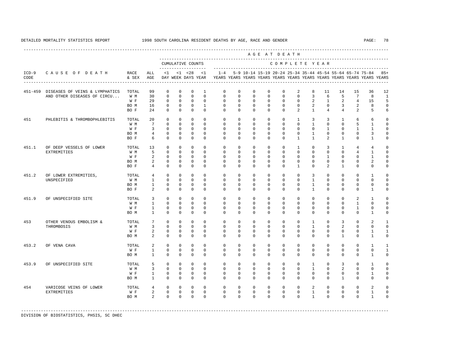---------------------------------------------------------------------------------------------------------------------------------------------------- A G E A T D E A T H --------------------------------------------------------------------------------------------- CUMULATIVE COUNTS C O M P L E T E Y E A R ------------------- ----------------------------------------------------------------------- ICD-9 C A U S E O F D E A T H RACE ALL <1 <1 <28 <1 1-4 5-9 10-14 15-19 20-24 25-34 35-44 45-54 55-64 65-74 75-84 85+ CODE & SEX AGE DAY WEEK DAYS YEAR YEARS YEARS YEARS YEARS YEARS YEARS YEARS YEARS YEARS YEARS YEARS YEARS ---------------------------------------------------------------------------------------------------------------------------------------------------- 451-459 DISEASES OF VEINS & LYMPHATICS TOTAL 99 0 0 0 1 0 0 0 0 0 2 8 11 14 15 36 12 AND OTHER DISEASES OF CIRCU... W M 30 0 0 0 0 0 0 0 0 0 0 3 6 5 7 8 1 W F 29 0 0 0 0 0 0 0 0 0 0 0 2 1 2 4 15 5 BO M 16 0 0 0 1 0 0 0 0 0 0 2 0 3 2 8 0 BO F 24 0 0 0 0 0 0 0 0 0 2 1 4 4 2 5 6 451 PHLEBITIS & THROMBOPHLEBITIS TOTAL 20 0 0 0 0 0 0 0 0 0 1 3 3 1 6 6 0 W M 7 0 0 0 0 0 0 0 0 0 0 1 0 0 5 1 0 W F 3 0 0 0 0 0 0 0 0 0 0 0 0 1 0 1 1 0 BO M 4 0 0 0 0 0 0 0 0 0 0 1 0 0 0 3 0 BO F 6 0 0 0 0 0 0 0 0 0 1 1 2 1 0 1 0 451.1 OF DEEP VESSELS OF LOWER TOTAL 13 0 0 0 0 0 0 0 0 0 1 0 3 1 4 4 0 EXTREMITIES W M 5 0 0 0 0 0 0 0 0 0 0 0 0 0 4 1 0 W F 2 0 0 0 0 0 0 0 0 0 0 0 0 1 0 0 1 0 BOM 2 0 0 0 0 0 0 0 0 0 0 0 0 0 0 0 0 2 0 BO F 4 0 0 0 0 0 0 0 0 0 1 0 2 1 0 0 0 451.2 OF LOWER EXTREMITIES, TOTAL 4 0 0 0 0 0 0 0 0 0 0 0 0 0 0 0 0 0 1 0<br>UNSPECIFIED WAM 1 0 0 0 0 0 0 0 0 0 0 0 0 0 0 0 0 UNSPECIFIED W M 1 0 0 0 0 0 0 0 0 0 0 1 0 0 0 0 0 BO M 1 0 0 0 0 0 0 0 0 0 0 1 0 0 0 0 0 BOF 2 0 0 0 0 0 0 0 0 0 0 0 0 0 0 1 0 451.9 OF UNSPECIFIED SITE TOTAL 3 0 0 0 0 0 0 0 0 0 0 0 0 0 0 0 2 1 0<br>
W M 1 0 0 0 0 0 0 0 0 0 0 0 0 0 0 0 0 0 1 0 0 W M 1 0 0 0 0 0 0 0 0 0 0 0 0 0 1 0 0 W F 1 0 0 0 0 0 0 0 0 0 0 0 0 0 0 1 0 0 BO M 1 0 0 0 0 0 0 0 0 0 0 0 0 0 0 1 0 453 OTHER VENOUS EMBOLISM & TOTAL 7 0 0 0 0 0 0 0 0 0 0 0 0 1 0 3 0 2 1<br>THROMBOSIS THROMBOSIS W M 3 0 0 0 0 0 0 0 0 0 0 1 0 2 0 0 0 W F 2 0 0 0 0 0 0 0 0 0 0 0 0 0 0 1 1 BOM 2 0 0 0 0 0 0 0 0 0 0 0 0 1 0 1 0 453.2 OF VENA CAVA TOTAL 2 0 0 0 0 0 0 0 0 0 0 0 0 0 0 1 1 W F 1 0 0 0 0 0 0 0 0 0 0 0 0 0 0 0 1 BOM 1 0 0 0 0 0 0 0 0 0 0 0 0 0 0 1 0 453.9 OF UNSPECIFIED SITE TOTAL 5 0 0 0 0 0 0 0 0 0 0 1 0 3 0 1 0 W M 3 0 0 0 0 0 0 0 0 0 0 1 0 2 0 0 0 W F 1 0 0 0 0 0 0 0 0 0 0 0 0 0 0 1 0 BO M 1 0 0 0 0 0 0 0 0 0 0 0 0 1 0 0 0 454 VARICOSE VEINS OF LOWER TOTAL 4 0 0 0 0 0 0 0 0 0 0 2 0 0 0 2 0 EXTREMITIES W F 2 0 0 0 0 0 0 0 0 0 0 1 0 0 0 1 0 BOM 2 0 0 0 0 0 0 0 0 0 0 0 0 0 0 1 0

-----------------------------------------------------------------------------------------------------------------------------------------------------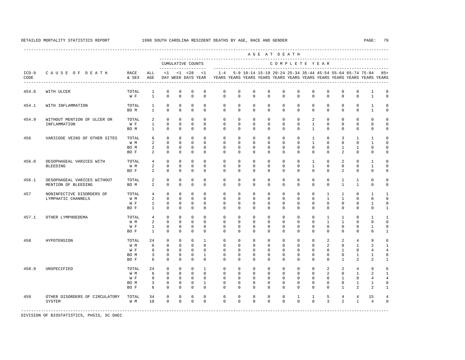|                 |                                                         |                                            |                                                     |                                                                      |                                                                   |                                                                   |                                                                         |                                                                                    |                                                             |                                                             |                                                             | AGE AT DEATH                                                |                                                             |                                                                   |                                                                             |                                                             | --------------------------------                                                |                                                                                    |                                                                    |
|-----------------|---------------------------------------------------------|--------------------------------------------|-----------------------------------------------------|----------------------------------------------------------------------|-------------------------------------------------------------------|-------------------------------------------------------------------|-------------------------------------------------------------------------|------------------------------------------------------------------------------------|-------------------------------------------------------------|-------------------------------------------------------------|-------------------------------------------------------------|-------------------------------------------------------------|-------------------------------------------------------------|-------------------------------------------------------------------|-----------------------------------------------------------------------------|-------------------------------------------------------------|---------------------------------------------------------------------------------|------------------------------------------------------------------------------------|--------------------------------------------------------------------|
|                 |                                                         |                                            |                                                     | -------------------                                                  |                                                                   | CUMULATIVE COUNTS                                                 |                                                                         |                                                                                    |                                                             |                                                             |                                                             |                                                             |                                                             |                                                                   | COMPLETE YEAR                                                               |                                                             |                                                                                 |                                                                                    |                                                                    |
| $ICD-9$<br>CODE | CAUSE OF DEATH<br>------------------------------------- | RACE<br>& SEX                              | ALL<br>AGE                                          | $\leq 1$                                                             |                                                                   | $< 1$ $< 28$<br>DAY WEEK DAYS YEAR                                | < 1                                                                     | $1 - 4$<br>YEARS YEARS YEARS YEARS YEARS YEARS YEARS YEARS YEARS YEARS YEARS YEARS |                                                             | 5-9 10-14 15-19 20-24 25-34 35-44 45-54 55-64 65-74 75-84   |                                                             |                                                             |                                                             |                                                                   |                                                                             |                                                             |                                                                                 |                                                                                    | $85+$                                                              |
| 454.0           | WITH ULCER                                              | TOTAL<br>$\mathbbmss{W}$ . $\mathbbmss{F}$ | 1<br>$\mathbf{1}$                                   | $\mathbb O$<br>$\mathbf 0$                                           | $\mathbf 0$<br>$\mathbf 0$                                        | $\mathbf 0$<br>$\mathbf 0$                                        | $\mathbf 0$<br>$\mathbf 0$                                              | $\mathbf 0$<br>$\mathbf 0$                                                         | $\mathbf 0$<br>$\Omega$                                     | 0<br>$\mathbf{0}$                                           | $\mathbf 0$<br>$\Omega$                                     | $\mathbf 0$<br>$\Omega$                                     | $\mathbf 0$<br>$\Omega$                                     | $\mathbf 0$<br>$\Omega$                                           | $\mathbf{0}$<br>$\Omega$                                                    | 0<br>$\mathbf{0}$                                           | $\mathbf 0$<br>$\mathbf 0$                                                      | 1<br>$\mathbf{1}$                                                                  | $\mathbf 0$<br>$\mathbf 0$                                         |
| 454.1           | WITH INFLAMMATION                                       | TOTAL<br>BO M                              | $\mathbf{1}$<br>$\mathbf{1}$                        | $\mathbf{0}$<br>$\mathbf 0$                                          | $\mathbf 0$<br>$\Omega$                                           | $\mathbf 0$<br>$\Omega$                                           | $\Omega$<br>$\Omega$                                                    | $\Omega$<br>$\Omega$                                                               | $\mathbf 0$<br>$\Omega$                                     | $\mathbf{0}$<br>$\Omega$                                    | $\Omega$<br>$\Omega$                                        | $\mathbf 0$<br>$\Omega$                                     | $\Omega$<br>$\Omega$                                        | $^{\circ}$<br>$\Omega$                                            | $\mathbf 0$<br>$\Omega$                                                     | $\mathbf 0$<br>$\Omega$                                     | $\mathbf 0$<br>$\Omega$                                                         | $\mathbf{1}$<br>$\mathbf{1}$                                                       | $\mathbf 0$<br>$\mathbb O$                                         |
| 454.9           | WITHOUT MENTION OF ULCER OR<br>INFLAMMATION             | TOTAL<br>W F<br>BO M                       | 2<br>$\mathbf{1}$<br>$\mathbf{1}$                   | $\Omega$<br>$\mathbf 0$<br>$\Omega$                                  | $\Omega$<br>$\Omega$<br>$\Omega$                                  | $\Omega$<br>$\Omega$<br>$\Omega$                                  | $\Omega$<br>$\Omega$<br>$\Omega$                                        | $\Omega$<br>$\Omega$<br>$\Omega$                                                   | $\mathbf 0$<br>$\Omega$<br>$\Omega$                         | $\Omega$<br>$\Omega$<br>$\Omega$                            | $\Omega$<br>$\Omega$<br>$\Omega$                            | $\Omega$<br>$\Omega$<br>$\Omega$                            | $\Omega$<br>$\Omega$<br>$\Omega$                            | 2<br>$\mathbf{1}$<br>$\mathbf{1}$                                 | $\mathbf 0$<br>$\mathbf 0$<br>$\Omega$                                      | $\mathbf 0$<br>$\circ$<br>$\Omega$                          | $\Omega$<br>$\circ$<br>$\Omega$                                                 | $\mathbf 0$<br>$\mathbf 0$<br>$\mathbf 0$                                          | $\mathbf 0$<br>$\mathbb O$<br>$\mathbf 0$                          |
| 456             | VARICOSE VEINS OF OTHER SITES                           | TOTAL<br>W M<br>BO M<br>BO F               | 6<br>$\overline{a}$<br>2<br>$\overline{2}$          | $\mathbf{0}$<br>$\Omega$<br>$\mathbf{0}$<br>$\Omega$                 | $\Omega$<br>$\Omega$<br>$\mathbf 0$<br>$\Omega$                   | $\Omega$<br>$\Omega$<br>$\mathbf 0$<br>$\Omega$                   | $\Omega$<br>$\Omega$<br>$\mathbf 0$<br>$\Omega$                         | $\Omega$<br>$\Omega$<br>$\mathbf 0$<br>$\Omega$                                    | $\Omega$<br>$\Omega$<br>$\mathbf 0$<br>$\Omega$             | $\Omega$<br>$\Omega$<br>$\mathbf{0}$<br>$\Omega$            | $\Omega$<br>$\Omega$<br>$\mathbf 0$<br>$\Omega$             | $\Omega$<br>$\Omega$<br>$\circ$<br>$\Omega$                 | $\Omega$<br>$\Omega$<br>$\mathbf 0$<br>$\Omega$             | $\mathbf{1}$<br>$\overline{1}$<br>$\mathbf{0}$<br>$\Omega$        | $\Omega$<br>$\Omega$<br>$\mathbf{0}$<br>$\Omega$                            | 3<br>$\Omega$<br>$\mathbf{1}$<br>$\overline{a}$             | $\mathbf{1}$<br>$\Omega$<br>$\mathbf{1}$<br>$\Omega$                            | $\mathbf{1}$<br>$\mathbf{1}$<br>$\mathbf 0$<br>$\Omega$                            | $\mathbf 0$<br>$\Omega$<br>$\mathbf 0$<br>$\mathbf 0$              |
| 456.0           | OESOPHAGEAL VARICES WITH<br><b>BLEEDING</b>             | TOTAL<br>W M<br>BO F                       | $\overline{4}$<br>$\overline{a}$<br>$\mathfrak{D}$  | $\Omega$<br>$\Omega$<br>$\Omega$                                     | $\Omega$<br>$\Omega$<br>$\Omega$                                  | $\Omega$<br>$\Omega$<br>$\Omega$                                  | $\Omega$<br>$\Omega$<br>$\Omega$                                        | $\Omega$<br>$\Omega$<br>$\Omega$                                                   | $\Omega$<br>$\Omega$<br>$\Omega$                            | $\Omega$<br>$\Omega$<br>$\Omega$                            | $\Omega$<br>$\Omega$<br>$\Omega$                            | $\Omega$<br>$\Omega$<br>$\Omega$                            | $\Omega$<br>$\Omega$<br>$\Omega$                            | $\mathbf{1}$<br>$\mathbf{1}$<br>$\Omega$                          | $\Omega$<br>$\Omega$<br>$\Omega$                                            | 2<br>$\Omega$<br>$\mathfrak{D}$                             | $\mathbf 0$<br>$\Omega$<br>$\Omega$                                             | $\mathbf{1}$<br>$\mathbf{1}$<br>$\Omega$                                           | $\mathbf 0$<br>$\mathbf 0$<br>$\Omega$                             |
| 456.1           | OESOPHAGEAL VARICES WITHOUT<br>MENTION OF BLEEDING      | TOTAL<br>BO M                              | 2<br>2                                              | $\mathbf 0$<br>$\mathbf{0}$                                          | $\mathbf 0$<br>$\mathbf 0$                                        | $\mathbf 0$<br>$\mathbf 0$                                        | $\mathbf 0$<br>$\mathbf 0$                                              | $\mathbf 0$<br>$\Omega$                                                            | $\mathbf 0$<br>$\mathbf 0$                                  | $\mathbf{0}$<br>$\Omega$                                    | $\mathbf 0$<br>$\mathbf{0}$                                 | $\mathbf 0$<br>$\Omega$                                     | $\mathbf 0$<br>$\mathbf 0$                                  | $\mathbf 0$<br>$\Omega$                                           | $\mathbf{0}$<br>$\mathbf{0}$                                                | $\mathbf{1}$<br>$\mathbf{1}$                                | $\mathbf{1}$<br>$\mathbf{1}$                                                    | $\mathbb O$<br>$\mathbf 0$                                                         | $\mathbb O$<br>$\mathbf 0$                                         |
| 457             | NONINFECTIVE DISORDERS OF<br>LYMPHATIC CHANNELS         | TOTAL<br>W M<br>W F<br>BO F                | $\overline{4}$<br>2<br>$\mathbf{1}$<br>$\mathbf{1}$ | $\mathbf{0}$<br>$\mathbf{0}$<br>$\mathbf{0}$<br>$\Omega$             | $\mathbf 0$<br>$\mathbf 0$<br>$\mathbf{0}$<br>$\mathbf 0$         | $\mathbf 0$<br>$\mathbf 0$<br>$\mathbf 0$<br>$\Omega$             | $\Omega$<br>$\mathbf 0$<br>$\mathbf 0$<br>$\Omega$                      | $\mathbf 0$<br>$\mathbf 0$<br>$\mathbf 0$<br>$\Omega$                              | $\mathbf 0$<br>$\mathbf 0$<br>0<br>$\Omega$                 | $\mathbf{0}$<br>$\mathbf 0$<br>0<br>$\Omega$                | $\mathbf 0$<br>$\mathbf 0$<br>$\mathbf{0}$<br>$\Omega$      | $\mathbf 0$<br>$\mathbf 0$<br>0<br>$\Omega$                 | $\mathbf 0$<br>$\mathbf 0$<br>$\circ$<br>$\Omega$           | $^{\circ}$<br>$\mathbf 0$<br>$\mathbf 0$<br>$\Omega$              | $\mathbf{1}$<br>$\mathbf{1}$<br>$\mathbf{0}$<br>$\Omega$                    | $\mathbf{1}$<br>$\mathbf{1}$<br>$\mathbf 0$<br>$\Omega$     | $\mathbf 0$<br>$\mathbf 0$<br>$\mathbf 0$<br>$\Omega$                           | 1<br>$\mathbf 0$<br>$\mathbf{1}$<br>$\Omega$                                       | 1<br>$\mathbf 0$<br>$\mathbf 0$<br>$\mathbf{1}$                    |
| 457.1           | OTHER LYMPHOEDEMA                                       | TOTAL<br>W M<br>W F<br>BO F                | $\overline{4}$<br>2<br>$\mathbf{1}$<br>$\mathbf{1}$ | $\mathbf 0$<br>$\mathbf{0}$<br>$\mathbf{0}$<br>$\mathbf{0}$          | $\mathbf 0$<br>$\mathbf 0$<br>$\mathbf 0$<br>$\mathbf 0$          | $\Omega$<br>$\mathbf 0$<br>$\mathbf 0$<br>$\mathbf 0$             | $\Omega$<br>$\Omega$<br>$\Omega$<br>$\Omega$                            | $\Omega$<br>$\Omega$<br>$\mathbf 0$<br>$\Omega$                                    | $\mathbf 0$<br>$\mathbf 0$<br>$\mathbf 0$<br>$\Omega$       | $\Omega$<br>$\mathbf{0}$<br>$\mathbf 0$<br>$\Omega$         | $\mathbf 0$<br>$\mathbf 0$<br>$\mathbf 0$<br>$\Omega$       | $\Omega$<br>$\mathbf 0$<br>$\mathbf 0$<br>$\Omega$          | $\mathbf 0$<br>$\mathbf 0$<br>$\mathbf 0$<br>$\Omega$       | $\mathbf{0}$<br>$^{\circ}$<br>$\mathbf 0$<br>$\Omega$             | $\mathbf{1}$<br>$\mathbf{1}$<br>$\mathbf{0}$<br>$\Omega$                    | $\mathbf{1}$<br>$\mathbf{1}$<br>$\mathbf 0$<br>$\Omega$     | $\mathbf 0$<br>$\mathbf 0$<br>$\mathbf 0$<br>$\mathbf 0$                        | $\mathbf{1}$<br>$\mathbf 0$<br>$\mathbf{1}$<br>$\mathbf 0$                         | $\mathbf{1}$<br>$\mathbf 0$<br>$\mathbb O$<br>$\mathbf{1}$         |
| 458             | HYPOTENSION                                             | TOTAL<br>W M<br>W F<br>BO M<br>BO F        | 24<br>6<br>9<br>3<br>6                              | $\mathbf{0}$<br>$\Omega$<br>$\mathbf{0}$<br>$\mathbf{0}$<br>$\Omega$ | $\mathbf 0$<br>$\Omega$<br>$\mathbf 0$<br>$\mathbf 0$<br>$\Omega$ | $\mathbf 0$<br>$\Omega$<br>$\mathbf 0$<br>$\mathbf 0$<br>$\Omega$ | $\overline{1}$<br>$\Omega$<br>$\mathbf 0$<br>$\overline{1}$<br>$\Omega$ | $\Omega$<br>$\Omega$<br>$\mathbf 0$<br>$\Omega$<br>$\Omega$                        | $\Omega$<br>$\Omega$<br>$\mathbf 0$<br>$\Omega$<br>$\Omega$ | $\Omega$<br>$\Omega$<br>$\mathbf 0$<br>$\Omega$<br>$\Omega$ | $\Omega$<br>$\Omega$<br>$\mathbf 0$<br>$\Omega$<br>$\Omega$ | $\Omega$<br>$\Omega$<br>$\mathbf 0$<br>$\Omega$<br>$\Omega$ | $\Omega$<br>$\Omega$<br>$\mathbf 0$<br>$\Omega$<br>$\Omega$ | $\mathbf 0$<br>$\Omega$<br>$\mathbf 0$<br>$\mathbf 0$<br>$\Omega$ | $\overline{a}$<br>$\overline{a}$<br>$\mathbf{0}$<br>$\mathbf 0$<br>$\Omega$ | 2<br>$\Omega$<br>$\mathbf{1}$<br>$\circ$<br>$\overline{1}$  | $\overline{4}$<br>$\mathbf{1}$<br>$\mathbf 0$<br>$\mathbf{1}$<br>$\mathfrak{D}$ | 9<br>2<br>$\overline{4}$<br>$\mathbf{1}$<br>$\mathfrak{D}$                         | 6<br>$\mathbf{1}$<br>$\overline{4}$<br>$\mathbb O$<br>$\mathbf{1}$ |
| 458.9           | UNSPECIFIED                                             | TOTAL<br>W M<br>W F<br>BO M<br>BO F        | 24<br>6<br>9<br>$\overline{3}$<br>6                 | $\mathbf 0$<br>$\Omega$<br>$\mathbf{0}$<br>$\mathbf 0$<br>$\Omega$   | $\mathbf 0$<br>$\Omega$<br>$\mathbf 0$<br>$\mathbf 0$<br>$\Omega$ | $\Omega$<br>$\Omega$<br>$\Omega$<br>$\mathbf 0$<br>$\Omega$       | $\overline{1}$<br>$\Omega$<br>$\Omega$<br>$\overline{1}$<br>$\Omega$    | $\Omega$<br>$\Omega$<br>$\Omega$<br>$\Omega$<br>$\Omega$                           | $\Omega$<br>$\Omega$<br>$\Omega$<br>$\Omega$<br>$\Omega$    | $\Omega$<br>$\Omega$<br>$\Omega$<br>$\Omega$<br>$\Omega$    | $\Omega$<br>$\Omega$<br>$\Omega$<br>$\Omega$<br>$\Omega$    | $\Omega$<br>$\Omega$<br>$\Omega$<br>$\Omega$<br>$\Omega$    | $\Omega$<br>$\Omega$<br>$\Omega$<br>$\Omega$<br>$\Omega$    | $\Omega$<br>$\Omega$<br>$\Omega$<br>$\Omega$<br>$\Omega$          | $\overline{a}$<br>$\overline{2}$<br>$\Omega$<br>$\Omega$<br>$\Omega$        | 2<br>$\Omega$<br>$\mathbf{1}$<br>$\Omega$<br>$\overline{1}$ | $\overline{4}$<br>$\mathbf{1}$<br>$\mathbf 0$<br>$\mathbf{1}$<br>$\mathfrak{D}$ | $\mathsf{Q}$<br>$\mathfrak{D}$<br>$\overline{4}$<br>$\mathbf{1}$<br>$\mathfrak{D}$ | 6<br>$\mathbf{1}$<br>$\overline{4}$<br>$\mathbf 0$<br>$\mathbf{1}$ |
| 459             | OTHER DISORDERS OF CIRCULATORY<br>SYSTEM                | TOTAL<br>W M                               | 34<br>10                                            | $\mathbf{0}$<br>$\Omega$                                             | $\mathbf 0$<br>$\Omega$                                           | $\Omega$<br>$\Omega$                                              | $\Omega$<br>$\Omega$                                                    | $\mathbf 0$<br>$\Omega$                                                            | $\mathbf 0$<br>$\Omega$                                     | $\mathbf{0}$<br>$\Omega$                                    | $\mathbf 0$<br>$\Omega$                                     | $\mathbf 0$<br>$\Omega$                                     | $\mathbf{1}$<br>$\Omega$                                    | $\mathbf{1}$<br>$\Omega$                                          | 5<br>$\overline{3}$                                                         | $\overline{4}$<br>$\overline{2}$                            | $\overline{4}$<br>$\mathbf{1}$                                                  | 15<br>$\overline{4}$<br>---------------------                                      | $\overline{4}$<br>$\mathbf 0$                                      |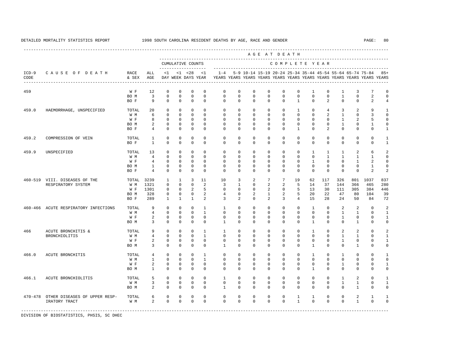----------------------------------------------------------------------------------------------------------------------------------------------------

 A G E A T D E A T H --------------------------------------------------------------------------------------------- CUMULATIVE COUNTS C O M P L E T E Y E A R ------------------- ----------------------------------------------------------------------- ICD-9 C A U S E O F D E A T H RACE ALL <1 <1 <28 <1 1-4 5-9 10-14 15-19 20-24 25-34 35-44 45-54 55-64 65-74 75-84 85+ CODE & SEX AGE DAY WEEK DAYS YEAR YEARS YEARS YEARS YEARS YEARS YEARS YEARS YEARS YEARS YEARS YEARS YEARS ---------------------------------------------------------------------------------------------------------------------------------------------------- 459 W F 12 0 0 0 0 0 0 0 0 0 0 1 0 1 3 7 0<br>BOM 3 0 0 0 0 0 0 0 0 0 0 0 0 1 0 2 0  $\begin{array}{ccccccc} 0 & 0 & 0 & 0 \end{array}$  BO F 9 0 0 0 0 0 0 0 0 0 1 0 2 0 0 2 4 459.0 HAEMORRHAGE, UNSPECIFIED TOTAL 20 0 0 0 0 0 0 0 0 0 1 0 4 3 2 9 1 W M 6 0 0 0 0 0 0 0 0 0 0 0 2 1 0 3 0 W F 8 0 0 0 0 0 0 0 0 0 0 0 0 0 1 2 5 0 BOM 2 0 0 0 0 0 0 0 0 0 0 0 0 1 0 1 0 BO F 4 0 0 0 0 0 0 0 0 0 1 0 2 0 0 0 1 459.2 COMPRESSION OF VEIN TOTAL 1 0 0 0 0 0 0 0 0 0 0 0 0 0 0 0 1 BO F 1 0 0 0 0 0 0 0 0 0 0 0 0 0 0 0 1 459.9 UNSPECIFIED TOTAL 13 0 0 0 0 0 0 0 0 0 0 1 1 1 2 6 2 W M 4 0 0 0 0 0 0 0 0 0 0 0 1 1 1 1 0 W F 4 0 0 0 0 0 0 0 0 0 0 1 0 0 1 2 0 BOM 1 0 0 0 0 0 0 0 0 0 0 0 0 0 0 0 1 0<br>BOF 4 0 0 0 0 0 0 0 0 0 0 0 0 0 0 0 2 2 BOF 4 0 0 0 0 0 0 0 0 0 0 0 0 0 0 2 2 460-519 VIII. DISEASES OF THE TOTAL 3239 1 1 3 11 10 3 2 7 7 19 62 117 326 801 1037 837 RESPIRATORY SYSTEM W M 1321 0 0 0 2 3 1 0 2 2 5 14 37 144 366 465 280 W F 1301 0 0 2 5 0 0 0 2 0 5 13 30 111 305 384 446 BO M 328 0 0 0 2 4 0 2 1 2 5 20 22 47 80 104 39 BO F 289 1 1 1 2 3 2 0 2 3 4 15 28 24 50 84 72 460-466 ACUTE RESPIRATORY INFECTIONS TOTAL 9 0 0 0 1 1 0 0 0 0 0 1 0 2 2 0 2

|             |                                         | W M   | 4      | 0                 | 0                |                   |                   |             | 0             |             | 0                          |             | 0                | 0           |              |          |   |          |   |
|-------------|-----------------------------------------|-------|--------|-------------------|------------------|-------------------|-------------------|-------------|---------------|-------------|----------------------------|-------------|------------------|-------------|--------------|----------|---|----------|---|
|             |                                         | W F   | 2<br>3 | 0<br>$\mathbf{0}$ | 0<br>$\mathbf 0$ | 0<br>$\mathbf{0}$ | 0<br>$\mathbf{0}$ |             | 0<br>$\Omega$ | 0<br>0      | $\mathbb O$<br>$\mathbf 0$ | $\Omega$    | $\mathbf 0$<br>0 | 0           | $\mathbf{0}$ | $\Omega$ | 0 | 0        |   |
|             |                                         | BO M  |        |                   |                  |                   |                   |             |               |             |                            |             |                  |             |              |          |   |          |   |
| 466         | ACUTE BRONCHITIS &                      | TOTAL | 9      | 0                 | $\Omega$         |                   |                   |             | 0             |             | 0                          |             | 0                |             | 0            | 2        | 2 |          |   |
|             | BRONCHIOLITIS                           | W M   | 4      |                   |                  |                   |                   |             | 0             |             | $\mathbf 0$                |             | $\mathbf 0$      | 0           |              |          |   |          |   |
|             |                                         | W F   | 2      | 0                 | 0                | 0                 | 0                 |             | 0             | 0           | 0                          |             | $\mathbf 0$      | 0           |              |          | 0 |          |   |
|             |                                         | BO M  | 3      | 0                 | $\mathbf 0$      | $\mathbf{0}$      | $\mathbf{0}$      |             | $\mathbf 0$   | $\Omega$    | $\mathbf 0$                | $\mathbf 0$ | 0                |             | $\mathbf 0$  | 0        |   | 0        | 0 |
| 466.0       | ACUTE BRONCHITIS                        | TOTAL | 4      |                   | 0                |                   |                   |             | $\Omega$      |             | 0                          |             | 0                |             |              |          | 0 |          |   |
|             |                                         | W M   |        | 0                 | $\Omega$         |                   |                   |             | 0             |             | $\circ$                    |             | $\mathbf 0$      | 0           | 0            |          | 0 |          |   |
|             |                                         | W F   | 2      | 0                 | $\Omega$         | $\Omega$          | $\Omega$          |             | $\Omega$      |             | 0                          |             | 0                | 0           |              |          | 0 |          |   |
|             |                                         | BO M  |        | 0                 | 0                | $\Omega$          | $\Omega$          |             | $\Omega$      |             | $\Omega$                   |             | 0                |             |              |          | 0 |          |   |
| 466.1       | ACUTE BRONCHIOLITIS                     | TOTAL | 5      | 0                 | $\Omega$         |                   | 0                 |             | 0             |             | $\mathbf 0$                |             | 0                | 0           |              |          | 2 | 0        |   |
|             |                                         | W M   | 3      | 0                 | 0                | 0                 | 0                 |             | 0             |             | $\mathbb O$                |             | $\mathbf 0$      | 0           |              |          |   |          |   |
|             |                                         | BO M  | 2      | 0                 | $\Omega$         | $\Omega$          | $\mathbf{0}$      |             | $\Omega$      | O           | $\mathbf 0$                | $\cap$      | $\mathbf 0$      | $\Omega$    | O            | 0        |   | $\Omega$ |   |
| $470 - 478$ | OTHER DISEASES OF<br><b>UPPER RESP-</b> | TOTAL | 6      | 0                 | 0                | 0                 | 0                 | 0           | 0             | 0           | 0                          |             |                  |             | 0            |          | 2 |          |   |
|             | IRATORY TRACT                           | W M   | 2      | 0                 | $\mathbf 0$      | $\mathbf{0}$      | $\mathbf 0$       | $\mathbf 0$ | $\mathbf 0$   | $\mathbf 0$ | $\mathbf 0$                | $\Omega$    |                  | $\mathbf 0$ | $\mathbf 0$  | $\Omega$ |   | $\Omega$ |   |
|             |                                         |       |        |                   |                  |                   |                   |             |               |             |                            |             |                  |             |              |          |   |          |   |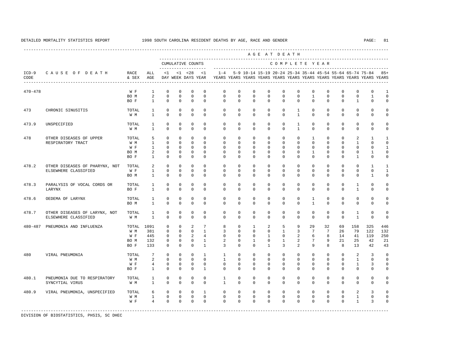---------------------------------------------------------------------------------------------------------------------------------------------------- A G E A T D E A T H --------------------------------------------------------------------------------------------- CUMULATIVE COUNTS C O M P L E T E Y E A R ------------------- ----------------------------------------------------------------------- ICD-9 C A U S E O F D E A T H RACE ALL <1 <1 <28 <1 1-4 5-9 10-14 15-19 20-24 25-34 35-44 45-54 55-64 65-74 75-84 85+ CODE & SEX AGE DAY WEEK DAYS YEAR YEARS YEARS YEARS YEARS YEARS YEARS YEARS YEARS YEARS YEARS YEARS YEARS ---------------------------------------------------------------------------------------------------------------------------------------------------- 470-478 W F 1 0 0 0 0 0 0 0 0 0 0 0 0 0 0 0 1 BOM 2 0 0 0 0 0 0 0 0 0 0 0 0 0 0 1 0 BOF 1 0 0 0 0 0 0 0 0 0 0 0 0 0 1 0 0 473 CHRONIC SINUSITIS TOTAL 1 0 0 0 0 0 0 0 0 0 1 0 0 0 0 0 0 W M 1 0 0 0 0 0 0 0 0 0 1 0 0 0 0 0 0 473.9 UNSPECIFIED TOTAL 1 0 0 0 0 0 0 0 0 0 1 0 0 0 0 0 0 W M 1 0 0 0 0 0 0 0 0 0 1 0 0 0 0 0 0 478 OTHER DISEASES OF UPPER TOTAL 5 0 0 0 0 0 0 0 0 0 0 1 0 0 2 1 1 RESPIRATORY TRACT W M 1 0 0 0 0 0 0 0 0 0 0 0 0 0 1 0 0 W F 1 0 0 0 0 0 0 0 0 0 0 0 0 0 0 0 1 BOM 2 0 0 0 0 0 0 0 0 0 0 0 0 0 0 1 0 BOF 1 0 0 0 0 0 0 0 0 0 0 0 0 0 1 0 0 478.2 OTHER DISEASES OF PHARYNX, NOT TOTAL 2 0 0 0 0 0 0 0 0 0 0 0 0 0 0 0 0 0 1 1<br>ELSEWHERE CLASSIFIED WF 1 0 0 0 0 0 0 0 0 0 0 0 0 0 0 0 0 0 ELSEWHERE CLASSIFIED W F 1 0 0 0 0 0 0 0 0 0 0 0 0 0 0 0 1 BO M 1 0 0 0 0 0 0 0 0 0 0 0 0 0 0 1 0 478.3 PARALYSIS OF VOCAL CORDS OR TOTAL 1 0 0 0 0 0 0 0 0 0 0 0 0 0 1 0 0 LARYNX BO F 1 0 0 0 0 0 0 0 0 0 0 0 0 0 1 0 0 478.6 OEDEMA OF LARYNX TOTAL 1 0 0 0 0 0 0 0 0 0 0 1 0 0 0 0 0 BO M 1 0 0 0 0 0 0 0 0 0 0 1 0 0 0 0 0 478.7 OTHER DISEASES OF LARYNX, NOT TOTAL 1 0 0 0 0 0 0 0 0 0 0 0 0 0 0 0 0 1 0 0<br>ELSEWHERE CLASSIFIED WM 1 0 0 0 0 0 0 0 0 0 0 0 0 0 0 1 0 0 ELSEWHERE CLASSIFIED W M 1 0 0 0 0 0 0 0 0 0 0 0 0 0 1 0 0 480-487 PNEUMONIA AND INFLUENZA TOTAL 1091 0 0 2 7 8 0 1 2 5 9 29 32 69 158 325 446 W M 381 0 0 0 1 3 0 0 0 1 3 7 7 26 79 122 132 W F 445 0 0 2 4 0 0 0 1 0 2 6 8 14 41 119 250 BO M 132 0 0 0 1 2 0 1 0 1 2 7 9 21 25 42 21 BO F 133 0 0 0 1 3 0 0 1 3 2 9 8 8 13 42 43 480 VIRAL PNEUMONIA TOTAL 7 0 0 0 1 1 0 0 0 0 0 0 0 0 2 3 0 W M 2 0 0 0 0 1 0 0 0 0 0 0 0 0 0 1 0 0 W F 4 0 0 0 0 0 0 0 0 0 0 0 0 0 0 1 3 0 BO F 1 0 0 0 1 0 0 0 0 0 0 0 0 0 0 0 0 480.1 PNEUMONIA DUE TO RESPIRATORY TOTAL 1 0 0 0 0 1 0 0 0 0 0 0 0 0 0 0 0 SYNCYTIAL VIRUS W M 1 0 0 0 0 1 0 0 0 0 0 0 0 0 0 0 0 480.9 VIRAL PNEUMONIA, UNSPECIFIED TOTAL 6 0 0 0 1 0 0 0 0 0 0 0 0 0 2 3 0 W M 1 0 0 0 0 0 0 0 0 0 0 0 0 0 1 0 0 W F 4 0 0 0 0 0 0 0 0 0 0 0 0 0 0 1 3 0 -----------------------------------------------------------------------------------------------------------------------------------------------------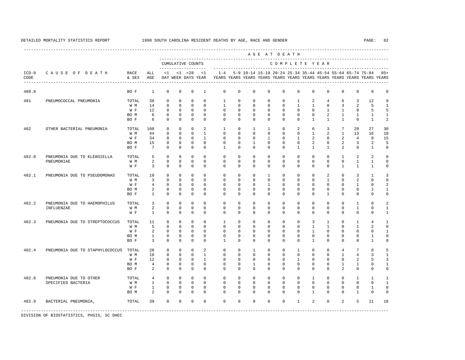----------------------------------------------------------------------------------------------------------------------------------------------------

 A G E A T D E A T H --------------------------------------------------------------------------------------------- CUMULATIVE COUNTS C O M P L E T E Y E A R ------------------- ----------------------------------------------------------------------- ICD-9 C A U S E O F D E A T H RACE ALL <1 <1 <28 <1 1-4 5-9 10-14 15-19 20-24 25-34 35-44 45-54 55-64 65-74 75-84 85+ CODE & SEX AGE DAY WEEK DAYS YEAR YEARS YEARS YEARS YEARS YEARS YEARS YEARS YEARS YEARS YEARS YEARS YEARS ---------------------------------------------------------------------------------------------------------------------------------------------------- 480.9 BO F 1 0 0 0 1 0 0 0 0 0 0 0 0 0 0 0 0 481 PNEUMOCOCCAL PNEUMONIA TOTAL 38 0 0 0 0 1 0 0 0 0 1 2 4 6 3 12 9 W M 14 0 0 0 0 1 0 0 0 0 1 1 0 3 2 5 1 W F 12 0 0 0 0 0 0 0 0 0 0 0 0 1 1 0 5 5 BOM 6 0 0 0 0 0 0 0 0 0 0 0 0 2 1 1 1 1 BO F 6 0 0 0 0 0 0 0 0 0 0 1 1 1 0 1 2 482 OTHER BACTERIAL PNEUMONIA TOTAL 100 0 0 0 2 1 0 1 1 0 2 6 3 7 20 27 30 W M 44 0 0 0 1 0 0 0 0 0 0 1 2 1 13 16 10 W F 34 0 0 0 1 0 0 0 0 1 0 1 2 0 2 4 8 15 BO M 15 0 0 0 0 0 0 1 0 0 0 2 0 2 3 2 5 BO F 7 0 0 0 0 1 0 0 0 0 1 1 1 2 0 1 0 482.0 PNEUMONIA DUE TO KLEBSIELLA TOTAL 5 0 0 0 0 0 0 0 0 0 0 0 0 1 2 2 0 PNEUMONIAE W M 2 0 0 0 0 0 0 0 0 0 0 0 0 0 1 1 0 W F 3 0 0 0 0 0 0 0 0 0 0 0 0 0 1 1 1 0 482.1 PNEUMONIA DUE TO PSEUDOMONAS TOTAL 10 0 0 0 0 0 0 0 1 0 0 0 2 0 3 1 3 W M 3 0 0 0 0 0 0 0 0 0 0 0 1 0 2 0 0 W F 4 0 0 0 0 0 0 0 0 1 0 0 0 0 0 0 1 0 2 BOM 2 0 0 0 0 0 0 0 0 0 0 0 0 0 0 1 1 BO F 1 0 0 0 0 0 0 0 0 0 0 0 1 0 0 0 0 482.2 PNEUMONIA DUE TO HAEMOPHILUS TOTAL 3 0 0 0 0 0 0 0 0 0 0 0 0 0 1 0 2 INFLUENZAE W M 2 0 0 0 0 0 0 0 0 0 0 0 0 0 1 0 1 W F 1 0 0 0 0 0 0 0 0 0 0 0 0 0 0 0 1 482.3 PNEUMONIA DUE TO STREPTOCOCCUS TOTAL 11 0 0 0 0 0 1 0 0 0 0 0 0 0 0 3 1 0 1 4 1 1<br>
W M 5 0 0 0 0 0 0 0 0 0 0 0 1 1 0 1 2 0 W M M 5 0 0 0 0 0 0 0 0 0 0 0 0 0 1 1 0 1 2 0 W F 2 0 0 0 0 0 0 0 0 0 0 0 0 0 0 1 BO M 1 0 0 0 0 0 0 0 0 0 0 0 0 0 0 1 0 BO F 3 0 0 0 0 1 0 0 0 0 0 1 0 0 0 1 0 482.4 PNEUMONIA DUE TO STAPHYLOCOCCUS TOTAL 28 0 0 0 2 0 0 1 0 0 1 0 0 4 7 8 5 W M 10 0 0 0 1 0 0 0 0 0 0 0 0 1 4 3 1 W F 12 0 0 0 1 0 0 0 0 0 0 0 0 0 0 2 5 3 BO M 4 0 0 0 0 0 0 1 0 0 0 0 0 1 1 0 1 BOF 2 0 0 0 0 0 0 0 0 0 0 0 0 2 0 0 0 482.8 PNEUMONIA DUE TO OTHER TOTAL 4 0 0 0 0 0 0 0 0 0 0 0 0 0 0 1 0 0 1 1 1 1 1 0 0 1 0 0 1 0 0 1 0 0 1 0 0 1 SPECIFIED BACTERIA W F 1 0 0 0 0 0 0 0 0 0 0 0 0 0 0 1 0 BOM 2 0 0 0 0 0 0 0 0 0 0 0 1 0 0 1 0 0 482.9 BACTERIAL PNEUMONIA, TOTAL 39 0 0 0 0 0 0 0 0 0 1 2 0 2 5 11 18 -----------------------------------------------------------------------------------------------------------------------------------------------------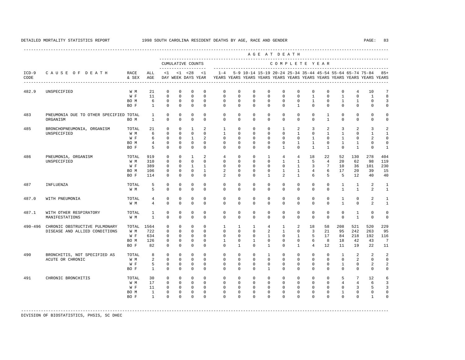---------------------------------------------------------------------------------------------------------------------------------------------------- A G E A T D E A T H --------------------------------------------------------------------------------------------- CUMULATIVE COUNTS C O M P L E T E Y E A R ------------------- ----------------------------------------------------------------------- ICD-9 C A U S E O F D E A T H RACE ALL <1 <1 <28 <1 1-4 5-9 10-14 15-19 20-24 25-34 35-44 45-54 55-64 65-74 75-84 85+ CODE & SEX AGE DAY WEEK DAYS YEAR YEARS YEARS YEARS YEARS YEARS YEARS YEARS YEARS YEARS YEARS YEARS YEARS ---------------------------------------------------------------------------------------------------------------------------------------------------- 482.9 UNSPECIFIED W M 21 0 0 0 0 0 0 0 0 0 0 0 0 0 4 10 7 W F 11 0 0 0 0 0 0 0 0 0 0 1 0 1 0 1 8 BOM 6 0 0 0 0 0 0 0 0 0 0 0 1 0 1 1 0 3 BO F 1 0 0 0 0 0 0 0 0 0 1 0 0 0 0 0 0 483 PNEUMONIA DUE TO OTHER SPECIFIED TOTAL 1 0 0 0 0 0 0 0 0 0 0 0 1 0 0 0 0 ORGANISM BO M 1 0 0 0 0 0 0 0 0 0 0 0 1 0 0 0 0 485 BRONCHOPNEUMONIA, ORGANISM TOTAL 21 0 0 1 2 1 0 0 0 1 2 3 2 3 2 3 2 UNSPECIFIED W M 6 0 0 0 0 1 0 0 0 0 1 0 1 1 0 1 1 W F 6 0 0 1 2 0 0 0 0 0 0 0 1 0 1 0 2 0 BOM 4 0 0 0 0 0 0 0 0 0 0 1 1 0 1 1 0 0 BOF 5 0 0 0 0 0 0 0 0 0 1 0 1 0 0 1 0 1 486 PNEUMONIA, ORGANISM TOTAL 919 0 0 1 2 4 0 0 1 4 4 18 22 52 130 278 404 W M 310 0 0 0 0 0 0 0 0 0 0 1 1 5 4 20 62 98<br>W F 389 0 0 1 1 0 0 0 0 0 0 1 3 7 10 36 101 W F 389 0 0 1 1 0 0 0 0 0 1 3 7 10 36 101 230 BO M 106 0 0 0 1 2 0 0 0 1 1 4 6 17 20 39 15 BO F 114 0 0 0 0 2 0 0 1 2 1 6 5 5 12 40 40 487 INFLUENZA TOTAL 5 0 0 0 0 0 0 0 0 0 0 0 0 1 1 2 1 W M M 5 0 0 0 0 0 0 0 0 0 0 0 0 0 0 1 1 2 1 487.0 WITH PNEUMONIA TOTAL 4 0 0 0 0 0 0 0 0 0 0 0 0 1 0 2 1 W M 4 0 0 0 0 0 0 0 0 0 0 0 0 1 0 2 1 487.1 WITH OTHER RESPIRATORY TOTAL 1 0 0 0 0 0 0 0 0 0 0 0 0 0 1 0 0 MANIFESTATIONS W M 1 0 0 0 0 0 0 0 0 0 0 0 0 0 1 0 0 490-496 CHRONIC OBSTRUCTIVE PULMONARY TOTAL 1564 0 0 0 0 1 1 1 4 1 2 18 58 208 521 520 229 DISEASE AND ALLIED CONDITIONS W M 722 0 0 0 0 0 0 0 2 1 0 3 21 95 242 263 95 W F 634 0 0 0 0 0 0 0 1 0 1 5 17 84 218 192 116 BO M 126 0 0 0 0 1 0 1 0 0 0 6 8 18 42 43 7 BO F 82 0 0 0 0 0 1 0 1 0 1 4 12 11 19 22 11 490 BRONCHITIS, NOT SPECIFIED AS TOTAL 8 0 0 0 0 0 0 0 1 0 0 0 0 1 2 2 2 ACUTE OR CHRONIC W M 2 0 0 0 0 0 0 0 0 0 0 0 0 0 2 0 0 W F 5 0 0 0 0 0 0 0 0 0 0 0 0 0 1 0 2 2 BO F 1 0 0 0 0 0 0 0 1 0 0 0 0 0 0 0 0 491 CHRONIC BRONCHITIS TOTAL 30 0 0 0 0 0 0 0 0 0 0 0 0 0 5 7 12 6<br>W M 17 0 0 0 0 0 0 0 0 0 0 0 0 0 0 4 4 6 3 W M 17 0 0 0 0 0 0 0 0 0 0 0 0 0 0 4 4 6 3 W F 11 0 0 0 0 0 0 0 0 0 0 0 0 0 0 3 5 3 BO M 1 0 0 0 0 0 0 0 0 0 0 0 0 1 0 0 0 BO F 1 0 0 0 0 0 0 0 0 0 0 0 0 0 0 1 0 -----------------------------------------------------------------------------------------------------------------------------------------------------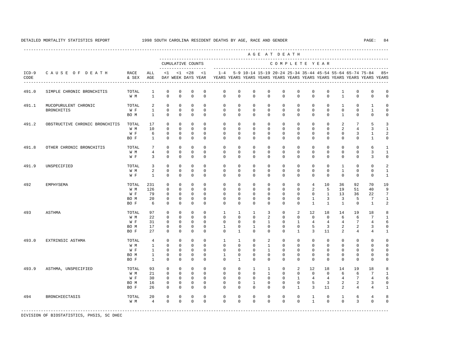----------------------------------------------------------------------------------------------------------------------------------------------------

 A G E A T D E A T H --------------------------------------------------------------------------------------------- CUMULATIVE COUNTS C O M P L E T E Y E A R ------------------- ----------------------------------------------------------------------- ICD-9 C A U S E O F D E A T H RACE ALL <1 <1 <28 <1 1-4 5-9 10-14 15-19 20-24 25-34 35-44 45-54 55-64 65-74 75-84 85+ CODE & SEX AGE DAY WEEK DAYS YEAR YEARS YEARS YEARS YEARS YEARS YEARS YEARS YEARS YEARS YEARS YEARS YEARS ---------------------------------------------------------------------------------------------------------------------------------------------------- 491.0 SIMPLE CHRONIC BRONCHITIS TOTAL 1 0 0 0 0 0 0 0 0 0 0 0 0 1 0 0 0 W M 1 0 0 0 0 0 0 0 0 0 0 0 0 1 0 0 0 491.1 MUCOPURULENT CHRONIC TOTAL 2 0 0 0 0 0 0 0 0 0 0 0 0 1 0 1 0 BRONCHITIS W F 1 0 0 0 0 0 0 0 0 0 0 0 0 0 0 1 0 BO M 1 0 0 0 0 0 0 0 0 0 0 0 0 1 0 0 0 491.2 OBSTRUCTIVE CHRONIC BRONCHITIS TOTAL 17 0 0 0 0 0 0 0 0 0 0 0 0 0 0 0 2 7 5 3<br>W M 10 0 0 0 0 0 0 0 0 0 0 0 0 0 0 0 2 4 3 1 W M 10 0 0 0 0 0 0 0 0 0 0 0 0 2 4 3 1 W F G O O O O O O O O O O O O O O 3 1 2 BO F 1 0 0 0 0 0 0 0 0 0 0 0 0 0 0 1 0 491.8 OTHER CHRONIC BRONCHITIS TOTAL 7 0 0 0 0 0 0 0 0 0 0 0 0 0 0 6 1 W M M 4 0 0 0 0 0 0 0 0 0 0 0 0 0 0 0 0 3 1 W F 3 0 0 0 0 0 0 0 0 0 0 0 0 0 0 3 0 491.9 UNSPECIFIED TOTAL 3 0 0 0 0 0 0 0 0 0 0 0 0 1 0 0 2 W M 2 0 0 0 0 0 0 0 0 0 0 0 0 1 0 0 1 W F 1 0 0 0 0 0 0 0 0 0 0 0 0 0 0 0 1 492 EMPHYSEMA TOTAL 231 0 0 0 0 0 0 0 0 0 0 4 10 36 92 70 19 W M 126 0 0 0 0 0 0 0 0 0 0 2 5 19 51 40 9 W F 79 0 0 0 0 0 0 0 0 0 0 0 1 13 36 22 7 BOM 20 0 0 0 0 0 0 0 0 0 0 1 3 3 5 7 1 BO F 6 0 0 0 0 0 0 0 0 0 0 1 1 1 0 1 2 493 ASTHMA TOTAL 97 0 0 0 0 1 1 1 3 0 2 12 18 14 19 18 8 W M 22 0 0 0 0 0 0 0 2 0 0 0 0 6 6 7 1 W F 31 0 0 0 0 0 0 0 0 1 0 1 4 4 4 7 4 6 BO M 17 0 0 0 0 1 0 1 0 0 0 5 3 2 2 3 0 BO F 27 0 0 0 0 0 1 0 0 0 1 3 11 2 4 4 1 493.0 EXTRINSIC ASTHMA TOTAL 4 0 0 0 0 1 1 0 2 0 0 0 0 0 0 0 0 W M 1 0 0 0 0 0 0 0 1 0 0 0 0 0 0 0 0 W F 1 0 0 0 0 0 0 0 1 0 0 0 0 0 0 0 0 BO M 1 0 0 0 0 1 0 0 0 0 0 0 0 0 0 0 0 BOF 1 0 0 0 0 0 1 0 0 0 0 0 0 0 0 0 0 0 493.9 ASTHMA, UNSPECIFIED TOTAL 93 0 0 0 0 0 0 1 1 0 2 12 18 14 19 18 8 W M 21 0 0 0 0 0 0 0 0 0 0 0 0 0 6 6 7 1 W F 30 0 0 0 0 0 0 0 0 0 0 1 4 4 4 7 4 6 BO M 16 0 0 0 0 0 0 1 0 0 0 5 3 2 2 3 0 BO F 26 0 0 0 0 0 0 0 0 0 1 3 11 2 4 4 1 494 BRONCHIECTASIS TOTAL 20 0 0 0 0 0 0 0 0 0 0 1 0 1 6 4 8 W M 4 0 0 0 0 0 0 0 0 0 0 1 0 0 3 0 0

-----------------------------------------------------------------------------------------------------------------------------------------------------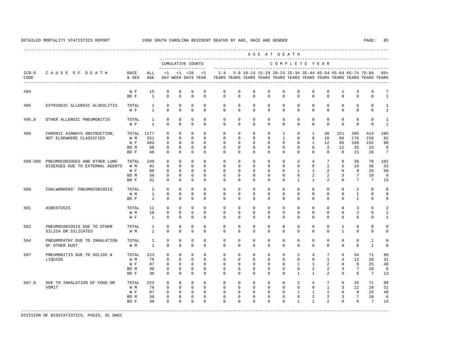---------------------------------------------------------------------------------------------------------------------------------------------------- A G E A T D E A T H --------------------------------------------------------------------------------------------- CUMULATIVE COUNTS C O M P L E T E Y E A R ------------------- ----------------------------------------------------------------------- ICD-9 C A U S E O F D E A T H RACE ALL <1 <1 <28 <1 1-4 5-9 10-14 15-19 20-24 25-34 35-44 45-54 55-64 65-74 75-84 85+ CODE & SEX AGE DAY WEEK DAYS YEAR YEARS YEARS YEARS YEARS YEARS YEARS YEARS YEARS YEARS YEARS YEARS YEARS ---------------------------------------------------------------------------------------------------------------------------------------------------- 494 W F 15 0 0 0 0 0 0 0 0 0 0 0 1 3 4 7<br>BOF 1 0 0 0 0 0 0 0 0 0 0 0 0 0 0 0 0 1 BOF 1 0 0 0 0 0 0 0 0 0 0 0 0 0 0 0 1 495 EXTRINSIC ALLERGIC ALVEOLITIS TOTAL 1 0 0 0 0 0 0 0 0 0 0 0 0 0 0 0 1 W F 1 0 0 0 0 0 0 0 0 0 0 0 0 0 0 0 1 495.8 OTHER ALLERGIC PNEUMONITIS TOTAL 1 0 0 0 0 0 0 0 0 0 0 0 0 0 0 0 1 W F 1 0 0 0 0 0 0 0 0 0 0 0 0 0 0 0 1 496 CHRONIC AIRWAYS OBSTRUCTION, TOTAL 1177 0 0 0 0 0 0 0 0 0 1 0 1 30 151 395 414 185<br>NOT RISEWHERE CLASSIFIED WIM 551 0 0 0 0 0 0 0 0 1 0 0 16 66 176 210 82 NOT ELSEWHERE CLASSIFIED  $\begin{array}{ccc} \mathbb{W} & \mathbb{M} \\ \mathbb{W} & \mathbb{F} \end{array}$  W F 492 0 0 0 0 0 0 0 0 0 0 1 12 65 169 155 90 BO M 88 0 0 0 0 0 0 0 0 0 0 0 2 12 35 33 6 BO F 46 0 0 0 0 0 0 0 0 0 0 0 0 8 15 16 7 500-508 PNEUMOCONIOSES AND OTHER LUNG TOTAL 240 0 0 0 0 0 0 0 0 0 2 4 7 8 39 78 102 DISEASES DUE TO EXTERNAL AGENTS WH 91 0 0 0 0 0 0 0 0 0 0 0 0 0 0 1 5 16 36 33 W F 88 0 0 0 0 0 0 0 0 0 0 1 1 2 0 9 25 50 BO M 30 0 0 0 0 0 0 0 0 0 0 2 2 3 7 10 6 BO F 31 0 0 0 0 0 0 0 0 0 1 1 2 0 7 7 13 500 COALWORKERS' PNEUMOCONIOSIS TOTAL 2 0 0 0 0 0 0 0 0 0 0 0 0 0 0 0 0 2 0 0 0 0 0 0 0 0 0 0 0 0 0 0 0 0 0 0 0 W M 1 0 0 0 0 0 0 0 0 0 0 0 0 0 1 0 0 BOF 1 0 0 0 0 0 0 0 0 0 0 0 0 0 1 0 0 501 ASBESTOSIS TOTAL 11 0 0 0 0 0 0 0 0 0 0 0 0 0 3 6 2 W M 10 0 0 0 0 0 0 0 0 0 0 0 0 0 3 6 1 W F 1 0 0 0 0 0 0 0 0 0 0 0 0 0 0 0 1 502 PNEUMOCONIOSIS DUE TO OTHER TOTAL 1 0 0 0 0 0 0 0 0 0 0 0 0 1 0 0 0 SILICA OR SILICATES W M 1 0 0 0 0 0 0 0 0 0 0 0 0 1 0 0 0 504 PNEUMOPATHY DUE TO INHALATION TOTAL 1 0 0 0 0 0 0 0 0 0 0 0 0 0 0 1 0 OF OTHER DUST W M 1 0 0 0 0 0 0 0 0 0 0 0 0 0 0 1 0 507 PNEUMONITIS DUE TO SOLIDS & TOTAL 223 0 0 0 0 0 0 0 0 0 2 4 7 6 34 71 99 LIQUIDS W M 76 0 0 0 0 0 0 0 0 0 0 0 1 3 12 29 31 W F 87 0 0 0 0 0 0 0 0 0 1 1 2 0 9 25 49 BO M 30 0 0 0 0 0 0 0 0 0 0 2 2 3 7 10 6 BO F 30 0 0 0 0 0 0 0 0 0 1 1 2 0 6 7 13 507.0 DUE TO INHALATION OF FOOD OR TOTAL 223 0 0 0 0 0 0 0 0 0 2 4 7 6 34 71 99 VOMIT W M 76 0 0 0 0 0 0 0 0 0 0 0 1 3 12 29 31 W F 87 0 0 0 0 0 0 0 0 0 1 1 2 0 9 25 49 BO M 30 0 0 0 0 0 0 0 0 0 0 2 2 3 7 10 6 BO F 30 0 0 0 0 0 0 0 0 0 1 1 2 0 6 7 13 -----------------------------------------------------------------------------------------------------------------------------------------------------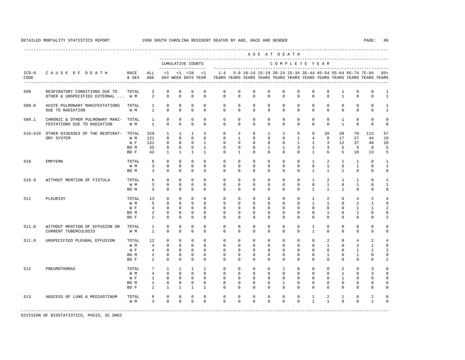|                 |                                                                      |                                     |                                                                             |                                                                         |                                                                       |                                                                                    |                                                                           |                                                                                                       |                                                                           |                                                               | AGE AT DEATH                                                         |                                                                 |                                                           |                                                                            |                                                                  |                                                                 |                                                                    |                                                              |                                                                                  |
|-----------------|----------------------------------------------------------------------|-------------------------------------|-----------------------------------------------------------------------------|-------------------------------------------------------------------------|-----------------------------------------------------------------------|------------------------------------------------------------------------------------|---------------------------------------------------------------------------|-------------------------------------------------------------------------------------------------------|---------------------------------------------------------------------------|---------------------------------------------------------------|----------------------------------------------------------------------|-----------------------------------------------------------------|-----------------------------------------------------------|----------------------------------------------------------------------------|------------------------------------------------------------------|-----------------------------------------------------------------|--------------------------------------------------------------------|--------------------------------------------------------------|----------------------------------------------------------------------------------|
|                 |                                                                      |                                     |                                                                             |                                                                         |                                                                       | CUMULATIVE COUNTS<br>--------------------                                          |                                                                           |                                                                                                       |                                                                           |                                                               |                                                                      | COMPLETE YEAR                                                   |                                                           |                                                                            |                                                                  |                                                                 |                                                                    |                                                              |                                                                                  |
| $ICD-9$<br>CODE | CAUSE OF DEATH                                                       | RACE<br>& SEX AGE                   | ALL                                                                         |                                                                         |                                                                       | $<1$ $<1$ $<28$                                                                    | < 1                                                                       | $1 - 4$<br>DAY WEEK DAYS YEAR YEARS YEARS YEARS YEARS YEARS YEARS YEARS YEARS YEARS YEARS YEARS YEARS |                                                                           |                                                               |                                                                      |                                                                 |                                                           |                                                                            |                                                                  |                                                                 | 5-9 10-14 15-19 20-24 25-34 35-44 45-54 55-64 65-74 75-84          |                                                              | $85+$                                                                            |
| 508             | RESPIRATORY CONDITIONS DUE TO<br>OTHER & UNSPECIFIED EXTERNAL  W M   | TOTAL                               | 2<br>$\overline{a}$                                                         | $\mathbf 0$<br>$\Omega$                                                 | $\mathbf{0}$<br>$\Omega$                                              | $\mathbf{0}$<br>$\Omega$                                                           | $\mathbf 0$<br>$\Omega$                                                   | $\mathbf 0$<br>$\Omega$                                                                               | $\mathbf 0$<br>$\Omega$                                                   | $\mathbf 0$<br>$\Omega$                                       | $\mathbf{0}$<br>$\Omega$                                             | $\circ$<br>$\Omega$                                             | $\mathbf 0$<br>$\Omega$                                   | $\mathbf{0}$<br>$\Omega$                                                   | $\circ$<br>$\Omega$                                              | $\mathbf{1}$<br>$\overline{1}$                                  | $\mathbf 0$<br>$\Omega$                                            | $\mathbf 0$<br>$\Omega$                                      | $\mathbf{1}$<br>$\mathbf{1}$                                                     |
| 508.0           | ACUTE PULMONARY MANIFESTATIONS<br>DUE TO RADIATION                   | TOTAL<br>W M                        | $\mathbf{1}$<br>$\mathbf{1}$                                                | 0<br>$\mathbf 0$                                                        | 0<br>$\mathbf 0$                                                      | 0<br>$\mathbf 0$                                                                   | 0<br>$\mathbf 0$                                                          | 0<br>$\mathbf 0$                                                                                      | 0<br>$\mathbf 0$                                                          | 0<br>$\mathbf 0$                                              | 0<br>$\mathbf 0$                                                     | $\circ$<br>$\circ$                                              | 0<br>$\mathbf 0$                                          | $\mathbf{0}$<br>$\mathbf 0$                                                | $\circ$<br>$\mathbf{0}$                                          | $\circ$<br>$\mathbf{0}$                                         | 0<br>$\mathbf 0$                                                   | 0<br>$\mathbf 0$                                             | 1<br>$\mathbf{1}$                                                                |
| 508.1           | CHRONIC & OTHER PULMONARY MANI- TOTAL<br>FESTATIONS DUE TO RADIATION | W M                                 | $\mathbf{1}$<br>$\mathbf{1}$                                                | $\mathbf 0$<br>$\Omega$                                                 | $\mathbf{0}$<br>$\Omega$                                              | $\mathbf{0}$<br>$\mathbf 0$                                                        | $\mathbf 0$<br>$\Omega$                                                   | $\mathbf 0$<br>$\Omega$                                                                               | $\mathbf 0$<br>$\Omega$                                                   | $\mathbf 0$<br>$\Omega$                                       | $\mathbf 0$<br>$\Omega$                                              | $\circ$<br>$\Omega$                                             | 0<br>$\Omega$                                             | $\mathbf 0$<br>$\Omega$                                                    | $\mathbf 0$<br>$\mathbf{0}$                                      | $\mathbf{1}$<br>$\mathbf{1}$                                    | $\mathbf 0$<br>$\mathbf 0$                                         | $\mathbf 0$<br>$\mathbf 0$                                   | $\mathbf 0$<br>$\mathbb O$                                                       |
|                 | 510-519 OTHER DISEASES OF THE RESPIRAT-<br>ORY SYSTEM                | TOTAL<br>W M<br>W F<br>BO M<br>BO F | 329<br>121<br>131<br>35<br>42                                               | 1<br>$\Omega$<br>$\mathbf 0$<br>$\mathbf 0$<br>$\overline{1}$           | $\mathbf{1}$<br>$\Omega$<br>$\Omega$<br>$\mathbf 0$<br>$\overline{1}$ | $\mathbf{1}$<br>$\Omega$<br>$\overline{0}$<br>$\overline{0}$<br>$\overline{1}$     | 3<br>$\Omega$<br>$\mathbf{1}$<br>$\mathbf{1}$<br>$\overline{1}$           | $\mathbf 0$<br>$\mathbf 0$<br>0<br>$\mathbf 0$<br>$\Omega$                                            | 2<br>$\mathbf{1}$<br>$\Omega$<br>$\Omega$<br>$\mathbf{1}$                 | $\mathbf 0$<br>$\Omega$<br>$^{\circ}$<br>$\Omega$<br>$\Omega$ | $\mathbf{1}$<br>$\Omega$<br>$\mathbf{0}$<br>$\mathbf{1}$<br>$\Omega$ | $\mathbf{1}$<br>$\Omega$<br>$\circ$<br>$\mathbf{1}$<br>$\Omega$ | 5<br>$\mathbf{1}$<br>$\overline{1}$<br>3<br>$\Omega$      | 9<br>$\overline{4}$<br>$\mathbf{1}$<br>$\overline{3}$<br>$\mathbf{1}$      | 20<br>8<br>3<br>$\overline{3}$<br>6                              | 39<br>17<br>12<br>5<br>5                                        | 79<br>27<br>37<br>5<br>10                                          | 113<br>44<br>48<br>8<br>13                                   | 57<br>19<br>28<br>5<br>5                                                         |
| 510             | EMPYEMA                                                              | TOTAL<br>W M<br>BO M                | 6<br>$\overline{3}$<br>3                                                    | $\mathbf 0$<br>$\Omega$<br>$\mathbf 0$                                  | $\mathbf 0$<br>$\Omega$<br>$\mathbf 0$                                | $\mathbf 0$<br>$\mathbf 0$<br>$\mathbf 0$                                          | $\Omega$<br>$\Omega$<br>$\mathbf 0$                                       | $^{\circ}$<br>$\Omega$<br>$\Omega$                                                                    | $^{\circ}$<br>$\Omega$<br>$\mathbf{0}$                                    | $\circ$<br>$\Omega$<br>$\Omega$                               | $\mathbf{0}$<br>$\Omega$<br>$\Omega$                                 | 0<br>$\circ$<br>$\Omega$                                        | 0<br>$\Omega$<br>$\Omega$                                 | $\mathbf{1}$<br>$\mathbf{0}$<br>$\mathbf{1}$                               | 2<br>$\mathbf{1}$<br>$\mathbf{1}$                                | $\mathbf{1}$<br>$\circ$<br>$\mathbf{1}$                         | 1<br>$\mathbf{1}$<br>$\mathbf 0$                                   | $^{\circ}$<br>$\Omega$<br>$\Omega$                           | 1<br>$\mathbf{1}$<br>$\mathbf 0$                                                 |
| 510.9           | WITHOUT MENTION OF FISTULA                                           | TOTAL<br>W M<br>BO M                | 6<br>$\overline{3}$<br>$\overline{3}$                                       | $\mathbf 0$<br>$\Omega$<br>$\Omega$                                     | $^{\circ}$<br>$\Omega$<br>$\mathbf 0$                                 | $\mathbf{0}$<br>$\mathbf{0}$<br>$\mathbf 0$                                        | $\mathbf 0$<br>$\Omega$<br>$\Omega$                                       | $\mathbf 0$<br>$\Omega$<br>$\Omega$                                                                   | $\mathbf 0$<br>$\Omega$<br>$\Omega$                                       | $\mathbf 0$<br>$\Omega$<br>$\Omega$                           | $\mathbf 0$<br>$\Omega$<br>$\Omega$                                  | $\circ$<br>$\mathbf 0$<br>$\Omega$                              | $\circ$<br>$\Omega$<br>$\mathbf 0$                        | $\mathbf{1}$<br>$\mathbf 0$<br>$\mathbf{1}$                                | 2<br>$\mathbf{1}$<br>$\mathbf{1}$                                | $\mathbf{1}$<br>$\mathbf 0$<br>$\mathbf{1}$                     | $\mathbf{1}$<br>$\mathbf{1}$<br>$\mathbf 0$                        | $\mathbf 0$<br>$\mathbf 0$<br>$\mathbf 0$                    | $\mathbf{1}$<br>$\mathbf{1}$<br>$\mathbf 0$                                      |
| 511             | PLEURISY                                                             | TOTAL<br>W M<br>W F<br>BO M<br>BO F | 13<br>5<br>4<br>2<br>$\overline{a}$                                         | $\mathbf 0$<br>$\Omega$<br>$\mathbb O$<br>$\mathbf{0}$<br>$\mathbf{0}$  | $\Omega$<br>$\Omega$<br>0<br>$\mathbf 0$<br>$\mathbf 0$               | $\overline{0}$<br>$\Omega$<br>$\mathbb O$<br>$\mathbf 0$<br>$\mathbf{0}$           | $\Omega$<br>$\Omega$<br>0<br>$\mathbf 0$<br>$\mathbf 0$                   | $\Omega$<br>$\Omega$<br>0<br>0<br>$\Omega$                                                            | $\Omega$<br>$\Omega$<br>0<br>$^{\circ}$<br>$\mathbf{0}$                   | $\Omega$<br>$\Omega$<br>0<br>$\mathbf{0}$<br>$\Omega$         | $\Omega$<br>$\Omega$<br>0<br>$\mathbf{0}$<br>0                       | $\Omega$<br>$\Omega$<br>$\circ$<br>0<br>$^{\circ}$              | $\Omega$<br>$\Omega$<br>0<br>$^{\circ}$<br>0              | $\mathbf{1}$<br>$\mathbf{1}$<br>$\mathbf{0}$<br>0<br>$\circ$               | 2<br>$\mathbf{1}$<br>$\circ$<br>$\mathbf{1}$<br>$^{\circ}$       | $\Omega$<br>$\Omega$<br>0<br>$^{\circ}$<br>$\Omega$             | $\overline{4}$<br>2<br>$\mathbf{1}$<br>1<br>$^{\circ}$             | 2<br>$\mathbf{1}$<br>1<br>0<br>$^{\circ}$                    | $\overline{4}$<br>$\Omega$<br>$\overline{a}$<br>$\mathbf 0$<br>$\overline{2}$    |
| 511.0           | WITHOUT MENTION OF EFFUSION OR<br>CURRENT TUBERCULOSIS               | TOTAL<br>W M                        | $\mathbf{1}$<br>$\mathbf{1}$                                                | $\mathbf 0$<br>$\mathbf 0$                                              | $\mathbf 0$<br>$\mathbf{0}$                                           | $\mathbf 0$<br>$\mathbf 0$                                                         | $\mathbf 0$<br>$\Omega$                                                   | $\mathbf 0$<br>$\Omega$                                                                               | $\mathbf 0$<br>$\Omega$                                                   | $\mathbf 0$<br>$\Omega$                                       | $\mathbf{0}$<br>$\Omega$                                             | $\circ$<br>$\Omega$                                             | $\mathbf 0$<br>$\Omega$                                   | $\mathbf{1}$<br>$\mathbf{1}$                                               | $\circ$<br>$\circ$                                               | $\circ$<br>$\Omega$                                             | $\mathbf 0$<br>$^{\circ}$                                          | $\mathbf 0$<br>$\mathbf 0$                                   | $\mathbb O$<br>$\mathbf 0$                                                       |
| 511.9           | UNSPECIFIED PLEURAL EFFUSION                                         | TOTAL<br>W M<br>W F<br>BO M<br>BO F | 12<br>$\overline{4}$<br>$4\overline{ }$<br>$\overline{a}$<br>$\overline{a}$ | $\mathbf{0}$<br>$\mathbf 0$<br>$\Omega$<br>$\Omega$<br>$\mathbf 0$      | $\mathbf{0}$<br>$^{\circ}$<br>$\Omega$<br>$\Omega$<br>$\mathbf 0$     | $\mathbf 0$<br>$\mathbf{0}$<br>$\overline{0}$<br>$\Omega$<br>$\mathbb O$           | $\Omega$<br>$\mathbf 0$<br>$\Omega$<br>$\Omega$<br>$\mathbf 0$            | $\mathbf 0$<br>$\mathbf 0$<br>$\Omega$<br>$\Omega$<br>$\mathbf 0$                                     | $\Omega$<br>$\mathbf 0$<br>$\Omega$<br>$\Omega$<br>$\mathbf 0$            | $\Omega$<br>$\circ$<br>$\Omega$<br>$\Omega$<br>$\mathbf 0$    | $\Omega$<br>$\mathbf{0}$<br>$\Omega$<br>$\Omega$<br>$\mathbf 0$      | $\circ$<br>$\circ$<br>$\mathbf 0$<br>$\Omega$<br>$\mathbf 0$    | $\Omega$<br>$\circ$<br>0<br>$\Omega$<br>$\mathbf 0$       | $\mathbf{0}$<br>$\mathbf{0}$<br>$\mathbf 0$<br>$\mathbf{0}$<br>$\mathbf 0$ | 2<br>$\mathbf{1}$<br>$\mathbf{0}$<br>$\mathbf{1}$<br>$\mathbf 0$ | $\Omega$<br>$\mathbf 0$<br>$\Omega$<br>$\Omega$<br>$\mathbf{0}$ | $\overline{4}$<br>2<br>$\mathbf{1}$<br>$\mathbf{1}$<br>$\mathbf 0$ | 2<br>$\mathbf{1}$<br>1<br>$\Omega$<br>$\mathbf 0$            | $\overline{4}$<br>$\mathbf 0$<br>$\overline{2}$<br>$\mathbf 0$<br>$\overline{2}$ |
| 512             | PNEUMOTHORAX                                                         | TOTAL<br>W M<br>W F<br>BO M<br>BO F | $7^{\circ}$<br>4<br>$\mathbf{1}$<br>$\mathbf{1}$<br>$\mathbf{1}$            | $\mathbf{1}$<br>$^{\circ}$<br>$^{\circ}$<br>$\mathbf 0$<br>$\mathbf{1}$ | $\mathbf{1}$<br>$\circ$<br>$^{\circ}$<br>0<br>$\mathbf{1}$            | $\mathbf{1}$<br>$\overline{0}$<br>$\overline{0}$<br>$\overline{0}$<br>$\mathbf{1}$ | $\mathbf{1}$<br>$\mathbf 0$<br>$\mathbf 0$<br>$\mathbf 0$<br>$\mathbf{1}$ | $\circ$<br>0<br>$\mathbf 0$<br>0<br>$\Omega$                                                          | $^{\circ}$<br>$\mathbf{0}$<br>$\mathbf{0}$<br>$\mathbf{0}$<br>$\mathbf 0$ | $\circ$<br>$\circ$<br>$\circ$<br>$\mathbf 0$<br>$\Omega$      | $\circ$<br>$\mathbf{0}$<br>$\circ$<br>$\mathbf{0}$<br>0              | $\mathbf{1}$<br>$\circ$<br>$\circ$<br>1<br>$\Omega$             | $^{\circ}$<br>$^{\circ}$<br>$\Omega$<br>$\mathbf{0}$<br>0 | $^{\circ}$<br>$\mathbf 0$<br>$\mathbf{0}$<br>$\mathbf 0$<br>$\Omega$       | $\mathbf{0}$<br>$^{\circ}$<br>$\circ$<br>$\circ$<br>$\mathbf{0}$ | 2<br>$\mathbf{1}$<br>1<br>$\mathbf 0$<br>$\Omega$               | $\circ$<br>0<br>$\Omega$<br>0<br>$\mathbf 0$                       | $\overline{3}$<br>3<br>$^{\circ}$<br>$\mathbf 0$<br>$\Omega$ | $\mathbf 0$<br>$\mathbb O$<br>$\mathbf 0$<br>$\mathbf 0$<br>$\mathbf 0$          |
| 513             | ABSCESS OF LUNG & MEDIASTINUM                                        | TOTAL<br>W M                        | 6<br>$\overline{3}$                                                         | $\mathbf{0}$<br>$\Omega$                                                | $\mathbf 0$<br>$\Omega$                                               | $\mathbf 0$<br>$\Omega$                                                            | $\mathbf 0$<br>$\Omega$                                                   | $\mathbf 0$<br>$\Omega$                                                                               | $\mathbf 0$<br>$\Omega$                                                   | $\mathbf 0$<br>$\Omega$                                       | $\mathbf{0}$<br>$\Omega$                                             | $\circ$<br>$\Omega$                                             | $\mathbf 0$<br>$\Omega$                                   | $\mathbf{1}$<br>$\mathbf{1}$                                               | 2<br>$\mathbf{1}$                                                | $\mathbf{1}$<br>$\Omega$                                        | $\mathbf 0$<br>$\Omega$                                            | 2<br>$\mathbf{1}$                                            | $\mathbf 0$<br>$\mathbb O$                                                       |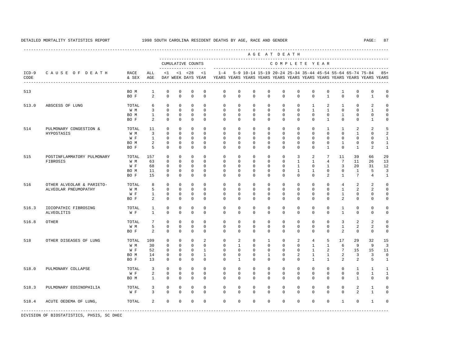---------------------------------------------------------------------------------------------------------------------------------------------------- A G E A T D E A T H --------------------------------------------------------------------------------------------- CUMULATIVE COUNTS C O M P L E T E Y E A R ------------------- ----------------------------------------------------------------------- ICD-9 C A U S E O F D E A T H RACE ALL <1 <1 <28 <1 1-4 5-9 10-14 15-19 20-24 25-34 35-44 45-54 55-64 65-74 75-84 85+ CODE & SEX AGE DAY WEEK DAYS YEAR YEARS YEARS YEARS YEARS YEARS YEARS YEARS YEARS YEARS YEARS YEARS YEARS ---------------------------------------------------------------------------------------------------------------------------------------------------- 513 BO M 1 0 0 0 0 0 0 0 0 0 0 0 0 1 0 0 0 BO F 2 0 0 0 0 0 0 0 0 0 0 0 1 0 0 1 0 513.0 ABSCESS OF LUNG TOTAL 6 0 0 0 0 0 0 0 0 0 0 1 2 1 0 2 0 W M 3 0 0 0 0 0 0 0 0 0 0 0 0 1 1 0 0 1 0 BO M 1 0 0 0 0 0 0 0 0 0 0 0 0 1 0 0 0 BO F 2 0 0 0 0 0 0 0 0 0 0 0 1 0 0 1 0 514 PULMONARY CONGESTION & TOTAL 11 0 0 0 0 0 0 0 0 0 0 0 1 1 2 2 5 HYPOSTASIS W M 3 0 0 0 0 0 0 0 0 0 0 0 0 0 1 0 2 W F 1 0 0 0 0 0 0 0 0 0 0 0 0 0 0 0 1 BOM 2 0 0 0 0 0 0 0 0 0 0 0 0 1 0 0 1 BO F 5 0 0 0 0 0 0 0 0 0 0 0 1 0 1 2 1 515 POSTINFLAMMATORY PULMONARY TOTAL 157 0 0 0 0 0 0 0 0 0 3 2 7 11 39 66 29 FIBROSIS W M 63 0 0 0 0 0 0 0 0 0 1 1 4 7 11 26 13 W F 68 0 0 0 0 0 0 0 0 0 0 1 0 1 3 20 31 12 BOM 11 0 0 0 0 0 0 0 0 0 0 0 1 1 0 0 1 1 5 3 BO F 15 0 0 0 0 0 0 0 0 0 0 0 2 1 7 4 1 516 OTHER ALVEOLAR & PARIETO- TOTAL 8 0 0 0 0 0 0 0 0 0 0 0 0 4 2 2 0 ALVEOLAR PNEUMOPATHY W M 5 0 0 0 0 0 0 0 0 0 0 0 0 0 1 2 2 0<br>W F 1 0 0 0 0 0 0 0 0 0 0 0 0 0 1 0 0 0 W F 1 0 0 0 0 0 0 0 0 0 0 0 0 1 0 0 0 BOF 2 0 0 0 0 0 0 0 0 0 0 0 0 2 0 0 0 516.3 IDIOPATHIC FIBROSING TOTAL 1 0 0 0 0 0 0 0 0 0 0 0 0 1 0 0 0 ALVEOLITIS WF 1 0 0 0 0 0 0 0 0 0 0 0 0 1 0 0 0 516.8 OTHER TOTAL 7 0 0 0 0 0 0 0 0 0 0 0 0 3 2 2 0 W M M 5 0 0 0 0 0 0 0 0 0 0 0 0 0 0 0 1 2 2 0 BOF 2 0 0 0 0 0 0 0 0 0 0 0 0 2 0 0 0 518 OTHER DISEASES OF LUNG TOTAL 109 0 0 0 2 0 2 0 1 0 2 4 5 17 29 32 15 W M 30 0 0 0 0 0 1 0 0 0 0 1 1 6 9 9 3 W F 52 0 0 0 1 0 0 0 0 0 0 1 2 7 15 15 11 BO M 14 0 0 0 1 0 0 0 1 0 2 1 1 2 3 3 0 BO F 13 0 0 0 0 0 1 0 0 0 0 1 1 2 2 5 1 518.0 PULMONARY COLLAPSE TOTAL 3 0 0 0 0 0 0 0 0 0 0 0 0 0 1 1 1 W F 2 0 0 0 0 0 0 0 0 0 0 0 0 0 0 1 1 BOM 1 0 0 0 0 0 0 0 0 0 0 0 0 0 0 1 0 0 518.3 PULMONARY EOSINOPHILIA TOTAL 3 0 0 0 0 0 0 0 0 0 0 0 0 0 2 1 0 W F 3 0 0 0 0 0 0 0 0 0 0 0 0 0 2 1 0 518.4 ACUTE OEDEMA OF LUNG, TOTAL 2 0 0 0 0 0 0 0 0 0 0 0 0 1 0 1 0 -----------------------------------------------------------------------------------------------------------------------------------------------------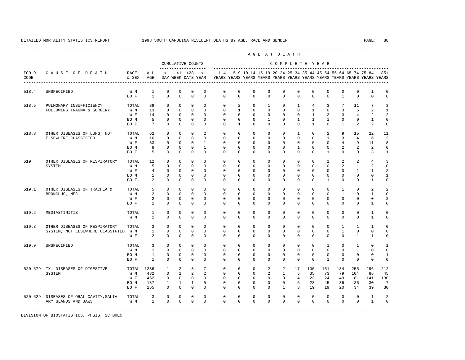---------------------------------------------------------------------------------------------------------------------------------------------------- A G E A T D E A T H --------------------------------------------------------------------------------------------- CUMULATIVE COUNTS C O M P L E T E Y E A R ------------------- ----------------------------------------------------------------------- ICD-9 C A U S E O F D E A T H RACE ALL <1 <1 <28 <1 1-4 5-9 10-14 15-19 20-24 25-34 35-44 45-54 55-64 65-74 75-84 85+ CODE & SEX AGE DAY WEEK DAYS YEAR YEARS YEARS YEARS YEARS YEARS YEARS YEARS YEARS YEARS YEARS YEARS YEARS ---------------------------------------------------------------------------------------------------------------------------------------------------- 518.4 UNSPECIFIED W M 1 0 0 0 0 0 0 0 0 0 0 0 0 0 0 1 0 BO F 1 0 0 0 0 0 0 0 0 0 0 0 0 1 0 0 0 518.5 PULMONARY INSUFFICIENCY TOTAL 39 0 0 0 0 0 2 0 1 0 1 4 3 7 11 7 3 FOLLOWING TRAUMA & SURGERY W M 13 0 0 0 0 0 1 0 0 0 0 1 0 3 5 2 1 W F 14 0 0 0 0 0 0 0 0 0 0 0 1 2 3 4 2 2 BOM 5 0 0 0 0 0 0 0 0 0 1 0 1 1 0 0 1 0 BO F 7 0 0 0 0 0 1 0 0 0 0 1 0 1 2 2 0 518.8 OTHER DISEASES OF LUNG, NOT TOTAL 62 0 0 0 2 0 0 0 0 0 1 0 2 9 15 22 11 ELSEWHERE CLASSIFIED W M 16 0 0 0 0 0 0 0 0 0 0 0 1 3 4 6 2 W F 33 0 0 0 1 0 0 0 0 0 0 0 0 4 9 11 8 BO M 8 0 0 0 1 0 0 0 0 0 1 0 0 2 2 2 0 BO F 5 0 0 0 0 0 0 0 0 0 0 0 1 0 0 3 1 519 OTHER DISEASES OF RESPIRATORY TOTAL 12 0 0 0 0 0 0 0 0 0 0 0 1 2 2 4 3 SYSTEM WM 5 0 0 0 0 0 0 0 0 0 0 0 0 2 1 2 0<br>W F 4 0 0 0 0 0 0 0 0 0 0 0 0 0 1 1 2 W F 4 0 0 0 0 0 0 0 0 0 0 0 0 0 1 1 2 BOM 1 0 0 0 0 0 0 0 0 0 0 0 0 0 0 0 1 BO F 2 0 0 0 0 0 0 0 0 0 0 0 1 0 0 1 0 519.1 OTHER DISEASES OF TRACHEA & TOTAL 5 0 0 0 0 0 0 0 0 0 0 0 0 1 0 2 2 BRONCHUS, NEC W M 2 0 0 0 0 0 0 0 0 0 0 0 0 1 0 1 0 W F 2 0 0 0 0 0 0 0 0 0 0 0 0 0 0 2 BO F 1 0 0 0 0 0 0 0 0 0 0 0 0 0 0 1 0 519.2 MEDIASTINITIS TOTAL 1 0 0 0 0 0 0 0 0 0 0 0 0 0 0 1 0 W M 1 0 0 0 0 0 0 0 0 0 0 0 0 0 0 1 0 519.8 OTHER DISEASES OF RESPIRATORY TOTAL 3 0 0 0 0 0 0 0 0 0 0 0 0 1 1 1 0 SYSTEM, NOT ELSEWHERE CLASSIFIED W M 1 0 0 0 0 0 0 0 0 0 0 0 0 1 0 0 0 W F 2 0 0 0 0 0 0 0 0 0 0 0 0 0 1 1 0 519.9 UNSPECIFIED TOTAL 3 0 0 0 0 0 0 0 0 0 0 0 1 0 1 0 1 W M 1 0 0 0 0 0 0 0 0 0 0 0 0 0 1 0 0 BO M 1 0 0 0 0 0 0 0 0 0 0 0 0 0 0 0 1 BO F 1 0 0 0 0 0 0 0 0 0 0 0 1 0 0 0 0 520-579 IX. DISEASES OF DIGESTIVE TOTAL 1236 1 2 3 7 0 0 0 2 2 17 100 161 184 255 296 212 SYSTEM W M 432 0 1 2 2 0 0 0 2 1 5 35 73 79 104 86 45 W F 452 0 0 0 0 0 0 0 0 0 4 23 24 49 81 141 130 BO M 187 1 1 1 5 0 0 0 0 0 5 23 45 36 36 30 7 BO F 165 0 0 0 0 0 0 0 0 1 3 19 19 20 34 39 30 520-529 DISEASES OF ORAL CAVITY,SALIV- TOTAL 3 0 0 0 0 0 0 0 0 0 0 0 0 0 0 1 2 ARY GLANDS AND JAWS W M 1 0 0 0 0 0 0 0 0 0 0 0 0 0 0 1 0 -----------------------------------------------------------------------------------------------------------------------------------------------------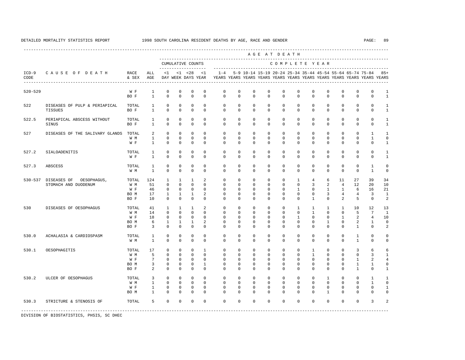---------------------------------------------------------------------------------------------------------------------------------------------------- A G E A T D E A T H --------------------------------------------------------------------------------------------- CUMULATIVE COUNTS C O M P L E T E Y E A R ------------------- ----------------------------------------------------------------------- ICD-9 C A U S E O F D E A T H RACE ALL <1 <1 <28 <1 1-4 5-9 10-14 15-19 20-24 25-34 35-44 45-54 55-64 65-74 75-84 85+ CODE & SEX AGE DAY WEEK DAYS YEAR YEARS YEARS YEARS YEARS YEARS YEARS YEARS YEARS YEARS YEARS YEARS YEARS ---------------------------------------------------------------------------------------------------------------------------------------------------- 520-529 W F 1 0 0 0 0 0 0 0 0 0 0 0 0 0 0 0 1 BOF 1 0 0 0 0 0 0 0 0 0 0 0 0 0 0 0 1 522 DISEASES OF PULP & PERIAPICAL TOTAL 1 0 0 0 0 0 0 0 0 0 0 0 0 0 0 0 1 TISSUES BO F 1 0 0 0 0 0 0 0 0 0 0 0 0 0 0 0 1 522.5 PERIAPICAL ABSCESS WITHOUT TOTAL 1 0 0 0 0 0 0 0 0 0 0 0 0 0 0 0 1 SINUS BO F 1 0 0 0 0 0 0 0 0 0 0 0 0 0 0 0 1 527 DISEASES OF THE SALIVARY GLANDS TOTAL 2 0 0 0 0 0 0 0 0 0 0 0 0 0 0 0 0 0 1 1  $\begin{array}{ccccccccccccc}\n1 & 0 & 0 & 0 & 0 & \n\end{array}$ W F 1 0 0 0 0 0 0 0 0 0 0 0 0 0 0 0 1 527.2 SIALOADENITIS TOTAL 1 0 0 0 0 0 0 0 0 0 0 0 0 0 0 0 1 W F 1 0 0 0 0 0 0 0 0 0 0 0 0 0 0 0 1 527.3 ABSCESS TOTAL 1 0 0 0 0 0 0 0 0 0 0 0 0 0 0 1 0 W M 1 0 0 0 0 0 0 0 0 0 0 0 0 0 0 1 0 530-537 DISEASES OF OESOPHAGUS, TOTAL 124 1 1 1 2 0 0 0 0 0 1 4 6 11 27 39 34 STOMACH AND DUODENUM W M M 51 0 0 0 0 0 0 0 0 0 0 0 0 0 0 3 2 4 12 20 W F 46 0 0 0 0 0 0 0 0 0 0 0 1 0 1 1 6 16 21 BO M 17 1 1 1 2 0 0 0 0 0 0 0 3 4 4 3 1 BO F 10 0 0 0 0 0 0 0 0 0 0 1 0 2 5 0 2 530 DISEASES OF OESOPHAGUS TOTAL 41 1 1 1 2 0 0 0 0 0 0 1 1 1 1 10 12 13 W M 14 0 0 0 0 0 0 0 0 0 0 1 0 0 5 7 1 W F 18 0 0 0 0 0 0 0 0 0 0 0 0 1 2 4 10 BO M 6 1 1 1 2 0 0 0 0 0 0 0 1 0 2 1 0 BO F 3 0 0 0 0 0 0 0 0 0 0 0 0 0 0 0 0 0 1 0 2 530.0 ACHALASIA & CARDIOSPASM TOTAL 1 0 0 0 0 0 0 0 0 0 0 0 0 0 1 0 0 W M 1 0 0 0 0 0 0 0 0 0 0 0 0 0 1 0 0 530.1 OESOPHAGITIS TOTAL 17 0 0 0 1 0 0 0 0 0 0 1 0 0 3 6 6 W M 5 0 0 0 0 0 0 0 0 0 0 1 0 0 0 3 1 W F 7 0 0 0 0 0 0 0 0 0 0 0 0 0 1 2 4 BO M 3 0 0 0 1 0 0 0 0 0 0 0 0 0 1 1 0 BO F 2 0 0 0 0 0 0 0 0 0 0 0 0 0 1 0 1 530.2 ULCER OF OESOPHAGUS TOTAL 3 0 0 0 0 0 0 0 0 0 0 0 1 0 0 1 1 W M 1 0 0 0 0 0 0 0 0 0 0 0 0 0 0 1 0 W F 1 0 0 0 0 0 0 0 0 0 0 0 0 0 0 0 1 BO M 1 0 0 0 0 0 0 0 0 0 0 0 1 0 0 0 0 530.3 STRICTURE & STENOSIS OF TOTAL 5 0 0 0 0 0 0 0 0 0 0 0 0 0 0 3 2 -----------------------------------------------------------------------------------------------------------------------------------------------------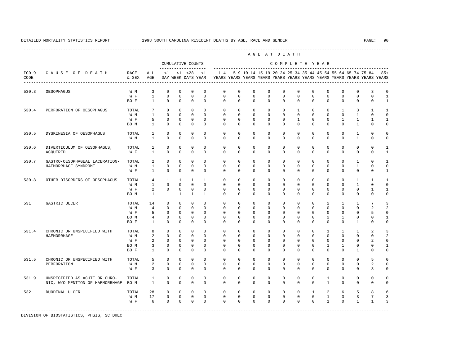|                 |                                                                  |                                     |                                                             |                                                              |                                                                    |                                                                      |                                                                |                                                          |                                                          |                                                                | AGE AT DEATH                                                         |                                                             |                                                                |                                                             |                                                                      |                                                                  |                                                                           |                                                               |                                                                                  |
|-----------------|------------------------------------------------------------------|-------------------------------------|-------------------------------------------------------------|--------------------------------------------------------------|--------------------------------------------------------------------|----------------------------------------------------------------------|----------------------------------------------------------------|----------------------------------------------------------|----------------------------------------------------------|----------------------------------------------------------------|----------------------------------------------------------------------|-------------------------------------------------------------|----------------------------------------------------------------|-------------------------------------------------------------|----------------------------------------------------------------------|------------------------------------------------------------------|---------------------------------------------------------------------------|---------------------------------------------------------------|----------------------------------------------------------------------------------|
|                 |                                                                  |                                     |                                                             |                                                              |                                                                    | CUMULATIVE COUNTS                                                    |                                                                |                                                          |                                                          |                                                                |                                                                      | COMPLETE YEAR                                               |                                                                |                                                             |                                                                      |                                                                  |                                                                           |                                                               |                                                                                  |
| $ICD-9$<br>CODE | CAUSE OF DEATH                                                   | RACE<br>& SEX                       | ALL<br>AGE                                                  | <1                                                           |                                                                    | --------------<br>$< 1$ $< 28$<br>DAY WEEK DAYS YEAR                 | <1                                                             | $1 - 4$                                                  |                                                          |                                                                | 5-9 10-14 15-19 20-24 25-34 35-44 45-54 55-64 65-74 75-84            |                                                             |                                                                |                                                             |                                                                      |                                                                  |                                                                           |                                                               | $85+$<br>YEARS YEARS YEARS YEARS YEARS YEARS YEARS YEARS YEARS YEARS YEARS YEARS |
| 530.3           | OESOPHAGUS                                                       | W M<br>W F<br>BO F                  | 3<br>$\mathbf{1}$<br>$\mathbf{1}$                           | $\mathbf{0}$<br>$\mathbf 0$<br>$\Omega$                      | $\mathbf{0}$<br>$\mathbf 0$<br>$\Omega$                            | $\mathbf 0$<br>$\mathbf 0$<br>$\Omega$                               | $\mathbf 0$<br>$\mathbf 0$<br>$\Omega$                         | $\mathbf 0$<br>$\mathbf 0$<br>$\Omega$                   | $\mathbf 0$<br>$\mathbf 0$<br>$\Omega$                   | $\mathbf 0$<br>$\mathbf 0$<br>$\Omega$                         | $\mathbb O$<br>$\mathbf 0$<br>$\Omega$                               | $\mathbf 0$<br>$\mathbf 0$<br>$\Omega$                      | $\mathbf 0$<br>$\mathbf{0}$<br>$\Omega$                        | $\mathbf 0$<br>$\mathbf 0$<br>$\Omega$                      | $\mathbf 0$<br>$\mathbf 0$<br>$\Omega$                               | $\mathbf{0}$<br>$\mathbf{0}$<br>$\Omega$                         | 0<br>$\mathbf 0$<br>$\Omega$                                              | 3<br>$\mathbf 0$<br>$\Omega$                                  | $\Omega$<br>1<br>$\mathbf{1}$                                                    |
| 530.4           | PERFORATION OF OESOPHAGUS                                        | TOTAL<br>W M<br>W F<br>BO M         | $7\phantom{.0}$<br>$\mathbf{1}$<br>5<br>$\mathbf{1}$        | $\Omega$<br>$\Omega$<br>$\mathbf 0$<br>$\Omega$              | $\mathbf 0$<br>$\Omega$<br>$\Omega$<br>$\Omega$                    | $\Omega$<br>$\Omega$<br>$\Omega$<br>$\Omega$                         | $\Omega$<br>$\Omega$<br>$\Omega$<br>$\Omega$                   | $\Omega$<br>$\Omega$<br>$\Omega$<br>$\Omega$             | $\Omega$<br>$\Omega$<br>$\Omega$<br>$\Omega$             | $\Omega$<br>$\Omega$<br>$\mathbf 0$<br>$\Omega$                | $\mathbf 0$<br>$\Omega$<br>$\mathbf 0$<br>$\Omega$                   | $\Omega$<br>$\Omega$<br>$\mathbf 0$<br>$\Omega$             | $\mathbf{1}$<br>$\Omega$<br>$\mathbf{1}$<br>$\Omega$           | $\Omega$<br>$\Omega$<br>$\mathbf 0$<br>$\Omega$             | $\Omega$<br>$\Omega$<br>$\Omega$<br>$\Omega$                         | $\overline{1}$<br>$\Omega$<br>$\mathbf{1}$<br>$\Omega$           | 3<br>$\mathbf{1}$<br>$\mathbf{1}$<br>$\mathbf{1}$                         | $\mathbf{1}$<br>$\Omega$<br>$\mathbf{1}$<br>$\Omega$          | $\mathbf{1}$<br>$\Omega$<br>$\mathbf{1}$<br>$\Omega$                             |
| 530.5           | DYSKINESIA OF OESOPHAGUS                                         | TOTAL.<br>W M                       | $\mathbf{1}$<br>$\mathbf{1}$                                | $\Omega$<br>$\Omega$                                         | $\Omega$<br>$\Omega$                                               | $\Omega$<br>$\Omega$                                                 | $\Omega$<br>$\Omega$                                           | $\Omega$<br>$\Omega$                                     | $\Omega$<br>$\Omega$                                     | $\Omega$<br>$\Omega$                                           | $\mathbf{0}$<br>$\mathbf 0$                                          | $\Omega$<br>$\Omega$                                        | $\Omega$<br>$\mathbf 0$                                        | $\Omega$<br>$\mathbf 0$                                     | $\Omega$<br>$\mathbf 0$                                              | $\Omega$<br>$\Omega$                                             | $\mathbf{1}$<br>$\mathbf{1}$                                              | $\Omega$<br>$\Omega$                                          | $\Omega$<br>$\Omega$                                                             |
| 530.6           | DIVERTICULUM OF OESOPHAGUS,<br>ACQUIRED                          | TOTAL<br>W F                        | 1<br>$\mathbf{1}$                                           | 0<br>$\mathbf 0$                                             | $\mathbf 0$<br>$\mathbf 0$                                         | 0<br>$\mathbf 0$                                                     | $\mathbf 0$<br>$\mathbf 0$                                     | 0<br>$\mathbf 0$                                         | 0<br>$\mathbf 0$                                         | $\mathbf 0$<br>$\mathbf 0$                                     | 0<br>$\mathbf 0$                                                     | $\mathbf 0$<br>$\mathbf 0$                                  | $\mathbf 0$<br>$\mathbf 0$                                     | $\mathbf 0$<br>$\mathbf 0$                                  | $\mathbf{0}$<br>$\mathbf 0$                                          | 0<br>$\mathbf 0$                                                 | 0<br>$\mathbf 0$                                                          | $\mathsf 0$<br>$\mathbf 0$                                    | 1<br>1                                                                           |
| 530.7           | GASTRO-OESOPHAGEAL LACERATION-<br>HAEMORRHAGE SYNDROME           | TOTAL<br>W M<br>W F                 | 2<br>$\mathbf{1}$<br>$\mathbf{1}$                           | 0<br>$\mathbf 0$<br>$\mathbf 0$                              | $\mathbf 0$<br>$\mathbf{0}$<br>$\Omega$                            | $\mathbf 0$<br>$\mathbf 0$<br>$\mathbf 0$                            | $\Omega$<br>$\mathbf 0$<br>$\Omega$                            | $\mathbf 0$<br>$\mathbf 0$<br>$\Omega$                   | $\mathbf 0$<br>$\mathbf 0$<br>$\Omega$                   | $\mathbf 0$<br>$\mathbf 0$<br>$\Omega$                         | $\mathbf 0$<br>$\mathbf 0$<br>$\mathbf 0$                            | $\mathbf 0$<br>$\mathbf 0$<br>$\Omega$                      | $\mathbf 0$<br>$\mathbf 0$<br>0                                | $\mathbf 0$<br>$\mathbf 0$<br>$\Omega$                      | $\mathbf 0$<br>$\mathbf 0$<br>$\mathbf 0$                            | $\mathbf 0$<br>$\mathbf 0$<br>$\Omega$                           | 1<br>$\mathbf{1}$<br>0                                                    | $\mathbf 0$<br>$\mathbf 0$<br>$\mathbf 0$                     | 1<br>$\Omega$<br>$\mathbf{1}$                                                    |
| 530.8           | OTHER DISORDERS OF OESOPHAGUS                                    | TOTAL<br>W M<br>W F<br>BO M         | 4<br>$\mathbf{1}$<br>2<br>$\mathbf{1}$                      | $\mathbf{1}$<br>$\Omega$<br>$\mathbf 0$<br>$\mathbf{1}$      | $\mathbf{1}$<br>$\Omega$<br>$\mathbf 0$<br>$\mathbf{1}$            | $\mathbf{1}$<br>$\Omega$<br>$\mathbf 0$<br>$\mathbf{1}$              | $\mathbf{1}$<br>$\Omega$<br>$\Omega$<br>$\mathbf{1}$           | $\mathbf 0$<br>$\Omega$<br>$\Omega$<br>$\Omega$          | $\mathbf 0$<br>$\Omega$<br>$\Omega$<br>$\mathbf 0$       | $\mathbf 0$<br>$\Omega$<br>$\Omega$<br>$\mathbf 0$             | $\mathbf{0}$<br>$\mathbf{0}$<br>$\mathbf{0}$<br>$\mathbf 0$          | $\mathbf 0$<br>$\Omega$<br>$\Omega$<br>$\mathbf 0$          | $\mathbf 0$<br>$\mathbf 0$<br>$\mathbf 0$<br>$\mathbf 0$       | $\mathbf 0$<br>$\Omega$<br>$\mathbf 0$<br>$\mathbf 0$       | $\mathbf 0$<br>0<br>$\mathbf 0$<br>$\mathbf 0$                       | $\mathbf 0$<br>$\Omega$<br>$\mathbf 0$<br>$\mathbf{0}$           | $\mathbf{1}$<br>$\mathbf{1}$<br>0<br>$\mathbf 0$                          | $\mathbf{1}$<br>$\Omega$<br>$\mathbf{1}$<br>$\mathbf 0$       | 1<br>$\Omega$<br>$\mathbf{1}$<br>$\Omega$                                        |
| 531             | GASTRIC ULCER                                                    | TOTAL<br>W M<br>W F<br>BO M<br>BO F | 14<br>$\overline{4}$<br>5<br>$\overline{4}$<br>$\mathbf{1}$ | $\Omega$<br>$\Omega$<br>$\Omega$<br>$\mathbf{0}$<br>$\Omega$ | $\Omega$<br>$\Omega$<br>$\Omega$<br>$\mathbf{0}$<br>$\Omega$       | $\Omega$<br>$\Omega$<br>$\Omega$<br>$\mathbf 0$<br>$\Omega$          | $\Omega$<br>$\Omega$<br>$\Omega$<br>$\Omega$<br>$\Omega$       | $\Omega$<br>$\Omega$<br>$\Omega$<br>$\Omega$<br>$\Omega$ | $\Omega$<br>$\Omega$<br>$\Omega$<br>$\Omega$<br>$\Omega$ | $\Omega$<br>$\Omega$<br>$\Omega$<br>$\Omega$<br>$\Omega$       | $\Omega$<br>$\Omega$<br>$\Omega$<br>$\mathbf{0}$<br>$\Omega$         | $\Omega$<br>$\Omega$<br>$\Omega$<br>$\mathbf 0$<br>$\Omega$ | $\Omega$<br>$\mathbf 0$<br>$\Omega$<br>$\mathbf 0$<br>$\Omega$ | $\Omega$<br>$\Omega$<br>$\Omega$<br>$\mathbf 0$<br>$\Omega$ | $\overline{a}$<br>$\Omega$<br>$\Omega$<br>$\overline{a}$<br>$\Omega$ | $\mathbf{1}$<br>$\Omega$<br>$\Omega$<br>$\mathbf{1}$<br>$\Omega$ | $\mathbf{1}$<br>$\mathbf 0$<br>$\mathbf 0$<br>$\mathbf 0$<br>$\mathbf{1}$ | 7<br>$\overline{a}$<br>5<br>$\mathbf 0$<br>$\Omega$           | २<br>$\Omega$<br>1<br>$\cap$                                                     |
| 531.4           | CHRONIC OR UNSPECIFIED WITH<br>HAEMORRHAGE                       | TOTAL<br>W M<br>W F<br>BO M<br>BO F | 8<br>2<br>2<br>3<br>$\mathbf{1}$                            | 0<br>0<br>$\mathbf{0}$<br>0<br>$\Omega$                      | $\mathbf{0}$<br>$\mathbf 0$<br>$\Omega$<br>$\mathbb O$<br>$\Omega$ | $\mathbf 0$<br>$\mathbf 0$<br>$\Omega$<br>$\mathbf 0$<br>$\mathbf 0$ | $\mathbf 0$<br>$\Omega$<br>$\Omega$<br>$\mathbf 0$<br>$\Omega$ | 0<br>0<br>$\Omega$<br>0<br>$\Omega$                      | $\mathbf 0$<br>0<br>$\Omega$<br>$\mathbf 0$<br>$\Omega$  | $\mathbf 0$<br>$\Omega$<br>$\Omega$<br>$\mathbf 0$<br>$\Omega$ | $\mathbf 0$<br>$\mathbf 0$<br>$\Omega$<br>$\mathbb O$<br>$\mathbf 0$ | 0<br>0<br>$\Omega$<br>0<br>$\mathbf 0$                      | $\mathbf 0$<br>0<br>$\Omega$<br>$\mathbf 0$<br>$\mathbf 0$     | $\mathbf 0$<br>0<br>$\mathbf 0$<br>0<br>$\Omega$            | 1<br>$\mathbf{0}$<br>$\Omega$<br>$\mathbf{1}$<br>0                   | 1<br>0<br>$\Omega$<br>$\mathbf{1}$<br>$\Omega$                   | $\mathbf{1}$<br>0<br>0<br>0<br>$\mathbf{1}$                               | $\mathfrak{D}$<br>$\Omega$<br>2<br>$\mathsf 0$<br>$\mathbf 0$ | $\Omega$<br>1<br>$\Omega$                                                        |
| 531.5           | CHRONIC OR UNSPECIFIED WITH<br>PERFORATION                       | TOTAL<br>W M<br>W F                 | 5<br>2<br>3                                                 | $\mathbf 0$<br>$\mathbf 0$<br>0                              | $\mathbf{0}$<br>$\mathbf 0$<br>$\mathbf 0$                         | $\mathbf 0$<br>$\mathbf 0$<br>$\mathbf 0$                            | $\mathbf 0$<br>$\mathbf 0$<br>$\mathbf 0$                      | $\Omega$<br>0<br>0                                       | $\Omega$<br>$\mathbf 0$<br>0                             | $\mathbf 0$<br>$\mathbf 0$<br>$\mathbf 0$                      | $\mathbf 0$<br>$\mathbf{0}$<br>$\mathbf 0$                           | $\mathbf 0$<br>$\mathbf 0$<br>$\mathbf 0$                   | $\mathbf 0$<br>$\mathbf 0$<br>$\mathbf 0$                      | $\mathbf 0$<br>$\mathbf 0$<br>$\mathbf 0$                   | $\mathbf 0$<br>0<br>$\mathbf 0$                                      | $\mathbf 0$<br>$\mathbf 0$<br>$\mathbf 0$                        | 0<br>0<br>0                                                               | 5<br>$\overline{a}$<br>3                                      | $\Omega$<br>$\Omega$<br>$\Omega$                                                 |
| 531.9           | UNSPECIFIED AS ACUTE OR CHRO-<br>NIC, W/O MENTION OF HAEMORRHAGE | TOTAL<br>BO M                       | <sup>1</sup><br>$\mathbf{1}$                                | $\mathbf 0$<br>$\mathbf 0$                                   | $\mathbf{0}$<br>$\mathbf 0$                                        | $\mathbf 0$<br>$\mathbf 0$                                           | $\Omega$<br>$\mathbf 0$                                        | $\Omega$<br>$\mathbf 0$                                  | $\Omega$<br>$\mathbf 0$                                  | $\Omega$<br>$\mathbf 0$                                        | $\Omega$<br>$\mathbf 0$                                              | $\Omega$<br>$\mathbf 0$                                     | $\mathbf 0$<br>$\mathbf 0$                                     | $\Omega$<br>$\mathbf 0$                                     | 1<br>$\mathbf{1}$                                                    | $\mathbf{0}$<br>$\mathbf{0}$                                     | 0<br>$\mathbf 0$                                                          | $\mathbf 0$<br>$\mathbf 0$                                    | $\Omega$                                                                         |
| 532             | DUODENAL ULCER                                                   | TOTAL<br>W M<br>W F                 | 28<br>17<br>6                                               | $\mathbf{0}$<br>$\mathbf 0$<br>$\Omega$                      | $\Omega$<br>$\mathbf 0$<br>$\Omega$                                | $\Omega$<br>$\mathbf 0$<br>$\Omega$                                  | $\Omega$<br>$\mathbf 0$<br>$\Omega$                            | $\Omega$<br>$\mathbf 0$<br>$\Omega$                      | $\Omega$<br>$\mathbf 0$<br>$\Omega$                      | $\Omega$<br>$\mathbf 0$<br>$\Omega$                            | $\Omega$<br>$\mathbf 0$<br>$\Omega$                                  | $\Omega$<br>$\mathbf 0$<br>$\Omega$                         | $\Omega$<br>$\mathbf 0$<br>$\Omega$                            | $\mathbf{1}$<br>$\mathbf 0$<br>$\Omega$                     | 2<br>$\mathbf{1}$<br>$\mathbf{1}$                                    | 6<br>3<br>$\Omega$                                               | 5<br>3<br>$\mathbf{1}$                                                    | 8<br>7<br>$\mathbf{1}$                                        | २<br>3                                                                           |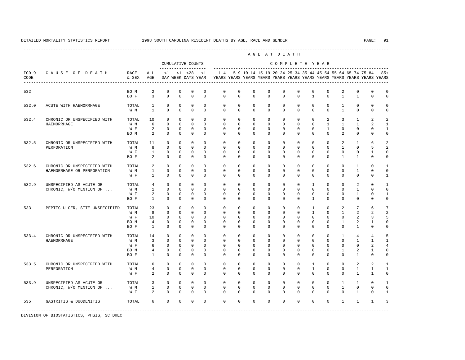---------------------------------------------------------------------------------------------------------------------------------------------------- A G E A T D E A T H --------------------------------------------------------------------------------------------- CUMULATIVE COUNTS C O M P L E T E Y E A R ------------------- ----------------------------------------------------------------------- ICD-9 C A U S E O F D E A T H RACE ALL <1 <1 <28 <1 1-4 5-9 10-14 15-19 20-24 25-34 35-44 45-54 55-64 65-74 75-84 85+ CODE & SEX AGE DAY WEEK DAYS YEAR YEARS YEARS YEARS YEARS YEARS YEARS YEARS YEARS YEARS YEARS YEARS YEARS ---------------------------------------------------------------------------------------------------------------------------------------------------- 532 BO M 2 0 0 0 0 0 0 0 0 0 0 0 0 2 0 0 0 BOF 3 0 0 0 0 0 0 0 0 0 0 0 1 0 1 1 0 0 532.0 ACUTE WITH HAEMORRHAGE TOTAL 1 0 0 0 0 0 0 0 0 0 0 0 0 1 0 0 0 W M 1 0 0 0 0 0 0 0 0 0 0 0 0 1 0 0 0 532.4 CHRONIC OR UNSPECIFIED WITH TOTAL 10 0 0 0 0 0 0 0 0 0 0 0 2 3 1 2 2 HAEMORRHAGE W M 6 0 0 0 0 0 0 0 0 0 0 0 1 1 1 2 1 W F 2 0 0 0 0 0 0 0 0 0 0 0 0 0 0 1 0 0 0 1 BOM 2 0 0 0 0 0 0 0 0 0 0 0 0 2 0 0 0 532.5 CHRONIC OR UNSPECIFIED WITH TOTAL 11 0 0 0 0 0 0 0 0 0 0 0 0 2 1 6 2 PERFORATION W M 8 0 0 0 0 0 0 0 0 0 0 0 0 1 0 5 2 W F 1 0 0 0 0 0 0 0 0 0 0 0 0 0 0 1 0 BO F 2 0 0 0 0 0 0 0 0 0 0 0 0 1 1 0 0 532.6 CHRONIC OR UNSPECIFIED WITH TOTAL 2 0 0 0 0 0 0 0 0 0 0 0 0 0 0 0 1 0 1<br>HARMORRHAGE OR PERFORATION WIM 1 0 0 0 0 0 0 0 0 0 0 0 0 0 0 0 1 0 0 HAEMORRHAGE OR PERFORATION W M 1 0 0 0 0 0 0 0 0 0 0 0 0 0 1 0 0 W F 1 0 0 0 0 0 0 0 0 0 0 0 0 0 0 0 1 532.9 UNSPECIFIED AS ACUTE OR TOTAL 4 0 0 0 0 0 0 0 0 0 0 1 0 0 2 0 1 CHRONIC, W/O MENTION OF ... W M 1 0 0 0 0 0 0 0 0 0 0 0 0 0 1 0 0 W F 2 0 0 0 0 0 0 0 0 0 0 0 0 0 1 0 1 BO F 1 0 0 0 0 0 0 0 0 0 0 1 0 0 0 0 0 533 PEPTIC ULCER, SITE UNSPECIFIED TOTAL 23 0 0 0 0 0 0 0 0 0 0 1 0 2 7 6 7 W M 8 0 0 0 0 0 0 0 0 0 0 1 0 1 2 2 2 W F 10 0 0 0 0 0 0 0 0 0 0 0 0 0 2 3 5 BOM 4 0 0 0 0 0 0 0 0 0 0 0 0 0 0 1 2 1 0<br>BOF 1 0 0 0 0 0 0 0 0 0 0 0 0 0 0 1 0 0 BOF 1 0 0 0 0 0 0 0 0 0 0 0 0 0 1 0 0 533.4 CHRONIC OR UNSPECIFIED WITH TOTAL 14 0 0 0 0 0 0 0 0 0 0 0 0 1 4 4 5 HAEMORRHAGE W M 3 0 0 0 0 0 0 0 0 0 0 0 0 0 1 1 1 W F 6 0 0 0 0 0 0 0 0 0 0 0 0 0 0 0 2 4<br>BOM 4 0 0 0 0 0 0 0 0 0 0 0 0 0 1 2 1 0 BO M 4 0 0 0 0 0 0 0 0 0 0 0 0 1 2 1 0 BOF 1 0 0 0 0 0 0 0 0 0 0 0 0 0 1 0 0 533.5 CHRONIC OR UNSPECIFIED WITH TOTAL 6 0 0 0 0 0 0 0 0 0 0 1 0 0 2 2 1 PERFORATION W M 4 0 0 0 0 0 0 0 0 0 0 1 0 0 1 1 1 W F 2 0 0 0 0 0 0 0 0 0 0 0 0 0 1 1 0 533.9 UNSPECIFIED AS ACUTE OR TOTAL 3 0 0 0 0 0 0 0 0 0 0 0 0 1 1 0 1 CHRONIC, W/O MENTION OF ... W M 1 0 0 0 0 0 0 0 0 0 0 0 0 1 0 0 0 W F 2 0 0 0 0 0 0 0 0 0 0 0 0 0 1 0 1 535 GASTRITIS & DUODENITIS TOTAL 6 0 0 0 0 0 0 0 0 0 0 0 0 1 1 1 3 -----------------------------------------------------------------------------------------------------------------------------------------------------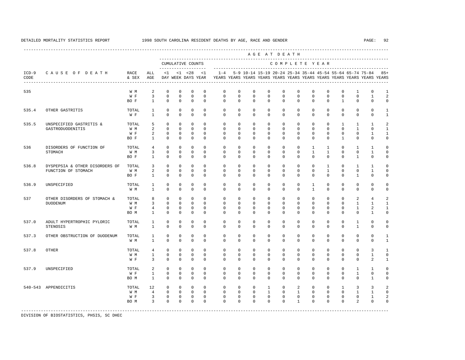---------------------------------------------------------------------------------------------------------------------------------------------------- A G E A T D E A T H --------------------------------------------------------------------------------------------- CUMULATIVE COUNTS C O M P L E T E Y E A R ------------------- ----------------------------------------------------------------------- ICD-9 C A U S E O F D E A T H RACE ALL <1 <1 <28 <1 1-4 5-9 10-14 15-19 20-24 25-34 35-44 45-54 55-64 65-74 75-84 85+ CODE & SEX AGE DAY WEEK DAYS YEAR YEARS YEARS YEARS YEARS YEARS YEARS YEARS YEARS YEARS YEARS YEARS YEARS ---------------------------------------------------------------------------------------------------------------------------------------------------- 535 W M 2 0 0 0 0 0 0 0 0 0 0 0 0 1 0 1<br>W F 3 0 0 0 0 0 0 0 0 0 0 0 0 0 0 0 1 2 W F 3 0 0 0 0 0 0 0 0 0 0 0 0 0 0 1 2 BO F 1 0 0 0 0 0 0 0 0 0 0 0 0 1 0 0 0 535.4 OTHER GASTRITIS TOTAL 1 0 0 0 0 0 0 0 0 0 0 0 0 0 0 0 1 W F 1 0 0 0 0 0 0 0 0 0 0 0 0 0 0 0 1 535.5 UNSPECIFIED GASTRITIS & TOTAL 5 0 0 0 0 0 0 0 0 0 0 0 0 1 1 1 2 GASTRODUODENITIS W M 2 0 0 0 0 0 0 0 0 0 0 0 0 0 1 0 1 W F 2 0 0 0 0 0 0 0 0 0 0 0 0 0 0 1 1 BO F 1 0 0 0 0 0 0 0 0 0 0 0 0 1 0 0 0 536 DISORDERS OF FUNCTION OF TOTAL 4 0 0 0 0 0 0 0 0 0 0 1 1 0 1 1 0 STOMACH W M 3 0 0 0 0 0 0 0 0 0 0 1 1 0 0 1 0 BOF 1 0 0 0 0 0 0 0 0 0 0 0 0 0 0 1 0 0 536.8 DYSPEPSIA & OTHER DISORDERS OF TOTAL 3 0 0 0 0 0 0 0 0 0 0 0 0 0 0 1 0 1 1 0<br>FUNCTION OF STOMACH WM 2 0 0 0 0 0 0 0 0 0 0 0 1 0 FUNCTION OF STOMACH W M 2 0 0 0 0 0 0 0 0 0 0 0 1 0 0 1 0 BOF 1 0 0 0 0 0 0 0 0 0 0 0 0 0 1 0 0 536.9 UNSPECIFIED TOTAL 1 0 0 0 0 0 0 0 0 0 0 1 0 0 0 0 0 W M 1 0 0 0 0 0 0 0 0 0 0 1 0 0 0 0 0 537 OTHER DISORDERS OF STOMACH & TOTAL 8 0 0 0 0 0 0 0 0 0 0 0 0 0 0 2 4 2<br>
DITODENTIM MINOR MARK MARK WANT 3 0 0 0 0 0 0 0 0 0 0 0 0 0 0 0 0 1 1 1 DUODENUM W M 3 0 0 0 0 0 0 0 0 0 0 0 0 0 1 1 1 W F 4 0 0 0 0 0 0 0 0 0 0 0 0 0 1 2 1 BO M 1 0 0 0 0 0 0 0 0 0 0 0 0 0 0 1 0 537.0 ADULT HYPERTROPHIC PYLORIC TOTAL 1 0 0 0 0 0 0 0 0 0 0 0 0 0 1 0 0 STENOSIS W M 1 0 0 0 0 0 0 0 0 0 0 0 0 0 1 0 0 537.3 OTHER OBSTRUCTION OF DUODENUM TOTAL 1 0 0 0 0 0 0 0 0 0 0 0 0 0 0 0 1 W M 1 0 0 0 0 0 0 0 0 0 0 0 0 0 0 0 1 537.8 OTHER TOTAL 4 0 0 0 0 0 0 0 0 0 0 0 0 0 0 3 1 W M 1 0 0 0 0 0 0 0 0 0 0 0 0 0 0 1 0 W F 3 0 0 0 0 0 0 0 0 0 0 0 0 0 0 2 1 537.9 UNSPECIFIED TOTAL 2 0 0 0 0 0 0 0 0 0 0 0 0 0 1 1 0 W F 1 0 0 0 0 0 0 0 0 0 0 0 0 0 0 1 0 0 BO M 1 0 0 0 0 0 0 0 0 0 0 0 0 0 0 1 0 540-543 APPENDICITIS TOTAL 12 0 0 0 0 0 0 0 1 0 2 0 0 1 3 3 2 W M M 4 0 0 0 0 0 0 0 0 0 0 0 0 0 0 0 1 1 0 W F 3 0 0 0 0 0 0 0 0 0 0 0 0 0 0 1 2 BOM 3 0 0 0 0 0 0 0 0 0 0 0 0 0 2 0 0 -----------------------------------------------------------------------------------------------------------------------------------------------------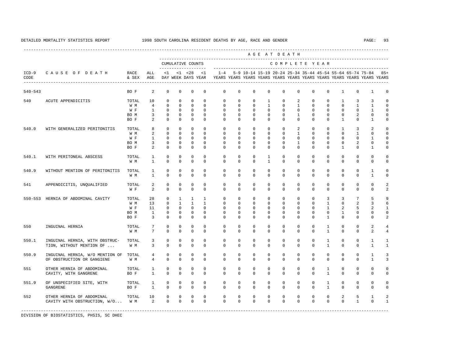|                 |                                                               |               |                | AGE AT DEATH<br>CUMULATIVE COUNTS<br>COMPLETE YEAR |                            |                                    |                             |                                                                                    |                            |                             |                            |                            |                            |                            |                                                               |                            |                |                                  |              |  |
|-----------------|---------------------------------------------------------------|---------------|----------------|----------------------------------------------------|----------------------------|------------------------------------|-----------------------------|------------------------------------------------------------------------------------|----------------------------|-----------------------------|----------------------------|----------------------------|----------------------------|----------------------------|---------------------------------------------------------------|----------------------------|----------------|----------------------------------|--------------|--|
|                 |                                                               |               |                |                                                    |                            |                                    |                             |                                                                                    |                            |                             |                            |                            |                            |                            |                                                               |                            |                |                                  |              |  |
| $ICD-9$<br>CODE | CAUSE OF DEATH                                                | RACE<br>& SEX | ALL<br>AGE     | <1                                                 |                            | $< 1$ $< 28$<br>DAY WEEK DAYS YEAR | $\leq 1$                    | $1 - 4$<br>YEARS YEARS YEARS YEARS YEARS YEARS YEARS YEARS YEARS YEARS YEARS YEARS |                            |                             |                            |                            |                            |                            | 5-9 10-14 15-19 20-24 25-34 35-44 45-54 55-64 65-74 75-84 85+ |                            |                |                                  |              |  |
| $540 - 543$     |                                                               | BO F          | 2              | $\mathbf 0$                                        | $\mathbf 0$                | $\mathbf{0}$                       | $\mathbf{0}$                | 0                                                                                  | $\mathbf 0$                | 0                           | $\mathbf 0$                | $\mathbf 0$                | $\mathbf 0$                | $\mathbf 0$                | $\mathbf 0$                                                   | $\mathbf{1}$               | 0              | $\mathbf{1}$                     | $\Omega$     |  |
| 540             | ACUTE APPENDICITIS                                            | TOTAL         | 10             | $\Omega$                                           | $\mathbf 0$                | $\mathbf{0}$                       | $\Omega$                    | $\Omega$                                                                           | $\Omega$                   | $\mathbf 0$                 | $\mathbf{1}$               | $\mathbf 0$                | 2                          | $\mathbf 0$                | $\Omega$                                                      | $\mathbf{1}$               | 3              | 3                                |              |  |
|                 |                                                               | W M           | $\overline{4}$ | $\mathbf 0$                                        | $\mathbf 0$                | $\mathbf{0}$                       | $\Omega$                    | 0                                                                                  | $\mathbf 0$                | $\mathbf 0$                 | $\mathbf{1}$               | $\mathbf 0$                | $\mathbf{1}$               | $\mathbf 0$                | $\mathbf 0$                                                   | $\mathbf 0$                | $\mathbf{1}$   | $\mathbf{1}$                     |              |  |
|                 |                                                               | W F           | $\mathbf{1}$   | $\mathbf 0$                                        | $\mathbf 0$                | $\mathbf{0}$                       | $\Omega$                    | $\Omega$                                                                           | $\Omega$                   | $\mathbf 0$                 | $\mathbf{0}$               | $\mathbf 0$                | $\mathbf 0$                | $\mathbf 0$                | $\Omega$                                                      | $\mathbf 0$                | $\mathbf 0$    | $\mathbf{1}$                     |              |  |
|                 |                                                               | BO M          | 3              | $\mathbf 0$                                        | $\mathbf{0}$               | $\mathbf 0$                        | $\mathbf{0}$                | $\mathbf 0$                                                                        | $\mathbf 0$                | $\mathbf 0$                 | $\mathbf 0$                | $\mathbf 0$                | $\mathbf{1}$               | $\mathbf 0$                | $\mathbf 0$                                                   | 0                          | $\overline{a}$ | $\mathbf 0$                      |              |  |
|                 |                                                               | BO F          | 2              | $\Omega$                                           | $\Omega$                   | $\Omega$                           | $\Omega$                    | $\Omega$                                                                           | $\Omega$                   | $\Omega$                    | $\Omega$                   | $\Omega$                   | $\Omega$                   | $\Omega$                   | $\Omega$                                                      | $\overline{1}$             | 0              | $\mathbf{1}$                     |              |  |
| 540.0           | WITH GENERALIZED PERITONITIS                                  | TOTAL         | 8              | $\Omega$                                           | $\Omega$                   | $\mathbf 0$                        | $\Omega$                    | $\Omega$                                                                           | $\Omega$                   | $\Omega$                    | $\Omega$                   | $\Omega$                   | 2                          | $\Omega$                   | $\Omega$                                                      | $\overline{1}$             | 3              | $\overline{2}$                   |              |  |
|                 |                                                               | W M           | 2              | $\Omega$                                           | $\Omega$                   | $\Omega$                           | $\Omega$                    | $\Omega$                                                                           | $\Omega$                   | $\Omega$                    | $\Omega$                   | $\Omega$                   | $\mathbf{1}$               | $\Omega$                   | $\Omega$                                                      | $\Omega$                   | $\mathbf{1}$   | $\Omega$                         |              |  |
|                 |                                                               | W F           | 1              | $\mathbf{0}$                                       | $\mathbf{0}$               | $\mathbf{0}$                       | $\Omega$                    | $\Omega$                                                                           | $\Omega$                   | $\mathbf{0}$                | $\Omega$                   | $\Omega$                   | $\mathbf 0$                | $\mathbf 0$                | $\mathbf 0$                                                   | 0                          | $\mathbf{0}$   | 1                                |              |  |
|                 |                                                               | BO M          | 3              | 0                                                  | 0                          | $\mathbb O$                        | $\mathbf{0}$                | 0                                                                                  | $\mathbf 0$                | 0                           | 0                          | 0                          | 1                          | 0                          | 0                                                             | 0                          | 2              | $\mathsf 0$                      | $\Omega$     |  |
|                 |                                                               | BO F          | 2              | $\mathbf 0$                                        | $\mathbf{0}$               | $\mathbf{0}$                       | $\mathbf 0$                 | 0                                                                                  | $\mathbf{0}$               | $\mathbf{0}$                | $\mathbf{0}$               | $\mathbf 0$                | $\mathbf 0$                | 0                          | 0                                                             | $\mathbf{1}$               | 0              | 1                                |              |  |
| 540.1           | WITH PERITONEAL ABSCESS                                       | TOTAL         | 1              | $\mathbf 0$                                        | $\mathbf 0$                | $\mathbb O$                        | $\mathbf{0}$                | $\mathbf 0$                                                                        | $\mathbf 0$                | $\mathbf 0$                 | $\mathbf{1}$               | $\mathbf 0$                | $\mathbf 0$                | $\mathbf 0$                | $\mathbf 0$                                                   | $\mathbf 0$                | $\mathbf 0$    | $\mathbf 0$                      |              |  |
|                 |                                                               | W M           | $\mathbf{1}$   | $\mathbf 0$                                        | $\mathbf 0$                | $\mathbf 0$                        | $\mathbf{0}$                | $\mathbf 0$                                                                        | $\mathbf 0$                | $\mathbf 0$                 | $\mathbf{1}$               | $\mathbf 0$                | $\mathbf 0$                | $\mathbf 0$                | 0                                                             | $\mathbf 0$                | 0              | $\mathbf 0$                      |              |  |
| 540.9           | WITHOUT MENTION OF PERITONITIS                                | TOTAL         | $\mathbf{1}$   | $\mathbf 0$                                        | $\mathbf 0$                | $\mathbf{0}$                       | $\mathbf{0}$                | $\mathbf 0$                                                                        | $\mathbf 0$                | $\mathbf 0$                 | $\mathbf 0$                | $\mathbf 0$                | $\mathbf 0$                | $\mathbf 0$                | $\mathbf 0$                                                   | $\Omega$                   | 0              | $\mathbf{1}$                     | $\Omega$     |  |
|                 |                                                               | W M           | $\mathbf{1}$   | $\Omega$                                           | $\Omega$                   | $\Omega$                           | $\Omega$                    | $\Omega$                                                                           | $\Omega$                   | $\mathbf 0$                 | $\Omega$                   | $\Omega$                   | $\mathbf 0$                | $\Omega$                   | $\mathbf 0$                                                   | 0                          | 0              | $\mathbf{1}$                     |              |  |
| 541             | APPENDICITIS, UNQUALIFIED                                     | TOTAL         | $\overline{a}$ | $\mathbf 0$                                        | $\mathbf 0$                | $\mathbf{0}$                       | $\Omega$                    | $\mathbf 0$                                                                        | $\mathbf 0$                | $\mathbf 0$                 | $\mathbf{0}$               | $\mathbf 0$                | $\mathbf 0$                | $\mathbf 0$                | $\mathbf 0$                                                   | $\mathbf 0$                | $\mathbf 0$    | $\mathbf 0$                      |              |  |
|                 |                                                               | W F           | $\overline{2}$ | $\Omega$                                           | $\Omega$                   | $\Omega$                           | $\Omega$                    | $\Omega$                                                                           | $\Omega$                   | $\Omega$                    | $\Omega$                   | $\Omega$                   | $\Omega$                   | $\Omega$                   | $\Omega$                                                      | $\mathbf 0$                | 0              | $\mathbf 0$                      |              |  |
| $550 - 553$     | HERNIA OF ABDOMINAL CAVITY                                    | TOTAL         | 28             | $\mathbf 0$                                        | $\mathbf{1}$               | 1                                  | $\mathbf{1}$                | $\mathbf 0$                                                                        | $\mathbf 0$                | $\mathbf 0$                 | $\mathbf{0}$               | $\mathbf 0$                | $\mathbf 0$                | $\mathbf 0$                | 3                                                             | 3                          | 7              | 5                                |              |  |
|                 |                                                               | W M           | 13             | $\Omega$                                           | $\mathbf{1}$               | $\mathbf{1}$                       | $\mathbf{1}$                | $\Omega$                                                                           | $\Omega$                   | $\mathbf 0$                 | $\Omega$                   | $\Omega$                   | $\Omega$                   | $\Omega$                   | $\mathbf{1}$                                                  | $\Omega$                   | 2              | 3                                |              |  |
|                 |                                                               | W F           | 11             | $\mathbf 0$                                        | $\mathbf 0$                | $\mathbf{0}$                       | $\mathbf 0$                 | $\Omega$                                                                           | $\Omega$                   | $\mathbf 0$                 | $\mathbf 0$                | $\mathbf 0$                | $\mathbf 0$                | $\mathbf 0$                | $\mathbf{1}$                                                  | 2                          | 5              | $\overline{2}$                   |              |  |
|                 |                                                               | BO M          | $\mathbf{1}$   | $\mathbf 0$                                        | $\mathbf 0$                | $\mathbf{0}$                       | $\Omega$                    | $\Omega$                                                                           | $\Omega$                   | $\mathbf 0$                 | $\mathbf 0$                | $\mathbf 0$                | $\Omega$                   | $\Omega$                   | $\Omega$                                                      | $\mathbf{1}$               | $\mathbf 0$    | $\mathbf 0$                      |              |  |
|                 |                                                               | BO F          | 3              | $\Omega$                                           | $\Omega$                   | $\mathbf{0}$                       | $\Omega$                    | $\Omega$                                                                           | $\Omega$                   | $\Omega$                    | $\Omega$                   | $\Omega$                   | $\Omega$                   | $\Omega$                   | $\mathbf{1}$                                                  | $\Omega$                   | $\Omega$       | $\Omega$                         |              |  |
|                 |                                                               |               |                |                                                    |                            |                                    |                             |                                                                                    |                            |                             |                            |                            |                            |                            |                                                               |                            |                |                                  |              |  |
| 550             | INGUINAL HERNIA                                               | TOTAL<br>W M  | 7<br>7         | $\mathbf 0$<br>$\mathbf 0$                         | $\mathbf 0$<br>$\mathbf 0$ | $\mathbb O$<br>$\mathbf{0}$        | $\mathbf{0}$<br>$\mathbf 0$ | $\mathbf 0$<br>$\mathbf 0$                                                         | $\mathbf 0$<br>$\mathbf 0$ | 0<br>0                      | 0<br>$\mathbf 0$           | 0<br>$\mathbf 0$           | $\mathbf 0$<br>$\mathbf 0$ | $\mathbf 0$<br>$\mathbf 0$ | $\mathbf{1}$<br>$\mathbf{1}$                                  | $\mathbf 0$<br>$\mathbf 0$ | 0<br>0         | $\overline{a}$<br>$\mathfrak{D}$ |              |  |
| 550.1           |                                                               | TOTAL         | 3              | $\mathbf 0$                                        | $\mathbf 0$                | $\mathbf{0}$                       | $\mathbf{0}$                | $\mathbf 0$                                                                        | $\mathbf 0$                | $\mathbf{0}$                | $\mathbf 0$                | $\mathbf 0$                | $\mathbf 0$                | $\mathbf 0$                | $\mathbf{1}$                                                  | 0                          | 0              | $\mathbf{1}$                     | 1            |  |
|                 | INGUINAL HERNIA, WITH OBSTRUC-<br>TION, WITHOUT MENTION OF    | W M           | 3              | $\mathbf 0$                                        | $\mathbf 0$                | $\mathbf{0}$                       | $\mathbf 0$                 | $\Omega$                                                                           | $\mathbf 0$                | $\mathbf 0$                 | $\mathbf 0$                | $\mathbf 0$                | $\mathbf 0$                | $\mathbf 0$                | $\mathbf{1}$                                                  | $\mathbf 0$                | 0              | $\mathbf{1}$                     | $\mathbf{1}$ |  |
|                 |                                                               |               |                |                                                    |                            |                                    |                             |                                                                                    |                            |                             |                            |                            |                            |                            |                                                               |                            |                |                                  |              |  |
| 550.9           | INGUINAL HERNIA, W/O MENTION OF<br>OF OBSTRUCTION OR GANGIENE | TOTAL<br>W M  | 4<br>4         | $\mathbf 0$<br>$\mathbf 0$                         | $\mathbf 0$<br>$\mathbf 0$ | $\mathbf{0}$<br>$\mathbf{0}$       | $\mathbf{0}$<br>$\mathbf 0$ | $\mathbf 0$<br>$\Omega$                                                            | $\mathbf 0$<br>$\mathbf 0$ | $\mathbf{0}$<br>$\mathbf 0$ | $\mathbf 0$<br>$\mathbf 0$ | $\mathbf 0$<br>$\mathbf 0$ | $\mathbf 0$<br>$\mathbf 0$ | $\mathbf 0$<br>$\mathbf 0$ | $\mathbf 0$<br>$\mathbf{0}$                                   | 0<br>$\mathbf 0$           | 0<br>0         | $\mathbf{1}$<br>$\mathbf{1}$     | 3<br>3       |  |
|                 |                                                               |               |                |                                                    |                            |                                    |                             |                                                                                    |                            |                             |                            |                            |                            |                            |                                                               |                            | $\mathbf 0$    | $\mathbf 0$                      | $\Omega$     |  |
| 551             | OTHER HERNIA OF ABDOMINAL                                     | TOTAL         | $\mathbf{1}$   | $\mathbf 0$                                        | $\mathbf 0$                | $\mathbf{0}$                       | $\mathbf{0}$<br>$\Omega$    | $\mathbf 0$                                                                        | $\mathbf 0$                | $\mathbf 0$                 | $\mathbf 0$                | $\mathbf 0$                | $\mathbf 0$                | $\mathbf 0$                | $\mathbf{1}$                                                  | $\mathbf 0$                |                |                                  |              |  |
|                 | CAVITY, WITH GANGRENE                                         | BO F          | $\mathbf{1}$   | $\mathbf 0$                                        | $\Omega$                   | $\mathbf 0$                        |                             | $\Omega$                                                                           | $\mathbf 0$                | $\mathbf 0$                 | $\mathbf 0$                | $\mathbf 0$                | $\mathbf 0$                | $\mathbf 0$                | $\mathbf{1}$                                                  | $\mathbf 0$                | 0              | $\mathbf 0$                      | $\Omega$     |  |
| 551.9           | OF UNSPECIFIED SITE, WITH                                     | TOTAL         | $\mathbf{1}$   | $\mathbf 0$                                        | $\mathbf 0$                | $\mathbf{0}$                       | $\mathbf{0}$                | $\mathbf 0$                                                                        | $\mathbf 0$                | $\mathbb O$                 | 0                          | 0                          | $\mathbf 0$                | $\mathbf 0$                | $\mathbf{1}$                                                  | $\mathbf 0$                | 0              | $\mathsf 0$                      | $\Omega$     |  |
|                 | GANGRENE                                                      | BO F          | $\mathbf{1}$   | $\Omega$                                           | $\Omega$                   | $\mathbf 0$                        | $\Omega$                    | $\Omega$                                                                           | $\Omega$                   | $\mathbf 0$                 | $\mathbf 0$                | $\mathbf 0$                | $\mathbf 0$                | $\Omega$                   | $\mathbf{1}$                                                  | $\mathbf 0$                | $\mathbf 0$    | $\mathbf 0$                      | $\Omega$     |  |
| 552             | OTHER HERNIA OF ABDOMINAL                                     | TOTAL         | 10             | $\mathbf 0$                                        | $\mathbf 0$                | $\mathbb O$                        | $\mathbf{0}$                | $\mathbf 0$                                                                        | $\mathbf 0$                | $\mathbb O$                 | $\mathbb O$                | $\mathsf{O}\xspace$        | $\mathbf 0$                | $\mathbf 0$                | $\mathbf 0$                                                   | $\overline{a}$             | 5              | $\mathbf{1}$                     |              |  |
|                 | CAVITY WITH OBSTRUCTION, W/O W M                              |               | 2              | $\Omega$                                           | $\Omega$                   | $\Omega$                           | $\Omega$                    | $\Omega$                                                                           | $\Omega$                   | $\Omega$                    | $\Omega$                   | $\Omega$                   | $\Omega$                   | $\Omega$                   | $\Omega$                                                      | $\Omega$                   | $\mathbf{1}$   | $\Omega$                         | $\mathbf{1}$ |  |
|                 |                                                               |               |                |                                                    |                            |                                    |                             |                                                                                    |                            |                             |                            |                            |                            |                            |                                                               |                            |                |                                  |              |  |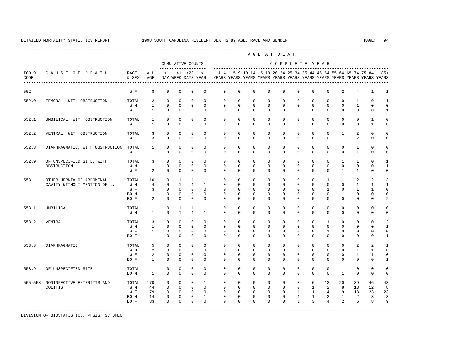|                 |                                 |               |                                |                              |                              |                                    |                              |                            |                            |                                                           |                            | AGE AT DEATH               |                         |                              |                          |                              |                          |                                                                         |                             |  |
|-----------------|---------------------------------|---------------|--------------------------------|------------------------------|------------------------------|------------------------------------|------------------------------|----------------------------|----------------------------|-----------------------------------------------------------|----------------------------|----------------------------|-------------------------|------------------------------|--------------------------|------------------------------|--------------------------|-------------------------------------------------------------------------|-----------------------------|--|
|                 | CAUSE OF DEATH                  |               |                                | CUMULATIVE COUNTS            |                              |                                    |                              | COMPLETE YEAR              |                            |                                                           |                            |                            |                         |                              |                          |                              |                          |                                                                         |                             |  |
| $ICD-9$<br>CODE |                                 | RACE<br>& SEX | ALL<br>AGE                     | <1                           |                              | $< 1$ $< 28$<br>DAY WEEK DAYS YEAR | <1                           | $1 - 4$                    |                            | 5-9 10-14 15-19 20-24 25-34 35-44 45-54 55-64 65-74 75-84 |                            |                            |                         |                              |                          |                              |                          | YEARS YEARS YEARS YEARS YEARS YEARS YEARS YEARS YEARS YEARS YEARS YEARS | $85+$                       |  |
| 552             |                                 | W F           | 8                              | $\mathbf{0}$                 | $\mathbf{0}$                 | $\mathbf{0}$                       | $\mathbf{0}$                 | $\mathbf 0$                | $\Omega$                   | $\Omega$                                                  | $\Omega$                   | $\Omega$                   | $\Omega$                | $\Omega$                     | $\Omega$                 | 2                            | $\overline{4}$           | $\mathbf{1}$                                                            | $\mathbf{1}$                |  |
| 552.0           | FEMORAL, WITH OBSTRUCTION       | TOTAL         | $\overline{a}$                 | $\Omega$                     | $\Omega$                     | $\Omega$                           | $\Omega$                     | $\Omega$                   | $\Omega$                   | $\Omega$                                                  | $\Omega$                   | $\Omega$                   | $\Omega$                | $\Omega$                     | $\Omega$                 | $\Omega$                     | $\mathbf{1}$             | $\Omega$                                                                | $\mathbf{1}$                |  |
|                 |                                 | W M<br>W F    | $\mathbf{1}$<br>$\mathbf{1}$   | $\mathbf 0$<br>$\Omega$      | $\mathbf 0$<br>$\mathbf 0$   | $\mathbf 0$<br>$\mathbf{0}$        | $\mathbf 0$<br>$\Omega$      | $\mathbf 0$<br>$\Omega$    | $\mathbf 0$<br>$\Omega$    | $\mathbf{0}$<br>$\Omega$                                  | $\mathbf{0}$<br>$\Omega$   | $\mathbf{0}$<br>$\Omega$   | $\mathbf 0$<br>$\Omega$ | $\mathbf 0$<br>$\Omega$      | $\mathbf{0}$<br>$\Omega$ | $\mathbf 0$<br>$\Omega$      | $\mathbf{1}$<br>$\Omega$ | $\mathbf 0$<br>$\Omega$                                                 | $\mathbf 0$<br>$\mathbf{1}$ |  |
| 552.1           | UMBILICAL, WITH OBSTRUCTION     | TOTAL         | $\mathbf{1}$                   | $\mathbf{0}$                 | $\mathbf{0}$                 | $\mathbf{0}$                       | $\Omega$                     | $\mathbf 0$                | $\mathbf 0$                | $\mathbf 0$                                               | $\Omega$                   | $\Omega$                   | $\Omega$                | $\Omega$                     | $\Omega$                 | $\Omega$                     | $\mathbf 0$              | $\mathbf{1}$                                                            | $\mathbf 0$                 |  |
|                 |                                 | W F           | $\mathbf{1}$                   | $\Omega$                     | $\Omega$                     | $\Omega$                           | $\Omega$                     | $\Omega$                   | $\Omega$                   | $\Omega$                                                  | $\Omega$                   | $\Omega$                   | $\Omega$                | $\Omega$                     | $\Omega$                 | $\Omega$                     | $\Omega$                 | $\mathbf{1}$                                                            | $\Omega$                    |  |
| 552.2           | VENTRAL, WITH OBSTRUCTION       | TOTAL<br>W F  | 3<br>$\overline{3}$            | $\mathbf 0$<br>$\Omega$      | $\mathbf{0}$<br>$\Omega$     | $\mathbf{0}$<br>$\Omega$           | $\mathbf{0}$<br>$\Omega$     | $\mathbf 0$<br>$\Omega$    | $\mathbf 0$<br>$\Omega$    | $\mathbf 0$<br>$\Omega$                                   | $\mathbf 0$<br>$\Omega$    | $\mathbf 0$<br>$\Omega$    | $\mathbf 0$<br>$\Omega$ | $\mathbf 0$<br>$\Omega$      | $\mathbf 0$<br>$\Omega$  | $\mathbf{1}$<br>$\mathbf{1}$ | 2<br>2                   | $\mathbf 0$<br>$\Omega$                                                 | $\Omega$<br>$\mathbf 0$     |  |
| 552.3           | DIAPHRAGMATIC, WITH OBSTRUCTION | TOTAL         | $\mathbf{1}$                   | $\mathbf{0}$                 | $\mathbf{0}$                 | $\mathbf{0}$                       | $\Omega$                     | $\mathbf 0$                | $\mathbf 0$                | $\mathbf 0$                                               | $\mathbf 0$                | $\mathbf 0$                | $\mathbf 0$             | $\mathbf 0$                  | $\mathbf{0}$             | $\mathbf{0}$                 | $\mathbf{1}$             | $\mathbf 0$                                                             | $\Omega$                    |  |
|                 |                                 | W F           | $\mathbf{1}$                   | $\Omega$                     | $\Omega$                     | $\Omega$                           | $\Omega$                     | $\Omega$                   | $\Omega$                   | $\Omega$                                                  | $\Omega$                   | $\Omega$                   | $\Omega$                | $\Omega$                     | $\Omega$                 | $\Omega$                     | $\mathbf{1}$             | $\Omega$                                                                | $\mathbf 0$                 |  |
| 552.9           | OF UNSPECIFIED SITE, WITH       | TOTAL         | 3                              | $\mathbf{0}$                 | $\Omega$                     | $\mathbf{0}$                       | $\Omega$                     | $\Omega$                   | $\Omega$                   | $\Omega$                                                  | $\Omega$                   | $\Omega$                   | $\Omega$                | $\Omega$                     | $\Omega$                 | $\mathbf{1}$                 | $\mathbf{1}$             | $\Omega$                                                                | $\mathbf{1}$                |  |
|                 | OBSTRUCTION                     | W M<br>W F    | $\mathbf{1}$<br>$\overline{a}$ | $\mathbf{0}$<br>$\mathbf{0}$ | $\Omega$<br>$\mathbf{0}$     | $\Omega$<br>$\mathbf{0}$           | $\Omega$<br>$\mathbf{0}$     | $\Omega$<br>$\Omega$       | $\Omega$<br>$\Omega$       | $\Omega$<br>$\Omega$                                      | $\Omega$<br>$\Omega$       | $\Omega$<br>$\Omega$       | $\Omega$<br>$\Omega$    | $\Omega$<br>$\Omega$         | $\Omega$<br>$\Omega$     | $\Omega$<br>$\mathbf{1}$     | $\Omega$<br>$\mathbf{1}$ | $\Omega$<br>$\Omega$                                                    | $\mathbf{1}$<br>$\mathbf 0$ |  |
| 553             | OTHER HERNIA OF ABDOMINAL       | TOTAL         | 10                             | $\mathbf{0}$                 | $\mathbf{1}$                 | $\mathbf{1}$                       | $\overline{1}$               | $\Omega$                   | $\Omega$                   | $\Omega$                                                  | $\Omega$                   | $\Omega$                   | $\Omega$                | $\Omega$                     | $\mathbf{1}$             | $\mathbf{1}$                 | 2                        | $\overline{a}$                                                          | 3                           |  |
|                 | CAVITY WITHOUT MENTION OF       | W M           | $\overline{4}$                 | $\mathbf{0}$                 | $\mathbf{1}$                 | $\mathbf{1}$                       | $\overline{1}$               | $\Omega$                   | $\Omega$                   | $\Omega$                                                  | $\Omega$                   | $\Omega$                   | $\Omega$                | $\Omega$                     | $\Omega$                 | $\Omega$                     | $\mathbf{1}$             | $\mathbf{1}$                                                            | $\mathbf{1}$                |  |
|                 |                                 | W F<br>BO M   | 3<br>$\mathbf{1}$              | $\mathbf{0}$<br>$\mathbf{0}$ | $\mathbf{0}$<br>$\Omega$     | $\Omega$<br>$\mathbf 0$            | $\Omega$<br>$\Omega$         | $\Omega$<br>$\Omega$       | $\Omega$<br>$\Omega$       | $\Omega$<br>$\Omega$                                      | $\Omega$<br>$\Omega$       | $\Omega$<br>$\Omega$       | $\Omega$<br>$\Omega$    | $\Omega$<br>$\Omega$         | $\mathbf{1}$<br>$\Omega$ | $\Omega$<br>$\mathbf{1}$     | $\mathbf{1}$<br>$\Omega$ | $\mathbf{1}$<br>$\Omega$                                                | $\Omega$<br>$\Omega$        |  |
|                 |                                 | BO F          | 2                              | $\mathbf{0}$                 | $\mathbf{0}$                 | $\mathbf{0}$                       | $\Omega$                     | $\Omega$                   | $\Omega$                   | $\Omega$                                                  | $\Omega$                   | $\Omega$                   | $\Omega$                | $\Omega$                     | $\Omega$                 | $\Omega$                     | $\Omega$                 | $\Omega$                                                                | 2                           |  |
| 553.1           | UMBILICAL                       | TOTAL         | $\mathbf{1}$                   | $\mathbf{0}$                 | $\mathbf{1}$                 | 1                                  | 1                            | $\mathbf 0$                | $\mathbf 0$                | $\mathbf 0$                                               | $\mathbf 0$                | $\mathbf 0$                | $\mathbf 0$             | $\mathbf 0$                  | $\mathbf 0$              | $\mathbf 0$                  | $\mathbf 0$              | 0                                                                       | $\mathbf 0$                 |  |
|                 |                                 | W M           | $\mathbf{1}$                   | $\Omega$                     | $\mathbf{1}$                 | $\mathbf{1}$                       | $\mathbf{1}$                 | $\Omega$                   | $\Omega$                   | $\Omega$                                                  | $\Omega$                   | $\Omega$                   | $\Omega$                | $\Omega$                     | $\Omega$                 | $\Omega$                     | $\Omega$                 | $\Omega$                                                                | $\mathbf 0$                 |  |
| 553.2           | VENTRAL                         | TOTAL         | 3                              | $\mathbf{0}$                 | $\mathbf{0}$                 | $\mathbf{0}$                       | $\mathbf{0}$                 | $\mathbf 0$                | $\mathbf 0$                | $\mathbf 0$                                               | $\mathbf 0$                | $\circ$                    | $\mathbf 0$             | $\mathbf 0$                  | $\mathbf{1}$             | $\mathbf{0}$                 | $\mathbf 0$              | $\mathbf 0$                                                             | $\mathfrak{D}$              |  |
|                 |                                 | W M<br>W F    | $\mathbf{1}$<br>$\mathbf{1}$   | $\mathbf{0}$<br>$\mathbf{0}$ | $\mathbf{0}$<br>$\mathbf{0}$ | $\mathbf{0}$<br>$\mathbf 0$        | $\Omega$<br>$\mathbf{0}$     | $\Omega$<br>$\mathbf 0$    | $\Omega$<br>$\mathbf 0$    | $\Omega$<br>$\mathbf 0$                                   | $\Omega$<br>$\Omega$       | $\Omega$<br>$\mathbf 0$    | $\Omega$<br>$\Omega$    | $\Omega$<br>$\mathbf 0$      | $\Omega$<br>$\mathbf{1}$ | $\Omega$<br>$\mathbf 0$      | 0<br>0                   | $\Omega$<br>0                                                           | $\mathbf{1}$<br>$\mathbf 0$ |  |
|                 |                                 | BO F          | $\mathbf{1}$                   | $\mathbf{0}$                 | $\mathbf{0}$                 | $\mathbf{0}$                       | $\mathbf 0$                  | $\mathbf 0$                | $\mathbf 0$                | $\mathbf 0$                                               | $\mathbf 0$                | $\circ$                    | $\mathbf 0$             | $\mathbf 0$                  | $\mathbf 0$              | $\Omega$                     | $\mathbf 0$              | $\mathbf 0$                                                             | $\mathbf{1}$                |  |
| 553.3           | DIAPHRAGMATIC                   | TOTAL         | 5                              | $\Omega$                     | $\Omega$                     | $\mathbf{0}$                       | $\Omega$                     | $\Omega$                   | $\Omega$                   | $\Omega$                                                  | $\Omega$                   | $\Omega$                   | $\Omega$                | $\Omega$                     | $\Omega$                 | $\Omega$                     | 2                        | $\overline{a}$                                                          | $\mathbf{1}$                |  |
|                 |                                 | W M           | $\overline{a}$                 | $\mathbf{0}$                 | $\mathbf{0}$                 | $\mathbf 0$                        | $\mathbf{0}$                 | $\mathbf 0$                | $\mathbf 0$                | $\mathbf 0$                                               | $\mathbf 0$                | $\Omega$                   | 0                       | $\Omega$                     | $\mathbf 0$              | $\mathbf 0$                  | $\mathbf{1}$             | $\mathbf{1}$                                                            | $\mathbf 0$                 |  |
|                 |                                 | W F<br>BO F   | $\overline{a}$<br>$\mathbf{1}$ | $\mathbf{0}$<br>$\Omega$     | $\mathbf{0}$<br>$\mathbf{0}$ | $\mathbb O$<br>$\mathbf{0}$        | $\mathbf{0}$<br>$\Omega$     | $\mathbf 0$<br>$\Omega$    | $\mathbf 0$<br>$\Omega$    | $\mathbf 0$<br>$\Omega$                                   | $\mathbf 0$<br>$\Omega$    | $\mathbf 0$<br>$\Omega$    | $\mathbf 0$<br>$\Omega$ | $\mathbf 0$<br>$\Omega$      | $\mathbf 0$<br>$\Omega$  | $\mathbf 0$<br>$\Omega$      | 1<br>$\Omega$            | 1<br>$\Omega$                                                           | $\Omega$<br>$\mathbf{1}$    |  |
| 553.9           | OF UNSPECIFIED SITE             | TOTAL         | $\mathbf{1}$                   | $\mathbf{0}$                 | $\mathbf{0}$                 | $\mathbf{0}$                       | $\mathbf{0}$                 | $\mathbf 0$                | $\mathbf 0$                | $\mathbf 0$                                               | $\mathbf 0$                | $\mathbf 0$                | 0                       | $\mathbf 0$                  | $\mathbf 0$              | $\mathbf{1}$                 | $\mathbf 0$              | $\mathbf 0$                                                             | $\mathbf 0$                 |  |
|                 |                                 | BO M          | $\mathbf{1}$                   | $\mathbf{0}$                 | $\mathbf{0}$                 | $\mathbf{0}$                       | $\mathbf{0}$                 | 0                          | $\mathbf{0}$               | $\mathbf{0}$                                              | $\mathbf{0}$               | $\mathbf 0$                | 0                       | $\mathbf 0$                  | $\mathbf{0}$             | $\mathbf{1}$                 | 0                        | 0                                                                       | $\mathbf 0$                 |  |
| $555 - 558$     | NONINFECTIVE ENTERITIS AND      | TOTAL         | 170                            | $\mathbf 0$                  | $\mathsf{O}$                 | $\mathbf 0$                        | $\mathbf{1}$                 | $\mathbf 0$                | $\mathbf 0$                | $\mathbf 0$                                               | $\mathbf 0$                | $\mathbf 0$                | 3                       | 6                            | 12                       | 20                           | 39                       | 46                                                                      | 43                          |  |
|                 | COLITIS                         | W M<br>W F    | 44<br>79                       | $\mathbf 0$<br>$\mathbf 0$   | $\mathsf{O}$<br>$\mathsf{O}$ | $\mathbb O$<br>$\mathbf 0$         | $\mathbf{0}$<br>$\mathbf{0}$ | $\mathbf 0$<br>$\mathbf 0$ | $\mathbf 0$<br>$\mathbf 0$ | $\mathbf 0$<br>$\mathbf 0$                                | $\mathbf 0$<br>$\mathbf 0$ | $\mathbf 0$<br>$\mathbf 0$ | 0<br>$\mathbf{1}$       | $\mathbf{1}$<br>$\mathbf{1}$ | 2<br>$\overline{4}$      | 8<br>9                       | 13<br>18                 | 12                                                                      | 8                           |  |
|                 |                                 | BO M          | 14                             | $\mathbf 0$                  | $\mathsf{O}$                 | $\mathbf 0$                        | $\mathbf{1}$                 | $\mathbf 0$                | $\Omega$                   | $\mathbf 0$                                               | $\Omega$                   | $\Omega$                   | $\mathbf{1}$            | $\mathbf{1}$                 | 2                        | $\mathbf{1}$                 | 2                        | 23<br>3                                                                 | 23<br>3                     |  |
|                 |                                 | BO F          | 33                             | $\mathbf{0}$                 | $\mathbf{0}$                 | $\mathbf{0}$                       | $\mathbf{0}$                 | $\Omega$                   | $\mathbf 0$                | $\mathbf 0$                                               | $\mathbf{0}$               | $\mathbf 0$                | $\mathbf{1}$            | 3                            | $\overline{4}$           | 2                            | 6                        | 8                                                                       | 9                           |  |
|                 |                                 |               |                                |                              |                              |                                    |                              |                            |                            |                                                           |                            |                            |                         |                              |                          |                              |                          |                                                                         |                             |  |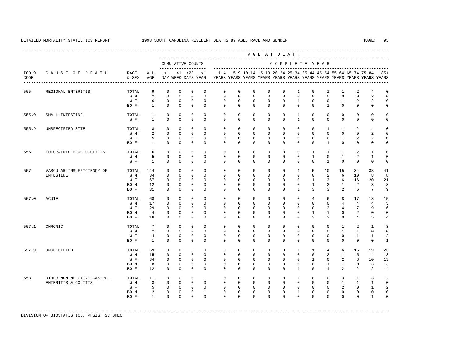|                 |                                                   |                                     |                                                        | AGE AT DEATH                                                            |                                                                        |                                                                        |                                                                  |                                                                                                       |                                                                      |                                                                 |                                                                |                                                                |                                                                        |                                                                       |                                                                 |                                                               |                                                                     |                                                                  |                                                         |  |
|-----------------|---------------------------------------------------|-------------------------------------|--------------------------------------------------------|-------------------------------------------------------------------------|------------------------------------------------------------------------|------------------------------------------------------------------------|------------------------------------------------------------------|-------------------------------------------------------------------------------------------------------|----------------------------------------------------------------------|-----------------------------------------------------------------|----------------------------------------------------------------|----------------------------------------------------------------|------------------------------------------------------------------------|-----------------------------------------------------------------------|-----------------------------------------------------------------|---------------------------------------------------------------|---------------------------------------------------------------------|------------------------------------------------------------------|---------------------------------------------------------|--|
|                 |                                                   |                                     |                                                        | CUMULATIVE COUNTS<br>____________________                               |                                                                        |                                                                        |                                                                  | COMPLETE YEAR                                                                                         |                                                                      |                                                                 |                                                                |                                                                |                                                                        |                                                                       |                                                                 |                                                               |                                                                     |                                                                  |                                                         |  |
| $ICD-9$<br>CODE | CAUSE OF DEATH                                    | RACE<br>& SEX                       | ALL<br>AGE                                             |                                                                         |                                                                        | $<1$ $<1$ $<28$                                                        | <1                                                               | $1 - 4$<br>DAY WEEK DAYS YEAR YEARS YEARS YEARS YEARS YEARS YEARS YEARS YEARS YEARS YEARS YEARS YEARS |                                                                      | 5-9 10-14 15-19 20-24 25-34 35-44 45-54 55-64 65-74 75-84       |                                                                |                                                                |                                                                        |                                                                       |                                                                 |                                                               |                                                                     |                                                                  | $85+$                                                   |  |
| 555             | REGIONAL ENTERITIS                                | TOTAL<br>W M<br>W F<br>BO F         | 9<br>2<br>6<br>$\mathbf{1}$                            | $^{\circ}$<br>$\Omega$<br>$\mathbf{0}$<br>$\mathbf{0}$                  | $\mathbf 0$<br>$\Omega$<br>$\mathbf 0$<br>$\mathbf{0}$                 | $\mathbf 0$<br>$\Omega$<br>$\mathbf 0$<br>$\mathbf{0}$                 | $\circ$<br>$\Omega$<br>$\circ$<br>$\circ$                        | $\circ$<br>$\Omega$<br>$\mathbf 0$<br>$\Omega$                                                        | $\mathbf 0$<br>$\Omega$<br>$\mathbf 0$<br>$\Omega$                   | $\mathbf{0}$<br>$\Omega$<br>$\mathbf{0}$<br>$\Omega$            | $\mathbf{0}$<br>$\Omega$<br>$\mathbf 0$<br>$\Omega$            | $\mathbf 0$<br>$\Omega$<br>$\mathbf 0$<br>$\Omega$             | $\mathbf{1}$<br>$\Omega$<br>$\mathbf{1}$<br>$\Omega$                   | $\mathbf 0$<br>$\Omega$<br>$\mathbf 0$<br>$\Omega$                    | $\mathbf{1}$<br>$\Omega$<br>$\mathbf 0$<br>$\mathbf{1}$         | $\mathbf{1}$<br>$\Omega$<br>$\mathbf{1}$<br>$\Omega$          | 2<br>$\Omega$<br>2<br>$\mathbf 0$                                   | 4<br>$\mathfrak{D}$<br>2<br>$\mathbf 0$                          | $\mathbf 0$<br>$\Omega$<br>$\mathbf 0$<br>$\mathbf 0$   |  |
| 555.0           | SMALL INTESTINE                                   | TOTAL<br>W F                        | $\mathbf{1}$<br>$\mathbf{1}$                           | 0<br>$\mathbf{0}$                                                       | $\mathbf 0$<br>$\mathbf{0}$                                            | $\mathbf 0$<br>$\mathbf{0}$                                            | $\mathbf 0$<br>$\Omega$                                          | $\mathbf 0$<br>$\Omega$                                                                               | $\mathbf 0$<br>$\Omega$                                              | $\mathbf{0}$<br>$\Omega$                                        | $\mathbf 0$<br>$\Omega$                                        | $\mathbf 0$<br>$\Omega$                                        | $\mathbf{1}$<br>$\mathbf{1}$                                           | $^{\circ}$<br>$\Omega$                                                | $\mathbf 0$<br>$\Omega$                                         | $\mathbf 0$<br>$\Omega$                                       | $\mathbf 0$<br>$\circ$                                              | $\mathbf 0$<br>$\mathbf 0$                                       | $\mathbf 0$<br>$\mathbf 0$                              |  |
| 555.9           | UNSPECIFIED SITE                                  | TOTAL<br>W M<br>W F<br>BO F         | 8<br>2<br>5<br>$\mathbf{1}$                            | $\mathbf{0}$<br>$\Omega$<br>$\mathbf{0}$<br>$\mathbf{0}$                | $\mathbf{0}$<br>$\Omega$<br>$\circ$<br>$\mathbb O$                     | $\mathbf{0}$<br>$\Omega$<br>$\mathbf 0$<br>$\mathbf{0}$                | $\circ$<br>$\Omega$<br>$\circ$<br>$\circ$                        | $\mathbf 0$<br>$\Omega$<br>$\circ$<br>$\circ$                                                         | $\mathbf 0$<br>$\Omega$<br>$\Omega$<br>$\mathbf 0$                   | $\mathbf{0}$<br>$\Omega$<br>$\mathbf{0}$<br>$\mathbf{0}$        | $\mathbf 0$<br>$\Omega$<br>$\Omega$<br>$\mathbf 0$             | $\mathbf 0$<br>$\Omega$<br>$\mathbf 0$<br>$\mathbf 0$          | $\mathbf 0$<br>$\Omega$<br>$\Omega$<br>$\mathbf 0$                     | $\mathbf 0$<br>$\Omega$<br>$\mathbf 0$<br>$\mathbf 0$                 | $\mathbf{1}$<br>$\Omega$<br>$\Omega$<br>$\mathbf{1}$            | $\mathbf{1}$<br>$\Omega$<br>$\mathbf{1}$<br>$\mathbf 0$       | 2<br>$\Omega$<br>2<br>$\mathbf 0$                                   | $\overline{4}$<br>$\mathfrak{D}$<br>2<br>$\mathbf 0$             | $\mathbf 0$<br>$\Omega$<br>$\mathbf 0$<br>$\mathbf 0$   |  |
| 556             | IDIOPATHIC PROCTOCOLITIS                          | TOTAL<br>W M<br>W F                 | 6<br>5<br>$\mathbf{1}$                                 | $\Omega$<br>$\mathbb O$<br>$\Omega$                                     | $\Omega$<br>$\mathbf 0$<br>$\Omega$                                    | $\mathbf 0$<br>$\mathbf 0$<br>$\mathbf{0}$                             | $\Omega$<br>$\mathbf 0$<br>$\Omega$                              | $\Omega$<br>$\mathbf 0$<br>$\Omega$                                                                   | $\Omega$<br>$\mathbf 0$<br>$\Omega$                                  | $\Omega$<br>$\mathbf 0$<br>$\Omega$                             | $\Omega$<br>$\mathbf 0$<br>$\Omega$                            | $\Omega$<br>$\mathbf 0$<br>$\Omega$                            | $\Omega$<br>$\mathbf 0$<br>$\Omega$                                    | $\mathbf{1}$<br>$\mathbf{1}$<br>$\Omega$                              | $\overline{1}$<br>$\mathbf 0$<br>$\overline{1}$                 | $\overline{1}$<br>$\mathbf{1}$<br>$\Omega$                    | 2<br>2<br>$\Omega$                                                  | $\mathbf{1}$<br>$\mathbf{1}$<br>$\Omega$                         | $\Omega$<br>$\mathbf 0$<br>$\mathbf 0$                  |  |
| 557             | VASCULAR INSUFFICIENCY OF<br>INTESTINE            | TOTAL<br>W M<br>W F<br>BO M<br>BO F | 144<br>34<br>67<br>12<br>31                            | $\Omega$<br>$\mathbf 0$<br>$\mathbf 0$<br>$\Omega$<br>$\mathbf{0}$      | $\Omega$<br>$\mathbf{0}$<br>$\mathbf{0}$<br>$^{\circ}$<br>$\mathbf{0}$ | $\Omega$<br>$\mathbf{0}$<br>$\mathbf{0}$<br>$^{\circ}$<br>$\mathbf{0}$ | $\Omega$<br>$\Omega$<br>$\Omega$<br>$\Omega$<br>$\Omega$         | $\Omega$<br>$\Omega$<br>$\mathbf 0$<br>$\Omega$<br>$\Omega$                                           | $\Omega$<br>$\Omega$<br>$\mathbf 0$<br>$\Omega$<br>$\Omega$          | $\Omega$<br>$\Omega$<br>$\mathbf 0$<br>$\Omega$<br>$\Omega$     | $\Omega$<br>$\Omega$<br>$\Omega$<br>$\Omega$<br>$\Omega$       | $\Omega$<br>$\Omega$<br>$\mathbf 0$<br>$\Omega$<br>$\Omega$    | $\mathbf{1}$<br>$\Omega$<br>$\mathbf 0$<br>$\Omega$<br>$\overline{1}$  | -5<br>$\mathbf 0$<br>$\mathbf{1}$<br>$\overline{1}$<br>3              | 10<br>2<br>3<br>$\mathcal{L}$<br>$\overline{3}$                 | 1.5<br>6<br>6<br>$\overline{1}$<br>$\overline{a}$             | 34<br>10<br>16<br>2<br>6                                            | 38<br>8<br>20<br>3<br>$7\phantom{.0}$                            | 41<br>8<br>21<br>3<br>9                                 |  |
| 557.0           | <b>ACUTE</b>                                      | TOTAL<br>W M<br>W F<br>BO M<br>BO F | 68<br>17<br>29<br>$\overline{4}$<br>18                 | $\Omega$<br>$\mathbf{0}$<br>$\Omega$<br>$\Omega$<br>$\mathbf{0}$        | $\Omega$<br>$\mathbf{0}$<br>$\Omega$<br>$\Omega$<br>$\mathbf{0}$       | $\Omega$<br>$\circ$<br>$\Omega$<br>$\mathbf{0}$<br>$\mathbf{0}$        | $\Omega$<br>$\mathbf 0$<br>$\Omega$<br>$\Omega$<br>$\Omega$      | $\Omega$<br>$\mathbf 0$<br>$\Omega$<br>$\Omega$<br>$\Omega$                                           | $\Omega$<br>$\mathbf 0$<br>$\Omega$<br>$\Omega$<br>$\Omega$          | $\Omega$<br>$\mathbf 0$<br>$\Omega$<br>$\Omega$<br>$\Omega$     | $\Omega$<br>$\mathbf 0$<br>$\Omega$<br>$\Omega$<br>$\Omega$    | $\Omega$<br>$\mathbf 0$<br>$\Omega$<br>$\Omega$<br>$\Omega$    | $\Omega$<br>$\mathbf 0$<br>$\Omega$<br>$\Omega$<br>$\Omega$            | $\overline{4}$<br>$\mathbf 0$<br>$\Omega$<br>$\overline{1}$<br>3      | 6<br>$\mathbf 0$<br>3<br>$\mathbf{1}$<br>$\mathfrak{D}$         | 8<br>$\overline{4}$<br>$\overline{4}$<br>$\Omega$<br>$\Omega$ | 17<br>$\overline{4}$<br>$7\phantom{.0}$<br>2<br>4                   | 18<br>$\overline{4}$<br>9<br>$\mathbf 0$<br>5                    | 15<br>5<br>6<br>$\mathbf 0$<br>4                        |  |
| 557.1           | CHRONIC                                           | TOTAL<br>W M<br>W F<br>BO F         | $7\overline{ }$<br>2<br>$\overline{4}$<br>$\mathbf{1}$ | $\circ$<br>$\mathbf{0}$<br>$\mathbb O$<br>$\mathbf 0$                   | $\mathbf 0$<br>$\mathbf 0$<br>$\mathbf 0$<br>$\mathbf{0}$              | $\mathbf 0$<br>$\mathbf 0$<br>$\mathbb O$<br>$\mathbf{0}$              | $\Omega$<br>$\mathbf 0$<br>$\mathbf 0$<br>$\Omega$               | $\mathbf 0$<br>$^{\circ}$<br>$\mathbf 0$<br>$\Omega$                                                  | $\mathbf 0$<br>0<br>$\mathbf 0$<br>$\mathbf 0$                       | $\Omega$<br>$\mathbf{0}$<br>$\mathbf 0$<br>$\Omega$             | $\Omega$<br>0<br>$\mathbf 0$<br>$\mathbf 0$                    | $\Omega$<br>0<br>$\mathbf 0$<br>$\Omega$                       | $\mathbf 0$<br>0<br>$\mathbf 0$<br>$\mathbf 0$                         | $\mathbf 0$<br>$^{\circ}$<br>$\mathbf 0$<br>$\Omega$                  | $\Omega$<br>$\Omega$<br>$\mathbf 0$<br>$\mathbf 0$              | 1<br>$\mathbf{1}$<br>$\mathbf 0$<br>$\Omega$                  | 2<br>$\mathbf{1}$<br>$\mathbf{1}$<br>$\circ$                        | 1<br>0<br>$\mathbf{1}$<br>$\mathbf 0$                            | 3<br>$\mathbf 0$<br>2<br>$\mathbf{1}$                   |  |
| 557.9           | UNSPECIFIED                                       | TOTAL<br>W M<br>W F<br>BO M<br>BO F | 69<br>15<br>34<br>8<br>$12 \overline{ }$               | $\mathbf 0$<br>$\mathbf{0}$<br>$\Omega$<br>$\mathbb O$<br>$\mathbf 0$   | $\mathbf{0}$<br>$\mathbf 0$<br>$\Omega$<br>$\mathbb O$<br>$\mathbf{0}$ | $\mathbf{0}$<br>$\circ$<br>$\circ$<br>$\mathbb O$<br>$\mathbf 0$       | $\Omega$<br>$\mathbf 0$<br>$\Omega$<br>$\circ$<br>$\mathbf 0$    | $\mathbf 0$<br>$\mathbf 0$<br>$\Omega$<br>$\mathbf 0$<br>$\mathbf 0$                                  | $\mathbf 0$<br>$\mathbf 0$<br>$\Omega$<br>$\mathbf 0$<br>$\mathbf 0$ | $\Omega$<br>$\mathbf 0$<br>$\Omega$<br>$\mathbf 0$<br>$\Omega$  | $\mathbf 0$<br>$\mathbf 0$<br>$\Omega$<br>$\mathbf 0$<br>0     | $\mathbf 0$<br>$\Omega$<br>$\Omega$<br>$\mathbf 0$<br>$\Omega$ | $\mathbf{1}$<br>$\mathbf 0$<br>$\Omega$<br>$\mathbf 0$<br>$\mathbf{1}$ | $\mathbf{1}$<br>$\Omega$<br>$\overline{1}$<br>$\mathbf 0$<br>$\Omega$ | $\overline{4}$<br>2<br>$\Omega$<br>$\mathbf{1}$<br>$\mathbf{1}$ | 6<br>$\mathbf{1}$<br>2<br>$\mathbf{1}$<br>2                   | 15<br>5<br>8<br>0<br>2                                              | 19<br>$\overline{4}$<br>10<br>3<br>2                             | 23<br>$\overline{3}$<br>13<br>3<br>4                    |  |
| 558             | OTHER NONINFECTIVE GASTRO-<br>ENTERITIS & COLITIS | TOTAL<br>W M<br>W F<br>BO M<br>BO F | 11<br>$\overline{3}$<br>5<br>2<br>$\mathbf{1}$         | $\mathbf{0}$<br>$\mathbf{0}$<br>$\mathbf{0}$<br>$\mathbf 0$<br>$\Omega$ | $\mathbb O$<br>$\mathbf 0$<br>$\circ$<br>$\circ$<br>$\Omega$           | $\circ$<br>$\circ$<br>$\circ$<br>$\mathbf 0$<br>$\Omega$               | $\mathbf{1}$<br>$\Omega$<br>$\Omega$<br>$\mathbf{1}$<br>$\Omega$ | $\mathbf 0$<br>$\Omega$<br>$\Omega$<br>$\mathbf 0$<br>$\Omega$                                        | $\mathbf 0$<br>$\Omega$<br>$\Omega$<br>$\mathbf 0$<br>$\Omega$       | $\mathbf{0}$<br>$\Omega$<br>$\Omega$<br>$\mathbf 0$<br>$\Omega$ | $\mathbf 0$<br>$\Omega$<br>$\Omega$<br>$\mathbf 0$<br>$\Omega$ | $\mathbf 0$<br>$\Omega$<br>$\Omega$<br>$\mathbf 0$<br>$\Omega$ | $\mathbf{1}$<br>$\Omega$<br>$\Omega$<br>$\mathbf{1}$<br>$\Omega$       | $\mathbf 0$<br>$\Omega$<br>$\Omega$<br>$\mathbf 0$<br>$\Omega$        | $\mathbf 0$<br>$\Omega$<br>$\Omega$<br>$\mathbf 0$<br>$\Omega$  | 3<br>$\overline{1}$<br>2<br>$\mathbf 0$<br>$\Omega$           | $\mathbf{1}$<br>$\mathbf{1}$<br>$\Omega$<br>$\mathbf 0$<br>$\Omega$ | 3<br>$\mathbf{1}$<br>$\mathbf{1}$<br>$\mathbf 0$<br>$\mathbf{1}$ | 2<br>$\Omega$<br>$\mathfrak{D}$<br>$\Omega$<br>$\Omega$ |  |

-----------------------------------------------------------------------------------------------------------------------------------------------------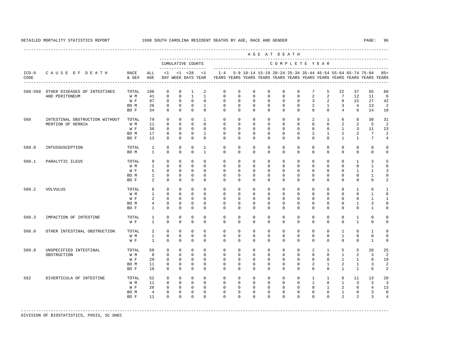----------------------------------------------------------------------------------------------------------------------------------------------------

 A G E A T D E A T H --------------------------------------------------------------------------------------------- CUMULATIVE COUNTS C O M P L E T E Y E A R ------------------- ----------------------------------------------------------------------- ICD-9 C A U S E O F D E A T H RACE ALL <1 <1 <28 <1 1-4 5-9 10-14 15-19 20-24 25-34 35-44 45-54 55-64 65-74 75-84 85+ CODE & SEX AGE DAY WEEK DAYS YEAR YEARS YEARS YEARS YEARS YEARS YEARS YEARS YEARS YEARS YEARS YEARS YEARS ---------------------------------------------------------------------------------------------------------------------------------------------------- 560-569 OTHER DISEASES OF INTESTINES TOTAL 198 0 0 1 2 0 0 0 0 0 0 7 5 22 37 65 60  $\begin{array}{ccccccccccc}\n0 & 0 & 1 & 1 & 0 & 0 & 0 \\
0 & 0 & 0 & 0 & 0 & 0 & 0\n\end{array}$  W F 97 0 0 0 0 0 0 0 0 0 0 3 2 8 15 27 42 BO M 26 0 0 0 1 0 0 0 0 0 0 2 1 3 4 13 2 BO F 34 0 0 0 0 0 0 0 0 0 0 0 0 4 6 14 10 560 INTESTINAL OBSTRUCTION WITHOUT TOTAL 79 0 0 0 1 0 0 0 0 0 0 2 1 6 8 30 31 MENTION OF HERNIA W M 11 0 0 0 0 0 0 0 0 0 0 0 0 0 0 2 2 5 2<br>W F 38 0 0 0 0 0 0 0 0 0 0 0 0 0 1 3 11 23 W F 38 0 0 0 0 0 0 0 0 0 0 0 0 1 3 11 23 BOM 17 0 0 0 1 0 0 0 0 0 0 0 2 1 2 2 7 2 BO F 13 0 0 0 0 0 0 0 0 0 0 0 0 1 1 7 4 560.0 INTUSSUSCEPTION TOTAL 1 0 0 0 1 0 0 0 0 0 0 0 0 0 0 0 0 BO M 1 0 0 0 1 0 0 0 0 0 0 0 0 0 0 0 0 560.1 PARALYTIC ILEUS TOTAL 9 0 0 0 0 0 0 0 0 0 0 0 0 0 1 3 5 W M 1 0 0 0 0 0 0 0 0 0 0 0 0 0 0 1 0 W F 5 0 0 0 0 0 0 0 0 0 0 0 0 0 1 1 3 BO M 1 0 0 0 0 0 0 0 0 0 0 0 0 0 0 1 0 BO F 2 0 0 0 0 0 0 0 0 0 0 0 0 0 0 0 0 2 560.2 VOLVULUS TOTAL 8 0 0 0 0 0 0 0 0 0 0 0 0 0 1 6 1 W M 1 0 0 0 0 0 0 0 0 0 0 0 0 0 0 1 0 W F 2 0 0 0 0 0 0 0 0 0 0 0 0 0 0 1 1 BO M 4 0 0 0 0 0 0 0 0 0 0 0 0 0 1 3 0 BO F 1 0 0 0 0 0 0 0 0 0 0 0 0 0 0 1 0 560.3 IMPACTION OF INTESTINE TOTAL 1 0 0 0 0 0 0 0 0 0 0 0 0 0 1 0 0 W F 1 0 0 0 0 0 0 0 0 0 0 0 0 0 0 1 0 0 560.8 OTHER INTESTINAL OBSTRUCTION TOTAL 2 0 0 0 0 0 0 0 0 0 0 0 0 1 0 1 0 W M 1 0 0 0 0 0 0 0 0 0 0 0 0 1 0 0 0 W F 1 0 0 0 0 0 0 0 0 0 0 0 0 0 0 1 0 560.9 UNSPECIFIED INTESTINAL TOTAL 58 0 0 0 0 0 0 0 0 0 0 2 1 5 5 20 25 OBSTRUCTION W M W M 8 0 0 0 0 0 0 0 0 0 0 0 0 0 0 0 1 2 3 2<br>W H 29 0 0 0 0 0 0 0 0 0 0 0 0 0 1 1 8 19 W F 29 0 0 0 0 0 0 0 0 0 0 0 0 0 1 1 8 19 BOM 11 0 0 0 0 0 0 0 0 0 0 0 2 1 2 1 3 2 BO F 10 0 0 0 0 0 0 0 0 0 0 0 0 1 1 6 2 562 DIVERTICULA OF INTESTINE TOTAL 52 0 0 0 0 0 0 0 0 0 0 1 1 6 11 13 20 W M 11 0 0 0 0 0 0 0 0 0 0 0 0 0 1 0 1 3 3 3 W F 26 0 0 0 0 0 0 0 0 0 0 0 0 1 2 6 4 13 BOM 4 0 0 0 0 0 0 0 0 0 0 0 0 0 1 0 3 0 BO F 11 0 0 0 0 0 0 0 0 0 0 0 0 2 2 3 4

-----------------------------------------------------------------------------------------------------------------------------------------------------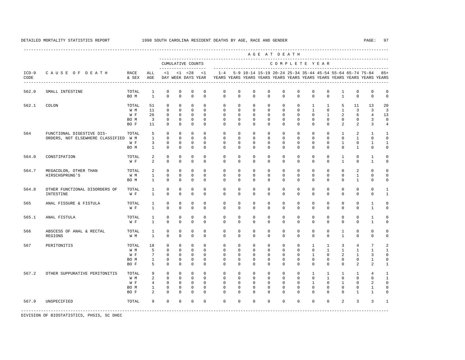|                 | CAUSE OF DEATH                                                    |                                     |                                                                         | AGE AT DEATH<br>CUMULATIVE COUNTS<br>COMPLETE YEAR                |                                                                   |                                                                   |                                                                |                                                                   |                                                                   |                                                                      |                                                                   |                                                                   |                                                                   |                                                                     |                                                                      |                                                                  |                                                              |                                                                         |                                                                        |
|-----------------|-------------------------------------------------------------------|-------------------------------------|-------------------------------------------------------------------------|-------------------------------------------------------------------|-------------------------------------------------------------------|-------------------------------------------------------------------|----------------------------------------------------------------|-------------------------------------------------------------------|-------------------------------------------------------------------|----------------------------------------------------------------------|-------------------------------------------------------------------|-------------------------------------------------------------------|-------------------------------------------------------------------|---------------------------------------------------------------------|----------------------------------------------------------------------|------------------------------------------------------------------|--------------------------------------------------------------|-------------------------------------------------------------------------|------------------------------------------------------------------------|
|                 |                                                                   |                                     |                                                                         |                                                                   |                                                                   |                                                                   |                                                                |                                                                   |                                                                   |                                                                      |                                                                   |                                                                   |                                                                   |                                                                     |                                                                      |                                                                  |                                                              |                                                                         |                                                                        |
| $ICD-9$<br>CODE |                                                                   | RACE<br>& SEX                       | ALL<br>AGE                                                              | <1                                                                |                                                                   | $< 1$ $< 28$<br>DAY WEEK DAYS YEAR                                | <1                                                             | $1 - 4$                                                           |                                                                   |                                                                      |                                                                   |                                                                   |                                                                   |                                                                     |                                                                      |                                                                  | 5-9 10-14 15-19 20-24 25-34 35-44 45-54 55-64 65-74 75-84    | YEARS YEARS YEARS YEARS YEARS YEARS YEARS YEARS YEARS YEARS YEARS YEARS | $85+$                                                                  |
| 562.0           | SMALL INTESTINE                                                   | TOTAL<br>BO M                       | $\mathbf{1}$<br>$\mathbf{1}$                                            | $\mathbf 0$<br>$\Omega$                                           | $\mathbf 0$<br>$\Omega$                                           | $\mathbf 0$<br>$\Omega$                                           | $\mathbf 0$<br>$\Omega$                                        | $\mathbf 0$<br>$\Omega$                                           | $\mathbf 0$<br>$\Omega$                                           | $\mathbb O$<br>$\Omega$                                              | $\mathbf 0$<br>$\Omega$                                           | $\mathbf 0$<br>$\Omega$                                           | $\mathbf 0$<br>$\Omega$                                           | $\mathbf 0$<br>$\Omega$                                             | $\mathbf{0}$<br>$\Omega$                                             | $\mathbf{1}$<br>$\mathbf{1}$                                     | $\mathbf 0$<br>$\Omega$                                      | $\mathbf 0$<br>$\Omega$                                                 | $\mathbf 0$<br>$\mathbf 0$                                             |
| 562.1           | COLON                                                             | TOTAL<br>W M<br>W F<br>BO M<br>BO F | 51<br>11<br>26<br>$\overline{3}$<br>11                                  | $\mathbf 0$<br>$\Omega$<br>$\mathbf 0$<br>$\Omega$<br>$\Omega$    | $\Omega$<br>$\Omega$<br>$\Omega$<br>$\Omega$<br>$\Omega$          | $\mathbf 0$<br>$\Omega$<br>$\mathbf 0$<br>$\mathbf 0$<br>$\Omega$ | $\Omega$<br>$\Omega$<br>$\Omega$<br>$\Omega$<br>$\Omega$       | $\mathbf 0$<br>$\Omega$<br>$\Omega$<br>$\Omega$<br>$\Omega$       | $\mathbf 0$<br>$\Omega$<br>$\Omega$<br>$\Omega$<br>$\Omega$       | $\mathbf{0}$<br>$\Omega$<br>$\Omega$<br>$\Omega$<br>$\Omega$         | $\mathbf 0$<br>$\Omega$<br>$\Omega$<br>$\Omega$<br>$\Omega$       | $\mathbf 0$<br>$\Omega$<br>$\Omega$<br>$\Omega$<br>$\Omega$       | $\mathbf 0$<br>$\Omega$<br>$\Omega$<br>$\Omega$<br>$\Omega$       | $\mathbf{1}$<br>$\mathbf{1}$<br>$\Omega$<br>$\Omega$<br>$\Omega$    | $\mathbf{1}$<br>$\Omega$<br>$\mathbf{1}$<br>$\Omega$<br>$\Omega$     | 5<br>$\mathbf{1}$<br>$\overline{2}$<br>$\mathbf 0$<br>2          | 11<br>3<br>6<br>$\mathbf 0$<br>2                             | 13<br>3<br>$\overline{4}$<br>3<br>3                                     | 20<br>$\overline{3}$<br>13<br>$\Omega$                                 |
| 564             | FUNCTIONAL DIGESTIVE DIS-<br>ORDERS, NOT ELSEWHERE CLASSIFIED W M | TOTAL<br>W F<br>BO M                | 5<br>$\mathbf{1}$<br>3<br>$\mathbf{1}$                                  | $\Omega$<br>$\Omega$<br>$\mathsf 0$<br>$\mathbf 0$                | $\Omega$<br>$\Omega$<br>0<br>$\mathbf 0$                          | $\Omega$<br>$\Omega$<br>$\mathsf 0$<br>$\mathbf 0$                | $\Omega$<br>$\Omega$<br>$\mathbf 0$<br>$\mathbf 0$             | $\Omega$<br>$\Omega$<br>$\mathbf 0$<br>0                          | $\Omega$<br>$\Omega$<br>$\mathbf 0$<br>$\mathbf 0$                | $\Omega$<br>$\Omega$<br>$\mathbf 0$<br>$\mathbf{0}$                  | $\Omega$<br>$\Omega$<br>$\mathbf 0$<br>$\mathbf 0$                | $\Omega$<br>$\Omega$<br>0<br>$\mathbf 0$                          | $\Omega$<br>$\Omega$<br>$\mathbf 0$<br>$\mathbf 0$                | $\Omega$<br>$\Omega$<br>$^{\circ}$<br>0                             | $\Omega$<br>$\Omega$<br>$\mathbf{0}$<br>$\mathbf 0$                  | $\mathbf{1}$<br>$\Omega$<br>$\mathbf{1}$<br>$\mathbf{0}$         | 2<br>$\mathbf{1}$<br>0<br>$\mathbf{1}$                       | $\mathbf{1}$<br>$\Omega$<br>1<br>0                                      | $\overline{4}$<br>$\mathbf{1}$<br>$\Omega$<br>$\mathbf{1}$<br>$\Omega$ |
| 564.0           | CONSTIPATION                                                      | TOTAL<br>W F                        | 2<br>$\overline{a}$                                                     | $\mathbf 0$<br>$\mathbf 0$                                        | $\mathbf 0$<br>$\mathbf 0$                                        | $\mathbf 0$<br>$\mathbf 0$                                        | $\mathbf 0$<br>$\Omega$                                        | $\mathbf 0$<br>0                                                  | $\mathbf 0$<br>$\mathbf 0$                                        | $\mathbf{0}$<br>$\mathbf{0}$                                         | $\mathbf 0$<br>0                                                  | $\mathbf 0$<br>$\mathbf 0$                                        | $\mathbf 0$<br>$\mathbf 0$                                        | $\mathbf 0$<br>$\mathbf 0$                                          | $\mathbf{0}$<br>$\mathbf{0}$                                         | $\mathbf{1}$<br>$\mathbf{1}$                                     | $\mathbf 0$<br>$\mathbf 0$                                   | $\mathbf{1}$<br>1                                                       | $\mathbf 0$<br>$\mathbf 0$                                             |
| 564.7           | MEGACOLON, OTHER THAN<br>HIRSCHSPRUNG'S                           | TOTAL<br>W M<br>BO M                | 2<br>$\mathbf{1}$<br>$\mathbf{1}$                                       | $\mathbf 0$<br>$\mathbf 0$<br>$\mathbf 0$                         | $\mathbf 0$<br>$\mathbf 0$<br>$\mathbf 0$                         | $\mathbf 0$<br>$\mathbf{0}$<br>$\mathbf 0$                        | $\Omega$<br>$\Omega$<br>$\mathbf 0$                            | $\mathbf 0$<br>$\mathbf 0$<br>$\mathbf 0$                         | $\mathbf 0$<br>$\mathbf 0$<br>$\mathbf 0$                         | $\Omega$<br>$\mathbf{0}$<br>$\mathbf{0}$                             | $\mathbf 0$<br>$\mathbf 0$<br>$\mathbf 0$                         | $\Omega$<br>$\mathbf 0$<br>$\mathbf 0$                            | $\mathbf 0$<br>$\mathbf 0$<br>$\mathbf 0$                         | $\Omega$<br>$\mathbf 0$<br>$\mathbf 0$                              | $\mathbf{0}$<br>$\mathbf 0$<br>$\mathbf{0}$                          | $\Omega$<br>$\mathbf{0}$<br>$\mathbf{0}$                         | 2<br>$\mathbf{1}$<br>$\mathbf{1}$                            | $\Omega$<br>$\mathbf 0$<br>$\mathbf 0$                                  | $\Omega$<br>$\mathbf 0$<br>$\mathbf 0$                                 |
| 564.8           | OTHER FUNCTIONAL DISORDERS OF<br>INTESTINE                        | TOTAL<br>W F                        | $\mathbf{1}$<br>$\mathbf{1}$                                            | $\Omega$<br>$\Omega$                                              | $\Omega$<br>$\mathbf 0$                                           | $\mathbf 0$<br>$\Omega$                                           | $\Omega$<br>$\Omega$                                           | $\Omega$<br>$\Omega$                                              | $\Omega$<br>$\mathbf 0$                                           | $\Omega$<br>$\mathbf 0$                                              | $\Omega$<br>$\mathbf 0$                                           | $\Omega$<br>$\Omega$                                              | $\Omega$<br>$\mathbf 0$                                           | $\Omega$<br>$\Omega$                                                | $\Omega$<br>$\mathbf 0$                                              | $\Omega$<br>$\Omega$                                             | $\mathbf 0$<br>$\mathbf 0$                                   | $\Omega$<br>$\Omega$                                                    | $\mathbf{1}$<br>$\mathbf{1}$                                           |
| 565             | ANAL FISSURE & FISTULA                                            | TOTAL<br>W F                        | $\mathbf{1}$<br>$\overline{1}$                                          | $\Omega$<br>$\Omega$                                              | $\Omega$<br>$\Omega$                                              | $\Omega$<br>$\Omega$                                              | $\Omega$<br>$\Omega$                                           | $\Omega$<br>$\Omega$                                              | $\Omega$<br>$\Omega$                                              | $\Omega$<br>$\Omega$                                                 | $\Omega$<br>$\Omega$                                              | $\Omega$<br>$\Omega$                                              | $\Omega$<br>$\Omega$                                              | $\Omega$<br>$\Omega$                                                | $\Omega$<br>$\Omega$                                                 | $\Omega$<br>$\Omega$                                             | $\Omega$<br>$\Omega$                                         | $\mathbf{1}$<br>$\mathbf{1}$                                            | $\Omega$<br>$\Omega$                                                   |
| 565.1           | ANAL FISTULA                                                      | TOTAL<br>W F                        | $\mathbf{1}$<br>$\mathbf{1}$                                            | $\mathbf 0$<br>$\Omega$                                           | $\Omega$<br>$\Omega$                                              | $\mathbf 0$<br>$\Omega$                                           | $\Omega$<br>$\Omega$                                           | $\Omega$<br>$\Omega$                                              | $\Omega$<br>$\Omega$                                              | $\Omega$<br>$\Omega$                                                 | $\Omega$<br>$\Omega$                                              | $\Omega$<br>$\Omega$                                              | $\Omega$<br>$\Omega$                                              | $\Omega$<br>$\Omega$                                                | $\Omega$<br>$\Omega$                                                 | $\Omega$<br>$\Omega$                                             | $\Omega$<br>$\Omega$                                         | $\mathbf{1}$<br>$\mathbf{1}$                                            | $\Omega$<br>$\cap$                                                     |
| 566             | ABSCESS OF ANAL & RECTAL<br>REGIONS                               | TOTAL<br>W M                        | $\mathbf{1}$<br>$\mathbf{1}$                                            | $\mathbf 0$<br>$\Omega$                                           | $\mathbf 0$<br>$\Omega$                                           | $\mathsf 0$<br>$\Omega$                                           | $\mathbf 0$<br>$\Omega$                                        | $\mathbf 0$<br>$\Omega$                                           | $\mathbf 0$<br>$\Omega$                                           | $\mathbf{0}$<br>$\Omega$                                             | $\mathbf 0$<br>$\Omega$                                           | $\mathbf 0$<br>$\Omega$                                           | $\mathbf 0$<br>$\mathbf 0$                                        | $\mathbf 0$<br>$\Omega$                                             | $\mathbf{0}$<br>$\mathbf{0}$                                         | $\mathbf{1}$<br>$\mathbf{1}$                                     | $\mathbf 0$<br>0                                             | $\mathbf 0$<br>$\Omega$                                                 | 0<br>$\Omega$                                                          |
| 567             | PERITONITIS                                                       | TOTAL<br>W M<br>W F<br>BO M<br>BO F | 18<br>5<br>7<br>$\mathbf{1}$<br>5                                       | $\mathbf 0$<br>$\mathbf 0$<br>$\Omega$<br>$\mathsf 0$<br>$\Omega$ | $\mathbf 0$<br>$\mathbf 0$<br>$\Omega$<br>$\mathbf 0$<br>$\Omega$ | $\mathbf 0$<br>$\Omega$<br>$\Omega$<br>$\mathsf 0$<br>$\Omega$    | $\mathbf 0$<br>$\Omega$<br>$\Omega$<br>$\mathbf 0$<br>$\Omega$ | $\mathbf 0$<br>$\mathbf 0$<br>$\Omega$<br>$\mathbf 0$<br>$\Omega$ | $\mathbf 0$<br>$\mathbf 0$<br>$\Omega$<br>$\mathbf 0$<br>$\Omega$ | $\mathbf{0}$<br>$\mathbf{0}$<br>$\Omega$<br>$\mathbf{0}$<br>$\Omega$ | $\mathbf 0$<br>$\mathbf 0$<br>$\Omega$<br>$\mathbf 0$<br>$\Omega$ | $\mathbf 0$<br>$\mathbf 0$<br>$\Omega$<br>$\mathbf 0$<br>$\Omega$ | $\mathbf 0$<br>$\mathbf 0$<br>$\Omega$<br>$\mathbf 0$<br>$\Omega$ | $\mathbf{1}$<br>$\Omega$<br>$\mathbf{1}$<br>$\mathbf 0$<br>$\Omega$ | $\mathbf{1}$<br>$\mathbf{1}$<br>$\Omega$<br>$\mathbf{0}$<br>$\Omega$ | 3<br>$\mathbf{1}$<br>$\overline{a}$<br>$\mathbf 0$<br>$\Omega$   | 4<br>1<br>$\mathbf{1}$<br>$\mathbf 0$<br>2                   | 7<br>$\mathbf{1}$<br>3<br>1<br>2                                        | $\mathfrak{D}$<br>$\mathbf{1}$<br>$\Omega$<br>$\Omega$<br>$\mathbf{1}$ |
| 567.2           | OTHER SUPPURATIVE PERITONITIS                                     | TOTAL<br>W M<br>W F<br>BO M<br>BO F | 9<br>$\overline{a}$<br>$\overline{4}$<br>$\mathbf{1}$<br>$\overline{a}$ | $\mathbf 0$<br>$\Omega$<br>$\mathbf 0$<br>$\mathbf 0$<br>$\Omega$ | $\mathbf 0$<br>$\Omega$<br>$\mathbf 0$<br>$\mathbf 0$<br>$\Omega$ | $\mathbf 0$<br>$\Omega$<br>$\mathbf 0$<br>$\mathbf 0$<br>$\Omega$ | $\Omega$<br>$\Omega$<br>$\mathbf 0$<br>$\Omega$<br>$\Omega$    | $\Omega$<br>$\Omega$<br>$\mathbf 0$<br>$\Omega$<br>$\Omega$       | $\Omega$<br>$\Omega$<br>$\mathbf 0$<br>$\Omega$<br>$\Omega$       | $\Omega$<br>$\Omega$<br>$\mathbf{0}$<br>$\Omega$<br>$\Omega$         | $\Omega$<br>$\Omega$<br>$\mathbf 0$<br>$\Omega$<br>$\Omega$       | $\Omega$<br>$\Omega$<br>$\mathbf 0$<br>$\Omega$<br>$\Omega$       | $\Omega$<br>$\Omega$<br>$\mathbf 0$<br>$\Omega$<br>$\Omega$       | $\mathbf{1}$<br>$\Omega$<br>$\mathbf{1}$<br>$\Omega$<br>$\Omega$    | $\mathbf{1}$<br>$\mathbf{1}$<br>$\mathbf 0$<br>$\Omega$<br>$\Omega$  | $\mathbf{1}$<br>$\Omega$<br>$\mathbf{1}$<br>$\Omega$<br>$\Omega$ | $\mathbf{1}$<br>$\Omega$<br>$\mathbf 0$<br>0<br>$\mathbf{1}$ | $\overline{4}$<br>$\Omega$<br>2<br>1<br>$\mathbf{1}$                    | $\mathbf{1}$<br>$\mathbf{1}$<br>$\mathbf 0$<br>$\Omega$<br>$\cap$      |
| 567.9           | UNSPECIFIED                                                       | TOTAL                               | 9                                                                       | $\Omega$                                                          | $\Omega$                                                          | $\Omega$                                                          | $\Omega$                                                       | $\Omega$                                                          | $\Omega$                                                          | $\Omega$                                                             | $\Omega$                                                          | $\Omega$                                                          | $\Omega$                                                          | $\Omega$                                                            | $\Omega$                                                             | 2                                                                | 3                                                            | 3                                                                       | $\mathbf{1}$                                                           |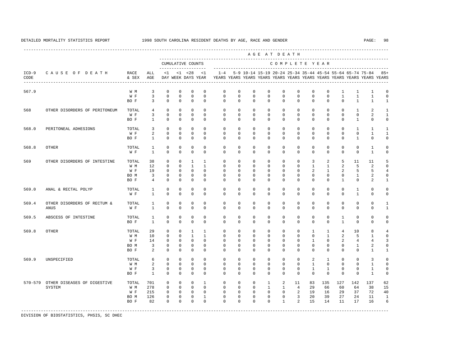|                 |                               |               |                              |                              |                             |                                    |                                |                                            |                            |                            |                             | AGE AT DEATH               |                            |                            |                              |                              |                                                           |                                                                         |                             |  |
|-----------------|-------------------------------|---------------|------------------------------|------------------------------|-----------------------------|------------------------------------|--------------------------------|--------------------------------------------|----------------------------|----------------------------|-----------------------------|----------------------------|----------------------------|----------------------------|------------------------------|------------------------------|-----------------------------------------------------------|-------------------------------------------------------------------------|-----------------------------|--|
|                 | CAUSE OF DEATH                | RACE<br>& SEX |                              |                              |                             | CUMULATIVE COUNTS                  |                                | COMPLETE YEAR<br>------------------------- |                            |                            |                             |                            |                            |                            |                              |                              |                                                           |                                                                         |                             |  |
| $ICD-9$<br>CODE |                               |               | ALL<br>AGE                   | <1                           |                             | $< 1$ $< 28$<br>DAY WEEK DAYS YEAR | <1                             | $1 - 4$                                    |                            |                            |                             |                            |                            |                            |                              |                              | 5-9 10-14 15-19 20-24 25-34 35-44 45-54 55-64 65-74 75-84 | YEARS YEARS YEARS YEARS YEARS YEARS YEARS YEARS YEARS YEARS YEARS YEARS | $85+$                       |  |
| 567.9           |                               | W M           | 3                            | $\mathbf{0}$                 | $\mathbf 0$                 | $\mathbf 0$                        | $\mathbf 0$                    | $\mathbf 0$                                | $\mathbf 0$                | $\mathbf 0$                | $\mathbf 0$                 | $\mathbf 0$                | $\mathbf 0$                | $\mathbf 0$                | $\mathbf{0}$                 | $\mathbf{1}$                 | $\mathbf{1}$                                              | $\mathbf{1}$                                                            | $\mathbf 0$                 |  |
|                 |                               | W F<br>BO F   | $\overline{3}$<br>3          | $\Omega$<br>$\Omega$         | $\Omega$<br>$\Omega$        | $\Omega$<br>$\Omega$               | $\Omega$<br>$\Omega$           | $\Omega$<br>$\Omega$                       | $\Omega$<br>$\Omega$       | $\Omega$<br>$\Omega$       | $\Omega$<br>$\Omega$        | $\Omega$<br>$\Omega$       | $\Omega$<br>$\Omega$       | $\mathbf 0$<br>$\Omega$    | $\Omega$<br>$\Omega$         | $\mathbf{1}$<br>$\Omega$     | $\mathbf{1}$<br>$\mathbf{1}$                              | $\mathbf{1}$<br>$\mathbf{1}$                                            | $\mathbf 0$<br>$\mathbf{1}$ |  |
| 568             | OTHER DISORDERS OF PERITONEUM | TOTAL         | 4                            | $\Omega$<br>$\Omega$         | $\Omega$<br>$\Omega$        | $\Omega$<br>$\Omega$               | $\Omega$<br>$\Omega$           | $\Omega$<br>$\Omega$                       | $\Omega$<br>$\Omega$       | $\Omega$<br>$\Omega$       | $\Omega$<br>$\Omega$        | $\Omega$<br>$\Omega$       | $\Omega$<br>$\Omega$       | $\Omega$<br>$\Omega$       | $\Omega$<br>$\Omega$         | $\Omega$<br>$\Omega$         | $\mathbf{1}$<br>$\Omega$                                  | 2                                                                       | $\mathbf{1}$                |  |
|                 |                               | W F<br>BO F   | 3<br>$\mathbf{1}$            | $\mathbf{0}$                 | $\mathbf 0$                 | $\Omega$                           | $\Omega$                       | $\Omega$                                   | $\mathbf 0$                | $\mathbf 0$                | 0                           | $\Omega$                   | $\mathbf 0$                | $\mathbf 0$                | $\mathbf{0}$                 | $\Omega$                     | $\mathbf{1}$                                              | $\overline{a}$<br>$\mathbf 0$                                           | $\mathbf{1}$<br>$\mathbf 0$ |  |
| 568.0           | PERITONEAL ADHESIONS          | TOTAL         | $\overline{3}$               | $\Omega$                     | $\Omega$                    | $\Omega$                           | $\Omega$                       | $\Omega$                                   | $\Omega$                   | $\Omega$                   | $\Omega$                    | $\Omega$                   | $\Omega$                   | $\Omega$                   | $\Omega$                     | $\Omega$                     | $\mathbf{1}$                                              | $\mathbf{1}$                                                            | $\mathbf{1}$                |  |
|                 |                               | W F<br>BO F   | 2<br>$\mathbf{1}$            | $\mathbf 0$<br>$\Omega$      | $\mathbf 0$<br>$\Omega$     | $\mathbf 0$<br>$\Omega$            | $\Omega$<br>$\Omega$           | $\mathbf 0$<br>$\Omega$                    | $\mathbf 0$<br>$\mathbf 0$ | $\mathbf 0$<br>$\Omega$    | $\mathbf 0$<br>$\Omega$     | $\mathbf 0$<br>$\Omega$    | $\mathbf 0$<br>$\Omega$    | $\mathbf 0$<br>$\Omega$    | $\mathbf{0}$<br>$\Omega$     | $\mathbf 0$<br>$\Omega$      | $\mathbf 0$<br>$\mathbf{1}$                               | $\mathbf{1}$<br>$\Omega$                                                | $\mathbf{1}$<br>$\mathbf 0$ |  |
| 568.8           | <b>OTHER</b>                  | TOTAL<br>W F  | $\mathbf{1}$<br>$\mathbf{1}$ | $\mathbf 0$<br>$\Omega$      | $\Omega$<br>$\Omega$        | $\Omega$<br>$\Omega$               | $\Omega$<br>$\Omega$           | $\Omega$<br>$\Omega$                       | $\Omega$<br>$\Omega$       | $\Omega$<br>$\Omega$       | $\Omega$<br>$\Omega$        | $\Omega$<br>$\Omega$       | $\Omega$<br>$\Omega$       | $\mathbf 0$<br>$\Omega$    | $\mathbf 0$<br>$\Omega$      | $\mathbf{0}$<br>$\Omega$     | $\mathbf 0$<br>$\Omega$                                   | $\mathbf{1}$<br>$\mathbf{1}$                                            | $\mathbf 0$<br>$\mathbf 0$  |  |
|                 |                               |               |                              |                              |                             |                                    |                                |                                            |                            |                            |                             |                            |                            |                            |                              |                              |                                                           |                                                                         |                             |  |
| 569             | OTHER DISORDERS OF INTESTINE  | TOTAL<br>W M  | 38<br>12                     | $\mathbf{0}$<br>$\Omega$     | $\Omega$<br>$\Omega$        | $\mathbf{1}$<br>$\overline{1}$     | $\mathbf{1}$<br>$\overline{1}$ | $\Omega$<br>$\Omega$                       | $\Omega$<br>$\Omega$       | $\Omega$<br>$\Omega$       | $\Omega$<br>$\Omega$        | $\Omega$<br>$\Omega$       | $\Omega$<br>$\Omega$       | 3<br>$\mathbf{1}$          | 2<br>$\mathbf{1}$            | 5<br>2                       | 11<br>5                                                   | 11<br>$\overline{a}$                                                    | 5<br>$\mathbf 0$            |  |
|                 |                               | W F           | 19                           | $\mathbf{0}$                 | $\mathbf 0$                 | $\mathbf 0$                        | $\mathbf 0$                    | $\mathbf 0$                                | 0                          | 0                          | 0                           | 0                          | $\mathbf 0$                | 2                          | $\mathbf{1}$                 | 2                            | 5                                                         | 5                                                                       | $\overline{4}$              |  |
|                 |                               | BO M          | 3                            | $\mathbf{0}$                 | $\mathbf 0$                 | $\mathbf 0$                        | $\mathbf 0$                    | $\mathbf 0$                                | 0                          | 0                          | $\mathbf{0}$                | $\mathbf 0$                | 0                          | $\mathbf 0$                | $\mathbf{0}$                 | $\mathbf{0}$                 | 1                                                         | $\overline{a}$                                                          | $\mathbb O$                 |  |
|                 |                               | BO F          | $\overline{4}$               | $\Omega$                     | $\Omega$                    | $\Omega$                           | $\Omega$                       | $\Omega$                                   | $\Omega$                   | $\Omega$                   | $\Omega$                    | $\Omega$                   | $\Omega$                   | $\Omega$                   | $\Omega$                     | $\mathbf{1}$                 | $\Omega$                                                  | $\overline{a}$                                                          | $\mathbf{1}$                |  |
| 569.0           | ANAL & RECTAL POLYP           | TOTAL<br>W F  | 1<br>$\mathbf{1}$            | $\mathbf{0}$<br>$\Omega$     | $\mathbf 0$<br>$\Omega$     | $\mathbf 0$<br>$\Omega$            | $\Omega$<br>$\Omega$           | $\mathbf 0$<br>$\Omega$                    | $\mathbf 0$<br>$\Omega$    | $\mathbf 0$<br>$\Omega$    | $\mathbf{0}$<br>$\Omega$    | 0<br>$\Omega$              | 0<br>$\Omega$              | $\mathbf 0$<br>$\Omega$    | $\mathbf{0}$<br>$\Omega$     | $\mathbf 0$<br>$\Omega$      | 1<br>$\mathbf{1}$                                         | $\mathbf 0$<br>$\Omega$                                                 | $\mathbf 0$<br>$\mathbf 0$  |  |
| 569.4           | OTHER DISORDERS OF RECTUM &   | TOTAL         | 1                            | $\mathbf{0}$                 | $\mathbf 0$                 | $\mathbf 0$                        | $\mathbf 0$                    | $\mathbf 0$                                | $\mathbf 0$                | $\mathbf 0$                | $\mathbf{0}$                | $\mathbf 0$                | $\mathbf 0$                | $\mathbf 0$                | $\mathbf{0}$                 | $\mathbf 0$                  | $\mathbf 0$                                               | $\mathbf 0$                                                             | 1                           |  |
|                 | ANUS                          | W F           | $\mathbf{1}$                 | $\mathbf{0}$                 | $\mathbf 0$                 | $\mathbf 0$                        | $\Omega$                       | $\Omega$                                   | 0                          | $\mathbf 0$                | $\mathbf 0$                 | $\mathbf 0$                | $\mathbf 0$                | $\mathbf 0$                | $\mathbf{0}$                 | $\mathbf 0$                  | $\mathbf 0$                                               | $\mathbf 0$                                                             | $\mathbf{1}$                |  |
| 569.5           | ABSCESS OF INTESTINE          | TOTAL<br>BO F | 1<br>$\mathbf{1}$            | $\mathbf{0}$<br>$\mathbf{0}$ | $\mathbf 0$<br>$\mathbf 0$  | $\mathbf 0$<br>$\mathbf 0$         | $\Omega$<br>$\mathbf 0$        | $\mathbf 0$<br>$\mathbf 0$                 | $\mathbf 0$<br>$\mathbf 0$ | $\mathbf 0$<br>$\mathbf 0$ | $\mathbf 0$<br>$\mathbf{0}$ | $\mathbf 0$<br>$\mathbf 0$ | $\mathbf 0$<br>$\mathbf 0$ | $\mathbf 0$<br>$\mathbf 0$ | $\mathbf{0}$<br>$\mathbf{0}$ | $\mathbf{1}$<br>$\mathbf{1}$ | $\mathbf 0$<br>$\mathbf 0$                                | $\mathbf 0$<br>$\mathbf 0$                                              | $\mathbf 0$<br>$\mathbf 0$  |  |
| 569.8           | OTHER                         | TOTAL         | 29                           | $\mathbf{0}$                 | $\mathbf 0$                 | $\mathbf{1}$                       | $\overline{1}$                 | $\Omega$                                   | $\mathbf 0$                | $\mathbf 0$                | $\mathbf 0$                 | $\Omega$                   | $\Omega$                   | $\mathbf{1}$               | $\mathbf{1}$                 | $\overline{4}$               | 10                                                        | 8                                                                       | $\overline{4}$              |  |
|                 |                               | W M           | 10                           | $\mathbf{0}$                 | $\mathbf 0$                 | $\mathbf{1}$                       | $\mathbf{1}$                   | $\mathbf 0$                                | $\mathbf 0$                | $\mathbf 0$                | $\mathbf{0}$                | $\mathbf 0$                | $\mathbf 0$                | $\mathbf 0$                | $\mathbf{1}$                 | 2                            | 5                                                         | $\mathbf{1}$                                                            | $\mathbf 0$                 |  |
|                 |                               | W F           | 14                           | $\mathbf{0}$                 | $\mathbf{0}$                | $\mathbf 0$                        | $\Omega$                       | 0                                          | 0                          | $\Omega$                   | 0                           | 0                          | 0                          | 1                          | $\mathbf 0$                  | 2                            | 4                                                         | 4                                                                       | 3                           |  |
|                 |                               | BO M<br>BO F  | 3<br>2                       | $\mathbf{0}$<br>$\mathbf{0}$ | $\mathbf{0}$<br>$\mathbf 0$ | $\mathbf 0$<br>$\mathbf 0$         | $\Omega$<br>$\mathbf 0$        | $\mathbf 0$<br>$\Omega$                    | $\mathbf 0$<br>$\mathbf 0$ | $\mathbf 0$<br>$\mathbf 0$ | $\mathbf{0}$<br>$\mathbf 0$ | 0<br>$\Omega$              | 0<br>$\mathbf 0$           | $^{\circ}$<br>$\Omega$     | $\mathbf{0}$<br>$\mathbf{0}$ | $^{\circ}$<br>$\Omega$       | 1<br>$\mathbf 0$                                          | $\overline{\mathbf{c}}$<br>$\mathbf{1}$                                 | $\mathbf 0$<br>$\mathbf{1}$ |  |
| 569.9           | UNSPECIFIED                   | TOTAL         | 6                            | $\mathbf{0}$                 | $\mathbf 0$                 | $\Omega$                           | $\Omega$                       | $\Omega$                                   | $\Omega$                   | $\Omega$                   | $\Omega$                    | $\Omega$                   | $\Omega$                   | 2                          | $\mathbf{1}$                 | $\Omega$                     | $\Omega$                                                  | $\overline{3}$                                                          | $\mathbf 0$                 |  |
|                 |                               | W M           | 2                            | $\mathbf{0}$                 | $\mathbf 0$                 | $\mathbf 0$                        | $\mathbf 0$                    | $\mathbf 0$                                | $\mathbf 0$                | $\mathbf 0$                | $\mathbf 0$                 | $\mathbf 0$                | $\mathbf 0$                | $\mathbf{1}$               | $\mathbf 0$                  | $\mathbf{0}$                 | $\mathbf 0$                                               | $\mathbf{1}$                                                            | $\mathbf 0$                 |  |
|                 |                               | W F<br>BO F   | 3<br>1                       | $\mathbf{0}$<br>$\mathbf 0$  | $\mathbf 0$<br>$\mathbf{0}$ | $\mathbf 0$<br>$\mathbf 0$         | $\mathbf 0$<br>$\Omega$        | $\mathbf 0$<br>$\Omega$                    | $\mathbf 0$<br>0           | 0<br>$\Omega$              | $\mathbf 0$<br>0            | $\Omega$<br>$\Omega$       | $\mathbf 0$<br>$\mathbf 0$ | $\mathbf{1}$<br>0          | $\mathbf{1}$<br>$\mathbf 0$  | $\mathbf{0}$<br>0            | $\mathbf 0$<br>$\mathbf 0$                                | $\mathbf{1}$<br>1                                                       | $\mathbb O$<br>$\mathbf 0$  |  |
| 570-579         | OTHER DISEASES OF DIGESTIVE   | TOTAL         | 701                          | $\mathbf{0}$                 | $\mathbf 0$                 | $\mathbf 0$                        | $\mathbf{1}$                   | $\mathbf 0$                                | $\mathbf 0$                | $\mathbf{0}$               | $\mathbf{1}$                | 2                          | 11                         | 83                         | 135                          | 127                          | 142                                                       | 137                                                                     | 62                          |  |
|                 | SYSTEM                        | W M           | 278                          | 0                            | $\mathbf{0}$                | $\mathbf 0$                        | $\mathbf 0$                    | $\mathbf 0$                                | 0                          | 0                          | 1                           | $\mathbf{1}$               | 4                          | 29                         | 66                           | 60                           | 64                                                        | 38                                                                      | 15                          |  |
|                 |                               | W F<br>BO M   | 215<br>126                   | 0<br>$\mathbf{0}$            | 0<br>$\mathbf 0$            | $\mathbf{0}$<br>$\mathbf 0$        | $\mathbf 0$<br>$\mathbf{1}$    | 0<br>$\mathbf 0$                           | 0<br>0                     | 0<br>0                     | $\mathbf{0}$<br>$\mathbf 0$ | 0<br>$\mathbf 0$           | 2<br>3                     | 19<br>20                   | 16<br>39                     | 29<br>27                     | 37<br>24                                                  | 72<br>11                                                                | 40<br>$\mathbf{1}$          |  |
|                 |                               | BO F          | 82                           | $\mathbf 0$                  | $\mathbf{0}$                | $\mathbf 0$                        | $\mathbf 0$                    | $\Omega$                                   | 0                          | 0                          | 0                           | $\mathbf{1}$               | 2                          | 15                         | 14                           | 11                           | 17                                                        | 16                                                                      | 6                           |  |
|                 |                               |               |                              |                              |                             |                                    |                                |                                            |                            |                            |                             |                            |                            |                            |                              |                              |                                                           |                                                                         |                             |  |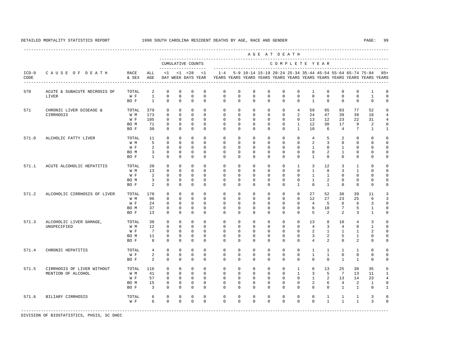A G E A T D E A T H --------------------------------------------------------------------------------------------- CUMULATIVE COUNTS C O M P L E T E Y E A R ------------------- ----------------------------------------------------------------------- ICD-9 C A U S E O F D E A T H RACE ALL <1 <1 <28 <1 1-4 5-9 10-14 15-19 20-24 25-34 35-44 45-54 55-64 65-74 75-84 85+ CODE & SEX AGE DAY WEEK DAYS YEAR YEARS YEARS YEARS YEARS YEARS YEARS YEARS YEARS YEARS YEARS YEARS YEARS ---------------------------------------------------------------------------------------------------------------------------------------------------- 570 ACUTE & SUBACUTE NECROSIS OF TOTAL 2 0 0 0 0 0 0 0 0 0 0 1 0 0 0 1 0  $\begin{array}{cccccccccccccc} 0 & 0 & 0 & 0 & 0 \end{array}$  BO F 1 0 0 0 0 0 0 0 0 0 0 1 0 0 0 0 0 571 CHRONIC LIVER DISEASE & TOTAL 379 0 0 0 0 0 0 0 0 0 4 59 95 83 77 52 9 CIRRHOSIS W M 173 0 0 0 0 0 0 0 0 0 2 24 47 39 39 18 4 W F 105 0 0 0 0 0 0 0 0 0 0 13 12 23 22 31 4 BO M 71 0 0 0 0 0 0 0 0 0 1 12 30 17 9 2 0 BO F 30 0 0 0 0 0 0 0 0 0 1 10 6 4 7 1 1 571.0 ALCHOLIC FATTY LIVER TOTAL 11 0 0 0 0 0 0 0 0 0 0 0 4 5 2 0 0 0 W M 5 0 0 0 0 0 0 0 0 0 0 2 3 0 0 0 0 W F 2 0 0 0 0 0 0 0 0 0 0 0 1 0 1 0 0 0 BOM 3 0 0 0 0 0 0 0 0 0 0 0 0 2 1 0 0 0 BO F 1 0 0 0 0 0 0 0 0 0 0 1 0 0 0 0 0 571.1 ACUTE ALCOHOLIC HEPATITIS TOTAL 20 0 0 0 0 0 0 0 0 0 0 0 1 3 12 3 1 0 0<br>
W M 13 0 0 0 0 0 0 0 0 0 0 0 1 8 3 1 0 0 W M 13 0 0 0 0 0 0 0 0 0 0 1 8 3 1 0 0 W F 2 0 0 0 0 0 0 0 0 0 0 0 1 1 0 0 0 0 BO M 3 0 0 0 0 0 0 0 0 0 0 1 2 0 0 0 0 BOF 2 0 0 0 0 0 0 0 0 0 0 1 0 0 0 0 0 571.2 ALCOHOLIC CIRRHOSIS OF LIVER TOTAL 170 0 0 0 0 0 0 0 0 0 0 27 52 38 39 11 3 W M 96 0 0 0 0 0 0 0 0 0 0 0 0 0 12 27 23 25 6 3<br>W F 24 0 0 0 0 0 0 0 0 0 0 0 4 5 6 6 3 0 W F 24 0 0 0 0 0 0 0 0 0 0 0 4 5 6 6 3 0 BO M 37 0 0 0 0 0 0 0 0 0 0 6 18 7 5 1 0 BO F 13 0 0 0 0 0 0 0 0 0 0 5 2 2 3 1 0 571.3 ALCOHOLIC LIVER DAMAGE, TOTAL 38 0 0 0 0 0 0 0 0 0 0 0 0 13 8 10 4 3 0<br>UNSPECIFIED WM 12 0 0 0 0 0 0 0 0 0 4 3 4 0 1 0 UNSPECIFIED W M 12 0 0 0 0 0 0 0 0 0 0 4 3 4 0 1 0 W F 7 0 0 0 0 0 0 0 0 0 0 0 2 1 1 1 2 0 BO M 11 0 0 0 0 0 0 0 0 0 0 3 2 5 1 0 0 BO F 8 0 0 0 0 0 0 0 0 0 0 4 2 0 2 0 0 571.4 CHRONIC HEPATITIS TOTAL 4 0 0 0 0 0 0 0 0 0 0 1 1 1 1 0 0 W F 2 0 0 0 0 0 0 0 0 0 0 1 1 0 0 0 0 BO F 2 0 0 0 0 0 0 0 0 0 0 0 0 1 1 0 0 571.5 CIRRHOSIS OF LIVER WITHOUT TOTAL 116 0 0 0 0 0 0 0 0 0 1 6 13 25 30 35 6 MENTION OF ALCOHOL WM 41 0 0 0 0 0 0 0 0 0 0 0 1 3 5 7 13 11 1<br>WF 57 0 0 0 0 0 0 0 0 0 0 0 1 2 13 14 23 4 W F 57 0 0 0 0 0 0 0 0 0 0 1 2 13 14 23 4 BO M 15 0 0 0 0 0 0 0 0 0 0 2 6 4 2 1 0 BO F 3 0 0 0 0 0 0 0 0 0 0 0 0 1 1 0 1 571.6 BILIARY CIRRHOSIS TOTAL 6 0 0 0 0 0 0 0 0 0 0 0 1 1 1 3 0 W F 6 0 0 0 0 0 0 0 0 0 0 0 1 1 1 3 0

-----------------------------------------------------------------------------------------------------------------------------------------------------

DIVISION OF BIOSTATISTICS, PHSIS, SC DHEC

DETAILED MORTALITY STATISTICS REPORT 1998 SOUTH CAROLINA RESIDENT DEATHS BY AGE, RACE AND GENDER PAGE: 99 ----------------------------------------------------------------------------------------------------------------------------------------------------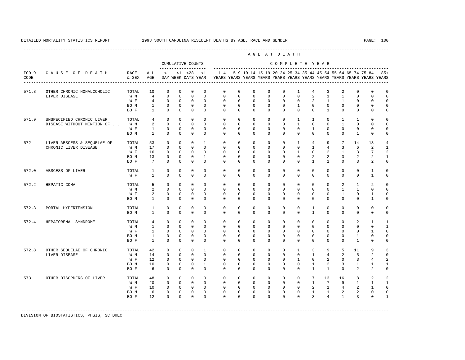---------------------------------------------------------------------------------------------------------------------------------------------------- A G E A T D E A T H --------------------------------------------------------------------------------------------- CUMULATIVE COUNTS C O M P L E T E Y E A R ------------------- ----------------------------------------------------------------------- ICD-9 C A U S E O F D E A T H RACE ALL <1 <1 <28 <1 1-4 5-9 10-14 15-19 20-24 25-34 35-44 45-54 55-64 65-74 75-84 85+ CODE & SEX AGE DAY WEEK DAYS YEAR YEARS YEARS YEARS YEARS YEARS YEARS YEARS YEARS YEARS YEARS YEARS YEARS ---------------------------------------------------------------------------------------------------------------------------------------------------- 571.8 OTHER CHRONIC NONALCOHOLIC TOTAL 10 0 0 0 0 0 0 0 0 0 1 4 3 2 0 0 0  $\begin{array}{cccccccccccc}\nW\,M & & & 4 & & 0 & 0 & 0 & 0 \\
W\,F & & & 4 & & 0 & 0 & 0 & 0 \\
W\end{array}$ W F 4 0 0 0 0 0 0 0 0 0 0 0 2 1 1 0 0 0 BO M 1 0 0 0 0 0 0 0 0 0 1 0 0 0 0 0 0 BO F 1 0 0 0 0 0 0 0 0 0 0 0 1 0 0 0 0 571.9 UNSPECIFIED CHRONIC LIVER TOTAL 4 0 0 0 0 0 0 0 0 0 0 0 1 1 0 1 1 0 0<br>DISEASE WITHOUT MENTION OF ... W M 2 0 0 0 0 0 0 0 0 0 0 0 1 0 0 1 0 0 0 DISEASE WITHOUT MENTION OF ... W M 2 0 0 0 0 0 0 0 0 0 1 0 0 1 0 0 0 W F 1 0 0 0 0 0 0 0 0 0 0 1 0 0 0 0 0 BO M 1 0 0 0 0 0 0 0 0 0 0 0 0 0 1 0 0 572 LIVER ABSCESS & SEQUELAE OF TOTAL 53 0 0 0 1 0 0 0 0 0 1 4 9 7 14 13 4 CHRONIC LIVER DISEASE W M 17 0 0 0 0 0 0 0 0 0 0 0 0 1 4 3 6 2 1<br>W F 16 0 0 0 0 0 0 0 0 0 0 1 0 2 1 3 7 2 W F 16 0 0 0 0 0 0 0 0 0 1 0 2 1 3 7 2 BO M 13 0 0 0 1 0 0 0 0 0 0 2 2 3 2 2 1 BO F 7 0 0 0 0 0 0 0 0 0 0 1 1 0 3 2 0 572.0 ABSCESS OF LIVER TOTAL 1 0 0 0 0 0 0 0 0 0 0 0 0 0 0 1 0 W F 1 0 0 0 0 0 0 0 0 0 0 0 0 0 0 1 0 572.2 HEPATIC COMA TOTAL 5 0 0 0 0 0 0 0 0 0 0 0 0 2 1 2 0 W M 2 0 0 0 0 0 0 0 0 0 0 0 0 0 1 1 0 0 W F 2 0 0 0 0 0 0 0 0 0 0 0 0 1 0 1 0 BO M 1 0 0 0 0 0 0 0 0 0 0 0 0 0 0 1 0 572.3 PORTAL HYPERTENSION TOTAL 1 0 0 0 0 0 0 0 0 0 0 1 0 0 0 0 0 BO M 1 0 0 0 0 0 0 0 0 0 0 1 0 0 0 0 0 572.4 HEPATORENAL SYNDROME TOTAL 4 0 0 0 0 0 0 0 0 0 0 0 0 0 2 1 1 W M 1 0 0 0 0 0 0 0 0 0 0 0 0 0 0 0 0 1 W F 1 0 0 0 0 0 0 0 0 0 0 0 0 0 0 1 0 BO M 1 0 0 0 0 0 0 0 0 0 0 0 0 0 1 0 0 BO F 1 0 0 0 0 0 0 0 0 0 0 0 0 0 1 0 0 572.8 OTHER SEQUELAE OF CHRONIC TOTAL 42 0 0 0 1 0 0 0 0 0 1 3 9 5 11 9 3 LIVER DISEASE W M 14 0 0 0 0 0 0 0 0 0 0 1 4 2 5 2 0 W F 12 0 0 0 0 0 0 0 0 0 0 1 0 2 0 3 4 2 BOM 10 0 0 0 1 0 0 0 0 0 0 0 0 1 2 3 1 1 1 BO F 6 0 0 0 0 0 0 0 0 0 0 1 1 0 2 2 0 573 OTHER DISORDERS OF LIVER TOTAL 48 0 0 0 0 0 0 0 0 0 0 0 0 0 1 7 9 1 1 1 1 W M 20 0 0 0 0 0 0 0 0 0 0 0 1 7 9 1 1 1 W F 10 0 0 0 0 0 0 0 0 0 0 0 2 1 4 2 1 0 BOM 6 0 0 0 0 0 0 0 0 0 0 0 1 1 2 2 0 0 BO F 12 0 0 0 0 0 0 0 0 0 0 3 4 1 3 0 1

-----------------------------------------------------------------------------------------------------------------------------------------------------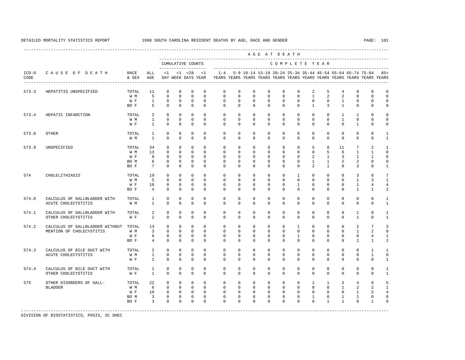---------------------------------------------------------------------------------------------------------------------------------------------------- A G E A T D E A T H --------------------------------------------------------------------------------------------- CUMULATIVE COUNTS C O M P L E T E Y E A R ------------------- ----------------------------------------------------------------------- ICD-9 C A U S E O F D E A T H RACE ALL <1 <1 <28 <1 1-4 5-9 10-14 15-19 20-24 25-34 35-44 45-54 55-64 65-74 75-84 85+ CODE & SEX AGE DAY WEEK DAYS YEAR YEARS YEARS YEARS YEARS YEARS YEARS YEARS YEARS YEARS YEARS YEARS YEARS ---------------------------------------------------------------------------------------------------------------------------------------------------- 573.3 HEPATITIS UNSPECIFIED TOTAL 11 0 0 0 0 0 0 0 0 0 0 0 0 2 5 4 0 0 0 0<br>W M 5 0 0 0 0 0 0 0 0 0 0 0 1 2 2 0 0 0 W M 5 0 0 0 0 0 0 0 0 0 0 1 2 2 0 0 0 W F 1 0 0 0 0 0 0 0 0 0 0 0 0 1 0 0 0 BOF 5 0 0 0 0 0 0 0 0 0 0 0 1 3 1 0 0 0 573.4 HEPATIC INFARCTION TOTAL 2 0 0 0 0 0 0 0 0 0 0 0 0 1 1 0 0 W M 1 0 0 0 0 0 0 0 0 0 0 0 0 1 0 0 0 W F 1 0 0 0 0 0 0 0 0 0 0 0 0 0 0 1 0 0 573.8 OTHER TOTAL 1 0 0 0 0 0 0 0 0 0 0 0 0 0 0 0 0 1  $\begin{array}{ccccccccccccc}\n1 & 0 & 0 & 0 & 0\n\end{array}$  573.9 UNSPECIFIED TOTAL 34 0 0 0 0 0 0 0 0 0 0 5 8 11 7 2 1 W M 13 0 0 0 0 0 0 0 0 0 0 0 5 6 1 1 0 W F 8 0 0 0 0 0 0 0 0 0 0 0 2 1 3 1 1 0 BOM 6 0 0 0 0 0 0 0 0 0 0 0 1 1 2 2 0 0 BO F 7 0 0 0 0 0 0 0 0 0 0 2 1 0 3 0 1 574 CHOLELITHIASIS TOTAL 19 0 0 0 0 0 0 0 0 0 1 0 0 0 3 8 7 W M 5 0 0 0 0 0 0 0 0 0 0 0 0 0 1 3 1 W F 10 0 0 0 0 0 0 0 0 0 0 0 0 0 1 4 4 BO F 4 0 0 0 0 0 0 0 0 0 0 0 0 0 1 1 2 574.0 CALCULUS OF GALLBLADDER WITH TOTAL 1 0 0 0 0 0 0 0 0 0 0 0 0 0 0 0 1 ACUTE CHOLECYSTITIS WM 1 0 0 0 0 0 0 0 0 0 0 0 0 0 0 0 0 1 574.1 CALCULUS OF GALLBLADDER WITH TOTAL 2 0 0 0 0 0 0 0 0 0 0 0 0 0 1 0 1  $2$  0 0 0 0 574.2 CALCULUS OF GALLBLADDER WITHOUT TOTAL 13 0 0 0 0 0 0 0 0 0 0 0 1 0 0 0 2 7 3<br>MENTION OF CHOLECYSTITIS WIM 3 0 0 0 0 0 0 0 0 0 0 0 0 0 0 1 2 0 MENTION OF CHOLECYSTITIS WH 3 0 0 0 0 0 0 0 0 0 0 0 0 0 0 0 1 2 0 W F 6 0 0 0 0 0 0 0 0 0 1 0 0 0 0 4 1 BO F 4 0 0 0 0 0 0 0 0 0 0 0 0 0 1 1 2 574.3 CALCULUS OF BILE DUCT WITH TOTAL 2 0 0 0 0 0 0 0 0 0 0 0 0 0 0 0 0 0 1 1 0 0 0 0 0 0 0 0 0 0 0 0 0 0 0 0 ACUTE CHOLECYSTITIS W M 1 0 0 0 0 0 0 0 0 0 0 0 0 0 0 1 0 W F 1 0 0 0 0 0 0 0 0 0 0 0 0 0 0 0 1 574.4 CALCULUS OF BILE DUCT WITH TOTAL 1 0 0 0 0 0 0 0 0 0 0 0 0 0 0 0 1 OTHER CHOLECYSTITIS WF 1 0 0 0 0 0 0 0 0 0 0 0 0 0 0 0 0 0 1 575 OTHER DISORDERS OF GALL- TOTAL 22 0 0 0 0 0 0 0 0 0 0 1 1 3 4 8 5 BLADDER W M 6 0 0 0 0 0 0 0 0 0 0 0 0 1 2 2 1 W F 10 0 0 0 0 0 0 0 0 0 0 0 0 0 1 5 4 BOM 3 0 0 0 0 0 0 0 0 0 0 0 1 0 1 1 0 0 BO F 3 0 0 0 0 0 0 0 0 0 0 0 1 1 0 1 0 -----------------------------------------------------------------------------------------------------------------------------------------------------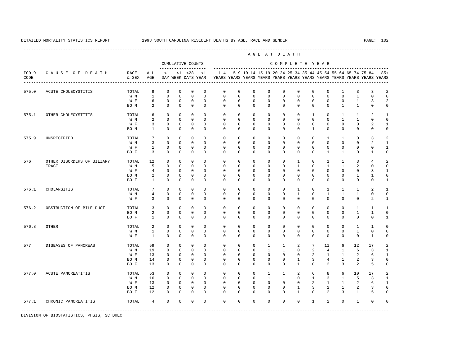----------------------------------------------------------------------------------------------------------------------------------------------------

 A G E A T D E A T H --------------------------------------------------------------------------------------------- CUMULATIVE COUNTS C O M P L E T E Y E A R ------------------- ----------------------------------------------------------------------- ICD-9 C A U S E O F D E A T H RACE ALL <1 <1 <28 <1 1-4 5-9 10-14 15-19 20-24 25-34 35-44 45-54 55-64 65-74 75-84 85+ CODE & SEX AGE DAY WEEK DAYS YEAR YEARS YEARS YEARS YEARS YEARS YEARS YEARS YEARS YEARS YEARS YEARS YEARS ---------------------------------------------------------------------------------------------------------------------------------------------------- 575.0 ACUTE CHOLECYSTITIS TOTAL 9 0 0 0 0 0 0 0 0 0 0 0 0 1 3 3 2 W M 1 0 0 0 0 0 0 0 0 0 0 0 0 0 1 0 0 W F G O O O O O O O O O O O O O 1 3 2 BOM 2 0 0 0 0 0 0 0 0 0 0 0 0 1 1 0 0 575.1 OTHER CHOLECYSTITIS TOTAL 6 0 0 0 0 0 0 0 0 0 0 1 0 1 1 2 1 W M 2 0 0 0 0 0 0 0 0 0 0 0 0 0 1 1 0 0 W F 3 0 0 0 0 0 0 0 0 0 0 0 0 0 0 2 1 BO M 1 0 0 0 0 0 0 0 0 0 0 1 0 0 0 0 0 575.9 UNSPECIFIED TOTAL 7 0 0 0 0 0 0 0 0 0 0 0 1 1 0 3 2 W M 3 0 0 0 0 0 0 0 0 0 0 0 0 0 0 2 1 W F 1 0 0 0 0 0 0 0 0 0 0 0 0 0 0 0 1 BO F 3 0 0 0 0 0 0 0 0 0 0 0 1 1 0 1 0 576 OTHER DISORDERS OF BILIARY TOTAL 12 0 0 0 0 0 0 0 0 0 1 0 1 1 3 4 2 TRACT WM 5 0 0 0 0 0 0 0 0 0 0 1 0 1 1 2 0 0<br>WF 4 0 0 0 0 0 0 0 0 0 0 0 0 0 0 0 3 1 W F 4 0 0 0 0 0 0 0 0 0 0 0 0 0 0 0 0 3 1<br>BOM 2 0 0 0 0 0 0 0 0 0 0 0 0 0 0 1 1 0 BOM 2 0 0 0 0 0 0 0 0 0 0 0 0 0 0 1 1 0<br>BOF 1 0 0 0 0 0 0 0 0 0 0 0 0 0 0 0 0 1 BO F 1 0 0 0 0 0 0 0 0 0 0 0 0 0 0 0 1 576.1 CHOLANGITIS TOTAL 7 0 0 0 0 0 0 0 0 0 1 0 1 1 1 2 1 W M M 4 0 0 0 0 0 0 0 0 0 0 0 0 0 1 0 1 1 1 0 0 W F 3 0 0 0 0 0 0 0 0 0 0 0 0 0 0 2 1 576.2 OBSTRUCTION OF BILE DUCT TOTAL 3 0 0 0 0 0 0 0 0 0 0 0 0 0 0 0 0 1 1 1 0 0 0 0 0 0 0 1 1 0 0 0 0 0 0 0 0 1 1 0 BO M 2 0 0 0 0 0 0 0 0 0 0 0 0 0 1 1 0 BOF 1 0 0 0 0 0 0 0 0 0 0 0 0 0 0 0 1 576.8 OTHER TOTAL 2 0 0 0 0 0 0 0 0 0 0 0 0 0 1 1 0 W M 1 0 0 0 0 0 0 0 0 0 0 0 0 0 1 0 0 W F 1 0 0 0 0 0 0 0 0 0 0 0 0 0 0 1 0 577 DISEASES OF PANCREAS TOTAL 59 0 0 0 0 0 0 0 0 1 1 2 7 11 6 12 17 2<br>W M 19 0 0 0 0 0 0 0 0 1 1 0 2 4 1 6 3 1 W M 19 0 0 0 0 0 0 0 1 1 0 2 4 1 6 3 1 W F 13 0 0 0 0 0 0 0 0 0 0 0 2 1 1 2 6 1 BO M 14 0 0 0 0 0 0 0 0 0 1 3 4 1 2 3 0 BO F 13 0 0 0 0 0 0 0 0 0 1 0 2 3 2 5 0 577.0 ACUTE PANCREATITIS TOTAL 53 0 0 0 0 0 0 0 1 1 2 6 8 6 10 17 2 W M 16 0 0 0 0 0 0 0 0 0 0 0 1 1 0 1 3 1 5 3 1 W F 13 0 0 0 0 0 0 0 0 0 0 0 2 1 1 2 6 1 BO M 12 0 0 0 0 0 0 0 0 0 1 3 2 1 2 3 0 BO F 12 0 0 0 0 0 0 0 0 0 1 0 2 3 1 5 0 577.1 CHRONIC PANCREATITIS TOTAL 4 0 0 0 0 0 0 0 0 0 0 1 2 0 1 0 0 -----------------------------------------------------------------------------------------------------------------------------------------------------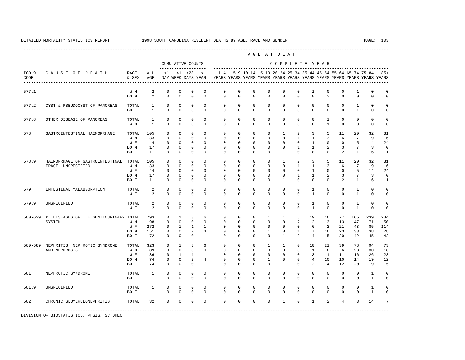---------------------------------------------------------------------------------------------------------------------------------------------------- A G E A T D E A T H --------------------------------------------------------------------------------------------- CUMULATIVE COUNTS C O M P L E T E Y E A R ------------------- ----------------------------------------------------------------------- ICD-9 C A U S E O F D E A T H RACE ALL <1 <1 <28 <1 1-4 5-9 10-14 15-19 20-24 25-34 35-44 45-54 55-64 65-74 75-84 85+ CODE & SEX AGE DAY WEEK DAYS YEAR YEARS YEARS YEARS YEARS YEARS YEARS YEARS YEARS YEARS YEARS YEARS YEARS ---------------------------------------------------------------------------------------------------------------------------------------------------- 577.1 W M 2 0 0 0 0 0 0 0 0 0 0 1 0 0 1 0 0<br>BOM 2 0 0 0 0 0 0 0 0 0 0 0 2 0 0 0 0 0 BOM 2 0 0 0 0 0 0 0 0 0 0 0 2 0 0 0 0 577.2 CYST & PSEUDOCYST OF PANCREAS TOTAL 1 0 0 0 0 0 0 0 0 0 0 0 0 0 1 0 0 BOF 1 0 0 0 0 0 0 0 0 0 0 0 0 0 1 0 0 577.8 OTHER DISEASE OF PANCREAS TOTAL 1 0 0 0 0 0 0 0 0 0 0 0 1 0 0 0 0 W M 1 0 0 0 0 0 0 0 0 0 0 0 1 0 0 0 0 578 GASTROINTESTINAL HAEMORRHAGE TOTAL 105 0 0 0 0 0 0 0 0 1 2 3 5 11 20 32 31 W M 33 0 0 0 0 0 0 0 0 0 1 1 3 6 7 9 6 W F 44 0 0 0 0 0 0 0 0 0 0 1 0 0 5 14 24 BO M 17 0 0 0 0 0 0 0 0 0 1 1 2 3 7 3 0 BO F 11 0 0 0 0 0 0 0 0 1 0 0 0 2 1 6 1 578.9 HAEMORRHAGE OF GASTROINTESTINAL TOTAL 105 0 0 0 0 0 0 0 0 1 2 3 5 11 20 32 31 TRACT, UNSPECIFIED W M 33 0 0 0 0 0 0 0 0 0 0 0 1 1 3 6 7 9 6<br>W F 44 0 0 0 0 0 0 0 0 0 0 0 1 0 0 5 14 24 W F 44 0 0 0 0 0 0 0 0 0 0 1 0 0 5 14 24 BO M 17 0 0 0 0 0 0 0 0 0 1 1 2 3 7 3 0 BO F 11 0 0 0 0 0 0 0 0 1 0 0 0 2 1 6 1 579 INTESTINAL MALABSORPTION TOTAL 2 0 0 0 0 0 0 0 0 0 0 1 0 0 1 0 0 W F 2 0 0 0 0 0 0 0 0 0 0 0 1 0 0 1 0 0 579.9 UNSPECIFIED TOTAL 2 0 0 0 0 0 0 0 0 0 0 1 0 0 1 0 0 W F 2 0 0 0 0 0 0 0 0 0 0 0 1 0 0 1 0 0 580-629 X. DISEASES OF THE GENITOURINARY TOTAL 793 0 1 3 6 0 0 0 1 1 5 19 46 77 165 239 234 SYSTEM W M 198 0 0 0 0 0 0 0 0 0 2 2 13 13 47 71 50 W F 272 0 1 1 1 0 0 0 0 0 0 6 2 21 43 85 114 BO M 151 0 0 2 4 0 0 0 1 0 1 7 16 23 33 38 28 BO F 172 0 0 0 1 0 0 0 0 1 2 4 15 20 42 45 42 580-589 NEPHRITIS, NEPHROTIC SYNDROME TOTAL 323 0 1 3 6 0 0 0 1 1 0 10 21 39 78 94 73 AND NEPHROSIS W M 89 0 0 0 0 0 0 0 0 0 0 1 6 6 28 30 18 W F 86 0 1 1 1 0 0 0 0 0 0 0 3 1 11 16 26 28 BO M 74 0 0 2 4 0 0 0 1 0 0 4 10 10 14 19 12 BO F 74 0 0 0 1 0 0 0 0 1 0 2 4 12 20 19 15 581 NEPHROTIC SYNDROME TOTAL 1 0 0 0 0 0 0 0 0 0 0 0 0 0 0 1 0 BO F 1 0 0 0 0 0 0 0 0 0 0 0 0 0 0 1 0 581.9 UNSPECIFIED TOTAL 1 0 0 0 0 0 0 0 0 0 0 0 0 0 0 1 0 BO F 1 0 0 0 0 0 0 0 0 0 0 0 0 0 0 1 0 582 CHRONIC GLOMERULONEPHRITIS TOTAL 32 0 0 0 0 0 0 0 0 1 0 1 2 4 3 14 7 -----------------------------------------------------------------------------------------------------------------------------------------------------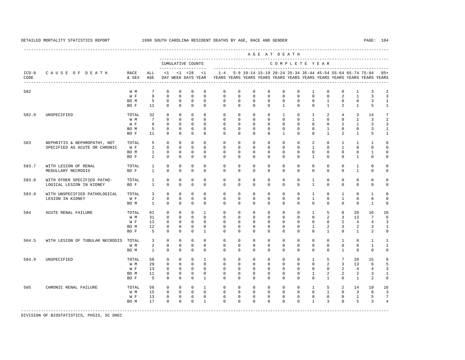---------------------------------------------------------------------------------------------------------------------------------------------------- A G E A T D E A T H --------------------------------------------------------------------------------------------- CUMULATIVE COUNTS C O M P L E T E Y E A R ------------------- ----------------------------------------------------------------------- ICD-9 C A U S E O F D E A T H RACE ALL <1 <1 <28 <1 1-4 5-9 10-14 15-19 20-24 25-34 35-44 45-54 55-64 65-74 75-84 85+ CODE & SEX AGE DAY WEEK DAYS YEAR YEARS YEARS YEARS YEARS YEARS YEARS YEARS YEARS YEARS YEARS YEARS YEARS ---------------------------------------------------------------------------------------------------------------------------------------------------- 582 W M 7 0 0 0 0 0 0 0 0 0 0 1 0 0 1 3 2 W F 9 0 0 0 0 0 0 0 0 0 0 0 0 2 1 3 3 BOM 5 0 0 0 0 0 0 0 0 0 0 0 0 0 0 3 1 BO F 11 0 0 0 0 0 0 0 0 1 0 0 1 2 1 5 1 582.9 UNSPECIFIED TOTAL 32 0 0 0 0 0 0 0 0 1 0 1 2 4 3 14 7 W M M 7 0 0 0 0 0 0 0 0 0 0 0 0 0 0 1 0 0 1 2 2 W F 9 0 0 0 0 0 0 0 0 0 0 0 0 0 2 1 3 3 BOM 5 0 0 0 0 0 0 0 0 0 0 0 0 0 0 3 1 BO F 11 0 0 0 0 0 0 0 0 1 0 0 1 2 1 5 1 583 NEPHRITIS & NEPHROPATHY, NOT TOTAL 5 0 0 0 0 0 0 0 0 0 0 2 0 1 1 1 0 SPECIFIED AS ACUTE OR CHRONIC W F 2 0 0 0 0 0 0 0 0 0 0 1 0 1 0 0 0 BO M 1 0 0 0 0 0 0 0 0 0 0 0 0 0 0 1 0 BOF 2 0 0 0 0 0 0 0 0 0 0 0 0 0 1 0 0 1 0 0 583.7 WITH LESION OF RENAL TOTAL 1 0 0 0 0 0 0 0 0 0 0 0 0 0 1 0 0  $\begin{array}{ccccccccccccc}\n1 & 0 & 0 & 0 & 0 & \n\end{array}$  583.8 WITH OTHER SPECIFIED PATHO- TOTAL 1 0 0 0 0 0 0 0 0 0 0 1 0 0 0 0 0 LOGICAL LESION IN KIDNEY BO F 1 0 0 0 0 0 0 0 0 0 0 1 0 0 0 0 0 583.9 WITH UNSPECIFIED PATHOLOGICAL TOTAL 3 0 0 0 0 0 0 0 0 0 0 1 0 1 0 1 0 LESION IN KIDNEY W F 2 0 0 0 0 0 0 0 0 0 0 1 0 1 0 0 0 BO M 1 0 0 0 0 0 0 0 0 0 0 0 0 0 0 1 0 584 ACUTE RENAL FAILURE TOTAL 61 0 0 0 1 0 0 0 0 0 0 1 5 8 20 16 10 W M 31 0 0 0 0 0 0 0 0 0 0 0 2 3 13 7 6 W F 13 0 0 0 0 0 0 0 0 0 0 0 0 0 2 4 4 3 BOM 12 0 0 0 0 0 0 0 0 0 0 0 1 2 3 2 3 1 BO F 5 0 0 0 1 0 0 0 0 0 0 0 1 0 1 2 0 584.5 WITH LESION OF TUBULAR NECROSIS TOTAL 3 0 0 0 0 0 0 0 0 0 0 0 0 1 0 1 1 W M 2 0 0 0 0 0 0 0 0 0 0 0 0 0 0 0 0 1 1<br>ROM 1 0 0 0 0 0 0 0 0 0 0 0 0 0 0 0 0 0 BO M 1 0 0 0 0 0 0 0 0 0 0 0 0 1 0 0 0 584.9 UNSPECIFIED TOTAL 58 0 0 0 1 0 0 0 0 0 0 1 5 7 20 15 9 W M 29 0 0 0 0 0 0 0 0 0 0 0 2 3 13 6 5 W F 13 0 0 0 0 0 0 0 0 0 0 0 0 0 2 4 4 3 BOM 11 0 0 0 0 0 0 0 0 0 0 0 1 2 2 2 3 1 BO F 5 0 0 0 1 0 0 0 0 0 0 0 1 0 1 2 0 585 CHRONIC RENAL FAILURE TOTAL 58 0 0 0 1 0 0 0 0 0 0 1 5 2 14 19 16 W M 15 0 0 0 0 0 0 0 0 0 0 0 1 0 3 8 3 W F 13 0 0 0 0 0 0 0 0 0 0 0 0 0 1 5 7 BO M 17 0 0 0 1 0 0 0 0 0 0 1 3 0 5 3 4 -----------------------------------------------------------------------------------------------------------------------------------------------------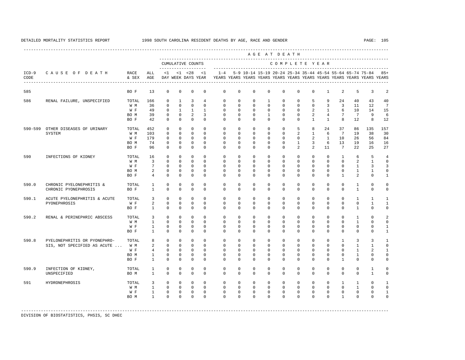----------------------------------------------------------------------------------------------------------------------------------------------------

 A G E A T D E A T H --------------------------------------------------------------------------------------------- CUMULATIVE COUNTS C O M P L E T E Y E A R ------------------- ----------------------------------------------------------------------- ICD-9 C A U S E O F D E A T H RACE ALL <1 <1 <28 <1 1-4 5-9 10-14 15-19 20-24 25-34 35-44 45-54 55-64 65-74 75-84 85+ CODE & SEX AGE DAY WEEK DAYS YEAR YEARS YEARS YEARS YEARS YEARS YEARS YEARS YEARS YEARS YEARS YEARS YEARS ---------------------------------------------------------------------------------------------------------------------------------------------------- 585 BO F 13 0 0 0 0 0 0 0 0 0 0 0 1 2 5 3 2 586 RENAL FAILURE, UNSPECIFIED TOTAL 166 0 1 3 4 0 0 0 1 0 0 5 9 24 40 43 40 W M 36 0 0 0 0 0 0 0 0 0 0 0 3 3 11 12 7 W F 49 0 1 1 1 0 0 0 0 0 0 2 1 6 10 14 15 BO M 39 0 0 2 3 0 0 0 1 0 0 2 4 7 7 9 6 BO F 42 0 0 0 0 0 0 0 0 0 0 1 1 8 12 8 12 590-599 OTHER DISEASES OF URINARY TOTAL 452 0 0 0 0 0 0 0 0 0 5 8 24 37 86 135 157 SYSTEM W M 103 0 0 0 0 0 0 0 0 0 2 1 6 7 19 38 30 W F 179 0 0 0 0 0 0 0 0 0 0 2 1 10 26 56 84 BO M 74 0 0 0 0 0 0 0 0 0 1 3 6 13 19 16 16 BO F 96 0 0 0 0 0 0 0 0 0 2 2 11 7 22 25 27 590 INFECTIONS OF KIDNEY TOTAL 16 0 0 0 0 0 0 0 0 0 0 0 0 1 6 5 4 W M 3 0 0 0 0 0 0 0 0 0 0 0 0 0 2 1 0 W F 7 0 0 0 0 0 0 0 0 0 0 0 0 0 1 3 3 BO M 2 0 0 0 0 0 0 0 0 0 0 0 0 0 1 1 0 BO F 4 0 0 0 0 0 0 0 0 0 0 0 0 1 2 0 1 590.0 CHRONIC PYELONEPHRITIS & TOTAL 1 0 0 0 0 0 0 0 0 0 0 0 0 0 0 0 1 0 0<br>CHRONIC PYONEPHROSIS BOF 1 0 0 0 0 0 0 0 0 0 0 0 0 0 0 1 0 0 CHRONIC PYONEPHROSIS BOF 1 0 0 0 0 0 0 0 0 0 0 0 0 0 0 1 0 0 590.1 ACUTE PYELONEPHRITIS & ACUTE TOTAL 3 0 0 0 0 0 0 0 0 0 0 0 0 0 0 0 1 1 1<br>PYONEPHROSTS PYONEPHROSIS W F 2 0 0 0 0 0 0 0 0 0 0 0 0 0 0 1 1 BOF 1 0 0 0 0 0 0 0 0 0 0 0 0 0 1 0 0 590.2 RENAL & PERINEPHRIC ABSCESS TOTAL 3 0 0 0 0 0 0 0 0 0 0 0 0 0 0 0 0 1 0 2<br>W M 1 0 0 0 0 0 0 0 0 0 0 0 0 0 0 0 0 1 0 0 W M 1 0 0 0 0 0 0 0 0 0 0 0 0 0 1 0 0 W F 1 0 0 0 0 0 0 0 0 0 0 0 0 0 0 0 1 BO F 1 0 0 0 0 0 0 0 0 0 0 0 0 0 0 0 1 590.8 PYELONEPHRITIS OR PYONEPHRO- TOTAL 8 0 0 0 0 0 0 0 0 0 0 0 0 1 3 3 1 SIS, NOT SPECIFIED AS ACUTE ... W M 2 0 0 0 0 0 0 0 0 0 0 0 0 0 0 0 0 0 1 1 0<br>W F 4 0 0 0 0 0 0 0 0 0 0 0 0 0 0 0 1 2 1 W F 4 0 0 0 0 0 0 0 0 0 0 0 0 0 0 1 2 1 BO M 1 0 0 0 0 0 0 0 0 0 0 0 0 0 1 0 0 BO F 1 0 0 0 0 0 0 0 0 0 0 0 0 1 0 0 0 590.9 INFECTION OF KIDNEY, TOTAL 1 0 0 0 0 0 0 0 0 0 0 0 0 0 0 1 0 UNSPECIFIED BO M 1 0 0 0 0 0 0 0 0 0 0 0 0 0 0 1 0 591 HYDRONEPHROSIS TOTAL 3 0 0 0 0 0 0 0 0 0 0 0 0 1 1 0 1 W M 1 0 0 0 0 0 0 0 0 0 0 0 0 0 1 0 0 W F 1 0 0 0 0 0 0 0 0 0 0 0 0 0 0 0 1 BO M 1 0 0 0 0 0 0 0 0 0 0 0 0 1 0 0 0

DIVISION OF BIOSTATISTICS, PHSIS, SC DHEC

-----------------------------------------------------------------------------------------------------------------------------------------------------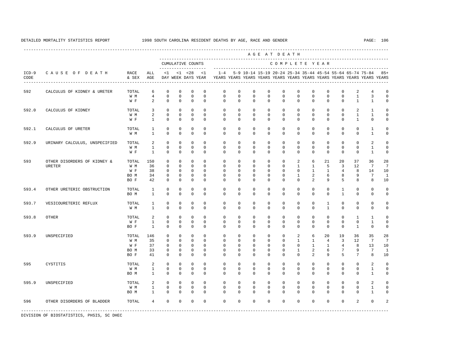----------------------------------------------------------------------------------------------------------------------------------------------------

 A G E A T D E A T H --------------------------------------------------------------------------------------------- CUMULATIVE COUNTS C O M P L E T E Y E A R ------------------- ----------------------------------------------------------------------- ICD-9 C A U S E O F D E A T H RACE ALL <1 <1 <28 <1 1-4 5-9 10-14 15-19 20-24 25-34 35-44 45-54 55-64 65-74 75-84 85+ CODE & SEX AGE DAY WEEK DAYS YEAR YEARS YEARS YEARS YEARS YEARS YEARS YEARS YEARS YEARS YEARS YEARS YEARS ---------------------------------------------------------------------------------------------------------------------------------------------------- 592 CALCULUS OF KIDNEY & URETER TOTAL 6 0 0 0 0 0 0 0 0 0 0 0 0 0 2 4 0  $0 \quad 0 \quad 0 \quad 0$ W F 2 0 0 0 0 0 0 0 0 0 0 0 0 0 1 1 0 592.0 CALCULUS OF KIDNEY TOTAL 3 0 0 0 0 0 0 0 0 0 0 0 0 0 2 1 0 W M 2 0 0 0 0 0 0 0 0 0 0 0 0 0 1 1 0 W F 1 0 0 0 0 0 0 0 0 0 0 0 0 0 0 1 0 0 592.1 CALCULUS OF URETER TOTAL 1 0 0 0 0 0 0 0 0 0 0 0 0 0 0 1 0 W M 1 0 0 0 0 0 0 0 0 0 0 0 0 0 0 1 0 592.9 URINARY CALCULUS, UNSPECIFIED TOTAL 2 0 0 0 0 0 0 0 0 0 0 0 0 0 0 2 0 W M 1 0 0 0 0 0 0 0 0 0 0 0 0 0 0 1 0 W F 1 0 0 0 0 0 0 0 0 0 0 0 0 0 0 1 0 593 OTHER DISORDERS OF KIDNEY & TOTAL 150 0 0 0 0 0 0 0 0 0 2 6 21 20 37 36 28 URETER W M 36 0 0 0 0 0 0 0 0 0 0 1 1 5 3 12 7 7<br>W R 38 0 0 0 0 0 0 0 0 0 0 1 1 4 8 14 10 W F 38 0 0 0 0 0 0 0 0 0 0 0 0 1 1 4 8 14<br>BOM 34 0 0 0 0 0 0 0 0 0 0 1 2 6 8 9 7 BO M 34 0 0 0 0 0 0 0 0 0 1 2 6 8 9 7 1 BO F 42 0 0 0 0 0 0 0 0 0 0 2 9 5 8 8 10 593.4 OTHER URETERIC OBSTRUCTION TOTAL 1 0 0 0 0 0 0 0 0 0 0 0 0 1 0 0 0 BO M 1 0 0 0 0 0 0 0 0 0 0 0 0 1 0 0 0 593.7 VESICOURETERIC REFLUX TOTAL 1 0 0 0 0 0 0 0 0 0 0 0 1 0 0 0 0 W M 1 0 0 0 0 0 0 0 0 0 0 0 1 0 0 0 0 593.8 OTHER TOTAL 2 0 0 0 0 0 0 0 0 0 0 0 0 0 1 1 0 W F 1 0 0 0 0 0 0 0 0 0 0 0 0 0 0 1 0 BOF 1 0 0 0 0 0 0 0 0 0 0 0 0 0 1 0 0 593.9 UNSPECIFIED TOTAL 146 0 0 0 0 0 0 0 0 0 2 6 20 19 36 35 28 W M 35 0 0 0 0 0 0 0 0 0 1 1 4 3 12 7 7 W F 37 0 0 0 0 0 0 0 0 0 0 0 0 1 1 4 8 13 10<br>BOM 33 0 0 0 0 0 0 0 0 0 0 1 2 6 7 9 7 1 BO M 33 0 0 0 0 0 0 0 0 0 1 2 6 7 9 7 1 BO F 41 0 0 0 0 0 0 0 0 0 0 2 9 5 7 8 10 595 CYSTITIS TOTAL 2 0 0 0 0 0 0 0 0 0 0 0 0 0 0 2 0 W M 1 0 0 0 0 0 0 0 0 0 0 0 0 0 0 1 0 BO M 1 0 0 0 0 0 0 0 0 0 0 0 0 0 0 1 0 595.9 UNSPECIFIED TOTAL 2 0 0 0 0 0 0 0 0 0 0 0 0 0 0 2 0 W M 1 0 0 0 0 0 0 0 0 0 0 0 0 0 0 1 0 BOM 1 0 0 0 0 0 0 0 0 0 0 0 0 0 0 1 0 596 OTHER DISORDERS OF BLADDER TOTAL 4 0 0 0 0 0 0 0 0 0 0 0 0 0 2 0 2 -----------------------------------------------------------------------------------------------------------------------------------------------------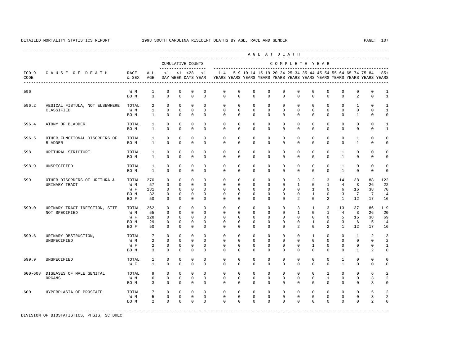A G E A T D E A T H

----------------------------------------------------------------------------------------------------------------------------------------------------

 600 HYPERPLASIA OF PROSTATE TOTAL 7 0 0 0 0 0 0 0 0 0 0 0 0 0 0 5 2 W M 5 0 0 0 0 0 0 0 0 0 0 0 0 0 0 3 2 BOM 2 0 0 0 0 0 0 0 0 0 0 0 0 0 2 0 -----------------------------------------------------------------------------------------------------------------------------------------------------

 --------------------------------------------------------------------------------------------- CUMULATIVE COUNTS C O M P L E T E Y E A R ------------------- ----------------------------------------------------------------------- ICD-9 C A U S E O F D E A T H RACE ALL <1 <1 <28 <1 1-4 5-9 10-14 15-19 20-24 25-34 35-44 45-54 55-64 65-74 75-84 85+ CODE & SEX AGE DAY WEEK DAYS YEAR YEARS YEARS YEARS YEARS YEARS YEARS YEARS YEARS YEARS YEARS YEARS YEARS ---------------------------------------------------------------------------------------------------------------------------------------------------- 596 W M 1 0 0 0 0 0 0 0 0 0 0 0 0 0 0 0 1 BOM 3 0 0 0 0 0 0 0 0 0 0 0 0 0 2 0 1 596.2 VESICAL FISTULA, NOT ELSEWHERE TOTAL 2 0 0 0 0 0 0 0 0 0 0 0 0 0 1 0 1 CLASSIFIED W M 1 0 0 0 0 0 0 0 0 0 0 0 0 0 0 0 1 BOM 1 0 0 0 0 0 0 0 0 0 0 0 0 0 0 1 0 0 596.4 ATONY OF BLADDER TOTAL 1 0 0 0 0 0 0 0 0 0 0 0 0 0 0 0 1 BOM 1 0 0 0 0 0 0 0 0 0 0 0 0 0 0 0 1 596.5 OTHER FUNCTIONAL DISORDERS OF TOTAL 1 0 0 0 0 0 0 0 0 0 0 0 0 0 1 0 0 BLADDER BO M 1 0 0 0 0 0 0 0 0 0 0 0 0 0 1 0 0 598 URETHRAL STRICTURE TOTAL 1 0 0 0 0 0 0 0 0 0 0 0 0 1 0 0 0 BO M 1 0 0 0 0 0 0 0 0 0 0 0 0 1 0 0 0 598.9 UNSPECIFIED TOTAL 1 0 0 0 0 0 0 0 0 0 0 0 0 1 0 0 0 BO M 1 0 0 0 0 0 0 0 0 0 0 0 0 1 0 0 0 599 OTHER DISORDERS OF URETHRA & TOTAL 270 0 0 0 0 0 0 0 0 0 3 2 3 14 38 88 122 URINARY TRACT W M 57 0 0 0 0 0 0 0 0 0 1 0 1 4 3 26 22 W F 131 0 0 0 0 0 0 0 0 0 0 1 0 6 16 38 70 BO M 32 0 0 0 0 0 0 0 0 0 0 1 0 3 7 7 14 BO F 50 0 0 0 0 0 0 0 0 0 2 0 2 1 12 17 16 599.0 URINARY TRACT INFECTION, SITE TOTAL 262 0 0 0 0 0 0 0 0 0 3 1 3 13 37 86 119 NOT SPECIFIED W M 55 0 0 0 0 0 0 0 0 0 0 0 0 1 0 1 4 3 26 20<br>W F 128 0 0 0 0 0 0 0 0 0 0 0 0 0 5 16 38 69 W F 128 0 0 0 0 0 0 0 0 0 0 0 0 5 16 38 69 BOM 29 0 0 0 0 0 0 0 0 0 0 0 0 1 0 3 6 5 14<br>BOF 50 0 0 0 0 0 0 0 0 0 0 2 0 2 1 12 17 16 BO F 50 0 0 0 0 0 0 0 0 0 2 0 2 1 12 17 16 599.6 URINARY OBSTRUCTION, TOTAL 7 0 0 0 0 0 0 0 0 0 0 0 1 0 0 1 2 3<br>TINSPECIFIED WIM 2 0 0 0 0 0 0 0 0 0 0 0 0 0 0 0 0 UNSPECIFIED W M 2 0 0 0 0 0 0 0 0 0 0 0 0 0 0 0 2 W F 2 0 0 0 0 0 0 0 0 0 0 0 1 0 0 0 0 0 1<br>ROM 3 0 0 0 0 0 0 0 0 0 0 0 0 0 0 1 2 0 BO M 3 0 0 0 0 0 0 0 0 0 0 0 0 0 1 2 0 599.9 UNSPECIFIED TOTAL 1 0 0 0 0 0 0 0 0 0 0 0 0 1 0 0 0 W F 1 0 0 0 0 0 0 0 0 0 0 0 0 1 0 0 0 600-608 DISEASES OF MALE GENITAL TOTAL 9 0 0 0 0 0 0 0 0 0 0 0 1 0 0 6 2 ORGANS W M 6 0 0 0 0 0 0 0 0 0 0 0 1 0 0 3 2 BOM 3 0 0 0 0 0 0 0 0 0 0 0 0 0 0 3 0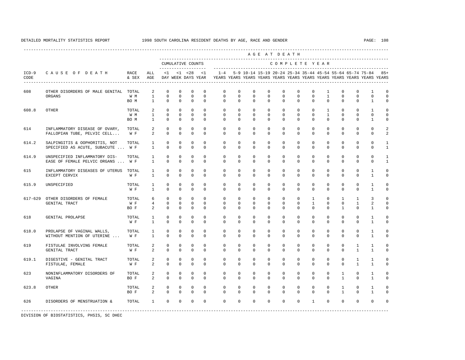|                 |                                                                    |                      |                                       |                                     |                                         |                                              |                                     |                                                                                                       |                                     |                                        |                                         | AGE AT DEATH                        |                                       |                                            |                                                           |                                          |                                             |                                          |                                           |
|-----------------|--------------------------------------------------------------------|----------------------|---------------------------------------|-------------------------------------|-----------------------------------------|----------------------------------------------|-------------------------------------|-------------------------------------------------------------------------------------------------------|-------------------------------------|----------------------------------------|-----------------------------------------|-------------------------------------|---------------------------------------|--------------------------------------------|-----------------------------------------------------------|------------------------------------------|---------------------------------------------|------------------------------------------|-------------------------------------------|
|                 |                                                                    |                      |                                       |                                     |                                         | CUMULATIVE COUNTS<br>--------------------    |                                     |                                                                                                       |                                     |                                        |                                         |                                     |                                       |                                            | COMPLETE YEAR                                             |                                          |                                             |                                          |                                           |
| $ICD-9$<br>CODE | CAUSE OF DEATH<br>----------------------------------               | RACE<br>& SEX        | ALL<br>AGE                            | $\leq 1$                            |                                         | $<1$ $<28$                                   | < 1                                 | $1 - 4$<br>DAY WEEK DAYS YEAR YEARS YEARS YEARS YEARS YEARS YEARS YEARS YEARS YEARS YEARS YEARS YEARS |                                     |                                        |                                         |                                     |                                       |                                            | 5-9 10-14 15-19 20-24 25-34 35-44 45-54 55-64 65-74 75-84 |                                          |                                             |                                          | $85+$                                     |
| 608             | OTHER DISORDERS OF MALE GENITAL TOTAL<br>ORGANS                    | W M<br>BO M          | 2<br>$\mathbf{1}$<br>$\mathbf{1}$     | $\Omega$<br>$\mathbf 0$<br>$\Omega$ | $\mathbf{0}$<br>$\Omega$<br>$\Omega$    | $\mathbf{0}$<br>$\mathbf 0$<br>$\Omega$      | $\mathbf 0$<br>$\Omega$<br>$\Omega$ | $\Omega$<br>$\Omega$<br>$\Omega$                                                                      | $\Omega$<br>$\Omega$<br>$\Omega$    | $\mathbf{0}$<br>$\Omega$<br>$\Omega$   | $\Omega$<br>$\Omega$<br>$\Omega$        | $\mathbf 0$<br>$\Omega$<br>$\Omega$ | $\Omega$<br>$\Omega$<br>$\Omega$      | $\Omega$<br>$\Omega$<br>$\Omega$           | $\mathbf{1}$<br>$\mathbf{1}$<br>$\Omega$                  | $\mathbf 0$<br>$\mathbf{0}$<br>$\Omega$  | $\mathbf 0$<br>$\Omega$<br>$\Omega$         | $\mathbf{1}$<br>$\Omega$<br>$\mathbf{1}$ | $\mathbf 0$<br>$\mathbf 0$<br>$\mathbf 0$ |
| 608.8           | OTHER                                                              | TOTAL<br>W M<br>BO M | 2<br>$\mathbf{1}$<br>$\mathbf{1}$     | $\circ$<br>$\Omega$<br>$\mathbf 0$  | $\mathbf{0}$<br>$\Omega$<br>$\mathbf 0$ | $\mathbf{0}$<br>$\mathbf{0}$<br>$\mathbf{0}$ | $\Omega$<br>$\Omega$<br>$\mathbf 0$ | $\Omega$<br>$\Omega$<br>$\mathbf 0$                                                                   | 0<br>$\Omega$<br>$\mathbf 0$        | $\mathbf 0$<br>$\Omega$<br>$\mathbf 0$ | $\mathbf{0}$<br>$\Omega$<br>$\mathbf 0$ | $\Omega$<br>$\Omega$<br>$\mathbf 0$ | $^{\circ}$<br>$\Omega$<br>$\mathbf 0$ | $\circ$<br>$\Omega$<br>$\circ$             | $\mathbf{1}$<br>$\overline{1}$<br>$\circ$                 | $\mathbf 0$<br>$\Omega$<br>$\mathbf 0$   | $\circ$<br>$\Omega$<br>$\mathbf 0$          | $\mathbf{1}$<br>$\Omega$<br>$\mathbf{1}$ | $\mathbf 0$<br>$\mathbf 0$<br>$\mathbf 0$ |
| 614             | INFLAMMATORY DISEASE OF OVARY,<br>FALLOPIAN TUBE, PELVIC CELL      | TOTAL<br>W F         | 2<br>$\overline{a}$                   | $\mathbf{0}$<br>$\mathbf 0$         | $\Omega$<br>$\mathbf{0}$                | $\mathbf 0$<br>$\mathbf 0$                   | $\Omega$<br>$\mathbf 0$             | $\Omega$<br>$\Omega$                                                                                  | $\Omega$<br>$\mathbf 0$             | $\Omega$<br>$\mathbf{0}$               | $\Omega$<br>0                           | $\Omega$<br>$\mathbf 0$             | $\Omega$<br>0                         | $\mathbf{0}$<br>$\Omega$                   | $\mathbf 0$<br>$\mathbf 0$                                | $\mathbf{0}$<br>$\mathbf 0$              | $\circ$<br>$\mathbf 0$                      | $\Omega$<br>$\Omega$                     | $\overline{2}$<br>$\overline{a}$          |
| 614.2           | SALPINGITIS & OOPHORITIS, NOT<br>SPECIFIED AS ACUTE, SUBACUTE  W F | TOTAL                | $\mathbf{1}$<br>$\overline{1}$        | $\mathbf 0$<br>$\Omega$             | $\Omega$<br>$\Omega$                    | $\mathbf 0$<br>$\Omega$                      | $\Omega$<br>$\Omega$                | $\Omega$<br>$\Omega$                                                                                  | $\Omega$<br>$\Omega$                | $\Omega$<br>$\Omega$                   | $\Omega$<br>$\Omega$                    | $\Omega$<br>$\Omega$                | $\Omega$<br>$\Omega$                  | $\Omega$<br>$\Omega$                       | $\mathbf 0$<br>$\Omega$                                   | $\mathbf{0}$<br>$\Omega$                 | $\mathbf 0$<br>$\Omega$                     | $\Omega$<br>$\Omega$                     | $\mathbf{1}$<br>$\mathbf{1}$              |
| 614.9           | UNSPECIFIED INFLAMMATORY DIS-<br>EASE OF FEMALE PELVIC ORGANS  W F | TOTAL                | $\mathbf{1}$<br>$\mathbf{1}$          | $\mathbf{0}$<br>$\mathbf{0}$        | $\mathbf{0}$<br>0                       | $\mathbb O$<br>$\mathbf 0$                   | $\mathbf 0$<br>$\mathbf 0$          | $\mathbf 0$<br>0                                                                                      | $\mathbf 0$<br>0                    | $\mathbf 0$<br>$\mathbf{0}$            | $\mathbf 0$<br>0                        | $\mathbf 0$<br>0                    | 0<br>0                                | $\circ$<br>$\mathbf 0$                     | $\mathbf 0$<br>$\mathbf{0}$                               | $\mathbf 0$<br>$\mathbf 0$               | $\mathsf{O}$<br>0                           | $\mathbf 0$<br>$\mathbf 0$               | $\mathbf{1}$<br>$\mathbf{1}$              |
| 615             | INFLAMMATORY DISEASES OF UTERUS<br>EXCEPT CERVIX                   | TOTAL<br>W F         | $\mathbf{1}$<br>$\mathbf{1}$          | $\mathbf{0}$<br>$\Omega$            | $\mathbf{0}$<br>$\Omega$                | $\mathbb O$<br>$\Omega$                      | $\mathbf 0$<br>$\mathbf 0$          | $\mathbf 0$<br>$\mathbf 0$                                                                            | $\mathbf 0$<br>$\Omega$             | $\mathbf 0$<br>$\mathbf 0$             | $\mathbf 0$<br>0                        | $\mathbf 0$<br>$\Omega$             | 0<br>0                                | $\circ$<br>$\Omega$                        | $\mathbf 0$<br>$\mathbf 0$                                | $\mathbf 0$<br>$\mathbf 0$               | $\mathbf 0$<br>$\mathbf 0$                  | $\mathbf{1}$<br>1                        | $\mathbf 0$<br>$\mathbf 0$                |
| 615.9           | UNSPECIFIED                                                        | TOTAL<br>W F         | $\mathbf{1}$<br>$\mathbf{1}$          | $\mathbf{0}$<br>$\Omega$            | $\mathbf{0}$<br>$\Omega$                | $\mathbf 0$<br>$\Omega$                      | $\Omega$<br>$\Omega$                | $\Omega$<br>$\Omega$                                                                                  | $\Omega$<br>$\Omega$                | $\Omega$<br>$\Omega$                   | $\Omega$<br>$\Omega$                    | $\Omega$<br>$\Omega$                | $\Omega$<br>$\Omega$                  | $^{\circ}$<br>$\Omega$                     | $\mathbf 0$<br>$\Omega$                                   | $\mathbf 0$<br>$\Omega$                  | $\mathbf 0$<br>$\Omega$                     | $\mathbf{1}$<br>$\mathbf{1}$             | $\mathbb O$<br>$\mathbf 0$                |
| $617 - 629$     | OTHER DISORDERS OF FEMALE<br>GENITAL TRACT                         | TOTAL<br>W F<br>BO F | 6<br>$\overline{4}$<br>$\overline{2}$ | $\Omega$<br>$\Omega$<br>$\mathbf 0$ | $\Omega$<br>$\Omega$<br>$\mathbf 0$     | $\Omega$<br>$\circ$<br>$\mathbf{0}$          | $\Omega$<br>$\Omega$<br>$\mathbf 0$ | $\Omega$<br>$\Omega$<br>$\mathbf 0$                                                                   | $\Omega$<br>$\Omega$<br>$\mathbf 0$ | $\Omega$<br>$\Omega$<br>$\mathbf 0$    | $\Omega$<br>$\Omega$<br>$\mathbf 0$     | $\Omega$<br>$\Omega$<br>$\mathbf 0$ | $\Omega$<br>$\Omega$<br>$\mathbf 0$   | $\mathbf{1}$<br>$\overline{1}$<br>$\Omega$ | $\Omega$<br>$\Omega$<br>$\mathbf 0$                       | $\mathbf{1}$<br>$\Omega$<br>$\mathbf{1}$ | $\mathbf{1}$<br>$\mathbf{1}$<br>$\mathbf 0$ | $\overline{3}$<br>2<br>$\mathbf{1}$      | $\mathbf 0$<br>$\Omega$<br>$\mathbb O$    |
| 618             | GENITAL PROLAPSE                                                   | TOTAL<br>W F         | $\mathbf{1}$<br>$\mathbf{1}$          | $\mathbf 0$<br>$\Omega$             | $\mathbf{0}$<br>$\Omega$                | $\mathbf{0}$<br>$\Omega$                     | $\mathbf 0$<br>$\Omega$             | $\mathbf 0$<br>$\Omega$                                                                               | $\mathbf 0$<br>$\Omega$             | $\mathbf{0}$<br>$\Omega$               | 0<br>$\Omega$                           | 0<br>$\Omega$                       | 0<br>$\Omega$                         | $^{\circ}$<br>$\Omega$                     | $\mathbf 0$<br>$\Omega$                                   | $\mathbf 0$<br>$\Omega$                  | $\mathbf 0$<br>$\Omega$                     | $\mathbf{1}$<br>$\mathbf{1}$             | $\mathbf 0$<br>$\mathbf 0$                |
| 618.0           | PROLAPSE OF VAGINAL WALLS,<br>WITHOUT MENTION OF UTERINE           | TOTAL<br>W F         | $\mathbf{1}$<br>$\overline{1}$        | $\mathbf{0}$<br>$\Omega$            | $\mathbf{0}$<br>$\Omega$                | $\mathbf{0}$<br>$\Omega$                     | $\mathbf 0$<br>$\Omega$             | $\Omega$<br>$\Omega$                                                                                  | $\mathbf 0$<br>$\Omega$             | $\mathbf{0}$<br>$\Omega$               | 0<br>$\Omega$                           | $\mathbf 0$<br>$\Omega$             | 0<br>$\Omega$                         | $^{\circ}$<br>$\Omega$                     | $\mathbf 0$<br>$\Omega$                                   | $\mathbf 0$<br>$\Omega$                  | $\mathbf 0$<br>$\Omega$                     | $\mathbf{1}$<br>$\mathbf{1}$             | $\mathbf 0$<br>$\Omega$                   |
| 619             | FISTULAE INVOLVING FEMALE<br>GENITAL TRACT                         | TOTAL<br>W F         | 2<br>$\overline{2}$                   | $\mathbf 0$<br>$\Omega$             | $\mathbf{0}$<br>$\Omega$                | $\mathbf{0}$<br>$\Omega$                     | $\mathbf 0$<br>$\Omega$             | $\mathbf 0$<br>$\Omega$                                                                               | $\mathbf 0$<br>$\Omega$             | $\mathbf 0$<br>$\Omega$                | $\mathbf 0$<br>$\Omega$                 | $\mathbf 0$<br>$\Omega$             | 0<br>$\Omega$                         | $\circ$<br>$\Omega$                        | $\mathbf 0$<br>$\Omega$                                   | $\mathbf 0$<br>$\Omega$                  | $\mathbf{1}$<br>$\mathbf{1}$                | $\mathbf{1}$<br>$\mathbf{1}$             | $\mathbf 0$<br>$\Omega$                   |
| 619.1           | DIGESTIVE - GENITAL TRACT<br>FISTULAE, FEMALE                      | TOTAL<br>W F         | 2<br>$\overline{2}$                   | 0<br>$\Omega$                       | $\mathbb O$<br>$\Omega$                 | $\mathbb O$<br>$\Omega$                      | $\mathbf 0$<br>$\Omega$             | $\mathbf 0$<br>$\Omega$                                                                               | $\mathbf 0$<br>$\Omega$             | $\mathbb O$<br>$\Omega$                | 0<br>0                                  | $\mathsf{O}\xspace$<br>$\Omega$     | 0<br>$\Omega$                         | $\mathbf 0$<br>$\Omega$                    | $\mathbb O$<br>$\Omega$                                   | $\mathbb O$<br>$\Omega$                  | $\mathbf{1}$<br>$\mathbf{1}$                | $\mathbf{1}$<br>1                        | $\mathbb O$<br>$\mathbf 0$                |
| 623             | NONINFLAMMATORY DISORDERS OF<br>VAGINA                             | TOTAL<br>BO F        | 2<br>$\overline{2}$                   | $\mathbf 0$<br>$\Omega$             | $\mathbf 0$<br>$\Omega$                 | $\mathbb O$<br>$\Omega$                      | $\mathbf 0$<br>$\Omega$             | $\mathbf 0$<br>$\Omega$                                                                               | $\mathbf 0$<br>$\Omega$             | $\mathbf 0$<br>$\Omega$                | $\mathbf{0}$<br>$\Omega$                | $\mathbf{0}$<br>$\Omega$            | 0<br>$\Omega$                         | $^{\circ}$<br>$\Omega$                     | $\mathbf{0}$<br>$\Omega$                                  | $\mathbf{1}$<br>$\overline{1}$           | $\mathbf 0$<br>$\Omega$                     | 1<br>$\mathbf{1}$                        | $\mathbf 0$<br>$\Omega$                   |
| 623.8           | OTHER                                                              | TOTAL<br>BO F        | 2<br>$\overline{a}$                   | $\mathbf{0}$<br>$\Omega$            | $\mathbf 0$<br>$\Omega$                 | $\mathbf 0$<br>$\Omega$                      | $\Omega$<br>$\Omega$                | $\Omega$<br>$\Omega$                                                                                  | 0<br>$\Omega$                       | $\mathbf 0$<br>$\Omega$                | 0<br>$\Omega$                           | $\mathbf{0}$<br>$\Omega$            | 0<br>$\Omega$                         | 0<br>$\Omega$                              | $\mathbf{0}$<br>$\Omega$                                  | $\mathbf{1}$<br>$\overline{1}$           | 0<br>$\Omega$                               | 1<br>$\mathbf{1}$                        | $\mathbf 0$<br>$\Omega$                   |
| 626             | DISORDERS OF MENSTRUATION &                                        | TOTAL                | $\mathbf{1}$                          | $\mathbf{0}$                        | $\Omega$                                | $\mathbf 0$                                  | $\Omega$                            | $\Omega$                                                                                              | $\Omega$                            | $\Omega$                               | $\mathbf 0$                             | $\Omega$                            | $\Omega$                              | $\overline{1}$                             | $\Omega$                                                  | $\Omega$                                 | $\Omega$                                    | $\Omega$                                 | $\mathbf 0$                               |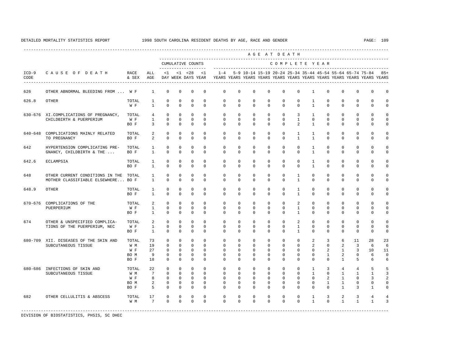---------------------------------------------------------------------------------------------------------------------------------------------------- A G E A T D E A T H --------------------------------------------------------------------------------------------- CUMULATIVE COUNTS C O M P L E T E Y E A R ------------------- ----------------------------------------------------------------------- ICD-9 C A U S E O F D E A T H RACE ALL <1 <1 <28 <1 1-4 5-9 10-14 15-19 20-24 25-34 35-44 45-54 55-64 65-74 75-84 85+ CODE & SEX AGE DAY WEEK DAYS YEAR YEARS YEARS YEARS YEARS YEARS YEARS YEARS YEARS YEARS YEARS YEARS YEARS ---------------------------------------------------------------------------------------------------------------------------------------------------- 626 OTHER ABNORMAL BLEEDING FROM ... W F 1 0 0 0 0 0 0 0 0 0 0 1 0 0 0 0 0 626.8 OTHER TOTAL 1 0 0 0 0 0 0 0 0 0 0 1 0 0 0 0 0 W F 1 0 0 0 0 0 0 0 0 0 0 1 0 0 0 0 0 630-676 XI.COMPLICATIONS OF PREGNANCY, TOTAL 4 0 0 0 0 0 0 0 0 0 3 1 0 0 0 0 0 CHILDBIRTH & PUERPERIUM W F 1 0 0 0 0 0 0 0 0 0 1 0 0 0 0 0 0 BOF 3 0 0 0 0 0 0 0 0 0 0 2 1 0 0 0 0 0 640-648 COMPLICATIONS MAINLY RELATED TOTAL 2 0 0 0 0 0 0 0 0 0 0 1 1 0 0 0 0 0<br>TO PREGNANCY TO BOR 2 0 0 0 0 0 0 0 0 1 1 0 0 0 0 0  $\begin{array}{ccccccccccccc}\n2 & 0 & 0 & 0 & 0 & \n\end{array}$  642 HYPERTENSION COMPLICATING PRE- TOTAL 1 0 0 0 0 0 0 0 0 0 0 1 0 0 0 0 0 GNANCY, CHILDBIRTH & THE ... BO F 1 0 0 0 0 0 0 0 0 0 0 1 0 0 0 0 0 642.6 ECLAMPSIA TOTAL 1 0 0 0 0 0 0 0 0 0 0 1 0 0 0 0 0 BO F 1 0 0 0 0 0 0 0 0 0 0 1 0 0 0 0 0 648 OTHER CURRENT CONDITIONS IN THE TOTAL 1 0 0 0 0 0 0 0 0 0 1 0 0 0 0 0 0 MOTHER CLASSIFIABLE ELSEWHERE... BO F 1 0 0 0 0 0 0 0 0 0 1 0 0 0 0 0 0 648.9 OTHER TOTAL 1 0 0 0 0 0 0 0 0 0 1 0 0 0 0 0 0 BO F 1 0 0 0 0 0 0 0 0 0 1 0 0 0 0 0 0 670-676 COMPLICATIONS OF THE TOTAL 2 0 0 0 0 0 0 0 0 0 2 0 0 0 0 0 0 PUERPERIUM W F 1 0 0 0 0 0 0 0 0 0 1 0 0 0 0 0 0 BO F 1 0 0 0 0 0 0 0 0 0 1 0 0 0 0 0 0 674 OTHER & UNSPECIFIED COMPLICA- TOTAL 2 0 0 0 0 0 0 0 0 0 0 2 0 0 0 0 0 0 0<br>TIONS OF THE PUERPERIUM, NEC WF 1 0 0 0 0 0 0 0 0 0 0 1 0 0 0 0 0 0 TIONS OF THE PUERPERIUM, NEC W F 1 0 0 0 0 0 0 0 0 0 1 0 0 0 0 0 0 BO F 1 0 0 0 0 0 0 0 0 0 1 0 0 0 0 0 0 680-709 XII. DISEASES OF THE SKIN AND TOTAL 73 0 0 0 0 0 0 0 0 0 0 2 3 6 11 28 23 SUBCUTANEOUS TISSUE W M 19 0 0 0 0 0 0 0 0 0 0 0 0 2 0 2 3 6 6<br>W F 27 0 0 0 0 0 0 0 0 0 0 0 0 2 1 3 10 11 W F 27 0 0 0 0 0 0 0 0 0 0 0 2 1 3 10 11 BOM 9 0 0 0 0 0 0 0 0 0 0 0 0 0 1 2 0 6 0<br>BOF 18 0 0 0 0 0 0 0 0 0 0 0 0 0 1 5 6 6 BO F 18 0 0 0 0 0 0 0 0 0 0 0 0 1 5 6 6 680-686 INFECTIONS OF SKIN AND TOTAL 22 0 0 0 0 0 0 0 0 0 0 1 3 4 4 5 5 SUBCUTANEOUS TISSUE W M 7 0 0 0 0 0 0 0 0 0 0 0 0 0 1 0 1 1 1 3<br>W F 8 0 0 0 0 0 0 0 0 0 0 0 0 2 1 0 3 2 W F 8 0 0 0 0 0 0 0 0 0 0 0 0 2 1 0 3 2 BOM 2 0 0 0 0 0 0 0 0 0 0 0 1 1 0 0 0 BO F 5 0 0 0 0 0 0 0 0 0 0 0 0 1 3 1 0 682 OTHER CELLULITIS & ABSCESS TOTAL 17 0 0 0 0 0 0 0 0 0 0 0 0 0 1 3 2 3 4 4<br>
WM 7 0 0 0 0 0 0 0 0 0 0 0 1 0 1 1 1 3 W M 7 0 0 0 0 0 0 0 0 0 0 0 0 0 0 1 0 1 1 1 1 3 -----------------------------------------------------------------------------------------------------------------------------------------------------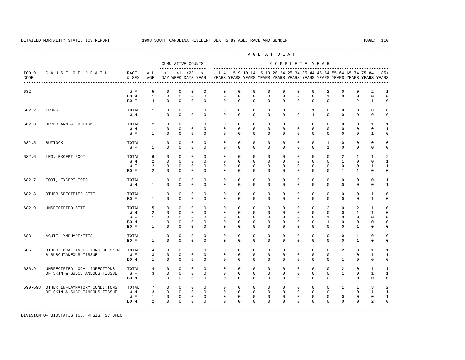---------------------------------------------------------------------------------------------------------------------------------------------------- A G E A T D E A T H --------------------------------------------------------------------------------------------- CUMULATIVE COUNTS C O M P L E T E Y E A R ------------------- ----------------------------------------------------------------------- ICD-9 C A U S E O F D E A T H RACE ALL <1 <1 <28 <1 1-4 5-9 10-14 15-19 20-24 25-34 35-44 45-54 55-64 65-74 75-84 85+ CODE & SEX AGE DAY WEEK DAYS YEAR YEARS YEARS YEARS YEARS YEARS YEARS YEARS YEARS YEARS YEARS YEARS YEARS ---------------------------------------------------------------------------------------------------------------------------------------------------- 682 W F 5 0 0 0 0 0 0 0 0 0 0 0 2 0 0 2 1  $0 \quad 0 \quad 0$  BO F 4 0 0 0 0 0 0 0 0 0 0 0 0 1 2 1 0 682.2 TRUNK TOTAL 1 0 0 0 0 0 0 0 0 0 0 1 0 0 0 0 0 W M 1 0 0 0 0 0 0 0 0 0 0 1 0 0 0 0 0 682.3 UPPER ARM & FOREARM TOTAL 2 0 0 0 0 0 0 0 0 0 0 0 0 0 0 1 1 W M 1 0 0 0 0 0 0 0 0 0 0 0 0 0 0 0 1 W F 1 0 0 0 0 0 0 0 0 0 0 0 0 0 0 1 0 682.5 BUTTOCK TOTAL 1 0 0 0 0 0 0 0 0 0 0 0 1 0 0 0 0 W F 1 0 0 0 0 0 0 0 0 0 0 0 1 0 0 0 0 682.6 LEG, EXCEPT FOOT TOTAL 6 0 0 0 0 0 0 0 0 0 0 0 0 2 1 1 2 W M 2 0 0 0 0 0 0 0 0 0 0 0 0 1 0 0 1 W F 2 0 0 0 0 0 0 0 0 0 0 0 0 0 0 0 1 1<br>BOF 2 0 0 0 0 0 0 0 0 0 0 0 0 0 1 1 0 0 BO F 2 0 0 0 0 0 0 0 0 0 0 0 0 1 1 0 0 682.7 FOOT, EXCEPT TOES TOTAL 1 0 0 0 0 0 0 0 0 0 0 0 0 0 0 0 1 W M 1 0 0 0 0 0 0 0 0 0 0 0 0 0 0 0 0 1 682.8 OTHER SPECIFIED SITE TOTAL 1 0 0 0 0 0 0 0 0 0 0 0 0 0 0 1 0 BO F 1 0 0 0 0 0 0 0 0 0 0 0 0 0 0 1 0 682.9 UNSPECIFIED SITE TOTAL 5 0 0 0 0 0 0 0 0 0 0 0 2 0 2 1 0 W M 2 0 0 0 0 0 0 0 0 0 0 0 0 0 1 1 0 W F 1 0 0 0 0 0 0 0 0 0 0 0 1 0 0 0 0 BO M 1 0 0 0 0 0 0 0 0 0 0 0 1 0 0 0 0 BOF 1 0 0 0 0 0 0 0 0 0 0 0 0 0 1 0 0 683 ACUTE LYMPHADENITIS TOTAL 1 0 0 0 0 0 0 0 0 0 0 0 0 0 1 0 0 BO F 1 0 0 0 0 0 0 0 0 0 0 0 0 0 1 0 0 686 OTHER LOCAL INFECTIONS OF SKIN TOTAL 4 0 0 0 0 0 0 0 0 0 0 0 0 2 0 1 1 & SUBCUTANEOUS TISSUE W F 3 0 0 0 0 0 0 0 0 0 0 0 0 1 0 1 1 BO M 1 0 0 0 0 0 0 0 0 0 0 0 0 1 0 0 0 686.9 UNSPECIFIED LOCAL INFECTIONS TOTAL 4 0 0 0 0 0 0 0 0 0 0 0 0 2 0 1 1 OF SKIN & SUBCUTANEOUS TISSUE W F 3 0 0 0 0 0 0 0 0 0 0 0 0 1 0 1 1 BO M 1 0 0 0 0 0 0 0 0 0 0 0 0 1 0 0 0 690-698 OTHER INFLAMMATORY CONDITIONS TOTAL 7 0 0 0 0 0 0 0 0 0 0 0 0 1 1 3 2 OF SKIN & SUBCUTANEOUS TISSUE W M 3 0 0 0 0 0 0 0 0 0 0 0 0 1 0 1 1 W F 1 0 0 0 0 0 0 0 0 0 0 0 0 0 0 0 1 BOM 2 0 0 0 0 0 0 0 0 0 0 0 0 0 2 0 -----------------------------------------------------------------------------------------------------------------------------------------------------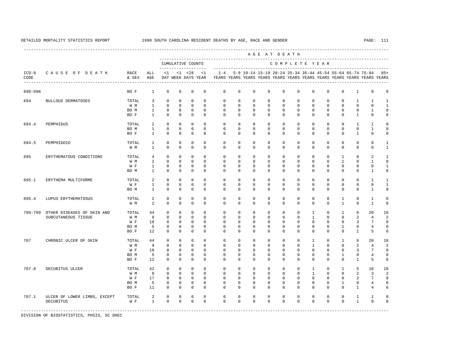----------------------------------------------------------------------------------------------------------------------------------------------------

 A G E A T D E A T H --------------------------------------------------------------------------------------------- CUMULATIVE COUNTS C O M P L E T E Y E A R ------------------- ----------------------------------------------------------------------- ICD-9 C A U S E O F D E A T H RACE ALL <1 <1 <28 <1 1-4 5-9 10-14 15-19 20-24 25-34 35-44 45-54 55-64 65-74 75-84 85+ CODE & SEX AGE DAY WEEK DAYS YEAR YEARS YEARS YEARS YEARS YEARS YEARS YEARS YEARS YEARS YEARS YEARS YEARS ---------------------------------------------------------------------------------------------------------------------------------------------------- 690-698 BO F 1 0 0 0 0 0 0 0 0 0 0 0 0 0 1 0 0 694 BULLOUS DERMATOSES TOTAL 3 0 0 0 0 0 0 0 0 0 0 0 0 0 1 1 1 W M 1 0 0 0 0 0 0 0 0 0 0 0 0 0 0 0 1 BO M 1 0 0 0 0 0 0 0 0 0 0 0 0 0 0 1 0 BOF 1 0 0 0 0 0 0 0 0 0 0 0 0 0 1 0 0 694.4 PEMPHIGUS TOTAL 2 0 0 0 0 0 0 0 0 0 0 0 0 0 1 1 0 BO M 1 0 0 0 0 0 0 0 0 0 0 0 0 0 0 1 0 BOF 1 0 0 0 0 0 0 0 0 0 0 0 0 0 1 0 0 694.5 PEMPHIGOID TOTAL 1 0 0 0 0 0 0 0 0 0 0 0 0 0 0 0 1 W M 1 0 0 0 0 0 0 0 0 0 0 0 0 0 0 0 0 1 695 ERYTHEMATOUS CONDITIONS TOTAL 4 0 0 0 0 0 0 0 0 0 0 0 0 1 0 2 1 W M 2 0 0 0 0 0 0 0 0 0 0 0 0 1 0 1 0 W F 1 0 0 0 0 0 0 0 0 0 0 0 0 0 0 0 0 0 1<br>ROM 1 0 0 0 0 0 0 0 0 0 0 0 0 0 0 0 1 0 BO M 1 0 0 0 0 0 0 0 0 0 0 0 0 0 0 1 0 695.1 ERYTHEMA MULTIFORME TOTAL 2 0 0 0 0 0 0 0 0 0 0 0 0 0 0 1 1 W F 1 0 0 0 0 0 0 0 0 0 0 0 0 0 0 0 1 BOM 1 0 0 0 0 0 0 0 0 0 0 0 0 0 0 1 0 695.4 LUPUS ERYTHEMATOSUS TOTAL 2 0 0 0 0 0 0 0 0 0 0 0 0 1 0 1 0 W M 2 0 0 0 0 0 0 0 0 0 0 0 0 0 1 0 1 0 700-709 OTHER DISEASES OF SKIN AND TOTAL 44 0 0 0 0 0 0 0 0 0 0 1 0 1 6 20 16 SUBCUTANEOUS TISSUE W M 9 0 0 0 0 0 0 0 0 0 0 1 0 0 2 4 2 W F 18 0 0 0 0 0 0 0 0 0 0 0 0 0 3 7 8 BO M 5 0 0 0 0 0 0 0 0 0 0 0 0 1 0 4 0 BO F 12 0 0 0 0 0 0 0 0 0 0 0 0 0 1 5 6 707 CHRONIC ULCER OF SKIN TOTAL 44 0 0 0 0 0 0 0 0 0 0 1 0 1 6 20 16 W M 9 0 0 0 0 0 0 0 0 0 0 1 0 0 2 4 2 W F 18 0 0 0 0 0 0 0 0 0 0 0 0 0 3 7 8 BOM 5 0 0 0 0 0 0 0 0 0 0 0 0 0 0 1 0 4 0<br>BOF 12 0 0 0 0 0 0 0 0 0 0 0 0 0 0 1 5 6 BO F 12 0 0 0 0 0 0 0 0 0 0 0 0 0 1 5 6 707.0 DECUBITUS ULCER TOTAL 41 0 0 0 0 0 0 0 0 0 0 1 0 1 5 18 16 W M M 8 0 0 0 0 0 0 0 0 0 0 0 0 0 0 2 3 2 W F 17 0 0 0 0 0 0 0 0 0 0 0 0 0 2 7 8 BO M 5 0 0 0 0 0 0 0 0 0 0 0 0 1 0 4 0 BO F 11 0 0 0 0 0 0 0 0 0 0 0 0 0 1 4 6 707.1 ULCER OF LOWER LIMBS, EXCEPT TOTAL 2 0 0 0 0 0 0 0 0 0 0 0 0 0 1 1 0 DECUBITUS WE 1 0 0 0 0 0 0 0 0 0 0 0 0 0 1 0 0 -----------------------------------------------------------------------------------------------------------------------------------------------------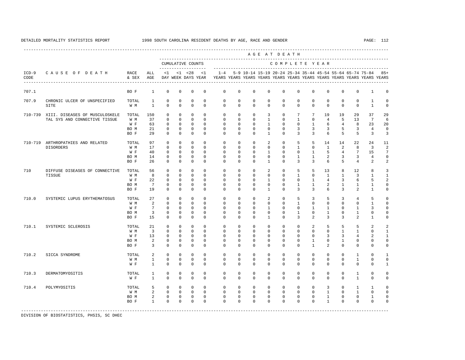---------------------------------------------------------------------------------------------------------------------------------------------------- A G E A T D E A T H --------------------------------------------------------------------------------------------- CUMULATIVE COUNTS C O M P L E T E Y E A R ------------------- ----------------------------------------------------------------------- ICD-9 C A U S E O F D E A T H RACE ALL <1 <1 <28 <1 1-4 5-9 10-14 15-19 20-24 25-34 35-44 45-54 55-64 65-74 75-84 85+ CODE & SEX AGE DAY WEEK DAYS YEAR YEARS YEARS YEARS YEARS YEARS YEARS YEARS YEARS YEARS YEARS YEARS YEARS ---------------------------------------------------------------------------------------------------------------------------------------------------- 707.1 BO F 1 0 0 0 0 0 0 0 0 0 0 0 0 0 0 1 0 707.9 CHRONIC ULCER OF UNSPECIFIED TOTAL 1 0 0 0 0 0 0 0 0 0 0 0 0 0 0 1 0 SITE W M 1 0 0 0 0 0 0 0 0 0 0 0 0 0 0 1 0 710-739 XIII. DISEASES OF MUSCULOSKELE TOTAL 150 0 0 0 0 0 0 0 3 0 7 7 19 19 29 37 29 TAL SYS AND CONNECTIVE TISSUE W M 37 0 0 0 0 0 0 0 1 0 1 0 4 5 13 7 6 W F 63 0 0 0 0 0 0 0 1 0 0 1 6 4 8 23 20 BO M 21 0 0 0 0 0 0 0 0 0 3 3 3 5 3 4 0 BO F 29 0 0 0 0 0 0 0 1 0 3 3 6 5 5 3 3 710-719 ARTHROPATHIES AND RELATED TOTAL 97 0 0 0 0 0 0 0 2 0 5 5 14 14 22 24 11 DISORDERS W M 17 0 0 0 0 0 0 0 0 0 1 0 1 2 8 3 2 W F 40 0 0 0 0 0 0 0 0 1 0 0 1 1 5 4 7 15 7 BO M 14 0 0 0 0 0 0 0 0 0 1 1 2 3 3 4 0 BO F 26 0 0 0 0 0 0 0 1 0 3 3 6 5 4 2 2 710 DIFFUSE DISEASES OF CONNECTIVE TOTAL 56 0 0 0 0 0 0 0 2 0 5 5 13 8 12 8 3 TISSUE W M 8 0 0 0 0 0 0 0 0 0 1 0 1 1 3 1 1 W F 22 0 0 0 0 0 0 0 0 1 0 0 1 4 3 6 5 2 BO M 7 0 0 0 0 0 0 0 0 0 1 1 2 1 1 1 0 BO F 19 0 0 0 0 0 0 0 1 0 3 3 6 3 2 1 0 710.0 SYSTEMIC LUPUS ERYTHEMATOSUS TOTAL 27 0 0 0 0 0 0 0 2 0 5 3 5 3 4 5 0 W M 2 0 0 0 0 0 0 0 0 0 0 0 0 0 0 1 0 W F 7 0 0 0 0 0 0 0 0 0 0 0 1 1 0 1 3 0 BOM 3 0 0 0 0 0 0 0 0 0 0 1 0 1 0 0 0 BO F 15 0 0 0 0 0 0 0 1 0 3 2 3 3 2 1 0 710.1 SYSTEMIC SCLEROSIS TOTAL 21 0 0 0 0 0 0 0 0 0 0 2 5 5 5 2 2 W M 3 0 0 0 0 0 0 0 0 0 0 0 0 1 1 0 1 W F 13 0 0 0 0 0 0 0 0 0 0 0 0 3 3 4 2 1 BOM 2 0 0 0 0 0 0 0 0 0 0 0 1 0 1 0 0 0 BOF 3 0 0 0 0 0 0 0 0 0 0 0 1 2 0 0 0 0 710.2 SICCA SYNDROME TOTAL 2 0 0 0 0 0 0 0 0 0 0 0 0 0 1 0 1 W M 1 0 0 0 0 0 0 0 0 0 0 0 0 0 1 0 0 W F 1 0 0 0 0 0 0 0 0 0 0 0 0 0 0 0 1 710.3 DERMATOMYOSITIS TOTAL 1 0 0 0 0 0 0 0 0 0 0 0 0 0 1 0 0 W F 1 0 0 0 0 0 0 0 0 0 0 0 0 0 1 0 0 710.4 POLYMYOSITIS TOTAL 5 0 0 0 0 0 0 0 0 0 0 0 3 0 1 1 0 W M 2 0 0 0 0 0 0 0 0 0 0 0 0 1 0 1 0 0 BOM 2 0 0 0 0 0 0 0 0 0 0 0 0 1 0 0 1 0 BO F 1 0 0 0 0 0 0 0 0 0 0 0 1 0 0 0 0 -----------------------------------------------------------------------------------------------------------------------------------------------------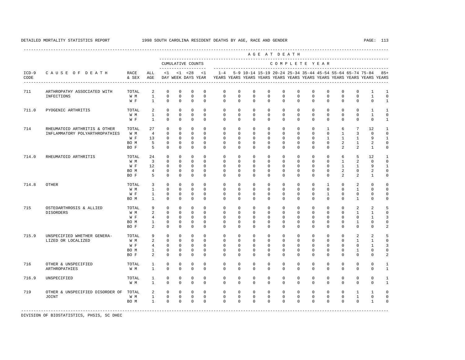A G E A T D E A T H --------------------------------------------------------------------------------------------- CUMULATIVE COUNTS C O M P L E T E Y E A R ------------------- ----------------------------------------------------------------------- ICD-9 C A U S E O F D E A T H RACE ALL <1 <1 <28 <1 1-4 5-9 10-14 15-19 20-24 25-34 35-44 45-54 55-64 65-74 75-84 85+ CODE & SEX AGE DAY WEEK DAYS YEAR YEARS YEARS YEARS YEARS YEARS YEARS YEARS YEARS YEARS YEARS YEARS YEARS ---------------------------------------------------------------------------------------------------------------------------------------------------- 711 ARTHROPATHY ASSOCIATED WITH TOTAL 2 0 0 0 0 0 0 0 0 0 0 0 0 0 0 1 1  $0\qquad 0\qquad 0\qquad 0$ W F 1 0 0 0 0 0 0 0 0 0 0 0 0 0 0 0 1 711.0 PYOGENIC ARTHRITIS TOTAL 2 0 0 0 0 0 0 0 0 0 0 0 0 0 0 1 1 W M 1 0 0 0 0 0 0 0 0 0 0 0 0 0 0 1 0 W F 1 0 0 0 0 0 0 0 0 0 0 0 0 0 0 0 1 714 RHEUMATOID ARTHRITIS & OTHER TOTAL 27 0 0 0 0 0 0 0 0 0 0 0 1 6 7 12 1 INFLAMMATORY POLYARTHROPATHIES W M 4 0 0 0 0 0 0 0 0 0 0 0 0 0 0 1 3 0 0<br>W F 13 0 0 0 0 0 0 0 0 0 0 0 0 0 1 1 1 9 1 W F 13 0 0 0 0 0 0 0 0 0 0 0 0 1 1 1 9 1 BO M 5 0 0 0 0 0 0 0 0 0 0 0 0 2 1 2 0 BO F 5 0 0 0 0 0 0 0 0 0 0 0 0 2 2 1 0 714.0 RHEUMATOID ARTHRITIS TOTAL 24 0 0 0 0 0 0 0 0 0 0 0 0 6 5 12 1 W M 3 0 0 0 0 0 0 0 0 0 0 0 0 0 1 2 0 0 W F 12 0 0 0 0 0 0 0 0 0 0 0 0 1 1 9 1 BOM 4 0 0 0 0 0 0 0 0 0 0 0 0 0 2 0 2 0 BO F 5 0 0 0 0 0 0 0 0 0 0 0 0 2 2 1 0 714.8 OTHER TOTAL 3 0 0 0 0 0 0 0 0 0 0 0 1 0 2 0 0 W M 1 0 0 0 0 0 0 0 0 0 0 0 0 0 1 0 0 W F 1 0 0 0 0 0 0 0 0 0 0 0 1 0 0 0 0 BOM 1 0 0 0 0 0 0 0 0 0 0 0 0 0 1 0 0 715 OSTEOARTHROSIS & ALLIED TOTAL 9 0 0 0 0 0 0 0 0 0 0 0 0 0 2 2 5 DISORDERS W M 2 0 0 0 0 0 0 0 0 0 0 0 0 0 1 1 0<br>W F 4 0 0 0 0 0 0 0 0 0 0 0 0 0 0 0 1 3 W F 4 0 0 0 0 0 0 0 0 0 0 0 0 0 0 1 3 BO M 1 0 0 0 0 0 0 0 0 0 0 0 0 0 1 0 0  $\begin{array}{cccccccccccccc} 2 & 0 & 0 & 0 & 0 & 0 \end{array}$  715.9 UNSPECIFIED WHETHER GENERA- TOTAL 9 0 0 0 0 0 0 0 0 0 0 0 0 0 2 2 5 LIZED OR LOCALIZED W M 2 0 0 0 0 0 0 0 0 0 0 0 0 0 1 1 0 W F 4 0 0 0 0 0 0 0 0 0 0 0 0 0 0 0 1 3<br>ROM 1 0 0 0 0 0 0 0 0 0 0 0 0 0 0 1 0 0 BOM 1 0 0 0 0 0 0 0 0 0 0 0 0 0 0 1 0 0 BOF 2 0 0 0 0 0 0 0 0 0 0 0 0 0 0 2 716 OTHER & UNSPECIFIED TOTAL 1 0 0 0 0 0 0 0 0 0 0 0 0 0 0 0 1 ARTHROPATHIES W M 1 0 0 0 0 0 0 0 0 0 0 0 0 0 0 0 1 716.9 UNSPECIFIED TOTAL 1 0 0 0 0 0 0 0 0 0 0 0 0 0 0 0 1 W M 1 0 0 0 0 0 0 0 0 0 0 0 0 0 0 0 1 719 OTHER & UNSPECIFIED DISORDER OF TOTAL 2 0 0 0 0 0 0 0 0 0 0 0 0 0 1 1 0 JOINT W M 1 0 0 0 0 0 0 0 0 0 0 0 0 0 1 0 0 BO M 1 0 0 0 0 0 0 0 0 0 0 0 0 0 0 1 0

-----------------------------------------------------------------------------------------------------------------------------------------------------

DIVISION OF BIOSTATISTICS, PHSIS, SC DHEC

DETAILED MORTALITY STATISTICS REPORT 1998 SOUTH CAROLINA RESIDENT DEATHS BY AGE, RACE AND GENDER PAGE: 113 ----------------------------------------------------------------------------------------------------------------------------------------------------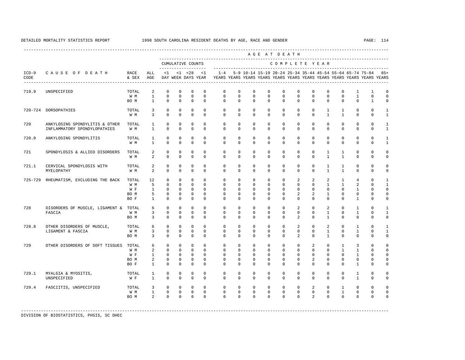---------------------------------------------------------------------------------------------------------------------------------------------------- A G E A T D E A T H --------------------------------------------------------------------------------------------- CUMULATIVE COUNTS C O M P L E T E Y E A R ------------------- ----------------------------------------------------------------------- ICD-9 C A U S E O F D E A T H RACE ALL <1 <1 <28 <1 1-4 5-9 10-14 15-19 20-24 25-34 35-44 45-54 55-64 65-74 75-84 85+ CODE & SEX AGE DAY WEEK DAYS YEAR YEARS YEARS YEARS YEARS YEARS YEARS YEARS YEARS YEARS YEARS YEARS YEARS ---------------------------------------------------------------------------------------------------------------------------------------------------- 719.9 UNSPECIFIED TOTAL 2 0 0 0 0 0 0 0 0 0 0 0 0 0 1 1 0 W M 1 0 0 0 0 0 0 0 0 0 0 0 0 0 1 0 0 BO M 1 0 0 0 0 0 0 0 0 0 0 0 0 0 0 1 0 720-724 DORSOPATHIES TOTAL 3 0 0 0 0 0 0 0 0 0 0 0 1 1 0 0 1 W M 3 0 0 0 0 0 0 0 0 0 0 0 0 0 1 1 0 0 1 720 ANKYLOSING SPONDYLITIS & OTHER TOTAL 1 0 0 0 0 0 0 0 0 0 0 0 0 0 0 0 1 INFLAMMATORY SPONDYLOPATHIES W M 1 0 0 0 0 0 0 0 0 0 0 0 0 0 0 0 1 720.0 ANKYLOSING SPONDYLITIS TOTAL 1 0 0 0 0 0 0 0 0 0 0 0 0 0 0 0 1 W M 1 0 0 0 0 0 0 0 0 0 0 0 0 0 0 0 1 721 SPONDYLOSIS & ALLIED DISORDERS TOTAL 2 0 0 0 0 0 0 0 0 0 0 0 1 1 0 0 0 W M 2 0 0 0 0 0 0 0 0 0 0 0 0 1 1 0 0 0 721.1 CERVICAL SPONDYLOSIS WITH TOTAL 2 0 0 0 0 0 0 0 0 0 0 0 1 1 0 0 0  $\begin{array}{ccccccccccccc}\n2 & 0 & 0 & 0 & 0 & \n\end{array}$  725-729 RHEUMATISM, EXCLUDING THE BACK TOTAL 12 0 0 0 0 0 0 0 0 0 2 2 2 1 4 0 1 W M M 5 0 0 0 0 0 0 0 0 0 0 0 0 0 0 1 1 2 0 1 W F 1 0 0 0 0 0 0 0 0 0 0 0 0 0 0 1 0 0 BOM 5 0 0 0 0 0 0 0 0 0 2 2 1 0 0 0 0 BOF 1 0 0 0 0 0 0 0 0 0 0 0 0 0 1 0 0 728 DISORDERS OF MUSCLE, LIGAMENT & TOTAL 6 0 0 0 0 0 0 0 0 0 2 0 2 0 1 0 1 FASCIA WM 3 0 0 0 0 0 0 0 0 0 0 0 1 0 1 0 1<br>BOM 3 0 0 0 0 0 0 0 0 0 0 2 0 1 0 0 0 0 0 BOM 3 0 0 0 0 0 0 0 0 0 0 2 0 1 0 0 0 0 728.8 OTHER DISORDERS OF MUSCLE, TOTAL 6 0 0 0 0 0 0 0 0 0 2 0 2 0 1 0 1 LIGAMENT & FASCIA W M 3 0 0 0 0 0 0 0 0 0 0 0 1 0 1 0 1 BOM 3 0 0 0 0 0 0 0 0 0 0 2 0 1 0 0 0 0 729 OTHER DISORDERS OF SOFT TISSUES TOTAL 6 0 0 0 0 0 0 0 0 0 0 2 0 1 3 0 0 W M 2 0 0 0 0 0 0 0 0 0 0 0 0 0 0 1 1 0 0<br>W F 1 0 0 0 0 0 0 0 0 0 0 0 0 0 0 1 0 0 W F 1 0 0 0 0 0 0 0 0 0 0 0 0 0 1 0 0 BOM 2 0 0 0 0 0 0 0 0 0 0 2 0 0 0 0 0 BOF 1 0 0 0 0 0 0 0 0 0 0 0 0 0 1 0 0 729.1 MYALGIA & MYOSITIS, TOTAL 1 0 0 0 0 0 0 0 0 0 0 0 0 0 1 0 0 UNSPECIFIED W F 1 0 0 0 0 0 0 0 0 0 0 0 0 0 1 0 0 729.4 FASCIITIS, UNSPECIFIED TOTAL 3 0 0 0 0 0 0 0 0 0 0 2 0 1 0 0 0 W M 1 0 0 0 0 0 0 0 0 0 0 0 0 1 0 0 0 BOM 2 0 0 0 0 0 0 0 0 0 0 2 0 0 0 0 0

-----------------------------------------------------------------------------------------------------------------------------------------------------

DIVISION OF BIOSTATISTICS, PHSIS, SC DHEC

## DETAILED MORTALITY STATISTICS REPORT 1998 SOUTH CAROLINA RESIDENT DEATHS BY AGE, RACE AND GENDER PAGE: 114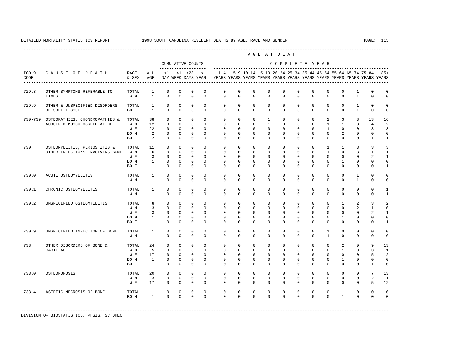|                 |                                                                 |                                     |                                                                       |                                                                      |                                                                      |                                                                            |                                                                   |                                                                         |                                                                      |                                                                        | AGE AT DEATH                                                          |                                                                      |                                                                      |                                                                      |                                                                                |                                                                    |                                                                         |                                                                   |                                                                  |
|-----------------|-----------------------------------------------------------------|-------------------------------------|-----------------------------------------------------------------------|----------------------------------------------------------------------|----------------------------------------------------------------------|----------------------------------------------------------------------------|-------------------------------------------------------------------|-------------------------------------------------------------------------|----------------------------------------------------------------------|------------------------------------------------------------------------|-----------------------------------------------------------------------|----------------------------------------------------------------------|----------------------------------------------------------------------|----------------------------------------------------------------------|--------------------------------------------------------------------------------|--------------------------------------------------------------------|-------------------------------------------------------------------------|-------------------------------------------------------------------|------------------------------------------------------------------|
|                 |                                                                 |                                     |                                                                       | --------------------                                                 |                                                                      | CUMULATIVE COUNTS                                                          |                                                                   |                                                                         |                                                                      |                                                                        |                                                                       |                                                                      |                                                                      |                                                                      | COMPLETE YEAR                                                                  |                                                                    |                                                                         |                                                                   |                                                                  |
| $ICD-9$<br>CODE | CAUSE OF DEATH<br>------------------------------------          | RACE<br>& SEX                       | ALL<br>AGE                                                            |                                                                      |                                                                      | $<1$ $<1$ $<28$<br>DAY WEEK DAYS YEAR                                      | <1                                                                | YEARS YEARS YEARS YEARS YEARS YEARS YEARS YEARS YEARS YEARS YEARS YEARS |                                                                      |                                                                        |                                                                       |                                                                      |                                                                      |                                                                      |                                                                                |                                                                    |                                                                         | 1-4 5-9 10-14 15-19 20-24 25-34 35-44 45-54 55-64 65-74 75-84     | $85+$                                                            |
| 729.8           | OTHER SYMPTOMS REFERABLE TO<br>LIMBS                            | TOTAL<br>W M                        | $\mathbf{1}$<br>$\mathbf{1}$                                          | $\Omega$<br>$\mathbf 0$                                              | $\mathbf 0$<br>$\mathbf 0$                                           | $\Omega$<br>$\Omega$                                                       | $\mathbf 0$<br>$\Omega$                                           | $\mathbf 0$<br>$\Omega$                                                 | $\Omega$<br>$\Omega$                                                 | $\mathbf 0$<br>$\Omega$                                                | $\Omega$<br>$\Omega$                                                  | $\mathbf 0$<br>$\Omega$                                              | $\Omega$<br>$\Omega$                                                 | $\mathbf 0$<br>$\Omega$                                              | $\mathbf{0}$<br>$\Omega$                                                       | $\Omega$<br>$\Omega$                                               | $\mathbf{1}$<br>$\mathbf{1}$                                            | $\Omega$<br>$\Omega$                                              | $\mathbf 0$<br>$\mathbf{0}$                                      |
| 729.9           | OTHER & UNSPECIFIED DISORDERS<br>OF SOFT TISSUE                 | TOTAL<br>BO F                       | $\mathbf{1}$<br>$\mathbf{1}$                                          | $\Omega$<br>$\Omega$                                                 | $\Omega$<br>$\Omega$                                                 | $\Omega$<br>$\Omega$                                                       | $\Omega$<br>$\Omega$                                              | $\Omega$<br>$\Omega$                                                    | $\Omega$<br>$\Omega$                                                 | $\Omega$<br>$\Omega$                                                   | $\Omega$<br>$\Omega$                                                  | $\Omega$<br>$\Omega$                                                 | $\Omega$<br>$\Omega$                                                 | $\circ$<br>$\Omega$                                                  | $\Omega$<br>$\Omega$                                                           | $\Omega$<br>$\Omega$                                               | $\mathbf{1}$<br>$\mathbf{1}$                                            | $\Omega$<br>$\mathbf 0$                                           | $\mathbf 0$<br>$\mathbf 0$                                       |
| 730-739         | OSTEOPATHIES, CHONDROPATHIES &<br>ACOUIRED MUSCULOSKELETAL DEF  | TOTAL<br>W M<br>W F<br>BO M<br>BO F | 38<br>12<br>22<br>2<br>2                                              | $\Omega$<br>$\mathbf 0$<br>$\Omega$<br>$\Omega$<br>$\mathbf 0$       | $\Omega$<br>$\Omega$<br>$\Omega$<br>$\Omega$<br>$\mathbf 0$          | $\Omega$<br>$\Omega$<br>$\Omega$<br>$\Omega$<br>$\mathbf{0}$               | $\Omega$<br>$\Omega$<br>$\Omega$<br>$\Omega$<br>$\Omega$          | $\Omega$<br>$\Omega$<br>$\Omega$<br>$\Omega$<br>$\Omega$                | $\Omega$<br>$\Omega$<br>$\Omega$<br>$\Omega$<br>$\mathbf 0$          | $\Omega$<br>$\Omega$<br>$\Omega$<br>$\Omega$<br>$\Omega$               | $\overline{1}$<br>$\mathbf{1}$<br>$\Omega$<br>$\Omega$<br>$\mathbf 0$ | $\Omega$<br>$\Omega$<br>$\Omega$<br>$\Omega$<br>$\mathbf 0$          | $\Omega$<br>$\Omega$<br>$\Omega$<br>$\Omega$<br>$\mathbf 0$          | $\Omega$<br>$\Omega$<br>$\Omega$<br>$\Omega$<br>$\Omega$             | $\overline{2}$<br>$\overline{1}$<br>$\overline{1}$<br>$\Omega$<br>$\mathbf{0}$ | 3<br>$\mathbf{1}$<br>$\Omega$<br>2<br>$\Omega$                     | 3<br>3<br>$\Omega$<br>$\Omega$<br>$\mathbf 0$                           | 13<br>$\overline{4}$<br>8<br>$\Omega$<br>$\mathbf{1}$             | 16<br>2<br>13<br>$\mathbf 0$<br>$\mathbf{1}$                     |
| 730             | OSTEOMYELITIS, PERIOSTITIS &<br>OTHER INFECTIONS INVOLVING BONE | TOTAL<br>W M<br>W F<br>BO M<br>BO F | 11<br>6<br>3<br>$\mathbf{1}$<br>$\mathbf{1}$                          | $\mathbf 0$<br>$\mathbf 0$<br>$\Omega$<br>$\mathbf 0$<br>$\mathbf 0$ | $\mathbf 0$<br>$\mathbf 0$<br>$\Omega$<br>$\mathbf 0$<br>$\mathbf 0$ | $\mathbf 0$<br>$\mathbf 0$<br>$\Omega$<br>$\mathbf{0}$<br>$\mathbf 0$      | $\mathbf 0$<br>$\Omega$<br>$\Omega$<br>$\mathbf 0$<br>$\mathbf 0$ | $\mathbf 0$<br>$\Omega$<br>$\Omega$<br>$\mathbf 0$<br>$\Omega$          | $\mathbf 0$<br>$\mathbf 0$<br>$\Omega$<br>$\mathbf 0$<br>$\mathbf 0$ | $\circ$<br>$\mathbf 0$<br>$\Omega$<br>$\mathbf 0$<br>$\mathbf 0$       | $\mathbf 0$<br>$\mathbf 0$<br>$\Omega$<br>$\mathbf 0$<br>$\mathbf 0$  | $\mathbf 0$<br>$\mathbf 0$<br>$\Omega$<br>$\mathbf 0$<br>$\mathbf 0$ | $\mathbf 0$<br>$\mathbf 0$<br>$\Omega$<br>$\mathbf 0$<br>$\mathbf 0$ | $\mathbf 0$<br>$\mathbf 0$<br>$\Omega$<br>$\mathbf 0$<br>$\mathbf 0$ | $\mathbf{1}$<br>1<br>$\Omega$<br>$\mathbf{0}$<br>$\mathbf 0$                   | $\mathbf{1}$<br>$\circ$<br>$\Omega$<br>$\mathbf{1}$<br>$\Omega$    | 3<br>3<br>$\Omega$<br>$\mathbf 0$<br>$\mathbf 0$                        | 3<br>$\mathbf{1}$<br>$\overline{a}$<br>$\mathbf 0$<br>$\mathbf 0$ | 3<br>$\mathbf{1}$<br>$\mathbf{1}$<br>$\mathbb O$<br>$\mathbf{1}$ |
| 730.0           | ACUTE OSTEOMYELITIS                                             | TOTAL<br>W M                        | $\mathbf{1}$<br>$\mathbf{1}$                                          | $\mathbf 0$<br>$\Omega$                                              | $\mathbf 0$<br>$\Omega$                                              | $\mathbf{0}$<br>$\Omega$                                                   | $\mathbf{0}$<br>$\Omega$                                          | 0<br>$\Omega$                                                           | $\mathbf 0$<br>$\Omega$                                              | $\mathbf 0$<br>$\Omega$                                                | $\mathbf 0$<br>$\Omega$                                               | 0<br>$\Omega$                                                        | $\mathbf 0$<br>$\Omega$                                              | $\mathbf 0$<br>$\Omega$                                              | $\mathbf{0}$<br>$\mathbf 0$                                                    | $\mathbf 0$<br>$\Omega$                                            | $\mathbf{1}$<br>$\mathbf{1}$                                            | $\mathbf 0$<br>$\Omega$                                           | $\mathbf 0$<br>$\mathbb O$                                       |
| 730.1           | CHRONIC OSTEOMYELITIS                                           | TOTAL<br>W M                        | $\mathbf{1}$<br>$\mathbf{1}$                                          | $\mathbf 0$<br>$\Omega$                                              | $\mathbf 0$<br>$\Omega$                                              | $\mathbf{0}$<br>$\Omega$                                                   | $\mathbf{0}$<br>$\Omega$                                          | $\mathbf 0$<br>$\Omega$                                                 | $\mathbf 0$<br>$\Omega$                                              | $\mathbf 0$<br>$\Omega$                                                | $\mathbf 0$<br>$\Omega$                                               | $\mathbf 0$<br>$\Omega$                                              | $\mathbf 0$<br>$\Omega$                                              | $\mathbf 0$<br>$\Omega$                                              | $\mathbf{0}$<br>$\Omega$                                                       | $\Omega$<br>$\Omega$                                               | $\mathbf 0$<br>$\Omega$                                                 | $\mathbf 0$<br>$\Omega$                                           | $\mathbf{1}$<br>$\mathbf{1}$                                     |
| 730.2           | UNSPECIFIED OSTEOMYELITIS                                       | TOTAL<br>W M<br>W F<br>BO M<br>BO F | 8<br>$\overline{3}$<br>$\overline{3}$<br>$\mathbf{1}$<br>$\mathbf{1}$ | $\Omega$<br>$\Omega$<br>$\mathbf 0$<br>$\mathbf 0$<br>$\Omega$       | $\Omega$<br>$\Omega$<br>$\mathbf 0$<br>$\Omega$<br>$\Omega$          | $\Omega$<br>$\Omega$<br>$\mathbf{0}$<br>$\mathbf{0}$<br>$\Omega$           | $\Omega$<br>$\Omega$<br>$\Omega$<br>$\Omega$<br>$\Omega$          | $\Omega$<br>$\Omega$<br>$\Omega$<br>$\Omega$<br>$\Omega$                | $\Omega$<br>$\Omega$<br>$\Omega$<br>$\Omega$<br>$\Omega$             | $\Omega$<br>$\Omega$<br>$\Omega$<br>$\mathbf 0$<br>$\Omega$            | $\Omega$<br>$\Omega$<br>$\mathbf 0$<br>$\mathbf 0$<br>$\Omega$        | $\Omega$<br>$\Omega$<br>$\mathbf 0$<br>$\mathbf 0$<br>$\Omega$       | $\Omega$<br>$\Omega$<br>$\mathbf 0$<br>$\Omega$<br>$\Omega$          | $\Omega$<br>$\Omega$<br>$\Omega$<br>$\mathbf 0$<br>$\Omega$          | $\Omega$<br>$\Omega$<br>$\Omega$<br>$\mathbf{0}$<br>$\Omega$                   | $\overline{1}$<br>$\Omega$<br>$\Omega$<br>$\mathbf{1}$<br>$\Omega$ | $\mathfrak{D}$<br>$\mathfrak{D}$<br>$\Omega$<br>$\mathbf 0$<br>$\Omega$ | 3<br>$\mathbf{1}$<br>2<br>$\mathbf 0$<br>$\Omega$                 | 2<br>$\Omega$<br>$\mathbf{1}$<br>$\mathbf 0$<br>$\mathbf{1}$     |
| 730.9           | UNSPECIFIED INFECTION OF BONE                                   | TOTAL<br>W M                        | $\mathbf{1}$<br>$\mathbf{1}$                                          | $\mathbf 0$<br>$\mathbf 0$                                           | $\mathbf{0}$<br>$\mathbf 0$                                          | $\mathbf{0}$<br>$^{\circ}$                                                 | $\mathbf{0}$<br>$\mathbf 0$                                       | $\mathbf{0}$<br>$\Omega$                                                | 0<br>$\circ$                                                         | $\mathbf 0$<br>$\mathbf{0}$                                            | $\mathbf 0$<br>$\mathbf{0}$                                           | $\mathbf 0$<br>$\mathbf 0$                                           | $\mathbf 0$<br>$\circ$                                               | $^{\circ}$<br>$\mathbf 0$                                            | 1<br>$\mathbf{1}$                                                              | 0<br>$\Omega$                                                      | 0<br>$\mathbf 0$                                                        | 0<br>$\mathbf 0$                                                  | $\mathbf 0$<br>$\mathbf 0$                                       |
| 733             | OTHER DISORDERS OF BONE &<br>CARTILAGE                          | TOTAL<br>W M<br>W F<br>BO M<br>BO F | 24<br>5<br>17<br>$\mathbf{1}$<br>$\mathbf{1}$                         | $\Omega$<br>$\mathbf 0$<br>$\mathbf 0$<br>$\mathbf 0$<br>$\mathbf 0$ | $\Omega$<br>$\mathbf 0$<br>$\Omega$<br>$\mathbf{0}$<br>$\mathbf 0$   | $\Omega$<br>$\mathbf{0}$<br>$\mathbf{0}$<br>$\overline{0}$<br>$\mathbf{0}$ | $\Omega$<br>$\mathbf 0$<br>$\Omega$<br>$\mathbf 0$<br>$\mathbf 0$ | $\Omega$<br>$\mathbf 0$<br>$\Omega$<br>$\mathbf 0$<br>$\Omega$          | $\Omega$<br>$\mathbf 0$<br>$\Omega$<br>$\mathbf 0$<br>$\mathbf 0$    | $\Omega$<br>$\mathbf{0}$<br>$\mathbf{0}$<br>$\mathbf 0$<br>$\mathbf 0$ | $\Omega$<br>$\mathbf{0}$<br>$\mathbf 0$<br>$\mathbf 0$<br>$\mathbf 0$ | $\Omega$<br>$\mathbf 0$<br>$\mathbf 0$<br>$\mathbf 0$<br>$\mathbf 0$ | $\Omega$<br>$\mathbf 0$<br>$\mathbf 0$<br>$\mathbf 0$<br>$\mathbf 0$ | $\Omega$<br>$\mathbf 0$<br>$\mathbf 0$<br>$\mathbf 0$<br>$\mathbf 0$ | $\Omega$<br>$\mathbf{0}$<br>$\mathbf 0$<br>$\mathbf{0}$<br>$\mathbf 0$         | 2<br>$\mathbf{1}$<br>$\circ$<br>$\mathbf{1}$<br>$\Omega$           | $\Omega$<br>$\mathbf 0$<br>$\Omega$<br>$\Omega$<br>$\mathbf 0$          | 9<br>$\overline{3}$<br>5<br>$\mathbf 0$<br>$\mathbf{1}$           | 13<br>$\mathbf{1}$<br>12<br>$\mathbf 0$<br>$\mathbb O$           |
| 733.0           | OSTEOPOROSIS                                                    | TOTAL<br>W M<br>W F                 | 20<br>$\overline{3}$<br>17                                            | $\Omega$<br>$\mathbf 0$<br>$\Omega$                                  | $\Omega$<br>$\mathbf 0$<br>$\Omega$                                  | $\Omega$<br>$\mathbf{0}$<br>$\Omega$                                       | $\Omega$<br>$\mathbf 0$<br>$\Omega$                               | $\Omega$<br>$\mathbf 0$<br>$\Omega$                                     | $\Omega$<br>$\mathbf 0$<br>$\Omega$                                  | $\Omega$<br>$\mathbf 0$<br>$\Omega$                                    | $\Omega$<br>$\mathbf 0$<br>$\Omega$                                   | $\Omega$<br>$\mathbf 0$<br>$\Omega$                                  | $\Omega$<br>$\mathbf 0$<br>$\Omega$                                  | $\Omega$<br>$\mathbf 0$<br>$\Omega$                                  | $\Omega$<br>$\mathbf{0}$<br>$\Omega$                                           | $\Omega$<br>$\Omega$<br>$\Omega$                                   | $\Omega$<br>$\Omega$<br>$\Omega$                                        | 7<br>2<br>5                                                       | 13<br>$\mathbf{1}$<br>12                                         |
| 733.4           | ASEPTIC NECROSIS OF BONE                                        | TOTAL<br>BO M                       | 1<br>$\mathbf{1}$                                                     | $\mathbf 0$<br>$\Omega$                                              | $\mathbf 0$<br>$\Omega$                                              | $\mathbf{0}$<br>$\cap$                                                     | $\mathbf 0$<br>$\Omega$                                           | 0<br>$\Omega$                                                           | $\mathbf 0$<br>$\Omega$                                              | $\mathbf 0$<br>$\Omega$                                                | $\mathbf 0$<br>$\Omega$                                               | $\mathbf 0$<br>$\Omega$                                              | $\mathbf 0$<br>$\Omega$                                              | $\mathbf 0$<br>$\Omega$                                              | $\mathbf{0}$<br>$\Omega$                                                       | $\mathbf{1}$<br>$\mathbf{1}$                                       | $\mathbf 0$<br>$\Omega$                                                 | $\mathbf 0$<br>$\Omega$                                           | $\mathbf 0$<br>$\mathbf 0$                                       |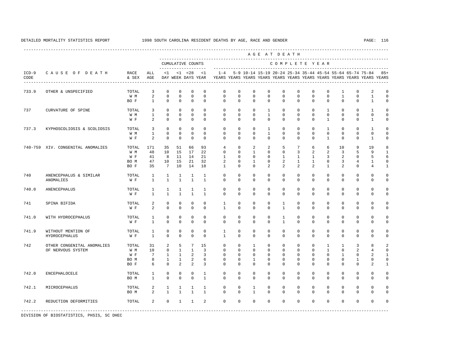----------------------------------------------------------------------------------------------------------------------------------------------------

 A G E A T D E A T H --------------------------------------------------------------------------------------------- CUMULATIVE COUNTS C O M P L E T E Y E A R ------------------- ----------------------------------------------------------------------- ICD-9 C A U S E O F D E A T H RACE ALL <1 <1 <28 <1 1-4 5-9 10-14 15-19 20-24 25-34 35-44 45-54 55-64 65-74 75-84 85+ CODE & SEX AGE DAY WEEK DAYS YEAR YEARS YEARS YEARS YEARS YEARS YEARS YEARS YEARS YEARS YEARS YEARS YEARS ---------------------------------------------------------------------------------------------------------------------------------------------------- 733.9 OTHER & UNSPECIFIED TOTAL 3 0 0 0 0 0 0 0 0 0 0 0 0 1 0 2 0  $0$  0 0 0 BO F 1 0 0 0 0 0 0 0 0 0 0 0 0 0 0 1 0 737 CURVATURE OF SPINE TOTAL 3 0 0 0 0 0 0 0 1 0 0 0 1 0 0 1 0 W M 1 0 0 0 0 0 0 0 1 0 0 0 0 0 0 0 0 W F 2 0 0 0 0 0 0 0 0 0 0 0 0 1 0 0 1 0 737.3 KYPHOSCOLIOSIS & SCOLIOSIS TOTAL 3 0 0 0 0 0 0 0 0 1 0 0 0 0 1 0 0 1 0 0 0 0 0 0 0 0 0 0 0 0 0 0 0 0 0 0 W M 1 0 0 0 0 0 0 0 1 0 0 0 0 0 0 0 0  $2 \t 0 \t 0 \t 0 \t 0$  740-759 XIV. CONGENITAL ANOMALIES TOTAL 171 35 51 66 93 4 0 2 2 5 7 6 6 10 9 19 8 W M 48 10 15 17 22 0 0 1 0 0 3 2 2 3 5 9 1 W F 41 8 11 14 21 1 0 0 0 1 1 1 3 2 0 5 6 BO M 47 10 15 21 32 2 0 1 0 2 1 1 0 3 4 1 0 BO F 35 7 10 14 18 1 0 0 2 2 2 2 1 2 0 4 1 740 ANENCEPHALUS & SIMILAR TOTAL 1 1 1 1 1 0 0 0 0 0 0 0 0 0 0 0 0 ANOMALIES W F 1 1 1 1 1 0 0 0 0 0 0 0 0 0 0 0 0 740.0 ANENCEPHALUS TOTAL 1 1 1 1 1 0 0 0 0 0 0 0 0 0 0 0 0 W F 1 1 1 1 1 0 0 0 0 0 0 0 0 0 0 0 0 741 SPINA BIFIDA TOTAL 2 0 0 0 0 1 0 0 0 1 0 0 0 0 0 0 0 W F 2 0 0 0 0 1 0 0 0 1 0 0 0 0 0 0 0 0 741.0 WITH HYDROCEPHALUS TOTAL 1 0 0 0 0 0 0 0 0 1 0 0 0 0 0 0 0 W F 1 0 0 0 0 0 0 0 0 1 0 0 0 0 0 0 0 741.9 WITHOUT MENTION OF TOTAL 1 0 0 0 0 1 0 0 0 0 0 0 0 0 0 0 0 HYDROCEPHALUS W F 1 0 0 0 0 1 0 0 0 0 0 0 0 0 0 0 0 742 OTHER CONGENITAL ANOMALIES TOTAL 31 2 5 7 15 0 0 1 0 0 0 0 1 1 3 8 2 OF NERVOUS SYSTEM W M 10 0 1 1 3 0 0 0 0 0 0 0 1 0 2 4 0 W F 7 1 1 2 3 0 0 0 0 0 0 0 0 1 0 2 1<br>ROM 8 1 1 2 6 0 0 1 0 0 0 0 0 0 1 0 0 BOM 8 1 1 2 6 0 0 1 0 0 0 0 0 0 0 1 0 0 BO F 6 0 2 2 3 0 0 0 0 0 0 0 0 0 0 2 1 742.0 ENCEPHALOCELE TOTAL 1 0 0 0 1 0 0 0 0 0 0 0 0 0 0 0 0 BO M 1 0 0 0 1 0 0 0 0 0 0 0 0 0 0 0 0 742.1 MICROCEPHALUS TOTAL 2 1 1 1 1 0 0 1 0 0 0 0 0 0 0 0 0 BOM 2 1 1 1 1 0 0 1 0 0 0 0 0 0 0 0 0 0 742.2 REDUCTION DEFORMITIES TOTAL 2 0 1 1 2 0 0 0 0 0 0 0 0 0 0 0 0 -----------------------------------------------------------------------------------------------------------------------------------------------------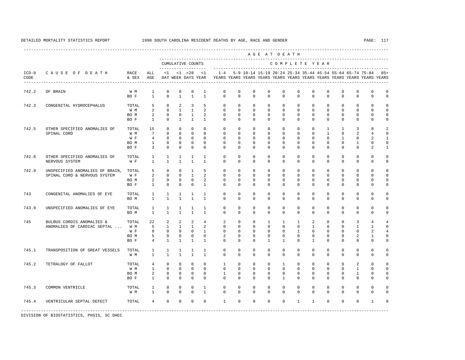A G E A T D E A T H

----------------------------------------------------------------------------------------------------------------------------------------------------

 --------------------------------------------------------------------------------------------- CUMULATIVE COUNTS C O M P L E T E Y E A R ------------------- ----------------------------------------------------------------------- ICD-9 C A U S E O F D E A T H RACE ALL <1 <1 <28 <1 1-4 5-9 10-14 15-19 20-24 25-34 35-44 45-54 55-64 65-74 75-84 85+ CODE & SEX AGE DAY WEEK DAYS YEAR YEARS YEARS YEARS YEARS YEARS YEARS YEARS YEARS YEARS YEARS YEARS YEARS ---------------------------------------------------------------------------------------------------------------------------------------------------- 742.2 OF BRAIN W M 1 0 0 0 1 0 0 0 0 0 0 0 0 0 0 0 0 BOF 1 0 1 1 1 0 0 0 0 0 0 0 0 0 0 0 0 0 0 742.3 CONGENITAL HYDROCEPHALUS TOTAL 5 0 2 3 5 0 0 0 0 0 0 0 0 0 0 0 0 W M 2 0 1 1 2 0 0 0 0 0 0 0 0 0 0 0 0 BOM 2 0 0 1 2 0 0 0 0 0 0 0 0 0 0 0 0 0 BOF 1 0 1 1 1 0 0 0 0 0 0 0 0 0 0 0 0 0 0 742.5 OTHER SPECIFIED ANOMALIES OF TOTAL 15 0 0 0 0 0 0 0 0 0 0 0 1 1 3 8 2 SPINAL CORD W M 7 0 0 0 0 0 0 0 0 0 0 0 1 0 2 4 0 W F 4 0 0 0 0 0 0 0 0 0 0 0 0 0 1 0 2 1 BO M 1 0 0 0 0 0 0 0 0 0 0 0 0 0 1 0 0 BO F 3 0 0 0 0 0 0 0 0 0 0 0 0 0 0 2 1 742.8 OTHER SPECIFIED ANOMALIES OF TOTAL 1 1 1 1 1 0 0 0 0 0 0 0 0 0 0 0 0 0 0<br>NERVOITS SYSTEM WARRANGER WARRANGER WARRANGER UNDER A DRIEL OF A DRIEL OF A DRIEL OF A DRIEL OF A DRIEL OF A NERVOUS SYSTEM W F 1 1 1 1 1 0 0 0 0 0 0 0 0 0 0 0 0 742.9 UNSPECIFIED ANOMALIES OF BRAIN, TOTAL 5 0 0 1 5 0 0 0 0 0 0 0 0 0 0 0 0 SPINAL CORD & NERVOUS SYSTEM W F 2 0 0 1 2 0 0 0 0 0 0 0 0 0 0 0 0 BO M 2 0 0 0 2 0 0 0 0 0 0 0 0 0 0 0 0 BOF 1 0 0 0 1 0 0 0 0 0 0 0 0 0 0 0 0 0 0 743 CONGENITAL ANOMALIES OF EYE TOTAL 1 1 1 1 1 0 0 0 0 0 0 0 0 0 0 0 0 BO M 1 1 1 1 1 0 0 0 0 0 0 0 0 0 0 0 0 743.9 UNSPECIFIED ANOMALIES OF EYE TOTAL 1 1 1 1 1 0 0 0 0 0 0 0 0 0 0 0 0 BO M 1 1 1 1 1 0 0 0 0 0 0 0 0 0 0 0 0 745 BULBUS CORDIS ANOMALIES & TOTAL 22 2 2 2 4 2 0 0 1 1 1 2 0 0 3 4 4 ANOMALIES OF CARDIAC SEPTAL ... W M 5 1 1 1 2 0 0 0 0 0 0 0 1 0 0 0 0 1 0 0 0 1 0 0 0 1 0 0 0 1 0 0 0 1 0 0 0 1 W F 8 0 0 0 1 0 0 0 0 0 0 0 0 0 0 2 4 BO M 5 0 0 0 0 2 0 0 0 0 0 0 0 0 2 1 0 BO F 4 1 1 1 1 0 0 0 1 1 0 1 0 0 0 0 0 745.1 TRANSPOSITION OF GREAT VESSELS TOTAL 1 1 1 1 1 0 0 0 0 0 0 0 0 0 0 0 0 W M 1 1 1 1 1 0 0 0 0 0 0 0 0 0 0 0 0 745.2 TETRALOGY OF FALLOT TOTAL 4 0 0 0 0 1 0 0 0 1 0 0 0 0 2 0 0 W M 1 0 0 0 0 0 0 0 0 0 0 0 0 0 1 0 0 BOM 2 0 0 0 0 1 0 0 0 0 0 0 0 0 0 1 0 0 BO F 1 0 0 0 0 0 0 0 0 1 0 0 0 0 0 0 0 745.3 COMMON VENTRICLE TOTAL 1 0 0 0 1 0 0 0 0 0 0 0 0 0 0 0 0 W M 1 0 0 0 1 0 0 0 0 0 0 0 0 0 0 0 0 745.4 VENTRICULAR SEPTAL DEFECT TOTAL 4 0 0 0 0 1 0 0 0 0 1 1 0 0 0 1 0

-----------------------------------------------------------------------------------------------------------------------------------------------------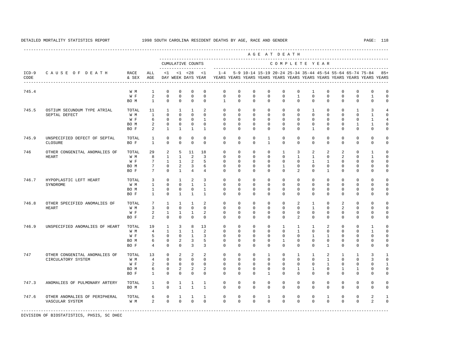---------------------------------------------------------------------------------------------------------------------------------------------------- A G E A T D E A T H --------------------------------------------------------------------------------------------- CUMULATIVE COUNTS C O M P L E T E Y E A R ------------------- ----------------------------------------------------------------------- ICD-9 C A U S E O F D E A T H RACE ALL <1 <1 <28 <1 1-4 5-9 10-14 15-19 20-24 25-34 35-44 45-54 55-64 65-74 75-84 85+ CODE & SEX AGE DAY WEEK DAYS YEAR YEARS YEARS YEARS YEARS YEARS YEARS YEARS YEARS YEARS YEARS YEARS YEARS ---------------------------------------------------------------------------------------------------------------------------------------------------- 745.4 W M 1 0 0 0 0 0 0 0 0 0 0 1 0 0 0 0 0 W F 2 0 0 0 0 0 0 0 0 0 1 0 0 0 0 1 0 BO M 1 0 0 0 0 1 0 0 0 0 0 0 0 0 0 0 0 745.5 OSTIUM SECUNDUM TYPE ATRIAL TOTAL 11 1 1 1 2 0 0 0 0 0 0 1 0 0 1 3 4 SEPTAL DEFECT W M 1 0 0 0 0 0 0 0 0 0 0 0 0 0 0 1 0 W F 6 0 0 0 1 0 0 0 0 0 0 0 0 0 0 0 1 4 BO M 2 0 0 0 0 0 0 0 0 0 0 0 0 0 1 1 0 BOF 2 1 1 1 1 0 0 0 0 0 0 0 0 0 0 0 0 0 745.9 UNSPECIFIED DEFECT OF SEPTAL TOTAL 1 0 0 0 0 0 0 0 1 0 0 0 0 0 0 0 0 CLOSURE BO F 1 0 0 0 0 0 0 0 1 0 0 0 0 0 0 0 0 746 OTHER CONGENITAL ANOMALIES OF TOTAL 29 2 5 11 18 0 0 0 0 1 3 2 2 2 0 1 0 HEART WM 8 1 1 2 3 0 0 0 0 0 1 1 0 2 0 1 0<br>WF 7 1 1 2 5 0 0 0 0 0 0 1 1 0 0 0 0 0 W F 7 1 1 2 5 0 0 0 0 0 0 0 1 1 0 0 0 0 BOM 7 0 2 3 6 0 0 0 0 1 0 0 0 0 0 0 0 0<br>BOF 7 0 1 4 4 0 0 0 0 0 2 0 1 0 0 0 0 BOF 7 0 1 4 4 0 0 0 0 0 2 0 1 0 0 0 0 746.7 HYPOPLASTIC LEFT HEART TOTAL 3 0 1 2 3 0 0 0 0 0 0 0 0 0 0 0 0 SYNDROME W M 1 0 0 1 1 0 0 0 0 0 0 0 0 0 0 0 0 BO M 1 0 0 0 1 0 0 0 0 0 0 0 0 0 0 0 0 BOF 1 0 1 1 1 0 0 0 0 0 0 0 0 0 0 0 0 0 0 746.8 OTHER SPECIFIED ANOMALIES OF TOTAL 7 1 1 1 2 0 0 0 0 0 2 1 0 2 0 0 0 HEART W M 3 0 0 0 0 0 0 0 0 0 0 1 0 2 0 0 0 W F 2 1 1 1 2 0 0 0 0 0 0 0 0 0 0 0 0 0 BOF 2 0 0 0 0 0 0 0 0 0 2 0 0 0 0 0 0 746.9 UNSPECIFIED ANOMALIES OF HEART TOTAL 19 1 3 8 13 0 0 0 0 0 1 1 1 2 0 0 1 0<br>W M 4 1 1 1 2 0 0 0 0 1 0 0 0 0 0 1 0 W M M 4 1 1 1 2 0 0 0 0 0 0 0 0 0 0 0 1 0 W F 5 0 0 1 3 0 0 0 0 0 0 0 1 1 0 0 0 0 BOM 6 0 2 3 5 0 0 0 0 1 0 0 0 0 0 0 0 0 BO F 4 0 0 3 3 0 0 0 0 0 0 0 1 0 0 0 0 747 OTHER CONGENITAL ANOMALIES OF TOTAL 13 0 2 2 2 0 0 0 1 0 1 1 2 1 1 3 1 CIRCULATORY SYSTEM W M 4 0 0 0 0 0 0 0 0 0 0 0 1 0 0 3 0 W F 2 0 0 0 0 0 0 0 0 0 0 0 0 0 0 1 0 0 0 1 BOM 6 0 2 2 2 0 0 0 0 0 0 1 1 0 1 1 0 0 BO F 1 0 0 0 0 0 0 0 1 0 0 0 0 0 0 0 0 747.3 ANOMALIES OF PULMONARY ARTERY TOTAL 1 0 1 1 1 0 0 0 0 0 0 0 0 0 0 0 0 BO M 1 0 1 1 1 0 0 0 0 0 0 0 0 0 0 0 0 747.6 OTHER ANOMALIES OF PERIPHERAL TOTAL 6 0 1 1 1 0 0 0 1 0 0 0 1 0 0 2 1 VASCULAR SYSTEM WM 2 0 0 0 0 0 0 0 0 0 0 0 0 0 2 0 -----------------------------------------------------------------------------------------------------------------------------------------------------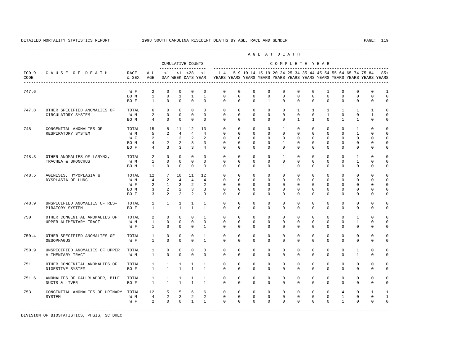----------------------------------------------------------------------------------------------------------------------------------------------------

 A G E A T D E A T H --------------------------------------------------------------------------------------------- CUMULATIVE COUNTS C O M P L E T E Y E A R ------------------- ----------------------------------------------------------------------- ICD-9 C A U S E O F D E A T H RACE ALL <1 <1 <28 <1 1-4 5-9 10-14 15-19 20-24 25-34 35-44 45-54 55-64 65-74 75-84 85+ CODE & SEX AGE DAY WEEK DAYS YEAR YEARS YEARS YEARS YEARS YEARS YEARS YEARS YEARS YEARS YEARS YEARS YEARS ---------------------------------------------------------------------------------------------------------------------------------------------------- 747.6 W F 2 0 0 0 0 0 0 0 0 0 0 0 1 0 0 0 1  $\begin{matrix} 0 & 1 & 1 & 1 \end{matrix}$  BO F 1 0 0 0 0 0 0 0 1 0 0 0 0 0 0 0 0 747.8 OTHER SPECIFIED ANOMALIES OF TOTAL 6 0 0 0 0 0 0 0 0 0 1 1 1 1 1 1 0 CIRCULATORY SYSTEM W M 2 0 0 0 0 0 0 0 0 0 0 0 1 0 0 1 0 BOM 4 0 0 0 0 0 0 0 0 0 0 1 1 0 1 1 0 0 748 CONGENITAL ANOMALIES OF TOTAL 15 8 11 12 13 0 0 0 0 1 0 0 0 0 1 0 0 RESPIRATORY SYSTEM W M M 5 2 4 4 4 0 0 0 0 0 0 0 0 0 0 1 0 0<br>W F 2 1 2 2 2 0 0 0 0 0 0 0 0 0 0 0 0 0 0 W F 2 1 2 2 2 0 0 0 0 0 0 0 0 0 0 0 0 0 BO M 4 2 2 3 3 0 0 0 0 1 0 0 0 0 0 0 0 BO F 4 3 3 3 4 0 0 0 0 0 0 0 0 0 0 0 0 0 748.3 OTHER ANOMALIES OF LARYNX, TOTAL 2 0 0 0 0 0 0 0 0 1 0 0 0 0 1 0 0 TRACHEA & BRONCHUS W M 1 0 0 0 0 0 0 0 0 0 0 0 0 0 1 0 0 BO M 1 0 0 0 0 0 0 0 0 1 0 0 0 0 0 0 0 748.5 AGENESIS, HYPOPLASIA & TOTAL 12 7 10 11 12 0 0 0 0 0 0 0 0 0 0 0 0 DYSPLASIA OF LUNG W M 4 2 4 4 4 0 0 0 0 0 0 0 0 0 0 0 0 W F 2 1 2 2 2 0 0 0 0 0 0 0 0 0 0 0 0 0 BOM 3 2 2 3 3 0 0 0 0 0 0 0 0 0 0 0 0 BO F 3 2 2 2 3 0 0 0 0 0 0 0 0 0 0 0 0 748.9 UNSPECIFIED ANOMALIES OF RES- TOTAL 1 1 1 1 1 0 0 0 0 0 0 0 0 0 0 0 0 PIRATORY SYSTEM BO F 1 1 1 1 1 0 0 0 0 0 0 0 0 0 0 0 0 750 OTHER CONGENITAL ANOMALIES OF TOTAL 2 0 0 0 1 0 0 0 0 0 0 0 0 0 1 0 0 UPPER ALIMENTARY TRACT W M 1 0 0 0 0 0 0 0 0 0 0 0 0 0 1 0 0 W F 1 0 0 0 1 0 0 0 0 0 0 0 0 0 0 0 0 750.4 OTHER SPECIFIED ANOMALIES OF TOTAL 1 0 0 0 1 0 0 0 0 0 0 0 0 0 0 0 0 OESOPHAGUS W F 1 0 0 0 1 0 0 0 0 0 0 0 0 0 0 0 0 750.9 UNSPECIFIED ANOMALIES OF UPPER TOTAL 1 0 0 0 0 0 0 0 0 0 0 0 0 0 1 0 0 ALIMENTARY TRACT W M 1 0 0 0 0 0 0 0 0 0 0 0 0 0 0 1 0 0 751 OTHER CONGENITAL ANOMALIES OF TOTAL 1 1 1 1 1 0 0 0 0 0 0 0 0 0 0 0 0 DIGESTIVE SYSTEM BO F 1 1 1 1 1 0 0 0 0 0 0 0 0 0 0 0 0 751.6 ANOMALIES OF GALLBLADDER, BILE TOTAL 1 1 1 1 1 0 0 0 0 0 0 0 0 0 0 0 0 DUCTS & LIVER BO F 1 1 1 1 1 0 0 0 0 0 0 0 0 0 0 0 0 753 CONGENITAL ANOMALIES OF URINARY TOTAL 12 5 5 6 6 0 0 0 0 0 0 0 0 4 0 1 1 SYSTEM W M 4 2 2 2 2 0 0 0 0 0 0 0 0 1 0 0 1 W F 2 0 0 1 1 0 0 0 0 0 0 0 0 1 0 0 0

-----------------------------------------------------------------------------------------------------------------------------------------------------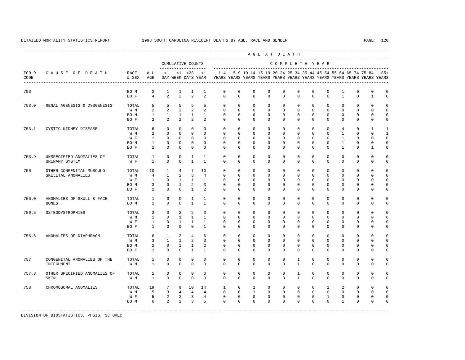---------------------------------------------------------------------------------------------------------------------------------------------------- A G E A T D E A T H --------------------------------------------------------------------------------------------- CUMULATIVE COUNTS C O M P L E T E Y E A R ------------------- ----------------------------------------------------------------------- ICD-9 C A U S E O F D E A T H RACE ALL <1 <1 <28 <1 1-4 5-9 10-14 15-19 20-24 25-34 35-44 45-54 55-64 65-74 75-84 85+ CODE & SEX AGE DAY WEEK DAYS YEAR YEARS YEARS YEARS YEARS YEARS YEARS YEARS YEARS YEARS YEARS YEARS YEARS ---------------------------------------------------------------------------------------------------------------------------------------------------- 753 BO M 2 1 1 1 1 0 0 0 0 0 0 0 0 1 0 0 0 BO F 4 2 2 2 2 0 0 0 0 0 0 0 0 1 0 1 0 753.0 RENAL AGENESIS & DYSGENESIS TOTAL 5 5 5 5 5 0 0 0 0 0 0 0 0 0 0 0 0 W M 2 2 2 2 2 0 0 0 0 0 0 0 0 0 0 0 0 BOM 1 1 1 1 1 0 0 0 0 0 0 0 0 0 0 0 0 0 BOF 2 2 2 2 2 0 0 0 0 0 0 0 0 0 0 0 0 753.1 CYSTIC KIDNEY DISEASE TOTAL 6 0 0 0 0 0 0 0 0 0 0 0 0 4 0 1 1 W M 2 0 0 0 0 0 0 0 0 0 0 0 0 0 0 1 0 0 1 W F 1 0 0 0 0 0 0 0 0 0 0 0 0 1 0 0 0 BO M 1 0 0 0 0 0 0 0 0 0 0 0 0 1 0 0 0 BOF 2 0 0 0 0 0 0 0 0 0 0 0 0 1 0 1 0 753.9 UNSPECIFIED ANOMALIES OF TOTAL 1 0 0 1 1 0 0 0 0 0 0 0 0 0 0 0 0 URINARY STEAM OF THE RESEARCH STEAM OF THE RESEARCH WAS ARRESTED FOR A 19 YO 10 0 10 0 0 0 0 0 0 0 0 0 0 0 0 0 756 OTHER CONGENITAL MUSCULO- TOTAL 10 1 4 7 10 0 0 0 0 0 0 0 0 0 0 0 0 SKELETAL ANOMALIES W M 4 1 2 3 4 0 0 0 0 0 0 0 0 0 0 0 0 W F 1 0 1 1 1 0 0 0 0 0 0 0 0 0 0 0 0 BOM 3 0 1 2 3 0 0 0 0 0 0 0 0 0 0 0 0 0 BOF 2 0 0 1 2 0 0 0 0 0 0 0 0 0 0 0 0 0 756.0 ANOMALIES OF SKULL & FACE TOTAL 1 0 0 1 1 0 0 0 0 0 0 0 0 0 0 0 0 BONES BO M 1 0 0 1 1 0 0 0 0 0 0 0 0 0 0 0 0 756.5 OSTEODYSTROPHIES TOTAL 3 0 2 2 3 0 0 0 0 0 0 0 0 0 0 0 0 W M 1 0 1 1 1 0 0 0 0 0 0 0 0 0 0 0 0 W F 1 0 1 1 1 0 0 0 0 0 0 0 0 0 0 0 0 BO F 1 0 0 0 1 0 0 0 0 0 0 0 0 0 0 0 0 756.6 ANOMALIES OF DIAPHRAGM TOTAL 6 1 2 4 6 0 0 0 0 0 0 0 0 0 0 0 0 W M 3 1 1 2 3 0 0 0 0 0 0 0 0 0 0 0 0 BO M 2 0 1 1 2 0 0 0 0 0 0 0 0 0 0 0 0 BOF 1 0 0 1 1 0 0 0 0 0 0 0 0 0 0 0 0 0 0 757 CONGENITAL ANOMALIES OF THE TOTAL 1 0 0 0 0 0 0 0 0 0 1 0 0 0 0 0 0 INTEGUMENT W M 1 0 0 0 0 0 0 0 0 0 1 0 0 0 0 0 0 757.3 OTHER SPECIFIED ANOMALIES OF TOTAL 1 0 0 0 0 0 0 0 0 0 1 0 0 0 0 0 0 SKIN W M 1 0 0 0 0 0 0 0 0 0 1 0 0 0 0 0 0 758 CHROMOSOMAL ANOMALIES TOTAL 19 7 9 10 14 1 0 1 0 0 0 0 1 2 0 0 0 W M 5 3 4 4 4 0 0 1 0 0 0 0 0 0 0 0 0 W F 5 2 3 3 4 0 0 0 0 0 0 0 0 1 0 0 0 0 BOM 6 2 2 3 5 0 0 0 0 0 0 0 0 0 1 0 0 0 -----------------------------------------------------------------------------------------------------------------------------------------------------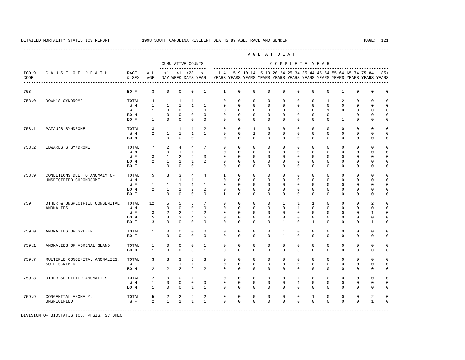----------------------------------------------------------------------------------------------------------------------------------------------------

|                 |                                                        |                                     |                                                                   |                                                                               |                                                                           |                                                                           |                                                                    |                                                                      |                                                                | AGE AT DEATH                                                   |                                                                        |                                                                |                                                                        |                                                                   |                                                                        |                                                                                |                                                                                                                                      |                                             |                                                                         |
|-----------------|--------------------------------------------------------|-------------------------------------|-------------------------------------------------------------------|-------------------------------------------------------------------------------|---------------------------------------------------------------------------|---------------------------------------------------------------------------|--------------------------------------------------------------------|----------------------------------------------------------------------|----------------------------------------------------------------|----------------------------------------------------------------|------------------------------------------------------------------------|----------------------------------------------------------------|------------------------------------------------------------------------|-------------------------------------------------------------------|------------------------------------------------------------------------|--------------------------------------------------------------------------------|--------------------------------------------------------------------------------------------------------------------------------------|---------------------------------------------|-------------------------------------------------------------------------|
|                 |                                                        |                                     |                                                                   |                                                                               |                                                                           | CUMULATIVE COUNTS<br>-------------------                                  |                                                                    |                                                                      |                                                                |                                                                |                                                                        |                                                                | COMPLETE YEAR                                                          |                                                                   |                                                                        |                                                                                |                                                                                                                                      |                                             |                                                                         |
| $ICD-9$<br>CODE | CAUSE OF DEATH                                         | RACE<br>& SEX                       | ALL<br>AGE                                                        | <1                                                                            |                                                                           | $< 1$ $< 28$<br>DAY WEEK DAYS YEAR                                        | $\leq$ 1                                                           | $1 - 4$                                                              |                                                                |                                                                | ----------------------------                                           |                                                                |                                                                        |                                                                   |                                                                        |                                                                                | 5-9 10-14 15-19 20-24 25-34 35-44 45-54 55-64 65-74 75-84<br>YEARS YEARS YEARS YEARS YEARS YEARS YEARS YEARS YEARS YEARS YEARS YEARS |                                             | $85+$                                                                   |
| 758             |                                                        | BO F                                | 3                                                                 | $\mathbf 0$                                                                   | $\mathbf{0}$                                                              | $\mathbf 0$                                                               | 1                                                                  | 1                                                                    | 0                                                              | 0                                                              | $\mathbf 0$                                                            | 0                                                              | $\mathbf 0$                                                            | $\mathbf 0$                                                       | $\mathbf 0$                                                            | 1                                                                              | $\mathbf 0$                                                                                                                          | 0                                           | 0                                                                       |
| 758.0           | DOWN'S SYNDROME                                        | TOTAL<br>W M<br>W F<br>BO M<br>BO F | 4<br>$\mathbf{1}$<br>$\mathbf{1}$<br>$\mathbf{1}$<br>$\mathbf{1}$ | 1<br>$\mathbf{1}$<br>$\mathbf 0$<br>$\mathbf 0$<br>$\mathbf 0$                | $\mathbf{1}$<br>$\mathbf{1}$<br>$\mathbf 0$<br>$\mathbf 0$<br>$\mathbf 0$ | $\mathbf{1}$<br>$\mathbf{1}$<br>$\mathbf 0$<br>$\mathbf 0$<br>$\mathbf 0$ | 1<br>$\mathbf{1}$<br>$\Omega$<br>$\mathbf{0}$<br>$\Omega$          | $\mathbf 0$<br>$\mathbf 0$<br>$\mathbf 0$<br>$\mathbf 0$<br>$\Omega$ | $\Omega$<br>$\mathbf 0$<br>$\Omega$<br>0<br>$\Omega$           | $\Omega$<br>$\mathbf 0$<br>$\Omega$<br>$\mathbf 0$<br>$\Omega$ | $\Omega$<br>$\mathbf{0}$<br>$\Omega$<br>$\mathbf{0}$<br>$\Omega$       | $\circ$<br>$\mathbf 0$<br>$\Omega$<br>$\mathbf 0$<br>$\Omega$  | $\mathbf 0$<br>$\mathbf 0$<br>$\Omega$<br>$\mathbf 0$<br>$\mathbf 0$   | $\mathbf 0$<br>$\mathbf 0$<br>$\Omega$<br>$\mathbf 0$<br>$\Omega$ | $\mathbf{1}$<br>$\mathbf 0$<br>$\mathbf{1}$<br>$\mathbf 0$<br>$\Omega$ | $\overline{a}$<br>$\mathbf 0$<br>$\mathbf 0$<br>$\mathbf{1}$<br>$\overline{1}$ | $\mathbf 0$<br>$\mathbf 0$<br>$\mathbf 0$<br>$\mathbf 0$<br>0                                                                        | 0<br>0<br>$\mathbf 0$<br>0<br>0             | $\mathbf 0$<br>$\mathbf 0$<br>$\mathbf 0$<br>$\mathbf 0$<br>$\mathbf 0$ |
| 758.1           | PATAU'S SYNDROME                                       | TOTAL<br>W M<br>BO M                | 3<br>2<br>$\mathbf{1}$                                            | $\mathbf{1}$<br>$\mathbf{1}$<br>$\mathbf 0$                                   | $\mathbf{1}$<br>$\mathbf{1}$<br>$\mathbf{0}$                              | 1<br>$\mathbf{1}$<br>$\mathbf 0$                                          | $\overline{2}$<br>$\mathbf{1}$<br>$\mathbf{1}$                     | $\mathbf 0$<br>$\mathbf 0$<br>$\mathbf 0$                            | $\Omega$<br>$\mathbf 0$<br>$\mathbf 0$                         | 1<br>$\mathbf{1}$<br>$\mathbf 0$                               | $\mathbf 0$<br>$\mathbf 0$<br>$\mathbf 0$                              | $\mathbf 0$<br>$\mathbf 0$<br>$\mathbf 0$                      | $\mathbf 0$<br>$\mathbf 0$<br>$\mathbf 0$                              | $\Omega$<br>$\mathbf 0$<br>$\mathbf 0$                            | $\Omega$<br>$\mathbf 0$<br>$\mathbf 0$                                 | 0<br>$\mathbf 0$<br>$\mathbf 0$                                                | $\mathbf 0$<br>$\mathbf 0$<br>$\mathbf 0$                                                                                            | 0<br>$\mathbf 0$<br>0                       | $\mathbf 0$<br>$\mathbf 0$<br>$\mathbf 0$                               |
| 758.2           | EDWARDS'S SYNDROME                                     | TOTAL<br>W M<br>W F<br>BO M<br>BO F | $7\phantom{.0}$<br>$\mathbf{1}$<br>3<br>2<br>1                    | 2<br>$\mathbf 0$<br>$\mathbf{1}$<br>$\mathbf{1}$<br>$\mathbf{0}$              | $\overline{4}$<br>$\mathbf{1}$<br>2<br>$\mathbf{1}$<br>$\Omega$           | $\overline{4}$<br>$\mathbf{1}$<br>2<br>$\mathbf{1}$<br>$\Omega$           | 7<br>$\mathbf{1}$<br>3<br>2<br>$\mathbf{1}$                        | $\mathbf 0$<br>$\mathbf 0$<br>$\Omega$<br>$\mathbf 0$<br>$\Omega$    | $\mathbf 0$<br>0<br>$\Omega$<br>$\mathbf 0$<br>$\Omega$        | $\mathbf 0$<br>0<br>$\Omega$<br>$\mathbf 0$<br>$\Omega$        | $\mathbf{0}$<br>$\mathbf{0}$<br>$\Omega$<br>$\mathbf{0}$<br>$\Omega$   | $\mathbf 0$<br>$\circ$<br>$\Omega$<br>$\mathbf 0$<br>$\Omega$  | $\mathbf 0$<br>$\Omega$<br>$\Omega$<br>$\mathbf 0$<br>$\mathbf 0$      | $\mathbf 0$<br>$\mathbf 0$<br>$\Omega$<br>$\mathbf 0$<br>$\Omega$ | $\mathbf 0$<br>$\mathbf 0$<br>$\Omega$<br>$\mathbf 0$<br>$\Omega$      | $\mathbf 0$<br>$\mathbf 0$<br>$\Omega$<br>$\mathbf 0$<br>$\Omega$              | $\mathbf 0$<br>0<br>$\Omega$<br>$\mathbf 0$<br>0                                                                                     | $\mathbf 0$<br>0<br>$\Omega$<br>0<br>0      | $\mathbf 0$<br>0<br>$\mathbf 0$<br>$\mathbf 0$<br>0                     |
| 758.9           | CONDITIONS DUE TO ANOMALY OF<br>UNSPECIFIED CHROMOSOME | TOTAL<br>W M<br>W F<br>BO M<br>BO F | 5<br>$\mathbf{1}$<br>$\mathbf{1}$<br>2<br>$\mathbf{1}$            | $\overline{3}$<br>$\mathbf{1}$<br>$\mathbf{1}$<br>$\mathbf{1}$<br>$\mathbf 0$ | 3<br>$\mathbf{1}$<br>$\mathbf{1}$<br>$\mathbf{1}$<br>$\mathbf{0}$         | $\overline{4}$<br>$\mathbf{1}$<br>$\mathbf{1}$<br>2<br>$\mathbf 0$        | $\overline{4}$<br>$\mathbf{1}$<br>$\mathbf{1}$<br>2<br>$\mathbf 0$ | 1<br>$\mathbf 0$<br>$\mathbf 0$<br>$\Omega$<br>$\mathbf{1}$          | $\Omega$<br>$\Omega$<br>$\mathbf 0$<br>$\Omega$<br>$\mathbf 0$ | $\Omega$<br>$\Omega$<br>$\mathbf 0$<br>$\Omega$<br>$\Omega$    | $\Omega$<br>$\mathbf{0}$<br>$\mathbf{0}$<br>$\Omega$<br>$\Omega$       | $\Omega$<br>$\mathbf 0$<br>$\circ$<br>$\Omega$<br>$\mathbf 0$  | $\Omega$<br>$\mathbf 0$<br>$\mathbf 0$<br>$\Omega$<br>$\mathbf 0$      | $\Omega$<br>$\mathbf 0$<br>$\mathbf 0$<br>$\Omega$<br>$\mathbf 0$ | $\Omega$<br>$\mathbf 0$<br>$\mathbf 0$<br>$\Omega$<br>$\mathbf 0$      | $\Omega$<br>$\mathbf 0$<br>0<br>$\mathbf 0$<br>$\mathbf 0$                     | $\Omega$<br>$\mathbf 0$<br>$\mathbf 0$<br>$\mathbf 0$<br>$\mathbf 0$                                                                 | $\Omega$<br>0<br>0<br>0<br>0                | $\Omega$<br>$\mathbf 0$<br>$\mathbf 0$<br>$\mathbf 0$<br>$\mathbf 0$    |
| 759             | OTHER & UNSPECIFIED CONGENITAL<br>ANOMALIES            | TOTAL<br>W M<br>W F<br>BO M<br>BO F | 12<br>$\mathbf{1}$<br>$\overline{3}$<br>5<br>3                    | 5<br>$\mathbb O$<br>2<br>3<br>$\mathbf 0$                                     | 5<br>$\mathbb O$<br>2<br>3<br>$\mathbf 0$                                 | 6<br>$\mathbb O$<br>2<br>$\overline{4}$<br>$\mathbf 0$                    | $7\phantom{.0}$<br>$\mathbf 0$<br>2<br>5<br>$\Omega$               | $\mathbf 0$<br>$\mathbf 0$<br>$\mathbf 0$<br>$\mathbf 0$<br>$\Omega$ | $\Omega$<br>$\mathbf 0$<br>$\mathbf 0$<br>$\Omega$<br>$\Omega$ | $\Omega$<br>$\mathbf 0$<br>$\Omega$<br>$\Omega$<br>$\Omega$    | $\mathbf 0$<br>$\mathbf{0}$<br>$\mathbf 0$<br>$\mathbf{0}$<br>$\Omega$ | 1<br>$\mathbf 0$<br>$\mathbf 0$<br>$\mathbf 0$<br>$\mathbf{1}$ | $\mathbf{1}$<br>$\mathbf{1}$<br>$\mathbf 0$<br>$\mathbf 0$<br>$\Omega$ | 1<br>$\mathbf 0$<br>$\Omega$<br>$\mathbf 0$<br>$\mathbf{1}$       | $\mathbf 0$<br>$\mathbf 0$<br>$\Omega$<br>$\mathbf 0$<br>$\Omega$      | $\mathbf 0$<br>$\mathbf 0$<br>$\mathbf 0$<br>0<br>$\Omega$                     | $\mathbf 0$<br>$\mathbf 0$<br>$\mathbf 0$<br>0<br>$\Omega$                                                                           | 2<br>0<br>$\mathbf{1}$<br>0<br>$\mathbf{1}$ | $\mathbf 0$<br>$\mathbf 0$<br>$\mathbf 0$<br>0<br>$\mathbf 0$           |
| 759.0           | ANOMALIES OF SPLEEN                                    | TOTAL<br>BO F                       | 1<br>$\mathbf{1}$                                                 | 0<br>$\Omega$                                                                 | 0<br>$\Omega$                                                             | 0<br>$\Omega$                                                             | $\mathbf{0}$<br>$\Omega$                                           | $\mathbf 0$<br>$\Omega$                                              | 0<br>$\Omega$                                                  | 0<br>$\Omega$                                                  | $\mathbf 0$<br>$\Omega$                                                | 1<br>$\mathbf{1}$                                              | $^{\circ}$<br>$\Omega$                                                 | 0<br>$\Omega$                                                     | $\mathbf 0$<br>$\Omega$                                                | 0<br>$\Omega$                                                                  | 0<br>$\Omega$                                                                                                                        | 0<br>$\Omega$                               | 0<br>$\Omega$                                                           |
| 759.1           | ANOMALIES OF ADRENAL GLAND                             | TOTAL<br>BO M                       | 1<br>$\mathbf{1}$                                                 | $\mathbf 0$<br>$\Omega$                                                       | $\circ$<br>$\Omega$                                                       | $\mathbf 0$<br>$\Omega$                                                   | 1<br>$\mathbf{1}$                                                  | $^{\circ}$<br>$\Omega$                                               | 0<br>$\Omega$                                                  | $\Omega$<br>$\Omega$                                           | $\mathbf 0$<br>$\Omega$                                                | 0<br>$\Omega$                                                  | $^{\circ}$<br>$\Omega$                                                 | 0<br>$\Omega$                                                     | $\mathbf 0$<br>$\Omega$                                                | 0<br>$\Omega$                                                                  | 0<br>$\Omega$                                                                                                                        | 0<br>$\Omega$                               | 0<br>$\mathbf 0$                                                        |
| 759.7           | MULTIPLE CONGENITAL ANOMALIES,<br>SO DESCRIBED         | TOTAL<br>W F<br>BO M                | 3<br>$\mathbf{1}$<br>2                                            | 3<br>$\mathbf{1}$<br>2                                                        | 3<br>$\mathbf{1}$<br>2                                                    | 3<br>$\mathbf{1}$<br>2                                                    | 3<br>$\mathbf{1}$<br>2                                             | $\mathbf 0$<br>$\mathbf 0$<br>$\mathbf 0$                            | $\mathbf 0$<br>$\mathbf 0$<br>$\mathbf 0$                      | $\Omega$<br>$\mathbf 0$<br>$\Omega$                            | $\mathbf{0}$<br>$\mathbf{0}$<br>$\mathbf 0$                            | $\mathbf 0$<br>$\mathbf 0$<br>$\Omega$                         | $\mathbf 0$<br>$\mathbf 0$<br>$\mathbf 0$                              | $\mathbf 0$<br>$\mathbf 0$<br>$\Omega$                            | $\mathbf 0$<br>$\mathbf 0$<br>$\mathbf 0$                              | 0<br>0<br>$\mathbf 0$                                                          | $\mathbf 0$<br>0<br>$\mathbf 0$                                                                                                      | 0<br>0<br>0                                 | $\mathbf 0$<br>0<br>$\mathbf 0$                                         |
| 759.8           | OTHER SPECIFIED ANOMALIES                              | TOTAL<br>W M<br>BO M                | 2<br>$\mathbf{1}$<br>$\mathbf{1}$                                 | $\mathbf 0$<br>$\mathbf{0}$<br>$\mathbf 0$                                    | $\mathbf 0$<br>$\mathbf 0$<br>$\mathbf 0$                                 | 1<br>$\mathbf 0$<br>$\mathbf{1}$                                          | $\overline{1}$<br>$\mathbf 0$<br>1                                 | $\mathbf 0$<br>$\mathbf 0$<br>$\mathbf 0$                            | $\Omega$<br>$\mathbf 0$<br>$\mathbf 0$                         | $\Omega$<br>$\mathbf 0$<br>$\mathbf 0$                         | $\Omega$<br>$\mathbf{0}$<br>$\mathbb O$                                | $\Omega$<br>$\mathbf 0$<br>$\mathbf 0$                         | 1<br>$\mathbf{1}$<br>$\mathbf 0$                                       | $\Omega$<br>$\mathbf 0$<br>$\mathbf 0$                            | $\Omega$<br>$\mathbf 0$<br>$\mathsf 0$                                 | $\mathbf 0$<br>$\mathbf 0$<br>0                                                | $\mathbf 0$<br>$\mathbf 0$<br>0                                                                                                      | 0<br>0<br>0                                 | $\mathbf 0$<br>$\mathbf 0$<br>0                                         |
| 759.9           | CONGENITAL ANOMALY,<br>UNSPECIFIED                     | TOTAL<br>W F                        | 5<br>2                                                            | 2<br>$\mathbf{1}$                                                             | 2<br>$\mathbf{1}$                                                         | $\overline{2}$<br>$\mathbf{1}$                                            | $\overline{2}$<br>$\mathbf{1}$                                     | $\mathbf 0$<br>$\Omega$                                              | $\mathbf 0$<br>$\Omega$                                        | $\mathbf 0$<br>$\Omega$                                        | $\mathbb O$<br>$\Omega$                                                | $\mathbf 0$<br>$\Omega$                                        | $\mathbf 0$<br>$\mathbf 0$                                             | 1<br>$\mathbf 0$                                                  | $\mathbf 0$<br>$\mathbf 0$                                             | $\mathbf 0$<br>0                                                               | $\mathbf 0$<br>$\mathbf 0$                                                                                                           | 2<br>$\mathbf{1}$                           | 0<br>$\mathbf 0$                                                        |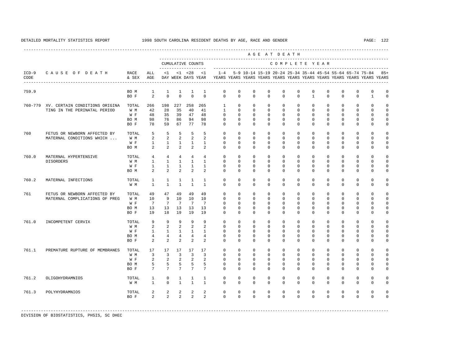---------------------------------------------------------------------------------------------------------------------------------------------------- A G E A T D E A T H --------------------------------------------------------------------------------------------- CUMULATIVE COUNTS C O M P L E T E Y E A R ------------------- ----------------------------------------------------------------------- ICD-9 C A U S E O F D E A T H RACE ALL <1 <1 <28 <1 1-4 5-9 10-14 15-19 20-24 25-34 35-44 45-54 55-64 65-74 75-84 85+ CODE & SEX AGE DAY WEEK DAYS YEAR YEARS YEARS YEARS YEARS YEARS YEARS YEARS YEARS YEARS YEARS YEARS YEARS ---------------------------------------------------------------------------------------------------------------------------------------------------- 759.9 BO M 1 1 1 1 1 0 0 0 0 0 0 0 0 0 0 0 0  $\begin{array}{ccccccccccccc}\n2 & 0 & 0 & 0 & 0 & \n\end{array}$  760-779 XV. CERTAIN CONDITIONS ORIGINA TOTAL 266 198 227 258 265 1 0 0 0 0 0 0 0 0 0 0 0 TING IN THE PERINATAL PERIOD W M 42 28 35 40 41 1 0 0 0 0 0 0 0 0 0 0 0 W F 48 35 39 47 48 0 0 0 0 0 0 0 0 0 0 0 0 0 BOM 98 76 86 94 98 0 0 0 0 0 0 0 0 0 0 0 0 0 BO F 78 59 67 77 78 0 0 0 0 0 0 0 0 0 0 0 0 760 FETUS OR NEWBORN AFFECTED BY TOTAL 5 5 5 5 5 0 0 0 0 0 0 0 0 0 0 0 0 MATERNAL CONDITIONS WHICH ... W M 2 2 2 2 2 0 0 0 0 0 0 0 0 0 0 0 0 W F 1 1 1 1 1 0 0 0 0 0 0 0 0 0 0 0 0 BO M 2 2 2 2 2 0 0 0 0 0 0 0 0 0 0 0 0 760.0 MATERNAL HYPERTENSIVE TOTAL 4 4 4 4 4 0 0 0 0 0 0 0 0 0 0 0 0 DISORDERS W M 1 1 1 1 1 0 0 0 0 0 0 0 0 0 0 0 0 W F 1 1 1 1 1 0 0 0 0 0 0 0 0 0 0 0 0  $2$   $2$   $2$   $2$  760.2 MATERNAL INFECTIONS TOTAL 1 1 1 1 1 0 0 0 0 0 0 0 0 0 0 0 0 W M 1 1 1 1 1 0 0 0 0 0 0 0 0 0 0 0 0 761 FETUS OR NEWBORN AFFECTED BY TOTAL 49 47 49 49 49 0 0 0 0 0 0 0 0 0 0 0 0 MATERNAL COMPLICATIONS OF PREG W M 10 9 10 10 10 0 0 0 0 0 0 0 0 0 0 0 0 W F 7 7 7 7 7 0 0 0 0 0 0 0 0 0 0 0 0 BO M 13 13 13 13 13 0 0 0 0 0 0 0 0 0 0 0 0 BO F 19 18 19 19 19 0 0 0 0 0 0 0 0 0 0 0 0 761.0 INCOMPETENT CERVIX TOTAL 9 9 9 9 9 0 0 0 0 0 0 0 0 0 0 0 0 W M 2 2 2 2 2 0 0 0 0 0 0 0 0 0 0 0 0 W F 1 1 1 1 1 0 0 0 0 0 0 0 0 0 0 0 0 4 4 4 4 BO F 2 2 2 2 2 0 0 0 0 0 0 0 0 0 0 0 0 761.1 PREMATURE RUPTURE OF MEMBRANES TOTAL 17 17 17 17 17 0 0 0 0 0 0 0 0 0 0 0 0 W M 3 3 3 3 3 0 0 0 0 0 0 0 0 0 0 0 0 W F 2 2 2 2 2 0 0 0 0 0 0 0 0 0 0 0 0 BO M 5 5 5 5 5 0 0 0 0 0 0 0 0 0 0 0 0 BOF 7 7 7 7 7 0 0 0 0 0 0 0 0 0 0 0 0 0 761.2 OLIGOHYDRAMNIOS TOTAL 1 0 1 1 1 0 0 0 0 0 0 0 0 0 0 0 0 W M 1 0 1 1 1 0 0 0 0 0 0 0 0 0 0 0 0 761.3 POLYHYDRAMNIOS TOTAL 2 2 2 2 2 0 0 0 0 0 0 0 0 0 0 0 0 BO F 2 2 2 2 2 0 0 0 0 0 0 0 0 0 0 0 0

-----------------------------------------------------------------------------------------------------------------------------------------------------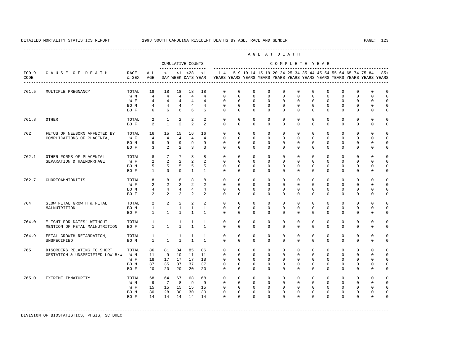---------------------------------------------------------------------------------------------------------------------------------------------------- A G E A T D E A T H --------------------------------------------------------------------------------------------- CUMULATIVE COUNTS C O M P L E T E Y E A R ------------------- ----------------------------------------------------------------------- ICD-9 C A U S E O F D E A T H RACE ALL <1 <1 <28 <1 1-4 5-9 10-14 15-19 20-24 25-34 35-44 45-54 55-64 65-74 75-84 85+ CODE & SEX AGE DAY WEEK DAYS YEAR YEARS YEARS YEARS YEARS YEARS YEARS YEARS YEARS YEARS YEARS YEARS YEARS ---------------------------------------------------------------------------------------------------------------------------------------------------- 761.5 MULTIPLE PREGNANCY TOTAL 18 18 18 18 18 0 0 0 0 0 0 0 0 0 0 0 0 4 4 4 4 W F 4 4 4 4 4 0 0 0 0 0 0 0 0 0 0 0 0 0 BOM 4 4 4 4 4 0 0 0 0 0 0 0 0 0 0 0 0 BOF 6 6 6 6 6 0 0 0 0 0 0 0 0 0 0 0 0 761.8 OTHER TOTAL 2 1 2 2 2 0 0 0 0 0 0 0 0 0 0 0 0 BO F 2 1 2 2 2 0 0 0 0 0 0 0 0 0 0 0 0 0 762 FETUS OF NEWBORN AFFECTED BY TOTAL 16 15 15 16 16 0 0 0 0 0 0 0 0 0 0 0 0 COMPLICATIONS OF PLACENTA, ... W F 4 4 4 4 4 0 0 0 0 0 0 0 0 0 0 0 0 BO M 9 9 9 9 9 0 0 0 0 0 0 0 0 0 0 0 0 BO F 3 2 2 3 3 0 0 0 0 0 0 0 0 0 0 0 0 762.1 OTHER FORMS OF PLACENTAL TOTAL 8 7 7 8 8 0 0 0 0 0 0 0 0 0 0 0 0 SEPARATION & HAEMORRHAGE W F 2 2 2 2 2 0 0 0 0 0 0 0 0 0 0 0 0 BO M 5 5 5 5 5 0 0 0 0 0 0 0 0 0 0 0 0 BOF 1 0 0 1 1 0 0 0 0 0 0 0 0 0 0 0 0 0 0 762.7 CHORIOAMNIONITIS TOTAL 8 8 8 8 8 0 0 0 0 0 0 0 0 0 0 0 0 W F 2 2 2 2 2 0 0 0 0 0 0 0 0 0 0 0 0 BOM 4 4 4 4 4 0 0 0 0 0 0 0 0 0 0 0 0 BO F 2 2 2 2 2 0 0 0 0 0 0 0 0 0 0 0 0 764 SLOW FETAL GROWTH & FETAL TOTAL 2 2 2 2 2 0 0 0 0 0 0 0 0 0 0 0 0 MALNUTRITION BO M 1 1 1 1 1 0 0 0 0 0 0 0 0 0 0 0 0 BO F 1 1 1 1 1 0 0 0 0 0 0 0 0 0 0 0 0 764.0 "LIGHT-FOR-DATES" WITHOUT TOTAL 1 1 1 1 1 0 0 0 0 0 0 0 0 0 0 0 0 MENTION OF FETAL MALNUTRITION BO F 764.9 FETAL GROWTH RETARDATION, TOTAL 1 1 1 1 1 0 0 0 0 0 0 0 0 0 0 0 0 UNSPECIFIED BOM 1 1 1 1 1 0 0 0 0 0 0 0 0 0 0 0 0 0 765 DISORDERS RELATING TO SHORT TOTAL 86 81 84 85 86 0 0 0 0 0 0 0 0 0 0 0 0 GESTATION & UNSPECIFIED LOW B/W W M 11 9 10 11 11 0 0 0 0 0 0 0 0 0 0 0 0 W F 18 17 17 17 18 0 0 0 0 0 0 0 0 0 0 0 0 0 0 BOM 37 35 37 37 37 0 0 0 0 0 0 0 0 0 0 0 0 0 BO F 20 20 20 20 20 0 0 0 0 0 0 0 0 0 0 0 0 765.0 EXTREME IMMATURITY TOTAL 68 64 67 68 68 0 0 0 0 0 0 0 0 0 0 0 0 W M 9 7 8 9 9 0 0 0 0 0 0 0 0 0 0 0 0 W F 15 15 15 15 15 0 0 0 0 0 0 0 0 0 0 0 0 BO M 30 28 30 30 30 0 0 0 0 0 0 0 0 0 0 0 0 BO F 14 14 14 14 14 0 0 0 0 0 0 0 0 0 0 0 0

-----------------------------------------------------------------------------------------------------------------------------------------------------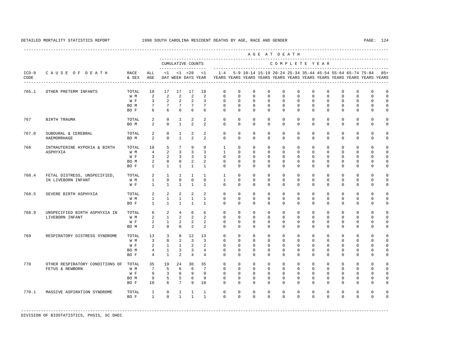---------------------------------------------------------------------------------------------------------------------------------------------------- A G E A T D E A T H --------------------------------------------------------------------------------------------- CUMULATIVE COUNTS C O M P L E T E Y E A R ------------------- ----------------------------------------------------------------------- ICD-9 C A U S E O F D E A T H RACE ALL <1 <1 <28 <1 1-4 5-9 10-14 15-19 20-24 25-34 35-44 45-54 55-64 65-74 75-84 85+ CODE & SEX AGE DAY WEEK DAYS YEAR YEARS YEARS YEARS YEARS YEARS YEARS YEARS YEARS YEARS YEARS YEARS YEARS ---------------------------------------------------------------------------------------------------------------------------------------------------- 765.1 OTHER PRETERM INFANTS TOTAL 18 17 17 17 18 0 0 0 0 0 0 0 0 0 0 0 0 W M 2 2 2 2 2 0 0 0 0 0 0 0 0 0 0 0 0 W F 3 2 2 2 3 0 0 0 0 0 0 0 0 0 0 0 0 BOM 7 7 7 7 7 0 0 0 0 0 0 0 0 0 0 0 0 BOF 6 6 6 6 6 0 0 0 0 0 0 0 0 0 0 0 0 767 BIRTH TRAUMA TOTAL 2 0 1 2 2 0 0 0 0 0 0 0 0 0 0 0 0 BOM 2 0 1 2 2 0 0 0 0 0 0 0 0 0 0 0 0 767.0 SUBDURAL & CEREBRAL TOTAL 2 0 1 2 2 0 0 0 0 0 0 0 0 0 0 0 0  $HAKENORFHAGF$  BOM 2 0 1 2 2 0 0 0 0 0 0 0 0 0 0 0 0 0 768 INTRAUTERINE HYPOXIA & BIRTH TOTAL 10 5 7 9 9 1 0 0 0 0 0 0 0 0 0 0 0 ASPHYXIA W M 4 2 3 3 3 1 0 0 0 0 0 0 0 0 0 0 0 W F 3 2 3 3 3 0 0 0 0 0 0 0 0 0 0 0 0<br>ROM 2 0 0 2 2 0 0 0 0 0 0 0 0 0 0 0 0 0 BO M 2 0 0 2 2 0 0 0 0 0 0 0 0 0 0 0 0 BOF 1 1 1 1 1 0 0 0 0 0 0 0 0 0 0 0 0 0 768.4 FETAL DISTRESS, UNSPECIFIED, TOTAL 2 1 1 1 1 1 0 0 0 0 0 0 0 0 0 0 0 IN LIVEBORN INFANT W M 1 0 0 0 0 1 0 0 0 0 0 0 0 0 0 0 0 W F 1 1 1 1 1 0 0 0 0 0 0 0 0 0 0 0 0 768.5 SEVERE BIRTH ASPHYXIA TOTAL 2 2 2 2 2 0 0 0 0 0 0 0 0 0 0 0 0 W M 1 1 1 1 1 0 0 0 0 0 0 0 0 0 0 0 0 BOF 1 1 1 1 1 0 0 0 0 0 0 0 0 0 0 0 0 0 768.9 UNSPECIFIED BIRTH ASPHYXIA IN TOTAL 6 2 4 6 6 0 0 0 0 0 0 0 0 0 0 0 0 LIVEBORN INFANT W M 2 1 2 2 2 0 0 0 0 0 0 0 0 0 0 0 0 W F 2 1 2 2 2 0 0 0 0 0 0 0 0 0 0 0 0 BOM 2 0 0 2 2 0 0 0 0 0 0 0 0 0 0 0 0 0 769 RESPIRATORY DISTRESS SYNDROME TOTAL 13 3 8 12 13 0 0 0 0 0 0 0 0 0 0 0 0 W M 3 0 2 3 3 0 0 0 0 0 0 0 0 0 0 0 0 W F 2 1 1 2 2 0 0 0 0 0 0 0 0 0 0 0 0<br>BOM 4 1 3 3 4 0 0 0 0 0 0 0 0 0 0 0 0 0 BO M 4 1 3 3 4 0 0 0 0 0 0 0 0 0 0 0 0 BO F 4 1 2 4 4 0 0 0 0 0 0 0 0 0 0 0 0 770 OTHER RESPIRATORY CONDITIONS OF TOTAL 35 19 24 30 35 0 0 0 0 0 0 0 0 0 0 0 0 FETUS & NEWBORN W M 7 5 6 6 7 0 0 0 0 0 0 0 0 0 0 0 0 W F 9 3 6 9 9 0 0 0 0 0 0 0 0 0 0 0 0 0 BOM 9 5 5 6 9 0 0 0 0 0 0 0 0 0 0 0 0 0 BO F 10 6 7 9 10 0 0 0 0 0 0 0 0 0 0 0 0 0 770.1 MASSIVE ASPIRATION SYNDROME TOTAL 1 0 1 1 1 0 0 0 0 0 0 0 0 0 0 0 0 BO F 1 0 1 1 1 0 0 0 0 0 0 0 0 0 0 0 0 -----------------------------------------------------------------------------------------------------------------------------------------------------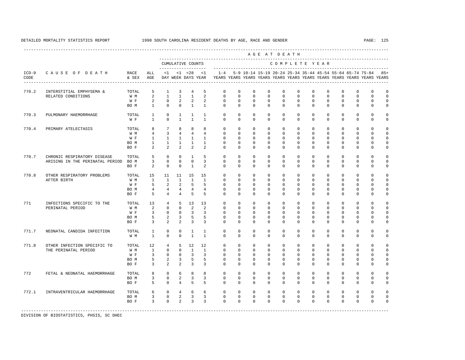----------------------------------------------------------------------------------------------------------------------------------------------------

 A G E A T D E A T H --------------------------------------------------------------------------------------------- CUMULATIVE COUNTS C O M P L E T E Y E A R ------------------- ----------------------------------------------------------------------- ICD-9 C A U S E O F D E A T H RACE ALL <1 <1 <28 <1 1-4 5-9 10-14 15-19 20-24 25-34 35-44 45-54 55-64 65-74 75-84 85+ CODE & SEX AGE DAY WEEK DAYS YEAR YEARS YEARS YEARS YEARS YEARS YEARS YEARS YEARS YEARS YEARS YEARS YEARS ---------------------------------------------------------------------------------------------------------------------------------------------------- 770.2 INTERSTITIAL EMPHYSEMA & TOTAL 5 1 3 4 5 0 0 0 0 0 0 0 0 0 0 0 0 RELATED CONDITIONS W M 2 1 1 1 2 0 0 0 0 0 0 0 0 0 0 0 0 W F 2 0 2 2 2 0 0 0 0 0 0 0 0 0 0 0 0 0 BO M 1 0 0 1 1 0 0 0 0 0 0 0 0 0 0 0 0 770.3 PULMONARY HAEMORRHAGE TOTAL 1 0 1 1 1 0 0 0 0 0 0 0 0 0 0 0 0 W F 1 0 1 1 1 0 0 0 0 0 0 0 0 0 0 0 0 770.4 PRIMARY ATELECTASIS TOTAL 8 7 8 8 8 0 0 0 0 0 0 0 0 0 0 0 0 W M 4 3 4 4 4 0 0 0 0 0 0 0 0 0 0 0 0 W F 1 1 1 1 1 0 0 0 0 0 0 0 0 0 0 0 0 BO M 1 1 1 1 1 0 0 0 0 0 0 0 0 0 0 0 0 BO F 2 2 2 2 2 0 0 0 0 0 0 0 0 0 0 0 0 770.7 CHRONIC RESPIRATORY DISEASE TOTAL 5 0 0 1 5 0 0 0 0 0 0 0 0 0 0 0 0 ARISING IN THE PERINATAL PERIOD BO M 3 0 0 0 3 0 0 0 0 0 0 0 0 0 0 0 0 BO F 2 0 0 1 2 0 0 0 0 0 0 0 0 0 0 0 0 770.8 OTHER RESPIRATORY PROBLEMS TOTAL 15 11 11 15 15 0 0 0 0 0 0 0 0 0 0 0 0 AFTER BIRTH W M 1 1 1 1 1 0 0 0 0 0 0 0 0 0 0 0 0 W F 5 2 2 5 5 0 0 0 0 0 0 0 0 0 0 0 0 0 BOM 4 4 4 4 4 0 0 0 0 0 0 0 0 0 0 0 0 BO F 5 4 4 5 5 0 0 0 0 0 0 0 0 0 0 0 0 771 INFECTIONS SPECIFIC TO THE TOTAL 13 4 5 13 13 0 0 0 0 0 0 0 0 0 0 0 0 0 0<br>PERINATAL PERIOD WM 2 0 0 2 2 0 0 0 0 0 0 0 0 0 0 0 0 0 PERINATAL PERIOD W M 2 0 0 2 2 0 0 0 0 0 0 0 0 0 0 0 0 W F 3 0 0 3 3 0 0 0 0 0 0 0 0 0 0 0 0 0 BOM 5 2 3 5 5 0 0 0 0 0 0 0 0 0 0 0 0 BO F 3 2 2 3 3 0 0 0 0 0 0 0 0 0 0 0 0 771.7 NEONATAL CANDIDA INFECTION TOTAL 1 0 0 1 1 0 0 0 0 0 0 0 0 0 0 0 0 W M 1 0 0 1 1 0 0 0 0 0 0 0 0 0 0 0 0 771.8 OTHER INFECTION SPECIFIC TO TOTAL 12 4 5 12 12 0 0 0 0 0 0 0 0 0 0 0 0 0 0 0<br>THE PERINATAL PERIOD WM 1 0 0 1 1 0 0 0 0 0 0 0 0 0 0 0 0 0 THE PERINATAL PERIOD W M 1 0 0 1 1 0 0 0 0 0 0 0 0 0 0 0 0 W F 3 0 0 3 3 0 0 0 0 0 0 0 0 0 0 0 0 BOM 5 2 3 5 5 0 0 0 0 0 0 0 0 0 0 0 0 0 BO F 3 2 2 3 3 0 0 0 0 0 0 0 0 0 0 0 0 772 FETAL & NEONATAL HAEMORRHAGE TOTAL 8 0 6 8 8 0 0 0 0 0 0 0 0 0 0 0 0 BOM 3 0 2 3 3 0 0 0 0 0 0 0 0 0 0 0 0 0 BOF 5 0 4 5 5 0 0 0 0 0 0 0 0 0 0 0 0 0 772.1 INTRAVENTRICULAR HAEMORRHAGE TOTAL 6 0 4 6 6 0 0 0 0 0 0 0 0 0 0 0 0 BOM 3 0 2 3 3 0 0 0 0 0 0 0 0 0 0 0 0 BO F 3 0 2 3 3 0 0 0 0 0 0 0 0 0 0 0 0 0 -----------------------------------------------------------------------------------------------------------------------------------------------------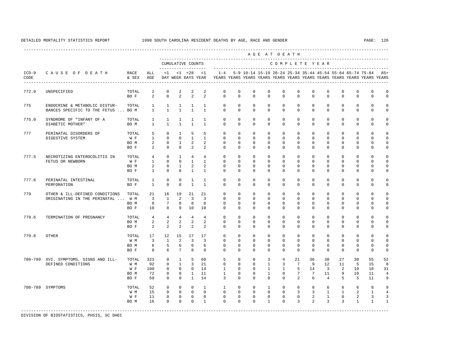|                 |                                                                     |                                     |                                                       |                                                                    |                                                                      |                                                        |                                                         |                                                                                                       |                                                              |                                                               |                                                                            | AGE AT DEATH                                                   |                                                                 |                                                         |                                                        |                                                     |                                              |                                                          |                                                          |
|-----------------|---------------------------------------------------------------------|-------------------------------------|-------------------------------------------------------|--------------------------------------------------------------------|----------------------------------------------------------------------|--------------------------------------------------------|---------------------------------------------------------|-------------------------------------------------------------------------------------------------------|--------------------------------------------------------------|---------------------------------------------------------------|----------------------------------------------------------------------------|----------------------------------------------------------------|-----------------------------------------------------------------|---------------------------------------------------------|--------------------------------------------------------|-----------------------------------------------------|----------------------------------------------|----------------------------------------------------------|----------------------------------------------------------|
|                 |                                                                     |                                     |                                                       |                                                                    |                                                                      | CUMULATIVE COUNTS                                      |                                                         |                                                                                                       |                                                              |                                                               |                                                                            | COMPLETE YEAR                                                  |                                                                 |                                                         | ---------------------------------                      |                                                     |                                              |                                                          |                                                          |
| $ICD-9$<br>CODE | CAUSE OF DEATH<br>---------------------------------                 | RACE<br>& SEX                       | ALL<br>AGE                                            | -------------------<br><1                                          | $<1$ $<28$                                                           |                                                        | <1                                                      | $1 - 4$<br>DAY WEEK DAYS YEAR YEARS YEARS YEARS YEARS YEARS YEARS YEARS YEARS YEARS YEARS YEARS YEARS |                                                              | 5-9 10-14 15-19 20-24 25-34 35-44 45-54 55-64 65-74 75-84     |                                                                            |                                                                |                                                                 |                                                         |                                                        |                                                     |                                              |                                                          | $85+$                                                    |
| 772.9           | UNSPECIFIED                                                         | TOTAL<br>BO F                       | $\overline{a}$<br>2                                   | $\mathbf 0$<br>$\mathbf 0$                                         | 2<br>2                                                               | 2<br>2                                                 | 2<br>2                                                  | $\circ$<br>$\mathbf 0$                                                                                | $^{\circ}$<br>$\Omega$                                       | $\mathbf 0$<br>$\mathbf{0}$                                   | $\mathbf 0$<br>$\mathbf 0$                                                 | $\mathbf 0$<br>$\mathbf 0$                                     | $\mathbf 0$<br>$\mathbf 0$                                      | $\mathbf 0$<br>$\Omega$                                 | $\mathbf 0$<br>$\Omega$                                | $\mathbf 0$<br>$\Omega$                             | $\mathbf 0$<br>$\Omega$                      | $\mathbf 0$<br>$\mathbf 0$                               | $\mathbb O$<br>$\mathbb O$                               |
| 775             | ENDOCRINE & METABOLIC DISTUR-<br>BANCES SPECIFIC TO THE FETUS  BO M | TOTAL                               | $\mathbf{1}$<br>$\mathbf{1}$                          | $\mathbf{1}$<br>$\overline{1}$                                     | 1<br>$\mathbf{1}$                                                    | <sup>1</sup><br>$\mathbf{1}$                           | $\mathbf{1}$<br>$\overline{1}$                          | $\mathbf{0}$<br>$\Omega$                                                                              | $^{\circ}$<br>$\Omega$                                       | $\mathbf{0}$<br>$\Omega$                                      | $^{\circ}$<br>$\Omega$                                                     | $\mathbf 0$<br>$\Omega$                                        | $\mathbf 0$<br>$\Omega$                                         | $\mathbf 0$<br>$\Omega$                                 | $\mathbf 0$<br>$\Omega$                                | $\mathbf 0$<br>$\Omega$                             | 0<br>$\Omega$                                | $\mathbf 0$<br>$\mathbf 0$                               | $\mathbf 0$<br>$\mathbb O$                               |
| 775.0           | SYNDROME OF "INFANT OF A<br>DIABETIC MOTHER"                        | TOTAL<br>BO M                       | $\mathbf{1}$<br>$\overline{1}$                        | 1<br>$\overline{1}$                                                | 1<br>$\mathbf{1}$                                                    | 1<br>$\overline{1}$                                    | $\mathbf{1}$<br>$\overline{1}$                          | $\mathbf 0$<br>$\Omega$                                                                               | $^{\circ}$<br>$\Omega$                                       | $\circ$<br>$\Omega$                                           | $\mathbf 0$<br>$\Omega$                                                    | $\mathbf{0}$<br>$\Omega$                                       | $\mathbf 0$<br>$\Omega$                                         | $\mathbf 0$<br>$\Omega$                                 | $\mathbf 0$<br>$\Omega$                                | $\circ$<br>$\Omega$                                 | $\mathbf 0$<br>$\Omega$                      | $\mathbf 0$<br>$\Omega$                                  | $\mathbf 0$<br>$\mathbf 0$                               |
| 777             | PERINATAL DISORDERS OF<br>DIGESTIVE SYSTEM                          | TOTAL<br>W F<br>BO M<br>BO F        | 5<br>$\mathbf{1}$<br>$\overline{a}$<br>$\overline{2}$ | $\Omega$<br>$\mathbf 0$<br>$\mathbf 0$<br>$\Omega$                 | $\overline{1}$<br>$\mathbf 0$<br>1<br>$\mathbf 0$                    | 5<br>$\mathbf{1}$<br>2<br>2                            | 5<br>$\mathbf{1}$<br>2<br>2                             | $\Omega$<br>$\mathbf 0$<br>$^{\circ}$<br>$\Omega$                                                     | $^{\circ}$<br>$\mathbf 0$<br>$^{\circ}$<br>$^{\circ}$        | $\mathbf{0}$<br>$\mathbf 0$<br>$\mathbf{0}$<br>$\mathbf 0$    | $\mathbf{0}$<br>$\mathbf 0$<br>$\mathbf{0}$<br>$\mathbf 0$                 | $\mathbf 0$<br>$\mathbf 0$<br>$^{\circ}$<br>$\Omega$           | $\mathbf 0$<br>$\mathbf 0$<br>$\circ$<br>$\mathbf 0$            | $\mathbf 0$<br>$\mathbf 0$<br>$^{\circ}$<br>$\mathbf 0$ | $\Omega$<br>$\mathbf 0$<br>$\mathbf 0$<br>$\mathbf 0$  | $\Omega$<br>$\mathbf 0$<br>$\mathbf 0$<br>$\Omega$  | $\Omega$<br>$\mathbf 0$<br>0<br>$\mathbf 0$  | $\Omega$<br>$\mathbf 0$<br>$\mathbf 0$<br>$\mathbf 0$    | $\mathbf 0$<br>$\mathbf 0$<br>$\mathbb O$<br>$\mathbf 0$ |
| 777.5           | NECROTIZING ENTEROCOLITIS IN<br>FETUS OR NEWBORN                    | TOTAL<br>W F<br>BO M<br>BO F        | 4<br>$\overline{1}$<br>$\overline{a}$<br>$\mathbf{1}$ | $\mathbf{0}$<br>$\Omega$<br>$\Omega$<br>$\mathbf{0}$               | $\mathbf{1}$<br>$\Omega$<br>$\overline{1}$<br>$\Omega$               | $\overline{4}$<br>$\overline{1}$<br>2<br>$\mathbf{1}$  | $\overline{4}$<br>$\overline{1}$<br>2<br>$\overline{1}$ | $\mathbf 0$<br>$\Omega$<br>$\Omega$<br>$\Omega$                                                       | $\mathbf{0}$<br>$\Omega$<br>$\Omega$<br>$\Omega$             | $\mathbf{0}$<br>$\Omega$<br>$\Omega$<br>$\Omega$              | $\mathbf 0$<br>$\Omega$<br>$\Omega$<br>$\Omega$                            | $\mathbf 0$<br>$\Omega$<br>$\Omega$<br>$\Omega$                | $\mathbf 0$<br>$\Omega$<br>$\Omega$<br>$\Omega$                 | $\mathbf 0$<br>$\Omega$<br>$\Omega$<br>$\Omega$         | $\mathbf 0$<br>$\Omega$<br>$\Omega$<br>$\Omega$        | $\Omega$<br>$\Omega$<br>$\Omega$<br>$\Omega$        | $\Omega$<br>$\Omega$<br>$\Omega$<br>$\Omega$ | $\mathbf 0$<br>$\Omega$<br>$\Omega$<br>$\Omega$          | $\mathbf 0$<br>$\mathbf 0$<br>$\mathbf 0$<br>$\mathbf 0$ |
| 777.6           | PERINATAL INTESTINAL<br>PERFORATION                                 | TOTAL<br>BO F                       | $\mathbf{1}$<br>$\mathbf{1}$                          | $\mathbf 0$<br>$\Omega$                                            | $\mathbf 0$<br>$\Omega$                                              | $\mathbf{1}$<br>$\mathbf{1}$                           | $\mathbf{1}$<br>$\overline{1}$                          | $\mathbf 0$<br>$\Omega$                                                                               | $\mathbf 0$<br>$\Omega$                                      | $\mathbf 0$<br>$\Omega$                                       | $\mathbf 0$<br>$\Omega$                                                    | $\mathbf 0$<br>$\Omega$                                        | $\mathbf 0$<br>$\Omega$                                         | $\mathbf 0$<br>$\Omega$                                 | $\mathbf 0$<br>$\Omega$                                | $\mathbf 0$<br>$\Omega$                             | 0<br>$\Omega$                                | $\mathbf 0$<br>$\Omega$                                  | $\Omega$<br>$\mathbf 0$                                  |
| 779             | OTHER & ILL-DEFINED CONDITIONS<br>ORIGINATING IN THE PERINATAL      | TOTAL<br>W M<br>BO M<br>BO F        | 21<br>$\overline{\mathbf{3}}$<br>8<br>10              | 16<br><sup>1</sup><br>$7\phantom{.0}$<br>8                         | 19<br>2<br>8<br>9                                                    | 21<br>$\overline{3}$<br>8<br>10                        | 21<br>$\overline{3}$<br>8<br>10                         | $\mathbf{0}$<br>$\Omega$<br>$\Omega$<br>$\Omega$                                                      | $^{\circ}$<br>$\mathbf 0$<br>$\Omega$<br>$\circ$             | $\mathbf 0$<br>$\mathbf 0$<br>$\mathbf 0$<br>$\mathbf 0$      | $\mathbf 0$<br>$\mathbf{0}$<br>$\Omega$<br>$\mathbf 0$                     | $\mathbf 0$<br>$\mathbf 0$<br>$\Omega$<br>$\Omega$             | $\mathbf 0$<br>$\mathbf 0$<br>$\Omega$<br>$\mathbf 0$           | $\mathbf 0$<br>$\mathbf 0$<br>$\mathbf 0$<br>$\Omega$   | $\mathbf 0$<br>$\mathbf 0$<br>$\Omega$<br>$\mathbf 0$  | $\mathbf 0$<br>$\Omega$<br>$\Omega$<br>$\Omega$     | 0<br>$\Omega$<br>$\Omega$<br>$\mathbf 0$     | $\mathbf 0$<br>$\mathbf 0$<br>$\mathbf 0$<br>$\mathbf 0$ | $\mathbf 0$<br>$\mathbb O$<br>$\mathbb O$<br>$\mathbf 0$ |
| 779.6           | TERMINATION OF PREGNANCY                                            | TOTAL<br>BO M<br>BO F               | $\overline{4}$<br>$\overline{a}$<br>2                 | $\overline{4}$<br>$\overline{a}$<br>2                              | $\overline{4}$<br>2<br>2                                             | $\overline{4}$<br>2<br>2                               | $\overline{4}$<br>2<br>2                                | $\Omega$<br>$\Omega$<br>$\circ$                                                                       | $\Omega$<br>$^{\circ}$<br>$\mathbf 0$                        | $\Omega$<br>$\mathbf 0$<br>$\mathbf{0}$                       | $\Omega$<br>$\mathbf 0$<br>$\mathbf 0$                                     | $\Omega$<br>$\Omega$<br>$\mathbf 0$                            | $\Omega$<br>$\Omega$<br>$\mathbf 0$                             | $\Omega$<br>$\mathbf 0$<br>$\mathbf 0$                  | $\Omega$<br>$\mathbf 0$<br>$\mathbf 0$                 | $\Omega$<br>$\Omega$<br>$\mathbf{0}$                | $\Omega$<br>$\Omega$<br>0                    | $\Omega$<br>$\Omega$<br>$\mathbf 0$                      | $\Omega$<br>$\mathbf 0$<br>$\mathbb O$                   |
| 779.8           | OTHER                                                               | TOTAL<br>W M<br>BO M<br>BO F        | 17<br>$\overline{3}$<br>6<br>8                        | 12<br>$\overline{1}$<br>5<br>6                                     | 15<br>2<br>6<br>$7\phantom{.0}$                                      | 17<br>$\overline{3}$<br>6<br>8                         | 17<br>$\overline{3}$<br>6<br>8                          | $^{\circ}$<br>$\Omega$<br>$\mathbf 0$<br>$\Omega$                                                     | $\mathbf 0$<br>$\Omega$<br>$^{\circ}$<br>$\Omega$            | $\mathbf 0$<br>$\Omega$<br>$\mathbf 0$<br>$\Omega$            | $\mathbf 0$<br>$\Omega$<br>$\mathbf 0$<br>$\Omega$                         | $\mathbf 0$<br>$\Omega$<br>$\mathbf 0$<br>$\Omega$             | $\mathbf 0$<br>$\Omega$<br>$\mathbf 0$<br>$\Omega$              | $\mathbf 0$<br>$\Omega$<br>$\mathbf 0$<br>$\Omega$      | $\mathbf 0$<br>$\Omega$<br>$\mathbf 0$<br>$\mathbf{0}$ | $\Omega$<br>$\Omega$<br>$\mathbf{0}$<br>$\Omega$    | 0<br>$\Omega$<br>$\mathbf 0$<br>$\Omega$     | $\mathbf 0$<br>$\Omega$<br>$\mathbf 0$<br>$\Omega$       | $\mathbf 0$<br>$\mathbf 0$<br>$\mathbb O$<br>$\mathbf 0$ |
|                 | 780-799 XVI. SYMPTOMS, SIGNS AND ILL-<br>DEFINED CONDITIONS         | TOTAL<br>W M<br>W F<br>BO M<br>BO F | 323<br>92<br>100<br>72<br>59                          | $\mathbf 0$<br>$\Omega$<br>$\mathbf{0}$<br>$\mathbf 0$<br>$\Omega$ | $\mathbf{1}$<br>$\overline{1}$<br>$\mathbf 0$<br>$\circ$<br>$\Omega$ | 5<br>3<br>$\mathbf{0}$<br>$\mathbf{1}$<br>$\mathbf{1}$ | 60<br>2.1<br>14<br>11<br>14                             | 5<br>$\Omega$<br>$\mathbf{1}$<br>$\mathbf{1}$<br>$\overline{3}$                                       | $\mathbf 0$<br>$\Omega$<br>$\circ$<br>$^{\circ}$<br>$\Omega$ | $\mathbf{0}$<br>$\Omega$<br>$\circ$<br>$^{\circ}$<br>$\Omega$ | $\overline{3}$<br>$\mathbf{1}$<br>$\mathbf{1}$<br>$\mathbf{1}$<br>$\Omega$ | $\overline{4}$<br>3<br>$\mathbf{1}$<br>$\mathbf 0$<br>$\Omega$ | 21<br>$7\phantom{.0}$<br>5<br>$7\phantom{.0}$<br>$\overline{2}$ | 36<br>9<br>14<br>$7\overline{ }$<br>6                   | 30<br>12<br>$\overline{3}$<br>11<br>$\overline{4}$     | 27<br>11<br>2<br>9<br>5                             | 30<br>5<br>10<br>10<br>5                     | 55<br>15<br>18<br>11<br>11                               | 52<br>8<br>31<br>4<br>9                                  |
|                 | 780-789 SYMPTOMS                                                    | TOTAL<br>W M<br>W F<br>BO M         | 52<br>15<br>11<br>16                                  | $\mathbf 0$<br>$\Omega$<br>$\mathbf 0$<br>$\Omega$                 | $\circ$<br>$\mathbf 0$<br>$\circ$<br>$\Omega$                        | $\circ$<br>$\overline{0}$<br>$\circ$<br>$\mathbf 0$    | $\mathbf{1}$<br>$\Omega$<br>$\circ$<br>$\mathbf{1}$     | $\mathbf{1}$<br>$\Omega$<br>$\mathbf 0$<br>$\Omega$                                                   | $^{\circ}$<br>$\Omega$<br>$\mathbf{0}$<br>$\Omega$           | $\mathbf{0}$<br>$\Omega$<br>$\circ$<br>$\Omega$               | $\mathbf{1}$<br>$\Omega$<br>$\circ$<br>$\mathbf{1}$                        | $\mathbf 0$<br>$\Omega$<br>$\circ$<br>$\Omega$                 | 6<br>$\overline{3}$<br>$\mathbb O$<br>$\overline{3}$            | 8<br>$\overline{3}$<br>2<br>$\mathfrak{D}$              | 6<br>$\mathbf{1}$<br>$\mathbf{1}$<br>$\overline{3}$    | 6<br>$\mathbf{1}$<br>$\mathbf{0}$<br>$\overline{3}$ | 6<br>2<br>$\overline{a}$<br>$\mathbf{1}$     | 8<br>$\mathbf{1}$<br>$\overline{3}$<br>$\mathbf{1}$      | 9<br>$\overline{4}$<br>3<br>$\mathbf{1}$                 |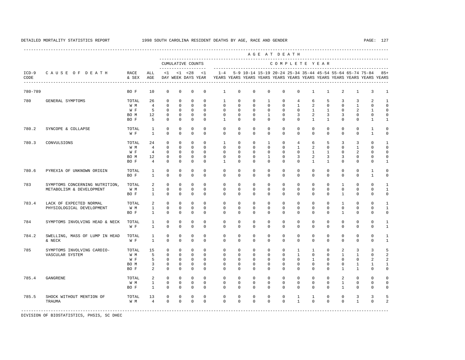---------------------------------------------------------------------------------------------------------------------------------------------------- A G E A T D E A T H --------------------------------------------------------------------------------------------- CUMULATIVE COUNTS C O M P L E T E Y E A R ------------------- ----------------------------------------------------------------------- ICD-9 C A U S E O F D E A T H RACE ALL <1 <1 <28 <1 1-4 5-9 10-14 15-19 20-24 25-34 35-44 45-54 55-64 65-74 75-84 85+ CODE & SEX AGE DAY WEEK DAYS YEAR YEARS YEARS YEARS YEARS YEARS YEARS YEARS YEARS YEARS YEARS YEARS YEARS ---------------------------------------------------------------------------------------------------------------------------------------------------- 780-789 BO F 10 0 0 0 0 1 0 0 0 0 0 1 1 2 1 3 1 780 GENERAL SYMPTOMS TOTAL 26 0 0 0 0 1 0 0 1 0 4 6 5 3 3 2 1 W M 4 0 0 0 0 0 0 0 0 0 1 2 0 0 1 0 0 W F 5 0 0 0 0 0 0 0 0 0 0 0 1 1 0 2 1 0 BOM 12 0 0 0 0 0 0 0 0 1 0 3 2 3 3 0 0 0 BOF 5 0 0 0 0 1 0 0 0 0 0 0 1 1 0 0 1 1 780.2 SYNCOPE & COLLAPSE TOTAL 1 0 0 0 0 0 0 0 0 0 0 0 0 0 0 0 0 1 0 W F 1 0 0 0 0 0 0 0 0 0 0 0 0 0 0 1 0 780.3 CONVULSIONS TOTAL 24 0 0 0 0 1 0 0 1 0 4 6 5 3 3 0 1 W M M 4 0 0 0 0 0 0 0 0 0 0 0 0 0 1 2 0 0 0 1 0 0 W F 4 0 0 0 0 0 0 0 0 0 0 0 1 1 0 2 0 0 BOM 12 0 0 0 0 0 0 0 0 1 0 3 2 3 3 0 0 0 BOF 4 0 0 0 0 1 0 0 0 0 0 0 1 1 0 0 0 0 1 780.6 PYREXIA OF UNKNOWN ORIGIN TOTAL 1 0 0 0 0 0 0 0 0 0 0 0 0 0 0 1 0 BO F 1 0 0 0 0 0 0 0 0 0 0 0 0 0 0 1 0 783 SYMPTOMS CONCERNING NUTRITION, TOTAL 2 0 0 0 0 0 0 0 0 0 0 0 0 1 0 0 1 METABOLISM & DEVELOPMENT W M 1 0 0 0 0 0 0 0 0 0 0 0 0 0 0 0 1 BO F 1 0 0 0 0 0 0 0 0 0 0 0 0 1 0 0 0 783.4 LACK OF EXPECTED NORMAL TOTAL 2 0 0 0 0 0 0 0 0 0 0 0 0 1 0 0 1 PHYSIOLOGICAL DEVELOPMENT W M 1 0 0 0 0 0 0 0 0 0 0 0 0 0 0 0 1 BO F 1 0 0 0 0 0 0 0 0 0 0 0 0 1 0 0 0 784 SYMPTOMS INVOLVING HEAD & NECK TOTAL 1 0 0 0 0 0 0 0 0 0 0 0 0 0 0 0 1 W F 1 0 0 0 0 0 0 0 0 0 0 0 0 0 0 0 1 784.2 SWELLING, MASS OF LUMP IN HEAD TOTAL 1 0 0 0 0 0 0 0 0 0 0 0 0 0 0 0 1 & NECK W F 1 0 0 0 0 0 0 0 0 0 0 0 0 0 0 0 1 785 SYMPTOMS INVOLVING CARDIO- TOTAL 15 0 0 0 0 0 0 0 0 0 1 1 0 2 3 3 5  $W\ M$  5 0 0 0 0 0 0 0 0 0 0 1 0 0 1 1 0 2<br> $W\ F$  5 0 0 0 0 0 0 0 0 0 0 0 0 0 0 2 2 W F 5 0 0 0 0 0 0 0 0 0 0 0 0 0 0 2 2 BOM 3 0 0 0 0 0 0 0 0 0 0 0 0 0 1 1 1 BO F 2 0 0 0 0 0 0 0 0 0 0 0 0 1 1 0 0 785.4 GANGRENE TOTAL 2 0 0 0 0 0 0 0 0 0 0 0 0 2 0 0 0 W M 1 0 0 0 0 0 0 0 0 0 0 0 0 1 0 0 0 BO F 1 0 0 0 0 0 0 0 0 0 0 0 0 1 0 0 0 785.5 SHOCK WITHOUT MENTION OF TOTAL 13 0 0 0 0 0 0 0 0 0 1 1 0 0 3 3 5 TRAUMA W M 4 0 0 0 0 0 0 0 0 0 1 0 0 0 1 0 2 -----------------------------------------------------------------------------------------------------------------------------------------------------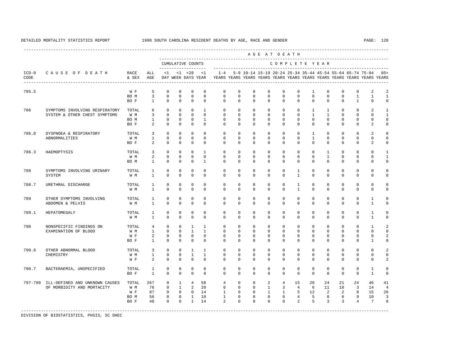A G E A T D E A T H

----------------------------------------------------------------------------------------------------------------------------------------------------

 --------------------------------------------------------------------------------------------- CUMULATIVE COUNTS C O M P L E T E Y E A R ------------------- ----------------------------------------------------------------------- ICD-9 C A U S E O F D E A T H RACE ALL <1 <1 <28 <1 1-4 5-9 10-14 15-19 20-24 25-34 35-44 45-54 55-64 65-74 75-84 85+ CODE & SEX AGE DAY WEEK DAYS YEAR YEARS YEARS YEARS YEARS YEARS YEARS YEARS YEARS YEARS YEARS YEARS YEARS ---------------------------------------------------------------------------------------------------------------------------------------------------- 785.5 W F 5 0 0 0 0 0 0 0 0 0 0 1 0 0 0 2 2<br>ROM 3 0 0 0 0 0 0 0 0 0 0 0 0 0 1 1 1  $\begin{array}{ccccccc} \circ & \circ & \circ & \circ & \circ \end{array}$ BOF 1 0 0 0 0 0 0 0 0 0 0 0 0 0 1 0 0 786 SYMPTOMS INVOLVING RESPIRATORY TOTAL 6 0 0 0 1 0 0 0 0 0 0 1 1 0 0 2 1 SYSTEM & OTHER CHEST SYMPTOMS W M 3 0 0 0 0 0 0 0 0 0 0 1 1 0 0 0 1 BO M 1 0 0 0 1 0 0 0 0 0 0 0 0 0 0 0 0 BO F 2 0 0 0 0 0 0 0 0 0 0 0 0 0 0 2 0 786.0 DYSPNOEA & RESPIRATORY TOTAL 3 0 0 0 0 0 0 0 0 0 0 1 0 0 0 2 0 ABNORMALITIES W M 1 0 0 0 0 0 0 0 0 0 0 1 0 0 0 0 0 BO F 2 0 0 0 0 0 0 0 0 0 0 0 0 0 0 2 0 786.3 HAEMOPTYSIS TOTAL 3 0 0 0 1 0 0 0 0 0 0 0 1 0 0 0 1 W M 2 0 0 0 0 0 0 0 0 0 0 0 1 0 0 0 1 BO M 1 0 0 0 1 0 0 0 0 0 0 0 0 0 0 0 0 788 SYMPTOMS INVOLVING URINARY TOTAL 1 0 0 0 0 0 0 0 0 0 1 0 0 0 0 0 0 SYSTEM W M 1 0 0 0 0 0 0 0 0 0 1 0 0 0 0 0 0 788.7 URETHRAL DISCHARGE TOTAL 1 0 0 0 0 0 0 0 0 0 1 0 0 0 0 0 0 W M 1 0 0 0 0 0 0 0 0 0 1 0 0 0 0 0 0 789 OTHER SYMPTOMS INVOLVING TOTAL 1 0 0 0 0 0 0 0 0 0 0 0 0 0 0 1 0 ABDOMEN & PELVIS W M 1 0 0 0 0 0 0 0 0 0 0 0 0 0 0 1 0 789.1 HEPATOMEGALY TOTAL 1 0 0 0 0 0 0 0 0 0 0 0 0 0 0 1 0 W M 1 0 0 0 0 0 0 0 0 0 0 0 0 0 0 1 0 790 NONSPECIFIC FINDINGS ON TOTAL 4 0 0 1 1 0 0 0 0 0 0 0 0 0 0 1 2 EXAMINATION OF BLOOD W M 1 0 0 1 1 0 0 0 0 0 0 0 0 0 0 0 0 2 0 0 0 0 BO F 1 0 0 0 0 0 0 0 0 0 0 0 0 0 0 1 0 790.6 OTHER ABNORMAL BLOOD TOTAL 3 0 0 1 1 0 0 0 0 0 0 0 0 0 0 0 2 CHEMISTRY W M 1 0 0 1 1 0 0 0 0 0 0 0 0 0 0 0 0 W F 2 0 0 0 0 0 0 0 0 0 0 0 0 0 0 2 790.7 BACTERAEMIA, UNSPECIFIED TOTAL 1 0 0 0 0 0 0 0 0 0 0 0 0 0 0 1 0 BO F 1 0 0 0 0 0 0 0 0 0 0 0 0 0 0 1 0 797-799 ILL-DEFINED AND UNKNOWN CAUSES TOTAL 267 0 1 4 58 4 0 0 2 4 15 28 24 21 24 46 41 OF MORBIDITY AND MORTACITY WWW 76 0 1 2 20 0 0 0 0 1 3 4 6 11 10 3 14 4<br>WF 87 0 0 0 14 1 0 0 1 1 5 12 2 2 8 15 26 W F 87 0 0 0 14 1 0 0 1 1 5 12 2 2 8 15 26

 BO M 56 0 0 1 10 1 0 0 0 0 4 5 8 6 9 10 3 BO F 48 0 0 1 14 2 0 0 0 0 2 5 3 3 4 7 8 -----------------------------------------------------------------------------------------------------------------------------------------------------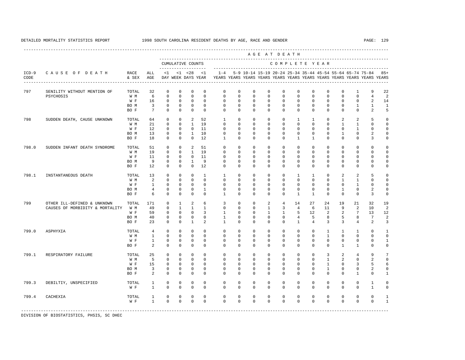----------------------------------------------------------------------------------------------------------------------------------------------------

 A G E A T D E A T H --------------------------------------------------------------------------------------------- CUMULATIVE COUNTS C O M P L E T E Y E A R ------------------- ----------------------------------------------------------------------- ICD-9 C A U S E O F D E A T H RACE ALL <1 <1 <28 <1 1-4 5-9 10-14 15-19 20-24 25-34 35-44 45-54 55-64 65-74 75-84 85+ CODE & SEX AGE DAY WEEK DAYS YEAR YEARS YEARS YEARS YEARS YEARS YEARS YEARS YEARS YEARS YEARS YEARS YEARS ---------------------------------------------------------------------------------------------------------------------------------------------------- 797 SENILITY WITHOUT MENTION OF TOTAL 32 0 0 0 0 0 0 0 0 0 0 0 0 0 1 9 22 PSYCHOSIS W M 6 0 0 0 0 0 0 0 0 0 0 0 0 0 0 4 2 W F 16 0 0 0 0 0 0 0 0 0 0 0 0 0 0 2 14 BOM 3 0 0 0 0 0 0 0 0 0 0 0 0 0 1 1 1 BO F 7 0 0 0 0 0 0 0 0 0 0 0 0 0 0 2 5 798 SUDDEN DEATH, CAUSE UNKNOWN TOTAL 64 0 0 2 52 1 0 0 0 0 1 1 0 2 2 5 0 W M 21 0 0 1 19 0 0 0 0 0 0 0 0 0 0 1 1 0 0 W F 12 0 0 0 11 0 0 0 0 0 0 0 0 0 0 1 0 0 BO M 13 0 0 1 10 0 0 0 0 0 0 0 0 1 0 2 0 BO F 18 0 0 0 12 1 0 0 0 0 1 1 0 0 0 3 0 798.0 SUDDEN INFANT DEATH SYNDROME TOTAL 51 0 0 2 51 0 0 0 0 0 0 0 0 0 0 0 0 W M 19 0 0 1 19 0 0 0 0 0 0 0 0 0 0 0 0 W F 11 0 0 0 11 0 0 0 0 0 0 0 0 0 0 0 0 BO M 9 0 0 1 9 0 0 0 0 0 0 0 0 0 0 0 0 BO F 12 0 0 0 12 0 0 0 0 0 0 0 0 0 0 0 0 798.1 INSTANTANEOUS DEATH TOTAL 13 0 0 0 1 1 0 0 0 0 1 1 0 2 2 5 0 W M 2 0 0 0 0 0 0 0 0 0 0 0 0 0 1 1 0 0 W F 1 0 0 0 0 0 0 0 0 0 0 0 0 0 0 1 0 0 BO M 4 0 0 0 1 0 0 0 0 0 0 0 0 1 0 2 0 BO F 6 0 0 0 0 1 0 0 0 0 1 1 0 0 0 3 0 799 OTHER ILL-DEFINED & UNKNOWN TOTAL 171 0 1 2 6 3 0 0 2 4 14 27 24 19 21 32 19 CAUSES OF MORBIDITY & MORTALITY W M 49 0 1 1 1 0 0 0 0 1 3 4 6 11 9 2 10 2<br>W F 59 0 0 0 3 1 0 0 1 1 5 12 2 2 7 13 12 W F 59 0 0 0 3 1 0 0 1 1 5 12 2 2 7 13 12 BO M 40 0 0 0 0 1 0 0 0 0 4 5 8 5 8 7 2 BO F 23 0 0 1 2 1 0 0 0 0 1 4 3 3 4 2 3 799.0 ASPHYXIA TOTAL 4 0 0 0 0 0 0 0 0 0 0 0 1 1 1 0 1 W M 1 0 0 0 0 0 0 0 0 0 0 0 1 0 0 0 0 W F 1 0 0 0 0 0 0 0 0 0 0 0 0 0 0 0 1 BO F 2 0 0 0 0 0 0 0 0 0 0 0 0 1 1 0 0 799.1 RESPIRATORY FAILURE TOTAL 25 0 0 0 0 0 0 0 0 0 0 0 3 2 4 9 7 W M 5 0 0 0 0 0 0 0 0 0 0 0 1 2 0 2 0 W F 15 0 0 0 0 0 0 0 0 0 0 0 0 1 0 3 5 6 BO M 3 0 0 0 0 0 0 0 0 0 0 0 1 0 0 2 0 BO F 2 0 0 0 0 0 0 0 0 0 0 0 0 0 1 0 1 799.3 DEBILTIY, UNSPECIFIED TOTAL 1 0 0 0 0 0 0 0 0 0 0 0 0 0 0 1 0 W F 1 0 0 0 0 0 0 0 0 0 0 0 0 0 0 1 0 799.4 CACHEXIA TOTAL 1 0 0 0 0 0 0 0 0 0 0 0 0 0 0 0 1 W F 1 0 0 0 0 0 0 0 0 0 0 0 0 0 0 0 1 -----------------------------------------------------------------------------------------------------------------------------------------------------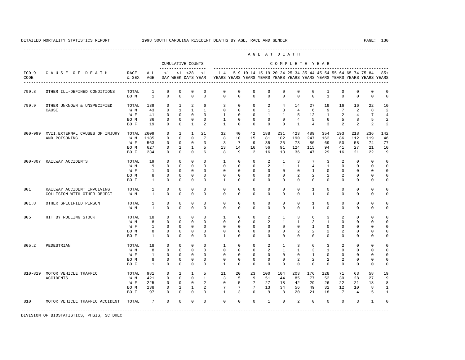----------------------------------------------------------------------------------------------------------------------------------------------------

 A G E A T D E A T H --------------------------------------------------------------------------------------------- CUMULATIVE COUNTS C O M P L E T E Y E A R ------------------- ----------------------------------------------------------------------- ICD-9 C A U S E O F D E A T H RACE ALL <1 <1 <28 <1 1-4 5-9 10-14 15-19 20-24 25-34 35-44 45-54 55-64 65-74 75-84 85+ CODE & SEX AGE DAY WEEK DAYS YEAR YEARS YEARS YEARS YEARS YEARS YEARS YEARS YEARS YEARS YEARS YEARS YEARS ---------------------------------------------------------------------------------------------------------------------------------------------------- 799.8 OTHER ILL-DEFINED CONDITIONS TOTAL 1 0 0 0 0 0 0 0 0 0 0 0 1 0 0 0 0 BO M 1 0 0 0 0 0 0 0 0 0 0 0 1 0 0 0 0 799.9 OTHER UNKNOWN & UNSPECIFIED TOTAL 139 0 1 2 6 3 0 0 2 4 14 27 19 16 16 22 10 CAUSE W M 43 0 1 1 1 0 0 0 1 3 4 6 9 7 2 8 2 W F 41 0 0 0 3 1 0 0 1 1 5 12 1 2 4 7 4 BOM 36 0 0 0 0 1 0 0 0 0 0 4 5 6 5 8 5 2 BO F 19 0 0 1 2 1 0 0 0 0 1 4 3 2 2 2 2 800-999 XVII.EXTERNAL CAUSES OF INJURY TOTAL 2609 0 1 1 21 32 40 42 188 231 423 489 354 193 218 236 142 15 81 102 190 247 162 W F 563 0 0 0 3 3 7 9 35 25 73 80 69 50 58 74 77 BO M 627 0 1 1 5 13 14 16 56 91 124 115 94 41 27 21 10 BO F 234 0 0 0 6 8 9 2 16 13 36 47 29 16 21 22 9 800-807 RAILWAY ACCIDENTS TOTAL 19 0 0 0 0 0 1 0 0 2 1 3 7 3 2 0 0 0<br>W M 9 0 0 0 0 0 0 0 2 1 1 4 1 0 0 0 0 W M 9 0 0 0 0 0 0 0 2 1 1 4 1 0 0 0 0 W F 1 0 0 0 0 0 0 0 0 0 0 1 0 0 0 0 0 BOM 8 0 0 0 0 0 0 0 0 0 2 2 2 2 0 0 0 BO F 1 0 0 0 0 1 0 0 0 0 0 0 0 0 0 0 0 801 RAILWAY ACCIDENT INVOLVING TOTAL 1 0 0 0 0 0 0 0 0 0 0 1 0 0 0 0 0 COLLISION WITH OTHER OBJECT 801.8 OTHER SPECIFIED PERSON TOTAL 1 0 0 0 0 0 0 0 0 0 0 1 0 0 0 0 0 W M 1 0 0 0 0 0 0 0 0 0 0 1 0 0 0 0 0 805 HIT BY ROLLING STOCK TOTAL 18 0 0 0 0 0 1 0 0 2 1 3 6 3 2 0 0 0<br>
W M W 8 0 0 0 0 0 0 0 2 1 1 3 1 0 0 0 0 W M 8 0 0 0 0 0 0 0 2 1 1 3 1 0 0 0 0 W F 1 0 0 0 0 0 0 0 0 0 0 1 0 0 0 0 0 BOM 8 0 0 0 0 0 0 0 0 0 2 2 2 2 0 0 0 BOF 1 0 0 0 0 1 0 0 0 0 0 0 0 0 0 0 0 0 0 805.2 PEDESTRIAN TOTAL 18 0 0 0 0 1 0 0 2 1 3 6 3 2 0 0 0 W M 8 0 0 0 0 0 0 0 2 1 1 3 1 0 0 0 0 W F 1 0 0 0 0 0 0 0 0 0 0 1 0 0 0 0 0 BOM 8 0 0 0 0 0 0 0 0 0 2 2 2 2 0 0 0 BOF 1 0 0 0 0 1 0 0 0 0 0 0 0 0 0 0 0 0 0 810-819 MOTOR VEHICLE TRAFFIC TOTAL 981 0 1 1 5 11 20 23 100 104 203 176 128 71 63 58 19 ACCIDENTS W M 421 0 0 0 1 3 5 9 51 44 85 77 52 30 28 27 9 W F 225 0 0 0 2 0 5 7 27 18 42 29 26 22 21 18 8 BO M 238 0 1 1 2 7 7 7 13 34 56 49 32 12 10 8 1 BO F 97 0 0 0 0 1 3 0 9 8 20 21 18 7 4 5 1 810 MOTOR VEHICLE TRAFFIC ACCIDENT TOTAL 7 0 0 0 0 0 0 0 1 0 2 0 0 0 3 1 0 -----------------------------------------------------------------------------------------------------------------------------------------------------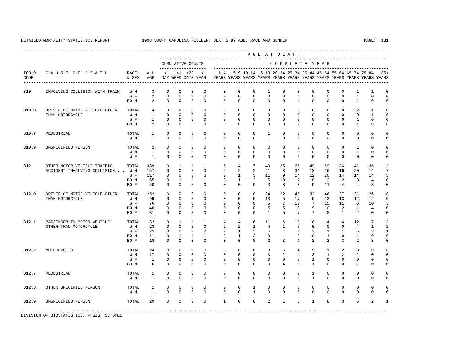----------------------------------------------------------------------------------------------------------------------------------------------------

 A G E A T D E A T H --------------------------------------------------------------------------------------------- CUMULATIVE COUNTS C O M P L E T E Y E A R ------------------- ----------------------------------------------------------------------- ICD-9 C A U S E O F D E A T H RACE ALL <1 <1 <28 <1 1-4 5-9 10-14 15-19 20-24 25-34 35-44 45-54 55-64 65-74 75-84 85+ CODE & SEX AGE DAY WEEK DAYS YEAR YEARS YEARS YEARS YEARS YEARS YEARS YEARS YEARS YEARS YEARS YEARS YEARS ---------------------------------------------------------------------------------------------------------------------------------------------------- 810 INVOLVING COLLISION WITH TRAIN W M 3 0 0 0 0 0 0 0 1 0 0 0 0 0 1 1 0  $0$  0 0 0 BOM 2 0 0 0 0 0 0 0 0 0 0 0 0 0 1 0 0 810.0 DRIVER OF MOTOR VEHICLE OTHER TOTAL 4 0 0 0 0 0 0 0 0 0 1 0 0 0 2 1 0 THAN MOTORCYCLE W M 1 0 0 0 0 0 0 0 0 0 0 0 0 0 0 1 0 W F 1 0 0 0 0 0 0 0 0 0 0 0 0 0 0 1 0 0 BOM 2 0 0 0 0 0 0 0 0 0 0 0 0 0 1 0 0 810.7 PEDESTRIAN TOTAL 1 0 0 0 0 0 0 0 1 0 0 0 0 0 0 0 0 W M 1 0 0 0 0 0 0 0 1 0 0 0 0 0 0 0 0 810.9 UNSPECIFIED PERSON TOTAL 2 0 0 0 0 0 0 0 0 0 1 0 0 0 1 0 0 W M 1 0 0 0 0 0 0 0 0 0 0 0 0 0 1 0 0 W F 1 0 0 0 0 0 0 0 0 0 1 0 0 0 0 0 0 812 OTHER MOTOR VEHICLE TRAFFIC TOTAL 389 0 1 1 1 5 4 7 40 35 65 49 59 36 41 35 12<br>ACCIDENT INVOLVING COLLISION ... W M 157 0 0 0 0 0 2 2 21 8 31 18 16 16 20 14 7 ACCIDENT INVOLVING COLLISION ... W M 157 0 0 0 0 0 2 2 2 2 21 8 31 18 16 16 20 14<br>WF 117 0 0 0 0 0 0 1 3 11 9 14 12 20 14 14 14 W F 117 0 0 0 0 0 1 3 11 9 14 12 20 14 14 14 5 BO M 65 0 1 1 1 3 1 2 5 10 12 10 12 2 3 4 0 BO F 50 0 0 0 0 0 0 0 3 8 8 9 11 4 4 3 0 812.0 DRIVER OF MOTOR VEHICLE OTHER TOTAL 252 0 0 0 0 0 0 0 24 22 46 32 46 27 21 26 8 THAN MOTORCYCLE W M 99 0 0 0 0 0 0 0 13 5 17 9 13 13 12 12 5 W F 76 0 0 0 0 0 0 0 5 7 12 7 15 11 6 10 3 BO M 46 0 0 0 0 0 0 0 5 5 10 9 10 2 1 4 0 BO F 31 0 0 0 0 0 0 0 1 5 7 7 8 1 2 0 0 812.1 PASSENGER IN MOTOR VEHICLE TOTAL 82 0 1 1 1 4 4 6 11 6 10 10 4 4 12 7 3 OTHER THAN MOTORCYCLE W M 28 0 0 0 0 2 2 1 4 1 6 5 0 0 4 1<br>W F 25 0 0 0 0 0 1 3 5 1 1 3 1 1 5 3 W F 25 0 0 0 0 0 0 1 3 5 1 1 3 1 1 5 3 1 BO M 11 0 1 1 1 2 1 2 0 1 2 0 1 0 1 0 0 BO F 18 0 0 0 0 0 0 0 2 3 1 2 2 3 2 3 0 812.2 MOTORCYCLIST TOTAL 24 0 0 0 0 0 0 0 3 6 4 5 1 2 3 0 0 W M 17 0 0 0 0 0 0 0 3 2 4 3 1 2 2 0 0 W F 1 0 0 0 0 0 0 0 0 0 0 1 0 0 0 0 0 BOM 6 0 0 0 0 0 0 0 0 0 0 1 0 0 1 0 0 812.7 PEDESTRIAN TOTAL 1 0 0 0 0 0 0 0 0 0 0 1 0 0 0 0 0 W M 1 0 0 0 0 0 0 0 0 0 0 1 0 0 0 0 0 812.8 OTHER SPECIFIED PERSON TOTAL 1 0 0 0 0 0 0 1 0 0 0 0 0 0 0 0 0 W M 1 0 0 0 0 0 0 1 0 0 0 0 0 0 0 0 0 812.9 UNSPECIFIED PERSON TOTAL 29 0 0 0 0 1 0 0 2 1 5 1 8 3 5 2 1 -----------------------------------------------------------------------------------------------------------------------------------------------------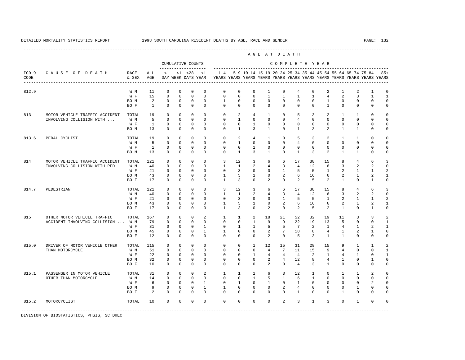A G E A T D E A T H

----------------------------------------------------------------------------------------------------------------------------------------------------

 --------------------------------------------------------------------------------------------- CUMULATIVE COUNTS C O M P L E T E Y E A R ------------------- ----------------------------------------------------------------------- ICD-9 C A U S E O F D E A T H RACE ALL <1 <1 <28 <1 1-4 5-9 10-14 15-19 20-24 25-34 35-44 45-54 55-64 65-74 75-84 85+ CODE & SEX AGE DAY WEEK DAYS YEAR YEARS YEARS YEARS YEARS YEARS YEARS YEARS YEARS YEARS YEARS YEARS YEARS ---------------------------------------------------------------------------------------------------------------------------------------------------- 812.9 W M 11 0 0 0 0 0 0 0 0 1 0 4 0 2 1 2 1 0<br>W F 15 0 0 0 0 0 0 0 0 1 1 1 1 4 2 3 1 1 W F 15 0 0 0 0 0 0 0 1 1 1 1 4 2 3 1 1 BOM 2 0 0 0 0 1 0 0 0 0 0 0 0 0 0 0 0 0 0 BO F 1 0 0 0 0 0 0 0 0 0 0 0 1 0 0 0 0 813 MOTOR VEHICLE TRAFFIC ACCIDENT TOTAL 19 0 0 0 0 0 2 4 1 0 5 3 2 1 1 0 0 INVOLVING COLLISION WITH ... W M 5 0 0 0 0 0 1 0 0 0 4 0 0 0 0 0 0 W F 1 0 0 0 0 0 0 1 0 0 0 0 0 0 0 0 0 BO M 13 0 0 0 0 0 1 3 1 0 1 3 2 1 1 0 0 813.6 PEDAL CYCLIST TOTAL 19 0 0 0 0 0 2 4 1 0 5 3 2 1 1 0 0 W M 5 0 0 0 0 0 1 0 0 0 4 0 0 0 0 0 0 W F 1 0 0 0 0 0 0 1 0 0 0 0 0 0 0 0 0 BO M 13 0 0 0 0 0 1 3 1 0 1 3 2 1 1 0 0 814 MOTOR VEHICLE TRAFFIC ACCIDENT TOTAL 121 0 0 0 0 0 3 12 3 6 6 17 38 15 8 4 6 3<br>INVOLVING COLLISION WITH PED... W M 40 0 0 0 0 0 1 1 2 4 3 4 12 6 3 2 2 0 INVOLVING COLLISION WITH PED... W M 40 0 0 0 0 0 1 1 2 4 3 4 12 6 3 2 2 0<br>W F 21 0 0 0 0 0 3 0 0 1 5 5 1 2 1 1 2 W F 21 0 0 0 0 0 3 0 0 1 5 5 1 2 1 1 2<br>BOM 43 0 0 0 0 1 5 1 0 2 6 16 6 2 1 2 1 BO M 43 0 0 0 0 1 5 1 0 2 6 16 6 2 1 2 1 BO F 17 0 0 0 0 1 3 0 2 0 2 5 2 1 0 1 0 814.7 PEDESTRIAN TOTAL 121 0 0 0 0 0 3 12 3 6 6 17 38 15 8 4 6 3<br>W M 40 0 0 0 0 1 1 2 4 3 4 12 6 3 2 2 0 W M 40 0 0 0 0 1 1 2 4 3 4 12 6 3 2 2 0 W F 21 0 0 0 0 0 3 0 0 1 5 5 1 2 1 1 2 BO M 43 0 0 0 0 1 5 1 0 2 6 16 6 2 1 2 1 BO F 17 0 0 0 0 1 3 0 2 0 2 5 2 1 0 1 0 815 OTHER MOTOR VEHICLE TRAFFIC TOTAL 167 0 0 0 2 1 1 2 18 21 52 32 19 11 3 3 2 ACCIDENT INVOLVING COLLISION ... W M 79 0 0 0 0 0 0 0 1 9 9 22 19 13 5 0 0 1<br>W F 31 0 0 0 1 0 1 1 5 5 7 2 1 4 1 2 1 W F 31 0 0 0 1 0 1 1 5 5 7<br>BOM 45 0 0 0 1 1 0 0 2 7 18 BO M 45 0 0 0 1 1 0 0 2 7 18 8 4 1 2 1 0 BO F 12 0 0 0 0 0 0 0 2 0 5 3 1 1 0 0 0 815.0 DRIVER OF MOTOR VEHICLE OTHER TOTAL 115 0 0 0 0 0 0 0 1 12 15 31 28 15 9 1 1 2<br>THAN MOTORCYCLE WIM 51 0 0 0 0 0 0 0 4 7 11 15 9 4 0 0 1 THAN MOTORCYCLE W M 51 0 0 0 0 0 0 0 4 7 11 15 9 4 0 0 1 W F 22 0 0 0 0 0 0 0 1 4 4 4 4 2 1 4 1 0 1<br>ROM 32 0 0 0 0 0 0 0 2 4 12 8 4 1 0 1 0 BO M 32 0 0 0 0 0 0 0 2 4 12 8 4 1 0 1 0 BO F 10 0 0 0 0 0 0 0 2 0 4 3 1 0 0 0 0 815.1 PASSENGER IN MOTOR VEHICLE TOTAL 31 0 0 0 2 1 1 1 6 3 12 1 0 1 1 2 0 OTHER THAN MOTORCYCLE W M 14 0 0 0 0 0 0 1 5 1 6 1 0 0 0 0 0 W F 6 0 0 0 1 0 1 0 1 0 1 0 0 0 0 2 0 BOM 9 0 0 0 1 1 0 0 0 2 4 0 0 0 1 0 0 BOF 2 0 0 0 0 0 0 0 0 0 0 0 0 1 0 0 0 0 815.2 MOTORCYCLIST TOTAL 10 0 0 0 0 0 0 0 0 2 3 1 3 0 1 0 0

-----------------------------------------------------------------------------------------------------------------------------------------------------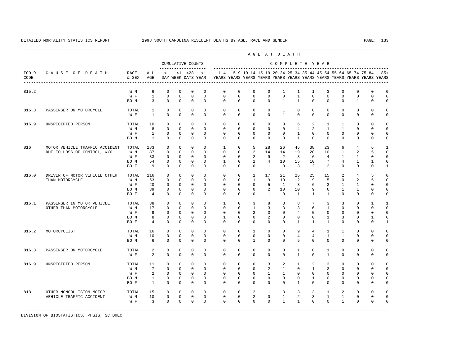---------------------------------------------------------------------------------------------------------------------------------------------------- A G E A T D E A T H --------------------------------------------------------------------------------------------- CUMULATIVE COUNTS C O M P L E T E Y E A R ------------------- ----------------------------------------------------------------------- ICD-9 C A U S E O F D E A T H RACE ALL <1 <1 <28 <1 1-4 5-9 10-14 15-19 20-24 25-34 35-44 45-54 55-64 65-74 75-84 85+ CODE & SEX AGE DAY WEEK DAYS YEAR YEARS YEARS YEARS YEARS YEARS YEARS YEARS YEARS YEARS YEARS YEARS YEARS ---------------------------------------------------------------------------------------------------------------------------------------------------- 815.2 W M 6 0 0 0 0 0 0 0 0 1 1 1 3 0 0 0 0 W F 1 0 0 0 0 0 0 0 0 0 1 0 0 0 0 0 0 BOM 3 0 0 0 0 0 0 0 0 0 1 1 0 0 0 0 1 0 0 815.3 PASSENGER ON MOTORCYCLE TOTAL 1 0 0 0 0 0 0 0 0 1 0 0 0 0 0 0 0 W F 1 0 0 0 0 0 0 0 0 1 0 0 0 0 0 0 0 815.9 UNSPECIFIED PERSON TOTAL 10 0 0 0 0 0 0 0 0 0 6 2 1 1 0 0 0 W M 8 0 0 0 0 0 0 0 0 0 4 2 1 1 0 0 0 W F 1 0 0 0 0 0 0 0 0 0 1 0 0 0 0 0 0 BO M 1 0 0 0 0 0 0 0 0 0 1 0 0 0 0 0 0 816 MOTOR VEHICLE TRAFFIC ACCIDENT TOTAL 183 0 0 0 0 1 0 5 28 26 45 38 23 6 4 6 1 DUE TO LOSS OF CONTROL, W/O ... W M 87 0 0 0 0 0 0 2 14 14 19 20 10 1 2 5 0 W F 33 0 0 0 0 0 0 0 2 9 2 8 6 4 1 1 0 0 BO M 54 0 0 0 0 1 0 1 4 10 15 10 7 4 1 1 0 BO F 9 0 0 0 0 0 0 0 1 0 3 2 2 0 0 0 1 816.0 DRIVER OF MOTOR VEHICLE OTHER TOTAL 116 0 0 0 0 0 0 1 17 21 26 25 15 2 4 5 0 THAN MOTORCYCLE W M 53 0 0 0 0 0 0 1 9 10 12 9 5 0 2 5 0 W F 20 0 0 0 0 0 0 0 0 5 1 3 6 3 1 1 0 0 BO M 39 0 0 0 0 0 0 0 2 10 10 9 6 1 1 0 0 BOF 4 0 0 0 0 0 0 0 0 0 1 0 1 1 1 0 0 0 0 816.1 PASSENGER IN MOTOR VEHICLE TOTAL 38 0 0 0 0 0 1 0 3 8 3 8 7 3 3 0 1 1<br>
OTHER THAN MOTORCYCLE W M 17 0 0 0 0 0 0 1 3 3 3 6 1 0 0 0 0 OTHER THAN MOTORCYCLE W M 17 0 0 0 0 0 0 1 3 3 3 6 1 0 0 0 0 W F 9 0 0 0 0 0 0 0 2 3 0 4 0 0 0 0 0 0 BO M 8 0 0 0 0 1 0 0 2 0 0 0 1 3 0 1 0 BO F 4 0 0 0 0 0 0 0 0 0 1 1 1 0 0 0 1 816.2 MOTORCYCLIST TOTAL 16 0 0 0 0 0 0 1 0 0 9 4 1 1 0 0 0  $\begin{array}{ccccccccccc}\n 10 & 0 & 0 & 0 & 0 & 0 & 0 & 0 \\
 6 & 0 & 0 & 0 & 0 & 0 & 0 & 1\n \end{array}$  BO M 6 0 0 0 0 0 0 1 0 0 5 0 0 0 0 0 0 816.3 PASSENGER ON MOTORCYCLE TOTAL 2 0 0 0 0 0 0 0 0 0 1 0 1 0 0 0 0 W F 2 0 0 0 0 0 0 0 0 0 1 0 1 0 0 0 0 816.9 UNSPECIFIED PERSON TOTAL 11 0 0 0 0 0 0 0 0 3 2 1 2 3 0 0 0 0<br>
WM 7 0 0 0 0 0 0 0 2 1 0 1 3 0 0 0 0 W M 7 0 0 0 0 0 0 0 2 1 0 1 3 0 0 0 0 W F 2 0 0 0 0 0 0 0 0 1 1 0 0 0 0 0 0 0 0 BO M 1 0 0 0 0 0 0 0 0 0 0 1 0 0 0 0 0 BO F 1 0 0 0 0 0 0 0 0 0 1 0 0 0 0 0 0 818 OTHER NONCOLLISION MOTOR TOTAL 15 0 0 0 0 0 0 0 2 1 3 3 3 1 2 0 0 0 VEHICLE TRAFFIC ACCIDENT WM 10 0 0 0 0 0 0 0 2 0 1 2 3 1 1 0 0 0 0<br>WF 3 0 0 0 0 0 0 0 0 0 1 1 0 0 1 0 0 0 W F 3 0 0 0 0 0 0 0 0 0 1 1 0 0 1 0 0 0 -----------------------------------------------------------------------------------------------------------------------------------------------------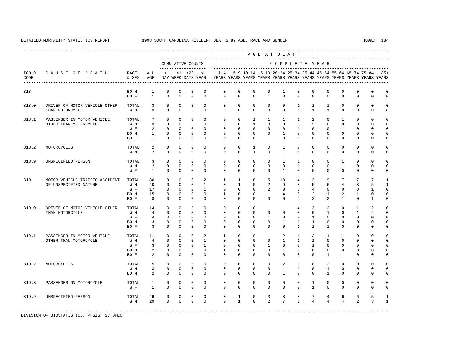|                 | AGE AT DEATH<br>CUMULATIVE COUNTS<br>COMPLETE YEAR      |                                     |                                                                            |                                                                      |                                                                       |                                                                    |                                                                 |                                                                                                       |                                                                        |                                                                       |                                                                          |                                                                     |                                                                        |                                                           |                                                                           |                                                                          |                                                               |                                                                   |                                                                           |
|-----------------|---------------------------------------------------------|-------------------------------------|----------------------------------------------------------------------------|----------------------------------------------------------------------|-----------------------------------------------------------------------|--------------------------------------------------------------------|-----------------------------------------------------------------|-------------------------------------------------------------------------------------------------------|------------------------------------------------------------------------|-----------------------------------------------------------------------|--------------------------------------------------------------------------|---------------------------------------------------------------------|------------------------------------------------------------------------|-----------------------------------------------------------|---------------------------------------------------------------------------|--------------------------------------------------------------------------|---------------------------------------------------------------|-------------------------------------------------------------------|---------------------------------------------------------------------------|
|                 |                                                         |                                     |                                                                            |                                                                      |                                                                       |                                                                    |                                                                 |                                                                                                       |                                                                        |                                                                       |                                                                          |                                                                     |                                                                        |                                                           |                                                                           |                                                                          |                                                               |                                                                   |                                                                           |
| $ICD-9$<br>CODE | CAUSE OF DEATH<br>---------------------------------     | RACE<br>& SEX                       | ALL<br>AGE                                                                 | $\leq 1$                                                             |                                                                       | -------------------<br>$<1$ $<28$                                  | <1                                                              | $1 - 4$<br>DAY WEEK DAYS YEAR YEARS YEARS YEARS YEARS YEARS YEARS YEARS YEARS YEARS YEARS YEARS YEARS |                                                                        | 5-9 10-14 15-19 20-24 25-34 35-44 45-54 55-64 65-74 75-84             |                                                                          |                                                                     |                                                                        |                                                           |                                                                           |                                                                          |                                                               |                                                                   | $85+$                                                                     |
| 818             |                                                         | BO M<br>BO F                        | $\mathbf{1}$<br>$\mathbf{1}$                                               | $\mathbf 0$<br>$\mathbf 0$                                           | $\mathbf 0$<br>$\mathbf 0$                                            | $^{\circ}$<br>$\mathbf 0$                                          | $^{\circ}$<br>$\mathbf{0}$                                      | $\mathbf 0$<br>$\circ$                                                                                | $\mathbf 0$<br>$\mathbf 0$                                             | $\mathbf 0$<br>$\mathbf{0}$                                           | $\mathbf 0$<br>$\mathbf{1}$                                              | $\mathbf{1}$<br>$\Omega$                                            | $\mathbf 0$<br>$\Omega$                                                | $\mathbf 0$<br>$\mathbf 0$                                | 0<br>$\mathbf 0$                                                          | $\mathbf 0$<br>$\Omega$                                                  | $\mathbf 0$<br>$\circ$                                        | $\mathbf 0$<br>$\mathbf 0$                                        | $\mathbf 0$<br>$\mathbf 0$                                                |
| 818.0           | DRIVER OF MOTOR VEHICLE OTHER<br>THAN MOTORCYCLE        | TOTAL<br>W M                        | 3<br>3                                                                     | $\mathbf{0}$<br>$\Omega$                                             | $\mathbf{0}$<br>$\Omega$                                              | $\mathbf{0}$<br>$\Omega$                                           | $\circ$<br>$\Omega$                                             | $^{\circ}$<br>$\Omega$                                                                                | $^{\circ}$<br>$\mathbf 0$                                              | $\mathbf{0}$<br>$\mathbf{0}$                                          | $\mathbf 0$<br>$\mathbf 0$                                               | $\circ$<br>$\Omega$                                                 | $\mathbf{1}$<br>$\mathbf{1}$                                           | $\mathbf{1}$<br>$\mathbf{1}$                              | $\mathbf{1}$<br>$\overline{1}$                                            | $\mathbf{0}$<br>$\Omega$                                                 | 0<br>$\mathbf 0$                                              | $^{\circ}$<br>$\mathbf 0$                                         | 0<br>$\mathbf 0$                                                          |
| 818.1           | PASSENGER IN MOTOR VEHICLE<br>OTHER THAN MOTORCYCLE     | TOTAL<br>W M<br>W F<br>BO M<br>BO F | $7\overline{ }$<br>$\overline{3}$<br>2<br>$\mathbf{1}$<br>$\mathbf{1}$     | $\circ$<br>$\mathbf 0$<br>$\Omega$<br>$\mathbf 0$<br>$\mathbf 0$     | $\mathbf 0$<br>$\mathbf 0$<br>$\Omega$<br>$\mathbf 0$<br>$\mathbf 0$  | $\mathbf{0}$<br>$\mathbf{0}$<br>$\Omega$<br>$\circ$<br>$\mathbf 0$ | $\Omega$<br>$\Omega$<br>$\Omega$<br>$\circ$<br>$\mathbf 0$      | $\circ$<br>$\mathbf 0$<br>$\Omega$<br>$\circ$<br>$^{\circ}$                                           | $\mathbf{0}$<br>$\mathbf 0$<br>$\Omega$<br>$\mathbf{0}$<br>$\mathbf 0$ | $\mathbf{1}$<br>$\mathbf{1}$<br>$\Omega$<br>$\circ$<br>$\mathbf 0$    | $\mathbf{1}$<br>$\Omega$<br>$\Omega$<br>$\mathbf 0$<br>$\mathbf{1}$      | $\mathbf{1}$<br>$\Omega$<br>$\Omega$<br>$\mathbf{1}$<br>$\mathbf 0$ | $\mathbf{1}$<br>$\Omega$<br>$\mathbf{1}$<br>$\mathbf 0$<br>$\mathbf 0$ | $\overline{2}$<br>2<br>$\Omega$<br>$\circ$<br>$\mathbf 0$ | $\mathbf{0}$<br>$\Omega$<br>$\Omega$<br>$\mathbf 0$<br>$\mathbf 0$        | $\mathbf{1}$<br>$\Omega$<br>$\mathbf{1}$<br>$\mathbf{0}$<br>$\mathbf{0}$ | $\mathbf 0$<br>$\Omega$<br>$\Omega$<br>$\mathbf 0$<br>$\circ$ | $\mathbf 0$<br>$\Omega$<br>$\Omega$<br>$\mathbf 0$<br>$\mathbf 0$ | $\mathbf 0$<br>$\mathbf 0$<br>$\Omega$<br>$\mathbf 0$<br>$\mathsf 0$      |
| 818.2           | MOTORCYCLIST                                            | TOTAL<br>W M                        | $\overline{a}$<br>$\overline{a}$                                           | $\mathbf{0}$<br>$\Omega$                                             | $\circ$<br>$\mathbf 0$                                                | $\mathbf{0}$<br>$\mathbf 0$                                        | $\mathbf 0$<br>$\Omega$                                         | $^{\circ}$<br>$\Omega$                                                                                | 0<br>$\Omega$                                                          | $\mathbf{1}$<br>$\mathbf{1}$                                          | 0<br>$\Omega$                                                            | $\mathbf{1}$<br>$\mathbf{1}$                                        | $^{\circ}$<br>$\Omega$                                                 | 0<br>$\Omega$                                             | $\mathbf 0$<br>$\Omega$                                                   | 0<br>$\Omega$                                                            | 0<br>$\Omega$                                                 | 0<br>$\Omega$                                                     | 0<br>$\mathbf 0$                                                          |
| 818.9           | UNSPECIFIED PERSON                                      | TOTAL<br>W M<br>W F                 | 3<br>2<br>$\mathbf{1}$                                                     | $\Omega$<br>$\Omega$<br>$\mathbf 0$                                  | $\Omega$<br>$\Omega$<br>$\mathbf 0$                                   | $\Omega$<br>$\Omega$<br>$\mathbf{0}$                               | $\Omega$<br>$\Omega$<br>$\Omega$                                | $\Omega$<br>$\Omega$<br>$\Omega$                                                                      | $\Omega$<br>$\Omega$<br>$\Omega$                                       | $\mathbf{0}$<br>$\Omega$<br>$\Omega$                                  | $\Omega$<br>$\Omega$<br>$\Omega$                                         | $\mathbf{1}$<br>$\Omega$<br>$\overline{1}$                          | $\mathbf{1}$<br>$\mathbf{1}$<br>$\Omega$                               | $\Omega$<br>$\Omega$<br>$\Omega$                          | $\Omega$<br>$\Omega$<br>$\Omega$                                          | $\mathbf{1}$<br>$\mathbf{1}$<br>$\Omega$                                 | $\Omega$<br>$\Omega$<br>$\Omega$                              | $\Omega$<br>$\Omega$<br>$\Omega$                                  | $\Omega$<br>$\Omega$<br>$\mathbf 0$                                       |
| 819             | MOTOR VEHICLE TRAFFIC ACCIDENT<br>OF UNSPECIFIED NATURE | TOTAL<br>W M<br>W F<br>BO M<br>BO F | 80<br>40<br>17<br>15<br>8                                                  | $\circ$<br>$\mathbf 0$<br>$\mathbf{0}$<br>$^{\circ}$<br>$\Omega$     | $\mathbf 0$<br>$\mathbf{0}$<br>$\mathbf{0}$<br>$^{\circ}$<br>$\Omega$ | $\circ$<br>$\mathbf{0}$<br>$\circ$<br>$^{\circ}$<br>$\mathbf 0$    | 2<br>$\mathbf{1}$<br>$\mathbf{1}$<br>$\circ$<br>$\Omega$        | $\mathbf{1}$<br>$^{\circ}$<br>$\mathbf 0$<br>1<br>$\Omega$                                            | $\mathbf{1}$<br>$\mathbf{1}$<br>$\mathbf 0$<br>$^{\circ}$<br>0         | $\circ$<br>$\mathbf 0$<br>$\mathbf 0$<br>$^{\circ}$<br>$\Omega$       | 5<br>2<br>2<br>$\mathbf{1}$<br>$\mathbf 0$                               | 13<br>9<br>$\circ$<br>$4\overline{ }$<br>$\Omega$                   | 14<br>$\overline{3}$<br>6<br>3<br>2                                    | 13<br>5<br>$\overline{4}$<br>2<br>$\mathfrak{D}$          | 9<br>6<br>$\mathbf{0}$<br>1<br>2                                          | $7\phantom{.0}$<br>$\overline{4}$<br>$\mathbf 0$<br>2<br>$\mathbf{1}$    | 7<br>3<br>3<br>1<br>$\circ$                                   | $7\phantom{.0}$<br>5<br>$\mathbf{1}$<br>0<br>1                    | $\mathbf{1}$<br>$\mathbf{1}$<br>$\mathbf 0$<br>$\mathbf 0$<br>$\mathbf 0$ |
| 819.0           | DRIVER OF MOTOR VEHICLE OTHER<br>THAN MOTORCYCLE        | TOTAL<br>W M<br>W F<br>BO M<br>BO F | 14<br>$\overline{4}$<br>$\overline{4}$<br>$\overline{3}$<br>$\overline{3}$ | $\mathbf 0$<br>$\Omega$<br>$\Omega$<br>$\mathbf 0$<br>$\circ$        | $\mathbf 0$<br>$\Omega$<br>$\Omega$<br>$\mathbf 0$<br>$\mathbf{0}$    | $\mathbf 0$<br>$\Omega$<br>$\Omega$<br>$\mathbf 0$<br>$\mathbf{0}$ | $\mathbf{0}$<br>$\Omega$<br>$\Omega$<br>$\Omega$<br>$\mathbf 0$ | $\circ$<br>$\Omega$<br>$\Omega$<br>$\mathbf 0$<br>0                                                   | $\mathbf{0}$<br>$\mathbf 0$<br>$\Omega$<br>$\mathbf 0$<br>$\mathbf 0$  | $\mathbf 0$<br>$\mathbf 0$<br>$\Omega$<br>$\mathbf 0$<br>$\mathbf 0$  | $\mathbf{1}$<br>$\Omega$<br>$\overline{1}$<br>$\mathbf 0$<br>$\mathbf 0$ | $\mathbf{1}$<br>$\Omega$<br>$\Omega$<br>$\mathbf{1}$<br>$\mathbf 0$ | $\overline{4}$<br>$\Omega$<br>$\overline{2}$<br>$\mathbf{1}$<br>1      | 3<br>$\Omega$<br>$\overline{1}$<br>$\mathbf{1}$<br>1      | 2<br>$\mathbf{1}$<br>$\Omega$<br>$\mathbf{0}$<br>$\mathbf{1}$             | $\mathbf{0}$<br>$\Omega$<br>$\Omega$<br>$\mathbf 0$<br>0                 | $\mathbf{1}$<br>1<br>$\Omega$<br>$\circ$<br>$\circ$           | 2<br>2<br>$\Omega$<br>$\mathbf 0$<br>$\mathbf 0$                  | $\mathbf 0$<br>$\mathbf 0$<br>$\Omega$<br>$\mathbf 0$<br>$\mathsf 0$      |
| 819.1           | PASSENGER IN MOTOR VEHICLE<br>OTHER THAN MOTORCYCLE     | TOTAL<br>W M<br>W F<br>BO M<br>BO F | 11<br>$\overline{4}$<br>3<br>2<br>2                                        | $^{\circ}$<br>$\mathbf 0$<br>$\mathbf 0$<br>$\mathbf{0}$<br>$\Omega$ | $\mathbf 0$<br>$\mathbf 0$<br>$^{\circ}$<br>$\circ$<br>$\Omega$       | $\mathbf 0$<br>$\Omega$<br>$\circ$<br>$\mathbf{0}$<br>$\Omega$     | 2<br>$\overline{1}$<br>$\mathbf{1}$<br>$\mathbf{0}$<br>$\Omega$ | $\mathbf{1}$<br>$\Omega$<br>$\mathbf 0$<br>$\mathbf{1}$<br>$\Omega$                                   | $\mathbf 0$<br>$\Omega$<br>$\mathbf 0$<br>0<br>$\Omega$                | $\mathbf 0$<br>$\mathbf 0$<br>$\mathbf 0$<br>$\mathbf{0}$<br>$\Omega$ | $\mathbf{1}$<br>$\Omega$<br>$\mathbf{1}$<br>$\circ$<br>$\Omega$          | 2<br>$\mathbf{1}$<br>$\mathbf 0$<br>$\mathbf{1}$<br>$\Omega$        | $\mathbf{1}$<br>$\mathbf{1}$<br>$\mathbf 0$<br>$\mathbf 0$<br>$\Omega$ | 2<br>$\mathbf{1}$<br>$\mathbf{1}$<br>0<br>$\Omega$        | $\mathbf{1}$<br>$\Omega$<br>$\mathbf{0}$<br>$\mathbf 0$<br>$\overline{1}$ | $\mathbf{1}$<br>$\Omega$<br>$\mathbf 0$<br>$\mathbf 0$<br>$\mathbf{1}$   | 0<br>$\Omega$<br>$\circ$<br>0<br>$\Omega$                     | 0<br>$\Omega$<br>$\mathbf 0$<br>0<br>$\Omega$                     | $\mathbf 0$<br>$\mathbf 0$<br>$\mathbf 0$<br>$\Omega$<br>$\Omega$         |
| 819.2           | MOTORCYCLIST                                            | TOTAL<br>W M<br>BO M                | 5<br>3<br>2                                                                | $\Omega$<br>$\mathbf 0$<br>$\mathbf{0}$                              | $\Omega$<br>$\mathbf 0$<br>$\mathbf{0}$                               | $\Omega$<br>$\circ$<br>$\mathbf 0$                                 | $\Omega$<br>$\mathbf{0}$<br>$\mathbf{0}$                        | $\Omega$<br>$\circ$<br>$^{\circ}$                                                                     | $\mathbf 0$<br>$\mathbf{0}$<br>$\circ$                                 | $\mathbf{0}$<br>$\circ$<br>$\mathbf 0$                                | $\Omega$<br>$\circ$<br>$^{\circ}$                                        | 2<br>$\mathbf{1}$<br>$\mathbf{1}$                                   | $\mathbf{1}$<br>$\mathbf{1}$<br>$\mathbf 0$                            | $\Omega$<br>$\mathbf 0$<br>$\mathbf 0$                    | 2<br>$\mathbf{1}$<br>$\mathbf{1}$                                         | $\Omega$<br>$\mathbf{0}$<br>$\mathbf 0$                                  | $\Omega$<br>$\circ$<br>0                                      | $\Omega$<br>$\mathbf 0$<br>0                                      | $\Omega$<br>$\mathbf 0$<br>$\mathsf 0$                                    |
| 819.3           | PASSENGER ON MOTORCYCLE                                 | TOTAL<br>W F                        | $\mathbf{1}$<br>$\mathbf{1}$                                               | $\mathbf 0$<br>$\mathbf 0$                                           | $\mathbf{0}$<br>$\mathbf 0$                                           | $\mathbf 0$<br>$\mathbf 0$                                         | $\mathbf 0$<br>$\mathbf 0$                                      | $\circ$<br>$\mathbf 0$                                                                                | $\mathbf 0$<br>$\mathbf 0$                                             | $\circ$<br>$\mathbf{0}$                                               | $\mathbf 0$<br>$\mathbf 0$                                               | $\mathsf{O}$<br>$\mathbf 0$                                         | $\mathbf 0$<br>$\mathbf 0$                                             | 1<br>$\mathbf{1}$                                         | $\mathbf 0$<br>$\mathbf 0$                                                | $\mathbf{0}$<br>$\mathbf 0$                                              | $\mathbf 0$<br>$\circ$                                        | $\mathbf 0$<br>$\mathbf 0$                                        | $\mathbf 0$<br>$\mathbf 0$                                                |
| 819.9           | UNSPECIFIED PERSON                                      | TOTAL<br>W M                        | 49<br>29                                                                   | $\mathbf 0$<br>$\Omega$                                              | 0<br>$\Omega$                                                         | $\circ$<br>$\mathbf{0}$                                            | $\mathbf{0}$<br>$\Omega$                                        | $\mathbf 0$<br>$\Omega$                                                                               | $\mathbf{1}$<br>$\mathbf{1}$                                           | $\circ$<br>$\Omega$                                                   | 3<br>$\overline{a}$                                                      | 8<br>$7\overline{ }$                                                | 8<br>$\mathbf{1}$                                                      | $7\overline{ }$<br>$\overline{4}$                         | $\overline{4}$<br>$\overline{4}$                                          | 6<br>$\overline{4}$                                                      | 6<br>2                                                        | 5<br>$\overline{3}$                                               | 1<br>$\mathbf{1}$                                                         |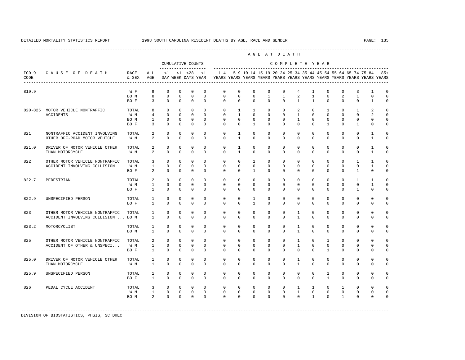---------------------------------------------------------------------------------------------------------------------------------------------------- A G E A T D E A T H --------------------------------------------------------------------------------------------- CUMULATIVE COUNTS C O M P L E T E Y E A R ------------------- ----------------------------------------------------------------------- ICD-9 C A U S E O F D E A T H RACE ALL <1 <1 <28 <1 1-4 5-9 10-14 15-19 20-24 25-34 35-44 45-54 55-64 65-74 75-84 85+ CODE & SEX AGE DAY WEEK DAYS YEAR YEARS YEARS YEARS YEARS YEARS YEARS YEARS YEARS YEARS YEARS YEARS YEARS ---------------------------------------------------------------------------------------------------------------------------------------------------- 819.9 W F 9 0 0 0 0 0 0 0 0 0 0 4 1 0 0 3 1 0<br>BOM 8 0 0 0 0 0 0 0 1 1 2 1 0 2 1 0 0  $\begin{matrix} 0 & 0 & 0 & 0 \end{matrix}$  BO F 3 0 0 0 0 0 0 0 0 0 1 1 0 0 0 1 0 820-825 MOTOR VEHICLE NONTRAFFIC TOTAL 8 0 0 0 0 0 1 1 0 0 2 0 1 0 1 2 0 ACCIDENTS W M 4 0 0 0 0 0 1 0 0 0 1 0 0 0 0 2 0 BO M 1 0 0 0 0 0 0 0 0 0 1 0 0 0 0 0 0 BOF 3 0 0 0 0 0 0 0 1 0 0 0 0 0 1 0 1 0 0 821 NONTRAFFIC ACCIDENT INVOLVING TOTAL 2 0 0 0 0 0 1 0 0 0 0 0 0 0 0 0 1 0<br>OTHER OFF-ROAD MOTOR VEHICLE. W.M. 2 0 0 0 0 0 1 0 0 0 0 0 0 0 0 0 1 0 OTHER OFF-ROAD MOTOR VEHICLE W M 2 0 0 0 0 0 1 0 0 0 0 0 0 0 0 0 0 1 0 821.0 DRIVER OF MOTOR VEHICLE OTHER TOTAL 2 0 0 0 0 0 1 0 0 0 0 0 0 0 0 0 1 0<br>THAN MOTORCYCLE WM 2 0 0 0 0 0 1 0 0 0 0 0 0 0 0 1 0 THAN MOTORCYCLE W M 2 0 0 0 0 0 1 0 0 0 0 0 0 0 0 1 0 822 OTHER MOTOR VEHICLE NONTRAFFIC TOTAL 3 0 0 0 0 0 0 1 0 0 0 0 0 0 1 1 0 ACCIDENT INVOLVING COLLISION ... W M 1 0 0 0 0 0 0 0 0 0 0 0 0 0 0 1 0 BOF 2 0 0 0 0 0 0 1 0 0 0 0 0 0 0 1 0 0 822.7 PEDESTRIAN TOTAL 2 0 0 0 0 0 0 0 0 0 0 0 0 0 1 1 0 W M 1 0 0 0 0 0 0 0 0 0 0 0 0 0 0 1 0 BOF 1 0 0 0 0 0 0 0 0 0 0 0 0 0 1 0 0 822.9 UNSPECIFIED PERSON TOTAL 1 0 0 0 0 0 0 1 0 0 0 0 0 0 0 0 0 BO F 1 0 0 0 0 0 0 1 0 0 0 0 0 0 0 0 0 823 OTHER MOTOR VEHICLE NONTRAFFIC TOTAL 1 0 0 0 0 0 0 0 0 0 1 0 0 0 0 0 0 ACCIDENT INVOLVING COLLISION ... BO M 1 0 0 0 0 0 0 0 0 0 1 0 0 0 0 0 0 823.2 MOTORCYCLIST TOTAL 1 0 0 0 0 0 0 0 0 0 1 0 0 0 0 0 0 BO M 1 0 0 0 0 0 0 0 0 0 1 0 0 0 0 0 0 825 OTHER MOTOR VEHICLE NONTRAFFIC TOTAL 2 0 0 0 0 0 0 0 0 0 1 0 1 0 0 0 0 ACCIDENT OF OTHER & UNSPECI... W M 1 0 0 0 0 0 0 0 0 0 1 0 0 0 0 0 0 BO F 1 0 0 0 0 0 0 0 0 0 0 0 1 0 0 0 0 825.0 DRIVER OF MOTOR VEHICLE OTHER TOTAL 1 0 0 0 0 0 0 0 0 0 1 0 0 0 0 0 0 THAN MOTORCYCLE W M 1 0 0 0 0 0 0 0 0 0 1 0 0 0 0 0 0 825.9 UNSPECIFIED PERSON TOTAL 1 0 0 0 0 0 0 0 0 0 0 0 1 0 0 0 0 BO F 1 0 0 0 0 0 0 0 0 0 0 0 1 0 0 0 0 826 PEDAL CYCLE ACCIDENT TOTAL 3 0 0 0 0 0 0 0 0 0 1 1 0 1 0 0 0 W M 1 0 0 0 0 0 0 0 0 0 1 0 0 0 0 0 0 BOM 2 0 0 0 0 0 0 0 0 0 0 0 1 0 1 0 0 0

-----------------------------------------------------------------------------------------------------------------------------------------------------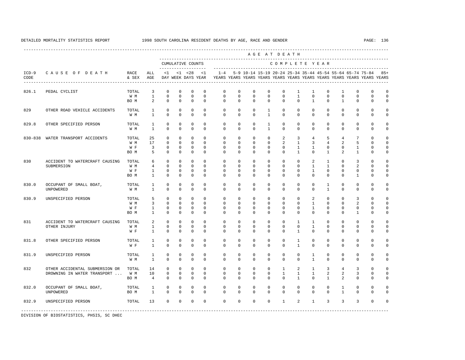----------------------------------------------------------------------------------------------------------------------------------------------------

 A G E A T D E A T H --------------------------------------------------------------------------------------------- CUMULATIVE COUNTS C O M P L E T E Y E A R ------------------- ----------------------------------------------------------------------- ICD-9 C A U S E O F D E A T H RACE ALL <1 <1 <28 <1 1-4 5-9 10-14 15-19 20-24 25-34 35-44 45-54 55-64 65-74 75-84 85+ CODE & SEX AGE DAY WEEK DAYS YEAR YEARS YEARS YEARS YEARS YEARS YEARS YEARS YEARS YEARS YEARS YEARS YEARS ---------------------------------------------------------------------------------------------------------------------------------------------------- 826.1 PEDAL CYCLIST TOTAL 3 0 0 0 0 0 0 0 0 0 1 1 0 1 0 0 0  $0 \qquad 0 \qquad 0 \qquad 0$ BOM 2 0 0 0 0 0 0 0 0 0 0 0 1 0 1 0 0 0 829 OTHER ROAD VEHICLE ACCIDENTS TOTAL 1 0 0 0 0 0 0 0 1 0 0 0 0 0 0 0 0 W M 1 0 0 0 0 0 0 0 1 0 0 0 0 0 0 0 0 829.8 OTHER SPECIFIED PERSON TOTAL 1 0 0 0 0 0 0 0 1 0 0 0 0 0 0 0 0 W M 1 0 0 0 0 0 0 0 1 0 0 0 0 0 0 0 0 830-838 WATER TRANSPORT ACCIDENTS TOTAL 25 0 0 0 0 0 0 0 0 2 3 4 5 4 7 0 0 W M 17 0 0 0 0 0 0 0 0 2 1 3 4 2 5 0 0 W F 3 0 0 0 0 0 0 0 0 0 0 1 1 0 0 1 0 0 BOM 5 0 0 0 0 0 0 0 0 0 0 1 0 1 2 1 0 0 830 ACCIDENT TO WATERCRAFT CAUSING TOTAL 6 0 0 0 0 0 0 0 0 0 0 2 1 0 3 0 0 SUBMERSION W M 4 0 0 0 0 0 0 0 0 0 0 1 1 0 2 0 0 W F 1 0 0 0 0 0 0 0 0 0 0 1 0 0 0 0 0 BOM 1 0 0 0 0 0 0 0 0 0 0 0 0 0 1 0 0 830.0 OCCUPANT OF SMALL BOAT, TOTAL 1 0 0 0 0 0 0 0 0 0 0 0 1 0 0 0 0 UNPOWERED W M 1 0 0 0 0 0 0 0 0 0 0 0 1 0 0 0 0 830.9 UNSPECIFIED PERSON TOTAL 5 0 0 0 0 0 0 0 0 0 0 2 0 0 3 0 0 W M 3 0 0 0 0 0 0 0 0 0 0 0 0 0 2 0 0 W F 1 0 0 0 0 0 0 0 0 0 0 1 0 0 0 0 0 BOM 1 0 0 0 0 0 0 0 0 0 0 0 0 0 0 1 0 0 831 ACCIDENT TO WATERCRAFT CAUSING TOTAL 2 0 0 0 0 0 0 0 0 0 1 1 0 0 0 0 0 OTHER INJURY W M 1 0 0 0 0 0 0 0 0 0 0 1 0 0 0 0 0 W F 1 0 0 0 0 0 0 0 0 0 1 0 0 0 0 0 0 831.8 OTHER SPECIFIED PERSON TOTAL 1 0 0 0 0 0 0 0 0 0 0 1 0 0 0 0 0 0 0 W F 1 0 0 0 0 0 0 0 0 0 1 0 0 0 0 0 0 831.9 UNSPECIFIED PERSON TOTAL 1 0 0 0 0 0 0 0 0 0 0 1 0 0 0 0 0  $\begin{array}{ccccccccccccc}\n1 & 0 & 0 & 0 & 0\n\end{array}$  832 OTHER ACCIDENTAL SUBMERSION OR TOTAL 14 0 0 0 0 0 0 0 0 1 2 1 3 4 3 0 0 DROWNING IN WATER TRANSPORT ... W M 10 0 0 0 0 0 0 0 0 0 0 1 1 1 2 2 3 0 0<br>BOM 4 0 0 0 0 0 0 0 0 0 0 1 0 1 2 0 0 0 BOM 4 0 0 0 0 0 0 0 0 0 0 0 1 0 1 2 0 0 0 832.0 OCCUPANT OF SMALL BOAT, TOTAL 1 0 0 0 0 0 0 0 0 0 0 0 0 1 0 0 0 UNPOWERED BO M 1 0 0 0 0 0 0 0 0 0 0 0 0 1 0 0 0 832.9 UNSPECIFIED PERSON TOTAL 13 0 0 0 0 0 0 0 0 1 2 1 3 3 3 0 0 -----------------------------------------------------------------------------------------------------------------------------------------------------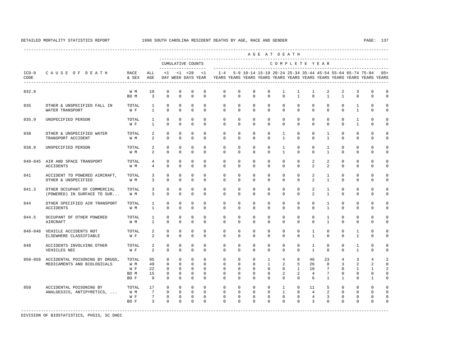|                 |                                                                       |                                     |                                              |                                                      |                                                                    |                                                                |                                                                 |                                                                                                       |                                                             |                                                             |                                                                     | AGE AT DEATH                                                 |                                                  |                                                          |                                                   |                                                                    |                                                                            |                                                                                |                                                                            |
|-----------------|-----------------------------------------------------------------------|-------------------------------------|----------------------------------------------|------------------------------------------------------|--------------------------------------------------------------------|----------------------------------------------------------------|-----------------------------------------------------------------|-------------------------------------------------------------------------------------------------------|-------------------------------------------------------------|-------------------------------------------------------------|---------------------------------------------------------------------|--------------------------------------------------------------|--------------------------------------------------|----------------------------------------------------------|---------------------------------------------------|--------------------------------------------------------------------|----------------------------------------------------------------------------|--------------------------------------------------------------------------------|----------------------------------------------------------------------------|
|                 |                                                                       |                                     |                                              |                                                      |                                                                    | CUMULATIVE COUNTS                                              |                                                                 |                                                                                                       |                                                             |                                                             |                                                                     |                                                              |                                                  | COMPLETE YEAR                                            |                                                   |                                                                    |                                                                            |                                                                                |                                                                            |
| $ICD-9$<br>CODE | CAUSE OF DEATH<br>___________________________________                 | RACE<br>& SEX                       | ALL<br>AGE                                   |                                                      |                                                                    | $<1$ $<1$ $<28$                                                | ____________________<br><1                                      | $1 - 4$<br>DAY WEEK DAYS YEAR YEARS YEARS YEARS YEARS YEARS YEARS YEARS YEARS YEARS YEARS YEARS YEARS |                                                             | 5-9 10-14 15-19 20-24 25-34 35-44 45-54 55-64 65-74 75-84   |                                                                     |                                                              |                                                  |                                                          |                                                   |                                                                    |                                                                            |                                                                                | $85+$                                                                      |
| 832.9           |                                                                       | W M<br>BO M                         | 10<br>$\overline{3}$                         | $\mathbf{0}$<br>$\Omega$                             | $\mathbf{0}$<br>$\Omega$                                           | $\mathbf{0}$<br>$\Omega$                                       | $\mathbf 0$<br>$\Omega$                                         | $\mathbf 0$<br>$\Omega$                                                                               | $\mathbf 0$<br>$\Omega$                                     | 0<br>$\Omega$                                               | $\mathbf 0$<br>$\Omega$                                             | $\mathbf{1}$<br>$\Omega$                                     | $\mathbf{1}$<br>$\mathbf{1}$                     | $\mathbf{1}$<br>$\Omega$                                 | 2<br>$\mathbf{1}$                                 | 2<br>$\mathbf{1}$                                                  | 3<br>$\Omega$                                                              | $\mathbf 0$<br>$\Omega$                                                        | $\mathbf 0$<br>$\mathbf 0$                                                 |
| 835             | OTHER & UNSPECIFIED FALL IN                                           | TOTAL                               | $\mathbf{1}$                                 | $\mathbf{0}$                                         | $\mathbf{0}$                                                       | $\mathbf{0}$                                                   | $\mathbf 0$                                                     | 0                                                                                                     | $\mathbf 0$                                                 | $\mathbf 0$                                                 | $\mathbf 0$                                                         | $\circ$                                                      | $\mathbf 0$                                      | $\circ$                                                  | $\circ$                                           | $\circ$                                                            | $\mathbf{1}$                                                               | $\mathbf 0$                                                                    | $\mathbf 0$                                                                |
|                 | WATER TRANSPORT                                                       | W F                                 | $\mathbf{1}$                                 | $\Omega$                                             | $\Omega$                                                           | $\Omega$                                                       | $\Omega$                                                        | $\Omega$                                                                                              | $\Omega$                                                    | $\Omega$                                                    | $\Omega$                                                            | $\Omega$                                                     | $\Omega$                                         | $\Omega$                                                 | $\Omega$                                          | $\Omega$                                                           | $\mathbf{1}$                                                               | $\Omega$                                                                       | $\mathbf 0$                                                                |
| 835.9           | UNSPECIFIED PERSON                                                    | TOTAL<br>W F                        | $\mathbf{1}$<br>$\mathbf{1}$                 | $\mathbf 0$<br>$\Omega$                              | $\mathbf{0}$<br>$\Omega$                                           | $\mathbf{0}$<br>$\Omega$                                       | $\mathbf 0$<br>$\Omega$                                         | $\mathbf 0$<br>$\Omega$                                                                               | $\mathbf 0$<br>$\Omega$                                     | $\mathbf 0$<br>$\Omega$                                     | $\mathbf 0$<br>$\Omega$                                             | $\mathbf{0}$<br>$\Omega$                                     | $\mathbf 0$<br>$\Omega$                          | $\mathbf 0$<br>$\Omega$                                  | $\mathbf 0$<br>$\Omega$                           | $\circ$<br>$\Omega$                                                | $\mathbf{1}$<br>$\mathbf{1}$                                               | $\mathbf 0$<br>$\Omega$                                                        | $\mathbf 0$<br>$\mathbf 0$                                                 |
| 838             | OTHER & UNSPECIFIED WATER                                             | TOTAL                               | $\overline{a}$                               | $\Omega$                                             | $\Omega$                                                           | $\mathbf 0$                                                    | $\Omega$                                                        | $\Omega$                                                                                              | $\mathbf 0$                                                 | $\mathbf 0$                                                 | $\mathbf 0$                                                         | $\mathbf{1}$                                                 | $\Omega$                                         | $\mathbf 0$                                              | $\mathbf{1}$                                      | $\circ$                                                            | $\mathbf 0$                                                                | $\mathbf 0$                                                                    | $\mathbf 0$                                                                |
|                 | TRANSPORT ACCIDENT                                                    | W M                                 | $\overline{a}$                               | $\Omega$                                             | $\Omega$                                                           | $\Omega$                                                       | $\Omega$                                                        | $\Omega$                                                                                              | $\Omega$                                                    | $\Omega$                                                    | $\Omega$                                                            | $\mathbf{1}$                                                 | $\Omega$                                         | $\Omega$                                                 | $\mathbf{1}$                                      | $\Omega$                                                           | $\mathbf 0$                                                                | $\mathbf 0$                                                                    | $\mathbf 0$                                                                |
| 838.9           | UNSPECIFIED PERSON                                                    | TOTAL<br>W M                        | $\overline{2}$<br>$\overline{a}$             | $\mathbf{0}$<br>$\Omega$                             | $\Omega$<br>$\Omega$                                               | $\mathbf{0}$<br>$\Omega$                                       | $\Omega$<br>$\Omega$                                            | $\mathbf 0$<br>$\Omega$                                                                               | $\Omega$<br>$\Omega$                                        | $\mathbf 0$<br>$\Omega$                                     | $\mathbf 0$<br>$\Omega$                                             | $\mathbf{1}$<br>$\mathbf{1}$                                 | $\Omega$<br>$\Omega$                             | $\mathbf 0$<br>$\Omega$                                  | $\mathbf{1}$<br>$\mathbf{1}$                      | $\mathbf 0$<br>$\Omega$                                            | $\mathbf 0$<br>$\Omega$                                                    | $\mathbf 0$<br>$\Omega$                                                        | $\mathbf 0$<br>$\mathbf 0$                                                 |
| $840 - 845$     | AIR AND SPACE TRANSPORT                                               | TOTAL                               | 4                                            | $\mathbf{0}$                                         | $\Omega$                                                           | $\mathbf{0}$                                                   | $\Omega$                                                        | $\Omega$                                                                                              | $\Omega$                                                    | $\Omega$                                                    | $\Omega$                                                            | $\Omega$                                                     | $\Omega$                                         | $\overline{a}$                                           | 2                                                 | $\mathbf 0$                                                        | $\mathbf 0$                                                                | $\mathbf 0$                                                                    | $\mathbf 0$                                                                |
|                 | <b>ACCIDENTS</b>                                                      | W M                                 | $\overline{4}$                               | $\Omega$                                             | $\Omega$                                                           | $\Omega$                                                       | $\Omega$                                                        | $\Omega$                                                                                              | $\Omega$                                                    | $\Omega$                                                    | $\Omega$                                                            | $\Omega$                                                     | $\Omega$                                         | $\overline{2}$                                           | $\overline{a}$                                    | $\Omega$                                                           | $\Omega$                                                                   | $\Omega$                                                                       | $\Omega$                                                                   |
| 841             | ACCIDENT TO POWERED AIRCRAFT,                                         | TOTAL                               | $\overline{3}$                               | $\Omega$                                             | $\Omega$                                                           | $\Omega$                                                       | $\Omega$                                                        | $\Omega$                                                                                              | $\Omega$                                                    | $\Omega$                                                    | $\Omega$                                                            | $\Omega$                                                     | $\Omega$                                         | $\overline{a}$                                           | $\mathbf{1}$                                      | $\Omega$                                                           | $\mathbf 0$                                                                | $\Omega$                                                                       | $\Omega$                                                                   |
|                 | OTHER & UNSPECIFIED                                                   | W M                                 | $\overline{3}$                               | $\Omega$                                             | $\mathbf 0$                                                        | $\mathbf{0}$                                                   | $\mathbf 0$                                                     | $\Omega$                                                                                              | $\Omega$                                                    | $\mathbf 0$                                                 | 0                                                                   | $\mathbf 0$                                                  | 0                                                | 2                                                        | $\mathbf{1}$                                      | $\Omega$                                                           | $\mathbf 0$                                                                | $\mathbf 0$                                                                    | $\mathbf 0$                                                                |
| 841.3           | OTHER OCCUPANT OF COMMERCIAL                                          | TOTAL                               | 3                                            | $\mathbf 0$                                          | $\Omega$                                                           | $\mathbf{0}$                                                   | $\Omega$                                                        | $\mathbf 0$                                                                                           | $\mathbf 0$                                                 | $\mathbf 0$                                                 | $\mathbf 0$                                                         | $\mathbf 0$                                                  | 0                                                | 2                                                        | $\mathbf{1}$                                      | $\mathbf 0$                                                        | $\mathbf 0$                                                                | $\mathbf 0$                                                                    | $\mathbf 0$                                                                |
|                 | (POWERED) IN SURFACE TO SUR                                           | W M                                 | $\overline{3}$                               | $\Omega$                                             | $\mathbf{0}$                                                       | $\mathbf 0$                                                    | $\Omega$                                                        | $\Omega$                                                                                              | $\Omega$                                                    | $\Omega$                                                    | $\Omega$                                                            | $\Omega$                                                     | $\Omega$                                         | 2                                                        | $\mathbf{1}$                                      | $\Omega$                                                           | $\mathbf 0$                                                                | $\Omega$                                                                       | $\mathbf 0$                                                                |
| 844             | OTHER SPECIFIED AIR TRANSPORT                                         | TOTAL                               | $\mathbf{1}$                                 | $\Omega$                                             | $\Omega$                                                           | $\mathbf{0}$                                                   | $\Omega$                                                        | $\Omega$                                                                                              | $\Omega$                                                    | $\Omega$                                                    | $\Omega$                                                            | $\Omega$                                                     | $\Omega$                                         | $\Omega$                                                 | $\mathbf{1}$                                      | $\Omega$                                                           | $\Omega$                                                                   | $\Omega$                                                                       | $\mathbf 0$                                                                |
|                 | <b>ACCIDENTS</b>                                                      | W M                                 | $\mathbf{1}$                                 | $\Omega$                                             | $\Omega$                                                           | $\Omega$                                                       | $\Omega$                                                        | $\Omega$                                                                                              | $\Omega$                                                    | $\Omega$                                                    | $\Omega$                                                            | $\Omega$                                                     | $\Omega$                                         | $\Omega$                                                 | $\mathbf{1}$                                      | $\Omega$                                                           | $\mathbf 0$                                                                | $\Omega$                                                                       | $\mathbf 0$                                                                |
| 844.5           | OCCUPANT OF OTHER POWERED                                             | TOTAL                               | $\mathbf{1}$                                 | $\Omega$                                             | $\Omega$                                                           | $\Omega$                                                       | $\Omega$                                                        | $\Omega$                                                                                              | $\Omega$                                                    | $\Omega$                                                    | $\Omega$                                                            | $\Omega$                                                     | $\Omega$                                         | $\Omega$                                                 | $\overline{1}$                                    | $\Omega$                                                           | $\Omega$                                                                   | $\Omega$                                                                       | $\Omega$                                                                   |
|                 | AIRCRAFT                                                              | W M                                 | $\overline{1}$                               | $\Omega$                                             | $\Omega$                                                           | $\Omega$                                                       | $\Omega$                                                        | $\Omega$                                                                                              | $\Omega$                                                    | $\Omega$                                                    | $\Omega$                                                            | $\Omega$                                                     | $\Omega$                                         | $\Omega$                                                 | $\mathbf{1}$                                      | $\Omega$                                                           | $\Omega$                                                                   | $\Omega$                                                                       | $\Omega$                                                                   |
|                 | 846-848 VEHICLE ACCIDENTS NOT                                         | TOTAL                               | 2                                            | $\mathbf 0$                                          | $\mathbf{0}$                                                       | $\mathbf{0}$                                                   | $\Omega$                                                        | $\mathbf 0$                                                                                           | $\mathbf 0$                                                 | $\mathbf 0$                                                 | 0                                                                   | $\mathbf{0}$                                                 | 0                                                | 1                                                        | $\mathbf 0$                                       | $\mathbf 0$                                                        | $\mathbf{1}$                                                               | $\mathbf 0$                                                                    | 0                                                                          |
|                 | ELSEWHERE CLASSIFIABLE                                                | W F                                 | 2                                            | $\Omega$                                             | $\Omega$                                                           | $\Omega$                                                       | $\Omega$                                                        | $\Omega$                                                                                              | $\Omega$                                                    | $\Omega$                                                    | $\Omega$                                                            | $\Omega$                                                     | $\Omega$                                         | $\mathbf{1}$                                             | $\Omega$                                          | $\Omega$                                                           | $\mathbf{1}$                                                               | $\Omega$                                                                       | $\Omega$                                                                   |
| 848             | ACCIDENTS INVOLVING OTHER                                             | TOTAL                               | 2                                            | $\mathbf 0$                                          | $\mathbf{0}$                                                       | $\mathbf{0}$                                                   | $\Omega$                                                        | $\Omega$                                                                                              | $\Omega$                                                    | $\Omega$                                                    | $\mathbf 0$                                                         | $\Omega$                                                     | $\Omega$                                         | $\overline{1}$                                           | $\circ$                                           | $\circ$                                                            | $\mathbf{1}$                                                               | $\mathbf 0$                                                                    | $\mathbf 0$                                                                |
|                 | VEHICLES NEC                                                          | W F                                 | $\overline{2}$                               | $\Omega$                                             | $\Omega$                                                           | $\Omega$                                                       | $\Omega$                                                        | $\Omega$                                                                                              | $\Omega$                                                    | $\Omega$                                                    | $\Omega$                                                            | $\Omega$                                                     | $\Omega$                                         | $\overline{1}$                                           | $\Omega$                                          | $\Omega$                                                           | $\mathbf{1}$                                                               | $\Omega$                                                                       | $\mathbf 0$                                                                |
|                 | 850-858 ACCIDENTAL POISONING BY DRUGS,<br>MEDICAMENTS AND BIOLOGICALS | TOTAL<br>W M<br>W F<br>BO M<br>BO F | 95<br>49<br>22<br>15<br>9                    | $\Omega$<br>$\Omega$<br>$\mathbf 0$<br>0<br>$\Omega$ | $\mathbf 0$<br>$\Omega$<br>$\mathbf 0$<br>$\mathbf{0}$<br>$\Omega$ | $\mathbf{0}$<br>$\Omega$<br>$\circ$<br>$\mathbb O$<br>$\Omega$ | $\Omega$<br>$\Omega$<br>$\mathbf{0}$<br>$\mathbf 0$<br>$\Omega$ | $\Omega$<br>$\Omega$<br>$\mathbf 0$<br>$\Omega$<br>$\Omega$                                           | $\Omega$<br>$\Omega$<br>$\mathbf 0$<br>$\Omega$<br>$\Omega$ | $\Omega$<br>$\Omega$<br>$\mathbf 0$<br>$\Omega$<br>$\Omega$ | $\mathbf{1}$<br>$\mathbf{1}$<br>$\mathbf 0$<br>$\Omega$<br>$\Omega$ | $\overline{4}$<br>$\overline{a}$<br>$\circ$<br>2<br>$\Omega$ | 8<br>5<br>$\mathbf{1}$<br>2<br>$\Omega$          | 46<br>26<br>10<br>$\overline{4}$<br>6                    | 23<br>8<br>$7\overline{ }$<br>7<br>$\overline{1}$ | $\overline{4}$<br>3<br>$\mathbf{0}$<br>$\mathbf 0$<br>$\mathbf{1}$ | $\overline{3}$<br>$\overline{a}$<br>$\mathbf{1}$<br>$^{\circ}$<br>$\Omega$ | $\overline{4}$<br>$\mathcal{L}$<br>$\mathbf{1}$<br>$\mathbf 0$<br>$\mathbf{1}$ | $\overline{2}$<br>$\Omega$<br>$\overline{2}$<br>$\mathbf 0$<br>$\mathbf 0$ |
| 850             | ACCIDENTAL POISONING BY<br>ANALGESICS, ANTIPYRETICS,                  | TOTAL<br>W M<br>W F<br>BO F         | 17<br>$7\overline{ }$<br>7<br>$\overline{3}$ | $\mathbf{0}$<br>$\Omega$<br>0<br>$\Omega$            | $\mathbf{0}$<br>$\Omega$<br>$\overline{0}$<br>$\Omega$             | $\mathbf{0}$<br>$\bigcirc$<br>$\overline{0}$<br>$\Omega$       | $\Omega$<br>$\Omega$<br>$\circ$<br>$\Omega$                     | $\Omega$<br>$\Omega$<br>$\mathbf{0}$<br>$\Omega$                                                      | $^{\circ}$<br>$\Omega$<br>$\mathbf 0$<br>$\Omega$           | $\overline{0}$<br>$\Omega$<br>$\mathbf 0$<br>$\Omega$       | $^{\circ}$<br>$\Omega$<br>$\mathbf 0$<br>$\Omega$                   | $\mathbf{1}$<br>$\overline{1}$<br>$\circ$<br>$\Omega$        | $^{\circ}$<br>$\cap$<br>$\mathbf{0}$<br>$\Omega$ | 11<br>$\overline{4}$<br>$\overline{4}$<br>$\overline{3}$ | 5<br>$\overline{a}$<br>$\overline{3}$<br>$\Omega$ | $\Omega$<br>$\Omega$<br>$\circ$<br>$\Omega$                        | $\mathbf 0$<br>$\Omega$<br>$\mathbf 0$<br>$\Omega$                         | $\Omega$<br>$\Omega$<br>$\mathbf 0$<br>$\Omega$                                | $\mathbf 0$<br>$\Omega$<br>$\mathbf 0$<br>$\mathbf 0$                      |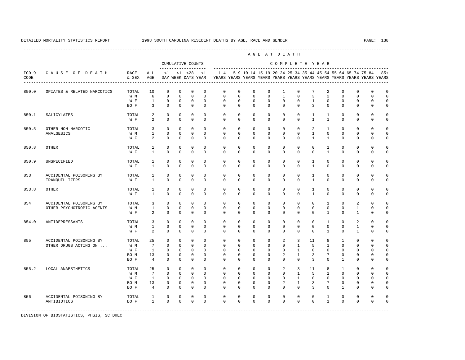---------------------------------------------------------------------------------------------------------------------------------------------------- A G E A T D E A T H --------------------------------------------------------------------------------------------- CUMULATIVE COUNTS C O M P L E T E Y E A R ------------------- ----------------------------------------------------------------------- ICD-9 C A U S E O F D E A T H RACE ALL <1 <1 <28 <1 1-4 5-9 10-14 15-19 20-24 25-34 35-44 45-54 55-64 65-74 75-84 85+ CODE & SEX AGE DAY WEEK DAYS YEAR YEARS YEARS YEARS YEARS YEARS YEARS YEARS YEARS YEARS YEARS YEARS YEARS ---------------------------------------------------------------------------------------------------------------------------------------------------- 850.0 OPIATES & RELATED NARCOTICS TOTAL 10 0 0 0 0 0 0 0 0 0 0 1 0 7 2 0 0 0 0 0<br>W M 6 0 0 0 0 0 0 0 0 1 0 3 2 0 0 0 0 W M 6 0 0 0 0 0 0 0 0 1 0 3 2 0 0 0 0 W F 1 0 0 0 0 0 0 0 0 0 0 1 0 0 0 0 0 BOF 3 0 0 0 0 0 0 0 0 0 0 3 0 0 0 0 0 850.1 SALICYLATES TOTAL 2 0 0 0 0 0 0 0 0 0 0 1 1 0 0 0 0 W F 2 0 0 0 0 0 0 0 0 0 0 0 1 1 0 0 0 0 850.5 OTHER NON-NARCOTIC TOTAL 3 0 0 0 0 0 0 0 0 0 0 2 1 0 0 0 0 ANALGESICS W M 1 0 0 0 0 0 0 0 0 0 0 1 0 0 0 0 0 W F 2 0 0 0 0 0 0 0 0 0 0 0 1 1 0 0 0 0 850.8 OTHER TOTAL 1 0 0 0 0 0 0 0 0 0 0 0 1 0 0 0 0 W F 1 0 0 0 0 0 0 0 0 0 0 0 1 0 0 0 0 850.9 UNSPECIFIED TOTAL 1 0 0 0 0 0 0 0 0 0 0 1 0 0 0 0 0 W F 1 0 0 0 0 0 0 0 0 0 0 1 0 0 0 0 0 853 ACCIDENTAL POISONING BY TOTAL 1 0 0 0 0 0 0 0 0 0 0 1 0 0 0 0 0 TRANQUILLIZERS W F 1 0 0 0 0 0 0 0 0 0 0 1 0 0 0 0 0 853.8 OTHER TOTAL 1 0 0 0 0 0 0 0 0 0 0 1 0 0 0 0 0 W F 1 0 0 0 0 0 0 0 0 0 0 1 0 0 0 0 0 854 ACCIDENTAL POISONING BY TOTAL 3 0 0 0 0 0 0 0 0 0 0 0 0 0 1 0 2 0 0<br>OTHER PSYCHOTROPIC AGENTS WM 1 0 0 0 0 0 0 0 0 0 0 0 0 0 0 1 0 0 OTHER PSYCHOTROPIC AGENTS W M 1 0 0 0 0 0 0 0 0 0 0 0 0 0 1 0 0 W F 2 0 0 0 0 0 0 0 0 0 0 0 0 1 0 1 0 0 854.0 ANTIDEPRESSANTS TOTAL 3 0 0 0 0 0 0 0 0 0 0 0 1 0 2 0 0 W M 1 0 0 0 0 0 0 0 0 0 0 0 0 0 1 0 0 W F 2 0 0 0 0 0 0 0 0 0 0 0 0 1 0 1 0 0 855 ACCIDENTAL POISONING BY TOTAL 25 0 0 0 0 0 0 0 0 2 3 11 8 1 0 0 0 OTHER DRUGS ACTING ON ... W M 7 0 0 0 0 0 0 0 0 0 1 5 1 0 0 0 0 W F 1 0 0 0 0 0 0 0 0 0 1 0 0 0 0 0 0 BO M 13 0 0 0 0 0 0 0 0 2 1 3 7 0 0 0 0 BOF 4 0 0 0 0 0 0 0 0 0 0 0 3 0 1 0 0 0 855.2 LOCAL ANAESTHETICS TOTAL 25 0 0 0 0 0 0 0 0 2 3 11 8 1 0 0 0 W M 7 0 0 0 0 0 0 0 0 0 1 5 1 0 0 0 0 W F 1 0 0 0 0 0 0 0 0 0 1 0 0 0 0 0 0 BOM 13 0 0 0 0 0 0 0 0 0 2 1 3 7 0 0 0 0 BOF 4 0 0 0 0 0 0 0 0 0 0 0 0 1 0 0 0 856 ACCIDENTAL POISONING BY TOTAL 1 0 0 0 0 0 0 0 0 0 0 0 1 0 0 0 0 ANTIBIOTICS BO F 1 0 0 0 0 0 0 0 0 0 0 0 1 0 0 0 0 -----------------------------------------------------------------------------------------------------------------------------------------------------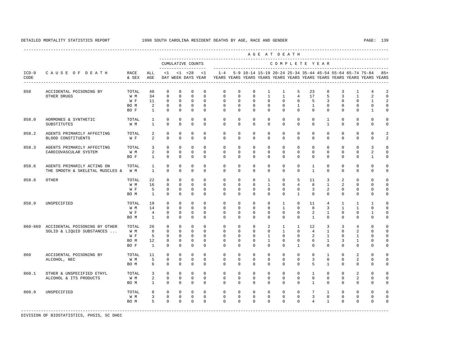| AGE AT DEATH    |                                                                    |                                     |                                                  |                                                                      |                                                                    |                                                                         |                                                                |                                                                                    |                                                                       |                                                                |                                                                   |                                                          |                                                              |                                                   |                                                              |                                                          |                                                                    |                                                  |                                                                         |
|-----------------|--------------------------------------------------------------------|-------------------------------------|--------------------------------------------------|----------------------------------------------------------------------|--------------------------------------------------------------------|-------------------------------------------------------------------------|----------------------------------------------------------------|------------------------------------------------------------------------------------|-----------------------------------------------------------------------|----------------------------------------------------------------|-------------------------------------------------------------------|----------------------------------------------------------|--------------------------------------------------------------|---------------------------------------------------|--------------------------------------------------------------|----------------------------------------------------------|--------------------------------------------------------------------|--------------------------------------------------|-------------------------------------------------------------------------|
|                 |                                                                    |                                     |                                                  |                                                                      |                                                                    | CUMULATIVE COUNTS<br>-------------------                                |                                                                |                                                                                    |                                                                       |                                                                |                                                                   |                                                          |                                                              |                                                   | COMPLETE YEAR                                                |                                                          |                                                                    |                                                  |                                                                         |
| $ICD-9$<br>CODE | CAUSE OF DEATH<br>-------------------------------------            | RACE<br>& SEX                       | ALL<br>AGE                                       | $\leq 1$                                                             |                                                                    | $< 1$ $< 28$<br>DAY WEEK DAYS YEAR                                      | <1                                                             | $1 - 4$<br>YEARS YEARS YEARS YEARS YEARS YEARS YEARS YEARS YEARS YEARS YEARS YEARS |                                                                       | 5-9 10-14 15-19 20-24 25-34 35-44 45-54 55-64 65-74 75-84      |                                                                   |                                                          |                                                              |                                                   |                                                              |                                                          |                                                                    |                                                  | $8.5+$                                                                  |
| 858             | ACCIDENTAL POISONING BY<br>OTHER DRUGS                             | TOTAL<br>W M                        | 48<br>34                                         | $\mathbf 0$<br>$\mathbf 0$                                           | $\mathbf 0$<br>$\mathbf{0}$                                        | $\mathbf{0}$<br>$\mathbf 0$                                             | $\mathbf{0}$<br>$\mathbf 0$                                    | $\mathbf 0$<br>$\mathbf 0$                                                         | $\mathbf 0$<br>$\mathbf 0$                                            | $\mathbf 0$<br>$\mathbf 0$                                     | $\mathbf{1}$<br>$\mathbf{1}$                                      | $\mathbf{1}$<br>$\mathbf{1}$                             | 5<br>4                                                       | 23<br>17                                          | 8<br>5                                                       | 3<br>3                                                   | $\mathbf{1}$<br>$\mathbf{1}$                                       | $\overline{4}$<br>2                              | $\overline{a}$<br>$\mathbf 0$                                           |
|                 |                                                                    | W F<br>BO M<br>BO F                 | 11<br>$\overline{a}$<br>$\mathbf{1}$             | $\mathbf 0$<br>$\circ$<br>$\Omega$                                   | $\circ$<br>$\circ$<br>$\Omega$                                     | $\mathbf 0$<br>$\circ$<br>$\mathbf 0$                                   | $\mathbf 0$<br>$\mathbf{0}$<br>$\Omega$                        | $\mathbf 0$<br>$\mathbf 0$<br>$\Omega$                                             | $\mathbf 0$<br>$\mathbf 0$<br>$\Omega$                                | $\mathbf 0$<br>$\mathbf 0$<br>$\Omega$                         | $\Omega$<br>$\mathbf 0$<br>$\Omega$                               | $\mathbf 0$<br>$\mathbf 0$<br>$\Omega$                   | $\mathbf 0$<br>$\mathbf{1}$<br>$\Omega$                      | 5<br>$\mathbf{1}$<br>$\Omega$                     | 3<br>$\mathbf 0$<br>$\Omega$                                 | $\mathbf{0}$<br>$\circ$<br>$\Omega$                      | $\mathbf 0$<br>0<br>$\Omega$                                       | $\mathbf{1}$<br>0<br>$\mathbf{1}$                | $\overline{2}$<br>$\mathbf 0$<br>$\mathbf 0$                            |
| 858.0           | HORMONES & SYNTHETIC<br>SUBSTITUTES                                | TOTAL<br>W M                        | $\mathbf{1}$<br>$\mathbf{1}$                     | $\mathbf 0$<br>$\Omega$                                              | $\mathbf 0$<br>$\Omega$                                            | $\mathbf{0}$<br>$\Omega$                                                | $\mathbf{0}$<br>$\Omega$                                       | $\mathbf 0$<br>$\Omega$                                                            | $\mathbf 0$<br>$\Omega$                                               | $\mathbf 0$<br>$\Omega$                                        | $\mathbf 0$<br>$\Omega$                                           | $\mathbf 0$<br>$\Omega$                                  | $\mathbf 0$<br>$\Omega$                                      | $\mathbf 0$<br>$\Omega$                           | $\mathbf{1}$<br>$\overline{1}$                               | $\mathbf 0$<br>$\Omega$                                  | $\mathbf 0$<br>$\Omega$                                            | $\mathbf 0$<br>$\Omega$                          | $\mathbf 0$<br>$\mathbf 0$                                              |
| 858.2           | AGENTS PRIMARILY AFFECTING<br>BLOOD CONSTITUENTS                   | TOTAL<br>W F                        | $\overline{a}$<br>$\overline{a}$                 | $\mathbf 0$<br>$\mathbf 0$                                           | $\Omega$<br>$\Omega$                                               | $\mathbf{0}$<br>$\mathbf 0$                                             | $\Omega$<br>$\mathbf 0$                                        | $\mathbf 0$<br>$\mathbf 0$                                                         | $\mathbf 0$<br>$\mathbf 0$                                            | $\mathbf 0$<br>$\mathbf 0$                                     | $\circ$<br>$\mathbf 0$                                            | $\mathbf 0$<br>$\mathbf 0$                               | $\mathbf 0$<br>$\mathbf 0$                                   | $\mathbf 0$<br>$\mathbf 0$                        | $\mathbf 0$<br>$\mathbf 0$                                   | $\mathbf 0$<br>$\mathbf{0}$                              | $\mathbf 0$<br>$\mathbf 0$                                         | $\mathbf 0$<br>$\mathbf 0$                       | 2<br>2                                                                  |
| 858.3           | AGENTS PRIMARILY AFFECTING<br>CARDIOVASCULAR SYSTEM                | TOTAL<br>W M<br>BO F                | $\overline{3}$<br>$\overline{a}$<br>$\mathbf{1}$ | $\Omega$<br>$\Omega$<br>$\circ$                                      | $\Omega$<br>$\Omega$<br>$\Omega$                                   | $\mathbf{0}$<br>$\Omega$<br>$\mathbf 0$                                 | $\Omega$<br>$\Omega$<br>$\Omega$                               | $\mathbf 0$<br>$\Omega$<br>$\Omega$                                                | $\mathbf 0$<br>$\Omega$<br>$\mathbf{0}$                               | $\Omega$<br>$\Omega$<br>$\Omega$                               | $\Omega$<br>$\Omega$<br>$\Omega$                                  | $\Omega$<br>$\Omega$<br>$\Omega$                         | $\Omega$<br>$\Omega$<br>$\Omega$                             | $\Omega$<br>$\Omega$<br>$\Omega$                  | $\Omega$<br>$\Omega$<br>0                                    | $\Omega$<br>$\Omega$<br>$\Omega$                         | $\Omega$<br>$\Omega$<br>0                                          | 3<br>2<br>$\mathbf{1}$                           | $\mathbf 0$<br>$\mathbf 0$<br>$\mathbf 0$                               |
| 858.6           | AGENTS PRIMARILY ACTING ON<br>THE SMOOTH & SKELETAL MUSCLES &      | TOTAL<br>W M                        | $\mathbf{1}$<br>$\mathbf{1}$                     | $\Omega$<br>$\Omega$                                                 | $\Omega$<br>$\Omega$                                               | $\Omega$<br>$\Omega$                                                    | $\Omega$<br>$\Omega$                                           | $\mathbf 0$<br>$\Omega$                                                            | $\Omega$<br>$\Omega$                                                  | $\mathbf 0$<br>$\Omega$                                        | $\Omega$<br>$\Omega$                                              | $\mathbf 0$<br>$\Omega$                                  | $\mathbf 0$<br>$\Omega$                                      | 1<br>$\overline{1}$                               | $\mathbf 0$<br>$\Omega$                                      | $\mathbf 0$<br>$\Omega$                                  | $\mathbf 0$<br>$\Omega$                                            | $\mathbf 0$<br>$\Omega$                          | $\Omega$<br>$\mathbf 0$                                                 |
| 858.8           | OTHER                                                              | TOTAL<br>W M<br>W F<br>BO M         | 22<br>16<br>5<br>$\mathbf{1}$                    | $\mathbf 0$<br>$\mathbf 0$<br>$\mathbf 0$<br>$\mathbf 0$             | $\mathbf 0$<br>$\mathbf 0$<br>$\mathbf{0}$<br>$\mathbf{0}$         | $\mathbf{0}$<br>$\mathbf{0}$<br>0<br>$\mathbf 0$                        | $\mathbf 0$<br>$\Omega$<br>$\mathbf 0$<br>$\mathbf 0$          | $\mathbf 0$<br>$\mathbf 0$<br>$\mathbf 0$<br>$\mathbf 0$                           | $\mathbf 0$<br>$\mathbf 0$<br>$\mathbf 0$<br>$\mathbf 0$              | $\mathbf 0$<br>$\mathbf 0$<br>$\mathbf 0$<br>$\mathbf 0$       | $\mathbf{1}$<br>$\mathbf{1}$<br>$\mathbf 0$<br>$\mathbf 0$        | $\mathbf 0$<br>$\mathbf 0$<br>$\mathbf 0$<br>$\mathbf 0$ | 5<br>4<br>$\mathbf 0$<br>$\mathbf{1}$                        | 11<br>8<br>3<br>$\mathbf 0$                       | 3<br>1<br>$\overline{a}$<br>$\mathbf{0}$                     | 2<br>$\overline{a}$<br>$\mathbf{0}$<br>$\mathbf 0$       | $\mathbf 0$<br>0<br>0<br>0                                         | $\mathbf 0$<br>0<br>0<br>0                       | $\Omega$<br>$\mathbf 0$<br>$\mathbb O$<br>$\mathbf 0$                   |
| 858.9           | UNSPECIFIED                                                        | TOTAL<br>W M<br>W F<br>BO M         | 19<br>14<br>$\overline{4}$<br>$\overline{1}$     | $\Omega$<br>$\mathbf 0$<br>$\mathbf 0$<br>$\Omega$                   | $\Omega$<br>$\mathbf{0}$<br>$\Omega$<br>$\Omega$                   | $\Omega$<br>$\mathbf 0$<br>$\mathbf 0$<br>$\Omega$                      | $\cap$<br>$\Omega$<br>$\Omega$<br>$\Omega$                     | $\Omega$<br>$\mathbf 0$<br>$\Omega$<br>$\Omega$                                    | $\Omega$<br>$\mathbf 0$<br>$\Omega$<br>$\Omega$                       | $\Omega$<br>$\mathbf 0$<br>$\Omega$<br>$\Omega$                | $\Omega$<br>$\circ$<br>$\Omega$<br>$\Omega$                       | $\overline{1}$<br>$\mathbf{1}$<br>$\Omega$<br>$\Omega$   | $\Omega$<br>$\mathbf 0$<br>$\Omega$<br>$\Omega$              | 11<br>8<br>2<br>$\overline{1}$                    | $\overline{4}$<br>$\overline{3}$<br>$\mathbf{1}$<br>$\Omega$ | $\overline{1}$<br>$\overline{1}$<br>$\Omega$<br>$\Omega$ | $\mathbf{1}$<br>$\mathbf{1}$<br>$\mathbf 0$<br>$\Omega$            | $\overline{1}$<br>$\mathbf 0$<br>1<br>$\Omega$   | $\Omega$<br>$\mathbf 0$<br>$\mathbf 0$<br>$\Omega$                      |
|                 | 860-869 ACCIDENTAL POISONING BY OTHER<br>SOLID & LIQUID SUBSTANCES | TOTAL<br>W M<br>W F<br>BO M<br>BO F | 26<br>8<br>5<br>12<br>$\mathbf{1}$               | $\mathbf 0$<br>$\mathbf 0$<br>$\mathbf 0$<br>$\Omega$<br>$\mathbf 0$ | $\circ$<br>$\mathbf{0}$<br>$\mathbf{0}$<br>$\Omega$<br>$\mathbf 0$ | $\mathbf 0$<br>$\mathbf 0$<br>$\mathbf 0$<br>$\mathbf 0$<br>$\mathbf 0$ | $\mathbf 0$<br>$\mathbf 0$<br>$\Omega$<br>$\Omega$<br>$\Omega$ | $\mathbf 0$<br>0<br>$\mathbf 0$<br>$\Omega$<br>$\Omega$                            | $\mathbf 0$<br>$\mathbf{0}$<br>$\mathbf 0$<br>$\Omega$<br>$\mathbf 0$ | $\mathbf 0$<br>$\mathbf 0$<br>$\Omega$<br>$\Omega$<br>$\Omega$ | 2<br>$\mathbf 0$<br>$\mathbf{1}$<br>$\overline{1}$<br>$\mathbf 0$ | 1<br>$\mathbf{1}$<br>$\Omega$<br>$\Omega$<br>$\Omega$    | $\mathbf{1}$<br>0<br>$\Omega$<br>$\mathbf 0$<br>$\mathbf{1}$ | 12<br>$\overline{4}$<br>2<br>6<br>$\Omega$        | 3<br>1<br>$\overline{1}$<br>$\mathbf{1}$<br>$\mathbf 0$      | 3<br>$\mathbf{0}$<br>$\Omega$<br>3<br>$\Omega$           | $\overline{4}$<br>2<br>$\mathbf{1}$<br>$\mathbf{1}$<br>$\mathbf 0$ | $\mathbf 0$<br>0<br>0<br>$\mathbf 0$<br>$\Omega$ | $\mathbf 0$<br>$\mathbf 0$<br>$\mathbf 0$<br>$\mathbf 0$<br>$\mathbf 0$ |
| 860             | ACCIDENTAL POISONING BY<br>ALCOHOL, NEC                            | TOTAL<br>W M<br>BO M                | 11<br>5<br>6                                     | $\Omega$<br>$\mathbf{0}$<br>$\Omega$                                 | $\Omega$<br>$\Omega$<br>$\Omega$                                   | $\Omega$<br>$\mathbf 0$<br>$\Omega$                                     | $\Omega$<br>$\mathbf 0$<br>$\Omega$                            | $\Omega$<br>$\mathbf 0$<br>$\Omega$                                                | $\Omega$<br>$\mathbf 0$<br>$\Omega$                                   | $\Omega$<br>$\mathbf{0}$<br>$\Omega$                           | $\Omega$<br>$\mathbf 0$<br>$\Omega$                               | $\Omega$<br>$\mathbf 0$<br>$\Omega$                      | $\Omega$<br>$\mathbf 0$<br>$\Omega$                          | 8<br>$\overline{3}$<br>5                          | $\mathbf{1}$<br>$\mathbf 0$<br>$\overline{1}$                | $\Omega$<br>$\mathbf{0}$<br>$\Omega$                     | 2<br>2<br>$\Omega$                                                 | $\mathbf 0$<br>$\mathbf 0$<br>$\Omega$           | $\mathbf 0$<br>$\mathbf 0$<br>$\mathbf 0$                               |
| 860.1           | OTHER & UNSPECIFIED ETHYL<br>ALCOHOL & ITS PRODUCTS                | TOTAL<br>W M<br>BO M                | 3<br>$\overline{a}$<br>$\mathbf{1}$              | $\circ$<br>$\mathbf 0$<br>$\mathbf 0$                                | $\mathbf{0}$<br>$\Omega$<br>$\mathbf{0}$                           | $\mathbf 0$<br>$\mathbf 0$<br>$\mathbf 0$                               | $\Omega$<br>$\Omega$<br>$\mathbf 0$                            | $\mathbf 0$<br>$\mathbf 0$<br>0                                                    | $\mathbf 0$<br>$\mathbf 0$<br>$\mathbf{0}$                            | $\mathbf 0$<br>$\mathbf 0$<br>$\mathbf 0$                      | $\Omega$<br>$\mathbf 0$<br>$\mathbf{0}$                           | $\mathbf 0$<br>$\mathbf 0$<br>$\circ$                    | 0<br>$\mathbf 0$<br>0                                        | $\mathbf{1}$<br>$\mathbf 0$<br>$\mathbf{1}$       | $\mathbf{0}$<br>$\mathbf{0}$<br>$\mathbf{0}$                 | $\Omega$<br>$\mathbf{0}$<br>$\mathbf{0}$                 | 2<br>2<br>0                                                        | 0<br>0<br>0                                      | $\mathbf 0$<br>$\mathbf 0$<br>$\mathbf 0$                               |
| 860.9           | UNSPECIFIED                                                        | TOTAL<br>W M<br>BO M                | 8<br>$\overline{3}$<br>$5 -$                     | $\circ$<br>$\circ$<br>$\Omega$                                       | $\Omega$<br>$\circ$<br>$\Omega$                                    | $\mathbf 0$<br>$\mathbf 0$<br>$\Omega$                                  | $\Omega$<br>$\mathbf 0$<br>$\Omega$                            | $\Omega$<br>$\mathbf 0$<br>$\Omega$                                                | $\Omega$<br>$\mathbf 0$<br>$\Omega$                                   | $\Omega$<br>$\mathbf 0$<br>$\Omega$                            | $\Omega$<br>$\mathbf 0$<br>$\Omega$                               | $\Omega$<br>$\mathbf 0$<br>$\Omega$                      | $\mathbf 0$<br>$\mathbf 0$<br>$\Omega$                       | $7\overline{ }$<br>$\mathbf{3}$<br>$\overline{4}$ | $\mathbf{1}$<br>$\mathbf{0}$<br>$\mathbf{1}$                 | $\Omega$<br>$\mathbf 0$<br>$\Omega$                      | $\Omega$<br>0<br>$\Omega$                                          | $\mathbf 0$<br>$\mathbf 0$<br>$\Omega$           | $\Omega$<br>$\mathbf 0$<br>$\Omega$                                     |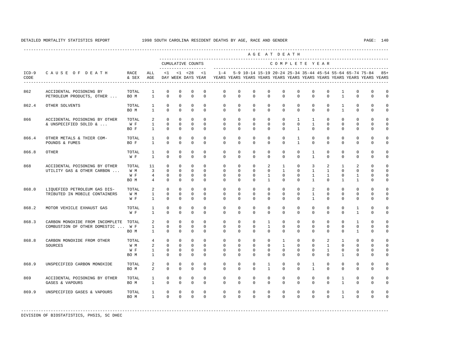|                 |                                                                      |                             |                                                                  | AGE AT DEATH<br>CUMULATIVE COUNTS<br>COMPLETE YEAR |                                                  |                                                   |                                                 |                                                                                                             |                                                       |                                                           |                                                   |                                                         |                                                 |                                                   |                                               |                                                         |                                                  |                                                 |                                                          |
|-----------------|----------------------------------------------------------------------|-----------------------------|------------------------------------------------------------------|----------------------------------------------------|--------------------------------------------------|---------------------------------------------------|-------------------------------------------------|-------------------------------------------------------------------------------------------------------------|-------------------------------------------------------|-----------------------------------------------------------|---------------------------------------------------|---------------------------------------------------------|-------------------------------------------------|---------------------------------------------------|-----------------------------------------------|---------------------------------------------------------|--------------------------------------------------|-------------------------------------------------|----------------------------------------------------------|
|                 |                                                                      |                             |                                                                  |                                                    |                                                  | ____________________                              |                                                 |                                                                                                             |                                                       |                                                           |                                                   |                                                         |                                                 |                                                   |                                               |                                                         |                                                  |                                                 |                                                          |
| $ICD-9$<br>CODE | CAUSE OF DEATH                                                       | <b>RACE</b><br>& SEX        | ALL<br>AGE                                                       | <1                                                 |                                                  | $<1$ $<28$                                        | <1                                              | $1 - 4$<br>DAY WEEK DAYS YEAR YEARS YEARS YEARS YEARS YEARS YEARS YEARS YEARS YEARS YEARS YEARS YEARS YEARS |                                                       | 5-9 10-14 15-19 20-24 25-34 35-44 45-54 55-64 65-74 75-84 |                                                   |                                                         |                                                 |                                                   |                                               |                                                         |                                                  |                                                 | $85+$                                                    |
| 862             | ACCIDENTAL POISONING BY<br>PETROLEUM PRODUCTS, OTHER                 | TOTAL<br>BO M               | $\mathbf{1}$<br>$\mathbf{1}$                                     | $\mathbf 0$<br>$\mathbf 0$                         | $\mathbf 0$<br>$\mathbf 0$                       | $\mathbf 0$<br>$\mathbf 0$                        | $\mathbf 0$<br>$\Omega$                         | $\mathbf 0$<br>$\mathbf 0$                                                                                  | $\mathbf 0$<br>$\Omega$                               | $\mathbf{0}$<br>$\mathbf 0$                               | $\mathbf{0}$<br>$\Omega$                          | $\circ$<br>$\Omega$                                     | $\Omega$<br>$\Omega$                            | $\mathbf 0$<br>$\Omega$                           | $\mathbf{0}$<br>$\Omega$                      | $\mathbf{1}$<br>$\mathbf{1}$                            | $\mathbf 0$<br>$\Omega$                          | $\mathbf 0$<br>$\mathbf 0$                      | $\mathbf 0$<br>$\mathbf 0$                               |
| 862.4           | OTHER SOLVENTS                                                       | TOTAL<br>BO M               | $\mathbf{1}$<br>$\mathbf{1}$                                     | $\mathbf{0}$<br>$\Omega$                           | $\mathbf 0$<br>$\Omega$                          | $\mathbf 0$<br>$\mathbf 0$                        | $\Omega$<br>$\Omega$                            | $\mathbf 0$<br>$\mathbf 0$                                                                                  | $\mathbf 0$<br>$\Omega$                               | $\mathbf 0$<br>$\mathbf 0$                                | $\mathbf 0$<br>$\mathbf{0}$                       | $\Omega$<br>$\Omega$                                    | $\Omega$<br>$\Omega$                            | $\Omega$<br>$\Omega$                              | $\Omega$<br>$\Omega$                          | $\mathbf{1}$<br>$\mathbf{1}$                            | $\circ$<br>$\Omega$                              | $\mathbf 0$<br>$\Omega$                         | $\mathbf 0$<br>$\mathbf 0$                               |
| 866             | ACCIDENTAL POISONING BY OTHER<br>& UNSPECIFIED SOLID &               | TOTAL<br>W F<br>BO F        | $\overline{2}$<br>$\mathbf{1}$<br>$\mathbf{1}$                   | $\circ$<br>$\mathbf{0}$<br>$\Omega$                | $\circ$<br>$\Omega$<br>$\Omega$                  | $\mathbf 0$<br>$\circ$<br>$\Omega$                | $\circ$<br>$\Omega$<br>$\Omega$                 | $\mathbf 0$<br>$\mathbf 0$<br>$\Omega$                                                                      | $\mathbf 0$<br>$\Omega$<br>$\Omega$                   | $\mathbf 0$<br>$\mathbf 0$<br>$\Omega$                    | $\mathbf{0}$<br>$\mathbf{0}$<br>$\Omega$          | $\mathbf 0$<br>$\circ$<br>$\Omega$                      | $\mathbf{1}$<br>$\Omega$<br>$\mathbf{1}$        | $\mathbf{1}$<br>$\mathbf{1}$<br>$\Omega$          | $\mathbf{0}$<br>$\Omega$<br>$\Omega$          | $\mathbf 0$<br>$\Omega$<br>$\Omega$                     | $\mathbf 0$<br>$\Omega$<br>$\Omega$              | $\mathbf 0$<br>$\Omega$<br>$\Omega$             | $\mathbf 0$<br>$\mathbf 0$<br>$\mathbf 0$                |
| 866.4           | OTHER METALS & THIER COM-<br>POUNDS & FUMES                          | TOTAL<br>BO F               | $\mathbf{1}$<br>$\overline{1}$                                   | $\mathbf{0}$<br>$\Omega$                           | $\mathbf{0}$<br>$\Omega$                         | $\mathbf 0$<br>$\Omega$                           | $\mathbf{0}$<br>$\Omega$                        | $\mathbf{0}$<br>$\Omega$                                                                                    | $\circ$<br>$\Omega$                                   | $\mathbf 0$<br>$\Omega$                                   | 0<br>$\Omega$                                     | 0<br>$\Omega$                                           | $\mathbf{1}$<br>$\mathbf{1}$                    | 0<br>$\Omega$                                     | $\mathbf 0$<br>$\Omega$                       | 0<br>$\Omega$                                           | 0<br>$\Omega$                                    | $\mathbf 0$<br>$\Omega$                         | 0<br>$\mathbf 0$                                         |
| 866.8           | OTHER                                                                | TOTAL<br>W F                | 1<br>$\mathbf{1}$                                                | $\mathbf{0}$<br>$\Omega$                           | $\mathbf{0}$<br>$\Omega$                         | $\mathbf 0$<br>$\mathbf 0$                        | $\mathbf{0}$<br>$\Omega$                        | $\mathbf 0$<br>$\Omega$                                                                                     | $\mathbf 0$<br>$\Omega$                               | $\mathbf{0}$<br>$\Omega$                                  | 0<br>$\Omega$                                     | $\circ$<br>$\Omega$                                     | $\mathbf 0$<br>$\Omega$                         | $\mathbf{1}$<br>$\mathbf{1}$                      | $\mathbf 0$<br>$\Omega$                       | $\mathbf 0$<br>$\Omega$                                 | $\mathbf 0$<br>$\mathbf 0$                       | $\mathbf 0$<br>$\Omega$                         | $\mathbf 0$<br>$\mathbf 0$                               |
| 868             | ACCIDENTAL POISONING BY OTHER<br>UTILITY GAS & OTHER CARBON          | TOTAL<br>W M<br>W F<br>BO M | 11<br>$\overline{3}$<br>$\overline{4}$<br>$\overline{4}$         | $\Omega$<br>$\Omega$<br>$\mathbf 0$<br>$\Omega$    | $\Omega$<br>$\Omega$<br>$\mathbf{0}$<br>$\Omega$ | $\Omega$<br>$\Omega$<br>$\circ$<br>$\Omega$       | $\Omega$<br>$\Omega$<br>$\mathbf 0$<br>$\Omega$ | $\mathbf 0$<br>$\Omega$<br>$\mathbf 0$<br>$\Omega$                                                          | $\mathbf 0$<br>$\Omega$<br>$\mathbf 0$<br>$\mathbf 0$ | $\mathbf 0$<br>$\Omega$<br>$\mathbf 0$<br>$\Omega$        | 2<br>$\Omega$<br>1<br>$\mathbf{1}$                | $\mathbf{1}$<br>$\mathbf{1}$<br>$\mathbf 0$<br>$\Omega$ | $\Omega$<br>$\Omega$<br>$\mathbf 0$<br>$\Omega$ | 3<br>$\mathbf{1}$<br>$\mathbf{1}$<br>$\mathbf{1}$ | 2<br>$\mathbf{1}$<br>$\mathbf{1}$<br>$\Omega$ | $\mathbf{1}$<br>$\Omega$<br>$\mathbf 0$<br>$\mathbf{1}$ | 2<br>$\Omega$<br>$\mathbf{1}$<br>$\mathbf{1}$    | $\Omega$<br>$\Omega$<br>$\mathbf 0$<br>$\Omega$ | $\mathbf 0$<br>$\mathbf 0$<br>$\mathsf 0$<br>$\mathsf 0$ |
| 868.0           | LIQUEFIED PETROLEUM GAS DIS-<br>TRIBUTED IN MOBILE CONTAINERS        | TOTAL<br>W M<br>W F         | 2<br>$\mathbf{1}$<br>$\mathbf{1}$                                | $\mathbf 0$<br>0<br>$\Omega$                       | $^{\circ}$<br>$\mathbf{0}$<br>$\Omega$           | $\mathbf 0$<br>$\circ$<br>$\Omega$                | $\Omega$<br>$\circ$<br>$\Omega$                 | $\mathbf 0$<br>$\mathbf 0$<br>$\Omega$                                                                      | $\mathbf 0$<br>$\mathbf 0$<br>$\Omega$                | $\mathbf 0$<br>$\mathbb O$<br>$\Omega$                    | $\mathbf 0$<br>0<br>$\Omega$                      | $\Omega$<br>$\mathbf 0$<br>$\Omega$                     | $\Omega$<br>$\mathbf 0$<br>$\Omega$             | 2<br>$\mathbf{1}$<br>$\mathbf{1}$                 | $\Omega$<br>$\mathbf{0}$<br>$\Omega$          | $\mathbf 0$<br>$\mathbf 0$<br>$\Omega$                  | $\circ$<br>$\mathbf 0$<br>$\circ$                | $\mathbf 0$<br>0<br>$\Omega$                    | $\mathbf 0$<br>0<br>$\mathbf 0$                          |
| 868.2           | MOTOR VEHICLE EXHAUST GAS                                            | TOTAL<br>W F                | $\mathbf{1}$<br>$\mathbf{1}$                                     | $\mathbf 0$<br>$\Omega$                            | $\mathbf 0$<br>$\mathbf 0$                       | $\mathbf{0}$<br>$\mathbf 0$                       | $\mathbf{0}$<br>$\mathbf 0$                     | $\mathbf 0$<br>$\mathbf 0$                                                                                  | $\mathbf 0$<br>$\mathbf 0$                            | $\mathbf{0}$<br>$\mathbf 0$                               | $\mathbb O$<br>$\mathbf 0$                        | $\mathbf 0$<br>$\Omega$                                 | $\mathbf 0$<br>$\Omega$                         | $\mathbf 0$<br>$\Omega$                           | $\mathbf{0}$<br>$\mathbf{0}$                  | $\mathbf 0$<br>$\Omega$                                 | $\mathbf{1}$<br>$\mathbf{1}$                     | $\mathbf 0$<br>$\mathbf 0$                      | 0<br>0                                                   |
| 868.3           | CARBON MONOXIDE FROM INCOMPLETE<br>COMBUSTION OF OTHER DOMESTIC  W F | TOTAL<br>BO M               | $\overline{2}$<br>$\mathbf{1}$<br>$\mathbf{1}$                   | $\Omega$<br>$\mathbf 0$<br>$^{\circ}$              | $\Omega$<br>$\Omega$<br>$\mathbf{0}$             | $\Omega$<br>$\mathbf 0$<br>$\mathbf 0$            | $\Omega$<br>$\Omega$<br>$\mathbf 0$             | $\mathbf 0$<br>$\mathbf 0$<br>$\Omega$                                                                      | $\Omega$<br>$\mathbf 0$<br>$\Omega$                   | $\mathbf 0$<br>$\mathbf 0$<br>$\Omega$                    | $\mathbf{1}$<br>$\mathbf{1}$<br>$\Omega$          | $\Omega$<br>$\Omega$<br>$\Omega$                        | $\Omega$<br>$\Omega$<br>$\Omega$                | $\Omega$<br>$\mathbf 0$<br>$\Omega$               | $\Omega$<br>$\mathbf 0$<br>$\Omega$           | $\mathbf 0$<br>$\mathbf 0$<br>$\Omega$                  | $\mathbf{1}$<br>$\circ$<br>$\mathbf{1}$          | $\Omega$<br>$\mathbf 0$<br>$\mathbf 0$          | $\mathbf 0$<br>$\mathbf 0$<br>$\mathbf 0$                |
| 868.8           | CARBON MONOXIDE FROM OTHER<br>SOURCES                                | TOTAL<br>W M<br>W F<br>BO M | $\overline{4}$<br>$\overline{2}$<br>$\mathbf{1}$<br>$\mathbf{1}$ | $\Omega$<br>$\mathbf 0$<br>$\mathbf 0$<br>$\Omega$ | $\mathbf{0}$<br>$\mathbf 0$<br>0<br>$\Omega$     | $\Omega$<br>$\circ$<br>$\mathbf 0$<br>$\mathbf 0$ | $\Omega$<br>$\mathbf{0}$<br>$\circ$<br>$\Omega$ | $\mathbf 0$<br>$\mathbf 0$<br>$\mathbf 0$<br>$\Omega$                                                       | $\mathbf 0$<br>$\mathbf 0$<br>$\mathbf 0$<br>$\Omega$ | $\mathbf 0$<br>$\mathbf 0$<br>$\mathbb O$<br>$\Omega$     | $\Omega$<br>$\mathbf 0$<br>$\mathbf 0$<br>$\circ$ | $\mathbf{1}$<br>$\mathbf{1}$<br>$\mathbf 0$<br>$\Omega$ | $\Omega$<br>$\Omega$<br>$\mathbf 0$<br>$\Omega$ | $\Omega$<br>$\Omega$<br>$\mathbf 0$<br>$\Omega$   | 2<br>$\mathbf{1}$<br>$\mathbf{1}$<br>$\Omega$ | $\mathbf{1}$<br>$\Omega$<br>$\mathbf 0$<br>$\mathbf{1}$ | $\mathbf 0$<br>$\mathbf 0$<br>$\circ$<br>$\circ$ | $\Omega$<br>$\mathbf 0$<br>0<br>$\Omega$        | $\mathbf 0$<br>$\mathbf 0$<br>0<br>$\mathbf 0$           |
| 868.9           | UNSPECIFIED CARBON MONOXIDE                                          | TOTAL<br>BO M               | $\overline{a}$<br>$\overline{a}$                                 | 0<br>$\mathbf 0$                                   | 0<br>$\mathbf 0$                                 | $\mathbf 0$<br>$\mathbf 0$                        | $\mathbf 0$<br>$\mathbf{0}$                     | $\mathbf 0$<br>$\mathbf 0$                                                                                  | $\mathbf 0$<br>$\mathbf 0$                            | 0<br>$\mathbf 0$                                          | $\mathbf{1}$<br>$\mathbf{1}$                      | $\mathbf 0$<br>$\circ$                                  | $\mathbf 0$<br>$\mathbf 0$                      | $\mathbf{1}$<br>$\mathbf{1}$                      | $\mathbf{0}$<br>$\mathbf{0}$                  | $\mathbf 0$<br>$\mathbf 0$                              | $\mathbf 0$<br>$\circ$                           | 0<br>$\mathbf 0$                                | 0<br>0                                                   |
| 869             | ACCIDENTAL POISONING BY OTHER<br>GASES & VAPOURS                     | TOTAL<br>BO M               | $\mathbf{1}$<br>$\mathbf{1}$                                     | $\mathbf 0$<br>$\mathbf 0$                         | $\mathbf 0$<br>$\mathbf 0$                       | $\mathbf 0$<br>$\mathbf 0$                        | $\mathbf{0}$<br>$\mathbf{0}$                    | $\mathbf 0$<br>$\mathbf 0$                                                                                  | $\mathbf 0$<br>$\mathbf 0$                            | $\mathbf 0$<br>$\mathbf 0$                                | $\mathbb O$<br>$\mathbf{0}$                       | $\circ$<br>$\Omega$                                     | $\mathbf 0$<br>$\Omega$                         | $\mathbf 0$<br>$\mathbf 0$                        | $\mathbf{0}$<br>$\mathbf 0$                   | $\mathbf{1}$<br>$\mathbf{1}$                            | $\circ$<br>$\circ$                               | $\mathbf 0$<br>$\mathbf 0$                      | $\mathsf 0$<br>$\mathsf 0$                               |
| 869.9           | UNSPECIFIED GASES & VAPOURS                                          | TOTAL<br>BO M               | $\mathbf{1}$<br>$\mathbf{1}$                                     | $\mathbf 0$<br>$\Omega$                            | $\mathbf 0$<br>$\Omega$                          | $\mathbf 0$<br>$\mathbf 0$                        | $\mathbf{0}$<br>$\Omega$                        | $\mathbf 0$<br>$\Omega$                                                                                     | $\mathbf 0$<br>$\Omega$                               | $\mathbf 0$<br>$\Omega$                                   | $\circ$<br>$\Omega$                               | $\mathbf 0$<br>$\Omega$                                 | $\mathbf 0$<br>$\Omega$                         | $\mathbf 0$<br>$\Omega$                           | $\mathbf 0$<br>$\Omega$                       | $\mathbf{1}$<br>$\mathbf{1}$                            | $\circ$<br>$\Omega$                              | $\mathbf 0$<br>$\Omega$                         | $\mathbf 0$<br>$\mathbf 0$                               |

-----------------------------------------------------------------------------------------------------------------------------------------------------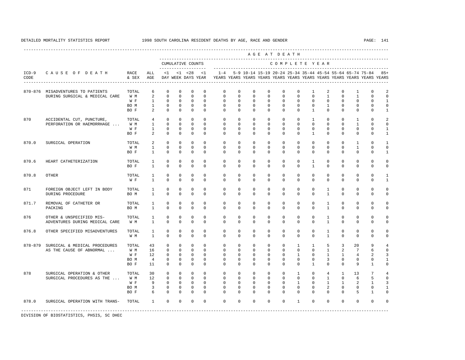----------------------------------------------------------------------------------------------------------------------------------------------------

 A G E A T D E A T H --------------------------------------------------------------------------------------------- CUMULATIVE COUNTS C O M P L E T E Y E A R ------------------- ----------------------------------------------------------------------- ICD-9 C A U S E O F D E A T H RACE ALL <1 <1 <28 <1 1-4 5-9 10-14 15-19 20-24 25-34 35-44 45-54 55-64 65-74 75-84 85+ CODE & SEX AGE DAY WEEK DAYS YEAR YEARS YEARS YEARS YEARS YEARS YEARS YEARS YEARS YEARS YEARS YEARS YEARS ---------------------------------------------------------------------------------------------------------------------------------------------------- 870-876 MISADVENTURES TO PATIENTS TOTAL 6 0 0 0 0 0 0 0 0 0 0 0 1 2 0 1 0 2<br>DURING SURGICAL & MEDICAL CARE W M 2 0 0 0 0 0 0 0 0 0 0 0 0 0 1 0 1 0 0 DURING SURGICAL & MEDICAL CARE W M 2 0 0 0 0 0 0 0 0 0 0 0 1 0 1 0 0 W F 1 0 0 0 0 0 0 0 0 0 0 0 0 0 0 0 1 BO M 1 0 0 0 0 0 0 0 0 0 0 0 1 0 0 0 0 BOF 2 0 0 0 0 0 0 0 0 0 0 0 0 0 0 1 870 ACCIDENTAL CUT, PUNCTURE, TOTAL 4 0 0 0 0 0 0 0 0 0 0 1 0 0 1 0 2 PERFORATION OR HAEMORRHAGE ... W M 1 0 0 0 0 0 0 0 0 0 0 0 0 0 1 0 0 W F 1 0 0 0 0 0 0 0 0 0 0 0 0 0 0 0 1 BOF 2 0 0 0 0 0 0 0 0 0 0 0 0 0 0 1 870.0 SURGICAL OPERATION TOTAL 2 0 0 0 0 0 0 0 0 0 0 0 0 0 1 0 1 W M 1 0 0 0 0 0 0 0 0 0 0 0 0 0 1 0 0 BOF 1 0 0 0 0 0 0 0 0 0 0 0 0 0 0 0 1 870.6 HEART CATHETERIZATION TOTAL 1 0 0 0 0 0 0 0 0 0 0 0 1 0 0 0 0 0 0 BO F 1 0 0 0 0 0 0 0 0 0 0 1 0 0 0 0 0 870.8 OTHER TOTAL 1 0 0 0 0 0 0 0 0 0 0 0 0 0 0 0 1 W F 1 0 0 0 0 0 0 0 0 0 0 0 0 0 0 0 1 871 FOREIGN OBJECT LEFT IN BODY TOTAL 1 0 0 0 0 0 0 0 0 0 0 0 1 0 0 0 0 DURING PROCEDURE BO M 1 0 0 0 0 0 0 0 0 0 0 0 1 0 0 0 0 871.7 REMOVAL OF CATHETER OR TOTAL 1 0 0 0 0 0 0 0 0 0 0 0 1 0 0 0 0 PACKING BO M 1 0 0 0 0 0 0 0 0 0 0 0 1 0 0 0 0 876 OTHER & UNSPECIFIED MIS- TOTAL 1 0 0 0 0 0 0 0 0 0 0 0 0 1 0 0 0 0<br>ADVENTURES DURING MEDICAL CARE W M 1 0 0 0 0 0 0 0 0 0 0 0 0 0 0 1 0 0 0 0 ADVENTURES DURING MEDICAL CARE W M 1 0 0 0 0 0 0 0 0 0 0 0 1 0 0 0 0 876.8 OTHER SPECIFIED MISADVENTURES TOTAL 1 0 0 0 0 0 0 0 0 0 0 0 1 0 0 0 0 W M 1 0 0 0 0 0 0 0 0 0 0 0 1 0 0 0 0 878-879 SURGICAL & MEDICAL PROCEDURES TOTAL 43 0 0 0 0 0 0 0 0 0 1 1 5 3 20 9 4 AS THE CAUSE OF ABNORMAL ... W M 16 0 0 0 0 0 0 0 0 0 0 0 0 0 0 0 1 2 7 6 0<br>W F 12 0 0 0 0 0 0 0 0 0 0 1 0 1 1 4 2 3 W F 12 0 0 0 0 0 0 0 0 0 0 1 0 1 1 4 2 3 BO M 4 0 0 0 0 0 0 0 0 0 0 0 3 0 0 0 1 BO F 11 0 0 0 0 0 0 0 0 0 0 1 0 0 9 1 0 878 SURGICAL OPERATION & OTHER TOTAL 30 0 0 0 0 0 0 0 0 0 1 0 4 1 13 7 4 SURGICAL PROCEDURES AS THE ... W M 12 0 0 0 0 0 0 0 0 0 0 0 1 0 6 5 0 W F 9 0 0 0 0 0 0 0 0 0 0 1 0 1 1 2 1 3 BOM 3 0 0 0 0 0 0 0 0 0 0 0 0 2 0 0 0 1 BO F 6 0 0 0 0 0 0 0 0 0 0 0 0 0 5 1 0 878.0 SURGICAL OPERATION WITH TRANS- TOTAL 1 0 0 0 0 0 0 0 0 0 1 0 0 0 0 0 0 -----------------------------------------------------------------------------------------------------------------------------------------------------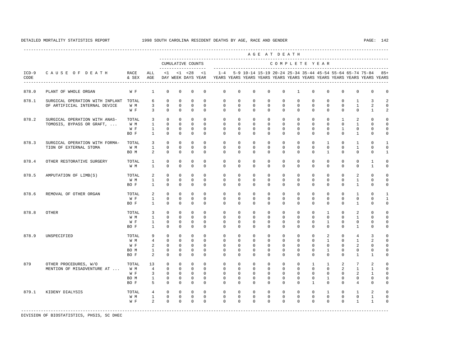----------------------------------------------------------------------------------------------------------------------------------------------------

 A G E A T D E A T H --------------------------------------------------------------------------------------------- CUMULATIVE COUNTS C O M P L E T E Y E A R ------------------- ----------------------------------------------------------------------- ICD-9 C A U S E O F D E A T H RACE ALL <1 <1 <28 <1 1-4 5-9 10-14 15-19 20-24 25-34 35-44 45-54 55-64 65-74 75-84 85+ CODE & SEX AGE DAY WEEK DAYS YEAR YEARS YEARS YEARS YEARS YEARS YEARS YEARS YEARS YEARS YEARS YEARS YEARS ---------------------------------------------------------------------------------------------------------------------------------------------------- 878.0 PLANT OF WHOLE ORGAN W F 1 0 0 0 0 0 0 0 0 0 1 0 0 0 0 0 0 878.1 SURGICAL OPERATION WITH INPLANT TOTAL 6 0 0 0 0 0 0 0 0 0 0 0 0 0 0 0 1 3 2<br>OF ARTIFICIAL UNTERNAL DEVICE WIM 3 0 0 0 0 0 0 0 0 0 0 0 0 0 0 0 1 2 0 OF ARTIFICIAL INTERNAL DEVICE W F 3 0 0 0 0 0 0 0 0 0 0 0 0 0 0 1 2 878.2 SURGICAL OPERATION WITH ANAS- TOTAL 3 0 0 0 0 0 0 0 0 0 0 0 0 1 2 0 0 TOMOSIS, BYPASS OR GRAFT, ... W M 1 0 0 0 0 0 0 0 0 0 0 0 0 0 1 0 0 W F 1 0 0 0 0 0 0 0 0 0 0 0 0 1 0 0 0 BOF 1 0 0 0 0 0 0 0 0 0 0 0 0 0 1 0 0 878.3 SURGICAL OPERATION WITH FORMA- TOTAL 3 0 0 0 0 0 0 0 0 0 0 0 1 0 1 0 1 TION OF EXTERNAL STOMA W M 1 0 0 0 0 0 0 0 0 0 0 0 0 0 1 0 0 BOM 2 0 0 0 0 0 0 0 0 0 0 0 0 0 0 0 1 878.4 OTHER RESTORATIVE SURGERY TOTAL 1 0 0 0 0 0 0 0 0 0 0 0 0 0 0 1 0 W M 1 0 0 0 0 0 0 0 0 0 0 0 0 0 0 1 0 878.5 AMPUTATION OF LIMB(S) TOTAL 2 0 0 0 0 0 0 0 0 0 0 0 0 0 2 0 0 W M 1 0 0 0 0 0 0 0 0 0 0 0 0 0 1 0 0 BOF 1 0 0 0 0 0 0 0 0 0 0 0 0 0 0 1 0 0 878.6 REMOVAL OF OTHER ORGAN TOTAL 2 0 0 0 0 0 0 0 0 0 0 0 0 0 1 0 1 W F 1 0 0 0 0 0 0 0 0 0 0 0 0 0 0 0 1 BOF 1 0 0 0 0 0 0 0 0 0 0 0 0 0 1 0 0 878.8 OTHER TOTAL 3 0 0 0 0 0 0 0 0 0 0 0 1 0 2 0 0 W M 1 0 0 0 0 0 0 0 0 0 0 0 0 0 1 0 0 W F 1 0 0 0 0 0 0 0 0 0 0 0 1 0 0 0 0 BOF 1 0 0 0 0 0 0 0 0 0 0 0 0 0 1 0 0 878.9 UNSPECIFIED TOTAL 9 0 0 0 0 0 0 0 0 0 0 0 2 0 4 3 0 W M 4 0 0 0 0 0 0 0 0 0 0 0 1 0 1 2 0 W F 2 0 0 0 0 0 0 0 0 0 0 0 0 0 0 2 0 0<br>BOM 1 0 0 0 0 0 0 0 0 0 0 0 0 1 0 0 0 0 0 BO M 1 0 0 0 0 0 0 0 0 0 0 0 1 0 0 0 0 BO F 2 0 0 0 0 0 0 0 0 0 0 0 0 0 1 1 0 879 OTHER PROCEDURES, W/O TOTAL 13 0 0 0 0 0 0 0 0 0 0 1 1 2 7 2 0 MENTION OF MISADVENTURE AT ... W F 3 0 0 0 0 0 0 0 0 0 0 0 0 0 2 1 0 BO M 1 0 0 0 0 0 0 0 0 0 0 0 1 0 0 0 0 BOF 5 0 0 0 0 0 0 0 0 0 0 0 0 0 4 0 0 879.1 KIDENY DIALYSIS TOTAL 4 0 0 0 0 0 0 0 0 0 0 0 1 0 1 2 0 W M 1 0 0 0 0 0 0 0 0 0 0 0 0 0 0 1 0 W F 2 0 0 0 0 0 0 0 0 0 0 0 0 0 1 1 0

-----------------------------------------------------------------------------------------------------------------------------------------------------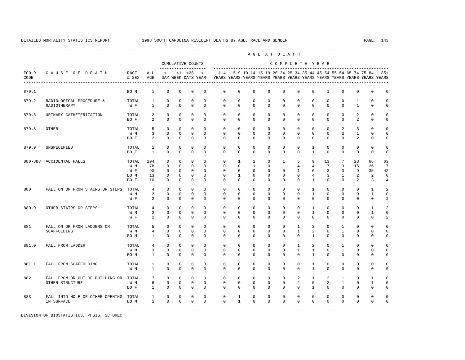A G E A T D E A T H

----------------------------------------------------------------------------------------------------------------------------------------------------

 --------------------------------------------------------------------------------------------- CUMULATIVE COUNTS C O M P L E T E Y E A R ------------------- ----------------------------------------------------------------------- ICD-9 C A U S E O F D E A T H RACE ALL <1 <1 <28 <1 1-4 5-9 10-14 15-19 20-24 25-34 35-44 45-54 55-64 65-74 75-84 85+ CODE & SEX AGE DAY WEEK DAYS YEAR YEARS YEARS YEARS YEARS YEARS YEARS YEARS YEARS YEARS YEARS YEARS YEARS ---------------------------------------------------------------------------------------------------------------------------------------------------- 879.1 BO M 1 0 0 0 0 0 0 0 0 0 0 0 1 0 0 0 0 879.2 RADIOLOGICAL PROCEDURE & TOTAL 1 0 0 0 0 0 0 0 0 0 0 0 0 0 1 0 0 RADIOTHERAPY WF 1 0 0 0 0 0 0 0 0 0 0 0 0 1 0 0 879.6 URINARY CATHETERIZATION TOTAL 2 0 0 0 0 0 0 0 0 0 0 0 0 0 2 0 0 BOF 2 0 0 0 0 0 0 0 0 0 0 0 0 0 2 0 0 879.8 OTHER TOTAL 5 0 0 0 0 0 0 0 0 0 0 0 0 2 3 0 0 W M 3 0 0 0 0 0 0 0 0 0 0 0 0 2 1 0 0 BOF 2 0 0 0 0 0 0 0 0 0 0 0 0 0 2 0 0 879.9 UNSPECIFIED TOTAL 1 0 0 0 0 0 0 0 0 0 0 1 0 0 0 0 0 BO F 1 0 0 0 0 0 0 0 0 0 0 1 0 0 0 0 0 880-888 ACCIDENTAL FALLS TOTAL 194 0 0 0 0 0 1 1 0 1 5 9 13 7 28 66 63 W M 78 0 0 0 0 0 0 1 0 1 4 4 7 3 15 26 17 W F 93 0 0 0 0 0 0 0 0 0 1 0 3 3 9 35 42 BO M 13 0 0 0 0 0 1 0 0 0 0 4 3 1 2 2 0 BO F 10 0 0 0 0 0 0 0 0 0 0 1 0 0 2 3 4 880 FALL ON OR FROM STAIRS OR STEPS TOTAL 4 0 0 0 0 0 0 0 0 0 0 1 0 0 0 1 2 W M 2 0 0 0 0 0 0 0 0 0 0 0 0 0 0 1 0 0 0 1 0 W F 2 0 0 0 0 0 0 0 0 0 0 0 0 0 0 2 880.9 OTHER STAIRS OR STEPS TOTAL 4 0 0 0 0 0 0 0 0 0 0 1 0 0 0 1 2 W M 2 0 0 0 0 0 0 0 0 0 0 0 0 0 0 1 0 0 0 1 0 W F 2 0 0 0 0 0 0 0 0 0 0 0 0 0 0 2 881 FALL ON OR FROM LADDERS OR TOTAL 5 0 0 0 0 0 0 0 0 0 1 3 0 1 0 0 0

 SCAFFOLDING W M 4 0 0 0 0 0 0 0 0 0 1 2 0 1 0 0 0 BO M 1 0 0 0 0 0 0 0 0 0 0 1 0 0 0 0 0 881.0 FALL FROM LADDER TOTAL 4 0 0 0 0 0 0 0 0 0 1 2 0 1 0 0 0 W M 3 0 0 0 0 0 0 0 0 0 0 0 1 0 0 0 0 0 BO M 1 0 0 0 0 0 0 0 0 0 0 1 0 0 0 0 0 881.1 FALL FROM SCAFFOLDING TOTAL 1 0 0 0 0 0 0 0 0 0 0 1 0 0 0 0 0 W M 1 0 0 0 0 0 0 0 0 0 0 1 0 0 0 0 0 882 FALL FROM OR OUT OF BUILDING OR TOTAL 7 0 0 0 0 0 0 0 0 0 0 0 0 2 1 2 1 0 1 0<br>OTHER STRUCTURE WIM 6 0 0 0 0 0 0 0 0 0 2 0 2 1 0 1 0 OTHER STRUCTURE W M 6 0 0 0 0 0 0 0 0 0 2 0 2 1 0 1 0 BO F 1 0 0 0 0 0 0 0 0 0 0 1 0 0 0 0 0 883 FALL INTO HOLE OR OTHER OPENING TOTAL 1 0 0 0 0 0 1 0 0 0 0 0 0 0 0 0 0 IN SURFACE BO M 1 0 0 0 0 0 1 0 0 0 0 0 0 0 0 0 0

-----------------------------------------------------------------------------------------------------------------------------------------------------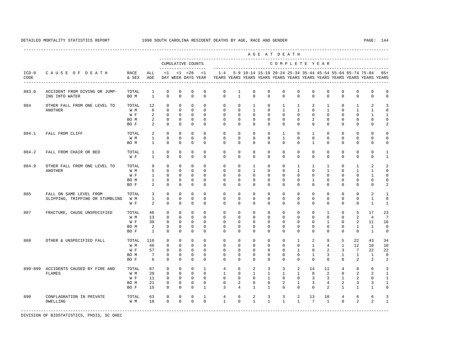---------------------------------------------------------------------------------------------------------------------------------------------------- A G E A T D E A T H --------------------------------------------------------------------------------------------- CUMULATIVE COUNTS C O M P L E T E Y E A R ------------------- ----------------------------------------------------------------------- ICD-9 C A U S E O F D E A T H RACE ALL <1 <1 <28 <1 1-4 5-9 10-14 15-19 20-24 25-34 35-44 45-54 55-64 65-74 75-84 85+ CODE & SEX AGE DAY WEEK DAYS YEAR YEARS YEARS YEARS YEARS YEARS YEARS YEARS YEARS YEARS YEARS YEARS YEARS ---------------------------------------------------------------------------------------------------------------------------------------------------- 883.0 ACCIDENT FROM DIVING OR JUMP- TOTAL 1 0 0 0 0 0 1 0 0 0 0 0 0 0 0 0 0 ING INTO WATER BO M 1 0 0 0 0 0 1 0 0 0 0 0 0 0 0 0 0 884 OTHER FALL FROM ONE LEVEL TO TOTAL 12 0 0 0 0 0 0 1 0 1 1 2 1 0 1 2 3 ANOTHER W M 6 0 0 0 0 0 0 0 1 0 1 0 1 0 1 1 0 W F 2 0 0 0 0 0 0 0 0 0 0 0 0 0 0 1 1 BOM 2 0 0 0 0 0 0 0 0 0 0 2 0 0 0 0 0 BOF 2 0 0 0 0 0 0 0 0 0 0 0 0 0 0 2 884.1 FALL FROM CLIFF TOTAL 2 0 0 0 0 0 0 0 0 1 0 1 0 0 0 0 0  $1 \quad 0 \quad 0 \quad 0$  BO M 1 0 0 0 0 0 0 0 0 0 0 1 0 0 0 0 0 884.2 FALL FROM CHAIR OR BED TOTAL 1 0 0 0 0 0 0 0 0 0 0 0 0 0 0 0 1 W F 1 0 0 0 0 0 0 0 0 0 0 0 0 0 0 0 1 884.9 OTHER FALL FROM ONE LEVEL TO TOTAL 9 0 0 0 0 0 0 0 0 1 0 0 1 1 1 0 1 2 2<br>ANOTHER WM 5 0 0 0 0 0 0 0 1 0 1 0 1 1 0 ANOTHER W M 5 0 0 0 0 0 0 0 0 0 1 0 1 0 1 1 0 W F 1 0 0 0 0 0 0 0 0 0 0 0 0 0 0 1 0 BO M 1 0 0 0 0 0 0 0 0 0 0 1 0 0 0 0 0 BOF 2 0 0 0 0 0 0 0 0 0 0 0 0 0 0 2 885 FALL ON SAME LEVEL FROM TOTAL 3 0 0 0 0 0 0 0 0 0 0 0 0 0 0 2 1 SLIPPING, TRIPPING OR STUMBLING W M 1 0 0 0 0 0 0 0 0 0 0 0 0 0 0 1 0 W F 2 0 0 0 0 0 0 0 0 0 0 0 0 0 0 1 1 887 FRACTURE, CAUSE UNSPECIFIED TOTAL 46 0 0 0 0 0 0 0 0 0 0 0 0 0 0 0 0 0 2 4 7 W M 13 0 0 0 0 0 0 0 0 0 0 0 0 0 2 4 7 W F 30 0 0 0 0 0 0 0 0 0 0 0 1 0 2 11 16 BO M 2 0 0 0 0 0 0 0 0 0 0 0 0 0 1 1 0 BO F 1 0 0 0 0 0 0 0 0 0 0 0 0 0 0 1 0 888 OTHER & UNSPECIFIED FALL TOTAL 116 0 0 0 0 0 0 0 0 0 1 2 9 5 22 43 34 W M 46 0 0 0 0 0 0 0 0 0 0 1 4 1 12 18 10 W F 57 0 0 0 0 0 0 0 0 0 0 1 0 2 3 7 22 22 BO M 7 0 0 0 0 0 0 0 0 0 0 1 3 1 1 1 0 BOF 6 0 0 0 0 0 0 0 0 0 0 0 0 0 2 2 2 890-899 ACCIDENTS CAUSED BY FIRE AND TOTAL 67 0 0 0 1 4 6 2 3 3 2 14 11 4 8 6 3 FLAMES W M 20 0 0 0 0 1 0 1 1 1 1 8 2 0 2 2 1 W F 11 0 0 0 0 0 0 0 0 0 0 0 3 3 1 2 0 1 BO M 21 0 0 0 0 0 2 0 0 2 1 3 4 2 3 3 1 BO F 15 0 0 0 1 3 4 1 1 0 0 0 2 1 1 1 0 890 CONFLAGRATION IN PRIVATE TOTAL 63 0 0 0 1 4 6 2 3 3 2 13 10 4 6 6 3 DWELLING W M 18 0 0 0 0 1 0 1 1 1 1 7 1 0 2 2 1 -----------------------------------------------------------------------------------------------------------------------------------------------------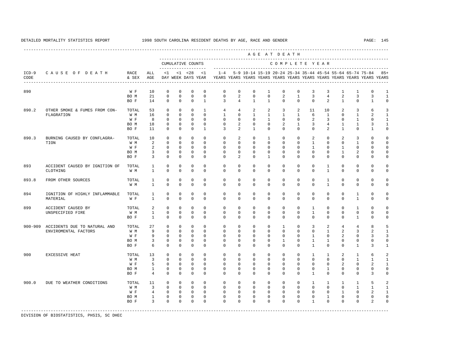A G E A T D E A T H

----------------------------------------------------------------------------------------------------------------------------------------------------

 --------------------------------------------------------------------------------------------- CUMULATIVE COUNTS C O M P L E T E Y E A R ------------------- ----------------------------------------------------------------------- ICD-9 C A U S E O F D E A T H RACE ALL <1 <1 <28 <1 1-4 5-9 10-14 15-19 20-24 25-34 35-44 45-54 55-64 65-74 75-84 85+ CODE & SEX AGE DAY WEEK DAYS YEAR YEARS YEARS YEARS YEARS YEARS YEARS YEARS YEARS YEARS YEARS YEARS YEARS ---------------------------------------------------------------------------------------------------------------------------------------------------- 890 W F 10 0 0 0 0 0 0 0 1 0 0 3 3 1 1 0 1<br>BOM 21 0 0 0 0 0 2 0 0 2 1 3 4 2 3 3 1  $\begin{array}{ccccccccccc} 0 & 0 & 0 & 0 & 0 & 2 & 0 & 0 & 2 & 1 \ 0 & 0 & 0 & 1 & 3 & 4 & 1 & 1 & 0 & 0 \end{array}$  BO F 14 0 0 0 1 3 4 1 1 0 0 0 2 1 0 1 0 890.2 OTHER SMOKE & FUMES FROM CON- TOTAL 53 0 0 0 1 4 4 2 2 3 2 11 10 2 3 6 3 FLAGRATION W M 16 0 0 0 0 1 0 1 1 1 1 6 1 0 1 2 1 W F 8 0 0 0 0 0 0 0 0 1 0 0 2 3 0 1 0 1 BO M 18 0 0 0 0 0 2 0 0 2 1 3 4 1 1 3 1 BO F 11 0 0 0 1 3 2 1 0 0 0 0 2 1 0 1 0 890.3 BURNING CAUSED BY CONFLAGRA- TOTAL 10 0 0 0 0 0 2 0 1 0 0 2 0 2 3 0 0 TION W M 2 0 0 0 0 0 0 0 0 0 0 1 0 0 1 0 0 W F 2 0 0 0 0 0 0 0 0 0 0 0 1 0 1 0 0 0 BOM 3 0 0 0 0 0 0 0 0 0 0 0 0 1 2 0 0 BOF 3 0 0 0 0 0 2 0 1 0 0 0 0 0 0 0 0 893 ACCIDENT CAUSED BY IGNITION OF TOTAL 1 0 0 0 0 0 0 0 0 0 0 0 1 0 0 0 0 CLOTHING W M 1 0 0 0 0 0 0 0 0 0 0 0 1 0 0 0 0 893.8 FROM OTHER SOURCES TOTAL 1 0 0 0 0 0 0 0 0 0 0 0 1 0 0 0 0 W M 1 0 0 0 0 0 0 0 0 0 0 0 1 0 0 0 0 894 IGNITION OF HIGHLY INFLAMMABLE TOTAL 1 0 0 0 0 0 0 0 0 0 0 0 0 0 1 0 0 MATERIAL W F 1 0 0 0 0 0 0 0 0 0 0 0 0 0 1 0 0 899 ACCIDENT CAUSED BY TOTAL 2 0 0 0 0 0 0 0 0 0 0 1 0 0 1 0 0 UNSPECIFIED FIRE W M 1 0 0 0 0 0 0 0 0 0 0 1 0 0 0 0 0 BOF 1 0 0 0 0 0 0 0 0 0 0 0 0 0 0 1 0 0 900-909 ACCIDENTS DUE TO NATURAL AND TOTAL 27 0 0 0 0 0 0 0 0 1 0 3 2 4 4 8 5 ENVIROMENTAL FACTORS W M 9 0 0 0 0 0 0 0 0 0 0 0 0 1 2 3 2 1 W F 9 0 0 0 0 0 0 0 0 0 0 0 1 0 2 0 3 3 BO M 3 0 0 0 0 0 0 0 0 1 0 1 1 0 0 0 0 BOF 6 0 0 0 0 0 0 0 0 0 0 0 0 0 1 3 1 900 EXCESSIVE HEAT TOTAL 13 0 0 0 0 0 0 0 0 0 0 1 1 2 1 6 2 W M 3 0 0 0 0 0 0 0 0 0 0 0 0 0 0 1 1 1 W F 5 0 0 0 0 0 0 0 0 0 0 0 0 0 2 0 2 1 BO M 1 0 0 0 0 0 0 0 0 0 0 0 1 0 0 0 0 BO F 4 0 0 0 0 0 0 0 0 0 0 1 0 0 0 3 0 900.0 DUE TO WEATHER CONDITIONS TOTAL 11 0 0 0 0 0 0 0 0 0 0 1 1 1 1 5 2 W M 3 0 0 0 0 0 0 0 0 0 0 0 0 0 0 1 1 1 W F 4 0 0 0 0 0 0 0 0 0 0 0 0 0 1 0 2 1 BO M 1 0 0 0 0 0 0 0 0 0 0 0 1 0 0 0 0

 BO F 3 0 0 0 0 0 0 0 0 0 0 1 0 0 0 2 0 -----------------------------------------------------------------------------------------------------------------------------------------------------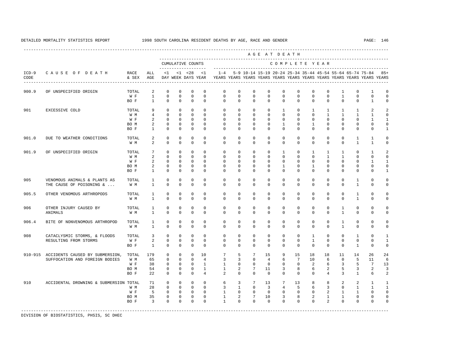---------------------------------------------------------------------------------------------------------------------------------------------------- A G E A T D E A T H --------------------------------------------------------------------------------------------- CUMULATIVE COUNTS C O M P L E T E Y E A R ------------------- ----------------------------------------------------------------------- ICD-9 C A U S E O F D E A T H RACE ALL <1 <1 <28 <1 1-4 5-9 10-14 15-19 20-24 25-34 35-44 45-54 55-64 65-74 75-84 85+ CODE & SEX AGE DAY WEEK DAYS YEAR YEARS YEARS YEARS YEARS YEARS YEARS YEARS YEARS YEARS YEARS YEARS YEARS ---------------------------------------------------------------------------------------------------------------------------------------------------- 900.9 OF UNSPECIFIED ORIGIN TOTAL 2 0 0 0 0 0 0 0 0 0 0 0 0 1 0 1 0 W F 1 0 0 0 0 0 0 0 0 0 0 0 0 1 0 0 0 BO F 1 0 0 0 0 0 0 0 0 0 0 0 0 0 0 1 0 901 EXCESSIVE COLD TOTAL 9 0 0 0 0 0 0 0 0 1 0 1 1 1 1 2 2 W M 4 0 0 0 0 0 0 0 0 0 0 0 1 1 1 1 0 W F 2 0 0 0 0 0 0 0 0 0 0 0 0 0 0 1 1 BOM 2 0 0 0 0 0 0 0 0 0 1 0 0 0 0 0 0 BO F 1 0 0 0 0 0 0 0 0 0 0 0 0 0 0 0 1 901.0 DUE TO WEATHER CONDITIONS TOTAL 2 0 0 0 0 0 0 0 0 0 0 0 0 0 1 1 0 W M 2 0 0 0 0 0 0 0 0 0 0 0 0 0 1 1 0 901.9 OF UNSPECIFIED ORIGIN TOTAL 7 0 0 0 0 0 0 0 0 1 0 1 1 1 0 1 2 W M 2 0 0 0 0 0 0 0 0 0 0 0 1 1 0 0 0 W F 2 0 0 0 0 0 0 0 0 0 0 0 0 0 0 0 1 1<br>ROM 2 0 0 0 0 0 0 0 0 0 1 0 1 0 0 0 0 0 BOM 2 0 0 0 0 0 0 0 0 1 0 1 0 0 0 0 0<br>BOF 1 0 0 0 0 0 0 0 0 0 0 0 0 0 0 0 1 BO F 1 0 0 0 0 0 0 0 0 0 0 0 0 0 0 0 1 905 VENOMOUS ANIMALS & PLANTS AS TOTAL 1 0 0 0 0 0 0 0 0 0 0 0 0 0 1 0 0 THE CAUSE OF POISONING & ... W M 1 0 0 0 0 0 0 0 0 0 0 0 0 0 0 0 0 0 1 0 0 905.5 OTHER VENOMOUS ARTHROPODS TOTAL 1 0 0 0 0 0 0 0 0 0 0 0 0 0 1 0 0 W M 1 0 0 0 0 0 0 0 0 0 0 0 0 0 1 0 0 906 OTHER INJURY CAUSED BY TOTAL 1 0 0 0 0 0 0 0 0 0 0 0 0 1 0 0 0 ANIMALS W M 1 0 0 0 0 0 0 0 0 0 0 0 1 0 0 0 906.4 BITE OF NONVENOMOUS ARTHROPOD TOTAL 1 0 0 0 0 0 0 0 0 0 0 0 0 1 0 0 0 W M 1 0 0 0 0 0 0 0 0 0 0 0 0 1 0 0 0 908 CATACLYSMIC STORMS, & FLOODS TOTAL 3 0 0 0 0 0 0 0 0 0 0 1 0 0 1 0 1 RESULTING FROM STORMS W F 2 0 0 0 0 0 0 0 0 0 0 1 0 0 0 0 1 BO F 1 0 0 0 0 0 0 0 0 0 0 0 0 0 1 0 0 910-915 ACCIDENTS CAUSED BY SUBMERSION, TOTAL 179 0 0 0 10 7 5 7 15 9 15 18 18 11 14 26 24 SUFFOCATION AND FOREIGN BODIES W M 65 0 0 0 4 3 3 0 4 6 7 10 6 0 5 11 6 W F 38 0 0 0 1 1 0 0 0 0 0 0 2 6 3 5 7 13 BO M 54 0 0 0 1 1 2 7 11 3 8 6 2 5 3 2 3 BO F 22 0 0 0 4 2 0 0 0 0 0 0 4 3 1 6 2 910 ACCIDENTAL DROWNING & SUBMERSION TOTAL 71 0 0 0 0 6 3 7 13 7 13 8 8 2 2 1 1 W M 28 0 0 0 0 0 3 1 0 3 4 5 6 3 0 1 1 1 W F 5 0 0 0 0 1 0 0 0 0 0 0 0 0 2 1 1 0 0 BO M 35 0 0 0 0 1 2 7 10 3 8 2 1 1 0 0 0 BOF 3 0 0 0 0 1 0 0 0 0 0 0 0 2 0 0 0 0 -----------------------------------------------------------------------------------------------------------------------------------------------------

DIVISION OF BIOSTATISTICS, PHSIS, SC DHEC

DETAILED MORTALITY STATISTICS REPORT 1998 SOUTH CAROLINA RESIDENT DEATHS BY AGE, RACE AND GENDER PAGE: 146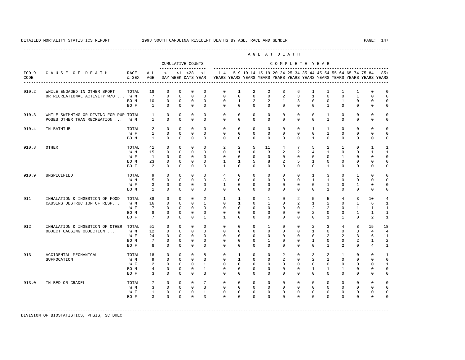---------------------------------------------------------------------------------------------------------------------------------------------------- A G E A T D E A T H --------------------------------------------------------------------------------------------- CUMULATIVE COUNTS C O M P L E T E Y E A R ------------------- ----------------------------------------------------------------------- ICD-9 C A U S E O F D E A T H RACE ALL <1 <1 <28 <1 1-4 5-9 10-14 15-19 20-24 25-34 35-44 45-54 55-64 65-74 75-84 85+ CODE & SEX AGE DAY WEEK DAYS YEAR YEARS YEARS YEARS YEARS YEARS YEARS YEARS YEARS YEARS YEARS YEARS YEARS ---------------------------------------------------------------------------------------------------------------------------------------------------- 910.2 WHILE ENGAGED IN OTHER SPORT TOTAL 18 0 0 0 0 0 1 2 2 3 6 1 1 1 1 0 0 OR RECREATIONAL ACTIVITY W/O ... W M 7 0 0 0 0 0 0 0 0 0 0 2 3<br>BO M 10 0 0 0 0 0 0 1 2 2 1 3 BOM 10 0 0 0 0 0 0 1 2 2 1 3 0 0 1 0 0 0 BO F 1 0 0 0 0 0 0 0 0 0 0 0 1 0 0 0 0 910.3 WHILE SWIMMING OR DIVING FOR PUR TOTAL 1 0 0 0 0 0 0 0 0 0 0 0 1 0 0 0 0 POSES OTHER THAN RECREATION ... W M 1 0 0 0 0 0 0 0 0 0 0 0 1 0 0 0 0 910.4 IN BATHTUB TOTAL 2 0 0 0 0 0 0 0 0 0 0 1 1 0 0 0 0 W F 1 0 0 0 0 0 0 0 0 0 0 0 1 0 0 0 0 BO M 1 0 0 0 0 0 0 0 0 0 0 1 0 0 0 0 0 910.8 OTHER TOTAL 41 0 0 0 0 2 2 5 11 4 7 5 2 1 0 1 1 W M 15 0 0 0 0 0 1 0 3 2 2 4 1 0 0 1 1 W F 1 0 0 0 0 0 0 0 0 0 0 0 0 1 0 0 0 BOM 23 0 0 0 0 1 1 5 8 2 5 1 0 0 0 0 0 BO F 2 0 0 0 0 1 0 0 0 0 0 0 1 0 0 0 0 910.9 UNSPECIFIED TOTAL 9 0 0 0 0 4 0 0 0 0 0 1 3 0 1 0 0 W M 5 0 0 0 0 3 0 0 0 0 0 1 1 0 0 0 0 W F 3 0 0 0 0 1 0 0 0 0 0 0 0 1 0 1 0 0 BO M 1 0 0 0 0 0 0 0 0 0 0 0 1 0 0 0 0 911 INHALATION & INGESTION OF FOOD TOTAL 38 0 0 0 2 1 1 0 1 0 2 5 5 4 3 10 4<br>CAUSING OBSTRUCTION OF RESP... W.M. 16 0 0 0 1 0 1 0 1 0 2 1 2 0 1 6 1 CAUSING OBSTRUCTION OF RESP... W M 16 0 0 0 0 1 0 1 0 1 0 2 1 2 0 1 6 1<br>W F 7 0 0 0 0 0 0 0 0 0 0 0 2 2 0 1 1 1 W F 7 0 0 0 0 0 0 0 0 0 0 0 2 2 0 1 1 1 BOM 8 0 0 0 0 0 0 0 0 0 0 0 0 2 0 3 1 1 1<br>BOF 7 0 0 0 1 1 0 0 0 0 0 0 0 1 1 0 2 1 BO F 7 0 0 0 1 1 0 0 0 0 0 0 1 1 0 2 1 912 INHALATION & INGESTION OF OTHER TOTAL 51 0 0 0 0 0 0 0 0 0 1 0 0 2 3 4 8 15 18<br>OBJECT CAUSING OBJECTION ... W M 12 0 0 0 0 0 0 0 0 0 0 0 0 1 0 0 3 4 4 OBJECT CAUSING OBJECTION ... W M 12 0 0 0 0 0 0 0 0 0 0 0 0 0 0 0 0 3 4 4<br>W F 24 0 0 0 0 0 0 0 0 0 0 0 0 2 2 3 6 11 W F 24 0 0 0 0 0 0 0 0 0 0 0 2 2 3 6 11 BOM 7 0 0 0 0 0 0 0 0 1 0 0 1 0 0 2 1 2 BO F 8 0 0 0 0 0 0 0 0 0 0 0 1 2 0 4 1 913 ACCIDENTAL MECHANICAL TOTAL 18 0 0 0 8 0 1 0 0 2 0 3 2 1 0 0 1 SUFFOCATION W M 9 0 0 0 3 0 1 0 0 2 0 2 1 0 0 0 0 W F 2 0 0 0 1 0 0 0 0 0 0 0 0 0 0 0 1 BOM 4 0 0 0 1 0 0 0 0 0 0 0 1 1 1 0 0 0 BOF 3 0 0 0 3 0 0 0 0 0 0 0 0 0 0 0 0 0 913.0 IN BED OR CRADEL TOTAL 7 0 0 0 7 0 0 0 0 0 0 0 0 0 0 0 0 W M 3 0 0 0 3 0 0 0 0 0 0 0 0 0 0 0 0 W F 1 0 0 0 1 0 0 0 0 0 0 0 0 0 0 0 0 BOF 3 0 0 0 3 0 0 0 0 0 0 0 0 0 0 0 0 0

-----------------------------------------------------------------------------------------------------------------------------------------------------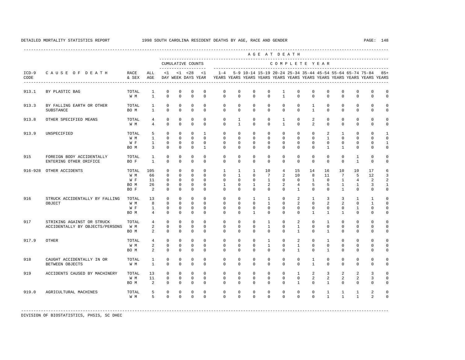|                 |                                                               |                                     | --------------------------------<br>AGE AT DEATH<br>--------------------------------- |                                                     |                                                          |                                                            |                                                              |                                                            |                                                                |                                                             |                                                          |                                                                 |                                                    |                                                      |                                                 |                                                            |                                                                                                                                      |                                                       |                                                            |
|-----------------|---------------------------------------------------------------|-------------------------------------|---------------------------------------------------------------------------------------|-----------------------------------------------------|----------------------------------------------------------|------------------------------------------------------------|--------------------------------------------------------------|------------------------------------------------------------|----------------------------------------------------------------|-------------------------------------------------------------|----------------------------------------------------------|-----------------------------------------------------------------|----------------------------------------------------|------------------------------------------------------|-------------------------------------------------|------------------------------------------------------------|--------------------------------------------------------------------------------------------------------------------------------------|-------------------------------------------------------|------------------------------------------------------------|
|                 |                                                               |                                     |                                                                                       |                                                     |                                                          | CUMULATIVE COUNTS<br>-------------------                   |                                                              |                                                            |                                                                |                                                             |                                                          |                                                                 |                                                    | COMPLETE YEAR                                        |                                                 |                                                            |                                                                                                                                      |                                                       |                                                            |
| $ICD-9$<br>CODE | CAUSE OF DEATH<br>------------------------------              | RACE<br>& SEX                       | ALL<br>AGE                                                                            | $\leq$ 1                                            |                                                          | $< 1$ $< 28$<br>DAY WEEK DAYS YEAR                         | < 1                                                          | $1 - 4$                                                    |                                                                | -------------------------------------                       |                                                          |                                                                 |                                                    |                                                      |                                                 |                                                            | 5-9 10-14 15-19 20-24 25-34 35-44 45-54 55-64 65-74 75-84<br>YEARS YEARS YEARS YEARS YEARS YEARS YEARS YEARS YEARS YEARS YEARS YEARS |                                                       | $85+$                                                      |
| 913.1           | BY PLASTIC BAG                                                | TOTAL<br>W M                        | 1<br>$\mathbf{1}$                                                                     | $\mathbf 0$<br>$\mathbf 0$                          | $\mathbf{0}$<br>$\mathbf 0$                              | $\mathbf{0}$<br>$\mathbf 0$                                | $\mathbf 0$<br>$\mathbf 0$                                   | $^{\circ}$<br>$\mathbf 0$                                  | $\mathbf 0$<br>$\mathbf 0$                                     | $\mathbf 0$<br>$\mathbf 0$                                  | $\mathbf{0}$<br>$\circ$                                  | 1<br>$\mathbf{1}$                                               | $^{\circ}$<br>$\Omega$                             | $^{\circ}$<br>$\Omega$                               | $\mathbf 0$<br>$\Omega$                         | $\mathbf 0$<br>$\mathbf 0$                                 | $\mathbf 0$<br>$\circ$                                                                                                               | $\mathbf 0$<br>$\mathbf 0$                            | $\mathbf 0$<br>$\mathbb O$                                 |
| 913.3           | BY FALLING EARTH OR OTHER<br>SUBSTANCE                        | TOTAL<br>BO M                       | $\mathbf{1}$<br>$\mathbf{1}$                                                          | $\mathbf{0}$<br>$\mathbf 0$                         | $\mathbf 0$<br>$\mathbf 0$                               | $\mathbf 0$<br>$\mathbf 0$                                 | $\mathbf 0$<br>$\mathbf 0$                                   | $^{\circ}$<br>$\mathbf 0$                                  | $\mathbf 0$<br>$\mathbf 0$                                     | $\mathbf{0}$<br>$\Omega$                                    | $\mathbf{0}$<br>$\mathbf{0}$                             | $\mathbf 0$<br>$\Omega$                                         | $\mathbf 0$<br>$\Omega$                            | $\mathbf{1}$<br>$\mathbf{1}$                         | $\mathbf{0}$<br>$\Omega$                        | $\mathbf{0}$<br>$\mathbf 0$                                | $\mathbf 0$<br>$\mathbf 0$                                                                                                           | $\mathbf 0$<br>$\mathbf 0$                            | $\mathbf 0$<br>$\mathsf 0$                                 |
| 913.8           | OTHER SPECIFIED MEANS                                         | TOTAL<br>W M                        | 4<br>$\overline{4}$                                                                   | $\mathbf 0$<br>$\Omega$                             | $\mathbf{0}$<br>$\Omega$                                 | $\mathbf 0$<br>$\Omega$                                    | $\mathbf 0$<br>$\Omega$                                      | $\mathbf 0$<br>$\Omega$                                    | $\mathbf{1}$<br>$\mathbf{1}$                                   | $\mathbf 0$<br>$\Omega$                                     | $\mathbf 0$<br>$\Omega$                                  | 1<br>$\mathbf{1}$                                               | $\mathbf 0$<br>$\Omega$                            | 2<br>$\overline{a}$                                  | $\mathbf 0$<br>$\Omega$                         | $\mathbf 0$<br>$\Omega$                                    | $\circ$<br>$\circ$                                                                                                                   | $\mathbf 0$<br>$\Omega$                               | $\mathbf 0$<br>$\mathsf 0$                                 |
| 913.9           | UNSPECIFIED                                                   | TOTAL<br>W M<br>W F<br>BO M         | 5<br>$\mathbf{1}$<br>$\mathbf{1}$<br>$\overline{3}$                                   | $\Omega$<br>$\Omega$<br>$\mathbf{0}$<br>$\mathbf 0$ | $\mathbf 0$<br>$\Omega$<br>$\Omega$<br>$\mathbf 0$       | $\Omega$<br>$\Omega$<br>$\Omega$<br>$\mathbf 0$            | $\overline{1}$<br>$\Omega$<br>$\Omega$<br>$\mathbf{1}$       | $^{\circ}$<br>$\Omega$<br>$\Omega$<br>$\mathbf 0$          | $\mathbf 0$<br>$\Omega$<br>$\Omega$<br>$\mathbf 0$             | $\mathbf{0}$<br>$\Omega$<br>$\Omega$<br>$\mathbf 0$         | $\mathbf 0$<br>$\Omega$<br>$\Omega$<br>$\mathbf{0}$      | $\circ$<br>$\Omega$<br>$\mathbf 0$<br>$\mathbf 0$               | $\mathbf 0$<br>$\Omega$<br>$\Omega$<br>$\mathbf 0$ | $\Omega$<br>$\Omega$<br>$\Omega$<br>$\Omega$         | 2<br>$\mathbf{1}$<br>$\Omega$<br>$\mathbf{1}$   | $\mathbf{1}$<br>$\Omega$<br>$\Omega$<br>$\mathbf{1}$       | $\Omega$<br>$\Omega$<br>$\Omega$<br>$\circ$                                                                                          | $\mathbf 0$<br>$\Omega$<br>$\mathbf 0$<br>$\mathbf 0$ | $\mathbf{1}$<br>$\mathbf 0$<br>$\mathbf{1}$<br>$\mathsf 0$ |
| 915             | FOREIGN BODY ACCIDENTALLY<br>ENTERING OTHER ORIFICE           | TOTAL<br>BO F                       | $\mathbf{1}$<br>$\mathbf{1}$                                                          | $\mathbf 0$<br>$\mathbf 0$                          | $\Omega$<br>$\mathbf 0$                                  | $\Omega$<br>$\mathbf 0$                                    | $\Omega$<br>$\Omega$                                         | $\Omega$<br>$\mathbf 0$                                    | $\Omega$<br>$\mathbf 0$                                        | $\Omega$<br>$\mathbf 0$                                     | $\Omega$<br>$\circ$                                      | $\Omega$<br>$\mathbf 0$                                         | $\Omega$<br>$\mathbf 0$                            | $\Omega$<br>$\Omega$                                 | $\Omega$<br>$\Omega$                            | $\mathbf 0$<br>$\circ$                                     | $\mathbf{1}$<br>$\mathbf{1}$                                                                                                         | $\Omega$<br>$\mathbf 0$                               | $\mathbf 0$<br>$\mathbf 0$                                 |
| $916 - 928$     | OTHER ACCIDENTS                                               | TOTAL<br>W M<br>W F<br>BO M<br>BO F | 105<br>66<br>11<br>26<br>2                                                            | $\Omega$<br>$\Omega$<br>0<br>0<br>0                 | $\Omega$<br>$\Omega$<br>$\mathbf 0$<br>0<br>$\mathbf{0}$ | $\Omega$<br>$\Omega$<br>$\mathbf 0$<br>0<br>$\mathbf{0}$   | $\Omega$<br>$\Omega$<br>$\Omega$<br>$\mathbf{0}$<br>$\Omega$ | $\mathbf{1}$<br>$\Omega$<br>$\mathbf 0$<br>1<br>$^{\circ}$ | $\mathbf{1}$<br>$\mathbf{1}$<br>$\mathbf 0$<br>0<br>$^{\circ}$ | $\mathbf{1}$<br>$\Omega$<br>$\mathbf 0$<br>1<br>$\mathbf 0$ | 10<br>7<br>$\mathbf{1}$<br>$\overline{2}$<br>$\mathbf 0$ | $\overline{4}$<br>2<br>$\mathbf 0$<br>$\overline{2}$<br>$\circ$ | 15<br>10<br>$\mathbf 0$<br>4<br>1                  | 14<br>8<br>$\mathbf{1}$<br>5<br>$\mathbf 0$          | 16<br>11<br>$\mathbf 0$<br>5<br>$\mathbf{0}$    | 10<br>$7\phantom{.0}$<br>$\mathbf{1}$<br>1<br>$\mathbf{1}$ | 10<br>5<br>$\overline{4}$<br>$\mathbf{1}$<br>$\circ$                                                                                 | 17<br>12<br>$\overline{a}$<br>3<br>$\mathbf 0$        | 6<br>3<br>$\,2$<br>$\mathbf{1}$<br>0                       |
| 916             | STRUCK ACCIDENTALLY BY FALLING<br>OBJECT                      | TOTAL<br>W M<br>W F<br>BO M         | 13<br>8<br>1<br>4                                                                     | $\mathbf{0}$<br>0<br>$\mathbf 0$<br>$\mathbf{0}$    | $\mathbf 0$<br>0<br>$\mathbf{0}$<br>$\mathbf 0$          | $\mathbf 0$<br>$\mathbf{0}$<br>$\mathbf{0}$<br>$\mathbf 0$ | $\mathbf 0$<br>$\Omega$<br>$\Omega$<br>$\Omega$              | $^{\circ}$<br>$\mathbf 0$<br>$^{\circ}$<br>$\Omega$        | $\mathbf 0$<br>$^{\circ}$<br>$^{\circ}$<br>$\mathbf 0$         | $\mathbf{1}$<br>$\mathbf 0$<br>$\mathbf 0$<br>$\mathbf{1}$  | $\mathbf{1}$<br>1<br>$\mathbf{0}$<br>$\mathbf{0}$        | $\mathbf 0$<br>0<br>0<br>$\Omega$                               | 2<br>2<br>0<br>$\mathbf 0$                         | $\mathbf{1}$<br>$\Omega$<br>$\Omega$<br>$\mathbf{1}$ | $\overline{3}$<br>2<br>$\Omega$<br>$\mathbf{1}$ | 3<br>2<br>$\mathbf{0}$<br>$\mathbf{1}$                     | $\mathbf{1}$<br>0<br>1<br>$\mathbf 0$                                                                                                | $\mathbf{1}$<br>1<br>$\mathbf 0$<br>$\mathbf 0$       | $\mathbf 0$<br>$\mathbf 0$<br>0<br>0                       |
| 917             | STRIKING AGAINST OR STRUCK<br>ACCIDENTALLY BY OBJECTS/PERSONS | TOTAL<br>W M<br>BO M                | $\overline{4}$<br>2<br>2                                                              | $\mathbf 0$<br>$\mathbf 0$<br>$\mathbf{0}$          | $\mathbf{0}$<br>$\mathbf 0$<br>$\mathbf 0$               | $\mathbf{0}$<br>$\mathbf 0$<br>$\mathbf 0$                 | $\mathbf 0$<br>$\mathbf 0$<br>$\mathbf 0$                    | $\mathbf 0$<br>$\mathbf 0$<br>$\mathbf 0$                  | $\mathbf 0$<br>$\mathbf 0$<br>$\mathbf 0$                      | $\mathbf 0$<br>$\mathbf 0$<br>$\mathbf 0$                   | $\mathbf{1}$<br>$\mathbf{1}$<br>$\mathbf 0$              | $\circ$<br>$\circ$<br>$\mathbf 0$                               | 2<br>$\mathbf{1}$<br>$\mathbf{1}$                  | $\mathbf 0$<br>$\mathbf 0$<br>$\Omega$               | $\mathbf{1}$<br>$\mathbf{0}$<br>$\mathbf{1}$    | $\mathbf 0$<br>$\mathbf{0}$<br>$\mathbf{0}$                | $\mathbf 0$<br>$\mathbf 0$<br>$\mathbf 0$                                                                                            | $\mathbf 0$<br>0<br>$\mathbf 0$                       | $\mathbf 0$<br>$\mathsf 0$<br>$\mathsf 0$                  |
| 917.9           | OTHER                                                         | TOTAL<br>W M<br>BO M                | 4<br>2<br>2                                                                           | $\mathbf{0}$<br>$\mathbf{0}$<br>$\mathbf{0}$        | $\Omega$<br>$\mathbf 0$<br>0                             | $\mathbf 0$<br>$\mathbf 0$<br>$\mathbf 0$                  | $\Omega$<br>$\Omega$<br>$\Omega$                             | $\mathbf 0$<br>$^{\circ}$<br>$^{\circ}$                    | $\mathbf 0$<br>$\Omega$<br>$\mathbf 0$                         | $\mathbf 0$<br>$\Omega$<br>$\mathbf 0$                      | $\mathbf{1}$<br>$\mathbf{1}$<br>$\mathbf 0$              | $\mathbf 0$<br>$\mathbf 0$<br>$\Omega$                          | 2<br>$\mathbf{1}$<br>$\mathbf{1}$                  | $\Omega$<br>$\Omega$<br>$\Omega$                     | $\mathbf{1}$<br>$\Omega$<br>$\mathbf{1}$        | $\mathbf{0}$<br>$\mathbf{0}$<br>$\mathbf 0$                | $\mathbf 0$<br>$\mathbf 0$<br>$\circ$                                                                                                | $\mathbf 0$<br>$\mathbf 0$<br>$\mathbf 0$             | 0<br>$\mathbb O$<br>$\mathbf 0$                            |
| 918             | CAUGHT ACCIDENTALLY IN OR<br>BETWEEN OBJECTS                  | TOTAL<br>W M                        | $\mathbf{1}$<br>$\mathbf{1}$                                                          | 0<br>$\mathbf 0$                                    | $\mathbf 0$<br>0                                         | $\mathbf 0$<br>$\mathbf 0$                                 | $\Omega$<br>$\Omega$                                         | $\mathbf 0$<br>$\mathbf 0$                                 | $\mathbf 0$<br>$\mathbf 0$                                     | $\mathbf 0$<br>$\mathbf 0$                                  | $\mathbf{0}$<br>$\mathbf 0$                              | $\mathbf 0$<br>$\mathbf 0$                                      | $\mathbf 0$<br>$\mathbf 0$                         | $\mathbf{1}$<br>$\mathbf{1}$                         | $\mathbf{0}$<br>$\mathbf 0$                     | $\mathbf{0}$<br>$\Omega$                                   | $\mathbf 0$<br>$\circ$                                                                                                               | $\mathbf 0$<br>$\mathbf 0$                            | 0<br>$\mathbf 0$                                           |
| 919             | ACCIDENTS CAUSED BY MACHINERY                                 | TOTAL<br>W M<br>BO M                | 13<br>11<br>2                                                                         | $\Omega$<br>$\mathbf 0$<br>$\Omega$                 | $\Omega$<br>$\mathbf 0$<br>$\mathbf 0$                   | $\Omega$<br>$\mathbf 0$<br>$\mathbf 0$                     | $\Omega$<br>$\mathbf 0$<br>$\Omega$                          | $\Omega$<br>$^{\circ}$<br>$\Omega$                         | $\Omega$<br>$\mathbf 0$<br>$\Omega$                            | $\Omega$<br>$\mathbf 0$<br>$\Omega$                         | $\Omega$<br>$\mathbf{0}$<br>$\Omega$                     | $\Omega$<br>$\mathbf 0$<br>$\Omega$                             | $\mathbf{1}$<br>$\mathbf 0$<br>$\mathbf{1}$        | $\overline{a}$<br>$\overline{2}$<br>$\Omega$         | 3<br>2<br>$\mathbf{1}$                          | 2<br>2<br>$\Omega$                                         | 2<br>2<br>$\Omega$                                                                                                                   | 3<br>3<br>$\Omega$                                    | $\Omega$<br>$\mathbb O$<br>$\mathbf 0$                     |
| 919.0           | AGRICULTURAL MACHINES                                         | TOTAL<br>W M                        | 5<br>5                                                                                | 0<br>$\Omega$                                       | $\mathbf 0$<br>$\Omega$                                  | $\mathbf 0$<br>$\Omega$                                    | $\mathbf 0$<br>$\Omega$                                      | $\mathbf 0$<br>$\Omega$                                    | $\mathbf 0$<br>$\Omega$                                        | $\mathbf 0$<br>$\Omega$                                     | $\mathbf 0$<br>$\Omega$                                  | $\circ$<br>$\Omega$                                             | $\mathbf 0$<br>$\Omega$                            | $\mathbf 0$<br>$\Omega$                              | $\mathbf{1}$<br>$\mathbf{1}$                    | $\mathbf{1}$<br>$\mathbf{1}$                               | $\mathbf{1}$<br>$\mathbf{1}$                                                                                                         | $\overline{a}$<br>$\mathfrak{D}$                      | $\mathbf 0$<br>$\mathbf 0$                                 |
|                 |                                                               |                                     |                                                                                       |                                                     |                                                          |                                                            |                                                              |                                                            |                                                                |                                                             |                                                          |                                                                 |                                                    |                                                      |                                                 |                                                            |                                                                                                                                      |                                                       |                                                            |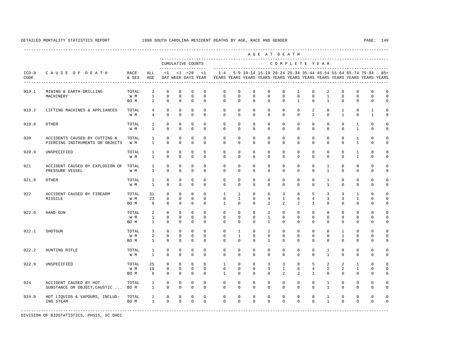---------------------------------------------------------------------------------------------------------------------------------------------------- A G E A T D E A T H --------------------------------------------------------------------------------------------- CUMULATIVE COUNTS C O M P L E T E Y E A R ------------------- ----------------------------------------------------------------------- ICD-9 C A U S E O F D E A T H RACE ALL <1 <1 <28 <1 1-4 5-9 10-14 15-19 20-24 25-34 35-44 45-54 55-64 65-74 75-84 85+ CODE & SEX AGE DAY WEEK DAYS YEAR YEARS YEARS YEARS YEARS YEARS YEARS YEARS YEARS YEARS YEARS YEARS YEARS ---------------------------------------------------------------------------------------------------------------------------------------------------- 919.1 MINING & EARTH-DRILLING TOTAL 3 0 0 0 0 0 0 0 0 0 0 1 0 2 0 0 0 0<br>MACHINERY WARTHING WAN 1 0 0 0 0 0 0 0 0 0 0 0 0 0 0 0 0 0 0 MACHINERY W M 1 0 0 0 0 0 0 0 0 0 0 0 1 0 0 0 0 BOM 2 0 0 0 0 0 0 0 0 0 0 1 0 0 0 0 0 919.2 LIFTING MACHINES & APPLIANCES TOTAL 4 0 0 0 0 0 0 0 0 0 0 2 0 1 0 1 0 W M 4 0 0 0 0 0 0 0 0 0 0 2 0 1 0 1 0 919.8 OTHER TOTAL 1 0 0 0 0 0 0 0 0 0 0 0 0 0 1 0 0 W M 1 0 0 0 0 0 0 0 0 0 0 0 0 0 1 0 0 920 ACCIDENTS CAUSED BY CUTTING & TOTAL 1 0 0 0 0 0 0 0 0 0 0 0 0 0 0 0 0 1 0 0 PIERCING INSTRUMENTS OR OBJECTS W M 1 0 0 0 0 0 0 0 0 0 0 0 0 0 0 0 0 0 1 0 0 920.9 UNSPECIFIED TOTAL 1 0 0 0 0 0 0 0 0 0 0 0 0 0 1 0 0 W M 1 0 0 0 0 0 0 0 0 0 0 0 0 0 1 0 0 921 ACCIDENT CAUSED BY EXPLOSION OF TOTAL 1 0 0 0 0 0 0 0 0 0 0 0 1 0 0 0 0 PRESSURE VESSEL 921.8 OTHER TOTAL 1 0 0 0 0 0 0 0 0 0 0 0 1 0 0 0 0 W M 1 0 0 0 0 0 0 0 0 0 0 0 1 0 0 0 0 922 ACCIDENT CAUSED BY FIREARM TOTAL 31 0 0 0 0 1 1 0 6 3 8 5 3 3 1 0 0 MISSILE W M 23 0 0 0 0 0 1 0 4 1 6 4 3 3 1 0 0 BOM 8 0 0 0 0 1 0 0 2 2 2 1 0 0 0 0 0 922.0 HAND GUN TOTAL 2 0 0 0 0 0 0 0 2 0 0 0 0 0 0 0 0 W M 1 0 0 0 0 0 0 0 1 0 0 0 0 0 0 0 0 BO M 1 0 0 0 0 0 0 0 1 0 0 0 0 0 0 0 0 922.1 SHOTGUN TOTAL 3 0 0 0 0 0 1 0 1 0 0 0 0 1 0 0 0 W M 2 0 0 0 0 0 1 0 0 0 0 0 0 1 0 0 0 BO M 1 0 0 0 0 0 0 0 1 0 0 0 0 0 0 0 0 922.2 HUNTING RIFLE TOTAL 1 0 0 0 0 0 0 0 0 0 0 0 1 0 0 0 0 W M 1 0 0 0 0 0 0 0 0 0 0 0 1 0 0 0 0 922.9 UNSPECIFIED TOTAL 25 0 0 0 0 1 0 0 3 3 8 5 2 2 1 0 0 W M 19 0 0 0 0 0 0 0 3 1 6 4 2 2 1 0 0 BOM 6 0 0 0 0 1 0 0 0 0 2 2 1 0 0 0 0 0 924 ACCIDENT CAUSED BY HOT TOTAL 1 0 0 0 0 0 0 0 0 0 0 0 1 0 0 0 0 SUBSTANCE OR OBJECT, CAUSTIC ... BOM 1 0 0 0 0 0 0 0 0 0 0 0 0 0 0 1 0 0 0 0 0 924.0 HOT LIQUIDS & VAPOURS, INCLUD- TOTAL 1 0 0 0 0 0 0 0 0 0 0 0 1 0 0 0 0 ING STEAM BO M 1 0 0 0 0 0 0 0 0 0 0 0 1 0 0 0 0 -----------------------------------------------------------------------------------------------------------------------------------------------------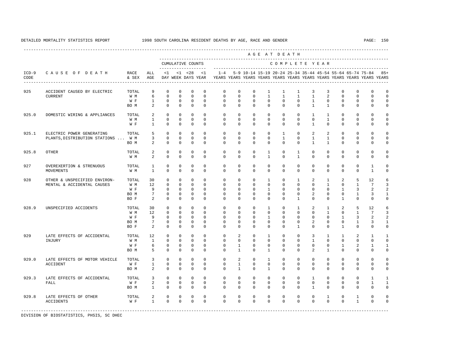---------------------------------------------------------------------------------------------------------------------------------------------------- A G E A T D E A T H --------------------------------------------------------------------------------------------- CUMULATIVE COUNTS C O M P L E T E Y E A R ------------------- ----------------------------------------------------------------------- ICD-9 C A U S E O F D E A T H RACE ALL <1 <1 <28 <1 1-4 5-9 10-14 15-19 20-24 25-34 35-44 45-54 55-64 65-74 75-84 85+ CODE & SEX AGE DAY WEEK DAYS YEAR YEARS YEARS YEARS YEARS YEARS YEARS YEARS YEARS YEARS YEARS YEARS YEARS ---------------------------------------------------------------------------------------------------------------------------------------------------- 925 ACCIDENT CAUSED BY ELECTRIC TOTAL 9 0 0 0 0 0 0 0 0 1 1 1 3 3 0 0 0 0 0<br>CURRENT CURRENT WM 6 0 0 0 0 0 0 0 1 1 1 1 2 0 0 0 0 W M 6 0 0 0 0 0 0 0 0 0 1 1 1 1 2<br>W F 1 0 0 0 0 0 0 0 0 0 0 0 1 0 W F 1 0 0 0 0 0 0 0 0 0 0 1 0 0 0 0 0 BOM 2 0 0 0 0 0 0 0 0 0 0 1 1 0 0 0 0 925.0 DOMESTIC WIRING & APPLIANCES TOTAL 2 0 0 0 0 0 0 0 0 0 0 1 1 0 0 0 0 W M 1 0 0 0 0 0 0 0 0 0 0 0 1 0 0 0 0 W F 1 0 0 0 0 0 0 0 0 0 0 1 0 0 0 0 0 925.1 ELECTRIC POWER GENERATING TOTAL 5 0 0 0 0 0 0 0 0 0 1 0 2 2 0 0 0 0<br>PLANTS.DISTRIBUTION STATIONS ... W.M 3 0 0 0 0 0 0 0 0 0 1 0 1 1 0 0 0 0 PLANTS, DISTRIBUTION STATIONS ... W M BOM 2 0 0 0 0 0 0 0 0 0 0 1 1 0 0 0 0 925.8 OTHER TOTAL 2 0 0 0 0 0 0 0 1 0 1 0 0 0 0 0 0 W M 2 0 0 0 0 0 0 0 1 0 1 0 0 0 0 0 0 927 OVEREXERTION & STRENUOUS TOTAL 1 0 0 0 0 0 0 0 0 0 0 0 0 0 0 0 0 1 0<br>MOVEMENTS MOVEMENTS W M 1 0 0 0 0 0 0 0 0 0 0 0 0 0 0 1 0 928 OTHER & UNSPECIFIED ENVIRON- TOTAL 30 0 0 0 0 0 0 0 1 0 1 2 1 2 5 12 6 MENTAL & ACCIDENTAL CAUSES W M 12 0 0 0 0 0 0 0 0 0 0 0 0 0 0 1 0 1 7 3 2 2 2 W F 9 0 0 0 0 0 0 0 0 1 0 0 0 0 0 1 3 2 2 BOM 7 0 0 0 0 0 0 0 0 0 0 0 2 0 0 1 3 1 BOF 2 0 0 0 0 0 0 0 0 0 0 0 0 1 0 0 0 0 928.9 UNSPECIFIED ACCIDENTS TOTAL 30 0 0 0 0 0 0 0 1 0 1 2 1 2 5 12 6 W M 12 0 0 0 0 0 0 0 0 0 0 0 1 0 1 7 3 W F 9 0 0 0 0 0 0 0 0 1 0 0 0 0 0 1 3 2 2 BOM 7 0 0 0 0 0 0 0 0 0 0 0 0 0 0 1 3 1<br>BOF 2 0 0 0 0 0 0 0 0 0 0 1 0 0 1 0 0 0 BOF 2 0 0 0 0 0 0 0 0 0 0 0 0 1 0 0 0 0 929 LATE EFFECTS OF ACCIDENTAL TOTAL 12 0 0 0 0 0 0 2 0 1 0 0 3 1 1 2 1 1<br>INJURY TIMJURY WM 1 0 0 0 0 0 0 0 0 0 0 1 0 0 0 0 0 INJURY W M 1 0 0 0 0 0 0 0 0 0 0 1 0 0 0 0 0 W F 6 0 0 0 0 0 1 0 0 0 0 0 0 0 0 1 2 1 1<br>ROM 5 0 0 0 0 0 1 0 1 0 0 2 1 0 0 0 0 BOM 5 0 0 0 0 0 1 0 1 0 0 2 1 0 0 0 0 929.0 LATE EFFECTS OF MOTOR VEHICLE TOTAL 3 0 0 0 0 0 2 0 1 0 0 0 0 0 0 0 0 ACCIDENT W F 1 0 0 0 0 0 1 0 0 0 0 0 0 0 0 0 0 BOM 2 0 0 0 0 0 1 0 1 0 0 0 0 0 0 0 0 929.3 LATE EFFECTS OF ACCIDENTAL TOTAL 3 0 0 0 0 0 0 0 0 0 0 0 0 0 0 0 0 0 1 1 1 1 1 1 1 1 1 1 1 1 1 1 1 1 1 1 FALL W F 2 0 0 0 0 0 0 0 0 0 0 0 0 0 0 1 1 BO M 1 0 0 0 0 0 0 0 0 0 0 1 0 0 0 0 0 929.8 LATE EFFECTS OF OTHER TOTAL 2 0 0 0 0 0 0 0 0 0 0 0 1 0 1 0 0 ACCIDENTS WF 1 0 0 0 0 0 0 0 0 0 0 0 0 1 0 0 -----------------------------------------------------------------------------------------------------------------------------------------------------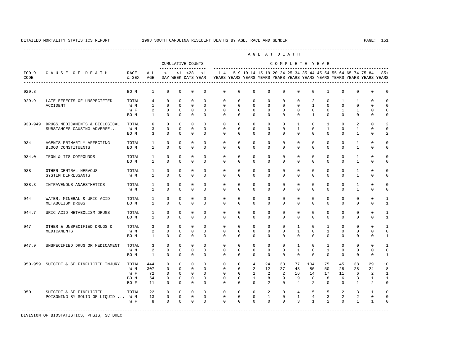---------------------------------------------------------------------------------------------------------------------------------------------------- A G E A T D E A T H --------------------------------------------------------------------------------------------- CUMULATIVE COUNTS C O M P L E T E Y E A R ------------------- ----------------------------------------------------------------------- ICD-9 C A U S E O F D E A T H RACE ALL <1 <1 <28 <1 1-4 5-9 10-14 15-19 20-24 25-34 35-44 45-54 55-64 65-74 75-84 85+ CODE & SEX AGE DAY WEEK DAYS YEAR YEARS YEARS YEARS YEARS YEARS YEARS YEARS YEARS YEARS YEARS YEARS YEARS ---------------------------------------------------------------------------------------------------------------------------------------------------- 929.8 BO M 1 0 0 0 0 0 0 0 0 0 0 0 1 0 0 0 0 929.9 LATE EFFECTS OF UNSPECIFIED TOTAL 4 0 0 0 0 0 0 0 0 0 0 2 0 1 1 0 0 ACCIDENT W M 1 0 0 0 0 0 0 0 0 0 0 1 0 0 0 0 0 W F 2 0 0 0 0 0 0 0 0 0 0 0 0 1 1 0 0 BO M 1 0 0 0 0 0 0 0 0 0 0 1 0 0 0 0 0 930-949 DRUGS,MEDICAMENTS & BIOLOGICAL TOTAL 6 0 0 0 0 0 0 0 0 0 1 0 1 0 2 0 2 SUBSTANCES CAUSING ADVERSE... W M 3 0 0 0 0 0 0 0 0 0 0 0 0 1 0 1 0 1 0 0 0 2 BOM 3 0 0 0 0 0 0 0 0 0 0 0 0 0 1 0 2 934 AGENTS PRIMARILY AFFECTING TOTAL 1 0 0 0 0 0 0 0 0 0 0 0 0 0 1 0 0 BLOOD CONSTITUENTS BOM 1 0 0 0 0 0 0 0 0 0 0 0 0 0 1 0 0 934.0 IRON & ITS COMPOUNDS TOTAL 1 0 0 0 0 0 0 0 0 0 0 0 0 0 1 0 0 BOM 1 0 0 0 0 0 0 0 0 0 0 0 0 0 0 1 0 0 938 OTHER CENTRAL NERVOUS TOTAL 1 0 0 0 0 0 0 0 0 0 0 0 0 0 1 0 0 SYSTEM DEPRESSANTS W M 1 0 0 0 0 0 0 0 0 0 0 0 0 0 1 0 0 938.3 INTRAVENOUS ANAESTHETICS TOTAL 1 0 0 0 0 0 0 0 0 0 0 0 0 0 1 0 0 W M 1 0 0 0 0 0 0 0 0 0 0 0 0 0 1 0 0 944 WATER, MINERAL & URIC ACID TOTAL 1 0 0 0 0 0 0 0 0 0 0 0 0 0 0 0 1 METABOLISM DRUGS BO M 1 0 0 0 0 0 0 0 0 0 0 0 0 0 0 0 1 944.7 URIC ACID METABOLISM DRUGS TOTAL 1 0 0 0 0 0 0 0 0 0 0 0 0 0 0 0 1 BOM 1 0 0 0 0 0 0 0 0 0 0 0 0 0 0 0 1 947 OTHER & UNSPECIFIED DRUGS & TOTAL 3 0 0 0 0 0 0 0 0 0 1 0 1 0 0 0 1 MEDICAMENTS W M 2 0 0 0 0 0 0 0 0 0 1 0 1 0 0 0 0 BOM 1 0 0 0 0 0 0 0 0 0 0 0 0 0 0 0 1 947.9 UNSPECIFIED DRUG OR MEDICAMENT TOTAL 3 0 0 0 0 0 0 0 0 0 1 0 1 0 0 0 1 W M 2 0 0 0 0 0 0 0 0 0 1 0 1 0 0 0 0 BO M 1 0 0 0 0 0 0 0 0 0 0 0 0 0 0 0 1 950-959 SUICIDE & SELFINFLICTED INJURY TOTAL 444 0 0 0 0 0 0 4 24 38 77 104 75 45 38 29 10 W M 307 0 0 0 0 0 0 2 12 27 48 80 50 28 28 24 8 W F 72 0 0 0 0 0 0 1 2 2 16 14 17 11 6 2 1 BO M 54 0 0 0 0 0 0 1 8 9 9 8 8 6 3 1 1 BO F 11 0 0 0 0 0 0 0 2 0 4 2 0 0 1 2 0 950 SUICIDE & SELFINFLICTED TOTAL 22 0 0 0 0 0 0 0 2 0 4 5 5 2 3 1 0 POISONING BY SOLID OR LIQUID ... W M 13 0 0 0 0 0 0 0 0 0 1 0 1 4 3 2 2 0 0<br>W F 8 0 0 0 0 0 0 0 0 0 0 3 1 2 0 1 1 0 W F 8 0 0 0 0 0 0 0 0 0 0 3 1 2 0 1 1 0 -----------------------------------------------------------------------------------------------------------------------------------------------------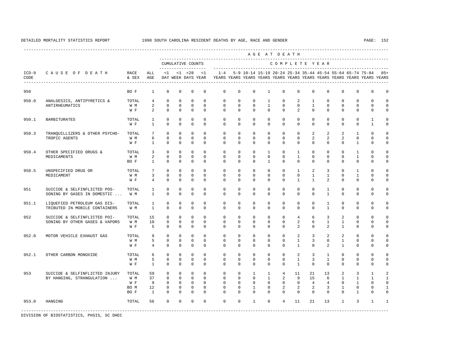|                 |                                                                |               |                                   |                         |                         |                                    |                         |                         |                            |                              | AGE AT DEATH               |                         |                              |                              |                              |                                |                             |                                                                                                                                      |                      |
|-----------------|----------------------------------------------------------------|---------------|-----------------------------------|-------------------------|-------------------------|------------------------------------|-------------------------|-------------------------|----------------------------|------------------------------|----------------------------|-------------------------|------------------------------|------------------------------|------------------------------|--------------------------------|-----------------------------|--------------------------------------------------------------------------------------------------------------------------------------|----------------------|
|                 |                                                                |               |                                   |                         |                         | CUMULATIVE COUNTS                  |                         |                         |                            |                              |                            |                         |                              |                              | COMPLETE YEAR                |                                |                             |                                                                                                                                      |                      |
| $ICD-9$<br>CODE | CAUSE OF DEATH                                                 | RACE<br>& SEX | ALL<br>AGE                        | <1                      |                         | $< 1$ $< 28$<br>DAY WEEK DAYS YEAR | <1                      | $1 - 4$                 |                            |                              |                            |                         |                              |                              |                              |                                |                             | 5-9 10-14 15-19 20-24 25-34 35-44 45-54 55-64 65-74 75-84<br>YEARS YEARS YEARS YEARS YEARS YEARS YEARS YEARS YEARS YEARS YEARS YEARS | $85+$                |
| 950             |                                                                | BO F          | $\mathbf{1}$                      | $\Omega$                | $\mathbf 0$             | $\Omega$                           | $\mathbf 0$             | $\Omega$                | $\Omega$                   | $\Omega$                     | $\mathbf{1}$               | $\Omega$                | $\Omega$                     | $\Omega$                     | $\Omega$                     | $\Omega$                       | $\Omega$                    | $\Omega$                                                                                                                             | $\Omega$             |
| 950.0           | ANALGESICS, ANTIPYRETICS &                                     | TOTAL         | $\overline{4}$                    | $\Omega$                | $\Omega$                | $\Omega$                           | $\Omega$                | $\Omega$                | $\Omega$                   | $\Omega$                     | $\mathbf{1}$               | $\Omega$                | 2                            | $\mathbf{1}$                 | $\Omega$                     | $\Omega$                       | $\Omega$                    | $\Omega$                                                                                                                             | $\Omega$             |
|                 | ANTIRHEUMATICS                                                 | W M<br>W F    | $\overline{a}$<br>2               | $\mathbf 0$<br>$\Omega$ | $\mathbf 0$<br>$\Omega$ | $\mathbf 0$<br>$\Omega$            | $\mathbf 0$<br>$\Omega$ | $\mathbf 0$<br>$\Omega$ | $\mathbf 0$<br>$\Omega$    | $\mathbf{0}$<br>$\Omega$     | $\mathbf{1}$<br>$\Omega$   | $\mathbf 0$<br>$\Omega$ | $\mathbf 0$<br>2             | $\mathbf{1}$<br>$\Omega$     | $\mathbf{0}$<br>$\Omega$     | $\mathbf{0}$<br>$\Omega$       | $\mathbf 0$<br>$\Omega$     | $\mathbf 0$<br>$\Omega$                                                                                                              | $\Omega$<br>$\Omega$ |
| 950.1           | <b>BARBITURATES</b>                                            | TOTAL         | $\mathbf{1}$                      | $\Omega$                | $\Omega$                | $\Omega$                           | $\Omega$                | $\Omega$                | $\Omega$                   | $\Omega$                     | $\Omega$                   | $\Omega$                | $\Omega$                     | $\Omega$                     | $\Omega$                     | $\Omega$                       | $\Omega$                    | $\mathbf{1}$                                                                                                                         | $\Omega$             |
|                 |                                                                | W F           | $\mathbf{1}$                      | $\Omega$                | $\Omega$                | $\Omega$                           | $\Omega$                | $\Omega$                | $\Omega$                   | $\Omega$                     | $\Omega$                   | $\Omega$                | $\Omega$                     | $\Omega$                     | $\Omega$                     | $\cap$                         | $\Omega$                    | $\mathbf{1}$                                                                                                                         | $\Omega$             |
| 950.3           | TRANOUILLIZERS & OTHER PSYCHO-                                 | TOTAL         | 7                                 | $\Omega$<br>$\Omega$    | $\Omega$<br>$\Omega$    | $\Omega$                           | $\Omega$<br>$\Omega$    | $\Omega$<br>$\Omega$    | $\Omega$<br>$\Omega$       | $\Omega$<br>$\Omega$         | $\Omega$<br>$\Omega$       | $\Omega$<br>$\Omega$    | $\Omega$<br>$\Omega$         | $\mathfrak{D}$               | $\mathfrak{D}$               | $\mathfrak{D}$                 | $\mathbf{1}$                | $\Omega$                                                                                                                             | $\cap$<br>$\Omega$   |
|                 | TROPIC AGENTS                                                  | W M<br>W F    | 6<br>$\mathbf{1}$                 | $\mathbf 0$             | $\mathbf 0$             | $\mathbf 0$<br>$\mathbf 0$         | $\mathbf 0$             | $\Omega$                | 0                          | $\mathbf 0$                  | 0                          | 0                       | 0                            | 2<br>$\Omega$                | 2<br>0                       | 2<br>$\Omega$                  | $\mathbf 0$<br>$\mathbf{1}$ | $\Omega$<br>0                                                                                                                        | $\Omega$             |
| 950.4           | OTHER SPECIFIED DRUGS &                                        | TOTAL         | 3                                 | $\mathbf 0$             | $\mathbf 0$             | $\mathbf 0$                        | $\mathbf 0$             | $\mathbf 0$             | $\mathbf 0$                | $\mathbf 0$                  | $\mathbf{1}$               | $\mathbf 0$             | $\mathbf{1}$                 | $\mathbf 0$                  | $\mathbf 0$                  | $\mathbf 0$                    | $\mathbf{1}$                | $\mathbf 0$                                                                                                                          | $\Omega$             |
|                 | MEDICAMENTS                                                    | W M<br>BO F   | 2<br>$\mathbf{1}$                 | $\mathbf 0$<br>$\Omega$ | $\Omega$<br>$\mathbf 0$ | $\mathbf 0$<br>$\mathbf 0$         | $\Omega$<br>$\mathbf 0$ | $\Omega$<br>$\Omega$    | $\Omega$<br>$\mathbf 0$    | $\Omega$<br>$\mathbf 0$      | $\Omega$<br>$\mathbf{1}$   | $\Omega$<br>$\Omega$    | $\mathbf{1}$<br>$\Omega$     | $\Omega$<br>$\Omega$         | $\Omega$<br>$\mathbf 0$      | $\Omega$<br>$\Omega$           | $\mathbf{1}$<br>0           | $\Omega$<br>$\Omega$                                                                                                                 | $\Omega$<br>$\Omega$ |
| 950.5           | UNSPECIFIED DRUG OR                                            | TOTAL         | $\overline{7}$                    | $\Omega$                | $\Omega$                | $\mathbf 0$                        | $\Omega$                | $\Omega$                | $\Omega$                   | $\Omega$                     | $\Omega$                   | $\Omega$                | $\mathbf{1}$                 | 2                            | 3                            | $\Omega$                       | $\mathbf{1}$                | $\Omega$                                                                                                                             | $\Omega$             |
|                 | MEDICAMENT                                                     | W M<br>W F    | 3<br>$\overline{4}$               | $\mathbf 0$<br>$\Omega$ | $\Omega$<br>$\mathbf 0$ | $\mathbf 0$<br>$\Omega$            | $\Omega$<br>$\mathbf 0$ | $\mathbf 0$<br>$\Omega$ | $\mathbf 0$<br>$\mathbf 0$ | $\mathbf{0}$<br>$\mathbf{0}$ | $\mathbf 0$<br>$\mathbf 0$ | $\mathbf 0$<br>$\Omega$ | $\mathbf 0$<br>$\mathbf{1}$  | $\mathbf{1}$<br>$\mathbf{1}$ | $\mathbf{1}$<br>2            | $\mathbf 0$<br>$\Omega$        | $\mathbf{1}$<br>$\mathbf 0$ | $\mathbf 0$<br>$\mathbf 0$                                                                                                           | $\Omega$<br>$\Omega$ |
|                 |                                                                |               |                                   |                         |                         |                                    |                         |                         |                            |                              |                            |                         |                              |                              |                              |                                |                             |                                                                                                                                      |                      |
| 951             | SUICIDE & SELFINFLICTED POS-<br>SONING BY GASES IN DOMESTIC    | TOTAL<br>W M  | $\mathbf{1}$<br>$\mathbf{1}$      | $\Omega$<br>$\Omega$    | $\Omega$<br>$\Omega$    | $\Omega$<br>$\Omega$               | $\Omega$<br>$\Omega$    | $\Omega$<br>$\Omega$    | $\Omega$<br>$\Omega$       | $\Omega$<br>$\Omega$         | $\Omega$<br>$\Omega$       | $\Omega$<br>$\Omega$    | $\Omega$<br>$\mathbf 0$      | $\Omega$<br>$\Omega$         | $\mathbf{1}$<br>$\mathbf{1}$ | $\Omega$<br>$\Omega$           | $\Omega$<br>$\mathbf 0$     | $\Omega$<br>$\Omega$                                                                                                                 | $\Omega$<br>$\Omega$ |
| 951.1           | LIQUEFIED PETROLEUM GAS DIS-                                   | TOTAL.        | $\mathbf{1}$                      | $\Omega$                | $\Omega$                | $\Omega$                           | $\Omega$                | $\Omega$                | $\Omega$                   | $\Omega$                     | $\Omega$                   | $\Omega$                | $\Omega$                     | $\Omega$                     | $\mathbf{1}$                 | $\Omega$                       | $\Omega$                    | $\Omega$                                                                                                                             | $\Omega$             |
|                 | TRIBUTED IN MOBILE CONTAINERS                                  | W M           | $\overline{1}$                    | $\Omega$                | $\Omega$                | $\Omega$                           | $\Omega$                | $\Omega$                | $\Omega$                   | $\Omega$                     | $\Omega$                   | $\Omega$                | $\Omega$                     | $\Omega$                     | $\mathbf{1}$                 | $\Omega$                       | $\Omega$                    | $\Omega$                                                                                                                             | $\cap$               |
| 952             | SUICIDE & SELFINFLICTED POI-<br>SONING BY OTHER GASES & VAPORS | TOTAL<br>W M  | 15<br>10                          | $\Omega$<br>$\Omega$    | $\Omega$<br>$\Omega$    | $\Omega$<br>$\Omega$               | $\Omega$<br>$\Omega$    | $\Omega$<br>$\Omega$    | $\Omega$<br>$\Omega$       | $\Omega$<br>$\Omega$         | $\Omega$<br>$\Omega$       | $\Omega$<br>$\Omega$    | $\overline{4}$<br>2          | 6<br>6                       | 3<br>$\mathbf{1}$            | $\mathfrak{D}$<br>$\mathbf{1}$ | $\Omega$<br>$\Omega$        | $\Omega$<br>$\Omega$                                                                                                                 | $\cap$<br>$\Omega$   |
|                 |                                                                | W F           | 5                                 | $\Omega$                | $\mathbf 0$             | $\Omega$                           | $\Omega$                | $\Omega$                | $\mathbf 0$                | $\Omega$                     | $\mathbf 0$                | $\Omega$                | 2                            | $\Omega$                     | 2                            | $\mathbf{1}$                   | $\mathbf 0$                 | $\Omega$                                                                                                                             | $\Omega$             |
| 952.0           | MOTOR VEHICLE EXHAUST GAS                                      | TOTAL         | 9                                 | $\mathbf 0$             | $\Omega$                | $\Omega$                           | $\Omega$                | $\Omega$                | $\Omega$                   | $\Omega$                     | $\mathbf 0$                | $\Omega$                | 2                            | $\overline{3}$               | 2                            | 2                              | $\mathbf 0$                 | $\Omega$                                                                                                                             | $\Omega$             |
|                 |                                                                | W M<br>W F    | 5<br>$\overline{4}$               | $\Omega$<br>$\mathbf 0$ | $\Omega$<br>$\mathbf 0$ | $\Omega$<br>$\mathbf 0$            | $\Omega$<br>$\mathbf 0$ | $\Omega$<br>$\Omega$    | $\Omega$<br>$\mathbf 0$    | $\Omega$<br>$\mathbf{0}$     | $\Omega$<br>$\mathbf 0$    | $\Omega$<br>$\mathbf 0$ | $\mathbf{1}$<br>$\mathbf{1}$ | 3<br>$\Omega$                | $\Omega$<br>2                | $\mathbf{1}$<br>$\mathbf{1}$   | $\mathbf 0$<br>0            | $\Omega$<br>$\Omega$                                                                                                                 | $\Omega$<br>$\Omega$ |
| 952.1           | OTHER CARBON MONOXIDE                                          | TOTAL         | 6                                 | $\Omega$                | $\Omega$                | $\Omega$                           | $\Omega$                | $\Omega$                | $\Omega$                   | $\Omega$                     | $\Omega$                   | $\Omega$                | 2                            | 3                            | $\mathbf{1}$                 | $\Omega$                       | $\mathbf 0$                 | $\Omega$                                                                                                                             | $\Omega$             |
|                 |                                                                | W M<br>W F    | 5<br>$\mathbf{1}$                 | $\mathbf 0$<br>$\Omega$ | $\mathbf 0$<br>$\Omega$ | $\mathbf 0$<br>$\Omega$            | $\mathbf 0$<br>$\Omega$ | $\mathbf 0$<br>$\Omega$ | $\mathbf 0$<br>$\Omega$    | $\mathbf{0}$<br>$\Omega$     | $\mathbf 0$<br>$\Omega$    | $\mathbf 0$<br>$\Omega$ | $\mathbf{1}$<br>$\mathbf{1}$ | 3<br>$\Omega$                | $\mathbf{1}$<br>$\Omega$     | $\mathbf{0}$<br>$\Omega$       | $\mathbf 0$<br>$\Omega$     | $\mathbf 0$<br>$\Omega$                                                                                                              | $\Omega$<br>$\Omega$ |
| 953             | SUICIDE & SELFINFLICTED INJURY                                 | TOTAL         | 59                                | $\Omega$                | $\Omega$                | $\Omega$                           | $\Omega$                | $\Omega$                | $\Omega$                   | $\mathbf{1}$                 | $\mathbf{1}$               | $\overline{4}$          | 11                           | 21                           | 13                           | 2                              | 3                           | $\mathbf{1}$                                                                                                                         | $\mathfrak{D}$       |
|                 | BY HANGING, STRANGULATION                                      | W M           | 37                                | $\Omega$                | $\Omega$                | $\Omega$                           | $\Omega$                | $\Omega$                | $\Omega$                   | $\Omega$                     | $\overline{1}$             | 2                       | 9                            | 15                           | 6                            | $\mathbf{1}$                   | $\mathbf{1}$                | $\mathbf{1}$                                                                                                                         | $\mathbf{1}$         |
|                 |                                                                | W F           | 9                                 | $\mathbf 0$             | $\mathbf 0$             | $\mathbf 0$                        | $\Omega$                | $\Omega$                | $\mathbf 0$                | $\mathbf{0}$                 | $\mathbf 0$                | $\mathbf 0$             | $\mathbf 0$                  | $\overline{4}$               | $\overline{4}$               | $\mathbf 0$                    | $\mathbf{1}$                | $\Omega$                                                                                                                             | $\Omega$             |
|                 |                                                                | BO M<br>BO F  | $12 \overline{ }$<br>$\mathbf{1}$ | $\Omega$<br>$\Omega$    | $\mathbf 0$<br>$\Omega$ | $\mathbf 0$<br>$\Omega$            | $\Omega$<br>$\Omega$    | $\Omega$<br>$\Omega$    | $\Omega$<br>$\Omega$       | $\mathbf{1}$<br>$\Omega$     | $\Omega$<br>$\Omega$       | 2<br>$\Omega$           | 2<br>$\Omega$                | 2<br>$\Omega$                | 3<br>$\Omega$                | $\mathbf{1}$<br>$\Omega$       | $\Omega$<br>$\mathbf{1}$    | $\Omega$<br>$\Omega$                                                                                                                 |                      |
| 953.0           | HANGING                                                        | TOTAL         | 56                                | $\Omega$                | $\Omega$                | $\Omega$                           | $\Omega$                | $\Omega$                | $\Omega$                   | $\mathbf{1}$                 | $\Omega$                   | $\overline{4}$          | 11                           | 21                           | 13                           | $\mathbf{1}$                   | 3                           | $\mathbf{1}$                                                                                                                         | $\mathbf{1}$         |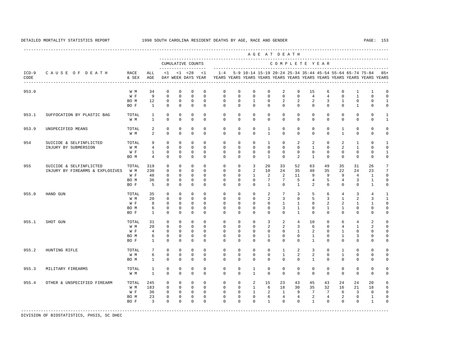A G E A T D E A T H

----------------------------------------------------------------------------------------------------------------------------------------------------

 --------------------------------------------------------------------------------------------- CUMULATIVE COUNTS C O M P L E T E Y E A R ------------------- ----------------------------------------------------------------------- ICD-9 C A U S E O F D E A T H RACE ALL <1 <1 <28 <1 1-4 5-9 10-14 15-19 20-24 25-34 35-44 45-54 55-64 65-74 75-84 85+ CODE & SEX AGE DAY WEEK DAYS YEAR YEARS YEARS YEARS YEARS YEARS YEARS YEARS YEARS YEARS YEARS YEARS YEARS ---------------------------------------------------------------------------------------------------------------------------------------------------- 953.0 W M 34 0 0 0 0 0 0 0 0 2 9 15 6 0 1 1 0<br>W F 9 0 0 0 0 0 0 0 0 0 0 0 4 4 0 1 0 0 W F 9 0 0 0 0 0 0 0 0 0 0 4 4 0 1 0 0 BO M 12 0 0 0 0 0 0 1 0 2 2 2 3 1 0 0 1 BOF 1 0 0 0 0 0 0 0 0 0 0 0 0 0 1 0 0 953.1 SUFFOCATION BY PLASTIC BAG TOTAL 1 0 0 0 0 0 0 0 0 0 0 0 0 0 0 0 1 W M 1 0 0 0 0 0 0 0 0 0 0 0 0 0 0 0 0 1 953.9 UNSPECIFIED MEANS TOTAL 2 0 0 0 0 0 0 0 1 0 0 0 0 1 0 0 0 W M 2 0 0 0 0 0 0 0 1 0 0 0 0 1 0 0 0 954 SUICIDE & SELFINFLICTED TOTAL 9 0 0 0 0 0 0 0 1 0 2 2 0 2 1 0 1 INJURY BY SUBMERSION W M 4 0 0 0 0 0 0 0 0 0 0 1 0 2 1 0 0 W F 1 0 0 0 0 0 0 0 0 0 0 0 0 0 0 0 1 BO M 4 0 0 0 0 0 0 0 1 0 2 1 0 0 0 0 0 955 SUICIDE & SELFINFLICTED TOTAL 319 0 0 0 0 0 0 0 3 20 33 52 63 49 35 31 26 7<br>INJURY BY FIREARMS & EXPLOSIVES W M 230 0 0 0 0 0 0 0 2 10 24 35 48 35 22 24 23 7 INJURY BY FIREARMS & EXPLOSIVES W M 230 0 0 0 0 0 0 2 10 24 35 48 35 22 24 23 7 W F 48 0 0 0 0 0 0 1 2 2 11 9 9 9 4 1 0 BO M 36 0 0 0 0 0 0 0 7 7 5 4 5 4 3 1 0 BOF 5 0 0 0 0 0 0 0 0 0 1 2 0 0 0 1 0 955.0 HAND GUN TOTAL 35 0 0 0 0 0 0 0 2 7 3 5 6 4 3 4 1 W M 20 0 0 0 0 0 0 0 0 2 3 0 5 3 1 2 3 1 W F 8 0 0 0 0 0 0 0 0 0 1 1 0 2 2 1 1 0 BOM 6 0 0 0 0 0 0 0 0 0 3 1 0 1 1 0 0 0 BO F 1 0 0 0 0 0 0 0 0 0 1 0 0 0 0 0 0 955.1 SHOT GUN TOTAL 31 0 0 0 0 0 0 0 3 2 4 10 0 6 4 2 0 W M 20 0 0 0 0 0 0 0 2 2 3 6 0 4 1 2 0 W F 4 0 0 0 0 0 0 0 0 0 0 1 2 0 1 0 0 0 BOM 6 0 0 0 0 0 0 0 0 0 0 1 0 0 1 3 0 0 BO F 1 0 0 0 0 0 0 0 0 0 0 1 0 0 0 0 0 955.2 HUNTING RIFLE TOTAL 7 0 0 0 0 0 0 0 0 1 2 3 0 1 0 0 0 W M 6 0 0 0 0 0 0 0 0 1 2 2 0 1 0 0 0 BO M 1 0 0 0 0 0 0 0 0 0 0 1 0 0 0 0 0 955.3 MILITARY FIREARMS TOTAL 1 0 0 0 0 0 0 1 0 0 0 0 0 0 0 0 0 W M 1 0 0 0 0 0 0 1 0 0 0 0 0 0 0 0 0 955.4 OTHER & UNSPECIFIED FIREARM TOTAL 245 0 0 0 0 0 0 2 15 23 43 45 43 24 24 20 6 W M 183 0 0 0 0 0 0 1 6 18 30 35 32 16 21 18 6 W F 36 0 0 0 0 0 0 0 1 2 1 9 7 7 6 3 0 0 BO M 23 0 0 0 0 0 0 0 6 4 4 2 4 2 0 1 0 BOF 3 0 0 0 0 0 0 0 0 0 0 1 0 0 0 1 0

-----------------------------------------------------------------------------------------------------------------------------------------------------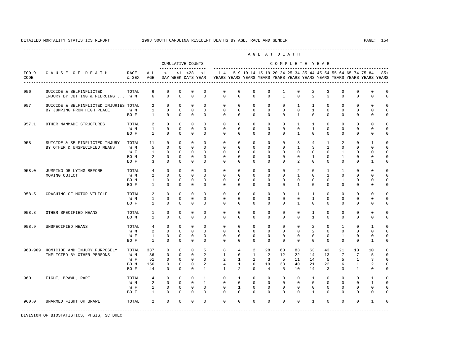---------------------------------------------------------------------------------------------------------------------------------------------------- A G E A T D E A T H --------------------------------------------------------------------------------------------- CUMULATIVE COUNTS C O M P L E T E Y E A R ------------------- ----------------------------------------------------------------------- ICD-9 C A U S E O F D E A T H RACE ALL <1 <1 <28 <1 1-4 5-9 10-14 15-19 20-24 25-34 35-44 45-54 55-64 65-74 75-84 85+ CODE & SEX AGE DAY WEEK DAYS YEAR YEARS YEARS YEARS YEARS YEARS YEARS YEARS YEARS YEARS YEARS YEARS YEARS ---------------------------------------------------------------------------------------------------------------------------------------------------- 956 SUICIDE & SELFINFLICTED TOTAL 6 0 0 0 0 0 0 0 0 0 1 0 2 3 0 0 0 0<br>TNJIURY BY CUTTING & PIRRCING ... W.M 6 0 0 0 0 0 0 0 0 0 0 1 0 2 3 0 0 0 0 INJURY BY CUTTING & PIERCING ... W M 957 SUICIDE & SELFINFLICTED INJURIES TOTAL 2 0 0 0 0 0 0 0 0 0 1 1 0 0 0 0 0 BY JUMPING FROM HIGH PLACE W M 1 0 0 0 0 0 0 0 0 0 0 1 0 0 0 0 0 BO F 1 0 0 0 0 0 0 0 0 0 1 0 0 0 0 0 0 957.1 OTHER MANMADE STRUCTURES TOTAL 2 0 0 0 0 0 0 0 0 0 1 1 0 0 0 0 0 W M 1 0 0 0 0 0 0 0 0 0 0 1 0 0 0 0 0 BO F 1 0 0 0 0 0 0 0 0 0 1 0 0 0 0 0 0 958 SUICIDE & SELFINFLICTED INJURY TOTAL 11 0 0 0 0 0 0 0 0 0 3 4 1 2 0 1 0 BY OTHER & UNSPECIFIED MEANS W M 5 0 0 0 0 0 0 0 0 0 1 3 1 0 0 0 0 W F 1 0 0 0 0 0 0 0 0 0 0 0 0 1 0 0 0 BOM 2 0 0 0 0 0 0 0 0 0 0 0 1 0 1 0 0 0<br>BOR 3 0 0 0 0 0 0 0 0 0 0 2 0 0 0 0 1 0 BO F 3 0 0 0 0 0 0 0 0 0 2 0 0 0 0 1 0 958.0 JUMPING OR LYING BEFORE TOTAL 4 0 0 0 0 0 0 0 0 0 2 0 1 1 0 0 0 MOVING OBJECT W M 2 0 0 0 0 0 0 0 0 0 1 0 1 0 0 0 0 BO M 1 0 0 0 0 0 0 0 0 0 0 0 0 1 0 0 0 BO F 1 0 0 0 0 0 0 0 0 0 1 0 0 0 0 0 0 958.5 CRASHING OF MOTOR VEHICLE TOTAL 2 0 0 0 0 0 0 0 0 0 1 1 0 0 0 0 0 W M 1 0 0 0 0 0 0 0 0 0 0 1 0 0 0 0 0 BO F 1 0 0 0 0 0 0 0 0 0 1 0 0 0 0 0 0 958.8 OTHER SPECIFIED MEANS TOTAL 1 0 0 0 0 0 0 0 0 0 0 1 0 0 0 0 0 BO M 1 0 0 0 0 0 0 0 0 0 0 1 0 0 0 0 0 958.9 UNSPECIFIED MEANS TOTAL 4 0 0 0 0 0 0 0 0 0 0 0 0 2 0 1 0 1 0<br>W M 2 0 0 0 0 0 0 0 0 0 0 0 2 0 0 0 0 0 W M 2 0 0 0 0 0 0 0 0 0 0 2 0 0 0 0 0 1 0 0 0 0 BO F 1 0 0 0 0 0 0 0 0 0 0 0 0 0 0 1 0 960-969 HOMICIDE AND INJURY PURPOSELY TOTAL 337 0 0 0 5 8 4 2 28 60 83 63 43 21 10 10 0 INFLICTED BY OTHER PERSONS W M 86 0 0 0 2 1 0 1 2 12 22 14 13 7 7 5 0<br>W F 51 0 0 0 0 2 1 1 3 5 11 14 5 5 1 3 0 W F 51 0 0 0 0 0 2 1 1 1 3 5 11 14 5 5 1 3 0 BO M 156 0 0 0 2 4 1 0 19 38 40 21 22 6 1 2 0 BO F 44 0 0 0 1 1 2 0 4 5 10 14 3 3 1 0 0 960 FIGHT, BRAWL, RAPE TOTAL 4 0 0 0 1 0 1 0 0 0 0 0 1 0 0 0 1 0<br>W M 2 0 0 0 1 0 0 0 0 0 0 0 0 0 0 0 0 0 1 0 W M 2 0 0 0 1 0 0 0 0 0 0 0 0 0 0 1 0 W F 1 0 0 0 0 0 1 0 0 0 0 0 0 0 0 0 0 BO F 1 0 0 0 0 0 0 0 0 0 0 1 0 0 0 0 0 960.0 UNARMED FIGHT OR BRAWL TOTAL 2 0 0 0 0 0 0 0 0 0 0 1 0 0 0 1 0 -----------------------------------------------------------------------------------------------------------------------------------------------------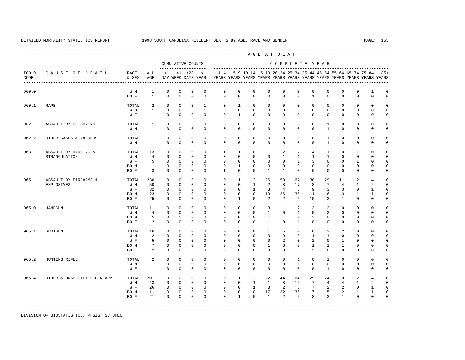---------------------------------------------------------------------------------------------------------------------------------------------------- A G E A T D E A T H --------------------------------------------------------------------------------------------- CUMULATIVE COUNTS C O M P L E T E Y E A R ------------------- ----------------------------------------------------------------------- ICD-9 C A U S E O F D E A T H RACE ALL <1 <1 <28 <1 1-4 5-9 10-14 15-19 20-24 25-34 35-44 45-54 55-64 65-74 75-84 85+ CODE & SEX AGE DAY WEEK DAYS YEAR YEARS YEARS YEARS YEARS YEARS YEARS YEARS YEARS YEARS YEARS YEARS YEARS ---------------------------------------------------------------------------------------------------------------------------------------------------- 960.0 W M 1 0 0 0 0 0 0 0 0 0 0 0 0 0 0 1 0 BO F 1 0 0 0 0 0 0 0 0 0 0 1 0 0 0 0 0 960.1 RAPE TOTAL 2 0 0 0 1 0 1 0 0 0 0 0 0 0 0 0 0 W M 1 0 0 0 1 0 0 0 0 0 0 0 0 0 0 0 0 W F 1 0 0 0 0 0 1 0 0 0 0 0 0 0 0 0 0 962 ASSAULT BY POISONING TOTAL 1 0 0 0 0 0 0 0 0 0 0 0 1 0 0 0 0 W M 1 0 0 0 0 0 0 0 0 0 0 0 1 0 0 0 0 962.2 OTHER GASES & VAPOURS TOTAL 1 0 0 0 0 0 0 0 0 0 0 0 1 0 0 0 0 W M 1 0 0 0 0 0 0 0 0 0 0 0 1 0 0 0 0 963 ASSAULT BY HANGING & TOTAL 13 0 0 0 0 1 1 0 1 2 2 4 1 0 1 0 0 STRANGULATION W M 4 0 0 0 0 0 0 0 0 1 1 1 1 0 0 0 0 W F 5 0 0 0 0 0 0 0 0 0 1 3 0 0 1 0 0 BO M 1 0 0 0 0 0 1 0 0 0 0 0 0 0 0 0 0 BOF 3 0 0 0 0 1 0 0 1 1 0 0 0 0 0 0 0 965 ASSAULT BY FIREARMS & TOTAL 230 0 0 0 0 0 1 2 26 50 67 38 29 11 2 4 0 EXPLOSIVES W M 50 0 0 0 0 0 0 1 2 8 17 8 7 4 1 2 0 W F 32 0 0 0 0 0 0 1 3 4 8 9 3 3 0 1 0 BO M 123 0 0 0 0 0 0 0 19 36 36 11 16 3 1 1 0 BO F 25 0 0 0 0 0 1 0 2 2 6 10 3 1 0 0 0 965.0 HANDGUN TOTAL 11 0 0 0 0 0 0 0 3 1 2 3 2 0 0 0 0 W M 4 0 0 0 0 0 0 0 1 0 1 0 2 0 0 0 0 BOM 5 0 0 0 0 0 0 0 0 1 1 0 3 0 0 0 0 0 BO F 2 0 0 0 0 0 0 0 0 1 0 1 0 0 0 0 0 0 0 965.1 SHOTGUN TOTAL 16 0 0 0 0 0 0 0 1 5 0 6 2 2 0 0 0  $\begin{array}{ccccccccccc}\n0 & 0 & 0 & 0 & 0 & 0 & 0 \\
0 & 0 & 0 & 0 & 0 & 0 & 0\n\end{array}$ W F 5 0 0 0 0 0 0 0 0 0 2 0 2 0 1 0 0 0 BOM 7 0 0 0 0 0 0 0 0 1 3 0 1 1 1 0 0 0<br>BOR 2 0 0 0 0 0 0 0 0 0 0 2 0 0 0 0 0 0 BOF 2 0 0 0 0 0 0 0 0 0 0 2 0 0 0 0 0 965.2 HUNTING RIFLE TOTAL 2 0 0 0 0 0 0 0 0 0 1 0 1 0 0 0 0 W M 1 0 0 0 0 0 0 0 0 0 1 0 0 0 0 0 0 W F 1 0 0 0 0 0 0 0 0 0 0 0 1 0 0 0 0 965.4 OTHER & UNSPECIFIED FIREARM TOTAL 201 0 0 0 0 0 0 1 2 22 44 64 29 24 9 2 4 0<br>W M 43 0 0 0 0 0 0 1 1 8 15 7 4 4 1 2 0 W M 43 0 0 0 0 0 0 1 1 8 15 7 4 4 1 2 0 W F 26 0 0 0 0 0 0 1 3 2 8 7 2 2 0 1 0 BO M 111 0 0 0 0 0 0 0 17 32 36 7 15 2 1 1 0 BO F 21 0 0 0 0 0 1 0 1 2 5 8 3 1 0 0 0

-----------------------------------------------------------------------------------------------------------------------------------------------------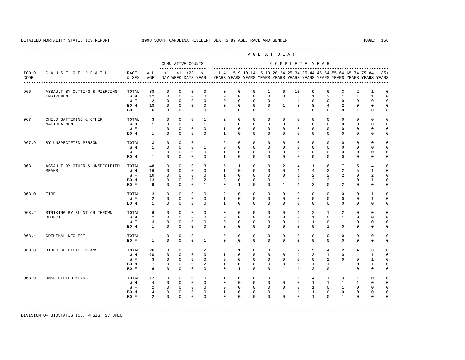---------------------------------------------------------------------------------------------------------------------------------------------------- A G E A T D E A T H --------------------------------------------------------------------------------------------- CUMULATIVE COUNTS C O M P L E T E Y E A R ------------------- ----------------------------------------------------------------------- ICD-9 C A U S E O F D E A T H RACE ALL <1 <1 <28 <1 1-4 5-9 10-14 15-19 20-24 25-34 35-44 45-54 55-64 65-74 75-84 85+ CODE & SEX AGE DAY WEEK DAYS YEAR YEARS YEARS YEARS YEARS YEARS YEARS YEARS YEARS YEARS YEARS YEARS YEARS ---------------------------------------------------------------------------------------------------------------------------------------------------- 966 ASSAULT BY CUTTING & PIERCING TOTAL 38 0 0 0 0 0 0 0 1 6 10 9 6 3 2 1 0 INSTRUMENT W M 12 0 0 0 0 0 0 0 0 3 3 1 2 1 1 1 0 W F 2 0 0 0 0 0 0 0 0 1 1 0 0 0 0 0 0 BO M 18 0 0 0 0 0 0 0 0 1 3 8 4 2 0 0 0 BO F 6 0 0 0 0 0 0 0 1 1 3 0 0 0 1 0 0 967 CHILD BATTERING & OTHER TOTAL 3 0 0 0 1 2 0 0 0 0 0 0 0 0 0 0 0 MALTREATMENT W M 1 0 0 0 1 0 0 0 0 0 0 0 0 0 0 0 0 W F 1 0 0 0 0 1 0 0 0 0 0 0 0 0 0 0 0 BO M 1 0 0 0 0 1 0 0 0 0 0 0 0 0 0 0 0 967.9 BY UNSPECIFIED PERSON TOTAL 3 0 0 0 1 2 0 0 0 0 0 0 0 0 0 0 0 W M 1 0 0 0 1 0 0 0 0 0 0 0 0 0 0 0 0 W F 1 0 0 0 0 1 0 0 0 0 0 0 0 0 0 0 0 BO M 1 0 0 0 0 1 0 0 0 0 0 0 0 0 0 0 0 968 ASSAULT BY OTHER & UNSPECIFIED TOTAL 48 0 0 0 3 5 1 0 0 2 4 11 6 7 5 4 0 MEANS W M 16 0 0 0 0 1 0 0 0 0 1 4 2 2 5 1 0 W F 10 0 0 0 0 1 0 0 0 0 0 1 2 2 2 0 2 0 BO M 13 0 0 0 2 3 0 0 0 1 1 2 2 1 0 1 0 BOF 9 0 0 0 1 0 0 1 0 0 1 1 3 0 2 0 0 0 968.0 FIRE TOTAL 3 0 0 0 0 2 0 0 0 0 0 0 0 0 0 1 0 W F 2 0 0 0 0 1 0 0 0 0 0 0 0 0 0 0 1 0 BO M 1 0 0 0 0 1 0 0 0 0 0 0 0 0 0 0 0 968.2 STRIKING BY BLUNT OR THROWN TOTAL 6 0 0 0 0 0 0 0 0 0 1 2 1 2 0 0 0 OBJECT W M 2 0 0 0 0 0 0 0 0 0 0 1 0 1 0 0 0 W F 3 0 0 0 0 0 0 0 0 0 0 1 1 0 1 0 0 0 BO M 1 0 0 0 0 0 0 0 0 0 0 0 1 0 0 0 0 968.4 CRIMINAL NEGLECT TOTAL 1 0 0 0 1 0 0 0 0 0 0 0 0 0 0 0 0 BO F 1 0 0 0 1 0 0 0 0 0 0 0 0 0 0 0 0 968.8 OTHER SPECIFIED MEANS TOTAL 26 0 0 0 2 2 1 0 0 1 2 5 4 2 4 3 0<br>
W M 10 0 0 0 0 1 0 0 0 0 0 1 2 1 0 4 1 0 W M 10 0 0 0 0 1 0 0 0 0 1 2 1 0 4 1 0 W F 3 0 0 0 0 0 0 0 0 0 0 0 0 2 0 0 1 0 BO M 7 0 0 0 2 1 0 0 0 0 0 1 1 1 0 1 0 BOF 6 0 0 0 0 0 0 0 0 1 1 2 0 1 0 0 0 968.9 UNSPECIFIED MEANS TOTAL 12 0 0 0 0 1 0 0 0 1 1 4 1 3 1 0 0 W M M 4 0 0 0 0 0 0 0 0 0 0 0 0 0 1 1 1 1 0 0 W F 2 0 0 0 0 0 0 0 0 0 0 0 1 0 1 0 0 0 BOM 4 0 0 0 0 1 0 0 0 0 1 1 1 0 0 0 0 0 BOF 2 0 0 0 0 0 0 0 0 0 0 0 1 0 1 0 0 0

-----------------------------------------------------------------------------------------------------------------------------------------------------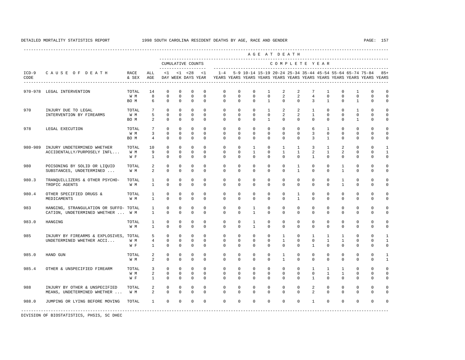|                 |                                                                             |                      |                                     |                                            |                                         |                                             |                                        |                                        |                                        |                                        |                                             | AGE AT DEATH                             |                                          |                                             |                                             |                                                           |                                             |                                                                         |                                             |
|-----------------|-----------------------------------------------------------------------------|----------------------|-------------------------------------|--------------------------------------------|-----------------------------------------|---------------------------------------------|----------------------------------------|----------------------------------------|----------------------------------------|----------------------------------------|---------------------------------------------|------------------------------------------|------------------------------------------|---------------------------------------------|---------------------------------------------|-----------------------------------------------------------|---------------------------------------------|-------------------------------------------------------------------------|---------------------------------------------|
|                 |                                                                             |                      |                                     |                                            |                                         | CUMULATIVE COUNTS                           |                                        |                                        |                                        |                                        |                                             | COMPLETE YEAR                            |                                          |                                             |                                             |                                                           |                                             |                                                                         |                                             |
| $ICD-9$<br>CODE | CAUSE OF DEATH                                                              | RACE<br>& SEX        | ALL<br>AGE                          | <1                                         |                                         | $< 1$ $< 28$<br>DAY WEEK DAYS YEAR          | <1                                     | $1 - 4$                                |                                        |                                        |                                             |                                          |                                          |                                             |                                             | 5-9 10-14 15-19 20-24 25-34 35-44 45-54 55-64 65-74 75-84 |                                             | YEARS YEARS YEARS YEARS YEARS YEARS YEARS YEARS YEARS YEARS YEARS YEARS | $85+$                                       |
|                 | 970-978 LEGAL INTERVENTION                                                  | TOTAL<br>W M<br>BO M | 14<br>8<br>6                        | $\mathbf 0$<br>$\mathbf 0$<br>$\Omega$     | $\mathbf 0$<br>$\mathbf 0$<br>$\Omega$  | $\mathbf{0}$<br>$\mathbf 0$<br>$\Omega$     | $\mathbf 0$<br>$\mathbf 0$<br>$\Omega$ | $\mathbf 0$<br>$\mathbf 0$<br>$\Omega$ | $\mathbf 0$<br>$\mathbf 0$<br>$\Omega$ | $\mathbf 0$<br>$\mathbf 0$<br>$\Omega$ | $\mathbf{1}$<br>$\mathbf 0$<br>$\mathbf{1}$ | 2<br>$\overline{a}$<br>$\Omega$          | 2<br>$\overline{a}$<br>$\Omega$          | 7<br>$\overline{4}$<br>3                    | $\mathbf{1}$<br>$\mathbf 0$<br>$\mathbf{1}$ | $\mathbf 0$<br>$\mathbf 0$<br>$\Omega$                    | $\mathbf{1}$<br>$\mathbf 0$<br>$\mathbf{1}$ | $\Omega$<br>$\Omega$<br>$\Omega$                                        | $\mathbf 0$<br>$\Omega$<br>$\Omega$         |
| 970             | INJURY DUE TO LEGAL<br>INTERVENTION BY FIREARMS                             | TOTAL<br>W M<br>BO M | 7<br>5<br>2                         | $\Omega$<br>$\Omega$<br>$\Omega$           | $\Omega$<br>$\Omega$<br>$\Omega$        | $\Omega$<br>$\mathbf 0$<br>$\Omega$         | $\Omega$<br>$\Omega$<br>$\Omega$       | $\Omega$<br>$\Omega$<br>$\Omega$       | $\Omega$<br>$\Omega$<br>$\Omega$       | $\Omega$<br>$\Omega$<br>$\Omega$       | $\mathbf{1}$<br>$\Omega$<br>$\mathbf{1}$    | 2<br>2<br>$\Omega$                       | 2<br>2<br>$\Omega$                       | $\mathbf{1}$<br>$\mathbf{1}$<br>$\Omega$    | $\Omega$<br>$\Omega$<br>$\Omega$            | $\Omega$<br>$\Omega$<br>$\Omega$                          | $\mathbf{1}$<br>$\Omega$<br>$\mathbf{1}$    | $\Omega$<br>$\Omega$<br>$\Omega$                                        | $\mathbf 0$<br>$\mathbf 0$<br>$\Omega$      |
| 978             | LEGAL EXECUTION                                                             | TOTAL<br>W M<br>BO M | $7\phantom{.0}$<br>3<br>4           | $\Omega$<br>$\Omega$<br>$\Omega$           | $\Omega$<br>$\Omega$<br>$\mathbf 0$     | $\Omega$<br>$\Omega$<br>$\mathbf{0}$        | $\Omega$<br>$\Omega$<br>$\Omega$       | $\Omega$<br>$\Omega$<br>$\Omega$       | $\Omega$<br>$\Omega$<br>$\Omega$       | $\Omega$<br>$\Omega$<br>$\Omega$       | $\Omega$<br>$\Omega$<br>$\Omega$            | $\Omega$<br>$\Omega$<br>$\Omega$         | $\Omega$<br>$\Omega$<br>$\Omega$         | 6<br>3<br>3                                 | $\overline{1}$<br>$\Omega$<br>$\mathbf{1}$  | $\Omega$<br>$\Omega$<br>$\Omega$                          | $\Omega$<br>$\Omega$<br>0                   | $\Omega$<br>$\Omega$<br>$\Omega$                                        | $\Omega$<br>$\Omega$<br>0                   |
| 980-989         | INJURY UNDETERMINED WHETHER<br>ACCIDENTALLY/PURPOSELY INFL                  | TOTAL<br>W M<br>W F  | 10<br>9<br>$\mathbf{1}$             | $\mathbf{0}$<br>$\mathbf 0$<br>$\mathbf 0$ | $\mathbf 0$<br>$\mathbf{0}$<br>$\Omega$ | $\mathbf 0$<br>$\mathbf 0$<br>$\mathbf 0$   | $\Omega$<br>$\mathbf 0$<br>$\Omega$    | $\mathbf 0$<br>0<br>$\Omega$           | $\mathbf 0$<br>0<br>$\Omega$           | 1<br>$\mathbf{1}$<br>$\Omega$          | $\mathbf 0$<br>$\mathbf{0}$<br>$\Omega$     | $\mathbf{1}$<br>$\mathbf{1}$<br>$\Omega$ | $\mathbf{1}$<br>$\mathbf{1}$<br>$\Omega$ | 3<br>2<br>$\overline{1}$                    | 1<br>$\mathbf{1}$<br>$\Omega$               | 2<br>2<br>$\Omega$                                        | 0<br>0<br>$\Omega$                          | $\Omega$<br>$\Omega$<br>$\Omega$                                        | $\mathbf{1}$<br>$\mathbf{1}$<br>$\mathbf 0$ |
| 980             | POISONING BY SOLID OR LIQUID<br>SUBSTANCES, UNDETERMINED                    | TOTAL<br>W M         | 2<br>$\overline{2}$                 | $\mathbf 0$<br>$\Omega$                    | $\mathbf 0$<br>$\Omega$                 | $\mathbf 0$<br>$\Omega$                     | $\mathbf 0$<br>$\Omega$                | $\mathbf 0$<br>$\Omega$                | $\mathbf 0$<br>$\Omega$                | $\mathbf 0$<br>$\Omega$                | $\mathbf 0$<br>$\Omega$                     | $\mathbf 0$<br>$\Omega$                  | $\mathbf{1}$<br>$\overline{1}$           | $\mathbf 0$<br>$\Omega$                     | $\mathbf 0$<br>$\Omega$                     | $\mathbf{1}$<br>$\overline{1}$                            | 0<br>$\Omega$                               | $\mathbf 0$<br>$\Omega$                                                 | $\Omega$<br>$\mathbf 0$                     |
| 980.3           | TRANQUILLIZERS & OTHER PSYCHO-<br>TROPIC AGENTS                             | TOTAL<br>W M         | 1<br>$\mathbf{1}$                   | $\mathbf 0$<br>$\Omega$                    | $\mathbf 0$<br>$\Omega$                 | $\mathbf 0$<br>$\Omega$                     | $\mathbf 0$<br>$\Omega$                | $\mathbf 0$<br>$\Omega$                | $\mathbf 0$<br>$\Omega$                | $\mathbf 0$<br>$\Omega$                | $\mathbf 0$<br>$\Omega$                     | 0<br>$\Omega$                            | $\mathbf 0$<br>$\Omega$                  | $\mathbf 0$<br>$\Omega$                     | $\mathbf 0$<br>$\Omega$                     | $\mathbf{1}$<br>$\mathbf{1}$                              | 0<br>$\Omega$                               | $\mathbf 0$<br>$\Omega$                                                 | $\Omega$<br>$\mathbf 0$                     |
| 980.4           | OTHER SPECIFIED DRUGS &<br>MEDICAMENTS                                      | TOTAL<br>W M         | 1<br>$\mathbf{1}$                   | $\mathbf 0$<br>$\Omega$                    | $\mathbf 0$<br>$\Omega$                 | $\mathbf 0$<br>$\Omega$                     | $\mathbf 0$<br>$\Omega$                | $\mathbf 0$<br>$\Omega$                | $\mathbf 0$<br>$\Omega$                | $\mathbf 0$<br>$\Omega$                | $\mathbf 0$<br>$\Omega$                     | 0<br>$\Omega$                            | $\mathbf{1}$<br>$\mathbf{1}$             | $\mathbf 0$<br>$\Omega$                     | $\mathbf 0$<br>$\Omega$                     | $\mathbf 0$<br>$\Omega$                                   | $\mathbf 0$<br>$\Omega$                     | $\mathbf 0$<br>$\Omega$                                                 | $\mathbf 0$<br>$\mathbf 0$                  |
| 983             | HANGING, STRANGULATION OR SUFFO- TOTAL<br>CATION, UNDETERMINED WHETHER  W M |                      | $\mathbf{1}$<br>$\mathbf{1}$        | $\mathbf 0$<br>$\Omega$                    | $\mathbf 0$<br>$\Omega$                 | $\mathbf 0$<br>$\Omega$                     | $\mathbf 0$<br>$\Omega$                | $\mathbf 0$<br>$\Omega$                | $\mathbf 0$<br>$\Omega$                | $\mathbf{1}$<br>$\overline{1}$         | $\mathbf 0$<br>$\Omega$                     | 0<br>$\Omega$                            | $\mathbf 0$<br>$\Omega$                  | $\mathbf 0$<br>$\Omega$                     | $\mathbf 0$<br>$\Omega$                     | $\mathbf 0$<br>$\Omega$                                   | 0<br>$\Omega$                               | $\Omega$<br>$\Omega$                                                    | $\Omega$<br>$\mathbf 0$                     |
| 983.0           | HANGING                                                                     | TOTAL<br>W M         | $\mathbf{1}$<br>$\mathbf{1}$        | $\mathbf 0$<br>$\Omega$                    | $\Omega$<br>$\mathbf 0$                 | $\mathbf 0$<br>$\mathbf 0$                  | $\Omega$<br>$\Omega$                   | $\Omega$<br>$\Omega$                   | $\mathbf 0$<br>$\mathbf 0$             | $\mathbf{1}$<br>$\mathbf{1}$           | $\Omega$<br>$\mathbf 0$                     | $\Omega$<br>$\Omega$                     | $\mathbf 0$<br>$\Omega$                  | $\Omega$<br>$\Omega$                        | $\Omega$<br>$\Omega$                        | $\Omega$<br>$\Omega$                                      | 0<br>$\mathbf 0$                            | $\Omega$<br>$\Omega$                                                    | $\Omega$<br>$\mathbf 0$                     |
| 985             | INJURY BY FIREARMS & EXPLOSIVES, TOTAL<br>UNDETERMINED WHETHER ACCI         | W M<br>W F           | 5<br>$\overline{4}$<br>$\mathbf{1}$ | $\mathbf 0$<br>$\mathbf 0$<br>$\mathbf 0$  | $\mathbf 0$<br>$\Omega$<br>$\mathbf 0$  | $\mathbf{0}$<br>$\mathbf 0$<br>$\mathbf{0}$ | $\Omega$<br>$\Omega$<br>$\mathbf 0$    | $\mathbf 0$<br>$\Omega$<br>$\Omega$    | $\mathbf 0$<br>$\Omega$<br>$\mathbf 0$ | $\mathbf 0$<br>$\Omega$<br>$\mathbf 0$ | $\mathbf 0$<br>$\Omega$<br>$\mathbf 0$      | $\mathbf{1}$<br>$\mathbf{1}$<br>$\Omega$ | $\mathbf 0$<br>$\Omega$<br>$\mathbf 0$   | $\mathbf{1}$<br>$\mathbf 0$<br>$\mathbf{1}$ | $\mathbf{1}$<br>$\mathbf{1}$<br>$\mathbf 0$ | $\mathbf{1}$<br>$\mathbf{1}$<br>$\Omega$                  | 0<br>$\Omega$<br>0                          | $\Omega$<br>$\Omega$<br>$\Omega$                                        | $\mathbf{1}$<br>$\mathbf{1}$<br>$\mathsf 0$ |
| 985.0           | HAND GUN                                                                    | TOTAL<br>W M         | 2<br>2                              | $\mathbf 0$<br>$\mathbf 0$                 | $\mathbf 0$<br>$\mathbf 0$              | $\mathbf 0$<br>$\mathbf 0$                  | $\Omega$<br>$\mathbf 0$                | $\mathbf 0$<br>$\Omega$                | $\mathbf 0$<br>$\mathbf 0$             | $\mathbf 0$<br>$\mathbf 0$             | $\mathbf 0$<br>$\mathbf 0$                  | $\mathbf{1}$<br>$\mathbf{1}$             | $\mathbf 0$<br>$\mathbf 0$               | $\mathbf 0$<br>$\mathbf 0$                  | $\mathbf 0$<br>$\mathbf 0$                  | $\mathbf{0}$<br>$\mathbf 0$                               | $\mathbf 0$<br>0                            | $\mathbf 0$<br>$\mathbf 0$                                              | $\mathbf{1}$<br>$\mathbf{1}$                |
| 985.4           | OTHER & UNSPECIFIED FIREARM                                                 | TOTAL<br>W M<br>W F  | 3<br>2<br>$\mathbf{1}$              | $\mathbf 0$<br>$\mathbf 0$<br>$\Omega$     | $\mathbf 0$<br>$\Omega$<br>$\Omega$     | $\mathbf 0$<br>$\mathbf 0$<br>$\Omega$      | $\Omega$<br>$\Omega$<br>$\Omega$       | $\mathbf 0$<br>$\Omega$<br>$\Omega$    | $\mathbf 0$<br>$\Omega$<br>$\Omega$    | $\mathbf 0$<br>$\Omega$<br>$\Omega$    | $\mathbf 0$<br>$\Omega$<br>$\Omega$         | $\mathbf 0$<br>$\Omega$<br>$\Omega$      | $\mathbf 0$<br>$\Omega$<br>$\Omega$      | $\mathbf{1}$<br>$\Omega$<br>$\mathbf{1}$    | $\mathbf{1}$<br>$\mathbf{1}$<br>$\Omega$    | $\mathbf{1}$<br>$\mathbf{1}$<br>$\Omega$                  | $\mathbf 0$<br>$\Omega$<br>$\Omega$         | $\Omega$<br>$\Omega$<br>$\Omega$                                        | $\mathbf 0$<br>$\mathbf 0$<br>$\Omega$      |
| 988             | INJURY BY OTHER & UNSPECIFIED<br>MEANS, UNDETERMINED WHETHER                | TOTAL<br>W M         | 2<br>$\overline{2}$                 | $\Omega$<br>$\Omega$                       | $\mathbf 0$<br>$\Omega$                 | $\mathbf 0$<br>$\Omega$                     | $\Omega$<br>$\Omega$                   | $\Omega$<br>$\Omega$                   | $\mathbf 0$<br>$\Omega$                | $\Omega$<br>$\Omega$                   | $\mathbf 0$<br>$\Omega$                     | $\Omega$<br>$\Omega$                     | $\Omega$<br>$\Omega$                     | 2<br>$\overline{a}$                         | $\Omega$<br>$\Omega$                        | $\Omega$<br>$\Omega$                                      | 0<br>$\Omega$                               | $\Omega$<br>$\Omega$                                                    | $\Omega$<br>$\Omega$                        |
| 988.0           | JUMPING OR LYING BEFORE MOVING                                              | TOTAL                | $\mathbf{1}$                        | $\Omega$                                   | $\Omega$                                | $\mathbf 0$                                 | $\Omega$                               | $\Omega$                               | $\Omega$                               | $\Omega$                               | $\Omega$                                    | $\Omega$                                 | $\Omega$                                 | $\mathbf{1}$                                | $\Omega$                                    | $\Omega$                                                  | $\Omega$                                    | $\Omega$                                                                | $\Omega$                                    |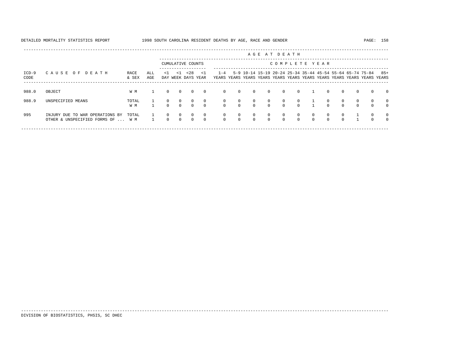| DETAILED MORTALITY STATISTICS REPORT | 1998 SOUTH CAROLINA RESIDENT DEATHS BY AGE, RACE AND GENDER | 158<br>PAGE: |
|--------------------------------------|-------------------------------------------------------------|--------------|
|                                      |                                                             |              |

---------------------------------------------------------------------------------------------------------------------------------------------------- A G E A T D E A T H --------------------------------------------------------------------------------------------- CUMULATIVE COUNTS C O M P L E T E Y E A R ------------------- ----------------------------------------------------------------------- ICD-9 C A U S E O F D E A T H RACE ALL <1 <1 <28 <1 1-4 5-9 10-14 15-19 20-24 25-34 35-44 45-54 55-64 65-74 75-84 85+ CODE & SEX AGE DAY WEEK DAYS YEAR YEARS YEARS YEARS YEARS YEARS YEARS YEARS YEARS YEARS YEARS YEARS YEARS ----------------------------------------------------------------------------------------------------------------------------------------------------

| 988.0 | OBJECT                                                                     | W M          |   | $\Omega$ | $\overline{0}$                 | $\circ$                 | $\overline{0}$             |          | $0\qquad 0$                         | $\overline{0}$                       | $\overline{0}$             | $0 \t 0 \t 1$                  |                      |                      | $\circ$                    | $\overline{0}$       | $\overline{0}$       | $\Omega$                   | $\overline{0}$                   |
|-------|----------------------------------------------------------------------------|--------------|---|----------|--------------------------------|-------------------------|----------------------------|----------|-------------------------------------|--------------------------------------|----------------------------|--------------------------------|----------------------|----------------------|----------------------------|----------------------|----------------------|----------------------------|----------------------------------|
| 988.9 | UNSPECIFIED MEANS                                                          | TOTAL<br>W M |   | $\Omega$ | $\overline{0}$<br>$0 \qquad 0$ | $\Omega$<br>$\Omega$    | $\sim$ 0<br>$\overline{0}$ |          |                                     | 0 0 0 0 0 0 1<br>$0\qquad 0\qquad 0$ |                            | $0 \qquad 0 \qquad 0 \qquad 1$ |                      |                      | $\overline{0}$<br>$\Omega$ | $\Omega$<br>$\Omega$ | $\Omega$<br>$\Omega$ | $\Omega$<br>$\Omega$       | $\overline{0}$<br>$\overline{0}$ |
| 995   | INJURY DUE TO WAR OPERATIONS BY TOTAL<br>OTHER & UNSPECIFIED FORMS OF  W M |              | 1 | $\Omega$ | $\overline{0}$<br>$0\qquad 0$  | $\Omega$<br>$0\qquad 0$ | $\overline{0}$             | $\Omega$ | $\begin{matrix} 0 & 0 \end{matrix}$ | $0\qquad 0\qquad 0$                  | $\sim$ 0<br>$\overline{0}$ | $\overline{0}$<br>$\Omega$     | $\sim$ 0<br>$\Omega$ | $\Omega$<br>$\Omega$ | $\Omega$<br>$\Omega$       | $\cap$<br>$\Omega$   |                      | $\overline{0}$<br>$\Omega$ | $\overline{0}$<br>$\overline{0}$ |

-----------------------------------------------------------------------------------------------------------------------------------------------------